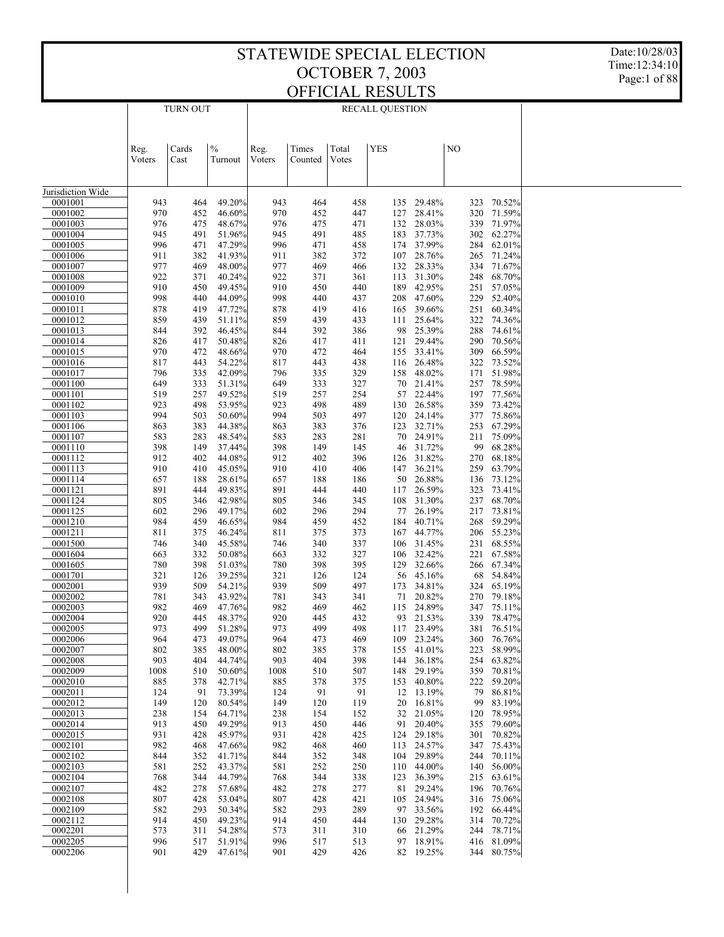Date:10/28/03 Time:12:34:10 Page:1 of 88

|                    |             | <b>TURN OUT</b> |                  |             |            | <b>RECALL QUESTION</b> |            |                              |            |                          |  |
|--------------------|-------------|-----------------|------------------|-------------|------------|------------------------|------------|------------------------------|------------|--------------------------|--|
|                    |             |                 |                  |             |            |                        |            |                              |            |                          |  |
|                    |             |                 |                  |             |            |                        |            |                              |            |                          |  |
|                    | Reg.        | Cards           | $\frac{0}{0}$    | Reg.        | Times      | Total                  | <b>YES</b> |                              | NO         |                          |  |
|                    | Voters      | Cast            | Turnout          | Voters      | Counted    | Votes                  |            |                              |            |                          |  |
|                    |             |                 |                  |             |            |                        |            |                              |            |                          |  |
| Jurisdiction Wide  |             |                 |                  |             |            |                        |            |                              |            |                          |  |
| 0001001            | 943         | 464             | 49.20%           | 943         | 464        | 458                    | 135        | 29.48%                       | 323        | 70.52%                   |  |
| 0001002<br>0001003 | 970<br>976  | 452<br>475      | 46.60%<br>48.67% | 970<br>976  | 452<br>475 | 447<br>471             | 127<br>132 | 28.41%<br>28.03%             | 320<br>339 | 71.59%<br>71.97%         |  |
| 0001004            | 945         | 491             | 51.96%           | 945         | 491        | 485                    | 183        | 37.73%                       | 302        | 62.27%                   |  |
| 0001005            | 996         | 471             | 47.29%           | 996         | 471        | 458                    |            | 174 37.99%                   | 284        | 62.01%                   |  |
| 0001006            | 911         | 382             | 41.93%           | 911         | 382        | 372                    |            | 107 28.76%                   | 265        | 71.24%                   |  |
| 0001007<br>0001008 | 977<br>922  | 469<br>371      | 48.00%<br>40.24% | 977<br>922  | 469<br>371 | 466<br>361             | 132<br>113 | 28.33%<br>31.30%             | 334<br>248 | 71.67%<br>68.70%         |  |
| 0001009            | 910         | 450             | 49.45%           | 910         | 450        | 440                    |            | 189 42.95%                   | 251        | 57.05%                   |  |
| 0001010            | 998         | 440             | 44.09%           | 998         | 440        | 437                    |            | 208 47.60%                   |            | 229 52.40%               |  |
| 0001011            | 878         | 419             | 47.72%           | 878         | 419        | 416                    | 165        | 39.66%                       | 251        | 60.34%                   |  |
| 0001012<br>0001013 | 859<br>844  | 439<br>392      | 51.11%<br>46.45% | 859<br>844  | 439<br>392 | 433<br>386             | 111        | 25.64%<br>98<br>25.39%       | 322<br>288 | 74.36%<br>74.61%         |  |
| 0001014            | 826         | 417             | 50.48%           | 826         | 417        | 411                    | 121        | 29.44%                       | 290        | 70.56%                   |  |
| 0001015            | 970         | 472             | 48.66%           | 970         | 472        | 464                    | 155        | 33.41%                       | 309        | 66.59%                   |  |
| 0001016            | 817         | 443             | 54.22%           | 817         | 443        | 438                    |            | 116 26.48%                   | 322        | 73.52%                   |  |
| 0001017            | 796         | 335             | 42.09%           | 796         | 335        | 329                    | 158        | 48.02%                       | 171        | 51.98%                   |  |
| 0001100<br>0001101 | 649<br>519  | 333<br>257      | 51.31%<br>49.52% | 649<br>519  | 333<br>257 | 327<br>254             |            | 70<br>21.41%<br>57<br>22.44% | 257<br>197 | 78.59%<br>77.56%         |  |
| 0001102            | 923         | 498             | 53.95%           | 923         | 498        | 489                    |            | 130<br>26.58%                | 359        | 73.42%                   |  |
| 0001103            | 994         | 503             | 50.60%           | 994         | 503        | 497                    |            | 120 24.14%                   | 377        | 75.86%                   |  |
| 0001106            | 863         | 383             | 44.38%           | 863         | 383        | 376                    |            | 123 32.71%                   | 253        | 67.29%                   |  |
| 0001107            | 583         | 283<br>149      | 48.54%<br>37.44% | 583<br>398  | 283        | 281                    |            | 70<br>24.91%                 | 211<br>99  | 75.09%                   |  |
| 0001110<br>0001112 | 398<br>912  | 402             | 44.08%           | 912         | 149<br>402 | 145<br>396             |            | 31.72%<br>46<br>126 31.82%   | 270        | 68.28%<br>68.18%         |  |
| 0001113            | 910         | 410             | 45.05%           | 910         | 410        | 406                    |            | 147 36.21%                   | 259        | 63.79%                   |  |
| 0001114            | 657         | 188             | 28.61%           | 657         | 188        | 186                    |            | 50<br>26.88%                 | 136        | 73.12%                   |  |
| 0001121            | 891         | 444             | 49.83%           | 891         | 444        | 440                    |            | 26.59%<br>117                | 323        | 73.41%                   |  |
| 0001124<br>0001125 | 805<br>602  | 346<br>296      | 42.98%<br>49.17% | 805<br>602  | 346<br>296 | 345<br>294             | 108        | 31.30%<br>26.19%<br>77       | 237<br>217 | 68.70%<br>73.81%         |  |
| 0001210            | 984         | 459             | 46.65%           | 984         | 459        | 452                    | 184        | 40.71%                       | 268        | 59.29%                   |  |
| 0001211            | 811         | 375             | 46.24%           | 811         | 375        | 373                    |            | 167 44.77%                   |            | 206 55.23%               |  |
| 0001500            | 746         | 340             | 45.58%           | 746         | 340        | 337                    |            | 106 31.45%                   |            | 231 68.55%               |  |
| 0001604            | 663         | 332             | 50.08%<br>51.03% | 663         | 332        | 327<br>395             |            | 106 32.42%<br>32.66%         | 221        | 67.58%<br>67.34%         |  |
| 0001605<br>0001701 | 780<br>321  | 398<br>126      | 39.25%           | 780<br>321  | 398<br>126 | 124                    | 129        | 45.16%<br>56                 | 266<br>68  | 54.84%                   |  |
| 0002001            | 939         | 509             | 54.21%           | 939         | 509        | 497                    | 173        | 34.81%                       | 324        | 65.19%                   |  |
| 0002002            | 781         | 343             | 43.92%           | 781         | 343        | 341                    |            | 71<br>20.82%                 | 270        | 79.18%                   |  |
| 0002003            | 982         | 469             | 47.76%           | 982         | 469        | 462                    |            | 115 24.89%                   | 347        | 75.11%                   |  |
| 0002004<br>0002005 | 920<br>973  | 445<br>499      | 48.37%<br>51.28% | 920<br>973  | 445<br>499 | 432<br>498             |            | 93 21.53%<br>117 23.49%      |            | 339 78.47%<br>381 76.51% |  |
| 0002006            | 964         | 473             | 49.07%           | 964         | 473        | 469                    |            | 109 23.24%                   |            | 360 76.76%               |  |
| 0002007            | 802         | 385             | 48.00%           | 802         | 385        | 378                    |            | 155 41.01%                   | 223        | 58.99%                   |  |
| 0002008            | 903         | 404             | 44.74%           | 903         | 404        | 398                    |            | 144 36.18%                   | 254        | 63.82%                   |  |
| 0002009<br>0002010 | 1008<br>885 | 510<br>378      | 50.60%<br>42.71% | 1008<br>885 | 510<br>378 | 507<br>375             |            | 148 29.19%<br>153 40.80%     | 222        | 359 70.81%<br>59.20%     |  |
| 0002011            | 124         | 91              | 73.39%           | 124         | 91         | 91                     |            | 12 13.19%                    |            | 79 86.81%                |  |
| 0002012            | 149         | 120             | 80.54%           | 149         | 120        | 119                    |            | 20 16.81%                    |            | 99 83.19%                |  |
| 0002013            | 238         | 154             | 64.71%           | 238         | 154        | 152                    |            | 32 21.05%                    |            | 120 78.95%               |  |
| 0002014            | 913         | 450             | 49.29%           | 913         | 450        | 446                    |            | 91<br>20.40%                 |            | 355 79.60%               |  |
| 0002015<br>0002101 | 931<br>982  | 428<br>468      | 45.97%<br>47.66% | 931<br>982  | 428<br>468 | 425<br>460             |            | 124 29.18%<br>113 24.57%     |            | 301 70.82%<br>347 75.43% |  |
| 0002102            | 844         | 352             | 41.71%           | 844         | 352        | 348                    |            | 104 29.89%                   |            | 244 70.11%               |  |
| 0002103            | 581         | 252             | 43.37%           | 581         | 252        | 250                    |            | 110 44.00%                   |            | 140 56.00%               |  |
| 0002104            | 768         | 344             | 44.79%           | 768         | 344        | 338                    | 123        | 36.39%                       |            | 215 63.61%               |  |
| 0002107            | 482         | 278             | 57.68%           | 482         | 278        | 277                    |            | 81 29.24%                    |            | 196 70.76%               |  |
| 0002108<br>0002109 | 807<br>582  | 428<br>293      | 53.04%<br>50.34% | 807<br>582  | 428<br>293 | 421<br>289             |            | 105 24.94%<br>97 33.56%      | 192        | 316 75.06%<br>66.44%     |  |
| 0002112            | 914         | 450             | 49.23%           | 914         | 450        | 444                    |            | 130 29.28%                   |            | 314 70.72%               |  |
| 0002201            | 573         | 311             | 54.28%           | 573         | 311        | 310                    |            | 66 21.29%                    |            | 244 78.71%               |  |
| 0002205            | 996         | 517             | 51.91%           | 996         | 517        | 513                    |            | 97 18.91%                    |            | 416 81.09%               |  |
| 0002206            | 901         | 429             | 47.61%           | 901         | 429        | 426                    |            | 82 19.25%                    |            | 344 80.75%               |  |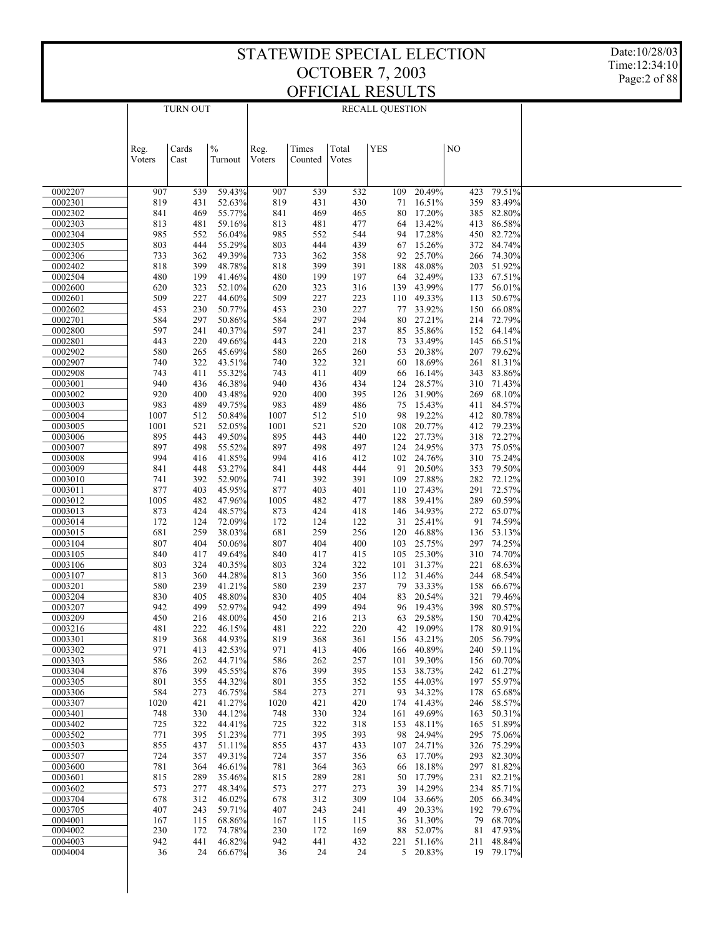Date:10/28/03 Time:12:34:10 Page:2 of 88

|                    | <b>TURN OUT</b> |            | <b>RECALL QUESTION</b> |             |            |            |            |                              |    |            |                          |  |
|--------------------|-----------------|------------|------------------------|-------------|------------|------------|------------|------------------------------|----|------------|--------------------------|--|
|                    |                 |            |                        |             |            |            |            |                              |    |            |                          |  |
|                    |                 |            |                        |             |            |            |            |                              |    |            |                          |  |
|                    | Reg.            | Cards      | $\frac{0}{0}$          | Reg.        | Times      | Total      | <b>YES</b> |                              | NO |            |                          |  |
|                    | Voters          | Cast       | Turnout                | Voters      | Counted    | Votes      |            |                              |    |            |                          |  |
|                    |                 |            |                        |             |            |            |            |                              |    |            |                          |  |
| 0002207            | 907             | 539        | 59.43%                 | 907         | 539        | 532        | 109        | 20.49%                       |    | 423        | 79.51%                   |  |
| 0002301            | 819             | 431        | 52.63%                 | 819         | 431        | 430        |            | 16.51%<br>71                 |    | 359        | 83.49%                   |  |
| 0002302<br>0002303 | 841<br>813      | 469<br>481 | 55.77%<br>59.16%       | 841<br>813  | 469<br>481 | 465<br>477 |            | 17.20%<br>80<br>13.42%<br>64 |    | 385<br>413 | 82.80%<br>86.58%         |  |
| 0002304            | 985             | 552        | 56.04%                 | 985         | 552        | 544        |            | 17.28%<br>94                 |    | 450        | 82.72%                   |  |
| 0002305            | 803             | 444        | 55.29%                 | 803         | 444        | 439        |            | 15.26%<br>67                 |    | 372        | 84.74%                   |  |
| 0002306<br>0002402 | 733<br>818      | 362<br>399 | 49.39%<br>48.78%       | 733<br>818  | 362<br>399 | 358<br>391 | 188        | 92<br>25.70%<br>48.08%       |    | 266<br>203 | 74.30%<br>51.92%         |  |
| 0002504            | 480             | 199        | 41.46%                 | 480         | 199        | 197        |            | 32.49%<br>64                 |    | 133        | 67.51%                   |  |
| 0002600            | 620             | 323        | 52.10%                 | 620         | 323        | 316        | 139        | 43.99%                       |    | 177        | 56.01%                   |  |
| 0002601<br>0002602 | 509<br>453      | 227<br>230 | 44.60%<br>50.77%       | 509<br>453  | 227<br>230 | 223<br>227 | 110        | 49.33%<br>33.92%<br>77       |    | 113<br>150 | 50.67%<br>66.08%         |  |
| 0002701            | 584             | 297        | 50.86%                 | 584         | 297        | 294        |            | 27.21%<br>80                 |    | 214        | 72.79%                   |  |
| 0002800            | 597             | 241        | 40.37%                 | 597         | 241        | 237        |            | 35.86%<br>85                 |    | 152        | 64.14%                   |  |
| 0002801            | 443             | 220        | 49.66%                 | 443         | 220        | 218        |            | 33.49%<br>73                 |    | 145        | 66.51%                   |  |
| 0002902<br>0002907 | 580<br>740      | 265<br>322 | 45.69%<br>43.51%       | 580<br>740  | 265<br>322 | 260<br>321 |            | 20.38%<br>53<br>18.69%<br>60 |    | 207<br>261 | 79.62%<br>81.31%         |  |
| 0002908            | 743             | 411        | 55.32%                 | 743         | 411        | 409        |            | 16.14%<br>66                 |    | 343        | 83.86%                   |  |
| 0003001            | 940             | 436        | 46.38%                 | 940         | 436        | 434        | 124        | 28.57%                       |    |            | 310 71.43%               |  |
| 0003002<br>0003003 | 920<br>983      | 400<br>489 | 43.48%<br>49.75%       | 920<br>983  | 400<br>489 | 395<br>486 | 126        | 31.90%<br>75<br>15.43%       |    | 269<br>411 | 68.10%<br>84.57%         |  |
| 0003004            | 1007            | 512        | 50.84%                 | 1007        | 512        | 510        |            | 98<br>19.22%                 |    |            | 412 80.78%               |  |
| 0003005            | 1001            | 521        | 52.05%                 | 1001        | 521        | 520        | 108        | 20.77%                       |    | 412        | 79.23%                   |  |
| 0003006<br>0003007 | 895<br>897      | 443<br>498 | 49.50%<br>55.52%       | 895<br>897  | 443<br>498 | 440<br>497 | 122<br>124 | 27.73%<br>24.95%             |    | 318<br>373 | 72.27%<br>75.05%         |  |
| 0003008            | 994             | 416        | 41.85%                 | 994         | 416        | 412        |            | 102 24.76%                   |    | 310        | 75.24%                   |  |
| 0003009            | 841             | 448        | 53.27%                 | 841         | 448        | 444        |            | 20.50%<br>91                 |    | 353        | 79.50%                   |  |
| 0003010            | 741             | 392        | 52.90%                 | 741         | 392        | 391        | 109        | 27.88%                       |    | 282        | 72.12%                   |  |
| 0003011<br>0003012 | 877<br>1005     | 403<br>482 | 45.95%<br>47.96%       | 877<br>1005 | 403<br>482 | 401<br>477 | 188        | 110 27.43%<br>39.41%         |    | 291<br>289 | 72.57%<br>60.59%         |  |
| 0003013            | 873             | 424        | 48.57%                 | 873         | 424        | 418        |            | 146 34.93%                   |    | 272        | 65.07%                   |  |
| 0003014            | 172             | 124        | 72.09%                 | 172         | 124        | 122        |            | 31 25.41%                    |    | 91         | 74.59%                   |  |
| 0003015<br>0003104 | 681<br>807      | 259<br>404 | 38.03%<br>50.06%       | 681<br>807  | 259<br>404 | 256<br>400 | 120<br>103 | 46.88%<br>25.75%             |    | 297        | 136 53.13%<br>74.25%     |  |
| 0003105            | 840             | 417        | 49.64%                 | 840         | 417        | 415        | 105        | 25.30%                       |    | 310        | 74.70%                   |  |
| 0003106            | 803             | 324        | 40.35%                 | 803         | 324        | 322        | 101        | 31.37%                       |    | 221        | 68.63%                   |  |
| 0003107<br>0003201 | 813<br>580      | 360<br>239 | 44.28%<br>41.21%       | 813<br>580  | 360<br>239 | 356<br>237 |            | 112 31.46%<br>33.33%<br>79   |    | 244<br>158 | 68.54%<br>66.67%         |  |
| 0003204            | 830             | 405        | 48.80%                 | 830         | 405        | 404        |            | 20.54%<br>83                 |    | 321        | 79.46%                   |  |
| 0003207            | 942             | 499        | 52.97%                 | 942         | 499        | 494        |            | 19.43%<br>96                 |    | 398        | 80.57%                   |  |
| 0003209            | 450             | 216<br>222 | 48.00%                 | 450         | 216<br>222 | 213        |            | 63 29.58%                    |    |            | 150 70.42%               |  |
| 0003216<br>0003301 | 481<br>819      | 368        | 46.15%<br>44.93%       | 481<br>819  | 368        | 220<br>361 |            | 42 19.09%<br>156 43.21%      |    |            | 178 80.91%<br>205 56.79% |  |
| 0003302            | 971             | 413        | 42.53%                 | 971         | 413        | 406        |            | 166 40.89%                   |    |            | 240 59.11%               |  |
| 0003303            | 586             | 262        | 44.71%                 | 586         | 262        | 257        | 101        | 39.30%                       |    |            | 156 60.70%               |  |
| 0003304<br>0003305 | 876<br>801      | 399<br>355 | 45.55%<br>44.32%       | 876<br>801  | 399<br>355 | 395<br>352 | 153        | 38.73%<br>155 44.03%         |    | 197        | 242 61.27%<br>55.97%     |  |
| 0003306            | 584             | 273        | 46.75%                 | 584         | 273        | 271        |            | 93 34.32%                    |    |            | 178 65.68%               |  |
| 0003307            | 1020            | 421        | 41.27%                 | 1020        | 421        | 420        |            | 174 41.43%                   |    |            | 246 58.57%               |  |
| 0003401            | 748             | 330        | 44.12%                 | 748         | 330        | 324        | 161        | 49.69%                       |    |            | 163 50.31%<br>165 51.89% |  |
| 0003402<br>0003502 | 725<br>771      | 322<br>395 | 44.41%<br>51.23%       | 725<br>771  | 322<br>395 | 318<br>393 |            | 153 48.11%<br>24.94%<br>98   |    |            | 295 75.06%               |  |
| 0003503            | 855             | 437        | 51.11%                 | 855         | 437        | 433        |            | 107 24.71%                   |    |            | 326 75.29%               |  |
| 0003507            | 724             | 357        | 49.31%                 | 724         | 357        | 356        |            | 17.70%<br>63                 |    |            | 293 82.30%               |  |
| 0003600<br>0003601 | 781<br>815      | 364<br>289 | 46.61%<br>35.46%       | 781<br>815  | 364<br>289 | 363<br>281 |            | 18.18%<br>66<br>17.79%<br>50 |    |            | 297 81.82%<br>231 82.21% |  |
| 0003602            | 573             | 277        | 48.34%                 | 573         | 277        | 273        |            | 39<br>14.29%                 |    |            | 234 85.71%               |  |
| 0003704            | 678             | 312        | 46.02%                 | 678         | 312        | 309        | 104        | 33.66%                       |    | 205        | 66.34%                   |  |
| 0003705            | 407             | 243        | 59.71%                 | 407         | 243        | 241        |            | 20.33%<br>49                 |    |            | 192 79.67%               |  |
| 0004001<br>0004002 | 167<br>230      | 115<br>172 | 68.86%<br>74.78%       | 167<br>230  | 115<br>172 | 115<br>169 |            | 31.30%<br>36<br>88 52.07%    |    |            | 79 68.70%<br>81 47.93%   |  |
| 0004003            | 942             | 441        | 46.82%                 | 942         | 441        | 432        |            | 221 51.16%                   |    |            | 211 48.84%               |  |
| 0004004            | 36              | 24         | 66.67%                 | 36          | 24         | 24         |            | 5 20.83%                     |    |            | 19 79.17%                |  |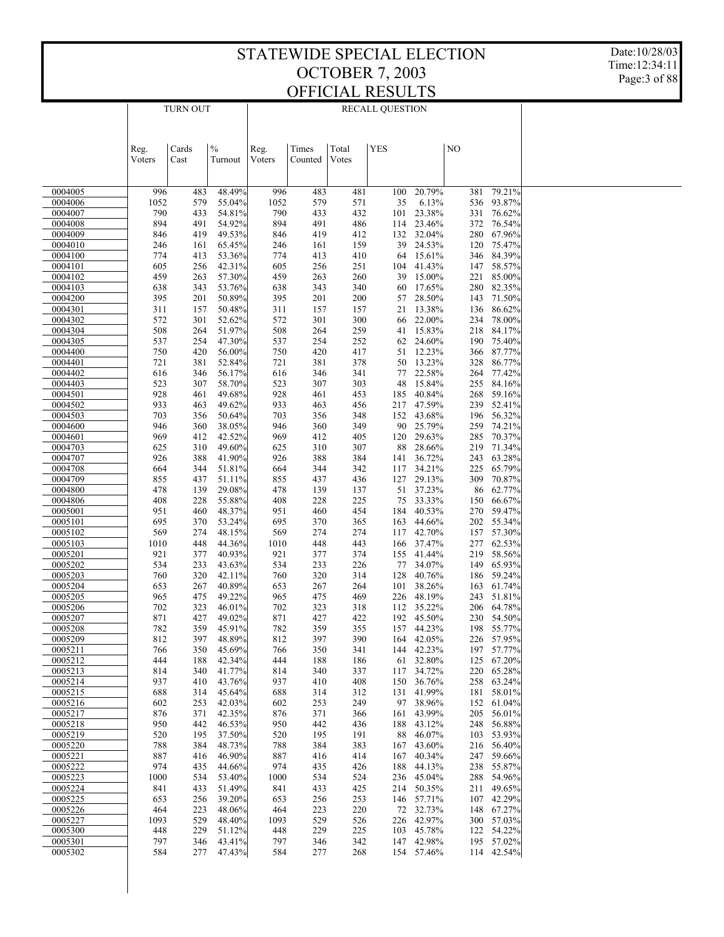Date:10/28/03 Time:12:34:11 Page:3 of 88

| <b>YES</b><br>$\frac{0}{0}$<br>NO<br>Cards<br>Times<br>Total<br>Reg.<br>Reg.<br>Voters<br>Voters<br>Votes<br>Cast<br>Turnout<br>Counted<br>0004005<br>996<br>48.49%<br>996<br>481<br>100<br>20.79%<br>381<br>79.21%<br>483<br>483<br>93.87%<br>1052<br>55.04%<br>1052<br>35<br>6.13%<br>536<br>0004006<br>579<br>579<br>571<br>790<br>433<br>790<br>433<br>432<br>23.38%<br>331 76.62%<br>0004007<br>54.81%<br>101<br>894<br>491<br>54.92%<br>894<br>491<br>486<br>23.46%<br>372<br>76.54%<br>0004008<br>114<br>49.53%<br>132<br>32.04%<br>280<br>67.96%<br>0004009<br>846<br>419<br>419<br>412<br>846<br>0004010<br>39<br>24.53%<br>75.47%<br>246<br>65.45%<br>159<br>120<br>161<br>246<br>161<br>774<br>64 15.61%<br>346<br>84.39%<br>0004100<br>413<br>53.36%<br>774<br>413<br>410<br>256<br>42.31%<br>41.43%<br>147<br>58.57%<br>0004101<br>605<br>605<br>256<br>251<br>104<br>459<br>57.30%<br>39 15.00%<br>221<br>85.00%<br>0004102<br>263<br>459<br>263<br>260<br>60<br>17.65%<br>280<br>82.35%<br>0004103<br>638<br>343<br>53.76%<br>638<br>343<br>340<br>50.89%<br>28.50%<br>143<br>71.50%<br>0004200<br>395<br>201<br>395<br>201<br>200<br>57<br>50.48%<br>13.38%<br>86.62%<br>0004301<br>311<br>157<br>311<br>157<br>157<br>21<br>136<br>572<br>52.62%<br>572<br>301<br>300<br>22.00%<br>78.00%<br>0004302<br>301<br>66<br>234<br>508<br>51.97%<br>508<br>259<br>15.83%<br>218<br>84.17%<br>0004304<br>264<br>264<br>41<br>537<br>254<br>47.30%<br>252<br>24.60%<br>190 75.40%<br>0004305<br>537<br>254<br>62<br>750<br>420<br>56.00%<br>417<br>12.23%<br>87.77%<br>0004400<br>750<br>420<br>51<br>366<br>13.23%<br>721<br>378<br>50<br>328<br>86.77%<br>0004401<br>381<br>52.84%<br>721<br>381<br>22.58%<br>264<br>77.42%<br>0004402<br>616<br>346<br>56.17%<br>616<br>346<br>341<br>77<br>58.70%<br>303<br>48<br>15.84%<br>255<br>84.16%<br>0004403<br>523<br>307<br>523<br>307<br>928<br>49.68%<br>928<br>40.84%<br>268<br>59.16%<br>0004501<br>461<br>453<br>185<br>461<br>933<br>49.62%<br>47.59%<br>239<br>52.41%<br>0004502<br>463<br>933<br>463<br>456<br>217<br>703<br>152<br>43.68%<br>196<br>56.32%<br>0004503<br>356<br>50.64%<br>703<br>356<br>348<br>349<br>90<br>25.79%<br>259<br>74.21%<br>0004600<br>946<br>360<br>38.05%<br>946<br>360<br>412<br>42.52%<br>120<br>29.63%<br>285<br>70.37%<br>0004601<br>969<br>969<br>412<br>405<br>49.60%<br>307<br>88<br>28.66%<br>219 71.34%<br>0004703<br>625<br>310<br>625<br>310<br>926<br>41.90%<br>388<br>36.72%<br>243<br>63.28%<br>0004707<br>388<br>926<br>384<br>141<br>34.21%<br>225<br>65.79%<br>0004708<br>664<br>344<br>51.81%<br>664<br>344<br>342<br>117<br>29.13%<br>309<br>70.87%<br>0004709<br>855<br>437<br>51.11%<br>855<br>437<br>436<br>127<br>478<br>29.08%<br>37.23%<br>86<br>62.77%<br>0004800<br>139<br>478<br>139<br>137<br>51<br>75<br>33.33%<br>150<br>66.67%<br>0004806<br>408<br>228<br>55.88%<br>408<br>228<br>225<br>454<br>184<br>40.53%<br>270<br>59.47%<br>0005001<br>951<br>460<br>48.37%<br>951<br>460<br>695<br>163<br>44.66%<br>202<br>55.34%<br>0005101<br>370<br>53.24%<br>695<br>370<br>365<br>569<br>274<br>48.15%<br>274<br>42.70%<br>157<br>57.30%<br>0005102<br>569<br>274<br>117<br>1010<br>448<br>37.47%<br>277<br>62.53%<br>0005103<br>44.36%<br>1010<br>448<br>443<br>166<br>40.93%<br>41.44%<br>219<br>58.56%<br>0005201<br>921<br>377<br>921<br>377<br>374<br>155<br>534<br>233<br>43.63%<br>226<br>77<br>34.07%<br>149<br>65.93%<br>0005202<br>534<br>233<br>128<br>40.76%<br>186<br>59.24%<br>0005203<br>760<br>320<br>42.11%<br>760<br>320<br>314<br>40.89%<br>38.26%<br>163<br>61.74%<br>0005204<br>653<br>267<br>653<br>267<br>264<br>101<br>49.22%<br>226 48.19%<br>243 51.81%<br>0005205<br>965<br>475<br>965<br>475<br>469<br>702<br>323<br>46.01%<br>323<br>112 35.22%<br>206 64.78%<br>0005206<br>702<br>318<br>871<br>427<br>49.02%<br>871<br>230 54.50%<br>0005207<br>427<br>422<br>192 45.50%<br>0005208<br>782<br>359<br>45.91%<br>782<br>359<br>198 55.77%<br>355<br>157 44.23%<br>48.89%<br>226 57.95%<br>812<br>397<br>812<br>397<br>390<br>164 42.05%<br>0005209<br>144 42.23%<br>0005211<br>350<br>45.69%<br>350<br>197 57.77%<br>766<br>766<br>341<br>61 32.80%<br>0005212<br>188<br>42.34%<br>188<br>125 67.20%<br>444<br>444<br>186<br>41.77%<br>220 65.28%<br>814<br>340<br>814<br>340<br>337<br>117 34.72%<br>0005213<br>258 63.24%<br>0005214<br>937<br>410<br>43.76%<br>937<br>410<br>408<br>150 36.76%<br>181 58.01%<br>0005215<br>688<br>314<br>45.64%<br>688<br>314<br>312<br>131 41.99%<br>152 61.04%<br>253<br>42.03%<br>253<br>249<br>97 38.96%<br>0005216<br>602<br>602<br>205 56.01%<br>876<br>371<br>42.35%<br>371<br>161 43.99%<br>0005217<br>876<br>366<br>248 56.88%<br>0005218<br>950<br>442<br>46.53%<br>950<br>442<br>188 43.12%<br>436<br>103 53.93%<br>0005219<br>520<br>195<br>37.50%<br>520<br>195<br>191<br>88 46.07%<br>216 56.40%<br>0005220<br>788<br>384<br>48.73%<br>788<br>384<br>383<br>167 43.60%<br>887<br>247 59.66%<br>416<br>46.90%<br>887<br>416<br>414<br>167 40.34%<br>0005221<br>238 55.87%<br>0005222<br>974<br>435<br>44.66%<br>974<br>435<br>426<br>188 44.13%<br>288 54.96%<br>0005223<br>1000<br>534<br>53.40%<br>1000<br>534<br>524<br>236 45.04%<br>211 49.65%<br>433<br>51.49%<br>433<br>425<br>214 50.35%<br>0005224<br>841<br>841<br>107 42.29%<br>256<br>39.20%<br>256<br>253<br>0005225<br>653<br>653<br>146 57.71%<br>72 32.73%<br>148 67.27%<br>0005226<br>464<br>223<br>48.06%<br>464<br>223<br>220<br>226 42.97%<br>300 57.03%<br>0005227<br>1093<br>529<br>48.40%<br>1093<br>529<br>526<br>122 54.22%<br>448<br>229<br>51.12%<br>448<br>229<br>225<br>103 45.78%<br>0005300<br>195 57.02%<br>797<br>346<br>43.41%<br>797<br>346<br>342<br>147 42.98%<br>0005301<br>114 42.54%<br>0005302<br>584<br>277<br>47.43%<br>277<br>268<br>154 57.46%<br>584 |  | <b>TURN OUT</b> |  | <b>RECALL QUESTION</b> |  |  |  |
|---------------------------------------------------------------------------------------------------------------------------------------------------------------------------------------------------------------------------------------------------------------------------------------------------------------------------------------------------------------------------------------------------------------------------------------------------------------------------------------------------------------------------------------------------------------------------------------------------------------------------------------------------------------------------------------------------------------------------------------------------------------------------------------------------------------------------------------------------------------------------------------------------------------------------------------------------------------------------------------------------------------------------------------------------------------------------------------------------------------------------------------------------------------------------------------------------------------------------------------------------------------------------------------------------------------------------------------------------------------------------------------------------------------------------------------------------------------------------------------------------------------------------------------------------------------------------------------------------------------------------------------------------------------------------------------------------------------------------------------------------------------------------------------------------------------------------------------------------------------------------------------------------------------------------------------------------------------------------------------------------------------------------------------------------------------------------------------------------------------------------------------------------------------------------------------------------------------------------------------------------------------------------------------------------------------------------------------------------------------------------------------------------------------------------------------------------------------------------------------------------------------------------------------------------------------------------------------------------------------------------------------------------------------------------------------------------------------------------------------------------------------------------------------------------------------------------------------------------------------------------------------------------------------------------------------------------------------------------------------------------------------------------------------------------------------------------------------------------------------------------------------------------------------------------------------------------------------------------------------------------------------------------------------------------------------------------------------------------------------------------------------------------------------------------------------------------------------------------------------------------------------------------------------------------------------------------------------------------------------------------------------------------------------------------------------------------------------------------------------------------------------------------------------------------------------------------------------------------------------------------------------------------------------------------------------------------------------------------------------------------------------------------------------------------------------------------------------------------------------------------------------------------------------------------------------------------------------------------------------------------------------------------------------------------------------------------------------------------------------------------------------------------------------------------------------------------------------------------------------------------------------------------------------------------------------------------------------------------------------------------------------------------------------------------------------------------------------------------------------------------------------------------------------------------------------------------------------------------------------------------------------------------------------------------------------------------------------------------------------------------------------------------------------------------------------------------------------------------------------------------------------------------------------------------------------------------------------------------------------------------------------------------------------------------------------------------------------------------------------------------------------------------------------------------------------------------------------------------------------------------------------------------------------------------------------------------------------------------------------------------------------------------------------------------------------------------------------------------------------------------------------------------------------------------------------------------------------------------------|--|-----------------|--|------------------------|--|--|--|
|                                                                                                                                                                                                                                                                                                                                                                                                                                                                                                                                                                                                                                                                                                                                                                                                                                                                                                                                                                                                                                                                                                                                                                                                                                                                                                                                                                                                                                                                                                                                                                                                                                                                                                                                                                                                                                                                                                                                                                                                                                                                                                                                                                                                                                                                                                                                                                                                                                                                                                                                                                                                                                                                                                                                                                                                                                                                                                                                                                                                                                                                                                                                                                                                                                                                                                                                                                                                                                                                                                                                                                                                                                                                                                                                                                                                                                                                                                                                                                                                                                                                                                                                                                                                                                                                                                                                                                                                                                                                                                                                                                                                                                                                                                                                                                                                                                                                                                                                                                                                                                                                                                                                                                                                                                                                                                                                                                                                                                                                                                                                                                                                                                                                                                                                                                                                                                                         |  |                 |  |                        |  |  |  |
|                                                                                                                                                                                                                                                                                                                                                                                                                                                                                                                                                                                                                                                                                                                                                                                                                                                                                                                                                                                                                                                                                                                                                                                                                                                                                                                                                                                                                                                                                                                                                                                                                                                                                                                                                                                                                                                                                                                                                                                                                                                                                                                                                                                                                                                                                                                                                                                                                                                                                                                                                                                                                                                                                                                                                                                                                                                                                                                                                                                                                                                                                                                                                                                                                                                                                                                                                                                                                                                                                                                                                                                                                                                                                                                                                                                                                                                                                                                                                                                                                                                                                                                                                                                                                                                                                                                                                                                                                                                                                                                                                                                                                                                                                                                                                                                                                                                                                                                                                                                                                                                                                                                                                                                                                                                                                                                                                                                                                                                                                                                                                                                                                                                                                                                                                                                                                                                         |  |                 |  |                        |  |  |  |
|                                                                                                                                                                                                                                                                                                                                                                                                                                                                                                                                                                                                                                                                                                                                                                                                                                                                                                                                                                                                                                                                                                                                                                                                                                                                                                                                                                                                                                                                                                                                                                                                                                                                                                                                                                                                                                                                                                                                                                                                                                                                                                                                                                                                                                                                                                                                                                                                                                                                                                                                                                                                                                                                                                                                                                                                                                                                                                                                                                                                                                                                                                                                                                                                                                                                                                                                                                                                                                                                                                                                                                                                                                                                                                                                                                                                                                                                                                                                                                                                                                                                                                                                                                                                                                                                                                                                                                                                                                                                                                                                                                                                                                                                                                                                                                                                                                                                                                                                                                                                                                                                                                                                                                                                                                                                                                                                                                                                                                                                                                                                                                                                                                                                                                                                                                                                                                                         |  |                 |  |                        |  |  |  |
|                                                                                                                                                                                                                                                                                                                                                                                                                                                                                                                                                                                                                                                                                                                                                                                                                                                                                                                                                                                                                                                                                                                                                                                                                                                                                                                                                                                                                                                                                                                                                                                                                                                                                                                                                                                                                                                                                                                                                                                                                                                                                                                                                                                                                                                                                                                                                                                                                                                                                                                                                                                                                                                                                                                                                                                                                                                                                                                                                                                                                                                                                                                                                                                                                                                                                                                                                                                                                                                                                                                                                                                                                                                                                                                                                                                                                                                                                                                                                                                                                                                                                                                                                                                                                                                                                                                                                                                                                                                                                                                                                                                                                                                                                                                                                                                                                                                                                                                                                                                                                                                                                                                                                                                                                                                                                                                                                                                                                                                                                                                                                                                                                                                                                                                                                                                                                                                         |  |                 |  |                        |  |  |  |
|                                                                                                                                                                                                                                                                                                                                                                                                                                                                                                                                                                                                                                                                                                                                                                                                                                                                                                                                                                                                                                                                                                                                                                                                                                                                                                                                                                                                                                                                                                                                                                                                                                                                                                                                                                                                                                                                                                                                                                                                                                                                                                                                                                                                                                                                                                                                                                                                                                                                                                                                                                                                                                                                                                                                                                                                                                                                                                                                                                                                                                                                                                                                                                                                                                                                                                                                                                                                                                                                                                                                                                                                                                                                                                                                                                                                                                                                                                                                                                                                                                                                                                                                                                                                                                                                                                                                                                                                                                                                                                                                                                                                                                                                                                                                                                                                                                                                                                                                                                                                                                                                                                                                                                                                                                                                                                                                                                                                                                                                                                                                                                                                                                                                                                                                                                                                                                                         |  |                 |  |                        |  |  |  |
|                                                                                                                                                                                                                                                                                                                                                                                                                                                                                                                                                                                                                                                                                                                                                                                                                                                                                                                                                                                                                                                                                                                                                                                                                                                                                                                                                                                                                                                                                                                                                                                                                                                                                                                                                                                                                                                                                                                                                                                                                                                                                                                                                                                                                                                                                                                                                                                                                                                                                                                                                                                                                                                                                                                                                                                                                                                                                                                                                                                                                                                                                                                                                                                                                                                                                                                                                                                                                                                                                                                                                                                                                                                                                                                                                                                                                                                                                                                                                                                                                                                                                                                                                                                                                                                                                                                                                                                                                                                                                                                                                                                                                                                                                                                                                                                                                                                                                                                                                                                                                                                                                                                                                                                                                                                                                                                                                                                                                                                                                                                                                                                                                                                                                                                                                                                                                                                         |  |                 |  |                        |  |  |  |
|                                                                                                                                                                                                                                                                                                                                                                                                                                                                                                                                                                                                                                                                                                                                                                                                                                                                                                                                                                                                                                                                                                                                                                                                                                                                                                                                                                                                                                                                                                                                                                                                                                                                                                                                                                                                                                                                                                                                                                                                                                                                                                                                                                                                                                                                                                                                                                                                                                                                                                                                                                                                                                                                                                                                                                                                                                                                                                                                                                                                                                                                                                                                                                                                                                                                                                                                                                                                                                                                                                                                                                                                                                                                                                                                                                                                                                                                                                                                                                                                                                                                                                                                                                                                                                                                                                                                                                                                                                                                                                                                                                                                                                                                                                                                                                                                                                                                                                                                                                                                                                                                                                                                                                                                                                                                                                                                                                                                                                                                                                                                                                                                                                                                                                                                                                                                                                                         |  |                 |  |                        |  |  |  |
|                                                                                                                                                                                                                                                                                                                                                                                                                                                                                                                                                                                                                                                                                                                                                                                                                                                                                                                                                                                                                                                                                                                                                                                                                                                                                                                                                                                                                                                                                                                                                                                                                                                                                                                                                                                                                                                                                                                                                                                                                                                                                                                                                                                                                                                                                                                                                                                                                                                                                                                                                                                                                                                                                                                                                                                                                                                                                                                                                                                                                                                                                                                                                                                                                                                                                                                                                                                                                                                                                                                                                                                                                                                                                                                                                                                                                                                                                                                                                                                                                                                                                                                                                                                                                                                                                                                                                                                                                                                                                                                                                                                                                                                                                                                                                                                                                                                                                                                                                                                                                                                                                                                                                                                                                                                                                                                                                                                                                                                                                                                                                                                                                                                                                                                                                                                                                                                         |  |                 |  |                        |  |  |  |
|                                                                                                                                                                                                                                                                                                                                                                                                                                                                                                                                                                                                                                                                                                                                                                                                                                                                                                                                                                                                                                                                                                                                                                                                                                                                                                                                                                                                                                                                                                                                                                                                                                                                                                                                                                                                                                                                                                                                                                                                                                                                                                                                                                                                                                                                                                                                                                                                                                                                                                                                                                                                                                                                                                                                                                                                                                                                                                                                                                                                                                                                                                                                                                                                                                                                                                                                                                                                                                                                                                                                                                                                                                                                                                                                                                                                                                                                                                                                                                                                                                                                                                                                                                                                                                                                                                                                                                                                                                                                                                                                                                                                                                                                                                                                                                                                                                                                                                                                                                                                                                                                                                                                                                                                                                                                                                                                                                                                                                                                                                                                                                                                                                                                                                                                                                                                                                                         |  |                 |  |                        |  |  |  |
|                                                                                                                                                                                                                                                                                                                                                                                                                                                                                                                                                                                                                                                                                                                                                                                                                                                                                                                                                                                                                                                                                                                                                                                                                                                                                                                                                                                                                                                                                                                                                                                                                                                                                                                                                                                                                                                                                                                                                                                                                                                                                                                                                                                                                                                                                                                                                                                                                                                                                                                                                                                                                                                                                                                                                                                                                                                                                                                                                                                                                                                                                                                                                                                                                                                                                                                                                                                                                                                                                                                                                                                                                                                                                                                                                                                                                                                                                                                                                                                                                                                                                                                                                                                                                                                                                                                                                                                                                                                                                                                                                                                                                                                                                                                                                                                                                                                                                                                                                                                                                                                                                                                                                                                                                                                                                                                                                                                                                                                                                                                                                                                                                                                                                                                                                                                                                                                         |  |                 |  |                        |  |  |  |
|                                                                                                                                                                                                                                                                                                                                                                                                                                                                                                                                                                                                                                                                                                                                                                                                                                                                                                                                                                                                                                                                                                                                                                                                                                                                                                                                                                                                                                                                                                                                                                                                                                                                                                                                                                                                                                                                                                                                                                                                                                                                                                                                                                                                                                                                                                                                                                                                                                                                                                                                                                                                                                                                                                                                                                                                                                                                                                                                                                                                                                                                                                                                                                                                                                                                                                                                                                                                                                                                                                                                                                                                                                                                                                                                                                                                                                                                                                                                                                                                                                                                                                                                                                                                                                                                                                                                                                                                                                                                                                                                                                                                                                                                                                                                                                                                                                                                                                                                                                                                                                                                                                                                                                                                                                                                                                                                                                                                                                                                                                                                                                                                                                                                                                                                                                                                                                                         |  |                 |  |                        |  |  |  |
|                                                                                                                                                                                                                                                                                                                                                                                                                                                                                                                                                                                                                                                                                                                                                                                                                                                                                                                                                                                                                                                                                                                                                                                                                                                                                                                                                                                                                                                                                                                                                                                                                                                                                                                                                                                                                                                                                                                                                                                                                                                                                                                                                                                                                                                                                                                                                                                                                                                                                                                                                                                                                                                                                                                                                                                                                                                                                                                                                                                                                                                                                                                                                                                                                                                                                                                                                                                                                                                                                                                                                                                                                                                                                                                                                                                                                                                                                                                                                                                                                                                                                                                                                                                                                                                                                                                                                                                                                                                                                                                                                                                                                                                                                                                                                                                                                                                                                                                                                                                                                                                                                                                                                                                                                                                                                                                                                                                                                                                                                                                                                                                                                                                                                                                                                                                                                                                         |  |                 |  |                        |  |  |  |
|                                                                                                                                                                                                                                                                                                                                                                                                                                                                                                                                                                                                                                                                                                                                                                                                                                                                                                                                                                                                                                                                                                                                                                                                                                                                                                                                                                                                                                                                                                                                                                                                                                                                                                                                                                                                                                                                                                                                                                                                                                                                                                                                                                                                                                                                                                                                                                                                                                                                                                                                                                                                                                                                                                                                                                                                                                                                                                                                                                                                                                                                                                                                                                                                                                                                                                                                                                                                                                                                                                                                                                                                                                                                                                                                                                                                                                                                                                                                                                                                                                                                                                                                                                                                                                                                                                                                                                                                                                                                                                                                                                                                                                                                                                                                                                                                                                                                                                                                                                                                                                                                                                                                                                                                                                                                                                                                                                                                                                                                                                                                                                                                                                                                                                                                                                                                                                                         |  |                 |  |                        |  |  |  |
|                                                                                                                                                                                                                                                                                                                                                                                                                                                                                                                                                                                                                                                                                                                                                                                                                                                                                                                                                                                                                                                                                                                                                                                                                                                                                                                                                                                                                                                                                                                                                                                                                                                                                                                                                                                                                                                                                                                                                                                                                                                                                                                                                                                                                                                                                                                                                                                                                                                                                                                                                                                                                                                                                                                                                                                                                                                                                                                                                                                                                                                                                                                                                                                                                                                                                                                                                                                                                                                                                                                                                                                                                                                                                                                                                                                                                                                                                                                                                                                                                                                                                                                                                                                                                                                                                                                                                                                                                                                                                                                                                                                                                                                                                                                                                                                                                                                                                                                                                                                                                                                                                                                                                                                                                                                                                                                                                                                                                                                                                                                                                                                                                                                                                                                                                                                                                                                         |  |                 |  |                        |  |  |  |
|                                                                                                                                                                                                                                                                                                                                                                                                                                                                                                                                                                                                                                                                                                                                                                                                                                                                                                                                                                                                                                                                                                                                                                                                                                                                                                                                                                                                                                                                                                                                                                                                                                                                                                                                                                                                                                                                                                                                                                                                                                                                                                                                                                                                                                                                                                                                                                                                                                                                                                                                                                                                                                                                                                                                                                                                                                                                                                                                                                                                                                                                                                                                                                                                                                                                                                                                                                                                                                                                                                                                                                                                                                                                                                                                                                                                                                                                                                                                                                                                                                                                                                                                                                                                                                                                                                                                                                                                                                                                                                                                                                                                                                                                                                                                                                                                                                                                                                                                                                                                                                                                                                                                                                                                                                                                                                                                                                                                                                                                                                                                                                                                                                                                                                                                                                                                                                                         |  |                 |  |                        |  |  |  |
|                                                                                                                                                                                                                                                                                                                                                                                                                                                                                                                                                                                                                                                                                                                                                                                                                                                                                                                                                                                                                                                                                                                                                                                                                                                                                                                                                                                                                                                                                                                                                                                                                                                                                                                                                                                                                                                                                                                                                                                                                                                                                                                                                                                                                                                                                                                                                                                                                                                                                                                                                                                                                                                                                                                                                                                                                                                                                                                                                                                                                                                                                                                                                                                                                                                                                                                                                                                                                                                                                                                                                                                                                                                                                                                                                                                                                                                                                                                                                                                                                                                                                                                                                                                                                                                                                                                                                                                                                                                                                                                                                                                                                                                                                                                                                                                                                                                                                                                                                                                                                                                                                                                                                                                                                                                                                                                                                                                                                                                                                                                                                                                                                                                                                                                                                                                                                                                         |  |                 |  |                        |  |  |  |
|                                                                                                                                                                                                                                                                                                                                                                                                                                                                                                                                                                                                                                                                                                                                                                                                                                                                                                                                                                                                                                                                                                                                                                                                                                                                                                                                                                                                                                                                                                                                                                                                                                                                                                                                                                                                                                                                                                                                                                                                                                                                                                                                                                                                                                                                                                                                                                                                                                                                                                                                                                                                                                                                                                                                                                                                                                                                                                                                                                                                                                                                                                                                                                                                                                                                                                                                                                                                                                                                                                                                                                                                                                                                                                                                                                                                                                                                                                                                                                                                                                                                                                                                                                                                                                                                                                                                                                                                                                                                                                                                                                                                                                                                                                                                                                                                                                                                                                                                                                                                                                                                                                                                                                                                                                                                                                                                                                                                                                                                                                                                                                                                                                                                                                                                                                                                                                                         |  |                 |  |                        |  |  |  |
|                                                                                                                                                                                                                                                                                                                                                                                                                                                                                                                                                                                                                                                                                                                                                                                                                                                                                                                                                                                                                                                                                                                                                                                                                                                                                                                                                                                                                                                                                                                                                                                                                                                                                                                                                                                                                                                                                                                                                                                                                                                                                                                                                                                                                                                                                                                                                                                                                                                                                                                                                                                                                                                                                                                                                                                                                                                                                                                                                                                                                                                                                                                                                                                                                                                                                                                                                                                                                                                                                                                                                                                                                                                                                                                                                                                                                                                                                                                                                                                                                                                                                                                                                                                                                                                                                                                                                                                                                                                                                                                                                                                                                                                                                                                                                                                                                                                                                                                                                                                                                                                                                                                                                                                                                                                                                                                                                                                                                                                                                                                                                                                                                                                                                                                                                                                                                                                         |  |                 |  |                        |  |  |  |
|                                                                                                                                                                                                                                                                                                                                                                                                                                                                                                                                                                                                                                                                                                                                                                                                                                                                                                                                                                                                                                                                                                                                                                                                                                                                                                                                                                                                                                                                                                                                                                                                                                                                                                                                                                                                                                                                                                                                                                                                                                                                                                                                                                                                                                                                                                                                                                                                                                                                                                                                                                                                                                                                                                                                                                                                                                                                                                                                                                                                                                                                                                                                                                                                                                                                                                                                                                                                                                                                                                                                                                                                                                                                                                                                                                                                                                                                                                                                                                                                                                                                                                                                                                                                                                                                                                                                                                                                                                                                                                                                                                                                                                                                                                                                                                                                                                                                                                                                                                                                                                                                                                                                                                                                                                                                                                                                                                                                                                                                                                                                                                                                                                                                                                                                                                                                                                                         |  |                 |  |                        |  |  |  |
|                                                                                                                                                                                                                                                                                                                                                                                                                                                                                                                                                                                                                                                                                                                                                                                                                                                                                                                                                                                                                                                                                                                                                                                                                                                                                                                                                                                                                                                                                                                                                                                                                                                                                                                                                                                                                                                                                                                                                                                                                                                                                                                                                                                                                                                                                                                                                                                                                                                                                                                                                                                                                                                                                                                                                                                                                                                                                                                                                                                                                                                                                                                                                                                                                                                                                                                                                                                                                                                                                                                                                                                                                                                                                                                                                                                                                                                                                                                                                                                                                                                                                                                                                                                                                                                                                                                                                                                                                                                                                                                                                                                                                                                                                                                                                                                                                                                                                                                                                                                                                                                                                                                                                                                                                                                                                                                                                                                                                                                                                                                                                                                                                                                                                                                                                                                                                                                         |  |                 |  |                        |  |  |  |
|                                                                                                                                                                                                                                                                                                                                                                                                                                                                                                                                                                                                                                                                                                                                                                                                                                                                                                                                                                                                                                                                                                                                                                                                                                                                                                                                                                                                                                                                                                                                                                                                                                                                                                                                                                                                                                                                                                                                                                                                                                                                                                                                                                                                                                                                                                                                                                                                                                                                                                                                                                                                                                                                                                                                                                                                                                                                                                                                                                                                                                                                                                                                                                                                                                                                                                                                                                                                                                                                                                                                                                                                                                                                                                                                                                                                                                                                                                                                                                                                                                                                                                                                                                                                                                                                                                                                                                                                                                                                                                                                                                                                                                                                                                                                                                                                                                                                                                                                                                                                                                                                                                                                                                                                                                                                                                                                                                                                                                                                                                                                                                                                                                                                                                                                                                                                                                                         |  |                 |  |                        |  |  |  |
|                                                                                                                                                                                                                                                                                                                                                                                                                                                                                                                                                                                                                                                                                                                                                                                                                                                                                                                                                                                                                                                                                                                                                                                                                                                                                                                                                                                                                                                                                                                                                                                                                                                                                                                                                                                                                                                                                                                                                                                                                                                                                                                                                                                                                                                                                                                                                                                                                                                                                                                                                                                                                                                                                                                                                                                                                                                                                                                                                                                                                                                                                                                                                                                                                                                                                                                                                                                                                                                                                                                                                                                                                                                                                                                                                                                                                                                                                                                                                                                                                                                                                                                                                                                                                                                                                                                                                                                                                                                                                                                                                                                                                                                                                                                                                                                                                                                                                                                                                                                                                                                                                                                                                                                                                                                                                                                                                                                                                                                                                                                                                                                                                                                                                                                                                                                                                                                         |  |                 |  |                        |  |  |  |
|                                                                                                                                                                                                                                                                                                                                                                                                                                                                                                                                                                                                                                                                                                                                                                                                                                                                                                                                                                                                                                                                                                                                                                                                                                                                                                                                                                                                                                                                                                                                                                                                                                                                                                                                                                                                                                                                                                                                                                                                                                                                                                                                                                                                                                                                                                                                                                                                                                                                                                                                                                                                                                                                                                                                                                                                                                                                                                                                                                                                                                                                                                                                                                                                                                                                                                                                                                                                                                                                                                                                                                                                                                                                                                                                                                                                                                                                                                                                                                                                                                                                                                                                                                                                                                                                                                                                                                                                                                                                                                                                                                                                                                                                                                                                                                                                                                                                                                                                                                                                                                                                                                                                                                                                                                                                                                                                                                                                                                                                                                                                                                                                                                                                                                                                                                                                                                                         |  |                 |  |                        |  |  |  |
|                                                                                                                                                                                                                                                                                                                                                                                                                                                                                                                                                                                                                                                                                                                                                                                                                                                                                                                                                                                                                                                                                                                                                                                                                                                                                                                                                                                                                                                                                                                                                                                                                                                                                                                                                                                                                                                                                                                                                                                                                                                                                                                                                                                                                                                                                                                                                                                                                                                                                                                                                                                                                                                                                                                                                                                                                                                                                                                                                                                                                                                                                                                                                                                                                                                                                                                                                                                                                                                                                                                                                                                                                                                                                                                                                                                                                                                                                                                                                                                                                                                                                                                                                                                                                                                                                                                                                                                                                                                                                                                                                                                                                                                                                                                                                                                                                                                                                                                                                                                                                                                                                                                                                                                                                                                                                                                                                                                                                                                                                                                                                                                                                                                                                                                                                                                                                                                         |  |                 |  |                        |  |  |  |
|                                                                                                                                                                                                                                                                                                                                                                                                                                                                                                                                                                                                                                                                                                                                                                                                                                                                                                                                                                                                                                                                                                                                                                                                                                                                                                                                                                                                                                                                                                                                                                                                                                                                                                                                                                                                                                                                                                                                                                                                                                                                                                                                                                                                                                                                                                                                                                                                                                                                                                                                                                                                                                                                                                                                                                                                                                                                                                                                                                                                                                                                                                                                                                                                                                                                                                                                                                                                                                                                                                                                                                                                                                                                                                                                                                                                                                                                                                                                                                                                                                                                                                                                                                                                                                                                                                                                                                                                                                                                                                                                                                                                                                                                                                                                                                                                                                                                                                                                                                                                                                                                                                                                                                                                                                                                                                                                                                                                                                                                                                                                                                                                                                                                                                                                                                                                                                                         |  |                 |  |                        |  |  |  |
|                                                                                                                                                                                                                                                                                                                                                                                                                                                                                                                                                                                                                                                                                                                                                                                                                                                                                                                                                                                                                                                                                                                                                                                                                                                                                                                                                                                                                                                                                                                                                                                                                                                                                                                                                                                                                                                                                                                                                                                                                                                                                                                                                                                                                                                                                                                                                                                                                                                                                                                                                                                                                                                                                                                                                                                                                                                                                                                                                                                                                                                                                                                                                                                                                                                                                                                                                                                                                                                                                                                                                                                                                                                                                                                                                                                                                                                                                                                                                                                                                                                                                                                                                                                                                                                                                                                                                                                                                                                                                                                                                                                                                                                                                                                                                                                                                                                                                                                                                                                                                                                                                                                                                                                                                                                                                                                                                                                                                                                                                                                                                                                                                                                                                                                                                                                                                                                         |  |                 |  |                        |  |  |  |
|                                                                                                                                                                                                                                                                                                                                                                                                                                                                                                                                                                                                                                                                                                                                                                                                                                                                                                                                                                                                                                                                                                                                                                                                                                                                                                                                                                                                                                                                                                                                                                                                                                                                                                                                                                                                                                                                                                                                                                                                                                                                                                                                                                                                                                                                                                                                                                                                                                                                                                                                                                                                                                                                                                                                                                                                                                                                                                                                                                                                                                                                                                                                                                                                                                                                                                                                                                                                                                                                                                                                                                                                                                                                                                                                                                                                                                                                                                                                                                                                                                                                                                                                                                                                                                                                                                                                                                                                                                                                                                                                                                                                                                                                                                                                                                                                                                                                                                                                                                                                                                                                                                                                                                                                                                                                                                                                                                                                                                                                                                                                                                                                                                                                                                                                                                                                                                                         |  |                 |  |                        |  |  |  |
|                                                                                                                                                                                                                                                                                                                                                                                                                                                                                                                                                                                                                                                                                                                                                                                                                                                                                                                                                                                                                                                                                                                                                                                                                                                                                                                                                                                                                                                                                                                                                                                                                                                                                                                                                                                                                                                                                                                                                                                                                                                                                                                                                                                                                                                                                                                                                                                                                                                                                                                                                                                                                                                                                                                                                                                                                                                                                                                                                                                                                                                                                                                                                                                                                                                                                                                                                                                                                                                                                                                                                                                                                                                                                                                                                                                                                                                                                                                                                                                                                                                                                                                                                                                                                                                                                                                                                                                                                                                                                                                                                                                                                                                                                                                                                                                                                                                                                                                                                                                                                                                                                                                                                                                                                                                                                                                                                                                                                                                                                                                                                                                                                                                                                                                                                                                                                                                         |  |                 |  |                        |  |  |  |
|                                                                                                                                                                                                                                                                                                                                                                                                                                                                                                                                                                                                                                                                                                                                                                                                                                                                                                                                                                                                                                                                                                                                                                                                                                                                                                                                                                                                                                                                                                                                                                                                                                                                                                                                                                                                                                                                                                                                                                                                                                                                                                                                                                                                                                                                                                                                                                                                                                                                                                                                                                                                                                                                                                                                                                                                                                                                                                                                                                                                                                                                                                                                                                                                                                                                                                                                                                                                                                                                                                                                                                                                                                                                                                                                                                                                                                                                                                                                                                                                                                                                                                                                                                                                                                                                                                                                                                                                                                                                                                                                                                                                                                                                                                                                                                                                                                                                                                                                                                                                                                                                                                                                                                                                                                                                                                                                                                                                                                                                                                                                                                                                                                                                                                                                                                                                                                                         |  |                 |  |                        |  |  |  |
|                                                                                                                                                                                                                                                                                                                                                                                                                                                                                                                                                                                                                                                                                                                                                                                                                                                                                                                                                                                                                                                                                                                                                                                                                                                                                                                                                                                                                                                                                                                                                                                                                                                                                                                                                                                                                                                                                                                                                                                                                                                                                                                                                                                                                                                                                                                                                                                                                                                                                                                                                                                                                                                                                                                                                                                                                                                                                                                                                                                                                                                                                                                                                                                                                                                                                                                                                                                                                                                                                                                                                                                                                                                                                                                                                                                                                                                                                                                                                                                                                                                                                                                                                                                                                                                                                                                                                                                                                                                                                                                                                                                                                                                                                                                                                                                                                                                                                                                                                                                                                                                                                                                                                                                                                                                                                                                                                                                                                                                                                                                                                                                                                                                                                                                                                                                                                                                         |  |                 |  |                        |  |  |  |
|                                                                                                                                                                                                                                                                                                                                                                                                                                                                                                                                                                                                                                                                                                                                                                                                                                                                                                                                                                                                                                                                                                                                                                                                                                                                                                                                                                                                                                                                                                                                                                                                                                                                                                                                                                                                                                                                                                                                                                                                                                                                                                                                                                                                                                                                                                                                                                                                                                                                                                                                                                                                                                                                                                                                                                                                                                                                                                                                                                                                                                                                                                                                                                                                                                                                                                                                                                                                                                                                                                                                                                                                                                                                                                                                                                                                                                                                                                                                                                                                                                                                                                                                                                                                                                                                                                                                                                                                                                                                                                                                                                                                                                                                                                                                                                                                                                                                                                                                                                                                                                                                                                                                                                                                                                                                                                                                                                                                                                                                                                                                                                                                                                                                                                                                                                                                                                                         |  |                 |  |                        |  |  |  |
|                                                                                                                                                                                                                                                                                                                                                                                                                                                                                                                                                                                                                                                                                                                                                                                                                                                                                                                                                                                                                                                                                                                                                                                                                                                                                                                                                                                                                                                                                                                                                                                                                                                                                                                                                                                                                                                                                                                                                                                                                                                                                                                                                                                                                                                                                                                                                                                                                                                                                                                                                                                                                                                                                                                                                                                                                                                                                                                                                                                                                                                                                                                                                                                                                                                                                                                                                                                                                                                                                                                                                                                                                                                                                                                                                                                                                                                                                                                                                                                                                                                                                                                                                                                                                                                                                                                                                                                                                                                                                                                                                                                                                                                                                                                                                                                                                                                                                                                                                                                                                                                                                                                                                                                                                                                                                                                                                                                                                                                                                                                                                                                                                                                                                                                                                                                                                                                         |  |                 |  |                        |  |  |  |
|                                                                                                                                                                                                                                                                                                                                                                                                                                                                                                                                                                                                                                                                                                                                                                                                                                                                                                                                                                                                                                                                                                                                                                                                                                                                                                                                                                                                                                                                                                                                                                                                                                                                                                                                                                                                                                                                                                                                                                                                                                                                                                                                                                                                                                                                                                                                                                                                                                                                                                                                                                                                                                                                                                                                                                                                                                                                                                                                                                                                                                                                                                                                                                                                                                                                                                                                                                                                                                                                                                                                                                                                                                                                                                                                                                                                                                                                                                                                                                                                                                                                                                                                                                                                                                                                                                                                                                                                                                                                                                                                                                                                                                                                                                                                                                                                                                                                                                                                                                                                                                                                                                                                                                                                                                                                                                                                                                                                                                                                                                                                                                                                                                                                                                                                                                                                                                                         |  |                 |  |                        |  |  |  |
|                                                                                                                                                                                                                                                                                                                                                                                                                                                                                                                                                                                                                                                                                                                                                                                                                                                                                                                                                                                                                                                                                                                                                                                                                                                                                                                                                                                                                                                                                                                                                                                                                                                                                                                                                                                                                                                                                                                                                                                                                                                                                                                                                                                                                                                                                                                                                                                                                                                                                                                                                                                                                                                                                                                                                                                                                                                                                                                                                                                                                                                                                                                                                                                                                                                                                                                                                                                                                                                                                                                                                                                                                                                                                                                                                                                                                                                                                                                                                                                                                                                                                                                                                                                                                                                                                                                                                                                                                                                                                                                                                                                                                                                                                                                                                                                                                                                                                                                                                                                                                                                                                                                                                                                                                                                                                                                                                                                                                                                                                                                                                                                                                                                                                                                                                                                                                                                         |  |                 |  |                        |  |  |  |
|                                                                                                                                                                                                                                                                                                                                                                                                                                                                                                                                                                                                                                                                                                                                                                                                                                                                                                                                                                                                                                                                                                                                                                                                                                                                                                                                                                                                                                                                                                                                                                                                                                                                                                                                                                                                                                                                                                                                                                                                                                                                                                                                                                                                                                                                                                                                                                                                                                                                                                                                                                                                                                                                                                                                                                                                                                                                                                                                                                                                                                                                                                                                                                                                                                                                                                                                                                                                                                                                                                                                                                                                                                                                                                                                                                                                                                                                                                                                                                                                                                                                                                                                                                                                                                                                                                                                                                                                                                                                                                                                                                                                                                                                                                                                                                                                                                                                                                                                                                                                                                                                                                                                                                                                                                                                                                                                                                                                                                                                                                                                                                                                                                                                                                                                                                                                                                                         |  |                 |  |                        |  |  |  |
|                                                                                                                                                                                                                                                                                                                                                                                                                                                                                                                                                                                                                                                                                                                                                                                                                                                                                                                                                                                                                                                                                                                                                                                                                                                                                                                                                                                                                                                                                                                                                                                                                                                                                                                                                                                                                                                                                                                                                                                                                                                                                                                                                                                                                                                                                                                                                                                                                                                                                                                                                                                                                                                                                                                                                                                                                                                                                                                                                                                                                                                                                                                                                                                                                                                                                                                                                                                                                                                                                                                                                                                                                                                                                                                                                                                                                                                                                                                                                                                                                                                                                                                                                                                                                                                                                                                                                                                                                                                                                                                                                                                                                                                                                                                                                                                                                                                                                                                                                                                                                                                                                                                                                                                                                                                                                                                                                                                                                                                                                                                                                                                                                                                                                                                                                                                                                                                         |  |                 |  |                        |  |  |  |
|                                                                                                                                                                                                                                                                                                                                                                                                                                                                                                                                                                                                                                                                                                                                                                                                                                                                                                                                                                                                                                                                                                                                                                                                                                                                                                                                                                                                                                                                                                                                                                                                                                                                                                                                                                                                                                                                                                                                                                                                                                                                                                                                                                                                                                                                                                                                                                                                                                                                                                                                                                                                                                                                                                                                                                                                                                                                                                                                                                                                                                                                                                                                                                                                                                                                                                                                                                                                                                                                                                                                                                                                                                                                                                                                                                                                                                                                                                                                                                                                                                                                                                                                                                                                                                                                                                                                                                                                                                                                                                                                                                                                                                                                                                                                                                                                                                                                                                                                                                                                                                                                                                                                                                                                                                                                                                                                                                                                                                                                                                                                                                                                                                                                                                                                                                                                                                                         |  |                 |  |                        |  |  |  |
|                                                                                                                                                                                                                                                                                                                                                                                                                                                                                                                                                                                                                                                                                                                                                                                                                                                                                                                                                                                                                                                                                                                                                                                                                                                                                                                                                                                                                                                                                                                                                                                                                                                                                                                                                                                                                                                                                                                                                                                                                                                                                                                                                                                                                                                                                                                                                                                                                                                                                                                                                                                                                                                                                                                                                                                                                                                                                                                                                                                                                                                                                                                                                                                                                                                                                                                                                                                                                                                                                                                                                                                                                                                                                                                                                                                                                                                                                                                                                                                                                                                                                                                                                                                                                                                                                                                                                                                                                                                                                                                                                                                                                                                                                                                                                                                                                                                                                                                                                                                                                                                                                                                                                                                                                                                                                                                                                                                                                                                                                                                                                                                                                                                                                                                                                                                                                                                         |  |                 |  |                        |  |  |  |
|                                                                                                                                                                                                                                                                                                                                                                                                                                                                                                                                                                                                                                                                                                                                                                                                                                                                                                                                                                                                                                                                                                                                                                                                                                                                                                                                                                                                                                                                                                                                                                                                                                                                                                                                                                                                                                                                                                                                                                                                                                                                                                                                                                                                                                                                                                                                                                                                                                                                                                                                                                                                                                                                                                                                                                                                                                                                                                                                                                                                                                                                                                                                                                                                                                                                                                                                                                                                                                                                                                                                                                                                                                                                                                                                                                                                                                                                                                                                                                                                                                                                                                                                                                                                                                                                                                                                                                                                                                                                                                                                                                                                                                                                                                                                                                                                                                                                                                                                                                                                                                                                                                                                                                                                                                                                                                                                                                                                                                                                                                                                                                                                                                                                                                                                                                                                                                                         |  |                 |  |                        |  |  |  |
|                                                                                                                                                                                                                                                                                                                                                                                                                                                                                                                                                                                                                                                                                                                                                                                                                                                                                                                                                                                                                                                                                                                                                                                                                                                                                                                                                                                                                                                                                                                                                                                                                                                                                                                                                                                                                                                                                                                                                                                                                                                                                                                                                                                                                                                                                                                                                                                                                                                                                                                                                                                                                                                                                                                                                                                                                                                                                                                                                                                                                                                                                                                                                                                                                                                                                                                                                                                                                                                                                                                                                                                                                                                                                                                                                                                                                                                                                                                                                                                                                                                                                                                                                                                                                                                                                                                                                                                                                                                                                                                                                                                                                                                                                                                                                                                                                                                                                                                                                                                                                                                                                                                                                                                                                                                                                                                                                                                                                                                                                                                                                                                                                                                                                                                                                                                                                                                         |  |                 |  |                        |  |  |  |
|                                                                                                                                                                                                                                                                                                                                                                                                                                                                                                                                                                                                                                                                                                                                                                                                                                                                                                                                                                                                                                                                                                                                                                                                                                                                                                                                                                                                                                                                                                                                                                                                                                                                                                                                                                                                                                                                                                                                                                                                                                                                                                                                                                                                                                                                                                                                                                                                                                                                                                                                                                                                                                                                                                                                                                                                                                                                                                                                                                                                                                                                                                                                                                                                                                                                                                                                                                                                                                                                                                                                                                                                                                                                                                                                                                                                                                                                                                                                                                                                                                                                                                                                                                                                                                                                                                                                                                                                                                                                                                                                                                                                                                                                                                                                                                                                                                                                                                                                                                                                                                                                                                                                                                                                                                                                                                                                                                                                                                                                                                                                                                                                                                                                                                                                                                                                                                                         |  |                 |  |                        |  |  |  |
|                                                                                                                                                                                                                                                                                                                                                                                                                                                                                                                                                                                                                                                                                                                                                                                                                                                                                                                                                                                                                                                                                                                                                                                                                                                                                                                                                                                                                                                                                                                                                                                                                                                                                                                                                                                                                                                                                                                                                                                                                                                                                                                                                                                                                                                                                                                                                                                                                                                                                                                                                                                                                                                                                                                                                                                                                                                                                                                                                                                                                                                                                                                                                                                                                                                                                                                                                                                                                                                                                                                                                                                                                                                                                                                                                                                                                                                                                                                                                                                                                                                                                                                                                                                                                                                                                                                                                                                                                                                                                                                                                                                                                                                                                                                                                                                                                                                                                                                                                                                                                                                                                                                                                                                                                                                                                                                                                                                                                                                                                                                                                                                                                                                                                                                                                                                                                                                         |  |                 |  |                        |  |  |  |
|                                                                                                                                                                                                                                                                                                                                                                                                                                                                                                                                                                                                                                                                                                                                                                                                                                                                                                                                                                                                                                                                                                                                                                                                                                                                                                                                                                                                                                                                                                                                                                                                                                                                                                                                                                                                                                                                                                                                                                                                                                                                                                                                                                                                                                                                                                                                                                                                                                                                                                                                                                                                                                                                                                                                                                                                                                                                                                                                                                                                                                                                                                                                                                                                                                                                                                                                                                                                                                                                                                                                                                                                                                                                                                                                                                                                                                                                                                                                                                                                                                                                                                                                                                                                                                                                                                                                                                                                                                                                                                                                                                                                                                                                                                                                                                                                                                                                                                                                                                                                                                                                                                                                                                                                                                                                                                                                                                                                                                                                                                                                                                                                                                                                                                                                                                                                                                                         |  |                 |  |                        |  |  |  |
|                                                                                                                                                                                                                                                                                                                                                                                                                                                                                                                                                                                                                                                                                                                                                                                                                                                                                                                                                                                                                                                                                                                                                                                                                                                                                                                                                                                                                                                                                                                                                                                                                                                                                                                                                                                                                                                                                                                                                                                                                                                                                                                                                                                                                                                                                                                                                                                                                                                                                                                                                                                                                                                                                                                                                                                                                                                                                                                                                                                                                                                                                                                                                                                                                                                                                                                                                                                                                                                                                                                                                                                                                                                                                                                                                                                                                                                                                                                                                                                                                                                                                                                                                                                                                                                                                                                                                                                                                                                                                                                                                                                                                                                                                                                                                                                                                                                                                                                                                                                                                                                                                                                                                                                                                                                                                                                                                                                                                                                                                                                                                                                                                                                                                                                                                                                                                                                         |  |                 |  |                        |  |  |  |
|                                                                                                                                                                                                                                                                                                                                                                                                                                                                                                                                                                                                                                                                                                                                                                                                                                                                                                                                                                                                                                                                                                                                                                                                                                                                                                                                                                                                                                                                                                                                                                                                                                                                                                                                                                                                                                                                                                                                                                                                                                                                                                                                                                                                                                                                                                                                                                                                                                                                                                                                                                                                                                                                                                                                                                                                                                                                                                                                                                                                                                                                                                                                                                                                                                                                                                                                                                                                                                                                                                                                                                                                                                                                                                                                                                                                                                                                                                                                                                                                                                                                                                                                                                                                                                                                                                                                                                                                                                                                                                                                                                                                                                                                                                                                                                                                                                                                                                                                                                                                                                                                                                                                                                                                                                                                                                                                                                                                                                                                                                                                                                                                                                                                                                                                                                                                                                                         |  |                 |  |                        |  |  |  |
|                                                                                                                                                                                                                                                                                                                                                                                                                                                                                                                                                                                                                                                                                                                                                                                                                                                                                                                                                                                                                                                                                                                                                                                                                                                                                                                                                                                                                                                                                                                                                                                                                                                                                                                                                                                                                                                                                                                                                                                                                                                                                                                                                                                                                                                                                                                                                                                                                                                                                                                                                                                                                                                                                                                                                                                                                                                                                                                                                                                                                                                                                                                                                                                                                                                                                                                                                                                                                                                                                                                                                                                                                                                                                                                                                                                                                                                                                                                                                                                                                                                                                                                                                                                                                                                                                                                                                                                                                                                                                                                                                                                                                                                                                                                                                                                                                                                                                                                                                                                                                                                                                                                                                                                                                                                                                                                                                                                                                                                                                                                                                                                                                                                                                                                                                                                                                                                         |  |                 |  |                        |  |  |  |
|                                                                                                                                                                                                                                                                                                                                                                                                                                                                                                                                                                                                                                                                                                                                                                                                                                                                                                                                                                                                                                                                                                                                                                                                                                                                                                                                                                                                                                                                                                                                                                                                                                                                                                                                                                                                                                                                                                                                                                                                                                                                                                                                                                                                                                                                                                                                                                                                                                                                                                                                                                                                                                                                                                                                                                                                                                                                                                                                                                                                                                                                                                                                                                                                                                                                                                                                                                                                                                                                                                                                                                                                                                                                                                                                                                                                                                                                                                                                                                                                                                                                                                                                                                                                                                                                                                                                                                                                                                                                                                                                                                                                                                                                                                                                                                                                                                                                                                                                                                                                                                                                                                                                                                                                                                                                                                                                                                                                                                                                                                                                                                                                                                                                                                                                                                                                                                                         |  |                 |  |                        |  |  |  |
|                                                                                                                                                                                                                                                                                                                                                                                                                                                                                                                                                                                                                                                                                                                                                                                                                                                                                                                                                                                                                                                                                                                                                                                                                                                                                                                                                                                                                                                                                                                                                                                                                                                                                                                                                                                                                                                                                                                                                                                                                                                                                                                                                                                                                                                                                                                                                                                                                                                                                                                                                                                                                                                                                                                                                                                                                                                                                                                                                                                                                                                                                                                                                                                                                                                                                                                                                                                                                                                                                                                                                                                                                                                                                                                                                                                                                                                                                                                                                                                                                                                                                                                                                                                                                                                                                                                                                                                                                                                                                                                                                                                                                                                                                                                                                                                                                                                                                                                                                                                                                                                                                                                                                                                                                                                                                                                                                                                                                                                                                                                                                                                                                                                                                                                                                                                                                                                         |  |                 |  |                        |  |  |  |
|                                                                                                                                                                                                                                                                                                                                                                                                                                                                                                                                                                                                                                                                                                                                                                                                                                                                                                                                                                                                                                                                                                                                                                                                                                                                                                                                                                                                                                                                                                                                                                                                                                                                                                                                                                                                                                                                                                                                                                                                                                                                                                                                                                                                                                                                                                                                                                                                                                                                                                                                                                                                                                                                                                                                                                                                                                                                                                                                                                                                                                                                                                                                                                                                                                                                                                                                                                                                                                                                                                                                                                                                                                                                                                                                                                                                                                                                                                                                                                                                                                                                                                                                                                                                                                                                                                                                                                                                                                                                                                                                                                                                                                                                                                                                                                                                                                                                                                                                                                                                                                                                                                                                                                                                                                                                                                                                                                                                                                                                                                                                                                                                                                                                                                                                                                                                                                                         |  |                 |  |                        |  |  |  |
|                                                                                                                                                                                                                                                                                                                                                                                                                                                                                                                                                                                                                                                                                                                                                                                                                                                                                                                                                                                                                                                                                                                                                                                                                                                                                                                                                                                                                                                                                                                                                                                                                                                                                                                                                                                                                                                                                                                                                                                                                                                                                                                                                                                                                                                                                                                                                                                                                                                                                                                                                                                                                                                                                                                                                                                                                                                                                                                                                                                                                                                                                                                                                                                                                                                                                                                                                                                                                                                                                                                                                                                                                                                                                                                                                                                                                                                                                                                                                                                                                                                                                                                                                                                                                                                                                                                                                                                                                                                                                                                                                                                                                                                                                                                                                                                                                                                                                                                                                                                                                                                                                                                                                                                                                                                                                                                                                                                                                                                                                                                                                                                                                                                                                                                                                                                                                                                         |  |                 |  |                        |  |  |  |
|                                                                                                                                                                                                                                                                                                                                                                                                                                                                                                                                                                                                                                                                                                                                                                                                                                                                                                                                                                                                                                                                                                                                                                                                                                                                                                                                                                                                                                                                                                                                                                                                                                                                                                                                                                                                                                                                                                                                                                                                                                                                                                                                                                                                                                                                                                                                                                                                                                                                                                                                                                                                                                                                                                                                                                                                                                                                                                                                                                                                                                                                                                                                                                                                                                                                                                                                                                                                                                                                                                                                                                                                                                                                                                                                                                                                                                                                                                                                                                                                                                                                                                                                                                                                                                                                                                                                                                                                                                                                                                                                                                                                                                                                                                                                                                                                                                                                                                                                                                                                                                                                                                                                                                                                                                                                                                                                                                                                                                                                                                                                                                                                                                                                                                                                                                                                                                                         |  |                 |  |                        |  |  |  |
|                                                                                                                                                                                                                                                                                                                                                                                                                                                                                                                                                                                                                                                                                                                                                                                                                                                                                                                                                                                                                                                                                                                                                                                                                                                                                                                                                                                                                                                                                                                                                                                                                                                                                                                                                                                                                                                                                                                                                                                                                                                                                                                                                                                                                                                                                                                                                                                                                                                                                                                                                                                                                                                                                                                                                                                                                                                                                                                                                                                                                                                                                                                                                                                                                                                                                                                                                                                                                                                                                                                                                                                                                                                                                                                                                                                                                                                                                                                                                                                                                                                                                                                                                                                                                                                                                                                                                                                                                                                                                                                                                                                                                                                                                                                                                                                                                                                                                                                                                                                                                                                                                                                                                                                                                                                                                                                                                                                                                                                                                                                                                                                                                                                                                                                                                                                                                                                         |  |                 |  |                        |  |  |  |
|                                                                                                                                                                                                                                                                                                                                                                                                                                                                                                                                                                                                                                                                                                                                                                                                                                                                                                                                                                                                                                                                                                                                                                                                                                                                                                                                                                                                                                                                                                                                                                                                                                                                                                                                                                                                                                                                                                                                                                                                                                                                                                                                                                                                                                                                                                                                                                                                                                                                                                                                                                                                                                                                                                                                                                                                                                                                                                                                                                                                                                                                                                                                                                                                                                                                                                                                                                                                                                                                                                                                                                                                                                                                                                                                                                                                                                                                                                                                                                                                                                                                                                                                                                                                                                                                                                                                                                                                                                                                                                                                                                                                                                                                                                                                                                                                                                                                                                                                                                                                                                                                                                                                                                                                                                                                                                                                                                                                                                                                                                                                                                                                                                                                                                                                                                                                                                                         |  |                 |  |                        |  |  |  |
|                                                                                                                                                                                                                                                                                                                                                                                                                                                                                                                                                                                                                                                                                                                                                                                                                                                                                                                                                                                                                                                                                                                                                                                                                                                                                                                                                                                                                                                                                                                                                                                                                                                                                                                                                                                                                                                                                                                                                                                                                                                                                                                                                                                                                                                                                                                                                                                                                                                                                                                                                                                                                                                                                                                                                                                                                                                                                                                                                                                                                                                                                                                                                                                                                                                                                                                                                                                                                                                                                                                                                                                                                                                                                                                                                                                                                                                                                                                                                                                                                                                                                                                                                                                                                                                                                                                                                                                                                                                                                                                                                                                                                                                                                                                                                                                                                                                                                                                                                                                                                                                                                                                                                                                                                                                                                                                                                                                                                                                                                                                                                                                                                                                                                                                                                                                                                                                         |  |                 |  |                        |  |  |  |
|                                                                                                                                                                                                                                                                                                                                                                                                                                                                                                                                                                                                                                                                                                                                                                                                                                                                                                                                                                                                                                                                                                                                                                                                                                                                                                                                                                                                                                                                                                                                                                                                                                                                                                                                                                                                                                                                                                                                                                                                                                                                                                                                                                                                                                                                                                                                                                                                                                                                                                                                                                                                                                                                                                                                                                                                                                                                                                                                                                                                                                                                                                                                                                                                                                                                                                                                                                                                                                                                                                                                                                                                                                                                                                                                                                                                                                                                                                                                                                                                                                                                                                                                                                                                                                                                                                                                                                                                                                                                                                                                                                                                                                                                                                                                                                                                                                                                                                                                                                                                                                                                                                                                                                                                                                                                                                                                                                                                                                                                                                                                                                                                                                                                                                                                                                                                                                                         |  |                 |  |                        |  |  |  |
|                                                                                                                                                                                                                                                                                                                                                                                                                                                                                                                                                                                                                                                                                                                                                                                                                                                                                                                                                                                                                                                                                                                                                                                                                                                                                                                                                                                                                                                                                                                                                                                                                                                                                                                                                                                                                                                                                                                                                                                                                                                                                                                                                                                                                                                                                                                                                                                                                                                                                                                                                                                                                                                                                                                                                                                                                                                                                                                                                                                                                                                                                                                                                                                                                                                                                                                                                                                                                                                                                                                                                                                                                                                                                                                                                                                                                                                                                                                                                                                                                                                                                                                                                                                                                                                                                                                                                                                                                                                                                                                                                                                                                                                                                                                                                                                                                                                                                                                                                                                                                                                                                                                                                                                                                                                                                                                                                                                                                                                                                                                                                                                                                                                                                                                                                                                                                                                         |  |                 |  |                        |  |  |  |
|                                                                                                                                                                                                                                                                                                                                                                                                                                                                                                                                                                                                                                                                                                                                                                                                                                                                                                                                                                                                                                                                                                                                                                                                                                                                                                                                                                                                                                                                                                                                                                                                                                                                                                                                                                                                                                                                                                                                                                                                                                                                                                                                                                                                                                                                                                                                                                                                                                                                                                                                                                                                                                                                                                                                                                                                                                                                                                                                                                                                                                                                                                                                                                                                                                                                                                                                                                                                                                                                                                                                                                                                                                                                                                                                                                                                                                                                                                                                                                                                                                                                                                                                                                                                                                                                                                                                                                                                                                                                                                                                                                                                                                                                                                                                                                                                                                                                                                                                                                                                                                                                                                                                                                                                                                                                                                                                                                                                                                                                                                                                                                                                                                                                                                                                                                                                                                                         |  |                 |  |                        |  |  |  |
|                                                                                                                                                                                                                                                                                                                                                                                                                                                                                                                                                                                                                                                                                                                                                                                                                                                                                                                                                                                                                                                                                                                                                                                                                                                                                                                                                                                                                                                                                                                                                                                                                                                                                                                                                                                                                                                                                                                                                                                                                                                                                                                                                                                                                                                                                                                                                                                                                                                                                                                                                                                                                                                                                                                                                                                                                                                                                                                                                                                                                                                                                                                                                                                                                                                                                                                                                                                                                                                                                                                                                                                                                                                                                                                                                                                                                                                                                                                                                                                                                                                                                                                                                                                                                                                                                                                                                                                                                                                                                                                                                                                                                                                                                                                                                                                                                                                                                                                                                                                                                                                                                                                                                                                                                                                                                                                                                                                                                                                                                                                                                                                                                                                                                                                                                                                                                                                         |  |                 |  |                        |  |  |  |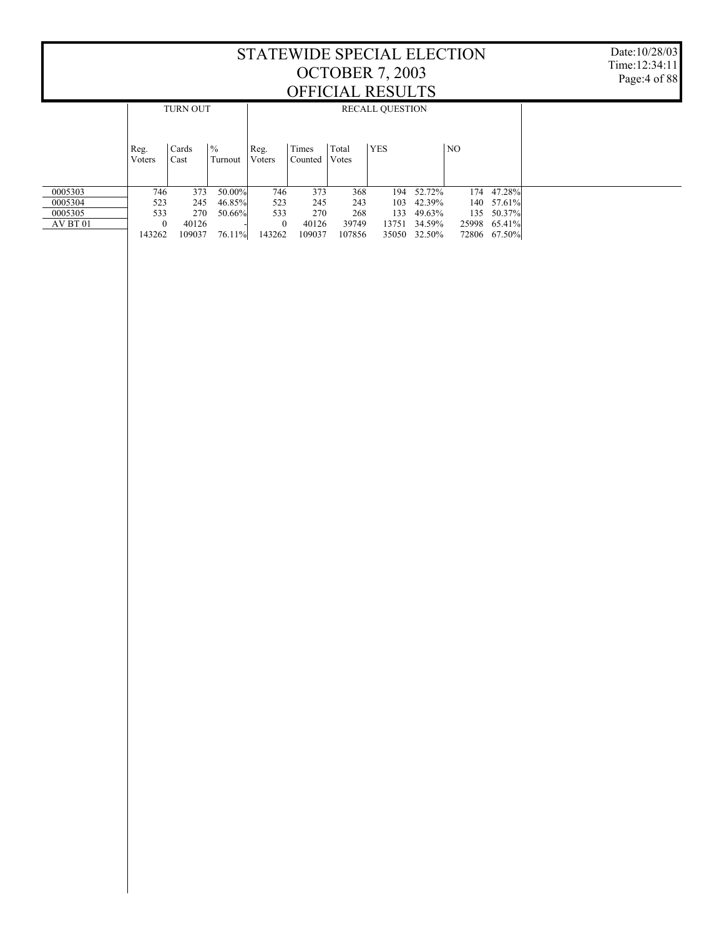| Reg.<br>Voters | Cards<br>Cast | Turnout                       | Reg.<br>Voters                                                 | Times<br>Counted           | Total<br>Votes      | <b>YES</b>                                 |            | NO.                                                   |                                                          |                                                   |  |  |  |
|----------------|---------------|-------------------------------|----------------------------------------------------------------|----------------------------|---------------------|--------------------------------------------|------------|-------------------------------------------------------|----------------------------------------------------------|---------------------------------------------------|--|--|--|
|                |               |                               |                                                                |                            |                     |                                            |            | 174                                                   | 47.28%                                                   |                                                   |  |  |  |
|                |               |                               | 523                                                            |                            |                     | 103                                        |            |                                                       |                                                          |                                                   |  |  |  |
|                |               |                               | 533                                                            |                            |                     | 133                                        |            |                                                       | 50.37%                                                   |                                                   |  |  |  |
|                |               |                               |                                                                |                            |                     | 13751                                      |            |                                                       |                                                          |                                                   |  |  |  |
| 143262         | 109037        | 76.11%                        | 143262                                                         | 109037                     | 107856              |                                            |            |                                                       |                                                          |                                                   |  |  |  |
|                |               | 746<br>523<br>533<br>$\Omega$ | <b>TURN OUT</b><br>$\frac{0}{6}$<br>373<br>245<br>270<br>40126 | 50.00%<br>46.85%<br>50.66% | 746<br>$\mathbf{0}$ | 373<br>245<br>243<br>270<br>40126<br>39749 | 368<br>268 | <u>oi i icime kuboli ib</u><br><b>RECALL QUESTION</b> | 194 52.72%<br>42.39%<br>49.63%<br>34.59%<br>35050 32.50% | 140 57.61%<br>135<br>25998 65.41%<br>72806 67.50% |  |  |  |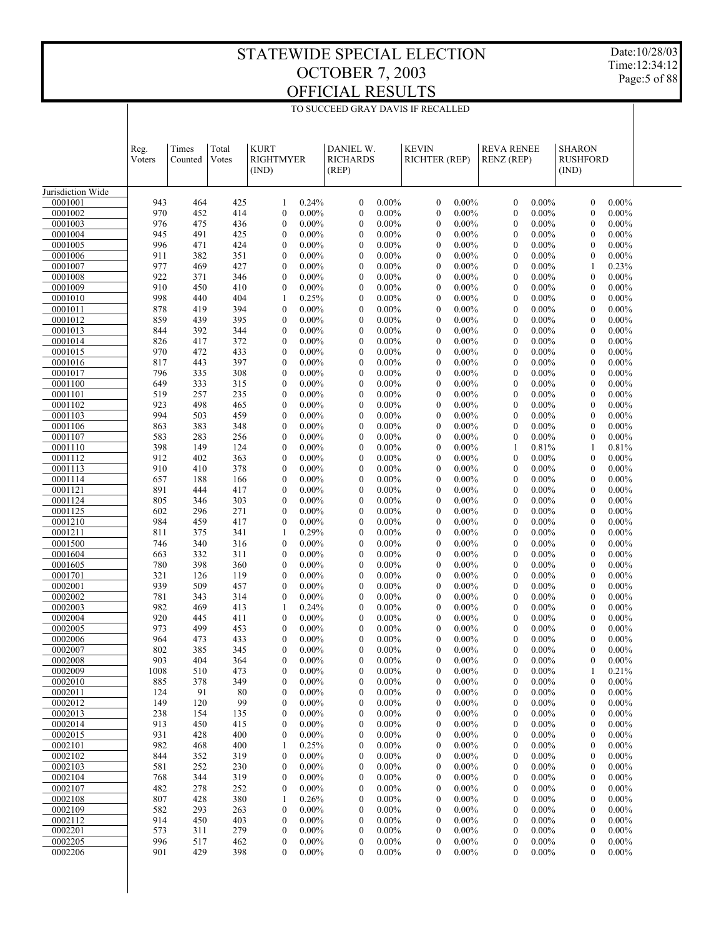Date:10/28/03 Time:12:34:12 Page:5 of 88

| TO SUCCEED GRAY DAVIS IF RECALLED |  |
|-----------------------------------|--|
|                                   |  |

|                    | Reg.<br>Voters | Times<br>Counted | Total<br>Votes | <b>KURT</b><br>RIGHTMYER<br>(IND)    |                      | DANIEL W.<br><b>RICHARDS</b><br>(REP) |                      | <b>KEVIN</b><br><b>RICHTER (REP)</b> |                      | <b>REVA RENEE</b><br><b>RENZ</b> (REP) |                      | <b>SHARON</b><br><b>RUSHFORD</b><br>(IND) |                      |  |
|--------------------|----------------|------------------|----------------|--------------------------------------|----------------------|---------------------------------------|----------------------|--------------------------------------|----------------------|----------------------------------------|----------------------|-------------------------------------------|----------------------|--|
| Jurisdiction Wide  |                |                  |                |                                      |                      |                                       |                      |                                      |                      |                                        |                      |                                           |                      |  |
| 0001001            | 943            | 464              | 425            | 1                                    | 0.24%                | $\boldsymbol{0}$                      | $0.00\%$             | $\boldsymbol{0}$                     | $0.00\%$             | $\boldsymbol{0}$                       | $0.00\%$             | $\mathbf{0}$                              | $0.00\%$             |  |
| 0001002            | 970            | 452              | 414            | $\mathbf{0}$                         | $0.00\%$             | $\mathbf{0}$                          | $0.00\%$             | $\mathbf{0}$                         | $0.00\%$             | $\mathbf{0}$                           | $0.00\%$             | $\mathbf{0}$                              | $0.00\%$             |  |
| 0001003            | 976            | 475              | 436            | $\mathbf{0}$                         | $0.00\%$             | $\mathbf{0}$                          | $0.00\%$             | $\mathbf{0}$                         | $0.00\%$             | $\theta$                               | $0.00\%$             | $\mathbf{0}$                              | $0.00\%$             |  |
| 0001004            | 945            | 491              | 425            | $\mathbf{0}$                         | $0.00\%$             | $\mathbf{0}$                          | $0.00\%$             | $\mathbf{0}$                         | $0.00\%$             | $\overline{0}$                         | $0.00\%$             | $\mathbf{0}$                              | $0.00\%$             |  |
| 0001005            | 996            | 471              | 424            | $\boldsymbol{0}$                     | $0.00\%$             | $\mathbf{0}$                          | $0.00\%$             | $\mathbf{0}$                         | $0.00\%$             | $\overline{0}$                         | $0.00\%$             | $\mathbf{0}$                              | $0.00\%$             |  |
| 0001006            | 911            | 382              | 351            | $\mathbf{0}$                         | $0.00\%$             | $\mathbf{0}$                          | $0.00\%$             | $\mathbf{0}$                         | $0.00\%$             | $\overline{0}$                         | $0.00\%$             | $\mathbf{0}$                              | $0.00\%$             |  |
| 0001007<br>0001008 | 977<br>922     | 469<br>371       | 427<br>346     | $\boldsymbol{0}$<br>$\mathbf{0}$     | $0.00\%$<br>$0.00\%$ | $\mathbf{0}$<br>$\mathbf{0}$          | $0.00\%$<br>$0.00\%$ | $\mathbf{0}$<br>$\mathbf{0}$         | $0.00\%$<br>$0.00\%$ | $\overline{0}$<br>$\overline{0}$       | $0.00\%$<br>$0.00\%$ | 1<br>$\mathbf{0}$                         | 0.23%<br>$0.00\%$    |  |
| 0001009            | 910            | 450              | 410            | $\mathbf{0}$                         | $0.00\%$             | $\mathbf{0}$                          | $0.00\%$             | $\mathbf{0}$                         | $0.00\%$             | $\overline{0}$                         | $0.00\%$             | $\mathbf{0}$                              | $0.00\%$             |  |
| 0001010            | 998            | 440              | 404            | 1                                    | 0.25%                | $\mathbf{0}$                          | $0.00\%$             | $\mathbf{0}$                         | $0.00\%$             | $\overline{0}$                         | $0.00\%$             | $\mathbf{0}$                              | $0.00\%$             |  |
| 0001011            | 878            | 419              | 394            | $\mathbf{0}$                         | $0.00\%$             | $\mathbf{0}$                          | $0.00\%$             | $\mathbf{0}$                         | $0.00\%$             | $\overline{0}$                         | $0.00\%$             | $\mathbf{0}$                              | $0.00\%$             |  |
| 0001012            | 859            | 439              | 395            | $\mathbf{0}$                         | $0.00\%$             | $\mathbf{0}$                          | $0.00\%$             | $\mathbf{0}$                         | $0.00\%$             | $\overline{0}$                         | $0.00\%$             | $\mathbf{0}$                              | $0.00\%$             |  |
| 0001013            | 844            | 392              | 344            | $\boldsymbol{0}$                     | $0.00\%$             | $\mathbf{0}$                          | $0.00\%$             | $\boldsymbol{0}$                     | $0.00\%$             | $\overline{0}$                         | $0.00\%$             | $\mathbf{0}$                              | $0.00\%$             |  |
| 0001014            | 826            | 417              | 372            | $\mathbf{0}$                         | $0.00\%$             | $\mathbf{0}$                          | $0.00\%$             | $\mathbf{0}$                         | $0.00\%$             | $\overline{0}$                         | $0.00\%$             | $\mathbf{0}$                              | $0.00\%$             |  |
| 0001015            | 970            | 472              | 433            | $\boldsymbol{0}$                     | $0.00\%$             | $\mathbf{0}$                          | $0.00\%$             | $\mathbf{0}$                         | $0.00\%$             | $\overline{0}$                         | $0.00\%$             | $\mathbf{0}$                              | $0.00\%$             |  |
| 0001016            | 817            | 443              | 397            | $\mathbf{0}$                         | $0.00\%$             | $\mathbf{0}$                          | $0.00\%$             | $\mathbf{0}$                         | $0.00\%$             | $\overline{0}$                         | $0.00\%$             | $\mathbf{0}$                              | $0.00\%$             |  |
| 0001017<br>0001100 | 796<br>649     | 335<br>333       | 308<br>315     | $\boldsymbol{0}$<br>$\mathbf{0}$     | $0.00\%$<br>$0.00\%$ | $\mathbf{0}$<br>$\mathbf{0}$          | $0.00\%$<br>$0.00\%$ | $\boldsymbol{0}$<br>$\mathbf{0}$     | $0.00\%$<br>$0.00\%$ | $\overline{0}$<br>$\overline{0}$       | $0.00\%$<br>$0.00\%$ | $\mathbf{0}$<br>$\mathbf{0}$              | $0.00\%$<br>$0.00\%$ |  |
| 0001101            | 519            | 257              | 235            | $\boldsymbol{0}$                     | $0.00\%$             | $\mathbf{0}$                          | $0.00\%$             | $\mathbf{0}$                         | $0.00\%$             | $\overline{0}$                         | $0.00\%$             | $\mathbf{0}$                              | $0.00\%$             |  |
| 0001102            | 923            | 498              | 465            | $\mathbf{0}$                         | $0.00\%$             | $\mathbf{0}$                          | $0.00\%$             | $\mathbf{0}$                         | $0.00\%$             | $\overline{0}$                         | $0.00\%$             | $\mathbf{0}$                              | $0.00\%$             |  |
| 0001103            | 994            | 503              | 459            | $\boldsymbol{0}$                     | $0.00\%$             | $\mathbf{0}$                          | $0.00\%$             | $\mathbf{0}$                         | $0.00\%$             | $\overline{0}$                         | $0.00\%$             | $\mathbf{0}$                              | $0.00\%$             |  |
| 0001106            | 863            | 383              | 348            | $\mathbf{0}$                         | $0.00\%$             | $\mathbf{0}$                          | $0.00\%$             | $\mathbf{0}$                         | $0.00\%$             | $\overline{0}$                         | $0.00\%$             | $\mathbf{0}$                              | $0.00\%$             |  |
| 0001107            | 583            | 283              | 256            | $\boldsymbol{0}$                     | $0.00\%$             | $\mathbf{0}$                          | $0.00\%$             | $\mathbf{0}$                         | $0.00\%$             | $\overline{0}$                         | $0.00\%$             | $\mathbf{0}$                              | $0.00\%$             |  |
| 0001110            | 398            | 149              | 124            | $\mathbf{0}$                         | $0.00\%$             | $\mathbf{0}$                          | $0.00\%$             | $\mathbf{0}$                         | $0.00\%$             | 1                                      | 0.81%                | 1                                         | 0.81%                |  |
| 0001112            | 912            | 402              | 363            | $\boldsymbol{0}$                     | $0.00\%$             | $\mathbf{0}$                          | $0.00\%$             | $\mathbf{0}$                         | $0.00\%$             | $\overline{0}$                         | $0.00\%$             | $\mathbf{0}$                              | $0.00\%$             |  |
| 0001113            | 910            | 410              | 378            | $\mathbf{0}$                         | $0.00\%$             | $\mathbf{0}$                          | $0.00\%$             | $\mathbf{0}$                         | $0.00\%$             | $\overline{0}$                         | $0.00\%$             | $\mathbf{0}$                              | $0.00\%$             |  |
| 0001114<br>0001121 | 657<br>891     | 188<br>444       | 166<br>417     | $\boldsymbol{0}$<br>$\mathbf{0}$     | $0.00\%$<br>$0.00\%$ | $\mathbf{0}$<br>$\mathbf{0}$          | $0.00\%$<br>$0.00\%$ | $\mathbf{0}$<br>$\mathbf{0}$         | $0.00\%$<br>$0.00\%$ | $\mathbf{0}$<br>$\mathbf{0}$           | $0.00\%$<br>$0.00\%$ | $\mathbf{0}$<br>$\mathbf{0}$              | $0.00\%$<br>$0.00\%$ |  |
| 0001124            | 805            | 346              | 303            | $\boldsymbol{0}$                     | $0.00\%$             | $\mathbf{0}$                          | $0.00\%$             | $\boldsymbol{0}$                     | $0.00\%$             | $\mathbf{0}$                           | $0.00\%$             | $\mathbf{0}$                              | $0.00\%$             |  |
| 0001125            | 602            | 296              | 271            | $\mathbf{0}$                         | $0.00\%$             | $\mathbf{0}$                          | $0.00\%$             | $\mathbf{0}$                         | $0.00\%$             | $\mathbf{0}$                           | $0.00\%$             | $\mathbf{0}$                              | $0.00\%$             |  |
| 0001210            | 984            | 459              | 417            | $\boldsymbol{0}$                     | $0.00\%$             | $\mathbf{0}$                          | $0.00\%$             | $\mathbf{0}$                         | $0.00\%$             | $\mathbf{0}$                           | $0.00\%$             | $\mathbf{0}$                              | $0.00\%$             |  |
| 0001211            | 811            | 375              | 341            | 1                                    | 0.29%                | $\mathbf{0}$                          | $0.00\%$             | $\mathbf{0}$                         | $0.00\%$             | $\mathbf{0}$                           | $0.00\%$             | $\mathbf{0}$                              | $0.00\%$             |  |
| 0001500            | 746            | 340              | 316            | $\boldsymbol{0}$                     | $0.00\%$             | $\mathbf{0}$                          | $0.00\%$             | $\boldsymbol{0}$                     | $0.00\%$             | $\mathbf{0}$                           | $0.00\%$             | $\mathbf{0}$                              | $0.00\%$             |  |
| 0001604            | 663            | 332              | 311            | $\boldsymbol{0}$                     | $0.00\%$             | $\mathbf{0}$                          | $0.00\%$             | $\mathbf{0}$                         | $0.00\%$             | $\mathbf{0}$                           | $0.00\%$             | $\mathbf{0}$                              | $0.00\%$             |  |
| 0001605            | 780            | 398              | 360            | $\boldsymbol{0}$                     | $0.00\%$             | $\mathbf{0}$                          | $0.00\%$             | $\mathbf{0}$                         | $0.00\%$             | $\mathbf{0}$                           | $0.00\%$             | $\mathbf{0}$                              | $0.00\%$             |  |
| 0001701            | 321            | 126              | 119            | $\mathbf{0}$                         | $0.00\%$             | $\mathbf{0}$                          | $0.00\%$             | $\mathbf{0}$                         | $0.00\%$             | $\mathbf{0}$<br>$\mathbf{0}$           | $0.00\%$             | $\mathbf{0}$                              | $0.00\%$             |  |
| 0002001<br>0002002 | 939<br>781     | 509<br>343       | 457<br>314     | $\boldsymbol{0}$<br>$\mathbf{0}$     | $0.00\%$<br>$0.00\%$ | $\mathbf{0}$<br>$\mathbf{0}$          | $0.00\%$<br>$0.00\%$ | $\boldsymbol{0}$<br>$\mathbf{0}$     | $0.00\%$<br>$0.00\%$ | $\mathbf{0}$                           | $0.00\%$<br>$0.00\%$ | $\mathbf{0}$<br>$\mathbf{0}$              | $0.00\%$<br>$0.00\%$ |  |
| 0002003            | 982            | 469              | 413            | 1                                    | 0.24%                | $\mathbf{0}$                          | $0.00\%$             | $\mathbf{0}$                         | $0.00\%$             | $\mathbf{0}$                           | $0.00\%$             | $\mathbf{0}$                              | $0.00\%$             |  |
| 0002004            | 920            | 445              | 411            | $\mathbf{0}$                         | $0.00\%$             | $\mathbf{0}$                          | $0.00\%$             | $\mathbf{0}$                         | $0.00\%$             | $\mathbf{0}$                           | $0.00\%$             | $\mathbf{0}$                              | $0.00\%$             |  |
| 0002005            | 973            | 499              | 453            | $\mathbf{0}$                         | $0.00\%$             | $\mathbf{0}$                          | $0.00\%$             | $\mathbf{0}$                         | $0.00\%$             | $\mathbf{0}$                           | $0.00\%$             | $\mathbf{0}$                              | $0.00\%$             |  |
| 0002006            | 964            | 473              | 433            | $\mathbf{0}$                         | $0.00\%$             | $\mathbf{0}$                          | $0.00\%$             | $\mathbf{0}$                         | $0.00\%$             | $\overline{0}$                         | $0.00\%$             | $\mathbf{0}$                              | $0.00\%$             |  |
| 0002007            | 802            | 385              | 345            | $\mathbf{0}$                         | $0.00\%$             | $\mathbf{0}$                          | $0.00\%$             | $\mathbf{0}$                         | $0.00\%$             | $\mathbf{0}$                           | $0.00\%$             | $\mathbf{0}$                              | $0.00\%$             |  |
| 0002008            | 903            | 404              | 364            | $\boldsymbol{0}$                     | $0.00\%$             | $\boldsymbol{0}$                      | $0.00\%$             | $\boldsymbol{0}$                     | $0.00\%$             | $\boldsymbol{0}$                       | $0.00\%$             | $\boldsymbol{0}$                          | $0.00\%$             |  |
| 0002009            | 1008           | 510              | 473            | $\boldsymbol{0}$                     | $0.00\%$             | $\boldsymbol{0}$                      | $0.00\%$             | $\boldsymbol{0}$                     | $0.00\%$             | $\boldsymbol{0}$                       | $0.00\%$             | 1                                         | 0.21%                |  |
| 0002010<br>0002011 | 885            | 378              | 349            | $\boldsymbol{0}$                     | $0.00\%$             | $\boldsymbol{0}$                      | $0.00\%$<br>$0.00\%$ | $\boldsymbol{0}$                     | $0.00\%$<br>$0.00\%$ | $\boldsymbol{0}$                       | $0.00\%$<br>$0.00\%$ | $\mathbf{0}$                              | $0.00\%$<br>$0.00\%$ |  |
| 0002012            | 124<br>149     | 91<br>120        | 80<br>99       | $\boldsymbol{0}$<br>$\boldsymbol{0}$ | $0.00\%$<br>$0.00\%$ | $\boldsymbol{0}$<br>$\boldsymbol{0}$  | $0.00\%$             | $\boldsymbol{0}$<br>$\boldsymbol{0}$ | $0.00\%$             | $\boldsymbol{0}$<br>$\boldsymbol{0}$   | $0.00\%$             | $\mathbf{0}$<br>$\mathbf{0}$              | $0.00\%$             |  |
| 0002013            | 238            | 154              | 135            | $\boldsymbol{0}$                     | $0.00\%$             | $\boldsymbol{0}$                      | $0.00\%$             | $\boldsymbol{0}$                     | $0.00\%$             | $\boldsymbol{0}$                       | $0.00\%$             | $\mathbf{0}$                              | $0.00\%$             |  |
| 0002014            | 913            | 450              | 415            | $\boldsymbol{0}$                     | $0.00\%$             | $\boldsymbol{0}$                      | $0.00\%$             | $\boldsymbol{0}$                     | $0.00\%$             | $\boldsymbol{0}$                       | $0.00\%$             | $\mathbf{0}$                              | $0.00\%$             |  |
| 0002015            | 931            | 428              | 400            | $\boldsymbol{0}$                     | $0.00\%$             | $\boldsymbol{0}$                      | $0.00\%$             | $\boldsymbol{0}$                     | $0.00\%$             | $\boldsymbol{0}$                       | $0.00\%$             | $\mathbf{0}$                              | $0.00\%$             |  |
| 0002101            | 982            | 468              | 400            | 1                                    | 0.25%                | $\boldsymbol{0}$                      | $0.00\%$             | $\boldsymbol{0}$                     | $0.00\%$             | $\boldsymbol{0}$                       | $0.00\%$             | $\mathbf{0}$                              | $0.00\%$             |  |
| 0002102            | 844            | 352              | 319            | $\boldsymbol{0}$                     | $0.00\%$             | $\boldsymbol{0}$                      | $0.00\%$             | $\boldsymbol{0}$                     | $0.00\%$             | $\boldsymbol{0}$                       | $0.00\%$             | $\mathbf{0}$                              | $0.00\%$             |  |
| 0002103            | 581            | 252              | 230            | $\boldsymbol{0}$                     | $0.00\%$             | $\boldsymbol{0}$                      | $0.00\%$             | $\boldsymbol{0}$                     | $0.00\%$             | $\boldsymbol{0}$                       | $0.00\%$             | $\mathbf{0}$                              | $0.00\%$             |  |
| 0002104            | 768            | 344              | 319            | $\boldsymbol{0}$                     | $0.00\%$             | $\boldsymbol{0}$                      | $0.00\%$             | $\boldsymbol{0}$                     | $0.00\%$             | $\boldsymbol{0}$                       | $0.00\%$             | $\mathbf{0}$                              | $0.00\%$             |  |
| 0002107            | 482            | 278              | 252            | $\boldsymbol{0}$                     | $0.00\%$             | $\boldsymbol{0}$                      | $0.00\%$             | $\boldsymbol{0}$                     | $0.00\%$             | $\boldsymbol{0}$                       | $0.00\%$             | $\mathbf{0}$                              | $0.00\%$             |  |
| 0002108<br>0002109 | 807<br>582     | 428<br>293       | 380<br>263     | 1<br>$\boldsymbol{0}$                | 0.26%<br>$0.00\%$    | $\boldsymbol{0}$<br>$\boldsymbol{0}$  | $0.00\%$<br>$0.00\%$ | $\boldsymbol{0}$<br>$\boldsymbol{0}$ | $0.00\%$<br>$0.00\%$ | $\boldsymbol{0}$<br>$\boldsymbol{0}$   | $0.00\%$<br>$0.00\%$ | $\mathbf{0}$<br>$\mathbf{0}$              | $0.00\%$<br>$0.00\%$ |  |
| 0002112            | 914            | 450              | 403            | $\boldsymbol{0}$                     | $0.00\%$             | $\boldsymbol{0}$                      | $0.00\%$             | $\boldsymbol{0}$                     | $0.00\%$             | $\boldsymbol{0}$                       | $0.00\%$             | $\mathbf{0}$                              | $0.00\%$             |  |
| 0002201            | 573            | 311              | 279            | $\boldsymbol{0}$                     | $0.00\%$             | $\boldsymbol{0}$                      | $0.00\%$             | $\boldsymbol{0}$                     | $0.00\%$             | $\boldsymbol{0}$                       | $0.00\%$             | $\mathbf{0}$                              | $0.00\%$             |  |
| 0002205            | 996            | 517              | 462            | $\boldsymbol{0}$                     | $0.00\%$             | $\boldsymbol{0}$                      | $0.00\%$             | $\boldsymbol{0}$                     | $0.00\%$             | $\boldsymbol{0}$                       | $0.00\%$             | $\mathbf{0}$                              | $0.00\%$             |  |
| 0002206            | 901            | 429              | 398            | $\boldsymbol{0}$                     | $0.00\%$             | $\boldsymbol{0}$                      | $0.00\%$             | $\boldsymbol{0}$                     | $0.00\%$             | $\boldsymbol{0}$                       | $0.00\%$             | $\bf{0}$                                  | $0.00\%$             |  |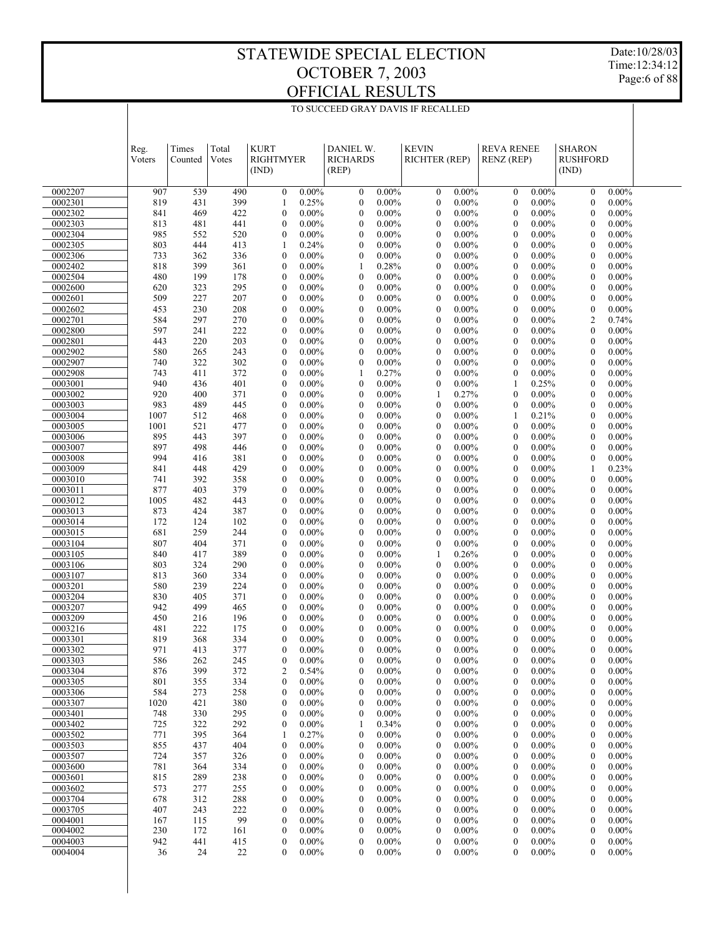Date:10/28/03 Time:12:34:12 Page:6 of 88

|                    | Reg.<br>Voters | Times<br>Counted | Total<br>Votes | <b>KURT</b><br><b>RIGHTMYER</b><br>(IND) |                      | DANIEL W.<br><b>RICHARDS</b><br>(REP) |                      | <b>KEVIN</b><br>RICHTER (REP)        |                      | <b>REVA RENEE</b><br><b>RENZ</b> (REP) |                      | <b>SHARON</b><br><b>RUSHFORD</b><br>(IND) |                      |  |
|--------------------|----------------|------------------|----------------|------------------------------------------|----------------------|---------------------------------------|----------------------|--------------------------------------|----------------------|----------------------------------------|----------------------|-------------------------------------------|----------------------|--|
| 0002207            | 907            | 539              | 490            | $\boldsymbol{0}$                         | $0.00\%$             | $\boldsymbol{0}$                      | $0.00\%$             | $\boldsymbol{0}$                     | $0.00\%$             | $\mathbf{0}$                           | $0.00\%$             | $\boldsymbol{0}$                          | $0.00\%$             |  |
| 0002301            | 819            | 431              | 399            | 1                                        | 0.25%                | $\boldsymbol{0}$                      | $0.00\%$             | $\boldsymbol{0}$                     | $0.00\%$             | $\boldsymbol{0}$                       | $0.00\%$             | $\boldsymbol{0}$                          | $0.00\%$             |  |
| 0002302            | 841            | 469              | 422            | $\boldsymbol{0}$                         | $0.00\%$             | $\boldsymbol{0}$                      | $0.00\%$             | $\boldsymbol{0}$                     | $0.00\%$             | $\boldsymbol{0}$                       | $0.00\%$             | $\boldsymbol{0}$                          | $0.00\%$             |  |
| 0002303            | 813            | 481              | 441            | $\mathbf{0}$                             | $0.00\%$             | $\mathbf{0}$                          | $0.00\%$             | $\boldsymbol{0}$                     | $0.00\%$             | $\mathbf{0}$                           | $0.00\%$             | $\mathbf{0}$                              | $0.00\%$             |  |
| 0002304            | 985            | 552              | 520            | $\boldsymbol{0}$                         | $0.00\%$             | $\boldsymbol{0}$                      | $0.00\%$             | $\boldsymbol{0}$                     | $0.00\%$             | $\boldsymbol{0}$                       | $0.00\%$             | $\boldsymbol{0}$                          | $0.00\%$             |  |
| 0002305<br>0002306 | 803<br>733     | 444<br>362       | 413<br>336     | 1<br>$\boldsymbol{0}$                    | 0.24%<br>$0.00\%$    | $\mathbf{0}$<br>$\boldsymbol{0}$      | $0.00\%$<br>$0.00\%$ | $\boldsymbol{0}$<br>$\boldsymbol{0}$ | $0.00\%$<br>$0.00\%$ | $\boldsymbol{0}$<br>$\boldsymbol{0}$   | $0.00\%$<br>$0.00\%$ | $\boldsymbol{0}$<br>$\boldsymbol{0}$      | $0.00\%$<br>$0.00\%$ |  |
| 0002402            | 818            | 399              | 361            | $\boldsymbol{0}$                         | $0.00\%$             | 1                                     | 0.28%                | $\boldsymbol{0}$                     | $0.00\%$             | $\mathbf{0}$                           | $0.00\%$             | $\mathbf{0}$                              | $0.00\%$             |  |
| 0002504            | 480            | 199              | 178            | $\boldsymbol{0}$                         | $0.00\%$             | $\boldsymbol{0}$                      | $0.00\%$             | $\boldsymbol{0}$                     | $0.00\%$             | $\boldsymbol{0}$                       | $0.00\%$             | $\boldsymbol{0}$                          | $0.00\%$             |  |
| 0002600            | 620            | 323              | 295            | $\boldsymbol{0}$                         | $0.00\%$             | $\mathbf{0}$                          | $0.00\%$             | $\boldsymbol{0}$                     | $0.00\%$             | $\mathbf{0}$                           | $0.00\%$             | $\mathbf{0}$                              | $0.00\%$             |  |
| 0002601            | 509            | 227              | 207            | $\boldsymbol{0}$                         | $0.00\%$             | $\boldsymbol{0}$                      | $0.00\%$             | $\boldsymbol{0}$                     | $0.00\%$             | $\boldsymbol{0}$                       | $0.00\%$             | $\boldsymbol{0}$                          | $0.00\%$             |  |
| 0002602            | 453            | 230              | 208            | $\boldsymbol{0}$                         | $0.00\%$             | $\mathbf{0}$                          | $0.00\%$             | $\boldsymbol{0}$                     | $0.00\%$             | $\mathbf{0}$                           | $0.00\%$             | $\boldsymbol{0}$                          | $0.00\%$             |  |
| 0002701            | 584            | 297              | 270            | $\boldsymbol{0}$                         | $0.00\%$             | $\boldsymbol{0}$                      | $0.00\%$             | $\boldsymbol{0}$                     | $0.00\%$             | $\boldsymbol{0}$                       | $0.00\%$             | $\overline{c}$                            | 0.74%                |  |
| 0002800            | 597            | 241              | 222            | $\boldsymbol{0}$                         | $0.00\%$             | $\mathbf{0}$                          | $0.00\%$             | $\boldsymbol{0}$                     | $0.00\%$             | $\boldsymbol{0}$                       | $0.00\%$             | $\boldsymbol{0}$                          | $0.00\%$             |  |
| 0002801<br>0002902 | 443<br>580     | 220<br>265       | 203<br>243     | $\boldsymbol{0}$<br>$\boldsymbol{0}$     | $0.00\%$<br>$0.00\%$ | $\boldsymbol{0}$<br>$\mathbf{0}$      | $0.00\%$<br>$0.00\%$ | $\boldsymbol{0}$<br>$\boldsymbol{0}$ | $0.00\%$<br>$0.00\%$ | $\boldsymbol{0}$<br>$\mathbf{0}$       | $0.00\%$<br>$0.00\%$ | $\boldsymbol{0}$<br>$\boldsymbol{0}$      | $0.00\%$<br>$0.00\%$ |  |
| 0002907            | 740            | 322              | 302            | $\boldsymbol{0}$                         | $0.00\%$             | $\boldsymbol{0}$                      | $0.00\%$             | $\boldsymbol{0}$                     | $0.00\%$             | $\boldsymbol{0}$                       | $0.00\%$             | $\boldsymbol{0}$                          | $0.00\%$             |  |
| 0002908            | 743            | 411              | 372            | $\boldsymbol{0}$                         | $0.00\%$             | 1                                     | 0.27%                | $\boldsymbol{0}$                     | $0.00\%$             | $\boldsymbol{0}$                       | $0.00\%$             | $\boldsymbol{0}$                          | $0.00\%$             |  |
| 0003001            | 940            | 436              | 401            | $\boldsymbol{0}$                         | $0.00\%$             | $\boldsymbol{0}$                      | $0.00\%$             | $\boldsymbol{0}$                     | $0.00\%$             | 1                                      | 0.25%                | $\boldsymbol{0}$                          | $0.00\%$             |  |
| 0003002            | 920            | 400              | 371            | $\boldsymbol{0}$                         | $0.00\%$             | $\mathbf{0}$                          | $0.00\%$             | 1                                    | 0.27%                | $\mathbf{0}$                           | $0.00\%$             | $\mathbf{0}$                              | $0.00\%$             |  |
| 0003003            | 983            | 489              | 445            | $\boldsymbol{0}$                         | $0.00\%$             | $\boldsymbol{0}$                      | $0.00\%$             | $\boldsymbol{0}$                     | $0.00\%$             | $\boldsymbol{0}$                       | $0.00\%$             | $\boldsymbol{0}$                          | $0.00\%$             |  |
| 0003004            | 1007           | 512              | 468            | $\boldsymbol{0}$                         | $0.00\%$             | $\mathbf{0}$                          | $0.00\%$             | $\boldsymbol{0}$                     | $0.00\%$             | 1                                      | 0.21%                | $\boldsymbol{0}$                          | $0.00\%$             |  |
| 0003005            | 1001           | 521              | 477            | $\boldsymbol{0}$                         | $0.00\%$             | $\boldsymbol{0}$                      | $0.00\%$             | $\boldsymbol{0}$                     | $0.00\%$             | $\mathbf{0}$                           | $0.00\%$             | $\boldsymbol{0}$                          | $0.00\%$             |  |
| 0003006            | 895            | 443              | 397            | $\boldsymbol{0}$                         | $0.00\%$             | $\mathbf{0}$                          | $0.00\%$             | $\boldsymbol{0}$                     | $0.00\%$             | $\boldsymbol{0}$                       | $0.00\%$             | $\mathbf{0}$                              | $0.00\%$             |  |
| 0003007<br>0003008 | 897<br>994     | 498<br>416       | 446<br>381     | $\boldsymbol{0}$<br>$\boldsymbol{0}$     | $0.00\%$<br>$0.00\%$ | $\boldsymbol{0}$<br>$\mathbf{0}$      | $0.00\%$<br>$0.00\%$ | $\boldsymbol{0}$<br>$\boldsymbol{0}$ | $0.00\%$<br>$0.00\%$ | $\boldsymbol{0}$<br>$\boldsymbol{0}$   | $0.00\%$<br>$0.00\%$ | $\boldsymbol{0}$<br>$\boldsymbol{0}$      | $0.00\%$<br>$0.00\%$ |  |
| 0003009            | 841            | 448              | 429            | $\boldsymbol{0}$                         | $0.00\%$             | $\boldsymbol{0}$                      | $0.00\%$             | $\boldsymbol{0}$                     | $0.00\%$             | $\boldsymbol{0}$                       | $0.00\%$             | 1                                         | 0.23%                |  |
| 0003010            | 741            | 392              | 358            | $\boldsymbol{0}$                         | $0.00\%$             | $\mathbf{0}$                          | $0.00\%$             | $\boldsymbol{0}$                     | $0.00\%$             | $\mathbf{0}$                           | $0.00\%$             | $\boldsymbol{0}$                          | $0.00\%$             |  |
| 0003011            | 877            | 403              | 379            | $\boldsymbol{0}$                         | $0.00\%$             | $\boldsymbol{0}$                      | $0.00\%$             | $\boldsymbol{0}$                     | $0.00\%$             | $\boldsymbol{0}$                       | $0.00\%$             | $\boldsymbol{0}$                          | $0.00\%$             |  |
| 0003012            | 1005           | 482              | 443            | $\boldsymbol{0}$                         | $0.00\%$             | $\mathbf{0}$                          | $0.00\%$             | $\boldsymbol{0}$                     | $0.00\%$             | $\mathbf{0}$                           | $0.00\%$             | $\mathbf{0}$                              | $0.00\%$             |  |
| 0003013            | 873            | 424              | 387            | $\boldsymbol{0}$                         | $0.00\%$             | $\boldsymbol{0}$                      | $0.00\%$             | $\boldsymbol{0}$                     | $0.00\%$             | $\boldsymbol{0}$                       | $0.00\%$             | $\boldsymbol{0}$                          | $0.00\%$             |  |
| 0003014            | 172            | 124              | 102            | $\boldsymbol{0}$                         | $0.00\%$             | $\mathbf{0}$                          | $0.00\%$             | $\boldsymbol{0}$                     | $0.00\%$             | $\mathbf{0}$                           | $0.00\%$             | $\mathbf{0}$                              | $0.00\%$             |  |
| 0003015            | 681<br>807     | 259<br>404       | 244<br>371     | $\boldsymbol{0}$<br>$\boldsymbol{0}$     | $0.00\%$<br>$0.00\%$ | $\boldsymbol{0}$<br>$\mathbf{0}$      | $0.00\%$<br>$0.00\%$ | $\boldsymbol{0}$<br>$\boldsymbol{0}$ | $0.00\%$<br>$0.00\%$ | $\boldsymbol{0}$<br>$\boldsymbol{0}$   | $0.00\%$<br>$0.00\%$ | $\boldsymbol{0}$<br>$\boldsymbol{0}$      | $0.00\%$<br>$0.00\%$ |  |
| 0003104<br>0003105 | 840            | 417              | 389            | $\boldsymbol{0}$                         | $0.00\%$             | $\boldsymbol{0}$                      | $0.00\%$             | 1                                    | 0.26%                | $\boldsymbol{0}$                       | $0.00\%$             | $\boldsymbol{0}$                          | $0.00\%$             |  |
| 0003106            | 803            | 324              | 290            | $\boldsymbol{0}$                         | $0.00\%$             | $\mathbf{0}$                          | $0.00\%$             | $\boldsymbol{0}$                     | $0.00\%$             | $\mathbf{0}$                           | $0.00\%$             | $\boldsymbol{0}$                          | $0.00\%$             |  |
| 0003107            | 813            | 360              | 334            | $\boldsymbol{0}$                         | $0.00\%$             | $\boldsymbol{0}$                      | $0.00\%$             | $\boldsymbol{0}$                     | $0.00\%$             | $\boldsymbol{0}$                       | $0.00\%$             | $\boldsymbol{0}$                          | $0.00\%$             |  |
| 0003201            | 580            | 239              | 224            | $\boldsymbol{0}$                         | $0.00\%$             | $\mathbf{0}$                          | $0.00\%$             | $\boldsymbol{0}$                     | $0.00\%$             | $\mathbf{0}$                           | $0.00\%$             | $\mathbf{0}$                              | $0.00\%$             |  |
| 0003204            | 830            | 405              | 371            | $\boldsymbol{0}$                         | $0.00\%$             | $\boldsymbol{0}$                      | $0.00\%$             | $\boldsymbol{0}$                     | $0.00\%$             | $\boldsymbol{0}$                       | $0.00\%$             | $\boldsymbol{0}$                          | $0.00\%$             |  |
| 0003207            | 942            | 499              | 465            | $\boldsymbol{0}$                         | $0.00\%$             | $\mathbf{0}$                          | $0.00\%$             | $\boldsymbol{0}$                     | $0.00\%$             | $\mathbf{0}$                           | $0.00\%$             | $\mathbf{0}$                              | $0.00\%$             |  |
| 0003209            | 450            | 216              | 196            | $\boldsymbol{0}$<br>$\mathbf{0}$         | $0.00\%$             | $\boldsymbol{0}$<br>$\mathbf{0}$      | $0.00\%$             | $\boldsymbol{0}$<br>$\mathbf{0}$     | $0.00\%$             | $\boldsymbol{0}$<br>$\mathbf{0}$       | $0.00\%$             | $\boldsymbol{0}$<br>$\mathbf{0}$          | $0.00\%$             |  |
| 0003216<br>0003301 | 481<br>819     | 222<br>368       | 175<br>334     | $\boldsymbol{0}$                         | $0.00\%$<br>$0.00\%$ | 0                                     | $0.00\%$<br>$0.00\%$ | $\boldsymbol{0}$                     | $0.00\%$<br>$0.00\%$ | $\mathbf{0}$                           | $0.00\%$<br>$0.00\%$ | $\mathbf{0}$                              | $0.00\%$<br>$0.00\%$ |  |
| 0003302            | 971            | 413              | 377            | $\overline{0}$                           | $0.00\%$             | $\overline{0}$                        | $0.00\%$             | $\mathbf{0}$                         | $0.00\%$             | $\mathbf{0}$                           | $0.00\%$             | $\mathbf{0}$                              | $0.00\%$             |  |
| 0003303            | 586            | 262              | 245            | $\boldsymbol{0}$                         | $0.00\%$             | $\boldsymbol{0}$                      | $0.00\%$             | $\mathbf{0}$                         | $0.00\%$             | $\boldsymbol{0}$                       | $0.00\%$             | $\boldsymbol{0}$                          | $0.00\%$             |  |
| 0003304            | 876            | 399              | 372            | 2                                        | 0.54%                | 0                                     | $0.00\%$             | $\boldsymbol{0}$                     | $0.00\%$             | $\boldsymbol{0}$                       | $0.00\%$             | $\boldsymbol{0}$                          | $0.00\%$             |  |
| 0003305            | 801            | 355              | 334            | $\boldsymbol{0}$                         | $0.00\%$             | $\boldsymbol{0}$                      | $0.00\%$             | $\boldsymbol{0}$                     | $0.00\%$             | $\boldsymbol{0}$                       | $0.00\%$             | $\boldsymbol{0}$                          | $0.00\%$             |  |
| 0003306            | 584            | 273              | 258            | $\boldsymbol{0}$                         | $0.00\%$             | $\boldsymbol{0}$                      | $0.00\%$             | $\boldsymbol{0}$                     | $0.00\%$             | $\boldsymbol{0}$                       | $0.00\%$             | $\boldsymbol{0}$                          | $0.00\%$             |  |
| 0003307            | 1020           | 421              | 380            | $\boldsymbol{0}$                         | $0.00\%$             | $\boldsymbol{0}$                      | $0.00\%$             | $\boldsymbol{0}$                     | $0.00\%$             | $\boldsymbol{0}$                       | $0.00\%$             | $\boldsymbol{0}$                          | $0.00\%$             |  |
| 0003401<br>0003402 | 748<br>725     | 330<br>322       | 295<br>292     | $\boldsymbol{0}$<br>$\boldsymbol{0}$     | $0.00\%$<br>$0.00\%$ | $\boldsymbol{0}$                      | $0.00\%$<br>0.34%    | $\boldsymbol{0}$<br>$\boldsymbol{0}$ | $0.00\%$<br>$0.00\%$ | $\boldsymbol{0}$<br>$\boldsymbol{0}$   | $0.00\%$<br>$0.00\%$ | $\boldsymbol{0}$<br>$\boldsymbol{0}$      | $0.00\%$<br>$0.00\%$ |  |
| 0003502            | 771            | 395              | 364            | 1                                        | 0.27%                | 1<br>$\boldsymbol{0}$                 | $0.00\%$             | $\boldsymbol{0}$                     | $0.00\%$             | $\boldsymbol{0}$                       | $0.00\%$             | $\boldsymbol{0}$                          | $0.00\%$             |  |
| 0003503            | 855            | 437              | 404            | $\boldsymbol{0}$                         | $0.00\%$             | $\boldsymbol{0}$                      | $0.00\%$             | $\boldsymbol{0}$                     | $0.00\%$             | $\boldsymbol{0}$                       | $0.00\%$             | $\boldsymbol{0}$                          | $0.00\%$             |  |
| 0003507            | 724            | 357              | 326            | $\boldsymbol{0}$                         | $0.00\%$             | $\boldsymbol{0}$                      | $0.00\%$             | $\boldsymbol{0}$                     | $0.00\%$             | $\boldsymbol{0}$                       | $0.00\%$             | $\boldsymbol{0}$                          | $0.00\%$             |  |
| 0003600            | 781            | 364              | 334            | $\boldsymbol{0}$                         | $0.00\%$             | $\boldsymbol{0}$                      | $0.00\%$             | $\boldsymbol{0}$                     | $0.00\%$             | $\boldsymbol{0}$                       | $0.00\%$             | $\boldsymbol{0}$                          | $0.00\%$             |  |
| 0003601            | 815            | 289              | 238            | $\boldsymbol{0}$                         | $0.00\%$             | $\boldsymbol{0}$                      | $0.00\%$             | $\boldsymbol{0}$                     | $0.00\%$             | $\boldsymbol{0}$                       | $0.00\%$             | $\boldsymbol{0}$                          | $0.00\%$             |  |
| 0003602            | 573            | 277              | 255            | $\boldsymbol{0}$                         | $0.00\%$             | $\boldsymbol{0}$                      | $0.00\%$             | $\boldsymbol{0}$                     | $0.00\%$             | $\boldsymbol{0}$                       | $0.00\%$             | $\boldsymbol{0}$                          | $0.00\%$             |  |
| 0003704            | 678            | 312              | 288            | $\boldsymbol{0}$                         | $0.00\%$             | $\boldsymbol{0}$                      | $0.00\%$             | $\boldsymbol{0}$                     | $0.00\%$             | $\boldsymbol{0}$                       | $0.00\%$             | $\boldsymbol{0}$                          | $0.00\%$             |  |
| 0003705<br>0004001 | 407<br>167     | 243<br>115       | 222<br>99      | $\boldsymbol{0}$<br>$\boldsymbol{0}$     | $0.00\%$<br>$0.00\%$ | $\boldsymbol{0}$<br>$\boldsymbol{0}$  | $0.00\%$<br>$0.00\%$ | $\boldsymbol{0}$<br>$\boldsymbol{0}$ | $0.00\%$<br>$0.00\%$ | $\boldsymbol{0}$<br>$\boldsymbol{0}$   | $0.00\%$<br>$0.00\%$ | $\boldsymbol{0}$<br>$\boldsymbol{0}$      | $0.00\%$<br>$0.00\%$ |  |
| 0004002            | 230            | 172              | 161            | $\boldsymbol{0}$                         | $0.00\%$             | $\boldsymbol{0}$                      | $0.00\%$             | $\boldsymbol{0}$                     | $0.00\%$             | $\boldsymbol{0}$                       | $0.00\%$             | $\boldsymbol{0}$                          | $0.00\%$             |  |
| 0004003            | 942            | 441              | 415            | $\boldsymbol{0}$                         | $0.00\%$             | $\boldsymbol{0}$                      | $0.00\%$             | $\boldsymbol{0}$                     | $0.00\%$             | $\boldsymbol{0}$                       | $0.00\%$             | $\boldsymbol{0}$                          | $0.00\%$             |  |
| 0004004            | 36             | 24               | 22             | $\boldsymbol{0}$                         | $0.00\%$             | $\overline{0}$                        | $0.00\%$             | $\boldsymbol{0}$                     | $0.00\%$             | $\boldsymbol{0}$                       | $0.00\%$             | $\boldsymbol{0}$                          | $0.00\%$             |  |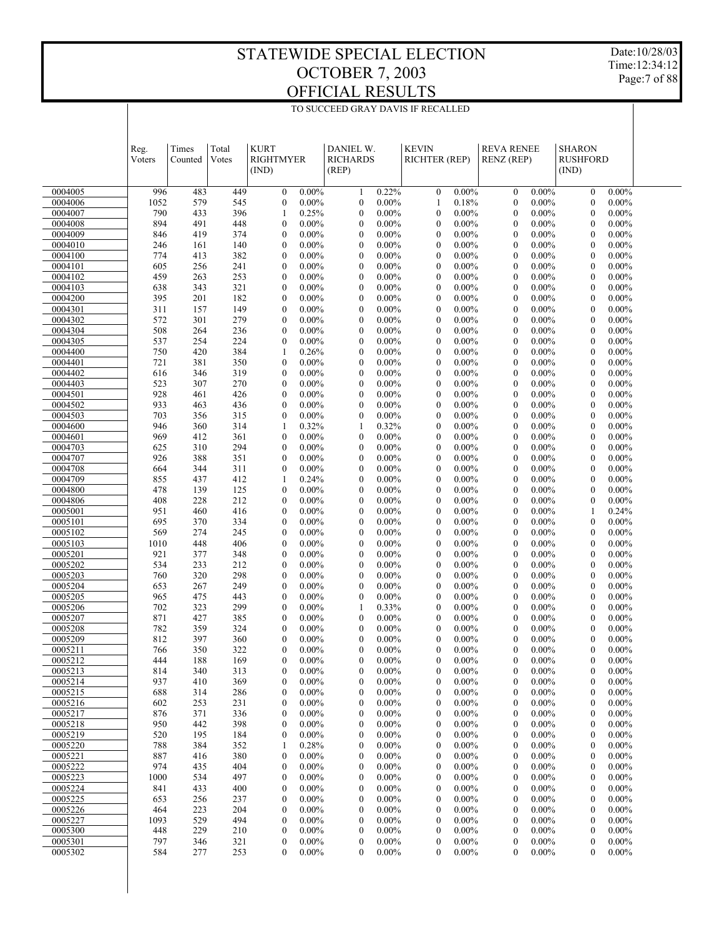Date:10/28/03 Time:12:34:12 Page:7 of 88

|                    | Reg.<br>Voters | Times<br>Counted | Total<br>Votes | <b>KURT</b><br><b>RIGHTMYER</b><br>(IND) |                      | DANIEL W.<br><b>RICHARDS</b><br>(REP) |                      | <b>KEVIN</b><br>RICHTER (REP)        |                      | <b>REVA RENEE</b><br><b>RENZ</b> (REP) |                      | <b>SHARON</b><br><b>RUSHFORD</b><br>(IND) |                      |  |
|--------------------|----------------|------------------|----------------|------------------------------------------|----------------------|---------------------------------------|----------------------|--------------------------------------|----------------------|----------------------------------------|----------------------|-------------------------------------------|----------------------|--|
| 0004005            | 996            | 483              | 449            | $\mathbf{0}$                             | $0.00\%$             | $\mathbf{1}$                          | 0.22%                | $\boldsymbol{0}$                     | $0.00\%$             | $\mathbf{0}$                           | $0.00\%$             | $\boldsymbol{0}$                          | $0.00\%$             |  |
| 0004006            | 1052           | 579              | 545            | $\boldsymbol{0}$                         | $0.00\%$             | $\boldsymbol{0}$                      | $0.00\%$             | 1                                    | 0.18%                | $\boldsymbol{0}$                       | $0.00\%$             | $\boldsymbol{0}$                          | $0.00\%$             |  |
| 0004007            | 790            | 433              | 396            | 1                                        | 0.25%                | $\boldsymbol{0}$                      | $0.00\%$             | $\boldsymbol{0}$                     | $0.00\%$             | $\boldsymbol{0}$                       | $0.00\%$             | $\boldsymbol{0}$                          | $0.00\%$             |  |
| 0004008<br>0004009 | 894<br>846     | 491<br>419       | 448<br>374     | $\mathbf{0}$<br>$\boldsymbol{0}$         | $0.00\%$<br>$0.00\%$ | $\mathbf{0}$<br>$\boldsymbol{0}$      | $0.00\%$<br>$0.00\%$ | $\boldsymbol{0}$<br>$\boldsymbol{0}$ | $0.00\%$<br>$0.00\%$ | $\mathbf{0}$<br>$\boldsymbol{0}$       | $0.00\%$<br>$0.00\%$ | $\mathbf{0}$<br>$\boldsymbol{0}$          | $0.00\%$<br>$0.00\%$ |  |
| 0004010            | 246            | 161              | 140            | $\boldsymbol{0}$                         | $0.00\%$             | $\mathbf{0}$                          | $0.00\%$             | $\boldsymbol{0}$                     | $0.00\%$             | $\boldsymbol{0}$                       | $0.00\%$             | $\boldsymbol{0}$                          | $0.00\%$             |  |
| 0004100            | 774            | 413              | 382            | $\boldsymbol{0}$                         | $0.00\%$             | $\boldsymbol{0}$                      | $0.00\%$             | $\boldsymbol{0}$                     | $0.00\%$             | $\boldsymbol{0}$                       | $0.00\%$             | $\boldsymbol{0}$                          | $0.00\%$             |  |
| 0004101            | 605            | 256              | 241            | $\boldsymbol{0}$                         | $0.00\%$             | $\mathbf{0}$                          | $0.00\%$             | $\boldsymbol{0}$                     | $0.00\%$             | $\mathbf{0}$                           | $0.00\%$             | $\mathbf{0}$                              | $0.00\%$             |  |
| 0004102            | 459            | 263              | 253            | $\boldsymbol{0}$                         | $0.00\%$             | $\boldsymbol{0}$                      | $0.00\%$             | $\boldsymbol{0}$                     | $0.00\%$             | $\boldsymbol{0}$                       | $0.00\%$             | $\boldsymbol{0}$                          | $0.00\%$             |  |
| 0004103            | 638            | 343              | 321            | $\boldsymbol{0}$                         | $0.00\%$             | $\mathbf{0}$                          | $0.00\%$             | $\boldsymbol{0}$                     | $0.00\%$             | $\mathbf{0}$                           | $0.00\%$             | $\boldsymbol{0}$                          | $0.00\%$             |  |
| 0004200<br>0004301 | 395<br>311     | 201<br>157       | 182<br>149     | $\boldsymbol{0}$<br>$\boldsymbol{0}$     | $0.00\%$<br>$0.00\%$ | $\boldsymbol{0}$<br>$\mathbf{0}$      | $0.00\%$<br>$0.00\%$ | $\boldsymbol{0}$<br>$\boldsymbol{0}$ | $0.00\%$<br>$0.00\%$ | $\mathbf{0}$<br>$\mathbf{0}$           | $0.00\%$<br>$0.00\%$ | $\boldsymbol{0}$<br>$\mathbf{0}$          | $0.00\%$<br>$0.00\%$ |  |
| 0004302            | 572            | 301              | 279            | $\boldsymbol{0}$                         | $0.00\%$             | $\boldsymbol{0}$                      | $0.00\%$             | $\boldsymbol{0}$                     | $0.00\%$             | $\boldsymbol{0}$                       | $0.00\%$             | $\boldsymbol{0}$                          | $0.00\%$             |  |
| 0004304            | 508            | 264              | 236            | $\boldsymbol{0}$                         | $0.00\%$             | $\mathbf{0}$                          | $0.00\%$             | $\boldsymbol{0}$                     | $0.00\%$             | $\boldsymbol{0}$                       | $0.00\%$             | $\boldsymbol{0}$                          | $0.00\%$             |  |
| 0004305            | 537            | 254              | 224            | $\boldsymbol{0}$                         | $0.00\%$             | $\boldsymbol{0}$                      | $0.00\%$             | $\boldsymbol{0}$                     | $0.00\%$             | $\boldsymbol{0}$                       | $0.00\%$             | $\boldsymbol{0}$                          | $0.00\%$             |  |
| 0004400            | 750            | 420              | 384            | 1                                        | 0.26%                | $\mathbf{0}$                          | $0.00\%$             | $\boldsymbol{0}$                     | $0.00\%$             | $\mathbf{0}$                           | $0.00\%$             | $\boldsymbol{0}$                          | $0.00\%$             |  |
| 0004401            | 721            | 381              | 350            | $\boldsymbol{0}$                         | $0.00\%$             | $\boldsymbol{0}$                      | $0.00\%$             | $\boldsymbol{0}$                     | $0.00\%$             | $\boldsymbol{0}$                       | $0.00\%$             | $\boldsymbol{0}$                          | $0.00\%$             |  |
| 0004402            | 616            | 346              | 319            | $\boldsymbol{0}$                         | $0.00\%$             | $\mathbf{0}$                          | $0.00\%$             | $\boldsymbol{0}$                     | $0.00\%$             | $\mathbf{0}$                           | $0.00\%$             | $\boldsymbol{0}$                          | $0.00\%$             |  |
| 0004403<br>0004501 | 523<br>928     | 307<br>461       | 270<br>426     | $\boldsymbol{0}$<br>$\boldsymbol{0}$     | $0.00\%$<br>$0.00\%$ | $\boldsymbol{0}$<br>$\mathbf{0}$      | $0.00\%$<br>$0.00\%$ | $\boldsymbol{0}$<br>$\boldsymbol{0}$ | $0.00\%$<br>$0.00\%$ | $\boldsymbol{0}$<br>$\mathbf{0}$       | $0.00\%$<br>$0.00\%$ | $\boldsymbol{0}$<br>$\mathbf{0}$          | $0.00\%$<br>$0.00\%$ |  |
| 0004502            | 933            | 463              | 436            | $\boldsymbol{0}$                         | $0.00\%$             | $\boldsymbol{0}$                      | $0.00\%$             | $\boldsymbol{0}$                     | $0.00\%$             | $\boldsymbol{0}$                       | $0.00\%$             | $\boldsymbol{0}$                          | $0.00\%$             |  |
| 0004503            | 703            | 356              | 315            | $\mathbf{0}$                             | $0.00\%$             | $\mathbf{0}$                          | $0.00\%$             | $\boldsymbol{0}$                     | $0.00\%$             | $\mathbf{0}$                           | $0.00\%$             | $\boldsymbol{0}$                          | $0.00\%$             |  |
| 0004600            | 946            | 360              | 314            | 1                                        | 0.32%                | 1                                     | 0.32%                | $\boldsymbol{0}$                     | $0.00\%$             | $\boldsymbol{0}$                       | $0.00\%$             | $\boldsymbol{0}$                          | $0.00\%$             |  |
| 0004601            | 969            | 412              | 361            | $\boldsymbol{0}$                         | $0.00\%$             | $\mathbf{0}$                          | $0.00\%$             | $\boldsymbol{0}$                     | $0.00\%$             | $\mathbf{0}$                           | $0.00\%$             | $\boldsymbol{0}$                          | $0.00\%$             |  |
| 0004703            | 625            | 310              | 294            | $\boldsymbol{0}$                         | $0.00\%$             | $\boldsymbol{0}$                      | $0.00\%$             | $\boldsymbol{0}$                     | $0.00\%$             | $\boldsymbol{0}$                       | $0.00\%$             | $\boldsymbol{0}$                          | $0.00\%$             |  |
| 0004707            | 926            | 388              | 351            | $\boldsymbol{0}$                         | $0.00\%$             | $\boldsymbol{0}$                      | $0.00\%$             | $\boldsymbol{0}$                     | $0.00\%$             | $\boldsymbol{0}$                       | $0.00\%$             | $\boldsymbol{0}$                          | $0.00\%$             |  |
| 0004708<br>0004709 | 664<br>855     | 344<br>437       | 311<br>412     | $\boldsymbol{0}$<br>1                    | $0.00\%$<br>0.24%    | $\boldsymbol{0}$<br>$\mathbf{0}$      | $0.00\%$<br>$0.00\%$ | $\boldsymbol{0}$<br>$\boldsymbol{0}$ | $0.00\%$<br>$0.00\%$ | $\boldsymbol{0}$<br>$\mathbf{0}$       | $0.00\%$<br>$0.00\%$ | $\boldsymbol{0}$<br>$\mathbf{0}$          | $0.00\%$<br>$0.00\%$ |  |
| 0004800            | 478            | 139              | 125            | $\boldsymbol{0}$                         | $0.00\%$             | $\boldsymbol{0}$                      | $0.00\%$             | $\boldsymbol{0}$                     | $0.00\%$             | $\boldsymbol{0}$                       | $0.00\%$             | $\boldsymbol{0}$                          | $0.00\%$             |  |
| 0004806            | 408            | 228              | 212            | $\boldsymbol{0}$                         | $0.00\%$             | $\mathbf{0}$                          | $0.00\%$             | $\boldsymbol{0}$                     | $0.00\%$             | $\mathbf{0}$                           | $0.00\%$             | $\boldsymbol{0}$                          | $0.00\%$             |  |
| 0005001            | 951            | 460              | 416            | $\boldsymbol{0}$                         | $0.00\%$             | $\boldsymbol{0}$                      | $0.00\%$             | $\boldsymbol{0}$                     | $0.00\%$             | $\mathbf{0}$                           | $0.00\%$             | 1                                         | 0.24%                |  |
| 0005101            | 695            | 370              | 334            | $\boldsymbol{0}$                         | $0.00\%$             | $\mathbf{0}$                          | $0.00\%$             | $\boldsymbol{0}$                     | $0.00\%$             | $\mathbf{0}$                           | $0.00\%$             | $\mathbf{0}$                              | $0.00\%$             |  |
| 0005102            | 569            | 274              | 245            | $\boldsymbol{0}$                         | $0.00\%$             | $\boldsymbol{0}$                      | $0.00\%$             | $\boldsymbol{0}$                     | $0.00\%$             | $\boldsymbol{0}$                       | $0.00\%$             | $\boldsymbol{0}$                          | $0.00\%$             |  |
| 0005103            | 1010           | 448              | 406            | $\boldsymbol{0}$                         | $0.00\%$             | $\mathbf{0}$                          | $0.00\%$             | $\boldsymbol{0}$                     | $0.00\%$             | $\mathbf{0}$                           | $0.00\%$             | $\boldsymbol{0}$                          | $0.00\%$             |  |
| 0005201<br>0005202 | 921<br>534     | 377<br>233       | 348<br>212     | $\boldsymbol{0}$<br>$\boldsymbol{0}$     | $0.00\%$<br>$0.00\%$ | $\boldsymbol{0}$<br>$\mathbf{0}$      | $0.00\%$<br>$0.00\%$ | $\boldsymbol{0}$<br>$\boldsymbol{0}$ | $0.00\%$<br>$0.00\%$ | $\boldsymbol{0}$<br>$\mathbf{0}$       | $0.00\%$<br>$0.00\%$ | $\boldsymbol{0}$<br>$\boldsymbol{0}$      | $0.00\%$<br>$0.00\%$ |  |
| 0005203            | 760            | 320              | 298            | $\boldsymbol{0}$                         | $0.00\%$             | $\boldsymbol{0}$                      | $0.00\%$             | $\boldsymbol{0}$                     | $0.00\%$             | $\boldsymbol{0}$                       | $0.00\%$             | $\boldsymbol{0}$                          | $0.00\%$             |  |
| 0005204            | 653            | 267              | 249            | $\boldsymbol{0}$                         | $0.00\%$             | $\mathbf{0}$                          | $0.00\%$             | $\boldsymbol{0}$                     | $0.00\%$             | $\mathbf{0}$                           | $0.00\%$             | $\mathbf{0}$                              | $0.00\%$             |  |
| 0005205            | 965            | 475              | 443            | $\boldsymbol{0}$                         | $0.00\%$             | $\boldsymbol{0}$                      | $0.00\%$             | $\boldsymbol{0}$                     | $0.00\%$             | $\boldsymbol{0}$                       | $0.00\%$             | $\boldsymbol{0}$                          | $0.00\%$             |  |
| 0005206            | 702            | 323              | 299            | $\boldsymbol{0}$                         | $0.00\%$             | 1                                     | 0.33%                | $\boldsymbol{0}$                     | $0.00\%$             | $\mathbf{0}$                           | $0.00\%$             | $\mathbf{0}$                              | $0.00\%$             |  |
| 0005207            | 871            | 427              | 385            | $\boldsymbol{0}$                         | $0.00\%$             | $\boldsymbol{0}$                      | $0.00\%$             | $\boldsymbol{0}$                     | $0.00\%$             | $\boldsymbol{0}$                       | $0.00\%$             | $\boldsymbol{0}$                          | $0.00\%$             |  |
| 0005208<br>0005209 | 782<br>812     | 359<br>397       | 324<br>360     | $\mathbf{0}$<br>$\mathbf{0}$             | $0.00\%$<br>$0.00\%$ | $\mathbf{0}$<br>0                     | $0.00\%$<br>$0.00\%$ | $\mathbf{0}$<br>$\boldsymbol{0}$     | $0.00\%$<br>$0.00\%$ | $\mathbf{0}$<br>$\mathbf{0}$           | $0.00\%$<br>$0.00\%$ | $\mathbf{0}$<br>$\mathbf{0}$              | $0.00\%$<br>$0.00\%$ |  |
| 0005211            | 766            | 350              | 322            | $\overline{0}$                           | $0.00\%$             | $\overline{0}$                        | $0.00\%$             | $\mathbf{0}$                         | $0.00\%$             | $\mathbf{0}$                           | $0.00\%$             | $\mathbf{0}$                              | $0.00\%$             |  |
| 0005212            | 444            | 188              | 169            | $\boldsymbol{0}$                         | $0.00\%$             | $\boldsymbol{0}$                      | $0.00\%$             | $\overline{0}$                       | $0.00\%$             | $\boldsymbol{0}$                       | $0.00\%$             | $\boldsymbol{0}$                          | $0.00\%$             |  |
| 0005213            | 814            | 340              | 313            | $\boldsymbol{0}$                         | $0.00\%$             | 0                                     | $0.00\%$             | $\boldsymbol{0}$                     | $0.00\%$             | $\boldsymbol{0}$                       | $0.00\%$             | $\boldsymbol{0}$                          | $0.00\%$             |  |
| 0005214            | 937            | 410              | 369            | $\boldsymbol{0}$                         | $0.00\%$             | $\boldsymbol{0}$                      | $0.00\%$             | $\boldsymbol{0}$                     | $0.00\%$             | $\boldsymbol{0}$                       | $0.00\%$             | $\boldsymbol{0}$                          | $0.00\%$             |  |
| 0005215            | 688            | 314              | 286            | $\boldsymbol{0}$                         | $0.00\%$             | $\boldsymbol{0}$                      | $0.00\%$             | $\boldsymbol{0}$                     | $0.00\%$             | $\boldsymbol{0}$                       | $0.00\%$             | $\boldsymbol{0}$                          | $0.00\%$             |  |
| 0005216            | 602            | 253              | 231            | $\boldsymbol{0}$                         | $0.00\%$             | $\boldsymbol{0}$                      | $0.00\%$             | $\boldsymbol{0}$                     | $0.00\%$             | $\boldsymbol{0}$                       | $0.00\%$             | $\boldsymbol{0}$                          | $0.00\%$             |  |
| 0005217<br>0005218 | 876<br>950     | 371<br>442       | 336<br>398     | $\boldsymbol{0}$<br>$\boldsymbol{0}$     | $0.00\%$<br>$0.00\%$ | $\boldsymbol{0}$<br>$\boldsymbol{0}$  | $0.00\%$<br>$0.00\%$ | $\boldsymbol{0}$<br>$\boldsymbol{0}$ | $0.00\%$<br>$0.00\%$ | $\boldsymbol{0}$<br>$\boldsymbol{0}$   | $0.00\%$<br>$0.00\%$ | $\boldsymbol{0}$<br>$\boldsymbol{0}$      | $0.00\%$<br>$0.00\%$ |  |
| 0005219            | 520            | 195              | 184            | $\boldsymbol{0}$                         | $0.00\%$             | $\boldsymbol{0}$                      | $0.00\%$             | $\boldsymbol{0}$                     | $0.00\%$             | $\boldsymbol{0}$                       | $0.00\%$             | $\boldsymbol{0}$                          | $0.00\%$             |  |
| 0005220            | 788            | 384              | 352            | 1                                        | 0.28%                | $\boldsymbol{0}$                      | $0.00\%$             | $\boldsymbol{0}$                     | $0.00\%$             | $\boldsymbol{0}$                       | $0.00\%$             | $\boldsymbol{0}$                          | $0.00\%$             |  |
| 0005221            | 887            | 416              | 380            | $\boldsymbol{0}$                         | $0.00\%$             | $\boldsymbol{0}$                      | $0.00\%$             | $\boldsymbol{0}$                     | $0.00\%$             | $\boldsymbol{0}$                       | $0.00\%$             | $\boldsymbol{0}$                          | $0.00\%$             |  |
| 0005222            | 974            | 435              | 404            | $\boldsymbol{0}$                         | $0.00\%$             | $\boldsymbol{0}$                      | $0.00\%$             | $\boldsymbol{0}$                     | $0.00\%$             | $\boldsymbol{0}$                       | $0.00\%$             | $\boldsymbol{0}$                          | $0.00\%$             |  |
| 0005223            | 1000           | 534              | 497            | $\boldsymbol{0}$                         | $0.00\%$             | $\boldsymbol{0}$                      | $0.00\%$             | $\boldsymbol{0}$                     | $0.00\%$             | $\boldsymbol{0}$                       | $0.00\%$             | $\boldsymbol{0}$                          | $0.00\%$             |  |
| 0005224            | 841            | 433              | 400            | $\boldsymbol{0}$                         | $0.00\%$             | $\boldsymbol{0}$                      | $0.00\%$             | $\boldsymbol{0}$                     | $0.00\%$             | $\boldsymbol{0}$                       | $0.00\%$             | $\boldsymbol{0}$                          | $0.00\%$             |  |
| 0005225<br>0005226 | 653<br>464     | 256<br>223       | 237<br>204     | $\boldsymbol{0}$<br>$\boldsymbol{0}$     | $0.00\%$<br>$0.00\%$ | $\boldsymbol{0}$<br>$\boldsymbol{0}$  | $0.00\%$<br>$0.00\%$ | $\boldsymbol{0}$<br>$\boldsymbol{0}$ | $0.00\%$<br>$0.00\%$ | $\boldsymbol{0}$<br>$\boldsymbol{0}$   | $0.00\%$<br>$0.00\%$ | $\boldsymbol{0}$<br>$\boldsymbol{0}$      | $0.00\%$<br>$0.00\%$ |  |
| 0005227            | 1093           | 529              | 494            | $\boldsymbol{0}$                         | $0.00\%$             | $\boldsymbol{0}$                      | $0.00\%$             | $\boldsymbol{0}$                     | $0.00\%$             | $\boldsymbol{0}$                       | $0.00\%$             | $\boldsymbol{0}$                          | $0.00\%$             |  |
| 0005300            | 448            | 229              | 210            | $\boldsymbol{0}$                         | $0.00\%$             | $\boldsymbol{0}$                      | $0.00\%$             | $\boldsymbol{0}$                     | $0.00\%$             | $\boldsymbol{0}$                       | $0.00\%$             | $\boldsymbol{0}$                          | $0.00\%$             |  |
| 0005301            | 797            | 346              | 321            | $\boldsymbol{0}$                         | $0.00\%$             | $\boldsymbol{0}$                      | $0.00\%$             | $\boldsymbol{0}$                     | $0.00\%$             | $\boldsymbol{0}$                       | $0.00\%$             | $\boldsymbol{0}$                          | $0.00\%$             |  |
| 0005302            | 584            | 277              | 253            | $\boldsymbol{0}$                         | $0.00\%$             | 0                                     | $0.00\%$             | $\boldsymbol{0}$                     | $0.00\%$             | $\boldsymbol{0}$                       | $0.00\%$             | $\boldsymbol{0}$                          | $0.00\%$             |  |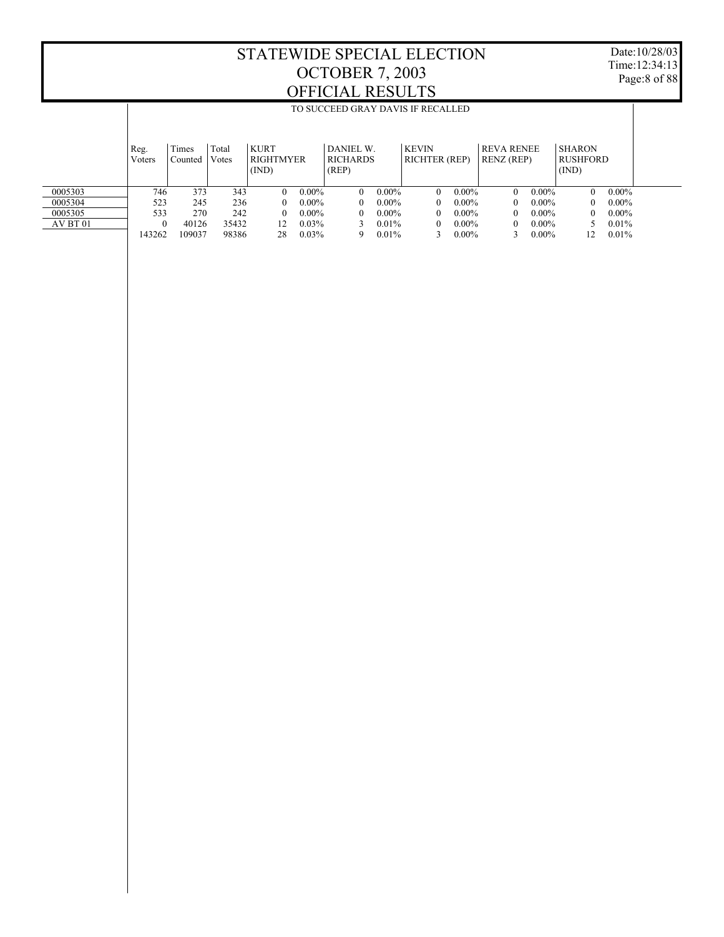Date:10/28/03 Time:12:34:13 Page:8 of 88

 0005303 0005304 0005305 AV BT 01 Reg. Voters Times Counted Votes Total KURT RIGHTMYER (IND) DANIEL W. **RICHARDS** (REP) KEVIN RICHTER (REP) REVA RENEE RENZ (REP) SHARON RUSHFORD (IND) TO SUCCEED GRAY DAVIS IF RECALLED 746 373 343 0 0.00% 0 0.00% 0 0.00% 0 0.00% 0 0.00% 523 245 236 0 0.00% 0 0.00% 0 0.00% 0 0.00% 0 0.00% 533 270 242 0 0.00% 0 0.00% 0 0.00% 0 0.00% 0 0.00% 0 40126 35432 12 0.03% 3 0.01% 0 0.00% 0 0.00% 5 0.01% 143262 109037 98386 28 0.03% 9 0.01% 3 0.00% 3 0.00% 12 0.01%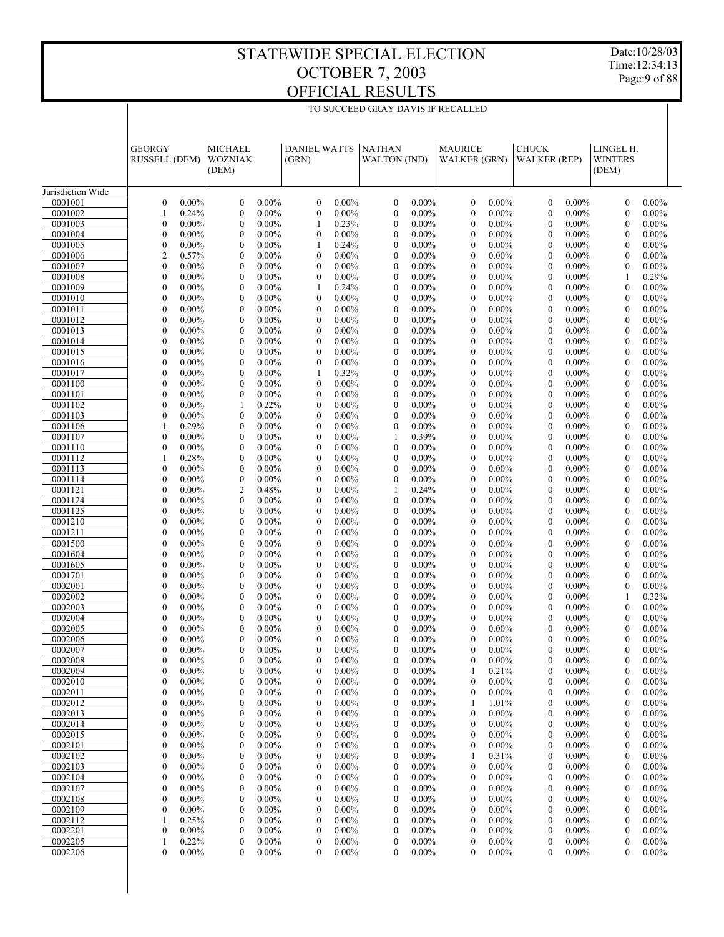Date:10/28/03 Time:12:34:13 Page:9 of 88

|                    | <b>GEORGY</b><br><b>RUSSELL (DEM)</b> |                      | <b>MICHAEL</b><br><b>WOZNIAK</b><br>(DEM) |                      | <b>DANIEL WATTS</b><br>(GRN)     |                      | <b>NATHAN</b><br><b>WALTON (IND)</b> |                      | <b>MAURICE</b><br><b>WALKER (GRN)</b> |                      | <b>CHUCK</b><br><b>WALKER</b> (REP) |                      | LINGEL H.<br><b>WINTERS</b><br>(DEM) |                      |
|--------------------|---------------------------------------|----------------------|-------------------------------------------|----------------------|----------------------------------|----------------------|--------------------------------------|----------------------|---------------------------------------|----------------------|-------------------------------------|----------------------|--------------------------------------|----------------------|
| Jurisdiction Wide  |                                       |                      |                                           |                      |                                  |                      |                                      |                      |                                       |                      |                                     |                      |                                      |                      |
| 0001001            | $\boldsymbol{0}$                      | $0.00\%$             | $\boldsymbol{0}$                          | $0.00\%$             | $\boldsymbol{0}$                 | $0.00\%$             | $\mathbf{0}$                         | $0.00\%$             | $\mathbf{0}$                          | $0.00\%$             | $\mathbf{0}$                        | $0.00\%$             | $\mathbf{0}$                         | $0.00\%$             |
| 0001002            | $\mathbf{1}$                          | 0.24%                | $\boldsymbol{0}$                          | $0.00\%$             | $\boldsymbol{0}$                 | $0.00\%$             | $\boldsymbol{0}$                     | $0.00\%$             | $\mathbf{0}$                          | $0.00\%$             | $\boldsymbol{0}$                    | $0.00\%$             | $\overline{0}$                       | $0.00\%$             |
| 0001003            | $\mathbf{0}$                          | $0.00\%$             | $\mathbf{0}$                              | $0.00\%$             | 1                                | 0.23%                | $\mathbf{0}$                         | $0.00\%$             | $\mathbf{0}$                          | $0.00\%$             | $\mathbf{0}$                        | $0.00\%$             | $\overline{0}$                       | $0.00\%$             |
| 0001004            | $\boldsymbol{0}$                      | $0.00\%$             | $\mathbf{0}$                              | $0.00\%$             | $\boldsymbol{0}$                 | $0.00\%$             | $\mathbf{0}$                         | $0.00\%$             | $\mathbf{0}$                          | $0.00\%$             | $\mathbf{0}$                        | $0.00\%$             | $\mathbf{0}$                         | $0.00\%$             |
| 0001005            | $\boldsymbol{0}$                      | $0.00\%$             | $\mathbf{0}$                              | $0.00\%$             | 1                                | 0.24%                | $\mathbf{0}$                         | $0.00\%$             | $\mathbf{0}$                          | $0.00\%$             | $\mathbf{0}$                        | $0.00\%$             | $\mathbf{0}$                         | $0.00\%$             |
| 0001006            | $\overline{c}$                        | 0.57%                | $\mathbf{0}$                              | $0.00\%$             | $\boldsymbol{0}$                 | $0.00\%$             | $\mathbf{0}$                         | $0.00\%$             | $\boldsymbol{0}$                      | $0.00\%$             | $\mathbf{0}$                        | $0.00\%$             | $\mathbf{0}$                         | $0.00\%$             |
| 0001007            | $\mathbf{0}$                          | $0.00\%$             | $\mathbf{0}$                              | $0.00\%$             | $\boldsymbol{0}$                 | $0.00\%$             | $\mathbf{0}$                         | $0.00\%$             | $\mathbf{0}$                          | $0.00\%$             | $\mathbf{0}$                        | $0.00\%$             | $\overline{0}$                       | $0.00\%$             |
| 0001008            | $\mathbf{0}$                          | $0.00\%$             | $\mathbf{0}$                              | $0.00\%$             | $\boldsymbol{0}$                 | $0.00\%$             | $\mathbf{0}$                         | $0.00\%$             | $\mathbf{0}$                          | $0.00\%$             | $\mathbf{0}$                        | $0.00\%$             | 1                                    | 0.29%                |
| 0001009            | $\mathbf{0}$                          | $0.00\%$             | $\mathbf{0}$                              | $0.00\%$             | 1                                | 0.24%                | $\mathbf{0}$                         | $0.00\%$             | $\mathbf{0}$                          | $0.00\%$             | $\mathbf{0}$                        | $0.00\%$             | $\mathbf{0}$                         | $0.00\%$             |
| 0001010            | $\boldsymbol{0}$                      | $0.00\%$             | $\mathbf{0}$                              | $0.00\%$             | $\boldsymbol{0}$                 | $0.00\%$             | $\mathbf{0}$                         | $0.00\%$             | $\boldsymbol{0}$                      | $0.00\%$             | $\mathbf{0}$                        | $0.00\%$             | $\mathbf{0}$                         | $0.00\%$             |
| 0001011            | $\mathbf{0}$                          | $0.00\%$             | $\mathbf{0}$                              | $0.00\%$             | $\boldsymbol{0}$                 | $0.00\%$             | $\mathbf{0}$                         | $0.00\%$             | $\mathbf{0}$                          | $0.00\%$             | $\mathbf{0}$                        | $0.00\%$             | $\mathbf{0}$                         | $0.00\%$             |
| 0001012            | $\mathbf{0}$                          | $0.00\%$             | $\boldsymbol{0}$                          | $0.00\%$             | $\boldsymbol{0}$                 | $0.00\%$             | $\mathbf{0}$                         | $0.00\%$             | $\mathbf{0}$                          | $0.00\%$             | $\mathbf{0}$                        | $0.00\%$             | $\mathbf{0}$                         | $0.00\%$             |
| 0001013            | $\mathbf{0}$                          | $0.00\%$             | $\mathbf{0}$                              | $0.00\%$             | $\boldsymbol{0}$                 | $0.00\%$             | $\mathbf{0}$                         | $0.00\%$             | $\mathbf{0}$                          | $0.00\%$             | $\mathbf{0}$                        | $0.00\%$             | $\mathbf{0}$                         | $0.00\%$             |
| 0001014            | $\boldsymbol{0}$                      | $0.00\%$             | $\mathbf{0}$                              | $0.00\%$             | $\boldsymbol{0}$                 | $0.00\%$             | $\mathbf{0}$                         | $0.00\%$             | $\boldsymbol{0}$                      | $0.00\%$             | $\mathbf{0}$                        | $0.00\%$             | $\mathbf{0}$                         | $0.00\%$             |
| 0001015            | $\mathbf{0}$                          | $0.00\%$             | $\mathbf{0}$                              | $0.00\%$             | $\boldsymbol{0}$                 | $0.00\%$             | $\mathbf{0}$                         | $0.00\%$             | $\mathbf{0}$                          | $0.00\%$             | $\mathbf{0}$                        | $0.00\%$             | $\mathbf{0}$                         | $0.00\%$             |
| 0001016            | $\boldsymbol{0}$                      | $0.00\%$             | $\boldsymbol{0}$                          | $0.00\%$             | $\boldsymbol{0}$                 | $0.00\%$             | $\mathbf{0}$                         | $0.00\%$             | $\mathbf{0}$                          | $0.00\%$             | $\mathbf{0}$                        | $0.00\%$             | $\mathbf{0}$                         | $0.00\%$             |
| 0001017<br>0001100 | $\mathbf{0}$<br>$\boldsymbol{0}$      | $0.00\%$<br>$0.00\%$ | $\mathbf{0}$<br>$\mathbf{0}$              | $0.00\%$<br>$0.00\%$ | 1<br>$\boldsymbol{0}$            | 0.32%<br>$0.00\%$    | $\mathbf{0}$<br>$\mathbf{0}$         | $0.00\%$<br>$0.00\%$ | $\mathbf{0}$<br>$\boldsymbol{0}$      | $0.00\%$<br>$0.00\%$ | $\mathbf{0}$<br>$\mathbf{0}$        | $0.00\%$<br>$0.00\%$ | $\mathbf{0}$<br>$\mathbf{0}$         | $0.00\%$<br>$0.00\%$ |
| 0001101            | $\mathbf{0}$                          | $0.00\%$             | $\mathbf{0}$                              | $0.00\%$             | $\boldsymbol{0}$                 | $0.00\%$             | $\mathbf{0}$                         | $0.00\%$             | $\mathbf{0}$                          | $0.00\%$             | $\mathbf{0}$                        | $0.00\%$             | $\mathbf{0}$                         | $0.00\%$             |
| 0001102            | $\mathbf{0}$                          | $0.00\%$             | 1                                         | 0.22%                | $\boldsymbol{0}$                 | $0.00\%$             | $\mathbf{0}$                         | $0.00\%$             | $\boldsymbol{0}$                      | $0.00\%$             | $\mathbf{0}$                        | $0.00\%$             | $\mathbf{0}$                         | $0.00\%$             |
| 0001103            | $\mathbf{0}$                          | $0.00\%$             | $\mathbf{0}$                              | $0.00\%$             | $\boldsymbol{0}$                 | $0.00\%$             | $\mathbf{0}$                         | $0.00\%$             | $\mathbf{0}$                          | $0.00\%$             | $\mathbf{0}$                        | $0.00\%$             | $\mathbf{0}$                         | $0.00\%$             |
| 0001106            | $\mathbf{1}$                          | 0.29%                | $\mathbf{0}$                              | $0.00\%$             | $\boldsymbol{0}$                 | $0.00\%$             | $\boldsymbol{0}$                     | $0.00\%$             | $\boldsymbol{0}$                      | $0.00\%$             | $\mathbf{0}$                        | $0.00\%$             | $\mathbf{0}$                         | $0.00\%$             |
| 0001107            | $\mathbf{0}$                          | $0.00\%$             | $\mathbf{0}$                              | $0.00\%$             | $\boldsymbol{0}$                 | $0.00\%$             | 1                                    | 0.39%                | $\mathbf{0}$                          | $0.00\%$             | $\mathbf{0}$                        | $0.00\%$             | $\mathbf{0}$                         | $0.00\%$             |
| 0001110            | $\mathbf{0}$                          | $0.00\%$             | $\mathbf{0}$                              | $0.00\%$             | $\boldsymbol{0}$                 | $0.00\%$             | $\mathbf{0}$                         | $0.00\%$             | $\boldsymbol{0}$                      | $0.00\%$             | $\mathbf{0}$                        | $0.00\%$             | $\mathbf{0}$                         | $0.00\%$             |
| 0001112            | $\mathbf{1}$                          | 0.28%                | $\mathbf{0}$                              | $0.00\%$             | $\boldsymbol{0}$                 | $0.00\%$             | $\mathbf{0}$                         | $0.00\%$             | $\mathbf{0}$                          | $0.00\%$             | $\mathbf{0}$                        | $0.00\%$             | $\mathbf{0}$                         | $0.00\%$             |
| 0001113            | $\boldsymbol{0}$                      | $0.00\%$             | $\mathbf{0}$                              | $0.00\%$             | $\boldsymbol{0}$                 | $0.00\%$             | $\mathbf{0}$                         | $0.00\%$             | $\boldsymbol{0}$                      | $0.00\%$             | $\mathbf{0}$                        | $0.00\%$             | $\mathbf{0}$                         | $0.00\%$             |
| 0001114            | $\mathbf{0}$                          | $0.00\%$             | $\mathbf{0}$                              | $0.00\%$             | $\boldsymbol{0}$                 | $0.00\%$             | $\mathbf{0}$                         | $0.00\%$             | $\mathbf{0}$                          | $0.00\%$             | $\mathbf{0}$                        | $0.00\%$             | $\mathbf{0}$                         | $0.00\%$             |
| 0001121            | $\boldsymbol{0}$                      | $0.00\%$             | $\overline{2}$                            | 0.48%                | $\boldsymbol{0}$                 | $0.00\%$             | $\mathbf{1}$                         | 0.24%                | $\mathbf{0}$                          | $0.00\%$             | $\mathbf{0}$                        | $0.00\%$             | $\mathbf{0}$                         | $0.00\%$             |
| 0001124            | $\mathbf{0}$                          | $0.00\%$             | $\mathbf{0}$                              | $0.00\%$             | $\boldsymbol{0}$                 | $0.00\%$             | $\mathbf{0}$                         | $0.00\%$             | $\mathbf{0}$                          | $0.00\%$             | $\mathbf{0}$                        | $0.00\%$             | $\mathbf{0}$                         | $0.00\%$             |
| 0001125            | $\boldsymbol{0}$                      | $0.00\%$             | $\mathbf{0}$                              | $0.00\%$             | $\boldsymbol{0}$                 | $0.00\%$             | $\mathbf{0}$                         | $0.00\%$             | $\mathbf{0}$                          | $0.00\%$             | $\mathbf{0}$                        | $0.00\%$             | $\mathbf{0}$                         | $0.00\%$             |
| 0001210            | $\mathbf{0}$                          | $0.00\%$             | $\mathbf{0}$                              | $0.00\%$             | $\boldsymbol{0}$                 | $0.00\%$             | $\mathbf{0}$                         | $0.00\%$             | $\mathbf{0}$                          | $0.00\%$             | $\mathbf{0}$                        | $0.00\%$             | $\mathbf{0}$                         | $0.00\%$             |
| 0001211            | $\boldsymbol{0}$                      | $0.00\%$             | $\boldsymbol{0}$                          | $0.00\%$             | $\boldsymbol{0}$                 | $0.00\%$             | $\mathbf{0}$                         | $0.00\%$             | $\mathbf{0}$                          | $0.00\%$             | $\mathbf{0}$                        | $0.00\%$             | $\mathbf{0}$                         | $0.00\%$             |
| 0001500            | $\mathbf{0}$                          | $0.00\%$             | $\mathbf{0}$                              | $0.00\%$             | $\boldsymbol{0}$                 | $0.00\%$             | $\mathbf{0}$                         | $0.00\%$             | $\mathbf{0}$                          | $0.00\%$             | $\mathbf{0}$                        | $0.00\%$             | $\mathbf{0}$                         | $0.00\%$             |
| 0001604            | $\boldsymbol{0}$                      | $0.00\%$             | $\mathbf{0}$                              | $0.00\%$             | $\boldsymbol{0}$                 | $0.00\%$             | $\mathbf{0}$                         | $0.00\%$             | $\mathbf{0}$                          | $0.00\%$             | $\mathbf{0}$                        | $0.00\%$             | $\mathbf{0}$                         | $0.00\%$             |
| 0001605            | $\mathbf{0}$                          | $0.00\%$             | $\mathbf{0}$                              | $0.00\%$             | $\boldsymbol{0}$                 | $0.00\%$             | $\mathbf{0}$                         | $0.00\%$             | $\mathbf{0}$                          | $0.00\%$             | $\mathbf{0}$                        | $0.00\%$             | $\mathbf{0}$                         | $0.00\%$             |
| 0001701            | $\boldsymbol{0}$                      | $0.00\%$             | $\boldsymbol{0}$                          | $0.00\%$             | $\boldsymbol{0}$                 | $0.00\%$             | $\mathbf{0}$                         | $0.00\%$             | $\mathbf{0}$                          | $0.00\%$             | $\mathbf{0}$                        | $0.00\%$             | $\mathbf{0}$                         | $0.00\%$             |
| 0002001            | $\mathbf{0}$                          | $0.00\%$             | $\mathbf{0}$                              | $0.00\%$             | $\boldsymbol{0}$                 | $0.00\%$             | $\mathbf{0}$                         | $0.00\%$             | $\mathbf{0}$                          | $0.00\%$             | $\mathbf{0}$                        | $0.00\%$             | $\mathbf{0}$                         | $0.00\%$             |
| 0002002            | $\boldsymbol{0}$                      | $0.00\%$             | $\boldsymbol{0}$                          | $0.00\%$             | $\boldsymbol{0}$                 | $0.00\%$             | $\mathbf{0}$                         | $0.00\%$             | $\boldsymbol{0}$                      | $0.00\%$             | $\mathbf{0}$                        | $0.00\%$             | 1                                    | 0.32%                |
| 0002003            | $\mathbf{0}$                          | $0.00\%$             | $\mathbf{0}$                              | $0.00\%$             | $\boldsymbol{0}$                 | $0.00\%$             | $\mathbf{0}$                         | $0.00\%$             | $\mathbf{0}$                          | $0.00\%$             | $\mathbf{0}$                        | $0.00\%$             | $\mathbf{0}$                         | $0.00\%$             |
| 0002004            | $\boldsymbol{0}$                      | $0.00\%$             | $\mathbf{0}$                              | $0.00\%$             | $\boldsymbol{0}$                 | $0.00\%$             | $\boldsymbol{0}$                     | $0.00\%$             | $\mathbf{0}$                          | $0.00\%$             | $\boldsymbol{0}$                    | $0.00\%$             | $\mathbf{0}$                         | $0.00\%$             |
| 0002005            | $\mathbf{0}$                          | $0.00\%$             | $\mathbf{0}$                              | $0.00\%$             | $\mathbf{0}$                     | $0.00\%$             | $\mathbf{0}$                         | $0.00\%$             | $\mathbf{0}$                          | 0.00%                | $\mathbf{0}$                        | $0.00\%$             | $\mathbf{0}$                         | $0.00\%$             |
| 0002006<br>0002007 | $\mathbf{0}$<br>$\mathbf{0}$          | $0.00\%$<br>$0.00\%$ | $\boldsymbol{0}$<br>$\mathbf{0}$          | $0.00\%$<br>$0.00\%$ | $\boldsymbol{0}$<br>$\mathbf{0}$ | $0.00\%$<br>$0.00\%$ | $\mathbf{0}$<br>$\mathbf{0}$         | $0.00\%$<br>$0.00\%$ | $\mathbf{0}$<br>$\mathbf{0}$          | $0.00\%$<br>$0.00\%$ | $\mathbf{0}$<br>$\mathbf{0}$        | $0.00\%$<br>$0.00\%$ | $\mathbf{0}$<br>$\Omega$             | $0.00\%$<br>$0.00\%$ |
|                    | $\boldsymbol{0}$                      |                      | $\boldsymbol{0}$                          |                      | $\boldsymbol{0}$                 |                      | $\boldsymbol{0}$                     |                      | $\boldsymbol{0}$                      |                      | $\boldsymbol{0}$                    |                      | $\boldsymbol{0}$                     |                      |
| 0002008<br>0002009 | $\boldsymbol{0}$                      | $0.00\%$<br>$0.00\%$ | $\boldsymbol{0}$                          | $0.00\%$<br>$0.00\%$ | $\boldsymbol{0}$                 | $0.00\%$<br>$0.00\%$ | $\boldsymbol{0}$                     | $0.00\%$<br>$0.00\%$ | 1                                     | $0.00\%$<br>0.21%    | $\boldsymbol{0}$                    | $0.00\%$<br>$0.00\%$ | 0                                    | $0.00\%$<br>$0.00\%$ |
| 0002010            | $\boldsymbol{0}$                      | $0.00\%$             | $\boldsymbol{0}$                          | $0.00\%$             | $\boldsymbol{0}$                 | $0.00\%$             | $\boldsymbol{0}$                     | $0.00\%$             | $\boldsymbol{0}$                      | $0.00\%$             | $\boldsymbol{0}$                    | $0.00\%$             | $\boldsymbol{0}$                     | $0.00\%$             |
| 0002011            | $\boldsymbol{0}$                      | $0.00\%$             | $\boldsymbol{0}$                          | $0.00\%$             | $\boldsymbol{0}$                 | $0.00\%$             | $\boldsymbol{0}$                     | $0.00\%$             | $\boldsymbol{0}$                      | $0.00\%$             | $\boldsymbol{0}$                    | $0.00\%$             | 0                                    | $0.00\%$             |
| 0002012            | $\boldsymbol{0}$                      | $0.00\%$             | $\boldsymbol{0}$                          | $0.00\%$             | $\boldsymbol{0}$                 | $0.00\%$             | $\boldsymbol{0}$                     | $0.00\%$             | 1                                     | 1.01%                | $\boldsymbol{0}$                    | $0.00\%$             | 0                                    | $0.00\%$             |
| 0002013            | $\boldsymbol{0}$                      | $0.00\%$             | $\boldsymbol{0}$                          | $0.00\%$             | $\boldsymbol{0}$                 | $0.00\%$             | $\boldsymbol{0}$                     | $0.00\%$             | $\boldsymbol{0}$                      | $0.00\%$             | $\boldsymbol{0}$                    | $0.00\%$             | 0                                    | $0.00\%$             |
| 0002014            | $\boldsymbol{0}$                      | $0.00\%$             | $\boldsymbol{0}$                          | $0.00\%$             | $\boldsymbol{0}$                 | $0.00\%$             | $\boldsymbol{0}$                     | $0.00\%$             | $\boldsymbol{0}$                      | $0.00\%$             | $\boldsymbol{0}$                    | $0.00\%$             | 0                                    | $0.00\%$             |
| 0002015            | $\boldsymbol{0}$                      | $0.00\%$             | $\boldsymbol{0}$                          | $0.00\%$             | $\boldsymbol{0}$                 | $0.00\%$             | $\boldsymbol{0}$                     | $0.00\%$             | $\boldsymbol{0}$                      | $0.00\%$             | $\boldsymbol{0}$                    | $0.00\%$             | $\boldsymbol{0}$                     | $0.00\%$             |
| 0002101            | $\boldsymbol{0}$                      | $0.00\%$             | $\boldsymbol{0}$                          | $0.00\%$             | $\boldsymbol{0}$                 | $0.00\%$             | $\boldsymbol{0}$                     | $0.00\%$             | $\boldsymbol{0}$                      | $0.00\%$             | $\boldsymbol{0}$                    | $0.00\%$             | 0                                    | $0.00\%$             |
| 0002102            | $\mathbf{0}$                          | $0.00\%$             | $\boldsymbol{0}$                          | $0.00\%$             | $\boldsymbol{0}$                 | $0.00\%$             | $\boldsymbol{0}$                     | $0.00\%$             | 1                                     | 0.31%                | $\boldsymbol{0}$                    | $0.00\%$             | $\boldsymbol{0}$                     | $0.00\%$             |
| 0002103            | $\boldsymbol{0}$                      | $0.00\%$             | $\boldsymbol{0}$                          | $0.00\%$             | $\boldsymbol{0}$                 | $0.00\%$             | $\boldsymbol{0}$                     | $0.00\%$             | $\boldsymbol{0}$                      | $0.00\%$             | $\boldsymbol{0}$                    | $0.00\%$             | 0                                    | $0.00\%$             |
| 0002104            | $\boldsymbol{0}$                      | $0.00\%$             | $\boldsymbol{0}$                          | $0.00\%$             | $\boldsymbol{0}$                 | $0.00\%$             | $\boldsymbol{0}$                     | $0.00\%$             | $\boldsymbol{0}$                      | $0.00\%$             | $\boldsymbol{0}$                    | $0.00\%$             | $\boldsymbol{0}$                     | $0.00\%$             |
| 0002107            | $\boldsymbol{0}$                      | $0.00\%$             | $\boldsymbol{0}$                          | $0.00\%$             | $\boldsymbol{0}$                 | $0.00\%$             | $\boldsymbol{0}$                     | $0.00\%$             | $\boldsymbol{0}$                      | $0.00\%$             | $\boldsymbol{0}$                    | $0.00\%$             | 0                                    | $0.00\%$             |
| 0002108            | $\mathbf{0}$                          | $0.00\%$             | $\boldsymbol{0}$                          | $0.00\%$             | $\boldsymbol{0}$                 | $0.00\%$             | $\boldsymbol{0}$                     | $0.00\%$             | $\boldsymbol{0}$                      | $0.00\%$             | $\boldsymbol{0}$                    | $0.00\%$             | $\boldsymbol{0}$                     | $0.00\%$             |
| 0002109            | $\boldsymbol{0}$                      | $0.00\%$             | $\boldsymbol{0}$                          | $0.00\%$             | $\boldsymbol{0}$                 | $0.00\%$             | $\boldsymbol{0}$                     | $0.00\%$             | $\boldsymbol{0}$                      | $0.00\%$             | $\boldsymbol{0}$                    | $0.00\%$             | 0                                    | $0.00\%$             |
| 0002112            | 1                                     | 0.25%                | $\boldsymbol{0}$                          | $0.00\%$             | $\boldsymbol{0}$                 | $0.00\%$             | $\boldsymbol{0}$                     | $0.00\%$             | $\boldsymbol{0}$                      | $0.00\%$             | $\boldsymbol{0}$                    | $0.00\%$             | $\boldsymbol{0}$                     | $0.00\%$             |
| 0002201            | $\boldsymbol{0}$                      | $0.00\%$             | $\boldsymbol{0}$                          | $0.00\%$             | $\boldsymbol{0}$                 | $0.00\%$             | $\boldsymbol{0}$                     | $0.00\%$             | $\boldsymbol{0}$                      | $0.00\%$             | $\boldsymbol{0}$                    | $0.00\%$             | 0                                    | $0.00\%$             |
| 0002205            | 1                                     | 0.22%                | $\boldsymbol{0}$                          | $0.00\%$             | $\boldsymbol{0}$                 | $0.00\%$             | $\boldsymbol{0}$                     | $0.00\%$             | $\boldsymbol{0}$                      | $0.00\%$             | $\boldsymbol{0}$                    | $0.00\%$             | 0                                    | $0.00\%$             |
| 0002206            | $\boldsymbol{0}$                      | $0.00\%$             | $\boldsymbol{0}$                          | $0.00\%$             | $\boldsymbol{0}$                 | $0.00\%$             | $\boldsymbol{0}$                     | $0.00\%$             | $\boldsymbol{0}$                      | $0.00\%$             | $\boldsymbol{0}$                    | $0.00\%$             | 0                                    | $0.00\%$             |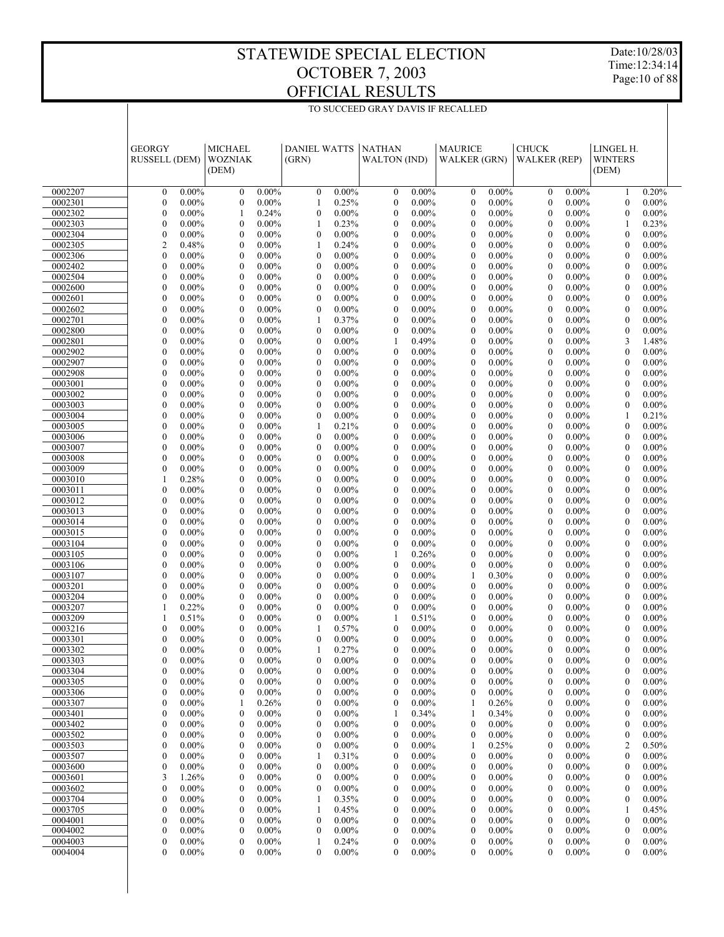Date:10/28/03 Time:12:34:14 Page:10 of 88

|                    | <b>MICHAEL</b><br><b>GEORGY</b><br>RUSSELL (DEM)<br><b>WOZNIAK</b><br>(DEM) |                                                              | <b>DANIEL WATTS</b><br>(GRN)                                 | <b>NATHAN</b><br><b>WALTON</b> (IND)                         | <b>MAURICE</b><br><b>WALKER (GRN)</b>                | <b>CHUCK</b><br><b>WALKER</b> (REP)                          | LINGEL H.<br><b>WINTERS</b><br>(DEM)                         |  |
|--------------------|-----------------------------------------------------------------------------|--------------------------------------------------------------|--------------------------------------------------------------|--------------------------------------------------------------|------------------------------------------------------|--------------------------------------------------------------|--------------------------------------------------------------|--|
| 0002207            | $0.00\%$<br>$\mathbf{0}$                                                    | $\boldsymbol{0}$<br>$0.00\%$                                 | $\boldsymbol{0}$<br>$0.00\%$                                 | $0.00\%$<br>$\boldsymbol{0}$                                 | $0.00\%$<br>$\boldsymbol{0}$                         | $0.00\%$<br>$\boldsymbol{0}$                                 | 0.20%<br>1                                                   |  |
| 0002301            | $\mathbf{0}$<br>0.00%                                                       | $\boldsymbol{0}$<br>$0.00\%$                                 | 0.25%<br>1                                                   | $\boldsymbol{0}$<br>$0.00\%$                                 | $\mathbf{0}$<br>$0.00\%$                             | $\mathbf{0}$<br>$0.00\%$                                     | $\mathbf{0}$<br>$0.00\%$                                     |  |
| 0002302            | $\overline{0}$<br>$0.00\%$                                                  | 1<br>0.24%                                                   | $\mathbf{0}$<br>$0.00\%$                                     | $\mathbf{0}$<br>$0.00\%$                                     | $\mathbf{0}$<br>$0.00\%$                             | $\mathbf{0}$<br>$0.00\%$                                     | $\mathbf{0}$<br>$0.00\%$                                     |  |
| 0002303            | $\overline{0}$<br>0.00%                                                     | $\mathbf{0}$<br>$0.00\%$                                     | 0.23%<br>1                                                   | $\mathbf{0}$<br>$0.00\%$                                     | $\mathbf{0}$<br>$0.00\%$                             | $0.00\%$<br>$\theta$                                         | 0.23%<br>1                                                   |  |
| 0002304            | $\boldsymbol{0}$<br>$0.00\%$                                                | $\mathbf{0}$<br>$0.00\%$                                     | $\mathbf{0}$<br>$0.00\%$                                     | $\mathbf{0}$<br>$0.00\%$                                     | $\mathbf{0}$<br>$0.00\%$                             | $\mathbf{0}$<br>$0.00\%$                                     | $\mathbf{0}$<br>$0.00\%$                                     |  |
| 0002305            | 2<br>0.48%                                                                  | $\mathbf{0}$<br>$0.00\%$                                     | 0.24%<br>1                                                   | $\mathbf{0}$<br>$0.00\%$                                     | $\mathbf{0}$<br>$0.00\%$                             | $\overline{0}$<br>$0.00\%$                                   | $\mathbf{0}$<br>$0.00\%$                                     |  |
| 0002306            | $\overline{0}$<br>$0.00\%$                                                  | $\mathbf{0}$<br>$0.00\%$                                     | $\mathbf{0}$<br>$0.00\%$                                     | $\mathbf{0}$<br>$0.00\%$                                     | $\mathbf{0}$<br>$0.00\%$                             | $\overline{0}$<br>$0.00\%$                                   | $\mathbf{0}$<br>$0.00\%$                                     |  |
| 0002402            | $\overline{0}$<br>0.00%                                                     | $\mathbf{0}$<br>$0.00\%$                                     | $\boldsymbol{0}$<br>$0.00\%$                                 | $\mathbf{0}$<br>$0.00\%$                                     | $\mathbf{0}$<br>$0.00\%$                             | $\overline{0}$<br>$0.00\%$                                   | $\mathbf{0}$<br>$0.00\%$                                     |  |
| 0002504            | $\overline{0}$<br>$0.00\%$<br>$\overline{0}$                                | $\mathbf{0}$<br>$0.00\%$<br>$\mathbf{0}$                     | $\boldsymbol{0}$<br>$0.00\%$                                 | $\mathbf{0}$<br>$0.00\%$<br>$\mathbf{0}$                     | $\mathbf{0}$<br>$0.00\%$<br>$\mathbf{0}$             | $\overline{0}$<br>$0.00\%$<br>$\overline{0}$                 | $\mathbf{0}$<br>$0.00\%$<br>$\mathbf{0}$                     |  |
| 0002600<br>0002601 | 0.00%<br>$\overline{0}$<br>$0.00\%$                                         | $0.00\%$<br>$\mathbf{0}$<br>$0.00\%$                         | $\boldsymbol{0}$<br>$0.00\%$<br>$\boldsymbol{0}$<br>$0.00\%$ | $0.00\%$<br>$\mathbf{0}$<br>$0.00\%$                         | $0.00\%$<br>$\mathbf{0}$<br>$0.00\%$                 | $0.00\%$<br>$\overline{0}$<br>$0.00\%$                       | $0.00\%$<br>$\mathbf{0}$<br>$0.00\%$                         |  |
| 0002602            | $\overline{0}$<br>0.00%                                                     | $\mathbf{0}$<br>$0.00\%$                                     | $\boldsymbol{0}$<br>$0.00\%$                                 | $\mathbf{0}$<br>$0.00\%$                                     | $\mathbf{0}$<br>$0.00\%$                             | $\overline{0}$<br>$0.00\%$                                   | $\mathbf{0}$<br>$0.00\%$                                     |  |
| 0002701            | $\overline{0}$<br>$0.00\%$                                                  | $\mathbf{0}$<br>$0.00\%$                                     | 0.37%<br>1                                                   | $\mathbf{0}$<br>$0.00\%$                                     | $\mathbf{0}$<br>$0.00\%$                             | $\mathbf{0}$<br>$0.00\%$                                     | $\mathbf{0}$<br>$0.00\%$                                     |  |
| 0002800            | $\overline{0}$<br>0.00%                                                     | $\mathbf{0}$<br>$0.00\%$                                     | $\boldsymbol{0}$<br>$0.00\%$                                 | $\mathbf{0}$<br>$0.00\%$                                     | $\mathbf{0}$<br>$0.00\%$                             | $\mathbf{0}$<br>$0.00\%$                                     | $\boldsymbol{0}$<br>$0.00\%$                                 |  |
| 0002801            | $\overline{0}$<br>$0.00\%$                                                  | $\mathbf{0}$<br>$0.00\%$                                     | $\mathbf{0}$<br>$0.00\%$                                     | 0.49%<br>1                                                   | $\mathbf{0}$<br>$0.00\%$                             | $\mathbf{0}$<br>$0.00\%$                                     | 3<br>1.48%                                                   |  |
| 0002902            | $\overline{0}$<br>0.00%                                                     | $\mathbf{0}$<br>$0.00\%$                                     | $0.00\%$<br>$\boldsymbol{0}$                                 | $\mathbf{0}$<br>$0.00\%$                                     | $\mathbf{0}$<br>$0.00\%$                             | $\mathbf{0}$<br>$0.00\%$                                     | $\mathbf{0}$<br>$0.00\%$                                     |  |
| 0002907            | $\overline{0}$<br>$0.00\%$                                                  | $\mathbf{0}$<br>$0.00\%$                                     | $\boldsymbol{0}$<br>$0.00\%$                                 | $\mathbf{0}$<br>$0.00\%$                                     | $\mathbf{0}$<br>$0.00\%$                             | $\mathbf{0}$<br>$0.00\%$                                     | $\mathbf{0}$<br>$0.00\%$                                     |  |
| 0002908            | $\overline{0}$<br>0.00%                                                     | $\mathbf{0}$<br>$0.00\%$                                     | $\boldsymbol{0}$<br>$0.00\%$                                 | $\mathbf{0}$<br>$0.00\%$                                     | $\mathbf{0}$<br>$0.00\%$                             | $\mathbf{0}$<br>$0.00\%$                                     | $\mathbf{0}$<br>$0.00\%$                                     |  |
| 0003001            | $\overline{0}$<br>$0.00\%$                                                  | $\mathbf{0}$<br>$0.00\%$                                     | $\mathbf{0}$<br>$0.00\%$                                     | $\mathbf{0}$<br>$0.00\%$                                     | $\mathbf{0}$<br>$0.00\%$                             | $\mathbf{0}$<br>$0.00\%$                                     | $\mathbf{0}$<br>$0.00\%$                                     |  |
| 0003002            | $\overline{0}$<br>0.00%                                                     | $\mathbf{0}$<br>$0.00\%$                                     | $\mathbf{0}$<br>$0.00\%$                                     | $\mathbf{0}$<br>$0.00\%$                                     | $\mathbf{0}$<br>$0.00\%$                             | $\mathbf{0}$<br>$0.00\%$                                     | $\mathbf{0}$<br>$0.00\%$                                     |  |
| 0003003            | $\overline{0}$<br>$0.00\%$<br>$\overline{0}$<br>0.00%                       | $\mathbf{0}$<br>$0.00\%$<br>$\mathbf{0}$                     | $\boldsymbol{0}$<br>$0.00\%$<br>$\boldsymbol{0}$<br>$0.00\%$ | $\mathbf{0}$<br>$0.00\%$<br>$\mathbf{0}$                     | $\mathbf{0}$<br>$0.00\%$<br>$\mathbf{0}$<br>$0.00\%$ | $\mathbf{0}$<br>$0.00\%$<br>$\mathbf{0}$<br>$0.00\%$         | $\mathbf{0}$<br>$0.00\%$<br>0.21%<br>$\mathbf{1}$            |  |
| 0003004<br>0003005 | $\overline{0}$<br>$0.00\%$                                                  | $0.00\%$<br>$\mathbf{0}$<br>$0.00\%$                         | 1<br>0.21%                                                   | $0.00\%$<br>$\mathbf{0}$<br>$0.00\%$                         | $\mathbf{0}$<br>$0.00\%$                             | $\mathbf{0}$<br>$0.00\%$                                     | $\mathbf{0}$<br>$0.00\%$                                     |  |
| 0003006            | $\overline{0}$<br>0.00%                                                     | $\mathbf{0}$<br>$0.00\%$                                     | $\boldsymbol{0}$<br>$0.00\%$                                 | $\mathbf{0}$<br>$0.00\%$                                     | $\mathbf{0}$<br>$0.00\%$                             | $\mathbf{0}$<br>$0.00\%$                                     | $\mathbf{0}$<br>$0.00\%$                                     |  |
| 0003007            | $\overline{0}$<br>$0.00\%$                                                  | $\mathbf{0}$<br>$0.00\%$                                     | $\boldsymbol{0}$<br>$0.00\%$                                 | $\mathbf{0}$<br>$0.00\%$                                     | $\mathbf{0}$<br>$0.00\%$                             | $\overline{0}$<br>$0.00\%$                                   | $\mathbf{0}$<br>$0.00\%$                                     |  |
| 0003008            | $\overline{0}$<br>0.00%                                                     | $\mathbf{0}$<br>$0.00\%$                                     | $0.00\%$<br>$\boldsymbol{0}$                                 | $\mathbf{0}$<br>$0.00\%$                                     | $\mathbf{0}$<br>$0.00\%$                             | $\overline{0}$<br>$0.00\%$                                   | $\mathbf{0}$<br>$0.00\%$                                     |  |
| 0003009            | $\mathbf{0}$<br>0.00%                                                       | $\mathbf{0}$<br>$0.00\%$                                     | $\boldsymbol{0}$<br>$0.00\%$                                 | $\mathbf{0}$<br>$0.00\%$                                     | $\mathbf{0}$<br>$0.00\%$                             | $\overline{0}$<br>$0.00\%$                                   | $\mathbf{0}$<br>$0.00\%$                                     |  |
| 0003010            | 0.28%<br>1                                                                  | $\mathbf{0}$<br>$0.00\%$                                     | $\boldsymbol{0}$<br>$0.00\%$                                 | $\mathbf{0}$<br>$0.00\%$                                     | $\mathbf{0}$<br>$0.00\%$                             | $\overline{0}$<br>$0.00\%$                                   | $\mathbf{0}$<br>$0.00\%$                                     |  |
| 0003011            | $\mathbf{0}$<br>$0.00\%$                                                    | $\mathbf{0}$<br>$0.00\%$                                     | $\boldsymbol{0}$<br>$0.00\%$                                 | $\mathbf{0}$<br>$0.00\%$                                     | $\mathbf{0}$<br>$0.00\%$                             | $\overline{0}$<br>$0.00\%$                                   | $\mathbf{0}$<br>$0.00\%$                                     |  |
| 0003012            | $\mathbf{0}$<br>0.00%                                                       | $\mathbf{0}$<br>$0.00\%$                                     | $\boldsymbol{0}$<br>$0.00\%$                                 | $\mathbf{0}$<br>$0.00\%$                                     | $\mathbf{0}$<br>$0.00\%$                             | $\overline{0}$<br>$0.00\%$                                   | $\mathbf{0}$<br>$0.00\%$                                     |  |
| 0003013            | $\mathbf{0}$<br>$0.00\%$                                                    | $\mathbf{0}$<br>$0.00\%$                                     | $\mathbf{0}$<br>$0.00\%$                                     | $\mathbf{0}$<br>$0.00\%$                                     | $\mathbf{0}$<br>$0.00\%$                             | $\overline{0}$<br>$0.00\%$                                   | $\mathbf{0}$<br>$0.00\%$                                     |  |
| 0003014            | $\mathbf{0}$<br>0.00%                                                       | $\mathbf{0}$<br>$0.00\%$                                     | $\overline{0}$<br>$0.00\%$                                   | $\mathbf{0}$<br>$0.00\%$                                     | $\mathbf{0}$<br>$0.00\%$                             | $\overline{0}$<br>$0.00\%$                                   | $\mathbf{0}$<br>$0.00\%$                                     |  |
| 0003015<br>0003104 | $\mathbf{0}$<br>$0.00\%$<br>$\mathbf{0}$<br>0.00%                           | $\mathbf{0}$<br>$0.00\%$<br>$\mathbf{0}$<br>$0.00\%$         | $\boldsymbol{0}$<br>$0.00\%$<br>$\boldsymbol{0}$<br>$0.00\%$ | $\mathbf{0}$<br>$0.00\%$<br>$\mathbf{0}$<br>$0.00\%$         | $\mathbf{0}$<br>$0.00\%$<br>$\mathbf{0}$<br>$0.00\%$ | $\mathbf{0}$<br>$0.00\%$<br>$\mathbf{0}$<br>$0.00\%$         | $\mathbf{0}$<br>$0.00\%$<br>$\mathbf{0}$<br>$0.00\%$         |  |
| 0003105            | $\mathbf{0}$<br>$0.00\%$                                                    | $\mathbf{0}$<br>$0.00\%$                                     | $\mathbf{0}$<br>$0.00\%$                                     | 1<br>0.26%                                                   | $\mathbf{0}$<br>$0.00\%$                             | $\mathbf{0}$<br>$0.00\%$                                     | $\mathbf{0}$<br>$0.00\%$                                     |  |
| 0003106            | $\overline{0}$<br>0.00%                                                     | $\mathbf{0}$<br>$0.00\%$                                     | $\boldsymbol{0}$<br>$0.00\%$                                 | $\mathbf{0}$<br>$0.00\%$                                     | $\boldsymbol{0}$<br>$0.00\%$                         | $\mathbf{0}$<br>$0.00\%$                                     | $\mathbf{0}$<br>$0.00\%$                                     |  |
| 0003107            | $\overline{0}$<br>$0.00\%$                                                  | $\mathbf{0}$<br>$0.00\%$                                     | $\boldsymbol{0}$<br>$0.00\%$                                 | $\mathbf{0}$<br>$0.00\%$                                     | 0.30%<br>$\mathbf{1}$                                | $\mathbf{0}$<br>$0.00\%$                                     | $\mathbf{0}$<br>$0.00\%$                                     |  |
| 0003201            | $\overline{0}$<br>0.00%                                                     | $\mathbf{0}$<br>$0.00\%$                                     | $0.00\%$<br>$\boldsymbol{0}$                                 | $\mathbf{0}$<br>$0.00\%$                                     | $\mathbf{0}$<br>$0.00\%$                             | $\mathbf{0}$<br>$0.00\%$                                     | $\mathbf{0}$<br>$0.00\%$                                     |  |
| 0003204            | $\overline{0}$<br>0.00%                                                     | $\mathbf{0}$<br>$0.00\%$                                     | $\boldsymbol{0}$<br>$0.00\%$                                 | $\mathbf{0}$<br>$0.00\%$                                     | $\mathbf{0}$<br>$0.00\%$                             | $\mathbf{0}$<br>$0.00\%$                                     | $\mathbf{0}$<br>$0.00\%$                                     |  |
| 0003207            | 0.22%<br>1                                                                  | $\mathbf{0}$<br>$0.00\%$                                     | $\boldsymbol{0}$<br>$0.00\%$                                 | $\mathbf{0}$<br>$0.00\%$                                     | $\mathbf{0}$<br>$0.00\%$                             | $\theta$<br>$0.00\%$                                         | $\mathbf{0}$<br>$0.00\%$                                     |  |
| 0003209            | 0.51%<br>1                                                                  | $\mathbf{0}$<br>$0.00\%$                                     | $\mathbf{0}$<br>$0.00\%$                                     | 1<br>0.51%                                                   | $\mathbf{0}$<br>$0.00\%$                             | $\mathbf{0}$<br>$0.00\%$                                     | $\mathbf{0}$<br>$0.00\%$                                     |  |
| 0003216            | $\overline{0}$<br>$0.00\%$                                                  | $\mathbf{0}$<br>$0.00\%$                                     | 1<br>0.57%                                                   | $\mathbf{0}$<br>$0.00\%$                                     | $\mathbf{0}$<br>$0.00\%$                             | $\theta$<br>$0.00\%$                                         | $\mathbf{0}$<br>$0.00\%$                                     |  |
| 0003301<br>0003302 | $\overline{0}$<br>$0.00\%$<br>$\overline{0}$<br>$0.00\%$                    | $\mathbf{0}$<br>$0.00\%$<br>$\mathbf{0}$<br>$0.00\%$         | $\mathbf{0}$<br>$0.00\%$<br>1<br>0.27%                       | $\mathbf{0}$<br>$0.00\%$<br>$\mathbf{0}$<br>$0.00\%$         | $\mathbf{0}$<br>$0.00\%$<br>$\mathbf{0}$<br>$0.00\%$ | $\mathbf{0}$<br>$0.00\%$<br>$\mathbf{0}$<br>$0.00\%$         | $\mathbf{0}$<br>$0.00\%$<br>$\mathbf{0}$<br>$0.00\%$         |  |
| 0003303            | $\boldsymbol{0}$<br>$0.00\%$                                                | $\boldsymbol{0}$<br>$0.00\%$                                 | $\mathbf{0}$<br>$0.00\%$                                     | $\boldsymbol{0}$<br>$0.00\%$                                 | $\boldsymbol{0}$<br>0.00%                            | $\boldsymbol{0}$<br>0.00%                                    | $\boldsymbol{0}$<br>$0.00\%$                                 |  |
| 0003304            | 0<br>$0.00\%$                                                               | $\boldsymbol{0}$<br>$0.00\%$                                 | $\boldsymbol{0}$<br>$0.00\%$                                 | $0.00\%$<br>$\boldsymbol{0}$                                 | $\boldsymbol{0}$<br>$0.00\%$                         | $0.00\%$<br>$\boldsymbol{0}$                                 | $\boldsymbol{0}$<br>$0.00\%$                                 |  |
| 0003305            | 0.00%<br>0                                                                  | $0.00\%$<br>$\boldsymbol{0}$                                 | $\boldsymbol{0}$<br>$0.00\%$                                 | $0.00\%$<br>$\boldsymbol{0}$                                 | $\boldsymbol{0}$<br>$0.00\%$                         | $0.00\%$<br>$\boldsymbol{0}$                                 | $\boldsymbol{0}$<br>$0.00\%$                                 |  |
| 0003306            | 0<br>$0.00\%$                                                               | $0.00\%$<br>$\boldsymbol{0}$                                 | $\boldsymbol{0}$<br>$0.00\%$                                 | $\boldsymbol{0}$<br>$0.00\%$                                 | $\boldsymbol{0}$<br>$0.00\%$                         | $0.00\%$<br>$\boldsymbol{0}$                                 | $\boldsymbol{0}$<br>$0.00\%$                                 |  |
| 0003307            | 0<br>$0.00\%$                                                               | 0.26%<br>1                                                   | $\boldsymbol{0}$<br>$0.00\%$                                 | $\boldsymbol{0}$<br>$0.00\%$                                 | 0.26%<br>1                                           | $\boldsymbol{0}$<br>$0.00\%$                                 | $\boldsymbol{0}$<br>$0.00\%$                                 |  |
| 0003401            | 0<br>$0.00\%$                                                               | $0.00\%$<br>$\boldsymbol{0}$                                 | $\boldsymbol{0}$<br>$0.00\%$                                 | 0.34%<br>1                                                   | 0.34%<br>1                                           | $0.00\%$<br>$\boldsymbol{0}$                                 | $\boldsymbol{0}$<br>$0.00\%$                                 |  |
| 0003402            | 0.00%<br>0                                                                  | $\boldsymbol{0}$<br>$0.00\%$                                 | $\boldsymbol{0}$<br>$0.00\%$                                 | $\boldsymbol{0}$<br>$0.00\%$                                 | $\boldsymbol{0}$<br>$0.00\%$                         | $\boldsymbol{0}$<br>$0.00\%$                                 | $\boldsymbol{0}$<br>$0.00\%$                                 |  |
| 0003502            | 0<br>$0.00\%$                                                               | $\boldsymbol{0}$<br>$0.00\%$                                 | $\boldsymbol{0}$<br>$0.00\%$                                 | $\boldsymbol{0}$<br>$0.00\%$                                 | $\boldsymbol{0}$<br>$0.00\%$                         | $0.00\%$<br>$\boldsymbol{0}$                                 | $\boldsymbol{0}$<br>$0.00\%$                                 |  |
| 0003503            | 0.00%<br>0                                                                  | $\boldsymbol{0}$<br>$0.00\%$                                 | 0<br>$0.00\%$                                                | $\boldsymbol{0}$<br>$0.00\%$                                 | 1<br>0.25%                                           | $\boldsymbol{0}$<br>$0.00\%$                                 | $\overline{c}$<br>0.50%                                      |  |
| 0003507            | $\boldsymbol{0}$<br>$0.00\%$<br>$\boldsymbol{0}$<br>$0.00\%$                | $\boldsymbol{0}$<br>$0.00\%$                                 | 0.31%<br>1                                                   | $\boldsymbol{0}$<br>$0.00\%$                                 | $\boldsymbol{0}$<br>$0.00\%$<br>$0.00\%$             | $0.00\%$<br>$\boldsymbol{0}$                                 | $\boldsymbol{0}$<br>$0.00\%$                                 |  |
| 0003600<br>0003601 | 3<br>1.26%                                                                  | $\boldsymbol{0}$<br>$0.00\%$<br>$\boldsymbol{0}$<br>$0.00\%$ | 0<br>$0.00\%$<br>$\boldsymbol{0}$<br>$0.00\%$                | $\boldsymbol{0}$<br>$0.00\%$<br>$\boldsymbol{0}$<br>$0.00\%$ | $\boldsymbol{0}$<br>$\boldsymbol{0}$<br>$0.00\%$     | $\boldsymbol{0}$<br>$0.00\%$<br>$0.00\%$<br>$\boldsymbol{0}$ | $\boldsymbol{0}$<br>$0.00\%$<br>$\boldsymbol{0}$<br>$0.00\%$ |  |
| 0003602            | $\boldsymbol{0}$<br>0.00%                                                   | $\boldsymbol{0}$<br>$0.00\%$                                 | $0.00\%$<br>$\boldsymbol{0}$                                 | $\boldsymbol{0}$<br>$0.00\%$                                 | $\boldsymbol{0}$<br>$0.00\%$                         | $\boldsymbol{0}$<br>$0.00\%$                                 | $\boldsymbol{0}$<br>$0.00\%$                                 |  |
| 0003704            | $\boldsymbol{0}$<br>$0.00\%$                                                | $\boldsymbol{0}$<br>$0.00\%$                                 | 0.35%<br>1                                                   | $\boldsymbol{0}$<br>$0.00\%$                                 | $\boldsymbol{0}$<br>$0.00\%$                         | $0.00\%$<br>$\boldsymbol{0}$                                 | $\boldsymbol{0}$<br>$0.00\%$                                 |  |
| 0003705            | $0.00\%$<br>0                                                               | $\boldsymbol{0}$<br>$0.00\%$                                 | 1<br>0.45%                                                   | $\boldsymbol{0}$<br>$0.00\%$                                 | $\boldsymbol{0}$<br>$0.00\%$                         | $\boldsymbol{0}$<br>$0.00\%$                                 | 1<br>0.45%                                                   |  |
| 0004001            | 0<br>$0.00\%$                                                               | $\boldsymbol{0}$<br>$0.00\%$                                 | $\boldsymbol{0}$<br>$0.00\%$                                 | $\boldsymbol{0}$<br>$0.00\%$                                 | $\boldsymbol{0}$<br>$0.00\%$                         | $0.00\%$<br>$\boldsymbol{0}$                                 | $\boldsymbol{0}$<br>$0.00\%$                                 |  |
| 0004002            | 0<br>$0.00\%$                                                               | $\boldsymbol{0}$<br>$0.00\%$                                 | $\boldsymbol{0}$<br>$0.00\%$                                 | $\boldsymbol{0}$<br>$0.00\%$                                 | $\boldsymbol{0}$<br>$0.00\%$                         | $\boldsymbol{0}$<br>$0.00\%$                                 | $\boldsymbol{0}$<br>$0.00\%$                                 |  |
| 0004003            | $\boldsymbol{0}$<br>$0.00\%$                                                | $\boldsymbol{0}$<br>$0.00\%$                                 | 0.24%<br>1                                                   | $\boldsymbol{0}$<br>$0.00\%$                                 | $\boldsymbol{0}$<br>$0.00\%$                         | $\boldsymbol{0}$<br>$0.00\%$                                 | $\boldsymbol{0}$<br>$0.00\%$                                 |  |
| 0004004            | 0<br>$0.00\%$                                                               | $\mathbf{0}$<br>$0.00\%$                                     | $\mathbf{0}$<br>$0.00\%$                                     | $\mathbf{0}$<br>$0.00\%$                                     | $\mathbf{0}$<br>$0.00\%$                             | $\mathbf{0}$<br>$0.00\%$                                     | 0.00%<br>$\boldsymbol{0}$                                    |  |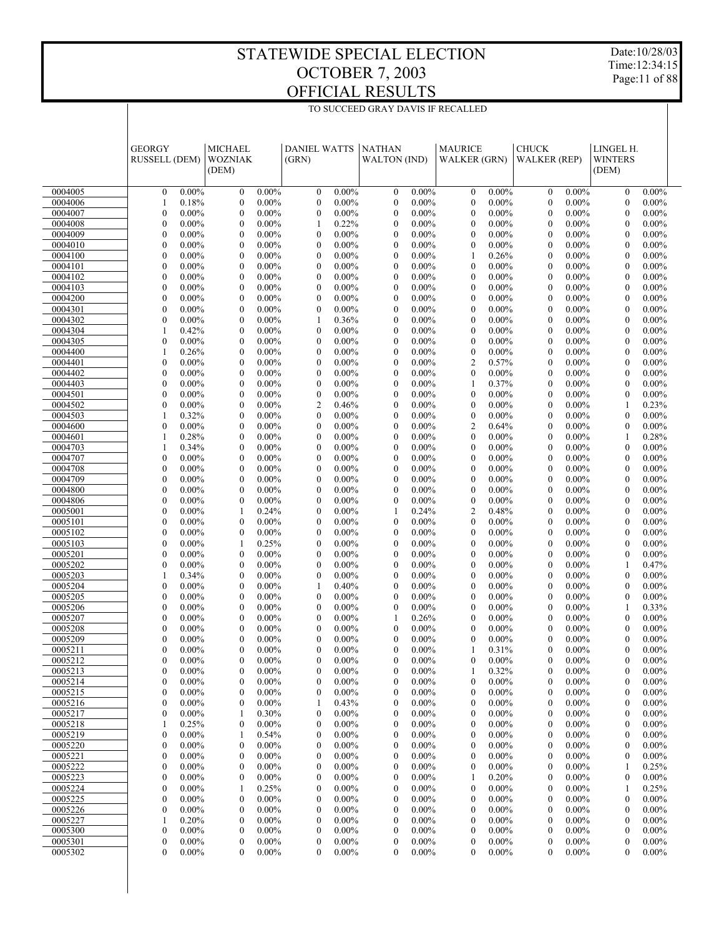Date:10/28/03 Time:12:34:15 Page:11 of 88

|                    | <b>GEORGY</b><br>RUSSELL (DEM)                               | <b>MICHAEL</b><br><b>WOZNIAK</b>                     | <b>DANIEL WATTS</b><br>(GRN)                                 | <b>NATHAN</b><br><b>WALTON</b> (IND)                         | <b>MAURICE</b><br><b>WALKER (GRN)</b>                        | <b>CHUCK</b><br><b>WALKER</b> (REP)                          | LINGEL H.<br><b>WINTERS</b>                                  |  |
|--------------------|--------------------------------------------------------------|------------------------------------------------------|--------------------------------------------------------------|--------------------------------------------------------------|--------------------------------------------------------------|--------------------------------------------------------------|--------------------------------------------------------------|--|
|                    |                                                              | (DEM)                                                |                                                              |                                                              |                                                              |                                                              | (DEM)                                                        |  |
| 0004005            | $0.00\%$<br>$\boldsymbol{0}$                                 | $\boldsymbol{0}$<br>$0.00\%$                         | $0.00\%$<br>$\boldsymbol{0}$                                 | $\boldsymbol{0}$<br>$0.00\%$                                 | $\boldsymbol{0}$<br>$0.00\%$                                 | $\boldsymbol{0}$<br>$0.00\%$                                 | $\boldsymbol{0}$<br>$0.00\%$                                 |  |
| 0004006            | 0.18%<br>1                                                   | $\boldsymbol{0}$<br>$0.00\%$                         | $\mathbf{0}$<br>$0.00\%$                                     | $\boldsymbol{0}$<br>$0.00\%$                                 | $\boldsymbol{0}$<br>$0.00\%$                                 | $\boldsymbol{0}$<br>$0.00\%$                                 | $\boldsymbol{0}$<br>$0.00\%$                                 |  |
| 0004007            | $\boldsymbol{0}$<br>$0.00\%$                                 | $\mathbf{0}$<br>$0.00\%$                             | $\boldsymbol{0}$<br>$0.00\%$                                 | $\boldsymbol{0}$<br>$0.00\%$                                 | $\boldsymbol{0}$<br>$0.00\%$                                 | $\boldsymbol{0}$<br>$0.00\%$                                 | $\boldsymbol{0}$<br>$0.00\%$                                 |  |
| 0004008            | $\boldsymbol{0}$<br>$0.00\%$                                 | $\mathbf{0}$<br>$0.00\%$                             | 0.22%<br>1                                                   | $\mathbf{0}$<br>$0.00\%$                                     | $\boldsymbol{0}$<br>$0.00\%$                                 | $\boldsymbol{0}$<br>$0.00\%$                                 | $\boldsymbol{0}$<br>$0.00\%$                                 |  |
| 0004009            | $\boldsymbol{0}$<br>$0.00\%$                                 | $\mathbf{0}$<br>$0.00\%$                             | $\boldsymbol{0}$<br>$0.00\%$                                 | $\boldsymbol{0}$<br>$0.00\%$                                 | $\boldsymbol{0}$<br>$0.00\%$                                 | $\boldsymbol{0}$<br>$0.00\%$                                 | $\boldsymbol{0}$<br>$0.00\%$                                 |  |
| 0004010<br>0004100 | $\boldsymbol{0}$<br>$0.00\%$<br>$\boldsymbol{0}$<br>$0.00\%$ | $\mathbf{0}$<br>$0.00\%$<br>$\mathbf{0}$<br>$0.00\%$ | $\boldsymbol{0}$<br>$0.00\%$<br>$\boldsymbol{0}$<br>$0.00\%$ | $\boldsymbol{0}$<br>$0.00\%$<br>$\boldsymbol{0}$<br>$0.00\%$ | $\boldsymbol{0}$<br>$0.00\%$<br>0.26%<br>1                   | $\boldsymbol{0}$<br>$0.00\%$<br>$\boldsymbol{0}$<br>$0.00\%$ | $\boldsymbol{0}$<br>$0.00\%$<br>$\boldsymbol{0}$<br>$0.00\%$ |  |
| 0004101            | $\boldsymbol{0}$<br>$0.00\%$                                 | $\mathbf{0}$<br>$0.00\%$                             | $\boldsymbol{0}$<br>$0.00\%$                                 | $\mathbf{0}$<br>$0.00\%$                                     | $\boldsymbol{0}$<br>$0.00\%$                                 | $\boldsymbol{0}$<br>$0.00\%$                                 | $\boldsymbol{0}$<br>$0.00\%$                                 |  |
| 0004102            | $\boldsymbol{0}$<br>$0.00\%$                                 | $\mathbf{0}$<br>$0.00\%$                             | $\boldsymbol{0}$<br>$0.00\%$                                 | $\boldsymbol{0}$<br>$0.00\%$                                 | $\boldsymbol{0}$<br>$0.00\%$                                 | $\boldsymbol{0}$<br>$0.00\%$                                 | $\boldsymbol{0}$<br>$0.00\%$                                 |  |
| 0004103            | $\boldsymbol{0}$<br>$0.00\%$                                 | $\mathbf{0}$<br>$0.00\%$                             | $\boldsymbol{0}$<br>$0.00\%$                                 | $\boldsymbol{0}$<br>$0.00\%$                                 | $\boldsymbol{0}$<br>$0.00\%$                                 | $\boldsymbol{0}$<br>$0.00\%$                                 | $\boldsymbol{0}$<br>$0.00\%$                                 |  |
| 0004200            | $\boldsymbol{0}$<br>$0.00\%$                                 | $\mathbf{0}$<br>$0.00\%$                             | $\boldsymbol{0}$<br>$0.00\%$                                 | $\boldsymbol{0}$<br>$0.00\%$                                 | $\boldsymbol{0}$<br>$0.00\%$                                 | $\boldsymbol{0}$<br>$0.00\%$                                 | $\boldsymbol{0}$<br>$0.00\%$                                 |  |
| 0004301            | $\boldsymbol{0}$<br>$0.00\%$                                 | $\mathbf{0}$<br>$0.00\%$                             | $\boldsymbol{0}$<br>$0.00\%$                                 | $\mathbf{0}$<br>$0.00\%$                                     | $\boldsymbol{0}$<br>$0.00\%$                                 | $\boldsymbol{0}$<br>$0.00\%$                                 | $\boldsymbol{0}$<br>$0.00\%$                                 |  |
| 0004302            | $\boldsymbol{0}$<br>$0.00\%$                                 | $\mathbf{0}$<br>$0.00\%$                             | 0.36%<br>1                                                   | $\boldsymbol{0}$<br>$0.00\%$                                 | $\boldsymbol{0}$<br>$0.00\%$                                 | $\boldsymbol{0}$<br>$0.00\%$                                 | $\boldsymbol{0}$<br>$0.00\%$                                 |  |
| 0004304            | 0.42%<br>1                                                   | $\mathbf{0}$<br>$0.00\%$                             | $\boldsymbol{0}$<br>$0.00\%$                                 | $\boldsymbol{0}$<br>$0.00\%$                                 | $\boldsymbol{0}$<br>$0.00\%$                                 | $\boldsymbol{0}$<br>$0.00\%$                                 | $\boldsymbol{0}$<br>$0.00\%$                                 |  |
| 0004305<br>0004400 | $\boldsymbol{0}$<br>$0.00\%$<br>0.26%<br>1                   | $\mathbf{0}$<br>$0.00\%$<br>$\mathbf{0}$<br>$0.00\%$ | $\boldsymbol{0}$<br>$0.00\%$<br>$\boldsymbol{0}$<br>$0.00\%$ | $\boldsymbol{0}$<br>$0.00\%$<br>$\mathbf{0}$<br>$0.00\%$     | $\boldsymbol{0}$<br>$0.00\%$<br>$\boldsymbol{0}$<br>$0.00\%$ | $\boldsymbol{0}$<br>$0.00\%$<br>$\boldsymbol{0}$<br>$0.00\%$ | $\boldsymbol{0}$<br>$0.00\%$<br>$\boldsymbol{0}$<br>$0.00\%$ |  |
| 0004401            | $\boldsymbol{0}$<br>$0.00\%$                                 | $\mathbf{0}$<br>$0.00\%$                             | $\boldsymbol{0}$<br>$0.00\%$                                 | $\boldsymbol{0}$<br>$0.00\%$                                 | $\overline{c}$<br>0.57%                                      | $\boldsymbol{0}$<br>$0.00\%$                                 | $\boldsymbol{0}$<br>$0.00\%$                                 |  |
| 0004402            | $\boldsymbol{0}$<br>$0.00\%$                                 | $\mathbf{0}$<br>$0.00\%$                             | $\boldsymbol{0}$<br>$0.00\%$                                 | $\boldsymbol{0}$<br>$0.00\%$                                 | $\boldsymbol{0}$<br>$0.00\%$                                 | $\boldsymbol{0}$<br>$0.00\%$                                 | $\boldsymbol{0}$<br>$0.00\%$                                 |  |
| 0004403            | $\boldsymbol{0}$<br>$0.00\%$                                 | $\mathbf{0}$<br>$0.00\%$                             | $\boldsymbol{0}$<br>$0.00\%$                                 | $\boldsymbol{0}$<br>$0.00\%$                                 | 0.37%<br>1                                                   | $\boldsymbol{0}$<br>$0.00\%$                                 | $\boldsymbol{0}$<br>$0.00\%$                                 |  |
| 0004501            | $\boldsymbol{0}$<br>$0.00\%$                                 | $\mathbf{0}$<br>$0.00\%$                             | $\boldsymbol{0}$<br>$0.00\%$                                 | $\mathbf{0}$<br>$0.00\%$                                     | $\boldsymbol{0}$<br>$0.00\%$                                 | $\boldsymbol{0}$<br>$0.00\%$                                 | $\boldsymbol{0}$<br>$0.00\%$                                 |  |
| 0004502            | $\boldsymbol{0}$<br>$0.00\%$                                 | $\mathbf{0}$<br>$0.00\%$                             | $\overline{2}$<br>0.46%                                      | $\boldsymbol{0}$<br>$0.00\%$                                 | $\boldsymbol{0}$<br>$0.00\%$                                 | $\boldsymbol{0}$<br>$0.00\%$                                 | 0.23%<br>1                                                   |  |
| 0004503            | 0.32%<br>1                                                   | $\mathbf{0}$<br>$0.00\%$                             | $\boldsymbol{0}$<br>$0.00\%$                                 | $\mathbf{0}$<br>$0.00\%$                                     | $\boldsymbol{0}$<br>$0.00\%$                                 | $\boldsymbol{0}$<br>$0.00\%$                                 | $\boldsymbol{0}$<br>$0.00\%$                                 |  |
| 0004600<br>0004601 | $\boldsymbol{0}$<br>$0.00\%$                                 | $\mathbf{0}$<br>$0.00\%$                             | $\boldsymbol{0}$<br>$0.00\%$                                 | $\boldsymbol{0}$<br>$0.00\%$                                 | $\overline{c}$<br>0.64%                                      | $\boldsymbol{0}$<br>$0.00\%$                                 | $\boldsymbol{0}$<br>$0.00\%$                                 |  |
| 0004703            | 0.28%<br>1<br>0.34%<br>1                                     | $\mathbf{0}$<br>$0.00\%$<br>$\mathbf{0}$<br>$0.00\%$ | $\boldsymbol{0}$<br>$0.00\%$<br>$\boldsymbol{0}$<br>$0.00\%$ | $\mathbf{0}$<br>$0.00\%$<br>$\boldsymbol{0}$<br>$0.00\%$     | $\boldsymbol{0}$<br>$0.00\%$<br>$\boldsymbol{0}$<br>$0.00\%$ | $\boldsymbol{0}$<br>$0.00\%$<br>$\boldsymbol{0}$<br>$0.00\%$ | 0.28%<br>1<br>$\boldsymbol{0}$<br>$0.00\%$                   |  |
| 0004707            | $\boldsymbol{0}$<br>$0.00\%$                                 | $\mathbf{0}$<br>$0.00\%$                             | $\boldsymbol{0}$<br>$0.00\%$                                 | $\boldsymbol{0}$<br>$0.00\%$                                 | $\boldsymbol{0}$<br>$0.00\%$                                 | $\boldsymbol{0}$<br>$0.00\%$                                 | $\boldsymbol{0}$<br>$0.00\%$                                 |  |
| 0004708            | $\boldsymbol{0}$<br>$0.00\%$                                 | $\mathbf{0}$<br>$0.00\%$                             | $\boldsymbol{0}$<br>$0.00\%$                                 | $\boldsymbol{0}$<br>$0.00\%$                                 | $\boldsymbol{0}$<br>$0.00\%$                                 | $\boldsymbol{0}$<br>$0.00\%$                                 | $\boldsymbol{0}$<br>$0.00\%$                                 |  |
| 0004709            | $\boldsymbol{0}$<br>$0.00\%$                                 | $\mathbf{0}$<br>$0.00\%$                             | $\boldsymbol{0}$<br>$0.00\%$                                 | $\mathbf{0}$<br>$0.00\%$                                     | $\boldsymbol{0}$<br>$0.00\%$                                 | $\boldsymbol{0}$<br>$0.00\%$                                 | $\boldsymbol{0}$<br>$0.00\%$                                 |  |
| 0004800            | $\boldsymbol{0}$<br>$0.00\%$                                 | $\mathbf{0}$<br>$0.00\%$                             | $\boldsymbol{0}$<br>$0.00\%$                                 | $\boldsymbol{0}$<br>$0.00\%$                                 | $\boldsymbol{0}$<br>$0.00\%$                                 | $\boldsymbol{0}$<br>$0.00\%$                                 | $\boldsymbol{0}$<br>$0.00\%$                                 |  |
| 0004806            | $\boldsymbol{0}$<br>$0.00\%$                                 | $\mathbf{0}$<br>$0.00\%$                             | $\boldsymbol{0}$<br>$0.00\%$                                 | $\boldsymbol{0}$<br>$0.00\%$                                 | $\boldsymbol{0}$<br>$0.00\%$                                 | $\boldsymbol{0}$<br>$0.00\%$                                 | $\boldsymbol{0}$<br>$0.00\%$                                 |  |
| 0005001            | $\boldsymbol{0}$<br>$0.00\%$                                 | $\mathbf{1}$<br>0.24%                                | $\boldsymbol{0}$<br>$0.00\%$                                 | 0.24%<br>$\mathbf{1}$                                        | $\overline{c}$<br>0.48%                                      | $\boldsymbol{0}$<br>$0.00\%$                                 | $\boldsymbol{0}$<br>$0.00\%$                                 |  |
| 0005101            | $\boldsymbol{0}$<br>$0.00\%$<br>$\boldsymbol{0}$<br>$0.00\%$ | $\mathbf{0}$<br>$0.00\%$<br>$\mathbf{0}$<br>$0.00\%$ | $\boldsymbol{0}$<br>$0.00\%$<br>$\boldsymbol{0}$<br>$0.00\%$ | $\mathbf{0}$<br>$0.00\%$<br>$\boldsymbol{0}$<br>$0.00\%$     | $\boldsymbol{0}$<br>$0.00\%$<br>$0.00\%$                     | $\boldsymbol{0}$<br>$0.00\%$<br>$\boldsymbol{0}$<br>$0.00\%$ | $\mathbf{0}$<br>$0.00\%$<br>$\boldsymbol{0}$<br>$0.00\%$     |  |
| 0005102<br>0005103 | $\boldsymbol{0}$<br>$0.00\%$                                 | 0.25%<br>$\mathbf{1}$                                | $\boldsymbol{0}$<br>$0.00\%$                                 | $\mathbf{0}$<br>$0.00\%$                                     | $\boldsymbol{0}$<br>$\boldsymbol{0}$<br>$0.00\%$             | $\boldsymbol{0}$<br>$0.00\%$                                 | $\boldsymbol{0}$<br>$0.00\%$                                 |  |
| 0005201            | $\boldsymbol{0}$<br>$0.00\%$                                 | $\mathbf{0}$<br>$0.00\%$                             | $\boldsymbol{0}$<br>$0.00\%$                                 | $\boldsymbol{0}$<br>$0.00\%$                                 | $\boldsymbol{0}$<br>$0.00\%$                                 | $\boldsymbol{0}$<br>$0.00\%$                                 | $\boldsymbol{0}$<br>$0.00\%$                                 |  |
| 0005202            | $\boldsymbol{0}$<br>$0.00\%$                                 | $\mathbf{0}$<br>$0.00\%$                             | $\boldsymbol{0}$<br>$0.00\%$                                 | $\mathbf{0}$<br>$0.00\%$                                     | $\boldsymbol{0}$<br>$0.00\%$                                 | $\boldsymbol{0}$<br>$0.00\%$                                 | 0.47%<br>1                                                   |  |
| 0005203            | 0.34%<br>1                                                   | $\mathbf{0}$<br>$0.00\%$                             | $\boldsymbol{0}$<br>$0.00\%$                                 | $\boldsymbol{0}$<br>$0.00\%$                                 | $\boldsymbol{0}$<br>$0.00\%$                                 | $\boldsymbol{0}$<br>$0.00\%$                                 | $\boldsymbol{0}$<br>$0.00\%$                                 |  |
| 0005204            | $\boldsymbol{0}$<br>$0.00\%$                                 | $\mathbf{0}$<br>$0.00\%$                             | 0.40%<br>1                                                   | $\boldsymbol{0}$<br>$0.00\%$                                 | $\boldsymbol{0}$<br>$0.00\%$                                 | $\boldsymbol{0}$<br>$0.00\%$                                 | $\boldsymbol{0}$<br>$0.00\%$                                 |  |
| 0005205            | $\boldsymbol{0}$<br>$0.00\%$                                 | $\mathbf{0}$<br>$0.00\%$                             | $\boldsymbol{0}$<br>$0.00\%$                                 | $\boldsymbol{0}$<br>$0.00\%$                                 | $\boldsymbol{0}$<br>$0.00\%$                                 | $\boldsymbol{0}$<br>$0.00\%$                                 | $\boldsymbol{0}$<br>$0.00\%$                                 |  |
| 0005206<br>0005207 | $\boldsymbol{0}$<br>$0.00\%$<br>$\boldsymbol{0}$<br>$0.00\%$ | $\mathbf{0}$<br>$0.00\%$<br>$\mathbf{0}$<br>$0.00\%$ | $\boldsymbol{0}$<br>$0.00\%$<br>$\boldsymbol{0}$<br>$0.00\%$ | $\boldsymbol{0}$<br>$0.00\%$<br>0.26%<br>1                   | $\boldsymbol{0}$<br>$0.00\%$<br>$\boldsymbol{0}$<br>$0.00\%$ | $\boldsymbol{0}$<br>$0.00\%$<br>$\boldsymbol{0}$<br>$0.00\%$ | 0.33%<br>1<br>$\boldsymbol{0}$<br>$0.00\%$                   |  |
| 0005208            | $\mathbf{0}$<br>$0.00\%$                                     | $\mathbf{0}$<br>$0.00\%$                             | $\mathbf{0}$<br>$0.00\%$                                     | $\mathbf{0}$<br>$0.00\%$                                     | $\boldsymbol{0}$<br>$0.00\%$                                 | $\boldsymbol{0}$<br>$0.00\%$                                 | $\mathbf{0}$<br>$0.00\%$                                     |  |
| 0005209            | $\mathbf{0}$<br>$0.00\%$                                     | $\mathbf{0}$<br>$0.00\%$                             | $\mathbf{0}$<br>$0.00\%$                                     | $\boldsymbol{0}$<br>$0.00\%$                                 | $\boldsymbol{0}$<br>$0.00\%$                                 | $\boldsymbol{0}$<br>$0.00\%$                                 | $\mathbf{0}$<br>$0.00\%$                                     |  |
| 0005211            | $\overline{0}$<br>$0.00\%$                                   | $\mathbf{0}$<br>$0.00\%$                             | $\mathbf{0}$<br>$0.00\%$                                     | $\mathbf{0}$<br>$0.00\%$                                     | 0.31%<br>1                                                   | $\mathbf{0}$<br>$0.00\%$                                     | $\mathbf{0}$<br>$0.00\%$                                     |  |
| 0005212            | $\boldsymbol{0}$<br>$0.00\%$                                 | $\boldsymbol{0}$<br>$0.00\%$                         | $\boldsymbol{0}$<br>$0.00\%$                                 | $\boldsymbol{0}$<br>$0.00\%$                                 | $\boldsymbol{0}$<br>$0.00\%$                                 | $\boldsymbol{0}$<br>$0.00\%$                                 | $\boldsymbol{0}$<br>$0.00\%$                                 |  |
| 0005213            | $\boldsymbol{0}$<br>$0.00\%$                                 | $\boldsymbol{0}$<br>$0.00\%$                         | $\boldsymbol{0}$<br>$0.00\%$                                 | $\boldsymbol{0}$<br>$0.00\%$                                 | 0.32%<br>1                                                   | $\boldsymbol{0}$<br>$0.00\%$                                 | $0.00\%$<br>$\boldsymbol{0}$                                 |  |
| 0005214            | $0.00\%$<br>$\boldsymbol{0}$                                 | $0.00\%$<br>$\boldsymbol{0}$                         | $0.00\%$<br>0                                                | $0.00\%$<br>$\boldsymbol{0}$                                 | $0.00\%$<br>$\boldsymbol{0}$                                 | $0.00\%$<br>$\boldsymbol{0}$                                 | $0.00\%$<br>$\boldsymbol{0}$                                 |  |
| 0005215            | $\boldsymbol{0}$<br>$0.00\%$                                 | $\boldsymbol{0}$<br>$0.00\%$<br>$0.00\%$             | 0<br>$0.00\%$                                                | $0.00\%$<br>$\boldsymbol{0}$<br>$0.00\%$                     | $0.00\%$<br>$\boldsymbol{0}$                                 | $0.00\%$<br>$\boldsymbol{0}$<br>$0.00\%$                     | $\boldsymbol{0}$<br>$0.00\%$                                 |  |
| 0005216<br>0005217 | $\boldsymbol{0}$<br>$0.00\%$<br>$\boldsymbol{0}$<br>$0.00\%$ | $\boldsymbol{0}$<br>0.30%<br>1                       | 0.43%<br>1<br>$0.00\%$<br>0                                  | $\boldsymbol{0}$<br>$0.00\%$<br>$\boldsymbol{0}$             | $\boldsymbol{0}$<br>$0.00\%$<br>$0.00\%$<br>$\boldsymbol{0}$ | $\boldsymbol{0}$<br>$0.00\%$<br>$\boldsymbol{0}$             | $\boldsymbol{0}$<br>$0.00\%$<br>$\boldsymbol{0}$<br>$0.00\%$ |  |
| 0005218            | 0.25%<br>1                                                   | $0.00\%$<br>$\boldsymbol{0}$                         | $0.00\%$<br>$\boldsymbol{0}$                                 | $0.00\%$<br>$\boldsymbol{0}$                                 | $0.00\%$<br>$\boldsymbol{0}$                                 | $0.00\%$<br>$\boldsymbol{0}$                                 | $0.00\%$<br>$\boldsymbol{0}$                                 |  |
| 0005219            | $\boldsymbol{0}$<br>$0.00\%$                                 | 0.54%<br>1                                           | $0.00\%$<br>$\boldsymbol{0}$                                 | $0.00\%$<br>$\boldsymbol{0}$                                 | $0.00\%$<br>$\boldsymbol{0}$                                 | $0.00\%$<br>$\boldsymbol{0}$                                 | $\boldsymbol{0}$<br>$0.00\%$                                 |  |
| 0005220            | $0.00\%$<br>$\boldsymbol{0}$                                 | $0.00\%$<br>$\boldsymbol{0}$                         | $0.00\%$<br>$\boldsymbol{0}$                                 | $0.00\%$<br>$\boldsymbol{0}$                                 | $0.00\%$<br>$\boldsymbol{0}$                                 | $0.00\%$<br>$\boldsymbol{0}$                                 | $0.00\%$<br>$\boldsymbol{0}$                                 |  |
| 0005221            | $\boldsymbol{0}$<br>$0.00\%$                                 | $\boldsymbol{0}$<br>$0.00\%$                         | $\boldsymbol{0}$<br>$0.00\%$                                 | $0.00\%$<br>$\boldsymbol{0}$                                 | $\boldsymbol{0}$<br>$0.00\%$                                 | $0.00\%$<br>$\boldsymbol{0}$                                 | $\boldsymbol{0}$<br>$0.00\%$                                 |  |
| 0005222            | $\boldsymbol{0}$<br>$0.00\%$                                 | $0.00\%$<br>$\boldsymbol{0}$                         | $0.00\%$<br>$\boldsymbol{0}$                                 | $\boldsymbol{0}$<br>$0.00\%$                                 | $0.00\%$<br>$\boldsymbol{0}$                                 | $0.00\%$<br>$\boldsymbol{0}$                                 | 0.25%<br>1                                                   |  |
| 0005223            | $\boldsymbol{0}$<br>$0.00\%$                                 | $\boldsymbol{0}$<br>$0.00\%$                         | $\boldsymbol{0}$<br>$0.00\%$                                 | $0.00\%$<br>$\boldsymbol{0}$                                 | 0.20%<br>1                                                   | $0.00\%$<br>$\boldsymbol{0}$                                 | $0.00\%$<br>$\boldsymbol{0}$                                 |  |
| 0005224<br>0005225 | $\boldsymbol{0}$<br>$0.00\%$<br>$\boldsymbol{0}$<br>$0.00\%$ | 0.25%<br>1<br>$\boldsymbol{0}$<br>$0.00\%$           | $\boldsymbol{0}$<br>$0.00\%$<br>$\boldsymbol{0}$<br>$0.00\%$ | $0.00\%$<br>$\boldsymbol{0}$<br>$0.00\%$<br>$\boldsymbol{0}$ | $0.00\%$<br>$\boldsymbol{0}$<br>$0.00\%$<br>$\boldsymbol{0}$ | $0.00\%$<br>$\boldsymbol{0}$<br>$0.00\%$<br>$\boldsymbol{0}$ | 0.25%<br>1<br>$0.00\%$<br>$\boldsymbol{0}$                   |  |
| 0005226            | $\boldsymbol{0}$<br>$0.00\%$                                 | $0.00\%$<br>$\boldsymbol{0}$                         | $\boldsymbol{0}$<br>$0.00\%$                                 | $\boldsymbol{0}$<br>$0.00\%$                                 | $0.00\%$<br>$\boldsymbol{0}$                                 | $\boldsymbol{0}$<br>$0.00\%$                                 | $0.00\%$<br>$\boldsymbol{0}$                                 |  |
| 0005227            | 1<br>0.20%                                                   | $\boldsymbol{0}$<br>$0.00\%$                         | $\boldsymbol{0}$<br>$0.00\%$                                 | $0.00\%$<br>$\boldsymbol{0}$                                 | $\boldsymbol{0}$<br>$0.00\%$                                 | $0.00\%$<br>$\boldsymbol{0}$                                 | $\boldsymbol{0}$<br>$0.00\%$                                 |  |
| 0005300            | $\boldsymbol{0}$<br>$0.00\%$                                 | $0.00\%$<br>$\boldsymbol{0}$                         | $\boldsymbol{0}$<br>$0.00\%$                                 | $0.00\%$<br>$\boldsymbol{0}$                                 | $\boldsymbol{0}$<br>$0.00\%$                                 | $0.00\%$<br>$\boldsymbol{0}$                                 | $\boldsymbol{0}$<br>$0.00\%$                                 |  |
| 0005301            | $\boldsymbol{0}$<br>$0.00\%$                                 | $\boldsymbol{0}$<br>$0.00\%$                         | $\boldsymbol{0}$<br>$0.00\%$                                 | $0.00\%$<br>$\boldsymbol{0}$                                 | $\boldsymbol{0}$<br>$0.00\%$                                 | $0.00\%$<br>$\boldsymbol{0}$                                 | $\boldsymbol{0}$<br>$0.00\%$                                 |  |
| 0005302            | $\boldsymbol{0}$<br>$0.00\%$                                 | $\boldsymbol{0}$<br>$0.00\%$                         | 0<br>$0.00\%$                                                | $0.00\%$<br>$\boldsymbol{0}$                                 | $\boldsymbol{0}$<br>$0.00\%$                                 | $0.00\%$<br>$\boldsymbol{0}$                                 | $0.00\%$<br>$\boldsymbol{0}$                                 |  |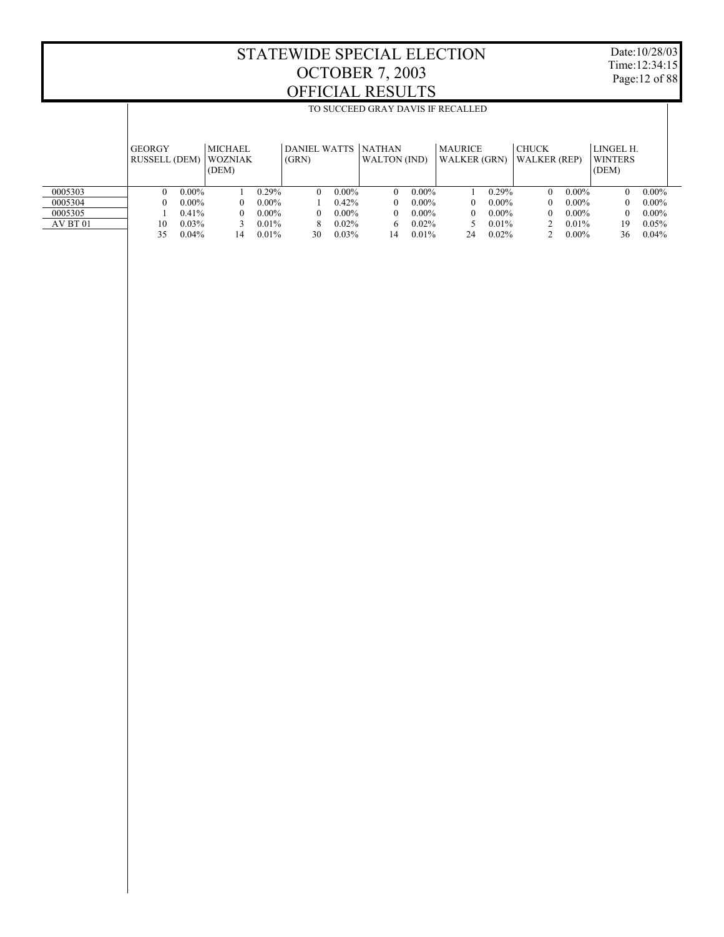Τ

Date:10/28/03 Time:12:34:15 Page:12 of 88

Τ

|          |                                       | TO SUCCEED GRAY DAVIS IF RECALLED |                                           |          |          |          |                                            |          |                                       |          |                                     |          |                                      |          |  |
|----------|---------------------------------------|-----------------------------------|-------------------------------------------|----------|----------|----------|--------------------------------------------|----------|---------------------------------------|----------|-------------------------------------|----------|--------------------------------------|----------|--|
|          | <b>GEORGY</b><br><b>RUSSELL (DEM)</b> |                                   | <b>MICHAEL</b><br><b>WOZNIAK</b><br>(DEM) |          | (GRN)    |          | DANIEL WATTS NATHAN<br><b>WALTON</b> (IND) |          | <b>MAURICE</b><br><b>WALKER (GRN)</b> |          | <b>CHUCK</b><br><b>WALKER</b> (REP) |          | LINGEL H.<br><b>WINTERS</b><br>(DEM) |          |  |
| 0005303  |                                       | $0.00\%$                          |                                           | $0.29\%$ | $\Omega$ | $0.00\%$ | $\Omega$                                   | $0.00\%$ |                                       | 0.29%    | $\Omega$                            | $0.00\%$ | $\Omega$                             | $0.00\%$ |  |
| 0005304  |                                       | $0.00\%$                          | 0                                         | $0.00\%$ |          | 0.42%    | $\theta$                                   | $0.00\%$ | 0                                     | $0.00\%$ | $^{\circ}$                          | $0.00\%$ | $\Omega$                             | $0.00\%$ |  |
| 0005305  |                                       | 0.41%                             | 0                                         | $0.00\%$ | $\theta$ | $0.00\%$ | $\Omega$                                   | $0.00\%$ | 0                                     | $0.00\%$ | $^{\circ}$                          | $0.00\%$ | $\Omega$                             | $0.00\%$ |  |
| AV BT 01 | 10                                    | $0.03\%$                          |                                           | $0.01\%$ | 8        | 0.02%    | 6.                                         | $0.02\%$ | 5.                                    | $0.01\%$ |                                     | $0.01\%$ | 19                                   | 0.05%    |  |
|          | 35                                    | $0.04\%$                          | 14                                        | 0.01%    | 30       | 0.03%    | 14                                         | 0.01%    | 24                                    | 0.02%    |                                     | $0.00\%$ | 36                                   | 0.04%    |  |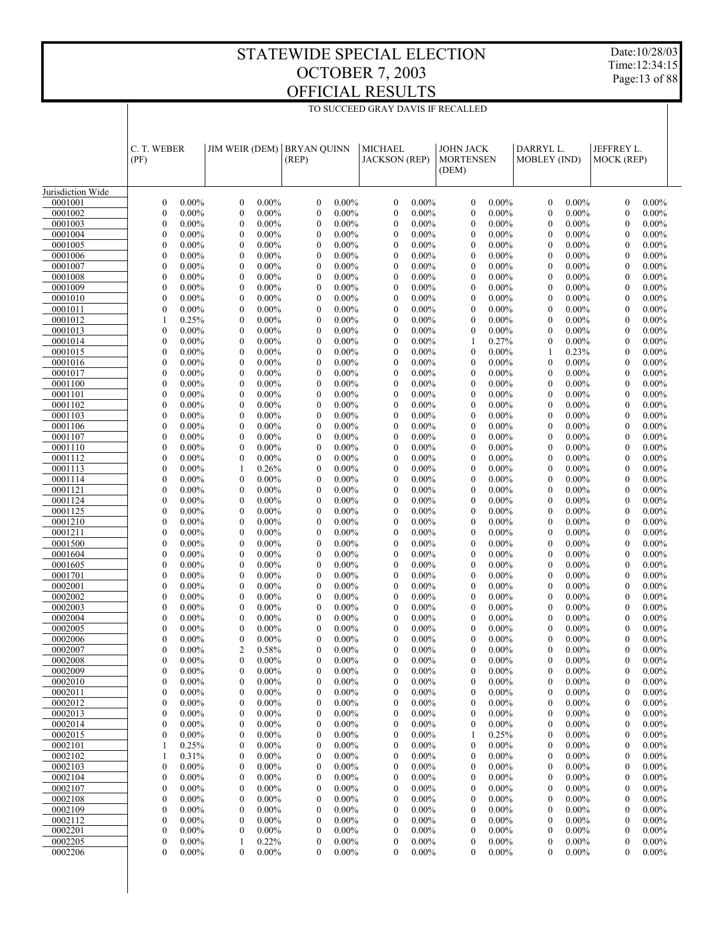TO SUCCEED GRAY DAVIS IF RECALLED

Date:10/28/03 Time:12:34:15 Page:13 of 88

|                    | C. T. WEBER<br>(PF)                                      | JIM WEIR (DEM)                                           | <b>BRYAN OUINN</b><br>(REP)                                  | <b>MICHAEL</b><br><b>JACKSON</b> (REP)                       | <b>JOHN JACK</b><br><b>MORTENSEN</b>                     | DARRYL L.<br>MOBLEY (IND)                                | JEFFREY L.<br>MOCK (REP)                                     |
|--------------------|----------------------------------------------------------|----------------------------------------------------------|--------------------------------------------------------------|--------------------------------------------------------------|----------------------------------------------------------|----------------------------------------------------------|--------------------------------------------------------------|
|                    |                                                          |                                                          |                                                              |                                                              | (DEM)                                                    |                                                          |                                                              |
| Jurisdiction Wide  |                                                          |                                                          |                                                              |                                                              |                                                          |                                                          |                                                              |
| 0001001            | $\boldsymbol{0}$                                         | $\mathbf{0}$                                             | $\boldsymbol{0}$                                             | $\boldsymbol{0}$                                             | $0.00\%$                                                 | $\boldsymbol{0}$                                         | $\boldsymbol{0}$                                             |
|                    | $0.00\%$                                                 | $0.00\%$                                                 | $0.00\%$                                                     | $0.00\%$                                                     | $\mathbf{0}$                                             | $0.00\%$                                                 | $0.00\%$                                                     |
| 0001002            | $\mathbf{0}$                                             | $\boldsymbol{0}$                                         | $\mathbf{0}$                                                 | $\boldsymbol{0}$                                             | $\mathbf{0}$                                             | $\mathbf{0}$                                             | $\overline{0}$                                               |
|                    | $0.00\%$                                                 | $0.00\%$                                                 | $0.00\%$                                                     | $0.00\%$                                                     | $0.00\%$                                                 | $0.00\%$                                                 | $0.00\%$                                                     |
| 0001003            | $\boldsymbol{0}$<br>$0.00\%$                             | $0.00\%$<br>$\mathbf{0}$<br>$\mathbf{0}$                 | $0.00\%$<br>$\boldsymbol{0}$<br>$\mathbf{0}$                 | $\boldsymbol{0}$<br>$0.00\%$                                 | $0.00\%$<br>$\mathbf{0}$                                 | $0.00\%$<br>$\boldsymbol{0}$<br>$\mathbf{0}$             | $0.00\%$<br>$\boldsymbol{0}$                                 |
| 0001004<br>0001005 | $\mathbf{0}$<br>$0.00\%$<br>$\mathbf{0}$<br>$0.00\%$     | $0.00\%$<br>$\boldsymbol{0}$<br>$0.00\%$                 | $0.00\%$<br>$\boldsymbol{0}$<br>$0.00\%$                     | $\boldsymbol{0}$<br>$0.00\%$<br>$\boldsymbol{0}$<br>$0.00\%$ | $0.00\%$<br>$\mathbf{0}$<br>$0.00\%$<br>$\mathbf{0}$     | $0.00\%$<br>$\mathbf{0}$<br>$0.00\%$                     | $0.00\%$<br>$\boldsymbol{0}$<br>$\mathbf{0}$<br>$0.00\%$     |
| 0001006            | $\mathbf{0}$                                             | $0.00\%$                                                 | $\mathbf{0}$                                                 | $\boldsymbol{0}$                                             | $\mathbf{0}$                                             | $0.00\%$                                                 | $\boldsymbol{0}$                                             |
|                    | $0.00\%$                                                 | $\mathbf{0}$                                             | $0.00\%$                                                     | $0.00\%$                                                     | $0.00\%$                                                 | $\mathbf{0}$                                             | $0.00\%$                                                     |
| 0001007            | $\mathbf{0}$                                             | $\boldsymbol{0}$                                         | $\boldsymbol{0}$                                             | $\boldsymbol{0}$                                             | $0.00\%$                                                 | $\mathbf{0}$                                             | $\mathbf{0}$                                                 |
|                    | $0.00\%$                                                 | $0.00\%$                                                 | $0.00\%$                                                     | $0.00\%$                                                     | $\mathbf{0}$                                             | $0.00\%$                                                 | $0.00\%$                                                     |
| 0001008            | $\theta$                                                 | $\mathbf{0}$                                             | $\mathbf{0}$                                                 | $\mathbf{0}$                                                 | $0.00\%$                                                 | $\mathbf{0}$                                             | $0.00\%$                                                     |
|                    | $0.00\%$                                                 | $0.00\%$                                                 | $0.00\%$                                                     | $0.00\%$                                                     | $\mathbf{0}$                                             | $0.00\%$                                                 | $\mathbf{0}$                                                 |
| 0001009            | $\mathbf{0}$                                             | $\boldsymbol{0}$                                         | $\boldsymbol{0}$                                             | $\boldsymbol{0}$                                             | $\boldsymbol{0}$                                         | $\mathbf{0}$                                             | $\mathbf{0}$                                                 |
|                    | $0.00\%$                                                 | $0.00\%$                                                 | $0.00\%$                                                     | $0.00\%$                                                     | $0.00\%$                                                 | $0.00\%$                                                 | $0.00\%$                                                     |
| 0001010            | $\mathbf{0}$                                             | $\mathbf{0}$                                             | $\mathbf{0}$                                                 | $\boldsymbol{0}$                                             | $\mathbf{0}$                                             | $0.00\%$                                                 | $\mathbf{0}$                                                 |
|                    | $0.00\%$                                                 | $0.00\%$                                                 | $0.00\%$                                                     | $0.00\%$                                                     | $0.00\%$                                                 | $\mathbf{0}$                                             | $0.00\%$                                                     |
| 0001011<br>0001012 | $\mathbf{0}$<br>$0.00\%$<br>0.25%<br>1                   | $\boldsymbol{0}$<br>$0.00\%$<br>$\mathbf{0}$<br>$0.00\%$ | $\boldsymbol{0}$<br>$0.00\%$<br>$\mathbf{0}$<br>$0.00\%$     | $\boldsymbol{0}$<br>$0.00\%$<br>$\mathbf{0}$<br>$0.00\%$     | $\mathbf{0}$<br>$0.00\%$<br>$\mathbf{0}$<br>$0.00\%$     | $\mathbf{0}$<br>$0.00\%$<br>$\mathbf{0}$<br>$0.00\%$     | $\boldsymbol{0}$<br>$0.00\%$<br>$\mathbf{0}$<br>$0.00\%$     |
| 0001013            | $\boldsymbol{0}$                                         | $\boldsymbol{0}$                                         | $\boldsymbol{0}$                                             | $\boldsymbol{0}$                                             | $0.00\%$                                                 | $\mathbf{0}$                                             | $\mathbf{0}$                                                 |
|                    | $0.00\%$                                                 | $0.00\%$                                                 | $0.00\%$                                                     | $0.00\%$                                                     | $\mathbf{0}$                                             | $0.00\%$                                                 | $0.00\%$                                                     |
| 0001014            | $\mathbf{0}$                                             | $\mathbf{0}$                                             | $\mathbf{0}$                                                 | $\boldsymbol{0}$                                             | 1                                                        | $0.00\%$                                                 | $\mathbf{0}$                                                 |
|                    | $0.00\%$                                                 | $0.00\%$                                                 | $0.00\%$                                                     | $0.00\%$                                                     | 0.27%                                                    | $\boldsymbol{0}$                                         | $0.00\%$                                                     |
| 0001015            | $\boldsymbol{0}$                                         | $\boldsymbol{0}$                                         | $\boldsymbol{0}$                                             | $\boldsymbol{0}$                                             | $0.00\%$                                                 | 1                                                        | $\boldsymbol{0}$                                             |
|                    | $0.00\%$                                                 | $0.00\%$                                                 | $0.00\%$                                                     | $0.00\%$                                                     | $\mathbf{0}$                                             | 0.23%                                                    | $0.00\%$                                                     |
| 0001016            | $\mathbf{0}$                                             | $\mathbf{0}$                                             | $\mathbf{0}$                                                 | $\mathbf{0}$                                                 | 0.00%                                                    | $\mathbf{0}$                                             | $\mathbf{0}$                                                 |
|                    | $0.00\%$                                                 | $0.00\%$                                                 | $0.00\%$                                                     | $0.00\%$                                                     | $\mathbf{0}$                                             | $0.00\%$                                                 | $0.00\%$                                                     |
| 0001017            | $\boldsymbol{0}$                                         | $\boldsymbol{0}$                                         | $\boldsymbol{0}$                                             | $\boldsymbol{0}$                                             | $\mathbf{0}$                                             | $0.00\%$                                                 | $\boldsymbol{0}$                                             |
|                    | $0.00\%$                                                 | $0.00\%$                                                 | $0.00\%$                                                     | $0.00\%$                                                     | $0.00\%$                                                 | $\mathbf{0}$                                             | $0.00\%$                                                     |
| 0001100            | $\mathbf{0}$                                             | $\mathbf{0}$                                             | $\mathbf{0}$                                                 | $\boldsymbol{0}$                                             | $\mathbf{0}$                                             | $0.00\%$                                                 | $\mathbf{0}$                                                 |
|                    | $0.00\%$                                                 | $0.00\%$                                                 | $0.00\%$                                                     | $0.00\%$                                                     | $0.00\%$                                                 | $\mathbf{0}$                                             | $0.00\%$                                                     |
| 0001101<br>0001102 | $\boldsymbol{0}$<br>$0.00\%$<br>$\theta$<br>$0.00\%$     | $\boldsymbol{0}$<br>$0.00\%$<br>$\mathbf{0}$<br>$0.00\%$ | $\boldsymbol{0}$<br>$0.00\%$<br>$\mathbf{0}$<br>$0.00\%$     | $\boldsymbol{0}$<br>$0.00\%$<br>$\mathbf{0}$<br>$0.00\%$     | $\mathbf{0}$<br>$0.00\%$<br>$\mathbf{0}$<br>$0.00\%$     | $\mathbf{0}$<br>$0.00\%$<br>$\mathbf{0}$<br>$0.00\%$     | $\boldsymbol{0}$<br>$0.00\%$<br>$\mathbf{0}$<br>$0.00\%$     |
| 0001103            | $\boldsymbol{0}$                                         | $\boldsymbol{0}$                                         | $\boldsymbol{0}$                                             | $\boldsymbol{0}$                                             | $\boldsymbol{0}$                                         | $\mathbf{0}$                                             | $\mathbf{0}$                                                 |
|                    | $0.00\%$                                                 | $0.00\%$                                                 | $0.00\%$                                                     | $0.00\%$                                                     | $0.00\%$                                                 | $0.00\%$                                                 | $0.00\%$                                                     |
| 0001106            | $\mathbf{0}$                                             | $\mathbf{0}$                                             | $\mathbf{0}$                                                 | $\boldsymbol{0}$                                             | $\mathbf{0}$                                             | $0.00\%$                                                 | $\boldsymbol{0}$                                             |
|                    | $0.00\%$                                                 | $0.00\%$                                                 | $0.00\%$                                                     | $0.00\%$                                                     | $0.00\%$                                                 | $\mathbf{0}$                                             | $0.00\%$                                                     |
| 0001107            | $\mathbf{0}$                                             | $\boldsymbol{0}$                                         | $\boldsymbol{0}$                                             | $\boldsymbol{0}$                                             | $0.00\%$                                                 | $\mathbf{0}$                                             | $\mathbf{0}$                                                 |
|                    | $0.00\%$                                                 | $0.00\%$                                                 | $0.00\%$                                                     | $0.00\%$                                                     | $\mathbf{0}$                                             | $0.00\%$                                                 | $0.00\%$                                                     |
| 0001110            | $\theta$                                                 | $\mathbf{0}$                                             | $\mathbf{0}$                                                 | $\mathbf{0}$                                                 | $0.00\%$                                                 | $\mathbf{0}$                                             | $\boldsymbol{0}$                                             |
|                    | $0.00\%$                                                 | $0.00\%$                                                 | $0.00\%$                                                     | $0.00\%$                                                     | $\mathbf{0}$                                             | $0.00\%$                                                 | $0.00\%$                                                     |
| 0001112            | $\boldsymbol{0}$                                         | $\boldsymbol{0}$                                         | $\boldsymbol{0}$                                             | $\boldsymbol{0}$                                             | $\boldsymbol{0}$                                         | $\mathbf{0}$                                             | $\mathbf{0}$                                                 |
|                    | $0.00\%$                                                 | $0.00\%$                                                 | $0.00\%$                                                     | $0.00\%$                                                     | $0.00\%$                                                 | $0.00\%$                                                 | $0.00\%$                                                     |
| 0001113            | $\mathbf{0}$                                             | 1                                                        | $\mathbf{0}$                                                 | $\mathbf{0}$                                                 | $\mathbf{0}$                                             | $0.00\%$                                                 | $\boldsymbol{0}$                                             |
|                    | $0.00\%$                                                 | 0.26%                                                    | $0.00\%$                                                     | $0.00\%$                                                     | $0.00\%$                                                 | $\mathbf{0}$                                             | $0.00\%$                                                     |
| 0001114<br>0001121 | $\mathbf{0}$<br>$0.00\%$<br>$\theta$<br>$0.00\%$         | $\boldsymbol{0}$<br>$0.00\%$<br>$\mathbf{0}$<br>$0.00\%$ | $\boldsymbol{0}$<br>$0.00\%$<br>$\mathbf{0}$<br>$0.00\%$     | $\boldsymbol{0}$<br>$0.00\%$<br>$\mathbf{0}$<br>$0.00\%$     | $\boldsymbol{0}$<br>$0.00\%$<br>$\mathbf{0}$<br>$0.00\%$ | $\mathbf{0}$<br>$0.00\%$<br>$\mathbf{0}$<br>$0.00\%$     | $\mathbf{0}$<br>$0.00\%$<br>$\mathbf{0}$<br>$0.00\%$         |
| 0001124            | $\boldsymbol{0}$                                         | $\mathbf{0}$                                             | $\boldsymbol{0}$                                             | $\boldsymbol{0}$                                             | $\mathbf{0}$                                             | $\mathbf{0}$                                             | $\mathbf{0}$                                                 |
|                    | $0.00\%$                                                 | $0.00\%$                                                 | $0.00\%$                                                     | $0.00\%$                                                     | $0.00\%$                                                 | $0.00\%$                                                 | $0.00\%$                                                     |
| 0001125            | $\mathbf{0}$                                             | $\mathbf{0}$                                             | $\mathbf{0}$                                                 | $\boldsymbol{0}$                                             | $\mathbf{0}$                                             | $\mathbf{0}$                                             | $\mathbf{0}$                                                 |
|                    | $0.00\%$                                                 | $0.00\%$                                                 | $0.00\%$                                                     | $0.00\%$                                                     | $0.00\%$                                                 | $0.00\%$                                                 | $0.00\%$                                                     |
| 0001210            | $\boldsymbol{0}$                                         | $\boldsymbol{0}$                                         | $\boldsymbol{0}$                                             | $\boldsymbol{0}$                                             | $\mathbf{0}$                                             | $\mathbf{0}$                                             | $\boldsymbol{0}$                                             |
|                    | $0.00\%$                                                 | $0.00\%$                                                 | $0.00\%$                                                     | $0.00\%$                                                     | $0.00\%$                                                 | $0.00\%$                                                 | $0.00\%$                                                     |
| 0001211            | $\mathbf{0}$                                             | $\mathbf{0}$                                             | $\mathbf{0}$                                                 | $\mathbf{0}$                                                 | $\mathbf{0}$                                             | $\mathbf{0}$                                             | $\mathbf{0}$                                                 |
|                    | $0.00\%$                                                 | $0.00\%$                                                 | $0.00\%$                                                     | $0.00\%$                                                     | $0.00\%$                                                 | $0.00\%$                                                 | $0.00\%$                                                     |
| 0001500            | $\boldsymbol{0}$                                         | $\boldsymbol{0}$                                         | $\boldsymbol{0}$                                             | $\boldsymbol{0}$                                             | $\mathbf{0}$                                             | $0.00\%$                                                 | $\boldsymbol{0}$                                             |
|                    | $0.00\%$                                                 | $0.00\%$                                                 | $0.00\%$                                                     | $0.00\%$                                                     | $0.00\%$                                                 | $\boldsymbol{0}$                                         | $0.00\%$                                                     |
| 0001604            | $\mathbf{0}$<br>$0.00\%$                                 | $\mathbf{0}$<br>$0.00\%$                                 | $\mathbf{0}$<br>$0.00\%$                                     | $\boldsymbol{0}$<br>$0.00\%$                                 | $\mathbf{0}$<br>$0.00\%$                                 | $\mathbf{0}$<br>$0.00\%$<br>$\mathbf{0}$                 | $\mathbf{0}$<br>$0.00\%$                                     |
| 0001605<br>0001701 | $\boldsymbol{0}$<br>$0.00\%$<br>$\mathbf{0}$<br>$0.00\%$ | $\boldsymbol{0}$<br>$0.00\%$<br>$\mathbf{0}$<br>$0.00\%$ | $\boldsymbol{0}$<br>$0.00\%$<br>$\mathbf{0}$<br>$0.00\%$     | $\boldsymbol{0}$<br>$0.00\%$<br>$\mathbf{0}$<br>$0.00\%$     | $\mathbf{0}$<br>$0.00\%$<br>$\mathbf{0}$<br>$0.00\%$     | $0.00\%$<br>$0.00\%$<br>$\mathbf{0}$                     | $\boldsymbol{0}$<br>$0.00\%$<br>$\mathbf{0}$<br>$0.00\%$     |
| 0002001            | $\boldsymbol{0}$                                         | $\mathbf{0}$                                             | $\boldsymbol{0}$                                             | $\boldsymbol{0}$                                             | $\mathbf{0}$                                             | $0.00\%$                                                 | $\mathbf{0}$                                                 |
|                    | $0.00\%$                                                 | $0.00\%$                                                 | $0.00\%$                                                     | $0.00\%$                                                     | $0.00\%$                                                 | $\mathbf{0}$                                             | $0.00\%$                                                     |
| 0002002            | $\mathbf{0}$                                             | $\mathbf{0}$                                             | $\mathbf{0}$                                                 | $\mathbf{0}$                                                 | $\mathbf{0}$                                             | $\mathbf{0}$                                             | $\mathbf{0}$                                                 |
|                    | $0.00\%$                                                 | $0.00\%$                                                 | $0.00\%$                                                     | $0.00\%$                                                     | $0.00\%$                                                 | $0.00\%$                                                 | $0.00\%$                                                     |
| 0002003            | $\mathbf{0}$                                             | $\mathbf{0}$                                             | $\boldsymbol{0}$                                             | $\boldsymbol{0}$                                             | $\mathbf{0}$                                             | $\mathbf{0}$                                             | $\boldsymbol{0}$                                             |
|                    | $0.00\%$                                                 | $0.00\%$                                                 | $0.00\%$                                                     | $0.00\%$                                                     | $0.00\%$                                                 | $0.00\%$                                                 | $0.00\%$                                                     |
| 0002004            | $\theta$                                                 | $\mathbf{0}$                                             | $\mathbf{0}$                                                 | $\mathbf{0}$                                                 | $\mathbf{0}$                                             | $\mathbf{0}$                                             | $\mathbf{0}$                                                 |
|                    | $0.00\%$                                                 | $0.00\%$                                                 | $0.00\%$                                                     | $0.00\%$                                                     | $0.00\%$                                                 | $0.00\%$                                                 | $0.00\%$                                                     |
| 0002005            | $\mathbf{0}$                                             | $\boldsymbol{0}$                                         | $\boldsymbol{0}$                                             | $\boldsymbol{0}$                                             | $\mathbf{0}$                                             | $\mathbf{0}$                                             | $\mathbf{0}$                                                 |
|                    | $0.00\%$                                                 | $0.00\%$                                                 | $0.00\%$                                                     | $0.00\%$                                                     | $0.00\%$                                                 | $0.00\%$                                                 | $0.00\%$                                                     |
| 0002006<br>0002007 | $\theta$<br>$0.00\%$<br>$\theta$<br>$0.00\%$             | $\mathbf{0}$<br>$0.00\%$<br>$\overline{2}$<br>0.58%      | $\mathbf{0}$<br>$0.00\%$<br>$\mathbf{0}$<br>$0.00\%$         | $\mathbf{0}$<br>$0.00\%$<br>$\mathbf{0}$<br>$0.00\%$         | $\mathbf{0}$<br>$0.00\%$<br>$\Omega$<br>$0.00\%$         | $\mathbf{0}$<br>$0.00\%$<br>$\mathbf{0}$<br>$0.00\%$     | $\theta$<br>$0.00\%$<br>$\theta$<br>$0.00\%$                 |
| 0002008            | $0.00\%$                                                 | $0.00\%$                                                 | $0.00\%$                                                     | $0.00\%$                                                     | $0.00\%$                                                 | $0.00\%$                                                 | $0.00\%$                                                     |
|                    | 0                                                        | $\bf{0}$                                                 | 0                                                            | 0                                                            | $\bf{0}$                                                 | 0                                                        | 0                                                            |
| 0002009            | $\boldsymbol{0}$                                         | $\mathbf{0}$                                             | $0.00\%$                                                     | $\boldsymbol{0}$                                             | $\mathbf{0}$                                             | $0.00\%$                                                 | $0.00\%$                                                     |
|                    | $0.00\%$                                                 | $0.00\%$                                                 | $\boldsymbol{0}$                                             | $0.00\%$                                                     | $0.00\%$                                                 | $\boldsymbol{0}$                                         | $\boldsymbol{0}$                                             |
| 0002010            | $\mathbf{0}$                                             | $\boldsymbol{0}$                                         | $\boldsymbol{0}$                                             | $\boldsymbol{0}$                                             | $\mathbf{0}$                                             | $\mathbf{0}$                                             | $\boldsymbol{0}$                                             |
|                    | $0.00\%$                                                 | $0.00\%$                                                 | $0.00\%$                                                     | $0.00\%$                                                     | $0.00\%$                                                 | $0.00\%$                                                 | $0.00\%$                                                     |
| 0002011            | $\boldsymbol{0}$                                         | $\mathbf{0}$                                             | $\boldsymbol{0}$                                             | $\boldsymbol{0}$                                             | $\mathbf{0}$                                             | $\boldsymbol{0}$                                         | $\boldsymbol{0}$                                             |
|                    | $0.00\%$                                                 | $0.00\%$                                                 | $0.00\%$                                                     | $0.00\%$                                                     | $0.00\%$                                                 | $0.00\%$                                                 | $0.00\%$                                                     |
| 0002012            | $\mathbf{0}$                                             | $\boldsymbol{0}$                                         | $\boldsymbol{0}$                                             | $\boldsymbol{0}$                                             | $\mathbf{0}$                                             | $0.00\%$                                                 | $\boldsymbol{0}$                                             |
|                    | $0.00\%$                                                 | $0.00\%$                                                 | $0.00\%$                                                     | $0.00\%$                                                     | $0.00\%$                                                 | 0                                                        | $0.00\%$                                                     |
| 0002013            | $\boldsymbol{0}$                                         | $\mathbf{0}$                                             | $\boldsymbol{0}$                                             | $\boldsymbol{0}$                                             | $\mathbf{0}$                                             | $\boldsymbol{0}$                                         | $\boldsymbol{0}$                                             |
|                    | $0.00\%$                                                 | $0.00\%$                                                 | $0.00\%$                                                     | $0.00\%$                                                     | $0.00\%$                                                 | $0.00\%$                                                 | $0.00\%$                                                     |
| 0002014<br>0002015 | $\mathbf{0}$<br>$0.00\%$<br>$\boldsymbol{0}$<br>$0.00\%$ | $\boldsymbol{0}$<br>$0.00\%$<br>$\mathbf{0}$<br>$0.00\%$ | $\boldsymbol{0}$<br>$0.00\%$<br>$\boldsymbol{0}$<br>$0.00\%$ | $\boldsymbol{0}$<br>$0.00\%$<br>$\boldsymbol{0}$<br>$0.00\%$ | $\mathbf{0}$<br>$0.00\%$<br>0.25%<br>1                   | $\mathbf{0}$<br>$0.00\%$<br>$\boldsymbol{0}$<br>$0.00\%$ | $\boldsymbol{0}$<br>$0.00\%$<br>$\boldsymbol{0}$<br>$0.00\%$ |
| 0002101            | 0.25%                                                    | $\boldsymbol{0}$<br>$0.00\%$                             | $\boldsymbol{0}$<br>$0.00\%$                                 | $\boldsymbol{0}$<br>$0.00\%$                                 | $\mathbf{0}$<br>$0.00\%$                                 | $0.00\%$<br>0                                            | $\boldsymbol{0}$<br>$0.00\%$                                 |
| 0002102            | 0.31%                                                    | $\mathbf{0}$                                             | $\boldsymbol{0}$                                             | $\boldsymbol{0}$                                             | $\mathbf{0}$                                             | $\boldsymbol{0}$                                         | $\boldsymbol{0}$                                             |
|                    | 1                                                        | $0.00\%$                                                 | $0.00\%$                                                     | $0.00\%$                                                     | $0.00\%$                                                 | $0.00\%$                                                 | $0.00\%$                                                     |
| 0002103            | $\mathbf{0}$                                             | $\boldsymbol{0}$                                         | $\boldsymbol{0}$                                             | $\boldsymbol{0}$                                             | $\mathbf{0}$                                             | $\mathbf{0}$                                             | $\boldsymbol{0}$                                             |
|                    | $0.00\%$                                                 | $0.00\%$                                                 | $0.00\%$                                                     | $0.00\%$                                                     | $0.00\%$                                                 | $0.00\%$                                                 | $0.00\%$                                                     |
| 0002104            | $\boldsymbol{0}$                                         | $\mathbf{0}$                                             | $\boldsymbol{0}$                                             | $\boldsymbol{0}$                                             | $\mathbf{0}$                                             | $\boldsymbol{0}$                                         | $\boldsymbol{0}$                                             |
|                    | $0.00\%$                                                 | $0.00\%$                                                 | $0.00\%$                                                     | $0.00\%$                                                     | $0.00\%$                                                 | $0.00\%$                                                 | $0.00\%$                                                     |
| 0002107            | $\mathbf{0}$                                             | $\boldsymbol{0}$                                         | $\mathbf{0}$                                                 | $\boldsymbol{0}$                                             | $\mathbf{0}$                                             | $\mathbf{0}$                                             | $\boldsymbol{0}$                                             |
|                    | $0.00\%$                                                 | $0.00\%$                                                 | $0.00\%$                                                     | $0.00\%$                                                     | $0.00\%$                                                 | $0.00\%$                                                 | $0.00\%$                                                     |
| 0002108            | $\boldsymbol{0}$                                         | $\mathbf{0}$                                             | $\boldsymbol{0}$                                             | $\boldsymbol{0}$                                             | $\mathbf{0}$                                             | $\boldsymbol{0}$                                         | $\boldsymbol{0}$                                             |
|                    | $0.00\%$                                                 | $0.00\%$                                                 | $0.00\%$                                                     | $0.00\%$                                                     | $0.00\%$                                                 | $0.00\%$                                                 | $0.00\%$                                                     |
| 0002109<br>0002112 | $\mathbf{0}$<br>$0.00\%$<br>$\boldsymbol{0}$<br>$0.00\%$ | $\mathbf{0}$<br>$0.00\%$<br>$\mathbf{0}$<br>$0.00\%$     | $\boldsymbol{0}$<br>$0.00\%$<br>$\boldsymbol{0}$<br>$0.00\%$ | $\boldsymbol{0}$<br>$0.00\%$<br>$\boldsymbol{0}$<br>$0.00\%$ | $\mathbf{0}$<br>$0.00\%$<br>$\mathbf{0}$<br>$0.00\%$     | $\mathbf{0}$<br>$0.00\%$<br>$\boldsymbol{0}$<br>$0.00\%$ | $\boldsymbol{0}$<br>$0.00\%$<br>$\boldsymbol{0}$<br>$0.00\%$ |
| 0002201            | $\mathbf{0}$                                             | $\boldsymbol{0}$                                         | $\boldsymbol{0}$                                             | $\boldsymbol{0}$                                             | $\mathbf{0}$                                             | $\boldsymbol{0}$                                         | $\boldsymbol{0}$                                             |
|                    | $0.00\%$                                                 | $0.00\%$                                                 | $0.00\%$                                                     | $0.00\%$                                                     | $0.00\%$                                                 | $0.00\%$                                                 | $0.00\%$                                                     |
| 0002205            | $\boldsymbol{0}$                                         | 0.22%                                                    | $\boldsymbol{0}$                                             | $\boldsymbol{0}$                                             | $\mathbf{0}$                                             | $\boldsymbol{0}$                                         | $\boldsymbol{0}$                                             |
|                    | $0.00\%$                                                 | 1                                                        | $0.00\%$                                                     | $0.00\%$                                                     | $0.00\%$                                                 | $0.00\%$                                                 | $0.00\%$                                                     |
| 0002206            | $\overline{0}$                                           | $\mathbf{0}$                                             | $\mathbf{0}$                                                 | $\mathbf{0}$                                                 | $\boldsymbol{0}$                                         | $\boldsymbol{0}$                                         | 0                                                            |
|                    | $0.00\%$                                                 | $0.00\%$                                                 | $0.00\%$                                                     | $0.00\%$                                                     | $0.00\%$                                                 | $0.00\%$                                                 | $0.00\%$                                                     |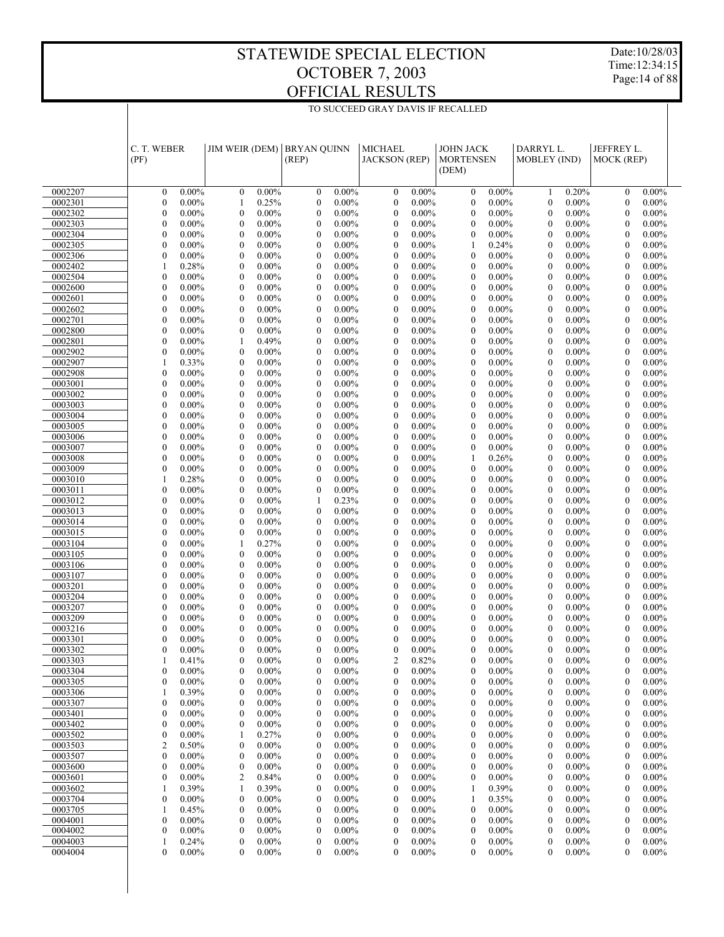Date:10/28/03 Time:12:34:15 Page:14 of 88

|                    | C. T. WEBER<br>(PF)                  |                      | <b>JIM WEIR (DEM)</b>                |                      | <b>BRYAN OUINN</b><br>(REP)          |                      | <b>MICHAEL</b><br><b>JACKSON</b> (REP) |                      | <b>JOHN JACK</b><br><b>MORTENSEN</b><br>(DEM) |                      | DARRYL L.<br><b>MOBLEY</b> (IND)     |                      | JEFFREY L.<br>MOCK (REP)             |                      |
|--------------------|--------------------------------------|----------------------|--------------------------------------|----------------------|--------------------------------------|----------------------|----------------------------------------|----------------------|-----------------------------------------------|----------------------|--------------------------------------|----------------------|--------------------------------------|----------------------|
| 0002207            | $\mathbf{0}$                         | $0.00\%$             | $\mathbf{0}$                         | $0.00\%$             | $\mathbf{0}$                         | $0.00\%$             | $\mathbf{0}$                           | $0.00\%$             | $\mathbf{0}$                                  | $0.00\%$             | $\mathbf{1}$                         | 0.20%                | $\mathbf{0}$                         | $0.00\%$             |
| 0002301            | $\boldsymbol{0}$                     | $0.00\%$             | 1                                    | 0.25%                | $\boldsymbol{0}$                     | $0.00\%$             | $\boldsymbol{0}$                       | $0.00\%$             | $\mathbf{0}$                                  | $0.00\%$             | $\mathbf{0}$                         | $0.00\%$             | $\boldsymbol{0}$                     | $0.00\%$             |
| 0002302            | $\overline{0}$                       | $0.00\%$             | $\mathbf{0}$                         | $0.00\%$             | $\mathbf{0}$                         | $0.00\%$             | $\mathbf{0}$                           | $0.00\%$             | $\mathbf{0}$                                  | $0.00\%$             | $\mathbf{0}$                         | $0.00\%$             | $\mathbf{0}$                         | $0.00\%$             |
| 0002303            | $\boldsymbol{0}$                     | $0.00\%$             | $\boldsymbol{0}$                     | $0.00\%$             | $\boldsymbol{0}$                     | $0.00\%$             | $\boldsymbol{0}$                       | $0.00\%$             | $\mathbf{0}$                                  | $0.00\%$             | $\mathbf{0}$                         | $0.00\%$             | $\boldsymbol{0}$                     | $0.00\%$             |
| 0002304            | $\overline{0}$                       | $0.00\%$             | $\mathbf{0}$                         | $0.00\%$             | $\mathbf{0}$                         | $0.00\%$             | $\mathbf{0}$                           | $0.00\%$             | $\mathbf{0}$                                  | $0.00\%$             | $\mathbf{0}$                         | $0.00\%$             | $\mathbf{0}$                         | $0.00\%$             |
| 0002305            | $\boldsymbol{0}$                     | $0.00\%$             | $\boldsymbol{0}$                     | $0.00\%$             | $\boldsymbol{0}$                     | $0.00\%$             | $\boldsymbol{0}$                       | $0.00\%$             | 1                                             | 0.24%                | $\mathbf{0}$                         | $0.00\%$             | $\boldsymbol{0}$                     | $0.00\%$             |
| 0002306            | $\overline{0}$                       | $0.00\%$             | $\mathbf{0}$                         | 0.00%                | $\mathbf{0}$                         | $0.00\%$             | $\mathbf{0}$                           | $0.00\%$             | $\boldsymbol{0}$                              | $0.00\%$             | $\mathbf{0}$                         | $0.00\%$             | $\mathbf{0}$                         | $0.00\%$             |
| 0002402            | $\mathbf{1}$                         | 0.28%                | $\boldsymbol{0}$                     | $0.00\%$             | $\boldsymbol{0}$                     | $0.00\%$             | $\boldsymbol{0}$                       | $0.00\%$             | $\mathbf{0}$                                  | $0.00\%$             | $\mathbf{0}$                         | $0.00\%$             | $\boldsymbol{0}$                     | $0.00\%$             |
| 0002504            | $\overline{0}$                       | $0.00\%$             | $\mathbf{0}$                         | $0.00\%$             | $\mathbf{0}$                         | $0.00\%$             | $\mathbf{0}$                           | $0.00\%$             | $\mathbf{0}$                                  | $0.00\%$             | $\mathbf{0}$                         | $0.00\%$             | $\mathbf{0}$                         | $0.00\%$             |
| 0002600            | $\boldsymbol{0}$                     | $0.00\%$             | $\mathbf{0}$                         | $0.00\%$             | $\boldsymbol{0}$                     | $0.00\%$             | $\boldsymbol{0}$                       | $0.00\%$             | $\mathbf{0}$                                  | $0.00\%$             | $\mathbf{0}$                         | $0.00\%$             | $\boldsymbol{0}$                     | $0.00\%$             |
| 0002601            | $\overline{0}$                       | $0.00\%$             | $\mathbf{0}$                         | $0.00\%$             | $\mathbf{0}$                         | $0.00\%$             | $\mathbf{0}$                           | $0.00\%$             | $\mathbf{0}$                                  | $0.00\%$             | $\mathbf{0}$                         | $0.00\%$             | $\mathbf{0}$                         | $0.00\%$             |
| 0002602<br>0002701 | $\boldsymbol{0}$<br>$\overline{0}$   | $0.00\%$<br>$0.00\%$ | $\mathbf{0}$<br>$\mathbf{0}$         | $0.00\%$<br>$0.00\%$ | $\boldsymbol{0}$<br>$\mathbf{0}$     | $0.00\%$<br>$0.00\%$ | $\boldsymbol{0}$<br>$\mathbf{0}$       | $0.00\%$<br>$0.00\%$ | $\mathbf{0}$<br>$\mathbf{0}$                  | $0.00\%$<br>$0.00\%$ | $\mathbf{0}$<br>$\mathbf{0}$         | $0.00\%$<br>$0.00\%$ | $\boldsymbol{0}$<br>$\mathbf{0}$     | $0.00\%$<br>$0.00\%$ |
| 0002800            | $\boldsymbol{0}$                     | $0.00\%$             | $\boldsymbol{0}$                     | $0.00\%$             | $\boldsymbol{0}$                     | $0.00\%$             | $\boldsymbol{0}$                       | $0.00\%$             | $\mathbf{0}$                                  | $0.00\%$             | $\mathbf{0}$                         | $0.00\%$             | $\boldsymbol{0}$                     | $0.00\%$             |
| 0002801            | $\overline{0}$                       | $0.00\%$             | 1                                    | 0.49%                | $\mathbf{0}$                         | $0.00\%$             | $\mathbf{0}$                           | $0.00\%$             | $\mathbf{0}$                                  | $0.00\%$             | $\mathbf{0}$                         | $0.00\%$             | $\mathbf{0}$                         | $0.00\%$             |
| 0002902            | $\boldsymbol{0}$                     | $0.00\%$             | $\boldsymbol{0}$                     | $0.00\%$             | $\boldsymbol{0}$                     | $0.00\%$             | $\boldsymbol{0}$                       | $0.00\%$             | $\mathbf{0}$                                  | $0.00\%$             | $\mathbf{0}$                         | $0.00\%$             | $\boldsymbol{0}$                     | $0.00\%$             |
| 0002907            | 1                                    | 0.33%                | $\mathbf{0}$                         | $0.00\%$             | $\mathbf{0}$                         | $0.00\%$             | $\mathbf{0}$                           | $0.00\%$             | $\mathbf{0}$                                  | $0.00\%$             | $\mathbf{0}$                         | $0.00\%$             | $\mathbf{0}$                         | $0.00\%$             |
| 0002908            | $\boldsymbol{0}$                     | $0.00\%$             | $\boldsymbol{0}$                     | $0.00\%$             | $\boldsymbol{0}$                     | $0.00\%$             | $\boldsymbol{0}$                       | $0.00\%$             | $\mathbf{0}$                                  | $0.00\%$             | $\mathbf{0}$                         | $0.00\%$             | $\boldsymbol{0}$                     | $0.00\%$             |
| 0003001            | $\overline{0}$                       | $0.00\%$             | $\mathbf{0}$                         | 0.00%                | $\mathbf{0}$                         | $0.00\%$             | $\mathbf{0}$                           | $0.00\%$             | $\mathbf{0}$                                  | $0.00\%$             | $\mathbf{0}$                         | $0.00\%$             | $\mathbf{0}$                         | $0.00\%$             |
| 0003002            | $\boldsymbol{0}$                     | $0.00\%$             | $\mathbf{0}$                         | $0.00\%$             | $\boldsymbol{0}$                     | $0.00\%$             | $\boldsymbol{0}$                       | $0.00\%$             | $\mathbf{0}$                                  | $0.00\%$             | $\mathbf{0}$                         | $0.00\%$             | $\boldsymbol{0}$                     | $0.00\%$             |
| 0003003            | $\overline{0}$                       | $0.00\%$             | $\mathbf{0}$                         | $0.00\%$             | $\mathbf{0}$                         | $0.00\%$             | $\mathbf{0}$                           | $0.00\%$             | $\mathbf{0}$                                  | $0.00\%$             | $\mathbf{0}$                         | $0.00\%$             | $\mathbf{0}$                         | $0.00\%$             |
| 0003004            | $\boldsymbol{0}$                     | $0.00\%$             | $\mathbf{0}$                         | $0.00\%$             | $\boldsymbol{0}$                     | $0.00\%$             | $\boldsymbol{0}$                       | $0.00\%$             | $\mathbf{0}$                                  | $0.00\%$             | $\mathbf{0}$                         | $0.00\%$             | $\boldsymbol{0}$                     | $0.00\%$             |
| 0003005            | $\overline{0}$                       | $0.00\%$             | $\mathbf{0}$                         | $0.00\%$             | $\mathbf{0}$                         | $0.00\%$             | $\mathbf{0}$                           | $0.00\%$             | $\mathbf{0}$                                  | $0.00\%$             | $\mathbf{0}$                         | $0.00\%$             | $\mathbf{0}$                         | $0.00\%$             |
| 0003006            | $\boldsymbol{0}$                     | $0.00\%$             | $\boldsymbol{0}$                     | $0.00\%$             | $\boldsymbol{0}$                     | $0.00\%$             | $\boldsymbol{0}$                       | $0.00\%$             | $\mathbf{0}$                                  | $0.00\%$             | $\mathbf{0}$                         | $0.00\%$             | $\boldsymbol{0}$                     | $0.00\%$             |
| 0003007            | $\overline{0}$                       | $0.00\%$             | $\mathbf{0}$                         | $0.00\%$             | $\mathbf{0}$                         | $0.00\%$             | $\mathbf{0}$                           | $0.00\%$             | $\mathbf{0}$                                  | $0.00\%$             | $\mathbf{0}$                         | $0.00\%$             | $\mathbf{0}$                         | $0.00\%$             |
| 0003008<br>0003009 | $\boldsymbol{0}$<br>$\boldsymbol{0}$ | $0.00\%$<br>$0.00\%$ | $\boldsymbol{0}$<br>$\mathbf{0}$     | $0.00\%$<br>0.00%    | $\boldsymbol{0}$<br>$\mathbf{0}$     | $0.00\%$<br>$0.00\%$ | $\boldsymbol{0}$<br>$\mathbf{0}$       | $0.00\%$<br>$0.00\%$ | 1<br>$\boldsymbol{0}$                         | 0.26%<br>$0.00\%$    | $\mathbf{0}$<br>$\mathbf{0}$         | $0.00\%$<br>$0.00\%$ | $\boldsymbol{0}$<br>$\mathbf{0}$     | $0.00\%$<br>$0.00\%$ |
| 0003010            | $\mathbf{1}$                         | 0.28%                | $\boldsymbol{0}$                     | $0.00\%$             | $\boldsymbol{0}$                     | $0.00\%$             | $\boldsymbol{0}$                       | $0.00\%$             | $\mathbf{0}$                                  | $0.00\%$             | $\mathbf{0}$                         | $0.00\%$             | $\boldsymbol{0}$                     | $0.00\%$             |
| 0003011            | $\overline{0}$                       | $0.00\%$             | $\mathbf{0}$                         | $0.00\%$             | $\mathbf{0}$                         | $0.00\%$             | $\mathbf{0}$                           | $0.00\%$             | $\mathbf{0}$                                  | $0.00\%$             | $\mathbf{0}$                         | $0.00\%$             | $\mathbf{0}$                         | $0.00\%$             |
| 0003012            | $\boldsymbol{0}$                     | $0.00\%$             | $\mathbf{0}$                         | $0.00\%$             | 1                                    | 0.23%                | $\boldsymbol{0}$                       | $0.00\%$             | $\mathbf{0}$                                  | $0.00\%$             | $\mathbf{0}$                         | $0.00\%$             | $\boldsymbol{0}$                     | $0.00\%$             |
| 0003013            | $\overline{0}$                       | $0.00\%$             | $\mathbf{0}$                         | $0.00\%$             | $\mathbf{0}$                         | $0.00\%$             | $\mathbf{0}$                           | $0.00\%$             | $\mathbf{0}$                                  | $0.00\%$             | $\mathbf{0}$                         | $0.00\%$             | $\mathbf{0}$                         | $0.00\%$             |
| 0003014            | $\boldsymbol{0}$                     | $0.00\%$             | $\boldsymbol{0}$                     | $0.00\%$             | $\boldsymbol{0}$                     | $0.00\%$             | $\boldsymbol{0}$                       | $0.00\%$             | $\mathbf{0}$                                  | $0.00\%$             | $\mathbf{0}$                         | $0.00\%$             | $\boldsymbol{0}$                     | $0.00\%$             |
| 0003015            | $\overline{0}$                       | $0.00\%$             | $\mathbf{0}$                         | $0.00\%$             | $\mathbf{0}$                         | $0.00\%$             | $\mathbf{0}$                           | $0.00\%$             | $\mathbf{0}$                                  | $0.00\%$             | $\mathbf{0}$                         | $0.00\%$             | $\mathbf{0}$                         | $0.00\%$             |
| 0003104            | $\boldsymbol{0}$                     | $0.00\%$             | 1                                    | 0.27%                | $\boldsymbol{0}$                     | $0.00\%$             | $\boldsymbol{0}$                       | $0.00\%$             | $\mathbf{0}$                                  | $0.00\%$             | $\mathbf{0}$                         | $0.00\%$             | $\boldsymbol{0}$                     | $0.00\%$             |
| 0003105            | $\overline{0}$                       | $0.00\%$             | $\mathbf{0}$                         | $0.00\%$             | $\mathbf{0}$                         | $0.00\%$             | $\mathbf{0}$                           | $0.00\%$             | $\mathbf{0}$                                  | $0.00\%$             | $\mathbf{0}$                         | $0.00\%$             | $\mathbf{0}$                         | $0.00\%$             |
| 0003106            | $\boldsymbol{0}$                     | $0.00\%$             | $\boldsymbol{0}$                     | $0.00\%$             | $\boldsymbol{0}$                     | $0.00\%$             | $\boldsymbol{0}$                       | $0.00\%$             | $\mathbf{0}$                                  | $0.00\%$             | $\mathbf{0}$                         | $0.00\%$             | $\boldsymbol{0}$                     | $0.00\%$             |
| 0003107            | $\overline{0}$                       | $0.00\%$             | $\mathbf{0}$                         | $0.00\%$             | $\mathbf{0}$                         | $0.00\%$             | $\mathbf{0}$                           | $0.00\%$             | $\mathbf{0}$                                  | $0.00\%$             | $\mathbf{0}$                         | $0.00\%$             | $\mathbf{0}$                         | $0.00\%$             |
| 0003201            | $\boldsymbol{0}$                     | $0.00\%$             | $\mathbf{0}$                         | $0.00\%$             | $\boldsymbol{0}$                     | $0.00\%$<br>$0.00\%$ | $\boldsymbol{0}$                       | $0.00\%$<br>$0.00\%$ | $\mathbf{0}$                                  | $0.00\%$<br>$0.00\%$ | $\mathbf{0}$                         | $0.00\%$             | $\boldsymbol{0}$                     | $0.00\%$             |
| 0003204<br>0003207 | $\overline{0}$<br>$\boldsymbol{0}$   | $0.00\%$<br>$0.00\%$ | $\mathbf{0}$<br>$\boldsymbol{0}$     | $0.00\%$<br>$0.00\%$ | $\mathbf{0}$<br>$\boldsymbol{0}$     | $0.00\%$             | $\mathbf{0}$<br>$\boldsymbol{0}$       | $0.00\%$             | $\mathbf{0}$<br>$\mathbf{0}$                  | $0.00\%$             | $\mathbf{0}$<br>$\mathbf{0}$         | $0.00\%$<br>$0.00\%$ | $\mathbf{0}$<br>$\boldsymbol{0}$     | $0.00\%$<br>$0.00\%$ |
| 0003209            | $\overline{0}$                       | $0.00\%$             | $\mathbf{0}$                         | $0.00\%$             | $\mathbf{0}$                         | $0.00\%$             | $\mathbf{0}$                           | $0.00\%$             | $\mathbf{0}$                                  | $0.00\%$             | $\mathbf{0}$                         | $0.00\%$             | $\mathbf{0}$                         | $0.00\%$             |
| 0003216            | $\mathbf{0}$                         | $0.00\%$             | $\mathbf{0}$                         | $0.00\%$             | $\boldsymbol{0}$                     | $0.00\%$             | $\boldsymbol{0}$                       | $0.00\%$             | $\mathbf{0}$                                  | $0.00\%$             | $\mathbf{0}$                         | $0.00\%$             | $\boldsymbol{0}$                     | $0.00\%$             |
| 0003301            | $\overline{0}$                       | $0.00\%$             | $\theta$                             | $0.00\%$             | $\theta$                             | $0.00\%$             | $\overline{0}$                         | $0.00\%$             | $\theta$                                      | $0.00\%$             | $\mathbf{0}$                         | $0.00\%$             | $\overline{0}$                       | $0.00\%$             |
| 0003302            | $\overline{0}$                       | $0.00\%$             | $\mathbf{0}$                         | $0.00\%$             | $\mathbf{0}$                         | $0.00\%$             | $\boldsymbol{0}$                       | $0.00\%$             | $\mathbf{0}$                                  | $0.00\%$             | $\mathbf{0}$                         | $0.00\%$             | $\mathbf{0}$                         | $0.00\%$             |
| 0003303            | 1                                    | 0.41%                | $\Omega$                             | $0.00\%$             | $\Omega$                             | $0.00\%$             | $\mathfrak{D}$                         | 0.82%                | $\Omega$                                      | $0.00\%$             | $\Omega$                             | $0.00\%$             | $\Omega$                             | $0.00\%$             |
| 0003304            | 0                                    | $0.00\%$             | $\boldsymbol{0}$                     | $0.00\%$             | $\boldsymbol{0}$                     | $0.00\%$             | $\boldsymbol{0}$                       | $0.00\%$             | $\boldsymbol{0}$                              | $0.00\%$             | $\boldsymbol{0}$                     | $0.00\%$             | $\boldsymbol{0}$                     | $0.00\%$             |
| 0003305            | 0                                    | $0.00\%$             | $\boldsymbol{0}$                     | $0.00\%$             | $\boldsymbol{0}$                     | $0.00\%$             | $\boldsymbol{0}$                       | $0.00\%$             | $\boldsymbol{0}$                              | $0.00\%$             | $\boldsymbol{0}$                     | $0.00\%$             | $\boldsymbol{0}$                     | $0.00\%$             |
| 0003306            | 1                                    | 0.39%                | $\boldsymbol{0}$                     | $0.00\%$             | $\boldsymbol{0}$                     | $0.00\%$             | $\boldsymbol{0}$                       | $0.00\%$             | $\boldsymbol{0}$                              | $0.00\%$             | $\boldsymbol{0}$                     | $0.00\%$             | $\boldsymbol{0}$                     | $0.00\%$             |
| 0003307            | 0                                    | $0.00\%$             | $\mathbf{0}$                         | $0.00\%$             | $\boldsymbol{0}$                     | $0.00\%$             | $\boldsymbol{0}$                       | $0.00\%$             | $\boldsymbol{0}$                              | $0.00\%$             | $\boldsymbol{0}$                     | $0.00\%$             | $\boldsymbol{0}$                     | $0.00\%$             |
| 0003401            | 0                                    | $0.00\%$             | $\boldsymbol{0}$                     | $0.00\%$             | 0                                    | $0.00\%$             | $\boldsymbol{0}$                       | $0.00\%$             | $\boldsymbol{0}$                              | $0.00\%$             | $\boldsymbol{0}$                     | $0.00\%$             | $\boldsymbol{0}$                     | $0.00\%$             |
| 0003402            | 0                                    | $0.00\%$             | $\boldsymbol{0}$                     | $0.00\%$             | $\boldsymbol{0}$                     | $0.00\%$             | $\boldsymbol{0}$                       | $0.00\%$             | $\boldsymbol{0}$                              | $0.00\%$             | $\boldsymbol{0}$                     | $0.00\%$             | $\boldsymbol{0}$                     | $0.00\%$             |
| 0003502            | 0                                    | $0.00\%$             | 1                                    | 0.27%                | $\boldsymbol{0}$                     | $0.00\%$             | $\boldsymbol{0}$                       | $0.00\%$             | $\boldsymbol{0}$                              | $0.00\%$             | $\boldsymbol{0}$                     | $0.00\%$             | $\boldsymbol{0}$                     | $0.00\%$             |
| 0003503            | $\overline{c}$                       | 0.50%                | $\boldsymbol{0}$                     | $0.00\%$             | $\boldsymbol{0}$                     | $0.00\%$             | $\boldsymbol{0}$                       | $0.00\%$             | $\boldsymbol{0}$                              | $0.00\%$             | $\boldsymbol{0}$                     | $0.00\%$             | $\boldsymbol{0}$                     | $0.00\%$             |
| 0003507<br>0003600 | $\boldsymbol{0}$<br>0                | $0.00\%$<br>$0.00\%$ | $\boldsymbol{0}$<br>$\boldsymbol{0}$ | $0.00\%$<br>$0.00\%$ | $\boldsymbol{0}$<br>$\boldsymbol{0}$ | $0.00\%$<br>$0.00\%$ | $\boldsymbol{0}$<br>$\boldsymbol{0}$   | $0.00\%$<br>$0.00\%$ | $\boldsymbol{0}$<br>$\boldsymbol{0}$          | $0.00\%$<br>$0.00\%$ | $\boldsymbol{0}$<br>$\boldsymbol{0}$ | $0.00\%$<br>$0.00\%$ | $\boldsymbol{0}$<br>$\boldsymbol{0}$ | $0.00\%$<br>$0.00\%$ |
| 0003601            | 0                                    | $0.00\%$             | 2                                    | 0.84%                | $\boldsymbol{0}$                     | $0.00\%$             | $\boldsymbol{0}$                       | $0.00\%$             | $\boldsymbol{0}$                              | $0.00\%$             | $\boldsymbol{0}$                     | $0.00\%$             | $\boldsymbol{0}$                     | $0.00\%$             |
| 0003602            | 1                                    | 0.39%                | 1                                    | 0.39%                | $\boldsymbol{0}$                     | $0.00\%$             | $\boldsymbol{0}$                       | $0.00\%$             | 1                                             | 0.39%                | $\boldsymbol{0}$                     | $0.00\%$             | $\boldsymbol{0}$                     | $0.00\%$             |
| 0003704            | 0                                    | $0.00\%$             | $\boldsymbol{0}$                     | $0.00\%$             | $\boldsymbol{0}$                     | $0.00\%$             | $\boldsymbol{0}$                       | $0.00\%$             | 1                                             | 0.35%                | $\boldsymbol{0}$                     | $0.00\%$             | $\boldsymbol{0}$                     | $0.00\%$             |
| 0003705            | 1                                    | 0.45%                | $\boldsymbol{0}$                     | $0.00\%$             | $\boldsymbol{0}$                     | $0.00\%$             | $\boldsymbol{0}$                       | $0.00\%$             | $\boldsymbol{0}$                              | $0.00\%$             | $\boldsymbol{0}$                     | $0.00\%$             | $\boldsymbol{0}$                     | $0.00\%$             |
| 0004001            | 0                                    | $0.00\%$             | $\boldsymbol{0}$                     | $0.00\%$             | $\boldsymbol{0}$                     | $0.00\%$             | $\boldsymbol{0}$                       | $0.00\%$             | $\boldsymbol{0}$                              | $0.00\%$             | 0                                    | $0.00\%$             | $\boldsymbol{0}$                     | $0.00\%$             |
| 0004002            | 0                                    | $0.00\%$             | $\boldsymbol{0}$                     | $0.00\%$             | $\boldsymbol{0}$                     | $0.00\%$             | $\boldsymbol{0}$                       | $0.00\%$             | $\boldsymbol{0}$                              | $0.00\%$             | $\boldsymbol{0}$                     | $0.00\%$             | $\boldsymbol{0}$                     | $0.00\%$             |
| 0004003            | 1                                    | 0.24%                | $\boldsymbol{0}$                     | $0.00\%$             | $\boldsymbol{0}$                     | $0.00\%$             | $\boldsymbol{0}$                       | $0.00\%$             | $\boldsymbol{0}$                              | $0.00\%$             | $\boldsymbol{0}$                     | $0.00\%$             | $\boldsymbol{0}$                     | $0.00\%$             |
| 0004004            | $\overline{0}$                       | $0.00\%$             | $\mathbf{0}$                         | $0.00\%$             | 0                                    | $0.00\%$             | 0                                      | $0.00\%$             | 0                                             | $0.00\%$             | $\mathbf{0}$                         | $0.00\%$             | 0                                    | $0.00\%$             |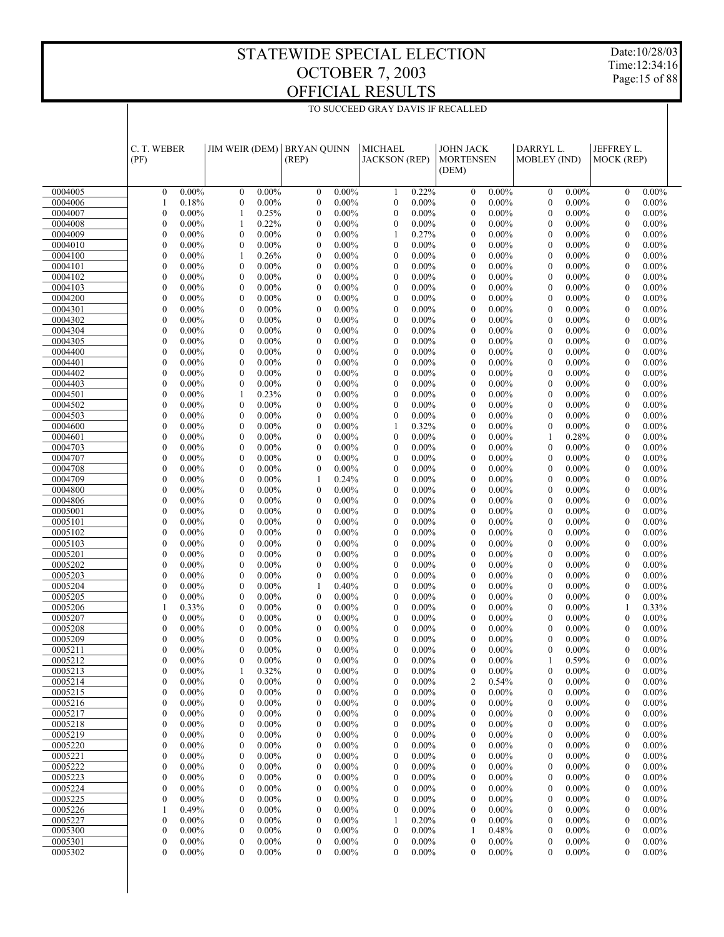Date:10/28/03 Time:12:34:16 Page:15 of 88

|                    | C. T. WEBER<br>(PF)                                    | <b>JIM WEIR (DEM)</b>                                    | <b>BRYAN OUINN</b><br>(REP)                                  | <b>MICHAEL</b><br><b>JACKSON</b> (REP)                       | <b>JOHN JACK</b><br><b>MORTENSEN</b><br>(DEM)                | DARRYL L.<br>MOBLEY (IND)                                    | JEFFREY L.<br>MOCK (REP)                                     |  |
|--------------------|--------------------------------------------------------|----------------------------------------------------------|--------------------------------------------------------------|--------------------------------------------------------------|--------------------------------------------------------------|--------------------------------------------------------------|--------------------------------------------------------------|--|
| 0004005            | $0.00\%$<br>$\mathbf{0}$                               | $\boldsymbol{0}$<br>$0.00\%$                             | $\boldsymbol{0}$<br>$0.00\%$                                 | 0.22%<br>1                                                   | $0.00\%$<br>$\mathbf{0}$                                     | $\boldsymbol{0}$<br>$0.00\%$                                 | $0.00\%$<br>$\mathbf{0}$                                     |  |
| 0004006            | 0.18%<br>1                                             | $\boldsymbol{0}$<br>$0.00\%$                             | $\boldsymbol{0}$<br>$0.00\%$                                 | $\boldsymbol{0}$<br>$0.00\%$                                 | $\mathbf{0}$<br>$0.00\%$                                     | $\mathbf{0}$<br>$0.00\%$                                     | $\mathbf{0}$<br>$0.00\%$                                     |  |
| 0004007            | $\overline{0}$<br>$0.00\%$                             | 1<br>0.25%                                               | $\boldsymbol{0}$<br>$0.00\%$                                 | $\mathbf{0}$<br>$0.00\%$                                     | $\mathbf{0}$<br>$0.00\%$                                     | $\mathbf{0}$<br>$0.00\%$                                     | $\mathbf{0}$<br>$0.00\%$                                     |  |
| 0004008            | $\mathbf{0}$<br>$0.00\%$                               | 1<br>0.22%                                               | $\boldsymbol{0}$<br>$0.00\%$                                 | $\mathbf{0}$<br>$0.00\%$                                     | $\mathbf{0}$<br>$0.00\%$                                     | $\mathbf{0}$<br>$0.00\%$                                     | $\mathbf{0}$<br>$0.00\%$                                     |  |
| 0004009            | $\overline{0}$<br>$0.00\%$                             | $\mathbf{0}$<br>$0.00\%$                                 | $\boldsymbol{0}$<br>$0.00\%$                                 | 1<br>0.27%                                                   | $\mathbf{0}$<br>$0.00\%$                                     | $\mathbf{0}$<br>$0.00\%$                                     | $\mathbf{0}$<br>$0.00\%$                                     |  |
| 0004010            | $\mathbf{0}$<br>$0.00\%$                               | $\mathbf{0}$<br>$0.00\%$                                 | $\boldsymbol{0}$<br>$0.00\%$                                 | $\mathbf{0}$<br>$0.00\%$                                     | $\boldsymbol{0}$<br>$0.00\%$                                 | $\mathbf{0}$<br>$0.00\%$                                     | $\mathbf{0}$<br>$0.00\%$                                     |  |
| 0004100            | $\overline{0}$<br>$0.00\%$<br>$\mathbf{0}$<br>$0.00\%$ | 1<br>0.26%<br>$\mathbf{0}$<br>$0.00\%$                   | $\boldsymbol{0}$<br>$0.00\%$                                 | $\mathbf{0}$<br>$0.00\%$<br>$\mathbf{0}$                     | $\overline{0}$<br>$0.00\%$<br>$\mathbf{0}$                   | $\mathbf{0}$<br>$0.00\%$<br>$\mathbf{0}$                     | $\mathbf{0}$<br>$0.00\%$<br>$\mathbf{0}$                     |  |
| 0004101<br>0004102 | $\overline{0}$<br>$0.00\%$                             | $\mathbf{0}$<br>$0.00\%$                                 | $\boldsymbol{0}$<br>$0.00\%$<br>$\boldsymbol{0}$<br>$0.00\%$ | $0.00\%$<br>$\mathbf{0}$<br>$0.00\%$                         | $0.00\%$<br>$\overline{0}$<br>$0.00\%$                       | $0.00\%$<br>$\mathbf{0}$<br>$0.00\%$                         | $0.00\%$<br>$\mathbf{0}$<br>$0.00\%$                         |  |
| 0004103            | $\mathbf{0}$<br>$0.00\%$                               | $\mathbf{0}$<br>$0.00\%$                                 | $\boldsymbol{0}$<br>$0.00\%$                                 | $\mathbf{0}$<br>$0.00\%$                                     | $\boldsymbol{0}$<br>$0.00\%$                                 | $\mathbf{0}$<br>$0.00\%$                                     | $\mathbf{0}$<br>$0.00\%$                                     |  |
| 0004200            | $\overline{0}$<br>$0.00\%$                             | $\mathbf{0}$<br>$0.00\%$                                 | $\boldsymbol{0}$<br>$0.00\%$                                 | $\mathbf{0}$<br>$0.00\%$                                     | $\overline{0}$<br>$0.00\%$                                   | $\mathbf{0}$<br>$0.00\%$                                     | $\mathbf{0}$<br>$0.00\%$                                     |  |
| 0004301            | $\mathbf{0}$<br>$0.00\%$                               | $\mathbf{0}$<br>$0.00\%$                                 | $\boldsymbol{0}$<br>$0.00\%$                                 | $\mathbf{0}$<br>$0.00\%$                                     | $\boldsymbol{0}$<br>$0.00\%$                                 | $\mathbf{0}$<br>$0.00\%$                                     | $\mathbf{0}$<br>$0.00\%$                                     |  |
| 0004302            | $\overline{0}$<br>$0.00\%$                             | $\mathbf{0}$<br>$0.00\%$                                 | $\boldsymbol{0}$<br>$0.00\%$                                 | $\mathbf{0}$<br>$0.00\%$                                     | $\overline{0}$<br>$0.00\%$                                   | $\mathbf{0}$<br>$0.00\%$                                     | $\mathbf{0}$<br>$0.00\%$                                     |  |
| 0004304            | $\mathbf{0}$<br>$0.00\%$                               | $\boldsymbol{0}$<br>$0.00\%$                             | $\boldsymbol{0}$<br>$0.00\%$                                 | $\mathbf{0}$<br>$0.00\%$                                     | $\boldsymbol{0}$<br>$0.00\%$                                 | $\mathbf{0}$<br>$0.00\%$                                     | $\mathbf{0}$<br>$0.00\%$                                     |  |
| 0004305            | $\overline{0}$<br>$0.00\%$                             | $\mathbf{0}$<br>$0.00\%$                                 | $\boldsymbol{0}$<br>$0.00\%$                                 | $\mathbf{0}$<br>$0.00\%$<br>$\mathbf{0}$                     | $\overline{0}$<br>$0.00\%$                                   | $\mathbf{0}$<br>$0.00\%$<br>$\mathbf{0}$                     | $\mathbf{0}$<br>$0.00\%$<br>$\mathbf{0}$                     |  |
| 0004400<br>0004401 | $\mathbf{0}$<br>$0.00\%$<br>$\overline{0}$<br>$0.00\%$ | $\boldsymbol{0}$<br>$0.00\%$<br>$\mathbf{0}$<br>$0.00\%$ | $\boldsymbol{0}$<br>$0.00\%$<br>$\boldsymbol{0}$<br>$0.00\%$ | $0.00\%$<br>$\mathbf{0}$<br>$0.00\%$                         | $\boldsymbol{0}$<br>$0.00\%$<br>$\mathbf{0}$<br>$0.00\%$     | $0.00\%$<br>$\mathbf{0}$<br>$0.00\%$                         | $0.00\%$<br>$\mathbf{0}$<br>$0.00\%$                         |  |
| 0004402            | $\mathbf{0}$<br>$0.00\%$                               | $\boldsymbol{0}$<br>$0.00\%$                             | $\boldsymbol{0}$<br>$0.00\%$                                 | $\mathbf{0}$<br>$0.00\%$                                     | $\boldsymbol{0}$<br>$0.00\%$                                 | $\mathbf{0}$<br>$0.00\%$                                     | $\mathbf{0}$<br>$0.00\%$                                     |  |
| 0004403            | $\overline{0}$<br>$0.00\%$                             | $\mathbf{0}$<br>$0.00\%$                                 | $\boldsymbol{0}$<br>$0.00\%$                                 | $\mathbf{0}$<br>$0.00\%$                                     | $\overline{0}$<br>$0.00\%$                                   | $\mathbf{0}$<br>$0.00\%$                                     | $\mathbf{0}$<br>$0.00\%$                                     |  |
| 0004501            | $\mathbf{0}$<br>$0.00\%$                               | 1<br>0.23%                                               | $\boldsymbol{0}$<br>$0.00\%$                                 | $\mathbf{0}$<br>$0.00\%$                                     | $\mathbf{0}$<br>$0.00\%$                                     | $\mathbf{0}$<br>$0.00\%$                                     | $\mathbf{0}$<br>$0.00\%$                                     |  |
| 0004502            | $\overline{0}$<br>$0.00\%$                             | $\mathbf{0}$<br>$0.00\%$                                 | $\boldsymbol{0}$<br>$0.00\%$                                 | $\mathbf{0}$<br>$0.00\%$                                     | $\overline{0}$<br>$0.00\%$                                   | $\mathbf{0}$<br>$0.00\%$                                     | $\mathbf{0}$<br>$0.00\%$                                     |  |
| 0004503            | $\mathbf{0}$<br>$0.00\%$                               | $\boldsymbol{0}$<br>$0.00\%$                             | $\boldsymbol{0}$<br>$0.00\%$                                 | $\mathbf{0}$<br>$0.00\%$                                     | $\boldsymbol{0}$<br>$0.00\%$                                 | $\mathbf{0}$<br>$0.00\%$                                     | $\mathbf{0}$<br>$0.00\%$                                     |  |
| 0004600<br>0004601 | $\overline{0}$<br>$0.00\%$<br>$\mathbf{0}$<br>$0.00\%$ | $\mathbf{0}$<br>$0.00\%$<br>$\boldsymbol{0}$<br>$0.00\%$ | $\mathbf{0}$<br>$0.00\%$<br>$\boldsymbol{0}$<br>$0.00\%$     | 1<br>0.32%<br>$\mathbf{0}$<br>$0.00\%$                       | $\overline{0}$<br>$0.00\%$<br>$\boldsymbol{0}$<br>$0.00\%$   | $\mathbf{0}$<br>$0.00\%$<br>$\mathbf{1}$                     | $\mathbf{0}$<br>$0.00\%$<br>$\mathbf{0}$<br>$0.00\%$         |  |
| 0004703            | $\overline{0}$<br>$0.00\%$                             | $\mathbf{0}$<br>$0.00\%$                                 | $\boldsymbol{0}$<br>$0.00\%$                                 | $\mathbf{0}$<br>$0.00\%$                                     | $\mathbf{0}$<br>$0.00\%$                                     | 0.28%<br>$\mathbf{0}$<br>$0.00\%$                            | $\mathbf{0}$<br>$0.00\%$                                     |  |
| 0004707            | $\mathbf{0}$<br>$0.00\%$                               | $\boldsymbol{0}$<br>$0.00\%$                             | $\boldsymbol{0}$<br>$0.00\%$                                 | $\mathbf{0}$<br>$0.00\%$                                     | $\boldsymbol{0}$<br>$0.00\%$                                 | $\mathbf{0}$<br>$0.00\%$                                     | $\mathbf{0}$<br>$0.00\%$                                     |  |
| 0004708            | $\overline{0}$<br>$0.00\%$                             | $\mathbf{0}$<br>$0.00\%$                                 | $\boldsymbol{0}$<br>$0.00\%$                                 | $\mathbf{0}$<br>$0.00\%$                                     | $\overline{0}$<br>$0.00\%$                                   | $\mathbf{0}$<br>$0.00\%$                                     | $\mathbf{0}$<br>$0.00\%$                                     |  |
| 0004709            | $\mathbf{0}$<br>$0.00\%$                               | $\boldsymbol{0}$<br>$0.00\%$                             | 1<br>0.24%                                                   | $\mathbf{0}$<br>$0.00\%$                                     | $\boldsymbol{0}$<br>$0.00\%$                                 | $\mathbf{0}$<br>$0.00\%$                                     | $\mathbf{0}$<br>$0.00\%$                                     |  |
| 0004800            | $\overline{0}$<br>$0.00\%$                             | $\mathbf{0}$<br>$0.00\%$                                 | $\boldsymbol{0}$<br>$0.00\%$                                 | $\mathbf{0}$<br>$0.00\%$                                     | $\mathbf{0}$<br>$0.00\%$                                     | $\mathbf{0}$<br>$0.00\%$                                     | $\mathbf{0}$<br>$0.00\%$                                     |  |
| 0004806            | $\mathbf{0}$<br>$0.00\%$                               | $\boldsymbol{0}$<br>$0.00\%$                             | $\boldsymbol{0}$<br>$0.00\%$                                 | $\mathbf{0}$<br>$0.00\%$<br>$\mathbf{0}$                     | $\boldsymbol{0}$<br>$0.00\%$<br>$\overline{0}$               | $\mathbf{0}$<br>$0.00\%$                                     | $\mathbf{0}$<br>$0.00\%$                                     |  |
| 0005001<br>0005101 | $\overline{0}$<br>$0.00\%$<br>$\mathbf{0}$<br>$0.00\%$ | $\mathbf{0}$<br>$0.00\%$<br>$\boldsymbol{0}$<br>$0.00\%$ | $\boldsymbol{0}$<br>$0.00\%$<br>$\boldsymbol{0}$<br>$0.00\%$ | $0.00\%$<br>$\mathbf{0}$<br>$0.00\%$                         | $0.00\%$<br>$\mathbf{0}$<br>$0.00\%$                         | $\mathbf{0}$<br>$0.00\%$<br>$\mathbf{0}$<br>$0.00\%$         | $\mathbf{0}$<br>$0.00\%$<br>$\mathbf{0}$<br>$0.00\%$         |  |
| 0005102            | $\overline{0}$<br>$0.00\%$                             | $\mathbf{0}$<br>$0.00\%$                                 | $\boldsymbol{0}$<br>$0.00\%$                                 | $\mathbf{0}$<br>$0.00\%$                                     | $\overline{0}$<br>$0.00\%$                                   | $\mathbf{0}$<br>$0.00\%$                                     | $\mathbf{0}$<br>$0.00\%$                                     |  |
| 0005103            | $\mathbf{0}$<br>$0.00\%$                               | $\mathbf{0}$<br>$0.00\%$                                 | $\boldsymbol{0}$<br>$0.00\%$                                 | $\mathbf{0}$<br>$0.00\%$                                     | $\mathbf{0}$<br>$0.00\%$                                     | $\mathbf{0}$<br>$0.00\%$                                     | $\mathbf{0}$<br>$0.00\%$                                     |  |
| 0005201            | $\overline{0}$<br>$0.00\%$                             | $\mathbf{0}$<br>$0.00\%$                                 | $\mathbf{0}$<br>$0.00\%$                                     | $\mathbf{0}$<br>$0.00\%$                                     | $\overline{0}$<br>$0.00\%$                                   | $\mathbf{0}$<br>$0.00\%$                                     | $\mathbf{0}$<br>$0.00\%$                                     |  |
| 0005202            | $\mathbf{0}$<br>$0.00\%$                               | $\boldsymbol{0}$<br>$0.00\%$                             | $\boldsymbol{0}$<br>$0.00\%$                                 | $\mathbf{0}$<br>$0.00\%$                                     | $\boldsymbol{0}$<br>$0.00\%$                                 | $\overline{0}$<br>$0.00\%$                                   | $\mathbf{0}$<br>$0.00\%$                                     |  |
| 0005203            | $\overline{0}$<br>$0.00\%$<br>$\mathbf{0}$             | $\mathbf{0}$<br>$0.00\%$<br>$\mathbf{0}$                 | $\boldsymbol{0}$<br>$0.00\%$                                 | $\mathbf{0}$<br>$0.00\%$<br>$\mathbf{0}$                     | $\mathbf{0}$<br>$0.00\%$                                     | $\mathbf{0}$<br>$0.00\%$<br>$\mathbf{0}$                     | $\mathbf{0}$<br>$0.00\%$<br>$\mathbf{0}$                     |  |
| 0005204<br>0005205 | $0.00\%$<br>$\overline{0}$<br>$0.00\%$                 | $0.00\%$<br>$\mathbf{0}$<br>$0.00\%$                     | 1<br>0.40%<br>$\mathbf{0}$<br>$0.00\%$                       | $0.00\%$<br>$\mathbf{0}$<br>$0.00\%$                         | $\boldsymbol{0}$<br>$0.00\%$<br>$\overline{0}$<br>$0.00\%$   | $0.00\%$<br>$\mathbf{0}$<br>$0.00\%$                         | $0.00\%$<br>$\mathbf{0}$<br>$0.00\%$                         |  |
| 0005206            | 0.33%<br>1                                             | $\boldsymbol{0}$<br>$0.00\%$                             | $\boldsymbol{0}$<br>$0.00\%$                                 | $\mathbf{0}$<br>$0.00\%$                                     | $\boldsymbol{0}$<br>$0.00\%$                                 | $\mathbf{0}$<br>$0.00\%$                                     | 1<br>0.33%                                                   |  |
| 0005207            | $\overline{0}$<br>$0.00\%$                             | $\mathbf{0}$<br>$0.00\%$                                 | $\boldsymbol{0}$<br>$0.00\%$                                 | $\mathbf{0}$<br>$0.00\%$                                     | $\mathbf{0}$<br>$0.00\%$                                     | $\mathbf{0}$<br>$0.00\%$                                     | $\mathbf{0}$<br>$0.00\%$                                     |  |
| 0005208            | 0<br>$0.00\%$                                          | $\mathbf{0}$<br>$0.00\%$                                 | $\boldsymbol{0}$<br>$0.00\%$                                 | $\mathbf{0}$<br>$0.00\%$                                     | $\mathbf{0}$<br>$0.00\%$                                     | $\mathbf{0}$<br>$0.00\%$                                     | $\mathbf{0}$<br>$0.00\%$                                     |  |
| 0005209            | $\overline{0}$<br>$0.00\%$                             | $\mathbf{0}$<br>$0.00\%$                                 | $\mathbf{0}$<br>$0.00\%$                                     | $\overline{0}$<br>$0.00\%$                                   | $\theta$<br>$0.00\%$                                         | $\mathbf{0}$<br>$0.00\%$                                     | $\theta$<br>$0.00\%$                                         |  |
| 0005211            | $\overline{0}$<br>$0.00\%$                             | $\mathbf{0}$<br>$0.00\%$                                 | $\boldsymbol{0}$<br>$0.00\%$                                 | $\mathbf{0}$<br>$0.00\%$                                     | $\mathbf{0}$<br>$0.00\%$                                     | $\mathbf{0}$<br>$0.00\%$                                     | $\mathbf{0}$<br>$0.00\%$                                     |  |
| 0005212            | $\boldsymbol{0}$<br>$0.00\%$                           | $\boldsymbol{0}$<br>$0.00\%$                             | 0<br>$0.00\%$                                                | $\boldsymbol{0}$<br>$0.00\%$                                 | 0<br>$0.00\%$                                                | 0.59%<br>1                                                   | $0.00\%$<br>$\boldsymbol{0}$                                 |  |
| 0005213<br>0005214 | $\boldsymbol{0}$<br>$0.00\%$<br>0<br>$0.00\%$          | 0.32%<br>1<br>$\boldsymbol{0}$<br>$0.00\%$               | $\boldsymbol{0}$<br>$0.00\%$<br>$\boldsymbol{0}$<br>$0.00\%$ | $0.00\%$<br>$\boldsymbol{0}$<br>$\boldsymbol{0}$<br>$0.00\%$ | $\boldsymbol{0}$<br>$0.00\%$<br>2<br>0.54%                   | $0.00\%$<br>$\boldsymbol{0}$<br>$\boldsymbol{0}$<br>$0.00\%$ | $\boldsymbol{0}$<br>$0.00\%$<br>$\boldsymbol{0}$<br>$0.00\%$ |  |
| 0005215            | 0<br>$0.00\%$                                          | $\boldsymbol{0}$<br>$0.00\%$                             | $\boldsymbol{0}$<br>$0.00\%$                                 | $0.00\%$<br>$\boldsymbol{0}$                                 | $\boldsymbol{0}$<br>$0.00\%$                                 | $0.00\%$<br>$\boldsymbol{0}$                                 | $\boldsymbol{0}$<br>$0.00\%$                                 |  |
| 0005216            | 0<br>$0.00\%$                                          | $\boldsymbol{0}$<br>$0.00\%$                             | $\boldsymbol{0}$<br>$0.00\%$                                 | $\boldsymbol{0}$<br>$0.00\%$                                 | $\boldsymbol{0}$<br>$0.00\%$                                 | $0.00\%$<br>$\boldsymbol{0}$                                 | $\boldsymbol{0}$<br>$0.00\%$                                 |  |
| 0005217            | 0<br>$0.00\%$                                          | $0.00\%$<br>0                                            | $\boldsymbol{0}$<br>$0.00\%$                                 | $0.00\%$<br>$\boldsymbol{0}$                                 | $\boldsymbol{0}$<br>$0.00\%$                                 | $0.00\%$<br>$\boldsymbol{0}$                                 | $\boldsymbol{0}$<br>$0.00\%$                                 |  |
| 0005218            | 0<br>$0.00\%$                                          | $\boldsymbol{0}$<br>$0.00\%$                             | $\boldsymbol{0}$<br>$0.00\%$                                 | $\boldsymbol{0}$<br>$0.00\%$                                 | $\boldsymbol{0}$<br>$0.00\%$                                 | $0.00\%$<br>$\boldsymbol{0}$                                 | $\boldsymbol{0}$<br>$0.00\%$                                 |  |
| 0005219            | 0<br>$0.00\%$                                          | $0.00\%$<br>0                                            | $\boldsymbol{0}$<br>$0.00\%$                                 | $0.00\%$<br>$\boldsymbol{0}$                                 | $\boldsymbol{0}$<br>$0.00\%$                                 | $0.00\%$<br>$\boldsymbol{0}$                                 | $\boldsymbol{0}$<br>$0.00\%$                                 |  |
| 0005220<br>0005221 | 0<br>$0.00\%$<br>0<br>$0.00\%$                         | $\boldsymbol{0}$<br>$0.00\%$<br>$0.00\%$<br>0            | $\boldsymbol{0}$<br>$0.00\%$<br>$\boldsymbol{0}$<br>$0.00\%$ | $\boldsymbol{0}$<br>$0.00\%$<br>$0.00\%$<br>$\boldsymbol{0}$ | $\boldsymbol{0}$<br>$0.00\%$<br>$\boldsymbol{0}$<br>$0.00\%$ | $\boldsymbol{0}$<br>$0.00\%$<br>$0.00\%$<br>$\boldsymbol{0}$ | $\boldsymbol{0}$<br>$0.00\%$<br>$\boldsymbol{0}$<br>$0.00\%$ |  |
| 0005222            | 0<br>$0.00\%$                                          | $\boldsymbol{0}$<br>$0.00\%$                             | $\boldsymbol{0}$<br>$0.00\%$                                 | $\boldsymbol{0}$<br>$0.00\%$                                 | $\boldsymbol{0}$<br>$0.00\%$                                 | $0.00\%$<br>$\boldsymbol{0}$                                 | $\boldsymbol{0}$<br>$0.00\%$                                 |  |
| 0005223            | 0<br>$0.00\%$                                          | $0.00\%$<br>0                                            | $\boldsymbol{0}$<br>$0.00\%$                                 | $0.00\%$<br>$\boldsymbol{0}$                                 | $\boldsymbol{0}$<br>$0.00\%$                                 | $0.00\%$<br>$\boldsymbol{0}$                                 | $\boldsymbol{0}$<br>$0.00\%$                                 |  |
| 0005224            | 0<br>$0.00\%$                                          | $\boldsymbol{0}$<br>$0.00\%$                             | $\boldsymbol{0}$<br>$0.00\%$                                 | $\boldsymbol{0}$<br>$0.00\%$                                 | $\boldsymbol{0}$<br>$0.00\%$                                 | $\boldsymbol{0}$<br>$0.00\%$                                 | $\boldsymbol{0}$<br>$0.00\%$                                 |  |
| 0005225            | $\boldsymbol{0}$<br>$0.00\%$                           | $0.00\%$<br>0                                            | $\boldsymbol{0}$<br>$0.00\%$                                 | $0.00\%$<br>$\boldsymbol{0}$                                 | $\boldsymbol{0}$<br>$0.00\%$                                 | $0.00\%$<br>$\boldsymbol{0}$                                 | $\boldsymbol{0}$<br>$0.00\%$                                 |  |
| 0005226            | 0.49%<br>1                                             | $\boldsymbol{0}$<br>$0.00\%$                             | $\boldsymbol{0}$<br>$0.00\%$                                 | $\boldsymbol{0}$<br>$0.00\%$                                 | $\boldsymbol{0}$<br>$0.00\%$                                 | $\boldsymbol{0}$<br>$0.00\%$                                 | $\boldsymbol{0}$<br>$0.00\%$                                 |  |
| 0005227<br>0005300 | 0<br>$0.00\%$<br>0<br>$0.00\%$                         | $0.00\%$<br>0<br>$\boldsymbol{0}$<br>$0.00\%$            | $\boldsymbol{0}$<br>$0.00\%$<br>$\boldsymbol{0}$<br>$0.00\%$ | 0.20%<br>1<br>$\boldsymbol{0}$<br>$0.00\%$                   | $\boldsymbol{0}$<br>$0.00\%$<br>1<br>0.48%                   | $0.00\%$<br>$\boldsymbol{0}$<br>$\boldsymbol{0}$<br>$0.00\%$ | $\boldsymbol{0}$<br>$0.00\%$<br>$\boldsymbol{0}$<br>$0.00\%$ |  |
| 0005301            | $\mathbf{0}$<br>$0.00\%$                               | $\boldsymbol{0}$<br>$0.00\%$                             | $\boldsymbol{0}$<br>$0.00\%$                                 | $\boldsymbol{0}$<br>$0.00\%$                                 | $\boldsymbol{0}$<br>$0.00\%$                                 | $0.00\%$<br>$\boldsymbol{0}$                                 | $\boldsymbol{0}$<br>$0.00\%$                                 |  |
| 0005302            | 0<br>$0.00\%$                                          | $\mathbf{0}$<br>$0.00\%$                                 | $\mathbf{0}$<br>$0.00\%$                                     | $\mathbf{0}$<br>$0.00\%$                                     | $\mathbf{0}$<br>$0.00\%$                                     | $\mathbf{0}$<br>$0.00\%$                                     | $\overline{0}$<br>$0.00\%$                                   |  |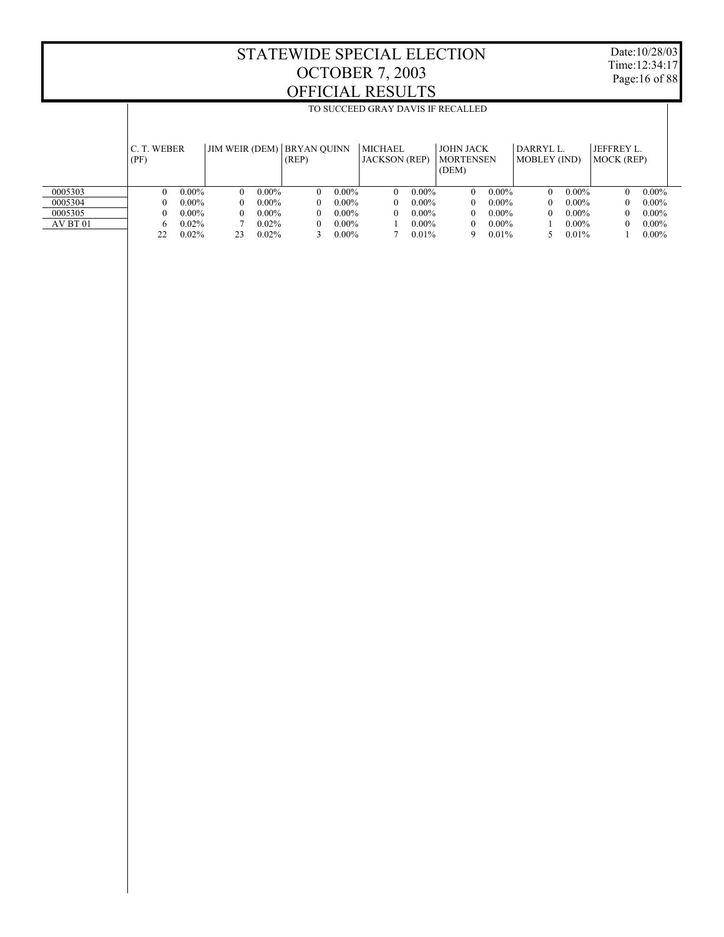$\mathbb{I}$ 

TO SUCCEED GRAY DAVIS IF RECALLED

Date:10/28/03 Time:12:34:17 Page:16 of 88

 $\overline{\phantom{a}}$ 

|          | C. T. WEBER<br>(PF) |          |          |          | JIM WEIR (DEM)   BRYAN QUINN<br>(REP) |          | <b>MICHAEL</b><br><b>JACKSON</b> (REP) |          | <b>JOHN JACK</b><br><b>MORTENSEN</b><br>(DEM) |          | DARRYL L<br>MOBLEY (IND) |          | <b>JEFFREY L.</b><br>MOCK (REP) |          |
|----------|---------------------|----------|----------|----------|---------------------------------------|----------|----------------------------------------|----------|-----------------------------------------------|----------|--------------------------|----------|---------------------------------|----------|
| 0005303  |                     | $0.00\%$ | $\Omega$ | $0.00\%$ | $\theta$                              | $0.00\%$ | 0                                      | $0.00\%$ | $\mathbf{0}$                                  | $0.00\%$ | 0                        | $0.00\%$ | $\theta$                        | $0.00\%$ |
| 0005304  |                     | $0.00\%$ |          | $0.00\%$ | $\theta$                              | $0.00\%$ |                                        | $0.00\%$ | $\mathbf{0}$                                  | $0.00\%$ |                          | $0.00\%$ | $\theta$                        | $0.00\%$ |
| 0005305  | 0                   | $0.00\%$ | $\Omega$ | $0.00\%$ | $\theta$                              | $0.00\%$ |                                        | $0.00\%$ | $\theta$                                      | $0.00\%$ | 0                        | $0.00\%$ | 0                               | $0.00\%$ |
| AV BT 01 | 6                   | $0.02\%$ |          | 0.02%    | $\theta$                              | $0.00\%$ |                                        | $0.00\%$ | $\theta$                                      | $0.00\%$ |                          | $0.00\%$ | $\theta$                        | $0.00\%$ |
|          | 22                  | 0.02%    | 23       | 0.02%    |                                       | $0.00\%$ |                                        | 0.01%    | 9                                             | 0.01%    |                          | 0.01%    |                                 | $0.00\%$ |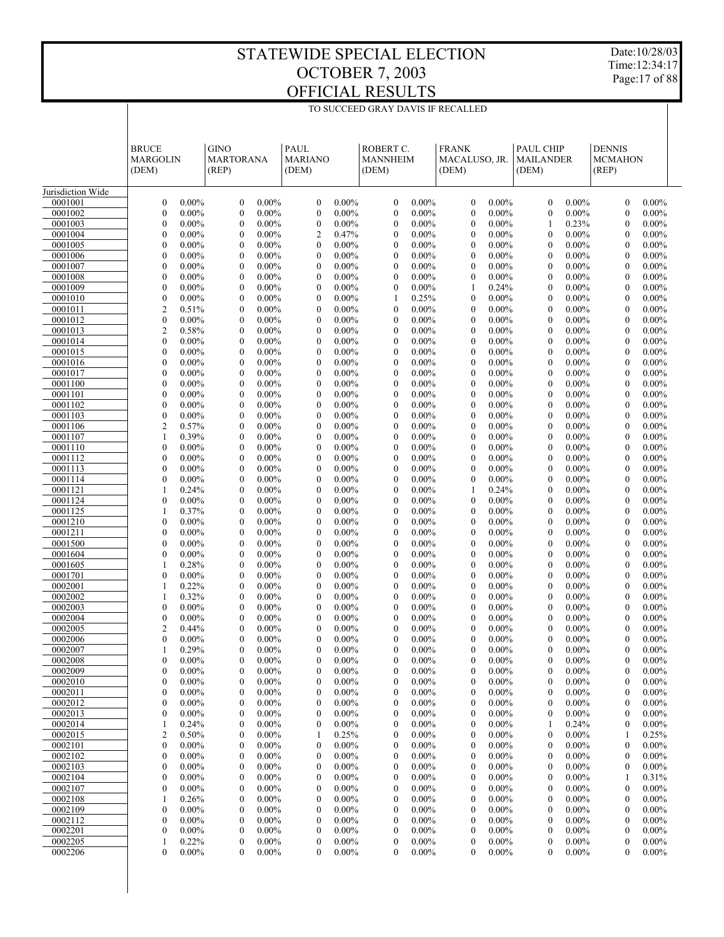$\overline{\phantom{a}}$ 

TO SUCCEED GRAY DAVIS IF RECALLED

Date:10/28/03 Time:12:34:17 Page:17 of 88

|                    | <b>BRUCE</b>                                                 | <b>GINO</b>                                                  | PAUL                                                         | ROBERT C.                                                    | <b>FRANK</b>                                                 | PAUL CHIP                                            | <b>DENNIS</b>                                                |  |
|--------------------|--------------------------------------------------------------|--------------------------------------------------------------|--------------------------------------------------------------|--------------------------------------------------------------|--------------------------------------------------------------|------------------------------------------------------|--------------------------------------------------------------|--|
|                    | <b>MARGOLIN</b>                                              | <b>MARTORANA</b>                                             | <b>MARIANO</b>                                               | <b>MANNHEIM</b>                                              | MACALUSO, JR.                                                | <b>MAILANDER</b>                                     | <b>MCMAHON</b>                                               |  |
|                    | (DEM)                                                        | (REP)                                                        | (DEM)                                                        | (DEM)                                                        | (DEM)                                                        | (DEM)                                                | (REP)                                                        |  |
| Jurisdiction Wide  |                                                              |                                                              |                                                              |                                                              |                                                              |                                                      |                                                              |  |
| 0001001            | $\boldsymbol{0}$<br>$0.00\%$                                 | $\mathbf{0}$<br>$0.00\%$                                     | $\boldsymbol{0}$<br>$0.00\%$                                 | $\boldsymbol{0}$<br>$0.00\%$                                 | $\mathbf{0}$<br>$0.00\%$                                     | $\mathbf{0}$<br>$0.00\%$                             | $\mathbf{0}$<br>$0.00\%$                                     |  |
| 0001002            | $\boldsymbol{0}$<br>$0.00\%$                                 | $\mathbf{0}$<br>$0.00\%$                                     | $\boldsymbol{0}$<br>$0.00\%$                                 | $\boldsymbol{0}$<br>$0.00\%$                                 | $\mathbf{0}$<br>$0.00\%$                                     | $0.00\%$<br>$\mathbf{0}$                             | $\mathbf{0}$<br>$0.00\%$                                     |  |
| 0001003<br>0001004 | $\boldsymbol{0}$<br>$0.00\%$<br>$\boldsymbol{0}$<br>$0.00\%$ | $\mathbf{0}$<br>$0.00\%$<br>$\mathbf{0}$<br>$0.00\%$         | $\boldsymbol{0}$<br>$0.00\%$<br>$\overline{2}$<br>0.47%      | $\boldsymbol{0}$<br>$0.00\%$<br>$\boldsymbol{0}$<br>$0.00\%$ | $0.00\%$<br>$\mathbf{0}$<br>$0.00\%$<br>$\mathbf{0}$         | 0.23%<br>1<br>$0.00\%$<br>$\mathbf{0}$               | $0.00\%$<br>$\mathbf{0}$<br>$0.00\%$<br>$\mathbf{0}$         |  |
| 0001005            | $0.00\%$<br>$\boldsymbol{0}$                                 | $\mathbf{0}$<br>$0.00\%$                                     | $\boldsymbol{0}$<br>$0.00\%$                                 | $\mathbf{0}$<br>$0.00\%$                                     | $\mathbf{0}$<br>$0.00\%$                                     | $0.00\%$<br>$\mathbf{0}$                             | $0.00\%$<br>$\mathbf{0}$                                     |  |
| 0001006            | $\boldsymbol{0}$<br>$0.00\%$                                 | $\mathbf{0}$<br>$0.00\%$                                     | $\boldsymbol{0}$<br>$0.00\%$                                 | $\boldsymbol{0}$<br>$0.00\%$                                 | $0.00\%$<br>$\mathbf{0}$                                     | $0.00\%$<br>$\mathbf{0}$                             | $0.00\%$<br>$\mathbf{0}$                                     |  |
| 0001007            | $\boldsymbol{0}$<br>$0.00\%$                                 | $\mathbf{0}$<br>$0.00\%$                                     | $\boldsymbol{0}$<br>$0.00\%$                                 | $\mathbf{0}$<br>$0.00\%$                                     | $\mathbf{0}$<br>$0.00\%$                                     | $0.00\%$<br>$\mathbf{0}$                             | $0.00\%$<br>$\mathbf{0}$                                     |  |
| 0001008<br>0001009 | $\boldsymbol{0}$<br>$0.00\%$<br>$0.00\%$<br>$\boldsymbol{0}$ | $\mathbf{0}$<br>$0.00\%$<br>$\mathbf{0}$<br>$0.00\%$         | $\boldsymbol{0}$<br>$0.00\%$<br>$\boldsymbol{0}$<br>$0.00\%$ | $\boldsymbol{0}$<br>$0.00\%$<br>$\boldsymbol{0}$<br>$0.00\%$ | $0.00\%$<br>$\mathbf{0}$<br>$\mathbf{1}$<br>0.24%            | $0.00\%$<br>$\mathbf{0}$<br>$0.00\%$<br>$\mathbf{0}$ | $0.00\%$<br>$\mathbf{0}$<br>$0.00\%$<br>$\mathbf{0}$         |  |
| 0001010            | $\boldsymbol{0}$<br>$0.00\%$                                 | $\mathbf{0}$<br>$0.00\%$                                     | $\boldsymbol{0}$<br>$0.00\%$                                 | 0.25%<br>1                                                   | $\mathbf{0}$<br>$0.00\%$                                     | $\mathbf{0}$<br>$0.00\%$                             | $0.00\%$<br>$\mathbf{0}$                                     |  |
| 0001011            | $\overline{c}$<br>0.51%                                      | $\mathbf{0}$<br>$0.00\%$                                     | $\boldsymbol{0}$<br>$0.00\%$                                 | $\boldsymbol{0}$<br>$0.00\%$                                 | $0.00\%$<br>$\mathbf{0}$                                     | $0.00\%$<br>$\mathbf{0}$                             | $0.00\%$<br>$\mathbf{0}$                                     |  |
| 0001012            | $\boldsymbol{0}$<br>$0.00\%$                                 | $\mathbf{0}$<br>$0.00\%$                                     | $\boldsymbol{0}$<br>$0.00\%$                                 | $\boldsymbol{0}$<br>$0.00\%$                                 | $0.00\%$<br>$\mathbf{0}$                                     | $0.00\%$<br>$\mathbf{0}$                             | $0.00\%$<br>$\mathbf{0}$                                     |  |
| 0001013<br>0001014 | $\overline{c}$<br>0.58%<br>$\boldsymbol{0}$<br>$0.00\%$      | $\mathbf{0}$<br>$0.00\%$<br>$\mathbf{0}$<br>$0.00\%$         | $\boldsymbol{0}$<br>$0.00\%$<br>$\boldsymbol{0}$<br>$0.00\%$ | $\mathbf{0}$<br>$0.00\%$<br>$\boldsymbol{0}$<br>$0.00\%$     | $\mathbf{0}$<br>$0.00\%$<br>$0.00\%$<br>$\mathbf{0}$         | $0.00\%$<br>$\mathbf{0}$<br>$\mathbf{0}$<br>$0.00\%$ | $0.00\%$<br>$\mathbf{0}$<br>$0.00\%$<br>$\mathbf{0}$         |  |
| 0001015            | $0.00\%$<br>$\boldsymbol{0}$                                 | $\mathbf{0}$<br>$0.00\%$                                     | $\boldsymbol{0}$<br>$0.00\%$                                 | $\boldsymbol{0}$<br>$0.00\%$                                 | $0.00\%$<br>$\mathbf{0}$                                     | $0.00\%$<br>$\mathbf{0}$                             | $0.00\%$<br>$\mathbf{0}$                                     |  |
| 0001016            | $\boldsymbol{0}$<br>$0.00\%$                                 | $\mathbf{0}$<br>$0.00\%$                                     | $\boldsymbol{0}$<br>$0.00\%$                                 | $\boldsymbol{0}$<br>$0.00\%$                                 | $0.00\%$<br>$\mathbf{0}$                                     | $0.00\%$<br>$\mathbf{0}$                             | $0.00\%$<br>$\mathbf{0}$                                     |  |
| 0001017            | $0.00\%$<br>$\boldsymbol{0}$                                 | $\mathbf{0}$<br>$0.00\%$                                     | $\boldsymbol{0}$<br>$0.00\%$                                 | $\mathbf{0}$<br>$0.00\%$                                     | $\mathbf{0}$<br>$0.00\%$                                     | $0.00\%$<br>$\mathbf{0}$                             | $0.00\%$<br>$\mathbf{0}$                                     |  |
| 0001100<br>0001101 | $\boldsymbol{0}$<br>$0.00\%$                                 | $\mathbf{0}$<br>$0.00\%$<br>$\mathbf{0}$                     | $\boldsymbol{0}$<br>$0.00\%$                                 | $\boldsymbol{0}$<br>$0.00\%$                                 | $0.00\%$<br>$\mathbf{0}$                                     | $\mathbf{0}$<br>$0.00\%$                             | $0.00\%$<br>$\mathbf{0}$                                     |  |
| 0001102            | $\boldsymbol{0}$<br>$0.00\%$<br>$\boldsymbol{0}$<br>$0.00\%$ | $0.00\%$<br>$\mathbf{0}$<br>$0.00\%$                         | $\boldsymbol{0}$<br>$0.00\%$<br>$\boldsymbol{0}$<br>$0.00\%$ | $\boldsymbol{0}$<br>$0.00\%$<br>$\boldsymbol{0}$<br>$0.00\%$ | $0.00\%$<br>$\mathbf{0}$<br>$0.00\%$<br>$\mathbf{0}$         | $0.00\%$<br>$\mathbf{0}$<br>$0.00\%$<br>$\theta$     | $0.00\%$<br>$\mathbf{0}$<br>$0.00\%$<br>$\mathbf{0}$         |  |
| 0001103            | $\boldsymbol{0}$<br>$0.00\%$                                 | $\mathbf{0}$<br>$0.00\%$                                     | $\boldsymbol{0}$<br>$0.00\%$                                 | $\mathbf{0}$<br>$0.00\%$                                     | $\mathbf{0}$<br>$0.00\%$                                     | $0.00\%$<br>$\mathbf{0}$                             | $0.00\%$<br>$\mathbf{0}$                                     |  |
| 0001106            | $\overline{c}$<br>0.57%                                      | $\mathbf{0}$<br>$0.00\%$                                     | $\boldsymbol{0}$<br>$0.00\%$                                 | $\boldsymbol{0}$<br>$0.00\%$                                 | $0.00\%$<br>$\mathbf{0}$                                     | $\mathbf{0}$<br>$0.00\%$                             | $0.00\%$<br>$\mathbf{0}$                                     |  |
| 0001107            | $\mathbf{1}$<br>0.39%                                        | $\mathbf{0}$<br>$0.00\%$                                     | $\boldsymbol{0}$<br>$0.00\%$                                 | $\boldsymbol{0}$<br>$0.00\%$                                 | $0.00\%$<br>$\mathbf{0}$                                     | $0.00\%$<br>$\mathbf{0}$                             | $0.00\%$<br>$\mathbf{0}$                                     |  |
| 0001110<br>0001112 | $\boldsymbol{0}$<br>$0.00\%$<br>$\boldsymbol{0}$<br>$0.00\%$ | $\mathbf{0}$<br>$0.00\%$<br>$\mathbf{0}$<br>$0.00\%$         | $\boldsymbol{0}$<br>$0.00\%$<br>$\boldsymbol{0}$<br>$0.00\%$ | $\boldsymbol{0}$<br>$0.00\%$<br>$\mathbf{0}$<br>$0.00\%$     | $0.00\%$<br>$\mathbf{0}$<br>$\mathbf{0}$<br>$0.00\%$         | $0.00\%$<br>$\theta$<br>$0.00\%$<br>$\mathbf{0}$     | $0.00\%$<br>$\mathbf{0}$<br>$0.00\%$<br>$\mathbf{0}$         |  |
| 0001113            | $\boldsymbol{0}$<br>$0.00\%$                                 | $\mathbf{0}$<br>$0.00\%$                                     | $\boldsymbol{0}$<br>$0.00\%$                                 | $\boldsymbol{0}$<br>$0.00\%$                                 | $0.00\%$<br>$\mathbf{0}$                                     | $0.00\%$<br>$\theta$                                 | $0.00\%$<br>$\mathbf{0}$                                     |  |
| 0001114            | $0.00\%$<br>$\boldsymbol{0}$                                 | $\mathbf{0}$<br>$0.00\%$                                     | $\boldsymbol{0}$<br>$0.00\%$                                 | $\boldsymbol{0}$<br>$0.00\%$                                 | $0.00\%$<br>$\mathbf{0}$                                     | $0.00\%$<br>$\mathbf{0}$                             | $0.00\%$<br>$\mathbf{0}$                                     |  |
| 0001121            | 0.24%<br>$\mathbf{1}$                                        | $\mathbf{0}$<br>$0.00\%$                                     | $\boldsymbol{0}$<br>$0.00\%$                                 | $\boldsymbol{0}$<br>$0.00\%$                                 | 1<br>0.24%                                                   | $0.00\%$<br>$\theta$                                 | $0.00\%$<br>$\mathbf{0}$                                     |  |
| 0001124<br>0001125 | $\boldsymbol{0}$<br>$0.00\%$<br>0.37%<br>1                   | $\mathbf{0}$<br>$0.00\%$<br>$\mathbf{0}$<br>$0.00\%$         | $\boldsymbol{0}$<br>$0.00\%$<br>$\boldsymbol{0}$<br>$0.00\%$ | $\mathbf{0}$<br>$0.00\%$<br>$\boldsymbol{0}$<br>$0.00\%$     | $\mathbf{0}$<br>$0.00\%$<br>$0.00\%$<br>$\mathbf{0}$         | $0.00\%$<br>$\mathbf{0}$<br>$0.00\%$<br>$\theta$     | $0.00\%$<br>$\mathbf{0}$<br>$0.00\%$<br>$\mathbf{0}$         |  |
| 0001210            | $\boldsymbol{0}$<br>$0.00\%$                                 | $\mathbf{0}$<br>$0.00\%$                                     | $\boldsymbol{0}$<br>$0.00\%$                                 | $\boldsymbol{0}$<br>$0.00\%$                                 | $0.00\%$<br>$\mathbf{0}$                                     | $0.00\%$<br>$\mathbf{0}$                             | $0.00\%$<br>$\mathbf{0}$                                     |  |
| 0001211            | $\boldsymbol{0}$<br>$0.00\%$                                 | $\mathbf{0}$<br>$0.00\%$                                     | $\boldsymbol{0}$<br>$0.00\%$                                 | $\boldsymbol{0}$<br>$0.00\%$                                 | $0.00\%$<br>$\mathbf{0}$                                     | $0.00\%$<br>$\theta$                                 | $0.00\%$<br>$\mathbf{0}$                                     |  |
| 0001500            | $\boldsymbol{0}$<br>$0.00\%$                                 | $\mathbf{0}$<br>$0.00\%$                                     | $\boldsymbol{0}$<br>$0.00\%$                                 | $\mathbf{0}$<br>$0.00\%$                                     | $\mathbf{0}$<br>$0.00\%$                                     | $0.00\%$<br>$\mathbf{0}$                             | $0.00\%$<br>$\mathbf{0}$                                     |  |
| 0001604<br>0001605 | $\boldsymbol{0}$<br>$0.00\%$<br>0.28%<br>1                   | $\mathbf{0}$<br>$0.00\%$<br>$\mathbf{0}$<br>$0.00\%$         | $\boldsymbol{0}$<br>$0.00\%$<br>$\boldsymbol{0}$<br>$0.00\%$ | $\boldsymbol{0}$<br>$0.00\%$<br>$\boldsymbol{0}$<br>$0.00\%$ | $0.00\%$<br>$\mathbf{0}$<br>$0.00\%$<br>$\mathbf{0}$         | $0.00\%$<br>$\theta$<br>$0.00\%$<br>$\mathbf{0}$     | $0.00\%$<br>$\mathbf{0}$<br>$0.00\%$<br>$\mathbf{0}$         |  |
| 0001701            | $\boldsymbol{0}$<br>$0.00\%$                                 | $\mathbf{0}$<br>$0.00\%$                                     | $\boldsymbol{0}$<br>$0.00\%$                                 | $\boldsymbol{0}$<br>$0.00\%$                                 | $0.00\%$<br>$\mathbf{0}$                                     | $0.00\%$<br>$\theta$                                 | $0.00\%$<br>$\mathbf{0}$                                     |  |
| 0002001            | 0.22%<br>1                                                   | $\mathbf{0}$<br>$0.00\%$                                     | $\boldsymbol{0}$<br>$0.00\%$                                 | $\mathbf{0}$<br>$0.00\%$                                     | $\mathbf{0}$<br>$0.00\%$                                     | $0.00\%$<br>$\mathbf{0}$                             | $0.00\%$<br>$\mathbf{0}$                                     |  |
| 0002002            | 0.32%<br>1                                                   | $\mathbf{0}$<br>$0.00\%$                                     | $\boldsymbol{0}$<br>$0.00\%$                                 | $\boldsymbol{0}$<br>$0.00\%$                                 | $0.00\%$<br>$\mathbf{0}$                                     | $\mathbf{0}$<br>$0.00\%$                             | $0.00\%$<br>$\mathbf{0}$                                     |  |
| 0002003<br>0002004 | $\boldsymbol{0}$<br>$0.00\%$<br>$\boldsymbol{0}$<br>$0.00\%$ | $\boldsymbol{0}$<br>$0.00\%$<br>$\mathbf{0}$                 | $\boldsymbol{0}$<br>$0.00\%$<br>$\mathbf{0}$<br>$0.00\%$     | $\boldsymbol{0}$<br>$0.00\%$<br>$\boldsymbol{0}$<br>$0.00\%$ | $0.00\%$<br>$\mathbf{0}$<br>$0.00\%$<br>$\mathbf{0}$         | $0.00\%$<br>$\boldsymbol{0}$<br>$\mathbf{0}$         | $0.00\%$<br>$\mathbf{0}$<br>$0.00\%$<br>$\mathbf{0}$         |  |
| 0002005            | $\overline{c}$<br>0.44%                                      | $0.00\%$<br>$\overline{0}$<br>$0.00\%$                       | $\mathbf{0}$<br>$0.00\%$                                     | $\mathbf{0}$<br>$0.00\%$                                     | $\mathbf{0}$<br>$0.00\%$                                     | $0.00\%$<br>$\mathbf{0}$<br>$0.00\%$                 | $\mathbf{0}$<br>$0.00\%$                                     |  |
| 0002006            | $\mathbf{0}$<br>$0.00\%$                                     | $\mathbf{0}$<br>$0.00\%$                                     | $\mathbf{0}$<br>$0.00\%$                                     | $\mathbf{0}$<br>$0.00\%$                                     | $0.00\%$<br>$\mathbf{0}$                                     | $0.00\%$<br>$\mathbf{0}$                             | $0.00\%$<br>$\mathbf{0}$                                     |  |
| 0002007            | 0.29%                                                        | $\mathbf{0}$<br>$0.00\%$                                     | $\boldsymbol{0}$<br>$0.00\%$                                 | $\boldsymbol{0}$<br>0.00%                                    | $\mathbf{0}$<br>0.00%                                        | $\boldsymbol{0}$<br>0.00%                            | $\boldsymbol{0}$<br>0.00%                                    |  |
| 0002008            | $\boldsymbol{0}$<br>$0.00\%$                                 | 0<br>$0.00\%$                                                | $\boldsymbol{0}$<br>$0.00\%$                                 | $0.00\%$<br>$\boldsymbol{0}$                                 | $0.00\%$<br>$\theta$                                         | $0.00\%$<br>0                                        | $0.00\%$<br>$\mathbf{0}$                                     |  |
| 0002009<br>0002010 | $\boldsymbol{0}$<br>$0.00\%$<br>$\boldsymbol{0}$<br>$0.00\%$ | 0<br>$0.00\%$<br>$\boldsymbol{0}$<br>$0.00\%$                | $\boldsymbol{0}$<br>$0.00\%$<br>$\boldsymbol{0}$<br>$0.00\%$ | $\boldsymbol{0}$<br>$0.00\%$<br>$0.00\%$<br>$\boldsymbol{0}$ | $\boldsymbol{0}$<br>$0.00\%$<br>$0.00\%$<br>$\boldsymbol{0}$ | $\mathbf{0}$<br>$0.00\%$<br>$0.00\%$<br>0            | $\boldsymbol{0}$<br>$0.00\%$<br>$0.00\%$<br>$\boldsymbol{0}$ |  |
| 0002011            | 0<br>$0.00\%$                                                | 0<br>$0.00\%$                                                | $\boldsymbol{0}$<br>$0.00\%$                                 | $\boldsymbol{0}$<br>$0.00\%$                                 | $0.00\%$<br>$\boldsymbol{0}$                                 | $0.00\%$<br>0                                        | $\boldsymbol{0}$<br>$0.00\%$                                 |  |
| 0002012            | $\boldsymbol{0}$<br>$0.00\%$                                 | $\boldsymbol{0}$<br>$0.00\%$                                 | $\boldsymbol{0}$<br>$0.00\%$                                 | $0.00\%$<br>$\boldsymbol{0}$                                 | $0.00\%$<br>$\boldsymbol{0}$                                 | $0.00\%$<br>0                                        | $0.00\%$<br>$\boldsymbol{0}$                                 |  |
| 0002013            | 0<br>$0.00\%$                                                | 0<br>$0.00\%$                                                | $\boldsymbol{0}$<br>$0.00\%$                                 | $\boldsymbol{0}$<br>$0.00\%$                                 | $0.00\%$<br>$\boldsymbol{0}$                                 | $0.00\%$<br>0                                        | $\boldsymbol{0}$<br>$0.00\%$                                 |  |
| 0002014<br>0002015 | 0.24%<br>1<br>$\overline{2}$<br>0.50%                        | $\boldsymbol{0}$<br>$0.00\%$<br>0<br>$0.00\%$                | $\boldsymbol{0}$<br>$0.00\%$<br>1<br>0.25%                   | $0.00\%$<br>$\boldsymbol{0}$<br>$\boldsymbol{0}$<br>$0.00\%$ | $0.00\%$<br>$\boldsymbol{0}$<br>$0.00\%$<br>$\boldsymbol{0}$ | 0.24%<br>$\boldsymbol{0}$<br>$0.00\%$                | $0.00\%$<br>$\boldsymbol{0}$<br>0.25%<br>1                   |  |
| 0002101            | $\boldsymbol{0}$<br>$0.00\%$                                 | $\boldsymbol{0}$<br>$0.00\%$                                 | $\boldsymbol{0}$<br>$0.00\%$                                 | $0.00\%$<br>$\boldsymbol{0}$                                 | $0.00\%$<br>$\boldsymbol{0}$                                 | $0.00\%$<br>0                                        | $0.00\%$<br>$\boldsymbol{0}$                                 |  |
| 0002102            | $\boldsymbol{0}$<br>$0.00\%$                                 | $\boldsymbol{0}$<br>$0.00\%$                                 | $\boldsymbol{0}$<br>$0.00\%$                                 | $\boldsymbol{0}$<br>$0.00\%$                                 | $\boldsymbol{0}$<br>$0.00\%$                                 | $0.00\%$<br>0                                        | $\boldsymbol{0}$<br>$0.00\%$                                 |  |
| 0002103            | $\boldsymbol{0}$<br>$0.00\%$                                 | $\boldsymbol{0}$<br>$0.00\%$                                 | $\boldsymbol{0}$<br>$0.00\%$                                 | $0.00\%$<br>$\boldsymbol{0}$                                 | $0.00\%$<br>$\boldsymbol{0}$                                 | $0.00\%$<br>0                                        | $0.00\%$<br>$\boldsymbol{0}$                                 |  |
| 0002104            | $\boldsymbol{0}$<br>$0.00\%$                                 | 0<br>$0.00\%$                                                | $\boldsymbol{0}$<br>$0.00\%$                                 | $\boldsymbol{0}$<br>$0.00\%$                                 | $0.00\%$<br>$\boldsymbol{0}$                                 | $0.00\%$<br>0                                        | 0.31%<br>1                                                   |  |
| 0002107<br>0002108 | $\boldsymbol{0}$<br>$0.00\%$<br>1<br>0.26%                   | $\boldsymbol{0}$<br>$0.00\%$<br>$\boldsymbol{0}$<br>$0.00\%$ | $\boldsymbol{0}$<br>$0.00\%$<br>$\boldsymbol{0}$<br>$0.00\%$ | $0.00\%$<br>$\boldsymbol{0}$<br>$\boldsymbol{0}$<br>$0.00\%$ | $0.00\%$<br>$\boldsymbol{0}$<br>$0.00\%$<br>$\boldsymbol{0}$ | $0.00\%$<br>0<br>$0.00\%$<br>0                       | $0.00\%$<br>$\boldsymbol{0}$<br>$\boldsymbol{0}$<br>$0.00\%$ |  |
| 0002109            | $\boldsymbol{0}$<br>$0.00\%$                                 | $\boldsymbol{0}$<br>$0.00\%$                                 | $\boldsymbol{0}$<br>$0.00\%$                                 | $0.00\%$<br>$\boldsymbol{0}$                                 | $0.00\%$<br>$\boldsymbol{0}$                                 | $0.00\%$<br>0                                        | $0.00\%$<br>$\boldsymbol{0}$                                 |  |
| 0002112            | $\boldsymbol{0}$<br>$0.00\%$                                 | 0<br>$0.00\%$                                                | $\boldsymbol{0}$<br>$0.00\%$                                 | $\boldsymbol{0}$<br>$0.00\%$                                 | $0.00\%$<br>$\boldsymbol{0}$                                 | $0.00\%$<br>0                                        | $\boldsymbol{0}$<br>$0.00\%$                                 |  |
| 0002201            | $\boldsymbol{0}$<br>$0.00\%$                                 | $\boldsymbol{0}$<br>$0.00\%$                                 | $\boldsymbol{0}$<br>$0.00\%$                                 | $0.00\%$<br>$\boldsymbol{0}$                                 | $0.00\%$<br>$\boldsymbol{0}$                                 | $0.00\%$<br>0                                        | $0.00\%$<br>$\boldsymbol{0}$                                 |  |
| 0002205<br>0002206 | 1<br>0.22%<br>$\boldsymbol{0}$<br>$0.00\%$                   | 0<br>$0.00\%$<br>0<br>$0.00\%$                               | $\boldsymbol{0}$<br>$0.00\%$<br>$\boldsymbol{0}$<br>$0.00\%$ | $\boldsymbol{0}$<br>$0.00\%$<br>$\mathbf{0}$<br>$0.00\%$     | $\boldsymbol{0}$<br>$0.00\%$<br>$0.00\%$<br>$\mathbf{0}$     | $\boldsymbol{0}$<br>$0.00\%$<br>$0.00\%$<br>$\theta$ | $\boldsymbol{0}$<br>$0.00\%$<br>$0.00\%$<br>$\mathbf{0}$     |  |
|                    |                                                              |                                                              |                                                              |                                                              |                                                              |                                                      |                                                              |  |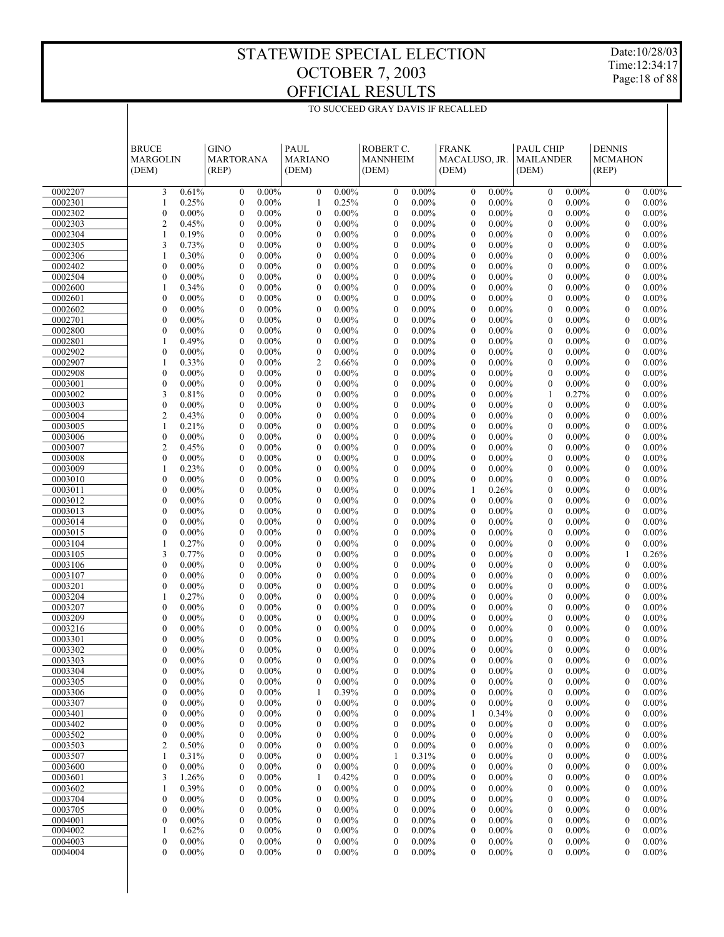TO SUCCEED GRAY DAVIS IF RECALLED

Date:10/28/03 Time:12:34:17 Page:18 of 88

|                    | <b>BRUCE</b>                                         | <b>GINO</b>                                                  | PAUL                                                         | ROBERT C.                                                    | <b>FRANK</b>                                             | <b>PAUL CHIP</b>                                             | <b>DENNIS</b>                                                |
|--------------------|------------------------------------------------------|--------------------------------------------------------------|--------------------------------------------------------------|--------------------------------------------------------------|----------------------------------------------------------|--------------------------------------------------------------|--------------------------------------------------------------|
|                    | MARGOLIN                                             | <b>MARTORANA</b>                                             | <b>MARIANO</b>                                               | <b>MANNHEIM</b>                                              | MACALUSO, JR.                                            | <b>MAILANDER</b>                                             | <b>MCMAHON</b>                                               |
|                    | (DEM)                                                | (REP)                                                        | (DEM)                                                        | (DEM)                                                        | (DEM)                                                    | (DEM)                                                        | (REP)                                                        |
| 0002207            | 3                                                    | $0.00\%$                                                     | $\boldsymbol{0}$                                             | $0.00\%$                                                     | $0.00\%$                                                 | $0.00\%$                                                     | $\boldsymbol{0}$                                             |
|                    | 0.61%                                                | $\boldsymbol{0}$                                             | $0.00\%$                                                     | $\boldsymbol{0}$                                             | $\mathbf{0}$                                             | $\boldsymbol{0}$                                             | $0.00\%$                                                     |
| 0002301            | 0.25%                                                | $\boldsymbol{0}$                                             | 1                                                            | $\boldsymbol{0}$                                             | $\mathbf{0}$                                             | $\boldsymbol{0}$                                             | $\boldsymbol{0}$                                             |
|                    | 1                                                    | $0.00\%$                                                     | 0.25%                                                        | $0.00\%$                                                     | $0.00\%$                                                 | $0.00\%$                                                     | $0.00\%$                                                     |
| 0002302            | $\mathbf{0}$                                         | $0.00\%$                                                     | $\boldsymbol{0}$                                             | $\mathbf{0}$                                                 | $0.00\%$                                                 | $\boldsymbol{0}$                                             | $\mathbf{0}$                                                 |
|                    | $0.00\%$                                             | $\boldsymbol{0}$                                             | $0.00\%$                                                     | $0.00\%$                                                     | $\mathbf{0}$                                             | $0.00\%$                                                     | $0.00\%$                                                     |
| 0002303            | $\overline{2}$<br>0.45%                              | $\boldsymbol{0}$<br>$0.00\%$                                 | $\mathbf{0}$<br>$0.00\%$                                     | $\mathbf{0}$<br>$0.00\%$<br>$\mathbf{0}$                     | $\mathbf{0}$<br>$0.00\%$                                 | $\boldsymbol{0}$<br>$0.00\%$                                 | $\mathbf{0}$<br>$0.00\%$<br>$\mathbf{0}$                     |
| 0002304<br>0002305 | 0.19%<br>1<br>3<br>0.73%                             | $0.00\%$<br>$\boldsymbol{0}$<br>$\mathbf{0}$<br>$0.00\%$     | $\boldsymbol{0}$<br>$0.00\%$<br>$\mathbf{0}$<br>$0.00\%$     | $0.00\%$<br>$\mathbf{0}$<br>$0.00\%$                         | $0.00\%$<br>$\mathbf{0}$<br>$\mathbf{0}$<br>$0.00\%$     | $\boldsymbol{0}$<br>$0.00\%$<br>$\boldsymbol{0}$<br>$0.00\%$ | $0.00\%$<br>$\mathbf{0}$<br>$0.00\%$                         |
| 0002306            | 0.30%                                                | $\boldsymbol{0}$                                             | $\boldsymbol{0}$                                             | $\mathbf{0}$                                                 | $0.00\%$                                                 | $\boldsymbol{0}$                                             | $\mathbf{0}$                                                 |
|                    | 1                                                    | $0.00\%$                                                     | $0.00\%$                                                     | $0.00\%$                                                     | $\mathbf{0}$                                             | $0.00\%$                                                     | $0.00\%$                                                     |
| 0002402            | $\mathbf{0}$                                         | $\boldsymbol{0}$                                             | $\boldsymbol{0}$                                             | $\mathbf{0}$                                                 | $\mathbf{0}$                                             | $\boldsymbol{0}$                                             | $\mathbf{0}$                                                 |
|                    | $0.00\%$                                             | $0.00\%$                                                     | $0.00\%$                                                     | $0.00\%$                                                     | $0.00\%$                                                 | $0.00\%$                                                     | $0.00\%$                                                     |
| 0002504            | $\mathbf{0}$                                         | $\boldsymbol{0}$                                             | $\boldsymbol{0}$                                             | $\mathbf{0}$                                                 | $0.00\%$                                                 | $\boldsymbol{0}$                                             | $\mathbf{0}$                                                 |
|                    | $0.00\%$                                             | $0.00\%$                                                     | $0.00\%$                                                     | $0.00\%$                                                     | $\mathbf{0}$                                             | $0.00\%$                                                     | $0.00\%$                                                     |
| 0002600            | 1                                                    | $\mathbf{0}$                                                 | $\boldsymbol{0}$                                             | $\mathbf{0}$                                                 | $\mathbf{0}$                                             | $\boldsymbol{0}$                                             | $\mathbf{0}$                                                 |
|                    | 0.34%                                                | $0.00\%$                                                     | $0.00\%$                                                     | $0.00\%$                                                     | $0.00\%$                                                 | $0.00\%$                                                     | $0.00\%$                                                     |
| 0002601<br>0002602 | $\mathbf{0}$<br>$0.00\%$<br>$\mathbf{0}$<br>$0.00\%$ | $\boldsymbol{0}$<br>$0.00\%$<br>$\mathbf{0}$<br>$0.00\%$     | $\boldsymbol{0}$<br>$0.00\%$<br>$\mathbf{0}$<br>$0.00\%$     | $\mathbf{0}$<br>$0.00\%$<br>$\mathbf{0}$<br>$0.00\%$         | $0.00\%$<br>$\mathbf{0}$<br>$\mathbf{0}$<br>$0.00\%$     | $\boldsymbol{0}$<br>$0.00\%$<br>$\boldsymbol{0}$<br>$0.00\%$ | $\mathbf{0}$<br>$0.00\%$<br>$\mathbf{0}$<br>$0.00\%$         |
| 0002701            | $\mathbf{0}$                                         | $\boldsymbol{0}$                                             | $\boldsymbol{0}$                                             | $\mathbf{0}$                                                 | $0.00\%$                                                 | $\boldsymbol{0}$                                             | $\mathbf{0}$                                                 |
|                    | $0.00\%$                                             | $0.00\%$                                                     | $0.00\%$                                                     | $0.00\%$                                                     | $\mathbf{0}$                                             | $0.00\%$                                                     | $0.00\%$                                                     |
| 0002800            | $\mathbf{0}$                                         | $\mathbf{0}$                                                 | $\boldsymbol{0}$                                             | $\mathbf{0}$                                                 | $\mathbf{0}$                                             | $\boldsymbol{0}$                                             | $\mathbf{0}$                                                 |
|                    | $0.00\%$                                             | $0.00\%$                                                     | $0.00\%$                                                     | $0.00\%$                                                     | $0.00\%$                                                 | $0.00\%$                                                     | $0.00\%$                                                     |
| 0002801            | 1                                                    | $\boldsymbol{0}$                                             | $\boldsymbol{0}$                                             | $\mathbf{0}$                                                 | $\mathbf{0}$                                             | $\boldsymbol{0}$                                             | $\mathbf{0}$                                                 |
|                    | 0.49%                                                | $0.00\%$                                                     | $0.00\%$                                                     | $0.00\%$                                                     | $0.00\%$                                                 | $0.00\%$                                                     | $0.00\%$                                                     |
| 0002902            | $\mathbf{0}$                                         | $\boldsymbol{0}$                                             | $\boldsymbol{0}$                                             | $\mathbf{0}$                                                 | $\mathbf{0}$                                             | $\boldsymbol{0}$                                             | $\mathbf{0}$                                                 |
|                    | $0.00\%$                                             | $0.00\%$                                                     | $0.00\%$                                                     | $0.00\%$                                                     | $0.00\%$                                                 | $0.00\%$                                                     | $0.00\%$                                                     |
| 0002907            | 1                                                    | $\boldsymbol{0}$                                             | $\overline{2}$                                               | $\mathbf{0}$                                                 | $0.00\%$                                                 | $\boldsymbol{0}$                                             | $\mathbf{0}$                                                 |
|                    | 0.33%                                                | $0.00\%$                                                     | 0.66%                                                        | $0.00\%$                                                     | $\mathbf{0}$                                             | $0.00\%$                                                     | $0.00\%$                                                     |
| 0002908            | $\mathbf{0}$<br>$0.00\%$<br>$\mathbf{0}$<br>$0.00\%$ | $\mathbf{0}$<br>$0.00\%$                                     | $\mathbf{0}$<br>$0.00\%$<br>$\boldsymbol{0}$                 | $\mathbf{0}$<br>$0.00\%$<br>$\mathbf{0}$                     | $\mathbf{0}$<br>$0.00\%$<br>$0.00\%$<br>$\mathbf{0}$     | $\boldsymbol{0}$<br>$0.00\%$<br>$\boldsymbol{0}$             | $\mathbf{0}$<br>$0.00\%$<br>$\mathbf{0}$                     |
| 0003001<br>0003002 | 3<br>0.81%                                           | $\boldsymbol{0}$<br>$0.00\%$<br>$\boldsymbol{0}$<br>$0.00\%$ | $0.00\%$<br>$\boldsymbol{0}$<br>$0.00\%$                     | $0.00\%$<br>$\mathbf{0}$<br>$0.00\%$                         | $\mathbf{0}$<br>$0.00\%$                                 | $0.00\%$<br>$\mathbf{1}$<br>0.27%                            | $0.00\%$<br>$\mathbf{0}$<br>$0.00\%$                         |
| 0003003            | $\mathbf{0}$                                         | $\boldsymbol{0}$                                             | $\boldsymbol{0}$                                             | $\mathbf{0}$                                                 | $0.00\%$                                                 | $\boldsymbol{0}$                                             | $\mathbf{0}$                                                 |
|                    | $0.00\%$                                             | $0.00\%$                                                     | $0.00\%$                                                     | $0.00\%$                                                     | $\mathbf{0}$                                             | $0.00\%$                                                     | $0.00\%$                                                     |
| 0003004            | $\overline{2}$                                       | $\boldsymbol{0}$                                             | $\boldsymbol{0}$                                             | $\mathbf{0}$                                                 | $\mathbf{0}$                                             | $\boldsymbol{0}$                                             | $\mathbf{0}$                                                 |
|                    | 0.43%                                                | $0.00\%$                                                     | $0.00\%$                                                     | $0.00\%$                                                     | $0.00\%$                                                 | $0.00\%$                                                     | $0.00\%$                                                     |
| 0003005            | 1                                                    | $\boldsymbol{0}$                                             | $\boldsymbol{0}$                                             | $\mathbf{0}$                                                 | $0.00\%$                                                 | $\boldsymbol{0}$                                             | $\mathbf{0}$                                                 |
|                    | 0.21%                                                | $0.00\%$                                                     | $0.00\%$                                                     | $0.00\%$                                                     | $\mathbf{0}$                                             | $0.00\%$                                                     | $0.00\%$                                                     |
| 0003006            | $\mathbf{0}$                                         | $\boldsymbol{0}$                                             | $\mathbf{0}$                                                 | $\mathbf{0}$                                                 | $\mathbf{0}$                                             | $\boldsymbol{0}$                                             | $\mathbf{0}$                                                 |
|                    | $0.00\%$                                             | $0.00\%$                                                     | $0.00\%$                                                     | $0.00\%$                                                     | $0.00\%$                                                 | $0.00\%$                                                     | $0.00\%$                                                     |
| 0003007<br>0003008 | $\overline{2}$<br>0.45%<br>$\mathbf{0}$<br>$0.00\%$  | $\boldsymbol{0}$<br>$0.00\%$<br>$\mathbf{0}$<br>$0.00\%$     | $\boldsymbol{0}$<br>$0.00\%$<br>$\boldsymbol{0}$<br>$0.00\%$ | $\mathbf{0}$<br>$0.00\%$<br>$\mathbf{0}$<br>$0.00\%$         | $0.00\%$<br>$\mathbf{0}$<br>$\mathbf{0}$<br>$0.00\%$     | $\boldsymbol{0}$<br>$0.00\%$<br>$\boldsymbol{0}$<br>$0.00\%$ | $\mathbf{0}$<br>$0.00\%$<br>$\mathbf{0}$<br>$0.00\%$         |
| 0003009            | 1                                                    | $\boldsymbol{0}$                                             | $\boldsymbol{0}$                                             | $\mathbf{0}$                                                 | $\mathbf{0}$                                             | $\boldsymbol{0}$                                             | $\mathbf{0}$                                                 |
|                    | 0.23%                                                | $0.00\%$                                                     | $0.00\%$                                                     | $0.00\%$                                                     | $0.00\%$                                                 | $0.00\%$                                                     | $0.00\%$                                                     |
| 0003010            | $\mathbf{0}$                                         | $\boldsymbol{0}$                                             | $\boldsymbol{0}$                                             | $\mathbf{0}$                                                 | $\mathbf{0}$                                             | $\boldsymbol{0}$                                             | $\mathbf{0}$                                                 |
|                    | $0.00\%$                                             | $0.00\%$                                                     | $0.00\%$                                                     | $0.00\%$                                                     | $0.00\%$                                                 | $0.00\%$                                                     | $0.00\%$                                                     |
| 0003011            | $\mathbf{0}$                                         | $\boldsymbol{0}$                                             | $\boldsymbol{0}$                                             | $\mathbf{0}$                                                 | 1                                                        | $\boldsymbol{0}$                                             | $\mathbf{0}$                                                 |
|                    | $0.00\%$                                             | $0.00\%$                                                     | $0.00\%$                                                     | $0.00\%$                                                     | 0.26%                                                    | $0.00\%$                                                     | $0.00\%$                                                     |
| 0003012            | $\mathbf{0}$                                         | $\mathbf{0}$                                                 | $\mathbf{0}$                                                 | $\mathbf{0}$                                                 | $\mathbf{0}$                                             | $\boldsymbol{0}$                                             | $\mathbf{0}$                                                 |
|                    | $0.00\%$                                             | $0.00\%$                                                     | $0.00\%$                                                     | $0.00\%$                                                     | $0.00\%$                                                 | $0.00\%$                                                     | $0.00\%$                                                     |
| 0003013            | $\mathbf{0}$                                         | $\boldsymbol{0}$                                             | $\boldsymbol{0}$                                             | $\mathbf{0}$                                                 | $0.00\%$                                                 | $\boldsymbol{0}$                                             | $\mathbf{0}$                                                 |
|                    | $0.00\%$                                             | $0.00\%$                                                     | $0.00\%$                                                     | $0.00\%$                                                     | $\mathbf{0}$                                             | $0.00\%$                                                     | $0.00\%$                                                     |
| 0003014<br>0003015 | $\mathbf{0}$<br>$0.00\%$<br>$\mathbf{0}$<br>$0.00\%$ | $\boldsymbol{0}$<br>$0.00\%$<br>$\boldsymbol{0}$<br>$0.00\%$ | $\boldsymbol{0}$<br>$0.00\%$<br>$\boldsymbol{0}$<br>$0.00\%$ | $\mathbf{0}$<br>$0.00\%$<br>$\mathbf{0}$<br>$0.00\%$         | $\mathbf{0}$<br>$0.00\%$<br>$0.00\%$<br>$\mathbf{0}$     | $\boldsymbol{0}$<br>$0.00\%$<br>$\boldsymbol{0}$<br>$0.00\%$ | $\mathbf{0}$<br>$0.00\%$<br>$\mathbf{0}$<br>$0.00\%$         |
| 0003104            | 1                                                    | $\boldsymbol{0}$                                             | $\boldsymbol{0}$                                             | $\mathbf{0}$                                                 | $\mathbf{0}$                                             | $\boldsymbol{0}$                                             | $\mathbf{0}$                                                 |
|                    | 0.27%                                                | $0.00\%$                                                     | $0.00\%$                                                     | $0.00\%$                                                     | $0.00\%$                                                 | $0.00\%$                                                     | $0.00\%$                                                     |
| 0003105            | 3                                                    | $\boldsymbol{0}$                                             | $\boldsymbol{0}$                                             | $\mathbf{0}$                                                 | $0.00\%$                                                 | $\boldsymbol{0}$                                             | 1                                                            |
|                    | 0.77%                                                | $0.00\%$                                                     | $0.00\%$                                                     | $0.00\%$                                                     | $\mathbf{0}$                                             | $0.00\%$                                                     | 0.26%                                                        |
| 0003106            | $\mathbf{0}$                                         | $\mathbf{0}$                                                 | $\mathbf{0}$                                                 | $\mathbf{0}$                                                 | $\mathbf{0}$                                             | $\boldsymbol{0}$                                             | $\mathbf{0}$                                                 |
|                    | $0.00\%$                                             | $0.00\%$                                                     | $0.00\%$                                                     | $0.00\%$                                                     | $0.00\%$                                                 | $0.00\%$                                                     | $0.00\%$                                                     |
| 0003107            | $\mathbf{0}$                                         | $\boldsymbol{0}$                                             | $\boldsymbol{0}$                                             | $\mathbf{0}$                                                 | $0.00\%$                                                 | $\boldsymbol{0}$                                             | $\mathbf{0}$                                                 |
|                    | $0.00\%$                                             | $0.00\%$                                                     | $0.00\%$                                                     | $0.00\%$                                                     | $\mathbf{0}$                                             | $0.00\%$                                                     | $0.00\%$                                                     |
| 0003201            | $\mathbf{0}$                                         | $\boldsymbol{0}$                                             | $\mathbf{0}$                                                 | $\mathbf{0}$                                                 | $\mathbf{0}$                                             | $\boldsymbol{0}$                                             | $\mathbf{0}$                                                 |
|                    | $0.00\%$                                             | $0.00\%$                                                     | $0.00\%$                                                     | $0.00\%$                                                     | $0.00\%$                                                 | $0.00\%$                                                     | $0.00\%$                                                     |
| 0003204<br>0003207 | 1<br>0.27%<br>$\mathbf{0}$<br>$0.00\%$               | $\boldsymbol{0}$<br>$0.00\%$<br>$\boldsymbol{0}$<br>$0.00\%$ | $\boldsymbol{0}$<br>$0.00\%$<br>$\boldsymbol{0}$<br>$0.00\%$ | $\mathbf{0}$<br>$0.00\%$<br>$\mathbf{0}$<br>$0.00\%$         | $\mathbf{0}$<br>$0.00\%$<br>$\mathbf{0}$<br>$0.00\%$     | $\boldsymbol{0}$<br>$0.00\%$<br>$\boldsymbol{0}$<br>$0.00\%$ | $\mathbf{0}$<br>$0.00\%$<br>$\boldsymbol{0}$<br>$0.00\%$     |
| 0003209            | $\mathbf{0}$                                         | $\boldsymbol{0}$                                             | $\mathbf{0}$                                                 | $\mathbf{0}$                                                 | $\mathbf{0}$                                             | $\boldsymbol{0}$                                             | $\mathbf{0}$                                                 |
|                    | $0.00\%$                                             | $0.00\%$                                                     | $0.00\%$                                                     | $0.00\%$                                                     | $0.00\%$                                                 | $0.00\%$                                                     | $0.00\%$                                                     |
| 0003216            | $\theta$                                             | $\mathbf{0}$                                                 | $\mathbf{0}$                                                 | $\mathbf{0}$                                                 | $\theta$                                                 | $\mathbf{0}$                                                 | $\overline{0}$                                               |
|                    | $0.00\%$                                             | $0.00\%$                                                     | $0.00\%$                                                     | $0.00\%$                                                     | $0.00\%$                                                 | $0.00\%$                                                     | $0.00\%$                                                     |
| 0003301            | $\mathbf{0}$                                         | $\mathbf{0}$                                                 | $\mathbf{0}$                                                 | $\mathbf{0}$                                                 | $\mathbf{0}$                                             | $\mathbf{0}$                                                 | $\overline{0}$                                               |
|                    | $0.00\%$                                             | $0.00\%$                                                     | $0.00\%$                                                     | $0.00\%$                                                     | $0.00\%$                                                 | $0.00\%$                                                     | $0.00\%$                                                     |
| 0003302            | $\overline{0}$                                       | $\overline{0}$                                               | 0                                                            | $\boldsymbol{0}$                                             | $0.00\%$                                                 | $\mathbf{0}$                                                 | $\mathbf{0}$                                                 |
|                    | $0.00\%$                                             | $0.00\%$                                                     | $0.00\%$                                                     | 0.00%                                                        | $\overline{0}$                                           | $0.00\%$                                                     | $0.00\%$                                                     |
| 0003303            | $0.00\%$<br>0<br>0<br>$0.00\%$                       | $0.00\%$<br>$\bf{0}$<br>$0.00\%$                             | $\boldsymbol{0}$<br>$0.00\%$<br>$\boldsymbol{0}$<br>$0.00\%$ | $\boldsymbol{0}$<br>$0.00\%$<br>$\boldsymbol{0}$<br>$0.00\%$ | $\mathbf{0}$<br>$0.00\%$<br>$\boldsymbol{0}$<br>$0.00\%$ | $0.00\%$<br>0<br>$\boldsymbol{0}$                            | $\boldsymbol{0}$<br>$0.00\%$<br>$\boldsymbol{0}$<br>$0.00\%$ |
| 0003304<br>0003305 | $\mathbf{0}$<br>$0.00\%$                             | $\boldsymbol{0}$<br>$0.00\%$<br>$\boldsymbol{0}$             | $\boldsymbol{0}$<br>$0.00\%$                                 | $0.00\%$<br>$\boldsymbol{0}$                                 | $0.00\%$<br>0                                            | $0.00\%$<br>$0.00\%$<br>0                                    | $\boldsymbol{0}$<br>$0.00\%$                                 |
| 0003306            | $0.00\%$                                             | $0.00\%$                                                     | 1                                                            | $\boldsymbol{0}$                                             | $0.00\%$                                                 | $\boldsymbol{0}$                                             | $\boldsymbol{0}$                                             |
|                    | 0                                                    | $\boldsymbol{0}$                                             | 0.39%                                                        | $0.00\%$                                                     | 0                                                        | $0.00\%$                                                     | $0.00\%$                                                     |
| 0003307            | $\mathbf{0}$                                         | $0.00\%$                                                     | $\boldsymbol{0}$                                             | $0.00\%$                                                     | $0.00\%$                                                 | $0.00\%$                                                     | $\boldsymbol{0}$                                             |
|                    | $0.00\%$                                             | $\boldsymbol{0}$                                             | $0.00\%$                                                     | $\boldsymbol{0}$                                             | 0                                                        | 0                                                            | $0.00\%$                                                     |
| 0003401            | 0                                                    | $0.00\%$                                                     | $\boldsymbol{0}$                                             | $\boldsymbol{0}$                                             | 0.34%                                                    | $0.00\%$                                                     | $\boldsymbol{0}$                                             |
|                    | $0.00\%$                                             | $\boldsymbol{0}$                                             | $0.00\%$                                                     | $0.00\%$                                                     | 1                                                        | 0                                                            | $0.00\%$                                                     |
| 0003402            | $\mathbf{0}$                                         | $0.00\%$                                                     | $0.00\%$                                                     | $0.00\%$                                                     | $\boldsymbol{0}$                                         | $0.00\%$                                                     | $\boldsymbol{0}$                                             |
|                    | $0.00\%$                                             | $\boldsymbol{0}$                                             | $\boldsymbol{0}$                                             | $\boldsymbol{0}$                                             | $0.00\%$                                                 | $\boldsymbol{0}$                                             | $0.00\%$                                                     |
| 0003502            | $\boldsymbol{0}$                                     | $0.00\%$                                                     | $\boldsymbol{0}$                                             | $\boldsymbol{0}$                                             | $\boldsymbol{0}$                                         | $\boldsymbol{0}$                                             | $\boldsymbol{0}$                                             |
|                    | $0.00\%$                                             | $\boldsymbol{0}$                                             | $0.00\%$                                                     | $0.00\%$                                                     | $0.00\%$                                                 | $0.00\%$                                                     | $0.00\%$                                                     |
| 0003503<br>0003507 | 2<br>0.50%<br>1<br>0.31%                             | $0.00\%$<br>$\boldsymbol{0}$<br>$0.00\%$<br>$\boldsymbol{0}$ | $\boldsymbol{0}$<br>$0.00\%$<br>$\boldsymbol{0}$<br>$0.00\%$ | $0.00\%$<br>$\boldsymbol{0}$<br>0.31%<br>1                   | $0.00\%$<br>0<br>$\boldsymbol{0}$<br>$0.00\%$            | $0.00\%$<br>0<br>$\boldsymbol{0}$<br>$0.00\%$                | $\boldsymbol{0}$<br>$0.00\%$<br>$\boldsymbol{0}$<br>$0.00\%$ |
| 0003600            | 0                                                    | $0.00\%$                                                     | $\boldsymbol{0}$                                             | $\boldsymbol{0}$                                             | $0.00\%$                                                 | $0.00\%$                                                     | $\boldsymbol{0}$                                             |
|                    | $0.00\%$                                             | $\boldsymbol{0}$                                             | $0.00\%$                                                     | $0.00\%$                                                     | 0                                                        | $\boldsymbol{0}$                                             | $0.00\%$                                                     |
| 0003601            | 3                                                    | $0.00\%$                                                     | 1                                                            | $\boldsymbol{0}$                                             | $\boldsymbol{0}$                                         | $\boldsymbol{0}$                                             | $\boldsymbol{0}$                                             |
|                    | 1.26%                                                | $\boldsymbol{0}$                                             | 0.42%                                                        | $0.00\%$                                                     | $0.00\%$                                                 | $0.00\%$                                                     | $0.00\%$                                                     |
| 0003602            | 0.39%                                                | $0.00\%$                                                     | $\boldsymbol{0}$                                             | $0.00\%$                                                     | $0.00\%$                                                 | $0.00\%$                                                     | $\boldsymbol{0}$                                             |
|                    | 1                                                    | $\boldsymbol{0}$                                             | $0.00\%$                                                     | $\boldsymbol{0}$                                             | 0                                                        | 0                                                            | $0.00\%$                                                     |
| 0003704            | 0                                                    | $0.00\%$                                                     | $\boldsymbol{0}$                                             | $\boldsymbol{0}$                                             | $\boldsymbol{0}$                                         | $\boldsymbol{0}$                                             | $\boldsymbol{0}$                                             |
|                    | $0.00\%$                                             | $\boldsymbol{0}$                                             | $0.00\%$                                                     | $0.00\%$                                                     | $0.00\%$                                                 | $0.00\%$                                                     | $0.00\%$                                                     |
| 0003705<br>0004001 | $\mathbf{0}$<br>$0.00\%$<br>$0.00\%$<br>0            | $0.00\%$<br>$\boldsymbol{0}$<br>$0.00\%$<br>$\boldsymbol{0}$ | $0.00\%$<br>$\boldsymbol{0}$<br>$\boldsymbol{0}$<br>$0.00\%$ | $0.00\%$<br>$\boldsymbol{0}$<br>$\boldsymbol{0}$<br>$0.00\%$ | $0.00\%$<br>0<br>$\boldsymbol{0}$<br>$0.00\%$            | $0.00\%$<br>$\boldsymbol{0}$<br>$\boldsymbol{0}$<br>$0.00\%$ | $\boldsymbol{0}$<br>$0.00\%$<br>$\boldsymbol{0}$<br>$0.00\%$ |
| 0004002            | 0.62%                                                | $0.00\%$                                                     | $\boldsymbol{0}$                                             | $0.00\%$                                                     | $0.00\%$                                                 | $0.00\%$                                                     | $\boldsymbol{0}$                                             |
|                    | 1                                                    | $\boldsymbol{0}$                                             | $0.00\%$                                                     | $\boldsymbol{0}$                                             | 0                                                        | 0                                                            | $0.00\%$                                                     |
| 0004003            | $\boldsymbol{0}$                                     | $0.00\%$                                                     | $\boldsymbol{0}$                                             | $\boldsymbol{0}$                                             | $\boldsymbol{0}$                                         | $\boldsymbol{0}$                                             | $\boldsymbol{0}$                                             |
|                    | $0.00\%$                                             | $\boldsymbol{0}$                                             | $0.00\%$                                                     | $0.00\%$                                                     | $0.00\%$                                                 | $0.00\%$                                                     | $0.00\%$                                                     |
| 0004004            | $\mathbf{0}$                                         | $0.00\%$                                                     | $\mathbf{0}$                                                 | $\mathbf{0}$                                                 | $\overline{0}$                                           | $\boldsymbol{0}$                                             | $\mathbf{0}$                                                 |
|                    | $0.00\%$                                             | $\mathbf{0}$                                                 | $0.00\%$                                                     | $0.00\%$                                                     | $0.00\%$                                                 | $0.00\%$                                                     | $0.00\%$                                                     |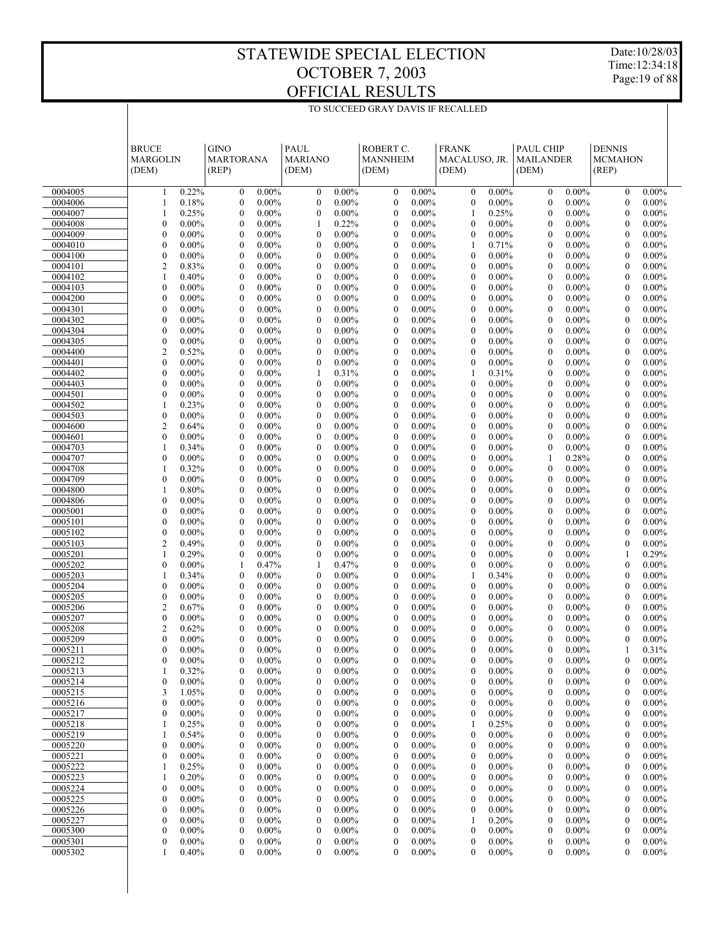TO SUCCEED GRAY DAVIS IF RECALLED

Date:10/28/03 Time:12:34:18 Page:19 of 88

|                    | <b>BRUCE</b>                                             | <b>GINO</b>                                                  | PAUL                                                         | ROBERT C.                                                    | <b>FRANK</b>                                             | PAUL CHIP                                            | <b>DENNIS</b>                                                |
|--------------------|----------------------------------------------------------|--------------------------------------------------------------|--------------------------------------------------------------|--------------------------------------------------------------|----------------------------------------------------------|------------------------------------------------------|--------------------------------------------------------------|
|                    | <b>MARGOLIN</b>                                          | <b>MARTORANA</b>                                             | <b>MARIANO</b>                                               | <b>MANNHEIM</b>                                              | MACALUSO, JR.                                            | <b>MAILANDER</b>                                     | <b>MCMAHON</b>                                               |
|                    | (DEM)                                                    | (REP)                                                        | (DEM)                                                        | (DEM)                                                        | (DEM)                                                    | (DEM)                                                | (REP)                                                        |
| 0004005            | 0.22%                                                    | $0.00\%$                                                     | $\boldsymbol{0}$                                             | $\boldsymbol{0}$                                             | $\mathbf{0}$                                             | $\mathbf{0}$                                         | $\boldsymbol{0}$                                             |
|                    | 1                                                        | $\boldsymbol{0}$                                             | $0.00\%$                                                     | $0.00\%$                                                     | $0.00\%$                                                 | $0.00\%$                                             | $0.00\%$                                                     |
| 0004006            | 0.18%                                                    | $0.00\%$                                                     | $\boldsymbol{0}$                                             | $\mathbf{0}$                                                 | $\boldsymbol{0}$                                         | $\mathbf{0}$                                         | $\boldsymbol{0}$                                             |
|                    | 1                                                        | $\boldsymbol{0}$                                             | $0.00\%$                                                     | $0.00\%$                                                     | $0.00\%$                                                 | $0.00\%$                                             | $0.00\%$                                                     |
| 0004007            | 0.25%                                                    | $0.00\%$                                                     | $\boldsymbol{0}$                                             | $\boldsymbol{0}$                                             | $\mathbf{1}$                                             | $0.00\%$                                             | $\boldsymbol{0}$                                             |
|                    | 1                                                        | $\boldsymbol{0}$                                             | $0.00\%$                                                     | $0.00\%$                                                     | 0.25%                                                    | $\mathbf{0}$                                         | $0.00\%$                                                     |
| 0004008            | $\mathbf{0}$                                             | $\boldsymbol{0}$                                             | $\mathbf{1}$                                                 | $\mathbf{0}$                                                 | $\mathbf{0}$                                             | $\mathbf{0}$                                         | $\boldsymbol{0}$                                             |
|                    | $0.00\%$                                                 | $0.00\%$                                                     | 0.22%                                                        | $0.00\%$                                                     | $0.00\%$                                                 | $0.00\%$                                             | $0.00\%$                                                     |
| 0004009            | $\boldsymbol{0}$                                         | $\boldsymbol{0}$                                             | $\boldsymbol{0}$                                             | $\boldsymbol{0}$                                             | $\mathbf{0}$                                             | $0.00\%$                                             | $\boldsymbol{0}$                                             |
|                    | $0.00\%$                                                 | $0.00\%$                                                     | $0.00\%$                                                     | $0.00\%$                                                     | $0.00\%$                                                 | $\mathbf{0}$                                         | $0.00\%$                                                     |
| 0004010<br>0004100 | $\mathbf{0}$<br>$0.00\%$<br>$\boldsymbol{0}$<br>$0.00\%$ | $\boldsymbol{0}$<br>$0.00\%$<br>$\boldsymbol{0}$<br>$0.00\%$ | $\boldsymbol{0}$<br>$0.00\%$<br>$0.00\%$<br>$\boldsymbol{0}$ | $\overline{0}$<br>$0.00\%$<br>$\mathbf{0}$<br>$0.00\%$       | $\mathbf{1}$<br>0.71%<br>$\boldsymbol{0}$<br>$0.00\%$    | $\mathbf{0}$<br>$0.00\%$<br>$0.00\%$<br>$\mathbf{0}$ | $\boldsymbol{0}$<br>$0.00\%$<br>$\boldsymbol{0}$<br>$0.00\%$ |
| 0004101            | $\overline{c}$                                           | $\boldsymbol{0}$                                             | $\boldsymbol{0}$                                             | $\overline{0}$                                               | $\mathbf{0}$                                             | $\mathbf{0}$                                         | $\boldsymbol{0}$                                             |
|                    | 0.83%                                                    | $0.00\%$                                                     | $0.00\%$                                                     | $0.00\%$                                                     | $0.00\%$                                                 | $0.00\%$                                             | $0.00\%$                                                     |
| 0004102            | 0.40%                                                    | $\boldsymbol{0}$                                             | $0.00\%$                                                     | $\mathbf{0}$                                                 | $\boldsymbol{0}$                                         | $0.00\%$                                             | $\boldsymbol{0}$                                             |
|                    | 1                                                        | $0.00\%$                                                     | $\boldsymbol{0}$                                             | $0.00\%$                                                     | $0.00\%$                                                 | $\mathbf{0}$                                         | $0.00\%$                                                     |
| 0004103            | $\mathbf{0}$                                             | $\mathbf{0}$                                                 | $\boldsymbol{0}$                                             | $\overline{0}$                                               | $\mathbf{0}$                                             | $\mathbf{0}$                                         | $\boldsymbol{0}$                                             |
|                    | $0.00\%$                                                 | $0.00\%$                                                     | $0.00\%$                                                     | $0.00\%$                                                     | $0.00\%$                                                 | $0.00\%$                                             | $0.00\%$                                                     |
| 0004200            | $\boldsymbol{0}$                                         | $\boldsymbol{0}$                                             | $\boldsymbol{0}$                                             | $\mathbf{0}$                                                 | $\boldsymbol{0}$                                         | $\mathbf{0}$                                         | $\boldsymbol{0}$                                             |
|                    | $0.00\%$                                                 | $0.00\%$                                                     | $0.00\%$                                                     | $0.00\%$                                                     | $0.00\%$                                                 | $0.00\%$                                             | $0.00\%$                                                     |
| 0004301            | $\mathbf{0}$                                             | $\boldsymbol{0}$                                             | $\boldsymbol{0}$                                             | $\overline{0}$                                               | $\mathbf{0}$                                             | $\mathbf{0}$                                         | $\boldsymbol{0}$                                             |
|                    | $0.00\%$                                                 | $0.00\%$                                                     | $0.00\%$                                                     | $0.00\%$                                                     | $0.00\%$                                                 | $0.00\%$                                             | $0.00\%$                                                     |
| 0004302            | $\boldsymbol{0}$<br>$0.00\%$                             | $\boldsymbol{0}$<br>$0.00\%$                                 | $0.00\%$<br>$\boldsymbol{0}$                                 | $\mathbf{0}$<br>$0.00\%$<br>$\overline{0}$                   | $\boldsymbol{0}$<br>$0.00\%$                             | $\mathbf{0}$<br>$0.00\%$                             | $\boldsymbol{0}$<br>$0.00\%$                                 |
| 0004304<br>0004305 | $\mathbf{0}$<br>$0.00\%$<br>$\boldsymbol{0}$<br>$0.00\%$ | $\boldsymbol{0}$<br>$0.00\%$<br>$0.00\%$<br>$\boldsymbol{0}$ | $\boldsymbol{0}$<br>$0.00\%$<br>$\boldsymbol{0}$<br>$0.00\%$ | $0.00\%$<br>$\mathbf{0}$<br>$0.00\%$                         | $\mathbf{0}$<br>$0.00\%$<br>$\boldsymbol{0}$<br>$0.00\%$ | $\mathbf{0}$<br>$0.00\%$<br>$\mathbf{0}$<br>$0.00\%$ | $\boldsymbol{0}$<br>$0.00\%$<br>$\boldsymbol{0}$<br>$0.00\%$ |
| 0004400            | $\overline{c}$                                           | $\boldsymbol{0}$                                             | $\boldsymbol{0}$                                             | $\overline{0}$                                               | $\mathbf{0}$                                             | $\mathbf{0}$                                         | $\boldsymbol{0}$                                             |
|                    | 0.52%                                                    | $0.00\%$                                                     | $0.00\%$                                                     | $0.00\%$                                                     | $0.00\%$                                                 | $0.00\%$                                             | $0.00\%$                                                     |
| 0004401            | $\mathbf{0}$                                             | $\boldsymbol{0}$                                             | $\boldsymbol{0}$                                             | $\mathbf{0}$                                                 | $\mathbf{0}$                                             | $\mathbf{0}$                                         | $\boldsymbol{0}$                                             |
|                    | $0.00\%$                                                 | $0.00\%$                                                     | $0.00\%$                                                     | $0.00\%$                                                     | $0.00\%$                                                 | $0.00\%$                                             | $0.00\%$                                                     |
| 0004402            | $\mathbf{0}$                                             | $\mathbf{0}$                                                 | $\mathbf{1}$                                                 | $\overline{0}$                                               | $\mathbf{1}$                                             | $\mathbf{0}$                                         | $\boldsymbol{0}$                                             |
|                    | $0.00\%$                                                 | $0.00\%$                                                     | 0.31%                                                        | $0.00\%$                                                     | 0.31%                                                    | $0.00\%$                                             | $0.00\%$                                                     |
| 0004403            | $\mathbf{0}$                                             | $0.00\%$                                                     | $\boldsymbol{0}$                                             | $\mathbf{0}$                                                 | $\mathbf{0}$                                             | $0.00\%$                                             | $\boldsymbol{0}$                                             |
|                    | $0.00\%$                                                 | $\boldsymbol{0}$                                             | $0.00\%$                                                     | $0.00\%$                                                     | $0.00\%$                                                 | $\mathbf{0}$                                         | $0.00\%$                                                     |
| 0004501            | $\mathbf{0}$                                             | $\boldsymbol{0}$                                             | $\boldsymbol{0}$                                             | $\overline{0}$                                               | $\mathbf{0}$                                             | $\mathbf{0}$                                         | $\boldsymbol{0}$                                             |
|                    | $0.00\%$                                                 | $0.00\%$                                                     | $0.00\%$                                                     | $0.00\%$                                                     | $0.00\%$                                                 | $0.00\%$                                             | $0.00\%$                                                     |
| 0004502<br>0004503 | 0.23%<br>1<br>$\boldsymbol{0}$<br>$0.00\%$               | $0.00\%$<br>$\boldsymbol{0}$<br>$\boldsymbol{0}$<br>$0.00\%$ | $0.00\%$<br>$\boldsymbol{0}$<br>$\boldsymbol{0}$<br>$0.00\%$ | $\mathbf{0}$<br>$0.00\%$<br>$\overline{0}$<br>$0.00\%$       | $\boldsymbol{0}$<br>$0.00\%$<br>$\mathbf{0}$<br>$0.00\%$ | $\mathbf{0}$<br>$0.00\%$<br>$\mathbf{0}$<br>$0.00\%$ | $\boldsymbol{0}$<br>$0.00\%$<br>$\boldsymbol{0}$<br>$0.00\%$ |
| 0004600            | $\overline{2}$                                           | $0.00\%$                                                     | $\boldsymbol{0}$                                             | $\mathbf{0}$                                                 | $\boldsymbol{0}$                                         | $\mathbf{0}$                                         | $\boldsymbol{0}$                                             |
|                    | 0.64%                                                    | $\boldsymbol{0}$                                             | $0.00\%$                                                     | $0.00\%$                                                     | $0.00\%$                                                 | $0.00\%$                                             | $0.00\%$                                                     |
| 0004601            | $\mathbf{0}$                                             | $\boldsymbol{0}$                                             | $\boldsymbol{0}$                                             | $\overline{0}$                                               | $\mathbf{0}$                                             | $\mathbf{0}$                                         | $\boldsymbol{0}$                                             |
|                    | $0.00\%$                                                 | $0.00\%$                                                     | $0.00\%$                                                     | $0.00\%$                                                     | $0.00\%$                                                 | $0.00\%$                                             | $0.00\%$                                                     |
| 0004703            | 1                                                        | $\boldsymbol{0}$                                             | $0.00\%$                                                     | $\mathbf{0}$                                                 | $\boldsymbol{0}$                                         | $\mathbf{0}$                                         | $\boldsymbol{0}$                                             |
|                    | 0.34%                                                    | $0.00\%$                                                     | $\boldsymbol{0}$                                             | $0.00\%$                                                     | $0.00\%$                                                 | $0.00\%$                                             | $0.00\%$                                                     |
| 0004707            | $\overline{0}$                                           | $\mathbf{0}$                                                 | $\boldsymbol{0}$                                             | $\overline{0}$                                               | $\mathbf{0}$                                             | 0.28%                                                | $\boldsymbol{0}$                                             |
|                    | $0.00\%$                                                 | $0.00\%$                                                     | $0.00\%$                                                     | $0.00\%$                                                     | $0.00\%$                                                 | $\mathbf{1}$                                         | $0.00\%$                                                     |
| 0004708            | 0.32%                                                    | $\boldsymbol{0}$                                             | $\boldsymbol{0}$                                             | $\mathbf{0}$                                                 | $\boldsymbol{0}$                                         | $\mathbf{0}$                                         | $\boldsymbol{0}$                                             |
|                    | 1                                                        | $0.00\%$                                                     | $0.00\%$                                                     | $0.00\%$                                                     | $0.00\%$                                                 | $0.00\%$                                             | $0.00\%$                                                     |
| 0004709            | $\mathbf{0}$<br>$0.00\%$                                 | $\boldsymbol{0}$<br>$0.00\%$                                 | $\boldsymbol{0}$<br>$0.00\%$                                 | $\overline{0}$<br>$0.00\%$<br>$\mathbf{0}$                   | $\mathbf{0}$<br>$0.00\%$                                 | $\mathbf{0}$<br>$0.00\%$                             | $\boldsymbol{0}$<br>$0.00\%$                                 |
| 0004800<br>0004806 | 0.80%<br>1<br>$\mathbf{0}$<br>$0.00\%$                   | $\boldsymbol{0}$<br>$0.00\%$<br>$\boldsymbol{0}$<br>$0.00\%$ | $0.00\%$<br>$\boldsymbol{0}$<br>$\boldsymbol{0}$<br>$0.00\%$ | $0.00\%$<br>$\overline{0}$<br>$0.00\%$                       | $\boldsymbol{0}$<br>$0.00\%$<br>$\mathbf{0}$<br>$0.00\%$ | $0.00\%$<br>$\mathbf{0}$<br>$\mathbf{0}$<br>$0.00\%$ | $\boldsymbol{0}$<br>$0.00\%$<br>$\boldsymbol{0}$<br>$0.00\%$ |
| 0005001            | $\boldsymbol{0}$                                         | $\boldsymbol{0}$                                             | $0.00\%$                                                     | $\boldsymbol{0}$                                             | $\boldsymbol{0}$                                         | $\mathbf{0}$                                         | $\boldsymbol{0}$                                             |
|                    | $0.00\%$                                                 | $0.00\%$                                                     | $\boldsymbol{0}$                                             | $0.00\%$                                                     | $0.00\%$                                                 | $0.00\%$                                             | $0.00\%$                                                     |
| 0005101            | $\mathbf{0}$                                             | $\boldsymbol{0}$                                             | $\boldsymbol{0}$                                             | $\overline{0}$                                               | $\mathbf{0}$                                             | $\mathbf{0}$                                         | $\boldsymbol{0}$                                             |
|                    | $0.00\%$                                                 | $0.00\%$                                                     | $0.00\%$                                                     | $0.00\%$                                                     | $0.00\%$                                                 | $0.00\%$                                             | $0.00\%$                                                     |
| 0005102            | $\boldsymbol{0}$                                         | $\boldsymbol{0}$                                             | $\boldsymbol{0}$                                             | $\mathbf{0}$                                                 | $\boldsymbol{0}$                                         | $\overline{0}$                                       | $\boldsymbol{0}$                                             |
|                    | $0.00\%$                                                 | $0.00\%$                                                     | $0.00\%$                                                     | $0.00\%$                                                     | $0.00\%$                                                 | $0.00\%$                                             | $0.00\%$                                                     |
| 0005103            | $\overline{c}$                                           | $\boldsymbol{0}$                                             | $\boldsymbol{0}$                                             | $\overline{0}$                                               | $\mathbf{0}$                                             | $\mathbf{0}$                                         | $\boldsymbol{0}$                                             |
|                    | 0.49%                                                    | $0.00\%$                                                     | $0.00\%$                                                     | $0.00\%$                                                     | $0.00\%$                                                 | $0.00\%$                                             | $0.00\%$                                                     |
| 0005201<br>0005202 | 0.29%<br>1<br>$\mathbf{0}$<br>$0.00\%$                   | $\boldsymbol{0}$<br>$0.00\%$<br>0.47%<br>1                   | $\boldsymbol{0}$<br>$0.00\%$<br>$\mathbf{1}$<br>0.47%        | $\mathbf{0}$<br>$0.00\%$<br>$\overline{0}$<br>$0.00\%$       | $\mathbf{0}$<br>$0.00\%$<br>$\mathbf{0}$<br>$0.00\%$     | $0.00\%$<br>$\mathbf{0}$<br>$\mathbf{0}$<br>$0.00\%$ | 1<br>0.29%<br>$\boldsymbol{0}$<br>$0.00\%$                   |
| 0005203            | 1                                                        | $\boldsymbol{0}$                                             | $\boldsymbol{0}$                                             | $\mathbf{0}$                                                 | $\mathbf{1}$                                             | $\mathbf{0}$                                         | $\boldsymbol{0}$                                             |
|                    | 0.34%                                                    | $0.00\%$                                                     | $0.00\%$                                                     | $0.00\%$                                                     | 0.34%                                                    | $0.00\%$                                             | $0.00\%$                                                     |
| 0005204            | $\mathbf{0}$                                             | $\boldsymbol{0}$                                             | $\boldsymbol{0}$                                             | $\overline{0}$                                               | $\mathbf{0}$                                             | $\mathbf{0}$                                         | $\boldsymbol{0}$                                             |
|                    | $0.00\%$                                                 | $0.00\%$                                                     | $0.00\%$                                                     | $0.00\%$                                                     | $0.00\%$                                                 | $0.00\%$                                             | $0.00\%$                                                     |
| 0005205            | $\boldsymbol{0}$                                         | $0.00\%$                                                     | $0.00\%$                                                     | $\boldsymbol{0}$                                             | $\boldsymbol{0}$                                         | $0.00\%$                                             | $\boldsymbol{0}$                                             |
|                    | $0.00\%$                                                 | $\boldsymbol{0}$                                             | $\boldsymbol{0}$                                             | $0.00\%$                                                     | $0.00\%$                                                 | $\mathbf{0}$                                         | $0.00\%$                                                     |
| 0005206            | $\overline{c}$                                           | $\boldsymbol{0}$                                             | $\boldsymbol{0}$                                             | $\boldsymbol{0}$                                             | $\mathbf{0}$                                             | $\mathbf{0}$                                         | $\boldsymbol{0}$                                             |
|                    | 0.67%                                                    | $0.00\%$                                                     | $0.00\%$                                                     | $0.00\%$                                                     | $0.00\%$                                                 | $0.00\%$                                             | $0.00\%$                                                     |
| 0005207            | $\mathbf{0}$                                             | $\boldsymbol{0}$                                             | $0.00\%$                                                     | $\boldsymbol{0}$                                             | $\mathbf{0}$                                             | $0.00\%$                                             | $\boldsymbol{0}$                                             |
|                    | $0.00\%$                                                 | $0.00\%$                                                     | $\boldsymbol{0}$                                             | $0.00\%$                                                     | $0.00\%$                                                 | $\mathbf{0}$                                         | $0.00\%$                                                     |
| 0005208            | $\overline{2}$<br>0.62%<br>$\overline{0}$                | $\theta$<br>$0.00\%$                                         | $\mathbf{0}$<br>$0.00\%$                                     | $\theta$<br>$0.00\%$<br>$\mathbf{0}$                         | $\theta$<br>$0.00\%$<br>$\mathbf{0}$                     | $\theta$<br>$0.00\%$<br>$\mathbf{0}$                 | $\mathbf{0}$<br>$0.00\%$<br>$\mathbf{0}$                     |
| 0005209<br>0005211 | $0.00\%$<br>$\overline{0}$<br>$0.00\%$                   | $\boldsymbol{0}$<br>$0.00\%$<br>$0.00\%$<br>$\mathbf{0}$     | $\boldsymbol{0}$<br>$0.00\%$<br>$0.00\%$<br>$\boldsymbol{0}$ | $0.00\%$<br>$\boldsymbol{0}$<br>$0.00\%$                     | $0.00\%$<br>0.00%<br>$\boldsymbol{0}$                    | $0.00\%$<br>$0.00\%$<br>$\overline{0}$               | $0.00\%$<br>1<br>0.31%                                       |
| 0005212            | $0.00\%$                                                 | $0.00\%$                                                     | $\boldsymbol{0}$                                             | $0.00\%$                                                     | $\boldsymbol{0}$                                         | $0.00\%$                                             | $\boldsymbol{0}$                                             |
|                    | 0                                                        | 0                                                            | $0.00\%$                                                     | $\boldsymbol{0}$                                             | $0.00\%$                                                 | $\mathbf{0}$                                         | $0.00\%$                                                     |
| 0005213            | 0.32%                                                    | $0.00\%$                                                     | $\boldsymbol{0}$                                             | $\mathbf{0}$                                                 | $\boldsymbol{0}$                                         | $0.00\%$                                             | $\boldsymbol{0}$                                             |
|                    | 1                                                        | 0                                                            | $0.00\%$                                                     | $0.00\%$                                                     | $0.00\%$                                                 | $\mathbf{0}$                                         | $0.00\%$                                                     |
| 0005214            | $\boldsymbol{0}$                                         | $0.00\%$                                                     | $0.00\%$                                                     | $0.00\%$                                                     | $0.00\%$                                                 | $0.00\%$                                             | $0.00\%$                                                     |
|                    | $0.00\%$                                                 | 0                                                            | $\boldsymbol{0}$                                             | $\boldsymbol{0}$                                             | $\bf{0}$                                                 | 0                                                    | $\bf{0}$                                                     |
| 0005215            | 3                                                        | $0.00\%$                                                     | $\boldsymbol{0}$                                             | $\boldsymbol{0}$                                             | $\boldsymbol{0}$                                         | $0.00\%$                                             | $\boldsymbol{0}$                                             |
|                    | 1.05%                                                    | 0                                                            | $0.00\%$                                                     | $0.00\%$                                                     | $0.00\%$                                                 | $\mathbf{0}$                                         | $0.00\%$                                                     |
| 0005216            | $\boldsymbol{0}$                                         | $0.00\%$                                                     | $\boldsymbol{0}$                                             | $0.00\%$                                                     | $\mathbf{0}$                                             | $0.00\%$                                             | $\boldsymbol{0}$                                             |
|                    | $0.00\%$                                                 | 0                                                            | $0.00\%$                                                     | $\boldsymbol{0}$                                             | $0.00\%$                                                 | 0                                                    | $0.00\%$                                                     |
| 0005217<br>0005218 | $\mathbf{0}$<br>$0.00\%$<br>0.25%<br>1                   | $0.00\%$<br>0<br>$0.00\%$<br>0                               | $\boldsymbol{0}$<br>$0.00\%$<br>$\boldsymbol{0}$<br>$0.00\%$ | $\boldsymbol{0}$<br>$0.00\%$<br>$\boldsymbol{0}$<br>$0.00\%$ | $\boldsymbol{0}$<br>$0.00\%$<br>0.25%<br>1               | $0.00\%$<br>$\mathbf{0}$<br>$0.00\%$<br>0            | $\boldsymbol{0}$<br>$0.00\%$<br>$\boldsymbol{0}$<br>$0.00\%$ |
| 0005219            | 0.54%                                                    | $0.00\%$                                                     | $\boldsymbol{0}$                                             | $\boldsymbol{0}$                                             | $\boldsymbol{0}$                                         | $0.00\%$                                             | $\boldsymbol{0}$                                             |
|                    | 1                                                        | 0                                                            | $0.00\%$                                                     | $0.00\%$                                                     | $0.00\%$                                                 | $\mathbf{0}$                                         | $0.00\%$                                                     |
| 0005220            | $\mathbf{0}$                                             | $0.00\%$                                                     | $\boldsymbol{0}$                                             | $\boldsymbol{0}$                                             | $\mathbf{0}$                                             | $0.00\%$                                             | $\boldsymbol{0}$                                             |
|                    | $0.00\%$                                                 | 0                                                            | $0.00\%$                                                     | $0.00\%$                                                     | $0.00\%$                                                 | 0                                                    | $0.00\%$                                                     |
| 0005221            | $0.00\%$                                                 | $0.00\%$                                                     | $\boldsymbol{0}$                                             | $\boldsymbol{0}$                                             | $\boldsymbol{0}$                                         | $0.00\%$                                             | $\boldsymbol{0}$                                             |
|                    | 0                                                        | 0                                                            | $0.00\%$                                                     | $0.00\%$                                                     | $0.00\%$                                                 | $\mathbf{0}$                                         | $0.00\%$                                                     |
| 0005222            | 0.25%                                                    | $0.00\%$                                                     | $\boldsymbol{0}$                                             | $\boldsymbol{0}$                                             | $0.00\%$                                                 | $0.00\%$                                             | $\boldsymbol{0}$                                             |
|                    | 1                                                        | 0                                                            | $0.00\%$                                                     | $0.00\%$                                                     | $\bf{0}$                                                 | 0                                                    | $0.00\%$                                                     |
| 0005223            | 0.20%                                                    | $0.00\%$                                                     | $\boldsymbol{0}$                                             | $\boldsymbol{0}$                                             | $\boldsymbol{0}$                                         | $0.00\%$                                             | $\boldsymbol{0}$                                             |
|                    | 1                                                        | 0                                                            | $0.00\%$                                                     | $0.00\%$                                                     | $0.00\%$                                                 | 0                                                    | $0.00\%$                                                     |
| 0005224<br>0005225 | $\boldsymbol{0}$<br>$0.00\%$<br>$\mathbf{0}$<br>$0.00\%$ | $0.00\%$<br>0<br>$0.00\%$<br>0                               | $\boldsymbol{0}$<br>$0.00\%$<br>$\boldsymbol{0}$<br>$0.00\%$ | $\boldsymbol{0}$<br>$0.00\%$<br>$\boldsymbol{0}$<br>$0.00\%$ | $\mathbf{0}$<br>$0.00\%$<br>$\boldsymbol{0}$<br>$0.00\%$ | $0.00\%$<br>0<br>$0.00\%$<br>$\mathbf{0}$            | $\boldsymbol{0}$<br>$0.00\%$<br>$\boldsymbol{0}$<br>$0.00\%$ |
| 0005226            | $0.00\%$                                                 | $0.00\%$                                                     | $\boldsymbol{0}$                                             | $\boldsymbol{0}$                                             | $0.00\%$                                                 | $0.00\%$                                             | $\boldsymbol{0}$                                             |
|                    | 0                                                        | 0                                                            | $0.00\%$                                                     | $0.00\%$                                                     | $\bf{0}$                                                 | 0                                                    | $0.00\%$                                                     |
| 0005227            | $\mathbf{0}$                                             | $0.00\%$                                                     | $\boldsymbol{0}$                                             | $\boldsymbol{0}$                                             | 0.20%                                                    | $0.00\%$                                             | $\boldsymbol{0}$                                             |
|                    | $0.00\%$                                                 | 0                                                            | $0.00\%$                                                     | $0.00\%$                                                     | 1                                                        | $\mathbf{0}$                                         | $0.00\%$                                                     |
| 0005300            | $\boldsymbol{0}$                                         | $0.00\%$                                                     | $\boldsymbol{0}$                                             | $\boldsymbol{0}$                                             | $\boldsymbol{0}$                                         | $0.00\%$                                             | $\boldsymbol{0}$                                             |
|                    | $0.00\%$                                                 | 0                                                            | $0.00\%$                                                     | $0.00\%$                                                     | $0.00\%$                                                 | 0                                                    | $0.00\%$                                                     |
| 0005301            | $0.00\%$                                                 | $0.00\%$                                                     | $\boldsymbol{0}$                                             | $\boldsymbol{0}$                                             | $\boldsymbol{0}$                                         | $0.00\%$                                             | $\boldsymbol{0}$                                             |
|                    | 0                                                        | 0                                                            | $0.00\%$                                                     | $0.00\%$                                                     | $0.00\%$                                                 | $\mathbf{0}$                                         | $0.00\%$                                                     |
| 0005302            | 0.40%                                                    | $0.00\%$                                                     | $0.00\%$                                                     | $0.00\%$                                                     | $0.00\%$                                                 | $0.00\%$                                             | $\mathbf{0}$                                                 |
|                    | 1                                                        | $\mathbf{0}$                                                 | $\mathbf{0}$                                                 | $\mathbf{0}$                                                 | $\boldsymbol{0}$                                         | $\overline{0}$                                       | $0.00\%$                                                     |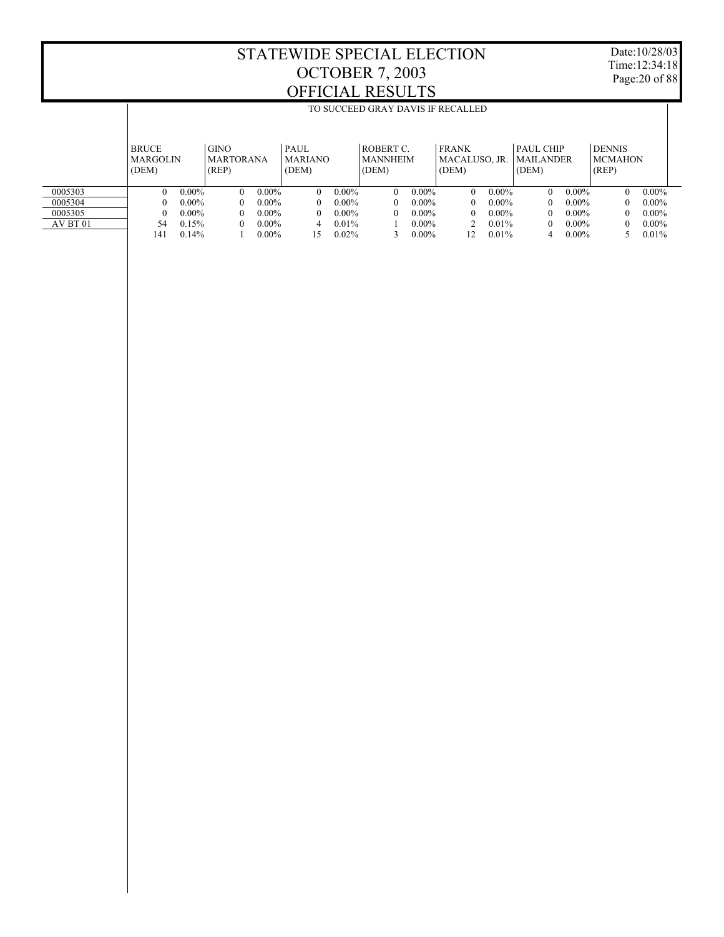T

Date:10/28/03 Time:12:34:18 Page:20 of 88

|          |                 |          |                  |          |                |          | TO SUCCEED GRAY DAVIS IF RECALLED |          |               |          |                  |          |                |          |
|----------|-----------------|----------|------------------|----------|----------------|----------|-----------------------------------|----------|---------------|----------|------------------|----------|----------------|----------|
|          |                 |          |                  |          |                |          |                                   |          |               |          |                  |          |                |          |
|          |                 |          |                  |          |                |          |                                   |          |               |          |                  |          |                |          |
|          | <b>BRUCE</b>    |          | <b>GINO</b>      |          | PAUL           |          | ROBERT C.                         |          | <b>FRANK</b>  |          | PAUL CHIP        |          | <b>DENNIS</b>  |          |
|          | <b>MARGOLIN</b> |          | <b>MARTORANA</b> |          | <b>MARIANO</b> |          | <b>MANNHEIM</b>                   |          | MACALUSO, JR. |          | <b>MAILANDER</b> |          | <b>MCMAHON</b> |          |
|          | (DEM)           |          | (REP)            |          | (DEM)          |          | (DEM)                             |          | (DEM)         |          | (DEM)            |          | (REP)          |          |
|          |                 |          |                  |          |                |          |                                   |          |               |          |                  |          |                |          |
| 0005303  | $\theta$        | $0.00\%$ | $\Omega$         | $0.00\%$ | $\theta$       | $0.00\%$ | $\Omega$                          | $0.00\%$ | $\Omega$      | $0.00\%$ | 0                | $0.00\%$ | 0              | $0.00\%$ |
| 0005304  | $\theta$        | $0.00\%$ | $\theta$         | $0.00\%$ | $\mathbf{0}$   | $0.00\%$ | $\Omega$                          | $0.00\%$ | $\theta$      | $0.00\%$ | 0                | $0.00\%$ | 0              | $0.00\%$ |
| 0005305  | $\theta$        | $0.00\%$ | $\theta$         | $0.00\%$ | $\mathbf{0}$   | $0.00\%$ | $\Omega$                          | $0.00\%$ | 0             | $0.00\%$ | 0                | $0.00\%$ | 0              | $0.00\%$ |
| AV BT 01 | 54              | 0.15%    | $\theta$         | $0.00\%$ | 4              | $0.01\%$ |                                   | $0.00\%$ |               | 0.01%    | 0                | $0.00\%$ | 0              | $0.00\%$ |
|          | 141             | 0.14%    |                  | $0.00\%$ | 15             | $0.02\%$ |                                   | $0.00\%$ | 12            | 0.01%    | 4                | $0.00\%$ |                | 0.01%    |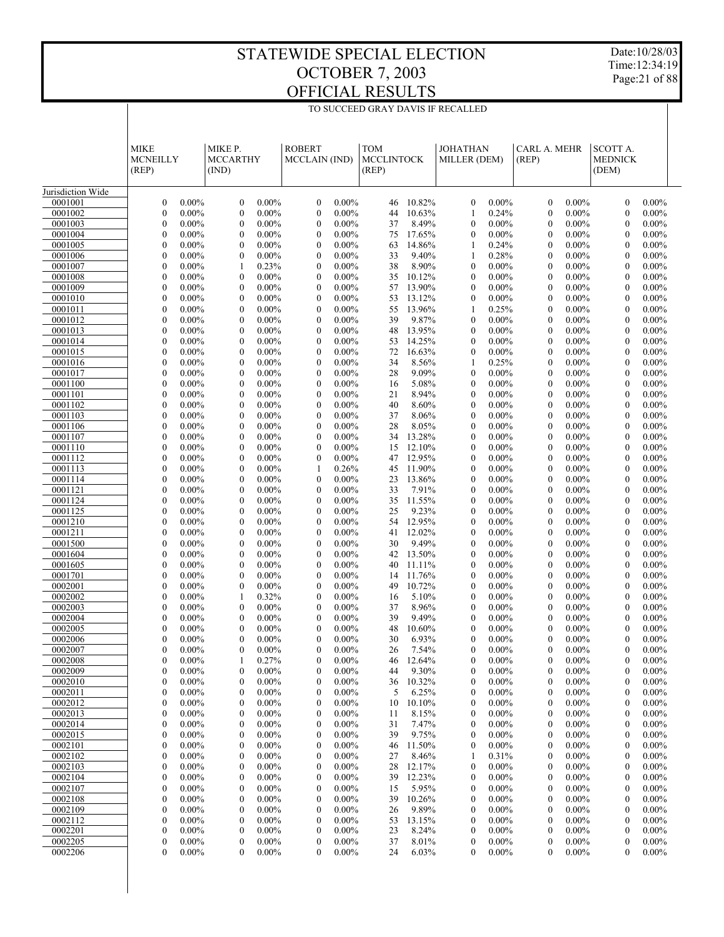Date:10/28/03 Time:12:34:19 Page:21 of 88

|                    | <b>MIKE</b><br><b>MCNEILLY</b><br>(REP)                      | MIKE P.<br><b>MCCARTHY</b><br>(IND)                          | <b>ROBERT</b><br><b>MCCLAIN</b> (IND)                        | <b>TOM</b><br><b>MCCLINTOCK</b><br>(REP) | <b>JOHATHAN</b><br>MILLER (DEM)                              | CARL A. MEHR<br>(REP)                                    | <b>SCOTT A.</b><br><b>MEDNICK</b><br>(DEM)                   |
|--------------------|--------------------------------------------------------------|--------------------------------------------------------------|--------------------------------------------------------------|------------------------------------------|--------------------------------------------------------------|----------------------------------------------------------|--------------------------------------------------------------|
| Jurisdiction Wide  |                                                              |                                                              |                                                              |                                          |                                                              |                                                          |                                                              |
| 0001001            | $0.00\%$                                                     | $0.00\%$                                                     | $0.00\%$                                                     | 10.82%                                   | $0.00\%$                                                     | $0.00\%$                                                 | 0.00%                                                        |
|                    | $\boldsymbol{0}$                                             | $\mathbf{0}$                                                 | $\boldsymbol{0}$                                             | 46                                       | $\boldsymbol{0}$                                             | $\mathbf{0}$                                             | $\mathbf{0}$                                                 |
| 0001002            | $0.00\%$                                                     | $0.00\%$                                                     | $0.00\%$                                                     | 10.63%                                   | 0.24%                                                        | $0.00\%$                                                 | $0.00\%$                                                     |
|                    | $\boldsymbol{0}$                                             | $\boldsymbol{0}$                                             | $\boldsymbol{0}$                                             | 44                                       | 1                                                            | $\mathbf{0}$                                             | $\theta$                                                     |
| 0001003            | $\mathbf{0}$                                                 | $\mathbf{0}$                                                 | $0.00\%$                                                     | 8.49%                                    | $\overline{0}$                                               | $0.00\%$                                                 | $\theta$                                                     |
|                    | $0.00\%$                                                     | $0.00\%$                                                     | $\mathbf{0}$                                                 | 37                                       | $0.00\%$                                                     | $\mathbf{0}$                                             | $0.00\%$                                                     |
| 0001004            | $0.00\%$                                                     | $\mathbf{0}$                                                 | $0.00\%$                                                     | 17.65%                                   | $0.00\%$                                                     | $0.00\%$                                                 | 0.00%                                                        |
|                    | $\boldsymbol{0}$                                             | $0.00\%$                                                     | $\mathbf{0}$                                                 | 75                                       | $\mathbf{0}$                                                 | $\mathbf{0}$                                             | $\mathbf{0}$                                                 |
| 0001005<br>0001006 | $0.00\%$<br>$\mathbf{0}$<br>$0.00\%$<br>$\boldsymbol{0}$     | $0.00\%$<br>$\mathbf{0}$<br>$0.00\%$<br>$\mathbf{0}$         | $0.00\%$<br>$\mathbf{0}$<br>$0.00\%$<br>$\boldsymbol{0}$     | 63<br>14.86%<br>33<br>9.40%              | 0.24%<br>1<br>0.28%<br>1                                     | $0.00\%$<br>$\mathbf{0}$<br>$0.00\%$<br>$\mathbf{0}$     | $\mathbf{0}$<br>$0.00\%$<br>0.00%<br>$\mathbf{0}$            |
| 0001007            | $\mathbf{0}$                                                 | 0.23%                                                        | $0.00\%$                                                     | 38                                       | $\overline{0}$                                               | $0.00\%$                                                 | $\mathbf{0}$                                                 |
|                    | $0.00\%$                                                     | 1                                                            | $\mathbf{0}$                                                 | 8.90%                                    | $0.00\%$                                                     | $\mathbf{0}$                                             | $0.00\%$                                                     |
| 0001008            | $\mathbf{0}$                                                 | $0.00\%$                                                     | $0.00\%$                                                     | 10.12%                                   | $0.00\%$                                                     | $0.00\%$                                                 | 0.00%                                                        |
|                    | $0.00\%$                                                     | $\mathbf{0}$                                                 | $\boldsymbol{0}$                                             | 35                                       | $\boldsymbol{0}$                                             | $\mathbf{0}$                                             | $\mathbf{0}$                                                 |
| 0001009            | $\mathbf{0}$                                                 | $0.00\%$                                                     | $\mathbf{0}$                                                 | 13.90%                                   | $\mathbf{0}$                                                 | $0.00\%$                                                 | $\mathbf{0}$                                                 |
|                    | $0.00\%$                                                     | $\mathbf{0}$                                                 | $0.00\%$                                                     | 57                                       | $0.00\%$                                                     | $\mathbf{0}$                                             | $0.00\%$                                                     |
| 0001010            | $0.00\%$                                                     | $\mathbf{0}$                                                 | $0.00\%$                                                     | 13.12%                                   | $0.00\%$                                                     | $0.00\%$                                                 | 0.00%                                                        |
|                    | $\boldsymbol{0}$                                             | $0.00\%$                                                     | $\boldsymbol{0}$                                             | 53                                       | $\boldsymbol{0}$                                             | $\mathbf{0}$                                             | $\mathbf{0}$                                                 |
| 0001011            | $\mathbf{0}$                                                 | $\mathbf{0}$                                                 | $\mathbf{0}$                                                 | 13.96%                                   | 0.25%                                                        | $0.00\%$                                                 | $\mathbf{0}$                                                 |
|                    | $0.00\%$                                                     | $0.00\%$                                                     | $0.00\%$                                                     | 55                                       | 1                                                            | $\mathbf{0}$                                             | $0.00\%$                                                     |
| 0001012            | $\mathbf{0}$                                                 | $\mathbf{0}$                                                 | $0.00\%$                                                     | 39                                       | $0.00\%$                                                     | $0.00\%$                                                 | 0.00%                                                        |
|                    | $0.00\%$                                                     | $0.00\%$                                                     | $\boldsymbol{0}$                                             | 9.87%                                    | $\mathbf{0}$                                                 | $\mathbf{0}$                                             | $\mathbf{0}$                                                 |
| 0001013            | $\mathbf{0}$                                                 | $0.00\%$                                                     | $\mathbf{0}$                                                 | 13.95%                                   | $\mathbf{0}$                                                 | $0.00\%$                                                 | $\mathbf{0}$                                                 |
|                    | $0.00\%$                                                     | $\mathbf{0}$                                                 | $0.00\%$                                                     | 48                                       | $0.00\%$                                                     | $\mathbf{0}$                                             | $0.00\%$                                                     |
| 0001014            | $\mathbf{0}$                                                 | $\mathbf{0}$                                                 | $0.00\%$                                                     | 14.25%                                   | $0.00\%$                                                     | $0.00\%$                                                 | 0.00%                                                        |
|                    | $0.00\%$                                                     | $0.00\%$                                                     | $\boldsymbol{0}$                                             | 53                                       | $\boldsymbol{0}$                                             | $\mathbf{0}$                                             | $\mathbf{0}$                                                 |
| 0001015            | $\mathbf{0}$                                                 | $\mathbf{0}$                                                 | $\mathbf{0}$                                                 | 16.63%                                   | $0.00\%$                                                     | $0.00\%$                                                 | $\mathbf{0}$                                                 |
|                    | $0.00\%$                                                     | $0.00\%$                                                     | $0.00\%$                                                     | 72                                       | 0                                                            | $\mathbf{0}$                                             | $0.00\%$                                                     |
| 0001016            | $\mathbf{0}$<br>$0.00\%$<br>$\mathbf{0}$<br>$0.00\%$         | $\mathbf{0}$<br>$0.00\%$<br>$\mathbf{0}$                     | $0.00\%$<br>$\mathbf{0}$<br>$\mathbf{0}$                     | 8.56%<br>34<br>9.09%                     | 0.25%<br>1<br>$0.00\%$<br>0                                  | $0.00\%$<br>$\mathbf{0}$<br>$0.00\%$<br>$\mathbf{0}$     | 0.00%<br>$\mathbf{0}$<br>$\mathbf{0}$                        |
| 0001017<br>0001100 | $\mathbf{0}$<br>$0.00\%$                                     | $0.00\%$<br>$\mathbf{0}$<br>$0.00\%$                         | $0.00\%$<br>$0.00\%$<br>$\boldsymbol{0}$                     | 28<br>5.08%<br>16                        | $0.00\%$<br>$\mathbf{0}$                                     | $0.00\%$<br>$\mathbf{0}$                                 | $0.00\%$<br>0.00%<br>$\mathbf{0}$                            |
| 0001101            | $\mathbf{0}$                                                 | $\mathbf{0}$                                                 | $\mathbf{0}$                                                 | 8.94%                                    | $0.00\%$                                                     | $0.00\%$                                                 | $\mathbf{0}$                                                 |
|                    | $0.00\%$                                                     | $0.00\%$                                                     | $0.00\%$                                                     | 21                                       | 0                                                            | $\mathbf{0}$                                             | $0.00\%$                                                     |
| 0001102            | $\mathbf{0}$                                                 | $\mathbf{0}$                                                 | $0.00\%$                                                     | 8.60%                                    | $0.00\%$                                                     | $0.00\%$                                                 | 0.00%                                                        |
|                    | $0.00\%$                                                     | $0.00\%$                                                     | $\mathbf{0}$                                                 | 40                                       | $\boldsymbol{0}$                                             | $\mathbf{0}$                                             | $\mathbf{0}$                                                 |
| 0001103            | $\mathbf{0}$                                                 | $0.00\%$                                                     | $\mathbf{0}$                                                 | 37                                       | $0.00\%$                                                     | $0.00\%$                                                 | $\mathbf{0}$                                                 |
|                    | $0.00\%$                                                     | $\mathbf{0}$                                                 | $0.00\%$                                                     | 8.06%                                    | 0                                                            | $\mathbf{0}$                                             | $0.00\%$                                                     |
| 0001106            | $0.00\%$                                                     | $\mathbf{0}$                                                 | $0.00\%$                                                     | 8.05%                                    | $0.00\%$                                                     | $0.00\%$                                                 | 0.00%                                                        |
|                    | $\boldsymbol{0}$                                             | $0.00\%$                                                     | $\boldsymbol{0}$                                             | 28                                       | $\mathbf{0}$                                                 | $\mathbf{0}$                                             | $\mathbf{0}$                                                 |
| 0001107            | $\mathbf{0}$                                                 | $\mathbf{0}$                                                 | $0.00\%$                                                     | 13.28%                                   | $0.00\%$                                                     | $0.00\%$                                                 | $\mathbf{0}$                                                 |
|                    | $0.00\%$                                                     | $0.00\%$                                                     | $\mathbf{0}$                                                 | 34                                       | 0                                                            | $\mathbf{0}$                                             | $0.00\%$                                                     |
| 0001110            | $\mathbf{0}$                                                 | $\mathbf{0}$                                                 | $0.00\%$                                                     | 12.10%                                   | $0.00\%$                                                     | $0.00\%$                                                 | 0.00%                                                        |
|                    | $0.00\%$                                                     | $0.00\%$                                                     | $\mathbf{0}$                                                 | 15                                       | $\boldsymbol{0}$                                             | $\mathbf{0}$                                             | $\mathbf{0}$                                                 |
| 0001112            | $\mathbf{0}$                                                 | $0.00\%$                                                     | $\mathbf{0}$                                                 | 12.95%                                   | $0.00\%$                                                     | $0.00\%$                                                 | $\mathbf{0}$                                                 |
|                    | $0.00\%$                                                     | $\mathbf{0}$                                                 | $0.00\%$                                                     | 47                                       | 0                                                            | $\mathbf{0}$                                             | $0.00\%$                                                     |
| 0001113            | $\mathbf{0}$                                                 | $\mathbf{0}$                                                 | 1                                                            | 11.90%                                   | $0.00\%$                                                     | $0.00\%$                                                 | 0.00%                                                        |
|                    | $0.00\%$                                                     | $0.00\%$                                                     | 0.26%                                                        | 45                                       | $\boldsymbol{0}$                                             | $\mathbf{0}$                                             | $\mathbf{0}$                                                 |
| 0001114            | $\mathbf{0}$                                                 | $\mathbf{0}$                                                 | $0.00\%$                                                     | 23                                       | $0.00\%$                                                     | $0.00\%$                                                 | $\mathbf{0}$                                                 |
|                    | $0.00\%$                                                     | $0.00\%$                                                     | $\mathbf{0}$                                                 | 13.86%                                   | 0                                                            | $\mathbf{0}$                                             | $0.00\%$                                                     |
| 0001121<br>0001124 | $\mathbf{0}$<br>$0.00\%$<br>$\mathbf{0}$<br>$0.00\%$         | $\mathbf{0}$<br>$0.00\%$<br>$0.00\%$<br>$\mathbf{0}$         | $0.00\%$<br>$\boldsymbol{0}$<br>$\mathbf{0}$<br>$0.00\%$     | 7.91%<br>33<br>11.55%<br>35              | $0.00\%$<br>$\boldsymbol{0}$<br>$0.00\%$<br>$\mathbf{0}$     | $0.00\%$<br>$\mathbf{0}$<br>$0.00\%$<br>$\mathbf{0}$     | 0.00%<br>$\mathbf{0}$<br>$\mathbf{0}$<br>$0.00\%$            |
| 0001125            | $\mathbf{0}$                                                 | $\mathbf{0}$                                                 | $0.00\%$                                                     | 25                                       | $0.00\%$                                                     | $0.00\%$                                                 | 0.00%                                                        |
|                    | $0.00\%$                                                     | $0.00\%$                                                     | $\boldsymbol{0}$                                             | 9.23%                                    | $\mathbf{0}$                                                 | $\mathbf{0}$                                             | $\mathbf{0}$                                                 |
| 0001210            | $\mathbf{0}$                                                 | $\mathbf{0}$                                                 | $\mathbf{0}$                                                 | 12.95%                                   | $0.00\%$                                                     | $0.00\%$                                                 | $\mathbf{0}$                                                 |
|                    | $0.00\%$                                                     | $0.00\%$                                                     | $0.00\%$                                                     | 54                                       | 0                                                            | $\mathbf{0}$                                             | $0.00\%$                                                     |
| 0001211            | $\mathbf{0}$                                                 | $\mathbf{0}$                                                 | $0.00\%$                                                     | 12.02%                                   | $0.00\%$                                                     | $0.00\%$                                                 | 0.00%                                                        |
|                    | $0.00\%$                                                     | $0.00\%$                                                     | $\boldsymbol{0}$                                             | 41                                       | $\mathbf{0}$                                                 | $\mathbf{0}$                                             | $\mathbf{0}$                                                 |
| 0001500            | $\mathbf{0}$                                                 | $0.00\%$                                                     | $\mathbf{0}$                                                 | 9.49%                                    | $0.00\%$                                                     | $0.00\%$                                                 | $\mathbf{0}$                                                 |
|                    | $0.00\%$                                                     | $\mathbf{0}$                                                 | $0.00\%$                                                     | 30                                       | 0                                                            | $\mathbf{0}$                                             | $0.00\%$                                                     |
| 0001604            | $\mathbf{0}$                                                 | $\mathbf{0}$                                                 | $0.00\%$                                                     | 13.50%                                   | $0.00\%$                                                     | $0.00\%$                                                 | 0.00%                                                        |
|                    | $0.00\%$                                                     | $0.00\%$                                                     | $\mathbf{0}$                                                 | 42                                       | $\mathbf{0}$                                                 | $\mathbf{0}$                                             | $\mathbf{0}$                                                 |
| 0001605            | $\mathbf{0}$                                                 | $\mathbf{0}$                                                 | $\mathbf{0}$                                                 | 40                                       | $0.00\%$                                                     | $0.00\%$                                                 | $\mathbf{0}$                                                 |
|                    | $0.00\%$                                                     | $0.00\%$                                                     | $0.00\%$                                                     | 11.11%                                   | 0                                                            | $\mathbf{0}$                                             | $0.00\%$                                                     |
| 0001701            | $\mathbf{0}$                                                 | $\mathbf{0}$                                                 | $\boldsymbol{0}$                                             | 11.76%                                   | $0.00\%$                                                     | $0.00\%$                                                 | 0.00%                                                        |
|                    | $0.00\%$                                                     | $0.00\%$                                                     | $0.00\%$                                                     | 14                                       | $\boldsymbol{0}$                                             | $\mathbf{0}$                                             | $\mathbf{0}$                                                 |
| 0002001            | $\mathbf{0}$                                                 | $0.00\%$                                                     | $\mathbf{0}$                                                 | 10.72%                                   | $0.00\%$                                                     | $0.00\%$                                                 | $\mathbf{0}$                                                 |
|                    | $0.00\%$                                                     | $\mathbf{0}$                                                 | $0.00\%$                                                     | 49                                       | 0                                                            | $\mathbf{0}$                                             | $0.00\%$                                                     |
| 0002002<br>0002003 | $0.00\%$<br>$\boldsymbol{0}$<br>$\mathbf{0}$<br>$0.00\%$     | $\mathbf{1}$<br>0.32%<br>$0.00\%$<br>$\mathbf{0}$            | $\boldsymbol{0}$<br>$0.00\%$<br>$\mathbf{0}$<br>$0.00\%$     | 5.10%<br>16<br>8.96%<br>37               | $0.00\%$<br>$\mathbf{0}$<br>$0.00\%$<br>0                    | $0.00\%$<br>$\mathbf{0}$<br>$0.00\%$<br>$\mathbf{0}$     | 0.00%<br>$\mathbf{0}$<br>$\mathbf{0}$<br>$0.00\%$            |
| 0002004            | $\boldsymbol{0}$                                             | $\mathbf{0}$                                                 | $\mathbf{0}$                                                 | 39                                       | $0.00\%$                                                     | $0.00\%$                                                 | 0.00%                                                        |
|                    | $0.00\%$                                                     | $0.00\%$                                                     | $0.00\%$                                                     | 9.49%                                    | $\boldsymbol{0}$                                             | $\mathbf{0}$                                             | $\boldsymbol{0}$                                             |
| 0002005            | $\mathbf{0}$                                                 | $\mathbf{0}$                                                 | $\mathbf{0}$                                                 | 48                                       | $0.00\%$                                                     | $0.00\%$                                                 | 0.00%                                                        |
|                    | $0.00\%$                                                     | $0.00\%$                                                     | $0.00\%$                                                     | 10.60%                                   | 0                                                            | $\mathbf{0}$                                             | $\mathbf{0}$                                                 |
| 0002006            | $\mathbf{0}$                                                 | $\mathbf{0}$                                                 | $\boldsymbol{0}$                                             | 6.93%                                    | $\mathbf{0}$                                                 | $0.00\%$                                                 | 0.00%                                                        |
|                    | $0.00\%$                                                     | $0.00\%$                                                     | $0.00\%$                                                     | 30                                       | $0.00\%$                                                     | $\mathbf{0}$                                             | $\mathbf{0}$                                                 |
| 0002007            | $\mathbf{0}$                                                 | $\mathbf{0}$                                                 | $\mathbf{0}$                                                 | 7.54%                                    | $\overline{0}$                                               | $0.00\%$                                                 | 0.00%                                                        |
|                    | $0.00\%$                                                     | $0.00\%$                                                     | $0.00\%$                                                     | 26                                       | $0.00\%$                                                     | $\mathbf{0}$                                             | $\mathbf{0}$                                                 |
| 0002008            | $\boldsymbol{0}$<br>$0.00\%$                                 | $0.27\%$                                                     | $\boldsymbol{0}$<br>$0.00\%$                                 | 46<br>12.64%                             | $\bf{0}$<br>$0.00\%$                                         | $\boldsymbol{0}$<br>$0.00\%$                             | $\boldsymbol{0}$<br>$0.00\%$                                 |
| 0002009            | $\boldsymbol{0}$                                             | $0.00\%$                                                     | $0.00\%$                                                     | 9.30%                                    | 0                                                            | $\boldsymbol{0}$                                         | $\boldsymbol{0}$                                             |
|                    | $0.00\%$                                                     | $\boldsymbol{0}$                                             | $\boldsymbol{0}$                                             | 44                                       | $0.00\%$                                                     | $0.00\%$                                                 | $0.00\%$                                                     |
| 0002010            | $0.00\%$                                                     | $0.00\%$                                                     | $\boldsymbol{0}$                                             | 10.32%                                   | $0.00\%$                                                     | $0.00\%$                                                 | $\boldsymbol{0}$                                             |
|                    | $\boldsymbol{0}$                                             | $\boldsymbol{0}$                                             | $0.00\%$                                                     | 36                                       | $\boldsymbol{0}$                                             | $\mathbf{0}$                                             | $0.00\%$                                                     |
| 0002011            | $\boldsymbol{0}$                                             | $0.00\%$                                                     | $0.00\%$                                                     | 6.25%                                    | 0                                                            | $\boldsymbol{0}$                                         | $\boldsymbol{0}$                                             |
|                    | $0.00\%$                                                     | $\boldsymbol{0}$                                             | $\boldsymbol{0}$                                             | 5                                        | $0.00\%$                                                     | $0.00\%$                                                 | $0.00\%$                                                     |
| 0002012            | $\boldsymbol{0}$                                             | $0.00\%$                                                     | $\boldsymbol{0}$                                             | 10                                       | $\boldsymbol{0}$                                             | $\mathbf{0}$                                             | $\boldsymbol{0}$                                             |
|                    | $0.00\%$                                                     | $\boldsymbol{0}$                                             | $0.00\%$                                                     | 10.10%                                   | $0.00\%$                                                     | $0.00\%$                                                 | $0.00\%$                                                     |
| 0002013<br>0002014 | $\boldsymbol{0}$<br>$0.00\%$<br>$\boldsymbol{0}$<br>$0.00\%$ | $0.00\%$<br>$\boldsymbol{0}$<br>$0.00\%$<br>$\boldsymbol{0}$ | $0.00\%$<br>$\boldsymbol{0}$<br>$\boldsymbol{0}$<br>$0.00\%$ | 8.15%<br>11<br>7.47%<br>31               | $\mathbf{0}$<br>$0.00\%$<br>$\boldsymbol{0}$<br>$0.00\%$     | $\boldsymbol{0}$<br>$0.00\%$<br>$0.00\%$<br>$\mathbf{0}$ | $\boldsymbol{0}$<br>$0.00\%$<br>$\boldsymbol{0}$<br>$0.00\%$ |
| 0002015            | $\boldsymbol{0}$                                             | $0.00\%$                                                     | $0.00\%$                                                     | 9.75%                                    | $\boldsymbol{0}$                                             | $0.00\%$                                                 | $\boldsymbol{0}$                                             |
|                    | $0.00\%$                                                     | $\boldsymbol{0}$                                             | $\boldsymbol{0}$                                             | 39                                       | $0.00\%$                                                     | $\boldsymbol{0}$                                         | $0.00\%$                                                     |
| 0002101            | $\boldsymbol{0}$                                             | $0.00\%$                                                     | $\boldsymbol{0}$                                             | 11.50%                                   | $0.00\%$                                                     | $0.00\%$                                                 | $\boldsymbol{0}$                                             |
|                    | $0.00\%$                                                     | $\boldsymbol{0}$                                             | $0.00\%$                                                     | 46                                       | $\boldsymbol{0}$                                             | $\mathbf{0}$                                             | $0.00\%$                                                     |
| 0002102            | $\boldsymbol{0}$                                             | $0.00\%$                                                     | $0.00\%$                                                     | 27                                       | 0.31%                                                        | $0.00\%$                                                 | $\boldsymbol{0}$                                             |
|                    | $0.00\%$                                                     | $\boldsymbol{0}$                                             | $\boldsymbol{0}$                                             | 8.46%                                    | 1                                                            | $\boldsymbol{0}$                                         | $0.00\%$                                                     |
| 0002103            | $\boldsymbol{0}$                                             | $0.00\%$                                                     | $\boldsymbol{0}$                                             | 28                                       | $\boldsymbol{0}$                                             | $\mathbf{0}$                                             | $\boldsymbol{0}$                                             |
|                    | $0.00\%$                                                     | $\boldsymbol{0}$                                             | $0.00\%$                                                     | 12.17%                                   | $0.00\%$                                                     | $0.00\%$                                                 | $0.00\%$                                                     |
| 0002104            | $\boldsymbol{0}$                                             | $0.00\%$                                                     | $0.00\%$                                                     | 12.23%                                   | $\boldsymbol{0}$                                             | $0.00\%$                                                 | $\boldsymbol{0}$                                             |
|                    | $0.00\%$                                                     | $\boldsymbol{0}$                                             | $\boldsymbol{0}$                                             | 39                                       | $0.00\%$                                                     | $\bf{0}$                                                 | $0.00\%$                                                     |
| 0002107            | $\boldsymbol{0}$                                             | $0.00\%$                                                     | $0.00\%$                                                     | 5.95%                                    | $0.00\%$                                                     | $\mathbf{0}$                                             | $0.00\%$                                                     |
|                    | $0.00\%$                                                     | $\boldsymbol{0}$                                             | $\boldsymbol{0}$                                             | 15                                       | $\boldsymbol{0}$                                             | $0.00\%$                                                 | $\boldsymbol{0}$                                             |
| 0002108            | $\boldsymbol{0}$                                             | $0.00\%$                                                     | $0.00\%$                                                     | 39                                       | $\mathbf{0}$                                                 | $\boldsymbol{0}$                                         | $\mathbf{0}$                                                 |
|                    | $0.00\%$                                                     | $\boldsymbol{0}$                                             | $\boldsymbol{0}$                                             | 10.26%                                   | $0.00\%$                                                     | $0.00\%$                                                 | $0.00\%$                                                     |
| 0002109            | $\boldsymbol{0}$                                             | $0.00\%$                                                     | $\boldsymbol{0}$                                             | 9.89%                                    | $\boldsymbol{0}$                                             | $\mathbf{0}$                                             | $\boldsymbol{0}$                                             |
|                    | $0.00\%$                                                     | $\boldsymbol{0}$                                             | $0.00\%$                                                     | 26                                       | $0.00\%$                                                     | $0.00\%$                                                 | $0.00\%$                                                     |
| 0002112            | $\boldsymbol{0}$<br>$0.00\%$                                 | $0.00\%$<br>$\boldsymbol{0}$                                 | $0.00\%$<br>$\boldsymbol{0}$                                 | 53<br>13.15%                             | 0<br>$0.00\%$                                                | $\bf{0}$<br>$0.00\%$<br>$0.00\%$                         | $\boldsymbol{0}$<br>$0.00\%$                                 |
| 0002201<br>0002205 | $\boldsymbol{0}$<br>$0.00\%$<br>$\mathbf{0}$<br>$0.00\%$     | $0.00\%$<br>$\boldsymbol{0}$<br>$\mathbf{0}$<br>$0.00\%$     | $\boldsymbol{0}$<br>$0.00\%$<br>$\mathbf{0}$<br>$0.00\%$     | 23<br>8.24%<br>37<br>8.01%               | $\boldsymbol{0}$<br>$0.00\%$<br>$\boldsymbol{0}$<br>$0.00\%$ | $\bf{0}$<br>$\boldsymbol{0}$<br>$0.00\%$                 | $\boldsymbol{0}$<br>$0.00\%$<br>0<br>0.00%                   |
|                    |                                                              |                                                              |                                                              |                                          |                                                              |                                                          |                                                              |

 $0 \quad 0.00\%$   $0 \quad 0.00\%$   $0 \quad 0.00\%$   $24 \quad 6.03\%$   $0 \quad 0.00\%$   $0 \quad 0.00\%$   $0 \quad 0.00\%$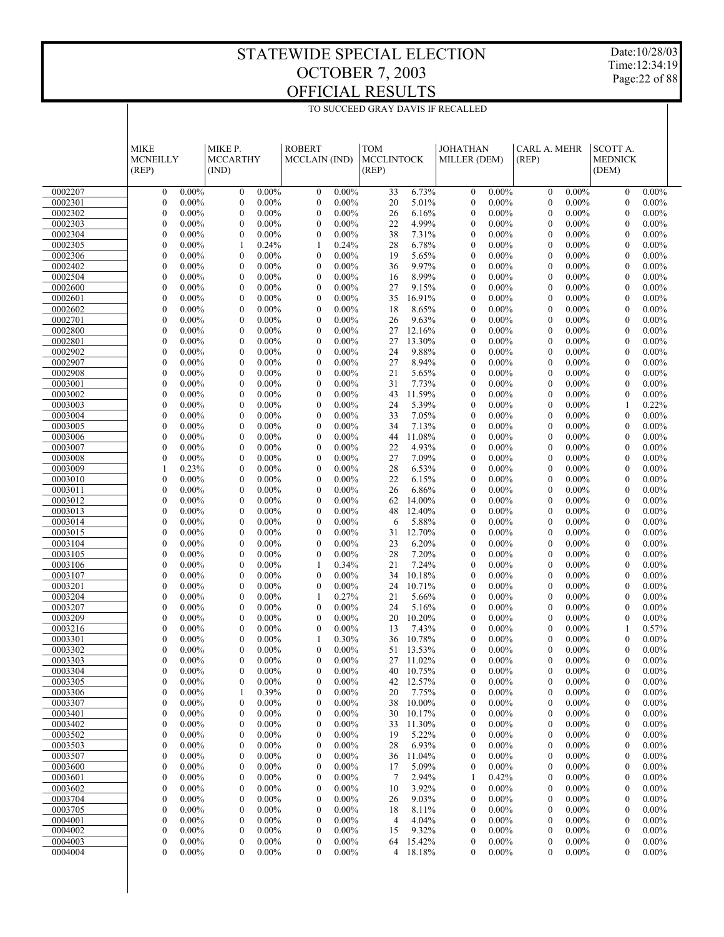Date:10/28/03 Time:12:34:19 Page:22 of 88

|                    | <b>MIKE</b><br><b>MCNEILLY</b><br>(REP)                      | MIKE P.<br><b>MCCARTHY</b><br>(IND)                          | <b>ROBERT</b><br>MCCLAIN (IND)                               | <b>TOM</b><br><b>MCCLINTOCK</b><br>(REP) | <b>JOHATHAN</b><br>MILLER (DEM)                      | <b>CARL A. MEHR</b><br>(REP)                                 | <b>SCOTT A.</b><br><b>MEDNICK</b><br>(DEM)                   |  |
|--------------------|--------------------------------------------------------------|--------------------------------------------------------------|--------------------------------------------------------------|------------------------------------------|------------------------------------------------------|--------------------------------------------------------------|--------------------------------------------------------------|--|
| 0002207            | $\mathbf{0}$<br>$0.00\%$                                     | $\mathbf{0}$<br>$0.00\%$                                     | $\mathbf{0}$<br>$0.00\%$                                     | 6.73%<br>33                              | $\mathbf{0}$<br>$0.00\%$                             | $\mathbf{0}$<br>$0.00\%$                                     | $0.00\%$<br>$\mathbf{0}$                                     |  |
| 0002301            | $\mathbf{0}$<br>$0.00\%$                                     | $\mathbf{0}$<br>$0.00\%$                                     | $\mathbf{0}$<br>$0.00\%$                                     | 20<br>5.01%                              | $\mathbf{0}$<br>$0.00\%$                             | $\mathbf{0}$<br>$0.00\%$                                     | $\overline{0}$<br>$0.00\%$                                   |  |
| 0002302            | $\mathbf{0}$<br>$0.00\%$                                     | $\mathbf{0}$<br>$0.00\%$                                     | $\mathbf{0}$<br>$0.00\%$                                     | 26<br>6.16%                              | $\mathbf{0}$<br>$0.00\%$                             | $\mathbf{0}$<br>$0.00\%$                                     | $\mathbf{0}$<br>$0.00\%$                                     |  |
| 0002303            | $\mathbf{0}$<br>$0.00\%$                                     | $\mathbf{0}$<br>$0.00\%$                                     | $\mathbf{0}$<br>$0.00\%$                                     | 22<br>4.99%                              | $\mathbf{0}$<br>$0.00\%$                             | $\mathbf{0}$<br>$0.00\%$                                     | $\overline{0}$<br>$0.00\%$                                   |  |
| 0002304            | $\mathbf{0}$<br>$0.00\%$                                     | $\mathbf{0}$<br>$0.00\%$                                     | $\mathbf{0}$<br>$0.00\%$                                     | 38<br>7.31%                              | $\mathbf{0}$<br>$0.00\%$                             | $\mathbf{0}$<br>$0.00\%$                                     | $\mathbf{0}$<br>$0.00\%$                                     |  |
| 0002305            | $\mathbf{0}$<br>$0.00\%$                                     | 0.24%<br>1                                                   | 0.24%<br>1                                                   | 28<br>6.78%                              | $\mathbf{0}$<br>$0.00\%$                             | $\mathbf{0}$<br>$0.00\%$                                     | $\overline{0}$<br>$0.00\%$                                   |  |
| 0002306            | $\mathbf{0}$<br>$0.00\%$                                     | $\mathbf{0}$<br>$0.00\%$                                     | $\mathbf{0}$<br>$0.00\%$                                     | 19<br>5.65%                              | $\mathbf{0}$<br>$0.00\%$                             | $\mathbf{0}$<br>$0.00\%$                                     | $\mathbf{0}$<br>$0.00\%$                                     |  |
| 0002402            | $\mathbf{0}$<br>$0.00\%$                                     | $\mathbf{0}$<br>$0.00\%$                                     | $\mathbf{0}$<br>$0.00\%$                                     | 9.97%<br>36                              | $\mathbf{0}$<br>$0.00\%$                             | $\mathbf{0}$<br>$0.00\%$                                     | $\overline{0}$<br>$0.00\%$                                   |  |
| 0002504            | $\mathbf{0}$<br>$0.00\%$                                     | $\mathbf{0}$<br>$0.00\%$                                     | $\mathbf{0}$<br>$0.00\%$                                     | 8.99%<br>16                              | $\mathbf{0}$<br>$0.00\%$                             | $\mathbf{0}$<br>$0.00\%$                                     | $\mathbf{0}$<br>$0.00\%$                                     |  |
| 0002600            | $\mathbf{0}$<br>$0.00\%$                                     | $\mathbf{0}$<br>$0.00\%$                                     | $\mathbf{0}$<br>$0.00\%$                                     | 27<br>9.15%                              | $\mathbf{0}$<br>$0.00\%$                             | $\mathbf{0}$<br>$0.00\%$                                     | $\overline{0}$<br>$0.00\%$                                   |  |
| 0002601<br>0002602 | $\mathbf{0}$<br>$0.00\%$<br>$\mathbf{0}$<br>$0.00\%$         | $\mathbf{0}$<br>$0.00\%$<br>$\mathbf{0}$<br>$0.00\%$         | $\mathbf{0}$<br>$0.00\%$<br>$\mathbf{0}$<br>$0.00\%$         | 35<br>16.91%<br>18<br>8.65%              | $\mathbf{0}$<br>$0.00\%$<br>$\mathbf{0}$<br>$0.00\%$ | $\mathbf{0}$<br>$0.00\%$<br>$\mathbf{0}$<br>$0.00\%$         | $\mathbf{0}$<br>$0.00\%$<br>$\overline{0}$<br>$0.00\%$       |  |
| 0002701            | $\mathbf{0}$<br>$0.00\%$                                     | $\mathbf{0}$<br>$0.00\%$                                     | $\mathbf{0}$<br>$0.00\%$                                     | 26<br>9.63%                              | $\mathbf{0}$<br>$0.00\%$                             | $\mathbf{0}$<br>$0.00\%$                                     | $\mathbf{0}$<br>$0.00\%$                                     |  |
| 0002800            | $\mathbf{0}$<br>$0.00\%$                                     | $\mathbf{0}$<br>$0.00\%$                                     | $\mathbf{0}$<br>$0.00\%$                                     | 27<br>12.16%                             | $\mathbf{0}$<br>$0.00\%$                             | $\mathbf{0}$<br>$0.00\%$                                     | $\overline{0}$<br>$0.00\%$                                   |  |
| 0002801            | $\mathbf{0}$<br>$0.00\%$                                     | $\mathbf{0}$<br>$0.00\%$                                     | $\mathbf{0}$<br>$0.00\%$                                     | 27<br>13.30%                             | $\mathbf{0}$<br>$0.00\%$                             | $\mathbf{0}$<br>$0.00\%$                                     | $\mathbf{0}$<br>$0.00\%$                                     |  |
| 0002902            | $\mathbf{0}$<br>$0.00\%$                                     | $\mathbf{0}$<br>$0.00\%$                                     | $\mathbf{0}$<br>$0.00\%$                                     | 24<br>9.88%                              | $\mathbf{0}$<br>$0.00\%$                             | $\mathbf{0}$<br>$0.00\%$                                     | $\overline{0}$<br>$0.00\%$                                   |  |
| 0002907            | $\mathbf{0}$<br>$0.00\%$                                     | $\mathbf{0}$<br>$0.00\%$                                     | $\mathbf{0}$<br>$0.00\%$                                     | 27<br>8.94%                              | $\mathbf{0}$<br>$0.00\%$                             | $\mathbf{0}$<br>$0.00\%$                                     | $\mathbf{0}$<br>$0.00\%$                                     |  |
| 0002908            | $\mathbf{0}$<br>$0.00\%$                                     | $\mathbf{0}$<br>$0.00\%$                                     | $\mathbf{0}$<br>$0.00\%$                                     | 21<br>5.65%                              | $\mathbf{0}$<br>$0.00\%$                             | $\mathbf{0}$<br>$0.00\%$                                     | $\overline{0}$<br>$0.00\%$                                   |  |
| 0003001            | $\mathbf{0}$<br>$0.00\%$                                     | $\mathbf{0}$<br>$0.00\%$                                     | $\mathbf{0}$<br>$0.00\%$                                     | 7.73%<br>31                              | $\mathbf{0}$<br>$0.00\%$                             | $\mathbf{0}$<br>$0.00\%$                                     | $\mathbf{0}$<br>$0.00\%$                                     |  |
| 0003002            | $\mathbf{0}$<br>$0.00\%$                                     | $\mathbf{0}$<br>$0.00\%$                                     | $\mathbf{0}$<br>$0.00\%$                                     | 43<br>11.59%                             | $\mathbf{0}$<br>$0.00\%$                             | $\mathbf{0}$<br>$0.00\%$                                     | $\overline{0}$<br>$0.00\%$                                   |  |
| 0003003            | $\mathbf{0}$<br>$0.00\%$                                     | $\mathbf{0}$<br>$0.00\%$                                     | $\mathbf{0}$<br>$0.00\%$                                     | 5.39%<br>24                              | $\mathbf{0}$<br>$0.00\%$                             | $\mathbf{0}$<br>$0.00\%$                                     | $\mathbf{1}$<br>0.22%                                        |  |
| 0003004<br>0003005 | $\mathbf{0}$<br>$0.00\%$<br>$\mathbf{0}$<br>$0.00\%$         | $\mathbf{0}$<br>$0.00\%$<br>$\mathbf{0}$<br>$0.00\%$         | $\mathbf{0}$<br>$0.00\%$<br>$\mathbf{0}$<br>$0.00\%$         | 33<br>7.05%<br>7.13%<br>34               | $\mathbf{0}$<br>$0.00\%$<br>$\mathbf{0}$<br>$0.00\%$ | $\mathbf{0}$<br>$0.00\%$<br>$\mathbf{0}$<br>$0.00\%$         | $\mathbf{0}$<br>$0.00\%$<br>$\mathbf{0}$<br>$0.00\%$         |  |
| 0003006            | $\mathbf{0}$<br>$0.00\%$                                     | $\mathbf{0}$<br>$0.00\%$                                     | $\mathbf{0}$<br>$0.00\%$                                     | 11.08%<br>44                             | $\mathbf{0}$<br>$0.00\%$                             | $\mathbf{0}$<br>$0.00\%$                                     | $\overline{0}$<br>$0.00\%$                                   |  |
| 0003007            | $\mathbf{0}$<br>$0.00\%$                                     | $\mathbf{0}$<br>$0.00\%$                                     | $\mathbf{0}$<br>$0.00\%$                                     | 22<br>4.93%                              | $\mathbf{0}$<br>$0.00\%$                             | $\mathbf{0}$<br>$0.00\%$                                     | $\mathbf{0}$<br>$0.00\%$                                     |  |
| 0003008            | $\mathbf{0}$<br>$0.00\%$                                     | $\mathbf{0}$<br>$0.00\%$                                     | $\mathbf{0}$<br>$0.00\%$                                     | 27<br>7.09%                              | $\mathbf{0}$<br>$0.00\%$                             | $\mathbf{0}$<br>$0.00\%$                                     | $\overline{0}$<br>$0.00\%$                                   |  |
| 0003009            | 0.23%<br>$\mathbf{1}$                                        | $\mathbf{0}$<br>$0.00\%$                                     | $\mathbf{0}$<br>$0.00\%$                                     | 28<br>6.53%                              | $\mathbf{0}$<br>$0.00\%$                             | $\mathbf{0}$<br>$0.00\%$                                     | $\mathbf{0}$<br>$0.00\%$                                     |  |
| 0003010            | $\mathbf{0}$<br>$0.00\%$                                     | $\mathbf{0}$<br>$0.00\%$                                     | $\mathbf{0}$<br>$0.00\%$                                     | 22<br>6.15%                              | $\mathbf{0}$<br>$0.00\%$                             | $\mathbf{0}$<br>$0.00\%$                                     | $\overline{0}$<br>$0.00\%$                                   |  |
| 0003011            | $\mathbf{0}$<br>$0.00\%$                                     | $\mathbf{0}$<br>$0.00\%$                                     | $\mathbf{0}$<br>$0.00\%$                                     | 6.86%<br>26                              | $\mathbf{0}$<br>$0.00\%$                             | $\mathbf{0}$<br>$0.00\%$                                     | $\mathbf{0}$<br>$0.00\%$                                     |  |
| 0003012            | $\mathbf{0}$<br>$0.00\%$                                     | $\mathbf{0}$<br>$0.00\%$                                     | $\mathbf{0}$<br>$0.00\%$                                     | 14.00%<br>62                             | $\mathbf{0}$<br>$0.00\%$                             | $\mathbf{0}$<br>$0.00\%$                                     | $\overline{0}$<br>$0.00\%$                                   |  |
| 0003013            | $\mathbf{0}$<br>$0.00\%$                                     | $\mathbf{0}$<br>$0.00\%$                                     | $\mathbf{0}$<br>$0.00\%$                                     | 48<br>12.40%                             | $\mathbf{0}$<br>$0.00\%$                             | $\mathbf{0}$<br>$0.00\%$                                     | $\mathbf{0}$<br>$0.00\%$                                     |  |
| 0003014            | $\mathbf{0}$<br>$0.00\%$                                     | $\mathbf{0}$<br>$0.00\%$                                     | $\mathbf{0}$<br>$0.00\%$                                     | 6<br>5.88%                               | $\mathbf{0}$<br>$0.00\%$                             | $\mathbf{0}$<br>$0.00\%$                                     | $\overline{0}$<br>$0.00\%$                                   |  |
| 0003015<br>0003104 | $\mathbf{0}$<br>$0.00\%$<br>$\mathbf{0}$<br>$0.00\%$         | $\mathbf{0}$<br>$0.00\%$<br>$\mathbf{0}$<br>$0.00\%$         | $\mathbf{0}$<br>$0.00\%$<br>$\mathbf{0}$<br>$0.00\%$         | 12.70%<br>31<br>23<br>6.20%              | $\mathbf{0}$<br>$0.00\%$<br>$\mathbf{0}$<br>$0.00\%$ | $\mathbf{0}$<br>$0.00\%$<br>$\mathbf{0}$<br>$0.00\%$         | $\mathbf{0}$<br>$0.00\%$<br>$\overline{0}$<br>$0.00\%$       |  |
| 0003105            | $\mathbf{0}$<br>$0.00\%$                                     | $\mathbf{0}$<br>$0.00\%$                                     | $\mathbf{0}$<br>$0.00\%$                                     | 28<br>7.20%                              | $\mathbf{0}$<br>$0.00\%$                             | $\mathbf{0}$<br>$0.00\%$                                     | $\mathbf{0}$<br>$0.00\%$                                     |  |
| 0003106            | $\mathbf{0}$<br>$0.00\%$                                     | $\mathbf{0}$<br>$0.00\%$                                     | 0.34%<br>1                                                   | 21<br>7.24%                              | $\mathbf{0}$<br>$0.00\%$                             | $\mathbf{0}$<br>$0.00\%$                                     | $\overline{0}$<br>$0.00\%$                                   |  |
| 0003107            | $\mathbf{0}$<br>$0.00\%$                                     | $\mathbf{0}$<br>$0.00\%$                                     | $\mathbf{0}$<br>$0.00\%$                                     | 10.18%<br>34                             | $\mathbf{0}$<br>$0.00\%$                             | $\mathbf{0}$<br>$0.00\%$                                     | $\mathbf{0}$<br>$0.00\%$                                     |  |
| 0003201            | $\mathbf{0}$<br>$0.00\%$                                     | $\mathbf{0}$<br>$0.00\%$                                     | $\mathbf{0}$<br>$0.00\%$                                     | 24<br>10.71%                             | $\mathbf{0}$<br>$0.00\%$                             | $\mathbf{0}$<br>$0.00\%$                                     | $\overline{0}$<br>$0.00\%$                                   |  |
| 0003204            | $\mathbf{0}$<br>$0.00\%$                                     | $\mathbf{0}$<br>$0.00\%$                                     | 0.27%<br>1                                                   | 21<br>5.66%                              | $\mathbf{0}$<br>$0.00\%$                             | $\mathbf{0}$<br>$0.00\%$                                     | $\mathbf{0}$<br>$0.00\%$                                     |  |
| 0003207            | $\mathbf{0}$<br>$0.00\%$                                     | $\mathbf{0}$<br>$0.00\%$                                     | $\mathbf{0}$<br>$0.00\%$                                     | 24<br>5.16%                              | $\mathbf{0}$<br>$0.00\%$                             | $\mathbf{0}$<br>$0.00\%$                                     | $\mathbf{0}$<br>$0.00\%$                                     |  |
| 0003209            | $\mathbf{0}$<br>$0.00\%$                                     | $\mathbf{0}$<br>$0.00\%$                                     | $\mathbf{0}$<br>$0.00\%$                                     | 20<br>10.20%                             | $\mathbf{0}$<br>$0.00\%$                             | $\mathbf{0}$<br>$0.00\%$                                     | $\mathbf{0}$<br>$0.00\%$                                     |  |
| 0003216            | $\mathbf{0}$<br>$0.00\%$                                     | $\mathbf{0}$<br>$0.00\%$                                     | $\mathbf{0}$<br>$0.00\%$                                     | 7.43%<br>13                              | $\mathbf{0}$<br>$0.00\%$                             | $\mathbf{0}$<br>$0.00\%$                                     | 0.57%<br>1                                                   |  |
| 0003301            | $\theta$<br>$0.00\%$<br>$\theta$                             | $\theta$<br>$0.00\%$<br>$\theta$                             | 0.30%<br>1<br>$\mathbf{0}$                                   | 36<br>10.78%<br>51                       | $\theta$<br>$0.00\%$<br>$\theta$                     | $\theta$<br>$0.00\%$<br>$\theta$                             | $\theta$<br>$0.00\%$<br>$\theta$                             |  |
| 0003302<br>0003303 | $0.00\%$<br>$\boldsymbol{0}$<br>0.00%                        | $0.00\%$<br>$\boldsymbol{0}$<br>$0.00\%$                     | $0.00\%$<br>$\mathbf{0}$<br>$0.00\%$                         | 13.53%<br>27 11.02%                      | $0.00\%$<br>$\boldsymbol{0}$<br>0.00%                | $0.00\%$<br>$\boldsymbol{0}$<br>0.00%                        | $0.00\%$<br>$\overline{0}$<br>$0.00\%$                       |  |
| 0003304            | $0.00\%$<br>$\mathbf{0}$                                     | $\boldsymbol{0}$<br>$0.00\%$                                 | $0.00\%$<br>$\boldsymbol{0}$                                 | 10.75%<br>40                             | $0.00\%$<br>$\boldsymbol{0}$                         | $\boldsymbol{0}$<br>$0.00\%$                                 | $0.00\%$<br>$\boldsymbol{0}$                                 |  |
| 0003305            | $\mathbf{0}$<br>$0.00\%$                                     | $0.00\%$<br>$\boldsymbol{0}$                                 | $\boldsymbol{0}$<br>$0.00\%$                                 | 12.57%<br>42                             | $0.00\%$<br>$\boldsymbol{0}$                         | $0.00\%$<br>$\boldsymbol{0}$                                 | $0.00\%$<br>$\boldsymbol{0}$                                 |  |
| 0003306            | $\boldsymbol{0}$<br>$0.00\%$                                 | 0.39%<br>1                                                   | $\boldsymbol{0}$<br>$0.00\%$                                 | 20<br>7.75%                              | $\boldsymbol{0}$<br>$0.00\%$                         | $\boldsymbol{0}$<br>$0.00\%$                                 | $0.00\%$<br>$\boldsymbol{0}$                                 |  |
| 0003307            | $0.00\%$<br>$\boldsymbol{0}$                                 | $\boldsymbol{0}$<br>$0.00\%$                                 | $0.00\%$<br>$\boldsymbol{0}$                                 | 38<br>10.00%                             | $0.00\%$<br>$\boldsymbol{0}$                         | $\boldsymbol{0}$<br>$0.00\%$                                 | $0.00\%$<br>$\boldsymbol{0}$                                 |  |
| 0003401            | $\boldsymbol{0}$<br>$0.00\%$                                 | $\boldsymbol{0}$<br>$0.00\%$                                 | $\boldsymbol{0}$<br>$0.00\%$                                 | 10.17%<br>30                             | $\boldsymbol{0}$<br>$0.00\%$                         | $\boldsymbol{0}$<br>$0.00\%$                                 | $0.00\%$<br>$\boldsymbol{0}$                                 |  |
| 0003402            | $\boldsymbol{0}$<br>$0.00\%$                                 | $\boldsymbol{0}$<br>$0.00\%$                                 | $0.00\%$<br>$\boldsymbol{0}$                                 | 11.30%<br>33                             | $0.00\%$<br>$\boldsymbol{0}$                         | $\boldsymbol{0}$<br>$0.00\%$                                 | $0.00\%$<br>$\boldsymbol{0}$                                 |  |
| 0003502            | $\boldsymbol{0}$<br>$0.00\%$                                 | $\boldsymbol{0}$<br>$0.00\%$                                 | $0.00\%$<br>$\boldsymbol{0}$                                 | 5.22%<br>19                              | $0.00\%$<br>$\boldsymbol{0}$                         | $\boldsymbol{0}$<br>$0.00\%$                                 | $0.00\%$<br>$\boldsymbol{0}$                                 |  |
| 0003503            | $\boldsymbol{0}$<br>$0.00\%$                                 | $\boldsymbol{0}$<br>$0.00\%$                                 | $0.00\%$<br>$\boldsymbol{0}$                                 | 6.93%<br>28                              | $0.00\%$<br>$\boldsymbol{0}$                         | $\boldsymbol{0}$<br>$0.00\%$                                 | $0.00\%$<br>$\boldsymbol{0}$                                 |  |
| 0003507            | $\boldsymbol{0}$<br>$0.00\%$                                 | $\boldsymbol{0}$<br>$0.00\%$                                 | $\boldsymbol{0}$<br>$0.00\%$                                 | 11.04%<br>36                             | $\boldsymbol{0}$<br>$0.00\%$                         | $\boldsymbol{0}$<br>$0.00\%$                                 | $0.00\%$<br>$\boldsymbol{0}$                                 |  |
| 0003600            | $\boldsymbol{0}$<br>$0.00\%$                                 | $\boldsymbol{0}$<br>$0.00\%$                                 | $0.00\%$<br>$\boldsymbol{0}$                                 | 5.09%<br>17                              | $0.00\%$<br>$\boldsymbol{0}$                         | $\boldsymbol{0}$<br>$0.00\%$                                 | $0.00\%$<br>$\boldsymbol{0}$                                 |  |
| 0003601<br>0003602 | $\boldsymbol{0}$<br>$0.00\%$<br>$0.00\%$<br>$\boldsymbol{0}$ | $\boldsymbol{0}$<br>$0.00\%$<br>$\boldsymbol{0}$<br>$0.00\%$ | $\boldsymbol{0}$<br>$0.00\%$<br>$0.00\%$<br>$\boldsymbol{0}$ | 2.94%<br>7<br>3.92%<br>10                | 0.42%<br>1<br>$0.00\%$<br>$\boldsymbol{0}$           | $\boldsymbol{0}$<br>$0.00\%$<br>$\boldsymbol{0}$<br>$0.00\%$ | $0.00\%$<br>$\boldsymbol{0}$<br>$0.00\%$<br>$\boldsymbol{0}$ |  |
| 0003704            | $\boldsymbol{0}$<br>$0.00\%$                                 | $\boldsymbol{0}$<br>$0.00\%$                                 | $\boldsymbol{0}$<br>$0.00\%$                                 | 9.03%<br>26                              | $\boldsymbol{0}$<br>$0.00\%$                         | $\boldsymbol{0}$<br>$0.00\%$                                 | $0.00\%$<br>$\boldsymbol{0}$                                 |  |
| 0003705            | $\boldsymbol{0}$<br>$0.00\%$                                 | $\boldsymbol{0}$<br>$0.00\%$                                 | $0.00\%$<br>$\boldsymbol{0}$                                 | 8.11%<br>18                              | $0.00\%$<br>$\boldsymbol{0}$                         | $\boldsymbol{0}$<br>$0.00\%$                                 | $0.00\%$<br>$\boldsymbol{0}$                                 |  |
| 0004001            | $\boldsymbol{0}$<br>$0.00\%$                                 | $\boldsymbol{0}$<br>$0.00\%$                                 | $\boldsymbol{0}$<br>$0.00\%$                                 | 4.04%<br>4                               | $\boldsymbol{0}$<br>$0.00\%$                         | $\boldsymbol{0}$<br>$0.00\%$                                 | $0.00\%$<br>$\boldsymbol{0}$                                 |  |
| 0004002            | $\boldsymbol{0}$<br>$0.00\%$                                 | $\boldsymbol{0}$<br>$0.00\%$                                 | $0.00\%$<br>$\boldsymbol{0}$                                 | 9.32%<br>15                              | $0.00\%$<br>$\boldsymbol{0}$                         | $\boldsymbol{0}$<br>$0.00\%$                                 | $0.00\%$<br>$\boldsymbol{0}$                                 |  |
| 0004003            | $\boldsymbol{0}$<br>$0.00\%$                                 | $\mathbf{0}$<br>$0.00\%$                                     | $\boldsymbol{0}$<br>$0.00\%$                                 | 15.42%<br>64                             | $\boldsymbol{0}$<br>$0.00\%$                         | $\mathbf{0}$<br>$0.00\%$                                     | $0.00\%$<br>$\boldsymbol{0}$                                 |  |
| 0004004            | $\mathbf{0}$<br>$0.00\%$                                     | $\mathbf{0}$<br>$0.00\%$                                     | $0.00\%$<br>0                                                | 18.18%<br>$\overline{4}$                 | $0.00\%$<br>$\boldsymbol{0}$                         | $\mathbf{0}$<br>$0.00\%$                                     | $0.00\%$<br>$\mathbf{0}$                                     |  |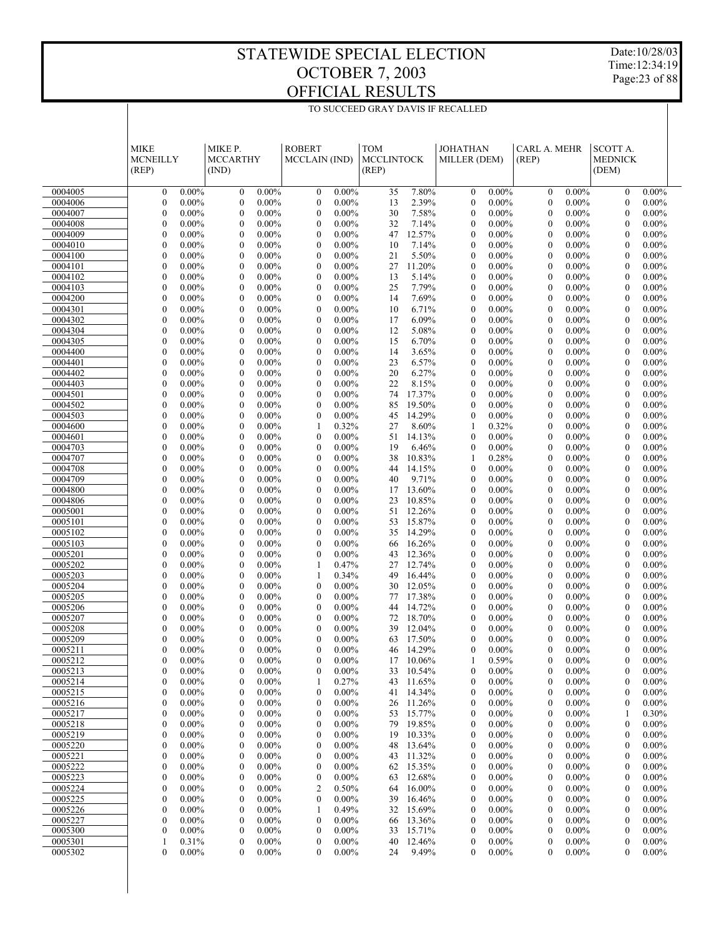Date:10/28/03 Time:12:34:19 Page:23 of 88

|                    | <b>MIKE</b><br><b>MCNEILLY</b><br>(REP)                   | MIKE P.<br><b>MCCARTHY</b><br>(IND)                          | <b>ROBERT</b><br>MCCLAIN (IND)                               | <b>TOM</b><br><b>MCCLINTOCK</b><br>(REP) | <b>JOHATHAN</b><br>MILLER (DEM)                              | CARL A. MEHR<br>(REP)                                        | SCOTT A.<br><b>MEDNICK</b><br>(DEM)                          |  |
|--------------------|-----------------------------------------------------------|--------------------------------------------------------------|--------------------------------------------------------------|------------------------------------------|--------------------------------------------------------------|--------------------------------------------------------------|--------------------------------------------------------------|--|
| 0004005            | $0.00\%$<br>$\boldsymbol{0}$                              | $0.00\%$<br>$\boldsymbol{0}$                                 | $0.00\%$<br>$\boldsymbol{0}$                                 | 7.80%<br>35                              | $0.00\%$<br>$\boldsymbol{0}$                                 | $0.00\%$<br>$\mathbf{0}$                                     | $0.00\%$<br>$\boldsymbol{0}$                                 |  |
| 0004006            | $\boldsymbol{0}$<br>$0.00\%$                              | $\boldsymbol{0}$<br>$0.00\%$                                 | $\boldsymbol{0}$<br>$0.00\%$                                 | 13<br>2.39%                              | $\boldsymbol{0}$<br>$0.00\%$                                 | $\boldsymbol{0}$<br>$0.00\%$                                 | $\boldsymbol{0}$<br>$0.00\%$                                 |  |
| 0004007            | $\boldsymbol{0}$<br>$0.00\%$                              | $\boldsymbol{0}$<br>$0.00\%$                                 | $\boldsymbol{0}$<br>$0.00\%$                                 | 30<br>7.58%                              | $\boldsymbol{0}$<br>$0.00\%$                                 | $\boldsymbol{0}$<br>$0.00\%$                                 | $\boldsymbol{0}$<br>$0.00\%$                                 |  |
| 0004008            | $\overline{0}$<br>0.00%                                   | $\mathbf{0}$<br>$0.00\%$                                     | $\mathbf{0}$<br>$0.00\%$                                     | 32<br>7.14%                              | $\boldsymbol{0}$<br>$0.00\%$                                 | $\mathbf{0}$<br>$0.00\%$                                     | $\mathbf{0}$<br>$0.00\%$                                     |  |
| 0004009            | $\boldsymbol{0}$<br>$0.00\%$                              | $\boldsymbol{0}$<br>$0.00\%$                                 | $\boldsymbol{0}$<br>$0.00\%$                                 | 12.57%<br>47                             | $\boldsymbol{0}$<br>$0.00\%$                                 | $\boldsymbol{0}$<br>$0.00\%$                                 | $\boldsymbol{0}$<br>$0.00\%$                                 |  |
| 0004010            | $\boldsymbol{0}$<br>0.00%                                 | $\mathbf{0}$<br>$0.00\%$                                     | $\boldsymbol{0}$<br>$0.00\%$                                 | 10<br>7.14%                              | $\boldsymbol{0}$<br>$0.00\%$                                 | $\mathbf{0}$<br>$0.00\%$                                     | $\mathbf{0}$<br>$0.00\%$                                     |  |
| 0004100            | $\boldsymbol{0}$<br>$0.00\%$                              | $\boldsymbol{0}$<br>$0.00\%$                                 | $\boldsymbol{0}$<br>$0.00\%$                                 | 21<br>5.50%                              | $\boldsymbol{0}$<br>$0.00\%$                                 | $\boldsymbol{0}$<br>$0.00\%$                                 | $\boldsymbol{0}$<br>$0.00\%$                                 |  |
| 0004101<br>0004102 | $\boldsymbol{0}$<br>0.00%<br>$\boldsymbol{0}$<br>$0.00\%$ | $\mathbf{0}$<br>$0.00\%$<br>$\boldsymbol{0}$<br>$0.00\%$     | $\boldsymbol{0}$<br>$0.00\%$<br>$\boldsymbol{0}$<br>$0.00\%$ | 27<br>11.20%<br>5.14%<br>13              | $\boldsymbol{0}$<br>$0.00\%$<br>$\boldsymbol{0}$<br>$0.00\%$ | $\mathbf{0}$<br>$0.00\%$<br>$\boldsymbol{0}$<br>$0.00\%$     | $\mathbf{0}$<br>$0.00\%$<br>$\boldsymbol{0}$<br>$0.00\%$     |  |
| 0004103            | $\boldsymbol{0}$<br>0.00%                                 | $\mathbf{0}$<br>$0.00\%$                                     | $\boldsymbol{0}$<br>$0.00\%$                                 | 25<br>7.79%                              | $\boldsymbol{0}$<br>$0.00\%$                                 | $\mathbf{0}$<br>$0.00\%$                                     | $\mathbf{0}$<br>$0.00\%$                                     |  |
| 0004200            | $\boldsymbol{0}$<br>$0.00\%$                              | $\boldsymbol{0}$<br>$0.00\%$                                 | $\boldsymbol{0}$<br>$0.00\%$                                 | 7.69%<br>14                              | $\boldsymbol{0}$<br>$0.00\%$                                 | $\boldsymbol{0}$<br>$0.00\%$                                 | $\boldsymbol{0}$<br>$0.00\%$                                 |  |
| 0004301            | $\boldsymbol{0}$<br>0.00%                                 | $\mathbf{0}$<br>$0.00\%$                                     | $\boldsymbol{0}$<br>$0.00\%$                                 | 10<br>6.71%                              | $\boldsymbol{0}$<br>$0.00\%$                                 | $\mathbf{0}$<br>$0.00\%$                                     | $\mathbf{0}$<br>$0.00\%$                                     |  |
| 0004302            | $\boldsymbol{0}$<br>$0.00\%$                              | $\boldsymbol{0}$<br>$0.00\%$                                 | $\boldsymbol{0}$<br>$0.00\%$                                 | 17<br>6.09%                              | $\boldsymbol{0}$<br>$0.00\%$                                 | $\boldsymbol{0}$<br>$0.00\%$                                 | $\boldsymbol{0}$<br>$0.00\%$                                 |  |
| 0004304            | $\boldsymbol{0}$<br>0.00%                                 | $\mathbf{0}$<br>$0.00\%$                                     | $\boldsymbol{0}$<br>$0.00\%$                                 | 12<br>5.08%                              | $\boldsymbol{0}$<br>$0.00\%$                                 | $\mathbf{0}$<br>$0.00\%$                                     | $\mathbf{0}$<br>$0.00\%$                                     |  |
| 0004305            | $\boldsymbol{0}$<br>$0.00\%$                              | $\boldsymbol{0}$<br>$0.00\%$                                 | $\boldsymbol{0}$<br>$0.00\%$                                 | 6.70%<br>15                              | $\boldsymbol{0}$<br>$0.00\%$                                 | $\boldsymbol{0}$<br>$0.00\%$                                 | $\boldsymbol{0}$<br>$0.00\%$                                 |  |
| 0004400<br>0004401 | $\overline{0}$<br>0.00%<br>$\boldsymbol{0}$<br>$0.00\%$   | $\mathbf{0}$<br>$0.00\%$<br>$\boldsymbol{0}$<br>$0.00\%$     | $\boldsymbol{0}$<br>$0.00\%$<br>$\boldsymbol{0}$<br>$0.00\%$ | 3.65%<br>14<br>6.57%<br>23               | $\boldsymbol{0}$<br>$0.00\%$<br>$\boldsymbol{0}$<br>$0.00\%$ | $\mathbf{0}$<br>$0.00\%$<br>$\boldsymbol{0}$<br>$0.00\%$     | $\mathbf{0}$<br>$0.00\%$<br>$\boldsymbol{0}$<br>$0.00\%$     |  |
| 0004402            | $\boldsymbol{0}$<br>0.00%                                 | $\mathbf{0}$<br>$0.00\%$                                     | $\boldsymbol{0}$<br>$0.00\%$                                 | 20<br>6.27%                              | $\boldsymbol{0}$<br>$0.00\%$                                 | $\mathbf{0}$<br>$0.00\%$                                     | $\mathbf{0}$<br>$0.00\%$                                     |  |
| 0004403            | $\boldsymbol{0}$<br>$0.00\%$                              | $\boldsymbol{0}$<br>$0.00\%$                                 | $\boldsymbol{0}$<br>$0.00\%$                                 | 22<br>8.15%                              | $\boldsymbol{0}$<br>$0.00\%$                                 | $\boldsymbol{0}$<br>$0.00\%$                                 | $\boldsymbol{0}$<br>$0.00\%$                                 |  |
| 0004501            | $\boldsymbol{0}$<br>0.00%                                 | $\mathbf{0}$<br>$0.00\%$                                     | $\boldsymbol{0}$<br>$0.00\%$                                 | 17.37%<br>74                             | $\boldsymbol{0}$<br>$0.00\%$                                 | $\mathbf{0}$<br>$0.00\%$                                     | $\mathbf{0}$<br>$0.00\%$                                     |  |
| 0004502            | $\boldsymbol{0}$<br>$0.00\%$                              | $\boldsymbol{0}$<br>$0.00\%$                                 | $\boldsymbol{0}$<br>$0.00\%$                                 | 85<br>19.50%                             | $\boldsymbol{0}$<br>$0.00\%$                                 | $\boldsymbol{0}$<br>$0.00\%$                                 | $\boldsymbol{0}$<br>$0.00\%$                                 |  |
| 0004503            | $\boldsymbol{0}$<br>0.00%                                 | $\mathbf{0}$<br>$0.00\%$                                     | $\boldsymbol{0}$<br>$0.00\%$                                 | 14.29%<br>45                             | $\boldsymbol{0}$<br>$0.00\%$                                 | $\mathbf{0}$<br>$0.00\%$                                     | $\mathbf{0}$<br>$0.00\%$                                     |  |
| 0004600<br>0004601 | $\boldsymbol{0}$<br>$0.00\%$<br>$\overline{0}$<br>0.00%   | $\boldsymbol{0}$<br>$0.00\%$<br>$\mathbf{0}$<br>$0.00\%$     | 0.32%<br>1<br>$\boldsymbol{0}$<br>$0.00\%$                   | 8.60%<br>27<br>51<br>14.13%              | 0.32%<br>1<br>$\mathbf{0}$<br>$0.00\%$                       | $\boldsymbol{0}$<br>$0.00\%$<br>$\mathbf{0}$<br>$0.00\%$     | $\boldsymbol{0}$<br>$0.00\%$<br>$\mathbf{0}$<br>$0.00\%$     |  |
| 0004703            | $\boldsymbol{0}$<br>$0.00\%$                              | $\boldsymbol{0}$<br>$0.00\%$                                 | $\boldsymbol{0}$<br>$0.00\%$                                 | 19<br>6.46%                              | $\boldsymbol{0}$<br>$0.00\%$                                 | $\boldsymbol{0}$<br>$0.00\%$                                 | $\boldsymbol{0}$<br>$0.00\%$                                 |  |
| 0004707            | $\boldsymbol{0}$<br>0.00%                                 | $\mathbf{0}$<br>$0.00\%$                                     | $\boldsymbol{0}$<br>$0.00\%$                                 | 10.83%<br>38                             | 0.28%<br>1                                                   | $\mathbf{0}$<br>$0.00\%$                                     | $\mathbf{0}$<br>$0.00\%$                                     |  |
| 0004708            | $\boldsymbol{0}$<br>$0.00\%$                              | $\boldsymbol{0}$<br>$0.00\%$                                 | $\boldsymbol{0}$<br>$0.00\%$                                 | 44<br>14.15%                             | $\boldsymbol{0}$<br>$0.00\%$                                 | $\boldsymbol{0}$<br>$0.00\%$                                 | $\boldsymbol{0}$<br>$0.00\%$                                 |  |
| 0004709            | $\boldsymbol{0}$<br>0.00%                                 | $\mathbf{0}$<br>$0.00\%$                                     | $\boldsymbol{0}$<br>$0.00\%$                                 | 9.71%<br>40                              | $\boldsymbol{0}$<br>$0.00\%$                                 | $\mathbf{0}$<br>$0.00\%$                                     | $\mathbf{0}$<br>$0.00\%$                                     |  |
| 0004800            | $\boldsymbol{0}$<br>$0.00\%$                              | $\boldsymbol{0}$<br>$0.00\%$                                 | $\boldsymbol{0}$<br>$0.00\%$                                 | 13.60%<br>17                             | $\boldsymbol{0}$<br>$0.00\%$                                 | $\boldsymbol{0}$<br>$0.00\%$                                 | $\boldsymbol{0}$<br>$0.00\%$                                 |  |
| 0004806<br>0005001 | $\boldsymbol{0}$<br>0.00%<br>$\boldsymbol{0}$<br>$0.00\%$ | $\mathbf{0}$<br>$0.00\%$<br>$\boldsymbol{0}$<br>$0.00\%$     | $\boldsymbol{0}$<br>$0.00\%$<br>$\boldsymbol{0}$<br>$0.00\%$ | 10.85%<br>23<br>51<br>12.26%             | $\boldsymbol{0}$<br>$0.00\%$<br>$\boldsymbol{0}$<br>$0.00\%$ | $\mathbf{0}$<br>$0.00\%$<br>$\boldsymbol{0}$<br>$0.00\%$     | $\mathbf{0}$<br>$0.00\%$<br>$\boldsymbol{0}$<br>$0.00\%$     |  |
| 0005101            | $\overline{0}$<br>0.00%                                   | $\mathbf{0}$<br>$0.00\%$                                     | $\boldsymbol{0}$<br>$0.00\%$                                 | 15.87%<br>53                             | $\boldsymbol{0}$<br>$0.00\%$                                 | $\mathbf{0}$<br>$0.00\%$                                     | $\mathbf{0}$<br>$0.00\%$                                     |  |
| 0005102            | $\boldsymbol{0}$<br>$0.00\%$                              | $\boldsymbol{0}$<br>$0.00\%$                                 | $\boldsymbol{0}$<br>$0.00\%$                                 | 14.29%<br>35                             | $\boldsymbol{0}$<br>$0.00\%$                                 | $\boldsymbol{0}$<br>$0.00\%$                                 | $\boldsymbol{0}$<br>$0.00\%$                                 |  |
| 0005103            | $\boldsymbol{0}$<br>$0.00\%$                              | $\mathbf{0}$<br>$0.00\%$                                     | $\mathbf{0}$<br>$0.00\%$                                     | 16.26%<br>66                             | $\boldsymbol{0}$<br>$0.00\%$                                 | $\mathbf{0}$<br>$0.00\%$                                     | $\overline{0}$<br>$0.00\%$                                   |  |
| 0005201            | $\boldsymbol{0}$<br>$0.00\%$                              | $\boldsymbol{0}$<br>$0.00\%$                                 | $\boldsymbol{0}$<br>$0.00\%$                                 | 12.36%<br>43                             | $\boldsymbol{0}$<br>$0.00\%$                                 | $\boldsymbol{0}$<br>$0.00\%$                                 | $\boldsymbol{0}$<br>$0.00\%$                                 |  |
| 0005202<br>0005203 | $\boldsymbol{0}$<br>0.00%<br>$\boldsymbol{0}$<br>$0.00\%$ | $\mathbf{0}$<br>$0.00\%$<br>$\boldsymbol{0}$<br>$0.00\%$     | 0.47%<br>1<br>0.34%<br>1                                     | 12.74%<br>27<br>16.44%<br>49             | $\boldsymbol{0}$<br>$0.00\%$<br>$\boldsymbol{0}$<br>$0.00\%$ | $\mathbf{0}$<br>$0.00\%$<br>$\boldsymbol{0}$<br>$0.00\%$     | $\overline{0}$<br>$0.00\%$<br>$\boldsymbol{0}$<br>$0.00\%$   |  |
| 0005204            | $\boldsymbol{0}$<br>$0.00\%$                              | $\mathbf{0}$<br>$0.00\%$                                     | $\boldsymbol{0}$<br>$0.00\%$                                 | 12.05%<br>30                             | $\boldsymbol{0}$<br>$0.00\%$                                 | $\mathbf{0}$<br>$0.00\%$                                     | $\overline{0}$<br>$0.00\%$                                   |  |
| 0005205            | $\boldsymbol{0}$<br>$0.00\%$                              | $\boldsymbol{0}$<br>$0.00\%$                                 | $\boldsymbol{0}$<br>$0.00\%$                                 | 17.38%<br>77                             | $\boldsymbol{0}$<br>$0.00\%$                                 | $\boldsymbol{0}$<br>$0.00\%$                                 | $\boldsymbol{0}$<br>$0.00\%$                                 |  |
| 0005206            | $\mathbf{0}$<br>0.00%                                     | $\mathbf{0}$<br>$0.00\%$                                     | $\boldsymbol{0}$<br>$0.00\%$                                 | 14.72%<br>44                             | $\boldsymbol{0}$<br>$0.00\%$                                 | $\mathbf{0}$<br>$0.00\%$                                     | $\overline{0}$<br>$0.00\%$                                   |  |
| 0005207            | $\boldsymbol{0}$<br>$0.00\%$                              | $\boldsymbol{0}$<br>$0.00\%$                                 | $\boldsymbol{0}$<br>$0.00\%$                                 | 18.70%<br>72                             | $\boldsymbol{0}$<br>$0.00\%$                                 | $\boldsymbol{0}$<br>$0.00\%$                                 | $\boldsymbol{0}$<br>$0.00\%$                                 |  |
| 0005208            | $\mathbf{0}$<br>$0.00\%$                                  | $\mathbf{0}$<br>$0.00\%$                                     | $\mathbf{0}$<br>$0.00\%$                                     | 12.04%<br>39                             | $\mathbf{0}$<br>$0.00\%$                                     | $\mathbf{0}$<br>$0.00\%$                                     | $\overline{0}$<br>$0.00\%$                                   |  |
| 0005209<br>0005211 | $\overline{0}$<br>$0.00\%$<br>$\theta$<br>$0.00\%$        | $\overline{0}$<br>$0.00\%$<br>$\overline{0}$<br>$0.00\%$     | $\overline{0}$<br>$0.00\%$<br>$\overline{0}$<br>$0.00\%$     | 17.50%<br>63<br>14.29%                   | $\mathbf{0}$<br>$0.00\%$<br>$\mathbf{0}$<br>$0.00\%$         | $\overline{0}$<br>$0.00\%$<br>$\mathbf{0}$<br>$0.00\%$       | $\overline{0}$<br>$0.00\%$<br>$\mathbf{0}$<br>$0.00\%$       |  |
| 0005212            | $\boldsymbol{0}$<br>0.00%                                 | $\boldsymbol{0}$<br>$0.00\%$                                 | $\mathbf{0}$<br>$0.00\%$                                     | 46<br>17<br>10.06%                       | 0.59%                                                        | 0.00%<br>$\boldsymbol{0}$                                    | $\overline{0}$<br>$0.00\%$                                   |  |
| 0005213            | $0.00\%$<br>0                                             | $0.00\%$<br>0                                                | $0.00\%$<br>0                                                | 10.54%<br>33                             | $0.00\%$<br>0                                                | $0.00\%$<br>0                                                | $\boldsymbol{0}$<br>$0.00\%$                                 |  |
| 0005214            | $0.00\%$<br>0                                             | $0.00\%$<br>0                                                | 0.27%<br>1                                                   | 11.65%<br>43                             | $0.00\%$<br>$\boldsymbol{0}$                                 | $0.00\%$<br>$\boldsymbol{0}$                                 | $0.00\%$<br>$\boldsymbol{0}$                                 |  |
| 0005215            | 0<br>$0.00\%$                                             | 0<br>$0.00\%$                                                | 0<br>$0.00\%$                                                | 14.34%<br>41                             | $\boldsymbol{0}$<br>$0.00\%$                                 | $\boldsymbol{0}$<br>$0.00\%$                                 | $\boldsymbol{0}$<br>$0.00\%$                                 |  |
| 0005216            | 0<br>$0.00\%$                                             | $\boldsymbol{0}$<br>$0.00\%$                                 | $0.00\%$<br>$\boldsymbol{0}$                                 | 11.26%<br>26                             | $0.00\%$<br>$\boldsymbol{0}$                                 | $\boldsymbol{0}$<br>$0.00\%$                                 | $0.00\%$<br>$\boldsymbol{0}$                                 |  |
| 0005217            | 0<br>$0.00\%$                                             | $\boldsymbol{0}$<br>$0.00\%$                                 | $\boldsymbol{0}$<br>$0.00\%$                                 | 15.77%<br>53                             | $\boldsymbol{0}$<br>$0.00\%$                                 | $\boldsymbol{0}$<br>$0.00\%$                                 | 0.30%<br>1                                                   |  |
| 0005218<br>0005219 | $0.00\%$<br>0<br>0<br>$0.00\%$                            | $\boldsymbol{0}$<br>$0.00\%$<br>$\boldsymbol{0}$<br>$0.00\%$ | $0.00\%$<br>$\boldsymbol{0}$<br>$\boldsymbol{0}$<br>$0.00\%$ | 19.85%<br>79<br>19<br>10.33%             | $0.00\%$<br>$\boldsymbol{0}$<br>$\boldsymbol{0}$<br>$0.00\%$ | $\boldsymbol{0}$<br>$0.00\%$<br>$\boldsymbol{0}$<br>$0.00\%$ | $\boldsymbol{0}$<br>$0.00\%$<br>$\boldsymbol{0}$<br>$0.00\%$ |  |
| 0005220            | $0.00\%$<br>0                                             | $\boldsymbol{0}$<br>$0.00\%$                                 | $0.00\%$<br>$\boldsymbol{0}$                                 | 13.64%<br>48                             | $0.00\%$<br>$\boldsymbol{0}$                                 | $\boldsymbol{0}$<br>$0.00\%$                                 | $0.00\%$<br>$\boldsymbol{0}$                                 |  |
| 0005221            | 0<br>$0.00\%$                                             | $\boldsymbol{0}$<br>$0.00\%$                                 | $\boldsymbol{0}$<br>$0.00\%$                                 | 11.32%<br>43                             | $\boldsymbol{0}$<br>$0.00\%$                                 | $\boldsymbol{0}$<br>$0.00\%$                                 | $\boldsymbol{0}$<br>$0.00\%$                                 |  |
| 0005222            | $0.00\%$<br>0                                             | $\boldsymbol{0}$<br>$0.00\%$                                 | $0.00\%$<br>$\boldsymbol{0}$                                 | 15.35%<br>62                             | $0.00\%$<br>$\boldsymbol{0}$                                 | $\boldsymbol{0}$<br>$0.00\%$                                 | $0.00\%$<br>$\boldsymbol{0}$                                 |  |
| 0005223            | 0<br>$0.00\%$                                             | $\boldsymbol{0}$<br>$0.00\%$                                 | 0<br>$0.00\%$                                                | 12.68%<br>63                             | $\boldsymbol{0}$<br>$0.00\%$                                 | $\boldsymbol{0}$<br>$0.00\%$                                 | $\boldsymbol{0}$<br>$0.00\%$                                 |  |
| 0005224<br>0005225 | 0<br>$0.00\%$<br>0<br>$0.00\%$                            | $\boldsymbol{0}$<br>$0.00\%$<br>$\boldsymbol{0}$<br>$0.00\%$ | 0.50%<br>$\overline{\mathbf{c}}$<br>0<br>$0.00\%$            | 16.00%<br>64<br>16.46%<br>39             | $0.00\%$<br>$\boldsymbol{0}$<br>$\boldsymbol{0}$<br>$0.00\%$ | $\boldsymbol{0}$<br>$0.00\%$<br>$\boldsymbol{0}$<br>$0.00\%$ | $0.00\%$<br>$\boldsymbol{0}$<br>$\boldsymbol{0}$<br>$0.00\%$ |  |
| 0005226            | $0.00\%$<br>0                                             | $\boldsymbol{0}$<br>$0.00\%$                                 | 0.49%<br>1                                                   | 15.69%<br>32                             | $0.00\%$<br>$\boldsymbol{0}$                                 | $\boldsymbol{0}$<br>$0.00\%$                                 | $0.00\%$<br>$\boldsymbol{0}$                                 |  |
| 0005227            | 0<br>$0.00\%$                                             | $\boldsymbol{0}$<br>$0.00\%$                                 | $\boldsymbol{0}$<br>$0.00\%$                                 | 13.36%<br>66                             | $\boldsymbol{0}$<br>$0.00\%$                                 | $\boldsymbol{0}$<br>$0.00\%$                                 | $\boldsymbol{0}$<br>$0.00\%$                                 |  |
| 0005300            | 0<br>$0.00\%$                                             | $\boldsymbol{0}$<br>$0.00\%$                                 | $\boldsymbol{0}$<br>$0.00\%$                                 | 15.71%<br>33                             | $\boldsymbol{0}$<br>$0.00\%$                                 | $\boldsymbol{0}$<br>$0.00\%$                                 | $0.00\%$<br>$\boldsymbol{0}$                                 |  |
| 0005301            | 0.31%<br>1                                                | $\boldsymbol{0}$<br>$0.00\%$                                 | $\boldsymbol{0}$<br>$0.00\%$                                 | 12.46%<br>40                             | $\boldsymbol{0}$<br>$0.00\%$                                 | $\boldsymbol{0}$<br>$0.00\%$                                 | $\boldsymbol{0}$<br>$0.00\%$                                 |  |
| 0005302            | 0<br>$0.00\%$                                             | 0<br>$0.00\%$                                                | $\mathbf{0}$<br>$0.00\%$                                     | 9.49%<br>24                              | $\boldsymbol{0}$<br>$0.00\%$                                 | $\theta$<br>$0.00\%$                                         | $0.00\%$<br>$\mathbf{0}$                                     |  |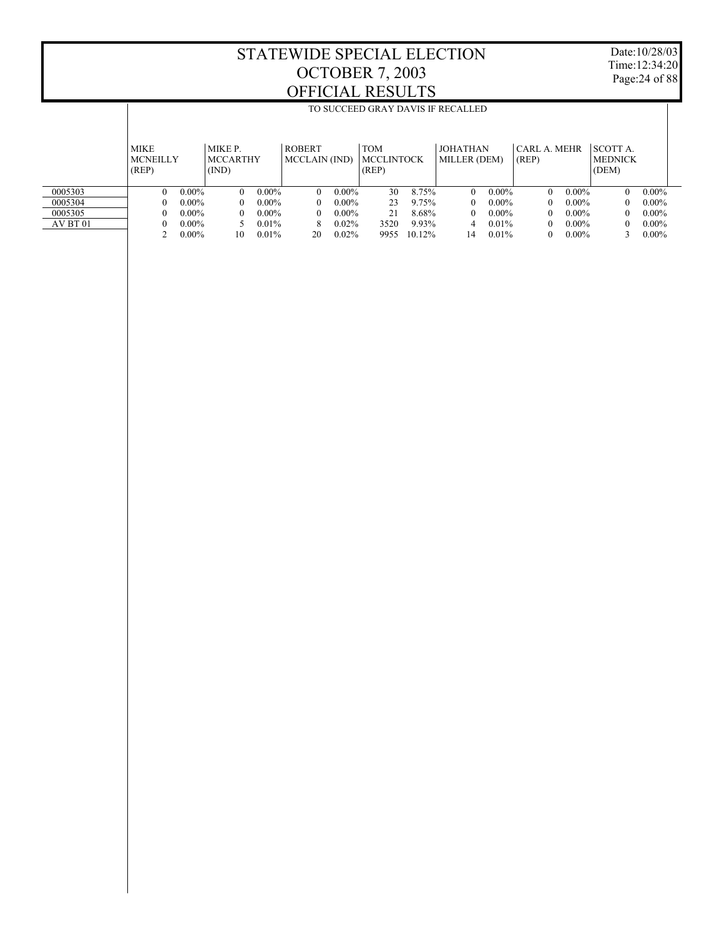Date:10/28/03 Time:12:34:20 Page:24 of 88

|          |                                |          |                            |          |                                       |          |                                 |        | TO SUCCEED GRAY DAVIS IF RECALLED |          |                       |          |                           |          |
|----------|--------------------------------|----------|----------------------------|----------|---------------------------------------|----------|---------------------------------|--------|-----------------------------------|----------|-----------------------|----------|---------------------------|----------|
|          |                                |          |                            |          |                                       |          |                                 |        |                                   |          |                       |          |                           |          |
|          | <b>MIKE</b><br><b>MCNEILLY</b> |          | MIKE P.<br><b>MCCARTHY</b> |          | <b>ROBERT</b><br><b>MCCLAIN</b> (IND) |          | <b>TOM</b><br><b>MCCLINTOCK</b> |        | <b>JOHATHAN</b><br>MILLER (DEM)   |          | CARL A. MEHR<br>(REP) |          | SCOTT A<br><b>MEDNICK</b> |          |
|          | (REP)                          |          | (IND)                      |          |                                       |          | (REP)                           |        |                                   |          |                       |          | (DEM)                     |          |
| 0005303  | $\Omega$                       | $0.00\%$ | $\theta$                   | $0.00\%$ | $\Omega$                              | $0.00\%$ | 30                              | 8.75%  | $\Omega$                          | $0.00\%$ | $\Omega$              | $0.00\%$ | $\theta$                  | $0.00\%$ |
| 0005304  | $\Omega$                       | $0.00\%$ | 0                          | $0.00\%$ | $\theta$                              | $0.00\%$ | 23                              | 9.75%  | $\Omega$                          | $0.00\%$ | 0                     | $0.00\%$ | $\Omega$                  | $0.00\%$ |
| 0005305  |                                | $0.00\%$ | 0                          | $0.00\%$ | $\theta$                              | $0.00\%$ | 21                              | 8.68%  | $\Omega$                          | $0.00\%$ | 0                     | $0.00\%$ | $\theta$                  | $0.00\%$ |
| AV BT 01 |                                | $0.00\%$ |                            | $0.01\%$ | 8                                     | 0.02%    | 3520                            | 9.93%  | 4                                 | $0.01\%$ | 0                     | $0.00\%$ | $\Omega$                  | $0.00\%$ |
|          |                                | $0.00\%$ | 10                         | 0.01%    | 20                                    | 0.02%    | 9955                            | 10.12% | 14                                | 0.01%    |                       | $0.00\%$ |                           | $0.00\%$ |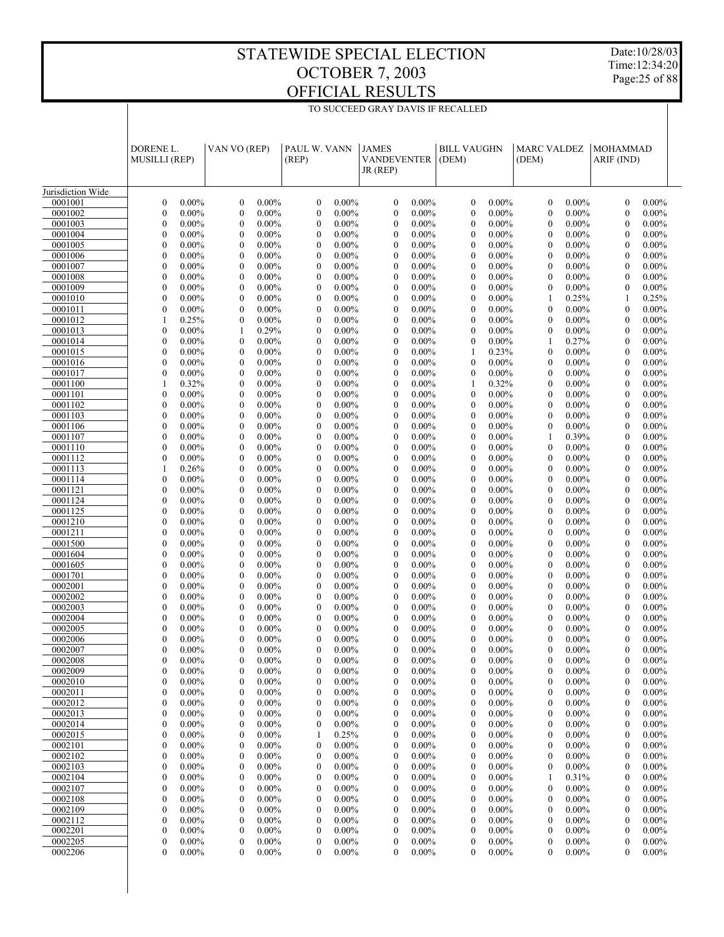TO SUCCEED GRAY DAVIS IF RECALLED

Date:10/28/03 Time:12:34:20 Page:25 of 88

|                    | DORENE L.                                                | VAN VO (REP)                                                 | PAUL W. VANN                                                 | <b>JAMES</b>                                                 | <b>BILL VAUGHN</b>                                           | <b>MARC VALDEZ</b>                                       | <b>MOHAMMAD</b>                                              |
|--------------------|----------------------------------------------------------|--------------------------------------------------------------|--------------------------------------------------------------|--------------------------------------------------------------|--------------------------------------------------------------|----------------------------------------------------------|--------------------------------------------------------------|
|                    | <b>MUSILLI (REP)</b>                                     |                                                              | (REP)                                                        | <b>VANDEVENTER</b><br>JR (REP)                               | (DEM)                                                        | (DEM)                                                    | ARIF (IND)                                                   |
| Jurisdiction Wide  |                                                          |                                                              |                                                              |                                                              |                                                              |                                                          |                                                              |
| 0001001            | $0.00\%$                                                 | $\boldsymbol{0}$                                             | $0.00\%$                                                     | $\boldsymbol{0}$                                             | $\boldsymbol{0}$                                             | $\mathbf{0}$                                             | $0.00\%$                                                     |
|                    | $\mathbf{0}$                                             | $0.00\%$                                                     | $\boldsymbol{0}$                                             | $0.00\%$                                                     | $0.00\%$                                                     | $0.00\%$                                                 | $\mathbf{0}$                                                 |
| 0001002            | $\mathbf{0}$                                             | $\boldsymbol{0}$                                             | $\boldsymbol{0}$                                             | $\boldsymbol{0}$                                             | $\mathbf{0}$                                                 | $\boldsymbol{0}$                                         | $\mathbf{0}$                                                 |
|                    | $0.00\%$                                                 | $0.00\%$                                                     | $0.00\%$                                                     | $0.00\%$                                                     | $0.00\%$                                                     | $0.00\%$                                                 | $0.00\%$                                                     |
| 0001003<br>0001004 | $\mathbf{0}$<br>$0.00\%$<br>$\mathbf{0}$<br>$0.00\%$     | $\boldsymbol{0}$<br>$0.00\%$<br>$\boldsymbol{0}$<br>$0.00\%$ | $\mathbf{0}$<br>$0.00\%$<br>$\boldsymbol{0}$<br>$0.00\%$     | $\mathbf{0}$<br>$0.00\%$<br>$\boldsymbol{0}$<br>$0.00\%$     | $\boldsymbol{0}$<br>$0.00\%$<br>$\mathbf{0}$<br>$0.00\%$     | $\mathbf{0}$<br>$0.00\%$<br>$0.00\%$<br>$\boldsymbol{0}$ | $\mathbf{0}$<br>$0.00\%$<br>$0.00\%$<br>$\mathbf{0}$         |
| 0001005            | $\mathbf{0}$                                             | $\boldsymbol{0}$                                             | $\boldsymbol{0}$                                             | $\mathbf{0}$                                                 | $\boldsymbol{0}$                                             | $\mathbf{0}$                                             | $\mathbf{0}$                                                 |
|                    | $0.00\%$                                                 | $0.00\%$                                                     | $0.00\%$                                                     | $0.00\%$                                                     | $0.00\%$                                                     | $0.00\%$                                                 | $0.00\%$                                                     |
| 0001006            | $\mathbf{0}$                                             | $\boldsymbol{0}$                                             | $\boldsymbol{0}$                                             | $\boldsymbol{0}$                                             | $\mathbf{0}$                                                 | $0.00\%$                                                 | $0.00\%$                                                     |
|                    | $0.00\%$                                                 | $0.00\%$                                                     | $0.00\%$                                                     | $0.00\%$                                                     | $0.00\%$                                                     | $\mathbf{0}$                                             | $\mathbf{0}$                                                 |
| 0001007            | $\mathbf{0}$                                             | $\boldsymbol{0}$                                             | $\boldsymbol{0}$                                             | $\mathbf{0}$                                                 | $\boldsymbol{0}$                                             | $\mathbf{0}$                                             | $\mathbf{0}$                                                 |
|                    | $0.00\%$                                                 | $0.00\%$                                                     | $0.00\%$                                                     | $0.00\%$                                                     | $0.00\%$                                                     | $0.00\%$                                                 | $0.00\%$                                                     |
| 0001008            | $\mathbf{0}$                                             | $\boldsymbol{0}$                                             | $\boldsymbol{0}$                                             | $\boldsymbol{0}$                                             | $\mathbf{0}$                                                 | $\mathbf{0}$                                             | $0.00\%$                                                     |
|                    | $0.00\%$                                                 | $0.00\%$                                                     | $0.00\%$                                                     | $0.00\%$                                                     | $0.00\%$                                                     | $0.00\%$                                                 | $\mathbf{0}$                                                 |
| 0001009<br>0001010 | $\mathbf{0}$<br>$0.00\%$<br>$\mathbf{0}$<br>$0.00\%$     | $\mathbf{0}$<br>$0.00\%$<br>$\boldsymbol{0}$<br>$0.00\%$     | $\boldsymbol{0}$<br>$0.00\%$<br>$\boldsymbol{0}$<br>$0.00\%$ | $\mathbf{0}$<br>$0.00\%$<br>$\boldsymbol{0}$<br>$0.00\%$     | $\boldsymbol{0}$<br>$0.00\%$<br>$\mathbf{0}$<br>$0.00\%$     | $\mathbf{0}$<br>$0.00\%$<br>0.25%<br>1                   | $\mathbf{0}$<br>$0.00\%$<br>0.25%<br>1                       |
| 0001011            | $\mathbf{0}$                                             | $\boldsymbol{0}$                                             | $\boldsymbol{0}$                                             | $\mathbf{0}$                                                 | $\boldsymbol{0}$                                             | $\mathbf{0}$                                             | $\mathbf{0}$                                                 |
|                    | $0.00\%$                                                 | $0.00\%$                                                     | $0.00\%$                                                     | $0.00\%$                                                     | $0.00\%$                                                     | $0.00\%$                                                 | $0.00\%$                                                     |
| 0001012            | 0.25%                                                    | $\boldsymbol{0}$                                             | $\boldsymbol{0}$                                             | $\boldsymbol{0}$                                             | $\mathbf{0}$                                                 | $0.00\%$                                                 | $0.00\%$                                                     |
|                    | 1                                                        | $0.00\%$                                                     | $0.00\%$                                                     | $0.00\%$                                                     | $0.00\%$                                                     | $\boldsymbol{0}$                                         | $\mathbf{0}$                                                 |
| 0001013            | $\mathbf{0}$                                             | 0.29%                                                        | $\boldsymbol{0}$                                             | $\mathbf{0}$                                                 | $\boldsymbol{0}$                                             | $\mathbf{0}$                                             | $\mathbf{0}$                                                 |
|                    | $0.00\%$                                                 | 1                                                            | $0.00\%$                                                     | $0.00\%$                                                     | $0.00\%$                                                     | $0.00\%$                                                 | $0.00\%$                                                     |
| 0001014            | $\mathbf{0}$                                             | $\boldsymbol{0}$                                             | $\boldsymbol{0}$                                             | $\boldsymbol{0}$                                             | $\mathbf{0}$                                                 | 0.27%                                                    | $0.00\%$                                                     |
|                    | $0.00\%$                                                 | $0.00\%$                                                     | $0.00\%$                                                     | $0.00\%$                                                     | $0.00\%$                                                     | 1                                                        | $\mathbf{0}$                                                 |
| 0001015<br>0001016 | $\mathbf{0}$<br>$0.00\%$<br>$\mathbf{0}$<br>$0.00\%$     | $\boldsymbol{0}$<br>$0.00\%$<br>$\boldsymbol{0}$<br>$0.00\%$ | $\boldsymbol{0}$<br>$0.00\%$<br>$\boldsymbol{0}$<br>$0.00\%$ | $\mathbf{0}$<br>$0.00\%$<br>$\boldsymbol{0}$<br>$0.00\%$     | $\mathbf{1}$<br>0.23%<br>$\mathbf{0}$<br>$0.00\%$            | $\mathbf{0}$<br>$0.00\%$<br>$0.00\%$<br>$\boldsymbol{0}$ | $0.00\%$<br>$\mathbf{0}$<br>$0.00\%$<br>$\boldsymbol{0}$     |
| 0001017            | $\mathbf{0}$                                             | $\mathbf{0}$                                                 | $\boldsymbol{0}$                                             | $\mathbf{0}$                                                 | $\boldsymbol{0}$                                             | $\mathbf{0}$                                             | $\mathbf{0}$                                                 |
|                    | $0.00\%$                                                 | $0.00\%$                                                     | $0.00\%$                                                     | $0.00\%$                                                     | $0.00\%$                                                     | $0.00\%$                                                 | $0.00\%$                                                     |
| 0001100            | 0.32%                                                    | $\boldsymbol{0}$                                             | $\boldsymbol{0}$                                             | $\boldsymbol{0}$                                             | $\mathbf{1}$                                                 | $0.00\%$                                                 | $0.00\%$                                                     |
|                    | 1                                                        | $0.00\%$                                                     | $0.00\%$                                                     | $0.00\%$                                                     | 0.32%                                                        | $\boldsymbol{0}$                                         | $\mathbf{0}$                                                 |
| 0001101            | $\mathbf{0}$                                             | $\boldsymbol{0}$                                             | $\boldsymbol{0}$                                             | $\mathbf{0}$                                                 | $\boldsymbol{0}$                                             | $\mathbf{0}$                                             | $0.00\%$                                                     |
|                    | $0.00\%$                                                 | $0.00\%$                                                     | $0.00\%$                                                     | $0.00\%$                                                     | $0.00\%$                                                     | $0.00\%$                                                 | $\mathbf{0}$                                                 |
| 0001102            | $\boldsymbol{0}$                                         | $\boldsymbol{0}$                                             | $\boldsymbol{0}$                                             | $\boldsymbol{0}$                                             | $\mathbf{0}$                                                 | $0.00\%$                                                 | $0.00\%$                                                     |
|                    | $0.00\%$                                                 | $0.00\%$                                                     | $0.00\%$                                                     | $0.00\%$                                                     | $0.00\%$                                                     | $\boldsymbol{0}$                                         | $\boldsymbol{0}$                                             |
| 0001103            | $\mathbf{0}$                                             | $\mathbf{0}$                                                 | $\boldsymbol{0}$                                             | $\mathbf{0}$                                                 | $\boldsymbol{0}$                                             | $\mathbf{0}$                                             | $\mathbf{0}$                                                 |
|                    | $0.00\%$                                                 | $0.00\%$                                                     | $0.00\%$                                                     | $0.00\%$                                                     | $0.00\%$                                                     | $0.00\%$                                                 | $0.00\%$                                                     |
| 0001106<br>0001107 | $\boldsymbol{0}$<br>$0.00\%$<br>$\mathbf{0}$<br>$0.00\%$ | $\boldsymbol{0}$<br>$0.00\%$<br>$\boldsymbol{0}$<br>$0.00\%$ | $\boldsymbol{0}$<br>$0.00\%$<br>$\boldsymbol{0}$<br>$0.00\%$ | $\boldsymbol{0}$<br>$0.00\%$<br>$\mathbf{0}$<br>$0.00\%$     | $\mathbf{0}$<br>$0.00\%$<br>$\boldsymbol{0}$<br>$0.00\%$     | $0.00\%$<br>$\boldsymbol{0}$<br>0.39%<br>1               | $0.00\%$<br>$\mathbf{0}$<br>$0.00\%$<br>$\mathbf{0}$         |
| 0001110            | $\mathbf{0}$                                             | $\boldsymbol{0}$                                             | $\boldsymbol{0}$                                             | $\boldsymbol{0}$                                             | $\mathbf{0}$                                                 | $\mathbf{0}$                                             | $0.00\%$                                                     |
|                    | $0.00\%$                                                 | $0.00\%$                                                     | $0.00\%$                                                     | $0.00\%$                                                     | $0.00\%$                                                     | $0.00\%$                                                 | $\mathbf{0}$                                                 |
| 0001112            | $\mathbf{0}$                                             | $\mathbf{0}$                                                 | $\boldsymbol{0}$                                             | $\mathbf{0}$                                                 | $\boldsymbol{0}$                                             | $\mathbf{0}$                                             | $\mathbf{0}$                                                 |
|                    | $0.00\%$                                                 | $0.00\%$                                                     | $0.00\%$                                                     | $0.00\%$                                                     | $0.00\%$                                                     | $0.00\%$                                                 | $0.00\%$                                                     |
| 0001113            | 0.26%                                                    | $\boldsymbol{0}$                                             | $\boldsymbol{0}$                                             | $\boldsymbol{0}$                                             | $\mathbf{0}$                                                 | $0.00\%$                                                 | $0.00\%$                                                     |
|                    | 1                                                        | $0.00\%$                                                     | $0.00\%$                                                     | $0.00\%$                                                     | $0.00\%$                                                     | $\mathbf{0}$                                             | $\mathbf{0}$                                                 |
| 0001114            | $\mathbf{0}$                                             | $\boldsymbol{0}$                                             | $\boldsymbol{0}$                                             | $\mathbf{0}$                                                 | $\boldsymbol{0}$                                             | $\mathbf{0}$                                             | $0.00\%$                                                     |
|                    | $0.00\%$                                                 | $0.00\%$                                                     | $0.00\%$                                                     | $0.00\%$                                                     | $0.00\%$                                                     | $0.00\%$                                                 | $\mathbf{0}$                                                 |
| 0001121<br>0001124 | $\boldsymbol{0}$<br>$0.00\%$<br>$\mathbf{0}$<br>$0.00\%$ | $\boldsymbol{0}$<br>$0.00\%$<br>$\mathbf{0}$<br>$0.00\%$     | $\boldsymbol{0}$<br>$0.00\%$<br>$\boldsymbol{0}$<br>$0.00\%$ | $\boldsymbol{0}$<br>$0.00\%$<br>$\mathbf{0}$<br>$0.00\%$     | $\mathbf{0}$<br>$0.00\%$<br>$\boldsymbol{0}$<br>$0.00\%$     | $0.00\%$<br>$\mathbf{0}$<br>$\mathbf{0}$<br>$0.00\%$     | $0.00\%$<br>$\mathbf{0}$<br>$\mathbf{0}$<br>$0.00\%$         |
| 0001125            | $\mathbf{0}$                                             | $\boldsymbol{0}$                                             | $\boldsymbol{0}$                                             | $\boldsymbol{0}$                                             | $\mathbf{0}$                                                 | $0.00\%$                                                 | $0.00\%$                                                     |
|                    | $0.00\%$                                                 | $0.00\%$                                                     | $0.00\%$                                                     | $0.00\%$                                                     | $0.00\%$                                                     | $\mathbf{0}$                                             | $\mathbf{0}$                                                 |
| 0001210            | $\mathbf{0}$                                             | $\boldsymbol{0}$                                             | $\boldsymbol{0}$                                             | $\mathbf{0}$                                                 | $\boldsymbol{0}$                                             | $\mathbf{0}$                                             | $0.00\%$                                                     |
|                    | $0.00\%$                                                 | $0.00\%$                                                     | $0.00\%$                                                     | $0.00\%$                                                     | $0.00\%$                                                     | $0.00\%$                                                 | $\mathbf{0}$                                                 |
| 0001211            | $\mathbf{0}$                                             | $\boldsymbol{0}$                                             | $\boldsymbol{0}$                                             | $\boldsymbol{0}$                                             | $\mathbf{0}$                                                 | $0.00\%$                                                 | $0.00\%$                                                     |
|                    | $0.00\%$                                                 | $0.00\%$                                                     | $0.00\%$                                                     | $0.00\%$                                                     | $0.00\%$                                                     | $\mathbf{0}$                                             | $\mathbf{0}$                                                 |
| 0001500            | $\mathbf{0}$                                             | $\mathbf{0}$                                                 | $\boldsymbol{0}$                                             | $\mathbf{0}$                                                 | $\boldsymbol{0}$                                             | $\mathbf{0}$                                             | $\mathbf{0}$                                                 |
|                    | $0.00\%$                                                 | $0.00\%$                                                     | $0.00\%$                                                     | $0.00\%$                                                     | $0.00\%$                                                     | $0.00\%$                                                 | $0.00\%$                                                     |
| 0001604<br>0001605 | $\mathbf{0}$<br>$0.00\%$<br>$\mathbf{0}$<br>$0.00\%$     | $\boldsymbol{0}$<br>$0.00\%$<br>$\boldsymbol{0}$<br>$0.00\%$ | $\boldsymbol{0}$<br>$0.00\%$<br>$\boldsymbol{0}$<br>$0.00\%$ | $\boldsymbol{0}$<br>$0.00\%$<br>$\mathbf{0}$<br>$0.00\%$     | $\mathbf{0}$<br>$0.00\%$<br>$\boldsymbol{0}$<br>$0.00\%$     | $0.00\%$<br>$\mathbf{0}$<br>$\mathbf{0}$<br>$0.00\%$     | $0.00\%$<br>$\mathbf{0}$<br>$0.00\%$<br>$\mathbf{0}$         |
| 0001701            | $0.00\%$                                                 | $\boldsymbol{0}$                                             | $\boldsymbol{0}$                                             | $\boldsymbol{0}$                                             | $\mathbf{0}$                                                 | $0.00\%$                                                 | $0.00\%$                                                     |
|                    | $\mathbf{0}$                                             | $0.00\%$                                                     | $0.00\%$                                                     | $0.00\%$                                                     | $0.00\%$                                                     | $\mathbf{0}$                                             | $\mathbf{0}$                                                 |
| 0002001            | $\mathbf{0}$                                             | $\mathbf{0}$                                                 | $\mathbf{0}$                                                 | $\mathbf{0}$                                                 | $\boldsymbol{0}$                                             | $\mathbf{0}$                                             | $\mathbf{0}$                                                 |
|                    | $0.00\%$                                                 | $0.00\%$                                                     | $0.00\%$                                                     | $0.00\%$                                                     | $0.00\%$                                                     | $0.00\%$                                                 | $0.00\%$                                                     |
| 0002002            | $0.00\%$                                                 | $\boldsymbol{0}$                                             | $\boldsymbol{0}$                                             | $\boldsymbol{0}$                                             | $\mathbf{0}$                                                 | $0.00\%$                                                 | $0.00\%$                                                     |
|                    | $\mathbf{0}$                                             | $0.00\%$                                                     | $0.00\%$                                                     | $0.00\%$                                                     | $0.00\%$                                                     | $\boldsymbol{0}$                                         | $\mathbf{0}$                                                 |
| 0002003            | $0.00\%$                                                 | $\boldsymbol{0}$                                             | $\mathbf{0}$                                                 | $\boldsymbol{0}$                                             | $\boldsymbol{0}$                                             | $0.00\%$                                                 | $0.00\%$                                                     |
|                    | $\mathbf{0}$                                             | $0.00\%$                                                     | $0.00\%$                                                     | $0.00\%$                                                     | $0.00\%$                                                     | $\mathbf{0}$                                             | $\mathbf{0}$                                                 |
| 0002004<br>0002005 | $0.00\%$<br>$\mathbf{0}$<br>$\theta$<br>$0.00\%$         | $\boldsymbol{0}$<br>$0.00\%$<br>$\mathbf{0}$<br>$0.00\%$     | $0.00\%$<br>$\boldsymbol{0}$<br>$\theta$<br>$0.00\%$         | $\boldsymbol{0}$<br>$0.00\%$<br>$\mathbf{0}$<br>$0.00\%$     | $\mathbf{0}$<br>$0.00\%$<br>$\mathbf{0}$<br>$0.00\%$         | $0.00\%$<br>$\mathbf{0}$<br>$\theta$<br>$0.00\%$         | $0.00\%$<br>$\mathbf{0}$<br>$\theta$<br>$0.00\%$             |
| 0002006            | $\mathbf{0}$                                             | $\boldsymbol{0}$                                             | $\boldsymbol{0}$                                             | $\boldsymbol{0}$                                             | $\boldsymbol{0}$                                             | $0.00\%$                                                 | $0.00\%$                                                     |
|                    | $0.00\%$                                                 | $0.00\%$                                                     | $0.00\%$                                                     | $0.00\%$                                                     | $0.00\%$                                                     | $\mathbf{0}$                                             | $\mathbf{0}$                                                 |
| 0002007            | $0.00\%$                                                 | $\overline{0}$                                               | 0                                                            | $\mathbf{0}$                                                 | $0.00\%$                                                     | $0.00\%$                                                 | $0.00\%$                                                     |
|                    | $\overline{0}$                                           | $0.00\%$                                                     | $0.00\%$                                                     | $0.00\%$                                                     | $\boldsymbol{0}$                                             | $\mathbf{0}$                                             | $\Omega$                                                     |
| 0002008            | $0.00\%$                                                 | $\boldsymbol{0}$                                             | $0.00\%$                                                     | $0.00\%$                                                     | $\mathbf{0}$                                                 | $\mathbf{0}$                                             | $0.00\%$                                                     |
|                    | $\boldsymbol{0}$                                         | $0.00\%$                                                     | $\boldsymbol{0}$                                             | $\boldsymbol{0}$                                             | $0.00\%$                                                     | $0.00\%$                                                 | $\mathbf{0}$                                                 |
| 0002009            | $\mathbf{0}$                                             | $\boldsymbol{0}$                                             | $\boldsymbol{0}$                                             | $\boldsymbol{0}$                                             | $\boldsymbol{0}$                                             | $\mathbf{0}$                                             | $0.00\%$                                                     |
|                    | $0.00\%$                                                 | $0.00\%$                                                     | $0.00\%$                                                     | $0.00\%$                                                     | $0.00\%$                                                     | $0.00\%$                                                 | $\boldsymbol{0}$                                             |
| 0002010<br>0002011 | $\mathbf{0}$<br>$0.00\%$<br>$\mathbf{0}$<br>$0.00\%$     | $\boldsymbol{0}$<br>$0.00\%$<br>$\boldsymbol{0}$<br>$0.00\%$ | $\boldsymbol{0}$<br>$0.00\%$<br>$\boldsymbol{0}$<br>$0.00\%$ | $\boldsymbol{0}$<br>$0.00\%$<br>$\boldsymbol{0}$<br>$0.00\%$ | $\boldsymbol{0}$<br>$0.00\%$<br>$\boldsymbol{0}$<br>$0.00\%$ | $0.00\%$<br>$\boldsymbol{0}$<br>$0.00\%$<br>$\mathbf{0}$ | $0.00\%$<br>$\boldsymbol{0}$<br>$\boldsymbol{0}$<br>$0.00\%$ |
| 0002012            | $\boldsymbol{0}$                                         | $\boldsymbol{0}$                                             | $\boldsymbol{0}$                                             | $\boldsymbol{0}$                                             | $\boldsymbol{0}$                                             | $0.00\%$                                                 | $\boldsymbol{0}$                                             |
|                    | $0.00\%$                                                 | $0.00\%$                                                     | $0.00\%$                                                     | $0.00\%$                                                     | $0.00\%$                                                     | $\boldsymbol{0}$                                         | $0.00\%$                                                     |
| 0002013            | $\mathbf{0}$                                             | $\boldsymbol{0}$                                             | $\boldsymbol{0}$                                             | $\boldsymbol{0}$                                             | $\mathbf{0}$                                                 | $0.00\%$                                                 | $\boldsymbol{0}$                                             |
|                    | $0.00\%$                                                 | $0.00\%$                                                     | $0.00\%$                                                     | $0.00\%$                                                     | $0.00\%$                                                     | $\mathbf{0}$                                             | $0.00\%$                                                     |
| 0002014            | $\boldsymbol{0}$                                         | $\boldsymbol{0}$                                             | $0.00\%$                                                     | $\boldsymbol{0}$                                             | $\boldsymbol{0}$                                             | $0.00\%$                                                 | $\boldsymbol{0}$                                             |
|                    | $0.00\%$                                                 | $0.00\%$                                                     | $\boldsymbol{0}$                                             | $0.00\%$                                                     | $0.00\%$                                                     | $\boldsymbol{0}$                                         | $0.00\%$                                                     |
| 0002015            | $\mathbf{0}$                                             | $\boldsymbol{0}$                                             | 1                                                            | $\boldsymbol{0}$                                             | $\boldsymbol{0}$                                             | $0.00\%$                                                 | $\boldsymbol{0}$                                             |
|                    | $0.00\%$                                                 | $0.00\%$                                                     | 0.25%                                                        | $0.00\%$                                                     | $0.00\%$                                                     | $\mathbf{0}$                                             | $0.00\%$                                                     |
| 0002101<br>0002102 | $\boldsymbol{0}$<br>$0.00\%$<br>$\mathbf{0}$<br>$0.00\%$ | $\boldsymbol{0}$<br>$0.00\%$<br>$\boldsymbol{0}$<br>$0.00\%$ | $0.00\%$<br>$\boldsymbol{0}$<br>$\boldsymbol{0}$<br>$0.00\%$ | $\boldsymbol{0}$<br>$0.00\%$<br>$\boldsymbol{0}$<br>$0.00\%$ | $\boldsymbol{0}$<br>$0.00\%$<br>$\boldsymbol{0}$<br>$0.00\%$ | $0.00\%$<br>$\boldsymbol{0}$<br>$0.00\%$<br>$\mathbf{0}$ | $0.00\%$<br>$\boldsymbol{0}$<br>$\boldsymbol{0}$<br>$0.00\%$ |
| 0002103            | $\boldsymbol{0}$                                         | $\boldsymbol{0}$                                             | $0.00\%$                                                     | $\boldsymbol{0}$                                             | $\boldsymbol{0}$                                             | $0.00\%$                                                 | $\boldsymbol{0}$                                             |
|                    | $0.00\%$                                                 | $0.00\%$                                                     | $\boldsymbol{0}$                                             | $0.00\%$                                                     | $0.00\%$                                                     | $\boldsymbol{0}$                                         | $0.00\%$                                                     |
| 0002104            | $\mathbf{0}$                                             | $\boldsymbol{0}$                                             | $\boldsymbol{0}$                                             | $\boldsymbol{0}$                                             | $\boldsymbol{0}$                                             | 0.31%                                                    | $\boldsymbol{0}$                                             |
|                    | $0.00\%$                                                 | $0.00\%$                                                     | $0.00\%$                                                     | $0.00\%$                                                     | $0.00\%$                                                     | 1                                                        | $0.00\%$                                                     |
| 0002107            | $\boldsymbol{0}$                                         | $\boldsymbol{0}$                                             | $\boldsymbol{0}$                                             | $\boldsymbol{0}$                                             | $\boldsymbol{0}$                                             | $0.00\%$                                                 | $0.00\%$                                                     |
|                    | $0.00\%$                                                 | $0.00\%$                                                     | $0.00\%$                                                     | $0.00\%$                                                     | $0.00\%$                                                     | $\boldsymbol{0}$                                         | $\boldsymbol{0}$                                             |
| 0002108            | $\mathbf{0}$                                             | $\boldsymbol{0}$                                             | $\boldsymbol{0}$                                             | $\boldsymbol{0}$                                             | $\mathbf{0}$                                                 | $0.00\%$                                                 | $\boldsymbol{0}$                                             |
|                    | $0.00\%$                                                 | $0.00\%$                                                     | $0.00\%$                                                     | $0.00\%$                                                     | $0.00\%$                                                     | $\mathbf{0}$                                             | $0.00\%$                                                     |
| 0002109            | $\boldsymbol{0}$<br>$0.00\%$<br>$\mathbf{0}$             | $\boldsymbol{0}$<br>$0.00\%$                                 | $\boldsymbol{0}$<br>$0.00\%$                                 | $\boldsymbol{0}$<br>$0.00\%$                                 | $\boldsymbol{0}$<br>$0.00\%$<br>$\mathbf{0}$                 | $0.00\%$<br>$\boldsymbol{0}$                             | $\boldsymbol{0}$<br>$0.00\%$                                 |
| 0002112<br>0002201 | $0.00\%$<br>$\boldsymbol{0}$<br>$0.00\%$                 | $\boldsymbol{0}$<br>$0.00\%$<br>$\boldsymbol{0}$<br>$0.00\%$ | $\boldsymbol{0}$<br>$0.00\%$<br>$\boldsymbol{0}$<br>$0.00\%$ | $\boldsymbol{0}$<br>$0.00\%$<br>$\boldsymbol{0}$<br>$0.00\%$ | $0.00\%$<br>$\boldsymbol{0}$<br>$0.00\%$                     | $0.00\%$<br>$\mathbf{0}$<br>$0.00\%$<br>$\boldsymbol{0}$ | $\boldsymbol{0}$<br>$0.00\%$<br>$\boldsymbol{0}$<br>$0.00\%$ |
| 0002205            | $\mathbf{0}$                                             | $\boldsymbol{0}$                                             | $\boldsymbol{0}$                                             | $\boldsymbol{0}$                                             | $\mathbf{0}$                                                 | $0.00\%$                                                 | $\boldsymbol{0}$                                             |
|                    | $0.00\%$                                                 | $0.00\%$                                                     | $0.00\%$                                                     | $0.00\%$                                                     | $0.00\%$                                                     | 0                                                        | $0.00\%$                                                     |
| 0002206            | $\mathbf{0}$                                             | $\mathbf{0}$                                                 | $0.00\%$                                                     | $0.00\%$                                                     | $\boldsymbol{0}$                                             | $\boldsymbol{0}$                                         | $0.00\%$                                                     |
|                    | $0.00\%$                                                 | $0.00\%$                                                     | $\boldsymbol{0}$                                             | $\mathbf{0}$                                                 | $0.00\%$                                                     | $0.00\%$                                                 | $\boldsymbol{0}$                                             |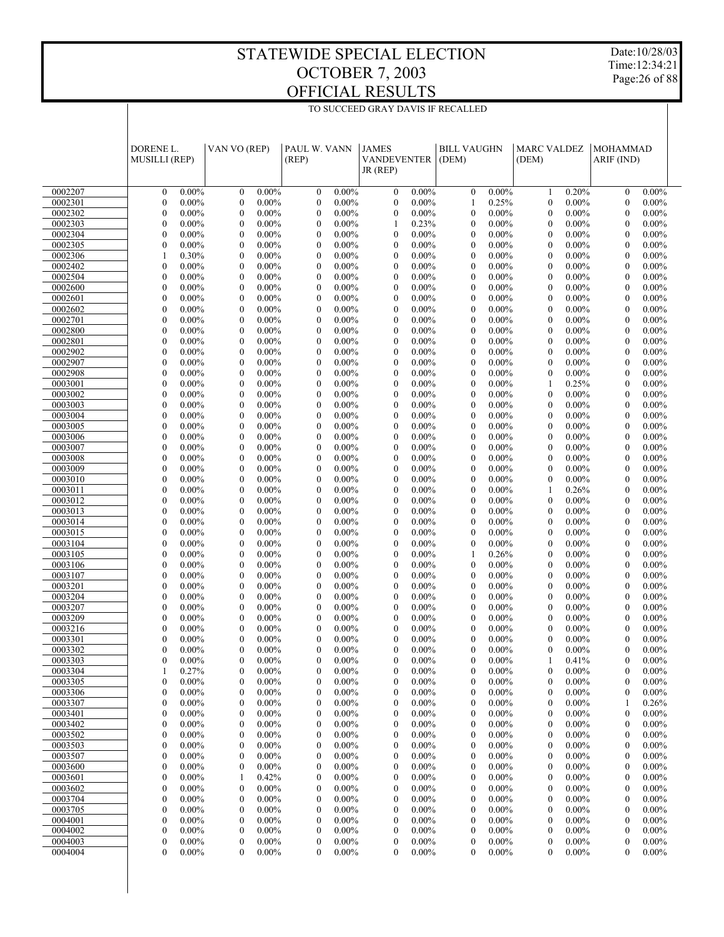TO SUCCEED GRAY DAVIS IF RECALLED

Date:10/28/03 Time:12:34:21 Page:26 of 88

|                    | DORENE L.<br><b>MUSILLI (REP)</b>                        | VAN VO (REP)                     |                      | PAUL W. VANN<br>(REP)                            |                      | <b>JAMES</b><br><b>VANDEVENTER</b><br>JR (REP)               | <b>BILL VAUGHN</b><br>(DEM)      |                      | <b>MARC VALDEZ</b><br>(DEM)      |                      | <b>MOHAMMAD</b><br>ARIF (IND)        |                      |
|--------------------|----------------------------------------------------------|----------------------------------|----------------------|--------------------------------------------------|----------------------|--------------------------------------------------------------|----------------------------------|----------------------|----------------------------------|----------------------|--------------------------------------|----------------------|
|                    |                                                          |                                  |                      |                                                  |                      |                                                              |                                  |                      |                                  |                      |                                      |                      |
| 0002207            | $0.00\%$<br>$\mathbf{0}$                                 | $\boldsymbol{0}$                 | $0.00\%$             | $\boldsymbol{0}$                                 | $0.00\%$             | $0.00\%$<br>$\boldsymbol{0}$                                 | $\mathbf{0}$                     | $0.00\%$             | 1                                | 0.20%                | $\mathbf{0}$                         | $0.00\%$             |
| 0002301            | $0.00\%$<br>$\mathbf{0}$                                 | $\boldsymbol{0}$                 | $0.00\%$             | $\boldsymbol{0}$                                 | $0.00\%$             | 0.00%<br>$\boldsymbol{0}$                                    | $\mathbf{1}$                     | 0.25%                | $\boldsymbol{0}$                 | $0.00\%$             | $\boldsymbol{0}$                     | $0.00\%$             |
| 0002302            | $\mathbf{0}$<br>$0.00\%$                                 | $\mathbf{0}$                     | $0.00\%$             | $\boldsymbol{0}$                                 | $0.00\%$             | $\boldsymbol{0}$<br>$0.00\%$                                 | $\mathbf{0}$                     | $0.00\%$             | $\mathbf{0}$                     | $0.00\%$             | $\mathbf{0}$                         | $0.00\%$             |
| 0002303            | $\mathbf{0}$<br>$0.00\%$                                 | $\boldsymbol{0}$                 | $0.00\%$             | $\boldsymbol{0}$<br>$0.00\%$                     |                      | 0.23%<br>1                                                   | $\mathbf{0}$                     | $0.00\%$             | $\boldsymbol{0}$                 | $0.00\%$             | $\boldsymbol{0}$                     | $0.00\%$             |
| 0002304<br>0002305 | $\mathbf{0}$<br>$0.00\%$<br>$\mathbf{0}$<br>$0.00\%$     | $\mathbf{0}$<br>$\boldsymbol{0}$ | $0.00\%$<br>$0.00\%$ | $\boldsymbol{0}$<br>$\boldsymbol{0}$<br>$0.00\%$ | $0.00\%$             | $\mathbf{0}$<br>$0.00\%$<br>$\boldsymbol{0}$<br>$0.00\%$     | $\mathbf{0}$<br>$\mathbf{0}$     | $0.00\%$<br>$0.00\%$ | $\mathbf{0}$<br>$\mathbf{0}$     | $0.00\%$<br>$0.00\%$ | $\mathbf{0}$<br>$\boldsymbol{0}$     | $0.00\%$<br>$0.00\%$ |
| 0002306            | 0.30%<br>1                                               | $\mathbf{0}$                     | $0.00\%$             | $\boldsymbol{0}$                                 | $0.00\%$             | $\mathbf{0}$<br>$0.00\%$                                     | $\mathbf{0}$                     | $0.00\%$             | $\mathbf{0}$                     | $0.00\%$             | $\mathbf{0}$                         | $0.00\%$             |
| 0002402            | $\mathbf{0}$<br>$0.00\%$                                 | $\boldsymbol{0}$                 | $0.00\%$             | $\boldsymbol{0}$<br>$0.00\%$                     |                      | $\boldsymbol{0}$<br>$0.00\%$                                 | $\boldsymbol{0}$                 | $0.00\%$             | $\boldsymbol{0}$                 | $0.00\%$             | $\boldsymbol{0}$                     | $0.00\%$             |
| 0002504            | $\mathbf{0}$<br>$0.00\%$                                 | $\mathbf{0}$                     | $0.00\%$             | $\boldsymbol{0}$                                 | $0.00\%$             | $\mathbf{0}$<br>$0.00\%$                                     | $\mathbf{0}$                     | $0.00\%$             | $\mathbf{0}$                     | $0.00\%$             | $\mathbf{0}$                         | $0.00\%$             |
| 0002600            | $\mathbf{0}$<br>$0.00\%$                                 | $\boldsymbol{0}$                 | $0.00\%$             | $\boldsymbol{0}$<br>$0.00\%$                     |                      | $\boldsymbol{0}$<br>$0.00\%$                                 | $\boldsymbol{0}$                 | 0.00%                | $\boldsymbol{0}$                 | $0.00\%$             | $\boldsymbol{0}$                     | $0.00\%$             |
| 0002601            | $\mathbf{0}$<br>$0.00\%$                                 | $\mathbf{0}$                     | $0.00\%$             | $\boldsymbol{0}$                                 | $0.00\%$             | $\mathbf{0}$<br>$0.00\%$                                     | $\mathbf{0}$                     | 0.00%                | $\mathbf{0}$                     | $0.00\%$             | $\mathbf{0}$                         | $0.00\%$             |
| 0002602            | $\mathbf{0}$<br>$0.00\%$                                 | $\boldsymbol{0}$                 | $0.00\%$             | $\boldsymbol{0}$<br>$0.00\%$                     |                      | $\boldsymbol{0}$<br>$0.00\%$                                 | $\boldsymbol{0}$                 | 0.00%                | $\boldsymbol{0}$                 | $0.00\%$             | $\boldsymbol{0}$                     | $0.00\%$             |
| 0002701<br>0002800 | $\mathbf{0}$<br>$0.00\%$<br>$\mathbf{0}$<br>$0.00\%$     | $\mathbf{0}$<br>$\boldsymbol{0}$ | $0.00\%$<br>$0.00\%$ | $\boldsymbol{0}$<br>$\boldsymbol{0}$<br>$0.00\%$ | $0.00\%$             | $\mathbf{0}$<br>$0.00\%$<br>$\boldsymbol{0}$<br>$0.00\%$     | $\mathbf{0}$<br>$\mathbf{0}$     | 0.00%<br>0.00%       | $\mathbf{0}$<br>$\mathbf{0}$     | $0.00\%$<br>$0.00\%$ | $\mathbf{0}$<br>$\boldsymbol{0}$     | $0.00\%$<br>$0.00\%$ |
| 0002801            | $\mathbf{0}$<br>$0.00\%$                                 | $\mathbf{0}$                     | $0.00\%$             | $\boldsymbol{0}$                                 | $0.00\%$             | $\mathbf{0}$<br>$0.00\%$                                     | $\mathbf{0}$                     | 0.00%                | $\mathbf{0}$                     | $0.00\%$             | $\mathbf{0}$                         | $0.00\%$             |
| 0002902            | $\mathbf{0}$<br>$0.00\%$                                 | $\boldsymbol{0}$                 | $0.00\%$             | $\boldsymbol{0}$<br>$0.00\%$                     |                      | $\boldsymbol{0}$<br>$0.00\%$                                 | $\boldsymbol{0}$                 | 0.00%                | $\boldsymbol{0}$                 | $0.00\%$             | $\boldsymbol{0}$                     | $0.00\%$             |
| 0002907            | $\mathbf{0}$<br>$0.00\%$                                 | $\mathbf{0}$                     | $0.00\%$             | $\boldsymbol{0}$                                 | $0.00\%$             | $\mathbf{0}$<br>$0.00\%$                                     | $\mathbf{0}$                     | 0.00%                | $\mathbf{0}$                     | $0.00\%$             | $\mathbf{0}$                         | $0.00\%$             |
| 0002908            | $\mathbf{0}$<br>$0.00\%$                                 | $\boldsymbol{0}$                 | $0.00\%$             | $\boldsymbol{0}$<br>$0.00\%$                     |                      | $\boldsymbol{0}$<br>$0.00\%$                                 | $\boldsymbol{0}$                 | $0.00\%$             | $\boldsymbol{0}$                 | $0.00\%$             | $\boldsymbol{0}$                     | $0.00\%$             |
| 0003001            | $\mathbf{0}$<br>$0.00\%$                                 | $\mathbf{0}$                     | $0.00\%$             | $\boldsymbol{0}$                                 | $0.00\%$             | $\mathbf{0}$<br>$0.00\%$                                     | $\mathbf{0}$                     | $0.00\%$             | 1                                | 0.25%                | $\mathbf{0}$                         | $0.00\%$             |
| 0003002            | $\mathbf{0}$<br>$0.00\%$                                 | $\boldsymbol{0}$                 | $0.00\%$             | $\boldsymbol{0}$<br>$0.00\%$                     |                      | $\boldsymbol{0}$<br>$0.00\%$                                 | $\boldsymbol{0}$                 | $0.00\%$             | $\mathbf{0}$                     | $0.00\%$             | $\boldsymbol{0}$                     | $0.00\%$             |
| 0003003<br>0003004 | $\mathbf{0}$<br>$0.00\%$<br>$\mathbf{0}$<br>$0.00\%$     | $\mathbf{0}$<br>$\boldsymbol{0}$ | $0.00\%$<br>$0.00\%$ | $\boldsymbol{0}$<br>$\boldsymbol{0}$<br>$0.00\%$ | $0.00\%$             | $\mathbf{0}$<br>$0.00\%$<br>$\boldsymbol{0}$<br>$0.00\%$     | $\mathbf{0}$<br>$\boldsymbol{0}$ | $0.00\%$<br>$0.00\%$ | $\mathbf{0}$<br>$\mathbf{0}$     | $0.00\%$<br>$0.00\%$ | $\mathbf{0}$<br>$\boldsymbol{0}$     | $0.00\%$<br>$0.00\%$ |
| 0003005            | $\mathbf{0}$<br>$0.00\%$                                 | $\mathbf{0}$                     | $0.00\%$             | $\boldsymbol{0}$                                 | $0.00\%$             | $\mathbf{0}$<br>$0.00\%$                                     | $\mathbf{0}$                     | $0.00\%$             | $\mathbf{0}$                     | $0.00\%$             | $\mathbf{0}$                         | $0.00\%$             |
| 0003006            | $\mathbf{0}$<br>$0.00\%$                                 | $\boldsymbol{0}$                 | $0.00\%$             | $\boldsymbol{0}$<br>$0.00\%$                     |                      | $\boldsymbol{0}$<br>$0.00\%$                                 | $\boldsymbol{0}$                 | $0.00\%$             | $\boldsymbol{0}$                 | $0.00\%$             | $\boldsymbol{0}$                     | $0.00\%$             |
| 0003007            | $\mathbf{0}$<br>$0.00\%$                                 | $\mathbf{0}$                     | $0.00\%$             | $\boldsymbol{0}$                                 | $0.00\%$             | $\mathbf{0}$<br>$0.00\%$                                     | $\mathbf{0}$                     | $0.00\%$             | $\mathbf{0}$                     | $0.00\%$             | $\mathbf{0}$                         | $0.00\%$             |
| 0003008            | $\mathbf{0}$<br>$0.00\%$                                 | $\boldsymbol{0}$                 | $0.00\%$             | $\boldsymbol{0}$<br>$0.00\%$                     |                      | $\boldsymbol{0}$<br>$0.00\%$                                 | $\boldsymbol{0}$                 | $0.00\%$             | $\boldsymbol{0}$                 | $0.00\%$             | $\boldsymbol{0}$                     | $0.00\%$             |
| 0003009            | $\mathbf{0}$<br>$0.00\%$                                 | $\mathbf{0}$                     | $0.00\%$             | $\boldsymbol{0}$                                 | $0.00\%$             | $\mathbf{0}$<br>$0.00\%$                                     | $\mathbf{0}$                     | $0.00\%$             | $\mathbf{0}$                     | $0.00\%$             | $\mathbf{0}$                         | $0.00\%$             |
| 0003010            | $\mathbf{0}$<br>$0.00\%$                                 | $\boldsymbol{0}$                 | $0.00\%$             | $\boldsymbol{0}$<br>$0.00\%$                     |                      | $\boldsymbol{0}$<br>$0.00\%$                                 | $\boldsymbol{0}$                 | $0.00\%$             | $\boldsymbol{0}$                 | $0.00\%$             | $\boldsymbol{0}$                     | $0.00\%$             |
| 0003011<br>0003012 | $\mathbf{0}$<br>$0.00\%$<br>$\mathbf{0}$<br>$0.00\%$     | $\mathbf{0}$<br>$\boldsymbol{0}$ | $0.00\%$<br>$0.00\%$ | $\boldsymbol{0}$<br>$\boldsymbol{0}$<br>$0.00\%$ | $0.00\%$             | $\mathbf{0}$<br>$0.00\%$<br>$\boldsymbol{0}$<br>$0.00\%$     | $\mathbf{0}$<br>$\boldsymbol{0}$ | $0.00\%$<br>$0.00\%$ | 1<br>$\mathbf{0}$                | 0.26%<br>$0.00\%$    | $\mathbf{0}$<br>$\boldsymbol{0}$     | $0.00\%$<br>$0.00\%$ |
| 0003013            | $\mathbf{0}$<br>$0.00\%$                                 | $\mathbf{0}$                     | $0.00\%$             | $\boldsymbol{0}$                                 | $0.00\%$             | $\mathbf{0}$<br>$0.00\%$                                     | $\mathbf{0}$                     | $0.00\%$             | $\mathbf{0}$                     | $0.00\%$             | $\mathbf{0}$                         | $0.00\%$             |
| 0003014            | $\mathbf{0}$<br>$0.00\%$                                 | $\boldsymbol{0}$                 | $0.00\%$             | $\boldsymbol{0}$<br>$0.00\%$                     |                      | $\boldsymbol{0}$<br>$0.00\%$                                 | $\boldsymbol{0}$                 | $0.00\%$             | $\boldsymbol{0}$                 | $0.00\%$             | $\boldsymbol{0}$                     | $0.00\%$             |
| 0003015            | $\mathbf{0}$<br>$0.00\%$                                 | $\mathbf{0}$                     | $0.00\%$             | $\boldsymbol{0}$                                 | $0.00\%$             | $\mathbf{0}$<br>$0.00\%$                                     | $\mathbf{0}$                     | $0.00\%$             | $\mathbf{0}$                     | $0.00\%$             | $\mathbf{0}$                         | $0.00\%$             |
| 0003104            | $\mathbf{0}$<br>$0.00\%$                                 | $\boldsymbol{0}$                 | $0.00\%$             | $\boldsymbol{0}$<br>$0.00\%$                     |                      | $\boldsymbol{0}$<br>$0.00\%$                                 | $\boldsymbol{0}$                 | $0.00\%$             | $\boldsymbol{0}$                 | $0.00\%$             | $\boldsymbol{0}$                     | $0.00\%$             |
| 0003105            | $\mathbf{0}$<br>$0.00\%$                                 | $\mathbf{0}$                     | $0.00\%$             | $\boldsymbol{0}$                                 | $0.00\%$             | $\mathbf{0}$<br>$0.00\%$                                     | $\mathbf{1}$                     | 0.26%                | $\mathbf{0}$                     | $0.00\%$             | $\mathbf{0}$                         | $0.00\%$             |
| 0003106<br>0003107 | $\mathbf{0}$<br>$0.00\%$<br>$\mathbf{0}$<br>$0.00\%$     | $\boldsymbol{0}$<br>$\mathbf{0}$ | $0.00\%$<br>$0.00\%$ | $\boldsymbol{0}$<br>$0.00\%$<br>$\boldsymbol{0}$ | $0.00\%$             | $\boldsymbol{0}$<br>$0.00\%$<br>$\mathbf{0}$<br>$0.00\%$     | $\mathbf{0}$<br>$\mathbf{0}$     | $0.00\%$<br>$0.00\%$ | $\boldsymbol{0}$<br>$\mathbf{0}$ | $0.00\%$<br>$0.00\%$ | $\boldsymbol{0}$<br>$\mathbf{0}$     | $0.00\%$<br>$0.00\%$ |
| 0003201            | $\mathbf{0}$<br>$0.00\%$                                 | $\boldsymbol{0}$                 | $0.00\%$             | $\boldsymbol{0}$<br>$0.00\%$                     |                      | $\boldsymbol{0}$<br>$0.00\%$                                 | $\boldsymbol{0}$                 | $0.00\%$             | $\mathbf{0}$                     | $0.00\%$             | $\boldsymbol{0}$                     | $0.00\%$             |
| 0003204            | $\mathbf{0}$<br>$0.00\%$                                 | $\mathbf{0}$                     | $0.00\%$             | $\boldsymbol{0}$                                 | $0.00\%$             | $\mathbf{0}$<br>$0.00\%$                                     | $\mathbf{0}$                     | $0.00\%$             | $\mathbf{0}$                     | $0.00\%$             | $\mathbf{0}$                         | $0.00\%$             |
| 0003207            | $\mathbf{0}$<br>$0.00\%$                                 | $\boldsymbol{0}$                 | $0.00\%$             | $\boldsymbol{0}$                                 | $0.00\%$             | $\boldsymbol{0}$<br>$0.00\%$                                 | $\boldsymbol{0}$                 | $0.00\%$             | $\boldsymbol{0}$                 | $0.00\%$             | $\boldsymbol{0}$                     | $0.00\%$             |
| 0003209            | $\mathbf{0}$<br>$0.00\%$                                 | $\mathbf{0}$                     | $0.00\%$             | $\boldsymbol{0}$                                 | $0.00\%$             | $\mathbf{0}$<br>$0.00\%$                                     | $\mathbf{0}$                     | $0.00\%$             | $\mathbf{0}$                     | $0.00\%$             | $\mathbf{0}$                         | $0.00\%$             |
| 0003216            | $0.00\%$<br>$\mathbf{0}$                                 | $\boldsymbol{0}$                 | $0.00\%$             | $\boldsymbol{0}$                                 | $0.00\%$             | $\boldsymbol{0}$<br>$0.00\%$                                 | $\mathbf{0}$                     | $0.00\%$             | $\mathbf{0}$                     | $0.00\%$             | $\mathbf{0}$                         | $0.00\%$             |
| 0003301            | $0.00\%$<br>$\theta$<br>$\theta$                         | $\theta$<br>$\Omega$             | $0.00\%$             | $\mathbf{0}$<br>$\Omega$                         | $0.00\%$             | $\overline{0}$<br>$0.00\%$<br>$\theta$                       | $\mathbf{0}$<br>$\Omega$         | $0.00\%$             | $\mathbf{0}$<br>$\theta$         | $0.00\%$             | $\mathbf{0}$<br>$\Omega$             | $0.00\%$             |
| 0003302<br>0003303 | $0.00\%$<br>$0.00\%$<br>0                                | 0                                | $0.00\%$<br>$0.00\%$ | $\boldsymbol{0}$                                 | $0.00\%$<br>$0.00\%$ | $0.00\%$<br>$0.00\%$<br>$\boldsymbol{0}$                     | $\mathbf{0}$                     | $0.00\%$<br>$0.00\%$ |                                  | $0.00\%$<br>0.41%    | $\boldsymbol{0}$                     | $0.00\%$<br>$0.00\%$ |
| 0003304            | 0.27%<br>1                                               | $\boldsymbol{0}$                 | $0.00\%$             | $\boldsymbol{0}$                                 | $0.00\%$             | $0.00\%$<br>$\boldsymbol{0}$                                 | $\boldsymbol{0}$                 | $0.00\%$             | $\mathbf{0}$                     | $0.00\%$             | $\boldsymbol{0}$                     | $0.00\%$             |
| 0003305            | 0<br>$0.00\%$                                            | $\mathbf{0}$                     | $0.00\%$             | $\boldsymbol{0}$                                 | $0.00\%$             | $\mathbf{0}$<br>$0.00\%$                                     | $\boldsymbol{0}$                 | $0.00\%$             | $\mathbf{0}$                     | $0.00\%$             | $\boldsymbol{0}$                     | $0.00\%$             |
| 0003306            | $\mathbf{0}$<br>$0.00\%$                                 | 0                                | $0.00\%$             | $\boldsymbol{0}$                                 | $0.00\%$             | $0.00\%$<br>$\boldsymbol{0}$                                 | $\boldsymbol{0}$                 | $0.00\%$             | 0                                | $0.00\%$             | $\boldsymbol{0}$                     | $0.00\%$             |
| 0003307            | $\mathbf{0}$<br>$0.00\%$                                 | $\boldsymbol{0}$                 | $0.00\%$             | $\boldsymbol{0}$                                 | $0.00\%$             | $\boldsymbol{0}$<br>$0.00\%$                                 | $\boldsymbol{0}$                 | $0.00\%$             | $\mathbf{0}$                     | $0.00\%$             | $\mathbf{1}$                         | 0.26%                |
| 0003401            | $\boldsymbol{0}$<br>$0.00\%$                             | 0                                | $0.00\%$             | $\boldsymbol{0}$                                 | $0.00\%$             | $\boldsymbol{0}$<br>$0.00\%$                                 | $\mathbf{0}$                     | $0.00\%$             | 0                                | $0.00\%$             | $\boldsymbol{0}$                     | $0.00\%$             |
| 0003402            | $\mathbf{0}$<br>$0.00\%$                                 | $\mathbf{0}$                     | $0.00\%$             | $\boldsymbol{0}$                                 | $0.00\%$<br>$0.00\%$ | $\mathbf{0}$<br>$0.00\%$<br>$0.00\%$                         | $\boldsymbol{0}$                 | $0.00\%$             | $\mathbf{0}$                     | $0.00\%$<br>$0.00\%$ | $\boldsymbol{0}$                     | $0.00\%$             |
| 0003502<br>0003503 | $\boldsymbol{0}$<br>$0.00\%$<br>$\mathbf{0}$<br>$0.00\%$ | 0<br>$\boldsymbol{0}$            | $0.00\%$<br>$0.00\%$ | $\boldsymbol{0}$<br>$\boldsymbol{0}$             | $0.00\%$             | $\boldsymbol{0}$<br>$\boldsymbol{0}$<br>$0.00\%$             | $\mathbf{0}$<br>$\boldsymbol{0}$ | $0.00\%$<br>$0.00\%$ | 0<br>$\mathbf{0}$                | $0.00\%$             | $\boldsymbol{0}$<br>$\boldsymbol{0}$ | $0.00\%$<br>$0.00\%$ |
| 0003507            | $\boldsymbol{0}$<br>$0.00\%$                             | $\boldsymbol{0}$                 | $0.00\%$             | $\boldsymbol{0}$                                 | $0.00\%$             | $0.00\%$<br>$\boldsymbol{0}$                                 | $\mathbf{0}$                     | $0.00\%$             | 0                                | $0.00\%$             | $\boldsymbol{0}$                     | $0.00\%$             |
| 0003600            | $\mathbf{0}$<br>$0.00\%$                                 | $\boldsymbol{0}$                 | $0.00\%$             | $\boldsymbol{0}$                                 | $0.00\%$             | $\mathbf{0}$<br>$0.00\%$                                     | $\boldsymbol{0}$                 | $0.00\%$             | $\mathbf{0}$                     | $0.00\%$             | $\boldsymbol{0}$                     | $0.00\%$             |
| 0003601            | $\boldsymbol{0}$<br>$0.00\%$                             | 1                                | 0.42%                | $\boldsymbol{0}$                                 | $0.00\%$             | $0.00\%$<br>$\boldsymbol{0}$                                 | $\mathbf{0}$                     | $0.00\%$             | 0                                | $0.00\%$             | $\boldsymbol{0}$                     | $0.00\%$             |
| 0003602            | $\mathbf{0}$<br>$0.00\%$                                 | $\boldsymbol{0}$                 | $0.00\%$             | $\boldsymbol{0}$                                 | $0.00\%$             | $\boldsymbol{0}$<br>$0.00\%$                                 | $\boldsymbol{0}$                 | $0.00\%$             | $\mathbf{0}$                     | $0.00\%$             | $\boldsymbol{0}$                     | $0.00\%$             |
| 0003704            | $\boldsymbol{0}$<br>$0.00\%$                             | 0                                | $0.00\%$             | $\boldsymbol{0}$                                 | $0.00\%$             | $\boldsymbol{0}$<br>$0.00\%$                                 | $\mathbf{0}$                     | $0.00\%$             | 0                                | $0.00\%$             | $\boldsymbol{0}$                     | $0.00\%$             |
| 0003705<br>0004001 | $\mathbf{0}$<br>$0.00\%$<br>$\boldsymbol{0}$<br>$0.00\%$ | $\mathbf{0}$<br>0                | $0.00\%$<br>$0.00\%$ | $\boldsymbol{0}$<br>$\boldsymbol{0}$             | $0.00\%$<br>$0.00\%$ | $\boldsymbol{0}$<br>$0.00\%$<br>$\boldsymbol{0}$<br>$0.00\%$ | $\boldsymbol{0}$<br>$\mathbf{0}$ | $0.00\%$<br>$0.00\%$ | $\mathbf{0}$<br>0                | $0.00\%$<br>$0.00\%$ | $\boldsymbol{0}$<br>$\boldsymbol{0}$ | $0.00\%$<br>$0.00\%$ |
| 0004002            | $\mathbf{0}$<br>$0.00\%$                                 | $\boldsymbol{0}$                 | $0.00\%$             | $\boldsymbol{0}$                                 | $0.00\%$             | $\mathbf{0}$<br>$0.00\%$                                     | $\boldsymbol{0}$                 | $0.00\%$             | 0                                | $0.00\%$             | $\boldsymbol{0}$                     | $0.00\%$             |
| 0004003            | $\boldsymbol{0}$<br>$0.00\%$                             | $\boldsymbol{0}$                 | $0.00\%$             | $\boldsymbol{0}$                                 | $0.00\%$             | $\boldsymbol{0}$<br>$0.00\%$                                 | $\boldsymbol{0}$                 | $0.00\%$             | $\mathbf{0}$                     | $0.00\%$             | $\boldsymbol{0}$                     | $0.00\%$             |
| 0004004            | $\mathbf{0}$<br>$0.00\%$                                 | $\overline{0}$                   | $0.00\%$             | $\mathbf{0}$                                     | $0.00\%$             | $\overline{0}$<br>$0.00\%$                                   | $\boldsymbol{0}$                 | $0.00\%$             | $\boldsymbol{0}$                 | $0.00\%$             | $\boldsymbol{0}$                     | $0.00\%$             |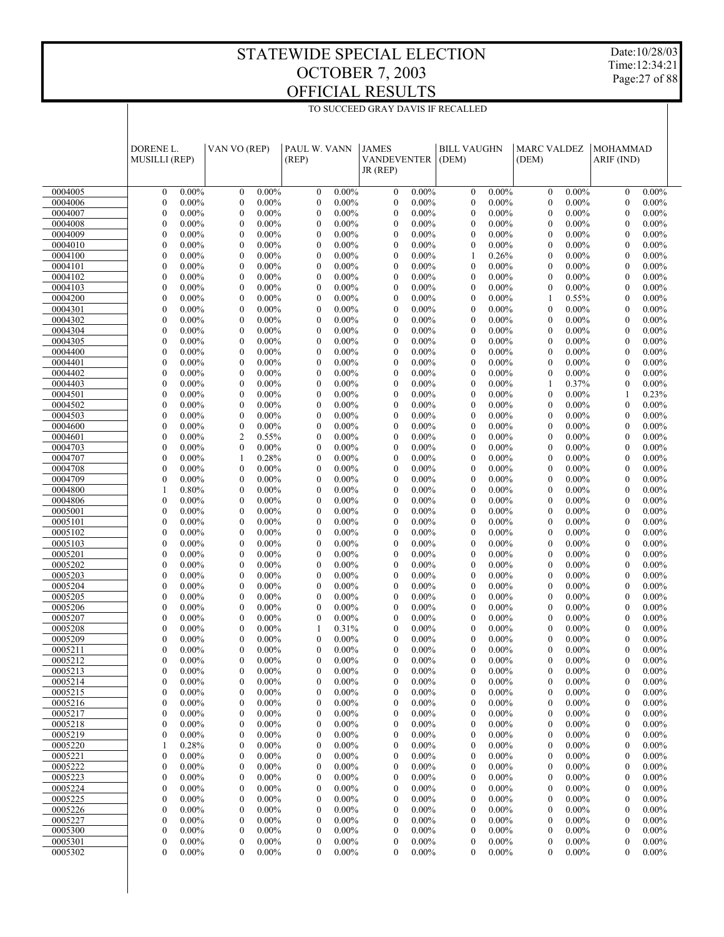Date:10/28/03 Time:12:34:21 Page:27 of 88

|                    | DORENE L.<br><b>MUSILLI (REP)</b>                            | VAN VO (REP)                                               | PAUL W. VANN<br>(REP)                                        | <b>JAMES</b><br><b>VANDEVENTER</b><br>$JR$ (REP)             | <b>BILL VAUGHN</b><br>(DEM)                                  | <b>MARC VALDEZ</b><br>(DEM)                                  | <b>MOHAMMAD</b><br>ARIF (IND)                                |  |
|--------------------|--------------------------------------------------------------|------------------------------------------------------------|--------------------------------------------------------------|--------------------------------------------------------------|--------------------------------------------------------------|--------------------------------------------------------------|--------------------------------------------------------------|--|
| 0004005            | $\mathbf{0}$<br>$0.00\%$                                     | $0.00\%$<br>$\mathbf{0}$                                   | $\mathbf{0}$<br>$0.00\%$                                     | $0.00\%$<br>$\theta$                                         | $0.00\%$<br>$\mathbf{0}$                                     | $0.00\%$<br>$\boldsymbol{0}$                                 | $\mathbf{0}$<br>$0.00\%$                                     |  |
| 0004006            | $\boldsymbol{0}$<br>$0.00\%$                                 | $\boldsymbol{0}$<br>$0.00\%$                               | $\boldsymbol{0}$<br>$0.00\%$                                 | $\boldsymbol{0}$<br>$0.00\%$                                 | $\boldsymbol{0}$<br>$0.00\%$                                 | $\boldsymbol{0}$<br>$0.00\%$                                 | $\boldsymbol{0}$<br>$0.00\%$                                 |  |
| 0004007            | $\mathbf{0}$<br>$0.00\%$                                     | $\mathbf{0}$<br>$0.00\%$                                   | $\mathbf{0}$<br>$0.00\%$                                     | $\mathbf{0}$<br>$0.00\%$                                     | $\mathbf{0}$<br>$0.00\%$                                     | $\mathbf{0}$<br>$0.00\%$                                     | $\mathbf{0}$<br>$0.00\%$                                     |  |
| 0004008            | $\boldsymbol{0}$<br>$0.00\%$                                 | $\boldsymbol{0}$<br>$0.00\%$                               | $\boldsymbol{0}$<br>$0.00\%$                                 | $\boldsymbol{0}$<br>$0.00\%$                                 | $\boldsymbol{0}$<br>$0.00\%$                                 | $\boldsymbol{0}$<br>$0.00\%$                                 | $\boldsymbol{0}$<br>$0.00\%$                                 |  |
| 0004009            | $\overline{0}$<br>$0.00\%$                                   | $\overline{0}$<br>$0.00\%$                                 | $\boldsymbol{0}$<br>$0.00\%$                                 | $\mathbf{0}$<br>$0.00\%$                                     | $\mathbf{0}$<br>$0.00\%$                                     | $\boldsymbol{0}$<br>$0.00\%$                                 | $\mathbf{0}$<br>$0.00\%$                                     |  |
| 0004010<br>0004100 | $\boldsymbol{0}$<br>0.00%<br>$\overline{0}$<br>$0.00\%$      | $\boldsymbol{0}$<br>$0.00\%$<br>$\overline{0}$<br>$0.00\%$ | $\boldsymbol{0}$<br>$0.00\%$<br>$\boldsymbol{0}$<br>$0.00\%$ | $\boldsymbol{0}$<br>$0.00\%$<br>$\mathbf{0}$<br>$0.00\%$     | $\boldsymbol{0}$<br>$0.00\%$<br>$\mathbf{1}$<br>0.26%        | $\boldsymbol{0}$<br>$0.00\%$<br>$\mathbf{0}$<br>$0.00\%$     | $\boldsymbol{0}$<br>$0.00\%$<br>$\mathbf{0}$<br>$0.00\%$     |  |
| 0004101            | $\boldsymbol{0}$<br>$0.00\%$                                 | $\boldsymbol{0}$<br>$0.00\%$                               | $\boldsymbol{0}$<br>$0.00\%$                                 | $\boldsymbol{0}$<br>$0.00\%$                                 | $\boldsymbol{0}$<br>$0.00\%$                                 | $\boldsymbol{0}$<br>$0.00\%$                                 | $\boldsymbol{0}$<br>$0.00\%$                                 |  |
| 0004102            | $\boldsymbol{0}$<br>$0.00\%$                                 | $\overline{0}$<br>$0.00\%$                                 | $\boldsymbol{0}$<br>$0.00\%$                                 | $\mathbf{0}$<br>$0.00\%$                                     | $\mathbf{0}$<br>$0.00\%$                                     | $\boldsymbol{0}$<br>$0.00\%$                                 | $\mathbf{0}$<br>$0.00\%$                                     |  |
| 0004103            | $\boldsymbol{0}$<br>0.00%                                    | $\boldsymbol{0}$<br>$0.00\%$                               | $\boldsymbol{0}$<br>$0.00\%$                                 | $\boldsymbol{0}$<br>$0.00\%$                                 | $\boldsymbol{0}$<br>$0.00\%$                                 | $\boldsymbol{0}$<br>$0.00\%$                                 | $\boldsymbol{0}$<br>$0.00\%$                                 |  |
| 0004200            | $\overline{0}$<br>$0.00\%$                                   | $\overline{0}$<br>$0.00\%$                                 | $\boldsymbol{0}$<br>$0.00\%$                                 | $\mathbf{0}$<br>$0.00\%$                                     | $\mathbf{0}$<br>$0.00\%$                                     | 0.55%<br>1                                                   | $\mathbf{0}$<br>$0.00\%$                                     |  |
| 0004301            | $\boldsymbol{0}$<br>$0.00\%$                                 | $\boldsymbol{0}$<br>$0.00\%$                               | $\boldsymbol{0}$<br>$0.00\%$                                 | $\boldsymbol{0}$<br>$0.00\%$                                 | $\boldsymbol{0}$<br>$0.00\%$                                 | $\boldsymbol{0}$<br>$0.00\%$                                 | $\boldsymbol{0}$<br>$0.00\%$                                 |  |
| 0004302            | $\overline{0}$<br>$0.00\%$                                   | $\overline{0}$<br>$0.00\%$                                 | $\boldsymbol{0}$<br>$0.00\%$                                 | $\mathbf{0}$<br>$0.00\%$                                     | $\mathbf{0}$<br>$0.00\%$                                     | $\boldsymbol{0}$<br>$0.00\%$                                 | $\mathbf{0}$<br>$0.00\%$                                     |  |
| 0004304            | $\boldsymbol{0}$<br>0.00%<br>$\overline{0}$<br>$0.00\%$      | $\boldsymbol{0}$<br>$0.00\%$<br>$\overline{0}$             | $\boldsymbol{0}$<br>$0.00\%$<br>$0.00\%$                     | $\boldsymbol{0}$<br>$0.00\%$<br>$\mathbf{0}$                 | $\boldsymbol{0}$<br>$0.00\%$<br>$\mathbf{0}$<br>$0.00\%$     | $\boldsymbol{0}$<br>$0.00\%$<br>$\overline{0}$               | $\boldsymbol{0}$<br>$0.00\%$<br>$\mathbf{0}$<br>$0.00\%$     |  |
| 0004305<br>0004400 | $\boldsymbol{0}$<br>$0.00\%$                                 | $0.00\%$<br>$\boldsymbol{0}$<br>$0.00\%$                   | $\boldsymbol{0}$<br>$\boldsymbol{0}$<br>$0.00\%$             | $0.00\%$<br>$\boldsymbol{0}$<br>$0.00\%$                     | $\boldsymbol{0}$<br>$0.00\%$                                 | $0.00\%$<br>$\boldsymbol{0}$<br>$0.00\%$                     | $\boldsymbol{0}$<br>$0.00\%$                                 |  |
| 0004401            | $\overline{0}$<br>$0.00\%$                                   | $\overline{0}$<br>$0.00\%$                                 | $\boldsymbol{0}$<br>$0.00\%$                                 | $\mathbf{0}$<br>$0.00\%$                                     | $\mathbf{0}$<br>$0.00\%$                                     | $\boldsymbol{0}$<br>$0.00\%$                                 | $\mathbf{0}$<br>$0.00\%$                                     |  |
| 0004402            | $\boldsymbol{0}$<br>0.00%                                    | $\boldsymbol{0}$<br>$0.00\%$                               | $\boldsymbol{0}$<br>$0.00\%$                                 | $\boldsymbol{0}$<br>$0.00\%$                                 | $\boldsymbol{0}$<br>$0.00\%$                                 | $\boldsymbol{0}$<br>$0.00\%$                                 | $\boldsymbol{0}$<br>$0.00\%$                                 |  |
| 0004403            | $\overline{0}$<br>$0.00\%$                                   | $\overline{0}$<br>$0.00\%$                                 | $\boldsymbol{0}$<br>$0.00\%$                                 | $\mathbf{0}$<br>$0.00\%$                                     | $\mathbf{0}$<br>$0.00\%$                                     | 0.37%<br>1                                                   | $\mathbf{0}$<br>$0.00\%$                                     |  |
| 0004501            | $\boldsymbol{0}$<br>$0.00\%$                                 | $\boldsymbol{0}$<br>$0.00\%$                               | $\boldsymbol{0}$<br>$0.00\%$                                 | $\boldsymbol{0}$<br>$0.00\%$                                 | $\boldsymbol{0}$<br>$0.00\%$                                 | $\boldsymbol{0}$<br>$0.00\%$                                 | $\mathbf{1}$<br>0.23%                                        |  |
| 0004502            | $\mathbf{0}$<br>$0.00\%$                                     | $\overline{0}$<br>$0.00\%$                                 | $\boldsymbol{0}$<br>$0.00\%$                                 | $\mathbf{0}$<br>$0.00\%$                                     | $\mathbf{0}$<br>$0.00\%$                                     | $\boldsymbol{0}$<br>$0.00\%$                                 | $\mathbf{0}$<br>$0.00\%$                                     |  |
| 0004503            | $\boldsymbol{0}$<br>0.00%                                    | $\boldsymbol{0}$<br>$0.00\%$                               | $\boldsymbol{0}$<br>$0.00\%$                                 | $\boldsymbol{0}$<br>$0.00\%$                                 | $\boldsymbol{0}$<br>$0.00\%$                                 | $\boldsymbol{0}$<br>$0.00\%$                                 | $\boldsymbol{0}$<br>$0.00\%$                                 |  |
| 0004600            | $\overline{0}$<br>$0.00\%$                                   | $\overline{0}$<br>$0.00\%$                                 | $\boldsymbol{0}$<br>$0.00\%$                                 | $\mathbf{0}$<br>$0.00\%$                                     | $\mathbf{0}$<br>$0.00\%$                                     | $\mathbf{0}$<br>$0.00\%$                                     | $\mathbf{0}$<br>$0.00\%$                                     |  |
| 0004601<br>0004703 | $\boldsymbol{0}$<br>$0.00\%$<br>$\overline{0}$<br>$0.00\%$   | $\overline{2}$<br>0.55%<br>$\overline{0}$<br>$0.00\%$      | $\boldsymbol{0}$<br>$0.00\%$<br>$\boldsymbol{0}$<br>$0.00\%$ | $\boldsymbol{0}$<br>$0.00\%$<br>$\mathbf{0}$<br>$0.00\%$     | $\boldsymbol{0}$<br>$0.00\%$<br>$\boldsymbol{0}$<br>$0.00\%$ | $\boldsymbol{0}$<br>$0.00\%$<br>$\boldsymbol{0}$<br>$0.00\%$ | $\boldsymbol{0}$<br>$0.00\%$<br>$\mathbf{0}$<br>$0.00\%$     |  |
| 0004707            | $\boldsymbol{0}$<br>0.00%                                    | 0.28%<br>1                                                 | $\boldsymbol{0}$<br>$0.00\%$                                 | $\boldsymbol{0}$<br>$0.00\%$                                 | $\boldsymbol{0}$<br>$0.00\%$                                 | $\boldsymbol{0}$<br>$0.00\%$                                 | $\boldsymbol{0}$<br>$0.00\%$                                 |  |
| 0004708            | $\overline{0}$<br>$0.00\%$                                   | $\overline{0}$<br>$0.00\%$                                 | $\boldsymbol{0}$<br>$0.00\%$                                 | $\mathbf{0}$<br>$0.00\%$                                     | $\mathbf{0}$<br>$0.00\%$                                     | $\mathbf{0}$<br>$0.00\%$                                     | $\mathbf{0}$<br>$0.00\%$                                     |  |
| 0004709            | $\boldsymbol{0}$<br>$0.00\%$                                 | $\boldsymbol{0}$<br>$0.00\%$                               | $\boldsymbol{0}$<br>$0.00\%$                                 | $\boldsymbol{0}$<br>$0.00\%$                                 | $\boldsymbol{0}$<br>$0.00\%$                                 | $\boldsymbol{0}$<br>$0.00\%$                                 | $\boldsymbol{0}$<br>$0.00\%$                                 |  |
| 0004800            | 0.80%<br>$\mathbf{1}$                                        | $\overline{0}$<br>$0.00\%$                                 | $\boldsymbol{0}$<br>$0.00\%$                                 | $\mathbf{0}$<br>$0.00\%$                                     | $\mathbf{0}$<br>$0.00\%$                                     | $\boldsymbol{0}$<br>$0.00\%$                                 | $\mathbf{0}$<br>$0.00\%$                                     |  |
| 0004806            | $\boldsymbol{0}$<br>0.00%                                    | $\boldsymbol{0}$<br>$0.00\%$                               | $\boldsymbol{0}$<br>$0.00\%$                                 | $\boldsymbol{0}$<br>$0.00\%$                                 | $\boldsymbol{0}$<br>$0.00\%$                                 | $\boldsymbol{0}$<br>$0.00\%$                                 | $\boldsymbol{0}$<br>$0.00\%$                                 |  |
| 0005001            | $\overline{0}$<br>$0.00\%$                                   | $\overline{0}$<br>$0.00\%$                                 | $\boldsymbol{0}$<br>$0.00\%$                                 | $\mathbf{0}$<br>$0.00\%$                                     | $\mathbf{0}$<br>$0.00\%$                                     | $\mathbf{0}$<br>$0.00\%$                                     | $\mathbf{0}$<br>$0.00\%$                                     |  |
| 0005101            | $\boldsymbol{0}$<br>$0.00\%$                                 | $\boldsymbol{0}$<br>$0.00\%$                               | $\boldsymbol{0}$<br>$0.00\%$                                 | $\boldsymbol{0}$<br>$0.00\%$                                 | $\boldsymbol{0}$<br>$0.00\%$                                 | $\boldsymbol{0}$<br>$0.00\%$                                 | $\boldsymbol{0}$<br>$0.00\%$                                 |  |
| 0005102<br>0005103 | $\overline{0}$<br>$0.00\%$<br>$\boldsymbol{0}$<br>0.00%      | $\overline{0}$<br>$0.00\%$<br>$\boldsymbol{0}$<br>$0.00\%$ | $\boldsymbol{0}$<br>$0.00\%$<br>$\boldsymbol{0}$<br>$0.00\%$ | $\mathbf{0}$<br>$0.00\%$<br>$\boldsymbol{0}$<br>$0.00\%$     | $\mathbf{0}$<br>$0.00\%$<br>$\boldsymbol{0}$<br>$0.00\%$     | $\boldsymbol{0}$<br>$0.00\%$<br>$\boldsymbol{0}$<br>$0.00\%$ | $\mathbf{0}$<br>$0.00\%$<br>$\boldsymbol{0}$<br>$0.00\%$     |  |
| 0005201            | $\overline{0}$<br>$0.00\%$                                   | $\overline{0}$<br>$0.00\%$                                 | $\boldsymbol{0}$<br>$0.00\%$                                 | $\mathbf{0}$<br>$0.00\%$                                     | $\mathbf{0}$<br>$0.00\%$                                     | $\overline{0}$<br>$0.00\%$                                   | $\mathbf{0}$<br>$0.00\%$                                     |  |
| 0005202            | $\boldsymbol{0}$<br>$0.00\%$                                 | $\boldsymbol{0}$<br>$0.00\%$                               | $\boldsymbol{0}$<br>$0.00\%$                                 | $\boldsymbol{0}$<br>$0.00\%$                                 | $\boldsymbol{0}$<br>$0.00\%$                                 | $\boldsymbol{0}$<br>$0.00\%$                                 | $\boldsymbol{0}$<br>$0.00\%$                                 |  |
| 0005203            | $\overline{0}$<br>$0.00\%$                                   | $\overline{0}$<br>$0.00\%$                                 | $\boldsymbol{0}$<br>$0.00\%$                                 | $\mathbf{0}$<br>$0.00\%$                                     | $\mathbf{0}$<br>$0.00\%$                                     | $\boldsymbol{0}$<br>$0.00\%$                                 | $\mathbf{0}$<br>$0.00\%$                                     |  |
| 0005204            | $\boldsymbol{0}$<br>0.00%                                    | $\boldsymbol{0}$<br>$0.00\%$                               | $\boldsymbol{0}$<br>$0.00\%$                                 | $\boldsymbol{0}$<br>$0.00\%$                                 | $\boldsymbol{0}$<br>$0.00\%$                                 | $\boldsymbol{0}$<br>$0.00\%$                                 | $\boldsymbol{0}$<br>$0.00\%$                                 |  |
| 0005205            | $\overline{0}$<br>$0.00\%$                                   | $\overline{0}$<br>$0.00\%$                                 | $\boldsymbol{0}$<br>$0.00\%$                                 | $\mathbf{0}$<br>$0.00\%$                                     | $\mathbf{0}$<br>$0.00\%$                                     | $\mathbf{0}$<br>$0.00\%$                                     | $\mathbf{0}$<br>$0.00\%$                                     |  |
| 0005206            | $\boldsymbol{0}$<br>$0.00\%$                                 | $\boldsymbol{0}$<br>$0.00\%$                               | $\boldsymbol{0}$<br>$0.00\%$                                 | $\boldsymbol{0}$<br>$0.00\%$                                 | $\boldsymbol{0}$<br>$0.00\%$                                 | $\boldsymbol{0}$<br>$0.00\%$                                 | $\boldsymbol{0}$<br>$0.00\%$                                 |  |
| 0005207<br>0005208 | $\overline{0}$<br>$0.00\%$<br>0.00%<br>$\boldsymbol{0}$      | $\overline{0}$<br>$0.00\%$<br>$\mathbf{0}$<br>$0.00\%$     | $\boldsymbol{0}$<br>$0.00\%$<br>1                            | $\mathbf{0}$<br>$0.00\%$<br>$\mathbf{0}$<br>$0.00\%$         | $\mathbf{0}$<br>$0.00\%$<br>$\boldsymbol{0}$<br>$0.00\%$     | $\boldsymbol{0}$<br>$0.00\%$<br>$\boldsymbol{0}$<br>$0.00\%$ | $\mathbf{0}$<br>$0.00\%$<br>$\boldsymbol{0}$<br>$0.00\%$     |  |
| 0005209            | $\overline{0}$<br>$0.00\%$                                   | $\theta$<br>$0.00\%$                                       | 0.31%<br>$\mathbf{0}$<br>$0.00\%$                            | $\theta$<br>$0.00\%$                                         | $\mathbf{0}$<br>$0.00\%$                                     | $\mathbf{0}$<br>$0.00\%$                                     | $\theta$<br>$0.00\%$                                         |  |
| 0005211            | $\mathbf{0}$<br>$0.00\%$                                     | $\mathbf{0}$<br>$0.00\%$                                   | $\boldsymbol{0}$<br>$0.00\%$                                 | $\mathbf{0}$<br>$0.00\%$                                     | $\mathbf{0}$<br>$0.00\%$                                     | $\boldsymbol{0}$<br>$0.00\%$                                 | $\mathbf{0}$<br>$0.00\%$                                     |  |
| 0005212            | $\boldsymbol{0}$<br>$0.00\%$                                 | $\boldsymbol{0}$<br>$0.00\%$                               | 0<br>$0.00\%$                                                | $\mathbf{0}$<br>0.00%                                        | $0.00\%$<br>$\boldsymbol{0}$                                 | $0.00\%$<br>$\boldsymbol{0}$                                 | $0.00\%$<br>$\bf{0}$                                         |  |
| 0005213            | $0.00\%$<br>$\boldsymbol{0}$                                 | 0<br>$0.00\%$                                              | $\boldsymbol{0}$<br>$0.00\%$                                 | $\boldsymbol{0}$<br>$0.00\%$                                 | $0.00\%$<br>$\boldsymbol{0}$                                 | $\boldsymbol{0}$<br>$0.00\%$                                 | $\boldsymbol{0}$<br>$0.00\%$                                 |  |
| 0005214            | 0<br>$0.00\%$                                                | 0<br>$0.00\%$                                              | $\boldsymbol{0}$<br>$0.00\%$                                 | $\boldsymbol{0}$<br>$0.00\%$                                 | $\boldsymbol{0}$<br>$0.00\%$                                 | $\boldsymbol{0}$<br>$0.00\%$                                 | $\boldsymbol{0}$<br>$0.00\%$                                 |  |
| 0005215            | $\boldsymbol{0}$<br>$0.00\%$                                 | $0.00\%$<br>$\boldsymbol{0}$                               | $\boldsymbol{0}$<br>$0.00\%$                                 | $0.00\%$<br>$\boldsymbol{0}$                                 | $\boldsymbol{0}$<br>$0.00\%$                                 | $\boldsymbol{0}$<br>$0.00\%$                                 | $\boldsymbol{0}$<br>$0.00\%$                                 |  |
| 0005216            | 0<br>$0.00\%$                                                | 0<br>$0.00\%$                                              | $\boldsymbol{0}$<br>$0.00\%$                                 | $\boldsymbol{0}$<br>$0.00\%$                                 | $\boldsymbol{0}$<br>$0.00\%$                                 | $\boldsymbol{0}$<br>$0.00\%$                                 | $\boldsymbol{0}$<br>$0.00\%$                                 |  |
| 0005217<br>0005218 | $\boldsymbol{0}$<br>$0.00\%$<br>$\boldsymbol{0}$<br>$0.00\%$ | $\boldsymbol{0}$<br>$0.00\%$<br>0<br>$0.00\%$              | $\boldsymbol{0}$<br>$0.00\%$<br>$\boldsymbol{0}$<br>$0.00\%$ | $\boldsymbol{0}$<br>$0.00\%$<br>$\boldsymbol{0}$<br>$0.00\%$ | $\boldsymbol{0}$<br>$0.00\%$<br>$\boldsymbol{0}$<br>$0.00\%$ | $\boldsymbol{0}$<br>$0.00\%$<br>$\boldsymbol{0}$<br>$0.00\%$ | $\boldsymbol{0}$<br>$0.00\%$<br>$\boldsymbol{0}$<br>$0.00\%$ |  |
| 0005219            | $\boldsymbol{0}$<br>$0.00\%$                                 | $\boldsymbol{0}$<br>$0.00\%$                               | $\boldsymbol{0}$<br>$0.00\%$                                 | $\boldsymbol{0}$<br>$0.00\%$                                 | $\boldsymbol{0}$<br>$0.00\%$                                 | $\boldsymbol{0}$<br>$0.00\%$                                 | $\boldsymbol{0}$<br>$0.00\%$                                 |  |
| 0005220            | 0.28%<br>1                                                   | 0<br>$0.00\%$                                              | $\boldsymbol{0}$<br>$0.00\%$                                 | $\boldsymbol{0}$<br>$0.00\%$                                 | $\boldsymbol{0}$<br>$0.00\%$                                 | $\boldsymbol{0}$<br>$0.00\%$                                 | $\boldsymbol{0}$<br>$0.00\%$                                 |  |
| 0005221            | $\boldsymbol{0}$<br>$0.00\%$                                 | $\boldsymbol{0}$<br>$0.00\%$                               | $\boldsymbol{0}$<br>$0.00\%$                                 | $\boldsymbol{0}$<br>$0.00\%$                                 | $\boldsymbol{0}$<br>$0.00\%$                                 | $\boldsymbol{0}$<br>$0.00\%$                                 | $\boldsymbol{0}$<br>$0.00\%$                                 |  |
| 0005222            | $\boldsymbol{0}$<br>$0.00\%$                                 | 0<br>$0.00\%$                                              | $\boldsymbol{0}$<br>$0.00\%$                                 | $\boldsymbol{0}$<br>$0.00\%$                                 | $\boldsymbol{0}$<br>$0.00\%$                                 | $\boldsymbol{0}$<br>$0.00\%$                                 | $\boldsymbol{0}$<br>$0.00\%$                                 |  |
| 0005223            | $\boldsymbol{0}$<br>$0.00\%$                                 | $\boldsymbol{0}$<br>$0.00\%$                               | $\boldsymbol{0}$<br>$0.00\%$                                 | $\boldsymbol{0}$<br>$0.00\%$                                 | $\boldsymbol{0}$<br>$0.00\%$                                 | $\boldsymbol{0}$<br>$0.00\%$                                 | $\boldsymbol{0}$<br>$0.00\%$                                 |  |
| 0005224            | 0<br>$0.00\%$                                                | 0<br>$0.00\%$                                              | $\boldsymbol{0}$<br>$0.00\%$                                 | $\boldsymbol{0}$<br>$0.00\%$                                 | $\boldsymbol{0}$<br>$0.00\%$                                 | $\boldsymbol{0}$<br>$0.00\%$                                 | $\boldsymbol{0}$<br>$0.00\%$                                 |  |
| 0005225            | $\boldsymbol{0}$<br>$0.00\%$                                 | $\boldsymbol{0}$<br>$0.00\%$                               | $\boldsymbol{0}$<br>$0.00\%$                                 | $\boldsymbol{0}$<br>$0.00\%$                                 | $\boldsymbol{0}$<br>$0.00\%$                                 | $\boldsymbol{0}$<br>$0.00\%$                                 | $\boldsymbol{0}$<br>$0.00\%$                                 |  |
| 0005226<br>0005227 | 0<br>$0.00\%$<br>$\boldsymbol{0}$<br>$0.00\%$                | 0<br>$0.00\%$<br>$\boldsymbol{0}$<br>$0.00\%$              | $\boldsymbol{0}$<br>$0.00\%$<br>$\boldsymbol{0}$<br>$0.00\%$ | $\boldsymbol{0}$<br>$0.00\%$<br>$0.00\%$<br>$\boldsymbol{0}$ | $\boldsymbol{0}$<br>$0.00\%$<br>$\boldsymbol{0}$<br>$0.00\%$ | $\boldsymbol{0}$<br>$0.00\%$<br>$\boldsymbol{0}$<br>$0.00\%$ | $\boldsymbol{0}$<br>$0.00\%$<br>$\boldsymbol{0}$<br>$0.00\%$ |  |
| 0005300            | 0<br>$0.00\%$                                                | 0<br>$0.00\%$                                              | $\boldsymbol{0}$<br>$0.00\%$                                 | $\boldsymbol{0}$<br>$0.00\%$                                 | $\boldsymbol{0}$<br>$0.00\%$                                 | $\boldsymbol{0}$<br>$0.00\%$                                 | $\boldsymbol{0}$<br>$0.00\%$                                 |  |
| 0005301            | $\boldsymbol{0}$<br>$0.00\%$                                 | $\boldsymbol{0}$<br>$0.00\%$                               | $\boldsymbol{0}$<br>$0.00\%$                                 | $\boldsymbol{0}$<br>$0.00\%$                                 | $\boldsymbol{0}$<br>$0.00\%$                                 | $\boldsymbol{0}$<br>$0.00\%$                                 | $\boldsymbol{0}$<br>$0.00\%$                                 |  |
| 0005302            | $\overline{0}$<br>$0.00\%$                                   | 0<br>$0.00\%$                                              | $\mathbf{0}$<br>$0.00\%$                                     | $\mathbf{0}$<br>$0.00\%$                                     | $\mathbf{0}$<br>$0.00\%$                                     | $\mathbf{0}$<br>$0.00\%$                                     | $\mathbf{0}$<br>$0.00\%$                                     |  |
|                    |                                                              |                                                            |                                                              |                                                              |                                                              |                                                              |                                                              |  |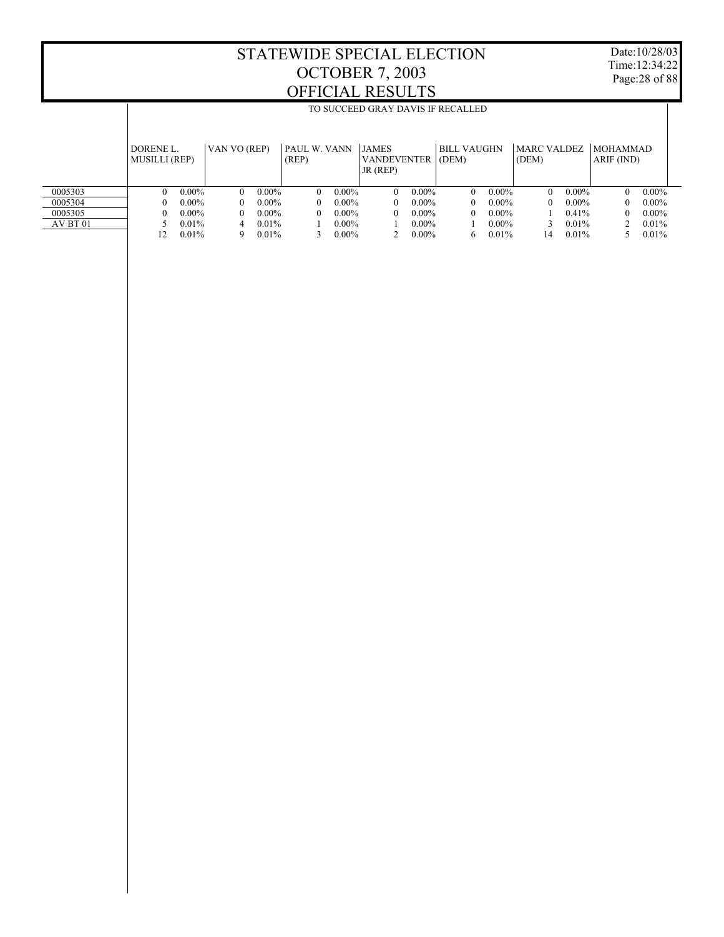$\mathbb{I}$ 

TO SUCCEED GRAY DAVIS IF RECALLED

Date:10/28/03 Time:12:34:22 Page:28 of 88

 $\mathbb{I}$ 

|          | DORENE L.<br><b>MUSILLI (REP)</b> |          | VAN VO (REP) |          | PAUL W. VANN<br>(REP) |          | <b>JAMES</b><br><b>VANDEVENTER</b><br>JR (REP) |          | <b>BILL VAUGHN</b><br>(DEM) |          | <b>MARC VALDEZ</b><br>(DEM) |          | <b>MOHAMMAD</b><br>ARIF (IND) |          |
|----------|-----------------------------------|----------|--------------|----------|-----------------------|----------|------------------------------------------------|----------|-----------------------------|----------|-----------------------------|----------|-------------------------------|----------|
| 0005303  |                                   | $0.00\%$ | $\Omega$     | $0.00\%$ | $\theta$              | $0.00\%$ | $\Omega$                                       | $0.00\%$ | $\Omega$                    | $0.00\%$ | $\theta$                    | $0.00\%$ | $\theta$                      | $0.00\%$ |
| 0005304  |                                   | $0.00\%$ |              | $0.00\%$ | 0                     | $0.00\%$ | 0                                              | $0.00\%$ | $\Omega$                    | $0.00\%$ | $\Omega$                    | $0.00\%$ | $\Omega$                      | $0.00\%$ |
| 0005305  |                                   | $0.00\%$ | $\theta$     | $0.00\%$ | $\theta$              | $0.00\%$ | $\Omega$                                       | $0.00\%$ | $\Omega$                    | $0.00\%$ |                             | 0.41%    | $\Omega$                      | $0.00\%$ |
| AV BT 01 |                                   | $0.01\%$ | 4            | 0.01%    |                       | $0.00\%$ |                                                | $0.00\%$ |                             | $0.00\%$ |                             | 0.01%    |                               | 0.01%    |
|          | 12                                | 0.01%    | q            | 0.01%    |                       | $0.00\%$ |                                                | $0.00\%$ | 6                           | 0.01%    | 14                          | 0.01%    |                               | 0.01%    |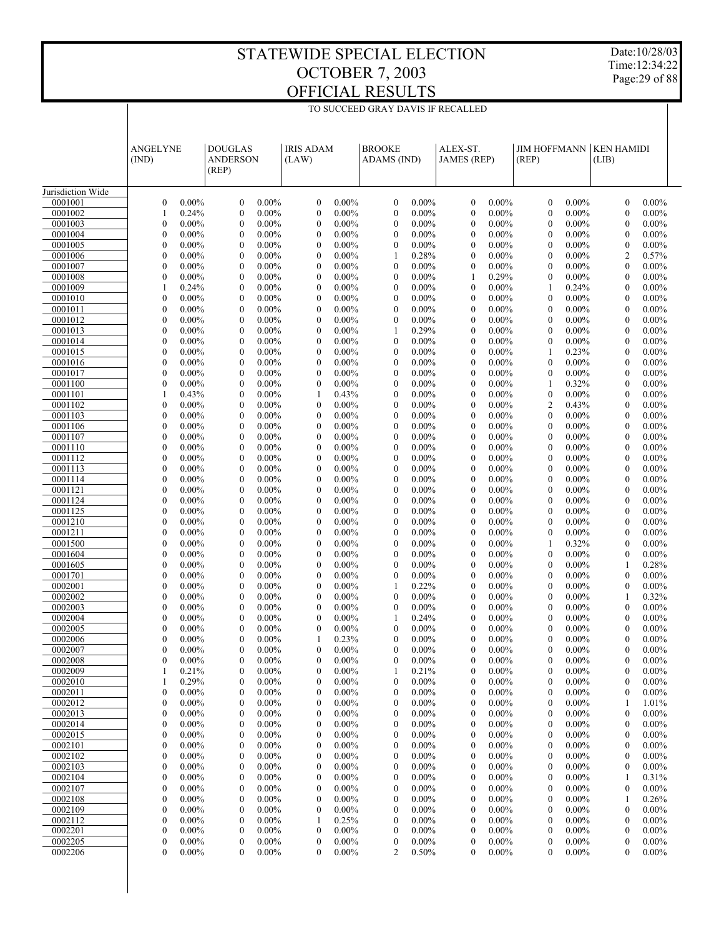TO SUCCEED GRAY DAVIS IF RECALLED

Date:10/28/03 Time:12:34:22 Page:29 of 88

|                    | ANGELYNE<br>(IND)                                            | <b>DOUGLAS</b><br><b>ANDERSON</b><br>(REP)                   | <b>IRIS ADAM</b><br>(LAW)                                    | <b>BROOKE</b><br>ADAMS (IND)                                 | ALEX-ST.<br><b>JAMES</b> (REP)                               | <b>JIM HOFFMANN</b><br>(REP)                                 | <b>KEN HAMIDI</b><br>(LIB)                            |
|--------------------|--------------------------------------------------------------|--------------------------------------------------------------|--------------------------------------------------------------|--------------------------------------------------------------|--------------------------------------------------------------|--------------------------------------------------------------|-------------------------------------------------------|
| Jurisdiction Wide  |                                                              |                                                              |                                                              |                                                              |                                                              |                                                              |                                                       |
| 0001001<br>0001002 | $0.00\%$<br>$\boldsymbol{0}$<br>0.24%<br>1                   | $\mathbf{0}$<br>$0.00\%$<br>$0.00\%$<br>$\mathbf{0}$         | $0.00\%$<br>$\boldsymbol{0}$<br>$0.00\%$<br>$\boldsymbol{0}$ | $0.00\%$<br>$\mathbf{0}$<br>$0.00\%$<br>$\boldsymbol{0}$     | $0.00\%$<br>$\mathbf{0}$<br>$0.00\%$<br>$\boldsymbol{0}$     | $0.00\%$<br>$\mathbf{0}$<br>$0.00\%$<br>$\boldsymbol{0}$     | 0.00%<br>$\mathbf{0}$<br>0.00%<br>$\boldsymbol{0}$    |
| 0001003            | $\mathbf{0}$                                                 | $\mathbf{0}$                                                 | $\mathbf{0}$                                                 | $\mathbf{0}$                                                 | $\mathbf{0}$                                                 | $0.00\%$                                                     | $\mathbf{0}$                                          |
|                    | $0.00\%$                                                     | $0.00\%$                                                     | $0.00\%$                                                     | $0.00\%$                                                     | $0.00\%$                                                     | $\mathbf{0}$                                                 | $0.00\%$                                              |
| 0001004            | $0.00\%$                                                     | $\mathbf{0}$                                                 | $\boldsymbol{0}$                                             | $0.00\%$                                                     | $0.00\%$                                                     | $0.00\%$                                                     | 0.00%                                                 |
|                    | $\boldsymbol{0}$                                             | $0.00\%$                                                     | $0.00\%$                                                     | $\boldsymbol{0}$                                             | $\boldsymbol{0}$                                             | $\mathbf{0}$                                                 | $\boldsymbol{0}$                                      |
| 0001005            | $\mathbf{0}$                                                 | $\mathbf{0}$                                                 | $\mathbf{0}$                                                 | $\mathbf{0}$                                                 | 0                                                            | $0.00\%$                                                     | $\mathbf{0}$                                          |
|                    | $0.00\%$                                                     | $0.00\%$                                                     | $0.00\%$                                                     | $0.00\%$                                                     | $0.00\%$                                                     | $\mathbf{0}$                                                 | $0.00\%$                                              |
| 0001006            | $0.00\%$                                                     | $\mathbf{0}$                                                 | $0.00\%$                                                     | 0.28%                                                        | $\boldsymbol{0}$                                             | $0.00\%$                                                     | $\overline{2}$                                        |
|                    | $\boldsymbol{0}$                                             | $0.00\%$                                                     | $\boldsymbol{0}$                                             | 1                                                            | $0.00\%$                                                     | $\mathbf{0}$                                                 | 0.57%                                                 |
| 0001007            | $\mathbf{0}$                                                 | $\mathbf{0}$                                                 | $\mathbf{0}$                                                 | $0.00\%$                                                     | $\overline{0}$                                               | $0.00\%$                                                     | $\mathbf{0}$                                          |
|                    | $0.00\%$                                                     | $0.00\%$                                                     | $0.00\%$                                                     | $\mathbf{0}$                                                 | $0.00\%$                                                     | $\mathbf{0}$                                                 | $0.00\%$                                              |
| 0001008            | $0.00\%$                                                     | $\mathbf{0}$                                                 | $\boldsymbol{0}$                                             | $0.00\%$                                                     | 0.29%                                                        | $0.00\%$                                                     | 0.00%                                                 |
|                    | $\boldsymbol{0}$                                             | $0.00\%$                                                     | $0.00\%$                                                     | $\boldsymbol{0}$                                             | 1                                                            | $\boldsymbol{0}$                                             | $\boldsymbol{0}$                                      |
| 0001009<br>0001010 | 0.24%<br>1<br>$\boldsymbol{0}$<br>$0.00\%$                   | $\mathbf{0}$<br>$0.00\%$<br>$\mathbf{0}$<br>$0.00\%$         | $\boldsymbol{0}$<br>$0.00\%$<br>$\boldsymbol{0}$<br>$0.00\%$ | $0.00\%$<br>$\mathbf{0}$<br>$0.00\%$<br>$\boldsymbol{0}$     | 0<br>$0.00\%$<br>$\boldsymbol{0}$<br>$0.00\%$                | 0.24%<br>1<br>$0.00\%$<br>$\mathbf{0}$                       | $\mathbf{0}$<br>$0.00\%$<br>0.00%<br>$\boldsymbol{0}$ |
| 0001011            | $\mathbf{0}$                                                 | $\mathbf{0}$                                                 | $\mathbf{0}$                                                 | $0.00\%$                                                     | $\overline{0}$                                               | $0.00\%$                                                     | $\mathbf{0}$                                          |
|                    | $0.00\%$                                                     | $0.00\%$                                                     | $0.00\%$                                                     | $\mathbf{0}$                                                 | $0.00\%$                                                     | $\mathbf{0}$                                                 | $0.00\%$                                              |
| 0001012            | $0.00\%$                                                     | $\mathbf{0}$                                                 | $\boldsymbol{0}$                                             | $0.00\%$                                                     | $0.00\%$                                                     | $0.00\%$                                                     | 0.00%                                                 |
|                    | $\boldsymbol{0}$                                             | $0.00\%$                                                     | $0.00\%$                                                     | $\boldsymbol{0}$                                             | $\boldsymbol{0}$                                             | $\mathbf{0}$                                                 | $\boldsymbol{0}$                                      |
| 0001013            | $\mathbf{0}$                                                 | $\mathbf{0}$                                                 | $\boldsymbol{0}$                                             | 0.29%                                                        | $\mathbf{0}$                                                 | $0.00\%$                                                     | $\mathbf{0}$                                          |
|                    | $0.00\%$                                                     | $0.00\%$                                                     | $0.00\%$                                                     | 1                                                            | $0.00\%$                                                     | $\mathbf{0}$                                                 | $0.00\%$                                              |
| 0001014            | $\boldsymbol{0}$                                             | $\mathbf{0}$                                                 | $\boldsymbol{0}$                                             | $0.00\%$                                                     | $\boldsymbol{0}$                                             | $0.00\%$                                                     | 0.00%                                                 |
|                    | $0.00\%$                                                     | $0.00\%$                                                     | $0.00\%$                                                     | $\boldsymbol{0}$                                             | $0.00\%$                                                     | $\boldsymbol{0}$                                             | $\boldsymbol{0}$                                      |
| 0001015            | $\mathbf{0}$                                                 | $\mathbf{0}$                                                 | $\mathbf{0}$                                                 | $0.00\%$                                                     | $\overline{0}$                                               | 0.23%                                                        | $\mathbf{0}$                                          |
|                    | $0.00\%$                                                     | $0.00\%$                                                     | $0.00\%$                                                     | $\mathbf{0}$                                                 | $0.00\%$                                                     | 1                                                            | $0.00\%$                                              |
| 0001016            | $\mathbf{0}$                                                 | $\mathbf{0}$                                                 | $\boldsymbol{0}$                                             | $0.00\%$                                                     | $\boldsymbol{0}$                                             | $0.00\%$                                                     | 0.00%                                                 |
|                    | $0.00\%$                                                     | $0.00\%$                                                     | $0.00\%$                                                     | $\boldsymbol{0}$                                             | $0.00\%$                                                     | $\mathbf{0}$                                                 | $\boldsymbol{0}$                                      |
| 0001017            | $\mathbf{0}$                                                 | $\mathbf{0}$                                                 | $\boldsymbol{0}$                                             | $\mathbf{0}$                                                 | 0                                                            | $0.00\%$                                                     | $\mathbf{0}$                                          |
|                    | $0.00\%$                                                     | $0.00\%$                                                     | $0.00\%$                                                     | $0.00\%$                                                     | $0.00\%$                                                     | $\mathbf{0}$                                                 | $0.00\%$                                              |
| 0001100<br>0001101 | $0.00\%$<br>$\boldsymbol{0}$<br>0.43%<br>1                   | $\mathbf{0}$<br>$0.00\%$<br>$\mathbf{0}$<br>$0.00\%$         | $0.00\%$<br>$\boldsymbol{0}$<br>0.43%<br>1                   | $0.00\%$<br>$\boldsymbol{0}$<br>$\mathbf{0}$<br>$0.00\%$     | $\boldsymbol{0}$<br>$0.00\%$<br>0<br>$0.00\%$                | 0.32%<br>1<br>$0.00\%$<br>$\boldsymbol{0}$                   | 0.00%<br>$\boldsymbol{0}$<br>$\mathbf{0}$<br>$0.00\%$ |
| 0001102            | $\mathbf{0}$                                                 | $\mathbf{0}$                                                 | $\boldsymbol{0}$                                             | $0.00\%$                                                     | $\boldsymbol{0}$                                             | 2                                                            | 0.00%                                                 |
|                    | $0.00\%$                                                     | $0.00\%$                                                     | $0.00\%$                                                     | $\boldsymbol{0}$                                             | $0.00\%$                                                     | 0.43%                                                        | $\boldsymbol{0}$                                      |
| 0001103            | $\mathbf{0}$                                                 | $\mathbf{0}$                                                 | $\mathbf{0}$                                                 | $\mathbf{0}$                                                 | 0                                                            | $0.00\%$                                                     | $\mathbf{0}$                                          |
|                    | $0.00\%$                                                     | $0.00\%$                                                     | $0.00\%$                                                     | $0.00\%$                                                     | $0.00\%$                                                     | $\mathbf{0}$                                                 | $0.00\%$                                              |
| 0001106            | $\boldsymbol{0}$                                             | $\mathbf{0}$                                                 | $0.00\%$                                                     | $0.00\%$                                                     | $\boldsymbol{0}$                                             | $0.00\%$                                                     | 0.00%                                                 |
|                    | $0.00\%$                                                     | $0.00\%$                                                     | $\boldsymbol{0}$                                             | $\boldsymbol{0}$                                             | $0.00\%$                                                     | $\boldsymbol{0}$                                             | $\boldsymbol{0}$                                      |
| 0001107            | $\mathbf{0}$                                                 | $\mathbf{0}$                                                 | $\mathbf{0}$                                                 | $\mathbf{0}$                                                 | $\overline{0}$                                               | $0.00\%$                                                     | $\mathbf{0}$                                          |
|                    | $0.00\%$                                                     | $0.00\%$                                                     | $0.00\%$                                                     | $0.00\%$                                                     | $0.00\%$                                                     | $\mathbf{0}$                                                 | $0.00\%$                                              |
| 0001110            | $0.00\%$                                                     | $\mathbf{0}$                                                 | $\boldsymbol{0}$                                             | $0.00\%$                                                     | $0.00\%$                                                     | $0.00\%$                                                     | 0.00%                                                 |
|                    | $\boldsymbol{0}$                                             | $0.00\%$                                                     | $0.00\%$                                                     | $\boldsymbol{0}$                                             | $\boldsymbol{0}$                                             | $\mathbf{0}$                                                 | $\boldsymbol{0}$                                      |
| 0001112            | $\mathbf{0}$                                                 | $\mathbf{0}$                                                 | $\boldsymbol{0}$                                             | $0.00\%$                                                     | 0                                                            | $0.00\%$                                                     | $\mathbf{0}$                                          |
|                    | $0.00\%$                                                     | $0.00\%$                                                     | $0.00\%$                                                     | $\mathbf{0}$                                                 | $0.00\%$                                                     | $\mathbf{0}$                                                 | $0.00\%$                                              |
| 0001113            | $\boldsymbol{0}$                                             | $\mathbf{0}$                                                 | $\boldsymbol{0}$                                             | $0.00\%$                                                     | $\boldsymbol{0}$                                             | $0.00\%$                                                     | 0.00%                                                 |
|                    | $0.00\%$                                                     | $0.00\%$                                                     | $0.00\%$                                                     | $\boldsymbol{0}$                                             | $0.00\%$                                                     | $\mathbf{0}$                                                 | $\boldsymbol{0}$                                      |
| 0001114<br>0001121 | $\mathbf{0}$<br>$0.00\%$<br>$\boldsymbol{0}$<br>$0.00\%$     | $\mathbf{0}$<br>$0.00\%$<br>$\mathbf{0}$<br>$0.00\%$         | $\mathbf{0}$<br>$0.00\%$<br>$\boldsymbol{0}$<br>$0.00\%$     | $0.00\%$<br>$\mathbf{0}$<br>$0.00\%$<br>$\boldsymbol{0}$     | $\overline{0}$<br>$0.00\%$<br>$\boldsymbol{0}$<br>$0.00\%$   | $0.00\%$<br>$\mathbf{0}$<br>$0.00\%$<br>$\mathbf{0}$         | $\mathbf{0}$<br>$0.00\%$<br>0.00%<br>$\boldsymbol{0}$ |
| 0001124            | $\mathbf{0}$                                                 | $\mathbf{0}$                                                 | $\mathbf{0}$                                                 | $0.00\%$                                                     | 0                                                            | $0.00\%$                                                     | $\mathbf{0}$                                          |
|                    | $0.00\%$                                                     | $0.00\%$                                                     | $0.00\%$                                                     | $\mathbf{0}$                                                 | $0.00\%$                                                     | $\mathbf{0}$                                                 | $0.00\%$                                              |
| 0001125            | $\boldsymbol{0}$                                             | $\mathbf{0}$                                                 | $\boldsymbol{0}$                                             | $0.00\%$                                                     | $\boldsymbol{0}$                                             | $0.00\%$                                                     | 0.00%                                                 |
|                    | $0.00\%$                                                     | $0.00\%$                                                     | $0.00\%$                                                     | $\boldsymbol{0}$                                             | $0.00\%$                                                     | $\mathbf{0}$                                                 | $\boldsymbol{0}$                                      |
| 0001210            | $\mathbf{0}$                                                 | $\mathbf{0}$                                                 | $\mathbf{0}$                                                 | $\mathbf{0}$                                                 | 0                                                            | $0.00\%$                                                     | $\mathbf{0}$                                          |
|                    | $0.00\%$                                                     | $0.00\%$                                                     | $0.00\%$                                                     | $0.00\%$                                                     | $0.00\%$                                                     | $\mathbf{0}$                                                 | $0.00\%$                                              |
| 0001211            | $\mathbf{0}$                                                 | $\mathbf{0}$                                                 | $\boldsymbol{0}$                                             | $0.00\%$                                                     | $\boldsymbol{0}$                                             | $0.00\%$                                                     | 0.00%                                                 |
|                    | $0.00\%$                                                     | $0.00\%$                                                     | $0.00\%$                                                     | $\boldsymbol{0}$                                             | $0.00\%$                                                     | $\mathbf{0}$                                                 | $\boldsymbol{0}$                                      |
| 0001500            | $\mathbf{0}$                                                 | $\mathbf{0}$                                                 | $\boldsymbol{0}$                                             | $\mathbf{0}$                                                 | 0                                                            | 0.32%                                                        | $\mathbf{0}$                                          |
|                    | $0.00\%$                                                     | $0.00\%$                                                     | $0.00\%$                                                     | $0.00\%$                                                     | $0.00\%$                                                     | 1                                                            | $0.00\%$                                              |
| 0001604            | $\boldsymbol{0}$                                             | $\mathbf{0}$                                                 | $0.00\%$                                                     | $0.00\%$                                                     | $\boldsymbol{0}$                                             | $0.00\%$                                                     | 0.00%                                                 |
|                    | $0.00\%$                                                     | $0.00\%$                                                     | $\boldsymbol{0}$                                             | $\boldsymbol{0}$                                             | $0.00\%$                                                     | $\mathbf{0}$                                                 | $\mathbf{0}$                                          |
| 0001605            | $\mathbf{0}$                                                 | $\mathbf{0}$                                                 | $\mathbf{0}$                                                 | $\mathbf{0}$                                                 | 0                                                            | $0.00\%$                                                     | 0.28%                                                 |
|                    | $0.00\%$                                                     | $0.00\%$                                                     | $0.00\%$                                                     | $0.00\%$                                                     | $0.00\%$                                                     | $\mathbf{0}$                                                 | 1                                                     |
| 0001701<br>0002001 | $0.00\%$<br>$\boldsymbol{0}$<br>$\mathbf{0}$<br>$0.00\%$     | $\mathbf{0}$<br>$0.00\%$<br>$\mathbf{0}$<br>$0.00\%$         | $\boldsymbol{0}$<br>$0.00\%$<br>$\boldsymbol{0}$<br>$0.00\%$ | $0.00\%$<br>$\boldsymbol{0}$<br>0.22%<br>1                   | $0.00\%$<br>$\boldsymbol{0}$<br>0<br>$0.00\%$                | $0.00\%$<br>$\mathbf{0}$<br>$\mathbf{0}$<br>$0.00\%$         | 0.00%<br>$\mathbf{0}$<br>$\mathbf{0}$<br>$0.00\%$     |
| 0002002            | $\boldsymbol{0}$                                             | $\mathbf{0}$                                                 | $\boldsymbol{0}$                                             | $0.00\%$                                                     | $0.00\%$                                                     | $0.00\%$                                                     | 0.32%                                                 |
|                    | $0.00\%$                                                     | $0.00\%$                                                     | $0.00\%$                                                     | $\boldsymbol{0}$                                             | $\boldsymbol{0}$                                             | $\boldsymbol{0}$                                             | 1                                                     |
| 0002003            | $\mathbf{0}$                                                 | $\mathbf{0}$                                                 | $\mathbf{0}$                                                 | $0.00\%$                                                     | 0                                                            | $\mathbf{0}$                                                 | $\mathbf{0}$                                          |
|                    | $0.00\%$                                                     | $0.00\%$                                                     | $0.00\%$                                                     | $\mathbf{0}$                                                 | $0.00\%$                                                     | $0.00\%$                                                     | $0.00\%$                                              |
| 0002004            | $\boldsymbol{0}$                                             | $\mathbf{0}$                                                 | $\boldsymbol{0}$                                             | 0.24%                                                        | $\boldsymbol{0}$                                             | $\boldsymbol{0}$                                             | 0.00%                                                 |
|                    | $0.00\%$                                                     | $0.00\%$                                                     | $0.00\%$                                                     | 1                                                            | $0.00\%$                                                     | $0.00\%$                                                     | $\boldsymbol{0}$                                      |
| 0002005            | $\mathbf{0}$                                                 | $\mathbf{0}$                                                 | $\mathbf{0}$                                                 | $0.00\%$                                                     | 0                                                            | $\mathbf{0}$                                                 | 0.00%                                                 |
|                    | $0.00\%$                                                     | $0.00\%$                                                     | $0.00\%$                                                     | 0                                                            | $0.00\%$                                                     | $0.00\%$                                                     | $\mathbf{0}$                                          |
| 0002006            | $\mathbf{0}$                                                 | $\mathbf{0}$                                                 | 1                                                            | $\mathbf{0}$                                                 | $\overline{0}$                                               | $\mathbf{0}$                                                 | 0.00%                                                 |
|                    | $0.00\%$                                                     | $0.00\%$                                                     | 0.23%                                                        | $0.00\%$                                                     | $0.00\%$                                                     | $0.00\%$                                                     | $\mathbf{0}$                                          |
| 0002007            | $\theta$                                                     | $\Omega$                                                     | $\mathbf{0}$                                                 | $\boldsymbol{0}$                                             | $\overline{0}$                                               | $\mathbf{0}$                                                 | $\mathbf{0}$                                          |
|                    | $0.00\%$                                                     | $0.00\%$                                                     | $0.00\%$                                                     | $0.00\%$                                                     | $0.00\%$                                                     | $0.00\%$                                                     | $0.00\%$                                              |
| 0002008<br>0002009 | $0.00\%$<br>$\boldsymbol{0}$<br>0.21%<br>1                   | $\boldsymbol{0}$<br>$0.00\%$<br>$0.00\%$<br>$\boldsymbol{0}$ | $\bf{0}$<br>$0.00\%$<br>$0.00\%$<br>$\boldsymbol{0}$         | $\boldsymbol{0}$<br>$0.00\%$<br>0.21%                        | $\boldsymbol{0}$<br>$0.00\%$<br>0<br>$0.00\%$                | $\boldsymbol{0}$<br>$0.00\%$<br>$\boldsymbol{0}$<br>$0.00\%$ | $\boldsymbol{0}$<br>0.00%<br>$0.00\%$<br>0            |
| 0002010            | 0.29%<br>1                                                   | $0.00\%$<br>$\boldsymbol{0}$                                 | $\boldsymbol{0}$<br>$0.00\%$                                 | 1<br>$0.00\%$<br>$\boldsymbol{0}$                            | $\boldsymbol{0}$<br>$0.00\%$                                 | $\boldsymbol{0}$<br>$0.00\%$                                 | $\boldsymbol{0}$<br>$0.00\%$                          |
| 0002011            | $\boldsymbol{0}$                                             | $0.00\%$                                                     | $0.00\%$                                                     | $0.00\%$                                                     | 0                                                            | $\boldsymbol{0}$                                             | $0.00\%$                                              |
|                    | $0.00\%$                                                     | $\boldsymbol{0}$                                             | $\boldsymbol{0}$                                             | $\mathbf{0}$                                                 | $0.00\%$                                                     | $0.00\%$                                                     | 0                                                     |
| 0002012            | $\boldsymbol{0}$                                             | $0.00\%$                                                     | $\boldsymbol{0}$                                             | $0.00\%$                                                     | $\boldsymbol{0}$                                             | $\boldsymbol{0}$                                             | 1.01%                                                 |
|                    | $0.00\%$                                                     | $\boldsymbol{0}$                                             | $0.00\%$                                                     | $\boldsymbol{0}$                                             | $0.00\%$                                                     | $0.00\%$                                                     | 1                                                     |
| 0002013            | $\boldsymbol{0}$                                             | $0.00\%$                                                     | $0.00\%$                                                     | $0.00\%$                                                     | $\mathbf{0}$                                                 | $0.00\%$                                                     | $0.00\%$                                              |
|                    | $0.00\%$                                                     | $\boldsymbol{0}$                                             | $\boldsymbol{0}$                                             | $\boldsymbol{0}$                                             | $0.00\%$                                                     | $\bf{0}$                                                     | $\mathbf{0}$                                          |
| 0002014            | $\boldsymbol{0}$                                             | $0.00\%$                                                     | $\boldsymbol{0}$                                             | $0.00\%$                                                     | $\boldsymbol{0}$                                             | $\mathbf{0}$                                                 | $0.00\%$                                              |
|                    | $0.00\%$                                                     | $\boldsymbol{0}$                                             | $0.00\%$                                                     | $\boldsymbol{0}$                                             | $0.00\%$                                                     | $0.00\%$                                                     | $\boldsymbol{0}$                                      |
| 0002015            | $\boldsymbol{0}$                                             | $0.00\%$                                                     | $0.00\%$                                                     | $0.00\%$                                                     | $\boldsymbol{0}$                                             | $0.00\%$                                                     | $0.00\%$                                              |
|                    | $0.00\%$                                                     | $\boldsymbol{0}$                                             | $\boldsymbol{0}$                                             | $\boldsymbol{0}$                                             | $0.00\%$                                                     | $\bf{0}$                                                     | $\boldsymbol{0}$                                      |
| 0002101            | $\boldsymbol{0}$                                             | $0.00\%$                                                     | $\boldsymbol{0}$                                             | $0.00\%$                                                     | $\boldsymbol{0}$                                             | $\mathbf{0}$                                                 | $0.00\%$                                              |
|                    | $0.00\%$                                                     | $\boldsymbol{0}$                                             | $0.00\%$                                                     | $\boldsymbol{0}$                                             | $0.00\%$                                                     | $0.00\%$                                                     | $\boldsymbol{0}$                                      |
| 0002102            | $\boldsymbol{0}$<br>$0.00\%$                                 | $0.00\%$<br>$\boldsymbol{0}$                                 | $0.00\%$<br>$\boldsymbol{0}$                                 | $0.00\%$<br>$\boldsymbol{0}$                                 | $\mathbf{0}$<br>$0.00\%$                                     | $\boldsymbol{0}$<br>$0.00\%$<br>$0.00\%$                     | $0.00\%$<br>$\mathbf{0}$                              |
| 0002103<br>0002104 | $\boldsymbol{0}$<br>$0.00\%$<br>$\boldsymbol{0}$<br>$0.00\%$ | $0.00\%$<br>$\boldsymbol{0}$<br>$0.00\%$<br>$\boldsymbol{0}$ | $\boldsymbol{0}$<br>$0.00\%$<br>$0.00\%$<br>$\boldsymbol{0}$ | $0.00\%$<br>$\boldsymbol{0}$<br>$0.00\%$<br>$\boldsymbol{0}$ | $\boldsymbol{0}$<br>$0.00\%$<br>$\boldsymbol{0}$<br>$0.00\%$ | $\mathbf{0}$<br>$\boldsymbol{0}$<br>$0.00\%$                 | $0.00\%$<br>0<br>0.31%<br>1                           |
| 0002107            | $\boldsymbol{0}$                                             | $0.00\%$                                                     | $\boldsymbol{0}$                                             | $0.00\%$                                                     | $\boldsymbol{0}$                                             | $\boldsymbol{0}$                                             | $0.00\%$                                              |
|                    | $0.00\%$                                                     | $\boldsymbol{0}$                                             | $0.00\%$                                                     | $\boldsymbol{0}$                                             | $0.00\%$                                                     | $0.00\%$                                                     | $\boldsymbol{0}$                                      |
| 0002108            | $\boldsymbol{0}$                                             | $0.00\%$                                                     | $0.00\%$                                                     | $0.00\%$                                                     | $\mathbf{0}$                                                 | $\boldsymbol{0}$                                             | 0.26%                                                 |
|                    | $0.00\%$                                                     | $\boldsymbol{0}$                                             | $\boldsymbol{0}$                                             | $\boldsymbol{0}$                                             | $0.00\%$                                                     | $0.00\%$                                                     | 1                                                     |
| 0002109            | $\boldsymbol{0}$                                             | $0.00\%$                                                     | $\boldsymbol{0}$                                             | $0.00\%$                                                     | $\boldsymbol{0}$                                             | $\mathbf{0}$                                                 | $0.00\%$                                              |
|                    | $0.00\%$                                                     | $\boldsymbol{0}$                                             | $0.00\%$                                                     | $\boldsymbol{0}$                                             | $0.00\%$                                                     | $0.00\%$                                                     | $\boldsymbol{0}$                                      |
| 0002112            | $\boldsymbol{0}$                                             | $0.00\%$                                                     | 0.25%                                                        | $0.00\%$                                                     | 0                                                            | $0.00\%$                                                     | $0.00\%$                                              |
|                    | $0.00\%$                                                     | $\boldsymbol{0}$                                             | 1                                                            | $\boldsymbol{0}$                                             | $0.00\%$                                                     | $\bf{0}$                                                     | $\boldsymbol{0}$                                      |
| 0002201            | $\boldsymbol{0}$                                             | $0.00\%$                                                     | $\boldsymbol{0}$                                             | $0.00\%$                                                     | $\boldsymbol{0}$                                             | $\boldsymbol{0}$                                             | $\boldsymbol{0}$                                      |
|                    | $0.00\%$                                                     | $\boldsymbol{0}$                                             | $0.00\%$                                                     | $\boldsymbol{0}$                                             | $0.00\%$                                                     | $0.00\%$                                                     | $0.00\%$                                              |
| 0002205            | $\boldsymbol{0}$                                             | $0.00\%$                                                     | $\boldsymbol{0}$                                             | $\boldsymbol{0}$                                             | 0                                                            | $\boldsymbol{0}$                                             | $0.00\%$                                              |
|                    | $0.00\%$                                                     | $\boldsymbol{0}$                                             | $0.00\%$                                                     | $0.00\%$                                                     | $0.00\%$                                                     | $0.00\%$                                                     | 0                                                     |
| 0002206            | $\mathbf{0}$                                                 | $0.00\%$                                                     | $\overline{0}$                                               | 2                                                            | $\mathbf{0}$                                                 | $0.00\%$                                                     | 0                                                     |
|                    | $0.00\%$                                                     | $\mathbf{0}$                                                 | $0.00\%$                                                     | 0.50%                                                        | $0.00\%$                                                     | $\mathbf{0}$                                                 | 0.00%                                                 |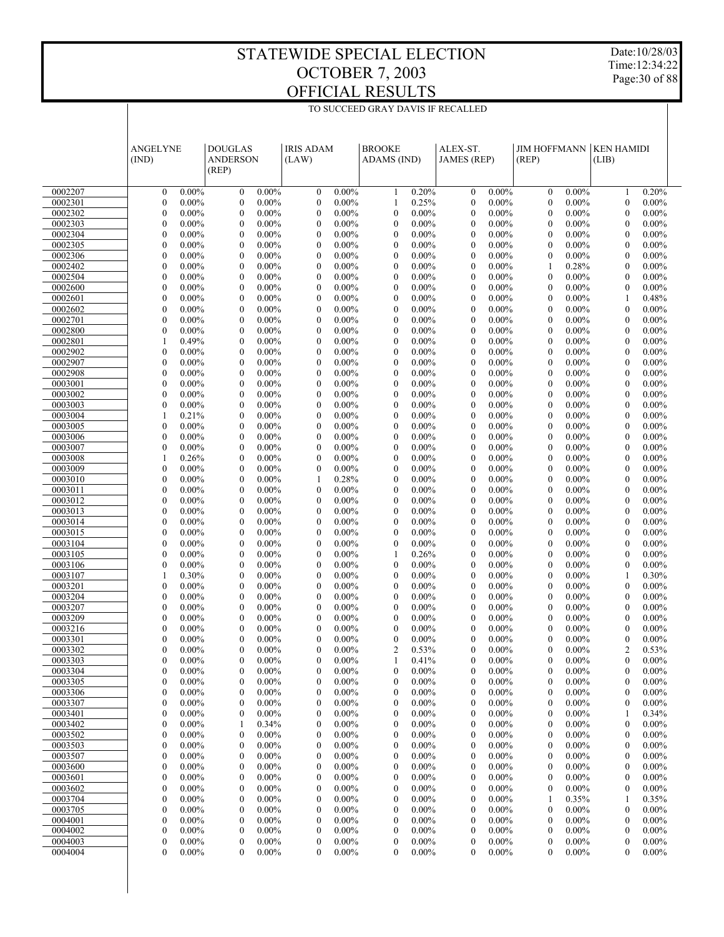Date:10/28/03 Time:12:34:22 Page:30 of 88

|                    | <b>ANGELYNE</b><br>(IND)                                 | <b>DOUGLAS</b><br><b>ANDERSON</b><br>(REP)           | <b>IRIS ADAM</b><br>(LAW)                                    | <b>BROOKE</b><br>ADAMS (IND)                                 | ALEX-ST.<br><b>JAMES</b> (REP)                               | <b>JIM HOFFMANN</b><br>(REP)                         | <b>KEN HAMIDI</b><br>(LIB)                                   |  |
|--------------------|----------------------------------------------------------|------------------------------------------------------|--------------------------------------------------------------|--------------------------------------------------------------|--------------------------------------------------------------|------------------------------------------------------|--------------------------------------------------------------|--|
| 0002207            | $0.00\%$<br>$\mathbf{0}$                                 | $0.00\%$<br>$\mathbf{0}$                             | $0.00\%$<br>$\mathbf{0}$                                     | 0.20%<br>1                                                   | $0.00\%$<br>$\mathbf{0}$                                     | $0.00\%$<br>$\mathbf{0}$                             | 0.20%<br>1                                                   |  |
| 0002301            | $\boldsymbol{0}$<br>$0.00\%$                             | $\boldsymbol{0}$<br>$0.00\%$                         | $\mathbf{0}$<br>$0.00\%$                                     | 0.25%<br>1                                                   | $\mathbf{0}$<br>$0.00\%$                                     | $\theta$<br>$0.00\%$                                 | $\mathbf{0}$<br>$0.00\%$                                     |  |
| 0002302            | $\mathbf{0}$<br>$0.00\%$                                 | $\mathbf{0}$<br>$0.00\%$                             | $\mathbf{0}$<br>$0.00\%$                                     | $\mathbf{0}$<br>$0.00\%$                                     | $\mathbf{0}$<br>$0.00\%$                                     | $\mathbf{0}$<br>$0.00\%$                             | $\mathbf{0}$<br>$0.00\%$                                     |  |
| 0002303            | $\mathbf{0}$<br>$0.00\%$                                 | $\mathbf{0}$<br>$0.00\%$                             | $\mathbf{0}$<br>$0.00\%$                                     | $\mathbf{0}$<br>$0.00\%$                                     | $\mathbf{0}$<br>$0.00\%$                                     | $\mathbf{0}$<br>$0.00\%$                             | $\mathbf{0}$<br>$0.00\%$                                     |  |
| 0002304            | $\mathbf{0}$<br>$0.00\%$                                 | $\mathbf{0}$<br>$0.00\%$                             | $\mathbf{0}$<br>$0.00\%$                                     | $\mathbf{0}$<br>$0.00\%$                                     | $\mathbf{0}$<br>$0.00\%$                                     | $\theta$<br>$0.00\%$                                 | $\mathbf{0}$<br>$0.00\%$                                     |  |
| 0002305            | $\boldsymbol{0}$<br>$0.00\%$                             | $\mathbf{0}$<br>$0.00\%$                             | $\mathbf{0}$<br>$0.00\%$                                     | $\mathbf{0}$<br>$0.00\%$                                     | $\mathbf{0}$<br>$0.00\%$                                     | $\mathbf{0}$<br>$0.00\%$                             | $\mathbf{0}$<br>$0.00\%$                                     |  |
| 0002306            | $\overline{0}$<br>$0.00\%$                               | $\mathbf{0}$<br>$0.00\%$                             | $\mathbf{0}$<br>$0.00\%$                                     | $\mathbf{0}$<br>$0.00\%$                                     | $\mathbf{0}$<br>$0.00\%$                                     | $\theta$<br>$0.00\%$                                 | $\mathbf{0}$<br>$0.00\%$                                     |  |
| 0002402<br>0002504 | $\mathbf{0}$<br>$0.00\%$<br>$\mathbf{0}$                 | $\mathbf{0}$<br>$0.00\%$<br>$\mathbf{0}$             | $\mathbf{0}$<br>$0.00\%$<br>$\mathbf{0}$                     | $\mathbf{0}$<br>$0.00\%$<br>$\mathbf{0}$                     | $\mathbf{0}$<br>$0.00\%$<br>$\mathbf{0}$                     | 1<br>0.28%<br>$\theta$                               | $\mathbf{0}$<br>$0.00\%$<br>$\mathbf{0}$                     |  |
| 0002600            | $0.00\%$<br>$\boldsymbol{0}$<br>$0.00\%$                 | $0.00\%$<br>$\mathbf{0}$<br>$0.00\%$                 | $0.00\%$<br>$\boldsymbol{0}$<br>$0.00\%$                     | $0.00\%$<br>$\mathbf{0}$<br>$0.00\%$                         | $0.00\%$<br>$\mathbf{0}$<br>$0.00\%$                         | $0.00\%$<br>$\mathbf{0}$<br>$0.00\%$                 | $0.00\%$<br>$\mathbf{0}$<br>$0.00\%$                         |  |
| 0002601            | $\overline{0}$<br>$0.00\%$                               | $\mathbf{0}$<br>$0.00\%$                             | $\mathbf{0}$<br>$0.00\%$                                     | $\mathbf{0}$<br>$0.00\%$                                     | $\mathbf{0}$<br>$0.00\%$                                     | $\theta$<br>$0.00\%$                                 | 1<br>0.48%                                                   |  |
| 0002602            | $\mathbf{0}$<br>$0.00\%$                                 | $\mathbf{0}$<br>$0.00\%$                             | $\mathbf{0}$<br>$0.00\%$                                     | $\mathbf{0}$<br>$0.00\%$                                     | $\mathbf{0}$<br>$0.00\%$                                     | $\mathbf{0}$<br>$0.00\%$                             | $\mathbf{0}$<br>$0.00\%$                                     |  |
| 0002701            | $\mathbf{0}$<br>$0.00\%$                                 | $\mathbf{0}$<br>$0.00\%$                             | $\mathbf{0}$<br>$0.00\%$                                     | $\mathbf{0}$<br>$0.00\%$                                     | $\mathbf{0}$<br>$0.00\%$                                     | $\theta$<br>$0.00\%$                                 | $\mathbf{0}$<br>$0.00\%$                                     |  |
| 0002800            | $\mathbf{0}$<br>$0.00\%$                                 | $\mathbf{0}$<br>$0.00\%$                             | $\mathbf{0}$<br>$0.00\%$                                     | $\mathbf{0}$<br>$0.00\%$                                     | $\mathbf{0}$<br>$0.00\%$                                     | $\mathbf{0}$<br>$0.00\%$                             | $\mathbf{0}$<br>$0.00\%$                                     |  |
| 0002801            | 0.49%<br>$\mathbf{1}$                                    | $\mathbf{0}$<br>$0.00\%$                             | $\mathbf{0}$<br>$0.00\%$                                     | $\mathbf{0}$<br>$0.00\%$                                     | $\mathbf{0}$<br>$0.00\%$                                     | $\theta$<br>$0.00\%$                                 | $\mathbf{0}$<br>$0.00\%$                                     |  |
| 0002902            | $\overline{0}$<br>$0.00\%$                               | $\mathbf{0}$<br>$0.00\%$                             | $\mathbf{0}$<br>$0.00\%$                                     | $\mathbf{0}$<br>$0.00\%$                                     | $\mathbf{0}$<br>$0.00\%$                                     | $\mathbf{0}$<br>$0.00\%$                             | $\mathbf{0}$<br>$0.00\%$                                     |  |
| 0002907            | $\overline{0}$<br>$0.00\%$                               | $\mathbf{0}$<br>$0.00\%$                             | $\mathbf{0}$<br>$0.00\%$                                     | $\mathbf{0}$<br>$0.00\%$                                     | $\mathbf{0}$<br>$0.00\%$                                     | $\theta$<br>$0.00\%$                                 | $\mathbf{0}$<br>$0.00\%$                                     |  |
| 0002908            | $\boldsymbol{0}$<br>$0.00\%$<br>$\overline{0}$           | $\mathbf{0}$<br>$0.00\%$<br>$\mathbf{0}$             | $\boldsymbol{0}$<br>$0.00\%$<br>$\mathbf{0}$                 | $\mathbf{0}$<br>$0.00\%$<br>$\mathbf{0}$                     | $\mathbf{0}$<br>$0.00\%$<br>$\mathbf{0}$                     | $\mathbf{0}$<br>$0.00\%$<br>$\theta$                 | $\mathbf{0}$<br>$0.00\%$<br>$\mathbf{0}$                     |  |
| 0003001<br>0003002 | $0.00\%$<br>$\mathbf{0}$<br>$0.00\%$                     | $0.00\%$<br>$\mathbf{0}$<br>$0.00\%$                 | $0.00\%$<br>$\boldsymbol{0}$<br>$0.00\%$                     | $0.00\%$<br>$\mathbf{0}$<br>$0.00\%$                         | $0.00\%$<br>$\mathbf{0}$<br>$0.00\%$                         | $0.00\%$<br>$\mathbf{0}$<br>$0.00\%$                 | $0.00\%$<br>$\mathbf{0}$<br>$0.00\%$                         |  |
| 0003003            | $\mathbf{0}$<br>$0.00\%$                                 | $\mathbf{0}$<br>$0.00\%$                             | $\mathbf{0}$<br>$0.00\%$                                     | $\mathbf{0}$<br>$0.00\%$                                     | $\mathbf{0}$<br>$0.00\%$                                     | $\theta$<br>$0.00\%$                                 | $\mathbf{0}$<br>$0.00\%$                                     |  |
| 0003004            | $\mathbf{1}$<br>0.21%                                    | $\mathbf{0}$<br>$0.00\%$                             | $\boldsymbol{0}$<br>$0.00\%$                                 | $\mathbf{0}$<br>$0.00\%$                                     | $\mathbf{0}$<br>$0.00\%$                                     | $\mathbf{0}$<br>$0.00\%$                             | $\mathbf{0}$<br>$0.00\%$                                     |  |
| 0003005            | $\overline{0}$<br>$0.00\%$                               | $\mathbf{0}$<br>$0.00\%$                             | $\mathbf{0}$<br>$0.00\%$                                     | $\mathbf{0}$<br>$0.00\%$                                     | $\mathbf{0}$<br>$0.00\%$                                     | $\theta$<br>$0.00\%$                                 | $\mathbf{0}$<br>$0.00\%$                                     |  |
| 0003006            | $\overline{0}$<br>$0.00\%$                               | $\mathbf{0}$<br>$0.00\%$                             | $\mathbf{0}$<br>$0.00\%$                                     | $\mathbf{0}$<br>$0.00\%$                                     | $\mathbf{0}$<br>$0.00\%$                                     | $\mathbf{0}$<br>$0.00\%$                             | $\mathbf{0}$<br>$0.00\%$                                     |  |
| 0003007            | $\mathbf{0}$<br>$0.00\%$                                 | $\mathbf{0}$<br>$0.00\%$                             | $\mathbf{0}$<br>$0.00\%$                                     | $\mathbf{0}$<br>$0.00\%$                                     | $\mathbf{0}$<br>$0.00\%$                                     | $\theta$<br>$0.00\%$                                 | $\mathbf{0}$<br>$0.00\%$                                     |  |
| 0003008            | $\mathbf{1}$<br>0.26%                                    | $\mathbf{0}$<br>$0.00\%$                             | $\mathbf{0}$<br>$0.00\%$                                     | $\mathbf{0}$<br>$0.00\%$                                     | $\mathbf{0}$<br>$0.00\%$                                     | $\mathbf{0}$<br>$0.00\%$                             | $\mathbf{0}$<br>$0.00\%$                                     |  |
| 0003009            | $\overline{0}$<br>$0.00\%$                               | $\mathbf{0}$<br>$0.00\%$                             | $\mathbf{0}$<br>$0.00\%$                                     | $\mathbf{0}$<br>$0.00\%$                                     | $\mathbf{0}$<br>$0.00\%$                                     | $\theta$<br>$0.00\%$                                 | $\mathbf{0}$<br>$0.00\%$                                     |  |
| 0003010            | $\mathbf{0}$<br>$0.00\%$<br>$\overline{0}$               | $\mathbf{0}$<br>$0.00\%$<br>$\mathbf{0}$             | 0.28%<br>1<br>$\mathbf{0}$                                   | $\mathbf{0}$<br>$0.00\%$<br>$\mathbf{0}$                     | $\mathbf{0}$<br>$0.00\%$<br>$\mathbf{0}$                     | $\mathbf{0}$<br>$0.00\%$<br>$\theta$                 | $\mathbf{0}$<br>$0.00\%$<br>$\mathbf{0}$                     |  |
| 0003011<br>0003012 | $0.00\%$<br>$\boldsymbol{0}$<br>$0.00\%$                 | $0.00\%$<br>$\mathbf{0}$<br>$0.00\%$                 | $0.00\%$<br>$\boldsymbol{0}$<br>$0.00\%$                     | $0.00\%$<br>$\mathbf{0}$<br>$0.00\%$                         | $0.00\%$<br>$\mathbf{0}$<br>$0.00\%$                         | $0.00\%$<br>$\mathbf{0}$<br>$0.00\%$                 | $0.00\%$<br>$\mathbf{0}$<br>$0.00\%$                         |  |
| 0003013            | $\overline{0}$<br>$0.00\%$                               | $\mathbf{0}$<br>$0.00\%$                             | $\mathbf{0}$<br>$0.00\%$                                     | $\mathbf{0}$<br>$0.00\%$                                     | $\mathbf{0}$<br>$0.00\%$                                     | $\theta$<br>$0.00\%$                                 | $\mathbf{0}$<br>$0.00\%$                                     |  |
| 0003014            | $\boldsymbol{0}$<br>$0.00\%$                             | $\mathbf{0}$<br>$0.00\%$                             | $\mathbf{0}$<br>$0.00\%$                                     | $\mathbf{0}$<br>$0.00\%$                                     | $\mathbf{0}$<br>$0.00\%$                                     | $\mathbf{0}$<br>$0.00\%$                             | $\mathbf{0}$<br>$0.00\%$                                     |  |
| 0003015            | $\mathbf{0}$<br>$0.00\%$                                 | $\mathbf{0}$<br>$0.00\%$                             | $\mathbf{0}$<br>$0.00\%$                                     | $\mathbf{0}$<br>$0.00\%$                                     | $\mathbf{0}$<br>$0.00\%$                                     | $\theta$<br>$0.00\%$                                 | $\mathbf{0}$<br>$0.00\%$                                     |  |
| 0003104            | $\mathbf{0}$<br>$0.00\%$                                 | $\mathbf{0}$<br>$0.00\%$                             | $\mathbf{0}$<br>$0.00\%$                                     | $\mathbf{0}$<br>$0.00\%$                                     | $\mathbf{0}$<br>$0.00\%$                                     | $\mathbf{0}$<br>$0.00\%$                             | $\mathbf{0}$<br>$0.00\%$                                     |  |
| 0003105            | $\overline{0}$<br>$0.00\%$                               | $\mathbf{0}$<br>$0.00\%$                             | $\mathbf{0}$<br>$0.00\%$                                     | 1<br>0.26%                                                   | $\mathbf{0}$<br>$0.00\%$                                     | $\theta$<br>$0.00\%$                                 | $\mathbf{0}$<br>$0.00\%$                                     |  |
| 0003106            | $\overline{0}$<br>$0.00\%$                               | $\mathbf{0}$<br>$0.00\%$                             | $\mathbf{0}$<br>$0.00\%$                                     | $\mathbf{0}$<br>$0.00\%$                                     | $\mathbf{0}$<br>$0.00\%$                                     | $\mathbf{0}$<br>$0.00\%$                             | $\mathbf{0}$<br>$0.00\%$                                     |  |
| 0003107            | $\mathbf{1}$<br>0.30%                                    | $\mathbf{0}$<br>$0.00\%$                             | $\mathbf{0}$<br>$0.00\%$                                     | $\mathbf{0}$<br>$0.00\%$                                     | $\mathbf{0}$<br>$0.00\%$                                     | $\theta$<br>$0.00\%$                                 | 1<br>0.30%                                                   |  |
| 0003201<br>0003204 | $\mathbf{0}$<br>$0.00\%$<br>$\overline{0}$<br>$0.00\%$   | $\mathbf{0}$<br>$0.00\%$<br>$\mathbf{0}$<br>$0.00\%$ | $\mathbf{0}$<br>$0.00\%$<br>$\mathbf{0}$<br>$0.00\%$         | $\mathbf{0}$<br>$0.00\%$<br>$\mathbf{0}$<br>$0.00\%$         | $\mathbf{0}$<br>$0.00\%$<br>$\mathbf{0}$<br>$0.00\%$         | $\mathbf{0}$<br>$0.00\%$<br>$\theta$<br>$0.00\%$     | $\mathbf{0}$<br>$0.00\%$<br>$\mathbf{0}$<br>$0.00\%$         |  |
| 0003207            | $\boldsymbol{0}$<br>$0.00\%$                             | $\mathbf{0}$<br>$0.00\%$                             | $\boldsymbol{0}$<br>$0.00\%$                                 | $\mathbf{0}$<br>$0.00\%$                                     | $\mathbf{0}$<br>$0.00\%$                                     | $\mathbf{0}$<br>$0.00\%$                             | $\mathbf{0}$<br>$0.00\%$                                     |  |
| 0003209            | $\mathbf{0}$<br>$0.00\%$                                 | $\mathbf{0}$<br>$0.00\%$                             | $\mathbf{0}$<br>$0.00\%$                                     | $\mathbf{0}$<br>$0.00\%$                                     | $\mathbf{0}$<br>$0.00\%$                                     | $\mathbf{0}$<br>$0.00\%$                             | $\mathbf{0}$<br>$0.00\%$                                     |  |
| 0003216            | $\mathbf{0}$<br>$0.00\%$                                 | $\mathbf{0}$<br>$0.00\%$                             | $\theta$<br>$0.00\%$                                         | $\mathbf{0}$<br>$0.00\%$                                     | $\mathbf{0}$<br>$0.00\%$                                     | $\mathbf{0}$<br>$0.00\%$                             | $\mathbf{0}$<br>$0.00\%$                                     |  |
| 0003301            | $\theta$<br>$0.00\%$                                     | $\theta$<br>$0.00\%$                                 | $\theta$<br>$0.00\%$                                         | $\mathbf{0}$<br>$0.00\%$                                     | $\theta$<br>$0.00\%$                                         | $\theta$<br>$0.00\%$                                 | $\mathbf{0}$<br>$0.00\%$                                     |  |
| 0003302            | $\mathbf{0}$<br>$0.00\%$                                 | $\mathbf{0}$<br>$0.00\%$                             | $\mathbf{0}$<br>$0.00\%$                                     | $\overline{2}$<br>0.53%                                      | $\mathbf{0}$<br>$0.00\%$                                     | $\mathbf{0}$<br>$0.00\%$                             | $\overline{2}$<br>0.53%                                      |  |
| 0003303            | $\boldsymbol{0}$<br>$0.00\%$                             | $\boldsymbol{0}$<br>$0.00\%$                         | $\boldsymbol{0}$<br>$0.00\%$                                 | 1<br>0.41%                                                   | $\mathbf{0}$<br>$0.00\%$                                     | 0.00%<br>$\boldsymbol{0}$                            | 0.00%<br>$\boldsymbol{0}$                                    |  |
| 0003304            | $\boldsymbol{0}$<br>$0.00\%$                             | $0.00\%$<br>0                                        | $\boldsymbol{0}$<br>$0.00\%$                                 | $0.00\%$<br>$\boldsymbol{0}$                                 | $\boldsymbol{0}$<br>$0.00\%$                                 | $0.00\%$<br>$\mathbf{0}$                             | $\boldsymbol{0}$<br>$0.00\%$                                 |  |
| 0003305<br>0003306 | $\mathbf{0}$<br>$0.00\%$<br>$\boldsymbol{0}$<br>$0.00\%$ | $\boldsymbol{0}$<br>$0.00\%$<br>$0.00\%$<br>0        | $\boldsymbol{0}$<br>$0.00\%$<br>$\boldsymbol{0}$<br>$0.00\%$ | $\boldsymbol{0}$<br>$0.00\%$<br>$0.00\%$<br>$\boldsymbol{0}$ | $\boldsymbol{0}$<br>$0.00\%$<br>$\boldsymbol{0}$<br>$0.00\%$ | $0.00\%$<br>$\mathbf{0}$<br>$0.00\%$<br>$\mathbf{0}$ | $\boldsymbol{0}$<br>$0.00\%$<br>$\boldsymbol{0}$<br>$0.00\%$ |  |
| 0003307            | $\boldsymbol{0}$<br>$0.00\%$                             | $\boldsymbol{0}$<br>$0.00\%$                         | $\boldsymbol{0}$<br>$0.00\%$                                 | $0.00\%$<br>$\boldsymbol{0}$                                 | $\boldsymbol{0}$<br>$0.00\%$                                 | $0.00\%$<br>$\mathbf{0}$                             | $\boldsymbol{0}$<br>$0.00\%$                                 |  |
| 0003401            | $\boldsymbol{0}$<br>$0.00\%$                             | $0.00\%$<br>0                                        | $\boldsymbol{0}$<br>$0.00\%$                                 | $0.00\%$<br>$\boldsymbol{0}$                                 | $\boldsymbol{0}$<br>$0.00\%$                                 | $0.00\%$<br>$\mathbf{0}$                             | 0.34%<br>-1                                                  |  |
| 0003402            | $\boldsymbol{0}$<br>$0.00\%$                             | 0.34%<br>1                                           | $\boldsymbol{0}$<br>$0.00\%$                                 | $0.00\%$<br>$\boldsymbol{0}$                                 | $\boldsymbol{0}$<br>$0.00\%$                                 | $0.00\%$<br>$\mathbf{0}$                             | $\boldsymbol{0}$<br>$0.00\%$                                 |  |
| 0003502            | $\boldsymbol{0}$<br>$0.00\%$                             | $0.00\%$<br>0                                        | $\boldsymbol{0}$<br>$0.00\%$                                 | $0.00\%$<br>$\boldsymbol{0}$                                 | $\boldsymbol{0}$<br>$0.00\%$                                 | $0.00\%$<br>$\mathbf{0}$                             | $\boldsymbol{0}$<br>$0.00\%$                                 |  |
| 0003503            | $\boldsymbol{0}$<br>$0.00\%$                             | $\boldsymbol{0}$<br>$0.00\%$                         | $\boldsymbol{0}$<br>$0.00\%$                                 | $\boldsymbol{0}$<br>$0.00\%$                                 | $\boldsymbol{0}$<br>$0.00\%$                                 | $0.00\%$<br>$\mathbf{0}$                             | $\boldsymbol{0}$<br>$0.00\%$                                 |  |
| 0003507            | $\boldsymbol{0}$<br>$0.00\%$                             | $0.00\%$<br>0                                        | $\boldsymbol{0}$<br>$0.00\%$                                 | $0.00\%$<br>$\boldsymbol{0}$                                 | $\boldsymbol{0}$<br>$0.00\%$                                 | $0.00\%$<br>$\mathbf{0}$                             | $\boldsymbol{0}$<br>$0.00\%$                                 |  |
| 0003600            | $\boldsymbol{0}$<br>$0.00\%$                             | $\boldsymbol{0}$<br>$0.00\%$                         | $\boldsymbol{0}$<br>$0.00\%$                                 | $\boldsymbol{0}$<br>$0.00\%$                                 | $\boldsymbol{0}$<br>$0.00\%$                                 | $0.00\%$<br>$\mathbf{0}$                             | $\boldsymbol{0}$<br>$0.00\%$                                 |  |
| 0003601            | $\boldsymbol{0}$<br>$0.00\%$<br>$\boldsymbol{0}$         | $0.00\%$<br>0                                        | $\boldsymbol{0}$<br>$0.00\%$                                 | $0.00\%$<br>$\boldsymbol{0}$                                 | $\boldsymbol{0}$<br>$0.00\%$<br>$0.00\%$                     | $0.00\%$<br>$\mathbf{0}$                             | $\boldsymbol{0}$<br>$0.00\%$                                 |  |
| 0003602<br>0003704 | $0.00\%$<br>$\boldsymbol{0}$<br>$0.00\%$                 | $\boldsymbol{0}$<br>$0.00\%$<br>$0.00\%$<br>0        | $\boldsymbol{0}$<br>$0.00\%$<br>$\boldsymbol{0}$<br>$0.00\%$ | $\boldsymbol{0}$<br>$0.00\%$<br>$0.00\%$<br>$\boldsymbol{0}$ | $\boldsymbol{0}$<br>$\boldsymbol{0}$<br>$0.00\%$             | $0.00\%$<br>$\mathbf{0}$<br>0.35%<br>-1              | $\boldsymbol{0}$<br>$0.00\%$<br>0.35%<br>-1                  |  |
| 0003705            | $\boldsymbol{0}$<br>$0.00\%$                             | $\boldsymbol{0}$<br>$0.00\%$                         | $\boldsymbol{0}$<br>$0.00\%$                                 | $\boldsymbol{0}$<br>$0.00\%$                                 | $\boldsymbol{0}$<br>$0.00\%$                                 | $0.00\%$<br>$\mathbf{0}$                             | $\boldsymbol{0}$<br>$0.00\%$                                 |  |
| 0004001            | $\boldsymbol{0}$<br>$0.00\%$                             | $0.00\%$<br>0                                        | $0.00\%$<br>$\boldsymbol{0}$                                 | $0.00\%$<br>$\boldsymbol{0}$                                 | $0.00\%$<br>$\boldsymbol{0}$                                 | $0.00\%$<br>$\mathbf{0}$                             | $\boldsymbol{0}$<br>$0.00\%$                                 |  |
| 0004002            | $\boldsymbol{0}$<br>$0.00\%$                             | $\boldsymbol{0}$<br>$0.00\%$                         | $\boldsymbol{0}$<br>$0.00\%$                                 | $\boldsymbol{0}$<br>$0.00\%$                                 | $\boldsymbol{0}$<br>$0.00\%$                                 | $0.00\%$<br>$\mathbf{0}$                             | $\boldsymbol{0}$<br>$0.00\%$                                 |  |
| 0004003            | $\boldsymbol{0}$<br>$0.00\%$                             | $\boldsymbol{0}$<br>$0.00\%$                         | $\boldsymbol{0}$<br>$0.00\%$                                 | $0.00\%$<br>$\boldsymbol{0}$                                 | $\boldsymbol{0}$<br>$0.00\%$                                 | $0.00\%$<br>$\mathbf{0}$                             | $\boldsymbol{0}$<br>$0.00\%$                                 |  |
| 0004004            | $\mathbf{0}$<br>$0.00\%$                                 | $\mathbf{0}$<br>$0.00\%$                             | $\mathbf{0}$<br>$0.00\%$                                     | $0.00\%$<br>$\mathbf{0}$                                     | $\overline{0}$<br>$0.00\%$                                   | $0.00\%$<br>$\mathbf{0}$                             | $\mathbf{0}$<br>$0.00\%$                                     |  |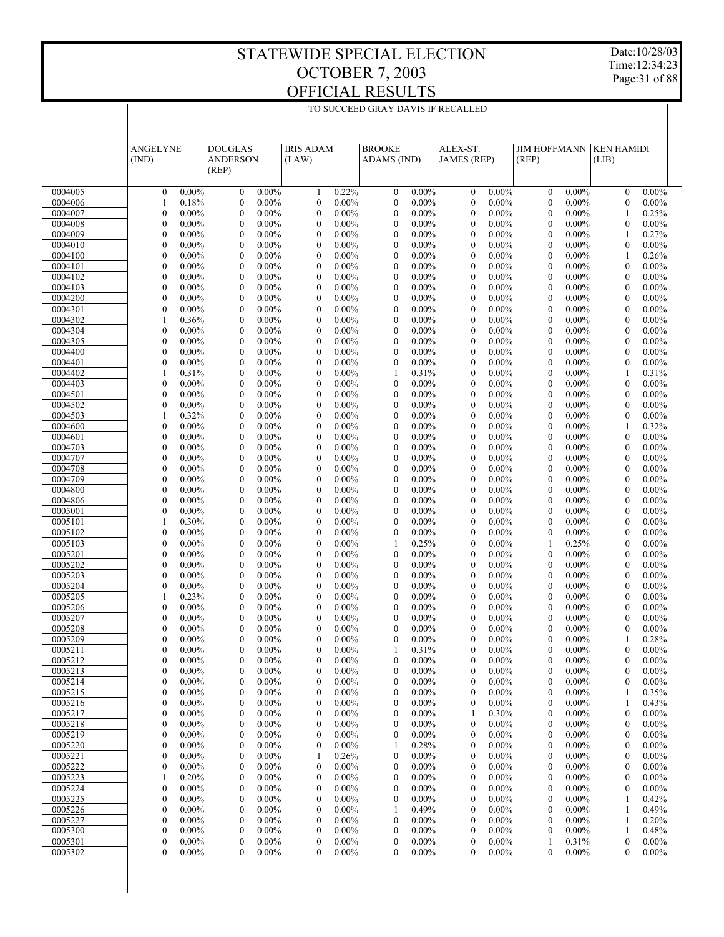Date:10/28/03 Time:12:34:23 Page:31 of 88

|                    | <b>ANGELYNE</b><br>(IND)             |                      | <b>IRIS ADAM</b><br><b>DOUGLAS</b><br><b>ANDERSON</b><br>(LAW)<br>(REP) |                                      | <b>BROOKE</b><br>ADAMS (IND) |                                      | ALEX-ST.<br><b>JAMES</b> (REP) |                                      | <b>JIM HOFFMANN</b><br>(REP) |                                      | <b>KEN HAMIDI</b><br>(LIB) |                                      |                      |  |
|--------------------|--------------------------------------|----------------------|-------------------------------------------------------------------------|--------------------------------------|------------------------------|--------------------------------------|--------------------------------|--------------------------------------|------------------------------|--------------------------------------|----------------------------|--------------------------------------|----------------------|--|
| 0004005            | $\mathbf{0}$                         | $0.00\%$             | $0.00\%$<br>$\boldsymbol{0}$                                            | $\mathbf{1}$                         | 0.22%                        | $\boldsymbol{0}$                     | $0.00\%$                       | $\mathbf{0}$                         | $0.00\%$                     | $\mathbf{0}$                         | $0.00\%$                   | $\mathbf{0}$                         | $0.00\%$             |  |
| 0004006            | 1                                    | 0.18%                | $\boldsymbol{0}$<br>$0.00\%$                                            | $\boldsymbol{0}$                     | $0.00\%$                     | $\boldsymbol{0}$                     | $0.00\%$                       | $\mathbf{0}$                         | 0.00%                        | $\theta$                             | $0.00\%$                   | $\mathbf{0}$                         | $0.00\%$             |  |
| 0004007            | $\mathbf{0}$                         | $0.00\%$             | $\boldsymbol{0}$<br>$0.00\%$                                            | $\boldsymbol{0}$                     | $0.00\%$                     | $\boldsymbol{0}$                     | $0.00\%$                       | $\mathbf{0}$                         | $0.00\%$                     | $\theta$                             | $0.00\%$                   | 1                                    | 0.25%                |  |
| 0004008            | $\boldsymbol{0}$                     | $0.00\%$             | $\boldsymbol{0}$<br>$0.00\%$                                            | $\boldsymbol{0}$                     | $0.00\%$                     | $\boldsymbol{0}$                     | $0.00\%$                       | $\mathbf{0}$                         | 0.00%                        | $\boldsymbol{0}$                     | $0.00\%$                   | $\boldsymbol{0}$                     | $0.00\%$             |  |
| 0004009            | $\overline{0}$                       | $0.00\%$             | $\mathbf{0}$<br>$0.00\%$                                                | $\boldsymbol{0}$                     | $0.00\%$                     | $\boldsymbol{0}$                     | $0.00\%$                       | $\boldsymbol{0}$                     | $0.00\%$                     | $\theta$                             | $0.00\%$                   | 1                                    | 0.27%                |  |
| 0004010            | $\boldsymbol{0}$                     | $0.00\%$             | $\boldsymbol{0}$<br>$0.00\%$                                            | $\boldsymbol{0}$                     | $0.00\%$                     | $\boldsymbol{0}$                     | $0.00\%$                       | $\mathbf{0}$                         | 0.00%                        | $\boldsymbol{0}$                     | $0.00\%$                   | $\mathbf{0}$                         | $0.00\%$             |  |
| 0004100            | $\overline{0}$                       | $0.00\%$             | $\mathbf{0}$<br>$0.00\%$                                                | $\boldsymbol{0}$                     | $0.00\%$                     | $\mathbf{0}$                         | $0.00\%$                       | $\mathbf{0}$                         | $0.00\%$                     | $\theta$                             | $0.00\%$                   | 1                                    | 0.26%                |  |
| 0004101            | $\mathbf{0}$                         | $0.00\%$             | $\boldsymbol{0}$<br>$0.00\%$                                            | $\boldsymbol{0}$                     | $0.00\%$                     | $\boldsymbol{0}$                     | $0.00\%$                       | $\mathbf{0}$                         | 0.00%                        | $\theta$                             | $0.00\%$                   | $\boldsymbol{0}$                     | $0.00\%$             |  |
| 0004102<br>0004103 | $\mathbf{0}$<br>$\boldsymbol{0}$     | $0.00\%$<br>$0.00\%$ | $\mathbf{0}$<br>$0.00\%$<br>$\boldsymbol{0}$<br>$0.00\%$                | $\boldsymbol{0}$<br>$\boldsymbol{0}$ | $0.00\%$<br>$0.00\%$         | $\boldsymbol{0}$<br>$\boldsymbol{0}$ | $0.00\%$<br>$0.00\%$           | $\mathbf{0}$<br>$\mathbf{0}$         | $0.00\%$<br>0.00%            | $\theta$<br>$\boldsymbol{0}$         | $0.00\%$<br>$0.00\%$       | $\mathbf{0}$<br>$\boldsymbol{0}$     | $0.00\%$<br>$0.00\%$ |  |
| 0004200            | $\mathbf{0}$                         | $0.00\%$             | $\mathbf{0}$<br>$0.00\%$                                                | $\boldsymbol{0}$                     | $0.00\%$                     | $\boldsymbol{0}$                     | $0.00\%$                       | $\mathbf{0}$                         | $0.00\%$                     | $\theta$                             | $0.00\%$                   | $\mathbf{0}$                         | $0.00\%$             |  |
| 0004301            | $\mathbf{0}$                         | $0.00\%$             | $\boldsymbol{0}$<br>$0.00\%$                                            | $\boldsymbol{0}$                     | $0.00\%$                     | $\boldsymbol{0}$                     | $0.00\%$                       | $\mathbf{0}$                         | 0.00%                        | $\boldsymbol{0}$                     | $0.00\%$                   | $\boldsymbol{0}$                     | $0.00\%$             |  |
| 0004302            | $\mathbf{1}$                         | 0.36%                | $\boldsymbol{0}$<br>$0.00\%$                                            | $\boldsymbol{0}$                     | $0.00\%$                     | $\boldsymbol{0}$                     | $0.00\%$                       | $\mathbf{0}$                         | $0.00\%$                     | $\theta$                             | $0.00\%$                   | $\mathbf{0}$                         | $0.00\%$             |  |
| 0004304            | $\boldsymbol{0}$                     | $0.00\%$             | $\boldsymbol{0}$<br>$0.00\%$                                            | $\boldsymbol{0}$                     | $0.00\%$                     | $\boldsymbol{0}$                     | $0.00\%$                       | $\mathbf{0}$                         | 0.00%                        | $\boldsymbol{0}$                     | $0.00\%$                   | $\boldsymbol{0}$                     | $0.00\%$             |  |
| 0004305            | $\overline{0}$                       | $0.00\%$             | $\mathbf{0}$<br>$0.00\%$                                                | $\boldsymbol{0}$                     | $0.00\%$                     | $\mathbf{0}$                         | $0.00\%$                       | $\mathbf{0}$                         | $0.00\%$                     | $\theta$                             | $0.00\%$                   | $\mathbf{0}$                         | $0.00\%$             |  |
| 0004400            | $\mathbf{0}$                         | $0.00\%$             | $\boldsymbol{0}$<br>$0.00\%$                                            | $\boldsymbol{0}$                     | $0.00\%$                     | $\boldsymbol{0}$                     | $0.00\%$                       | $\mathbf{0}$                         | 0.00%                        | $\theta$                             | $0.00\%$                   | $\boldsymbol{0}$                     | $0.00\%$             |  |
| 0004401            | $\mathbf{0}$                         | $0.00\%$             | $\mathbf{0}$<br>$0.00\%$                                                | $\boldsymbol{0}$                     | $0.00\%$                     | $\boldsymbol{0}$                     | $0.00\%$                       | $\mathbf{0}$                         | $0.00\%$                     | $\theta$                             | $0.00\%$                   | $\mathbf{0}$                         | $0.00\%$             |  |
| 0004402            | $\mathbf{1}$                         | 0.31%                | $\boldsymbol{0}$<br>$0.00\%$                                            | $\boldsymbol{0}$                     | $0.00\%$                     | $\mathbf{1}$                         | 0.31%                          | $\mathbf{0}$                         | 0.00%                        | $\boldsymbol{0}$                     | $0.00\%$                   | 1                                    | 0.31%                |  |
| 0004403            | $\overline{0}$                       | $0.00\%$             | $\mathbf{0}$<br>$0.00\%$                                                | $\boldsymbol{0}$                     | $0.00\%$                     | $\mathbf{0}$                         | $0.00\%$                       | $\mathbf{0}$                         | $0.00\%$                     | $\theta$                             | $0.00\%$                   | $\mathbf{0}$                         | $0.00\%$             |  |
| 0004501<br>0004502 | $\mathbf{0}$<br>$\mathbf{0}$         | $0.00\%$<br>$0.00\%$ | $\boldsymbol{0}$<br>$0.00\%$<br>$\boldsymbol{0}$<br>$0.00\%$            | $\boldsymbol{0}$<br>$\boldsymbol{0}$ | $0.00\%$<br>$0.00\%$         | $\boldsymbol{0}$<br>$\boldsymbol{0}$ | $0.00\%$<br>$0.00\%$           | $\mathbf{0}$<br>$\mathbf{0}$         | 0.00%<br>$0.00\%$            | $\boldsymbol{0}$<br>$\theta$         | $0.00\%$<br>$0.00\%$       | $\boldsymbol{0}$<br>$\mathbf{0}$     | $0.00\%$<br>$0.00\%$ |  |
| 0004503            | $\mathbf{1}$                         | 0.32%                | $\boldsymbol{0}$<br>$0.00\%$                                            | $\boldsymbol{0}$                     | $0.00\%$                     | $\boldsymbol{0}$                     | $0.00\%$                       | $\mathbf{0}$                         | 0.00%                        | $\boldsymbol{0}$                     | $0.00\%$                   | $\mathbf{0}$                         | $0.00\%$             |  |
| 0004600            | $\overline{0}$                       | $0.00\%$             | $\mathbf{0}$<br>$0.00\%$                                                | $\boldsymbol{0}$                     | $0.00\%$                     | $\boldsymbol{0}$                     | $0.00\%$                       | $\mathbf{0}$                         | $0.00\%$                     | $\theta$                             | $0.00\%$                   | 1                                    | 0.32%                |  |
| 0004601            | $\mathbf{0}$                         | $0.00\%$             | $\boldsymbol{0}$<br>$0.00\%$                                            | $\boldsymbol{0}$                     | $0.00\%$                     | $\boldsymbol{0}$                     | $0.00\%$                       | $\mathbf{0}$                         | 0.00%                        | $\boldsymbol{0}$                     | $0.00\%$                   | $\boldsymbol{0}$                     | $0.00\%$             |  |
| 0004703            | $\mathbf{0}$                         | $0.00\%$             | $\mathbf{0}$<br>$0.00\%$                                                | $\boldsymbol{0}$                     | $0.00\%$                     | $\boldsymbol{0}$                     | $0.00\%$                       | $\mathbf{0}$                         | $0.00\%$                     | $\theta$                             | $0.00\%$                   | $\mathbf{0}$                         | $0.00\%$             |  |
| 0004707            | $\boldsymbol{0}$                     | $0.00\%$             | $\boldsymbol{0}$<br>$0.00\%$                                            | $\boldsymbol{0}$                     | $0.00\%$                     | $\boldsymbol{0}$                     | $0.00\%$                       | $\mathbf{0}$                         | $0.00\%$                     | $\boldsymbol{0}$                     | $0.00\%$                   | $\boldsymbol{0}$                     | $0.00\%$             |  |
| 0004708            | $\overline{0}$                       | $0.00\%$             | $\mathbf{0}$<br>$0.00\%$                                                | $\boldsymbol{0}$                     | $0.00\%$                     | $\mathbf{0}$                         | $0.00\%$                       | $\mathbf{0}$                         | $0.00\%$                     | $\theta$                             | $0.00\%$                   | $\mathbf{0}$                         | $0.00\%$             |  |
| 0004709            | $\mathbf{0}$                         | $0.00\%$             | $\boldsymbol{0}$<br>$0.00\%$                                            | $\boldsymbol{0}$                     | $0.00\%$                     | $\boldsymbol{0}$                     | $0.00\%$                       | $\mathbf{0}$                         | $0.00\%$                     | $\boldsymbol{0}$                     | $0.00\%$                   | $\boldsymbol{0}$                     | $0.00\%$             |  |
| 0004800            | $\mathbf{0}$                         | $0.00\%$             | $\mathbf{0}$<br>$0.00\%$                                                | $\boldsymbol{0}$                     | $0.00\%$                     | $\boldsymbol{0}$                     | $0.00\%$                       | $\mathbf{0}$                         | $0.00\%$                     | $\theta$                             | $0.00\%$                   | $\mathbf{0}$                         | $0.00\%$             |  |
| 0004806            | $\boldsymbol{0}$<br>$\mathbf{0}$     | $0.00\%$             | $\boldsymbol{0}$<br>$0.00\%$<br>$\mathbf{0}$                            | $\boldsymbol{0}$                     | $0.00\%$<br>$0.00\%$         | $\boldsymbol{0}$<br>$\mathbf{0}$     | $0.00\%$                       | $\mathbf{0}$<br>$\mathbf{0}$         | $0.00\%$<br>$0.00\%$         | $\boldsymbol{0}$<br>$\theta$         | $0.00\%$                   | $\boldsymbol{0}$<br>$\mathbf{0}$     | $0.00\%$             |  |
| 0005001<br>0005101 | $\mathbf{1}$                         | $0.00\%$<br>0.30%    | $0.00\%$<br>$\boldsymbol{0}$<br>$0.00\%$                                | $\boldsymbol{0}$<br>$\boldsymbol{0}$ | $0.00\%$                     | $\boldsymbol{0}$                     | $0.00\%$<br>$0.00\%$           | $\mathbf{0}$                         | $0.00\%$                     | $\boldsymbol{0}$                     | $0.00\%$<br>$0.00\%$       | $\boldsymbol{0}$                     | $0.00\%$<br>$0.00\%$ |  |
| 0005102            | $\overline{0}$                       | $0.00\%$             | $\boldsymbol{0}$<br>$0.00\%$                                            | $\boldsymbol{0}$                     | $0.00\%$                     | $\boldsymbol{0}$                     | $0.00\%$                       | $\mathbf{0}$                         | $0.00\%$                     | $\theta$                             | $0.00\%$                   | $\mathbf{0}$                         | $0.00\%$             |  |
| 0005103            | $\boldsymbol{0}$                     | $0.00\%$             | $\boldsymbol{0}$<br>$0.00\%$                                            | $\boldsymbol{0}$                     | $0.00\%$                     | $\mathbf{1}$                         | 0.25%                          | $\mathbf{0}$                         | $0.00\%$                     | 1                                    | 0.25%                      | $\boldsymbol{0}$                     | $0.00\%$             |  |
| 0005201            | $\overline{0}$                       | $0.00\%$             | $\mathbf{0}$<br>$0.00\%$                                                | $\boldsymbol{0}$                     | $0.00\%$                     | $\boldsymbol{0}$                     | $0.00\%$                       | $\mathbf{0}$                         | $0.00\%$                     | $\theta$                             | $0.00\%$                   | $\mathbf{0}$                         | $0.00\%$             |  |
| 0005202            | $\mathbf{0}$                         | $0.00\%$             | $\boldsymbol{0}$<br>$0.00\%$                                            | $\boldsymbol{0}$                     | $0.00\%$                     | $\boldsymbol{0}$                     | $0.00\%$                       | $\mathbf{0}$                         | 0.00%                        | $\boldsymbol{0}$                     | $0.00\%$                   | $\boldsymbol{0}$                     | $0.00\%$             |  |
| 0005203            | $\overline{0}$                       | $0.00\%$             | $\mathbf{0}$<br>$0.00\%$                                                | $\boldsymbol{0}$                     | $0.00\%$                     | $\boldsymbol{0}$                     | $0.00\%$                       | $\mathbf{0}$                         | $0.00\%$                     | $\theta$                             | $0.00\%$                   | $\mathbf{0}$                         | $0.00\%$             |  |
| 0005204            | $\mathbf{0}$                         | $0.00\%$             | $\boldsymbol{0}$<br>$0.00\%$                                            | $\boldsymbol{0}$                     | $0.00\%$                     | $\boldsymbol{0}$                     | $0.00\%$                       | $\mathbf{0}$                         | 0.00%                        | $\theta$                             | $0.00\%$                   | $\boldsymbol{0}$                     | $0.00\%$             |  |
| 0005205            | $\mathbf{1}$                         | 0.23%                | $\mathbf{0}$<br>$0.00\%$                                                | $\boldsymbol{0}$                     | $0.00\%$                     | $\mathbf{0}$                         | $0.00\%$                       | $\mathbf{0}$                         | $0.00\%$                     | $\theta$                             | $0.00\%$                   | $\mathbf{0}$                         | $0.00\%$             |  |
| 0005206            | $\boldsymbol{0}$                     | $0.00\%$             | $\boldsymbol{0}$<br>$0.00\%$                                            | $\boldsymbol{0}$                     | $0.00\%$                     | $\boldsymbol{0}$                     | $0.00\%$                       | $\mathbf{0}$                         | 0.00%                        | $\boldsymbol{0}$                     | $0.00\%$                   | $\boldsymbol{0}$                     | $0.00\%$             |  |
| 0005207<br>0005208 | $\mathbf{0}$<br>$\mathbf{0}$         | $0.00\%$<br>$0.00\%$ | $\boldsymbol{0}$<br>$0.00\%$<br>$\boldsymbol{0}$<br>$0.00\%$            | $\boldsymbol{0}$<br>$\boldsymbol{0}$ | $0.00\%$<br>$0.00\%$         | $\boldsymbol{0}$<br>$\boldsymbol{0}$ | $0.00\%$<br>$0.00\%$           | $\mathbf{0}$<br>$\mathbf{0}$         | $0.00\%$<br>$0.00\%$         | $\theta$<br>$\theta$                 | $0.00\%$<br>$0.00\%$       | $\mathbf{0}$<br>$\mathbf{0}$         | $0.00\%$<br>$0.00\%$ |  |
| 0005209            | $\theta$                             | $0.00\%$             | $\mathbf{0}$<br>$0.00\%$                                                | $\mathbf{0}$                         | $0.00\%$                     | $\mathbf{0}$                         | $0.00\%$                       | $\mathbf{0}$                         | $0.00\%$                     | $\theta$                             | $0.00\%$                   | $\mathbf{1}$                         | 0.28%                |  |
| 0005211            | $\mathbf{0}$                         | $0.00\%$             | $\mathbf{0}$<br>$0.00\%$                                                | $\boldsymbol{0}$                     | $0.00\%$                     | 1                                    | 0.31%                          | $\boldsymbol{0}$                     | $0.00\%$                     | $\theta$                             | $0.00\%$                   | $\mathbf{0}$                         | $0.00\%$             |  |
| 0005212            | $\mathbf{0}$                         | $0.00\%$             | $\boldsymbol{0}$<br>$0.00\%$                                            | $\boldsymbol{0}$                     | $0.00\%$                     | $\mathbf{0}$                         | $0.00\%$                       | $\mathbf{0}$                         | $0.00\%$                     | $\boldsymbol{0}$                     | $0.00\%$                   | $\mathbf{0}$                         | 0.00%                |  |
| 0005213            | $\boldsymbol{0}$                     | $0.00\%$             | $0.00\%$<br>0                                                           | $\boldsymbol{0}$                     | $0.00\%$                     | $\boldsymbol{0}$                     | $0.00\%$                       | $\boldsymbol{0}$                     | $0.00\%$                     | $\boldsymbol{0}$                     | $0.00\%$                   | $\boldsymbol{0}$                     | $0.00\%$             |  |
| 0005214            | $\mathbf{0}$                         | $0.00\%$             | $\boldsymbol{0}$<br>$0.00\%$                                            | $\boldsymbol{0}$                     | $0.00\%$                     | $\boldsymbol{0}$                     | $0.00\%$                       | $\boldsymbol{0}$                     | $0.00\%$                     | $\boldsymbol{0}$                     | $0.00\%$                   | $\boldsymbol{0}$                     | $0.00\%$             |  |
| 0005215            | $\boldsymbol{0}$                     | $0.00\%$             | $0.00\%$<br>0                                                           | $\boldsymbol{0}$                     | $0.00\%$                     | $\boldsymbol{0}$                     | $0.00\%$                       | $\boldsymbol{0}$                     | $0.00\%$                     | $\boldsymbol{0}$                     | $0.00\%$                   | 1                                    | 0.35%                |  |
| 0005216            | $\boldsymbol{0}$                     | $0.00\%$             | $\boldsymbol{0}$<br>$0.00\%$                                            | $\boldsymbol{0}$                     | $0.00\%$                     | $\boldsymbol{0}$                     | $0.00\%$                       | $\boldsymbol{0}$                     | $0.00\%$                     | $\boldsymbol{0}$                     | $0.00\%$                   | -1                                   | 0.43%                |  |
| 0005217            | $\boldsymbol{0}$                     | $0.00\%$             | $0.00\%$<br>0                                                           | $\boldsymbol{0}$                     | $0.00\%$                     | $\boldsymbol{0}$                     | $0.00\%$                       | 1                                    | 0.30%                        | $\boldsymbol{0}$                     | $0.00\%$                   | $\boldsymbol{0}$                     | $0.00\%$             |  |
| 0005218            | $\boldsymbol{0}$                     | $0.00\%$             | $\boldsymbol{0}$<br>$0.00\%$                                            | $\boldsymbol{0}$                     | $0.00\%$                     | $\boldsymbol{0}$                     | $0.00\%$                       | $\mathbf{0}$                         | $0.00\%$                     | $\boldsymbol{0}$                     | $0.00\%$                   | $\boldsymbol{0}$                     | $0.00\%$             |  |
| 0005219            | $\boldsymbol{0}$<br>$\boldsymbol{0}$ | $0.00\%$<br>$0.00\%$ | $0.00\%$<br>0<br>$\boldsymbol{0}$<br>$0.00\%$                           | $\boldsymbol{0}$                     | $0.00\%$<br>$0.00\%$         | $\boldsymbol{0}$<br>-1               | $0.00\%$                       | $\boldsymbol{0}$<br>$\boldsymbol{0}$ | $0.00\%$<br>$0.00\%$         | $\boldsymbol{0}$<br>$\boldsymbol{0}$ | $0.00\%$<br>$0.00\%$       | $\boldsymbol{0}$<br>$\boldsymbol{0}$ | $0.00\%$             |  |
| 0005220<br>0005221 | $\boldsymbol{0}$                     | $0.00\%$             | $0.00\%$<br>0                                                           | $\boldsymbol{0}$<br>1                | 0.26%                        | $\boldsymbol{0}$                     | 0.28%<br>$0.00\%$              | $\boldsymbol{0}$                     | $0.00\%$                     | $\boldsymbol{0}$                     | $0.00\%$                   | $\boldsymbol{0}$                     | $0.00\%$<br>$0.00\%$ |  |
| 0005222            | $\boldsymbol{0}$                     | $0.00\%$             | $\boldsymbol{0}$<br>$0.00\%$                                            | $\boldsymbol{0}$                     | $0.00\%$                     | $\boldsymbol{0}$                     | $0.00\%$                       | $\mathbf{0}$                         | $0.00\%$                     | $\boldsymbol{0}$                     | $0.00\%$                   | $\boldsymbol{0}$                     | $0.00\%$             |  |
| 0005223            |                                      | 0.20%                | $0.00\%$<br>0                                                           | $\boldsymbol{0}$                     | $0.00\%$                     | $\boldsymbol{0}$                     | $0.00\%$                       | $\boldsymbol{0}$                     | $0.00\%$                     | $\boldsymbol{0}$                     | $0.00\%$                   | $\boldsymbol{0}$                     | $0.00\%$             |  |
| 0005224            | $\boldsymbol{0}$                     | $0.00\%$             | $\boldsymbol{0}$<br>$0.00\%$                                            | $\boldsymbol{0}$                     | $0.00\%$                     | $\boldsymbol{0}$                     | $0.00\%$                       | $\mathbf{0}$                         | $0.00\%$                     | $\boldsymbol{0}$                     | $0.00\%$                   | $\boldsymbol{0}$                     | $0.00\%$             |  |
| 0005225            | $\boldsymbol{0}$                     | $0.00\%$             | $0.00\%$<br>0                                                           | $\boldsymbol{0}$                     | $0.00\%$                     | $\boldsymbol{0}$                     | $0.00\%$                       | $\boldsymbol{0}$                     | $0.00\%$                     | $\boldsymbol{0}$                     | $0.00\%$                   | 1                                    | 0.42%                |  |
| 0005226            | $\boldsymbol{0}$                     | $0.00\%$             | $\boldsymbol{0}$<br>$0.00\%$                                            | $\boldsymbol{0}$                     | $0.00\%$                     | -1                                   | 0.49%                          | $\boldsymbol{0}$                     | $0.00\%$                     | $\boldsymbol{0}$                     | $0.00\%$                   | 1                                    | 0.49%                |  |
| 0005227            | $\boldsymbol{0}$                     | $0.00\%$             | $0.00\%$<br>0                                                           | $\boldsymbol{0}$                     | $0.00\%$                     | $\boldsymbol{0}$                     | $0.00\%$                       | $\boldsymbol{0}$                     | $0.00\%$                     | $\boldsymbol{0}$                     | $0.00\%$                   | -1                                   | 0.20%                |  |
| 0005300            | $\boldsymbol{0}$                     | $0.00\%$             | $\boldsymbol{0}$<br>$0.00\%$                                            | $\boldsymbol{0}$                     | $0.00\%$                     | $\boldsymbol{0}$                     | $0.00\%$                       | $\boldsymbol{0}$                     | $0.00\%$                     | $\mathbf{0}$                         | $0.00\%$                   | -1                                   | 0.48%                |  |
| 0005301            | $\boldsymbol{0}$                     | $0.00\%$             | $\boldsymbol{0}$<br>$0.00\%$                                            | $\boldsymbol{0}$                     | $0.00\%$                     | $\boldsymbol{0}$                     | $0.00\%$                       | $\boldsymbol{0}$                     | $0.00\%$                     | -1                                   | 0.31%                      | $\boldsymbol{0}$                     | $0.00\%$             |  |
| 0005302            | $\mathbf{0}$                         | $0.00\%$             | $\mathbf{0}$<br>$0.00\%$                                                | $\mathbf{0}$                         | $0.00\%$                     | $\mathbf{0}$                         | $0.00\%$                       | $\overline{0}$                       | $0.00\%$                     | $\mathbf{0}$                         | $0.00\%$                   | $\mathbf{0}$                         | $0.00\%$             |  |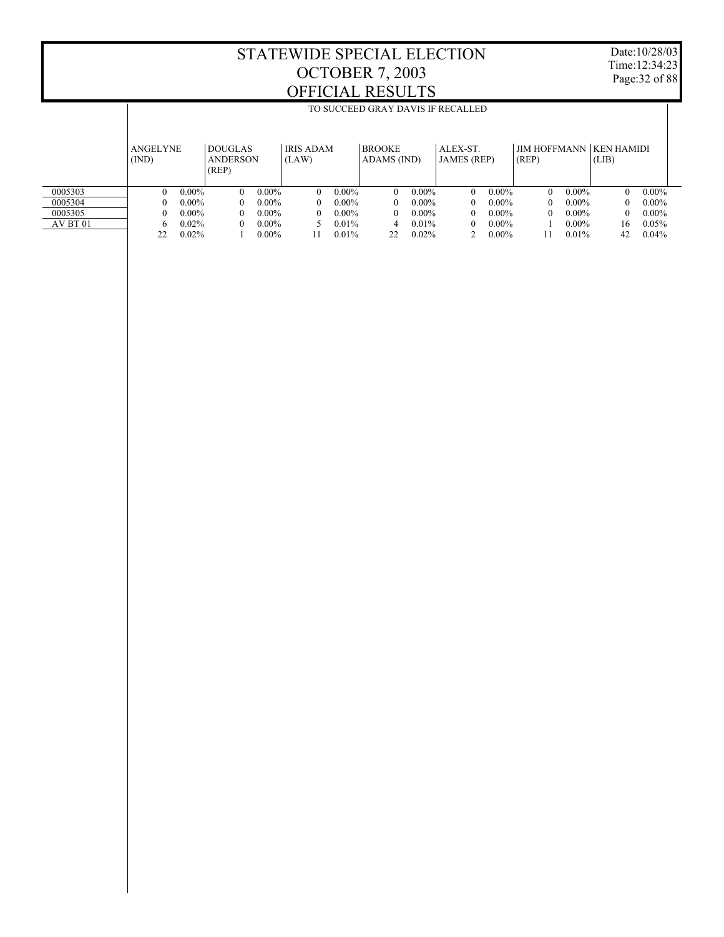Date:10/28/03 Time:12:34:23 Page:32 of 88

|          |                          |          |                                            |                                                                                                                                                           |          |          | TO SUCCEED GRAY DAVIS IF RECALLED |          |          |          |          |          |          |          |
|----------|--------------------------|----------|--------------------------------------------|-----------------------------------------------------------------------------------------------------------------------------------------------------------|----------|----------|-----------------------------------|----------|----------|----------|----------|----------|----------|----------|
|          |                          |          |                                            |                                                                                                                                                           |          |          |                                   |          |          |          |          |          |          |          |
|          | <b>ANGELYNE</b><br>(IND) |          | <b>DOUGLAS</b><br><b>ANDERSON</b><br>(REP) | <b>JIM HOFFMANN</b><br><b>KEN HAMIDI</b><br><b>BROOKE</b><br>ALEX-ST.<br><b>IRIS ADAM</b><br>(REP)<br>(LAW)<br>ADAMS (IND)<br><b>JAMES</b> (REP)<br>(LIB) |          |          |                                   |          |          |          |          |          |          |          |
| 0005303  | $\Omega$                 | $0.00\%$ | $\Omega$                                   | $0.00\%$                                                                                                                                                  | $\Omega$ | $0.00\%$ | $\Omega$                          | $0.00\%$ | $\Omega$ | $0.00\%$ | $\Omega$ | $0.00\%$ | $\theta$ | $0.00\%$ |
| 0005304  | $\Omega$                 | $0.00\%$ | $\Omega$                                   | $0.00\%$                                                                                                                                                  | $\Omega$ | $0.00\%$ | $\Omega$                          | $0.00\%$ | $\theta$ | $0.00\%$ | $\Omega$ | $0.00\%$ | 0        | $0.00\%$ |
| 0005305  | $\mathbf{0}$             | $0.00\%$ | $\Omega$                                   | $0.00\%$                                                                                                                                                  | $\theta$ | $0.00\%$ | $\Omega$                          | $0.00\%$ | $\theta$ | $0.00\%$ | $\Omega$ | $0.00\%$ | $\Omega$ | $0.00\%$ |
| AV BT 01 | 6                        | 0.02%    | $\Omega$                                   | $0.00\%$<br>$0.00\%$<br>$0.01\%$<br>$0.01\%$<br>$0.00\%$<br>$\Omega$<br>4                                                                                 |          |          |                                   |          |          |          |          | 16       | 0.05%    |          |
|          | 22                       | 0.02%    |                                            | $0.00\%$                                                                                                                                                  | 11       | 0.01%    | 22                                | 0.02%    |          | $0.00\%$ |          | 0.01%    | 42       | $0.04\%$ |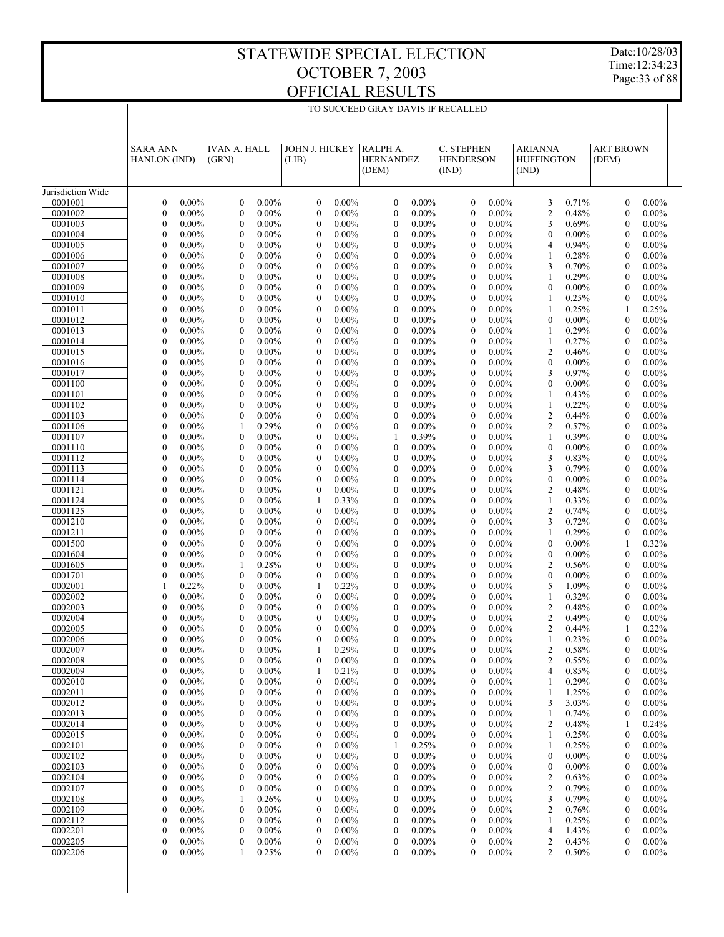TO SUCCEED GRAY DAVIS IF RECALLED

Date:10/28/03 Time:12:34:23 Page:33 of 88

|                    | <b>SARA ANN</b><br><b>HANLON</b> (IND)                       | <b>IVAN A. HALL</b><br>(GRN)                                 | <b>JOHN J. HICKEY</b><br>(LIB)                               | RALPH A.<br><b>HERNANDEZ</b><br>(DEM)                        | C. STEPHEN<br><b>HENDERSON</b><br>(IND)              | <b>ARIANNA</b><br><b>HUFFINGTON</b><br>(IND) | <b>ART BROWN</b><br>(DEM)                                    |
|--------------------|--------------------------------------------------------------|--------------------------------------------------------------|--------------------------------------------------------------|--------------------------------------------------------------|------------------------------------------------------|----------------------------------------------|--------------------------------------------------------------|
| Jurisdiction Wide  |                                                              |                                                              |                                                              |                                                              |                                                      |                                              |                                                              |
| 0001001            | $\boldsymbol{0}$                                             | $\mathbf{0}$                                                 | $\boldsymbol{0}$                                             | $\boldsymbol{0}$                                             | $\mathbf{0}$                                         | 0.71%                                        | $\boldsymbol{0}$                                             |
|                    | $0.00\%$                                                     | $0.00\%$                                                     | $0.00\%$                                                     | $0.00\%$                                                     | $0.00\%$                                             | 3                                            | $0.00\%$                                                     |
| 0001002            | $\boldsymbol{0}$                                             | $\boldsymbol{0}$                                             | $\boldsymbol{0}$                                             | $\boldsymbol{0}$                                             | $\mathbf{0}$                                         | 0.48%                                        | $\boldsymbol{0}$                                             |
|                    | 0.00%                                                        | $0.00\%$                                                     | $0.00\%$                                                     | $0.00\%$                                                     | $0.00\%$                                             | $\overline{\mathbf{c}}$                      | $0.00\%$                                                     |
| 0001003            | $\boldsymbol{0}$                                             | $\overline{0}$                                               | $\mathbf{0}$                                                 | $\boldsymbol{0}$                                             | $0.00\%$                                             | 3                                            | $\boldsymbol{0}$                                             |
|                    | 0.00%                                                        | $0.00\%$                                                     | $0.00\%$                                                     | $0.00\%$                                                     | $\mathbf{0}$                                         | 0.69%                                        | $0.00\%$                                                     |
| 0001004<br>0001005 | $\boldsymbol{0}$<br>0.00%<br>$\mathbf{0}$<br>$0.00\%$        | $\mathbf{0}$<br>$0.00\%$<br>$\overline{0}$<br>$0.00\%$       | $\boldsymbol{0}$<br>$0.00\%$<br>$\mathbf{0}$<br>$0.00\%$     | $\boldsymbol{0}$<br>$0.00\%$<br>$\boldsymbol{0}$<br>$0.00\%$ | $0.00\%$<br>$\mathbf{0}$<br>$0.00\%$<br>$\mathbf{0}$ | $0.00\%$<br>$\mathbf{0}$<br>0.94%<br>4       | $\boldsymbol{0}$<br>$0.00\%$<br>$\mathbf{0}$<br>$0.00\%$     |
| 0001006            | $\boldsymbol{0}$                                             | $\boldsymbol{0}$                                             | $\boldsymbol{0}$                                             | $\boldsymbol{0}$                                             | $0.00\%$                                             | 0.28%                                        | $\boldsymbol{0}$                                             |
|                    | 0.00%                                                        | $0.00\%$                                                     | $0.00\%$                                                     | $0.00\%$                                                     | $\mathbf{0}$                                         | 1                                            | $0.00\%$                                                     |
| 0001007            | $\mathbf{0}$                                                 | $\overline{0}$                                               | $\boldsymbol{0}$                                             | $\boldsymbol{0}$                                             | $0.00\%$                                             | 3                                            | $\boldsymbol{0}$                                             |
|                    | $0.00\%$                                                     | $0.00\%$                                                     | $0.00\%$                                                     | $0.00\%$                                                     | $\mathbf{0}$                                         | 0.70%                                        | $0.00\%$                                                     |
| 0001008            | $\boldsymbol{0}$                                             | $\boldsymbol{0}$                                             | $\boldsymbol{0}$                                             | $\boldsymbol{0}$                                             | $0.00\%$                                             | 0.29%                                        | $\boldsymbol{0}$                                             |
|                    | 0.00%                                                        | $0.00\%$                                                     | $0.00\%$                                                     | $0.00\%$                                                     | $\mathbf{0}$                                         | 1                                            | $0.00\%$                                                     |
| 0001009            | $\mathbf{0}$                                                 | $\overline{0}$                                               | $\mathbf{0}$                                                 | $\boldsymbol{0}$                                             | $0.00\%$                                             | $0.00\%$                                     | $\mathbf{0}$                                                 |
|                    | $0.00\%$                                                     | $0.00\%$                                                     | $0.00\%$                                                     | $0.00\%$                                                     | $\mathbf{0}$                                         | $\mathbf{0}$                                 | $0.00\%$                                                     |
| 0001010            | $\boldsymbol{0}$<br>0.00%<br>$\mathbf{0}$                    | $\boldsymbol{0}$<br>$0.00\%$<br>$\overline{0}$               | $\boldsymbol{0}$<br>$0.00\%$                                 | $\boldsymbol{0}$<br>$0.00\%$                                 | $0.00\%$<br>$\mathbf{0}$                             | 0.25%<br>1                                   | $\boldsymbol{0}$<br>$0.00\%$                                 |
| 0001011<br>0001012 | $0.00\%$<br>$\boldsymbol{0}$<br>0.00%                        | $0.00\%$<br>$\boldsymbol{0}$<br>$0.00\%$                     | $\boldsymbol{0}$<br>$0.00\%$<br>$\boldsymbol{0}$<br>$0.00\%$ | $\boldsymbol{0}$<br>$0.00\%$<br>$\boldsymbol{0}$<br>$0.00\%$ | $0.00\%$<br>$\mathbf{0}$<br>$0.00\%$<br>$\mathbf{0}$ | 0.25%<br>1<br>$0.00\%$<br>$\mathbf{0}$       | 0.25%<br>1<br>$\boldsymbol{0}$<br>$0.00\%$                   |
| 0001013            | $\mathbf{0}$<br>$0.00\%$                                     | $\overline{0}$<br>$0.00\%$                                   | $\mathbf{0}$<br>$0.00\%$                                     | $\boldsymbol{0}$<br>$0.00\%$                                 | $0.00\%$<br>$\mathbf{0}$                             | 0.29%                                        | $\mathbf{0}$<br>$0.00\%$                                     |
| 0001014            | $\boldsymbol{0}$                                             | $\boldsymbol{0}$                                             | $\boldsymbol{0}$                                             | $\boldsymbol{0}$                                             | $0.00\%$                                             | 0.27%                                        | $\boldsymbol{0}$                                             |
|                    | 0.00%                                                        | $0.00\%$                                                     | $0.00\%$                                                     | $0.00\%$                                                     | $\mathbf{0}$                                         | 1                                            | $0.00\%$                                                     |
| 0001015            | $\mathbf{0}$                                                 | $\overline{0}$                                               | $\boldsymbol{0}$                                             | $\boldsymbol{0}$                                             | $0.00\%$                                             | $\mathfrak{2}$                               | $\boldsymbol{0}$                                             |
|                    | $0.00\%$                                                     | $0.00\%$                                                     | $0.00\%$                                                     | $0.00\%$                                                     | $\mathbf{0}$                                         | 0.46%                                        | $0.00\%$                                                     |
| 0001016            | $\boldsymbol{0}$                                             | $\mathbf{0}$                                                 | $\boldsymbol{0}$                                             | $\boldsymbol{0}$                                             | $0.00\%$                                             | $0.00\%$                                     | $\boldsymbol{0}$                                             |
|                    | 0.00%                                                        | $0.00\%$                                                     | $0.00\%$                                                     | $0.00\%$                                                     | $\mathbf{0}$                                         | $\mathbf{0}$                                 | $0.00\%$                                                     |
| 0001017<br>0001100 | $\mathbf{0}$<br>$0.00\%$<br>$\boldsymbol{0}$<br>0.00%        | $\overline{0}$<br>$0.00\%$<br>$\boldsymbol{0}$<br>$0.00\%$   | $\mathbf{0}$<br>$0.00\%$<br>$\boldsymbol{0}$<br>$0.00\%$     | $\mathbf{0}$<br>$0.00\%$<br>$\boldsymbol{0}$<br>$0.00\%$     | $0.00\%$<br>$\mathbf{0}$<br>$0.00\%$<br>$\mathbf{0}$ | 3<br>0.97%<br>$0.00\%$<br>$\mathbf{0}$       | $\mathbf{0}$<br>$0.00\%$<br>$\boldsymbol{0}$<br>$0.00\%$     |
| 0001101            | $\mathbf{0}$                                                 | $\overline{0}$                                               | $\boldsymbol{0}$                                             | $\boldsymbol{0}$                                             | $0.00\%$                                             | 0.43%                                        | $\mathbf{0}$                                                 |
|                    | $0.00\%$                                                     | $0.00\%$                                                     | $0.00\%$                                                     | $0.00\%$                                                     | $\mathbf{0}$                                         | 1                                            | $0.00\%$                                                     |
| 0001102            | $\boldsymbol{0}$                                             | $\boldsymbol{0}$                                             | $\boldsymbol{0}$                                             | $\boldsymbol{0}$                                             | $0.00\%$                                             | 0.22%                                        | $\boldsymbol{0}$                                             |
|                    | 0.00%                                                        | $0.00\%$                                                     | $0.00\%$                                                     | $0.00\%$                                                     | $\mathbf{0}$                                         | 1                                            | $0.00\%$                                                     |
| 0001103            | $\mathbf{0}$                                                 | $\overline{0}$                                               | $\mathbf{0}$                                                 | $\boldsymbol{0}$                                             | $0.00\%$                                             | 2                                            | $\boldsymbol{0}$                                             |
|                    | $0.00\%$                                                     | $0.00\%$                                                     | $0.00\%$                                                     | $0.00\%$                                                     | $\mathbf{0}$                                         | 0.44%                                        | $0.00\%$                                                     |
| 0001106            | $\boldsymbol{0}$                                             | 0.29%                                                        | $\boldsymbol{0}$                                             | $\boldsymbol{0}$                                             | $0.00\%$                                             | $\mathfrak{2}$                               | $\boldsymbol{0}$                                             |
|                    | 0.00%                                                        | 1                                                            | $0.00\%$                                                     | $0.00\%$                                                     | $\mathbf{0}$                                         | 0.57%                                        | $0.00\%$                                                     |
| 0001107            | $\mathbf{0}$                                                 | $\overline{0}$                                               | $0.00\%$                                                     | 0.39%                                                        | $0.00\%$                                             | 0.39%                                        | $\boldsymbol{0}$                                             |
| 0001110            | $0.00\%$                                                     | $0.00\%$                                                     | $\boldsymbol{0}$                                             | 1                                                            | $\mathbf{0}$                                         | 1                                            | $0.00\%$                                                     |
| 0001112            | $\boldsymbol{0}$                                             | $\boldsymbol{0}$                                             | $\boldsymbol{0}$                                             | $\boldsymbol{0}$                                             | $0.00\%$                                             | $0.00\%$                                     | $\boldsymbol{0}$                                             |
|                    | $0.00\%$                                                     | $0.00\%$                                                     | $0.00\%$                                                     | $0.00\%$                                                     | $\mathbf{0}$                                         | $\boldsymbol{0}$                             | $0.00\%$                                                     |
|                    | $\mathbf{0}$                                                 | $\overline{0}$                                               | $\mathbf{0}$                                                 | $\boldsymbol{0}$                                             | $0.00\%$                                             | 3                                            | $\mathbf{0}$                                                 |
|                    | $0.00\%$                                                     | $0.00\%$                                                     | $0.00\%$                                                     | $0.00\%$                                                     | $\mathbf{0}$                                         | 0.83%                                        | $0.00\%$                                                     |
| 0001113            | $\boldsymbol{0}$                                             | $\boldsymbol{0}$                                             | $\boldsymbol{0}$                                             | $\boldsymbol{0}$                                             | $0.00\%$                                             | 3                                            | $\boldsymbol{0}$                                             |
|                    | $0.00\%$                                                     | $0.00\%$                                                     | $0.00\%$                                                     | $0.00\%$                                                     | $\mathbf{0}$                                         | 0.79%                                        | $0.00\%$                                                     |
| 0001114            | $\mathbf{0}$                                                 | $\overline{0}$                                               | $\boldsymbol{0}$                                             | $\boldsymbol{0}$                                             | $0.00\%$                                             | $0.00\%$                                     | $\boldsymbol{0}$                                             |
|                    | $0.00\%$                                                     | $0.00\%$                                                     | $0.00\%$                                                     | $0.00\%$                                                     | $\mathbf{0}$                                         | $\boldsymbol{0}$                             | $0.00\%$                                                     |
| 0001121            | $\boldsymbol{0}$                                             | $\boldsymbol{0}$                                             | $\boldsymbol{0}$                                             | $\boldsymbol{0}$                                             | $0.00\%$                                             | $\overline{2}$                               | $\boldsymbol{0}$                                             |
|                    | $0.00\%$                                                     | $0.00\%$                                                     | $0.00\%$                                                     | $0.00\%$                                                     | $\mathbf{0}$                                         | 0.48%                                        | $0.00\%$                                                     |
| 0001124            | $\mathbf{0}$                                                 | $\overline{0}$                                               | 0.33%                                                        | $\boldsymbol{0}$                                             | $0.00\%$                                             | 0.33%                                        | $\boldsymbol{0}$                                             |
|                    | $0.00\%$                                                     | $0.00\%$                                                     | 1                                                            | $0.00\%$                                                     | $\mathbf{0}$                                         | 1                                            | $0.00\%$                                                     |
| 0001125<br>0001210 | $\boldsymbol{0}$<br>$0.00\%$<br>$\mathbf{0}$<br>$0.00\%$     | $\boldsymbol{0}$<br>$0.00\%$<br>$\overline{0}$<br>$0.00\%$   | $\boldsymbol{0}$<br>$0.00\%$<br>$\boldsymbol{0}$<br>$0.00\%$ | $\boldsymbol{0}$<br>$0.00\%$<br>$\boldsymbol{0}$<br>$0.00\%$ | $0.00\%$<br>$\mathbf{0}$<br>$0.00\%$<br>$\mathbf{0}$ | $\overline{2}$<br>0.74%<br>3<br>0.72%        | $\boldsymbol{0}$<br>$0.00\%$<br>$\mathbf{0}$<br>$0.00\%$     |
| 0001211            | $\boldsymbol{0}$                                             | $\mathbf{0}$                                                 | $\boldsymbol{0}$                                             | $\boldsymbol{0}$                                             | $0.00\%$                                             | 0.29%                                        | $\mathbf{0}$                                                 |
|                    | $0.00\%$                                                     | $0.00\%$                                                     | $0.00\%$                                                     | $0.00\%$                                                     | $\mathbf{0}$                                         | 1                                            | $0.00\%$                                                     |
| 0001500            | $\mathbf{0}$                                                 | $\overline{0}$                                               | $\mathbf{0}$                                                 | $\boldsymbol{0}$                                             | $0.00\%$                                             | $0.00\%$                                     | 0.32%                                                        |
|                    | $0.00\%$                                                     | $0.00\%$                                                     | $0.00\%$                                                     | $0.00\%$                                                     | $\mathbf{0}$                                         | $\mathbf{0}$                                 | 1                                                            |
| 0001604            | $\boldsymbol{0}$                                             | $\boldsymbol{0}$                                             | $\boldsymbol{0}$                                             | $\boldsymbol{0}$                                             | $0.00\%$                                             | $0.00\%$                                     | $\boldsymbol{0}$                                             |
|                    | $0.00\%$                                                     | $0.00\%$                                                     | $0.00\%$                                                     | $0.00\%$                                                     | $\mathbf{0}$                                         | $\mathbf{0}$                                 | $0.00\%$                                                     |
| 0001605            | $\mathbf{0}$                                                 | 0.28%                                                        | $\mathbf{0}$                                                 | $\boldsymbol{0}$                                             | $0.00\%$                                             | $\mathfrak{2}$                               | $\mathbf{0}$                                                 |
|                    | $0.00\%$                                                     | 1                                                            | $0.00\%$                                                     | $0.00\%$                                                     | $\mathbf{0}$                                         | 0.56%                                        | $0.00\%$                                                     |
| 0001701            | $\boldsymbol{0}$<br>$0.00\%$<br>$\mathbf{1}$                 | $\mathbf{0}$<br>$0.00\%$<br>$\overline{0}$                   | $\boldsymbol{0}$<br>$0.00\%$                                 | $\boldsymbol{0}$<br>$0.00\%$                                 | $0.00\%$<br>$\mathbf{0}$                             | $0.00\%$<br>$\boldsymbol{0}$                 | $\boldsymbol{0}$<br>$0.00\%$                                 |
| 0002001<br>0002002 | 0.22%<br>$\boldsymbol{0}$<br>$0.00\%$                        | $0.00\%$<br>$\boldsymbol{0}$<br>$0.00\%$                     | 0.22%<br>1<br>$\boldsymbol{0}$<br>$0.00\%$                   | $\boldsymbol{0}$<br>$0.00\%$<br>$\boldsymbol{0}$<br>$0.00\%$ | $0.00\%$<br>$\mathbf{0}$<br>$0.00\%$<br>$\mathbf{0}$ | 5<br>1.09%<br>0.32%<br>1                     | $\mathbf{0}$<br>$0.00\%$<br>$\boldsymbol{0}$<br>$0.00\%$     |
| 0002003            | $\mathbf{0}$                                                 | $\overline{0}$                                               | $0.00\%$                                                     | $\boldsymbol{0}$                                             | $0.00\%$                                             | 2                                            | $\boldsymbol{0}$                                             |
|                    | $0.00\%$                                                     | $0.00\%$                                                     | $\mathbf{0}$                                                 | $0.00\%$                                                     | $\mathbf{0}$                                         | 0.48%                                        | $0.00\%$                                                     |
| 0002004            | $\boldsymbol{0}$                                             | $\boldsymbol{0}$                                             | $0.00\%$                                                     | $\boldsymbol{0}$                                             | $0.00\%$                                             | $\mathfrak{2}$                               | $\mathbf{0}$                                                 |
|                    | $0.00\%$                                                     | $0.00\%$                                                     | $\boldsymbol{0}$                                             | $0.00\%$                                                     | $\mathbf{0}$                                         | 0.49%                                        | $0.00\%$                                                     |
| 0002005            | 0                                                            | $\overline{0}$                                               | $\theta$                                                     | $\mathbf{0}$                                                 | $0.00\%$                                             | $\overline{2}$                               | 0.22%                                                        |
|                    | $0.00\%$                                                     | $0.00\%$                                                     | $0.00\%$                                                     | $0.00\%$                                                     | $\theta$                                             | 0.44%                                        | 1                                                            |
| 0002006            | $\mathbf{0}$<br>$0.00\%$<br>$\Omega$                         | $\mathbf{0}$<br>$0.00\%$                                     | $\boldsymbol{0}$<br>$0.00\%$                                 | $\mathbf{0}$<br>$0.00\%$                                     | $0.00\%$<br>$\mathbf{0}$                             | 0.23%<br>1                                   | $\mathbf{0}$<br>$0.00\%$                                     |
| 0002007<br>0002008 | $0.00\%$<br>$\boldsymbol{0}$<br>$0.00\%$                     | 0<br>$0.00\%$<br>0<br>$0.00\%$                               | 0.29%<br>$0.00\%$<br>$\boldsymbol{0}$                        | $\Omega$<br>$0.00\%$<br>$\boldsymbol{0}$<br>$0.00\%$         | 0<br>$0.00\%$<br>$\boldsymbol{0}$<br>$0.00\%$        | $0.58\%$<br>2<br>2<br>0.55%                  | $\theta$<br>$0.00\%$<br>$\boldsymbol{0}$<br>$0.00\%$         |
| 0002009            | $\boldsymbol{0}$                                             | 0                                                            | 0.21%                                                        | $\boldsymbol{0}$                                             | $\mathbf{0}$                                         | 4                                            | $\boldsymbol{0}$                                             |
|                    | $0.00\%$                                                     | $0.00\%$                                                     | 1                                                            | $0.00\%$                                                     | $0.00\%$                                             | 0.85%                                        | $0.00\%$                                                     |
| 0002010            | $\boldsymbol{0}$<br>$0.00\%$                                 | $\boldsymbol{0}$<br>$0.00\%$                                 | $\boldsymbol{0}$<br>$0.00\%$                                 | $\boldsymbol{0}$<br>$0.00\%$                                 | $0.00\%$<br>$\bf{0}$                                 | 0.29%                                        | $\boldsymbol{0}$<br>$0.00\%$                                 |
| 0002011            | $\mathbf{0}$<br>$0.00\%$                                     | 0<br>$0.00\%$                                                | $\boldsymbol{0}$<br>$0.00\%$                                 | $\boldsymbol{0}$<br>$0.00\%$                                 | $\mathbf{0}$<br>$0.00\%$                             | 1.25%                                        | $\boldsymbol{0}$<br>$0.00\%$                                 |
| 0002012            | $\boldsymbol{0}$                                             | $\boldsymbol{0}$                                             | $\boldsymbol{0}$                                             | $\boldsymbol{0}$                                             | $\mathbf{0}$                                         | 3.03%                                        | $\boldsymbol{0}$                                             |
|                    | $0.00\%$                                                     | $0.00\%$                                                     | $0.00\%$                                                     | $0.00\%$                                                     | $0.00\%$                                             | 3                                            | $0.00\%$                                                     |
| 0002013<br>0002014 | $\boldsymbol{0}$<br>$0.00\%$                                 | 0<br>$0.00\%$                                                | $\boldsymbol{0}$<br>$0.00\%$<br>$0.00\%$                     | $\boldsymbol{0}$<br>$0.00\%$                                 | $\mathbf{0}$<br>$0.00\%$                             | 0.74%<br>1<br>0.48%                          | $\boldsymbol{0}$<br>$0.00\%$                                 |
| 0002015            | $\boldsymbol{0}$<br>$0.00\%$<br>$\boldsymbol{0}$<br>$0.00\%$ | $\boldsymbol{0}$<br>$0.00\%$<br>$\boldsymbol{0}$<br>$0.00\%$ | $\boldsymbol{0}$<br>$\boldsymbol{0}$<br>$0.00\%$             | $\boldsymbol{0}$<br>$0.00\%$<br>$\boldsymbol{0}$<br>$0.00\%$ | $\mathbf{0}$<br>$0.00\%$<br>$\mathbf{0}$<br>$0.00\%$ | 2<br>0.25%<br>1                              | 0.24%<br>1<br>$\boldsymbol{0}$<br>$0.00\%$                   |
| 0002101            | $\boldsymbol{0}$<br>$0.00\%$                                 | $\boldsymbol{0}$<br>$0.00\%$                                 | $\boldsymbol{0}$<br>$0.00\%$                                 | 0.25%<br>1                                                   | $\mathbf{0}$<br>$0.00\%$                             | 0.25%                                        | $\boldsymbol{0}$<br>$0.00\%$                                 |
| 0002102            | $\boldsymbol{0}$                                             | $\boldsymbol{0}$                                             | $\boldsymbol{0}$                                             | $0.00\%$                                                     | $\mathbf{0}$                                         | $0.00\%$                                     | $\boldsymbol{0}$                                             |
|                    | $0.00\%$                                                     | $0.00\%$                                                     | $0.00\%$                                                     | $\boldsymbol{0}$                                             | $0.00\%$                                             | $\mathbf{0}$                                 | $0.00\%$                                                     |
| 0002103            | $\boldsymbol{0}$                                             | $\boldsymbol{0}$                                             | $\boldsymbol{0}$                                             | $\boldsymbol{0}$                                             | $\mathbf{0}$                                         | $0.00\%$                                     | $\boldsymbol{0}$                                             |
|                    | $0.00\%$                                                     | $0.00\%$                                                     | $0.00\%$                                                     | $0.00\%$                                                     | $0.00\%$                                             | 0                                            | $0.00\%$                                                     |
| 0002104            | $\boldsymbol{0}$                                             | 0                                                            | $\boldsymbol{0}$                                             | $\boldsymbol{0}$                                             | $\mathbf{0}$                                         | 2                                            | $\boldsymbol{0}$                                             |
|                    | $0.00\%$                                                     | $0.00\%$                                                     | $0.00\%$                                                     | $0.00\%$                                                     | $0.00\%$                                             | 0.63%                                        | $0.00\%$                                                     |
| 0002107<br>0002108 | $\boldsymbol{0}$<br>$0.00\%$<br>$\boldsymbol{0}$<br>$0.00\%$ | $\boldsymbol{0}$<br>$0.00\%$<br>0.26%<br>1                   | $\boldsymbol{0}$<br>$0.00\%$<br>$\boldsymbol{0}$<br>$0.00\%$ | $\boldsymbol{0}$<br>$0.00\%$<br>$\boldsymbol{0}$<br>$0.00\%$ | $\mathbf{0}$<br>$0.00\%$<br>$\mathbf{0}$<br>$0.00\%$ | 2<br>0.79%<br>3<br>0.79%                     | $\boldsymbol{0}$<br>$0.00\%$<br>$\boldsymbol{0}$<br>$0.00\%$ |
| 0002109            | $\boldsymbol{0}$                                             | $\boldsymbol{0}$                                             | $\boldsymbol{0}$                                             | $\boldsymbol{0}$                                             | $0.00\%$                                             | 2                                            | $\boldsymbol{0}$                                             |
|                    | $0.00\%$                                                     | $0.00\%$                                                     | $0.00\%$                                                     | $0.00\%$                                                     | $\bf{0}$                                             | 0.76%                                        | $0.00\%$                                                     |
| 0002112            | $\boldsymbol{0}$                                             | 0                                                            | $\boldsymbol{0}$                                             | $\boldsymbol{0}$                                             | $\mathbf{0}$                                         | 0.25%                                        | $\boldsymbol{0}$                                             |
|                    | $0.00\%$                                                     | $0.00\%$                                                     | $0.00\%$                                                     | $0.00\%$                                                     | $0.00\%$                                             | 1                                            | $0.00\%$                                                     |
| 0002201            | $\boldsymbol{0}$                                             | $\boldsymbol{0}$                                             | $\boldsymbol{0}$                                             | $\boldsymbol{0}$                                             | $\mathbf{0}$                                         | 1.43%                                        | $\boldsymbol{0}$                                             |
|                    | $0.00\%$                                                     | $0.00\%$                                                     | $0.00\%$                                                     | $0.00\%$                                                     | $0.00\%$                                             | 4                                            | $0.00\%$                                                     |
| 0002205            | $\boldsymbol{0}$                                             | $0.00\%$                                                     | $\boldsymbol{0}$                                             | $\boldsymbol{0}$                                             | $\mathbf{0}$                                         | 2                                            | $0.00\%$                                                     |
|                    | $0.00\%$                                                     | 0                                                            | $0.00\%$                                                     | $0.00\%$                                                     | $0.00\%$                                             | 0.43%                                        | $\boldsymbol{0}$                                             |
| 0002206            | $\boldsymbol{0}$                                             | 0.25%                                                        | $\boldsymbol{0}$                                             | $\boldsymbol{0}$                                             | $0.00\%$                                             | 2                                            | $\boldsymbol{0}$                                             |
|                    | $0.00\%$                                                     | 1                                                            | $0.00\%$                                                     | $0.00\%$                                                     | 0                                                    | 0.50%                                        | $0.00\%$                                                     |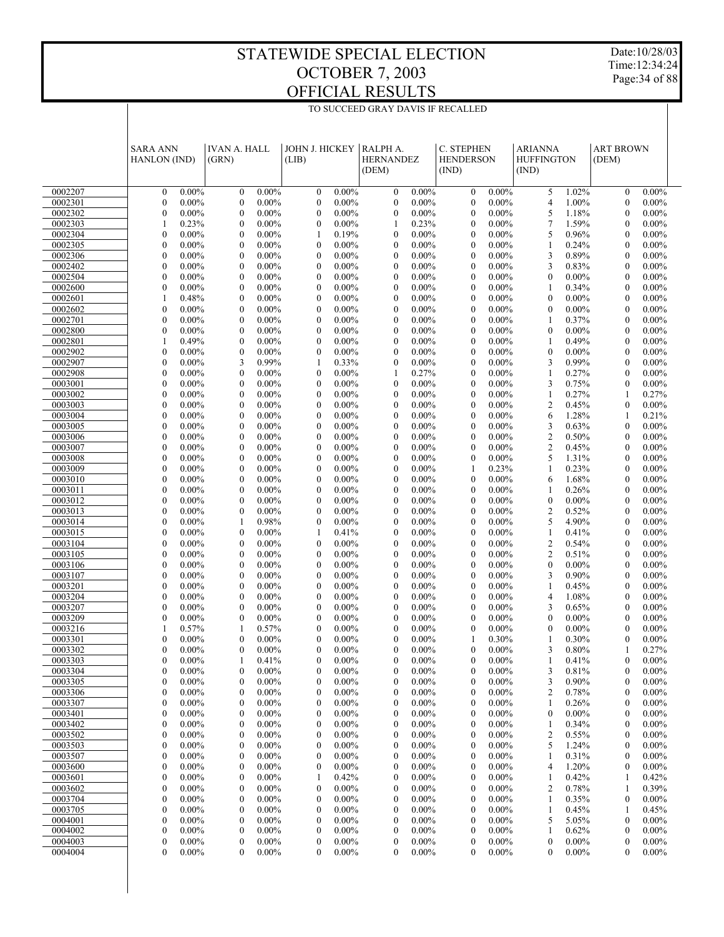Date:10/28/03 Time:12:34:24 Page:34 of 88

|                    | <b>SARA ANN</b><br>HANLON (IND)                          | <b>IVAN A. HALL</b><br>(GRN)                         | JOHN J. HICKEY<br>(LIB)                                      | RALPH A.<br><b>HERNANDEZ</b><br>(DEM)                  | C. STEPHEN<br><b>HENDERSON</b><br>(IND)                      | <b>ARIANNA</b><br><b>HUFFINGTON</b><br>(IND) | <b>ART BROWN</b><br>(DEM)                                    |  |
|--------------------|----------------------------------------------------------|------------------------------------------------------|--------------------------------------------------------------|--------------------------------------------------------|--------------------------------------------------------------|----------------------------------------------|--------------------------------------------------------------|--|
| 0002207            | $0.00\%$<br>$\mathbf{0}$                                 | $0.00\%$<br>$\mathbf{0}$                             | $0.00\%$<br>$\theta$                                         | $0.00\%$<br>$\mathbf{0}$                               | $0.00\%$<br>$\mathbf{0}$                                     | 5<br>1.02%                                   | $0.00\%$<br>$\theta$                                         |  |
| 0002301            | $\mathbf{0}$<br>$0.00\%$                                 | $\mathbf{0}$<br>$0.00\%$                             | $\mathbf{0}$<br>$0.00\%$                                     | $\mathbf{0}$<br>$0.00\%$                               | $\mathbf{0}$<br>$0.00\%$                                     | $\overline{4}$<br>1.00%                      | $\mathbf{0}$<br>$0.00\%$                                     |  |
| 0002302            | $\mathbf{0}$<br>$0.00\%$                                 | $\mathbf{0}$<br>$0.00\%$                             | $\mathbf{0}$<br>$0.00\%$                                     | $\mathbf{0}$<br>$0.00\%$                               | $\mathbf{0}$<br>$0.00\%$                                     | 5<br>1.18%                                   | $\mathbf{0}$<br>$0.00\%$                                     |  |
| 0002303            | $\mathbf{1}$<br>0.23%                                    | $\mathbf{0}$<br>$0.00\%$                             | $\mathbf{0}$<br>$0.00\%$                                     | 1<br>0.23%                                             | $\mathbf{0}$<br>$0.00\%$                                     | $\overline{7}$<br>1.59%                      | $\mathbf{0}$<br>$0.00\%$                                     |  |
| 0002304            | $\overline{0}$<br>$0.00\%$                               | $\mathbf{0}$<br>$0.00\%$                             | 1<br>0.19%                                                   | $\overline{0}$<br>$0.00\%$                             | $\mathbf{0}$<br>$0.00\%$                                     | 5<br>0.96%                                   | $\mathbf{0}$<br>$0.00\%$                                     |  |
| 0002305            | $\mathbf{0}$<br>$0.00\%$                                 | $\mathbf{0}$<br>$0.00\%$                             | $\mathbf{0}$<br>$0.00\%$                                     | $\overline{0}$<br>$0.00\%$                             | $\mathbf{0}$<br>$0.00\%$                                     | $\mathbf{1}$<br>0.24%                        | $\mathbf{0}$<br>$0.00\%$                                     |  |
| 0002306            | $\mathbf{0}$<br>$0.00\%$                                 | $\mathbf{0}$<br>$0.00\%$                             | $\mathbf{0}$<br>$0.00\%$                                     | $\mathbf{0}$<br>$0.00\%$                               | $\mathbf{0}$<br>$0.00\%$                                     | 3<br>0.89%                                   | $\mathbf{0}$<br>$0.00\%$                                     |  |
| 0002402            | $\mathbf{0}$<br>$0.00\%$                                 | $\mathbf{0}$<br>$0.00\%$                             | $\mathbf{0}$<br>$0.00\%$                                     | $\overline{0}$<br>$0.00\%$                             | $\mathbf{0}$<br>$0.00\%$                                     | 3<br>0.83%                                   | $\mathbf{0}$<br>$0.00\%$                                     |  |
| 0002504            | $\mathbf{0}$<br>$0.00\%$                                 | $\mathbf{0}$<br>$0.00\%$                             | $\mathbf{0}$<br>$0.00\%$                                     | $\mathbf{0}$<br>$0.00\%$                               | $\mathbf{0}$<br>$0.00\%$                                     | $\mathbf{0}$<br>$0.00\%$                     | $\mathbf{0}$<br>$0.00\%$                                     |  |
| 0002600            | $\mathbf{0}$<br>$0.00\%$                                 | $\mathbf{0}$<br>$0.00\%$                             | $\mathbf{0}$<br>$0.00\%$                                     | $\overline{0}$<br>$0.00\%$                             | $\mathbf{0}$<br>$0.00\%$                                     | $\mathbf{1}$<br>0.34%                        | $\mathbf{0}$<br>$0.00\%$                                     |  |
| 0002601            | $\mathbf{1}$<br>0.48%<br>$\overline{0}$                  | $\mathbf{0}$<br>$0.00\%$                             | $\mathbf{0}$<br>$0.00\%$                                     | $\mathbf{0}$<br>$0.00\%$                               | $\mathbf{0}$<br>$0.00\%$                                     | $\mathbf{0}$<br>$0.00\%$                     | $\mathbf{0}$<br>$0.00\%$                                     |  |
| 0002602<br>0002701 | $0.00\%$<br>$\mathbf{0}$<br>$0.00\%$                     | $\mathbf{0}$<br>$0.00\%$<br>$\mathbf{0}$<br>$0.00\%$ | $\mathbf{0}$<br>$0.00\%$<br>$\mathbf{0}$<br>$0.00\%$         | $\overline{0}$<br>$0.00\%$<br>$\mathbf{0}$<br>$0.00\%$ | $\mathbf{0}$<br>$0.00\%$<br>$\mathbf{0}$<br>$0.00\%$         | $\mathbf{0}$<br>$0.00\%$<br>1<br>0.37%       | $\mathbf{0}$<br>$0.00\%$<br>$\mathbf{0}$<br>$0.00\%$         |  |
| 0002800            | $\mathbf{0}$<br>$0.00\%$                                 | $\mathbf{0}$<br>$0.00\%$                             | $\mathbf{0}$<br>$0.00\%$                                     | $\overline{0}$<br>$0.00\%$                             | $\mathbf{0}$<br>$0.00\%$                                     | $\mathbf{0}$<br>$0.00\%$                     | $\mathbf{0}$<br>$0.00\%$                                     |  |
| 0002801            | $\mathbf{1}$<br>0.49%                                    | $\mathbf{0}$<br>$0.00\%$                             | $\mathbf{0}$<br>$0.00\%$                                     | $\mathbf{0}$<br>$0.00\%$                               | $\mathbf{0}$<br>$0.00\%$                                     | 1<br>0.49%                                   | $\mathbf{0}$<br>$0.00\%$                                     |  |
| 0002902            | $\mathbf{0}$<br>$0.00\%$                                 | $\mathbf{0}$<br>$0.00\%$                             | $\mathbf{0}$<br>$0.00\%$                                     | $\mathbf{0}$<br>$0.00\%$                               | $\mathbf{0}$<br>$0.00\%$                                     | $\mathbf{0}$<br>$0.00\%$                     | $\mathbf{0}$<br>$0.00\%$                                     |  |
| 0002907            | $\overline{0}$<br>$0.00\%$                               | 3<br>0.99%                                           | 1<br>0.33%                                                   | $\mathbf{0}$<br>$0.00\%$                               | $\mathbf{0}$<br>$0.00\%$                                     | 3<br>0.99%                                   | $\mathbf{0}$<br>$0.00\%$                                     |  |
| 0002908            | $\mathbf{0}$<br>$0.00\%$                                 | $\mathbf{0}$<br>$0.00\%$                             | $\mathbf{0}$<br>$0.00\%$                                     | 1<br>0.27%                                             | $\mathbf{0}$<br>$0.00\%$                                     | $\mathbf{1}$<br>0.27%                        | $\mathbf{0}$<br>$0.00\%$                                     |  |
| 0003001            | $\mathbf{0}$<br>$0.00\%$                                 | $\mathbf{0}$<br>$0.00\%$                             | $\mathbf{0}$<br>$0.00\%$                                     | $\mathbf{0}$<br>$0.00\%$                               | $\mathbf{0}$<br>$0.00\%$                                     | 3<br>0.75%                                   | $\mathbf{0}$<br>$0.00\%$                                     |  |
| 0003002            | $\mathbf{0}$<br>$0.00\%$                                 | $\mathbf{0}$<br>$0.00\%$                             | $\mathbf{0}$<br>$0.00\%$                                     | $\mathbf{0}$<br>$0.00\%$                               | $\mathbf{0}$<br>$0.00\%$                                     | 1<br>0.27%                                   | 1<br>0.27%                                                   |  |
| 0003003            | $\mathbf{0}$<br>$0.00\%$                                 | $\mathbf{0}$<br>$0.00\%$                             | $\mathbf{0}$<br>$0.00\%$                                     | $\mathbf{0}$<br>$0.00\%$                               | $\mathbf{0}$<br>$0.00\%$                                     | $\overline{2}$<br>0.45%                      | $\mathbf{0}$<br>$0.00\%$                                     |  |
| 0003004            | $\mathbf{0}$<br>$0.00\%$                                 | $\mathbf{0}$<br>$0.00\%$                             | $\mathbf{0}$<br>$0.00\%$                                     | $\mathbf{0}$<br>$0.00\%$                               | $\mathbf{0}$<br>$0.00\%$                                     | 6<br>1.28%                                   | 1<br>0.21%                                                   |  |
| 0003005            | $\mathbf{0}$<br>$0.00\%$                                 | $\mathbf{0}$<br>$0.00\%$                             | $\mathbf{0}$<br>$0.00\%$                                     | $\mathbf{0}$<br>$0.00\%$                               | $\mathbf{0}$<br>$0.00\%$                                     | 3<br>0.63%                                   | $\mathbf{0}$<br>$0.00\%$                                     |  |
| 0003006            | $\mathbf{0}$<br>$0.00\%$                                 | $\mathbf{0}$<br>$0.00\%$                             | $\boldsymbol{0}$<br>$0.00\%$                                 | $\mathbf{0}$<br>$0.00\%$                               | $\mathbf{0}$<br>$0.00\%$                                     | $\overline{2}$<br>0.50%                      | $\mathbf{0}$<br>$0.00\%$                                     |  |
| 0003007            | $\mathbf{0}$<br>$0.00\%$                                 | $\mathbf{0}$<br>$0.00\%$                             | $\mathbf{0}$<br>$0.00\%$                                     | $\mathbf{0}$<br>$0.00\%$                               | $\mathbf{0}$<br>$0.00\%$                                     | $\overline{2}$<br>0.45%                      | $\mathbf{0}$<br>$0.00\%$                                     |  |
| 0003008            | $\mathbf{0}$<br>$0.00\%$                                 | $\mathbf{0}$<br>$0.00\%$                             | $\mathbf{0}$<br>$0.00\%$                                     | $\mathbf{0}$<br>$0.00\%$                               | $\mathbf{0}$<br>$0.00\%$                                     | 5<br>1.31%                                   | $\theta$<br>$0.00\%$                                         |  |
| 0003009            | $\mathbf{0}$<br>$0.00\%$                                 | $\mathbf{0}$<br>$0.00\%$                             | $\mathbf{0}$<br>$0.00\%$                                     | $\mathbf{0}$<br>$0.00\%$                               | 1<br>0.23%                                                   | 1<br>0.23%                                   | $\mathbf{0}$<br>$0.00\%$                                     |  |
| 0003010            | $\mathbf{0}$<br>$0.00\%$                                 | $\mathbf{0}$<br>$0.00\%$                             | $\mathbf{0}$<br>$0.00\%$                                     | $\mathbf{0}$<br>$0.00\%$                               | $\mathbf{0}$<br>$0.00\%$                                     | 6<br>1.68%                                   | $\mathbf{0}$<br>$0.00\%$                                     |  |
| 0003011            | $\overline{0}$<br>$0.00\%$                               | $\mathbf{0}$<br>$0.00\%$                             | $\mathbf{0}$<br>$0.00\%$                                     | $\mathbf{0}$<br>$0.00\%$                               | $\mathbf{0}$<br>$0.00\%$                                     | 1<br>0.26%                                   | $\mathbf{0}$<br>$0.00\%$                                     |  |
| 0003012            | $\mathbf{0}$<br>$0.00\%$                                 | $\mathbf{0}$<br>$0.00\%$                             | $\mathbf{0}$<br>$0.00\%$                                     | $\mathbf{0}$<br>$0.00\%$                               | $\mathbf{0}$<br>$0.00\%$                                     | $\mathbf{0}$<br>$0.00\%$                     | $\mathbf{0}$<br>$0.00\%$                                     |  |
| 0003013            | $\overline{0}$<br>$0.00\%$                               | $\mathbf{0}$<br>$0.00\%$                             | $\mathbf{0}$<br>$0.00\%$                                     | $\mathbf{0}$<br>$0.00\%$                               | $\mathbf{0}$<br>$0.00\%$                                     | $\overline{2}$<br>0.52%                      | $\mathbf{0}$<br>$0.00\%$                                     |  |
| 0003014<br>0003015 | $\mathbf{0}$<br>$0.00\%$<br>$\mathbf{0}$<br>$0.00\%$     | $\mathbf{1}$<br>0.98%<br>$\overline{0}$<br>$0.00\%$  | $\boldsymbol{0}$<br>$0.00\%$<br>1<br>0.41%                   | $\mathbf{0}$<br>$0.00\%$<br>$\mathbf{0}$<br>$0.00\%$   | $\mathbf{0}$<br>$0.00\%$<br>$\mathbf{0}$<br>$0.00\%$         | 5<br>4.90%<br>1<br>0.41%                     | $\mathbf{0}$<br>$0.00\%$<br>$\mathbf{0}$<br>$0.00\%$         |  |
| 0003104            | $\mathbf{0}$<br>$0.00\%$                                 | $\mathbf{0}$<br>$0.00\%$                             | $\mathbf{0}$<br>$0.00\%$                                     | $\mathbf{0}$<br>$0.00\%$                               | $\mathbf{0}$<br>$0.00\%$                                     | $\overline{2}$<br>0.54%                      | $\theta$<br>$0.00\%$                                         |  |
| 0003105            | $\mathbf{0}$<br>$0.00\%$                                 | $\mathbf{0}$<br>$0.00\%$                             | $\mathbf{0}$<br>$0.00\%$                                     | $\mathbf{0}$<br>$0.00\%$                               | $\mathbf{0}$<br>$0.00\%$                                     | $\overline{c}$<br>0.51%                      | $\mathbf{0}$<br>$0.00\%$                                     |  |
| 0003106            | $\mathbf{0}$<br>$0.00\%$                                 | $\mathbf{0}$<br>$0.00\%$                             | $\mathbf{0}$<br>$0.00\%$                                     | $\mathbf{0}$<br>$0.00\%$                               | $\mathbf{0}$<br>$0.00\%$                                     | $\mathbf{0}$<br>$0.00\%$                     | $\mathbf{0}$<br>$0.00\%$                                     |  |
| 0003107            | $\mathbf{0}$<br>$0.00\%$                                 | $\mathbf{0}$<br>$0.00\%$                             | $\mathbf{0}$<br>$0.00\%$                                     | $\mathbf{0}$<br>$0.00\%$                               | $\mathbf{0}$<br>$0.00\%$                                     | 3<br>0.90%                                   | $\mathbf{0}$<br>$0.00\%$                                     |  |
| 0003201            | $\mathbf{0}$<br>$0.00\%$                                 | $\mathbf{0}$<br>$0.00\%$                             | $\mathbf{0}$<br>$0.00\%$                                     | $\mathbf{0}$<br>$0.00\%$                               | $\mathbf{0}$<br>$0.00\%$                                     | $\mathbf{1}$<br>0.45%                        | $\mathbf{0}$<br>$0.00\%$                                     |  |
| 0003204            | $\mathbf{0}$<br>$0.00\%$                                 | $\mathbf{0}$<br>$0.00\%$                             | $\mathbf{0}$<br>$0.00\%$                                     | $\mathbf{0}$<br>$0.00\%$                               | $\mathbf{0}$<br>$0.00\%$                                     | $\overline{4}$<br>1.08%                      | $\mathbf{0}$<br>$0.00\%$                                     |  |
| 0003207            | $\mathbf{0}$<br>$0.00\%$                                 | $\mathbf{0}$<br>$0.00\%$                             | $\boldsymbol{0}$<br>$0.00\%$                                 | $\mathbf{0}$<br>$0.00\%$                               | $\mathbf{0}$<br>$0.00\%$                                     | 3<br>0.65%                                   | $\mathbf{0}$<br>$0.00\%$                                     |  |
| 0003209            | $\mathbf{0}$<br>$0.00\%$                                 | $\mathbf{0}$<br>$0.00\%$                             | $\mathbf{0}$<br>$0.00\%$                                     | $\mathbf{0}$<br>$0.00\%$                               | $\mathbf{0}$<br>$0.00\%$                                     | $\mathbf{0}$<br>$0.00\%$                     | $\mathbf{0}$<br>$0.00\%$                                     |  |
| 0003216            | 0.57%<br>$\mathbf{1}$                                    | 0.57%<br>1                                           | $\mathbf{0}$<br>$0.00\%$                                     | $\mathbf{0}$<br>$0.00\%$                               | $\mathbf{0}$<br>$0.00\%$                                     | $\mathbf{0}$<br>$0.00\%$                     | $\mathbf{0}$<br>$0.00\%$                                     |  |
| 0003301            | $\theta$<br>$0.00\%$                                     | $\theta$<br>$0.00\%$                                 | $\theta$<br>$0.00\%$                                         | $\theta$<br>$0.00\%$                                   | $\mathbf{1}$<br>0.30%                                        | $\mathbf{1}$<br>0.30%                        | $\theta$<br>$0.00\%$                                         |  |
| 0003302            | $\mathbf{0}$<br>$0.00\%$                                 | $\mathbf{0}$<br>$0.00\%$                             | $\mathbf{0}$<br>$0.00\%$                                     | $\mathbf{0}$<br>$0.00\%$                               | $\mathbf{0}$<br>$0.00\%$                                     | 3<br>0.80%                                   | 1<br>0.27%                                                   |  |
| 0003303            | $\boldsymbol{0}$<br>$0.00\%$                             | 1<br>0.41%                                           | 0<br>$0.00\%$                                                | $\boldsymbol{0}$<br>$0.00\%$                           | $\overline{0}$<br>$0.00\%$                                   | 1<br>0.41%                                   | $0.00\%$<br>$\mathbf{0}$                                     |  |
| 0003304            | $\mathbf{0}$<br>$0.00\%$                                 | $0.00\%$<br>0                                        | $\boldsymbol{0}$<br>$0.00\%$                                 | $0.00\%$<br>0                                          | $\boldsymbol{0}$<br>$0.00\%$                                 | 0.81%<br>3                                   | $\boldsymbol{0}$<br>$0.00\%$                                 |  |
| 0003305<br>0003306 | $\mathbf{0}$<br>$0.00\%$                                 | $\boldsymbol{0}$<br>$0.00\%$                         | $\boldsymbol{0}$<br>$0.00\%$                                 | $\boldsymbol{0}$<br>$0.00\%$                           | $\boldsymbol{0}$<br>$0.00\%$                                 | 3<br>0.90%                                   | $\boldsymbol{0}$<br>$0.00\%$                                 |  |
|                    | $\boldsymbol{0}$<br>$0.00\%$<br>$\mathbf{0}$<br>$0.00\%$ | $0.00\%$<br>0<br>$\boldsymbol{0}$<br>$0.00\%$        | $\boldsymbol{0}$<br>$0.00\%$<br>$\boldsymbol{0}$<br>$0.00\%$ | $0.00\%$<br>0<br>$\boldsymbol{0}$<br>$0.00\%$          | $\boldsymbol{0}$<br>$0.00\%$<br>$\boldsymbol{0}$<br>$0.00\%$ | $\overline{2}$<br>0.78%                      | $\boldsymbol{0}$<br>$0.00\%$<br>$\boldsymbol{0}$<br>$0.00\%$ |  |
| 0003307<br>0003401 | $\boldsymbol{0}$<br>$0.00\%$                             | $0.00\%$<br>0                                        | $\boldsymbol{0}$<br>$0.00\%$                                 | $0.00\%$<br>0                                          | $\boldsymbol{0}$<br>$0.00\%$                                 | 0.26%<br>1<br>$0.00\%$<br>$\boldsymbol{0}$   | $\boldsymbol{0}$<br>$0.00\%$                                 |  |
| 0003402            | $\boldsymbol{0}$<br>$0.00\%$                             | $\boldsymbol{0}$<br>$0.00\%$                         | $\boldsymbol{0}$<br>$0.00\%$                                 | $\boldsymbol{0}$<br>$0.00\%$                           | $\boldsymbol{0}$<br>$0.00\%$                                 | 0.34%<br>1                                   | $\boldsymbol{0}$<br>$0.00\%$                                 |  |
| 0003502            | $\boldsymbol{0}$<br>$0.00\%$                             | $0.00\%$<br>0                                        | $\boldsymbol{0}$<br>$0.00\%$                                 | $0.00\%$<br>0                                          | $\boldsymbol{0}$<br>$0.00\%$                                 | $\overline{2}$<br>0.55%                      | $\boldsymbol{0}$<br>$0.00\%$                                 |  |
| 0003503            | $\mathbf{0}$<br>$0.00\%$                                 | $\boldsymbol{0}$<br>$0.00\%$                         | $\boldsymbol{0}$<br>$0.00\%$                                 | $\boldsymbol{0}$<br>$0.00\%$                           | $\boldsymbol{0}$<br>$0.00\%$                                 | 5<br>1.24%                                   | $\boldsymbol{0}$<br>$0.00\%$                                 |  |
| 0003507            | $\boldsymbol{0}$<br>$0.00\%$                             | $0.00\%$<br>0                                        | $\boldsymbol{0}$<br>$0.00\%$                                 | $0.00\%$<br>0                                          | $\boldsymbol{0}$<br>$0.00\%$                                 | 0.31%<br>-1                                  | $\boldsymbol{0}$<br>$0.00\%$                                 |  |
| 0003600            | $\boldsymbol{0}$<br>$0.00\%$                             | $\boldsymbol{0}$<br>$0.00\%$                         | $\boldsymbol{0}$<br>$0.00\%$                                 | $\boldsymbol{0}$<br>$0.00\%$                           | $\boldsymbol{0}$<br>$0.00\%$                                 | 1.20%<br>$\overline{4}$                      | $\boldsymbol{0}$<br>$0.00\%$                                 |  |
| 0003601            | $\boldsymbol{0}$<br>$0.00\%$                             | $0.00\%$<br>0                                        | 0.42%<br>1                                                   | $0.00\%$<br>0                                          | $\boldsymbol{0}$<br>$0.00\%$                                 | 0.42%<br>-1                                  | 0.42%<br>1                                                   |  |
| 0003602            | $\boldsymbol{0}$<br>$0.00\%$                             | $\boldsymbol{0}$<br>$0.00\%$                         | $\boldsymbol{0}$<br>$0.00\%$                                 | $\boldsymbol{0}$<br>$0.00\%$                           | $\boldsymbol{0}$<br>$0.00\%$                                 | $\overline{c}$<br>0.78%                      | 1<br>0.39%                                                   |  |
| 0003704            | $\boldsymbol{0}$<br>$0.00\%$                             | $0.00\%$<br>0                                        | $\boldsymbol{0}$<br>$0.00\%$                                 | $0.00\%$<br>0                                          | $\boldsymbol{0}$<br>$0.00\%$                                 | 0.35%<br>1                                   | $\boldsymbol{0}$<br>$0.00\%$                                 |  |
| 0003705            | $\boldsymbol{0}$<br>$0.00\%$                             | $\boldsymbol{0}$<br>$0.00\%$                         | $\boldsymbol{0}$<br>$0.00\%$                                 | $\boldsymbol{0}$<br>$0.00\%$                           | $\boldsymbol{0}$<br>$0.00\%$                                 | 0.45%<br>1                                   | 1<br>0.45%                                                   |  |
| 0004001            | $\boldsymbol{0}$<br>$0.00\%$                             | $0.00\%$<br>0                                        | $\boldsymbol{0}$<br>$0.00\%$                                 | $0.00\%$<br>0                                          | $0.00\%$<br>$\boldsymbol{0}$                                 | 5.05%<br>5                                   | $\boldsymbol{0}$<br>$0.00\%$                                 |  |
| 0004002            | $\boldsymbol{0}$<br>$0.00\%$                             | $\boldsymbol{0}$<br>$0.00\%$                         | $\boldsymbol{0}$<br>$0.00\%$                                 | $\boldsymbol{0}$<br>$0.00\%$                           | $\boldsymbol{0}$<br>$0.00\%$                                 | 0.62%<br>$\mathbf{1}$                        | $\boldsymbol{0}$<br>$0.00\%$                                 |  |
| 0004003            | $\boldsymbol{0}$<br>$0.00\%$                             | $\boldsymbol{0}$<br>$0.00\%$                         | $\boldsymbol{0}$<br>$0.00\%$                                 | $\boldsymbol{0}$<br>$0.00\%$                           | $\boldsymbol{0}$<br>$0.00\%$                                 | $\boldsymbol{0}$<br>$0.00\%$                 | $\boldsymbol{0}$<br>$0.00\%$                                 |  |
| 0004004            | $\mathbf{0}$<br>$0.00\%$                                 | $\mathbf{0}$<br>$0.00\%$                             | $\overline{0}$<br>$0.00\%$                                   | $\mathbf{0}$<br>$0.00\%$                               | $\overline{0}$<br>$0.00\%$                                   | $\mathbf{0}$<br>$0.00\%$                     | $\overline{0}$<br>$0.00\%$                                   |  |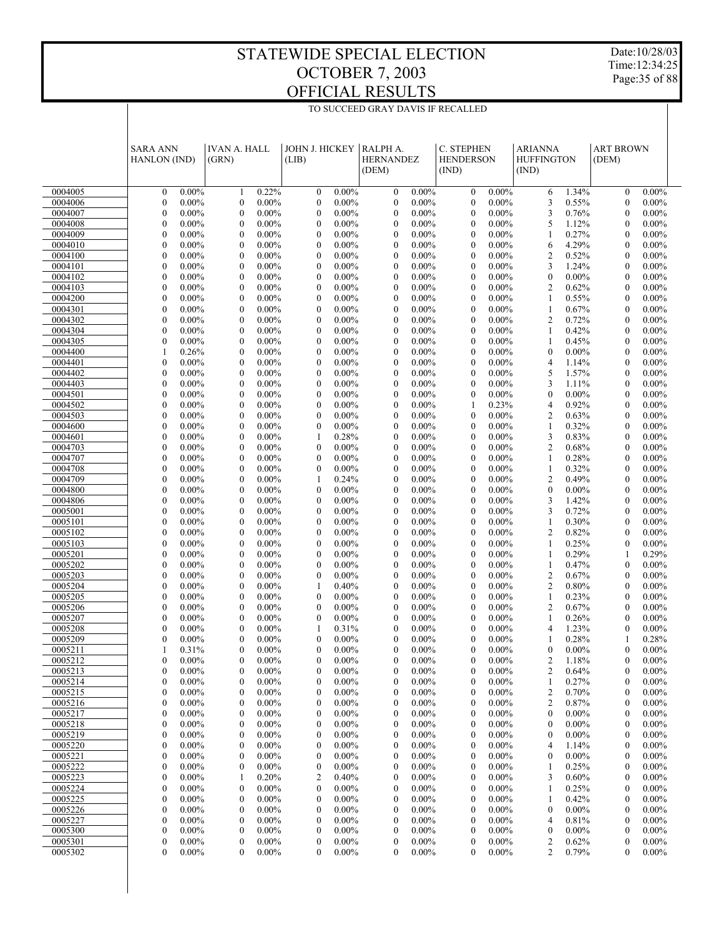Date:10/28/03 Time:12:34:25 Page:35 of 88

|                    | <b>SARA ANN</b><br>HANLON (IND)                      | <b>IVAN A. HALL</b><br>(GRN)                         | JOHN J. HICKEY<br>(LIB)                              | RALPH A.<br><b>HERNANDEZ</b><br>(DEM)                  | C. STEPHEN<br><b>HENDERSON</b><br>(IND)              | <b>ARIANNA</b><br><b>HUFFINGTON</b><br>(IND)                 | <b>ART BROWN</b><br>(DEM)                                    |  |
|--------------------|------------------------------------------------------|------------------------------------------------------|------------------------------------------------------|--------------------------------------------------------|------------------------------------------------------|--------------------------------------------------------------|--------------------------------------------------------------|--|
| 0004005            | $0.00\%$<br>$\mathbf{0}$                             | 0.22%<br>1                                           | $0.00\%$<br>$\mathbf{0}$                             | $0.00\%$<br>$\mathbf{0}$                               | $0.00\%$<br>$\mathbf{0}$                             | 1.34%<br>6                                                   | $0.00\%$<br>$\mathbf{0}$                                     |  |
| 0004006            | $\mathbf{0}$<br>$0.00\%$                             | $\mathbf{0}$<br>$0.00\%$                             | $\mathbf{0}$<br>$0.00\%$                             | $\mathbf{0}$<br>$0.00\%$                               | $\mathbf{0}$<br>$0.00\%$                             | 3<br>0.55%                                                   | $\mathbf{0}$<br>$0.00\%$                                     |  |
| 0004007            | $\mathbf{0}$<br>$0.00\%$                             | $\mathbf{0}$<br>$0.00\%$                             | $\mathbf{0}$<br>$0.00\%$                             | $\mathbf{0}$<br>$0.00\%$                               | $\mathbf{0}$<br>$0.00\%$                             | 3<br>0.76%                                                   | $\mathbf{0}$<br>$0.00\%$                                     |  |
| 0004008            | $\mathbf{0}$<br>$0.00\%$                             | $\mathbf{0}$<br>$0.00\%$                             | $0.00\%$<br>$\mathbf{0}$                             | $\mathbf{0}$<br>$0.00\%$                               | $0.00\%$<br>$\mathbf{0}$                             | 5<br>1.12%                                                   | $0.00\%$<br>$\mathbf{0}$                                     |  |
| 0004009            | $\mathbf{0}$<br>$0.00\%$                             | $\mathbf{0}$<br>$0.00\%$                             | $\mathbf{0}$<br>$0.00\%$                             | $\mathbf{0}$<br>$0.00\%$                               | $\mathbf{0}$<br>$0.00\%$                             | 0.27%<br>1                                                   | $\mathbf{0}$<br>$0.00\%$                                     |  |
| 0004010            | $\mathbf{0}$<br>$0.00\%$                             | $\mathbf{0}$<br>$0.00\%$                             | $0.00\%$<br>$\mathbf{0}$                             | $\overline{0}$<br>$0.00\%$                             | $0.00\%$<br>$\mathbf{0}$                             | 4.29%<br>6                                                   | $0.00\%$<br>$\mathbf{0}$                                     |  |
| 0004100            | $\mathbf{0}$<br>$0.00\%$                             | $\mathbf{0}$<br>$0.00\%$                             | $\mathbf{0}$<br>$0.00\%$                             | $\mathbf{0}$<br>$0.00\%$                               | $\mathbf{0}$<br>$0.00\%$                             | $\overline{2}$<br>0.52%                                      | $\mathbf{0}$<br>$0.00\%$                                     |  |
| 0004101            | $\mathbf{0}$<br>$0.00\%$                             | $\mathbf{0}$<br>$0.00\%$                             | $0.00\%$<br>$\mathbf{0}$                             | $\mathbf{0}$<br>$0.00\%$                               | $\mathbf{0}$<br>$0.00\%$                             | 3<br>1.24%                                                   | $\mathbf{0}$<br>$0.00\%$                                     |  |
| 0004102            | $\mathbf{0}$<br>$0.00\%$                             | $\mathbf{0}$<br>$0.00\%$                             | $\mathbf{0}$<br>$0.00\%$                             | $\mathbf{0}$<br>$0.00\%$                               | $\mathbf{0}$<br>$0.00\%$                             | $\mathbf{0}$<br>$0.00\%$                                     | $\mathbf{0}$<br>$0.00\%$                                     |  |
| 0004103<br>0004200 | $\mathbf{0}$<br>$0.00\%$<br>$\mathbf{0}$<br>$0.00\%$ | $\mathbf{0}$<br>$0.00\%$<br>$\mathbf{0}$<br>$0.00\%$ | $0.00\%$<br>$\mathbf{0}$<br>$\mathbf{0}$<br>$0.00\%$ | $\overline{0}$<br>$0.00\%$<br>$\mathbf{0}$<br>$0.00\%$ | $\mathbf{0}$<br>$0.00\%$<br>$\mathbf{0}$<br>$0.00\%$ | $\overline{2}$<br>0.62%<br>$\mathbf{1}$<br>0.55%             | $\mathbf{0}$<br>$0.00\%$<br>$\mathbf{0}$<br>$0.00\%$         |  |
| 0004301            | $\mathbf{0}$<br>$0.00\%$                             | $\mathbf{0}$<br>$0.00\%$                             | $\mathbf{0}$<br>$0.00\%$                             | $\overline{0}$<br>$0.00\%$                             | $\mathbf{0}$<br>$0.00\%$                             | 0.67%<br>1                                                   | $\mathbf{0}$<br>$0.00\%$                                     |  |
| 0004302            | $\mathbf{0}$<br>$0.00\%$                             | $\mathbf{0}$<br>$0.00\%$                             | $\mathbf{0}$<br>$0.00\%$                             | $\overline{0}$<br>$0.00\%$                             | $\mathbf{0}$<br>$0.00\%$                             | $\overline{2}$<br>0.72%                                      | $\mathbf{0}$<br>$0.00\%$                                     |  |
| 0004304            | $\mathbf{0}$<br>$0.00\%$                             | $\mathbf{0}$<br>$0.00\%$                             | $0.00\%$<br>$\mathbf{0}$                             | $\overline{0}$<br>$0.00\%$                             | $\mathbf{0}$<br>$0.00\%$                             | 0.42%<br>1                                                   | $\mathbf{0}$<br>$0.00\%$                                     |  |
| 0004305            | $\mathbf{0}$<br>$0.00\%$                             | $\mathbf{0}$<br>$0.00\%$                             | $\mathbf{0}$<br>$0.00\%$                             | $\overline{0}$<br>$0.00\%$                             | $\mathbf{0}$<br>$0.00\%$                             | 0.45%<br>1                                                   | $\mathbf{0}$<br>$0.00\%$                                     |  |
| 0004400            | $\mathbf{1}$<br>0.26%                                | $\mathbf{0}$<br>$0.00\%$                             | $0.00\%$<br>$\mathbf{0}$                             | $\mathbf{0}$<br>$0.00\%$                               | $\mathbf{0}$<br>$0.00\%$                             | $\theta$<br>$0.00\%$                                         | $\mathbf{0}$<br>$0.00\%$                                     |  |
| 0004401            | $\mathbf{0}$<br>$0.00\%$                             | $\mathbf{0}$<br>$0.00\%$                             | $\mathbf{0}$<br>$0.00\%$                             | $\mathbf{0}$<br>$0.00\%$                               | $\mathbf{0}$<br>$0.00\%$                             | $\overline{4}$<br>1.14%                                      | $\mathbf{0}$<br>$0.00\%$                                     |  |
| 0004402            | $\mathbf{0}$<br>$0.00\%$                             | $\mathbf{0}$<br>$0.00\%$                             | $0.00\%$<br>$\mathbf{0}$                             | $\overline{0}$<br>$0.00\%$                             | $\mathbf{0}$<br>$0.00\%$                             | 5<br>1.57%                                                   | $\mathbf{0}$<br>$0.00\%$                                     |  |
| 0004403            | $\mathbf{0}$<br>$0.00\%$                             | $\mathbf{0}$<br>$0.00\%$                             | $\mathbf{0}$<br>$0.00\%$                             | $\mathbf{0}$<br>$0.00\%$                               | $\mathbf{0}$<br>$0.00\%$                             | 3<br>1.11%                                                   | $\mathbf{0}$<br>$0.00\%$                                     |  |
| 0004501            | $\mathbf{0}$<br>$0.00\%$                             | $\mathbf{0}$<br>$0.00\%$                             | $\mathbf{0}$<br>$0.00\%$                             | $\overline{0}$<br>$0.00\%$                             | $\mathbf{0}$<br>$0.00\%$                             | $\theta$<br>$0.00\%$                                         | $\mathbf{0}$<br>$0.00\%$                                     |  |
| 0004502            | $\mathbf{0}$<br>$0.00\%$                             | $\mathbf{0}$<br>$0.00\%$                             | $\mathbf{0}$<br>$0.00\%$                             | $\overline{0}$<br>$0.00\%$                             | $\mathbf{1}$<br>0.23%                                | $\overline{4}$<br>0.92%                                      | $\mathbf{0}$<br>$0.00\%$                                     |  |
| 0004503            | $\mathbf{0}$<br>$0.00\%$                             | $\mathbf{0}$<br>$0.00\%$                             | $\mathbf{0}$<br>$0.00\%$                             | $\overline{0}$<br>$0.00\%$                             | $\mathbf{0}$<br>$0.00\%$                             | $\overline{2}$<br>0.63%                                      | $\mathbf{0}$<br>$0.00\%$                                     |  |
| 0004600            | $\mathbf{0}$<br>$0.00\%$                             | $\mathbf{0}$<br>$0.00\%$                             | $\mathbf{0}$<br>$0.00\%$                             | $\overline{0}$<br>$0.00\%$                             | $\mathbf{0}$<br>$0.00\%$                             | $\mathbf{1}$<br>0.32%                                        | $\mathbf{0}$<br>$0.00\%$                                     |  |
| 0004601<br>0004703 | $\mathbf{0}$<br>$0.00\%$<br>$\mathbf{0}$<br>$0.00\%$ | $\mathbf{0}$<br>$0.00\%$<br>$\mathbf{0}$<br>$0.00\%$ | 0.28%<br>1<br>$\mathbf{0}$<br>$0.00\%$               | $\mathbf{0}$<br>$0.00\%$<br>$\mathbf{0}$<br>$0.00\%$   | $\mathbf{0}$<br>$0.00\%$<br>$\mathbf{0}$<br>$0.00\%$ | 3<br>0.83%<br>$\overline{2}$<br>0.68%                        | $\mathbf{0}$<br>$0.00\%$<br>$\mathbf{0}$<br>$0.00\%$         |  |
| 0004707            | $\mathbf{0}$<br>$0.00\%$                             | $\mathbf{0}$<br>$0.00\%$                             | $\mathbf{0}$<br>$0.00\%$                             | $\overline{0}$<br>$0.00\%$                             | $\mathbf{0}$<br>$0.00\%$                             | 0.28%<br>1                                                   | $\mathbf{0}$<br>$0.00\%$                                     |  |
| 0004708            | $\mathbf{0}$<br>$0.00\%$                             | $\mathbf{0}$<br>$0.00\%$                             | $\mathbf{0}$<br>$0.00\%$                             | $\mathbf{0}$<br>$0.00\%$                               | $\mathbf{0}$<br>$0.00\%$                             | 0.32%<br>1                                                   | $\mathbf{0}$<br>$0.00\%$                                     |  |
| 0004709            | $\mathbf{0}$<br>$0.00\%$                             | $\mathbf{0}$<br>$0.00\%$                             | 1<br>0.24%                                           | $\overline{0}$<br>$0.00\%$                             | $\mathbf{0}$<br>$0.00\%$                             | $\overline{2}$<br>0.49%                                      | $\mathbf{0}$<br>$0.00\%$                                     |  |
| 0004800            | $\mathbf{0}$<br>$0.00\%$                             | $\mathbf{0}$<br>$0.00\%$                             | $\mathbf{0}$<br>$0.00\%$                             | $\overline{0}$<br>$0.00\%$                             | $\mathbf{0}$<br>$0.00\%$                             | $\mathbf{0}$<br>$0.00\%$                                     | $\mathbf{0}$<br>$0.00\%$                                     |  |
| 0004806            | $\mathbf{0}$<br>$0.00\%$                             | $\mathbf{0}$<br>$0.00\%$                             | $0.00\%$<br>$\mathbf{0}$                             | $\overline{0}$<br>$0.00\%$                             | $\mathbf{0}$<br>$0.00\%$                             | 3<br>1.42%                                                   | $\mathbf{0}$<br>$0.00\%$                                     |  |
| 0005001            | $\mathbf{0}$<br>$0.00\%$                             | $\mathbf{0}$<br>$0.00\%$                             | $\mathbf{0}$<br>$0.00\%$                             | $\overline{0}$<br>$0.00\%$                             | $\mathbf{0}$<br>$0.00\%$                             | 3<br>0.72%                                                   | $\mathbf{0}$<br>$0.00\%$                                     |  |
| 0005101            | $\mathbf{0}$<br>$0.00\%$                             | $\mathbf{0}$<br>$0.00\%$                             | $0.00\%$<br>$\mathbf{0}$                             | $\overline{0}$<br>$0.00\%$                             | $\mathbf{0}$<br>$0.00\%$                             | 0.30%<br>$\mathbf{1}$                                        | $\mathbf{0}$<br>$0.00\%$                                     |  |
| 0005102            | $\mathbf{0}$<br>$0.00\%$                             | $\mathbf{0}$<br>$0.00\%$                             | $\mathbf{0}$<br>$0.00\%$                             | $\mathbf{0}$<br>$0.00\%$                               | $\mathbf{0}$<br>$0.00\%$                             | $\overline{2}$<br>0.82%                                      | $\mathbf{0}$<br>$0.00\%$                                     |  |
| 0005103            | $\mathbf{0}$<br>$0.00\%$                             | $\mathbf{0}$<br>$0.00\%$                             | $0.00\%$<br>$\mathbf{0}$                             | $\overline{0}$<br>$0.00\%$                             | $\mathbf{0}$<br>$0.00\%$                             | 0.25%<br>$\mathbf{1}$                                        | $\mathbf{0}$<br>$0.00\%$                                     |  |
| 0005201            | $\mathbf{0}$<br>$0.00\%$                             | $\mathbf{0}$<br>$0.00\%$                             | $\mathbf{0}$<br>$0.00\%$                             | $\mathbf{0}$<br>$0.00\%$                               | $\mathbf{0}$<br>$0.00\%$                             | 0.29%<br>1                                                   | $\mathbf{1}$<br>0.29%                                        |  |
| 0005202            | $\mathbf{0}$<br>$0.00\%$                             | $\mathbf{0}$<br>$0.00\%$                             | $\mathbf{0}$<br>$0.00\%$                             | $\overline{0}$<br>$0.00\%$                             | $\mathbf{0}$<br>$0.00\%$                             | 0.47%<br>1                                                   | $\mathbf{0}$<br>$0.00\%$                                     |  |
| 0005203<br>0005204 | $\mathbf{0}$<br>$0.00\%$<br>$\mathbf{0}$<br>$0.00\%$ | $\mathbf{0}$<br>$0.00\%$<br>$\mathbf{0}$<br>$0.00\%$ | $\mathbf{0}$<br>$0.00\%$<br>0.40%<br>1               | $\mathbf{0}$<br>$0.00\%$<br>$\overline{0}$<br>$0.00\%$ | $\mathbf{0}$<br>$0.00\%$<br>$\mathbf{0}$<br>$0.00\%$ | $\overline{2}$<br>0.67%<br>$\overline{2}$<br>0.80%           | $\mathbf{0}$<br>$0.00\%$<br>$0.00\%$<br>$\mathbf{0}$         |  |
| 0005205            | $\mathbf{0}$<br>$0.00\%$                             | $\mathbf{0}$<br>$0.00\%$                             | $\mathbf{0}$<br>$0.00\%$                             | $\overline{0}$<br>$0.00\%$                             | $\mathbf{0}$<br>$0.00\%$                             | $\mathbf{1}$<br>0.23%                                        | $\mathbf{0}$<br>$0.00\%$                                     |  |
| 0005206            | $\mathbf{0}$<br>$0.00\%$                             | $\mathbf{0}$<br>$0.00\%$                             | $0.00\%$<br>$\mathbf{0}$                             | $\mathbf{0}$<br>$0.00\%$                               | $\mathbf{0}$<br>$0.00\%$                             | $\overline{2}$<br>0.67%                                      | $\mathbf{0}$<br>$0.00\%$                                     |  |
| 0005207            | $\mathbf{0}$<br>$0.00\%$                             | $\mathbf{0}$<br>$0.00\%$                             | $\mathbf{0}$<br>$0.00\%$                             | $\mathbf{0}$<br>$0.00\%$                               | $\mathbf{0}$<br>$0.00\%$                             | $\mathbf{1}$<br>0.26%                                        | $\mathbf{0}$<br>$0.00\%$                                     |  |
| 0005208            | $\mathbf{0}$<br>$0.00\%$                             | $\mathbf{0}$<br>$0.00\%$                             | 1<br>0.31%                                           | $\mathbf{0}$<br>$0.00\%$                               | $\mathbf{0}$<br>$0.00\%$                             | 1.23%<br>$\overline{4}$                                      | $\mathbf{0}$<br>$0.00\%$                                     |  |
| 0005209            | $\theta$<br>$0.00\%$                                 | $\theta$<br>$0.00\%$                                 | $\theta$<br>$0.00\%$                                 | $\theta$<br>$0.00\%$                                   | $\theta$<br>$0.00\%$                                 | 0.28%<br>$\mathbf{1}$                                        | 0.28%<br>1                                                   |  |
| 0005211            | $\mathbf{1}$<br>0.31%                                | $\mathbf{0}$<br>$0.00\%$                             | $\mathbf{0}$<br>$0.00\%$                             | $\mathbf{0}$<br>$0.00\%$                               | $\mathbf{0}$<br>$0.00\%$                             | $\mathbf{0}$<br>$0.00\%$                                     | $\mathbf{0}$<br>$0.00\%$                                     |  |
| 0005212            | $\boldsymbol{0}$<br>$0.00\%$                         | $\boldsymbol{0}$<br>$0.00\%$                         | $0.00\%$<br>0                                        | $\boldsymbol{0}$<br>0.00%                              | 0.00%<br>$\boldsymbol{0}$                            | $\overline{c}$<br>1.18%                                      | $\boldsymbol{0}$<br>$0.00\%$                                 |  |
| 0005213            | $\mathbf{0}$<br>$0.00\%$                             | $0.00\%$<br>0                                        | $\boldsymbol{0}$<br>$0.00\%$                         | $0.00\%$<br>0                                          | $\boldsymbol{0}$<br>$0.00\%$                         | 2<br>0.64%                                                   | $\boldsymbol{0}$<br>$0.00\%$                                 |  |
| 0005214            | $0.00\%$<br>$\boldsymbol{0}$                         | $0.00\%$<br>$\boldsymbol{0}$                         | $0.00\%$<br>$\boldsymbol{0}$                         | $0.00\%$<br>$\boldsymbol{0}$                           | $0.00\%$<br>$\boldsymbol{0}$                         | 0.27%<br>1                                                   | $\boldsymbol{0}$<br>$0.00\%$                                 |  |
| 0005215            | $\boldsymbol{0}$<br>$0.00\%$                         | $0.00\%$<br>0                                        | $\boldsymbol{0}$<br>$0.00\%$                         | $0.00\%$<br>0                                          | $\boldsymbol{0}$<br>$0.00\%$                         | $\overline{c}$<br>0.70%                                      | $\boldsymbol{0}$<br>$0.00\%$                                 |  |
| 0005216            | $\boldsymbol{0}$<br>$0.00\%$                         | $\boldsymbol{0}$<br>$0.00\%$                         | $\boldsymbol{0}$<br>$0.00\%$                         | $\boldsymbol{0}$<br>$0.00\%$                           | $\boldsymbol{0}$<br>$0.00\%$                         | $\overline{c}$<br>0.87%                                      | $\boldsymbol{0}$<br>$0.00\%$                                 |  |
| 0005217            | $\boldsymbol{0}$<br>$0.00\%$<br>$0.00\%$             | $0.00\%$<br>0                                        | $\boldsymbol{0}$<br>$0.00\%$<br>$0.00\%$             | $0.00\%$<br>0                                          | $\boldsymbol{0}$<br>$0.00\%$<br>$0.00\%$             | $\boldsymbol{0}$<br>$0.00\%$                                 | $\boldsymbol{0}$<br>$0.00\%$                                 |  |
| 0005218<br>0005219 | $\boldsymbol{0}$<br>$\boldsymbol{0}$<br>$0.00\%$     | $\boldsymbol{0}$<br>$0.00\%$<br>$0.00\%$<br>0        | $\boldsymbol{0}$<br>$\boldsymbol{0}$<br>$0.00\%$     | $\boldsymbol{0}$<br>$0.00\%$<br>$0.00\%$<br>0          | $\boldsymbol{0}$<br>$\boldsymbol{0}$<br>$0.00\%$     | $\boldsymbol{0}$<br>$0.00\%$<br>$0.00\%$<br>$\boldsymbol{0}$ | $\boldsymbol{0}$<br>$0.00\%$<br>$\boldsymbol{0}$<br>$0.00\%$ |  |
| 0005220            | $\boldsymbol{0}$<br>$0.00\%$                         | $\boldsymbol{0}$<br>$0.00\%$                         | $\boldsymbol{0}$<br>$0.00\%$                         | $\boldsymbol{0}$<br>$0.00\%$                           | $\boldsymbol{0}$<br>$0.00\%$                         | 1.14%<br>$\overline{4}$                                      | $\boldsymbol{0}$<br>$0.00\%$                                 |  |
| 0005221            | $\boldsymbol{0}$<br>$0.00\%$                         | $0.00\%$<br>0                                        | $\boldsymbol{0}$<br>$0.00\%$                         | $0.00\%$<br>0                                          | $\boldsymbol{0}$<br>$0.00\%$                         | $0.00\%$<br>$\boldsymbol{0}$                                 | $\boldsymbol{0}$<br>$0.00\%$                                 |  |
| 0005222            | $\boldsymbol{0}$<br>$0.00\%$                         | $\boldsymbol{0}$<br>$0.00\%$                         | $0.00\%$<br>$\boldsymbol{0}$                         | $\boldsymbol{0}$<br>$0.00\%$                           | $0.00\%$<br>$\boldsymbol{0}$                         | 0.25%<br>1                                                   | $\boldsymbol{0}$<br>$0.00\%$                                 |  |
| 0005223            | $\boldsymbol{0}$<br>$0.00\%$                         | 0.20%<br>1                                           | $\overline{\mathbf{c}}$<br>0.40%                     | $0.00\%$<br>0                                          | $\boldsymbol{0}$<br>$0.00\%$                         | 3<br>0.60%                                                   | $\boldsymbol{0}$<br>$0.00\%$                                 |  |
| 0005224            | $\boldsymbol{0}$<br>$0.00\%$                         | $\boldsymbol{0}$<br>$0.00\%$                         | $\boldsymbol{0}$<br>$0.00\%$                         | $\boldsymbol{0}$<br>$0.00\%$                           | $\boldsymbol{0}$<br>$0.00\%$                         | $\mathbf{1}$<br>0.25%                                        | $\boldsymbol{0}$<br>$0.00\%$                                 |  |
| 0005225            | $\boldsymbol{0}$<br>$0.00\%$                         | $0.00\%$<br>0                                        | $\boldsymbol{0}$<br>$0.00\%$                         | $0.00\%$<br>0                                          | $\boldsymbol{0}$<br>$0.00\%$                         | 0.42%                                                        | $\boldsymbol{0}$<br>$0.00\%$                                 |  |
| 0005226            | $0.00\%$<br>$\boldsymbol{0}$                         | $\boldsymbol{0}$<br>$0.00\%$                         | $\boldsymbol{0}$<br>$0.00\%$                         | $\boldsymbol{0}$<br>$0.00\%$                           | $\boldsymbol{0}$<br>$0.00\%$                         | $\boldsymbol{0}$<br>$0.00\%$                                 | $\boldsymbol{0}$<br>$0.00\%$                                 |  |
| 0005227            | $\boldsymbol{0}$<br>$0.00\%$                         | $0.00\%$<br>0                                        | $\boldsymbol{0}$<br>$0.00\%$                         | $0.00\%$<br>0                                          | $\boldsymbol{0}$<br>$0.00\%$                         | 0.81%<br>$\overline{4}$                                      | $\boldsymbol{0}$<br>$0.00\%$                                 |  |
| 0005300            | $\boldsymbol{0}$<br>$0.00\%$                         | $\boldsymbol{0}$<br>$0.00\%$                         | $\boldsymbol{0}$<br>$0.00\%$                         | $\boldsymbol{0}$<br>$0.00\%$                           | $\boldsymbol{0}$<br>$0.00\%$                         | $\boldsymbol{0}$<br>$0.00\%$                                 | $\boldsymbol{0}$<br>$0.00\%$                                 |  |
| 0005301            | $\boldsymbol{0}$<br>$0.00\%$                         | $\boldsymbol{0}$<br>$0.00\%$                         | $\boldsymbol{0}$<br>$0.00\%$                         | $\boldsymbol{0}$<br>$0.00\%$                           | $\boldsymbol{0}$<br>$0.00\%$                         | $\overline{c}$<br>0.62%                                      | $\boldsymbol{0}$<br>$0.00\%$                                 |  |
| 0005302            | $\boldsymbol{0}$<br>$0.00\%$                         | $\mathbf{0}$<br>$0.00\%$                             | 0<br>$0.00\%$                                        | $\mathbf{0}$<br>$0.00\%$                               | $0.00\%$<br>$\mathbf{0}$                             | $\overline{c}$<br>0.79%                                      | $0.00\%$<br>$\boldsymbol{0}$                                 |  |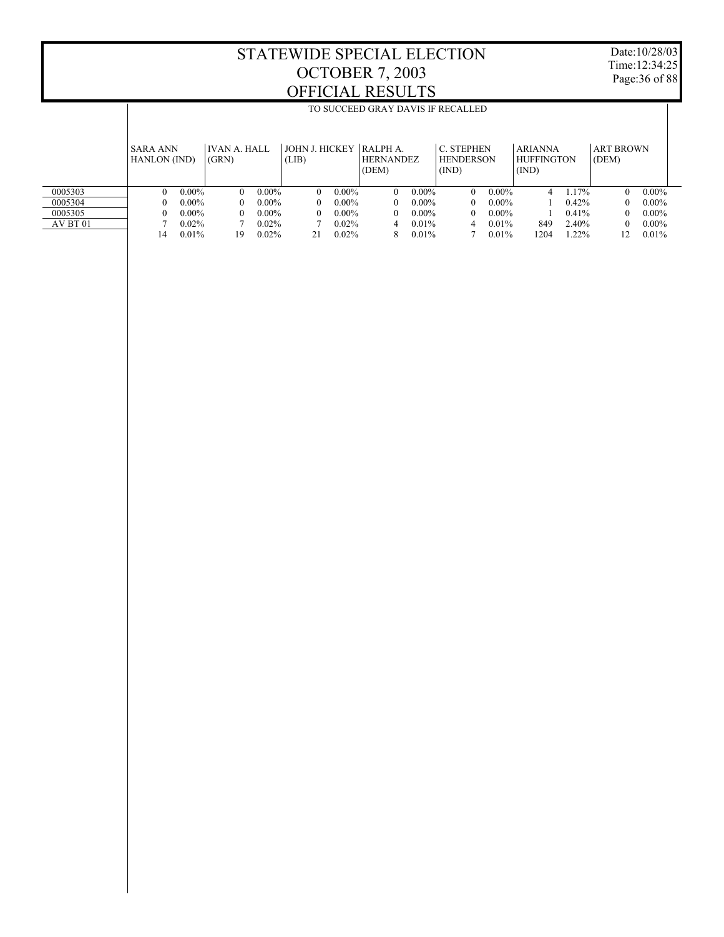T

Date:10/28/03 Time:12:34:25 Page:36 of 88

Τ

|          |                                        | TO SUCCEED GRAY DAVIS IF RECALLED |                              |                                                                          |                           |          |                                       |          |                                                |          |                                              |       |                           |          |  |
|----------|----------------------------------------|-----------------------------------|------------------------------|--------------------------------------------------------------------------|---------------------------|----------|---------------------------------------|----------|------------------------------------------------|----------|----------------------------------------------|-------|---------------------------|----------|--|
|          | <b>SARA ANN</b><br><b>HANLON</b> (IND) |                                   | <b>IVAN A. HALL</b><br>(GRN) |                                                                          | JOHN J. HICKEY  <br>(LIB) |          | RALPH A.<br><b>HERNANDEZ</b><br>(DEM) |          | <b>C. STEPHEN</b><br><b>HENDERSON</b><br>(IND) |          | <b>ARIANNA</b><br><b>HUFFINGTON</b><br>(IND) |       | <b>ART BROWN</b><br>(DEM) |          |  |
|          |                                        |                                   |                              |                                                                          |                           |          |                                       |          |                                                |          |                                              |       |                           |          |  |
| 0005303  | 0                                      | $0.00\%$                          | $\Omega$                     | $0.00\%$                                                                 | $\theta$                  | $0.00\%$ | $\Omega$                              | $0.00\%$ | $\Omega$                                       | $0.00\%$ | 4                                            | 1.17% | $\Omega$                  | $0.00\%$ |  |
| 0005304  | 0                                      | $0.00\%$                          | 0                            | $0.00\%$                                                                 | $\theta$                  | $0.00\%$ | $\theta$                              | $0.00\%$ | $\Omega$                                       | $0.00\%$ |                                              | 0.42% | 0                         | $0.00\%$ |  |
| 0005305  | 0                                      | $0.00\%$                          | $\Omega$                     | $0.00\%$                                                                 | $\left($                  | $0.00\%$ | $\theta$                              | $0.00\%$ | $\Omega$                                       | $0.00\%$ |                                              | 0.41% | 0                         | $0.00\%$ |  |
| AV BT 01 |                                        | $0.02\%$                          |                              | $0.02\%$<br>$0.02\%$<br>$0.01\%$<br>0.01%<br>849<br>2.40%<br>0<br>4<br>4 |                           |          |                                       |          |                                                |          | $0.00\%$                                     |       |                           |          |  |
|          | 14                                     | 0.01%                             | 19                           | 0.01%<br>0.02%<br>0.02%<br>0.01%<br>1204<br>1.22%<br>12<br>21<br>8       |                           |          |                                       |          |                                                |          |                                              | 0.01% |                           |          |  |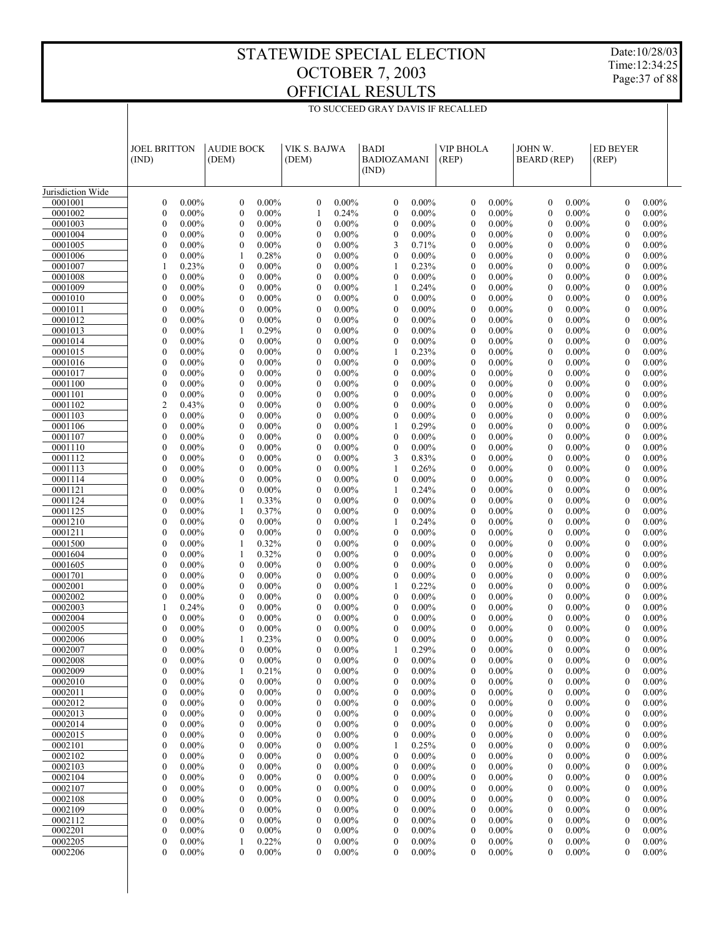Date:10/28/03 Time:12:34:25 Page:37 of 88

| Jurisdiction Wide<br>0001001<br>$\boldsymbol{0}$<br>$0.00\%$<br>$\mathbf{0}$<br>$0.00\%$<br>$\mathbf{0}$<br>$0.00\%$<br>$\boldsymbol{0}$<br>$0.00\%$<br>$0.00\%$<br>$\mathbf{0}$<br>$0.00\%$<br>$\mathbf{0}$<br>$0.00\%$<br>$\mathbf{0}$<br>0001002<br>$\boldsymbol{0}$<br>$0.00\%$<br>$\mathbf{0}$<br>$0.00\%$<br>$\mathbf{1}$<br>0.24%<br>$\boldsymbol{0}$<br>$0.00\%$<br>$\mathbf{0}$<br>$0.00\%$<br>$\mathbf{0}$<br>$0.00\%$<br>$\mathbf{0}$<br>$0.00\%$<br>$\boldsymbol{0}$<br>$0.00\%$<br>$\mathbf{0}$<br>$0.00\%$<br>$\mathbf{0}$<br>$0.00\%$<br>$\mathbf{0}$<br>$0.00\%$<br>$0.00\%$<br>$0.00\%$<br>$0.00\%$<br>0001003<br>$\mathbf{0}$<br>$\mathbf{0}$<br>$\mathbf{0}$<br>0001004<br>$\boldsymbol{0}$<br>$0.00\%$<br>$\mathbf{0}$<br>$0.00\%$<br>$\mathbf{0}$<br>$0.00\%$<br>$\boldsymbol{0}$<br>$0.00\%$<br>$\mathbf{0}$<br>$0.00\%$<br>$0.00\%$<br>$\mathbf{0}$<br>$0.00\%$<br>$\mathbf{0}$<br>0001005<br>$\boldsymbol{0}$<br>$0.00\%$<br>$\mathbf{0}$<br>$0.00\%$<br>$\overline{0}$<br>$0.00\%$<br>3<br>0.71%<br>$0.00\%$<br>$0.00\%$<br>$0.00\%$<br>$\mathbf{0}$<br>$\mathbf{0}$<br>$\mathbf{0}$<br>0001006<br>$\boldsymbol{0}$<br>$0.00\%$<br>0.28%<br>$\mathbf{0}$<br>$0.00\%$<br>$\boldsymbol{0}$<br>$0.00\%$<br>$\mathbf{0}$<br>$0.00\%$<br>$0.00\%$<br>$\mathbf{0}$<br>$0.00\%$<br>1<br>$\mathbf{0}$<br>0.23%<br>$\mathbf{0}$<br>$0.00\%$<br>$\mathbf{0}$<br>$0.00\%$<br>0.23%<br>$\mathbf{0}$<br>$0.00\%$<br>$0.00\%$<br>$0.00\%$<br>0001007<br>1<br>1<br>$\mathbf{0}$<br>$\mathbf{0}$<br>0001008<br>$\boldsymbol{0}$<br>$0.00\%$<br>$\mathbf{0}$<br>$0.00\%$<br>$\mathbf{0}$<br>$0.00\%$<br>$\boldsymbol{0}$<br>$0.00\%$<br>$\mathbf{0}$<br>$0.00\%$<br>$0.00\%$<br>$\mathbf{0}$<br>$0.00\%$<br>$\mathbf{0}$<br>0001009<br>$\boldsymbol{0}$<br>$0.00\%$<br>$\mathbf{0}$<br>$0.00\%$<br>$\mathbf{0}$<br>$0.00\%$<br>0.24%<br>$0.00\%$<br>$0.00\%$<br>$0.00\%$<br>1<br>$\mathbf{0}$<br>$\mathbf{0}$<br>$\mathbf{0}$<br>0001010<br>$\boldsymbol{0}$<br>$0.00\%$<br>$\mathbf{0}$<br>$0.00\%$<br>$\mathbf{0}$<br>$0.00\%$<br>$\mathbf{0}$<br>$0.00\%$<br>$\mathbf{0}$<br>$0.00\%$<br>$\mathbf{0}$<br>$0.00\%$<br>$\mathbf{0}$<br>$0.00\%$<br>$\boldsymbol{0}$<br>$0.00\%$<br>$\mathbf{0}$<br>$0.00\%$<br>$\mathbf{0}$<br>$0.00\%$<br>$\mathbf{0}$<br>$0.00\%$<br>$\mathbf{0}$<br>$0.00\%$<br>$0.00\%$<br>$0.00\%$<br>0001011<br>$\mathbf{0}$<br>$\mathbf{0}$<br>0001012<br>$\boldsymbol{0}$<br>$0.00\%$<br>$\mathbf{0}$<br>$0.00\%$<br>$\mathbf{0}$<br>$0.00\%$<br>$\mathbf{0}$<br>$0.00\%$<br>$\mathbf{0}$<br>$0.00\%$<br>$\mathbf{0}$<br>$0.00\%$<br>$\mathbf{0}$<br>$0.00\%$<br>0001013<br>$\boldsymbol{0}$<br>$0.00\%$<br>0.29%<br>$\mathbf{0}$<br>$0.00\%$<br>$\mathbf{0}$<br>$0.00\%$<br>$0.00\%$<br>$0.00\%$<br>$0.00\%$<br>$\mathbf{1}$<br>$\mathbf{0}$<br>$\mathbf{0}$<br>$\mathbf{0}$<br>0001014<br>$\boldsymbol{0}$<br>$0.00\%$<br>$\mathbf{0}$<br>$0.00\%$<br>$\mathbf{0}$<br>$0.00\%$<br>$\boldsymbol{0}$<br>$0.00\%$<br>$\mathbf{0}$<br>$0.00\%$<br>$\mathbf{0}$<br>$0.00\%$<br>$\mathbf{0}$<br>$0.00\%$<br>$\boldsymbol{0}$<br>$0.00\%$<br>$\mathbf{0}$<br>$0.00\%$<br>$\mathbf{0}$<br>$0.00\%$<br>0.23%<br>$\mathbf{0}$<br>$0.00\%$<br>$0.00\%$<br>$\theta$<br>$0.00\%$<br>0001015<br>1<br>$\mathbf{0}$<br>0001016<br>$\boldsymbol{0}$<br>$0.00\%$<br>$\mathbf{0}$<br>$0.00\%$<br>$\mathbf{0}$<br>$0.00\%$<br>$\mathbf{0}$<br>$0.00\%$<br>$\mathbf{0}$<br>$0.00\%$<br>$\mathbf{0}$<br>$0.00\%$<br>$\mathbf{0}$<br>$0.00\%$<br>0001017<br>$\boldsymbol{0}$<br>$0.00\%$<br>$\mathbf{0}$<br>$0.00\%$<br>$\mathbf{0}$<br>$0.00\%$<br>$\mathbf{0}$<br>$0.00\%$<br>$0.00\%$<br>$0.00\%$<br>$0.00\%$<br>$\mathbf{0}$<br>$\mathbf{0}$<br>$\mathbf{0}$<br>0001100<br>$\boldsymbol{0}$<br>$0.00\%$<br>$\mathbf{0}$<br>$0.00\%$<br>$\mathbf{0}$<br>$0.00\%$<br>$\mathbf{0}$<br>$0.00\%$<br>$\mathbf{0}$<br>$0.00\%$<br>$\mathbf{0}$<br>$0.00\%$<br>$\mathbf{0}$<br>$0.00\%$<br>0001101<br>$\boldsymbol{0}$<br>$0.00\%$<br>$\mathbf{0}$<br>$0.00\%$<br>$\mathbf{0}$<br>$0.00\%$<br>$\mathbf{0}$<br>$0.00\%$<br>$\mathbf{0}$<br>$0.00\%$<br>$0.00\%$<br>$\mathbf{0}$<br>$0.00\%$<br>$\mathbf{0}$<br>$\overline{c}$<br>0001102<br>0.43%<br>$\mathbf{0}$<br>$0.00\%$<br>$\mathbf{0}$<br>$0.00\%$<br>$\mathbf{0}$<br>$0.00\%$<br>$\mathbf{0}$<br>$0.00\%$<br>$\mathbf{0}$<br>$0.00\%$<br>$\mathbf{0}$<br>$0.00\%$<br>0001103<br>$\boldsymbol{0}$<br>$0.00\%$<br>$\mathbf{0}$<br>$0.00\%$<br>$\mathbf{0}$<br>$0.00\%$<br>$\mathbf{0}$<br>$0.00\%$<br>$0.00\%$<br>$0.00\%$<br>$0.00\%$<br>$\mathbf{0}$<br>$\mathbf{0}$<br>$\mathbf{0}$<br>0001106<br>$\boldsymbol{0}$<br>$0.00\%$<br>$\mathbf{0}$<br>$0.00\%$<br>$\mathbf{0}$<br>$0.00\%$<br>$\mathbf{1}$<br>0.29%<br>$\mathbf{0}$<br>$0.00\%$<br>$\mathbf{0}$<br>$0.00\%$<br>$\mathbf{0}$<br>$0.00\%$<br>0001107<br>$\boldsymbol{0}$<br>$0.00\%$<br>$\mathbf{0}$<br>$0.00\%$<br>$\mathbf{0}$<br>$0.00\%$<br>$\mathbf{0}$<br>$0.00\%$<br>$\mathbf{0}$<br>$0.00\%$<br>$0.00\%$<br>$0.00\%$<br>$\mathbf{0}$<br>$\mathbf{0}$<br>0001110<br>$\boldsymbol{0}$<br>$0.00\%$<br>$\mathbf{0}$<br>$0.00\%$<br>$\mathbf{0}$<br>$0.00\%$<br>$\boldsymbol{0}$<br>$0.00\%$<br>$\mathbf{0}$<br>$0.00\%$<br>$0.00\%$<br>$\mathbf{0}$<br>$0.00\%$<br>$\mathbf{0}$<br>0001112<br>$\boldsymbol{0}$<br>$0.00\%$<br>$\mathbf{0}$<br>$0.00\%$<br>$\mathbf{0}$<br>$0.00\%$<br>3<br>0.83%<br>$0.00\%$<br>$0.00\%$<br>$0.00\%$<br>$\mathbf{0}$<br>$\mathbf{0}$<br>$\mathbf{0}$<br>0001113<br>$\boldsymbol{0}$<br>$0.00\%$<br>$\mathbf{0}$<br>$0.00\%$<br>$\mathbf{0}$<br>$0.00\%$<br>$\mathbf{1}$<br>0.26%<br>$\mathbf{0}$<br>$0.00\%$<br>$\mathbf{0}$<br>$0.00\%$<br>$\mathbf{0}$<br>$0.00\%$<br>0001114<br>$\boldsymbol{0}$<br>$0.00\%$<br>$\mathbf{0}$<br>$0.00\%$<br>$\mathbf{0}$<br>$0.00\%$<br>$\mathbf{0}$<br>$0.00\%$<br>$0.00\%$<br>$0.00\%$<br>$0.00\%$<br>$\mathbf{0}$<br>$\mathbf{0}$<br>$\mathbf{0}$<br>0001121<br>$\boldsymbol{0}$<br>$0.00\%$<br>$\mathbf{0}$<br>$0.00\%$<br>$\mathbf{0}$<br>$0.00\%$<br>$\mathbf{1}$<br>0.24%<br>$\mathbf{0}$<br>$0.00\%$<br>$0.00\%$<br>$\mathbf{0}$<br>$0.00\%$<br>$\mathbf{0}$<br>0001124<br>$\boldsymbol{0}$<br>$0.00\%$<br>0.33%<br>$\mathbf{0}$<br>$0.00\%$<br>$\mathbf{0}$<br>$0.00\%$<br>$0.00\%$<br>$0.00\%$<br>$0.00\%$<br>$\mathbf{1}$<br>$\mathbf{0}$<br>$\mathbf{0}$<br>$\mathbf{0}$<br>0001125<br>$\boldsymbol{0}$<br>$0.00\%$<br>0.37%<br>$\mathbf{0}$<br>$0.00\%$<br>$\boldsymbol{0}$<br>$0.00\%$<br>$\mathbf{0}$<br>$0.00\%$<br>$0.00\%$<br>$\mathbf{0}$<br>$0.00\%$<br>1<br>$\mathbf{0}$<br>0001210<br>$\boldsymbol{0}$<br>$0.00\%$<br>$\mathbf{0}$<br>$0.00\%$<br>$\mathbf{0}$<br>$0.00\%$<br>0.24%<br>$\mathbf{0}$<br>$0.00\%$<br>$0.00\%$<br>$0.00\%$<br>1<br>$\mathbf{0}$<br>$\mathbf{0}$<br>0001211<br>$\boldsymbol{0}$<br>$0.00\%$<br>$\mathbf{0}$<br>$0.00\%$<br>$\mathbf{0}$<br>$0.00\%$<br>$\mathbf{0}$<br>$0.00\%$<br>$\mathbf{0}$<br>$0.00\%$<br>$0.00\%$<br>$\mathbf{0}$<br>$0.00\%$<br>$\mathbf{0}$<br>0001500<br>$\boldsymbol{0}$<br>$0.00\%$<br>0.32%<br>$\mathbf{0}$<br>$0.00\%$<br>$\mathbf{0}$<br>$0.00\%$<br>$0.00\%$<br>$0.00\%$<br>$0.00\%$<br>$\mathbf{1}$<br>$\mathbf{0}$<br>$\mathbf{0}$<br>$\mathbf{0}$<br>0001604<br>$\boldsymbol{0}$<br>$0.00\%$<br>0.32%<br>$\mathbf{0}$<br>$0.00\%$<br>$\mathbf{0}$<br>$0.00\%$<br>$\mathbf{0}$<br>$0.00\%$<br>$\mathbf{0}$<br>$0.00\%$<br>$\mathbf{0}$<br>$0.00\%$<br>$\mathbf{1}$<br>0001605<br>$\boldsymbol{0}$<br>$0.00\%$<br>$\mathbf{0}$<br>$0.00\%$<br>$\mathbf{0}$<br>$0.00\%$<br>$\mathbf{0}$<br>$0.00\%$<br>$\mathbf{0}$<br>$0.00\%$<br>$0.00\%$<br>$0.00\%$<br>$\mathbf{0}$<br>$\mathbf{0}$<br>0001701<br>$\boldsymbol{0}$<br>$0.00\%$<br>$\mathbf{0}$<br>$0.00\%$<br>$\mathbf{0}$<br>$0.00\%$<br>$\boldsymbol{0}$<br>$0.00\%$<br>$\mathbf{0}$<br>$0.00\%$<br>$0.00\%$<br>$\mathbf{0}$<br>$0.00\%$<br>$\mathbf{0}$<br>0002001<br>$\boldsymbol{0}$<br>$0.00\%$<br>$\mathbf{0}$<br>$0.00\%$<br>$\mathbf{0}$<br>$0.00\%$<br>0.22%<br>$0.00\%$<br>$0.00\%$<br>$0.00\%$<br>1<br>$\mathbf{0}$<br>$\mathbf{0}$<br>$\mathbf{0}$<br>0002002<br>$\boldsymbol{0}$<br>$0.00\%$<br>$\mathbf{0}$<br>$0.00\%$<br>$\mathbf{0}$<br>$0.00\%$<br>$\mathbf{0}$<br>$0.00\%$<br>$\mathbf{0}$<br>$0.00\%$<br>$\mathbf{0}$<br>$0.00\%$<br>$\mathbf{0}$<br>$0.00\%$<br>0002003<br>0.24%<br>$\mathbf{0}$<br>$0.00\%$<br>$\mathbf{0}$<br>$0.00\%$<br>$\mathbf{0}$<br>$0.00\%$<br>$0.00\%$<br>$0.00\%$<br>$0.00\%$<br>1<br>$\mathbf{0}$<br>$\mathbf{0}$<br>$\mathbf{0}$<br>0002004<br>$\boldsymbol{0}$<br>$0.00\%$<br>$\mathbf{0}$<br>$0.00\%$<br>$\mathbf{0}$<br>$0.00\%$<br>$\mathbf{0}$<br>$0.00\%$<br>$\mathbf{0}$<br>$0.00\%$<br>$0.00\%$<br>$\mathbf{0}$<br>$0.00\%$<br>$\mathbf{0}$<br>0002005<br>$\mathbf{0}$<br>$0.00\%$<br>$\mathbf{0}$<br>$0.00\%$<br>$\mathbf{0}$<br>$0.00\%$<br>$\mathbf{0}$<br>$0.00\%$<br>$0.00\%$<br>$0.00\%$<br>$0.00\%$<br>$\mathbf{0}$<br>$\Omega$<br>$\theta$<br>0002006<br>$\theta$<br>$0.00\%$<br>$\mathbf{1}$<br>0.23%<br>$\theta$<br>$0.00\%$<br>$\mathbf{0}$<br>$0.00\%$<br>$\theta$<br>$0.00\%$<br>$\theta$<br>$0.00\%$<br>$\theta$<br>$0.00\%$<br>$\theta$<br>$0.00\%$<br>$\theta$<br>$0.00\%$<br>$\theta$<br>$0.00\%$<br>$\mathbf{1}$<br>0.29%<br>$0.00\%$<br>$0.00\%$<br>$0.00\%$<br>0002007<br>$\Omega$<br>$\theta$<br>$\theta$<br>0002008<br>$\boldsymbol{0}$<br>$0.00\%$<br>$\boldsymbol{0}$<br>$0.00\%$<br>$\boldsymbol{0}$<br>$0.00\%$<br>$\mathbf{0}$<br>0.00%<br>$\boldsymbol{0}$<br>$0.00\%$<br>$\overline{0}$<br>$0.00\%$<br>$\overline{0}$<br>0.00%<br>$0.00\%$<br>$0.00\%$<br>0002009<br>$\boldsymbol{0}$<br>$0.00\%$<br>0.21%<br>$\boldsymbol{0}$<br>$\boldsymbol{0}$<br>$0.00\%$<br>$0.00\%$<br>$\mathbf{0}$<br>$0.00\%$<br>$\mathbf{0}$<br>$\mathbf{0}$<br>1<br>$\boldsymbol{0}$<br>$0.00\%$<br>$\boldsymbol{0}$<br>$0.00\%$<br>$0.00\%$<br>$0.00\%$<br>$0.00\%$<br>$0.00\%$<br>$0.00\%$<br>0002010<br>$\boldsymbol{0}$<br>$\boldsymbol{0}$<br>$\boldsymbol{0}$<br>$\boldsymbol{0}$<br>$\boldsymbol{0}$<br>$\boldsymbol{0}$<br>$0.00\%$<br>$0.00\%$<br>$0.00\%$<br>$0.00\%$<br>$0.00\%$<br>0002011<br>$0.00\%$<br>$\boldsymbol{0}$<br>$\boldsymbol{0}$<br>$\boldsymbol{0}$<br>$0.00\%$<br>$\boldsymbol{0}$<br>$\boldsymbol{0}$<br>$\boldsymbol{0}$<br>$\boldsymbol{0}$<br>$0.00\%$<br>$0.00\%$<br>$0.00\%$<br>$0.00\%$<br>$0.00\%$<br>$0.00\%$<br>$0.00\%$<br>0002012<br>$\boldsymbol{0}$<br>$\boldsymbol{0}$<br>$\boldsymbol{0}$<br>$\boldsymbol{0}$<br>$\boldsymbol{0}$<br>$\boldsymbol{0}$<br>$\boldsymbol{0}$<br>$0.00\%$<br>0002013<br>$0.00\%$<br>$\boldsymbol{0}$<br>$0.00\%$<br>$\boldsymbol{0}$<br>$0.00\%$<br>$0.00\%$<br>$0.00\%$<br>$\boldsymbol{0}$<br>$0.00\%$<br>$\boldsymbol{0}$<br>$\bf{0}$<br>$\boldsymbol{0}$<br>$\boldsymbol{0}$<br>$0.00\%$<br>$0.00\%$<br>$0.00\%$<br>$0.00\%$<br>$0.00\%$<br>$0.00\%$<br>$0.00\%$<br>0002014<br>$\boldsymbol{0}$<br>$\boldsymbol{0}$<br>$\boldsymbol{0}$<br>$\boldsymbol{0}$<br>$\boldsymbol{0}$<br>$\boldsymbol{0}$<br>$\boldsymbol{0}$<br>$0.00\%$<br>$0.00\%$<br>$0.00\%$<br>$0.00\%$<br>0002015<br>$\boldsymbol{0}$<br>$0.00\%$<br>$\boldsymbol{0}$<br>$0.00\%$<br>$0.00\%$<br>$\boldsymbol{0}$<br>$\boldsymbol{0}$<br>$\bf{0}$<br>$\boldsymbol{0}$<br>$\boldsymbol{0}$<br>$0.00\%$<br>$0.00\%$<br>$0.00\%$<br>0.25%<br>$0.00\%$<br>$0.00\%$<br>$0.00\%$<br>0002101<br>$\boldsymbol{0}$<br>$\boldsymbol{0}$<br>$\boldsymbol{0}$<br>$\boldsymbol{0}$<br>$\boldsymbol{0}$<br>1<br>$\boldsymbol{0}$<br>$0.00\%$<br>$0.00\%$<br>$0.00\%$<br>0002102<br>$0.00\%$<br>$\boldsymbol{0}$<br>$0.00\%$<br>$\boldsymbol{0}$<br>$\boldsymbol{0}$<br>$0.00\%$<br>$0.00\%$<br>$\boldsymbol{0}$<br>$\bf{0}$<br>$\boldsymbol{0}$<br>$\boldsymbol{0}$<br>$0.00\%$<br>$0.00\%$<br>$0.00\%$<br>$0.00\%$<br>$0.00\%$<br>$0.00\%$<br>$0.00\%$<br>0002103<br>$\boldsymbol{0}$<br>$\boldsymbol{0}$<br>$\boldsymbol{0}$<br>$\boldsymbol{0}$<br>$\boldsymbol{0}$<br>$\boldsymbol{0}$<br>$\boldsymbol{0}$<br>$0.00\%$<br>$0.00\%$<br>$0.00\%$<br>$0.00\%$<br>0002104<br>$\boldsymbol{0}$<br>$0.00\%$<br>$\boldsymbol{0}$<br>$0.00\%$<br>$0.00\%$<br>$\boldsymbol{0}$<br>$\boldsymbol{0}$<br>$\bf{0}$<br>$\boldsymbol{0}$<br>$\boldsymbol{0}$<br>$0.00\%$<br>$0.00\%$<br>$0.00\%$<br>$0.00\%$<br>$0.00\%$<br>$0.00\%$<br>$0.00\%$<br>0002107<br>$\boldsymbol{0}$<br>$\boldsymbol{0}$<br>$\boldsymbol{0}$<br>$\boldsymbol{0}$<br>$\boldsymbol{0}$<br>$\boldsymbol{0}$<br>$\boldsymbol{0}$<br>$0.00\%$<br>$0.00\%$<br>0002108<br>$0.00\%$<br>$\boldsymbol{0}$<br>$0.00\%$<br>$\boldsymbol{0}$<br>$0.00\%$<br>$0.00\%$<br>$0.00\%$<br>$\boldsymbol{0}$<br>$\boldsymbol{0}$<br>$\bf{0}$<br>$\boldsymbol{0}$<br>$\boldsymbol{0}$<br>$0.00\%$<br>$0.00\%$<br>$0.00\%$<br>$0.00\%$<br>$0.00\%$<br>$0.00\%$<br>$0.00\%$<br>0002109<br>$\boldsymbol{0}$<br>$\boldsymbol{0}$<br>$\boldsymbol{0}$<br>$\boldsymbol{0}$<br>$\boldsymbol{0}$<br>$\boldsymbol{0}$<br>$\boldsymbol{0}$<br>$0.00\%$<br>$0.00\%$<br>0002112<br>$0.00\%$<br>$\boldsymbol{0}$<br>$0.00\%$<br>$\boldsymbol{0}$<br>$\boldsymbol{0}$<br>$0.00\%$<br>$0.00\%$<br>$0.00\%$<br>$\boldsymbol{0}$<br>$\bf{0}$<br>$\boldsymbol{0}$<br>0002201<br>$\boldsymbol{0}$<br>$0.00\%$<br>$0.00\%$<br>$0.00\%$<br>$0.00\%$<br>$0.00\%$<br>$0.00\%$<br>$0.00\%$<br>$\boldsymbol{0}$<br>$\boldsymbol{0}$<br>$\boldsymbol{0}$<br>$\boldsymbol{0}$<br>$\boldsymbol{0}$<br>$\boldsymbol{0}$<br>$\boldsymbol{0}$<br>0.22%<br>0002205<br>$0.00\%$<br>$\boldsymbol{0}$<br>$0.00\%$<br>$\boldsymbol{0}$<br>$0.00\%$<br>$0.00\%$<br>$\mathbf{0}$<br>$0.00\%$<br>$\mathbf{0}$<br>$0.00\%$<br>1<br>$\mathbf{0}$<br>0002206<br>$\overline{0}$<br>$0.00\%$<br>$0.00\%$<br>$0.00\%$<br>$0.00\%$<br>$0.00\%$<br>$0.00\%$<br>$0.00\%$<br>$\mathbf{0}$<br>$\boldsymbol{0}$<br>$\boldsymbol{0}$<br>0<br>0<br>0 | <b>JOEL BRITTON</b><br>(IND) | <b>AUDIE BOCK</b><br>(DEM) | VIK S. BAJWA<br>(DEM) | <b>BADI</b><br><b>BADIOZAMANI</b><br>(IND) | <b>VIP BHOLA</b><br>(REP) | JOHN W.<br><b>BEARD (REP)</b> | <b>ED BEYER</b><br>(REP) |  |
|-----------------------------------------------------------------------------------------------------------------------------------------------------------------------------------------------------------------------------------------------------------------------------------------------------------------------------------------------------------------------------------------------------------------------------------------------------------------------------------------------------------------------------------------------------------------------------------------------------------------------------------------------------------------------------------------------------------------------------------------------------------------------------------------------------------------------------------------------------------------------------------------------------------------------------------------------------------------------------------------------------------------------------------------------------------------------------------------------------------------------------------------------------------------------------------------------------------------------------------------------------------------------------------------------------------------------------------------------------------------------------------------------------------------------------------------------------------------------------------------------------------------------------------------------------------------------------------------------------------------------------------------------------------------------------------------------------------------------------------------------------------------------------------------------------------------------------------------------------------------------------------------------------------------------------------------------------------------------------------------------------------------------------------------------------------------------------------------------------------------------------------------------------------------------------------------------------------------------------------------------------------------------------------------------------------------------------------------------------------------------------------------------------------------------------------------------------------------------------------------------------------------------------------------------------------------------------------------------------------------------------------------------------------------------------------------------------------------------------------------------------------------------------------------------------------------------------------------------------------------------------------------------------------------------------------------------------------------------------------------------------------------------------------------------------------------------------------------------------------------------------------------------------------------------------------------------------------------------------------------------------------------------------------------------------------------------------------------------------------------------------------------------------------------------------------------------------------------------------------------------------------------------------------------------------------------------------------------------------------------------------------------------------------------------------------------------------------------------------------------------------------------------------------------------------------------------------------------------------------------------------------------------------------------------------------------------------------------------------------------------------------------------------------------------------------------------------------------------------------------------------------------------------------------------------------------------------------------------------------------------------------------------------------------------------------------------------------------------------------------------------------------------------------------------------------------------------------------------------------------------------------------------------------------------------------------------------------------------------------------------------------------------------------------------------------------------------------------------------------------------------------------------------------------------------------------------------------------------------------------------------------------------------------------------------------------------------------------------------------------------------------------------------------------------------------------------------------------------------------------------------------------------------------------------------------------------------------------------------------------------------------------------------------------------------------------------------------------------------------------------------------------------------------------------------------------------------------------------------------------------------------------------------------------------------------------------------------------------------------------------------------------------------------------------------------------------------------------------------------------------------------------------------------------------------------------------------------------------------------------------------------------------------------------------------------------------------------------------------------------------------------------------------------------------------------------------------------------------------------------------------------------------------------------------------------------------------------------------------------------------------------------------------------------------------------------------------------------------------------------------------------------------------------------------------------------------------------------------------------------------------------------------------------------------------------------------------------------------------------------------------------------------------------------------------------------------------------------------------------------------------------------------------------------------------------------------------------------------------------------------------------------------------------------------------------------------------------------------------------------------------------------------------------------------------------------------------------------------------------------------------------------------------------------------------------------------------------------------------------------------------------------------------------------------------------------------------------------------------------------------------------------------------------------------------------------------------------------------------------------------------------------------------------------------------------------------------------------------------------------------------------------------------------------------------------------------------------------------------------------------------------------------------------------------------------------------------------------------------------------------------------------------------------------------------------------------------------------------------------------------------------------------------------------------------------------------------------------------------------------------------------------------------------------------------------------------------------------------------------------------------------------------------------------------------------------------------------------------------------------------------------------------------------------------------------------------------------------------------------------------------------------------------------------------------------------------------------------------------------------------------------------------------------------------------------------------------------------------------------------------------------------------------------------------------------------------------------------------------------------------------------------------------------------------------------------------------------------------------------------------------------------------------------------------------------------------------------------------------------------------------------------------------------------------------------------------------------------------------------------------------------------------------------------------------------------------------------------------------------------------------------------------------------------------------------------------------------------------------------------------------------------------------------------------------------------------------------------------------------------------------------------------------------------------------------------------------------------------------------------------------------------------------------------------------------------------------------------------------------------------------------------------------------------------------------------------------------------------------------------------------------------------------------------------------------------------------------------------------------------------------------------------------------------------------------------------------------------------------------------------------------------------------------------------------------------------------------------------------------------------------------------------------------------------------------------------------------------------------------------------------------------------------------------------------------------------------------------------------------------------------------------------------------------------------------------------------------------------------------------------------------------------------------------------------------------------------------------------------------------------------------------------------------------------------------------------------------------------------------------------------------------------------------------------------------------------------------------------------------------------------------------------------------------------------------------------------------------------------------------------------------------------------------------------------------------------------------------------------------------------------------------------------------------------------------------------------------------------------------------------------------------------------------------------------------------------------------------------------------------------------------------------------------------------------------------------------------------------------------------------------------------------------------------------------------------------------------------------------------------------------------------------------------------------------------------------------------------------------------------------------------------------------------------------------------------------------------------------------------------------------------------------------------------------------------------------------------------------------------------------------------------------------------------------------------------------------------------------------------------------------------------------------------------------------------------------------------------------------------------------------------------------------------------------------------------------------------------------------------------------------------------------------------------------------------------------------------------------------------------------------------------------------------------------------------------------------------------------------------------------------------------------------------------------------------------------------------------------------------------------------------------------------------------------------------------------------------------------------------------------------------------------------------------------------------------------------------------------------------------------------------------------------------------------------------------------------------------------------------------------------------------------------------------------------------------------------------------------------------------------------------------------------------------------------------------------------------------------------------------------------------------------------------------------------------|------------------------------|----------------------------|-----------------------|--------------------------------------------|---------------------------|-------------------------------|--------------------------|--|
|                                                                                                                                                                                                                                                                                                                                                                                                                                                                                                                                                                                                                                                                                                                                                                                                                                                                                                                                                                                                                                                                                                                                                                                                                                                                                                                                                                                                                                                                                                                                                                                                                                                                                                                                                                                                                                                                                                                                                                                                                                                                                                                                                                                                                                                                                                                                                                                                                                                                                                                                                                                                                                                                                                                                                                                                                                                                                                                                                                                                                                                                                                                                                                                                                                                                                                                                                                                                                                                                                                                                                                                                                                                                                                                                                                                                                                                                                                                                                                                                                                                                                                                                                                                                                                                                                                                                                                                                                                                                                                                                                                                                                                                                                                                                                                                                                                                                                                                                                                                                                                                                                                                                                                                                                                                                                                                                                                                                                                                                                                                                                                                                                                                                                                                                                                                                                                                                                                                                                                                                                                                                                                                                                                                                                                                                                                                                                                                                                                                                                                                                                                                                                                                                                                                                                                                                                                                                                                                                                                                                                                                                                                                                                                                                                                                                                                                                                                                                                                                                                                                                                                                                                                                                                                                                                                                                                                                                                                                                                                                                                                                                                                                                                                                                                                                                                                                                                                                                                                                                                                                                                                                                                                                                                                                                                                                                                                                                                                                                                                                                                                                                                                                                                                                                                                                                                                                                                                                                                                                                                                                                                                                                                                                                                                                                                                                                                                                                                                                                                                                                                                                                                                                                                                                                                                                                                                                                                                                                                                                                                                                                                                                                                                                                                                                                                                                                                                                                                                                                                                                                                                                                                                                                                                                                                                                                                                                                                                                                                                                                                                                                                                                                                                                                                                                                                                                                                                                                                                                                                                                                                                                                                                                                                                                                                                                                                                                                                                                                                                                                                                                                                                                                                                                                                                                                                                                                                                                                                                                                                                                                                                                                                                                                                                                                                                                                                                                                                                                                                                                                                                                                                                                                                                                                                   |                              |                            |                       |                                            |                           |                               |                          |  |
|                                                                                                                                                                                                                                                                                                                                                                                                                                                                                                                                                                                                                                                                                                                                                                                                                                                                                                                                                                                                                                                                                                                                                                                                                                                                                                                                                                                                                                                                                                                                                                                                                                                                                                                                                                                                                                                                                                                                                                                                                                                                                                                                                                                                                                                                                                                                                                                                                                                                                                                                                                                                                                                                                                                                                                                                                                                                                                                                                                                                                                                                                                                                                                                                                                                                                                                                                                                                                                                                                                                                                                                                                                                                                                                                                                                                                                                                                                                                                                                                                                                                                                                                                                                                                                                                                                                                                                                                                                                                                                                                                                                                                                                                                                                                                                                                                                                                                                                                                                                                                                                                                                                                                                                                                                                                                                                                                                                                                                                                                                                                                                                                                                                                                                                                                                                                                                                                                                                                                                                                                                                                                                                                                                                                                                                                                                                                                                                                                                                                                                                                                                                                                                                                                                                                                                                                                                                                                                                                                                                                                                                                                                                                                                                                                                                                                                                                                                                                                                                                                                                                                                                                                                                                                                                                                                                                                                                                                                                                                                                                                                                                                                                                                                                                                                                                                                                                                                                                                                                                                                                                                                                                                                                                                                                                                                                                                                                                                                                                                                                                                                                                                                                                                                                                                                                                                                                                                                                                                                                                                                                                                                                                                                                                                                                                                                                                                                                                                                                                                                                                                                                                                                                                                                                                                                                                                                                                                                                                                                                                                                                                                                                                                                                                                                                                                                                                                                                                                                                                                                                                                                                                                                                                                                                                                                                                                                                                                                                                                                                                                                                                                                                                                                                                                                                                                                                                                                                                                                                                                                                                                                                                                                                                                                                                                                                                                                                                                                                                                                                                                                                                                                                                                                                                                                                                                                                                                                                                                                                                                                                                                                                                                                                                                                                                                                                                                                                                                                                                                                                                                                                                                                                                                                                                                   |                              |                            |                       |                                            |                           |                               |                          |  |
|                                                                                                                                                                                                                                                                                                                                                                                                                                                                                                                                                                                                                                                                                                                                                                                                                                                                                                                                                                                                                                                                                                                                                                                                                                                                                                                                                                                                                                                                                                                                                                                                                                                                                                                                                                                                                                                                                                                                                                                                                                                                                                                                                                                                                                                                                                                                                                                                                                                                                                                                                                                                                                                                                                                                                                                                                                                                                                                                                                                                                                                                                                                                                                                                                                                                                                                                                                                                                                                                                                                                                                                                                                                                                                                                                                                                                                                                                                                                                                                                                                                                                                                                                                                                                                                                                                                                                                                                                                                                                                                                                                                                                                                                                                                                                                                                                                                                                                                                                                                                                                                                                                                                                                                                                                                                                                                                                                                                                                                                                                                                                                                                                                                                                                                                                                                                                                                                                                                                                                                                                                                                                                                                                                                                                                                                                                                                                                                                                                                                                                                                                                                                                                                                                                                                                                                                                                                                                                                                                                                                                                                                                                                                                                                                                                                                                                                                                                                                                                                                                                                                                                                                                                                                                                                                                                                                                                                                                                                                                                                                                                                                                                                                                                                                                                                                                                                                                                                                                                                                                                                                                                                                                                                                                                                                                                                                                                                                                                                                                                                                                                                                                                                                                                                                                                                                                                                                                                                                                                                                                                                                                                                                                                                                                                                                                                                                                                                                                                                                                                                                                                                                                                                                                                                                                                                                                                                                                                                                                                                                                                                                                                                                                                                                                                                                                                                                                                                                                                                                                                                                                                                                                                                                                                                                                                                                                                                                                                                                                                                                                                                                                                                                                                                                                                                                                                                                                                                                                                                                                                                                                                                                                                                                                                                                                                                                                                                                                                                                                                                                                                                                                                                                                                                                                                                                                                                                                                                                                                                                                                                                                                                                                                                                                                                                                                                                                                                                                                                                                                                                                                                                                                                                                                                                                   |                              |                            |                       |                                            |                           |                               |                          |  |
|                                                                                                                                                                                                                                                                                                                                                                                                                                                                                                                                                                                                                                                                                                                                                                                                                                                                                                                                                                                                                                                                                                                                                                                                                                                                                                                                                                                                                                                                                                                                                                                                                                                                                                                                                                                                                                                                                                                                                                                                                                                                                                                                                                                                                                                                                                                                                                                                                                                                                                                                                                                                                                                                                                                                                                                                                                                                                                                                                                                                                                                                                                                                                                                                                                                                                                                                                                                                                                                                                                                                                                                                                                                                                                                                                                                                                                                                                                                                                                                                                                                                                                                                                                                                                                                                                                                                                                                                                                                                                                                                                                                                                                                                                                                                                                                                                                                                                                                                                                                                                                                                                                                                                                                                                                                                                                                                                                                                                                                                                                                                                                                                                                                                                                                                                                                                                                                                                                                                                                                                                                                                                                                                                                                                                                                                                                                                                                                                                                                                                                                                                                                                                                                                                                                                                                                                                                                                                                                                                                                                                                                                                                                                                                                                                                                                                                                                                                                                                                                                                                                                                                                                                                                                                                                                                                                                                                                                                                                                                                                                                                                                                                                                                                                                                                                                                                                                                                                                                                                                                                                                                                                                                                                                                                                                                                                                                                                                                                                                                                                                                                                                                                                                                                                                                                                                                                                                                                                                                                                                                                                                                                                                                                                                                                                                                                                                                                                                                                                                                                                                                                                                                                                                                                                                                                                                                                                                                                                                                                                                                                                                                                                                                                                                                                                                                                                                                                                                                                                                                                                                                                                                                                                                                                                                                                                                                                                                                                                                                                                                                                                                                                                                                                                                                                                                                                                                                                                                                                                                                                                                                                                                                                                                                                                                                                                                                                                                                                                                                                                                                                                                                                                                                                                                                                                                                                                                                                                                                                                                                                                                                                                                                                                                                                                                                                                                                                                                                                                                                                                                                                                                                                                                                                                                                   |                              |                            |                       |                                            |                           |                               |                          |  |
|                                                                                                                                                                                                                                                                                                                                                                                                                                                                                                                                                                                                                                                                                                                                                                                                                                                                                                                                                                                                                                                                                                                                                                                                                                                                                                                                                                                                                                                                                                                                                                                                                                                                                                                                                                                                                                                                                                                                                                                                                                                                                                                                                                                                                                                                                                                                                                                                                                                                                                                                                                                                                                                                                                                                                                                                                                                                                                                                                                                                                                                                                                                                                                                                                                                                                                                                                                                                                                                                                                                                                                                                                                                                                                                                                                                                                                                                                                                                                                                                                                                                                                                                                                                                                                                                                                                                                                                                                                                                                                                                                                                                                                                                                                                                                                                                                                                                                                                                                                                                                                                                                                                                                                                                                                                                                                                                                                                                                                                                                                                                                                                                                                                                                                                                                                                                                                                                                                                                                                                                                                                                                                                                                                                                                                                                                                                                                                                                                                                                                                                                                                                                                                                                                                                                                                                                                                                                                                                                                                                                                                                                                                                                                                                                                                                                                                                                                                                                                                                                                                                                                                                                                                                                                                                                                                                                                                                                                                                                                                                                                                                                                                                                                                                                                                                                                                                                                                                                                                                                                                                                                                                                                                                                                                                                                                                                                                                                                                                                                                                                                                                                                                                                                                                                                                                                                                                                                                                                                                                                                                                                                                                                                                                                                                                                                                                                                                                                                                                                                                                                                                                                                                                                                                                                                                                                                                                                                                                                                                                                                                                                                                                                                                                                                                                                                                                                                                                                                                                                                                                                                                                                                                                                                                                                                                                                                                                                                                                                                                                                                                                                                                                                                                                                                                                                                                                                                                                                                                                                                                                                                                                                                                                                                                                                                                                                                                                                                                                                                                                                                                                                                                                                                                                                                                                                                                                                                                                                                                                                                                                                                                                                                                                                                                                                                                                                                                                                                                                                                                                                                                                                                                                                                                                                                   |                              |                            |                       |                                            |                           |                               |                          |  |
|                                                                                                                                                                                                                                                                                                                                                                                                                                                                                                                                                                                                                                                                                                                                                                                                                                                                                                                                                                                                                                                                                                                                                                                                                                                                                                                                                                                                                                                                                                                                                                                                                                                                                                                                                                                                                                                                                                                                                                                                                                                                                                                                                                                                                                                                                                                                                                                                                                                                                                                                                                                                                                                                                                                                                                                                                                                                                                                                                                                                                                                                                                                                                                                                                                                                                                                                                                                                                                                                                                                                                                                                                                                                                                                                                                                                                                                                                                                                                                                                                                                                                                                                                                                                                                                                                                                                                                                                                                                                                                                                                                                                                                                                                                                                                                                                                                                                                                                                                                                                                                                                                                                                                                                                                                                                                                                                                                                                                                                                                                                                                                                                                                                                                                                                                                                                                                                                                                                                                                                                                                                                                                                                                                                                                                                                                                                                                                                                                                                                                                                                                                                                                                                                                                                                                                                                                                                                                                                                                                                                                                                                                                                                                                                                                                                                                                                                                                                                                                                                                                                                                                                                                                                                                                                                                                                                                                                                                                                                                                                                                                                                                                                                                                                                                                                                                                                                                                                                                                                                                                                                                                                                                                                                                                                                                                                                                                                                                                                                                                                                                                                                                                                                                                                                                                                                                                                                                                                                                                                                                                                                                                                                                                                                                                                                                                                                                                                                                                                                                                                                                                                                                                                                                                                                                                                                                                                                                                                                                                                                                                                                                                                                                                                                                                                                                                                                                                                                                                                                                                                                                                                                                                                                                                                                                                                                                                                                                                                                                                                                                                                                                                                                                                                                                                                                                                                                                                                                                                                                                                                                                                                                                                                                                                                                                                                                                                                                                                                                                                                                                                                                                                                                                                                                                                                                                                                                                                                                                                                                                                                                                                                                                                                                                                                                                                                                                                                                                                                                                                                                                                                                                                                                                                                                                   |                              |                            |                       |                                            |                           |                               |                          |  |
|                                                                                                                                                                                                                                                                                                                                                                                                                                                                                                                                                                                                                                                                                                                                                                                                                                                                                                                                                                                                                                                                                                                                                                                                                                                                                                                                                                                                                                                                                                                                                                                                                                                                                                                                                                                                                                                                                                                                                                                                                                                                                                                                                                                                                                                                                                                                                                                                                                                                                                                                                                                                                                                                                                                                                                                                                                                                                                                                                                                                                                                                                                                                                                                                                                                                                                                                                                                                                                                                                                                                                                                                                                                                                                                                                                                                                                                                                                                                                                                                                                                                                                                                                                                                                                                                                                                                                                                                                                                                                                                                                                                                                                                                                                                                                                                                                                                                                                                                                                                                                                                                                                                                                                                                                                                                                                                                                                                                                                                                                                                                                                                                                                                                                                                                                                                                                                                                                                                                                                                                                                                                                                                                                                                                                                                                                                                                                                                                                                                                                                                                                                                                                                                                                                                                                                                                                                                                                                                                                                                                                                                                                                                                                                                                                                                                                                                                                                                                                                                                                                                                                                                                                                                                                                                                                                                                                                                                                                                                                                                                                                                                                                                                                                                                                                                                                                                                                                                                                                                                                                                                                                                                                                                                                                                                                                                                                                                                                                                                                                                                                                                                                                                                                                                                                                                                                                                                                                                                                                                                                                                                                                                                                                                                                                                                                                                                                                                                                                                                                                                                                                                                                                                                                                                                                                                                                                                                                                                                                                                                                                                                                                                                                                                                                                                                                                                                                                                                                                                                                                                                                                                                                                                                                                                                                                                                                                                                                                                                                                                                                                                                                                                                                                                                                                                                                                                                                                                                                                                                                                                                                                                                                                                                                                                                                                                                                                                                                                                                                                                                                                                                                                                                                                                                                                                                                                                                                                                                                                                                                                                                                                                                                                                                                                                                                                                                                                                                                                                                                                                                                                                                                                                                                                                                                   |                              |                            |                       |                                            |                           |                               |                          |  |
|                                                                                                                                                                                                                                                                                                                                                                                                                                                                                                                                                                                                                                                                                                                                                                                                                                                                                                                                                                                                                                                                                                                                                                                                                                                                                                                                                                                                                                                                                                                                                                                                                                                                                                                                                                                                                                                                                                                                                                                                                                                                                                                                                                                                                                                                                                                                                                                                                                                                                                                                                                                                                                                                                                                                                                                                                                                                                                                                                                                                                                                                                                                                                                                                                                                                                                                                                                                                                                                                                                                                                                                                                                                                                                                                                                                                                                                                                                                                                                                                                                                                                                                                                                                                                                                                                                                                                                                                                                                                                                                                                                                                                                                                                                                                                                                                                                                                                                                                                                                                                                                                                                                                                                                                                                                                                                                                                                                                                                                                                                                                                                                                                                                                                                                                                                                                                                                                                                                                                                                                                                                                                                                                                                                                                                                                                                                                                                                                                                                                                                                                                                                                                                                                                                                                                                                                                                                                                                                                                                                                                                                                                                                                                                                                                                                                                                                                                                                                                                                                                                                                                                                                                                                                                                                                                                                                                                                                                                                                                                                                                                                                                                                                                                                                                                                                                                                                                                                                                                                                                                                                                                                                                                                                                                                                                                                                                                                                                                                                                                                                                                                                                                                                                                                                                                                                                                                                                                                                                                                                                                                                                                                                                                                                                                                                                                                                                                                                                                                                                                                                                                                                                                                                                                                                                                                                                                                                                                                                                                                                                                                                                                                                                                                                                                                                                                                                                                                                                                                                                                                                                                                                                                                                                                                                                                                                                                                                                                                                                                                                                                                                                                                                                                                                                                                                                                                                                                                                                                                                                                                                                                                                                                                                                                                                                                                                                                                                                                                                                                                                                                                                                                                                                                                                                                                                                                                                                                                                                                                                                                                                                                                                                                                                                                                                                                                                                                                                                                                                                                                                                                                                                                                                                                                                                   |                              |                            |                       |                                            |                           |                               |                          |  |
|                                                                                                                                                                                                                                                                                                                                                                                                                                                                                                                                                                                                                                                                                                                                                                                                                                                                                                                                                                                                                                                                                                                                                                                                                                                                                                                                                                                                                                                                                                                                                                                                                                                                                                                                                                                                                                                                                                                                                                                                                                                                                                                                                                                                                                                                                                                                                                                                                                                                                                                                                                                                                                                                                                                                                                                                                                                                                                                                                                                                                                                                                                                                                                                                                                                                                                                                                                                                                                                                                                                                                                                                                                                                                                                                                                                                                                                                                                                                                                                                                                                                                                                                                                                                                                                                                                                                                                                                                                                                                                                                                                                                                                                                                                                                                                                                                                                                                                                                                                                                                                                                                                                                                                                                                                                                                                                                                                                                                                                                                                                                                                                                                                                                                                                                                                                                                                                                                                                                                                                                                                                                                                                                                                                                                                                                                                                                                                                                                                                                                                                                                                                                                                                                                                                                                                                                                                                                                                                                                                                                                                                                                                                                                                                                                                                                                                                                                                                                                                                                                                                                                                                                                                                                                                                                                                                                                                                                                                                                                                                                                                                                                                                                                                                                                                                                                                                                                                                                                                                                                                                                                                                                                                                                                                                                                                                                                                                                                                                                                                                                                                                                                                                                                                                                                                                                                                                                                                                                                                                                                                                                                                                                                                                                                                                                                                                                                                                                                                                                                                                                                                                                                                                                                                                                                                                                                                                                                                                                                                                                                                                                                                                                                                                                                                                                                                                                                                                                                                                                                                                                                                                                                                                                                                                                                                                                                                                                                                                                                                                                                                                                                                                                                                                                                                                                                                                                                                                                                                                                                                                                                                                                                                                                                                                                                                                                                                                                                                                                                                                                                                                                                                                                                                                                                                                                                                                                                                                                                                                                                                                                                                                                                                                                                                                                                                                                                                                                                                                                                                                                                                                                                                                                                                                                                   |                              |                            |                       |                                            |                           |                               |                          |  |
|                                                                                                                                                                                                                                                                                                                                                                                                                                                                                                                                                                                                                                                                                                                                                                                                                                                                                                                                                                                                                                                                                                                                                                                                                                                                                                                                                                                                                                                                                                                                                                                                                                                                                                                                                                                                                                                                                                                                                                                                                                                                                                                                                                                                                                                                                                                                                                                                                                                                                                                                                                                                                                                                                                                                                                                                                                                                                                                                                                                                                                                                                                                                                                                                                                                                                                                                                                                                                                                                                                                                                                                                                                                                                                                                                                                                                                                                                                                                                                                                                                                                                                                                                                                                                                                                                                                                                                                                                                                                                                                                                                                                                                                                                                                                                                                                                                                                                                                                                                                                                                                                                                                                                                                                                                                                                                                                                                                                                                                                                                                                                                                                                                                                                                                                                                                                                                                                                                                                                                                                                                                                                                                                                                                                                                                                                                                                                                                                                                                                                                                                                                                                                                                                                                                                                                                                                                                                                                                                                                                                                                                                                                                                                                                                                                                                                                                                                                                                                                                                                                                                                                                                                                                                                                                                                                                                                                                                                                                                                                                                                                                                                                                                                                                                                                                                                                                                                                                                                                                                                                                                                                                                                                                                                                                                                                                                                                                                                                                                                                                                                                                                                                                                                                                                                                                                                                                                                                                                                                                                                                                                                                                                                                                                                                                                                                                                                                                                                                                                                                                                                                                                                                                                                                                                                                                                                                                                                                                                                                                                                                                                                                                                                                                                                                                                                                                                                                                                                                                                                                                                                                                                                                                                                                                                                                                                                                                                                                                                                                                                                                                                                                                                                                                                                                                                                                                                                                                                                                                                                                                                                                                                                                                                                                                                                                                                                                                                                                                                                                                                                                                                                                                                                                                                                                                                                                                                                                                                                                                                                                                                                                                                                                                                                                                                                                                                                                                                                                                                                                                                                                                                                                                                                                                                                   |                              |                            |                       |                                            |                           |                               |                          |  |
|                                                                                                                                                                                                                                                                                                                                                                                                                                                                                                                                                                                                                                                                                                                                                                                                                                                                                                                                                                                                                                                                                                                                                                                                                                                                                                                                                                                                                                                                                                                                                                                                                                                                                                                                                                                                                                                                                                                                                                                                                                                                                                                                                                                                                                                                                                                                                                                                                                                                                                                                                                                                                                                                                                                                                                                                                                                                                                                                                                                                                                                                                                                                                                                                                                                                                                                                                                                                                                                                                                                                                                                                                                                                                                                                                                                                                                                                                                                                                                                                                                                                                                                                                                                                                                                                                                                                                                                                                                                                                                                                                                                                                                                                                                                                                                                                                                                                                                                                                                                                                                                                                                                                                                                                                                                                                                                                                                                                                                                                                                                                                                                                                                                                                                                                                                                                                                                                                                                                                                                                                                                                                                                                                                                                                                                                                                                                                                                                                                                                                                                                                                                                                                                                                                                                                                                                                                                                                                                                                                                                                                                                                                                                                                                                                                                                                                                                                                                                                                                                                                                                                                                                                                                                                                                                                                                                                                                                                                                                                                                                                                                                                                                                                                                                                                                                                                                                                                                                                                                                                                                                                                                                                                                                                                                                                                                                                                                                                                                                                                                                                                                                                                                                                                                                                                                                                                                                                                                                                                                                                                                                                                                                                                                                                                                                                                                                                                                                                                                                                                                                                                                                                                                                                                                                                                                                                                                                                                                                                                                                                                                                                                                                                                                                                                                                                                                                                                                                                                                                                                                                                                                                                                                                                                                                                                                                                                                                                                                                                                                                                                                                                                                                                                                                                                                                                                                                                                                                                                                                                                                                                                                                                                                                                                                                                                                                                                                                                                                                                                                                                                                                                                                                                                                                                                                                                                                                                                                                                                                                                                                                                                                                                                                                                                                                                                                                                                                                                                                                                                                                                                                                                                                                                                                                                   |                              |                            |                       |                                            |                           |                               |                          |  |
|                                                                                                                                                                                                                                                                                                                                                                                                                                                                                                                                                                                                                                                                                                                                                                                                                                                                                                                                                                                                                                                                                                                                                                                                                                                                                                                                                                                                                                                                                                                                                                                                                                                                                                                                                                                                                                                                                                                                                                                                                                                                                                                                                                                                                                                                                                                                                                                                                                                                                                                                                                                                                                                                                                                                                                                                                                                                                                                                                                                                                                                                                                                                                                                                                                                                                                                                                                                                                                                                                                                                                                                                                                                                                                                                                                                                                                                                                                                                                                                                                                                                                                                                                                                                                                                                                                                                                                                                                                                                                                                                                                                                                                                                                                                                                                                                                                                                                                                                                                                                                                                                                                                                                                                                                                                                                                                                                                                                                                                                                                                                                                                                                                                                                                                                                                                                                                                                                                                                                                                                                                                                                                                                                                                                                                                                                                                                                                                                                                                                                                                                                                                                                                                                                                                                                                                                                                                                                                                                                                                                                                                                                                                                                                                                                                                                                                                                                                                                                                                                                                                                                                                                                                                                                                                                                                                                                                                                                                                                                                                                                                                                                                                                                                                                                                                                                                                                                                                                                                                                                                                                                                                                                                                                                                                                                                                                                                                                                                                                                                                                                                                                                                                                                                                                                                                                                                                                                                                                                                                                                                                                                                                                                                                                                                                                                                                                                                                                                                                                                                                                                                                                                                                                                                                                                                                                                                                                                                                                                                                                                                                                                                                                                                                                                                                                                                                                                                                                                                                                                                                                                                                                                                                                                                                                                                                                                                                                                                                                                                                                                                                                                                                                                                                                                                                                                                                                                                                                                                                                                                                                                                                                                                                                                                                                                                                                                                                                                                                                                                                                                                                                                                                                                                                                                                                                                                                                                                                                                                                                                                                                                                                                                                                                                                                                                                                                                                                                                                                                                                                                                                                                                                                                                                                                                   |                              |                            |                       |                                            |                           |                               |                          |  |
|                                                                                                                                                                                                                                                                                                                                                                                                                                                                                                                                                                                                                                                                                                                                                                                                                                                                                                                                                                                                                                                                                                                                                                                                                                                                                                                                                                                                                                                                                                                                                                                                                                                                                                                                                                                                                                                                                                                                                                                                                                                                                                                                                                                                                                                                                                                                                                                                                                                                                                                                                                                                                                                                                                                                                                                                                                                                                                                                                                                                                                                                                                                                                                                                                                                                                                                                                                                                                                                                                                                                                                                                                                                                                                                                                                                                                                                                                                                                                                                                                                                                                                                                                                                                                                                                                                                                                                                                                                                                                                                                                                                                                                                                                                                                                                                                                                                                                                                                                                                                                                                                                                                                                                                                                                                                                                                                                                                                                                                                                                                                                                                                                                                                                                                                                                                                                                                                                                                                                                                                                                                                                                                                                                                                                                                                                                                                                                                                                                                                                                                                                                                                                                                                                                                                                                                                                                                                                                                                                                                                                                                                                                                                                                                                                                                                                                                                                                                                                                                                                                                                                                                                                                                                                                                                                                                                                                                                                                                                                                                                                                                                                                                                                                                                                                                                                                                                                                                                                                                                                                                                                                                                                                                                                                                                                                                                                                                                                                                                                                                                                                                                                                                                                                                                                                                                                                                                                                                                                                                                                                                                                                                                                                                                                                                                                                                                                                                                                                                                                                                                                                                                                                                                                                                                                                                                                                                                                                                                                                                                                                                                                                                                                                                                                                                                                                                                                                                                                                                                                                                                                                                                                                                                                                                                                                                                                                                                                                                                                                                                                                                                                                                                                                                                                                                                                                                                                                                                                                                                                                                                                                                                                                                                                                                                                                                                                                                                                                                                                                                                                                                                                                                                                                                                                                                                                                                                                                                                                                                                                                                                                                                                                                                                                                                                                                                                                                                                                                                                                                                                                                                                                                                                                                                                                   |                              |                            |                       |                                            |                           |                               |                          |  |
|                                                                                                                                                                                                                                                                                                                                                                                                                                                                                                                                                                                                                                                                                                                                                                                                                                                                                                                                                                                                                                                                                                                                                                                                                                                                                                                                                                                                                                                                                                                                                                                                                                                                                                                                                                                                                                                                                                                                                                                                                                                                                                                                                                                                                                                                                                                                                                                                                                                                                                                                                                                                                                                                                                                                                                                                                                                                                                                                                                                                                                                                                                                                                                                                                                                                                                                                                                                                                                                                                                                                                                                                                                                                                                                                                                                                                                                                                                                                                                                                                                                                                                                                                                                                                                                                                                                                                                                                                                                                                                                                                                                                                                                                                                                                                                                                                                                                                                                                                                                                                                                                                                                                                                                                                                                                                                                                                                                                                                                                                                                                                                                                                                                                                                                                                                                                                                                                                                                                                                                                                                                                                                                                                                                                                                                                                                                                                                                                                                                                                                                                                                                                                                                                                                                                                                                                                                                                                                                                                                                                                                                                                                                                                                                                                                                                                                                                                                                                                                                                                                                                                                                                                                                                                                                                                                                                                                                                                                                                                                                                                                                                                                                                                                                                                                                                                                                                                                                                                                                                                                                                                                                                                                                                                                                                                                                                                                                                                                                                                                                                                                                                                                                                                                                                                                                                                                                                                                                                                                                                                                                                                                                                                                                                                                                                                                                                                                                                                                                                                                                                                                                                                                                                                                                                                                                                                                                                                                                                                                                                                                                                                                                                                                                                                                                                                                                                                                                                                                                                                                                                                                                                                                                                                                                                                                                                                                                                                                                                                                                                                                                                                                                                                                                                                                                                                                                                                                                                                                                                                                                                                                                                                                                                                                                                                                                                                                                                                                                                                                                                                                                                                                                                                                                                                                                                                                                                                                                                                                                                                                                                                                                                                                                                                                                                                                                                                                                                                                                                                                                                                                                                                                                                                                                                                   |                              |                            |                       |                                            |                           |                               |                          |  |
|                                                                                                                                                                                                                                                                                                                                                                                                                                                                                                                                                                                                                                                                                                                                                                                                                                                                                                                                                                                                                                                                                                                                                                                                                                                                                                                                                                                                                                                                                                                                                                                                                                                                                                                                                                                                                                                                                                                                                                                                                                                                                                                                                                                                                                                                                                                                                                                                                                                                                                                                                                                                                                                                                                                                                                                                                                                                                                                                                                                                                                                                                                                                                                                                                                                                                                                                                                                                                                                                                                                                                                                                                                                                                                                                                                                                                                                                                                                                                                                                                                                                                                                                                                                                                                                                                                                                                                                                                                                                                                                                                                                                                                                                                                                                                                                                                                                                                                                                                                                                                                                                                                                                                                                                                                                                                                                                                                                                                                                                                                                                                                                                                                                                                                                                                                                                                                                                                                                                                                                                                                                                                                                                                                                                                                                                                                                                                                                                                                                                                                                                                                                                                                                                                                                                                                                                                                                                                                                                                                                                                                                                                                                                                                                                                                                                                                                                                                                                                                                                                                                                                                                                                                                                                                                                                                                                                                                                                                                                                                                                                                                                                                                                                                                                                                                                                                                                                                                                                                                                                                                                                                                                                                                                                                                                                                                                                                                                                                                                                                                                                                                                                                                                                                                                                                                                                                                                                                                                                                                                                                                                                                                                                                                                                                                                                                                                                                                                                                                                                                                                                                                                                                                                                                                                                                                                                                                                                                                                                                                                                                                                                                                                                                                                                                                                                                                                                                                                                                                                                                                                                                                                                                                                                                                                                                                                                                                                                                                                                                                                                                                                                                                                                                                                                                                                                                                                                                                                                                                                                                                                                                                                                                                                                                                                                                                                                                                                                                                                                                                                                                                                                                                                                                                                                                                                                                                                                                                                                                                                                                                                                                                                                                                                                                                                                                                                                                                                                                                                                                                                                                                                                                                                                                                                                   |                              |                            |                       |                                            |                           |                               |                          |  |
|                                                                                                                                                                                                                                                                                                                                                                                                                                                                                                                                                                                                                                                                                                                                                                                                                                                                                                                                                                                                                                                                                                                                                                                                                                                                                                                                                                                                                                                                                                                                                                                                                                                                                                                                                                                                                                                                                                                                                                                                                                                                                                                                                                                                                                                                                                                                                                                                                                                                                                                                                                                                                                                                                                                                                                                                                                                                                                                                                                                                                                                                                                                                                                                                                                                                                                                                                                                                                                                                                                                                                                                                                                                                                                                                                                                                                                                                                                                                                                                                                                                                                                                                                                                                                                                                                                                                                                                                                                                                                                                                                                                                                                                                                                                                                                                                                                                                                                                                                                                                                                                                                                                                                                                                                                                                                                                                                                                                                                                                                                                                                                                                                                                                                                                                                                                                                                                                                                                                                                                                                                                                                                                                                                                                                                                                                                                                                                                                                                                                                                                                                                                                                                                                                                                                                                                                                                                                                                                                                                                                                                                                                                                                                                                                                                                                                                                                                                                                                                                                                                                                                                                                                                                                                                                                                                                                                                                                                                                                                                                                                                                                                                                                                                                                                                                                                                                                                                                                                                                                                                                                                                                                                                                                                                                                                                                                                                                                                                                                                                                                                                                                                                                                                                                                                                                                                                                                                                                                                                                                                                                                                                                                                                                                                                                                                                                                                                                                                                                                                                                                                                                                                                                                                                                                                                                                                                                                                                                                                                                                                                                                                                                                                                                                                                                                                                                                                                                                                                                                                                                                                                                                                                                                                                                                                                                                                                                                                                                                                                                                                                                                                                                                                                                                                                                                                                                                                                                                                                                                                                                                                                                                                                                                                                                                                                                                                                                                                                                                                                                                                                                                                                                                                                                                                                                                                                                                                                                                                                                                                                                                                                                                                                                                                                                                                                                                                                                                                                                                                                                                                                                                                                                                                                                                                   |                              |                            |                       |                                            |                           |                               |                          |  |
|                                                                                                                                                                                                                                                                                                                                                                                                                                                                                                                                                                                                                                                                                                                                                                                                                                                                                                                                                                                                                                                                                                                                                                                                                                                                                                                                                                                                                                                                                                                                                                                                                                                                                                                                                                                                                                                                                                                                                                                                                                                                                                                                                                                                                                                                                                                                                                                                                                                                                                                                                                                                                                                                                                                                                                                                                                                                                                                                                                                                                                                                                                                                                                                                                                                                                                                                                                                                                                                                                                                                                                                                                                                                                                                                                                                                                                                                                                                                                                                                                                                                                                                                                                                                                                                                                                                                                                                                                                                                                                                                                                                                                                                                                                                                                                                                                                                                                                                                                                                                                                                                                                                                                                                                                                                                                                                                                                                                                                                                                                                                                                                                                                                                                                                                                                                                                                                                                                                                                                                                                                                                                                                                                                                                                                                                                                                                                                                                                                                                                                                                                                                                                                                                                                                                                                                                                                                                                                                                                                                                                                                                                                                                                                                                                                                                                                                                                                                                                                                                                                                                                                                                                                                                                                                                                                                                                                                                                                                                                                                                                                                                                                                                                                                                                                                                                                                                                                                                                                                                                                                                                                                                                                                                                                                                                                                                                                                                                                                                                                                                                                                                                                                                                                                                                                                                                                                                                                                                                                                                                                                                                                                                                                                                                                                                                                                                                                                                                                                                                                                                                                                                                                                                                                                                                                                                                                                                                                                                                                                                                                                                                                                                                                                                                                                                                                                                                                                                                                                                                                                                                                                                                                                                                                                                                                                                                                                                                                                                                                                                                                                                                                                                                                                                                                                                                                                                                                                                                                                                                                                                                                                                                                                                                                                                                                                                                                                                                                                                                                                                                                                                                                                                                                                                                                                                                                                                                                                                                                                                                                                                                                                                                                                                                                                                                                                                                                                                                                                                                                                                                                                                                                                                                                                                                   |                              |                            |                       |                                            |                           |                               |                          |  |
|                                                                                                                                                                                                                                                                                                                                                                                                                                                                                                                                                                                                                                                                                                                                                                                                                                                                                                                                                                                                                                                                                                                                                                                                                                                                                                                                                                                                                                                                                                                                                                                                                                                                                                                                                                                                                                                                                                                                                                                                                                                                                                                                                                                                                                                                                                                                                                                                                                                                                                                                                                                                                                                                                                                                                                                                                                                                                                                                                                                                                                                                                                                                                                                                                                                                                                                                                                                                                                                                                                                                                                                                                                                                                                                                                                                                                                                                                                                                                                                                                                                                                                                                                                                                                                                                                                                                                                                                                                                                                                                                                                                                                                                                                                                                                                                                                                                                                                                                                                                                                                                                                                                                                                                                                                                                                                                                                                                                                                                                                                                                                                                                                                                                                                                                                                                                                                                                                                                                                                                                                                                                                                                                                                                                                                                                                                                                                                                                                                                                                                                                                                                                                                                                                                                                                                                                                                                                                                                                                                                                                                                                                                                                                                                                                                                                                                                                                                                                                                                                                                                                                                                                                                                                                                                                                                                                                                                                                                                                                                                                                                                                                                                                                                                                                                                                                                                                                                                                                                                                                                                                                                                                                                                                                                                                                                                                                                                                                                                                                                                                                                                                                                                                                                                                                                                                                                                                                                                                                                                                                                                                                                                                                                                                                                                                                                                                                                                                                                                                                                                                                                                                                                                                                                                                                                                                                                                                                                                                                                                                                                                                                                                                                                                                                                                                                                                                                                                                                                                                                                                                                                                                                                                                                                                                                                                                                                                                                                                                                                                                                                                                                                                                                                                                                                                                                                                                                                                                                                                                                                                                                                                                                                                                                                                                                                                                                                                                                                                                                                                                                                                                                                                                                                                                                                                                                                                                                                                                                                                                                                                                                                                                                                                                                                                                                                                                                                                                                                                                                                                                                                                                                                                                                                                                                   |                              |                            |                       |                                            |                           |                               |                          |  |
|                                                                                                                                                                                                                                                                                                                                                                                                                                                                                                                                                                                                                                                                                                                                                                                                                                                                                                                                                                                                                                                                                                                                                                                                                                                                                                                                                                                                                                                                                                                                                                                                                                                                                                                                                                                                                                                                                                                                                                                                                                                                                                                                                                                                                                                                                                                                                                                                                                                                                                                                                                                                                                                                                                                                                                                                                                                                                                                                                                                                                                                                                                                                                                                                                                                                                                                                                                                                                                                                                                                                                                                                                                                                                                                                                                                                                                                                                                                                                                                                                                                                                                                                                                                                                                                                                                                                                                                                                                                                                                                                                                                                                                                                                                                                                                                                                                                                                                                                                                                                                                                                                                                                                                                                                                                                                                                                                                                                                                                                                                                                                                                                                                                                                                                                                                                                                                                                                                                                                                                                                                                                                                                                                                                                                                                                                                                                                                                                                                                                                                                                                                                                                                                                                                                                                                                                                                                                                                                                                                                                                                                                                                                                                                                                                                                                                                                                                                                                                                                                                                                                                                                                                                                                                                                                                                                                                                                                                                                                                                                                                                                                                                                                                                                                                                                                                                                                                                                                                                                                                                                                                                                                                                                                                                                                                                                                                                                                                                                                                                                                                                                                                                                                                                                                                                                                                                                                                                                                                                                                                                                                                                                                                                                                                                                                                                                                                                                                                                                                                                                                                                                                                                                                                                                                                                                                                                                                                                                                                                                                                                                                                                                                                                                                                                                                                                                                                                                                                                                                                                                                                                                                                                                                                                                                                                                                                                                                                                                                                                                                                                                                                                                                                                                                                                                                                                                                                                                                                                                                                                                                                                                                                                                                                                                                                                                                                                                                                                                                                                                                                                                                                                                                                                                                                                                                                                                                                                                                                                                                                                                                                                                                                                                                                                                                                                                                                                                                                                                                                                                                                                                                                                                                                                                                                   |                              |                            |                       |                                            |                           |                               |                          |  |
|                                                                                                                                                                                                                                                                                                                                                                                                                                                                                                                                                                                                                                                                                                                                                                                                                                                                                                                                                                                                                                                                                                                                                                                                                                                                                                                                                                                                                                                                                                                                                                                                                                                                                                                                                                                                                                                                                                                                                                                                                                                                                                                                                                                                                                                                                                                                                                                                                                                                                                                                                                                                                                                                                                                                                                                                                                                                                                                                                                                                                                                                                                                                                                                                                                                                                                                                                                                                                                                                                                                                                                                                                                                                                                                                                                                                                                                                                                                                                                                                                                                                                                                                                                                                                                                                                                                                                                                                                                                                                                                                                                                                                                                                                                                                                                                                                                                                                                                                                                                                                                                                                                                                                                                                                                                                                                                                                                                                                                                                                                                                                                                                                                                                                                                                                                                                                                                                                                                                                                                                                                                                                                                                                                                                                                                                                                                                                                                                                                                                                                                                                                                                                                                                                                                                                                                                                                                                                                                                                                                                                                                                                                                                                                                                                                                                                                                                                                                                                                                                                                                                                                                                                                                                                                                                                                                                                                                                                                                                                                                                                                                                                                                                                                                                                                                                                                                                                                                                                                                                                                                                                                                                                                                                                                                                                                                                                                                                                                                                                                                                                                                                                                                                                                                                                                                                                                                                                                                                                                                                                                                                                                                                                                                                                                                                                                                                                                                                                                                                                                                                                                                                                                                                                                                                                                                                                                                                                                                                                                                                                                                                                                                                                                                                                                                                                                                                                                                                                                                                                                                                                                                                                                                                                                                                                                                                                                                                                                                                                                                                                                                                                                                                                                                                                                                                                                                                                                                                                                                                                                                                                                                                                                                                                                                                                                                                                                                                                                                                                                                                                                                                                                                                                                                                                                                                                                                                                                                                                                                                                                                                                                                                                                                                                                                                                                                                                                                                                                                                                                                                                                                                                                                                                                                                                   |                              |                            |                       |                                            |                           |                               |                          |  |
|                                                                                                                                                                                                                                                                                                                                                                                                                                                                                                                                                                                                                                                                                                                                                                                                                                                                                                                                                                                                                                                                                                                                                                                                                                                                                                                                                                                                                                                                                                                                                                                                                                                                                                                                                                                                                                                                                                                                                                                                                                                                                                                                                                                                                                                                                                                                                                                                                                                                                                                                                                                                                                                                                                                                                                                                                                                                                                                                                                                                                                                                                                                                                                                                                                                                                                                                                                                                                                                                                                                                                                                                                                                                                                                                                                                                                                                                                                                                                                                                                                                                                                                                                                                                                                                                                                                                                                                                                                                                                                                                                                                                                                                                                                                                                                                                                                                                                                                                                                                                                                                                                                                                                                                                                                                                                                                                                                                                                                                                                                                                                                                                                                                                                                                                                                                                                                                                                                                                                                                                                                                                                                                                                                                                                                                                                                                                                                                                                                                                                                                                                                                                                                                                                                                                                                                                                                                                                                                                                                                                                                                                                                                                                                                                                                                                                                                                                                                                                                                                                                                                                                                                                                                                                                                                                                                                                                                                                                                                                                                                                                                                                                                                                                                                                                                                                                                                                                                                                                                                                                                                                                                                                                                                                                                                                                                                                                                                                                                                                                                                                                                                                                                                                                                                                                                                                                                                                                                                                                                                                                                                                                                                                                                                                                                                                                                                                                                                                                                                                                                                                                                                                                                                                                                                                                                                                                                                                                                                                                                                                                                                                                                                                                                                                                                                                                                                                                                                                                                                                                                                                                                                                                                                                                                                                                                                                                                                                                                                                                                                                                                                                                                                                                                                                                                                                                                                                                                                                                                                                                                                                                                                                                                                                                                                                                                                                                                                                                                                                                                                                                                                                                                                                                                                                                                                                                                                                                                                                                                                                                                                                                                                                                                                                                                                                                                                                                                                                                                                                                                                                                                                                                                                                                                                                   |                              |                            |                       |                                            |                           |                               |                          |  |
|                                                                                                                                                                                                                                                                                                                                                                                                                                                                                                                                                                                                                                                                                                                                                                                                                                                                                                                                                                                                                                                                                                                                                                                                                                                                                                                                                                                                                                                                                                                                                                                                                                                                                                                                                                                                                                                                                                                                                                                                                                                                                                                                                                                                                                                                                                                                                                                                                                                                                                                                                                                                                                                                                                                                                                                                                                                                                                                                                                                                                                                                                                                                                                                                                                                                                                                                                                                                                                                                                                                                                                                                                                                                                                                                                                                                                                                                                                                                                                                                                                                                                                                                                                                                                                                                                                                                                                                                                                                                                                                                                                                                                                                                                                                                                                                                                                                                                                                                                                                                                                                                                                                                                                                                                                                                                                                                                                                                                                                                                                                                                                                                                                                                                                                                                                                                                                                                                                                                                                                                                                                                                                                                                                                                                                                                                                                                                                                                                                                                                                                                                                                                                                                                                                                                                                                                                                                                                                                                                                                                                                                                                                                                                                                                                                                                                                                                                                                                                                                                                                                                                                                                                                                                                                                                                                                                                                                                                                                                                                                                                                                                                                                                                                                                                                                                                                                                                                                                                                                                                                                                                                                                                                                                                                                                                                                                                                                                                                                                                                                                                                                                                                                                                                                                                                                                                                                                                                                                                                                                                                                                                                                                                                                                                                                                                                                                                                                                                                                                                                                                                                                                                                                                                                                                                                                                                                                                                                                                                                                                                                                                                                                                                                                                                                                                                                                                                                                                                                                                                                                                                                                                                                                                                                                                                                                                                                                                                                                                                                                                                                                                                                                                                                                                                                                                                                                                                                                                                                                                                                                                                                                                                                                                                                                                                                                                                                                                                                                                                                                                                                                                                                                                                                                                                                                                                                                                                                                                                                                                                                                                                                                                                                                                                                                                                                                                                                                                                                                                                                                                                                                                                                                                                                                                                   |                              |                            |                       |                                            |                           |                               |                          |  |
|                                                                                                                                                                                                                                                                                                                                                                                                                                                                                                                                                                                                                                                                                                                                                                                                                                                                                                                                                                                                                                                                                                                                                                                                                                                                                                                                                                                                                                                                                                                                                                                                                                                                                                                                                                                                                                                                                                                                                                                                                                                                                                                                                                                                                                                                                                                                                                                                                                                                                                                                                                                                                                                                                                                                                                                                                                                                                                                                                                                                                                                                                                                                                                                                                                                                                                                                                                                                                                                                                                                                                                                                                                                                                                                                                                                                                                                                                                                                                                                                                                                                                                                                                                                                                                                                                                                                                                                                                                                                                                                                                                                                                                                                                                                                                                                                                                                                                                                                                                                                                                                                                                                                                                                                                                                                                                                                                                                                                                                                                                                                                                                                                                                                                                                                                                                                                                                                                                                                                                                                                                                                                                                                                                                                                                                                                                                                                                                                                                                                                                                                                                                                                                                                                                                                                                                                                                                                                                                                                                                                                                                                                                                                                                                                                                                                                                                                                                                                                                                                                                                                                                                                                                                                                                                                                                                                                                                                                                                                                                                                                                                                                                                                                                                                                                                                                                                                                                                                                                                                                                                                                                                                                                                                                                                                                                                                                                                                                                                                                                                                                                                                                                                                                                                                                                                                                                                                                                                                                                                                                                                                                                                                                                                                                                                                                                                                                                                                                                                                                                                                                                                                                                                                                                                                                                                                                                                                                                                                                                                                                                                                                                                                                                                                                                                                                                                                                                                                                                                                                                                                                                                                                                                                                                                                                                                                                                                                                                                                                                                                                                                                                                                                                                                                                                                                                                                                                                                                                                                                                                                                                                                                                                                                                                                                                                                                                                                                                                                                                                                                                                                                                                                                                                                                                                                                                                                                                                                                                                                                                                                                                                                                                                                                                                                                                                                                                                                                                                                                                                                                                                                                                                                                                                                                                   |                              |                            |                       |                                            |                           |                               |                          |  |
|                                                                                                                                                                                                                                                                                                                                                                                                                                                                                                                                                                                                                                                                                                                                                                                                                                                                                                                                                                                                                                                                                                                                                                                                                                                                                                                                                                                                                                                                                                                                                                                                                                                                                                                                                                                                                                                                                                                                                                                                                                                                                                                                                                                                                                                                                                                                                                                                                                                                                                                                                                                                                                                                                                                                                                                                                                                                                                                                                                                                                                                                                                                                                                                                                                                                                                                                                                                                                                                                                                                                                                                                                                                                                                                                                                                                                                                                                                                                                                                                                                                                                                                                                                                                                                                                                                                                                                                                                                                                                                                                                                                                                                                                                                                                                                                                                                                                                                                                                                                                                                                                                                                                                                                                                                                                                                                                                                                                                                                                                                                                                                                                                                                                                                                                                                                                                                                                                                                                                                                                                                                                                                                                                                                                                                                                                                                                                                                                                                                                                                                                                                                                                                                                                                                                                                                                                                                                                                                                                                                                                                                                                                                                                                                                                                                                                                                                                                                                                                                                                                                                                                                                                                                                                                                                                                                                                                                                                                                                                                                                                                                                                                                                                                                                                                                                                                                                                                                                                                                                                                                                                                                                                                                                                                                                                                                                                                                                                                                                                                                                                                                                                                                                                                                                                                                                                                                                                                                                                                                                                                                                                                                                                                                                                                                                                                                                                                                                                                                                                                                                                                                                                                                                                                                                                                                                                                                                                                                                                                                                                                                                                                                                                                                                                                                                                                                                                                                                                                                                                                                                                                                                                                                                                                                                                                                                                                                                                                                                                                                                                                                                                                                                                                                                                                                                                                                                                                                                                                                                                                                                                                                                                                                                                                                                                                                                                                                                                                                                                                                                                                                                                                                                                                                                                                                                                                                                                                                                                                                                                                                                                                                                                                                                                                                                                                                                                                                                                                                                                                                                                                                                                                                                                                                                                   |                              |                            |                       |                                            |                           |                               |                          |  |
|                                                                                                                                                                                                                                                                                                                                                                                                                                                                                                                                                                                                                                                                                                                                                                                                                                                                                                                                                                                                                                                                                                                                                                                                                                                                                                                                                                                                                                                                                                                                                                                                                                                                                                                                                                                                                                                                                                                                                                                                                                                                                                                                                                                                                                                                                                                                                                                                                                                                                                                                                                                                                                                                                                                                                                                                                                                                                                                                                                                                                                                                                                                                                                                                                                                                                                                                                                                                                                                                                                                                                                                                                                                                                                                                                                                                                                                                                                                                                                                                                                                                                                                                                                                                                                                                                                                                                                                                                                                                                                                                                                                                                                                                                                                                                                                                                                                                                                                                                                                                                                                                                                                                                                                                                                                                                                                                                                                                                                                                                                                                                                                                                                                                                                                                                                                                                                                                                                                                                                                                                                                                                                                                                                                                                                                                                                                                                                                                                                                                                                                                                                                                                                                                                                                                                                                                                                                                                                                                                                                                                                                                                                                                                                                                                                                                                                                                                                                                                                                                                                                                                                                                                                                                                                                                                                                                                                                                                                                                                                                                                                                                                                                                                                                                                                                                                                                                                                                                                                                                                                                                                                                                                                                                                                                                                                                                                                                                                                                                                                                                                                                                                                                                                                                                                                                                                                                                                                                                                                                                                                                                                                                                                                                                                                                                                                                                                                                                                                                                                                                                                                                                                                                                                                                                                                                                                                                                                                                                                                                                                                                                                                                                                                                                                                                                                                                                                                                                                                                                                                                                                                                                                                                                                                                                                                                                                                                                                                                                                                                                                                                                                                                                                                                                                                                                                                                                                                                                                                                                                                                                                                                                                                                                                                                                                                                                                                                                                                                                                                                                                                                                                                                                                                                                                                                                                                                                                                                                                                                                                                                                                                                                                                                                                                                                                                                                                                                                                                                                                                                                                                                                                                                                                                                                                   |                              |                            |                       |                                            |                           |                               |                          |  |
|                                                                                                                                                                                                                                                                                                                                                                                                                                                                                                                                                                                                                                                                                                                                                                                                                                                                                                                                                                                                                                                                                                                                                                                                                                                                                                                                                                                                                                                                                                                                                                                                                                                                                                                                                                                                                                                                                                                                                                                                                                                                                                                                                                                                                                                                                                                                                                                                                                                                                                                                                                                                                                                                                                                                                                                                                                                                                                                                                                                                                                                                                                                                                                                                                                                                                                                                                                                                                                                                                                                                                                                                                                                                                                                                                                                                                                                                                                                                                                                                                                                                                                                                                                                                                                                                                                                                                                                                                                                                                                                                                                                                                                                                                                                                                                                                                                                                                                                                                                                                                                                                                                                                                                                                                                                                                                                                                                                                                                                                                                                                                                                                                                                                                                                                                                                                                                                                                                                                                                                                                                                                                                                                                                                                                                                                                                                                                                                                                                                                                                                                                                                                                                                                                                                                                                                                                                                                                                                                                                                                                                                                                                                                                                                                                                                                                                                                                                                                                                                                                                                                                                                                                                                                                                                                                                                                                                                                                                                                                                                                                                                                                                                                                                                                                                                                                                                                                                                                                                                                                                                                                                                                                                                                                                                                                                                                                                                                                                                                                                                                                                                                                                                                                                                                                                                                                                                                                                                                                                                                                                                                                                                                                                                                                                                                                                                                                                                                                                                                                                                                                                                                                                                                                                                                                                                                                                                                                                                                                                                                                                                                                                                                                                                                                                                                                                                                                                                                                                                                                                                                                                                                                                                                                                                                                                                                                                                                                                                                                                                                                                                                                                                                                                                                                                                                                                                                                                                                                                                                                                                                                                                                                                                                                                                                                                                                                                                                                                                                                                                                                                                                                                                                                                                                                                                                                                                                                                                                                                                                                                                                                                                                                                                                                                                                                                                                                                                                                                                                                                                                                                                                                                                                                                                                                   |                              |                            |                       |                                            |                           |                               |                          |  |
|                                                                                                                                                                                                                                                                                                                                                                                                                                                                                                                                                                                                                                                                                                                                                                                                                                                                                                                                                                                                                                                                                                                                                                                                                                                                                                                                                                                                                                                                                                                                                                                                                                                                                                                                                                                                                                                                                                                                                                                                                                                                                                                                                                                                                                                                                                                                                                                                                                                                                                                                                                                                                                                                                                                                                                                                                                                                                                                                                                                                                                                                                                                                                                                                                                                                                                                                                                                                                                                                                                                                                                                                                                                                                                                                                                                                                                                                                                                                                                                                                                                                                                                                                                                                                                                                                                                                                                                                                                                                                                                                                                                                                                                                                                                                                                                                                                                                                                                                                                                                                                                                                                                                                                                                                                                                                                                                                                                                                                                                                                                                                                                                                                                                                                                                                                                                                                                                                                                                                                                                                                                                                                                                                                                                                                                                                                                                                                                                                                                                                                                                                                                                                                                                                                                                                                                                                                                                                                                                                                                                                                                                                                                                                                                                                                                                                                                                                                                                                                                                                                                                                                                                                                                                                                                                                                                                                                                                                                                                                                                                                                                                                                                                                                                                                                                                                                                                                                                                                                                                                                                                                                                                                                                                                                                                                                                                                                                                                                                                                                                                                                                                                                                                                                                                                                                                                                                                                                                                                                                                                                                                                                                                                                                                                                                                                                                                                                                                                                                                                                                                                                                                                                                                                                                                                                                                                                                                                                                                                                                                                                                                                                                                                                                                                                                                                                                                                                                                                                                                                                                                                                                                                                                                                                                                                                                                                                                                                                                                                                                                                                                                                                                                                                                                                                                                                                                                                                                                                                                                                                                                                                                                                                                                                                                                                                                                                                                                                                                                                                                                                                                                                                                                                                                                                                                                                                                                                                                                                                                                                                                                                                                                                                                                                                                                                                                                                                                                                                                                                                                                                                                                                                                                                                                                                   |                              |                            |                       |                                            |                           |                               |                          |  |
|                                                                                                                                                                                                                                                                                                                                                                                                                                                                                                                                                                                                                                                                                                                                                                                                                                                                                                                                                                                                                                                                                                                                                                                                                                                                                                                                                                                                                                                                                                                                                                                                                                                                                                                                                                                                                                                                                                                                                                                                                                                                                                                                                                                                                                                                                                                                                                                                                                                                                                                                                                                                                                                                                                                                                                                                                                                                                                                                                                                                                                                                                                                                                                                                                                                                                                                                                                                                                                                                                                                                                                                                                                                                                                                                                                                                                                                                                                                                                                                                                                                                                                                                                                                                                                                                                                                                                                                                                                                                                                                                                                                                                                                                                                                                                                                                                                                                                                                                                                                                                                                                                                                                                                                                                                                                                                                                                                                                                                                                                                                                                                                                                                                                                                                                                                                                                                                                                                                                                                                                                                                                                                                                                                                                                                                                                                                                                                                                                                                                                                                                                                                                                                                                                                                                                                                                                                                                                                                                                                                                                                                                                                                                                                                                                                                                                                                                                                                                                                                                                                                                                                                                                                                                                                                                                                                                                                                                                                                                                                                                                                                                                                                                                                                                                                                                                                                                                                                                                                                                                                                                                                                                                                                                                                                                                                                                                                                                                                                                                                                                                                                                                                                                                                                                                                                                                                                                                                                                                                                                                                                                                                                                                                                                                                                                                                                                                                                                                                                                                                                                                                                                                                                                                                                                                                                                                                                                                                                                                                                                                                                                                                                                                                                                                                                                                                                                                                                                                                                                                                                                                                                                                                                                                                                                                                                                                                                                                                                                                                                                                                                                                                                                                                                                                                                                                                                                                                                                                                                                                                                                                                                                                                                                                                                                                                                                                                                                                                                                                                                                                                                                                                                                                                                                                                                                                                                                                                                                                                                                                                                                                                                                                                                                                                                                                                                                                                                                                                                                                                                                                                                                                                                                                                                                                   |                              |                            |                       |                                            |                           |                               |                          |  |
|                                                                                                                                                                                                                                                                                                                                                                                                                                                                                                                                                                                                                                                                                                                                                                                                                                                                                                                                                                                                                                                                                                                                                                                                                                                                                                                                                                                                                                                                                                                                                                                                                                                                                                                                                                                                                                                                                                                                                                                                                                                                                                                                                                                                                                                                                                                                                                                                                                                                                                                                                                                                                                                                                                                                                                                                                                                                                                                                                                                                                                                                                                                                                                                                                                                                                                                                                                                                                                                                                                                                                                                                                                                                                                                                                                                                                                                                                                                                                                                                                                                                                                                                                                                                                                                                                                                                                                                                                                                                                                                                                                                                                                                                                                                                                                                                                                                                                                                                                                                                                                                                                                                                                                                                                                                                                                                                                                                                                                                                                                                                                                                                                                                                                                                                                                                                                                                                                                                                                                                                                                                                                                                                                                                                                                                                                                                                                                                                                                                                                                                                                                                                                                                                                                                                                                                                                                                                                                                                                                                                                                                                                                                                                                                                                                                                                                                                                                                                                                                                                                                                                                                                                                                                                                                                                                                                                                                                                                                                                                                                                                                                                                                                                                                                                                                                                                                                                                                                                                                                                                                                                                                                                                                                                                                                                                                                                                                                                                                                                                                                                                                                                                                                                                                                                                                                                                                                                                                                                                                                                                                                                                                                                                                                                                                                                                                                                                                                                                                                                                                                                                                                                                                                                                                                                                                                                                                                                                                                                                                                                                                                                                                                                                                                                                                                                                                                                                                                                                                                                                                                                                                                                                                                                                                                                                                                                                                                                                                                                                                                                                                                                                                                                                                                                                                                                                                                                                                                                                                                                                                                                                                                                                                                                                                                                                                                                                                                                                                                                                                                                                                                                                                                                                                                                                                                                                                                                                                                                                                                                                                                                                                                                                                                                                                                                                                                                                                                                                                                                                                                                                                                                                                                                                                                                   |                              |                            |                       |                                            |                           |                               |                          |  |
|                                                                                                                                                                                                                                                                                                                                                                                                                                                                                                                                                                                                                                                                                                                                                                                                                                                                                                                                                                                                                                                                                                                                                                                                                                                                                                                                                                                                                                                                                                                                                                                                                                                                                                                                                                                                                                                                                                                                                                                                                                                                                                                                                                                                                                                                                                                                                                                                                                                                                                                                                                                                                                                                                                                                                                                                                                                                                                                                                                                                                                                                                                                                                                                                                                                                                                                                                                                                                                                                                                                                                                                                                                                                                                                                                                                                                                                                                                                                                                                                                                                                                                                                                                                                                                                                                                                                                                                                                                                                                                                                                                                                                                                                                                                                                                                                                                                                                                                                                                                                                                                                                                                                                                                                                                                                                                                                                                                                                                                                                                                                                                                                                                                                                                                                                                                                                                                                                                                                                                                                                                                                                                                                                                                                                                                                                                                                                                                                                                                                                                                                                                                                                                                                                                                                                                                                                                                                                                                                                                                                                                                                                                                                                                                                                                                                                                                                                                                                                                                                                                                                                                                                                                                                                                                                                                                                                                                                                                                                                                                                                                                                                                                                                                                                                                                                                                                                                                                                                                                                                                                                                                                                                                                                                                                                                                                                                                                                                                                                                                                                                                                                                                                                                                                                                                                                                                                                                                                                                                                                                                                                                                                                                                                                                                                                                                                                                                                                                                                                                                                                                                                                                                                                                                                                                                                                                                                                                                                                                                                                                                                                                                                                                                                                                                                                                                                                                                                                                                                                                                                                                                                                                                                                                                                                                                                                                                                                                                                                                                                                                                                                                                                                                                                                                                                                                                                                                                                                                                                                                                                                                                                                                                                                                                                                                                                                                                                                                                                                                                                                                                                                                                                                                                                                                                                                                                                                                                                                                                                                                                                                                                                                                                                                                                                                                                                                                                                                                                                                                                                                                                                                                                                                                                                                                   |                              |                            |                       |                                            |                           |                               |                          |  |
|                                                                                                                                                                                                                                                                                                                                                                                                                                                                                                                                                                                                                                                                                                                                                                                                                                                                                                                                                                                                                                                                                                                                                                                                                                                                                                                                                                                                                                                                                                                                                                                                                                                                                                                                                                                                                                                                                                                                                                                                                                                                                                                                                                                                                                                                                                                                                                                                                                                                                                                                                                                                                                                                                                                                                                                                                                                                                                                                                                                                                                                                                                                                                                                                                                                                                                                                                                                                                                                                                                                                                                                                                                                                                                                                                                                                                                                                                                                                                                                                                                                                                                                                                                                                                                                                                                                                                                                                                                                                                                                                                                                                                                                                                                                                                                                                                                                                                                                                                                                                                                                                                                                                                                                                                                                                                                                                                                                                                                                                                                                                                                                                                                                                                                                                                                                                                                                                                                                                                                                                                                                                                                                                                                                                                                                                                                                                                                                                                                                                                                                                                                                                                                                                                                                                                                                                                                                                                                                                                                                                                                                                                                                                                                                                                                                                                                                                                                                                                                                                                                                                                                                                                                                                                                                                                                                                                                                                                                                                                                                                                                                                                                                                                                                                                                                                                                                                                                                                                                                                                                                                                                                                                                                                                                                                                                                                                                                                                                                                                                                                                                                                                                                                                                                                                                                                                                                                                                                                                                                                                                                                                                                                                                                                                                                                                                                                                                                                                                                                                                                                                                                                                                                                                                                                                                                                                                                                                                                                                                                                                                                                                                                                                                                                                                                                                                                                                                                                                                                                                                                                                                                                                                                                                                                                                                                                                                                                                                                                                                                                                                                                                                                                                                                                                                                                                                                                                                                                                                                                                                                                                                                                                                                                                                                                                                                                                                                                                                                                                                                                                                                                                                                                                                                                                                                                                                                                                                                                                                                                                                                                                                                                                                                                                                                                                                                                                                                                                                                                                                                                                                                                                                                                                                                                                   |                              |                            |                       |                                            |                           |                               |                          |  |
|                                                                                                                                                                                                                                                                                                                                                                                                                                                                                                                                                                                                                                                                                                                                                                                                                                                                                                                                                                                                                                                                                                                                                                                                                                                                                                                                                                                                                                                                                                                                                                                                                                                                                                                                                                                                                                                                                                                                                                                                                                                                                                                                                                                                                                                                                                                                                                                                                                                                                                                                                                                                                                                                                                                                                                                                                                                                                                                                                                                                                                                                                                                                                                                                                                                                                                                                                                                                                                                                                                                                                                                                                                                                                                                                                                                                                                                                                                                                                                                                                                                                                                                                                                                                                                                                                                                                                                                                                                                                                                                                                                                                                                                                                                                                                                                                                                                                                                                                                                                                                                                                                                                                                                                                                                                                                                                                                                                                                                                                                                                                                                                                                                                                                                                                                                                                                                                                                                                                                                                                                                                                                                                                                                                                                                                                                                                                                                                                                                                                                                                                                                                                                                                                                                                                                                                                                                                                                                                                                                                                                                                                                                                                                                                                                                                                                                                                                                                                                                                                                                                                                                                                                                                                                                                                                                                                                                                                                                                                                                                                                                                                                                                                                                                                                                                                                                                                                                                                                                                                                                                                                                                                                                                                                                                                                                                                                                                                                                                                                                                                                                                                                                                                                                                                                                                                                                                                                                                                                                                                                                                                                                                                                                                                                                                                                                                                                                                                                                                                                                                                                                                                                                                                                                                                                                                                                                                                                                                                                                                                                                                                                                                                                                                                                                                                                                                                                                                                                                                                                                                                                                                                                                                                                                                                                                                                                                                                                                                                                                                                                                                                                                                                                                                                                                                                                                                                                                                                                                                                                                                                                                                                                                                                                                                                                                                                                                                                                                                                                                                                                                                                                                                                                                                                                                                                                                                                                                                                                                                                                                                                                                                                                                                                                                                                                                                                                                                                                                                                                                                                                                                                                                                                                                                                                   |                              |                            |                       |                                            |                           |                               |                          |  |
|                                                                                                                                                                                                                                                                                                                                                                                                                                                                                                                                                                                                                                                                                                                                                                                                                                                                                                                                                                                                                                                                                                                                                                                                                                                                                                                                                                                                                                                                                                                                                                                                                                                                                                                                                                                                                                                                                                                                                                                                                                                                                                                                                                                                                                                                                                                                                                                                                                                                                                                                                                                                                                                                                                                                                                                                                                                                                                                                                                                                                                                                                                                                                                                                                                                                                                                                                                                                                                                                                                                                                                                                                                                                                                                                                                                                                                                                                                                                                                                                                                                                                                                                                                                                                                                                                                                                                                                                                                                                                                                                                                                                                                                                                                                                                                                                                                                                                                                                                                                                                                                                                                                                                                                                                                                                                                                                                                                                                                                                                                                                                                                                                                                                                                                                                                                                                                                                                                                                                                                                                                                                                                                                                                                                                                                                                                                                                                                                                                                                                                                                                                                                                                                                                                                                                                                                                                                                                                                                                                                                                                                                                                                                                                                                                                                                                                                                                                                                                                                                                                                                                                                                                                                                                                                                                                                                                                                                                                                                                                                                                                                                                                                                                                                                                                                                                                                                                                                                                                                                                                                                                                                                                                                                                                                                                                                                                                                                                                                                                                                                                                                                                                                                                                                                                                                                                                                                                                                                                                                                                                                                                                                                                                                                                                                                                                                                                                                                                                                                                                                                                                                                                                                                                                                                                                                                                                                                                                                                                                                                                                                                                                                                                                                                                                                                                                                                                                                                                                                                                                                                                                                                                                                                                                                                                                                                                                                                                                                                                                                                                                                                                                                                                                                                                                                                                                                                                                                                                                                                                                                                                                                                                                                                                                                                                                                                                                                                                                                                                                                                                                                                                                                                                                                                                                                                                                                                                                                                                                                                                                                                                                                                                                                                                                                                                                                                                                                                                                                                                                                                                                                                                                                                                                                                                   |                              |                            |                       |                                            |                           |                               |                          |  |
|                                                                                                                                                                                                                                                                                                                                                                                                                                                                                                                                                                                                                                                                                                                                                                                                                                                                                                                                                                                                                                                                                                                                                                                                                                                                                                                                                                                                                                                                                                                                                                                                                                                                                                                                                                                                                                                                                                                                                                                                                                                                                                                                                                                                                                                                                                                                                                                                                                                                                                                                                                                                                                                                                                                                                                                                                                                                                                                                                                                                                                                                                                                                                                                                                                                                                                                                                                                                                                                                                                                                                                                                                                                                                                                                                                                                                                                                                                                                                                                                                                                                                                                                                                                                                                                                                                                                                                                                                                                                                                                                                                                                                                                                                                                                                                                                                                                                                                                                                                                                                                                                                                                                                                                                                                                                                                                                                                                                                                                                                                                                                                                                                                                                                                                                                                                                                                                                                                                                                                                                                                                                                                                                                                                                                                                                                                                                                                                                                                                                                                                                                                                                                                                                                                                                                                                                                                                                                                                                                                                                                                                                                                                                                                                                                                                                                                                                                                                                                                                                                                                                                                                                                                                                                                                                                                                                                                                                                                                                                                                                                                                                                                                                                                                                                                                                                                                                                                                                                                                                                                                                                                                                                                                                                                                                                                                                                                                                                                                                                                                                                                                                                                                                                                                                                                                                                                                                                                                                                                                                                                                                                                                                                                                                                                                                                                                                                                                                                                                                                                                                                                                                                                                                                                                                                                                                                                                                                                                                                                                                                                                                                                                                                                                                                                                                                                                                                                                                                                                                                                                                                                                                                                                                                                                                                                                                                                                                                                                                                                                                                                                                                                                                                                                                                                                                                                                                                                                                                                                                                                                                                                                                                                                                                                                                                                                                                                                                                                                                                                                                                                                                                                                                                                                                                                                                                                                                                                                                                                                                                                                                                                                                                                                                                                                                                                                                                                                                                                                                                                                                                                                                                                                                                                                                                   |                              |                            |                       |                                            |                           |                               |                          |  |
|                                                                                                                                                                                                                                                                                                                                                                                                                                                                                                                                                                                                                                                                                                                                                                                                                                                                                                                                                                                                                                                                                                                                                                                                                                                                                                                                                                                                                                                                                                                                                                                                                                                                                                                                                                                                                                                                                                                                                                                                                                                                                                                                                                                                                                                                                                                                                                                                                                                                                                                                                                                                                                                                                                                                                                                                                                                                                                                                                                                                                                                                                                                                                                                                                                                                                                                                                                                                                                                                                                                                                                                                                                                                                                                                                                                                                                                                                                                                                                                                                                                                                                                                                                                                                                                                                                                                                                                                                                                                                                                                                                                                                                                                                                                                                                                                                                                                                                                                                                                                                                                                                                                                                                                                                                                                                                                                                                                                                                                                                                                                                                                                                                                                                                                                                                                                                                                                                                                                                                                                                                                                                                                                                                                                                                                                                                                                                                                                                                                                                                                                                                                                                                                                                                                                                                                                                                                                                                                                                                                                                                                                                                                                                                                                                                                                                                                                                                                                                                                                                                                                                                                                                                                                                                                                                                                                                                                                                                                                                                                                                                                                                                                                                                                                                                                                                                                                                                                                                                                                                                                                                                                                                                                                                                                                                                                                                                                                                                                                                                                                                                                                                                                                                                                                                                                                                                                                                                                                                                                                                                                                                                                                                                                                                                                                                                                                                                                                                                                                                                                                                                                                                                                                                                                                                                                                                                                                                                                                                                                                                                                                                                                                                                                                                                                                                                                                                                                                                                                                                                                                                                                                                                                                                                                                                                                                                                                                                                                                                                                                                                                                                                                                                                                                                                                                                                                                                                                                                                                                                                                                                                                                                                                                                                                                                                                                                                                                                                                                                                                                                                                                                                                                                                                                                                                                                                                                                                                                                                                                                                                                                                                                                                                                                                                                                                                                                                                                                                                                                                                                                                                                                                                                                                                                                   |                              |                            |                       |                                            |                           |                               |                          |  |
|                                                                                                                                                                                                                                                                                                                                                                                                                                                                                                                                                                                                                                                                                                                                                                                                                                                                                                                                                                                                                                                                                                                                                                                                                                                                                                                                                                                                                                                                                                                                                                                                                                                                                                                                                                                                                                                                                                                                                                                                                                                                                                                                                                                                                                                                                                                                                                                                                                                                                                                                                                                                                                                                                                                                                                                                                                                                                                                                                                                                                                                                                                                                                                                                                                                                                                                                                                                                                                                                                                                                                                                                                                                                                                                                                                                                                                                                                                                                                                                                                                                                                                                                                                                                                                                                                                                                                                                                                                                                                                                                                                                                                                                                                                                                                                                                                                                                                                                                                                                                                                                                                                                                                                                                                                                                                                                                                                                                                                                                                                                                                                                                                                                                                                                                                                                                                                                                                                                                                                                                                                                                                                                                                                                                                                                                                                                                                                                                                                                                                                                                                                                                                                                                                                                                                                                                                                                                                                                                                                                                                                                                                                                                                                                                                                                                                                                                                                                                                                                                                                                                                                                                                                                                                                                                                                                                                                                                                                                                                                                                                                                                                                                                                                                                                                                                                                                                                                                                                                                                                                                                                                                                                                                                                                                                                                                                                                                                                                                                                                                                                                                                                                                                                                                                                                                                                                                                                                                                                                                                                                                                                                                                                                                                                                                                                                                                                                                                                                                                                                                                                                                                                                                                                                                                                                                                                                                                                                                                                                                                                                                                                                                                                                                                                                                                                                                                                                                                                                                                                                                                                                                                                                                                                                                                                                                                                                                                                                                                                                                                                                                                                                                                                                                                                                                                                                                                                                                                                                                                                                                                                                                                                                                                                                                                                                                                                                                                                                                                                                                                                                                                                                                                                                                                                                                                                                                                                                                                                                                                                                                                                                                                                                                                                                                                                                                                                                                                                                                                                                                                                                                                                                                                                                                                                   |                              |                            |                       |                                            |                           |                               |                          |  |
|                                                                                                                                                                                                                                                                                                                                                                                                                                                                                                                                                                                                                                                                                                                                                                                                                                                                                                                                                                                                                                                                                                                                                                                                                                                                                                                                                                                                                                                                                                                                                                                                                                                                                                                                                                                                                                                                                                                                                                                                                                                                                                                                                                                                                                                                                                                                                                                                                                                                                                                                                                                                                                                                                                                                                                                                                                                                                                                                                                                                                                                                                                                                                                                                                                                                                                                                                                                                                                                                                                                                                                                                                                                                                                                                                                                                                                                                                                                                                                                                                                                                                                                                                                                                                                                                                                                                                                                                                                                                                                                                                                                                                                                                                                                                                                                                                                                                                                                                                                                                                                                                                                                                                                                                                                                                                                                                                                                                                                                                                                                                                                                                                                                                                                                                                                                                                                                                                                                                                                                                                                                                                                                                                                                                                                                                                                                                                                                                                                                                                                                                                                                                                                                                                                                                                                                                                                                                                                                                                                                                                                                                                                                                                                                                                                                                                                                                                                                                                                                                                                                                                                                                                                                                                                                                                                                                                                                                                                                                                                                                                                                                                                                                                                                                                                                                                                                                                                                                                                                                                                                                                                                                                                                                                                                                                                                                                                                                                                                                                                                                                                                                                                                                                                                                                                                                                                                                                                                                                                                                                                                                                                                                                                                                                                                                                                                                                                                                                                                                                                                                                                                                                                                                                                                                                                                                                                                                                                                                                                                                                                                                                                                                                                                                                                                                                                                                                                                                                                                                                                                                                                                                                                                                                                                                                                                                                                                                                                                                                                                                                                                                                                                                                                                                                                                                                                                                                                                                                                                                                                                                                                                                                                                                                                                                                                                                                                                                                                                                                                                                                                                                                                                                                                                                                                                                                                                                                                                                                                                                                                                                                                                                                                                                                                                                                                                                                                                                                                                                                                                                                                                                                                                                                                                                                   |                              |                            |                       |                                            |                           |                               |                          |  |
|                                                                                                                                                                                                                                                                                                                                                                                                                                                                                                                                                                                                                                                                                                                                                                                                                                                                                                                                                                                                                                                                                                                                                                                                                                                                                                                                                                                                                                                                                                                                                                                                                                                                                                                                                                                                                                                                                                                                                                                                                                                                                                                                                                                                                                                                                                                                                                                                                                                                                                                                                                                                                                                                                                                                                                                                                                                                                                                                                                                                                                                                                                                                                                                                                                                                                                                                                                                                                                                                                                                                                                                                                                                                                                                                                                                                                                                                                                                                                                                                                                                                                                                                                                                                                                                                                                                                                                                                                                                                                                                                                                                                                                                                                                                                                                                                                                                                                                                                                                                                                                                                                                                                                                                                                                                                                                                                                                                                                                                                                                                                                                                                                                                                                                                                                                                                                                                                                                                                                                                                                                                                                                                                                                                                                                                                                                                                                                                                                                                                                                                                                                                                                                                                                                                                                                                                                                                                                                                                                                                                                                                                                                                                                                                                                                                                                                                                                                                                                                                                                                                                                                                                                                                                                                                                                                                                                                                                                                                                                                                                                                                                                                                                                                                                                                                                                                                                                                                                                                                                                                                                                                                                                                                                                                                                                                                                                                                                                                                                                                                                                                                                                                                                                                                                                                                                                                                                                                                                                                                                                                                                                                                                                                                                                                                                                                                                                                                                                                                                                                                                                                                                                                                                                                                                                                                                                                                                                                                                                                                                                                                                                                                                                                                                                                                                                                                                                                                                                                                                                                                                                                                                                                                                                                                                                                                                                                                                                                                                                                                                                                                                                                                                                                                                                                                                                                                                                                                                                                                                                                                                                                                                                                                                                                                                                                                                                                                                                                                                                                                                                                                                                                                                                                                                                                                                                                                                                                                                                                                                                                                                                                                                                                                                                                                                                                                                                                                                                                                                                                                                                                                                                                                                                                                                                   |                              |                            |                       |                                            |                           |                               |                          |  |
|                                                                                                                                                                                                                                                                                                                                                                                                                                                                                                                                                                                                                                                                                                                                                                                                                                                                                                                                                                                                                                                                                                                                                                                                                                                                                                                                                                                                                                                                                                                                                                                                                                                                                                                                                                                                                                                                                                                                                                                                                                                                                                                                                                                                                                                                                                                                                                                                                                                                                                                                                                                                                                                                                                                                                                                                                                                                                                                                                                                                                                                                                                                                                                                                                                                                                                                                                                                                                                                                                                                                                                                                                                                                                                                                                                                                                                                                                                                                                                                                                                                                                                                                                                                                                                                                                                                                                                                                                                                                                                                                                                                                                                                                                                                                                                                                                                                                                                                                                                                                                                                                                                                                                                                                                                                                                                                                                                                                                                                                                                                                                                                                                                                                                                                                                                                                                                                                                                                                                                                                                                                                                                                                                                                                                                                                                                                                                                                                                                                                                                                                                                                                                                                                                                                                                                                                                                                                                                                                                                                                                                                                                                                                                                                                                                                                                                                                                                                                                                                                                                                                                                                                                                                                                                                                                                                                                                                                                                                                                                                                                                                                                                                                                                                                                                                                                                                                                                                                                                                                                                                                                                                                                                                                                                                                                                                                                                                                                                                                                                                                                                                                                                                                                                                                                                                                                                                                                                                                                                                                                                                                                                                                                                                                                                                                                                                                                                                                                                                                                                                                                                                                                                                                                                                                                                                                                                                                                                                                                                                                                                                                                                                                                                                                                                                                                                                                                                                                                                                                                                                                                                                                                                                                                                                                                                                                                                                                                                                                                                                                                                                                                                                                                                                                                                                                                                                                                                                                                                                                                                                                                                                                                                                                                                                                                                                                                                                                                                                                                                                                                                                                                                                                                                                                                                                                                                                                                                                                                                                                                                                                                                                                                                                                                                                                                                                                                                                                                                                                                                                                                                                                                                                                                                                                                   |                              |                            |                       |                                            |                           |                               |                          |  |
|                                                                                                                                                                                                                                                                                                                                                                                                                                                                                                                                                                                                                                                                                                                                                                                                                                                                                                                                                                                                                                                                                                                                                                                                                                                                                                                                                                                                                                                                                                                                                                                                                                                                                                                                                                                                                                                                                                                                                                                                                                                                                                                                                                                                                                                                                                                                                                                                                                                                                                                                                                                                                                                                                                                                                                                                                                                                                                                                                                                                                                                                                                                                                                                                                                                                                                                                                                                                                                                                                                                                                                                                                                                                                                                                                                                                                                                                                                                                                                                                                                                                                                                                                                                                                                                                                                                                                                                                                                                                                                                                                                                                                                                                                                                                                                                                                                                                                                                                                                                                                                                                                                                                                                                                                                                                                                                                                                                                                                                                                                                                                                                                                                                                                                                                                                                                                                                                                                                                                                                                                                                                                                                                                                                                                                                                                                                                                                                                                                                                                                                                                                                                                                                                                                                                                                                                                                                                                                                                                                                                                                                                                                                                                                                                                                                                                                                                                                                                                                                                                                                                                                                                                                                                                                                                                                                                                                                                                                                                                                                                                                                                                                                                                                                                                                                                                                                                                                                                                                                                                                                                                                                                                                                                                                                                                                                                                                                                                                                                                                                                                                                                                                                                                                                                                                                                                                                                                                                                                                                                                                                                                                                                                                                                                                                                                                                                                                                                                                                                                                                                                                                                                                                                                                                                                                                                                                                                                                                                                                                                                                                                                                                                                                                                                                                                                                                                                                                                                                                                                                                                                                                                                                                                                                                                                                                                                                                                                                                                                                                                                                                                                                                                                                                                                                                                                                                                                                                                                                                                                                                                                                                                                                                                                                                                                                                                                                                                                                                                                                                                                                                                                                                                                                                                                                                                                                                                                                                                                                                                                                                                                                                                                                                                                                                                                                                                                                                                                                                                                                                                                                                                                                                                                                                                                   |                              |                            |                       |                                            |                           |                               |                          |  |
|                                                                                                                                                                                                                                                                                                                                                                                                                                                                                                                                                                                                                                                                                                                                                                                                                                                                                                                                                                                                                                                                                                                                                                                                                                                                                                                                                                                                                                                                                                                                                                                                                                                                                                                                                                                                                                                                                                                                                                                                                                                                                                                                                                                                                                                                                                                                                                                                                                                                                                                                                                                                                                                                                                                                                                                                                                                                                                                                                                                                                                                                                                                                                                                                                                                                                                                                                                                                                                                                                                                                                                                                                                                                                                                                                                                                                                                                                                                                                                                                                                                                                                                                                                                                                                                                                                                                                                                                                                                                                                                                                                                                                                                                                                                                                                                                                                                                                                                                                                                                                                                                                                                                                                                                                                                                                                                                                                                                                                                                                                                                                                                                                                                                                                                                                                                                                                                                                                                                                                                                                                                                                                                                                                                                                                                                                                                                                                                                                                                                                                                                                                                                                                                                                                                                                                                                                                                                                                                                                                                                                                                                                                                                                                                                                                                                                                                                                                                                                                                                                                                                                                                                                                                                                                                                                                                                                                                                                                                                                                                                                                                                                                                                                                                                                                                                                                                                                                                                                                                                                                                                                                                                                                                                                                                                                                                                                                                                                                                                                                                                                                                                                                                                                                                                                                                                                                                                                                                                                                                                                                                                                                                                                                                                                                                                                                                                                                                                                                                                                                                                                                                                                                                                                                                                                                                                                                                                                                                                                                                                                                                                                                                                                                                                                                                                                                                                                                                                                                                                                                                                                                                                                                                                                                                                                                                                                                                                                                                                                                                                                                                                                                                                                                                                                                                                                                                                                                                                                                                                                                                                                                                                                                                                                                                                                                                                                                                                                                                                                                                                                                                                                                                                                                                                                                                                                                                                                                                                                                                                                                                                                                                                                                                                                                                                                                                                                                                                                                                                                                                                                                                                                                                                                                                                                   |                              |                            |                       |                                            |                           |                               |                          |  |
|                                                                                                                                                                                                                                                                                                                                                                                                                                                                                                                                                                                                                                                                                                                                                                                                                                                                                                                                                                                                                                                                                                                                                                                                                                                                                                                                                                                                                                                                                                                                                                                                                                                                                                                                                                                                                                                                                                                                                                                                                                                                                                                                                                                                                                                                                                                                                                                                                                                                                                                                                                                                                                                                                                                                                                                                                                                                                                                                                                                                                                                                                                                                                                                                                                                                                                                                                                                                                                                                                                                                                                                                                                                                                                                                                                                                                                                                                                                                                                                                                                                                                                                                                                                                                                                                                                                                                                                                                                                                                                                                                                                                                                                                                                                                                                                                                                                                                                                                                                                                                                                                                                                                                                                                                                                                                                                                                                                                                                                                                                                                                                                                                                                                                                                                                                                                                                                                                                                                                                                                                                                                                                                                                                                                                                                                                                                                                                                                                                                                                                                                                                                                                                                                                                                                                                                                                                                                                                                                                                                                                                                                                                                                                                                                                                                                                                                                                                                                                                                                                                                                                                                                                                                                                                                                                                                                                                                                                                                                                                                                                                                                                                                                                                                                                                                                                                                                                                                                                                                                                                                                                                                                                                                                                                                                                                                                                                                                                                                                                                                                                                                                                                                                                                                                                                                                                                                                                                                                                                                                                                                                                                                                                                                                                                                                                                                                                                                                                                                                                                                                                                                                                                                                                                                                                                                                                                                                                                                                                                                                                                                                                                                                                                                                                                                                                                                                                                                                                                                                                                                                                                                                                                                                                                                                                                                                                                                                                                                                                                                                                                                                                                                                                                                                                                                                                                                                                                                                                                                                                                                                                                                                                                                                                                                                                                                                                                                                                                                                                                                                                                                                                                                                                                                                                                                                                                                                                                                                                                                                                                                                                                                                                                                                                                                                                                                                                                                                                                                                                                                                                                                                                                                                                                                                                   |                              |                            |                       |                                            |                           |                               |                          |  |
|                                                                                                                                                                                                                                                                                                                                                                                                                                                                                                                                                                                                                                                                                                                                                                                                                                                                                                                                                                                                                                                                                                                                                                                                                                                                                                                                                                                                                                                                                                                                                                                                                                                                                                                                                                                                                                                                                                                                                                                                                                                                                                                                                                                                                                                                                                                                                                                                                                                                                                                                                                                                                                                                                                                                                                                                                                                                                                                                                                                                                                                                                                                                                                                                                                                                                                                                                                                                                                                                                                                                                                                                                                                                                                                                                                                                                                                                                                                                                                                                                                                                                                                                                                                                                                                                                                                                                                                                                                                                                                                                                                                                                                                                                                                                                                                                                                                                                                                                                                                                                                                                                                                                                                                                                                                                                                                                                                                                                                                                                                                                                                                                                                                                                                                                                                                                                                                                                                                                                                                                                                                                                                                                                                                                                                                                                                                                                                                                                                                                                                                                                                                                                                                                                                                                                                                                                                                                                                                                                                                                                                                                                                                                                                                                                                                                                                                                                                                                                                                                                                                                                                                                                                                                                                                                                                                                                                                                                                                                                                                                                                                                                                                                                                                                                                                                                                                                                                                                                                                                                                                                                                                                                                                                                                                                                                                                                                                                                                                                                                                                                                                                                                                                                                                                                                                                                                                                                                                                                                                                                                                                                                                                                                                                                                                                                                                                                                                                                                                                                                                                                                                                                                                                                                                                                                                                                                                                                                                                                                                                                                                                                                                                                                                                                                                                                                                                                                                                                                                                                                                                                                                                                                                                                                                                                                                                                                                                                                                                                                                                                                                                                                                                                                                                                                                                                                                                                                                                                                                                                                                                                                                                                                                                                                                                                                                                                                                                                                                                                                                                                                                                                                                                                                                                                                                                                                                                                                                                                                                                                                                                                                                                                                                                                                                                                                                                                                                                                                                                                                                                                                                                                                                                                                                                                   |                              |                            |                       |                                            |                           |                               |                          |  |
|                                                                                                                                                                                                                                                                                                                                                                                                                                                                                                                                                                                                                                                                                                                                                                                                                                                                                                                                                                                                                                                                                                                                                                                                                                                                                                                                                                                                                                                                                                                                                                                                                                                                                                                                                                                                                                                                                                                                                                                                                                                                                                                                                                                                                                                                                                                                                                                                                                                                                                                                                                                                                                                                                                                                                                                                                                                                                                                                                                                                                                                                                                                                                                                                                                                                                                                                                                                                                                                                                                                                                                                                                                                                                                                                                                                                                                                                                                                                                                                                                                                                                                                                                                                                                                                                                                                                                                                                                                                                                                                                                                                                                                                                                                                                                                                                                                                                                                                                                                                                                                                                                                                                                                                                                                                                                                                                                                                                                                                                                                                                                                                                                                                                                                                                                                                                                                                                                                                                                                                                                                                                                                                                                                                                                                                                                                                                                                                                                                                                                                                                                                                                                                                                                                                                                                                                                                                                                                                                                                                                                                                                                                                                                                                                                                                                                                                                                                                                                                                                                                                                                                                                                                                                                                                                                                                                                                                                                                                                                                                                                                                                                                                                                                                                                                                                                                                                                                                                                                                                                                                                                                                                                                                                                                                                                                                                                                                                                                                                                                                                                                                                                                                                                                                                                                                                                                                                                                                                                                                                                                                                                                                                                                                                                                                                                                                                                                                                                                                                                                                                                                                                                                                                                                                                                                                                                                                                                                                                                                                                                                                                                                                                                                                                                                                                                                                                                                                                                                                                                                                                                                                                                                                                                                                                                                                                                                                                                                                                                                                                                                                                                                                                                                                                                                                                                                                                                                                                                                                                                                                                                                                                                                                                                                                                                                                                                                                                                                                                                                                                                                                                                                                                                                                                                                                                                                                                                                                                                                                                                                                                                                                                                                                                                                                                                                                                                                                                                                                                                                                                                                                                                                                                                                                                                   |                              |                            |                       |                                            |                           |                               |                          |  |
|                                                                                                                                                                                                                                                                                                                                                                                                                                                                                                                                                                                                                                                                                                                                                                                                                                                                                                                                                                                                                                                                                                                                                                                                                                                                                                                                                                                                                                                                                                                                                                                                                                                                                                                                                                                                                                                                                                                                                                                                                                                                                                                                                                                                                                                                                                                                                                                                                                                                                                                                                                                                                                                                                                                                                                                                                                                                                                                                                                                                                                                                                                                                                                                                                                                                                                                                                                                                                                                                                                                                                                                                                                                                                                                                                                                                                                                                                                                                                                                                                                                                                                                                                                                                                                                                                                                                                                                                                                                                                                                                                                                                                                                                                                                                                                                                                                                                                                                                                                                                                                                                                                                                                                                                                                                                                                                                                                                                                                                                                                                                                                                                                                                                                                                                                                                                                                                                                                                                                                                                                                                                                                                                                                                                                                                                                                                                                                                                                                                                                                                                                                                                                                                                                                                                                                                                                                                                                                                                                                                                                                                                                                                                                                                                                                                                                                                                                                                                                                                                                                                                                                                                                                                                                                                                                                                                                                                                                                                                                                                                                                                                                                                                                                                                                                                                                                                                                                                                                                                                                                                                                                                                                                                                                                                                                                                                                                                                                                                                                                                                                                                                                                                                                                                                                                                                                                                                                                                                                                                                                                                                                                                                                                                                                                                                                                                                                                                                                                                                                                                                                                                                                                                                                                                                                                                                                                                                                                                                                                                                                                                                                                                                                                                                                                                                                                                                                                                                                                                                                                                                                                                                                                                                                                                                                                                                                                                                                                                                                                                                                                                                                                                                                                                                                                                                                                                                                                                                                                                                                                                                                                                                                                                                                                                                                                                                                                                                                                                                                                                                                                                                                                                                                                                                                                                                                                                                                                                                                                                                                                                                                                                                                                                                                                                                                                                                                                                                                                                                                                                                                                                                                                                                                                                                                   |                              |                            |                       |                                            |                           |                               |                          |  |
|                                                                                                                                                                                                                                                                                                                                                                                                                                                                                                                                                                                                                                                                                                                                                                                                                                                                                                                                                                                                                                                                                                                                                                                                                                                                                                                                                                                                                                                                                                                                                                                                                                                                                                                                                                                                                                                                                                                                                                                                                                                                                                                                                                                                                                                                                                                                                                                                                                                                                                                                                                                                                                                                                                                                                                                                                                                                                                                                                                                                                                                                                                                                                                                                                                                                                                                                                                                                                                                                                                                                                                                                                                                                                                                                                                                                                                                                                                                                                                                                                                                                                                                                                                                                                                                                                                                                                                                                                                                                                                                                                                                                                                                                                                                                                                                                                                                                                                                                                                                                                                                                                                                                                                                                                                                                                                                                                                                                                                                                                                                                                                                                                                                                                                                                                                                                                                                                                                                                                                                                                                                                                                                                                                                                                                                                                                                                                                                                                                                                                                                                                                                                                                                                                                                                                                                                                                                                                                                                                                                                                                                                                                                                                                                                                                                                                                                                                                                                                                                                                                                                                                                                                                                                                                                                                                                                                                                                                                                                                                                                                                                                                                                                                                                                                                                                                                                                                                                                                                                                                                                                                                                                                                                                                                                                                                                                                                                                                                                                                                                                                                                                                                                                                                                                                                                                                                                                                                                                                                                                                                                                                                                                                                                                                                                                                                                                                                                                                                                                                                                                                                                                                                                                                                                                                                                                                                                                                                                                                                                                                                                                                                                                                                                                                                                                                                                                                                                                                                                                                                                                                                                                                                                                                                                                                                                                                                                                                                                                                                                                                                                                                                                                                                                                                                                                                                                                                                                                                                                                                                                                                                                                                                                                                                                                                                                                                                                                                                                                                                                                                                                                                                                                                                                                                                                                                                                                                                                                                                                                                                                                                                                                                                                                                                                                                                                                                                                                                                                                                                                                                                                                                                                                                                                                                   |                              |                            |                       |                                            |                           |                               |                          |  |
|                                                                                                                                                                                                                                                                                                                                                                                                                                                                                                                                                                                                                                                                                                                                                                                                                                                                                                                                                                                                                                                                                                                                                                                                                                                                                                                                                                                                                                                                                                                                                                                                                                                                                                                                                                                                                                                                                                                                                                                                                                                                                                                                                                                                                                                                                                                                                                                                                                                                                                                                                                                                                                                                                                                                                                                                                                                                                                                                                                                                                                                                                                                                                                                                                                                                                                                                                                                                                                                                                                                                                                                                                                                                                                                                                                                                                                                                                                                                                                                                                                                                                                                                                                                                                                                                                                                                                                                                                                                                                                                                                                                                                                                                                                                                                                                                                                                                                                                                                                                                                                                                                                                                                                                                                                                                                                                                                                                                                                                                                                                                                                                                                                                                                                                                                                                                                                                                                                                                                                                                                                                                                                                                                                                                                                                                                                                                                                                                                                                                                                                                                                                                                                                                                                                                                                                                                                                                                                                                                                                                                                                                                                                                                                                                                                                                                                                                                                                                                                                                                                                                                                                                                                                                                                                                                                                                                                                                                                                                                                                                                                                                                                                                                                                                                                                                                                                                                                                                                                                                                                                                                                                                                                                                                                                                                                                                                                                                                                                                                                                                                                                                                                                                                                                                                                                                                                                                                                                                                                                                                                                                                                                                                                                                                                                                                                                                                                                                                                                                                                                                                                                                                                                                                                                                                                                                                                                                                                                                                                                                                                                                                                                                                                                                                                                                                                                                                                                                                                                                                                                                                                                                                                                                                                                                                                                                                                                                                                                                                                                                                                                                                                                                                                                                                                                                                                                                                                                                                                                                                                                                                                                                                                                                                                                                                                                                                                                                                                                                                                                                                                                                                                                                                                                                                                                                                                                                                                                                                                                                                                                                                                                                                                                                                                                                                                                                                                                                                                                                                                                                                                                                                                                                                                                                                   |                              |                            |                       |                                            |                           |                               |                          |  |
|                                                                                                                                                                                                                                                                                                                                                                                                                                                                                                                                                                                                                                                                                                                                                                                                                                                                                                                                                                                                                                                                                                                                                                                                                                                                                                                                                                                                                                                                                                                                                                                                                                                                                                                                                                                                                                                                                                                                                                                                                                                                                                                                                                                                                                                                                                                                                                                                                                                                                                                                                                                                                                                                                                                                                                                                                                                                                                                                                                                                                                                                                                                                                                                                                                                                                                                                                                                                                                                                                                                                                                                                                                                                                                                                                                                                                                                                                                                                                                                                                                                                                                                                                                                                                                                                                                                                                                                                                                                                                                                                                                                                                                                                                                                                                                                                                                                                                                                                                                                                                                                                                                                                                                                                                                                                                                                                                                                                                                                                                                                                                                                                                                                                                                                                                                                                                                                                                                                                                                                                                                                                                                                                                                                                                                                                                                                                                                                                                                                                                                                                                                                                                                                                                                                                                                                                                                                                                                                                                                                                                                                                                                                                                                                                                                                                                                                                                                                                                                                                                                                                                                                                                                                                                                                                                                                                                                                                                                                                                                                                                                                                                                                                                                                                                                                                                                                                                                                                                                                                                                                                                                                                                                                                                                                                                                                                                                                                                                                                                                                                                                                                                                                                                                                                                                                                                                                                                                                                                                                                                                                                                                                                                                                                                                                                                                                                                                                                                                                                                                                                                                                                                                                                                                                                                                                                                                                                                                                                                                                                                                                                                                                                                                                                                                                                                                                                                                                                                                                                                                                                                                                                                                                                                                                                                                                                                                                                                                                                                                                                                                                                                                                                                                                                                                                                                                                                                                                                                                                                                                                                                                                                                                                                                                                                                                                                                                                                                                                                                                                                                                                                                                                                                                                                                                                                                                                                                                                                                                                                                                                                                                                                                                                                                                                                                                                                                                                                                                                                                                                                                                                                                                                                                                                                                   |                              |                            |                       |                                            |                           |                               |                          |  |
|                                                                                                                                                                                                                                                                                                                                                                                                                                                                                                                                                                                                                                                                                                                                                                                                                                                                                                                                                                                                                                                                                                                                                                                                                                                                                                                                                                                                                                                                                                                                                                                                                                                                                                                                                                                                                                                                                                                                                                                                                                                                                                                                                                                                                                                                                                                                                                                                                                                                                                                                                                                                                                                                                                                                                                                                                                                                                                                                                                                                                                                                                                                                                                                                                                                                                                                                                                                                                                                                                                                                                                                                                                                                                                                                                                                                                                                                                                                                                                                                                                                                                                                                                                                                                                                                                                                                                                                                                                                                                                                                                                                                                                                                                                                                                                                                                                                                                                                                                                                                                                                                                                                                                                                                                                                                                                                                                                                                                                                                                                                                                                                                                                                                                                                                                                                                                                                                                                                                                                                                                                                                                                                                                                                                                                                                                                                                                                                                                                                                                                                                                                                                                                                                                                                                                                                                                                                                                                                                                                                                                                                                                                                                                                                                                                                                                                                                                                                                                                                                                                                                                                                                                                                                                                                                                                                                                                                                                                                                                                                                                                                                                                                                                                                                                                                                                                                                                                                                                                                                                                                                                                                                                                                                                                                                                                                                                                                                                                                                                                                                                                                                                                                                                                                                                                                                                                                                                                                                                                                                                                                                                                                                                                                                                                                                                                                                                                                                                                                                                                                                                                                                                                                                                                                                                                                                                                                                                                                                                                                                                                                                                                                                                                                                                                                                                                                                                                                                                                                                                                                                                                                                                                                                                                                                                                                                                                                                                                                                                                                                                                                                                                                                                                                                                                                                                                                                                                                                                                                                                                                                                                                                                                                                                                                                                                                                                                                                                                                                                                                                                                                                                                                                                                                                                                                                                                                                                                                                                                                                                                                                                                                                                                                                                                                                                                                                                                                                                                                                                                                                                                                                                                                                                                                                                   |                              |                            |                       |                                            |                           |                               |                          |  |
|                                                                                                                                                                                                                                                                                                                                                                                                                                                                                                                                                                                                                                                                                                                                                                                                                                                                                                                                                                                                                                                                                                                                                                                                                                                                                                                                                                                                                                                                                                                                                                                                                                                                                                                                                                                                                                                                                                                                                                                                                                                                                                                                                                                                                                                                                                                                                                                                                                                                                                                                                                                                                                                                                                                                                                                                                                                                                                                                                                                                                                                                                                                                                                                                                                                                                                                                                                                                                                                                                                                                                                                                                                                                                                                                                                                                                                                                                                                                                                                                                                                                                                                                                                                                                                                                                                                                                                                                                                                                                                                                                                                                                                                                                                                                                                                                                                                                                                                                                                                                                                                                                                                                                                                                                                                                                                                                                                                                                                                                                                                                                                                                                                                                                                                                                                                                                                                                                                                                                                                                                                                                                                                                                                                                                                                                                                                                                                                                                                                                                                                                                                                                                                                                                                                                                                                                                                                                                                                                                                                                                                                                                                                                                                                                                                                                                                                                                                                                                                                                                                                                                                                                                                                                                                                                                                                                                                                                                                                                                                                                                                                                                                                                                                                                                                                                                                                                                                                                                                                                                                                                                                                                                                                                                                                                                                                                                                                                                                                                                                                                                                                                                                                                                                                                                                                                                                                                                                                                                                                                                                                                                                                                                                                                                                                                                                                                                                                                                                                                                                                                                                                                                                                                                                                                                                                                                                                                                                                                                                                                                                                                                                                                                                                                                                                                                                                                                                                                                                                                                                                                                                                                                                                                                                                                                                                                                                                                                                                                                                                                                                                                                                                                                                                                                                                                                                                                                                                                                                                                                                                                                                                                                                                                                                                                                                                                                                                                                                                                                                                                                                                                                                                                                                                                                                                                                                                                                                                                                                                                                                                                                                                                                                                                                                                                                                                                                                                                                                                                                                                                                                                                                                                                                                                                                   |                              |                            |                       |                                            |                           |                               |                          |  |
|                                                                                                                                                                                                                                                                                                                                                                                                                                                                                                                                                                                                                                                                                                                                                                                                                                                                                                                                                                                                                                                                                                                                                                                                                                                                                                                                                                                                                                                                                                                                                                                                                                                                                                                                                                                                                                                                                                                                                                                                                                                                                                                                                                                                                                                                                                                                                                                                                                                                                                                                                                                                                                                                                                                                                                                                                                                                                                                                                                                                                                                                                                                                                                                                                                                                                                                                                                                                                                                                                                                                                                                                                                                                                                                                                                                                                                                                                                                                                                                                                                                                                                                                                                                                                                                                                                                                                                                                                                                                                                                                                                                                                                                                                                                                                                                                                                                                                                                                                                                                                                                                                                                                                                                                                                                                                                                                                                                                                                                                                                                                                                                                                                                                                                                                                                                                                                                                                                                                                                                                                                                                                                                                                                                                                                                                                                                                                                                                                                                                                                                                                                                                                                                                                                                                                                                                                                                                                                                                                                                                                                                                                                                                                                                                                                                                                                                                                                                                                                                                                                                                                                                                                                                                                                                                                                                                                                                                                                                                                                                                                                                                                                                                                                                                                                                                                                                                                                                                                                                                                                                                                                                                                                                                                                                                                                                                                                                                                                                                                                                                                                                                                                                                                                                                                                                                                                                                                                                                                                                                                                                                                                                                                                                                                                                                                                                                                                                                                                                                                                                                                                                                                                                                                                                                                                                                                                                                                                                                                                                                                                                                                                                                                                                                                                                                                                                                                                                                                                                                                                                                                                                                                                                                                                                                                                                                                                                                                                                                                                                                                                                                                                                                                                                                                                                                                                                                                                                                                                                                                                                                                                                                                                                                                                                                                                                                                                                                                                                                                                                                                                                                                                                                                                                                                                                                                                                                                                                                                                                                                                                                                                                                                                                                                                                                                                                                                                                                                                                                                                                                                                                                                                                                                                                                                   |                              |                            |                       |                                            |                           |                               |                          |  |
|                                                                                                                                                                                                                                                                                                                                                                                                                                                                                                                                                                                                                                                                                                                                                                                                                                                                                                                                                                                                                                                                                                                                                                                                                                                                                                                                                                                                                                                                                                                                                                                                                                                                                                                                                                                                                                                                                                                                                                                                                                                                                                                                                                                                                                                                                                                                                                                                                                                                                                                                                                                                                                                                                                                                                                                                                                                                                                                                                                                                                                                                                                                                                                                                                                                                                                                                                                                                                                                                                                                                                                                                                                                                                                                                                                                                                                                                                                                                                                                                                                                                                                                                                                                                                                                                                                                                                                                                                                                                                                                                                                                                                                                                                                                                                                                                                                                                                                                                                                                                                                                                                                                                                                                                                                                                                                                                                                                                                                                                                                                                                                                                                                                                                                                                                                                                                                                                                                                                                                                                                                                                                                                                                                                                                                                                                                                                                                                                                                                                                                                                                                                                                                                                                                                                                                                                                                                                                                                                                                                                                                                                                                                                                                                                                                                                                                                                                                                                                                                                                                                                                                                                                                                                                                                                                                                                                                                                                                                                                                                                                                                                                                                                                                                                                                                                                                                                                                                                                                                                                                                                                                                                                                                                                                                                                                                                                                                                                                                                                                                                                                                                                                                                                                                                                                                                                                                                                                                                                                                                                                                                                                                                                                                                                                                                                                                                                                                                                                                                                                                                                                                                                                                                                                                                                                                                                                                                                                                                                                                                                                                                                                                                                                                                                                                                                                                                                                                                                                                                                                                                                                                                                                                                                                                                                                                                                                                                                                                                                                                                                                                                                                                                                                                                                                                                                                                                                                                                                                                                                                                                                                                                                                                                                                                                                                                                                                                                                                                                                                                                                                                                                                                                                                                                                                                                                                                                                                                                                                                                                                                                                                                                                                                                                                                                                                                                                                                                                                                                                                                                                                                                                                                                                                                                                   |                              |                            |                       |                                            |                           |                               |                          |  |
|                                                                                                                                                                                                                                                                                                                                                                                                                                                                                                                                                                                                                                                                                                                                                                                                                                                                                                                                                                                                                                                                                                                                                                                                                                                                                                                                                                                                                                                                                                                                                                                                                                                                                                                                                                                                                                                                                                                                                                                                                                                                                                                                                                                                                                                                                                                                                                                                                                                                                                                                                                                                                                                                                                                                                                                                                                                                                                                                                                                                                                                                                                                                                                                                                                                                                                                                                                                                                                                                                                                                                                                                                                                                                                                                                                                                                                                                                                                                                                                                                                                                                                                                                                                                                                                                                                                                                                                                                                                                                                                                                                                                                                                                                                                                                                                                                                                                                                                                                                                                                                                                                                                                                                                                                                                                                                                                                                                                                                                                                                                                                                                                                                                                                                                                                                                                                                                                                                                                                                                                                                                                                                                                                                                                                                                                                                                                                                                                                                                                                                                                                                                                                                                                                                                                                                                                                                                                                                                                                                                                                                                                                                                                                                                                                                                                                                                                                                                                                                                                                                                                                                                                                                                                                                                                                                                                                                                                                                                                                                                                                                                                                                                                                                                                                                                                                                                                                                                                                                                                                                                                                                                                                                                                                                                                                                                                                                                                                                                                                                                                                                                                                                                                                                                                                                                                                                                                                                                                                                                                                                                                                                                                                                                                                                                                                                                                                                                                                                                                                                                                                                                                                                                                                                                                                                                                                                                                                                                                                                                                                                                                                                                                                                                                                                                                                                                                                                                                                                                                                                                                                                                                                                                                                                                                                                                                                                                                                                                                                                                                                                                                                                                                                                                                                                                                                                                                                                                                                                                                                                                                                                                                                                                                                                                                                                                                                                                                                                                                                                                                                                                                                                                                                                                                                                                                                                                                                                                                                                                                                                                                                                                                                                                                                                                                                                                                                                                                                                                                                                                                                                                                                                                                                                                                                   |                              |                            |                       |                                            |                           |                               |                          |  |
|                                                                                                                                                                                                                                                                                                                                                                                                                                                                                                                                                                                                                                                                                                                                                                                                                                                                                                                                                                                                                                                                                                                                                                                                                                                                                                                                                                                                                                                                                                                                                                                                                                                                                                                                                                                                                                                                                                                                                                                                                                                                                                                                                                                                                                                                                                                                                                                                                                                                                                                                                                                                                                                                                                                                                                                                                                                                                                                                                                                                                                                                                                                                                                                                                                                                                                                                                                                                                                                                                                                                                                                                                                                                                                                                                                                                                                                                                                                                                                                                                                                                                                                                                                                                                                                                                                                                                                                                                                                                                                                                                                                                                                                                                                                                                                                                                                                                                                                                                                                                                                                                                                                                                                                                                                                                                                                                                                                                                                                                                                                                                                                                                                                                                                                                                                                                                                                                                                                                                                                                                                                                                                                                                                                                                                                                                                                                                                                                                                                                                                                                                                                                                                                                                                                                                                                                                                                                                                                                                                                                                                                                                                                                                                                                                                                                                                                                                                                                                                                                                                                                                                                                                                                                                                                                                                                                                                                                                                                                                                                                                                                                                                                                                                                                                                                                                                                                                                                                                                                                                                                                                                                                                                                                                                                                                                                                                                                                                                                                                                                                                                                                                                                                                                                                                                                                                                                                                                                                                                                                                                                                                                                                                                                                                                                                                                                                                                                                                                                                                                                                                                                                                                                                                                                                                                                                                                                                                                                                                                                                                                                                                                                                                                                                                                                                                                                                                                                                                                                                                                                                                                                                                                                                                                                                                                                                                                                                                                                                                                                                                                                                                                                                                                                                                                                                                                                                                                                                                                                                                                                                                                                                                                                                                                                                                                                                                                                                                                                                                                                                                                                                                                                                                                                                                                                                                                                                                                                                                                                                                                                                                                                                                                                                                                                                                                                                                                                                                                                                                                                                                                                                                                                                                                                                                   |                              |                            |                       |                                            |                           |                               |                          |  |
|                                                                                                                                                                                                                                                                                                                                                                                                                                                                                                                                                                                                                                                                                                                                                                                                                                                                                                                                                                                                                                                                                                                                                                                                                                                                                                                                                                                                                                                                                                                                                                                                                                                                                                                                                                                                                                                                                                                                                                                                                                                                                                                                                                                                                                                                                                                                                                                                                                                                                                                                                                                                                                                                                                                                                                                                                                                                                                                                                                                                                                                                                                                                                                                                                                                                                                                                                                                                                                                                                                                                                                                                                                                                                                                                                                                                                                                                                                                                                                                                                                                                                                                                                                                                                                                                                                                                                                                                                                                                                                                                                                                                                                                                                                                                                                                                                                                                                                                                                                                                                                                                                                                                                                                                                                                                                                                                                                                                                                                                                                                                                                                                                                                                                                                                                                                                                                                                                                                                                                                                                                                                                                                                                                                                                                                                                                                                                                                                                                                                                                                                                                                                                                                                                                                                                                                                                                                                                                                                                                                                                                                                                                                                                                                                                                                                                                                                                                                                                                                                                                                                                                                                                                                                                                                                                                                                                                                                                                                                                                                                                                                                                                                                                                                                                                                                                                                                                                                                                                                                                                                                                                                                                                                                                                                                                                                                                                                                                                                                                                                                                                                                                                                                                                                                                                                                                                                                                                                                                                                                                                                                                                                                                                                                                                                                                                                                                                                                                                                                                                                                                                                                                                                                                                                                                                                                                                                                                                                                                                                                                                                                                                                                                                                                                                                                                                                                                                                                                                                                                                                                                                                                                                                                                                                                                                                                                                                                                                                                                                                                                                                                                                                                                                                                                                                                                                                                                                                                                                                                                                                                                                                                                                                                                                                                                                                                                                                                                                                                                                                                                                                                                                                                                                                                                                                                                                                                                                                                                                                                                                                                                                                                                                                                                                                                                                                                                                                                                                                                                                                                                                                                                                                                                                                                                   |                              |                            |                       |                                            |                           |                               |                          |  |
|                                                                                                                                                                                                                                                                                                                                                                                                                                                                                                                                                                                                                                                                                                                                                                                                                                                                                                                                                                                                                                                                                                                                                                                                                                                                                                                                                                                                                                                                                                                                                                                                                                                                                                                                                                                                                                                                                                                                                                                                                                                                                                                                                                                                                                                                                                                                                                                                                                                                                                                                                                                                                                                                                                                                                                                                                                                                                                                                                                                                                                                                                                                                                                                                                                                                                                                                                                                                                                                                                                                                                                                                                                                                                                                                                                                                                                                                                                                                                                                                                                                                                                                                                                                                                                                                                                                                                                                                                                                                                                                                                                                                                                                                                                                                                                                                                                                                                                                                                                                                                                                                                                                                                                                                                                                                                                                                                                                                                                                                                                                                                                                                                                                                                                                                                                                                                                                                                                                                                                                                                                                                                                                                                                                                                                                                                                                                                                                                                                                                                                                                                                                                                                                                                                                                                                                                                                                                                                                                                                                                                                                                                                                                                                                                                                                                                                                                                                                                                                                                                                                                                                                                                                                                                                                                                                                                                                                                                                                                                                                                                                                                                                                                                                                                                                                                                                                                                                                                                                                                                                                                                                                                                                                                                                                                                                                                                                                                                                                                                                                                                                                                                                                                                                                                                                                                                                                                                                                                                                                                                                                                                                                                                                                                                                                                                                                                                                                                                                                                                                                                                                                                                                                                                                                                                                                                                                                                                                                                                                                                                                                                                                                                                                                                                                                                                                                                                                                                                                                                                                                                                                                                                                                                                                                                                                                                                                                                                                                                                                                                                                                                                                                                                                                                                                                                                                                                                                                                                                                                                                                                                                                                                                                                                                                                                                                                                                                                                                                                                                                                                                                                                                                                                                                                                                                                                                                                                                                                                                                                                                                                                                                                                                                                                                                                                                                                                                                                                                                                                                                                                                                                                                                                                                                                                   |                              |                            |                       |                                            |                           |                               |                          |  |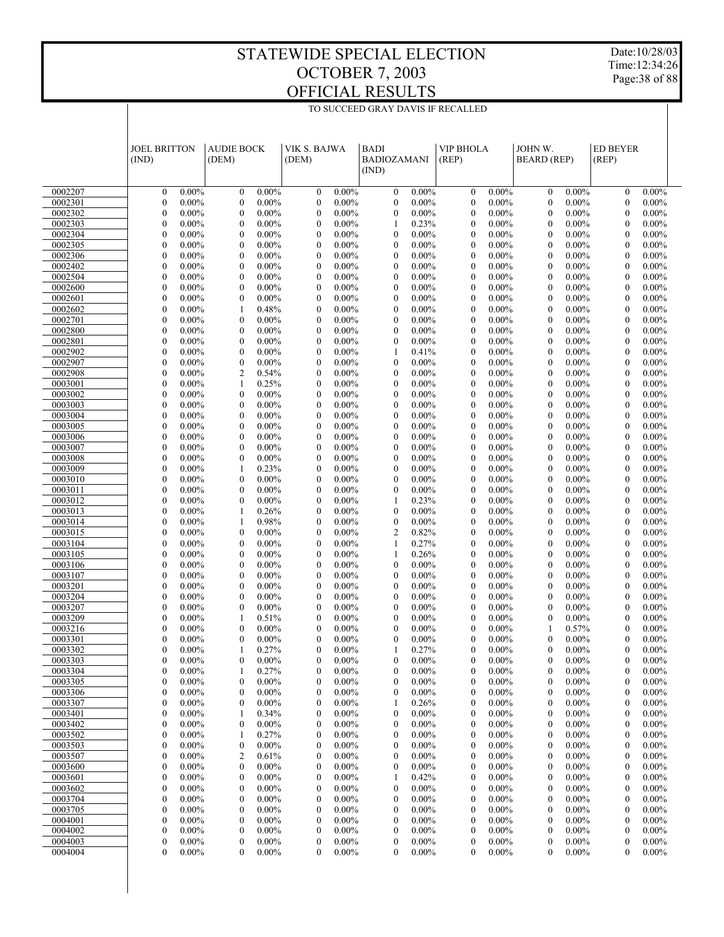Date:10/28/03 Time:12:34:26 Page:38 of 88

|                    | <b>JOEL BRITTON</b><br>(IND)                                 | <b>AUDIE BOCK</b><br>(DEM)                                   | VIK S. BAJWA<br>(DEM)                                        | <b>BADI</b><br><b>BADIOZAMANI</b><br>(IND)                   | <b>VIP BHOLA</b><br>(REP)                                    | JOHN W.<br><b>BEARD</b> (REP)                                | <b>ED BEYER</b><br>(REP)                                     |
|--------------------|--------------------------------------------------------------|--------------------------------------------------------------|--------------------------------------------------------------|--------------------------------------------------------------|--------------------------------------------------------------|--------------------------------------------------------------|--------------------------------------------------------------|
| 0002207            | $0.00\%$                                                     | $0.00\%$                                                     | $0.00\%$                                                     | $\boldsymbol{0}$                                             | $0.00\%$                                                     | $0.00\%$                                                     | $0.00\%$                                                     |
|                    | $\boldsymbol{0}$                                             | $\mathbf{0}$                                                 | $\boldsymbol{0}$                                             | $0.00\%$                                                     | $\mathbf{0}$                                                 | $\boldsymbol{0}$                                             | $\mathbf{0}$                                                 |
| 0002301            | $\boldsymbol{0}$                                             | $\mathbf{0}$                                                 | $\boldsymbol{0}$                                             | $\boldsymbol{0}$                                             | $\mathbf{0}$                                                 | $0.00\%$                                                     | $\boldsymbol{0}$                                             |
|                    | $0.00\%$                                                     | $0.00\%$                                                     | $0.00\%$                                                     | $0.00\%$                                                     | $0.00\%$                                                     | $\boldsymbol{0}$                                             | $0.00\%$                                                     |
| 0002302            | $\boldsymbol{0}$                                             | $\mathbf{0}$                                                 | $\boldsymbol{0}$                                             | $\boldsymbol{0}$                                             | $\mathbf{0}$                                                 | $\mathbf{0}$                                                 | $\mathbf{0}$                                                 |
|                    | $0.00\%$                                                     | $0.00\%$                                                     | $0.00\%$                                                     | $0.00\%$                                                     | $0.00\%$                                                     | $0.00\%$                                                     | $0.00\%$                                                     |
| 0002303            | $\boldsymbol{0}$                                             | $\boldsymbol{0}$                                             | $\boldsymbol{0}$                                             | 0.23%                                                        | $\boldsymbol{0}$                                             | $\mathbf{0}$                                                 | $\boldsymbol{0}$                                             |
|                    | $0.00\%$                                                     | $0.00\%$                                                     | $0.00\%$                                                     | 1                                                            | $0.00\%$                                                     | $0.00\%$                                                     | $0.00\%$                                                     |
| 0002304            | $\boldsymbol{0}$                                             | $\mathbf{0}$                                                 | $\boldsymbol{0}$                                             | $\mathbf{0}$                                                 | $\mathbf{0}$                                                 | $\mathbf{0}$                                                 | $\mathbf{0}$                                                 |
|                    | $0.00\%$                                                     | $0.00\%$                                                     | $0.00\%$                                                     | $0.00\%$                                                     | $0.00\%$                                                     | $0.00\%$                                                     | $0.00\%$                                                     |
| 0002305            | $\boldsymbol{0}$                                             | $\boldsymbol{0}$                                             | $\boldsymbol{0}$                                             | $\boldsymbol{0}$                                             | $\boldsymbol{0}$                                             | $\mathbf{0}$                                                 | $\boldsymbol{0}$                                             |
|                    | $0.00\%$                                                     | $0.00\%$                                                     | $0.00\%$                                                     | $0.00\%$                                                     | $0.00\%$                                                     | $0.00\%$                                                     | $0.00\%$                                                     |
| 0002306            | $\boldsymbol{0}$                                             | $\mathbf{0}$                                                 | $\boldsymbol{0}$                                             | $\mathbf{0}$                                                 | $\mathbf{0}$                                                 | $\mathbf{0}$                                                 | $\mathbf{0}$                                                 |
|                    | $0.00\%$                                                     | $0.00\%$                                                     | $0.00\%$                                                     | $0.00\%$                                                     | $0.00\%$                                                     | $0.00\%$                                                     | $0.00\%$                                                     |
| 0002402            | $\boldsymbol{0}$                                             | $\boldsymbol{0}$                                             | $\boldsymbol{0}$                                             | $\boldsymbol{0}$                                             | $\boldsymbol{0}$                                             | $\mathbf{0}$                                                 | $\boldsymbol{0}$                                             |
|                    | $0.00\%$                                                     | $0.00\%$                                                     | $0.00\%$                                                     | $0.00\%$                                                     | $0.00\%$                                                     | $0.00\%$                                                     | $0.00\%$                                                     |
| 0002504            | $\boldsymbol{0}$                                             | $\mathbf{0}$                                                 | $\boldsymbol{0}$                                             | $\mathbf{0}$                                                 | $\mathbf{0}$                                                 | $\mathbf{0}$                                                 | $\mathbf{0}$                                                 |
|                    | $0.00\%$                                                     | $0.00\%$                                                     | $0.00\%$                                                     | $0.00\%$                                                     | $0.00\%$                                                     | $0.00\%$                                                     | $0.00\%$                                                     |
| 0002600<br>0002601 | $\boldsymbol{0}$<br>$0.00\%$<br>$\boldsymbol{0}$<br>$0.00\%$ | $\boldsymbol{0}$<br>$0.00\%$<br>$\mathbf{0}$<br>$0.00\%$     | $\boldsymbol{0}$<br>$0.00\%$<br>$\boldsymbol{0}$<br>$0.00\%$ | $\boldsymbol{0}$<br>$0.00\%$<br>$\mathbf{0}$<br>$0.00\%$     | $\boldsymbol{0}$<br>$0.00\%$<br>$\mathbf{0}$<br>$0.00\%$     | $\boldsymbol{0}$<br>$0.00\%$<br>$\mathbf{0}$<br>$0.00\%$     | $\boldsymbol{0}$<br>$0.00\%$<br>$\mathbf{0}$<br>$0.00\%$     |
| 0002602            | $\boldsymbol{0}$                                             | 0.48%                                                        | $\boldsymbol{0}$                                             | $\boldsymbol{0}$                                             | $\boldsymbol{0}$                                             | $\mathbf{0}$                                                 | $\boldsymbol{0}$                                             |
|                    | $0.00\%$                                                     | 1                                                            | $0.00\%$                                                     | $0.00\%$                                                     | $0.00\%$                                                     | $0.00\%$                                                     | $0.00\%$                                                     |
| 0002701            | $\boldsymbol{0}$                                             | $\mathbf{0}$                                                 | $\boldsymbol{0}$                                             | $\mathbf{0}$                                                 | $\mathbf{0}$                                                 | $\mathbf{0}$                                                 | $\mathbf{0}$                                                 |
|                    | $0.00\%$                                                     | $0.00\%$                                                     | $0.00\%$                                                     | $0.00\%$                                                     | $0.00\%$                                                     | $0.00\%$                                                     | $0.00\%$                                                     |
| 0002800            | $\boldsymbol{0}$                                             | $\boldsymbol{0}$                                             | $\boldsymbol{0}$                                             | $\boldsymbol{0}$                                             | $\boldsymbol{0}$                                             | $\mathbf{0}$                                                 | $\boldsymbol{0}$                                             |
|                    | $0.00\%$                                                     | $0.00\%$                                                     | $0.00\%$                                                     | $0.00\%$                                                     | $0.00\%$                                                     | $0.00\%$                                                     | $0.00\%$                                                     |
| 0002801            | $\boldsymbol{0}$                                             | $\mathbf{0}$                                                 | $\boldsymbol{0}$                                             | $\boldsymbol{0}$                                             | $\mathbf{0}$                                                 | $\mathbf{0}$                                                 | $\mathbf{0}$                                                 |
|                    | $0.00\%$                                                     | $0.00\%$                                                     | $0.00\%$                                                     | $0.00\%$                                                     | $0.00\%$                                                     | $0.00\%$                                                     | $0.00\%$                                                     |
| 0002902            | $\boldsymbol{0}$                                             | $\boldsymbol{0}$                                             | $\boldsymbol{0}$                                             | 0.41%                                                        | $\boldsymbol{0}$                                             | $\mathbf{0}$                                                 | $\boldsymbol{0}$                                             |
|                    | $0.00\%$                                                     | $0.00\%$                                                     | $0.00\%$                                                     | 1                                                            | $0.00\%$                                                     | $0.00\%$                                                     | $0.00\%$                                                     |
| 0002907            | $\boldsymbol{0}$                                             | $\boldsymbol{0}$                                             | $\boldsymbol{0}$                                             | $\mathbf{0}$                                                 | $\mathbf{0}$                                                 | $\mathbf{0}$                                                 | $\mathbf{0}$                                                 |
|                    | $0.00\%$                                                     | $0.00\%$                                                     | $0.00\%$                                                     | $0.00\%$                                                     | $0.00\%$                                                     | $0.00\%$                                                     | $0.00\%$                                                     |
| 0002908            | $\boldsymbol{0}$                                             | $\overline{c}$                                               | $\boldsymbol{0}$                                             | $\boldsymbol{0}$                                             | $\boldsymbol{0}$                                             | $\boldsymbol{0}$                                             | $\boldsymbol{0}$                                             |
|                    | $0.00\%$                                                     | 0.54%                                                        | $0.00\%$                                                     | $0.00\%$                                                     | $0.00\%$                                                     | $0.00\%$                                                     | $0.00\%$                                                     |
| 0003001            | $\boldsymbol{0}$                                             | 0.25%                                                        | $\boldsymbol{0}$                                             | $\mathbf{0}$                                                 | $\mathbf{0}$                                                 | $\mathbf{0}$                                                 | $\mathbf{0}$                                                 |
|                    | $0.00\%$                                                     | 1                                                            | $0.00\%$                                                     | $0.00\%$                                                     | $0.00\%$                                                     | $0.00\%$                                                     | $0.00\%$                                                     |
| 0003002<br>0003003 | $\boldsymbol{0}$<br>$0.00\%$<br>$\boldsymbol{0}$<br>$0.00\%$ | $\boldsymbol{0}$<br>$0.00\%$<br>$\mathbf{0}$<br>$0.00\%$     | $\boldsymbol{0}$<br>$0.00\%$<br>$\boldsymbol{0}$<br>$0.00\%$ | $\boldsymbol{0}$<br>$0.00\%$<br>$\mathbf{0}$<br>$0.00\%$     | $\boldsymbol{0}$<br>$0.00\%$<br>$\mathbf{0}$<br>$0.00\%$     | $\mathbf{0}$<br>$0.00\%$<br>$\mathbf{0}$<br>$0.00\%$         | $\boldsymbol{0}$<br>$0.00\%$<br>$\mathbf{0}$<br>$0.00\%$     |
| 0003004            | $\boldsymbol{0}$                                             | $\boldsymbol{0}$                                             | $\boldsymbol{0}$                                             | $\boldsymbol{0}$                                             | $\boldsymbol{0}$                                             | $\mathbf{0}$                                                 | $\boldsymbol{0}$                                             |
|                    | $0.00\%$                                                     | $0.00\%$                                                     | $0.00\%$                                                     | $0.00\%$                                                     | $0.00\%$                                                     | $0.00\%$                                                     | $0.00\%$                                                     |
| 0003005            | $\boldsymbol{0}$                                             | $\mathbf{0}$                                                 | $\boldsymbol{0}$                                             | $\mathbf{0}$                                                 | $\mathbf{0}$                                                 | $\mathbf{0}$                                                 | $\mathbf{0}$                                                 |
|                    | $0.00\%$                                                     | $0.00\%$                                                     | $0.00\%$                                                     | $0.00\%$                                                     | $0.00\%$                                                     | $0.00\%$                                                     | $0.00\%$                                                     |
| 0003006            | $\boldsymbol{0}$                                             | $\boldsymbol{0}$                                             | $\boldsymbol{0}$                                             | $\boldsymbol{0}$                                             | $\boldsymbol{0}$                                             | $\mathbf{0}$                                                 | $\boldsymbol{0}$                                             |
|                    | $0.00\%$                                                     | $0.00\%$                                                     | $0.00\%$                                                     | $0.00\%$                                                     | $0.00\%$                                                     | $0.00\%$                                                     | $0.00\%$                                                     |
| 0003007            | $\boldsymbol{0}$                                             | $\mathbf{0}$                                                 | $\boldsymbol{0}$                                             | $\mathbf{0}$                                                 | $\mathbf{0}$                                                 | $\mathbf{0}$                                                 | $\mathbf{0}$                                                 |
|                    | $0.00\%$                                                     | $0.00\%$                                                     | $0.00\%$                                                     | $0.00\%$                                                     | $0.00\%$                                                     | $0.00\%$                                                     | $0.00\%$                                                     |
| 0003008            | $\boldsymbol{0}$                                             | $\boldsymbol{0}$                                             | $\boldsymbol{0}$                                             | $\boldsymbol{0}$                                             | $\boldsymbol{0}$                                             | $\boldsymbol{0}$                                             | $\boldsymbol{0}$                                             |
|                    | $0.00\%$                                                     | $0.00\%$                                                     | $0.00\%$                                                     | $0.00\%$                                                     | $0.00\%$                                                     | $0.00\%$                                                     | $0.00\%$                                                     |
| 0003009            | $\boldsymbol{0}$                                             | 0.23%                                                        | $\boldsymbol{0}$                                             | $\mathbf{0}$                                                 | $\mathbf{0}$                                                 | $\mathbf{0}$                                                 | $\mathbf{0}$                                                 |
|                    | $0.00\%$                                                     | 1                                                            | $0.00\%$                                                     | $0.00\%$                                                     | $0.00\%$                                                     | $0.00\%$                                                     | $0.00\%$                                                     |
| 0003010            | $\boldsymbol{0}$                                             | $\boldsymbol{0}$                                             | $\boldsymbol{0}$                                             | $\boldsymbol{0}$                                             | $\boldsymbol{0}$                                             | $\boldsymbol{0}$                                             | $\boldsymbol{0}$                                             |
|                    | $0.00\%$                                                     | $0.00\%$                                                     | $0.00\%$                                                     | $0.00\%$                                                     | $0.00\%$                                                     | $0.00\%$                                                     | $0.00\%$                                                     |
| 0003011            | $\boldsymbol{0}$                                             | $\mathbf{0}$                                                 | $\boldsymbol{0}$                                             | $\boldsymbol{0}$                                             | $\mathbf{0}$                                                 | $\mathbf{0}$                                                 | $\mathbf{0}$                                                 |
|                    | $0.00\%$                                                     | $0.00\%$                                                     | $0.00\%$                                                     | $0.00\%$                                                     | $0.00\%$                                                     | $0.00\%$                                                     | $0.00\%$                                                     |
| 0003012            | $\boldsymbol{0}$<br>$0.00\%$<br>$0.00\%$                     | $\boldsymbol{0}$<br>$0.00\%$                                 | $\boldsymbol{0}$<br>$0.00\%$                                 | 0.23%<br>1<br>$\mathbf{0}$                                   | $\boldsymbol{0}$<br>$0.00\%$<br>$\mathbf{0}$                 | $\mathbf{0}$<br>$0.00\%$<br>$\mathbf{0}$                     | $\boldsymbol{0}$<br>$0.00\%$<br>$\mathbf{0}$<br>$0.00\%$     |
| 0003013<br>0003014 | $\boldsymbol{0}$<br>$\boldsymbol{0}$<br>$0.00\%$             | 0.26%<br>1<br>0.98%<br>1                                     | $\boldsymbol{0}$<br>$0.00\%$<br>$\boldsymbol{0}$<br>$0.00\%$ | $0.00\%$<br>$\boldsymbol{0}$<br>$0.00\%$                     | $0.00\%$<br>$\boldsymbol{0}$<br>$0.00\%$                     | $0.00\%$<br>$\mathbf{0}$<br>$0.00\%$                         | $\boldsymbol{0}$<br>$0.00\%$                                 |
| 0003015            | $\boldsymbol{0}$                                             | $\boldsymbol{0}$                                             | $\boldsymbol{0}$                                             | $\overline{2}$                                               | $\mathbf{0}$                                                 | $\mathbf{0}$                                                 | $\mathbf{0}$                                                 |
|                    | $0.00\%$                                                     | $0.00\%$                                                     | $0.00\%$                                                     | 0.82%                                                        | $0.00\%$                                                     | $0.00\%$                                                     | $0.00\%$                                                     |
| 0003104            | $\boldsymbol{0}$                                             | $\boldsymbol{0}$                                             | $\boldsymbol{0}$                                             | 0.27%                                                        | $\boldsymbol{0}$                                             | $\boldsymbol{0}$                                             | $\boldsymbol{0}$                                             |
|                    | $0.00\%$                                                     | $0.00\%$                                                     | $0.00\%$                                                     | 1                                                            | $0.00\%$                                                     | $0.00\%$                                                     | $0.00\%$                                                     |
| 0003105            | $\boldsymbol{0}$                                             | $\mathbf{0}$                                                 | $\boldsymbol{0}$                                             | 0.26%                                                        | $\mathbf{0}$                                                 | $\mathbf{0}$                                                 | $\mathbf{0}$                                                 |
|                    | $0.00\%$                                                     | $0.00\%$                                                     | $0.00\%$                                                     | 1                                                            | $0.00\%$                                                     | $0.00\%$                                                     | $0.00\%$                                                     |
| 0003106            | $\boldsymbol{0}$                                             | $\boldsymbol{0}$                                             | $\boldsymbol{0}$                                             | $\boldsymbol{0}$                                             | $\boldsymbol{0}$                                             | $\boldsymbol{0}$                                             | $\boldsymbol{0}$                                             |
|                    | $0.00\%$                                                     | $0.00\%$                                                     | $0.00\%$                                                     | $0.00\%$                                                     | $0.00\%$                                                     | $0.00\%$                                                     | $0.00\%$                                                     |
| 0003107            | $\boldsymbol{0}$                                             | $\mathbf{0}$                                                 | $\boldsymbol{0}$                                             | $\mathbf{0}$                                                 | $\mathbf{0}$                                                 | $\mathbf{0}$                                                 | $\mathbf{0}$                                                 |
|                    | $0.00\%$                                                     | $0.00\%$                                                     | $0.00\%$                                                     | $0.00\%$                                                     | $0.00\%$                                                     | $0.00\%$                                                     | $0.00\%$                                                     |
| 0003201            | $\boldsymbol{0}$                                             | $\boldsymbol{0}$                                             | $\boldsymbol{0}$                                             | $\boldsymbol{0}$                                             | $\boldsymbol{0}$                                             | $\mathbf{0}$                                                 | $\boldsymbol{0}$                                             |
|                    | $0.00\%$                                                     | $0.00\%$                                                     | $0.00\%$                                                     | $0.00\%$                                                     | $0.00\%$                                                     | $0.00\%$                                                     | $0.00\%$                                                     |
| 0003204            | $\boldsymbol{0}$                                             | $\mathbf{0}$                                                 | $\boldsymbol{0}$                                             | $\mathbf{0}$                                                 | $\mathbf{0}$                                                 | $\mathbf{0}$                                                 | $\mathbf{0}$                                                 |
|                    | $0.00\%$                                                     | $0.00\%$                                                     | $0.00\%$                                                     | $0.00\%$                                                     | $0.00\%$                                                     | $0.00\%$                                                     | $0.00\%$                                                     |
| 0003207<br>0003209 | $\boldsymbol{0}$<br>$0.00\%$<br>$\boldsymbol{0}$<br>$0.00\%$ | $\boldsymbol{0}$<br>$0.00\%$<br>0.51%<br>1                   | $\boldsymbol{0}$<br>$0.00\%$<br>$\boldsymbol{0}$<br>$0.00\%$ | $\boldsymbol{0}$<br>$0.00\%$<br>$\mathbf{0}$<br>$0.00\%$     | $\boldsymbol{0}$<br>$0.00\%$<br>$\mathbf{0}$<br>$0.00\%$     | $\mathbf{0}$<br>$0.00\%$<br>$\mathbf{0}$<br>$0.00\%$         | $\boldsymbol{0}$<br>$0.00\%$<br>$\mathbf{0}$<br>$0.00\%$     |
| 0003216            | $\boldsymbol{0}$                                             | $\boldsymbol{0}$                                             | $\boldsymbol{0}$                                             | $\mathbf{0}$                                                 | $\mathbf{0}$                                                 | 0.57%                                                        | $\mathbf{0}$                                                 |
|                    | $0.00\%$                                                     | $0.00\%$                                                     | $0.00\%$                                                     | $0.00\%$                                                     | $0.00\%$                                                     | $\mathbf{1}$                                                 | $0.00\%$                                                     |
| 0003301            | $\theta$                                                     | $\mathbf{0}$                                                 | $\mathbf{0}$                                                 | $\overline{0}$                                               | $\theta$                                                     | $\theta$                                                     | $\theta$                                                     |
|                    | $0.00\%$                                                     | $0.00\%$                                                     | $0.00\%$                                                     | $0.00\%$                                                     | $0.00\%$                                                     | $0.00\%$                                                     | $0.00\%$                                                     |
| 0003302            | $\boldsymbol{0}$                                             | 0.27%                                                        | $\boldsymbol{0}$                                             | 0.27%                                                        | $\mathbf{0}$                                                 | $\mathbf{0}$                                                 | $\mathbf{0}$                                                 |
|                    | $0.00\%$                                                     | 1                                                            | $0.00\%$                                                     | 1                                                            | $0.00\%$                                                     | $0.00\%$                                                     | $0.00\%$                                                     |
| 0003303            | $\boldsymbol{0}$                                             | $\mathbf{0}$                                                 | $0.00\%$                                                     | $\mathbf{0}$                                                 | $0.00\%$                                                     | $\boldsymbol{0}$                                             | $0.00\%$                                                     |
|                    | 0.00%                                                        | 0.00%                                                        | 0                                                            | $0.00\%$                                                     | $\overline{0}$                                               | $0.00\%$                                                     | $\overline{0}$                                               |
| 0003304            | $\boldsymbol{0}$                                             | 0.27%                                                        | $0.00\%$                                                     | $\boldsymbol{0}$                                             | $0.00\%$                                                     | $\boldsymbol{0}$                                             | $0.00\%$                                                     |
|                    | $0.00\%$                                                     | 1                                                            | $\boldsymbol{0}$                                             | $0.00\%$                                                     | $\boldsymbol{0}$                                             | $0.00\%$                                                     | $\boldsymbol{0}$                                             |
| 0003305            | $\boldsymbol{0}$                                             | $\boldsymbol{0}$                                             | $\boldsymbol{0}$                                             | 0                                                            | $\boldsymbol{0}$                                             | $\boldsymbol{0}$                                             | $\boldsymbol{0}$                                             |
|                    | $0.00\%$                                                     | $0.00\%$                                                     | $0.00\%$                                                     | $0.00\%$                                                     | $0.00\%$                                                     | $0.00\%$                                                     | $0.00\%$                                                     |
| 0003306            | $\boldsymbol{0}$                                             | $\boldsymbol{0}$                                             | $\boldsymbol{0}$                                             | $\boldsymbol{0}$                                             | $\boldsymbol{0}$                                             | $\boldsymbol{0}$                                             | $0.00\%$                                                     |
|                    | $0.00\%$                                                     | $0.00\%$                                                     | $0.00\%$                                                     | $0.00\%$                                                     | $0.00\%$                                                     | $0.00\%$                                                     | $\boldsymbol{0}$                                             |
| 0003307            | $\overline{0}$                                               | $\boldsymbol{0}$                                             | $\boldsymbol{0}$                                             | 0.26%                                                        | $\boldsymbol{0}$                                             | $\boldsymbol{0}$                                             | $\boldsymbol{0}$                                             |
|                    | $0.00\%$                                                     | $0.00\%$                                                     | $0.00\%$                                                     | 1                                                            | $0.00\%$                                                     | $0.00\%$                                                     | $0.00\%$                                                     |
| 0003401            | $\boldsymbol{0}$                                             | 0.34%                                                        | $\boldsymbol{0}$                                             | $\boldsymbol{0}$                                             | $0.00\%$                                                     | $\boldsymbol{0}$                                             | $0.00\%$                                                     |
|                    | $0.00\%$                                                     | 1                                                            | $0.00\%$                                                     | $0.00\%$                                                     | $\boldsymbol{0}$                                             | $0.00\%$                                                     | $\boldsymbol{0}$                                             |
| 0003402<br>0003502 | $\overline{0}$<br>$0.00\%$<br>$\boldsymbol{0}$<br>$0.00\%$   | $\boldsymbol{0}$<br>$0.00\%$<br>0.27%<br>1                   | $\boldsymbol{0}$<br>$0.00\%$<br>$\boldsymbol{0}$<br>$0.00\%$ | $\boldsymbol{0}$<br>$0.00\%$<br>$\boldsymbol{0}$<br>$0.00\%$ | $\boldsymbol{0}$<br>$0.00\%$<br>$0.00\%$<br>$\boldsymbol{0}$ | $\boldsymbol{0}$<br>$0.00\%$<br>$\boldsymbol{0}$<br>$0.00\%$ | $\boldsymbol{0}$<br>$0.00\%$<br>$0.00\%$<br>$\boldsymbol{0}$ |
| 0003503            | $\overline{0}$                                               | $\boldsymbol{0}$                                             | $\boldsymbol{0}$                                             | $\boldsymbol{0}$                                             | $\boldsymbol{0}$                                             | $\boldsymbol{0}$                                             | $\boldsymbol{0}$                                             |
|                    | $0.00\%$                                                     | $0.00\%$                                                     | $0.00\%$                                                     | $0.00\%$                                                     | $0.00\%$                                                     | $0.00\%$                                                     | $0.00\%$                                                     |
| 0003507            | $\boldsymbol{0}$                                             | $\overline{c}$                                               | $\boldsymbol{0}$                                             | $\boldsymbol{0}$                                             | $0.00\%$                                                     | $\boldsymbol{0}$                                             | $0.00\%$                                                     |
|                    | $0.00\%$                                                     | 0.61%                                                        | $0.00\%$                                                     | $0.00\%$                                                     | $\boldsymbol{0}$                                             | $0.00\%$                                                     | $\boldsymbol{0}$                                             |
| 0003600            | $\overline{0}$                                               | $\boldsymbol{0}$                                             | $\boldsymbol{0}$                                             | $\boldsymbol{0}$                                             | $\boldsymbol{0}$                                             | $\boldsymbol{0}$                                             | $\boldsymbol{0}$                                             |
|                    | $0.00\%$                                                     | $0.00\%$                                                     | $0.00\%$                                                     | $0.00\%$                                                     | $0.00\%$                                                     | $0.00\%$                                                     | $0.00\%$                                                     |
| 0003601            | $\boldsymbol{0}$                                             | $\boldsymbol{0}$                                             | $\boldsymbol{0}$                                             | 0.42%                                                        | $\boldsymbol{0}$                                             | $\boldsymbol{0}$                                             | $0.00\%$                                                     |
|                    | $0.00\%$                                                     | $0.00\%$                                                     | $0.00\%$                                                     | 1                                                            | $0.00\%$                                                     | $0.00\%$                                                     | $\boldsymbol{0}$                                             |
| 0003602            | $\overline{0}$                                               | $\boldsymbol{0}$                                             | $\boldsymbol{0}$                                             | $\boldsymbol{0}$                                             | $\boldsymbol{0}$                                             | $\boldsymbol{0}$                                             | $\boldsymbol{0}$                                             |
|                    | $0.00\%$                                                     | $0.00\%$                                                     | $0.00\%$                                                     | $0.00\%$                                                     | $0.00\%$                                                     | $0.00\%$                                                     | $0.00\%$                                                     |
| 0003704            | $\boldsymbol{0}$                                             | $\boldsymbol{0}$                                             | $\boldsymbol{0}$                                             | $\boldsymbol{0}$                                             | $0.00\%$                                                     | $\boldsymbol{0}$                                             | $0.00\%$                                                     |
|                    | $0.00\%$                                                     | $0.00\%$                                                     | $0.00\%$                                                     | $0.00\%$                                                     | $\boldsymbol{0}$                                             | $0.00\%$                                                     | $\boldsymbol{0}$                                             |
| 0003705            | $\overline{0}$                                               | $\boldsymbol{0}$                                             | $\boldsymbol{0}$                                             | $\boldsymbol{0}$                                             | $\boldsymbol{0}$                                             | $\boldsymbol{0}$                                             | $\boldsymbol{0}$                                             |
|                    | $0.00\%$                                                     | $0.00\%$                                                     | $0.00\%$                                                     | $0.00\%$                                                     | $0.00\%$                                                     | $0.00\%$                                                     | $0.00\%$                                                     |
| 0004001            | $\boldsymbol{0}$<br>$0.00\%$<br>$\overline{0}$               | $\boldsymbol{0}$<br>$0.00\%$                                 | $\boldsymbol{0}$<br>$0.00\%$                                 | $\boldsymbol{0}$<br>$0.00\%$                                 | $\boldsymbol{0}$<br>$0.00\%$                                 | $\boldsymbol{0}$<br>$0.00\%$                                 | $0.00\%$<br>$\boldsymbol{0}$                                 |
| 0004002<br>0004003 | $0.00\%$<br>$\boldsymbol{0}$<br>$0.00\%$                     | $\boldsymbol{0}$<br>$0.00\%$<br>$\boldsymbol{0}$<br>$0.00\%$ | $\boldsymbol{0}$<br>$0.00\%$<br>$\boldsymbol{0}$<br>$0.00\%$ | 0<br>$0.00\%$<br>$\boldsymbol{0}$<br>$0.00\%$                | $\boldsymbol{0}$<br>$0.00\%$<br>$\boldsymbol{0}$<br>$0.00\%$ | $\boldsymbol{0}$<br>$0.00\%$<br>$\boldsymbol{0}$<br>$0.00\%$ | $\boldsymbol{0}$<br>$0.00\%$<br>$\boldsymbol{0}$<br>$0.00\%$ |
| 0004004            | $\overline{0}$                                               | $\mathbf{0}$                                                 | $\boldsymbol{0}$                                             | 0                                                            | $\overline{0}$                                               | $\mathbf{0}$                                                 | $\mathbf{0}$                                                 |
|                    | $0.00\%$                                                     | $0.00\%$                                                     | $0.00\%$                                                     | $0.00\%$                                                     | $0.00\%$                                                     | $0.00\%$                                                     | $0.00\%$                                                     |
|                    |                                                              |                                                              |                                                              |                                                              |                                                              |                                                              |                                                              |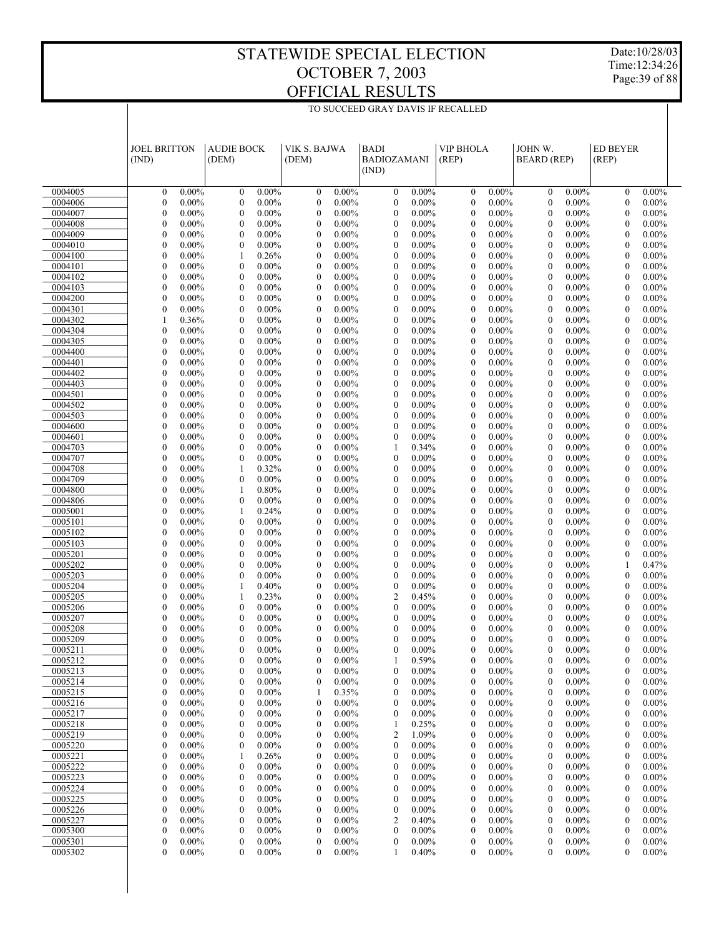Date:10/28/03 Time:12:34:26 Page:39 of 88

|                    | <b>JOEL BRITTON</b><br>(IND)         |                      | <b>AUDIE BOCK</b><br>(DEM)         |                      | VIK S. BAJWA<br>(DEM)                |                      | <b>BADI</b><br><b>BADIOZAMANI</b><br>(IND) |                      | <b>VIP BHOLA</b><br>(REP)            |                      | JOHN W.<br><b>BEARD</b> (REP)        |                      | <b>ED BEYER</b><br>(REP)             |                      |
|--------------------|--------------------------------------|----------------------|------------------------------------|----------------------|--------------------------------------|----------------------|--------------------------------------------|----------------------|--------------------------------------|----------------------|--------------------------------------|----------------------|--------------------------------------|----------------------|
| 0004005            | $\boldsymbol{0}$                     | $0.00\%$             | $\mathbf{0}$                       | $0.00\%$             | $\boldsymbol{0}$                     | $0.00\%$             | $\boldsymbol{0}$                           | $0.00\%$             | $\mathbf{0}$                         | $0.00\%$             | $\boldsymbol{0}$                     | $0.00\%$             | $\mathbf{0}$                         | $0.00\%$             |
| 0004006            | $\boldsymbol{0}$                     | $0.00\%$             | $\mathbf{0}$                       | $0.00\%$             | $\boldsymbol{0}$                     | $0.00\%$             | $\boldsymbol{0}$                           | $0.00\%$             | $\mathbf{0}$                         | $0.00\%$             | $\mathbf{0}$                         | $0.00\%$             | $\boldsymbol{0}$                     | $0.00\%$             |
| 0004007            | $\boldsymbol{0}$                     | $0.00\%$             | $\mathbf{0}$                       | $0.00\%$             | $\boldsymbol{0}$                     | $0.00\%$             | $\mathbf{0}$                               | $0.00\%$             | $\mathbf{0}$                         | $0.00\%$             | $\overline{0}$                       | $0.00\%$             | $\mathbf{0}$                         | $0.00\%$             |
| 0004008            | $\boldsymbol{0}$                     | $0.00\%$             | $\boldsymbol{0}$                   | $0.00\%$             | $\boldsymbol{0}$                     | $0.00\%$             | $\boldsymbol{0}$                           | $0.00\%$             | $\mathbf{0}$                         | $0.00\%$             | $\mathbf{0}$                         | $0.00\%$             | $\boldsymbol{0}$                     | $0.00\%$             |
| 0004009            | $\boldsymbol{0}$                     | $0.00\%$             | $\mathbf{0}$                       | $0.00\%$             | $\boldsymbol{0}$                     | $0.00\%$             | $\mathbf{0}$                               | $0.00\%$             | $\overline{0}$                       | $0.00\%$             | $\overline{0}$                       | $0.00\%$             | $\overline{0}$                       | $0.00\%$             |
| 0004010            | $\boldsymbol{0}$                     | $0.00\%$             | $\boldsymbol{0}$                   | $0.00\%$             | $\boldsymbol{0}$                     | $0.00\%$             | $\boldsymbol{0}$                           | $0.00\%$             | $\mathbf{0}$                         | $0.00\%$             | $\mathbf{0}$                         | $0.00\%$             | $\boldsymbol{0}$                     | $0.00\%$             |
| 0004100            | $\boldsymbol{0}$<br>$\boldsymbol{0}$ | $0.00\%$<br>$0.00\%$ | 1<br>$\boldsymbol{0}$              | 0.26%                | $\boldsymbol{0}$<br>$\boldsymbol{0}$ | $0.00\%$<br>$0.00\%$ | $\mathbf{0}$<br>$\boldsymbol{0}$           | $0.00\%$             | $\overline{0}$<br>$\mathbf{0}$       | $0.00\%$<br>$0.00\%$ | $\overline{0}$<br>$\boldsymbol{0}$   | $0.00\%$             | $\overline{0}$<br>$\boldsymbol{0}$   | $0.00\%$<br>$0.00\%$ |
| 0004101<br>0004102 | $\boldsymbol{0}$                     | $0.00\%$             | $\mathbf{0}$                       | $0.00\%$<br>$0.00\%$ | $\boldsymbol{0}$                     | $0.00\%$             | $\mathbf{0}$                               | $0.00\%$<br>$0.00\%$ | $\overline{0}$                       | $0.00\%$             | $\overline{0}$                       | $0.00\%$<br>$0.00\%$ | $\overline{0}$                       | $0.00\%$             |
| 0004103            | $\boldsymbol{0}$                     | $0.00\%$             | $\boldsymbol{0}$                   | $0.00\%$             | $\boldsymbol{0}$                     | $0.00\%$             | $\boldsymbol{0}$                           | $0.00\%$             | $\mathbf{0}$                         | $0.00\%$             | $\mathbf{0}$                         | $0.00\%$             | $\boldsymbol{0}$                     | $0.00\%$             |
| 0004200            | $\boldsymbol{0}$                     | $0.00\%$             | $\mathbf{0}$                       | $0.00\%$             | $\boldsymbol{0}$                     | $0.00\%$             | $\mathbf{0}$                               | $0.00\%$             | $\mathbf{0}$                         | $0.00\%$             | $\overline{0}$                       | $0.00\%$             | $\overline{0}$                       | $0.00\%$             |
| 0004301            | $\mathbf{0}$                         | $0.00\%$             | $\boldsymbol{0}$                   | $0.00\%$             | $\boldsymbol{0}$                     | $0.00\%$             | $\boldsymbol{0}$                           | $0.00\%$             | $\mathbf{0}$                         | $0.00\%$             | $\mathbf{0}$                         | $0.00\%$             | $\boldsymbol{0}$                     | $0.00\%$             |
| 0004302            | 1                                    | 0.36%                | $\mathbf{0}$                       | $0.00\%$             | $\boldsymbol{0}$                     | $0.00\%$             | $\mathbf{0}$                               | $0.00\%$             | $\mathbf{0}$                         | $0.00\%$             | $\overline{0}$                       | $0.00\%$             | $\overline{0}$                       | $0.00\%$             |
| 0004304            | $\boldsymbol{0}$                     | $0.00\%$             | $\boldsymbol{0}$                   | $0.00\%$             | $\boldsymbol{0}$                     | $0.00\%$             | $\boldsymbol{0}$                           | $0.00\%$             | $\mathbf{0}$                         | $0.00\%$             | $\mathbf{0}$                         | $0.00\%$             | $\boldsymbol{0}$                     | $0.00\%$             |
| 0004305            | $\mathbf{0}$                         | $0.00\%$             | $\mathbf{0}$                       | $0.00\%$             | $\boldsymbol{0}$                     | $0.00\%$             | $\mathbf{0}$                               | $0.00\%$             | $\overline{0}$                       | $0.00\%$             | $\overline{0}$                       | $0.00\%$             | $\overline{0}$                       | $0.00\%$             |
| 0004400            | $\boldsymbol{0}$                     | $0.00\%$             | $\boldsymbol{0}$                   | $0.00\%$             | $\boldsymbol{0}$                     | $0.00\%$             | $\boldsymbol{0}$                           | $0.00\%$             | $\mathbf{0}$<br>$\overline{0}$       | $0.00\%$             | $\boldsymbol{0}$<br>$\overline{0}$   | $0.00\%$             | $\boldsymbol{0}$<br>$\overline{0}$   | $0.00\%$             |
| 0004401<br>0004402 | $\boldsymbol{0}$<br>$\boldsymbol{0}$ | $0.00\%$<br>$0.00\%$ | $\mathbf{0}$<br>$\boldsymbol{0}$   | $0.00\%$<br>$0.00\%$ | $\boldsymbol{0}$<br>$\boldsymbol{0}$ | $0.00\%$<br>$0.00\%$ | $\mathbf{0}$<br>$\boldsymbol{0}$           | $0.00\%$<br>$0.00\%$ | $\mathbf{0}$                         | $0.00\%$<br>$0.00\%$ | $\mathbf{0}$                         | $0.00\%$<br>$0.00\%$ | $\boldsymbol{0}$                     | $0.00\%$<br>$0.00\%$ |
| 0004403            | $\boldsymbol{0}$                     | $0.00\%$             | $\mathbf{0}$                       | $0.00\%$             | $\boldsymbol{0}$                     | $0.00\%$             | $\mathbf{0}$                               | $0.00\%$             | $\mathbf{0}$                         | $0.00\%$             | $\overline{0}$                       | $0.00\%$             | $\overline{0}$                       | $0.00\%$             |
| 0004501            | $\boldsymbol{0}$                     | $0.00\%$             | $\boldsymbol{0}$                   | $0.00\%$             | $\boldsymbol{0}$                     | $0.00\%$             | $\boldsymbol{0}$                           | $0.00\%$             | $\mathbf{0}$                         | $0.00\%$             | $\mathbf{0}$                         | $0.00\%$             | $\boldsymbol{0}$                     | $0.00\%$             |
| 0004502            | $\boldsymbol{0}$                     | $0.00\%$             | $\mathbf{0}$                       | $0.00\%$             | $\boldsymbol{0}$                     | $0.00\%$             | $\mathbf{0}$                               | $0.00\%$             | $\mathbf{0}$                         | $0.00\%$             | $\overline{0}$                       | $0.00\%$             | $\overline{0}$                       | $0.00\%$             |
| 0004503            | $\boldsymbol{0}$                     | $0.00\%$             | $\boldsymbol{0}$                   | $0.00\%$             | $\boldsymbol{0}$                     | $0.00\%$             | $\boldsymbol{0}$                           | $0.00\%$             | $\mathbf{0}$                         | $0.00\%$             | $\mathbf{0}$                         | $0.00\%$             | $\boldsymbol{0}$                     | $0.00\%$             |
| 0004600            | $\mathbf{0}$                         | $0.00\%$             | $\mathbf{0}$                       | $0.00\%$             | $\boldsymbol{0}$                     | $0.00\%$             | $\mathbf{0}$                               | $0.00\%$             | $\overline{0}$                       | $0.00\%$             | $\overline{0}$                       | $0.00\%$             | $\overline{0}$                       | $0.00\%$             |
| 0004601            | $\boldsymbol{0}$                     | $0.00\%$             | $\boldsymbol{0}$                   | $0.00\%$             | $\boldsymbol{0}$                     | $0.00\%$             | $\boldsymbol{0}$                           | $0.00\%$             | $\mathbf{0}$                         | $0.00\%$             | $\boldsymbol{0}$                     | $0.00\%$             | $\boldsymbol{0}$                     | $0.00\%$             |
| 0004703            | $\boldsymbol{0}$                     | $0.00\%$             | $\mathbf{0}$                       | $0.00\%$             | $\boldsymbol{0}$                     | $0.00\%$             | 1                                          | 0.34%                | $\overline{0}$                       | $0.00\%$             | $\overline{0}$                       | $0.00\%$             | $\overline{0}$                       | $0.00\%$             |
| 0004707<br>0004708 | $\boldsymbol{0}$<br>$\boldsymbol{0}$ | $0.00\%$<br>$0.00\%$ | $\boldsymbol{0}$<br>1              | $0.00\%$<br>0.32%    | $\boldsymbol{0}$<br>$\boldsymbol{0}$ | $0.00\%$<br>$0.00\%$ | $\boldsymbol{0}$<br>$\mathbf{0}$           | $0.00\%$<br>$0.00\%$ | $\mathbf{0}$<br>$\mathbf{0}$         | $0.00\%$<br>$0.00\%$ | $\mathbf{0}$<br>$\overline{0}$       | $0.00\%$<br>$0.00\%$ | $\boldsymbol{0}$<br>$\overline{0}$   | $0.00\%$<br>$0.00\%$ |
| 0004709            | $\boldsymbol{0}$                     | $0.00\%$             | $\boldsymbol{0}$                   | $0.00\%$             | $\boldsymbol{0}$                     | $0.00\%$             | $\boldsymbol{0}$                           | $0.00\%$             | $\mathbf{0}$                         | $0.00\%$             | $\mathbf{0}$                         | $0.00\%$             | $\boldsymbol{0}$                     | $0.00\%$             |
| 0004800            | $\boldsymbol{0}$                     | $0.00\%$             | $\mathbf{1}$                       | 0.80%                | $\boldsymbol{0}$                     | $0.00\%$             | $\mathbf{0}$                               | $0.00\%$             | $\mathbf{0}$                         | $0.00\%$             | $\overline{0}$                       | $0.00\%$             | $\overline{0}$                       | $0.00\%$             |
| 0004806            | $\boldsymbol{0}$                     | $0.00\%$             | $\boldsymbol{0}$                   | $0.00\%$             | $\boldsymbol{0}$                     | $0.00\%$             | $\boldsymbol{0}$                           | $0.00\%$             | $\mathbf{0}$                         | $0.00\%$             | $\mathbf{0}$                         | $0.00\%$             | $\boldsymbol{0}$                     | $0.00\%$             |
| 0005001            | $\mathbf{0}$                         | $0.00\%$             | $\mathbf{1}$                       | 0.24%                | $\boldsymbol{0}$                     | $0.00\%$             | $\mathbf{0}$                               | $0.00\%$             | $\overline{0}$                       | $0.00\%$             | $\overline{0}$                       | $0.00\%$             | $\overline{0}$                       | $0.00\%$             |
| 0005101            | $\boldsymbol{0}$                     | $0.00\%$             | $\boldsymbol{0}$                   | $0.00\%$             | $\boldsymbol{0}$                     | $0.00\%$             | $\boldsymbol{0}$                           | $0.00\%$             | $\mathbf{0}$                         | $0.00\%$             | $\boldsymbol{0}$                     | $0.00\%$             | $\boldsymbol{0}$                     | $0.00\%$             |
| 0005102            | $\boldsymbol{0}$                     | $0.00\%$             | $\mathbf{0}$                       | $0.00\%$             | $\boldsymbol{0}$                     | $0.00\%$             | $\mathbf{0}$                               | $0.00\%$             | $\overline{0}$                       | $0.00\%$             | $\overline{0}$                       | $0.00\%$             | $\overline{0}$                       | $0.00\%$             |
| 0005103            | $\boldsymbol{0}$                     | $0.00\%$             | $\boldsymbol{0}$                   | $0.00\%$             | $\boldsymbol{0}$                     | $0.00\%$             | $\boldsymbol{0}$                           | $0.00\%$             | $\mathbf{0}$                         | $0.00\%$             | $\mathbf{0}$                         | $0.00\%$             | $\boldsymbol{0}$                     | $0.00\%$             |
| 0005201<br>0005202 | $\boldsymbol{0}$<br>$\boldsymbol{0}$ | $0.00\%$<br>$0.00\%$ | $\mathbf{0}$<br>$\boldsymbol{0}$   | $0.00\%$<br>$0.00\%$ | $\boldsymbol{0}$<br>$\boldsymbol{0}$ | $0.00\%$<br>$0.00\%$ | $\mathbf{0}$<br>$\boldsymbol{0}$           | $0.00\%$<br>$0.00\%$ | $\overline{0}$<br>$\mathbf{0}$       | $0.00\%$<br>$0.00\%$ | $\overline{0}$<br>$\mathbf{0}$       | $0.00\%$<br>$0.00\%$ | $\overline{0}$<br>1                  | $0.00\%$<br>0.47%    |
| 0005203            | $\boldsymbol{0}$                     | $0.00\%$             | $\mathbf{0}$                       | $0.00\%$             | $\boldsymbol{0}$                     | $0.00\%$             | $\mathbf{0}$                               | $0.00\%$             | $\mathbf{0}$                         | $0.00\%$             | $\overline{0}$                       | $0.00\%$             | $\mathbf{0}$                         | $0.00\%$             |
| 0005204            | $\boldsymbol{0}$                     | $0.00\%$             | 1                                  | 0.40%                | $\boldsymbol{0}$                     | $0.00\%$             | $\boldsymbol{0}$                           | $0.00\%$             | $\mathbf{0}$                         | $0.00\%$             | $\mathbf{0}$                         | $0.00\%$             | $\boldsymbol{0}$                     | $0.00\%$             |
| 0005205            | $\boldsymbol{0}$                     | $0.00\%$             | $\mathbf{1}$                       | 0.23%                | $\boldsymbol{0}$                     | $0.00\%$             | $\overline{2}$                             | 0.45%                | $\overline{0}$                       | $0.00\%$             | $\overline{0}$                       | $0.00\%$             | $\overline{0}$                       | $0.00\%$             |
| 0005206            | $\boldsymbol{0}$                     | $0.00\%$             | $\boldsymbol{0}$                   | $0.00\%$             | $\boldsymbol{0}$                     | $0.00\%$             | $\boldsymbol{0}$                           | $0.00\%$             | $\mathbf{0}$                         | $0.00\%$             | $\boldsymbol{0}$                     | $0.00\%$             | $\boldsymbol{0}$                     | $0.00\%$             |
| 0005207            | $\boldsymbol{0}$                     | $0.00\%$             | $\mathbf{0}$                       | $0.00\%$             | $\boldsymbol{0}$                     | $0.00\%$             | $\mathbf{0}$                               | $0.00\%$             | $\mathbf{0}$                         | $0.00\%$             | $\overline{0}$                       | $0.00\%$             | $\mathbf{0}$                         | $0.00\%$             |
| 0005208            | $\boldsymbol{0}$                     | $0.00\%$             | $\boldsymbol{0}$                   | $0.00\%$             | $\boldsymbol{0}$                     | $0.00\%$             | $\boldsymbol{0}$                           | $0.00\%$             | $\mathbf{0}$                         | $0.00\%$             | $\mathbf{0}$                         | $0.00\%$             | $\mathbf{0}$                         | $0.00\%$             |
| 0005209<br>0005211 | $\theta$<br>$\boldsymbol{0}$         | $0.00\%$<br>$0.00\%$ | $\overline{0}$<br>$\boldsymbol{0}$ | $0.00\%$<br>$0.00\%$ | $\theta$<br>$\boldsymbol{0}$         | $0.00\%$<br>$0.00\%$ | $\overline{0}$<br>$\mathbf{0}$             | $0.00\%$<br>$0.00\%$ | $\theta$<br>$\mathbf{0}$             | $0.00\%$<br>$0.00\%$ | $\theta$<br>$\mathbf{0}$             | $0.00\%$<br>$0.00\%$ | $\theta$<br>$\mathbf{0}$             | $0.00\%$<br>$0.00\%$ |
| 0005212            | $\boldsymbol{0}$                     | $0.00\%$             | $\boldsymbol{0}$                   | $0.00\%$             | $\overline{0}$                       | $0.00\%$             | 1                                          | 0.59%                | $\overline{0}$                       | $0.00\%$             | $\boldsymbol{0}$                     | $0.00\%$             | $\overline{0}$                       | $0.00\%$             |
| 0005213            | $\boldsymbol{0}$                     | $0.00\%$             | $\boldsymbol{0}$                   | $0.00\%$             | $\boldsymbol{0}$                     | $0.00\%$             | $\boldsymbol{0}$                           | $0.00\%$             | $\boldsymbol{0}$                     | $0.00\%$             | $\boldsymbol{0}$                     | $0.00\%$             | $\boldsymbol{0}$                     | $0.00\%$             |
| 0005214            | $\boldsymbol{0}$                     | $0.00\%$             | $\boldsymbol{0}$                   | $0.00\%$             | $\boldsymbol{0}$                     | $0.00\%$             | $\boldsymbol{0}$                           | $0.00\%$             | $\boldsymbol{0}$                     | $0.00\%$             | $\boldsymbol{0}$                     | $0.00\%$             | $\boldsymbol{0}$                     | $0.00\%$             |
| 0005215            | $\boldsymbol{0}$                     | $0.00\%$             | 0                                  | $0.00\%$             | 1                                    | 0.35%                | $\boldsymbol{0}$                           | $0.00\%$             | $\boldsymbol{0}$                     | $0.00\%$             | $\boldsymbol{0}$                     | $0.00\%$             | $\boldsymbol{0}$                     | $0.00\%$             |
| 0005216            | $\overline{0}$                       | $0.00\%$             | $\boldsymbol{0}$                   | $0.00\%$             | $\boldsymbol{0}$                     | $0.00\%$             | $\boldsymbol{0}$                           | $0.00\%$             | $\boldsymbol{0}$                     | $0.00\%$             | $\boldsymbol{0}$                     | $0.00\%$             | $\boldsymbol{0}$                     | $0.00\%$             |
| 0005217            | $\boldsymbol{0}$                     | $0.00\%$             | 0                                  | $0.00\%$             | $\boldsymbol{0}$                     | $0.00\%$             | $\boldsymbol{0}$                           | $0.00\%$             | $\boldsymbol{0}$                     | $0.00\%$             | 0                                    | $0.00\%$             | $\boldsymbol{0}$                     | $0.00\%$             |
| 0005218            | $\boldsymbol{0}$                     | $0.00\%$             | $\boldsymbol{0}$                   | $0.00\%$             | $\boldsymbol{0}$                     | $0.00\%$             | 1                                          | 0.25%                | $\boldsymbol{0}$                     | $0.00\%$             | $\boldsymbol{0}$                     | $0.00\%$             | $\boldsymbol{0}$                     | $0.00\%$             |
| 0005219            | $\boldsymbol{0}$<br>$\overline{0}$   | $0.00\%$             | $\boldsymbol{0}$                   | $0.00\%$             | $\boldsymbol{0}$                     | $0.00\%$             | $\overline{c}$                             | 1.09%                | $\boldsymbol{0}$                     | $0.00\%$             | $\boldsymbol{0}$                     | $0.00\%$             | $\boldsymbol{0}$                     | $0.00\%$             |
| 0005220<br>0005221 | $\boldsymbol{0}$                     | $0.00\%$<br>$0.00\%$ | $\boldsymbol{0}$<br>1              | $0.00\%$<br>0.26%    | $\boldsymbol{0}$<br>$\boldsymbol{0}$ | $0.00\%$<br>$0.00\%$ | $\boldsymbol{0}$<br>$\boldsymbol{0}$       | $0.00\%$<br>$0.00\%$ | $\boldsymbol{0}$<br>$\boldsymbol{0}$ | $0.00\%$<br>$0.00\%$ | $\boldsymbol{0}$<br>$\boldsymbol{0}$ | $0.00\%$<br>$0.00\%$ | $\boldsymbol{0}$<br>$\boldsymbol{0}$ | $0.00\%$<br>$0.00\%$ |
| 0005222            | $\boldsymbol{0}$                     | $0.00\%$             | $\boldsymbol{0}$                   | $0.00\%$             | $\boldsymbol{0}$                     | $0.00\%$             | $\boldsymbol{0}$                           | $0.00\%$             | $\boldsymbol{0}$                     | $0.00\%$             | $\boldsymbol{0}$                     | $0.00\%$             | $\boldsymbol{0}$                     | $0.00\%$             |
| 0005223            | $\boldsymbol{0}$                     | $0.00\%$             | $\boldsymbol{0}$                   | $0.00\%$             | $\boldsymbol{0}$                     | $0.00\%$             | $\boldsymbol{0}$                           | $0.00\%$             | $\boldsymbol{0}$                     | $0.00\%$             | $\boldsymbol{0}$                     | $0.00\%$             | $\boldsymbol{0}$                     | $0.00\%$             |
| 0005224            | $\overline{0}$                       | $0.00\%$             | $\boldsymbol{0}$                   | $0.00\%$             | $\boldsymbol{0}$                     | $0.00\%$             | $\boldsymbol{0}$                           | $0.00\%$             | $\boldsymbol{0}$                     | $0.00\%$             | $\boldsymbol{0}$                     | $0.00\%$             | $\boldsymbol{0}$                     | $0.00\%$             |
| 0005225            | $\boldsymbol{0}$                     | $0.00\%$             | $\boldsymbol{0}$                   | $0.00\%$             | $\boldsymbol{0}$                     | $0.00\%$             | $\boldsymbol{0}$                           | $0.00\%$             | $\boldsymbol{0}$                     | $0.00\%$             | 0                                    | $0.00\%$             | $\boldsymbol{0}$                     | $0.00\%$             |
| 0005226            | $\boldsymbol{0}$                     | $0.00\%$             | $\boldsymbol{0}$                   | $0.00\%$             | $\boldsymbol{0}$                     | $0.00\%$             | $\boldsymbol{0}$                           | $0.00\%$             | $\boldsymbol{0}$                     | $0.00\%$             | $\boldsymbol{0}$                     | $0.00\%$             | $\boldsymbol{0}$                     | $0.00\%$             |
| 0005227            | $\boldsymbol{0}$                     | $0.00\%$             | $\boldsymbol{0}$                   | $0.00\%$             | $\boldsymbol{0}$                     | $0.00\%$             | 2                                          | 0.40%                | $\boldsymbol{0}$                     | $0.00\%$             | $\boldsymbol{0}$                     | $0.00\%$             | $\boldsymbol{0}$                     | $0.00\%$             |
| 0005300            | $\boldsymbol{0}$                     | $0.00\%$             | $\boldsymbol{0}$                   | $0.00\%$             | $\boldsymbol{0}$                     | $0.00\%$             | $\boldsymbol{0}$                           | $0.00\%$             | $\boldsymbol{0}$                     | $0.00\%$             | $\boldsymbol{0}$                     | $0.00\%$             | $\boldsymbol{0}$                     | $0.00\%$             |
| 0005301            | $\boldsymbol{0}$<br>$\overline{0}$   | $0.00\%$<br>$0.00\%$ | $\boldsymbol{0}$<br>0              | $0.00\%$             | $\boldsymbol{0}$<br>$\mathbf{0}$     | $0.00\%$<br>$0.00\%$ | $\boldsymbol{0}$<br>1                      | $0.00\%$             | $\boldsymbol{0}$<br>$\mathbf{0}$     | $0.00\%$             | $\boldsymbol{0}$<br>$\mathbf{0}$     | $0.00\%$             | $\boldsymbol{0}$<br>$\mathbf{0}$     | $0.00\%$             |
| 0005302            |                                      |                      |                                    | $0.00\%$             |                                      |                      |                                            | 0.40%                |                                      | $0.00\%$             |                                      | $0.00\%$             |                                      | $0.00\%$             |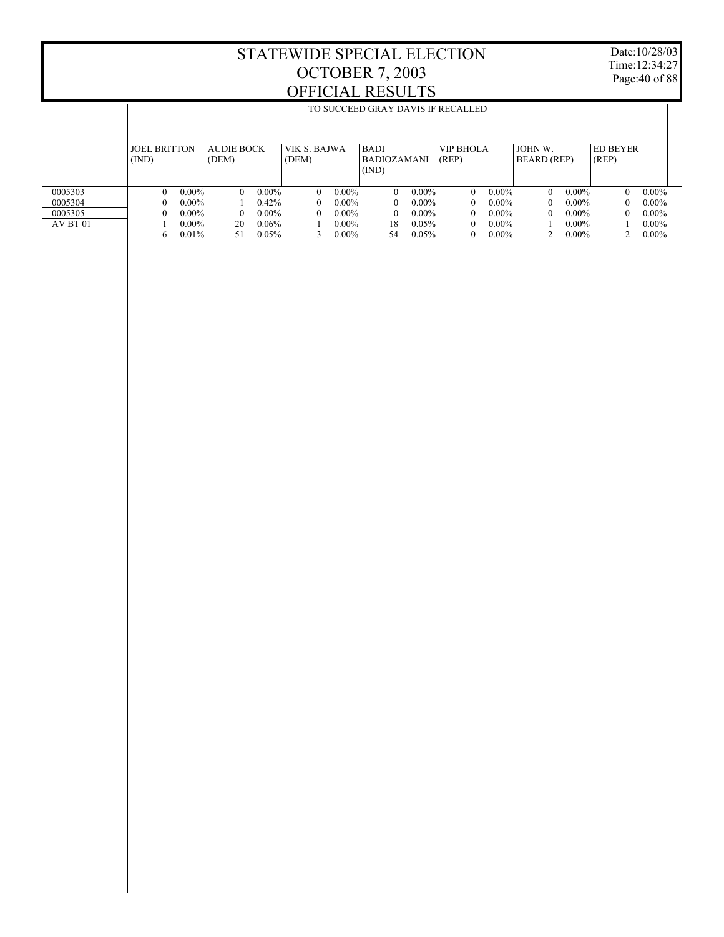Date:10/28/03 Time:12:34:27 Page:40 of 88

|          |                     |          |                   |          |              |          |                    |          | TO SUCCEED GRAY DAVIS IF RECALLED |          |             |          |                 |          |
|----------|---------------------|----------|-------------------|----------|--------------|----------|--------------------|----------|-----------------------------------|----------|-------------|----------|-----------------|----------|
|          |                     |          |                   |          |              |          |                    |          |                                   |          |             |          |                 |          |
|          | <b>JOEL BRITTON</b> |          | <b>AUDIE BOCK</b> |          | VIK S. BAJWA |          | <b>BADI</b>        |          | <b>VIP BHOLA</b>                  |          | JOHN W.     |          | <b>ED BEYER</b> |          |
|          | (IND)               |          | (DEM)             |          | (DEM)        |          | <b>BADIOZAMANI</b> |          | (REP)                             |          | BEARD (REP) |          | (REP)           |          |
|          |                     |          |                   |          |              |          | (IND)              |          |                                   |          |             |          |                 |          |
| 0005303  | $\theta$            | $0.00\%$ | $\Omega$          | $0.00\%$ | $\Omega$     | $0.00\%$ | $\Omega$           | $0.00\%$ | $\Omega$                          | $0.00\%$ | $\Omega$    | $0.00\%$ | $\theta$        | $0.00\%$ |
| 0005304  | 0                   | $0.00\%$ |                   | $0.42\%$ | $\theta$     | $0.00\%$ | $\Omega$           | $0.00\%$ | $\Omega$                          | $0.00\%$ | $\Omega$    | $0.00\%$ | $\Omega$        | $0.00\%$ |
| 0005305  | 0                   | $0.00\%$ | 0                 | $0.00\%$ | 0            | $0.00\%$ | $\Omega$           | $0.00\%$ | $\Omega$                          | $0.00\%$ | $\Omega$    | $0.00\%$ | 0               | $0.00\%$ |
| AV BT 01 |                     | $0.00\%$ | 20                | 0.06%    |              | $0.00\%$ | 18                 | 0.05%    | $\Omega$                          | $0.00\%$ |             | $0.00\%$ |                 | $0.00\%$ |
|          | 6                   | 0.01%    | 51                | 0.05%    |              | $0.00\%$ | 54                 | 0.05%    | $\Omega$                          | $0.00\%$ |             | $0.00\%$ |                 | $0.00\%$ |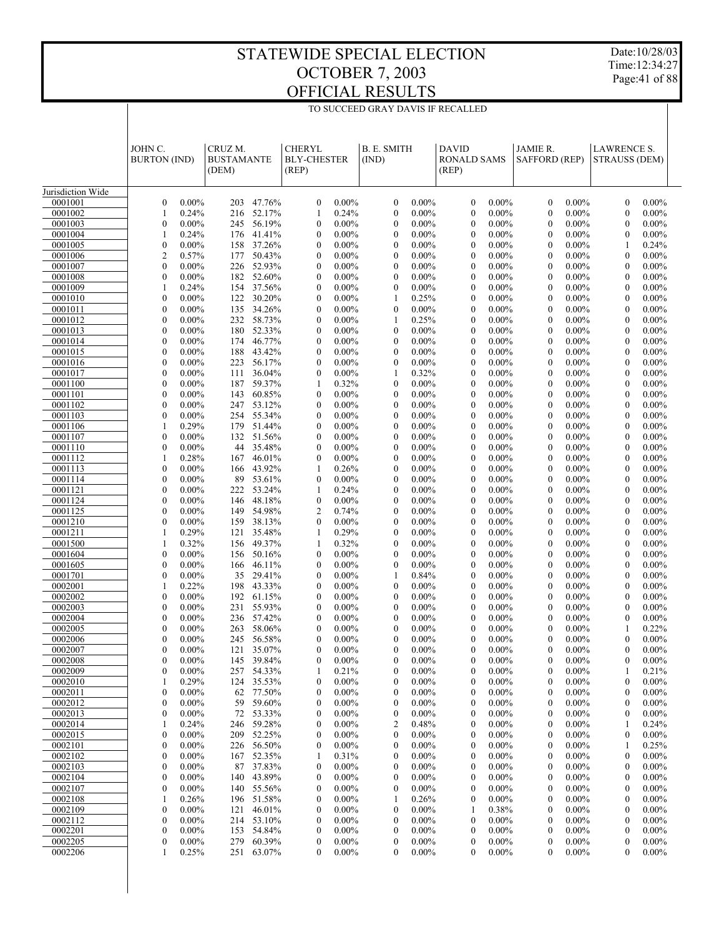Date:10/28/03 Time:12:34:27 Page:41 of 88

|                    |                                      |                      |                   |                      |                                      |                      | TO SUCCEED GRAY DAVIS IF RECALLED           |                      |                              |                      |                              |                      |                                      |                      |  |
|--------------------|--------------------------------------|----------------------|-------------------|----------------------|--------------------------------------|----------------------|---------------------------------------------|----------------------|------------------------------|----------------------|------------------------------|----------------------|--------------------------------------|----------------------|--|
|                    |                                      |                      |                   |                      |                                      |                      |                                             |                      |                              |                      |                              |                      |                                      |                      |  |
|                    | JOHN C.                              |                      | CRUZ M.           |                      | <b>CHERYL</b>                        |                      | B. E. SMITH                                 |                      | <b>DAVID</b>                 |                      | JAMIE R.                     |                      | <b>LAWRENCE S.</b>                   |                      |  |
|                    | <b>BURTON</b> (IND)                  |                      | <b>BUSTAMANTE</b> |                      | <b>BLY-CHESTER</b>                   |                      | (IND)                                       |                      | <b>RONALD SAMS</b>           |                      | <b>SAFFORD (REP)</b>         |                      | <b>STRAUSS (DEM)</b>                 |                      |  |
|                    |                                      |                      | (DEM)             |                      | (REP)                                |                      |                                             |                      | (REP)                        |                      |                              |                      |                                      |                      |  |
| Jurisdiction Wide  |                                      |                      |                   |                      |                                      |                      |                                             |                      |                              |                      |                              |                      |                                      |                      |  |
| 0001001            | $\boldsymbol{0}$                     | 0.00%                |                   | 203 47.76%           | $\boldsymbol{0}$                     | $0.00\%$             | $\boldsymbol{0}$                            | $0.00\%$             | $\boldsymbol{0}$             | $0.00\%$             | $\mathbf{0}$                 | $0.00\%$             | $\boldsymbol{0}$                     | $0.00\%$             |  |
| 0001002            | 1                                    | 0.24%                |                   | 216 52.17%           | 1                                    | 0.24%                | $\boldsymbol{0}$                            | $0.00\%$             | $\mathbf{0}$                 | $0.00\%$             | $\mathbf{0}$                 | $0.00\%$             | $\mathbf{0}$                         | $0.00\%$             |  |
| 0001003            | $\boldsymbol{0}$                     | $0.00\%$             | 245               | 56.19%<br>41.41%     | $\boldsymbol{0}$<br>$\mathbf{0}$     | $0.00\%$<br>$0.00\%$ | $\boldsymbol{0}$<br>$\boldsymbol{0}$        | $0.00\%$<br>$0.00\%$ | $\mathbf{0}$<br>$\mathbf{0}$ | $0.00\%$<br>$0.00\%$ | $\mathbf{0}$<br>$\mathbf{0}$ | $0.00\%$<br>$0.00\%$ | $\boldsymbol{0}$                     | $0.00\%$             |  |
| 0001004<br>0001005 | 1<br>$\boldsymbol{0}$                | 0.24%<br>$0.00\%$    | 176<br>158        | 37.26%               | $\boldsymbol{0}$                     | $0.00\%$             | $\boldsymbol{0}$                            | $0.00\%$             | $\mathbf{0}$                 | $0.00\%$             | $\mathbf{0}$                 | $0.00\%$             | $\boldsymbol{0}$<br>1                | $0.00\%$<br>0.24%    |  |
| 0001006            | $\overline{c}$                       | 0.57%                | 177               | 50.43%               | $\mathbf{0}$                         | $0.00\%$             | $\boldsymbol{0}$                            | $0.00\%$             | $\mathbf{0}$                 | $0.00\%$             | $\mathbf{0}$                 | $0.00\%$             | $\mathbf{0}$                         | $0.00\%$             |  |
| 0001007            | $\boldsymbol{0}$                     | 0.00%                | 226               | 52.93%               | $\boldsymbol{0}$                     | $0.00\%$             | $\boldsymbol{0}$                            | $0.00\%$             | $\mathbf{0}$                 | $0.00\%$             | $\mathbf{0}$                 | $0.00\%$             | $\boldsymbol{0}$                     | $0.00\%$             |  |
| 0001008<br>0001009 | $\boldsymbol{0}$<br>1                | 0.00%<br>0.24%       | 154               | 182 52.60%<br>37.56% | $\boldsymbol{0}$<br>$\boldsymbol{0}$ | $0.00\%$<br>$0.00\%$ | $\boldsymbol{0}$<br>$\boldsymbol{0}$        | $0.00\%$<br>$0.00\%$ | $\mathbf{0}$<br>$\mathbf{0}$ | $0.00\%$<br>$0.00\%$ | $\mathbf{0}$<br>$\mathbf{0}$ | $0.00\%$<br>$0.00\%$ | $\mathbf{0}$<br>$\boldsymbol{0}$     | $0.00\%$<br>$0.00\%$ |  |
| 0001010            | $\boldsymbol{0}$                     | 0.00%                | 122               | 30.20%               | $\mathbf{0}$                         | $0.00\%$             | 1                                           | 0.25%                | $\mathbf{0}$                 | $0.00\%$             | $\mathbf{0}$                 | $0.00\%$             | $\mathbf{0}$                         | $0.00\%$             |  |
| 0001011            | $\boldsymbol{0}$                     | 0.00%                | 135               | 34.26%               | $\boldsymbol{0}$                     | $0.00\%$             | $\boldsymbol{0}$                            | $0.00\%$             | $\mathbf{0}$                 | $0.00\%$             | $\mathbf{0}$                 | $0.00\%$             | $\boldsymbol{0}$                     | $0.00\%$             |  |
| 0001012            | $\mathbf{0}$                         | 0.00%                |                   | 232 58.73%           | $\mathbf{0}$                         | $0.00\%$             | 1                                           | 0.25%                | $\mathbf{0}$                 | $0.00\%$             | $\mathbf{0}$                 | $0.00\%$             | $\mathbf{0}$                         | $0.00\%$             |  |
| 0001013<br>0001014 | $\boldsymbol{0}$<br>$\mathbf{0}$     | $0.00\%$<br>$0.00\%$ | 180<br>174        | 52.33%<br>46.77%     | $\boldsymbol{0}$<br>$\boldsymbol{0}$ | $0.00\%$<br>$0.00\%$ | $\boldsymbol{0}$<br>$\boldsymbol{0}$        | $0.00\%$<br>$0.00\%$ | $\mathbf{0}$<br>$\mathbf{0}$ | $0.00\%$<br>$0.00\%$ | $\mathbf{0}$<br>$\mathbf{0}$ | $0.00\%$<br>$0.00\%$ | $\boldsymbol{0}$<br>$\mathbf{0}$     | $0.00\%$<br>$0.00\%$ |  |
| 0001015            | $\boldsymbol{0}$                     | $0.00\%$             | 188               | 43.42%               | $\boldsymbol{0}$                     | $0.00\%$             | $\boldsymbol{0}$                            | $0.00\%$             | $\mathbf{0}$                 | $0.00\%$             | $\mathbf{0}$                 | $0.00\%$             | $\boldsymbol{0}$                     | $0.00\%$             |  |
| 0001016            | $\boldsymbol{0}$                     | $0.00\%$             | 223               | 56.17%               | $\mathbf{0}$                         | $0.00\%$             | $\boldsymbol{0}$                            | $0.00\%$             | $\mathbf{0}$                 | $0.00\%$             | $\mathbf{0}$                 | $0.00\%$             | $\mathbf{0}$                         | $0.00\%$             |  |
| 0001017            | $\boldsymbol{0}$                     | $0.00\%$             | 111               | 36.04%               | $\boldsymbol{0}$                     | $0.00\%$             | 1                                           | 0.32%                | $\mathbf{0}$                 | $0.00\%$             | $\mathbf{0}$                 | $0.00\%$             | $\boldsymbol{0}$                     | $0.00\%$             |  |
| 0001100<br>0001101 | $\boldsymbol{0}$<br>$\boldsymbol{0}$ | $0.00\%$<br>$0.00\%$ | 187<br>143        | 59.37%<br>60.85%     | 1<br>$\boldsymbol{0}$                | 0.32%<br>$0.00\%$    | $\boldsymbol{0}$<br>$\boldsymbol{0}$        | $0.00\%$<br>$0.00\%$ | $\mathbf{0}$<br>$\mathbf{0}$ | $0.00\%$<br>$0.00\%$ | $\mathbf{0}$<br>$\mathbf{0}$ | $0.00\%$<br>$0.00\%$ | $\mathbf{0}$<br>$\boldsymbol{0}$     | $0.00\%$<br>$0.00\%$ |  |
| 0001102            | $\mathbf{0}$                         | $0.00\%$             | 247               | 53.12%               | $\boldsymbol{0}$                     | $0.00\%$             | $\boldsymbol{0}$                            | $0.00\%$             | $\mathbf{0}$                 | $0.00\%$             | $\mathbf{0}$                 | $0.00\%$             | $\mathbf{0}$                         | $0.00\%$             |  |
| 0001103            | $\boldsymbol{0}$                     | $0.00\%$             | 254               | 55.34%               | $\boldsymbol{0}$                     | $0.00\%$             | $\boldsymbol{0}$                            | $0.00\%$             | $\mathbf{0}$                 | $0.00\%$             | $\mathbf{0}$                 | $0.00\%$             | $\boldsymbol{0}$                     | $0.00\%$             |  |
| 0001106            | 1                                    | 0.29%                | 179               | 51.44%               | $\mathbf{0}$                         | $0.00\%$             | $\boldsymbol{0}$                            | $0.00\%$             | $\mathbf{0}$                 | $0.00\%$             | $\mathbf{0}$                 | $0.00\%$             | $\mathbf{0}$                         | $0.00\%$             |  |
| 0001107<br>0001110 | $\boldsymbol{0}$<br>$\boldsymbol{0}$ | $0.00\%$<br>$0.00\%$ | 132<br>44         | 51.56%<br>35.48%     | $\boldsymbol{0}$<br>$\mathbf{0}$     | $0.00\%$<br>$0.00\%$ | $\boldsymbol{0}$<br>$\boldsymbol{0}$        | $0.00\%$<br>$0.00\%$ | $\mathbf{0}$<br>$\mathbf{0}$ | $0.00\%$<br>$0.00\%$ | $\mathbf{0}$<br>$\mathbf{0}$ | $0.00\%$<br>$0.00\%$ | $\boldsymbol{0}$<br>$\mathbf{0}$     | $0.00\%$<br>$0.00\%$ |  |
| 0001112            | 1                                    | 0.28%                | 167               | 46.01%               | $\boldsymbol{0}$                     | $0.00\%$             | $\boldsymbol{0}$                            | $0.00\%$             | $\mathbf{0}$                 | $0.00\%$             | $\mathbf{0}$                 | $0.00\%$             | $\boldsymbol{0}$                     | $0.00\%$             |  |
| 0001113            | $\boldsymbol{0}$                     | $0.00\%$             | 166               | 43.92%               | 1                                    | 0.26%                | $\boldsymbol{0}$                            | $0.00\%$             | $\mathbf{0}$                 | $0.00\%$             | $\mathbf{0}$                 | $0.00\%$             | $\mathbf{0}$                         | $0.00\%$             |  |
| 0001114            | $\boldsymbol{0}$                     | $0.00\%$             | 89                | 53.61%               | $\boldsymbol{0}$                     | $0.00\%$             | $\boldsymbol{0}$                            | $0.00\%$             | $\mathbf{0}$                 | $0.00\%$             | $\mathbf{0}$                 | $0.00\%$             | $\boldsymbol{0}$                     | $0.00\%$             |  |
| 0001121<br>0001124 | $\mathbf{0}$<br>$\boldsymbol{0}$     | $0.00\%$<br>$0.00\%$ | 222<br>146        | 53.24%<br>48.18%     | 1<br>$\boldsymbol{0}$                | 0.24%<br>$0.00\%$    | $\boldsymbol{0}$<br>$\boldsymbol{0}$        | $0.00\%$<br>$0.00\%$ | $\mathbf{0}$<br>$\mathbf{0}$ | $0.00\%$<br>$0.00\%$ | $\mathbf{0}$<br>$\mathbf{0}$ | $0.00\%$<br>$0.00\%$ | $\mathbf{0}$<br>$\boldsymbol{0}$     | $0.00\%$<br>$0.00\%$ |  |
| 0001125            | $\mathbf{0}$                         | $0.00\%$             | 149               | 54.98%               | $\overline{c}$                       | 0.74%                | $\boldsymbol{0}$                            | $0.00\%$             | $\mathbf{0}$                 | $0.00\%$             | $\mathbf{0}$                 | $0.00\%$             | $\mathbf{0}$                         | $0.00\%$             |  |
| 0001210            | $\boldsymbol{0}$                     | $0.00\%$             | 159               | 38.13%               | $\boldsymbol{0}$                     | $0.00\%$             | $\boldsymbol{0}$                            | $0.00\%$             | $\mathbf{0}$                 | $0.00\%$             | $\mathbf{0}$                 | $0.00\%$             | $\boldsymbol{0}$                     | $0.00\%$             |  |
| 0001211            | 1                                    | 0.29%                | 121               | 35.48%               | 1                                    | 0.29%                | $\boldsymbol{0}$                            | $0.00\%$             | $\mathbf{0}$                 | $0.00\%$             | $\mathbf{0}$                 | $0.00\%$             | $\mathbf{0}$                         | $0.00\%$             |  |
| 0001500<br>0001604 | 1<br>$\boldsymbol{0}$                | 0.32%<br>0.00%       | 156<br>156        | 49.37%<br>50.16%     | 1<br>$\boldsymbol{0}$                | 0.32%<br>$0.00\%$    | $\boldsymbol{0}$<br>$\boldsymbol{0}$        | $0.00\%$<br>$0.00\%$ | $\mathbf{0}$<br>$\mathbf{0}$ | $0.00\%$<br>$0.00\%$ | $\mathbf{0}$<br>$\mathbf{0}$ | $0.00\%$<br>$0.00\%$ | $\boldsymbol{0}$<br>$\mathbf{0}$     | $0.00\%$<br>$0.00\%$ |  |
| 0001605            | $\boldsymbol{0}$                     | 0.00%                | 166               | 46.11%               | $\boldsymbol{0}$                     | $0.00\%$             | $\boldsymbol{0}$                            | $0.00\%$             | $\mathbf{0}$                 | $0.00\%$             | $\mathbf{0}$                 | $0.00\%$             | $\boldsymbol{0}$                     | $0.00\%$             |  |
| 0001701            | $\boldsymbol{0}$                     | 0.00%                | 35                | 29.41%               | $\boldsymbol{0}$                     | $0.00\%$             | 1                                           | 0.84%                | $\mathbf{0}$                 | $0.00\%$             | $\mathbf{0}$                 | $0.00\%$             | $\mathbf{0}$                         | $0.00\%$             |  |
| 0002001            | 1                                    | 0.22%                | 198               | 43.33%               | $\boldsymbol{0}$                     | $0.00\%$             | $\boldsymbol{0}$                            | $0.00\%$             | $\mathbf{0}$                 | $0.00\%$             | $\mathbf{0}$                 | $0.00\%$             | $\boldsymbol{0}$                     | $0.00\%$             |  |
| 0002002<br>0002003 | $\boldsymbol{0}$<br>$\boldsymbol{0}$ | 0.00%<br>$0.00\%$    | 192<br>231        | 61.15%<br>55.93%     | $\mathbf{0}$<br>$\boldsymbol{0}$     | $0.00\%$<br>$0.00\%$ | $\boldsymbol{0}$<br>$\boldsymbol{0}$        | $0.00\%$<br>$0.00\%$ | $\mathbf{0}$<br>$\mathbf{0}$ | $0.00\%$<br>$0.00\%$ | $\mathbf{0}$<br>$\mathbf{0}$ | $0.00\%$<br>$0.00\%$ | $\mathbf{0}$<br>$\boldsymbol{0}$     | $0.00\%$<br>$0.00\%$ |  |
| 0002004            | $\mathbf{0}$                         | $0.00\%$             |                   | 236 57.42%           | $\mathbf{0}$                         | $0.00\%$             | $\mathbf{0}$                                | $0.00\%$             | $\mathbf{0}$                 | $0.00\%$             | $\Omega$                     | $0.00\%$             | $\boldsymbol{0}$                     | $0.00\%$             |  |
| 0002005            | $\mathbf{0}$                         | $0.00\%$             | 263               | 58.06%               | $\mathbf{0}$                         | $0.00\%$             | $\mathbf{0}$                                | $0.00\%$             | $\theta$                     | $0.00\%$             | $\Omega$                     | $0.00\%$             | 1                                    | 0.22%                |  |
| 0002006            | $\boldsymbol{0}$                     | $0.00\%$             | 245               | 56.58%               | $\boldsymbol{0}$                     | $0.00\%$             | $\boldsymbol{0}$                            | $0.00\%$             | $\mathbf{0}$                 | $0.00\%$             | $\mathbf{0}$                 | $0.00\%$             | 0                                    | $0.00\%$             |  |
| 0002007            | $\boldsymbol{0}$                     | $0.00\%$             | 121               | 35.07%<br>39.84%     | $\boldsymbol{0}$                     | $0.00\%$             | $\boldsymbol{0}$                            | $0.00\%$             | 0                            | $0.00\%$             | 0                            | $0.00\%$             | $\boldsymbol{0}$                     | $0.00\%$             |  |
| 0002008<br>0002009 | $\mathbf{0}$<br>$\boldsymbol{0}$     | $0.00\%$<br>$0.00\%$ | 145<br>257        | 54.33%               | $\boldsymbol{0}$<br>1                | $0.00\%$<br>0.21%    | $\boldsymbol{0}$<br>$\boldsymbol{0}$        | $0.00\%$<br>$0.00\%$ | 0<br>$\boldsymbol{0}$        | $0.00\%$<br>$0.00\%$ | 0<br>0                       | $0.00\%$<br>$0.00\%$ | 0<br>1                               | $0.00\%$<br>0.21%    |  |
| 0002010            | 1                                    | 0.29%                | 124               | 35.53%               | $\boldsymbol{0}$                     | $0.00\%$             | $\boldsymbol{0}$                            | $0.00\%$             | $\bf{0}$                     | $0.00\%$             | 0                            | $0.00\%$             | $\boldsymbol{0}$                     | $0.00\%$             |  |
| 0002011            | $\boldsymbol{0}$                     | $0.00\%$             | 62                | 77.50%               | $\boldsymbol{0}$                     | $0.00\%$             | $\boldsymbol{0}$                            | $0.00\%$             | $\boldsymbol{0}$             | $0.00\%$             | 0                            | $0.00\%$             | $\boldsymbol{0}$                     | $0.00\%$             |  |
| 0002012            | $\boldsymbol{0}$                     | $0.00\%$             | 59                | 59.60%               | $\boldsymbol{0}$                     | $0.00\%$             | $\boldsymbol{0}$                            | $0.00\%$             | $\bf{0}$                     | $0.00\%$             | 0                            | $0.00\%$             | $\boldsymbol{0}$                     | $0.00\%$             |  |
| 0002013<br>0002014 | $\boldsymbol{0}$<br>1                | $0.00\%$<br>0.24%    | 72<br>246         | 53.33%<br>59.28%     | $\boldsymbol{0}$<br>$\boldsymbol{0}$ | $0.00\%$<br>$0.00\%$ | $\boldsymbol{0}$<br>$\overline{\mathbf{c}}$ | $0.00\%$<br>0.48%    | $\boldsymbol{0}$<br>$\bf{0}$ | $0.00\%$<br>$0.00\%$ | 0<br>0                       | $0.00\%$<br>$0.00\%$ | $\boldsymbol{0}$<br>1                | $0.00\%$<br>0.24%    |  |
| 0002015            | $\boldsymbol{0}$                     | $0.00\%$             | 209               | 52.25%               | $\boldsymbol{0}$                     | $0.00\%$             | $\boldsymbol{0}$                            | $0.00\%$             | $\boldsymbol{0}$             | $0.00\%$             | 0                            | $0.00\%$             | $\boldsymbol{0}$                     | $0.00\%$             |  |
| 0002101            | $\boldsymbol{0}$                     | $0.00\%$             | 226               | 56.50%               | $\boldsymbol{0}$                     | $0.00\%$             | $\boldsymbol{0}$                            | $0.00\%$             | $\bf{0}$                     | $0.00\%$             | 0                            | $0.00\%$             | 1                                    | 0.25%                |  |
| 0002102            | $\boldsymbol{0}$                     | $0.00\%$             | 167               | 52.35%               | 1                                    | 0.31%                | $\boldsymbol{0}$                            | $0.00\%$             | $\mathbf{0}$                 | $0.00\%$             | 0                            | $0.00\%$             | $\boldsymbol{0}$                     | $0.00\%$             |  |
| 0002103<br>0002104 | $\boldsymbol{0}$<br>$\boldsymbol{0}$ | $0.00\%$<br>$0.00\%$ | 87<br>140         | 37.83%<br>43.89%     | $\boldsymbol{0}$<br>$\boldsymbol{0}$ | $0.00\%$<br>$0.00\%$ | $\boldsymbol{0}$<br>$\boldsymbol{0}$        | $0.00\%$<br>$0.00\%$ | $\bf{0}$<br>$\mathbf{0}$     | $0.00\%$<br>$0.00\%$ | 0<br>0                       | $0.00\%$<br>$0.00\%$ | $\boldsymbol{0}$<br>$\boldsymbol{0}$ | $0.00\%$<br>$0.00\%$ |  |
| 0002107            | $\boldsymbol{0}$                     | $0.00\%$             | 140               | 55.56%               | $\boldsymbol{0}$                     | $0.00\%$             | $\boldsymbol{0}$                            | $0.00\%$             | $\bf{0}$                     | $0.00\%$             | 0                            | $0.00\%$             | $\boldsymbol{0}$                     | $0.00\%$             |  |
| 0002108            | 1                                    | 0.26%                | 196               | 51.58%               | $\boldsymbol{0}$                     | $0.00\%$             | 1                                           | 0.26%                | $\boldsymbol{0}$             | $0.00\%$             | 0                            | $0.00\%$             | $\boldsymbol{0}$                     | $0.00\%$             |  |
| 0002109            | $\boldsymbol{0}$                     | $0.00\%$             | 121               | 46.01%               | $\boldsymbol{0}$                     | $0.00\%$             | $\boldsymbol{0}$                            | $0.00\%$             | 1                            | 0.38%                | 0                            | $0.00\%$             | $\boldsymbol{0}$                     | $0.00\%$             |  |
| 0002112            | $\boldsymbol{0}$                     | $0.00\%$             | 214               | 53.10%<br>54.84%     | $\boldsymbol{0}$                     | $0.00\%$             | $\boldsymbol{0}$                            | $0.00\%$             | $\mathbf{0}$                 | $0.00\%$             | 0                            | $0.00\%$             | $\boldsymbol{0}$                     | $0.00\%$             |  |
| 0002201<br>0002205 | $\boldsymbol{0}$<br>$\boldsymbol{0}$ | $0.00\%$<br>$0.00\%$ | 153<br>279        | 60.39%               | $\boldsymbol{0}$<br>$\boldsymbol{0}$ | $0.00\%$<br>$0.00\%$ | $\boldsymbol{0}$<br>$\boldsymbol{0}$        | $0.00\%$<br>$0.00\%$ | $\mathbf{0}$<br>$\mathbf{0}$ | $0.00\%$<br>$0.00\%$ | 0<br>0                       | $0.00\%$<br>$0.00\%$ | $\boldsymbol{0}$<br>$\boldsymbol{0}$ | $0.00\%$<br>$0.00\%$ |  |
| 0002206            | 1                                    | 0.25%                | 251               | 63.07%               | $\boldsymbol{0}$                     | $0.00\%$             | $\boldsymbol{0}$                            | $0.00\%$             | $\boldsymbol{0}$             | $0.00\%$             | 0                            | $0.00\%$             | $\boldsymbol{0}$                     | $0.00\%$             |  |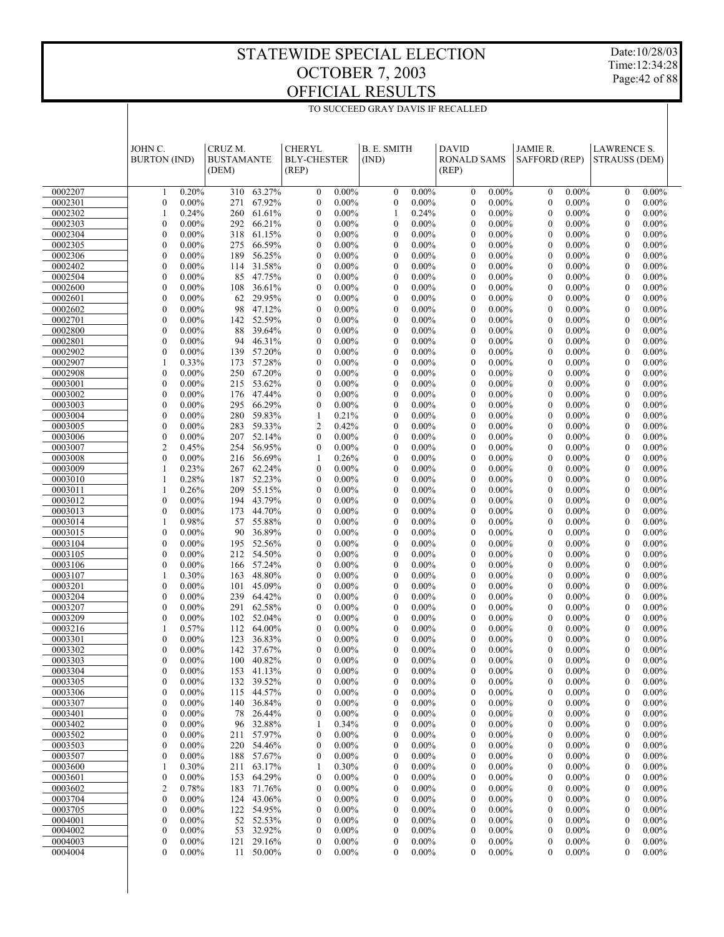$\overline{\phantom{a}}$ 

TO SUCCEED GRAY DAVIS IF RECALLED

Date:10/28/03 Time:12:34:28 Page:42 of 88

 $\overline{\phantom{a}}$ 

|                    | JOHN C.                                              | CRUZ M.           |                          | <b>CHERYL</b>                        |                      | <b>B. E. SMITH</b>                   |                      | <b>DAVID</b>                 |                      | JAMIE R.                             |                      | <b>LAWRENCE S.</b>                   |                      |  |
|--------------------|------------------------------------------------------|-------------------|--------------------------|--------------------------------------|----------------------|--------------------------------------|----------------------|------------------------------|----------------------|--------------------------------------|----------------------|--------------------------------------|----------------------|--|
|                    | <b>BURTON</b> (IND)                                  | <b>BUSTAMANTE</b> |                          | <b>BLY-CHESTER</b>                   |                      | (IND)                                |                      | <b>RONALD SAMS</b>           |                      | <b>SAFFORD (REP)</b>                 |                      | <b>STRAUSS (DEM)</b>                 |                      |  |
|                    |                                                      | (DEM)             |                          | (REP)                                |                      |                                      |                      | (REP)                        |                      |                                      |                      |                                      |                      |  |
| 0002207            | 0.20%<br>1                                           |                   | 310 63.27%               | $\boldsymbol{0}$                     | $0.00\%$             | $\mathbf{0}$                         | $0.00\%$             | $\mathbf{0}$                 | $0.00\%$             | $\mathbf{0}$                         | $0.00\%$             | $\mathbf{0}$                         | $0.00\%$             |  |
| 0002301            | $0.00\%$<br>$\mathbf{0}$                             |                   | 271 67.92%               | $\boldsymbol{0}$                     | $0.00\%$             | $\boldsymbol{0}$                     | $0.00\%$             | $\mathbf{0}$                 | $0.00\%$             | $\boldsymbol{0}$                     | $0.00\%$             | $\mathbf{0}$                         | $0.00\%$             |  |
| 0002302            | 1<br>0.24%                                           |                   | 260 61.61%               | $\boldsymbol{0}$                     | $0.00\%$             | 1                                    | 0.24%                | $\mathbf{0}$                 | $0.00\%$             | $\mathbf{0}$                         | $0.00\%$             | $\mathbf{0}$                         | $0.00\%$             |  |
| 0002303<br>0002304 | $0.00\%$<br>$\mathbf{0}$<br>$0.00\%$<br>$\mathbf{0}$ | 292               | 66.21%<br>318 61.15%     | $\boldsymbol{0}$<br>$\boldsymbol{0}$ | $0.00\%$<br>$0.00\%$ | $\mathbf{0}$<br>$\mathbf{0}$         | $0.00\%$<br>$0.00\%$ | $\mathbf{0}$<br>$\mathbf{0}$ | $0.00\%$<br>$0.00\%$ | $\mathbf{0}$<br>$\mathbf{0}$         | $0.00\%$<br>$0.00\%$ | $\mathbf{0}$<br>$\mathbf{0}$         | $0.00\%$<br>$0.00\%$ |  |
| 0002305            | $0.00\%$<br>$\mathbf{0}$                             | 275               | 66.59%                   | $\boldsymbol{0}$                     | $0.00\%$             | $\mathbf{0}$                         | $0.00\%$             | $\mathbf{0}$                 | $0.00\%$             | $\mathbf{0}$                         | $0.00\%$             | $\mathbf{0}$                         | $0.00\%$             |  |
| 0002306            | $0.00\%$<br>$\mathbf{0}$                             | 189               | 56.25%                   | $\boldsymbol{0}$                     | $0.00\%$             | $\mathbf{0}$                         | $0.00\%$             | $\mathbf{0}$                 | $0.00\%$             | $\mathbf{0}$                         | $0.00\%$             | $\mathbf{0}$                         | $0.00\%$             |  |
| 0002402            | $0.00\%$<br>$\mathbf{0}$                             | 114               | 31.58%                   | $\boldsymbol{0}$                     | $0.00\%$             | $\mathbf{0}$                         | $0.00\%$             | $\mathbf{0}$                 | $0.00\%$             | $\mathbf{0}$                         | $0.00\%$             | $\mathbf{0}$                         | $0.00\%$             |  |
| 0002504            | $0.00\%$<br>$\mathbf{0}$                             |                   | 85 47.75%                | $\boldsymbol{0}$                     | $0.00\%$             | $\mathbf{0}$                         | $0.00\%$             | $\mathbf{0}$                 | $0.00\%$             | $\mathbf{0}$                         | $0.00\%$             | $\mathbf{0}$                         | $0.00\%$             |  |
| 0002600<br>0002601 | $0.00\%$<br>$\mathbf{0}$<br>$0.00\%$<br>$\mathbf{0}$ | 108               | 36.61%<br>62 29.95%      | $\boldsymbol{0}$                     | $0.00\%$<br>$0.00\%$ | $\mathbf{0}$<br>$\mathbf{0}$         | $0.00\%$             | $\mathbf{0}$<br>$\mathbf{0}$ | $0.00\%$<br>$0.00\%$ | $\mathbf{0}$<br>$\mathbf{0}$         | $0.00\%$             | $\mathbf{0}$<br>$\mathbf{0}$         | $0.00\%$             |  |
| 0002602            | $0.00\%$<br>$\mathbf{0}$                             | 98                | 47.12%                   | $\boldsymbol{0}$<br>$\boldsymbol{0}$ | $0.00\%$             | $\mathbf{0}$                         | $0.00\%$<br>$0.00\%$ | $\mathbf{0}$                 | $0.00\%$             | $\mathbf{0}$                         | $0.00\%$<br>$0.00\%$ | $\mathbf{0}$                         | $0.00\%$<br>$0.00\%$ |  |
| 0002701            | $0.00\%$<br>$\mathbf{0}$                             |                   | 142 52.59%               | $\boldsymbol{0}$                     | $0.00\%$             | $\mathbf{0}$                         | $0.00\%$             | $\mathbf{0}$                 | $0.00\%$             | $\mathbf{0}$                         | $0.00\%$             | $\mathbf{0}$                         | $0.00\%$             |  |
| 0002800            | $0.00\%$<br>$\mathbf{0}$                             | 88                | 39.64%                   | $\boldsymbol{0}$                     | $0.00\%$             | $\mathbf{0}$                         | $0.00\%$             | $\mathbf{0}$                 | $0.00\%$             | $\mathbf{0}$                         | $0.00\%$             | $\mathbf{0}$                         | $0.00\%$             |  |
| 0002801            | $0.00\%$<br>$\mathbf{0}$                             | 94                | 46.31%                   | $\boldsymbol{0}$                     | $0.00\%$             | $\mathbf{0}$                         | $0.00\%$             | $\mathbf{0}$                 | $0.00\%$             | $\mathbf{0}$                         | $0.00\%$             | $\mathbf{0}$                         | $0.00\%$             |  |
| 0002902            | $\mathbf{0}$<br>$0.00\%$                             | 139               | 57.20%                   | $\boldsymbol{0}$                     | $0.00\%$             | $\mathbf{0}$                         | $0.00\%$             | $\mathbf{0}$                 | $0.00\%$             | $\mathbf{0}$                         | $0.00\%$             | $\mathbf{0}$                         | $0.00\%$             |  |
| 0002907<br>0002908 | 0.33%<br>1<br>$0.00\%$<br>$\mathbf{0}$               |                   | 173 57.28%<br>250 67.20% | $\boldsymbol{0}$<br>$\boldsymbol{0}$ | $0.00\%$<br>$0.00\%$ | $\mathbf{0}$<br>$\mathbf{0}$         | $0.00\%$<br>$0.00\%$ | $\mathbf{0}$<br>$\mathbf{0}$ | $0.00\%$<br>$0.00\%$ | $\mathbf{0}$<br>$\mathbf{0}$         | $0.00\%$<br>$0.00\%$ | $\mathbf{0}$<br>$\mathbf{0}$         | $0.00\%$<br>$0.00\%$ |  |
| 0003001            | $0.00\%$<br>$\mathbf{0}$                             |                   | 215 53.62%               | $\boldsymbol{0}$                     | $0.00\%$             | $\mathbf{0}$                         | $0.00\%$             | $\mathbf{0}$                 | $0.00\%$             | $\mathbf{0}$                         | $0.00\%$             | $\mathbf{0}$                         | $0.00\%$             |  |
| 0003002            | $0.00\%$<br>$\mathbf{0}$                             |                   | 176 47.44%               | $\boldsymbol{0}$                     | $0.00\%$             | $\mathbf{0}$                         | $0.00\%$             | $\mathbf{0}$                 | $0.00\%$             | $\mathbf{0}$                         | $0.00\%$             | $\mathbf{0}$                         | $0.00\%$             |  |
| 0003003            | $0.00\%$<br>$\mathbf{0}$                             |                   | 295 66.29%               | $\boldsymbol{0}$                     | $0.00\%$             | $\mathbf{0}$                         | $0.00\%$             | $\mathbf{0}$                 | $0.00\%$             | $\mathbf{0}$                         | $0.00\%$             | $\mathbf{0}$                         | $0.00\%$             |  |
| 0003004            | $0.00\%$<br>$\mathbf{0}$                             |                   | 280 59.83%               | 1                                    | 0.21%                | $\mathbf{0}$                         | $0.00\%$             | $\mathbf{0}$                 | $0.00\%$             | $\mathbf{0}$                         | $0.00\%$             | $\mathbf{0}$                         | $0.00\%$             |  |
| 0003005            | $0.00\%$<br>$\mathbf{0}$                             |                   | 283 59.33%               | 2                                    | 0.42%                | $\mathbf{0}$                         | $0.00\%$             | $\mathbf{0}$                 | $0.00\%$             | $\mathbf{0}$                         | $0.00\%$             | $\mathbf{0}$                         | $0.00\%$             |  |
| 0003006<br>0003007 | $0.00\%$<br>$\mathbf{0}$<br>$\overline{c}$<br>0.45%  | 207               | 52.14%<br>254 56.95%     | $\boldsymbol{0}$<br>$\boldsymbol{0}$ | $0.00\%$<br>$0.00\%$ | $\mathbf{0}$<br>$\mathbf{0}$         | $0.00\%$<br>$0.00\%$ | $\mathbf{0}$<br>$\mathbf{0}$ | $0.00\%$<br>$0.00\%$ | $\mathbf{0}$<br>$\mathbf{0}$         | $0.00\%$<br>$0.00\%$ | $\mathbf{0}$<br>$\mathbf{0}$         | $0.00\%$<br>$0.00\%$ |  |
| 0003008            | $\mathbf{0}$<br>$0.00\%$                             |                   | 216 56.69%               | 1                                    | 0.26%                | $\mathbf{0}$                         | $0.00\%$             | $\mathbf{0}$                 | $0.00\%$             | $\mathbf{0}$                         | $0.00\%$             | $\mathbf{0}$                         | $0.00\%$             |  |
| 0003009            | 0.23%<br>1                                           |                   | 267 62.24%               | $\boldsymbol{0}$                     | $0.00\%$             | $\mathbf{0}$                         | $0.00\%$             | $\mathbf{0}$                 | $0.00\%$             | $\mathbf{0}$                         | $0.00\%$             | $\mathbf{0}$                         | $0.00\%$             |  |
| 0003010            | 0.28%<br>1                                           |                   | 187 52.23%               | $\boldsymbol{0}$                     | $0.00\%$             | $\mathbf{0}$                         | $0.00\%$             | $\mathbf{0}$                 | $0.00\%$             | $\mathbf{0}$                         | $0.00\%$             | $\mathbf{0}$                         | $0.00\%$             |  |
| 0003011            | 0.26%<br>1                                           |                   | 209 55.15%               | $\boldsymbol{0}$                     | $0.00\%$             | $\mathbf{0}$                         | $0.00\%$             | $\mathbf{0}$                 | $0.00\%$             | $\mathbf{0}$                         | $0.00\%$             | $\mathbf{0}$                         | $0.00\%$             |  |
| 0003012            | $\mathbf{0}$<br>$0.00\%$                             |                   | 194 43.79%               | $\boldsymbol{0}$                     | $0.00\%$             | $\mathbf{0}$                         | $0.00\%$             | $\mathbf{0}$                 | $0.00\%$             | $\mathbf{0}$                         | $0.00\%$             | $\mathbf{0}$                         | $0.00\%$             |  |
| 0003013<br>0003014 | $0.00\%$<br>$\mathbf{0}$<br>0.98%<br>1               | 57                | 173 44.70%<br>55.88%     | $\boldsymbol{0}$<br>$\boldsymbol{0}$ | $0.00\%$<br>$0.00\%$ | $\mathbf{0}$<br>$\mathbf{0}$         | $0.00\%$<br>$0.00\%$ | $\mathbf{0}$<br>$\mathbf{0}$ | $0.00\%$<br>$0.00\%$ | $\mathbf{0}$<br>$\mathbf{0}$         | $0.00\%$<br>$0.00\%$ | $\mathbf{0}$<br>$\mathbf{0}$         | $0.00\%$<br>$0.00\%$ |  |
| 0003015            | $0.00\%$<br>$\mathbf{0}$                             | 90                | 36.89%                   | $\boldsymbol{0}$                     | $0.00\%$             | $\mathbf{0}$                         | $0.00\%$             | $\mathbf{0}$                 | $0.00\%$             | $\mathbf{0}$                         | $0.00\%$             | $\mathbf{0}$                         | $0.00\%$             |  |
| 0003104            | $0.00\%$<br>$\mathbf{0}$                             | 195               | 52.56%                   | $\boldsymbol{0}$                     | $0.00\%$             | $\mathbf{0}$                         | $0.00\%$             | $\mathbf{0}$                 | $0.00\%$             | $\mathbf{0}$                         | $0.00\%$             | $\mathbf{0}$                         | $0.00\%$             |  |
| 0003105            | $0.00\%$<br>$\mathbf{0}$                             |                   | 212 54.50%               | $\boldsymbol{0}$                     | $0.00\%$             | $\mathbf{0}$                         | $0.00\%$             | $\mathbf{0}$                 | $0.00\%$             | $\mathbf{0}$                         | $0.00\%$             | $\mathbf{0}$                         | $0.00\%$             |  |
| 0003106            | $\mathbf{0}$<br>$0.00\%$                             |                   | 166 57.24%               | $\boldsymbol{0}$                     | $0.00\%$             | $\mathbf{0}$                         | $0.00\%$             | $\mathbf{0}$                 | $0.00\%$             | $\mathbf{0}$                         | $0.00\%$             | $\mathbf{0}$                         | $0.00\%$             |  |
| 0003107<br>0003201 | 1<br>0.30%<br>$\mathbf{0}$<br>$0.00\%$               | 163<br>101        | 48.80%<br>45.09%         | $\boldsymbol{0}$<br>$\boldsymbol{0}$ | $0.00\%$<br>$0.00\%$ | $\mathbf{0}$<br>$\mathbf{0}$         | $0.00\%$<br>$0.00\%$ | $\mathbf{0}$<br>$\mathbf{0}$ | $0.00\%$<br>$0.00\%$ | $\mathbf{0}$<br>$\mathbf{0}$         | $0.00\%$<br>$0.00\%$ | $\mathbf{0}$<br>$\mathbf{0}$         | $0.00\%$<br>$0.00\%$ |  |
| 0003204            | $0.00\%$<br>$\mathbf{0}$                             |                   | 239 64.42%               | $\boldsymbol{0}$                     | $0.00\%$             | $\mathbf{0}$                         | $0.00\%$             | $\mathbf{0}$                 | $0.00\%$             | $\boldsymbol{0}$                     | $0.00\%$             | $\mathbf{0}$                         | $0.00\%$             |  |
| 0003207            | $\mathbf{0}$<br>$0.00\%$                             |                   | 291 62.58%               | $\boldsymbol{0}$                     | $0.00\%$             | $\mathbf{0}$                         | $0.00\%$             | $\mathbf{0}$                 | $0.00\%$             | $\mathbf{0}$                         | $0.00\%$             | $\mathbf{0}$                         | $0.00\%$             |  |
| 0003209            | $\mathbf{0}$<br>$0.00\%$                             |                   | 102 52.04%               | $\mathbf{0}$                         | $0.00\%$             | $\mathbf{0}$                         | $0.00\%$             | $\mathbf{0}$                 | $0.00\%$             | $\mathbf{0}$                         | $0.00\%$             | $\mathbf{0}$                         | $0.00\%$             |  |
| 0003216            | 1<br>0.57%                                           |                   | 112 64.00%               | $\mathbf{0}$                         | $0.00\%$             | $\overline{0}$                       | $0.00\%$             | $\mathbf{0}$                 | $0.00\%$             | $\mathbf{0}$                         | $0.00\%$             | $\mathbf{0}$                         | $0.00\%$             |  |
| 0003301            | $\overline{0}$<br>$0.00\%$<br>$\overline{0}$         |                   | 123 36.83%               | $\mathbf{0}$                         | $0.00\%$             | $\mathbf{0}$                         | $0.00\%$             | $\mathbf{0}$                 | $0.00\%$             | $\mathbf{0}$                         | $0.00\%$             | $\mathbf{0}$                         | $0.00\%$<br>$0.00\%$ |  |
| 0003302<br>0003303 | $0.00\%$<br>$0.00\%$<br>0                            |                   | 142 37.67%<br>100 40.82% | $\mathbf{0}$<br>0                    | 0.00%<br>$0.00\%$    | $\boldsymbol{0}$<br>0                | 0.00%<br>$0.00\%$    | 0<br>$\boldsymbol{0}$        | $0.00\%$<br>$0.00\%$ | $\boldsymbol{0}$<br>$\boldsymbol{0}$ | 0.00%<br>$0.00\%$    | $\overline{0}$<br>$\mathbf{0}$       | $0.00\%$             |  |
| 0003304            | $0.00\%$<br>$\theta$                                 | 153               | 41.13%                   | $\boldsymbol{0}$                     | $0.00\%$             | 0                                    | $0.00\%$             | $\boldsymbol{0}$             | $0.00\%$             | $\boldsymbol{0}$                     | $0.00\%$             | $\boldsymbol{0}$                     | $0.00\%$             |  |
| 0003305            | $0.00\%$<br>0                                        |                   | 132 39.52%               | $\boldsymbol{0}$                     | $0.00\%$             | $\boldsymbol{0}$                     | $0.00\%$             | $\boldsymbol{0}$             | $0.00\%$             | $\boldsymbol{0}$                     | $0.00\%$             | $\boldsymbol{0}$                     | $0.00\%$             |  |
| 0003306            | $0.00\%$<br>0                                        | 115               | 44.57%                   | $\boldsymbol{0}$                     | $0.00\%$             | 0                                    | $0.00\%$             | $\boldsymbol{0}$             | $0.00\%$             | $\boldsymbol{0}$                     | $0.00\%$             | $\boldsymbol{0}$                     | $0.00\%$             |  |
| 0003307            | $0.00\%$<br>$\theta$                                 | 140               | 36.84%                   | $\boldsymbol{0}$                     | $0.00\%$             | $\boldsymbol{0}$                     | $0.00\%$             | 0                            | $0.00\%$             | $\boldsymbol{0}$                     | $0.00\%$             | $\bf{0}$                             | $0.00\%$             |  |
| 0003401<br>0003402 | $0.00\%$<br>0<br>$\theta$                            | 78                | 26.44%<br>96 32.88%      | $\boldsymbol{0}$                     | $0.00\%$             | $\boldsymbol{0}$                     | $0.00\%$<br>$0.00\%$ | $\boldsymbol{0}$             | $0.00\%$             | $\boldsymbol{0}$                     | $0.00\%$             | $\boldsymbol{0}$                     | $0.00\%$             |  |
| 0003502            | $0.00\%$<br>$0.00\%$<br>0                            |                   | 211 57.97%               | 1<br>$\boldsymbol{0}$                | 0.34%<br>$0.00\%$    | $\boldsymbol{0}$<br>$\boldsymbol{0}$ | $0.00\%$             | 0<br>$\boldsymbol{0}$        | $0.00\%$<br>$0.00\%$ | $\boldsymbol{0}$<br>$\boldsymbol{0}$ | $0.00\%$<br>$0.00\%$ | $\boldsymbol{0}$<br>$\boldsymbol{0}$ | $0.00\%$<br>$0.00\%$ |  |
| 0003503            | $0.00\%$<br>$\theta$                                 |                   | 220 54.46%               | $\boldsymbol{0}$                     | $0.00\%$             | $\boldsymbol{0}$                     | $0.00\%$             | 0                            | $0.00\%$             | $\boldsymbol{0}$                     | $0.00\%$             | $\bf{0}$                             | $0.00\%$             |  |
| 0003507            | $0.00\%$<br>0                                        | 188               | 57.67%                   | $\boldsymbol{0}$                     | $0.00\%$             | $\boldsymbol{0}$                     | $0.00\%$             | $\boldsymbol{0}$             | $0.00\%$             | $\boldsymbol{0}$                     | $0.00\%$             | $\boldsymbol{0}$                     | $0.00\%$             |  |
| 0003600            | 0.30%<br>1                                           |                   | 211 63.17%               | 1                                    | 0.30%                | $\boldsymbol{0}$                     | $0.00\%$             | 0                            | $0.00\%$             | $\boldsymbol{0}$                     | $0.00\%$             | $\boldsymbol{0}$                     | $0.00\%$             |  |
| 0003601            | $0.00\%$<br>0                                        | 153               | 64.29%                   | $\boldsymbol{0}$                     | $0.00\%$             | $\boldsymbol{0}$                     | $0.00\%$             | $\boldsymbol{0}$             | $0.00\%$             | $\boldsymbol{0}$                     | $0.00\%$             | $\boldsymbol{0}$                     | $0.00\%$             |  |
| 0003602<br>0003704 | 2<br>0.78%<br>$\mathbf{0}$<br>$0.00\%$               | 124               | 183 71.76%<br>43.06%     | $\boldsymbol{0}$<br>$\boldsymbol{0}$ | $0.00\%$<br>$0.00\%$ | $\boldsymbol{0}$<br>$\boldsymbol{0}$ | $0.00\%$<br>$0.00\%$ | 0<br>$\boldsymbol{0}$        | $0.00\%$<br>$0.00\%$ | $\boldsymbol{0}$<br>$\boldsymbol{0}$ | $0.00\%$<br>$0.00\%$ | $\bf{0}$<br>$\boldsymbol{0}$         | $0.00\%$<br>$0.00\%$ |  |
| 0003705            | $0.00\%$<br>0                                        |                   | 122 54.95%               | $\boldsymbol{0}$                     | $0.00\%$             | $\boldsymbol{0}$                     | $0.00\%$             | 0                            | $0.00\%$             | $\boldsymbol{0}$                     | $0.00\%$             | $\boldsymbol{0}$                     | $0.00\%$             |  |
| 0004001            | $0.00\%$<br>0                                        |                   | 52 52.53%                | $\boldsymbol{0}$                     | $0.00\%$             | $\boldsymbol{0}$                     | $0.00\%$             | $\boldsymbol{0}$             | $0.00\%$             | $\boldsymbol{0}$                     | $0.00\%$             | $\boldsymbol{0}$                     | $0.00\%$             |  |
| 0004002            | $0.00\%$<br>0                                        |                   | 53 32.92%                | $\boldsymbol{0}$                     | $0.00\%$             | $\boldsymbol{0}$                     | $0.00\%$             | $\boldsymbol{0}$             | $0.00\%$             | $\boldsymbol{0}$                     | $0.00\%$             | $\bf{0}$                             | $0.00\%$             |  |
| 0004003            | $0.00\%$<br>0                                        |                   | 121 29.16%               | $\boldsymbol{0}$                     | $0.00\%$             | $\boldsymbol{0}$                     | $0.00\%$             | $\boldsymbol{0}$             | $0.00\%$             | $\boldsymbol{0}$                     | $0.00\%$             | $\boldsymbol{0}$                     | $0.00\%$             |  |
| 0004004            | $\mathbf{0}$<br>$0.00\%$                             |                   | 11 50.00%                | $\boldsymbol{0}$                     | $0.00\%$             | $\mathbf{0}$                         | $0.00\%$             | $\mathbf{0}$                 | $0.00\%$             | $\mathbf{0}$                         | $0.00\%$             | $\mathbf{0}$                         | $0.00\%$             |  |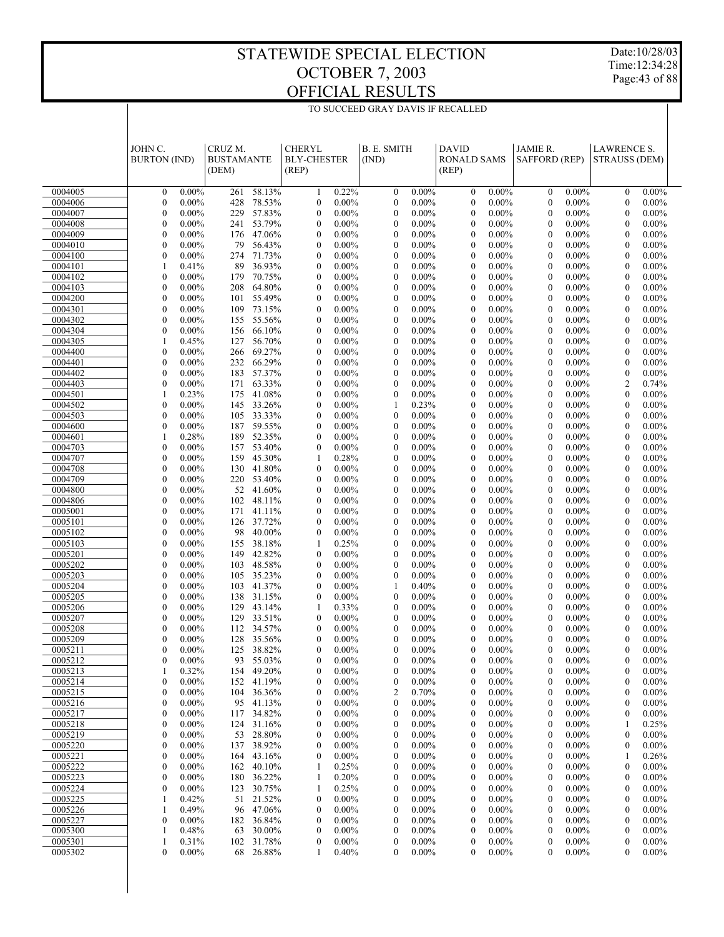$\overline{\phantom{a}}$ 

TO SUCCEED GRAY DAVIS IF RECALLED

Date:10/28/03 Time:12:34:28 Page:43 of 88

|                    | JOHN C.                              |                      | CRUZ M.           |                          | <b>CHERYL</b>                        |                      | <b>B. E. SMITH</b>                          |                      | <b>DAVID</b>                         |                      | JAMIE R.                     |                      | <b>LAWRENCE S.</b>               |                      |  |
|--------------------|--------------------------------------|----------------------|-------------------|--------------------------|--------------------------------------|----------------------|---------------------------------------------|----------------------|--------------------------------------|----------------------|------------------------------|----------------------|----------------------------------|----------------------|--|
|                    | <b>BURTON</b> (IND)                  |                      | <b>BUSTAMANTE</b> |                          | <b>BLY-CHESTER</b>                   |                      | (IND)                                       |                      | <b>RONALD SAMS</b>                   |                      | SAFFORD (REP)                |                      | <b>STRAUSS (DEM)</b>             |                      |  |
|                    |                                      |                      | (DEM)             |                          | (REP)                                |                      |                                             |                      | (REP)                                |                      |                              |                      |                                  |                      |  |
| 0004005            | $\mathbf{0}$                         | $0.00\%$             |                   | 261 58.13%               | 1                                    | 0.22%                | $\boldsymbol{0}$                            | $0.00\%$             | $\boldsymbol{0}$                     | $0.00\%$             | $\mathbf{0}$                 | $0.00\%$             | $\mathbf{0}$                     | $0.00\%$             |  |
| 0004006            | $\mathbf{0}$                         | $0.00\%$             | 428               | 78.53%                   | $\boldsymbol{0}$                     | $0.00\%$             | $\boldsymbol{0}$                            | $0.00\%$             | $\boldsymbol{0}$                     | $0.00\%$             | $\mathbf{0}$                 | $0.00\%$             | $\mathbf{0}$                     | $0.00\%$             |  |
| 0004007            | $\mathbf{0}$                         | $0.00\%$             |                   | 229 57.83%               | $\mathbf{0}$                         | $0.00\%$             | $\boldsymbol{0}$                            | $0.00\%$             | $\mathbf{0}$                         | $0.00\%$             | $\mathbf{0}$                 | $0.00\%$             | $\mathbf{0}$                     | $0.00\%$             |  |
| 0004008<br>0004009 | $\mathbf{0}$<br>$\mathbf{0}$         | $0.00\%$<br>$0.00\%$ |                   | 241 53.79%<br>176 47.06% | $\mathbf{0}$<br>$\mathbf{0}$         | $0.00\%$<br>$0.00\%$ | $\mathbf{0}$<br>$\mathbf{0}$                | $0.00\%$<br>$0.00\%$ | $\boldsymbol{0}$<br>$\mathbf{0}$     | $0.00\%$<br>$0.00\%$ | $\mathbf{0}$<br>$\mathbf{0}$ | $0.00\%$<br>$0.00\%$ | $\mathbf{0}$<br>$\mathbf{0}$     | $0.00\%$<br>$0.00\%$ |  |
| 0004010            | $\mathbf{0}$                         | $0.00\%$             | 79                | 56.43%                   | $\boldsymbol{0}$                     | $0.00\%$             | $\mathbf{0}$                                | $0.00\%$             | $\boldsymbol{0}$                     | $0.00\%$             | $\mathbf{0}$                 | $0.00\%$             | $\mathbf{0}$                     | $0.00\%$             |  |
| 0004100            | $\mathbf{0}$                         | $0.00\%$             |                   | 274 71.73%               | $\boldsymbol{0}$                     | $0.00\%$             | $\mathbf{0}$                                | $0.00\%$             | $\mathbf{0}$                         | $0.00\%$             | $\mathbf{0}$                 | $0.00\%$             | $\mathbf{0}$                     | $0.00\%$             |  |
| 0004101            | 1                                    | 0.41%                | 89                | 36.93%                   | $\boldsymbol{0}$                     | $0.00\%$             | $\mathbf{0}$                                | $0.00\%$             | $\boldsymbol{0}$                     | $0.00\%$             | $\mathbf{0}$                 | $0.00\%$             | $\mathbf{0}$                     | $0.00\%$             |  |
| 0004102            | $\mathbf{0}$                         | $0.00\%$             | 179               | 70.75%                   | $\boldsymbol{0}$                     | $0.00\%$             | $\mathbf{0}$                                | $0.00\%$             | $\boldsymbol{0}$                     | $0.00\%$             | $\mathbf{0}$                 | $0.00\%$             | $\mathbf{0}$                     | $0.00\%$             |  |
| 0004103<br>0004200 | $\mathbf{0}$<br>$\mathbf{0}$         | $0.00\%$<br>$0.00\%$ | 208               | 64.80%<br>101 55.49%     | $\boldsymbol{0}$<br>$\boldsymbol{0}$ | $0.00\%$<br>$0.00\%$ | $\mathbf{0}$<br>$\mathbf{0}$                | $0.00\%$<br>$0.00\%$ | $\boldsymbol{0}$<br>$\mathbf{0}$     | $0.00\%$<br>$0.00\%$ | $\mathbf{0}$<br>$\mathbf{0}$ | $0.00\%$<br>$0.00\%$ | $\mathbf{0}$<br>$\mathbf{0}$     | $0.00\%$<br>$0.00\%$ |  |
| 0004301            | $\mathbf{0}$                         | $0.00\%$             | 109               | 73.15%                   | $\mathbf{0}$                         | $0.00\%$             | $\mathbf{0}$                                | $0.00\%$             | $\boldsymbol{0}$                     | $0.00\%$             | $\mathbf{0}$                 | $0.00\%$             | $\mathbf{0}$                     | $0.00\%$             |  |
| 0004302            | $\mathbf{0}$                         | $0.00\%$             |                   | 155 55.56%               | $\boldsymbol{0}$                     | $0.00\%$             | $\mathbf{0}$                                | $0.00\%$             | $\boldsymbol{0}$                     | $0.00\%$             | $\mathbf{0}$                 | $0.00\%$             | $\mathbf{0}$                     | $0.00\%$             |  |
| 0004304            | $\mathbf{0}$                         | $0.00\%$             | 156               | 66.10%                   | $\mathbf{0}$                         | $0.00\%$             | $\mathbf{0}$                                | $0.00\%$             | $\boldsymbol{0}$                     | $0.00\%$             | $\mathbf{0}$                 | $0.00\%$             | $\mathbf{0}$                     | $0.00\%$             |  |
| 0004305            | 1                                    | 0.45%                | 127               | 56.70%                   | $\mathbf{0}$                         | $0.00\%$             | $\mathbf{0}$                                | $0.00\%$             | $\mathbf{0}$                         | $0.00\%$             | $\mathbf{0}$                 | $0.00\%$             | $\mathbf{0}$                     | $0.00\%$             |  |
| 0004400            | $\mathbf{0}$                         | $0.00\%$             |                   | 266 69.27%               | $\boldsymbol{0}$                     | $0.00\%$             | $\mathbf{0}$                                | $0.00\%$             | $\boldsymbol{0}$                     | $0.00\%$             | $\mathbf{0}$                 | $0.00\%$             | $\mathbf{0}$                     | $0.00\%$             |  |
| 0004401<br>0004402 | $\mathbf{0}$<br>$\mathbf{0}$         | $0.00\%$<br>$0.00\%$ | 183               | 232 66.29%<br>57.37%     | $\boldsymbol{0}$<br>$\boldsymbol{0}$ | $0.00\%$<br>$0.00\%$ | $\mathbf{0}$<br>$\mathbf{0}$                | $0.00\%$<br>$0.00\%$ | $\boldsymbol{0}$<br>$\boldsymbol{0}$ | $0.00\%$<br>$0.00\%$ | $\mathbf{0}$<br>$\mathbf{0}$ | $0.00\%$<br>$0.00\%$ | $\mathbf{0}$<br>$\boldsymbol{0}$ | $0.00\%$<br>$0.00\%$ |  |
| 0004403            | $\mathbf{0}$                         | $0.00\%$             |                   | 171 63.33%               | $\boldsymbol{0}$                     | $0.00\%$             | $\mathbf{0}$                                | $0.00\%$             | $\boldsymbol{0}$                     | $0.00\%$             | $\mathbf{0}$                 | $0.00\%$             | $\overline{c}$                   | 0.74%                |  |
| 0004501            | $\mathbf{1}$                         | 0.23%                | 175               | 41.08%                   | $\boldsymbol{0}$                     | $0.00\%$             | $\mathbf{0}$                                | $0.00\%$             | $\boldsymbol{0}$                     | $0.00\%$             | $\mathbf{0}$                 | $0.00\%$             | $\mathbf{0}$                     | $0.00\%$             |  |
| 0004502            | $\mathbf{0}$                         | $0.00\%$             |                   | 145 33.26%               | $\boldsymbol{0}$                     | $0.00\%$             | 1                                           | 0.23%                | $\boldsymbol{0}$                     | $0.00\%$             | $\mathbf{0}$                 | $0.00\%$             | $\mathbf{0}$                     | $0.00\%$             |  |
| 0004503            | $\mathbf{0}$                         | $0.00\%$             |                   | 105 33.33%               | $\boldsymbol{0}$                     | $0.00\%$             | $\mathbf{0}$                                | $0.00\%$             | $\boldsymbol{0}$                     | $0.00\%$             | $\mathbf{0}$                 | $0.00\%$             | $\mathbf{0}$                     | $0.00\%$             |  |
| 0004600<br>0004601 | $\mathbf{0}$<br>1                    | $0.00\%$<br>0.28%    |                   | 187 59.55%<br>189 52.35% | $\boldsymbol{0}$<br>$\boldsymbol{0}$ | $0.00\%$<br>$0.00\%$ | $\mathbf{0}$<br>$\mathbf{0}$                | $0.00\%$<br>$0.00\%$ | $\mathbf{0}$<br>$\boldsymbol{0}$     | $0.00\%$<br>$0.00\%$ | $\mathbf{0}$<br>$\mathbf{0}$ | $0.00\%$<br>$0.00\%$ | $\mathbf{0}$<br>$\mathbf{0}$     | $0.00\%$<br>$0.00\%$ |  |
| 0004703            | $\mathbf{0}$                         | $0.00\%$             |                   | 157 53.40%               | $\boldsymbol{0}$                     | $0.00\%$             | $\mathbf{0}$                                | $0.00\%$             | $\boldsymbol{0}$                     | $0.00\%$             | $\mathbf{0}$                 | $0.00\%$             | $\mathbf{0}$                     | $0.00\%$             |  |
| 0004707            | $\mathbf{0}$                         | $0.00\%$             | 159               | 45.30%                   | 1                                    | 0.28%                | $\mathbf{0}$                                | $0.00\%$             | $\boldsymbol{0}$                     | $0.00\%$             | $\mathbf{0}$                 | $0.00\%$             | $\mathbf{0}$                     | $0.00\%$             |  |
| 0004708            | $\mathbf{0}$                         | $0.00\%$             |                   | 130 41.80%               | $\mathbf{0}$                         | $0.00\%$             | $\mathbf{0}$                                | $0.00\%$             | $\mathbf{0}$                         | $0.00\%$             | $\mathbf{0}$                 | $0.00\%$             | $\mathbf{0}$                     | $0.00\%$             |  |
| 0004709            | $\mathbf{0}$                         | $0.00\%$             |                   | 220 53.40%               | $\mathbf{0}$                         | $0.00\%$             | $\mathbf{0}$                                | $0.00\%$             | $\boldsymbol{0}$                     | $0.00\%$             | $\mathbf{0}$                 | $0.00\%$             | $\mathbf{0}$                     | $0.00\%$             |  |
| 0004800<br>0004806 | $\mathbf{0}$<br>$\mathbf{0}$         | $0.00\%$<br>$0.00\%$ |                   | 52 41.60%<br>102 48.11%  | $\boldsymbol{0}$<br>$\boldsymbol{0}$ | $0.00\%$<br>$0.00\%$ | $\mathbf{0}$<br>$\mathbf{0}$                | $0.00\%$<br>$0.00\%$ | $\mathbf{0}$<br>$\boldsymbol{0}$     | $0.00\%$<br>$0.00\%$ | $\mathbf{0}$<br>$\mathbf{0}$ | $0.00\%$<br>$0.00\%$ | $\mathbf{0}$<br>$\mathbf{0}$     | $0.00\%$<br>$0.00\%$ |  |
| 0005001            | $\mathbf{0}$                         | $0.00\%$             |                   | 171 41.11%               | $\mathbf{0}$                         | $0.00\%$             | $\mathbf{0}$                                | $0.00\%$             | $\mathbf{0}$                         | $0.00\%$             | $\mathbf{0}$                 | $0.00\%$             | $\mathbf{0}$                     | $0.00\%$             |  |
| 0005101            | $\mathbf{0}$                         | $0.00\%$             |                   | 126 37.72%               | $\mathbf{0}$                         | $0.00\%$             | $\mathbf{0}$                                | $0.00\%$             | $\boldsymbol{0}$                     | $0.00\%$             | $\mathbf{0}$                 | $0.00\%$             | $\mathbf{0}$                     | $0.00\%$             |  |
| 0005102            | $\mathbf{0}$                         | $0.00\%$             | 98                | 40.00%                   | $\boldsymbol{0}$                     | $0.00\%$             | $\mathbf{0}$                                | $0.00\%$             | $\boldsymbol{0}$                     | $0.00\%$             | $\mathbf{0}$                 | $0.00\%$             | $\mathbf{0}$                     | $0.00\%$             |  |
| 0005103            | $\mathbf{0}$                         | $0.00\%$             |                   | 155 38.18%               | 1                                    | 0.25%                | $\mathbf{0}$                                | $0.00\%$             | $\boldsymbol{0}$                     | $0.00\%$             | $\mathbf{0}$                 | $0.00\%$             | $\mathbf{0}$                     | $0.00\%$             |  |
| 0005201<br>0005202 | $\mathbf{0}$<br>$\mathbf{0}$         | $0.00\%$<br>$0.00\%$ | 103               | 149 42.82%<br>48.58%     | $\boldsymbol{0}$<br>$\boldsymbol{0}$ | $0.00\%$<br>$0.00\%$ | $\mathbf{0}$<br>$\mathbf{0}$                | $0.00\%$<br>$0.00\%$ | $\mathbf{0}$<br>$\boldsymbol{0}$     | $0.00\%$<br>$0.00\%$ | $\mathbf{0}$<br>$\mathbf{0}$ | $0.00\%$<br>$0.00\%$ | $\mathbf{0}$<br>$\mathbf{0}$     | $0.00\%$<br>$0.00\%$ |  |
| 0005203            | $\mathbf{0}$                         | $0.00\%$             |                   | 105 35.23%               | $\boldsymbol{0}$                     | $0.00\%$             | $\mathbf{0}$                                | $0.00\%$             | $\boldsymbol{0}$                     | $0.00\%$             | $\mathbf{0}$                 | $0.00\%$             | $\mathbf{0}$                     | $0.00\%$             |  |
| 0005204            | $\mathbf{0}$                         | $0.00\%$             | 103               | 41.37%                   | $\boldsymbol{0}$                     | $0.00\%$             | 1                                           | 0.40%                | $\boldsymbol{0}$                     | $0.00\%$             | $\mathbf{0}$                 | $0.00\%$             | $\mathbf{0}$                     | $0.00\%$             |  |
| 0005205            | $\mathbf{0}$                         | $0.00\%$             |                   | 138 31.15%               | $\boldsymbol{0}$                     | $0.00\%$             | $\boldsymbol{0}$                            | $0.00\%$             | $\mathbf{0}$                         | $0.00\%$             | $\mathbf{0}$                 | $0.00\%$             | $\mathbf{0}$                     | $0.00\%$             |  |
| 0005206            | $\mathbf{0}$                         | $0.00\%$             | 129               | 43.14%                   | 1                                    | 0.33%                | $\boldsymbol{0}$                            | $0.00\%$             | $\boldsymbol{0}$                     | $0.00\%$             | $\mathbf{0}$                 | $0.00\%$             | $\mathbf{0}$                     | $0.00\%$             |  |
| 0005207            | $\mathbf{0}$<br>$\mathbf{0}$         | $0.00\%$             |                   | 129 33.51%<br>112 34.57% | $\mathbf{0}$<br>$\mathbf{0}$         | $0.00\%$<br>$0.00\%$ | $\mathbf{0}$<br>$\mathbf{0}$                | $0.00\%$<br>$0.00\%$ | $\mathbf{0}$<br>$\mathbf{0}$         | $0.00\%$             | $\mathbf{0}$<br>$\mathbf{0}$ | $0.00\%$             | $\mathbf{0}$<br>$\mathbf{0}$     | $0.00\%$             |  |
| 0005208<br>0005209 | $\mathbf{0}$                         | $0.00\%$<br>$0.00\%$ |                   | 128 35.56%               | $\mathbf{0}$                         | $0.00\%$             | $\mathbf{0}$                                | $0.00\%$             | $\mathbf{0}$                         | $0.00\%$<br>$0.00\%$ | $\mathbf{0}$                 | $0.00\%$<br>$0.00\%$ | $\mathbf{0}$                     | $0.00\%$<br>$0.00\%$ |  |
| 0005211            | $\boldsymbol{0}$                     | $0.00\%$             |                   | 125 38.82%               | $\overline{0}$                       | $0.00\%$             | $\boldsymbol{0}$                            | 0.00%                | $\boldsymbol{0}$                     | 0.00%                | $\boldsymbol{0}$             | $0.00\%$             | $\boldsymbol{0}$                 | 0.00%                |  |
| 0005212            | $\theta$                             | $0.00\%$             |                   | 93 55.03%                | 0                                    | $0.00\%$             | $\boldsymbol{0}$                            | $0.00\%$             | $\boldsymbol{0}$                     | $0.00\%$             | $\boldsymbol{0}$             | $0.00\%$             | $\bf{0}$                         | $0.00\%$             |  |
| 0005213            | 1                                    | 0.32%                |                   | 154 49.20%               | 0                                    | $0.00\%$             | $\boldsymbol{0}$                            | $0.00\%$             | $\boldsymbol{0}$                     | $0.00\%$             | $\boldsymbol{0}$             | $0.00\%$             | $\boldsymbol{0}$                 | $0.00\%$             |  |
| 0005214            | $\mathbf{0}$                         | $0.00\%$             |                   | 152 41.19%               | 0                                    | $0.00\%$             | $\boldsymbol{0}$                            | $0.00\%$             | $\boldsymbol{0}$                     | $0.00\%$             | 0                            | $0.00\%$             | $\boldsymbol{0}$                 | $0.00\%$             |  |
| 0005215<br>0005216 | $\boldsymbol{0}$<br>$\boldsymbol{0}$ | $0.00\%$<br>$0.00\%$ | 104               | 36.36%<br>95 41.13%      | 0<br>0                               | $0.00\%$<br>$0.00\%$ | $\overline{\mathbf{c}}$<br>$\boldsymbol{0}$ | 0.70%<br>$0.00\%$    | $\boldsymbol{0}$<br>$\boldsymbol{0}$ | $0.00\%$<br>$0.00\%$ | 0<br>0                       | $0.00\%$<br>$0.00\%$ | $\bf{0}$<br>$\boldsymbol{0}$     | $0.00\%$<br>$0.00\%$ |  |
| 0005217            | $\boldsymbol{0}$                     | $0.00\%$             | 117               | 34.82%                   | 0                                    | $0.00\%$             | $\boldsymbol{0}$                            | $0.00\%$             | $\boldsymbol{0}$                     | $0.00\%$             | 0                            | $0.00\%$             | $\bf{0}$                         | $0.00\%$             |  |
| 0005218            | $\boldsymbol{0}$                     | $0.00\%$             |                   | 124 31.16%               | 0                                    | $0.00\%$             | $\boldsymbol{0}$                            | $0.00\%$             | $\boldsymbol{0}$                     | $0.00\%$             | 0                            | $0.00\%$             | -1                               | 0.25%                |  |
| 0005219            | $\boldsymbol{0}$                     | $0.00\%$             | 53                | 28.80%                   | 0                                    | $0.00\%$             | $\boldsymbol{0}$                            | $0.00\%$             | $\boldsymbol{0}$                     | $0.00\%$             | 0                            | $0.00\%$             | $\bf{0}$                         | $0.00\%$             |  |
| 0005220            | $\boldsymbol{0}$                     | $0.00\%$             |                   | 137 38.92%               | 0                                    | $0.00\%$             | $\boldsymbol{0}$                            | $0.00\%$             | $\boldsymbol{0}$                     | $0.00\%$             | 0                            | $0.00\%$             | $\bf{0}$                         | $0.00\%$             |  |
| 0005221<br>0005222 | $\boldsymbol{0}$<br>$\boldsymbol{0}$ | $0.00\%$<br>$0.00\%$ | 164<br>162        | 43.16%<br>40.10%         | 0<br>1                               | $0.00\%$<br>0.25%    | $\boldsymbol{0}$<br>$\boldsymbol{0}$        | $0.00\%$<br>$0.00\%$ | $\boldsymbol{0}$<br>$\boldsymbol{0}$ | $0.00\%$<br>$0.00\%$ | 0<br>0                       | $0.00\%$<br>$0.00\%$ | 1<br>$\bf{0}$                    | 0.26%<br>$0.00\%$    |  |
| 0005223            | 0                                    | $0.00\%$             | 180               | 36.22%                   | 1                                    | 0.20%                | $\boldsymbol{0}$                            | $0.00\%$             | $\boldsymbol{0}$                     | $0.00\%$             | 0                            | $0.00\%$             | $\bf{0}$                         | $0.00\%$             |  |
| 0005224            | $\theta$                             | $0.00\%$             | 123               | 30.75%                   | 1                                    | 0.25%                | $\boldsymbol{0}$                            | $0.00\%$             | $\boldsymbol{0}$                     | $0.00\%$             | 0                            | $0.00\%$             | $\boldsymbol{0}$                 | $0.00\%$             |  |
| 0005225            | 1                                    | 0.42%                | 51                | 21.52%                   | 0                                    | $0.00\%$             | $\boldsymbol{0}$                            | $0.00\%$             | $\boldsymbol{0}$                     | $0.00\%$             | 0                            | $0.00\%$             | $\bf{0}$                         | $0.00\%$             |  |
| 0005226            | -1                                   | 0.49%                |                   | 96 47.06%                | 0                                    | $0.00\%$             | $\boldsymbol{0}$                            | $0.00\%$             | $\boldsymbol{0}$                     | $0.00\%$             | 0                            | $0.00\%$             | $\boldsymbol{0}$                 | $0.00\%$             |  |
| 0005227<br>0005300 | 0<br>1                               | $0.00\%$<br>0.48%    | 182<br>63         | 36.84%<br>30.00%         | 0<br>0                               | $0.00\%$<br>$0.00\%$ | $\boldsymbol{0}$<br>$\boldsymbol{0}$        | $0.00\%$<br>$0.00\%$ | $\boldsymbol{0}$<br>$\boldsymbol{0}$ | $0.00\%$<br>$0.00\%$ | 0<br>0                       | $0.00\%$<br>$0.00\%$ | $\bf{0}$<br>$\boldsymbol{0}$     | $0.00\%$<br>$0.00\%$ |  |
| 0005301            | 1                                    | 0.31%                |                   | 102 31.78%               | 0                                    | $0.00\%$             | $\boldsymbol{0}$                            | $0.00\%$             | $\boldsymbol{0}$                     | $0.00\%$             | $\boldsymbol{0}$             | $0.00\%$             | $\boldsymbol{0}$                 | $0.00\%$             |  |
| 0005302            | $\mathbf{0}$                         | $0.00\%$             |                   | 68 26.88%                | 1                                    | 0.40%                | $\mathbf{0}$                                | $0.00\%$             | $\mathbf{0}$                         | $0.00\%$             | $\mathbf{0}$                 | $0.00\%$             | $\mathbf{0}$                     | $0.00\%$             |  |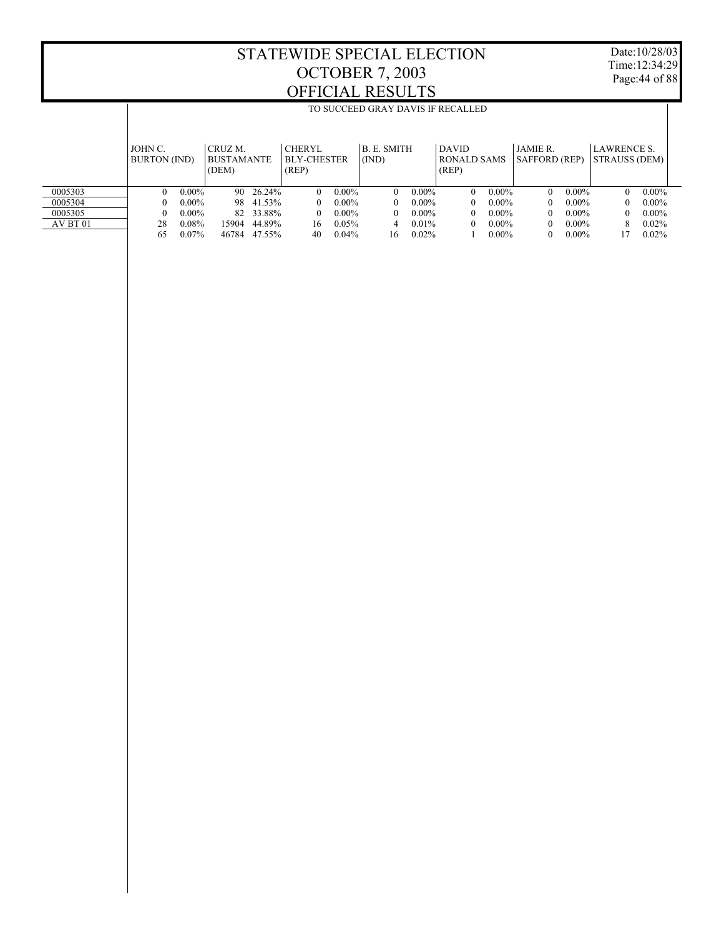T

Date:10/28/03 Time:12:34:29 Page:44 of 88

|          |                     |          |                   |        |                    |          | TO SUCCEED GRAY DAVIS IF RECALLED |          |              |          |                      |          |                    |          |  |
|----------|---------------------|----------|-------------------|--------|--------------------|----------|-----------------------------------|----------|--------------|----------|----------------------|----------|--------------------|----------|--|
|          |                     |          |                   |        |                    |          |                                   |          |              |          |                      |          |                    |          |  |
|          |                     |          |                   |        |                    |          |                                   |          |              |          |                      |          |                    |          |  |
|          | JOHN C.             |          | CRUZ M.           |        | <b>CHERYL</b>      |          | <b>B.E. SMITH</b>                 |          | <b>DAVID</b> |          | <b>JAMIE R</b>       |          | <b>LAWRENCE S.</b> |          |  |
|          | <b>BURTON</b> (IND) |          | <b>BUSTAMANTE</b> |        | <b>BLY-CHESTER</b> |          | (IND)                             |          | RONALD SAMS  |          | <b>SAFFORD (REP)</b> |          | STRAUSS (DEM)      |          |  |
|          |                     |          | (DEM)             |        | (REP)              |          |                                   |          | (REP)        |          |                      |          |                    |          |  |
|          |                     |          |                   |        |                    |          |                                   |          |              |          |                      |          |                    |          |  |
| 0005303  | $\theta$            | $0.00\%$ | 90.               | 26.24% | 0                  | $0.00\%$ | $\Omega$                          | $0.00\%$ | 0            | $0.00\%$ | $\Omega$             | $0.00\%$ | 0                  | $0.00\%$ |  |
| 0005304  | $\Omega$            | $0.00\%$ | 98.               | 41.53% |                    | $0.00\%$ | $\Omega$                          | $0.00\%$ | 0            | $0.00\%$ | $\Omega$             | $0.00\%$ | 0                  | $0.00\%$ |  |
| 0005305  | $\Omega$            | $0.00\%$ | 82.               | 33.88% | 0                  | $0.00\%$ | $\Omega$                          | $0.00\%$ | 0            | $0.00\%$ | $^{\circ}$           | $0.00\%$ | 0                  | $0.00\%$ |  |
| AV BT 01 | 28                  | $0.08\%$ | 15904             | 44.89% | 16                 | $0.05\%$ | 4                                 | $0.01\%$ | 0            | $0.00\%$ | $^{\circ}$           | $0.00\%$ | 8                  | $0.02\%$ |  |
|          | 65                  | $0.07\%$ | 46784             | 47.55% | 40                 | $0.04\%$ | 16                                | 0.02%    |              | $0.00\%$ | $\theta$             | $0.00\%$ | 17                 | 0.02%    |  |
|          |                     |          |                   |        |                    |          |                                   |          |              |          |                      |          |                    |          |  |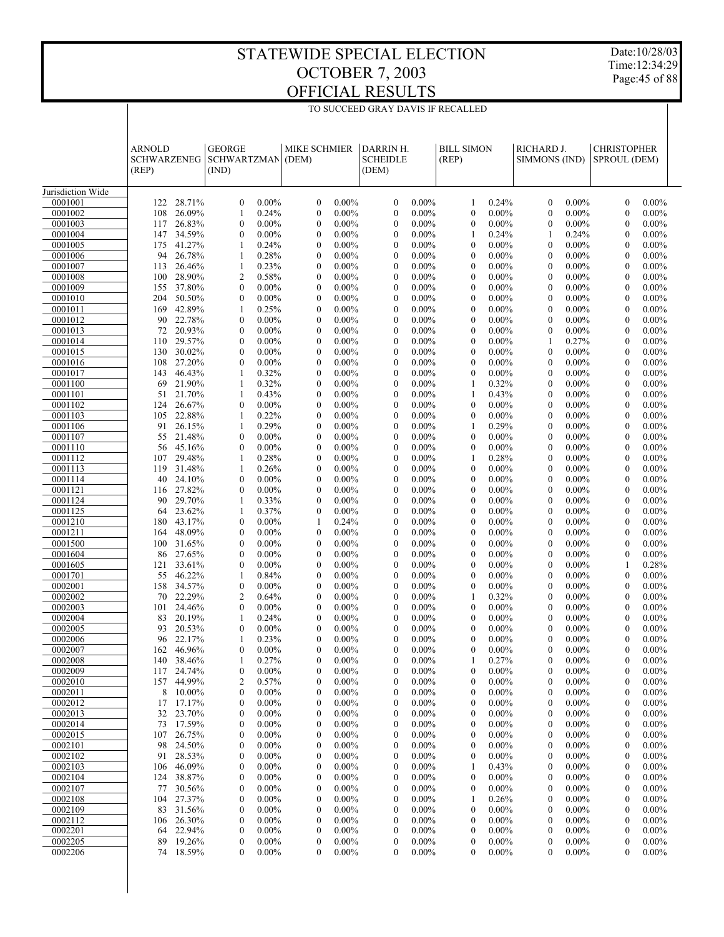Date:10/28/03 Time:12:34:29 Page:45 of 88

|                    | <b>ARNOLD</b><br><b>SCHWARZENEG</b><br>(REP) |                  | <b>GEORGE</b><br><b>SCHWARTZMAN</b><br>(IND) |                      | <b>MIKE SCHMIER</b><br>(DEM)         |                      | DARRIN H.<br><b>SCHEIDLE</b><br>(DEM) |                      | <b>BILL SIMON</b><br>(REP)           |                      | RICHARD J.<br><b>SIMMONS (IND)</b> |                      | <b>CHRISTOPHER</b><br>SPROUL (DEM) |                      |  |
|--------------------|----------------------------------------------|------------------|----------------------------------------------|----------------------|--------------------------------------|----------------------|---------------------------------------|----------------------|--------------------------------------|----------------------|------------------------------------|----------------------|------------------------------------|----------------------|--|
| Jurisdiction Wide  |                                              |                  |                                              |                      |                                      |                      |                                       |                      |                                      |                      |                                    |                      |                                    |                      |  |
| 0001001            | 122                                          | 28.71%           | $\boldsymbol{0}$                             | $0.00\%$             | $\mathbf{0}$                         | $0.00\%$             | $\mathbf{0}$                          | $0.00\%$             | 1                                    | 0.24%                | $\mathbf{0}$                       | $0.00\%$             | $\mathbf{0}$                       | $0.00\%$             |  |
| 0001002            | 108                                          | 26.09%           | 1                                            | 0.24%                | $\boldsymbol{0}$                     | $0.00\%$             | $\mathbf{0}$                          | $0.00\%$             | $\mathbf{0}$                         | 0.00%                | $\mathbf{0}$                       | $0.00\%$             | $\overline{0}$                     | $0.00\%$             |  |
| 0001003            | 117                                          | 26.83%           | $\mathbf{0}$                                 | $0.00\%$             | $\boldsymbol{0}$                     | $0.00\%$             | $\mathbf{0}$                          | $0.00\%$             | $\mathbf{0}$                         | 0.00%                | $\mathbf{0}$                       | $0.00\%$             | $\Omega$                           | $0.00\%$             |  |
| 0001004            | 147                                          | 34.59%           | $\mathbf{0}$                                 | $0.00\%$             | $\boldsymbol{0}$                     | $0.00\%$             | $\mathbf{0}$                          | $0.00\%$             | 1                                    | 0.24%                | 1                                  | 0.24%                | $\mathbf{0}$                       | $0.00\%$             |  |
| 0001005            | 175                                          | 41.27%           | 1                                            | 0.24%                | $\boldsymbol{0}$                     | $0.00\%$             | $\mathbf{0}$                          | $0.00\%$             | $\mathbf{0}$                         | 0.00%                | $\mathbf{0}$                       | $0.00\%$             | $\Omega$                           | $0.00\%$             |  |
| 0001006            | 94                                           | 26.78%           | 1                                            | 0.28%                | $\boldsymbol{0}$                     | $0.00\%$             | $\mathbf{0}$                          | $0.00\%$             | $\mathbf{0}$                         | 0.00%                | $\mathbf{0}$                       | $0.00\%$             | $\mathbf{0}$                       | $0.00\%$             |  |
| 0001007<br>0001008 | 113<br>100                                   | 26.46%<br>28.90% | 1<br>$\overline{2}$                          | 0.23%<br>0.58%       | $\boldsymbol{0}$<br>$\boldsymbol{0}$ | $0.00\%$<br>$0.00\%$ | $\mathbf{0}$<br>$\mathbf{0}$          | $0.00\%$<br>$0.00\%$ | $\theta$<br>$\mathbf{0}$             | 0.00%<br>0.00%       | $\mathbf{0}$<br>$\mathbf{0}$       | $0.00\%$<br>$0.00\%$ | $\Omega$<br>$\mathbf{0}$           | $0.00\%$<br>$0.00\%$ |  |
| 0001009            | 155                                          | 37.80%           | $\mathbf{0}$                                 | $0.00\%$             | $\boldsymbol{0}$                     | $0.00\%$             | $\mathbf{0}$                          | $0.00\%$             | $\mathbf{0}$                         | 0.00%                | $\mathbf{0}$                       | $0.00\%$             | $\Omega$                           | $0.00\%$             |  |
| 0001010            | 204                                          | 50.50%           | $\mathbf{0}$                                 | $0.00\%$             | $\boldsymbol{0}$                     | $0.00\%$             | $\mathbf{0}$                          | $0.00\%$             | $\mathbf{0}$                         | 0.00%                | $\mathbf{0}$                       | $0.00\%$             | $\mathbf{0}$                       | $0.00\%$             |  |
| 0001011            | 169                                          | 42.89%           | 1                                            | 0.25%                | $\boldsymbol{0}$                     | $0.00\%$             | $\mathbf{0}$                          | $0.00\%$             | $\theta$                             | 0.00%                | $\mathbf{0}$                       | $0.00\%$             | $\Omega$                           | $0.00\%$             |  |
| 0001012            | 90                                           | 22.78%           | $\mathbf{0}$                                 | $0.00\%$             | $\boldsymbol{0}$                     | $0.00\%$             | $\mathbf{0}$                          | $0.00\%$             | $\mathbf{0}$                         | 0.00%                | $\mathbf{0}$                       | $0.00\%$             | $\mathbf{0}$                       | $0.00\%$             |  |
| 0001013            | 72                                           | 20.93%           | $\mathbf{0}$                                 | $0.00\%$             | $\boldsymbol{0}$                     | $0.00\%$             | $\mathbf{0}$                          | $0.00\%$             | $\mathbf{0}$                         | 0.00%                | $\mathbf{0}$                       | $0.00\%$             | $\Omega$                           | $0.00\%$             |  |
| 0001014            | 110                                          | 29.57%           | $\mathbf{0}$                                 | $0.00\%$             | $\boldsymbol{0}$                     | $0.00\%$             | $\mathbf{0}$                          | $0.00\%$             | $\mathbf{0}$                         | 0.00%                | 1                                  | 0.27%                | $\mathbf{0}$                       | $0.00\%$             |  |
| 0001015            | 130                                          | 30.02%           | $\mathbf{0}$                                 | $0.00\%$             | $\boldsymbol{0}$                     | $0.00\%$             | $\mathbf{0}$                          | $0.00\%$             | $\theta$                             | 0.00%                | $\mathbf{0}$                       | $0.00\%$             | $\Omega$                           | $0.00\%$             |  |
| 0001016            | 108                                          | 27.20%           | $\mathbf{0}$                                 | $0.00\%$             | $\boldsymbol{0}$                     | $0.00\%$             | $\mathbf{0}$                          | $0.00\%$             | $\mathbf{0}$                         | 0.00%                | $\mathbf{0}$                       | $0.00\%$             | $\mathbf{0}$                       | $0.00\%$             |  |
| 0001017<br>0001100 | 143<br>69                                    | 46.43%<br>21.90% | 1<br>1                                       | 0.32%<br>0.32%       | $\boldsymbol{0}$<br>$\boldsymbol{0}$ | $0.00\%$<br>$0.00\%$ | $\mathbf{0}$<br>$\mathbf{0}$          | $0.00\%$<br>$0.00\%$ | $\mathbf{0}$<br>1                    | 0.00%<br>0.32%       | $\mathbf{0}$<br>$\mathbf{0}$       | $0.00\%$<br>$0.00\%$ | $\Omega$<br>$\mathbf{0}$           | $0.00\%$<br>$0.00\%$ |  |
| 0001101            | 51                                           | 21.70%           | 1                                            | 0.43%                | $\boldsymbol{0}$                     | $0.00\%$             | $\mathbf{0}$                          | $0.00\%$             | $\mathbf{1}$                         | 0.43%                | $\mathbf{0}$                       | $0.00\%$             | $\Omega$                           | $0.00\%$             |  |
| 0001102            | 124                                          | 26.67%           | $\mathbf{0}$                                 | $0.00\%$             | $\boldsymbol{0}$                     | $0.00\%$             | $\theta$                              | $0.00\%$             | $\mathbf{0}$                         | 0.00%                | $\mathbf{0}$                       | $0.00\%$             | $\mathbf{0}$                       | $0.00\%$             |  |
| 0001103            | 105                                          | 22.88%           | 1                                            | 0.22%                | $\boldsymbol{0}$                     | $0.00\%$             | $\mathbf{0}$                          | $0.00\%$             | $\mathbf{0}$                         | 0.00%                | $\mathbf{0}$                       | $0.00\%$             | $\Omega$                           | $0.00\%$             |  |
| 0001106            | 91                                           | 26.15%           | 1                                            | 0.29%                | $\boldsymbol{0}$                     | $0.00\%$             | $\mathbf{0}$                          | $0.00\%$             | 1                                    | 0.29%                | $\mathbf{0}$                       | $0.00\%$             | $\mathbf{0}$                       | $0.00\%$             |  |
| 0001107            | 55                                           | 21.48%           | $\mathbf{0}$                                 | $0.00\%$             | $\boldsymbol{0}$                     | $0.00\%$             | $\mathbf{0}$                          | $0.00\%$             | $\theta$                             | 0.00%                | $\theta$                           | $0.00\%$             | $\Omega$                           | $0.00\%$             |  |
| 0001110            | 56                                           | 45.16%           | $\mathbf{0}$                                 | $0.00\%$             | $\boldsymbol{0}$                     | $0.00\%$             | $\mathbf{0}$                          | $0.00\%$             | $\mathbf{0}$                         | 0.00%                | $\mathbf{0}$                       | $0.00\%$             | $\mathbf{0}$                       | $0.00\%$             |  |
| 0001112            | 107                                          | 29.48%           | 1                                            | 0.28%                | $\boldsymbol{0}$                     | $0.00\%$             | $\mathbf{0}$                          | $0.00\%$             | 1                                    | 0.28%                | $\mathbf{0}$                       | $0.00\%$             | $\Omega$                           | $0.00\%$             |  |
| 0001113            | 119                                          | 31.48%           | 1                                            | 0.26%                | $\boldsymbol{0}$                     | $0.00\%$             | $\mathbf{0}$                          | $0.00\%$             | $\mathbf{0}$                         | 0.00%                | $\mathbf{0}$                       | $0.00\%$             | $\mathbf{0}$                       | $0.00\%$             |  |
| 0001114            | 40                                           | 24.10%           | $\mathbf{0}$                                 | $0.00\%$             | $\boldsymbol{0}$                     | $0.00\%$             | $\mathbf{0}$                          | $0.00\%$             | $\theta$                             | 0.00%                | $\theta$                           | $0.00\%$             | $\Omega$                           | $0.00\%$             |  |
| 0001121<br>0001124 | 116<br>90                                    | 27.82%<br>29.70% | $\mathbf{0}$<br>1                            | $0.00\%$<br>0.33%    | $\boldsymbol{0}$<br>$\boldsymbol{0}$ | $0.00\%$<br>$0.00\%$ | $\mathbf{0}$<br>$\mathbf{0}$          | $0.00\%$<br>$0.00\%$ | $\mathbf{0}$<br>$\mathbf{0}$         | 0.00%<br>0.00%       | $\mathbf{0}$<br>$\mathbf{0}$       | $0.00\%$<br>$0.00\%$ | $\mathbf{0}$<br>$\Omega$           | $0.00\%$<br>$0.00\%$ |  |
| 0001125            | 64                                           | 23.62%           | 1                                            | 0.37%                | $\boldsymbol{0}$                     | $0.00\%$             | $\mathbf{0}$                          | $0.00\%$             | $\mathbf{0}$                         | 0.00%                | $\mathbf{0}$                       | $0.00\%$             | $\mathbf{0}$                       | $0.00\%$             |  |
| 0001210            | 180                                          | 43.17%           | $\mathbf{0}$                                 | $0.00\%$             | $\mathbf{1}$                         | 0.24%                | $\mathbf{0}$                          | $0.00\%$             | $\theta$                             | 0.00%                | $\theta$                           | $0.00\%$             | $\Omega$                           | $0.00\%$             |  |
| 0001211            | 164                                          | 48.09%           | $\mathbf{0}$                                 | $0.00\%$             | $\boldsymbol{0}$                     | $0.00\%$             | $\mathbf{0}$                          | $0.00\%$             | $\mathbf{0}$                         | 0.00%                | $\mathbf{0}$                       | $0.00\%$             | $\mathbf{0}$                       | $0.00\%$             |  |
| 0001500            | 100                                          | 31.65%           | $\mathbf{0}$                                 | $0.00\%$             | $\boldsymbol{0}$                     | $0.00\%$             | $\mathbf{0}$                          | $0.00\%$             | $\mathbf{0}$                         | 0.00%                | $\mathbf{0}$                       | $0.00\%$             | $\Omega$                           | $0.00\%$             |  |
| 0001604            | 86                                           | 27.65%           | $\mathbf{0}$                                 | $0.00\%$             | $\boldsymbol{0}$                     | $0.00\%$             | $\mathbf{0}$                          | $0.00\%$             | $\mathbf{0}$                         | 0.00%                | $\mathbf{0}$                       | $0.00\%$             | $\mathbf{0}$                       | $0.00\%$             |  |
| 0001605            | 121                                          | 33.61%           | $\mathbf{0}$                                 | $0.00\%$             | $\boldsymbol{0}$                     | $0.00\%$             | $\mathbf{0}$                          | $0.00\%$             | $\theta$                             | 0.00%                | $\theta$                           | $0.00\%$             | 1                                  | 0.28%                |  |
| 0001701            | 55                                           | 46.22%           | 1                                            | 0.84%                | $\boldsymbol{0}$                     | $0.00\%$             | $\mathbf{0}$                          | $0.00\%$             | $\mathbf{0}$                         | 0.00%                | $\mathbf{0}$                       | $0.00\%$             | $\mathbf{0}$                       | $0.00\%$             |  |
| 0002001            | 158                                          | 34.57%           | $\mathbf{0}$                                 | $0.00\%$             | $\boldsymbol{0}$                     | $0.00\%$             | $\mathbf{0}$                          | $0.00\%$             | $\mathbf{0}$                         | 0.00%                | $\mathbf{0}$                       | $0.00\%$             | $\Omega$                           | $0.00\%$             |  |
| 0002002<br>0002003 | 70<br>101                                    | 22.29%<br>24.46% | $\overline{2}$<br>$\mathbf{0}$               | 0.64%<br>$0.00\%$    | $\boldsymbol{0}$<br>$\boldsymbol{0}$ | $0.00\%$<br>$0.00\%$ | $\mathbf{0}$<br>$\mathbf{0}$          | $0.00\%$<br>$0.00\%$ | 1<br>$\mathbf{0}$                    | 0.32%<br>0.00%       | $\mathbf{0}$<br>$\mathbf{0}$       | $0.00\%$<br>$0.00\%$ | $\mathbf{0}$<br>$\Omega$           | $0.00\%$<br>$0.00\%$ |  |
| 0002004            | 83                                           | 20.19%           | 1                                            | 0.24%                | $\boldsymbol{0}$                     | $0.00\%$             | $\mathbf{0}$                          | $0.00\%$             | $\mathbf{0}$                         | 0.00%                | $\mathbf{0}$                       | $0.00\%$             | $\mathbf{0}$                       | $0.00\%$             |  |
| 0002005            | 93                                           | 20.53%           | $\mathbf{0}$                                 | $0.00\%$             | $\mathbf{0}$                         | $0.00\%$             | $\mathbf{0}$                          | $0.00\%$             | $\Omega$                             | 0.00%                | $\mathbf{0}$                       | $0.00\%$             | $\theta$                           | $0.00\%$             |  |
| 0002006            | 96                                           | 22.17%           | $\mathbf{1}$                                 | 0.23%                | $\mathbf{0}$                         | $0.00\%$             | $\theta$                              | $0.00\%$             | $\theta$                             | $0.00\%$             | $\mathbf{0}$                       | $0.00\%$             | $\theta$                           | $0.00\%$             |  |
| 0002007            | 162                                          | 46.96%           | $\mathbf{0}$                                 | $0.00\%$             | $\mathbf{0}$                         | $0.00\%$             | $\theta$                              | $0.00\%$             | $\theta$                             | $0.00\%$             | $\theta$                           | $0.00\%$             | $\theta$                           | $0.00\%$             |  |
| 0002008            | 140                                          | 38.46%           |                                              | $0.27\%$             | $\boldsymbol{0}$                     | $0.00\%$             | $\theta$                              | $0.00\%$             |                                      | 0.27%                | $\bf{0}$                           | $0.00\%$             | 0                                  | $0.00\%$             |  |
| 0002009            | 117                                          | 24.74%           | $\boldsymbol{0}$                             | $0.00\%$             | $\boldsymbol{0}$                     | $0.00\%$             | $\boldsymbol{0}$                      | $0.00\%$             | 0                                    | $0.00\%$             | 0                                  | $0.00\%$             | 0                                  | $0.00\%$             |  |
| 0002010            | 157                                          | 44.99%           | $\overline{c}$                               | 0.57%                | $\boldsymbol{0}$                     | $0.00\%$             | $\boldsymbol{0}$                      | $0.00\%$             | $\boldsymbol{0}$                     | $0.00\%$             | 0                                  | $0.00\%$             | 0                                  | $0.00\%$             |  |
| 0002011            | 8                                            | 10.00%           | $\boldsymbol{0}$                             | $0.00\%$             | $\boldsymbol{0}$                     | $0.00\%$             | $\boldsymbol{0}$                      | $0.00\%$             | $\boldsymbol{0}$                     | $0.00\%$             | 0                                  | $0.00\%$             | 0                                  | $0.00\%$             |  |
| 0002012<br>0002013 | 17<br>32                                     | 17.17%<br>23.70% | $\boldsymbol{0}$<br>$\boldsymbol{0}$         | $0.00\%$<br>$0.00\%$ | $\boldsymbol{0}$<br>$\boldsymbol{0}$ | $0.00\%$<br>$0.00\%$ | $\boldsymbol{0}$<br>$\theta$          | $0.00\%$<br>$0.00\%$ | $\boldsymbol{0}$<br>$\boldsymbol{0}$ | $0.00\%$<br>$0.00\%$ | 0<br>0                             | $0.00\%$<br>$0.00\%$ | $\theta$<br>0                      | $0.00\%$<br>$0.00\%$ |  |
| 0002014            | 73                                           | 17.59%           | $\boldsymbol{0}$                             | $0.00\%$             | $\boldsymbol{0}$                     | $0.00\%$             | $\boldsymbol{0}$                      | $0.00\%$             | $\boldsymbol{0}$                     | $0.00\%$             | 0                                  | $0.00\%$             | $\boldsymbol{0}$                   | $0.00\%$             |  |
| 0002015            | 107                                          | 26.75%           | $\boldsymbol{0}$                             | $0.00\%$             | $\boldsymbol{0}$                     | $0.00\%$             | $\boldsymbol{0}$                      | $0.00\%$             | $\boldsymbol{0}$                     | $0.00\%$             | 0                                  | $0.00\%$             | $\mathbf{0}$                       | $0.00\%$             |  |
| 0002101            | 98                                           | 24.50%           | $\boldsymbol{0}$                             | $0.00\%$             | $\boldsymbol{0}$                     | $0.00\%$             | $\boldsymbol{0}$                      | $0.00\%$             | $\boldsymbol{0}$                     | $0.00\%$             | 0                                  | $0.00\%$             | $\boldsymbol{0}$                   | $0.00\%$             |  |
| 0002102            | 91                                           | 28.53%           | $\boldsymbol{0}$                             | $0.00\%$             | $\boldsymbol{0}$                     | $0.00\%$             | $\theta$                              | $0.00\%$             | $\boldsymbol{0}$                     | $0.00\%$             | 0                                  | $0.00\%$             | 0                                  | $0.00\%$             |  |
| 0002103            | 106                                          | 46.09%           | $\boldsymbol{0}$                             | $0.00\%$             | $\boldsymbol{0}$                     | $0.00\%$             | $\boldsymbol{0}$                      | $0.00\%$             | -1                                   | 0.43%                | 0                                  | $0.00\%$             | $\boldsymbol{0}$                   | $0.00\%$             |  |
| 0002104            | 124                                          | 38.87%           | $\boldsymbol{0}$                             | $0.00\%$             | $\boldsymbol{0}$                     | $0.00\%$             | $\boldsymbol{0}$                      | $0.00\%$             | $\boldsymbol{0}$                     | $0.00\%$             | 0                                  | $0.00\%$             | $\mathbf{0}$                       | $0.00\%$             |  |
| 0002107            | 77                                           | 30.56%           | $\boldsymbol{0}$                             | $0.00\%$             | $\boldsymbol{0}$                     | $0.00\%$             | $\boldsymbol{0}$                      | $0.00\%$             | $\boldsymbol{0}$                     | $0.00\%$             | 0                                  | $0.00\%$             | $\boldsymbol{0}$                   | $0.00\%$             |  |
| 0002108            | 104                                          | 27.37%           | $\boldsymbol{0}$                             | $0.00\%$             | $\boldsymbol{0}$                     | $0.00\%$             | $\theta$                              | $0.00\%$             | 1                                    | 0.26%                | 0                                  | $0.00\%$             | 0                                  | $0.00\%$             |  |
| 0002109            | 83                                           | 31.56%           | $\boldsymbol{0}$                             | $0.00\%$             | $\boldsymbol{0}$                     | $0.00\%$             | $\boldsymbol{0}$                      | $0.00\%$             | $\boldsymbol{0}$                     | $0.00\%$             | 0                                  | $0.00\%$             | $\boldsymbol{0}$                   | $0.00\%$             |  |
| 0002112<br>0002201 | 106<br>64                                    | 26.30%<br>22.94% | $\boldsymbol{0}$<br>$\boldsymbol{0}$         | $0.00\%$<br>$0.00\%$ | $\boldsymbol{0}$<br>$\boldsymbol{0}$ | $0.00\%$<br>$0.00\%$ | $\boldsymbol{0}$<br>$\boldsymbol{0}$  | $0.00\%$<br>$0.00\%$ | $\boldsymbol{0}$<br>$\boldsymbol{0}$ | $0.00\%$<br>$0.00\%$ | 0<br>0                             | $0.00\%$<br>$0.00\%$ | $\mathbf{0}$<br>$\boldsymbol{0}$   | $0.00\%$<br>$0.00\%$ |  |
| 0002205            | 89                                           | 19.26%           | $\boldsymbol{0}$                             | $0.00\%$             | $\boldsymbol{0}$                     | $0.00\%$             | $\theta$                              | $0.00\%$             | $\boldsymbol{0}$                     | $0.00\%$             | 0                                  | $0.00\%$             | 0                                  | $0.00\%$             |  |
| 0002206            |                                              | 74 18.59%        | $\mathbf{0}$                                 | $0.00\%$             | $\mathbf{0}$                         | $0.00\%$             | $\theta$                              | $0.00\%$             | 0                                    | $0.00\%$             | 0                                  | $0.00\%$             | $\mathbf{0}$                       | $0.00\%$             |  |
|                    |                                              |                  |                                              |                      |                                      |                      |                                       |                      |                                      |                      |                                    |                      |                                    |                      |  |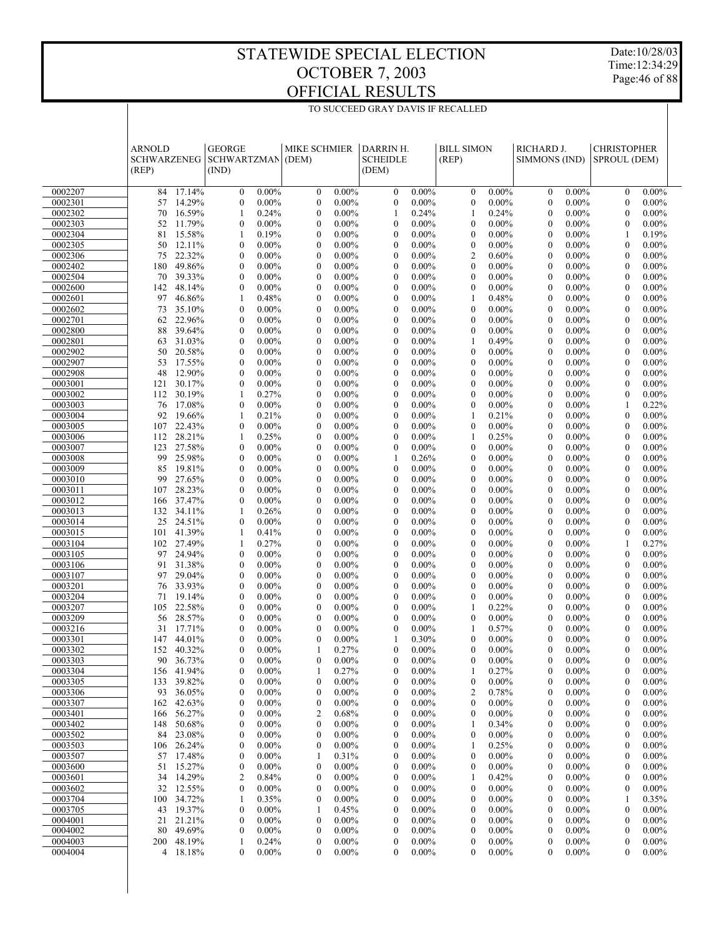Date:10/28/03 Time:12:34:29 Page:46 of 88

|                    | <b>ARNOLD</b><br><b>SCHWARZENEG</b><br>(REP) |                  | <b>GEORGE</b><br><b>SCHWARTZMAN</b><br>(IND) |                      | <b>MIKE SCHMIER</b><br>(DEM)   |                      | DARRIN H.<br><b>SCHEIDLE</b><br>(DEM) |                      | <b>BILL SIMON</b><br>(REP)     |                      | RICHARD J.<br>SIMMONS (IND)  |                      | <b>CHRISTOPHER</b><br>SPROUL (DEM) |                      |  |
|--------------------|----------------------------------------------|------------------|----------------------------------------------|----------------------|--------------------------------|----------------------|---------------------------------------|----------------------|--------------------------------|----------------------|------------------------------|----------------------|------------------------------------|----------------------|--|
| 0002207            | 84                                           | 17.14%           | $\mathbf{0}$                                 | $0.00\%$             | $\mathbf{0}$                   | $0.00\%$             | $\mathbf{0}$                          | $0.00\%$             | $\mathbf{0}$                   | $0.00\%$             | $\mathbf{0}$                 | $0.00\%$             | $\mathbf{0}$                       | $0.00\%$             |  |
| 0002301            | 57                                           | 14.29%           | $\mathbf{0}$                                 | $0.00\%$             | $\mathbf{0}$                   | $0.00\%$             | $\mathbf{0}$                          | $0.00\%$             | $\mathbf{0}$                   | $0.00\%$             | $\mathbf{0}$                 | $0.00\%$             | $\mathbf{0}$                       | $0.00\%$             |  |
| 0002302            | 70                                           | 16.59%           | $\mathbf{1}$                                 | 0.24%                | $\mathbf{0}$                   | $0.00\%$             | 1                                     | 0.24%                | 1                              | 0.24%                | $\mathbf{0}$                 | $0.00\%$             | $\mathbf{0}$                       | $0.00\%$             |  |
| 0002303            | 52                                           | 11.79%           | $\mathbf{0}$                                 | $0.00\%$             | $\mathbf{0}$                   | $0.00\%$             | $\mathbf{0}$                          | $0.00\%$             | $\mathbf{0}$                   | $0.00\%$             | $\mathbf{0}$                 | $0.00\%$             | $\overline{0}$                     | $0.00\%$             |  |
| 0002304            | 81                                           | 15.58%           | $\mathbf{1}$                                 | 0.19%                | $\mathbf{0}$                   | $0.00\%$             | $\overline{0}$                        | $0.00\%$             | $\mathbf{0}$                   | $0.00\%$             | $\mathbf{0}$                 | $0.00\%$             | 1                                  | 0.19%                |  |
| 0002305            | 50                                           | 12.11%           | $\mathbf{0}$                                 | $0.00\%$             | $\mathbf{0}$                   | $0.00\%$             | $\mathbf{0}$                          | $0.00\%$             | $\boldsymbol{0}$               | $0.00\%$             | $\mathbf{0}$                 | $0.00\%$             | $\mathbf{0}$                       | $0.00\%$             |  |
| 0002306            | 75                                           | 22.32%           | $\mathbf{0}$<br>$\mathbf{0}$                 | $0.00\%$             | $\mathbf{0}$                   | $0.00\%$             | $\overline{0}$                        | $0.00\%$             | $\overline{2}$<br>$\mathbf{0}$ | 0.60%                | $\mathbf{0}$                 | $0.00\%$             | $\mathbf{0}$                       | $0.00\%$             |  |
| 0002402<br>0002504 | 180<br>70                                    | 49.86%<br>39.33% | $\mathbf{0}$                                 | $0.00\%$<br>$0.00\%$ | $\theta$<br>$\overline{0}$     | $0.00\%$<br>$0.00\%$ | $\theta$<br>$\overline{0}$            | $0.00\%$<br>$0.00\%$ | $\mathbf{0}$                   | $0.00\%$<br>$0.00\%$ | $\mathbf{0}$<br>$\mathbf{0}$ | $0.00\%$<br>$0.00\%$ | $\mathbf{0}$<br>$\mathbf{0}$       | $0.00\%$<br>$0.00\%$ |  |
| 0002600            | 142                                          | 48.14%           | $\mathbf{0}$                                 | $0.00\%$             | $\theta$                       | $0.00\%$             | $\theta$                              | $0.00\%$             | $\mathbf{0}$                   | $0.00\%$             | $\mathbf{0}$                 | $0.00\%$             | $\mathbf{0}$                       | $0.00\%$             |  |
| 0002601            | 97                                           | 46.86%           | $\mathbf{1}$                                 | 0.48%                | $\overline{0}$                 | $0.00\%$             | $\overline{0}$                        | $0.00\%$             | 1                              | 0.48%                | $\mathbf{0}$                 | $0.00\%$             | $\mathbf{0}$                       | $0.00\%$             |  |
| 0002602            | 73                                           | 35.10%           | $\mathbf{0}$                                 | $0.00\%$             | $\theta$                       | $0.00\%$             | $\mathbf{0}$                          | $0.00\%$             | $\mathbf{0}$                   | $0.00\%$             | $\mathbf{0}$                 | $0.00\%$             | $\overline{0}$                     | $0.00\%$             |  |
| 0002701            | 62                                           | 22.96%           | $\mathbf{0}$                                 | $0.00\%$             | $\overline{0}$                 | $0.00\%$             | $\overline{0}$                        | $0.00\%$             | $\mathbf{0}$                   | $0.00\%$             | $\mathbf{0}$                 | $0.00\%$             | $\mathbf{0}$                       | $0.00\%$             |  |
| 0002800            | 88                                           | 39.64%           | $\mathbf{0}$                                 | $0.00\%$             | $\theta$                       | $0.00\%$             | $\mathbf{0}$                          | $0.00\%$             | $\mathbf{0}$                   | $0.00\%$             | $\mathbf{0}$                 | $0.00\%$             | $\mathbf{0}$                       | $0.00\%$             |  |
| 0002801            | 63                                           | 31.03%           | $\mathbf{0}$                                 | $0.00\%$             | $\mathbf{0}$                   | $0.00\%$             | $\overline{0}$                        | $0.00\%$             | 1                              | 0.49%                | $\mathbf{0}$                 | $0.00\%$             | $\mathbf{0}$                       | $0.00\%$             |  |
| 0002902            | 50                                           | 20.58%           | $\mathbf{0}$                                 | $0.00\%$             | $\theta$                       | $0.00\%$             | $\mathbf{0}$                          | $0.00\%$             | $\mathbf{0}$                   | $0.00\%$             | $\mathbf{0}$                 | $0.00\%$             | $\mathbf{0}$                       | $0.00\%$             |  |
| 0002907            | 53                                           | 17.55%           | $\mathbf{0}$                                 | $0.00\%$             | $\overline{0}$                 | $0.00\%$             | $\overline{0}$                        | $0.00\%$             | $\mathbf{0}$                   | $0.00\%$             | $\mathbf{0}$                 | $0.00\%$             | $\mathbf{0}$                       | $0.00\%$             |  |
| 0002908            | 48                                           | 12.90%           | $\mathbf{0}$                                 | $0.00\%$             | $\mathbf{0}$                   | $0.00\%$             | $\mathbf{0}$                          | $0.00\%$             | $\mathbf{0}$                   | $0.00\%$             | $\mathbf{0}$                 | $0.00\%$             | $\mathbf{0}$                       | $0.00\%$             |  |
| 0003001<br>0003002 | 121<br>112                                   | 30.17%<br>30.19% | $\mathbf{0}$<br>1                            | $0.00\%$<br>0.27%    | $\mathbf{0}$<br>$\mathbf{0}$   | $0.00\%$<br>$0.00\%$ | $\overline{0}$<br>$\mathbf{0}$        | $0.00\%$<br>$0.00\%$ | $\mathbf{0}$<br>$\mathbf{0}$   | $0.00\%$<br>$0.00\%$ | $\mathbf{0}$<br>$\mathbf{0}$ | $0.00\%$<br>$0.00\%$ | $\mathbf{0}$<br>$\mathbf{0}$       | $0.00\%$<br>$0.00\%$ |  |
| 0003003            | 76                                           | 17.08%           | $\mathbf{0}$                                 | $0.00\%$             | $\overline{0}$                 | $0.00\%$             | $\overline{0}$                        | $0.00\%$             | $\mathbf{0}$                   | $0.00\%$             | $\mathbf{0}$                 | $0.00\%$             | 1                                  | 0.22%                |  |
| 0003004            | 92                                           | 19.66%           | 1                                            | 0.21%                | $\mathbf{0}$                   | $0.00\%$             | $\mathbf{0}$                          | $0.00\%$             | $\mathbf{1}$                   | 0.21%                | $\mathbf{0}$                 | $0.00\%$             | $\mathbf{0}$                       | $0.00\%$             |  |
| 0003005            | 107                                          | 22.43%           | $\mathbf{0}$                                 | $0.00\%$             | $\mathbf{0}$                   | $0.00\%$             | $\overline{0}$                        | $0.00\%$             | $\mathbf{0}$                   | $0.00\%$             | $\mathbf{0}$                 | $0.00\%$             | $\mathbf{0}$                       | $0.00\%$             |  |
| 0003006            | 112                                          | 28.21%           | 1                                            | 0.25%                | $\mathbf{0}$                   | $0.00\%$             | $\mathbf{0}$                          | $0.00\%$             | $\mathbf{1}$                   | 0.25%                | $\mathbf{0}$                 | $0.00\%$             | $\mathbf{0}$                       | $0.00\%$             |  |
| 0003007            | 123                                          | 27.58%           | $\mathbf{0}$                                 | $0.00\%$             | $\overline{0}$                 | $0.00\%$             | $\overline{0}$                        | $0.00\%$             | $\mathbf{0}$                   | $0.00\%$             | $\mathbf{0}$                 | $0.00\%$             | $\mathbf{0}$                       | $0.00\%$             |  |
| 0003008            | 99                                           | 25.98%           | $\mathbf{0}$                                 | $0.00\%$             | $\mathbf{0}$                   | $0.00\%$             | 1                                     | 0.26%                | $\mathbf{0}$                   | $0.00\%$             | $\mathbf{0}$                 | $0.00\%$             | $\mathbf{0}$                       | $0.00\%$             |  |
| 0003009            | 85                                           | 19.81%           | $\mathbf{0}$                                 | $0.00\%$             | $\mathbf{0}$                   | $0.00\%$             | $\overline{0}$                        | $0.00\%$             | $\mathbf{0}$                   | $0.00\%$             | $\mathbf{0}$                 | $0.00\%$             | $\mathbf{0}$                       | $0.00\%$             |  |
| 0003010            | 99                                           | 27.65%           | $\mathbf{0}$                                 | $0.00\%$             | $\mathbf{0}$                   | $0.00\%$             | $\mathbf{0}$                          | $0.00\%$             | $\mathbf{0}$                   | $0.00\%$             | $\mathbf{0}$                 | $0.00\%$             | $\mathbf{0}$                       | $0.00\%$             |  |
| 0003011            | 107                                          | 28.23%           | $\mathbf{0}$                                 | $0.00\%$             | $\overline{0}$                 | $0.00\%$             | $\overline{0}$                        | $0.00\%$             | $\mathbf{0}$                   | $0.00\%$             | $\mathbf{0}$                 | $0.00\%$             | $\mathbf{0}$                       | $0.00\%$             |  |
| 0003012            | 166                                          | 37.47%           | $\mathbf{0}$                                 | $0.00\%$             | $\mathbf{0}$                   | $0.00\%$             | $\mathbf{0}$                          | $0.00\%$             | $\mathbf{0}$                   | $0.00\%$             | $\mathbf{0}$                 | $0.00\%$             | $\mathbf{0}$                       | $0.00\%$             |  |
| 0003013<br>0003014 | 132<br>25                                    | 34.11%<br>24.51% | $\mathbf{1}$<br>$\mathbf{0}$                 | 0.26%<br>$0.00\%$    | $\overline{0}$<br>$\mathbf{0}$ | $0.00\%$<br>$0.00\%$ | $\overline{0}$<br>$\mathbf{0}$        | $0.00\%$<br>$0.00\%$ | $\mathbf{0}$<br>$\mathbf{0}$   | $0.00\%$<br>$0.00\%$ | $\mathbf{0}$<br>$\mathbf{0}$ | $0.00\%$<br>$0.00\%$ | $\mathbf{0}$<br>$\mathbf{0}$       | $0.00\%$<br>$0.00\%$ |  |
| 0003015            | 101                                          | 41.39%           | $\mathbf{1}$                                 | 0.41%                | $\mathbf{0}$                   | $0.00\%$             | $\overline{0}$                        | $0.00\%$             | $\mathbf{0}$                   | $0.00\%$             | $\mathbf{0}$                 | $0.00\%$             | $\mathbf{0}$                       | $0.00\%$             |  |
| 0003104            |                                              | 102 27.49%       | 1                                            | 0.27%                | $\mathbf{0}$                   | $0.00\%$             | $\mathbf{0}$                          | $0.00\%$             | $\mathbf{0}$                   | $0.00\%$             | $\mathbf{0}$                 | $0.00\%$             | 1                                  | 0.27%                |  |
| 0003105            | 97                                           | 24.94%           | $\mathbf{0}$                                 | $0.00\%$             | $\mathbf{0}$                   | $0.00\%$             | $\overline{0}$                        | $0.00\%$             | $\mathbf{0}$                   | $0.00\%$             | $\mathbf{0}$                 | $0.00\%$             | $\mathbf{0}$                       | $0.00\%$             |  |
| 0003106            | 91                                           | 31.38%           | $\mathbf{0}$                                 | $0.00\%$             | $\mathbf{0}$                   | $0.00\%$             | $\mathbf{0}$                          | $0.00\%$             | $\mathbf{0}$                   | $0.00\%$             | $\mathbf{0}$                 | $0.00\%$             | $\mathbf{0}$                       | $0.00\%$             |  |
| 0003107            | 97                                           | 29.04%           | $\mathbf{0}$                                 | $0.00\%$             | $\overline{0}$                 | $0.00\%$             | $\overline{0}$                        | $0.00\%$             | $\mathbf{0}$                   | $0.00\%$             | $\mathbf{0}$                 | $0.00\%$             | $\mathbf{0}$                       | $0.00\%$             |  |
| 0003201            | 76                                           | 33.93%           | $\mathbf{0}$                                 | $0.00\%$             | $\mathbf{0}$                   | $0.00\%$             | $\mathbf{0}$                          | $0.00\%$             | $\mathbf{0}$                   | $0.00\%$             | $\mathbf{0}$                 | $0.00\%$             | $\mathbf{0}$                       | $0.00\%$             |  |
| 0003204            | 71                                           | 19.14%           | $\mathbf{0}$                                 | $0.00\%$             | $\mathbf{0}$                   | $0.00\%$             | $\overline{0}$                        | $0.00\%$             | $\mathbf{0}$                   | $0.00\%$             | $\mathbf{0}$                 | $0.00\%$             | $\mathbf{0}$                       | $0.00\%$             |  |
| 0003207            | 105                                          | 22.58%           | $\mathbf{0}$                                 | $0.00\%$             | $\mathbf{0}$                   | $0.00\%$             | $\mathbf{0}$                          | $0.00\%$             | $\mathbf{1}$                   | 0.22%                | $\mathbf{0}$                 | $0.00\%$             | $\mathbf{0}$                       | $0.00\%$             |  |
| 0003209<br>0003216 | 56<br>31                                     | 28.57%<br>17.71% | $\mathbf{0}$<br>$\mathbf{0}$                 | $0.00\%$<br>$0.00\%$ | $\mathbf{0}$<br>$\mathbf{0}$   | $0.00\%$<br>$0.00\%$ | $\overline{0}$<br>$\mathbf{0}$        | $0.00\%$<br>$0.00\%$ | $\mathbf{0}$<br>1              | $0.00\%$<br>0.57%    | $\mathbf{0}$<br>$\mathbf{0}$ | $0.00\%$<br>$0.00\%$ | $\mathbf{0}$<br>$\mathbf{0}$       | $0.00\%$<br>$0.00\%$ |  |
| 0003301            | 147                                          | 44.01%           | $\theta$                                     | $0.00\%$             | $\theta$                       | $0.00\%$             |                                       | 0.30%                | $\theta$                       | $0.00\%$             | $\theta$                     | $0.00\%$             | $\theta$                           | $0.00\%$             |  |
| 0003302            | 152                                          | 40.32%           | $\mathbf{0}$                                 | $0.00\%$             | 1                              | 0.27%                | $\mathbf{0}$                          | $0.00\%$             | $\mathbf{0}$                   | $0.00\%$             | $\mathbf{0}$                 | $0.00\%$             | $\mathbf{0}$                       | $0.00\%$             |  |
| 0003303            |                                              | 90 36.73%        | $\boldsymbol{0}$                             | $0.00\%$             | $\mathbf{0}$                   | $0.00\%$             | 0                                     | 0.00%                | $\boldsymbol{0}$               | $0.00\%$             | $\boldsymbol{0}$             | $0.00\%$             | $\boldsymbol{0}$                   | $0.00\%$             |  |
| 0003304            |                                              | 156 41.94%       | 0                                            | $0.00\%$             | 1                              | 0.27%                | 0                                     | $0.00\%$             | 1                              | 0.27%                | 0                            | $0.00\%$             | $\boldsymbol{0}$                   | $0.00\%$             |  |
| 0003305            |                                              | 133 39.82%       | $\boldsymbol{0}$                             | $0.00\%$             | $\boldsymbol{0}$               | $0.00\%$             | $\boldsymbol{0}$                      | $0.00\%$             | $\boldsymbol{0}$               | $0.00\%$             | $\boldsymbol{0}$             | $0.00\%$             | $\boldsymbol{0}$                   | $0.00\%$             |  |
| 0003306            |                                              | 93 36.05%        | 0                                            | $0.00\%$             | 0                              | $0.00\%$             | 0                                     | $0.00\%$             | $\overline{c}$                 | 0.78%                | 0                            | $0.00\%$             | $\boldsymbol{0}$                   | $0.00\%$             |  |
| 0003307            | 162                                          | 42.63%           | 0                                            | $0.00\%$             | $\boldsymbol{0}$               | $0.00\%$             | 0                                     | $0.00\%$             | $\boldsymbol{0}$               | $0.00\%$             | 0                            | $0.00\%$             | $\boldsymbol{0}$                   | $0.00\%$             |  |
| 0003401            | 166                                          | 56.27%           | 0                                            | $0.00\%$             | $\overline{2}$                 | 0.68%                | 0                                     | $0.00\%$             | $\boldsymbol{0}$               | $0.00\%$             | 0                            | $0.00\%$             | 0                                  | $0.00\%$             |  |
| 0003402            | 148                                          | 50.68%           | 0                                            | $0.00\%$             | $\boldsymbol{0}$               | $0.00\%$             | 0                                     | $0.00\%$             | 1                              | 0.34%                | 0                            | $0.00\%$             | $\boldsymbol{0}$                   | $0.00\%$             |  |
| 0003502            |                                              | 84 23.08%        | 0<br>$\boldsymbol{0}$                        | $0.00\%$<br>$0.00\%$ | 0<br>$\boldsymbol{0}$          | $0.00\%$<br>$0.00\%$ | 0                                     | $0.00\%$<br>$0.00\%$ | 0<br>1                         | $0.00\%$<br>0.25%    | 0<br>0                       | $0.00\%$<br>$0.00\%$ | 0<br>$\boldsymbol{0}$              | $0.00\%$<br>$0.00\%$ |  |
| 0003503<br>0003507 | 106<br>57                                    | 26.24%<br>17.48% | 0                                            | $0.00\%$             | 1                              | 0.31%                | 0<br>0                                | $0.00\%$             | $\boldsymbol{0}$               | $0.00\%$             | 0                            | $0.00\%$             | $\boldsymbol{0}$                   | $0.00\%$             |  |
| 0003600            | 51                                           | 15.27%           | $\boldsymbol{0}$                             | $0.00\%$             | $\boldsymbol{0}$               | $0.00\%$             | 0                                     | $0.00\%$             | $\boldsymbol{0}$               | $0.00\%$             | 0                            | $0.00\%$             | $\boldsymbol{0}$                   | $0.00\%$             |  |
| 0003601            |                                              | 34 14.29%        | 2                                            | 0.84%                | 0                              | $0.00\%$             | 0                                     | $0.00\%$             | 1                              | 0.42%                | 0                            | $0.00\%$             | 0                                  | $0.00\%$             |  |
| 0003602            | 32                                           | 12.55%           | $\boldsymbol{0}$                             | $0.00\%$             | $\boldsymbol{0}$               | $0.00\%$             | 0                                     | $0.00\%$             | $\boldsymbol{0}$               | $0.00\%$             | 0                            | $0.00\%$             | $\boldsymbol{0}$                   | $0.00\%$             |  |
| 0003704            |                                              | 100 34.72%       | 1                                            | 0.35%                | $\boldsymbol{0}$               | $0.00\%$             | 0                                     | $0.00\%$             | 0                              | $0.00\%$             | 0                            | $0.00\%$             | 1                                  | 0.35%                |  |
| 0003705            | 43                                           | 19.37%           | 0                                            | $0.00\%$             | 1                              | 0.45%                | 0                                     | $0.00\%$             | $\boldsymbol{0}$               | $0.00\%$             | 0                            | $0.00\%$             | $\boldsymbol{0}$                   | $0.00\%$             |  |
| 0004001            | 21                                           | 21.21%           | 0                                            | $0.00\%$             | $\boldsymbol{0}$               | $0.00\%$             | 0                                     | $0.00\%$             | 0                              | $0.00\%$             | 0                            | $0.00\%$             | 0                                  | $0.00\%$             |  |
| 0004002            | 80                                           | 49.69%           | $\boldsymbol{0}$                             | $0.00\%$             | $\boldsymbol{0}$               | $0.00\%$             | $\boldsymbol{0}$                      | $0.00\%$             | $\boldsymbol{0}$               | $0.00\%$             | 0                            | $0.00\%$             | $\boldsymbol{0}$                   | $0.00\%$             |  |
| 0004003            |                                              | 200 48.19%       | 1                                            | 0.24%                | $\boldsymbol{0}$               | $0.00\%$             | 0                                     | $0.00\%$             | $\boldsymbol{0}$               | $0.00\%$             | 0                            | $0.00\%$             | $\boldsymbol{0}$                   | $0.00\%$             |  |
| 0004004            |                                              | 4 18.18%         | $\mathbf{0}$                                 | $0.00\%$             | $\overline{0}$                 | $0.00\%$             | $\mathbf{0}$                          | $0.00\%$             | $\mathbf{0}$                   | $0.00\%$             | $\theta$                     | $0.00\%$             | $\mathbf{0}$                       | $0.00\%$             |  |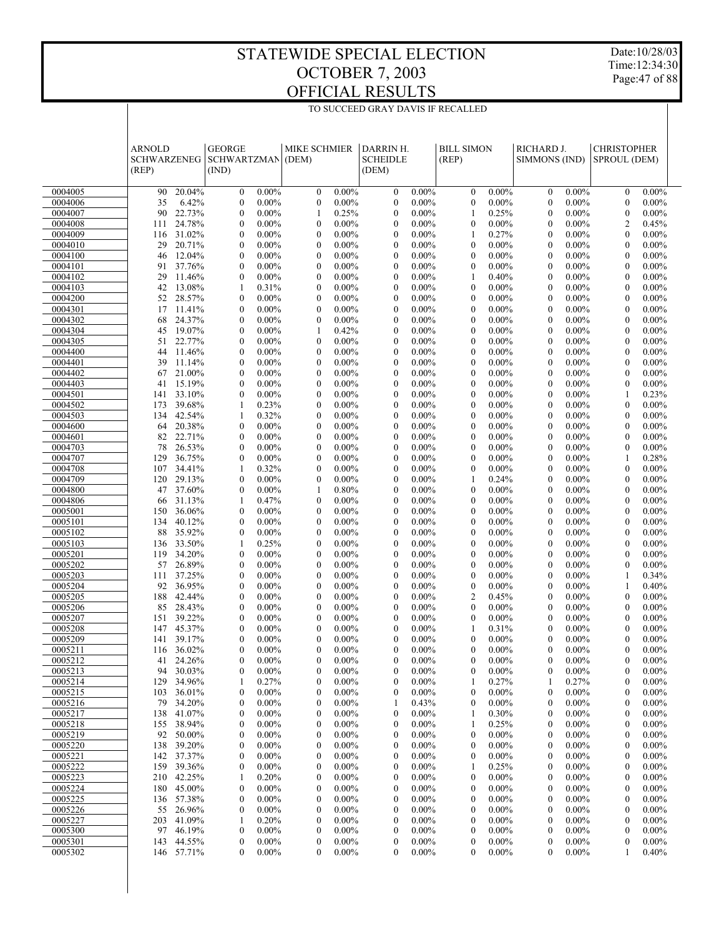Date:10/28/03 Time:12:34:30 Page:47 of 88

|                    | <b>ARNOLD</b><br><b>SCHWARZENEG</b><br>(REP) |                         | <b>GEORGE</b><br><b>SCHWARTZMAN</b><br>(IND) |                      | <b>MIKE SCHMIER</b><br>(DEM) |                      | DARRIN H.<br><b>SCHEIDLE</b><br>(DEM) |                      | <b>BILL SIMON</b><br>(REP)   |                      | RICHARD J.<br>SIMMONS (IND)  |                      | <b>CHRISTOPHER</b><br>SPROUL (DEM) |                      |  |
|--------------------|----------------------------------------------|-------------------------|----------------------------------------------|----------------------|------------------------------|----------------------|---------------------------------------|----------------------|------------------------------|----------------------|------------------------------|----------------------|------------------------------------|----------------------|--|
| 0004005            | 90                                           | 20.04%                  | $\mathbf{0}$                                 | $0.00\%$             | $\mathbf{0}$                 | $0.00\%$             | $\mathbf{0}$                          | $0.00\%$             | $\mathbf{0}$                 | $0.00\%$             | $\mathbf{0}$                 | $0.00\%$             | $\mathbf{0}$                       | $0.00\%$             |  |
| 0004006            | 35                                           | 6.42%                   | $\mathbf{0}$                                 | $0.00\%$             | $\mathbf{0}$                 | $0.00\%$             | $\mathbf{0}$                          | $0.00\%$             | $\mathbf{0}$                 | $0.00\%$             | $\mathbf{0}$                 | $0.00\%$             | $\mathbf{0}$                       | $0.00\%$             |  |
| 0004007            | 90                                           | 22.73%                  | $\mathbf{0}$                                 | $0.00\%$             | 1                            | 0.25%                | $\mathbf{0}$                          | $0.00\%$             | $\mathbf{1}$                 | 0.25%                | $\mathbf{0}$                 | $0.00\%$             | $\mathbf{0}$                       | $0.00\%$             |  |
| 0004008            | 111                                          | 24.78%                  | $\mathbf{0}$                                 | $0.00\%$             | $\theta$                     | $0.00\%$             | $\theta$                              | $0.00\%$             | $\mathbf{0}$                 | $0.00\%$             | $\mathbf{0}$                 | $0.00\%$             | $\overline{2}$                     | 0.45%                |  |
| 0004009            | 116                                          | 31.02%                  | $\mathbf{0}$                                 | $0.00\%$             | $\theta$                     | $0.00\%$             | $\mathbf{0}$                          | $0.00\%$             | $\mathbf{1}$                 | 0.27%                | $\mathbf{0}$                 | $0.00\%$             | $\mathbf{0}$                       | $0.00\%$             |  |
| 0004010            | 29                                           | 20.71%                  | $\mathbf{0}$                                 | $0.00\%$             | $\theta$                     | $0.00\%$             | $\theta$                              | $0.00\%$             | $\mathbf{0}$                 | $0.00\%$             | $\mathbf{0}$                 | $0.00\%$             | $\mathbf{0}$                       | $0.00\%$             |  |
| 0004100<br>0004101 | 46<br>91                                     | 12.04%<br>37.76%        | $\mathbf{0}$<br>$\mathbf{0}$                 | $0.00\%$<br>$0.00\%$ | $\theta$<br>$\theta$         | $0.00\%$<br>$0.00\%$ | $\overline{0}$<br>$\theta$            | $0.00\%$<br>$0.00\%$ | $\mathbf{0}$<br>$\mathbf{0}$ | $0.00\%$<br>$0.00\%$ | $\mathbf{0}$<br>$\mathbf{0}$ | $0.00\%$<br>$0.00\%$ | $\mathbf{0}$<br>$\mathbf{0}$       | $0.00\%$<br>$0.00\%$ |  |
| 0004102            | 29                                           | 11.46%                  | $\mathbf{0}$                                 | $0.00\%$             | $\theta$                     | $0.00\%$             | $\mathbf{0}$                          | $0.00\%$             | $\mathbf{1}$                 | 0.40%                | $\mathbf{0}$                 | $0.00\%$             | $\mathbf{0}$                       | $0.00\%$             |  |
| 0004103            | 42                                           | 13.08%                  | $\mathbf{1}$                                 | 0.31%                | $\theta$                     | $0.00\%$             | $\theta$                              | $0.00\%$             | $\mathbf{0}$                 | $0.00\%$             | $\mathbf{0}$                 | $0.00\%$             | $\mathbf{0}$                       | $0.00\%$             |  |
| 0004200            | 52                                           | 28.57%                  | $\mathbf{0}$                                 | $0.00\%$             | $\mathbf{0}$                 | $0.00\%$             | $\overline{0}$                        | $0.00\%$             | $\mathbf{0}$                 | $0.00\%$             | $\mathbf{0}$                 | $0.00\%$             | $\mathbf{0}$                       | $0.00\%$             |  |
| 0004301            | 17                                           | 11.41%                  | $\mathbf{0}$                                 | $0.00\%$             | $\theta$                     | $0.00\%$             | $\theta$                              | $0.00\%$             | $\mathbf{0}$                 | $0.00\%$             | $\mathbf{0}$                 | $0.00\%$             | $\mathbf{0}$                       | $0.00\%$             |  |
| 0004302            | 68                                           | 24.37%                  | $\mathbf{0}$                                 | $0.00\%$             | $\mathbf{0}$                 | $0.00\%$             | $\overline{0}$                        | $0.00\%$             | $\mathbf{0}$                 | $0.00\%$             | $\mathbf{0}$                 | $0.00\%$             | $\mathbf{0}$                       | $0.00\%$             |  |
| 0004304            | 45                                           | 19.07%                  | $\mathbf{0}$                                 | $0.00\%$             | 1                            | 0.42%                | $\theta$                              | $0.00\%$             | $\mathbf{0}$                 | $0.00\%$             | $\mathbf{0}$                 | $0.00\%$             | $\mathbf{0}$                       | $0.00\%$             |  |
| 0004305            | 51                                           | 22.77%                  | $\mathbf{0}$                                 | $0.00\%$             | $\mathbf{0}$                 | $0.00\%$             | $\overline{0}$                        | $0.00\%$             | $\mathbf{0}$                 | $0.00\%$             | $\mathbf{0}$                 | $0.00\%$             | $\mathbf{0}$                       | $0.00\%$             |  |
| 0004400            | 44                                           | 11.46%                  | $\mathbf{0}$                                 | $0.00\%$             | $\theta$                     | $0.00\%$             | $\theta$                              | $0.00\%$             | $\mathbf{0}$                 | $0.00\%$             | $\mathbf{0}$                 | $0.00\%$             | $\mathbf{0}$                       | $0.00\%$             |  |
| 0004401            | 39                                           | 11.14%                  | $\mathbf{0}$                                 | $0.00\%$             | $\theta$                     | $0.00\%$             | $\mathbf{0}$                          | $0.00\%$             | $\mathbf{0}$                 | $0.00\%$             | $\mathbf{0}$                 | $0.00\%$             | $\mathbf{0}$                       | $0.00\%$             |  |
| 0004402            | 67                                           | 21.00%                  | $\mathbf{0}$                                 | $0.00\%$             | $\theta$                     | $0.00\%$             | $\theta$                              | $0.00\%$             | $\mathbf{0}$                 | $0.00\%$             | $\mathbf{0}$                 | $0.00\%$             | $\mathbf{0}$                       | $0.00\%$             |  |
| 0004403            | 41<br>141                                    | 15.19%<br>33.10%        | $\mathbf{0}$<br>$\mathbf{0}$                 | $0.00\%$             | $\theta$<br>$\theta$         | $0.00\%$             | $\overline{0}$<br>$\theta$            | $0.00\%$             | $\mathbf{0}$<br>$\mathbf{0}$ | $0.00\%$<br>$0.00\%$ | $\mathbf{0}$<br>$\mathbf{0}$ | $0.00\%$             | $\mathbf{0}$<br>1                  | $0.00\%$<br>0.23%    |  |
| 0004501<br>0004502 | 173                                          | 39.68%                  | $\mathbf{1}$                                 | $0.00\%$<br>0.23%    | $\theta$                     | $0.00\%$<br>$0.00\%$ | $\overline{0}$                        | $0.00\%$<br>$0.00\%$ | $\mathbf{0}$                 | $0.00\%$             | $\mathbf{0}$                 | $0.00\%$<br>$0.00\%$ | $\mathbf{0}$                       | $0.00\%$             |  |
| 0004503            | 134                                          | 42.54%                  | $\mathbf{1}$                                 | 0.32%                | $\theta$                     | $0.00\%$             | $\theta$                              | $0.00\%$             | $\mathbf{0}$                 | $0.00\%$             | $\mathbf{0}$                 | $0.00\%$             | $\mathbf{0}$                       | $0.00\%$             |  |
| 0004600            | 64                                           | 20.38%                  | $\mathbf{0}$                                 | $0.00\%$             | $\theta$                     | $0.00\%$             | $\overline{0}$                        | $0.00\%$             | $\mathbf{0}$                 | $0.00\%$             | $\mathbf{0}$                 | $0.00\%$             | $\mathbf{0}$                       | $0.00\%$             |  |
| 0004601            | 82                                           | 22.71%                  | $\mathbf{0}$                                 | $0.00\%$             | $\theta$                     | $0.00\%$             | $\theta$                              | $0.00\%$             | $\mathbf{0}$                 | $0.00\%$             | $\mathbf{0}$                 | $0.00\%$             | $\mathbf{0}$                       | $0.00\%$             |  |
| 0004703            | 78                                           | 26.53%                  | $\mathbf{0}$                                 | $0.00\%$             | $\theta$                     | $0.00\%$             | $\mathbf{0}$                          | $0.00\%$             | $\mathbf{0}$                 | $0.00\%$             | $\mathbf{0}$                 | $0.00\%$             | $\mathbf{0}$                       | $0.00\%$             |  |
| 0004707            | 129                                          | 36.75%                  | $\mathbf{0}$                                 | $0.00\%$             | $\theta$                     | $0.00\%$             | $\theta$                              | $0.00\%$             | $\mathbf{0}$                 | $0.00\%$             | $\mathbf{0}$                 | $0.00\%$             | 1                                  | 0.28%                |  |
| 0004708            | 107                                          | 34.41%                  | $\mathbf{1}$                                 | 0.32%                | $\mathbf{0}$                 | $0.00\%$             | $\overline{0}$                        | $0.00\%$             | $\mathbf{0}$                 | $0.00\%$             | $\mathbf{0}$                 | $0.00\%$             | $\mathbf{0}$                       | $0.00\%$             |  |
| 0004709            | 120                                          | 29.13%                  | $\mathbf{0}$                                 | $0.00\%$             | $\theta$                     | $0.00\%$             | $\theta$                              | $0.00\%$             | $\mathbf{1}$                 | 0.24%                | $\mathbf{0}$                 | $0.00\%$             | $\mathbf{0}$                       | $0.00\%$             |  |
| 0004800            | 47                                           | 37.60%                  | $\mathbf{0}$                                 | $0.00\%$             | 1                            | 0.80%                | $\overline{0}$                        | $0.00\%$             | $\mathbf{0}$                 | $0.00\%$             | $\mathbf{0}$                 | $0.00\%$             | $\mathbf{0}$                       | $0.00\%$             |  |
| 0004806            | 66                                           | 31.13%                  | $\mathbf{1}$                                 | 0.47%                | $\mathbf{0}$                 | $0.00\%$             | $\mathbf{0}$                          | $0.00\%$             | $\mathbf{0}$                 | $0.00\%$             | $\mathbf{0}$                 | $0.00\%$             | $\mathbf{0}$                       | $0.00\%$             |  |
| 0005001            | 150                                          | 36.06%                  | $\mathbf{0}$                                 | $0.00\%$             | $\mathbf{0}$                 | $0.00\%$             | $\overline{0}$                        | $0.00\%$             | $\mathbf{0}$                 | $0.00\%$             | $\mathbf{0}$                 | $0.00\%$             | $\mathbf{0}$                       | $0.00\%$             |  |
| 0005101            | 134                                          | 40.12%                  | $\mathbf{0}$<br>$\mathbf{0}$                 | $0.00\%$             | $\mathbf{0}$                 | $0.00\%$             | $\mathbf{0}$                          | $0.00\%$             | $\mathbf{0}$<br>$\mathbf{0}$ | $0.00\%$             | $\mathbf{0}$                 | $0.00\%$             | $\mathbf{0}$<br>$\mathbf{0}$       | $0.00\%$             |  |
| 0005102<br>0005103 | 88<br>136                                    | 35.92%<br>33.50%        | $\mathbf{1}$                                 | $0.00\%$<br>0.25%    | $\mathbf{0}$<br>$\mathbf{0}$ | $0.00\%$<br>$0.00\%$ | $\mathbf{0}$<br>$\mathbf{0}$          | $0.00\%$<br>$0.00\%$ | $\mathbf{0}$                 | $0.00\%$<br>$0.00\%$ | $\mathbf{0}$<br>$\mathbf{0}$ | $0.00\%$<br>$0.00\%$ | $\mathbf{0}$                       | $0.00\%$<br>$0.00\%$ |  |
| 0005201            | 119                                          | 34.20%                  | $\mathbf{0}$                                 | $0.00\%$             | $\mathbf{0}$                 | $0.00\%$             | $\overline{0}$                        | $0.00\%$             | $\mathbf{0}$                 | $0.00\%$             | $\mathbf{0}$                 | $0.00\%$             | $\mathbf{0}$                       | $0.00\%$             |  |
| 0005202            | 57                                           | 26.89%                  | $\mathbf{0}$                                 | $0.00\%$             | $\mathbf{0}$                 | $0.00\%$             | $\mathbf{0}$                          | $0.00\%$             | $\mathbf{0}$                 | $0.00\%$             | $\mathbf{0}$                 | $0.00\%$             | $\mathbf{0}$                       | $0.00\%$             |  |
| 0005203            | 111                                          | 37.25%                  | $\mathbf{0}$                                 | $0.00\%$             | $\mathbf{0}$                 | $0.00\%$             | $\overline{0}$                        | $0.00\%$             | $\mathbf{0}$                 | $0.00\%$             | $\mathbf{0}$                 | $0.00\%$             | 1                                  | 0.34%                |  |
| 0005204            | 92                                           | 36.95%                  | $\mathbf{0}$                                 | $0.00\%$             | $\mathbf{0}$                 | $0.00\%$             | $\mathbf{0}$                          | $0.00\%$             | $\mathbf{0}$                 | $0.00\%$             | $\mathbf{0}$                 | $0.00\%$             | 1                                  | 0.40%                |  |
| 0005205            | 188                                          | 42.44%                  | $\mathbf{0}$                                 | $0.00\%$             | $\mathbf{0}$                 | $0.00\%$             | $\overline{0}$                        | $0.00\%$             | $\overline{2}$               | 0.45%                | $\mathbf{0}$                 | $0.00\%$             | $\mathbf{0}$                       | $0.00\%$             |  |
| 0005206            | 85                                           | 28.43%                  | $\mathbf{0}$                                 | $0.00\%$             | $\mathbf{0}$                 | $0.00\%$             | $\mathbf{0}$                          | $0.00\%$             | $\mathbf{0}$                 | $0.00\%$             | $\mathbf{0}$                 | $0.00\%$             | $\mathbf{0}$                       | $0.00\%$             |  |
| 0005207            | 151                                          | 39.22%                  | $\mathbf{0}$                                 | $0.00\%$             | $\mathbf{0}$                 | $0.00\%$             | $\mathbf{0}$                          | $0.00\%$             | $\mathbf{0}$                 | $0.00\%$             | $\mathbf{0}$                 | $0.00\%$             | $\mathbf{0}$                       | $0.00\%$             |  |
| 0005208            | 147                                          | 45.37%                  | $\mathbf{0}$                                 | $0.00\%$             | $\mathbf{0}$                 | $0.00\%$             | $\mathbf{0}$                          | $0.00\%$             | $\mathbf{1}$                 | 0.31%                | $\mathbf{0}$                 | $0.00\%$             | $\mathbf{0}$                       | $0.00\%$             |  |
| 0005209            | 141                                          | 39.17%                  | $\theta$                                     | $0.00\%$             | $\theta$                     | $0.00\%$             | $\theta$                              | $0.00\%$             | $\theta$                     | $0.00\%$             | $\theta$                     | $0.00\%$             | $\theta$                           | $0.00\%$             |  |
| 0005211            |                                              | 116 36.02%<br>41 24.26% | $\mathbf{0}$                                 | $0.00\%$             | $\mathbf{0}$                 | $0.00\%$             | $\mathbf{0}$                          | $0.00\%$             | $\mathbf{0}$                 | $0.00\%$             | $\mathbf{0}$                 | $0.00\%$             | $\mathbf{0}$                       | $0.00\%$             |  |
| 0005212<br>0005213 |                                              | 94 30.03%               | 0<br>0                                       | 0.00%<br>$0.00\%$    | 0<br>0                       | $0.00\%$<br>$0.00\%$ | 0<br>0                                | 0.00%<br>$0.00\%$    | 0<br>0                       | 0.00%<br>$0.00\%$    | $\boldsymbol{0}$<br>0        | 0.00%<br>$0.00\%$    | 0<br>$\boldsymbol{0}$              | 0.00%<br>$0.00\%$    |  |
| 0005214            | 129                                          | 34.96%                  | 1                                            | 0.27%                | $\boldsymbol{0}$             | $0.00\%$             | $\boldsymbol{0}$                      | $0.00\%$             | 1                            | 0.27%                |                              | 0.27%                | $\boldsymbol{0}$                   | $0.00\%$             |  |
| 0005215            | 103                                          | 36.01%                  | 0                                            | $0.00\%$             | 0                            | $0.00\%$             | 0                                     | $0.00\%$             | $\boldsymbol{0}$             | $0.00\%$             | 0                            | $0.00\%$             | $\boldsymbol{0}$                   | $0.00\%$             |  |
| 0005216            | 79                                           | 34.20%                  | $\boldsymbol{0}$                             | $0.00\%$             | $\boldsymbol{0}$             | $0.00\%$             | 1                                     | 0.43%                | $\boldsymbol{0}$             | $0.00\%$             | 0                            | $0.00\%$             | $\boldsymbol{0}$                   | $0.00\%$             |  |
| 0005217            | 138                                          | 41.07%                  | 0                                            | $0.00\%$             | 0                            | $0.00\%$             | 0                                     | $0.00\%$             | 1                            | 0.30%                | 0                            | $0.00\%$             | 0                                  | $0.00\%$             |  |
| 0005218            | 155                                          | 38.94%                  | 0                                            | $0.00\%$             | $\boldsymbol{0}$             | $0.00\%$             | $\boldsymbol{0}$                      | $0.00\%$             | 1                            | 0.25%                | 0                            | $0.00\%$             | $\boldsymbol{0}$                   | $0.00\%$             |  |
| 0005219            | 92                                           | 50.00%                  | 0                                            | $0.00\%$             | 0                            | $0.00\%$             | 0                                     | $0.00\%$             | $\boldsymbol{0}$             | $0.00\%$             | 0                            | $0.00\%$             | 0                                  | $0.00\%$             |  |
| 0005220            | 138                                          | 39.20%                  | $\boldsymbol{0}$                             | $0.00\%$             | $\boldsymbol{0}$             | $0.00\%$             | 0                                     | $0.00\%$             | $\boldsymbol{0}$             | $0.00\%$             | 0                            | $0.00\%$             | $\boldsymbol{0}$                   | $0.00\%$             |  |
| 0005221            | 142                                          | 37.37%                  | 0                                            | $0.00\%$             | $\boldsymbol{0}$             | $0.00\%$             | 0                                     | $0.00\%$             | 0                            | $0.00\%$             | 0                            | $0.00\%$             | 0                                  | $0.00\%$             |  |
| 0005222            | 159                                          | 39.36%                  | 0                                            | $0.00\%$             | $\boldsymbol{0}$             | $0.00\%$             | 0                                     | $0.00\%$             | 1                            | 0.25%                | 0                            | $0.00\%$             | $\boldsymbol{0}$                   | $0.00\%$             |  |
| 0005223            |                                              | 210 42.25%              | 1                                            | 0.20%                | 0                            | $0.00\%$             | 0                                     | $0.00\%$             | 0                            | $0.00\%$             | 0                            | $0.00\%$             | 0                                  | $0.00\%$             |  |
| 0005224            | 180                                          | 45.00%                  | $\boldsymbol{0}$                             | $0.00\%$             | $\boldsymbol{0}$             | $0.00\%$             | 0                                     | $0.00\%$             | $\boldsymbol{0}$             | $0.00\%$             | 0                            | $0.00\%$             | $\boldsymbol{0}$                   | $0.00\%$             |  |
| 0005225<br>0005226 | 55                                           | 136 57.38%<br>26.96%    | 0<br>0                                       | $0.00\%$<br>$0.00\%$ | 0<br>$\boldsymbol{0}$        | $0.00\%$<br>$0.00\%$ | 0<br>0                                | $0.00\%$<br>$0.00\%$ | 0<br>$\boldsymbol{0}$        | $0.00\%$<br>$0.00\%$ | 0<br>0                       | $0.00\%$<br>$0.00\%$ | 0<br>$\boldsymbol{0}$              | $0.00\%$<br>$0.00\%$ |  |
| 0005227            | 203                                          | 41.09%                  | 1                                            | 0.20%                | 0                            | $0.00\%$             | 0                                     | $0.00\%$             | 0                            | $0.00\%$             | 0                            | $0.00\%$             | 0                                  | $0.00\%$             |  |
| 0005300            | 97                                           | 46.19%                  | $\boldsymbol{0}$                             | $0.00\%$             | $\boldsymbol{0}$             | $0.00\%$             | $\boldsymbol{0}$                      | $0.00\%$             | $\boldsymbol{0}$             | $0.00\%$             | 0                            | $0.00\%$             | $\boldsymbol{0}$                   | $0.00\%$             |  |
| 0005301            | 143                                          | 44.55%                  | 0                                            | $0.00\%$             | $\boldsymbol{0}$             | $0.00\%$             | 0                                     | $0.00\%$             | $\boldsymbol{0}$             | $0.00\%$             | 0                            | $0.00\%$             | $\boldsymbol{0}$                   | $0.00\%$             |  |
| 0005302            |                                              | 146 57.71%              | $\mathbf{0}$                                 | $0.00\%$             | 0                            | $0.00\%$             | 0                                     | $0.00\%$             | $\boldsymbol{0}$             | $0.00\%$             | $\theta$                     | $0.00\%$             | 1                                  | 0.40%                |  |
|                    |                                              |                         |                                              |                      |                              |                      |                                       |                      |                              |                      |                              |                      |                                    |                      |  |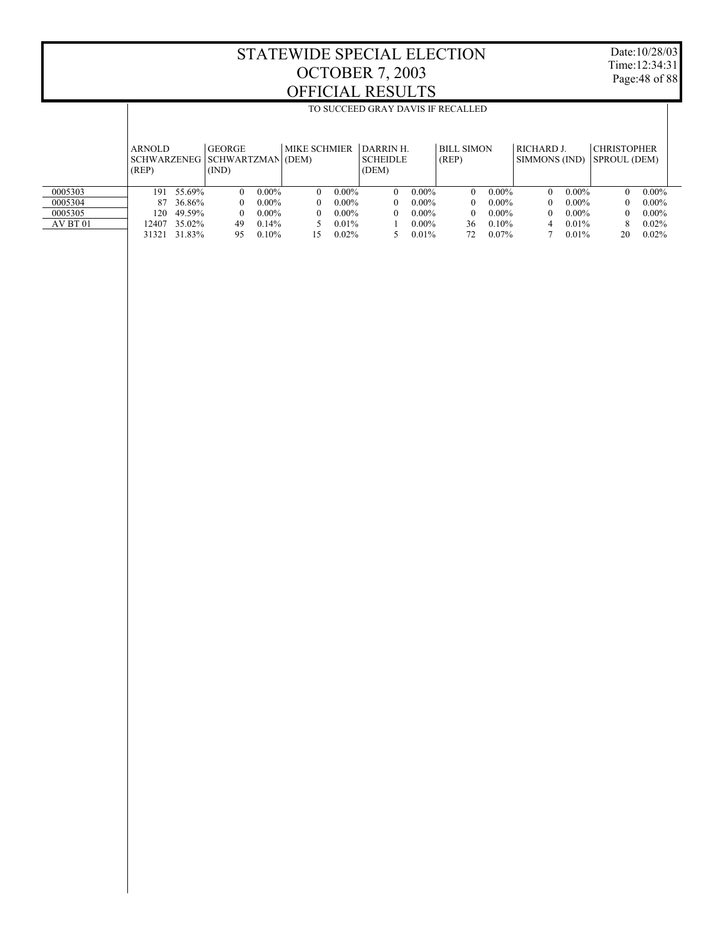$\overline{\phantom{a}}$ 

Date:10/28/03 Time:12:34:31 Page:48 of 88

 $\overline{\phantom{a}}$ 

|          | <b>ARNOLD</b><br>(REP) |        | <b>GEORGE</b><br>SCHWARZENEG   SCHWARTZMAN (DEM)<br>(IND) |          | MIKE SCHMIER |          | <b>DARRIN H</b><br><b>SCHEIDLE</b><br>(DEM) |          | <b>BILL SIMON</b><br>(REP) |          | RICHARD J.<br>SIMMONS (IND) |          | <b>CHRISTOPHER</b><br>SPROUL (DEM) |          |
|----------|------------------------|--------|-----------------------------------------------------------|----------|--------------|----------|---------------------------------------------|----------|----------------------------|----------|-----------------------------|----------|------------------------------------|----------|
| 0005303  | 191                    | 55.69% | $\Omega$                                                  | $0.00\%$ | $\Omega$     | $0.00\%$ | $\Omega$                                    | $0.00\%$ | $\Omega$                   | $0.00\%$ | $\Omega$                    | $0.00\%$ |                                    | $0.00\%$ |
| 0005304  | 87                     | 36.86% | $^{\circ}$                                                | $0.00\%$ | $\Omega$     | $0.00\%$ | $\Omega$                                    | $0.00\%$ | $\Omega$                   | $0.00\%$ | $\Omega$                    | $0.00\%$ |                                    | $0.00\%$ |
| 0005305  | 120                    | 49.59% | $^{\circ}$                                                | $0.00\%$ | $\Omega$     | $0.00\%$ | $\Omega$                                    | $0.00\%$ | $\Omega$                   | $0.00\%$ | $\Omega$                    | $0.00\%$ |                                    | $0.00\%$ |
| AV BT 01 | 2407                   | 35.02% | 49                                                        | 0.14%    |              | 0.01%    |                                             | $0.00\%$ | 36                         | $0.10\%$ | 4                           | 0.01%    | 8                                  | $0.02\%$ |
|          | 31321                  | 31.83% | 95                                                        | 0.10%    | 15           | 0.02%    |                                             | 0.01%    | 72                         | 0.07%    |                             | 0.01%    | 20                                 | $0.02\%$ |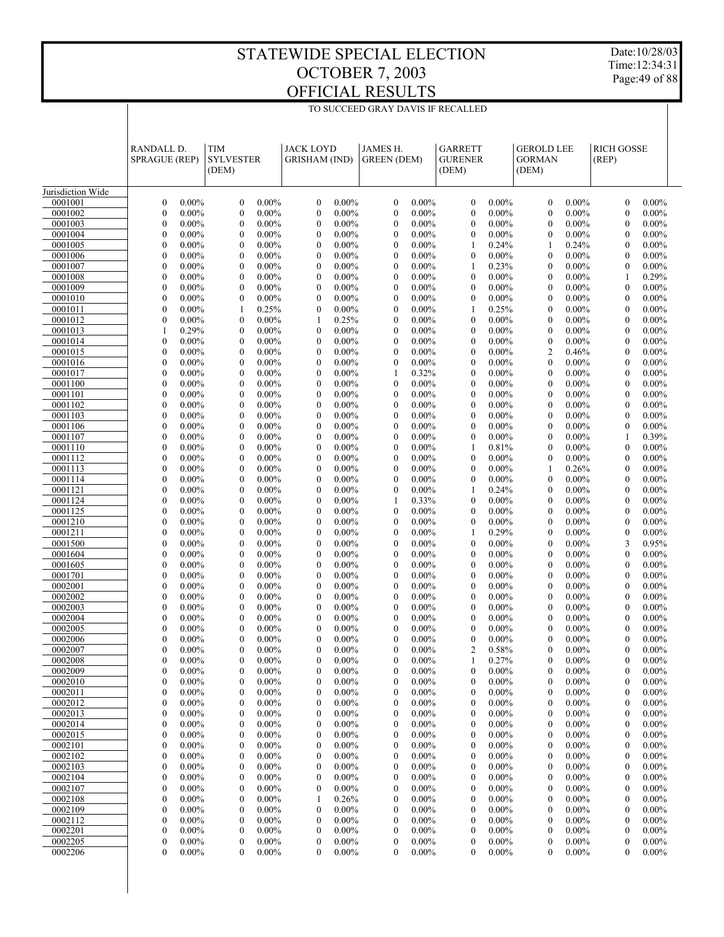Date:10/28/03 Time:12:34:31 Page:49 of 88

|                    | RANDALL D.<br><b>SPRAGUE (REP)</b>   |                      | <b>TIM</b><br><b>SYLVESTER</b><br>(DEM) |                      | <b>JACK LOYD</b><br><b>GRISHAM (IND)</b> |                      | JAMES H.<br><b>GREEN (DEM)</b>   |                      | <b>GARRETT</b><br><b>GURENER</b><br>(DEM) |                      | <b>GEROLD LEE</b><br><b>GORMAN</b><br>(DEM) |                      | <b>RICH GOSSE</b><br>(REP)         |                      |
|--------------------|--------------------------------------|----------------------|-----------------------------------------|----------------------|------------------------------------------|----------------------|----------------------------------|----------------------|-------------------------------------------|----------------------|---------------------------------------------|----------------------|------------------------------------|----------------------|
| Jurisdiction Wide  |                                      |                      |                                         |                      |                                          |                      |                                  |                      |                                           |                      |                                             |                      |                                    |                      |
| 0001001            | $\mathbf{0}$                         | $0.00\%$             | $\boldsymbol{0}$                        | $0.00\%$             | $\mathbf{0}$                             | $0.00\%$             | $\mathbf{0}$                     | $0.00\%$             | $\mathbf{0}$                              | $0.00\%$             | $\mathbf{0}$                                | $0.00\%$             | $\mathbf{0}$                       | $0.00\%$             |
| 0001002            | $\mathbf{0}$                         | $0.00\%$             | $\mathbf{0}$                            | $0.00\%$             | $\boldsymbol{0}$                         | $0.00\%$             | $\mathbf{0}$                     | $0.00\%$             | $\mathbf{0}$                              | $0.00\%$             | $\mathbf{0}$                                | $0.00\%$             | $\overline{0}$                     | $0.00\%$             |
| 0001003            | $\mathbf{0}$                         | $0.00\%$             | $\mathbf{0}$                            | $0.00\%$             | $\boldsymbol{0}$                         | $0.00\%$             | $\mathbf{0}$                     | $0.00\%$             | $\mathbf{0}$                              | $0.00\%$             | $\mathbf{0}$                                | $0.00\%$             | $\theta$                           | $0.00\%$             |
| 0001004            | $\mathbf{0}$                         | $0.00\%$             | $\mathbf{0}$                            | $0.00\%$             | $\boldsymbol{0}$                         | $0.00\%$             | $\mathbf{0}$                     | $0.00\%$             | $\mathbf{0}$                              | $0.00\%$             | $\mathbf{0}$                                | $0.00\%$             | $\mathbf{0}$                       | $0.00\%$             |
| 0001005            | $\mathbf{0}$                         | $0.00\%$             | $\mathbf{0}$                            | $0.00\%$             | $\boldsymbol{0}$                         | $0.00\%$             | $\mathbf{0}$                     | $0.00\%$             | 1                                         | 0.24%                | 1                                           | 0.24%                | $\overline{0}$                     | $0.00\%$             |
| 0001006            | $\boldsymbol{0}$                     | $0.00\%$             | $\mathbf{0}$                            | $0.00\%$             | $\boldsymbol{0}$                         | $0.00\%$             | $\mathbf{0}$                     | $0.00\%$             | $\boldsymbol{0}$                          | $0.00\%$             | $\mathbf{0}$                                | $0.00\%$             | $\mathbf{0}$                       | $0.00\%$             |
| 0001007            | $\mathbf{0}$                         | $0.00\%$             | $\mathbf{0}$                            | $0.00\%$             | $\boldsymbol{0}$                         | $0.00\%$             | $\mathbf{0}$                     | $0.00\%$             | $\mathbf{1}$                              | 0.23%                | $\mathbf{0}$                                | $0.00\%$             | $\overline{0}$                     | $0.00\%$             |
| 0001008            | $\boldsymbol{0}$<br>$\mathbf{0}$     | $0.00\%$<br>$0.00\%$ | $\mathbf{0}$<br>$\mathbf{0}$            | $0.00\%$<br>$0.00\%$ | $\boldsymbol{0}$<br>$\boldsymbol{0}$     | $0.00\%$<br>$0.00\%$ | $\mathbf{0}$<br>$\mathbf{0}$     | $0.00\%$<br>$0.00\%$ | $\mathbf{0}$<br>$\mathbf{0}$              | $0.00\%$<br>$0.00\%$ | $\mathbf{0}$<br>$\mathbf{0}$                | $0.00\%$<br>$0.00\%$ | 1<br>$\overline{0}$                | 0.29%<br>$0.00\%$    |
| 0001009<br>0001010 | $\boldsymbol{0}$                     | $0.00\%$             | $\mathbf{0}$                            | $0.00\%$             | $\boldsymbol{0}$                         | $0.00\%$             | $\mathbf{0}$                     | $0.00\%$             | $\boldsymbol{0}$                          | $0.00\%$             | $\mathbf{0}$                                | $0.00\%$             | $\mathbf{0}$                       | $0.00\%$             |
| 0001011            | $\mathbf{0}$                         | $0.00\%$             | $\mathbf{1}$                            | 0.25%                | $\boldsymbol{0}$                         | $0.00\%$             | $\mathbf{0}$                     | $0.00\%$             | $\mathbf{1}$                              | 0.25%                | $\mathbf{0}$                                | $0.00\%$             | $\theta$                           | $0.00\%$             |
| 0001012            | $\mathbf{0}$                         | $0.00\%$             | $\mathbf{0}$                            | $0.00\%$             | 1                                        | 0.25%                | $\mathbf{0}$                     | $0.00\%$             | $\mathbf{0}$                              | $0.00\%$             | $\mathbf{0}$                                | $0.00\%$             | $\mathbf{0}$                       | $0.00\%$             |
| 0001013            | $\mathbf{1}$                         | 0.29%                | $\mathbf{0}$                            | $0.00\%$             | $\boldsymbol{0}$                         | $0.00\%$             | $\mathbf{0}$                     | $0.00\%$             | $\mathbf{0}$                              | $0.00\%$             | $\mathbf{0}$                                | $0.00\%$             | $\Omega$                           | $0.00\%$             |
| 0001014            | $\boldsymbol{0}$                     | $0.00\%$             | $\mathbf{0}$                            | $0.00\%$             | $\boldsymbol{0}$                         | $0.00\%$             | $\mathbf{0}$                     | $0.00\%$             | $\mathbf{0}$                              | $0.00\%$             | $\mathbf{0}$                                | $0.00\%$             | $\mathbf{0}$                       | $0.00\%$             |
| 0001015            | $\mathbf{0}$                         | $0.00\%$             | $\mathbf{0}$                            | $0.00\%$             | $\boldsymbol{0}$                         | $0.00\%$             | $\mathbf{0}$                     | $0.00\%$             | $\mathbf{0}$                              | $0.00\%$             | 2                                           | 0.46%                | $\theta$                           | $0.00\%$             |
| 0001016            | $\boldsymbol{0}$                     | $0.00\%$             | $\mathbf{0}$                            | $0.00\%$             | $\boldsymbol{0}$                         | $0.00\%$             | $\mathbf{0}$                     | $0.00\%$             | $\mathbf{0}$                              | $0.00\%$             | $\mathbf{0}$                                | $0.00\%$             | $\mathbf{0}$                       | $0.00\%$             |
| 0001017            | $\mathbf{0}$                         | $0.00\%$             | $\mathbf{0}$                            | $0.00\%$             | $\boldsymbol{0}$                         | $0.00\%$             | 1                                | 0.32%                | $\mathbf{0}$                              | $0.00\%$             | $\mathbf{0}$                                | $0.00\%$             | $\overline{0}$                     | $0.00\%$             |
| 0001100            | $\boldsymbol{0}$                     | $0.00\%$             | $\mathbf{0}$                            | $0.00\%$             | $\boldsymbol{0}$                         | $0.00\%$             | $\mathbf{0}$                     | $0.00\%$             | $\mathbf{0}$                              | $0.00\%$             | $\mathbf{0}$                                | $0.00\%$             | $\mathbf{0}$                       | $0.00\%$             |
| 0001101            | $\mathbf{0}$                         | $0.00\%$             | $\mathbf{0}$                            | $0.00\%$             | $\boldsymbol{0}$                         | $0.00\%$             | $\mathbf{0}$                     | $0.00\%$             | $\mathbf{0}$                              | $0.00\%$             | $\mathbf{0}$                                | $0.00\%$             | $\theta$                           | $0.00\%$             |
| 0001102            | $\mathbf{0}$                         | $0.00\%$             | $\mathbf{0}$                            | $0.00\%$             | $\boldsymbol{0}$                         | $0.00\%$             | $\mathbf{0}$                     | $0.00\%$             | $\mathbf{0}$                              | $0.00\%$             | $\mathbf{0}$                                | $0.00\%$             | $\mathbf{0}$                       | $0.00\%$             |
| 0001103            | $\mathbf{0}$                         | $0.00\%$             | $\mathbf{0}$                            | $0.00\%$             | $\boldsymbol{0}$                         | $0.00\%$             | $\mathbf{0}$                     | $0.00\%$             | $\mathbf{0}$                              | $0.00\%$             | $\mathbf{0}$                                | $0.00\%$             | $\overline{0}$                     | $0.00\%$             |
| 0001106            | $\boldsymbol{0}$                     | $0.00\%$             | $\mathbf{0}$                            | $0.00\%$             | $\boldsymbol{0}$                         | $0.00\%$             | $\mathbf{0}$                     | $0.00\%$             | $\mathbf{0}$                              | $0.00\%$             | $\mathbf{0}$                                | $0.00\%$             | $\mathbf{0}$                       | $0.00\%$             |
| 0001107<br>0001110 | $\mathbf{0}$<br>$\mathbf{0}$         | $0.00\%$<br>$0.00\%$ | $\mathbf{0}$<br>$\mathbf{0}$            | $0.00\%$<br>$0.00\%$ | $\boldsymbol{0}$<br>$\boldsymbol{0}$     | $0.00\%$<br>$0.00\%$ | $\mathbf{0}$<br>$\mathbf{0}$     | $0.00\%$<br>$0.00\%$ | $\mathbf{0}$<br>1                         | $0.00\%$<br>0.81%    | $\mathbf{0}$<br>$\mathbf{0}$                | $0.00\%$<br>$0.00\%$ | 1<br>$\mathbf{0}$                  | 0.39%<br>$0.00\%$    |
| 0001112            | $\mathbf{0}$                         | $0.00\%$             | $\mathbf{0}$                            | $0.00\%$             | $\boldsymbol{0}$                         | $0.00\%$             | $\mathbf{0}$                     | $0.00\%$             | $\mathbf{0}$                              | $0.00\%$             | $\mathbf{0}$                                | $0.00\%$             | $\Omega$                           | $0.00\%$             |
| 0001113            | $\boldsymbol{0}$                     | $0.00\%$             | $\mathbf{0}$                            | $0.00\%$             | $\boldsymbol{0}$                         | $0.00\%$             | $\mathbf{0}$                     | $0.00\%$             | $\mathbf{0}$                              | $0.00\%$             | 1                                           | 0.26%                | $\mathbf{0}$                       | $0.00\%$             |
| 0001114            | $\mathbf{0}$                         | $0.00\%$             | $\mathbf{0}$                            | $0.00\%$             | $\boldsymbol{0}$                         | $0.00\%$             | $\mathbf{0}$                     | $0.00\%$             | $\mathbf{0}$                              | $0.00\%$             | $\mathbf{0}$                                | $0.00\%$             | $\theta$                           | $0.00\%$             |
| 0001121            | $\boldsymbol{0}$                     | $0.00\%$             | $\mathbf{0}$                            | $0.00\%$             | $\boldsymbol{0}$                         | $0.00\%$             | $\mathbf{0}$                     | $0.00\%$             | 1                                         | 0.24%                | $\mathbf{0}$                                | $0.00\%$             | $\mathbf{0}$                       | $0.00\%$             |
| 0001124            | $\mathbf{0}$                         | $0.00\%$             | $\mathbf{0}$                            | $0.00\%$             | $\boldsymbol{0}$                         | $0.00\%$             | $\mathbf{1}$                     | 0.33%                | $\mathbf{0}$                              | $0.00\%$             | $\mathbf{0}$                                | $0.00\%$             | $\Omega$                           | $0.00\%$             |
| 0001125            | $\boldsymbol{0}$                     | $0.00\%$             | $\mathbf{0}$                            | $0.00\%$             | $\boldsymbol{0}$                         | $0.00\%$             | $\mathbf{0}$                     | $0.00\%$             | $\mathbf{0}$                              | $0.00\%$             | $\mathbf{0}$                                | $0.00\%$             | $\mathbf{0}$                       | $0.00\%$             |
| 0001210            | $\mathbf{0}$                         | $0.00\%$             | $\mathbf{0}$                            | $0.00\%$             | $\boldsymbol{0}$                         | $0.00\%$             | $\mathbf{0}$                     | $0.00\%$             | $\mathbf{0}$                              | $0.00\%$             | $\mathbf{0}$                                | $0.00\%$             | $\theta$                           | $0.00\%$             |
| 0001211            | $\boldsymbol{0}$                     | $0.00\%$             | $\mathbf{0}$                            | $0.00\%$             | $\boldsymbol{0}$                         | $0.00\%$             | $\mathbf{0}$                     | $0.00\%$             | 1                                         | 0.29%                | $\mathbf{0}$                                | $0.00\%$             | $\mathbf{0}$                       | $0.00\%$             |
| 0001500            | $\mathbf{0}$                         | $0.00\%$             | $\mathbf{0}$                            | $0.00\%$             | $\boldsymbol{0}$                         | $0.00\%$             | $\mathbf{0}$                     | $0.00\%$             | $\mathbf{0}$                              | $0.00\%$             | $\mathbf{0}$                                | $0.00\%$             | 3                                  | 0.95%                |
| 0001604            | $\boldsymbol{0}$                     | $0.00\%$             | $\mathbf{0}$                            | $0.00\%$             | $\boldsymbol{0}$                         | $0.00\%$             | $\mathbf{0}$                     | $0.00\%$             | $\mathbf{0}$                              | $0.00\%$             | $\mathbf{0}$                                | $0.00\%$             | $\overline{0}$                     | $0.00\%$             |
| 0001605<br>0001701 | $\mathbf{0}$<br>$\mathbf{0}$         | $0.00\%$<br>$0.00\%$ | $\mathbf{0}$<br>$\mathbf{0}$            | $0.00\%$<br>$0.00\%$ | $\boldsymbol{0}$<br>$\boldsymbol{0}$     | $0.00\%$<br>$0.00\%$ | $\mathbf{0}$<br>$\mathbf{0}$     | $0.00\%$<br>$0.00\%$ | $\mathbf{0}$<br>$\mathbf{0}$              | $0.00\%$<br>$0.00\%$ | $\mathbf{0}$<br>$\mathbf{0}$                | $0.00\%$<br>$0.00\%$ | $\theta$<br>$\mathbf{0}$           | $0.00\%$<br>$0.00\%$ |
| 0002001            | $\mathbf{0}$                         | $0.00\%$             | $\mathbf{0}$                            | $0.00\%$             | $\boldsymbol{0}$                         | $0.00\%$             | $\mathbf{0}$                     | $0.00\%$             | $\mathbf{0}$                              | $0.00\%$             | $\mathbf{0}$                                | $0.00\%$             | $\overline{0}$                     | $0.00\%$             |
| 0002002            | $\boldsymbol{0}$                     | $0.00\%$             | $\mathbf{0}$                            | $0.00\%$             | $\boldsymbol{0}$                         | $0.00\%$             | $\mathbf{0}$                     | $0.00\%$             | $\mathbf{0}$                              | $0.00\%$             | $\mathbf{0}$                                | $0.00\%$             | $\mathbf{0}$                       | $0.00\%$             |
| 0002003            | $\mathbf{0}$                         | $0.00\%$             | $\mathbf{0}$                            | $0.00\%$             | $\boldsymbol{0}$                         | $0.00\%$             | $\mathbf{0}$                     | $0.00\%$             | $\mathbf{0}$                              | $0.00\%$             | $\mathbf{0}$                                | $0.00\%$             | $\overline{0}$                     | $0.00\%$             |
| 0002004            | $\boldsymbol{0}$                     | $0.00\%$             | $\mathbf{0}$                            | $0.00\%$             | $\boldsymbol{0}$                         | $0.00\%$             | $\mathbf{0}$                     | $0.00\%$             | $\mathbf{0}$                              | $0.00\%$             | $\mathbf{0}$                                | $0.00\%$             | $\mathbf{0}$                       | $0.00\%$             |
| 0002005            | $\mathbf{0}$                         | $0.00\%$             | $\mathbf{0}$                            | $0.00\%$             | $\mathbf{0}$                             | $0.00\%$             | $\mathbf{0}$                     | $0.00\%$             | $\mathbf{0}$                              | $0.00\%$             | $\mathbf{0}$                                | $0.00\%$             | $\Omega$                           | $0.00\%$             |
| 0002006            | $\boldsymbol{0}$                     | $0.00\%$             | $\boldsymbol{0}$                        | $0.00\%$             | $\mathbf{0}$                             | $0.00\%$             | $\mathbf{0}$                     | $0.00\%$             | $\mathbf{0}$                              | $0.00\%$             | $\mathbf{0}$                                | $0.00\%$             | $\theta$                           | $0.00\%$             |
| 0002007            | $\mathbf{0}$                         | $0.00\%$             | $\mathbf{0}$                            | $0.00\%$             | $\mathbf{0}$                             | $0.00\%$             | 0                                | $0.00\%$             | $\overline{2}$                            | 0.58%                | $\theta$                                    | $0.00\%$             | $\theta$                           | $0.00\%$             |
| 0002008            | $\boldsymbol{0}$                     | $0.00\%$             | $\theta$                                | $0.00\%$             | $\boldsymbol{0}$                         | $0.00\%$             | $\bf{0}$                         | $0.00\%$             |                                           | 0.27%                | $\theta$                                    | $0.00\%$             | 0                                  | $0.00\%$             |
| 0002009            | $\boldsymbol{0}$                     | $0.00\%$             | $\boldsymbol{0}$                        | $0.00\%$             | $\boldsymbol{0}$                         | $0.00\%$             | $\mathbf{0}$                     | $0.00\%$             | $\boldsymbol{0}$                          | $0.00\%$             | $\mathbf{0}$                                | $0.00\%$             | 0                                  | $0.00\%$             |
| 0002010            | $\boldsymbol{0}$                     | $0.00\%$             | $\boldsymbol{0}$                        | $0.00\%$             | $\boldsymbol{0}$                         | $0.00\%$             | $\boldsymbol{0}$                 | $0.00\%$             | $\boldsymbol{0}$                          | $0.00\%$             | $\boldsymbol{0}$                            | $0.00\%$             | $\boldsymbol{0}$                   | $0.00\%$             |
| 0002011            | $\boldsymbol{0}$                     | $0.00\%$             | $\boldsymbol{0}$                        | $0.00\%$             | $\boldsymbol{0}$                         | $0.00\%$             | $\boldsymbol{0}$                 | $0.00\%$             | $\boldsymbol{0}$                          | $0.00\%$             | $\boldsymbol{0}$                            | $0.00\%$             | $\overline{0}$                     | $0.00\%$             |
| 0002012            | $\boldsymbol{0}$                     | $0.00\%$             | $\boldsymbol{0}$                        | $0.00\%$<br>$0.00\%$ | $\boldsymbol{0}$                         | $0.00\%$             | $\boldsymbol{0}$                 | $0.00\%$             | $\boldsymbol{0}$                          | $0.00\%$<br>$0.00\%$ | $\boldsymbol{0}$                            | $0.00\%$             | $\boldsymbol{0}$                   | $0.00\%$             |
| 0002013<br>0002014 | $\boldsymbol{0}$<br>$\boldsymbol{0}$ | $0.00\%$<br>$0.00\%$ | $\boldsymbol{0}$<br>$\boldsymbol{0}$    | $0.00\%$             | $\boldsymbol{0}$<br>$\boldsymbol{0}$     | $0.00\%$<br>$0.00\%$ | $\mathbf{0}$<br>$\boldsymbol{0}$ | $0.00\%$<br>$0.00\%$ | $\boldsymbol{0}$<br>$\boldsymbol{0}$      | $0.00\%$             | $\boldsymbol{0}$<br>$\boldsymbol{0}$        | $0.00\%$<br>$0.00\%$ | $\overline{0}$<br>$\boldsymbol{0}$ | $0.00\%$<br>$0.00\%$ |
| 0002015            | $\mathbf{0}$                         | $0.00\%$             | $\boldsymbol{0}$                        | $0.00\%$             | $\boldsymbol{0}$                         | $0.00\%$             | $\boldsymbol{0}$                 | $0.00\%$             | $\boldsymbol{0}$                          | $0.00\%$             | $\boldsymbol{0}$                            | $0.00\%$             | $\overline{0}$                     | $0.00\%$             |
| 0002101            | $\boldsymbol{0}$                     | $0.00\%$             | $\boldsymbol{0}$                        | $0.00\%$             | $\boldsymbol{0}$                         | $0.00\%$             | $\boldsymbol{0}$                 | $0.00\%$             | $\boldsymbol{0}$                          | $0.00\%$             | $\boldsymbol{0}$                            | $0.00\%$             | $\boldsymbol{0}$                   | $0.00\%$             |
| 0002102            | $\mathbf{0}$                         | $0.00\%$             | $\boldsymbol{0}$                        | $0.00\%$             | $\boldsymbol{0}$                         | $0.00\%$             | $\boldsymbol{0}$                 | $0.00\%$             | $\boldsymbol{0}$                          | $0.00\%$             | $\boldsymbol{0}$                            | $0.00\%$             | $\overline{0}$                     | $0.00\%$             |
| 0002103            | $\boldsymbol{0}$                     | $0.00\%$             | $\boldsymbol{0}$                        | $0.00\%$             | $\boldsymbol{0}$                         | $0.00\%$             | $\boldsymbol{0}$                 | $0.00\%$             | $\boldsymbol{0}$                          | $0.00\%$             | $\boldsymbol{0}$                            | $0.00\%$             | $\boldsymbol{0}$                   | $0.00\%$             |
| 0002104            | $\mathbf{0}$                         | $0.00\%$             | $\boldsymbol{0}$                        | $0.00\%$             | $\boldsymbol{0}$                         | $0.00\%$             | $\boldsymbol{0}$                 | $0.00\%$             | $\boldsymbol{0}$                          | $0.00\%$             | $\boldsymbol{0}$                            | $0.00\%$             | $\overline{0}$                     | $0.00\%$             |
| 0002107            | $\boldsymbol{0}$                     | $0.00\%$             | $\boldsymbol{0}$                        | $0.00\%$             | $\boldsymbol{0}$                         | $0.00\%$             | $\boldsymbol{0}$                 | $0.00\%$             | $\boldsymbol{0}$                          | $0.00\%$             | $\boldsymbol{0}$                            | $0.00\%$             | $\boldsymbol{0}$                   | $0.00\%$             |
| 0002108            | $\mathbf{0}$                         | $0.00\%$             | $\boldsymbol{0}$                        | $0.00\%$             | 1                                        | 0.26%                | $\mathbf{0}$                     | $0.00\%$             | $\boldsymbol{0}$                          | $0.00\%$             | $\boldsymbol{0}$                            | $0.00\%$             | $\overline{0}$                     | $0.00\%$             |
| 0002109            | $\boldsymbol{0}$                     | $0.00\%$             | $\boldsymbol{0}$                        | $0.00\%$             | $\boldsymbol{0}$                         | $0.00\%$             | $\boldsymbol{0}$                 | $0.00\%$             | $\boldsymbol{0}$                          | $0.00\%$             | $\boldsymbol{0}$                            | $0.00\%$             | $\boldsymbol{0}$                   | $0.00\%$             |
| 0002112            | $\mathbf{0}$                         | $0.00\%$             | $\boldsymbol{0}$                        | $0.00\%$             | $\boldsymbol{0}$                         | $0.00\%$             | $\boldsymbol{0}$                 | $0.00\%$             | $\boldsymbol{0}$                          | $0.00\%$             | $\boldsymbol{0}$                            | $0.00\%$             | $\overline{0}$                     | $0.00\%$             |
| 0002201            | $\boldsymbol{0}$                     | $0.00\%$             | $\boldsymbol{0}$                        | $0.00\%$             | $\boldsymbol{0}$                         | $0.00\%$             | $\boldsymbol{0}$                 | $0.00\%$             | $\boldsymbol{0}$                          | $0.00\%$             | $\boldsymbol{0}$                            | $0.00\%$             | $\boldsymbol{0}$                   | $0.00\%$             |
| 0002205            | $\mathbf{0}$<br>$\mathbf{0}$         | $0.00\%$             | $\boldsymbol{0}$                        | $0.00\%$             | $\boldsymbol{0}$                         | $0.00\%$             | $\mathbf{0}$                     | $0.00\%$             | $\boldsymbol{0}$                          | $0.00\%$             | 0                                           | $0.00\%$             | $\overline{0}$                     | $0.00\%$             |
| 0002206            |                                      | $0.00\%$             | $\mathbf{0}$                            | $0.00\%$             | $\boldsymbol{0}$                         | $0.00\%$             | $\mathbf{0}$                     | $0.00\%$             | $\boldsymbol{0}$                          | $0.00\%$             | 0                                           | $0.00\%$             | $\overline{0}$                     | $0.00\%$             |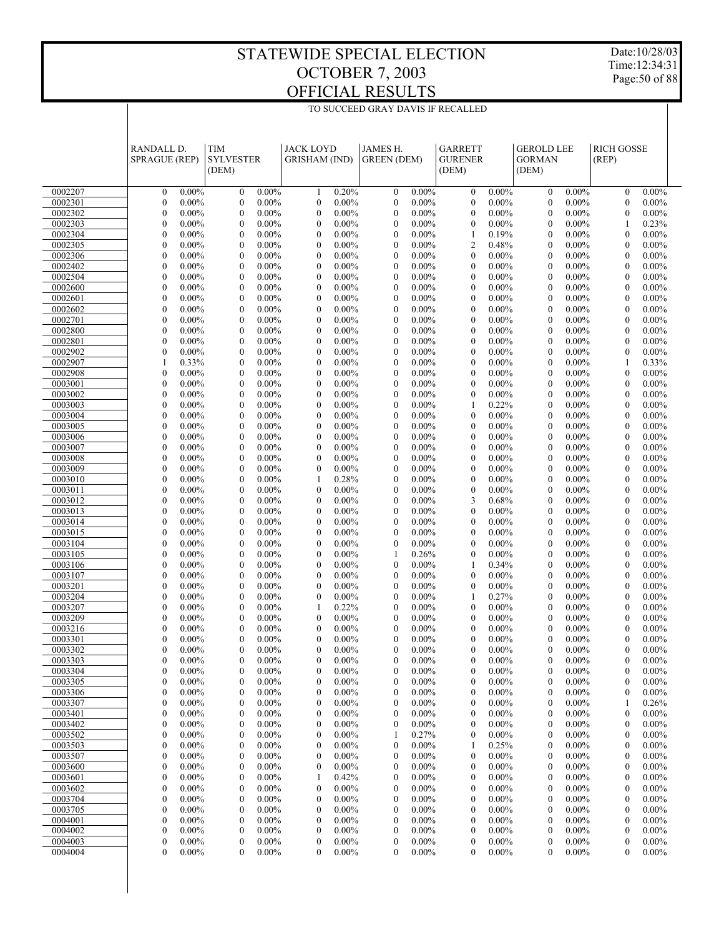Date:10/28/03 Time:12:34:31 Page:50 of 88

|                    | <b>RANDALL D.</b><br><b>SPRAGUE (REP)</b> |                      | <b>TIM</b><br><b>SYLVESTER</b><br>(DEM) |                      | <b>JACK LOYD</b><br><b>GRISHAM (IND)</b> |                      | <b>JAMES H.</b><br><b>GREEN</b> (DEM) |                      | <b>GARRETT</b><br><b>GURENER</b><br>(DEM) |                      | <b>GEROLD LEE</b><br><b>GORMAN</b><br>(DEM) |                      | <b>RICH GOSSE</b><br>(REP)           |                      |  |
|--------------------|-------------------------------------------|----------------------|-----------------------------------------|----------------------|------------------------------------------|----------------------|---------------------------------------|----------------------|-------------------------------------------|----------------------|---------------------------------------------|----------------------|--------------------------------------|----------------------|--|
| 0002207            | $\boldsymbol{0}$                          | $0.00\%$             | $\boldsymbol{0}$                        | $0.00\%$             | 1                                        | 0.20%                | $\boldsymbol{0}$                      | $0.00\%$             | $\mathbf{0}$                              | $0.00\%$             | $\mathbf{0}$                                | $0.00\%$             | $\boldsymbol{0}$                     | $0.00\%$             |  |
| 0002301            | $\mathbf{0}$                              | $0.00\%$             | $\mathbf{0}$                            | $0.00\%$             | $\mathbf{0}$                             | $0.00\%$             | $\boldsymbol{0}$                      | $0.00\%$             | $\boldsymbol{0}$                          | $0.00\%$             | $\mathbf{0}$                                | $0.00\%$             | $\boldsymbol{0}$                     | $0.00\%$             |  |
| 0002302            | $\mathbf{0}$                              | $0.00\%$             | $\mathbf{0}$                            | $0.00\%$             | $\boldsymbol{0}$                         | $0.00\%$             | $\boldsymbol{0}$                      | $0.00\%$             | $\boldsymbol{0}$                          | $0.00\%$             | $\boldsymbol{0}$                            | $0.00\%$             | $\boldsymbol{0}$                     | $0.00\%$             |  |
| 0002303            | $\mathbf{0}$                              | $0.00\%$             | $\mathbf{0}$                            | $0.00\%$             | $\mathbf{0}$                             | $0.00\%$             | $\mathbf{0}$                          | $0.00\%$             | $\boldsymbol{0}$                          | $0.00\%$             | $\mathbf{0}$                                | $0.00\%$             | 1                                    | 0.23%                |  |
| 0002304            | $\mathbf{0}$                              | $0.00\%$             | $\mathbf{0}$                            | $0.00\%$             | $\boldsymbol{0}$                         | $0.00\%$             | $\boldsymbol{0}$                      | $0.00\%$             | 1                                         | 0.19%                | $\boldsymbol{0}$                            | $0.00\%$             | $\boldsymbol{0}$                     | $0.00\%$             |  |
| 0002305            | $\boldsymbol{0}$                          | $0.00\%$             | $\mathbf{0}$                            | $0.00\%$             | $\boldsymbol{0}$                         | $0.00\%$             | $\mathbf{0}$                          | $0.00\%$             | $\overline{c}$                            | 0.48%                | $\mathbf{0}$                                | $0.00\%$             | $\boldsymbol{0}$                     | $0.00\%$             |  |
| 0002306            | $\boldsymbol{0}$                          | $0.00\%$             | $\mathbf{0}$                            | $0.00\%$             | $\boldsymbol{0}$                         | $0.00\%$             | $\boldsymbol{0}$                      | $0.00\%$             | $\boldsymbol{0}$                          | $0.00\%$             | $\boldsymbol{0}$                            | $0.00\%$             | $\boldsymbol{0}$                     | $0.00\%$             |  |
| 0002402<br>0002504 | $\mathbf{0}$<br>$\mathbf{0}$              | $0.00\%$<br>$0.00\%$ | $\mathbf{0}$<br>$\mathbf{0}$            | $0.00\%$<br>$0.00\%$ | $\mathbf{0}$<br>$\boldsymbol{0}$         | $0.00\%$<br>$0.00\%$ | $\mathbf{0}$<br>$\boldsymbol{0}$      | $0.00\%$<br>$0.00\%$ | $\boldsymbol{0}$<br>$\boldsymbol{0}$      | $0.00\%$<br>$0.00\%$ | $\mathbf{0}$<br>$\boldsymbol{0}$            | $0.00\%$<br>$0.00\%$ | $\mathbf{0}$<br>$\boldsymbol{0}$     | $0.00\%$<br>$0.00\%$ |  |
| 0002600            | $\boldsymbol{0}$                          | $0.00\%$             | $\mathbf{0}$                            | $0.00\%$             | $\boldsymbol{0}$                         | $0.00\%$             | $\mathbf{0}$                          | $0.00\%$             | $\boldsymbol{0}$                          | $0.00\%$             | $\boldsymbol{0}$                            | $0.00\%$             | $\boldsymbol{0}$                     | $0.00\%$             |  |
| 0002601            | $\boldsymbol{0}$                          | $0.00\%$             | $\mathbf{0}$                            | $0.00\%$             | $\boldsymbol{0}$                         | $0.00\%$             | $\boldsymbol{0}$                      | $0.00\%$             | $\boldsymbol{0}$                          | $0.00\%$             | $\boldsymbol{0}$                            | $0.00\%$             | $\boldsymbol{0}$                     | $0.00\%$             |  |
| 0002602            | $\mathbf{0}$                              | $0.00\%$             | $\mathbf{0}$                            | $0.00\%$             | $\boldsymbol{0}$                         | $0.00\%$             | $\mathbf{0}$                          | $0.00\%$             | $\boldsymbol{0}$                          | $0.00\%$             | $\mathbf{0}$                                | $0.00\%$             | $\boldsymbol{0}$                     | $0.00\%$             |  |
| 0002701            | $\mathbf{0}$                              | $0.00\%$             | $\mathbf{0}$                            | $0.00\%$             | $\boldsymbol{0}$                         | $0.00\%$             | $\boldsymbol{0}$                      | $0.00\%$             | $\boldsymbol{0}$                          | $0.00\%$             | $\boldsymbol{0}$                            | $0.00\%$             | $\boldsymbol{0}$                     | $0.00\%$             |  |
| 0002800            | $\boldsymbol{0}$                          | $0.00\%$             | $\mathbf{0}$                            | $0.00\%$             | $\boldsymbol{0}$                         | $0.00\%$             | $\mathbf{0}$                          | $0.00\%$             | $\boldsymbol{0}$                          | $0.00\%$             | $\mathbf{0}$                                | $0.00\%$             | $\boldsymbol{0}$                     | $0.00\%$             |  |
| 0002801            | $\boldsymbol{0}$                          | $0.00\%$             | $\mathbf{0}$                            | $0.00\%$             | $\boldsymbol{0}$                         | $0.00\%$             | $\boldsymbol{0}$                      | $0.00\%$             | $\boldsymbol{0}$                          | $0.00\%$             | $\boldsymbol{0}$                            | $0.00\%$             | $\boldsymbol{0}$                     | $0.00\%$             |  |
| 0002902            | $\boldsymbol{0}$                          | $0.00\%$             | $\mathbf{0}$                            | $0.00\%$             | $\mathbf{0}$                             | $0.00\%$             | $\mathbf{0}$                          | $0.00\%$             | $\boldsymbol{0}$                          | $0.00\%$             | $\mathbf{0}$                                | $0.00\%$             | $\boldsymbol{0}$                     | $0.00\%$             |  |
| 0002907            | 1                                         | 0.33%                | $\mathbf{0}$<br>$\mathbf{0}$            | $0.00\%$             | $\boldsymbol{0}$                         | $0.00\%$             | $\boldsymbol{0}$<br>$\mathbf{0}$      | $0.00\%$             | $\boldsymbol{0}$                          | $0.00\%$             | $\boldsymbol{0}$                            | $0.00\%$             | 1                                    | 0.33%                |  |
| 0002908<br>0003001 | $\boldsymbol{0}$<br>$\boldsymbol{0}$      | $0.00\%$<br>$0.00\%$ | $\mathbf{0}$                            | $0.00\%$<br>$0.00\%$ | $\boldsymbol{0}$<br>$\boldsymbol{0}$     | $0.00\%$<br>$0.00\%$ | $\boldsymbol{0}$                      | $0.00\%$<br>$0.00\%$ | $\boldsymbol{0}$<br>$\boldsymbol{0}$      | $0.00\%$<br>$0.00\%$ | $\boldsymbol{0}$<br>$\boldsymbol{0}$        | $0.00\%$<br>$0.00\%$ | $\boldsymbol{0}$<br>$\boldsymbol{0}$ | $0.00\%$<br>$0.00\%$ |  |
| 0003002            | $\mathbf{0}$                              | $0.00\%$             | $\mathbf{0}$                            | $0.00\%$             | $\boldsymbol{0}$                         | $0.00\%$             | $\mathbf{0}$                          | $0.00\%$             | $\boldsymbol{0}$                          | $0.00\%$             | $\mathbf{0}$                                | $0.00\%$             | $\boldsymbol{0}$                     | $0.00\%$             |  |
| 0003003            | $\mathbf{0}$                              | $0.00\%$             | $\mathbf{0}$                            | $0.00\%$             | $\boldsymbol{0}$                         | $0.00\%$             | $\boldsymbol{0}$                      | $0.00\%$             | 1                                         | 0.22%                | $\boldsymbol{0}$                            | $0.00\%$             | $\boldsymbol{0}$                     | $0.00\%$             |  |
| 0003004            | $\boldsymbol{0}$                          | $0.00\%$             | $\mathbf{0}$                            | $0.00\%$             | $\boldsymbol{0}$                         | $0.00\%$             | $\mathbf{0}$                          | $0.00\%$             | $\boldsymbol{0}$                          | $0.00\%$             | $\mathbf{0}$                                | $0.00\%$             | $\boldsymbol{0}$                     | $0.00\%$             |  |
| 0003005            | $\boldsymbol{0}$                          | $0.00\%$             | $\mathbf{0}$                            | $0.00\%$             | $\boldsymbol{0}$                         | $0.00\%$             | $\boldsymbol{0}$                      | $0.00\%$             | $\boldsymbol{0}$                          | $0.00\%$             | $\boldsymbol{0}$                            | $0.00\%$             | $\boldsymbol{0}$                     | $0.00\%$             |  |
| 0003006            | $\mathbf{0}$                              | $0.00\%$             | $\mathbf{0}$                            | $0.00\%$             | $\mathbf{0}$                             | $0.00\%$             | $\mathbf{0}$                          | $0.00\%$             | $\boldsymbol{0}$                          | $0.00\%$             | $\mathbf{0}$                                | $0.00\%$             | $\mathbf{0}$                         | $0.00\%$             |  |
| 0003007            | $\mathbf{0}$                              | $0.00\%$             | $\mathbf{0}$                            | $0.00\%$             | $\boldsymbol{0}$                         | $0.00\%$             | $\boldsymbol{0}$                      | $0.00\%$             | $\boldsymbol{0}$                          | $0.00\%$             | $\boldsymbol{0}$                            | $0.00\%$             | $\boldsymbol{0}$                     | $0.00\%$             |  |
| 0003008            | $\boldsymbol{0}$                          | $0.00\%$             | $\mathbf{0}$                            | $0.00\%$             | $\boldsymbol{0}$                         | $0.00\%$             | $\mathbf{0}$                          | $0.00\%$             | $\boldsymbol{0}$                          | $0.00\%$             | $\boldsymbol{0}$                            | $0.00\%$             | $\boldsymbol{0}$                     | $0.00\%$             |  |
| 0003009            | $\boldsymbol{0}$                          | $0.00\%$             | $\mathbf{0}$                            | $0.00\%$             | $\boldsymbol{0}$                         | $0.00\%$             | $\boldsymbol{0}$                      | $0.00\%$             | $\boldsymbol{0}$                          | $0.00\%$             | $\boldsymbol{0}$                            | $0.00\%$             | $\boldsymbol{0}$                     | $0.00\%$             |  |
| 0003010<br>0003011 | $\boldsymbol{0}$<br>$\mathbf{0}$          | $0.00\%$<br>$0.00\%$ | $\mathbf{0}$<br>$\mathbf{0}$            | $0.00\%$<br>$0.00\%$ | 1<br>$\boldsymbol{0}$                    | 0.28%<br>$0.00\%$    | $\mathbf{0}$<br>$\boldsymbol{0}$      | $0.00\%$<br>$0.00\%$ | $\boldsymbol{0}$<br>$\boldsymbol{0}$      | $0.00\%$<br>$0.00\%$ | $\mathbf{0}$<br>$\boldsymbol{0}$            | $0.00\%$<br>$0.00\%$ | $\boldsymbol{0}$<br>$\boldsymbol{0}$ | $0.00\%$<br>$0.00\%$ |  |
| 0003012            | $\boldsymbol{0}$                          | $0.00\%$             | $\mathbf{0}$                            | $0.00\%$             | $\boldsymbol{0}$                         | $0.00\%$             | $\mathbf{0}$                          | $0.00\%$             | 3                                         | 0.68%                | $\mathbf{0}$                                | $0.00\%$             | $\boldsymbol{0}$                     | $0.00\%$             |  |
| 0003013            | $\boldsymbol{0}$                          | $0.00\%$             | $\mathbf{0}$                            | $0.00\%$             | $\boldsymbol{0}$                         | $0.00\%$             | $\boldsymbol{0}$                      | $0.00\%$             | $\boldsymbol{0}$                          | $0.00\%$             | $\boldsymbol{0}$                            | $0.00\%$             | $\boldsymbol{0}$                     | $0.00\%$             |  |
| 0003014            | $\mathbf{0}$                              | $0.00\%$             | $\mathbf{0}$                            | $0.00\%$             | $\mathbf{0}$                             | $0.00\%$             | $\mathbf{0}$                          | $0.00\%$             | $\boldsymbol{0}$                          | $0.00\%$             | $\mathbf{0}$                                | $0.00\%$             | $\mathbf{0}$                         | $0.00\%$             |  |
| 0003015            | $\mathbf{0}$                              | $0.00\%$             | $\mathbf{0}$                            | $0.00\%$             | $\boldsymbol{0}$                         | $0.00\%$             | $\boldsymbol{0}$                      | $0.00\%$             | $\boldsymbol{0}$                          | $0.00\%$             | $\boldsymbol{0}$                            | $0.00\%$             | $\boldsymbol{0}$                     | $0.00\%$             |  |
| 0003104            | $\boldsymbol{0}$                          | $0.00\%$             | $\mathbf{0}$                            | $0.00\%$             | $\boldsymbol{0}$                         | $0.00\%$             | $\boldsymbol{0}$                      | $0.00\%$             | $\boldsymbol{0}$                          | $0.00\%$             | $\mathbf{0}$                                | $0.00\%$             | $\boldsymbol{0}$                     | $0.00\%$             |  |
| 0003105            | $\boldsymbol{0}$                          | $0.00\%$             | $\mathbf{0}$                            | $0.00\%$             | $\boldsymbol{0}$                         | $0.00\%$             | 1                                     | 0.26%                | $\boldsymbol{0}$                          | $0.00\%$             | $\boldsymbol{0}$                            | $0.00\%$             | $\boldsymbol{0}$                     | $0.00\%$             |  |
| 0003106            | $\mathbf{0}$                              | $0.00\%$             | $\mathbf{0}$                            | $0.00\%$             | $\mathbf{0}$                             | $0.00\%$             | $\overline{0}$                        | $0.00\%$             | 1                                         | 0.34%                | $\mathbf{0}$                                | $0.00\%$             | $\boldsymbol{0}$                     | $0.00\%$             |  |
| 0003107<br>0003201 | $\mathbf{0}$<br>$\boldsymbol{0}$          | $0.00\%$<br>$0.00\%$ | $\mathbf{0}$<br>$\mathbf{0}$            | $0.00\%$<br>$0.00\%$ | $\boldsymbol{0}$<br>$\mathbf{0}$         | $0.00\%$<br>$0.00\%$ | $\boldsymbol{0}$<br>$\mathbf{0}$      | $0.00\%$<br>$0.00\%$ | $\boldsymbol{0}$<br>$\boldsymbol{0}$      | $0.00\%$<br>$0.00\%$ | $\boldsymbol{0}$<br>$\mathbf{0}$            | $0.00\%$<br>$0.00\%$ | $\boldsymbol{0}$<br>$\boldsymbol{0}$ | $0.00\%$<br>$0.00\%$ |  |
| 0003204            | $\boldsymbol{0}$                          | $0.00\%$             | $\mathbf{0}$                            | $0.00\%$             | $\boldsymbol{0}$                         | $0.00\%$             | $\boldsymbol{0}$                      | $0.00\%$             | 1                                         | 0.27%                | $\boldsymbol{0}$                            | $0.00\%$             | $\boldsymbol{0}$                     | $0.00\%$             |  |
| 0003207            | $\mathbf{0}$                              | $0.00\%$             | $\mathbf{0}$                            | $0.00\%$             | 1                                        | 0.22%                | $\mathbf{0}$                          | $0.00\%$             | $\boldsymbol{0}$                          | $0.00\%$             | $\mathbf{0}$                                | $0.00\%$             | $\mathbf{0}$                         | $0.00\%$             |  |
| 0003209            | $\mathbf{0}$                              | $0.00\%$             | $\mathbf{0}$                            | $0.00\%$             | $\boldsymbol{0}$                         | $0.00\%$             | $\boldsymbol{0}$                      | $0.00\%$             | $\boldsymbol{0}$                          | $0.00\%$             | $\boldsymbol{0}$                            | $0.00\%$             | $\boldsymbol{0}$                     | $0.00\%$             |  |
| 0003216            | $\mathbf{0}$                              | $0.00\%$             | $\mathbf{0}$                            | $0.00\%$             | $\mathbf{0}$                             | $0.00\%$             | $\overline{0}$                        | $0.00\%$             | $\mathbf{0}$                              | $0.00\%$             | $\mathbf{0}$                                | $0.00\%$             | $\mathbf{0}$                         | $0.00\%$             |  |
| 0003301            | $\mathbf{0}$                              | $0.00\%$             | $\mathbf{0}$                            | $0.00\%$             | $\overline{0}$                           | $0.00\%$             | $\overline{0}$                        | $0.00\%$             | $\mathbf{0}$                              | $0.00\%$             | $\mathbf{0}$                                | $0.00\%$             | $\overline{0}$                       | $0.00\%$             |  |
| 0003302            | $\mathbf{0}$                              | $0.00\%$             | $\mathbf{0}$                            | $0.00\%$             | $\mathbf{0}$                             | $0.00\%$             | $\mathbf{0}$                          | $0.00\%$             | $\mathbf{0}$                              | $0.00\%$             | $\mathbf{0}$                                | $0.00\%$             | $\mathbf{0}$                         | $0.00\%$             |  |
| 0003303            | $\boldsymbol{0}$                          | $0.00\%$             | $\boldsymbol{0}$                        | $0.00\%$             | 0                                        | $0.00\%$             | $\boldsymbol{0}$                      | $0.00\%$             | $\boldsymbol{0}$                          | $0.00\%$             | $\boldsymbol{0}$                            | $0.00\%$             | $\boldsymbol{0}$                     | $0.00\%$             |  |
| 0003304            | $\mathbf{0}$                              | $0.00\%$<br>$0.00\%$ | $\boldsymbol{0}$                        | $0.00\%$             | $\boldsymbol{0}$                         | $0.00\%$<br>$0.00\%$ | $\boldsymbol{0}$                      | $0.00\%$             | $\boldsymbol{0}$                          | $0.00\%$             | 0                                           | $0.00\%$             | $\boldsymbol{0}$                     | $0.00\%$             |  |
| 0003305<br>0003306 | $\boldsymbol{0}$<br>$\boldsymbol{0}$      | $0.00\%$             | $\boldsymbol{0}$<br>$\boldsymbol{0}$    | $0.00\%$<br>$0.00\%$ | $\boldsymbol{0}$<br>$\boldsymbol{0}$     | $0.00\%$             | $\boldsymbol{0}$<br>$\boldsymbol{0}$  | $0.00\%$<br>$0.00\%$ | $\boldsymbol{0}$<br>$\boldsymbol{0}$      | $0.00\%$<br>$0.00\%$ | $\boldsymbol{0}$<br>$\boldsymbol{0}$        | $0.00\%$<br>$0.00\%$ | $\boldsymbol{0}$<br>$\boldsymbol{0}$ | $0.00\%$<br>$0.00\%$ |  |
| 0003307            | $\boldsymbol{0}$                          | $0.00\%$             | $\boldsymbol{0}$                        | $0.00\%$             | $\boldsymbol{0}$                         | $0.00\%$             | $\boldsymbol{0}$                      | $0.00\%$             | $\boldsymbol{0}$                          | $0.00\%$             | $\boldsymbol{0}$                            | $0.00\%$             | 1                                    | 0.26%                |  |
| 0003401            | $\boldsymbol{0}$                          | $0.00\%$             | $\boldsymbol{0}$                        | $0.00\%$             | $\boldsymbol{0}$                         | $0.00\%$             | $\boldsymbol{0}$                      | $0.00\%$             | $\boldsymbol{0}$                          | $0.00\%$             | $\boldsymbol{0}$                            | $0.00\%$             | $\boldsymbol{0}$                     | $0.00\%$             |  |
| 0003402            | $\boldsymbol{0}$                          | $0.00\%$             | $\boldsymbol{0}$                        | $0.00\%$             | $\boldsymbol{0}$                         | $0.00\%$             | $\boldsymbol{0}$                      | $0.00\%$             | $\boldsymbol{0}$                          | $0.00\%$             | $\boldsymbol{0}$                            | $0.00\%$             | $\boldsymbol{0}$                     | $0.00\%$             |  |
| 0003502            | $\boldsymbol{0}$                          | $0.00\%$             | $\boldsymbol{0}$                        | $0.00\%$             | $\boldsymbol{0}$                         | $0.00\%$             | 1                                     | 0.27%                | $\boldsymbol{0}$                          | $0.00\%$             | $\boldsymbol{0}$                            | $0.00\%$             | $\boldsymbol{0}$                     | $0.00\%$             |  |
| 0003503            | $\boldsymbol{0}$                          | $0.00\%$             | $\boldsymbol{0}$                        | $0.00\%$             | $\boldsymbol{0}$                         | $0.00\%$             | $\boldsymbol{0}$                      | $0.00\%$             | 1                                         | 0.25%                | $\boldsymbol{0}$                            | $0.00\%$             | $\boldsymbol{0}$                     | $0.00\%$             |  |
| 0003507            | $\boldsymbol{0}$                          | $0.00\%$             | $\boldsymbol{0}$                        | $0.00\%$             | $\boldsymbol{0}$                         | $0.00\%$             | $\boldsymbol{0}$                      | $0.00\%$             | $\boldsymbol{0}$                          | $0.00\%$             | $\boldsymbol{0}$                            | $0.00\%$             | $\boldsymbol{0}$                     | $0.00\%$             |  |
| 0003600            | $\boldsymbol{0}$                          | $0.00\%$             | $\boldsymbol{0}$                        | $0.00\%$             | $\boldsymbol{0}$                         | $0.00\%$             | $\boldsymbol{0}$                      | $0.00\%$             | $\boldsymbol{0}$                          | $0.00\%$             | $\boldsymbol{0}$                            | $0.00\%$             | $\boldsymbol{0}$                     | $0.00\%$             |  |
| 0003601            | $\boldsymbol{0}$<br>$\boldsymbol{0}$      | $0.00\%$             | $\boldsymbol{0}$                        | $0.00\%$             | 1                                        | 0.42%                | $\boldsymbol{0}$                      | $0.00\%$             | $\boldsymbol{0}$                          | $0.00\%$             | $\boldsymbol{0}$                            | $0.00\%$             | $\boldsymbol{0}$                     | $0.00\%$             |  |
| 0003602<br>0003704 | $\boldsymbol{0}$                          | $0.00\%$<br>$0.00\%$ | $\boldsymbol{0}$<br>$\boldsymbol{0}$    | $0.00\%$<br>$0.00\%$ | $\boldsymbol{0}$<br>$\boldsymbol{0}$     | $0.00\%$<br>$0.00\%$ | $\boldsymbol{0}$<br>$\boldsymbol{0}$  | $0.00\%$<br>$0.00\%$ | $\boldsymbol{0}$<br>$\boldsymbol{0}$      | $0.00\%$<br>$0.00\%$ | $\boldsymbol{0}$<br>$\boldsymbol{0}$        | $0.00\%$<br>$0.00\%$ | $\boldsymbol{0}$<br>$\boldsymbol{0}$ | $0.00\%$<br>$0.00\%$ |  |
| 0003705            | $\boldsymbol{0}$                          | $0.00\%$             | $\boldsymbol{0}$                        | $0.00\%$             | $\boldsymbol{0}$                         | $0.00\%$             | $\boldsymbol{0}$                      | $0.00\%$             | $\boldsymbol{0}$                          | $0.00\%$             | $\boldsymbol{0}$                            | $0.00\%$             | $\boldsymbol{0}$                     | $0.00\%$             |  |
| 0004001            | $\boldsymbol{0}$                          | $0.00\%$             | $\boldsymbol{0}$                        | $0.00\%$             | $\boldsymbol{0}$                         | $0.00\%$             | $\boldsymbol{0}$                      | $0.00\%$             | $\boldsymbol{0}$                          | $0.00\%$             | $\boldsymbol{0}$                            | $0.00\%$             | $\boldsymbol{0}$                     | $0.00\%$             |  |
| 0004002            | $\boldsymbol{0}$                          | $0.00\%$             | $\boldsymbol{0}$                        | $0.00\%$             | $\boldsymbol{0}$                         | $0.00\%$             | $\boldsymbol{0}$                      | $0.00\%$             | $\boldsymbol{0}$                          | $0.00\%$             | $\boldsymbol{0}$                            | $0.00\%$             | $\boldsymbol{0}$                     | $0.00\%$             |  |
| 0004003            | $\boldsymbol{0}$                          | $0.00\%$             | $\boldsymbol{0}$                        | $0.00\%$             | $\boldsymbol{0}$                         | $0.00\%$             | $\boldsymbol{0}$                      | $0.00\%$             | $\boldsymbol{0}$                          | $0.00\%$             | $\boldsymbol{0}$                            | $0.00\%$             | $\boldsymbol{0}$                     | $0.00\%$             |  |
| 0004004            | $\boldsymbol{0}$                          | $0.00\%$             | $\boldsymbol{0}$                        | $0.00\%$             | 0                                        | $0.00\%$             | $\boldsymbol{0}$                      | $0.00\%$             | $\boldsymbol{0}$                          | $0.00\%$             | $\boldsymbol{0}$                            | $0.00\%$             | $\boldsymbol{0}$                     | $0.00\%$             |  |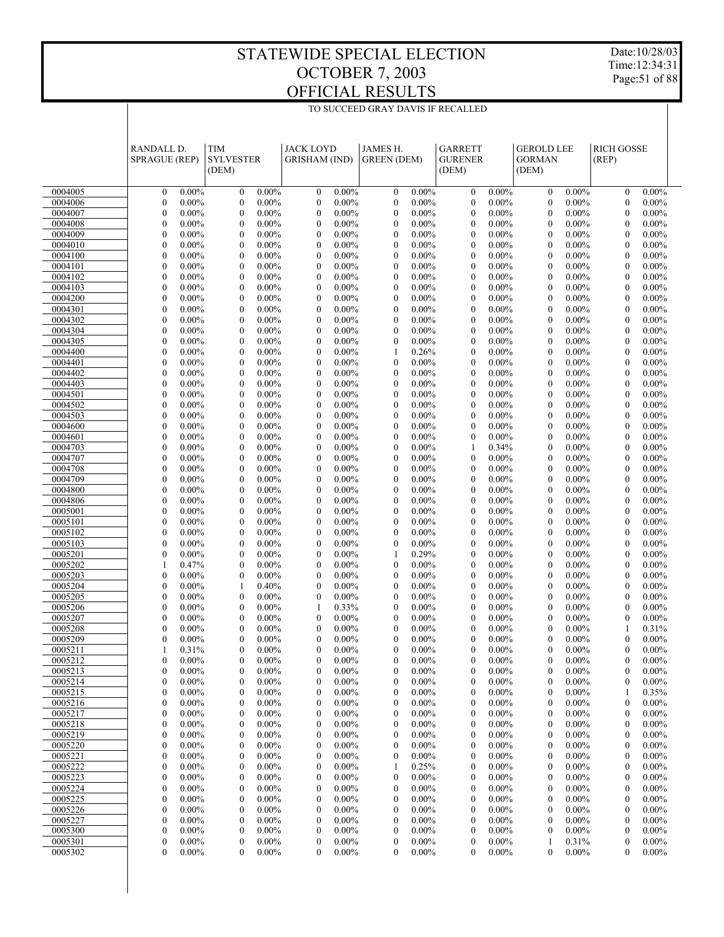Date:10/28/03 Time:12:34:31 Page:51 of 88

|                    | RANDALL D.<br><b>SPRAGUE (REP)</b>   |                      | <b>TIM</b><br><b>SYLVESTER</b><br>(DEM) |                      | <b>JACK LOYD</b><br><b>GRISHAM</b> (IND) |                      | JAMES H.<br><b>GREEN</b> (DEM)       |                      | <b>GARRETT</b><br><b>GURENER</b><br>(DEM) |                      | <b>GEROLD LEE</b><br><b>GORMAN</b><br>(DEM) |                      | <b>RICH GOSSE</b><br>(REP)           |                      |  |
|--------------------|--------------------------------------|----------------------|-----------------------------------------|----------------------|------------------------------------------|----------------------|--------------------------------------|----------------------|-------------------------------------------|----------------------|---------------------------------------------|----------------------|--------------------------------------|----------------------|--|
| 0004005            | $\boldsymbol{0}$                     | $0.00\%$             | $\boldsymbol{0}$                        | $0.00\%$             | $\boldsymbol{0}$                         | $0.00\%$             | $\boldsymbol{0}$                     | $0.00\%$             | $\mathbf{0}$                              | 0.00%                | $\mathbf{0}$                                | $0.00\%$             | $\mathbf{0}$                         | $0.00\%$             |  |
| 0004006            | $\boldsymbol{0}$                     | $0.00\%$             | $\boldsymbol{0}$                        | $0.00\%$             | $\boldsymbol{0}$                         | $0.00\%$             | $\boldsymbol{0}$                     | $0.00\%$             | $\mathbf{0}$                              | 0.00%                | $\theta$                                    | $0.00\%$             | $\mathbf{0}$                         | $0.00\%$             |  |
| 0004007            | $\mathbf{0}$                         | $0.00\%$             | $\boldsymbol{0}$                        | $0.00\%$             | $\boldsymbol{0}$                         | $0.00\%$             | $\boldsymbol{0}$                     | $0.00\%$             | $\mathbf{0}$                              | $0.00\%$             | $\theta$                                    | $0.00\%$             | $\mathbf{0}$                         | $0.00\%$             |  |
| 0004008            | $\mathbf{0}$                         | $0.00\%$             | $\boldsymbol{0}$                        | $0.00\%$             | $\boldsymbol{0}$                         | $0.00\%$             | $\boldsymbol{0}$                     | $0.00\%$             | $\mathbf{0}$                              | 0.00%                | $\boldsymbol{0}$                            | $0.00\%$             | $\boldsymbol{0}$                     | $0.00\%$             |  |
| 0004009            | $\overline{0}$                       | $0.00\%$             | $\mathbf{0}$                            | $0.00\%$             | $\boldsymbol{0}$                         | $0.00\%$             | $\boldsymbol{0}$                     | $0.00\%$             | $\boldsymbol{0}$                          | $0.00\%$             | $\theta$                                    | $0.00\%$             | $\mathbf{0}$                         | $0.00\%$             |  |
| 0004010            | $\boldsymbol{0}$                     | $0.00\%$             | $\boldsymbol{0}$                        | $0.00\%$             | $\boldsymbol{0}$                         | $0.00\%$             | $\boldsymbol{0}$                     | $0.00\%$             | $\mathbf{0}$                              | 0.00%                | $\boldsymbol{0}$                            | $0.00\%$             | $\boldsymbol{0}$                     | $0.00\%$             |  |
| 0004100            | $\mathbf{0}$                         | $0.00\%$             | $\overline{0}$                          | $0.00\%$             | $\boldsymbol{0}$                         | $0.00\%$             | $\mathbf{0}$                         | $0.00\%$             | $\mathbf{0}$                              | $0.00\%$             | $\theta$                                    | $0.00\%$             | $\mathbf{0}$                         | $0.00\%$             |  |
| 0004101            | $\mathbf{0}$                         | $0.00\%$             | $\boldsymbol{0}$                        | $0.00\%$             | $\boldsymbol{0}$                         | $0.00\%$             | $\boldsymbol{0}$                     | $0.00\%$             | $\mathbf{0}$                              | 0.00%                | $\theta$                                    | $0.00\%$             | $\boldsymbol{0}$                     | $0.00\%$             |  |
| 0004102            | $\mathbf{0}$                         | $0.00\%$             | $\boldsymbol{0}$                        | $0.00\%$             | $\boldsymbol{0}$                         | $0.00\%$             | $\boldsymbol{0}$                     | $0.00\%$             | $\boldsymbol{0}$                          | $0.00\%$             | $\theta$                                    | $0.00\%$             | $\mathbf{0}$                         | $0.00\%$             |  |
| 0004103            | $\mathbf{0}$                         | $0.00\%$             | $\boldsymbol{0}$                        | $0.00\%$             | $\boldsymbol{0}$                         | $0.00\%$             | $\boldsymbol{0}$                     | $0.00\%$             | $\mathbf{0}$                              | 0.00%                | $\boldsymbol{0}$                            | $0.00\%$             | $\boldsymbol{0}$                     | $0.00\%$             |  |
| 0004200            | $\mathbf{0}$                         | $0.00\%$             | $\overline{0}$                          | $0.00\%$             | $\boldsymbol{0}$                         | $0.00\%$             | $\boldsymbol{0}$                     | $0.00\%$             | $\mathbf{0}$                              | $0.00\%$             | $\theta$                                    | $0.00\%$             | $\mathbf{0}$                         | $0.00\%$             |  |
| 0004301            | $\mathbf{0}$                         | $0.00\%$             | $\boldsymbol{0}$                        | $0.00\%$             | $\boldsymbol{0}$                         | $0.00\%$             | $\boldsymbol{0}$                     | $0.00\%$             | $\mathbf{0}$                              | 0.00%                | $\boldsymbol{0}$                            | $0.00\%$             | $\boldsymbol{0}$                     | $0.00\%$             |  |
| 0004302            | $\mathbf{0}$                         | $0.00\%$             | $\boldsymbol{0}$                        | $0.00\%$             | $\boldsymbol{0}$                         | $0.00\%$             | $\boldsymbol{0}$                     | $0.00\%$             | $\boldsymbol{0}$                          | $0.00\%$             | $\theta$                                    | $0.00\%$             | $\mathbf{0}$                         | $0.00\%$             |  |
| 0004304<br>0004305 | $\boldsymbol{0}$<br>$\overline{0}$   | $0.00\%$<br>$0.00\%$ | $\boldsymbol{0}$<br>$\overline{0}$      | $0.00\%$<br>$0.00\%$ | $\boldsymbol{0}$<br>$\boldsymbol{0}$     | $0.00\%$<br>$0.00\%$ | $\boldsymbol{0}$<br>$\boldsymbol{0}$ | $0.00\%$<br>$0.00\%$ | $\mathbf{0}$<br>$\mathbf{0}$              | 0.00%<br>$0.00\%$    | $\boldsymbol{0}$<br>$\theta$                | $0.00\%$<br>$0.00\%$ | $\boldsymbol{0}$<br>$\mathbf{0}$     | $0.00\%$<br>$0.00\%$ |  |
| 0004400            | $\mathbf{0}$                         | $0.00\%$             | $\boldsymbol{0}$                        | $0.00\%$             | $\boldsymbol{0}$                         | $0.00\%$             | $\mathbf{1}$                         | 0.26%                | $\mathbf{0}$                              | 0.00%                | $\theta$                                    | $0.00\%$             | $\boldsymbol{0}$                     | $0.00\%$             |  |
| 0004401            | $\mathbf{0}$                         | $0.00\%$             | $\mathbf{0}$                            | $0.00\%$             | $\boldsymbol{0}$                         | $0.00\%$             | $\boldsymbol{0}$                     | $0.00\%$             | $\boldsymbol{0}$                          | $0.00\%$             | $\theta$                                    | $0.00\%$             | $\mathbf{0}$                         | $0.00\%$             |  |
| 0004402            | $\mathbf{0}$                         | $0.00\%$             | $\boldsymbol{0}$                        | $0.00\%$             | $\boldsymbol{0}$                         | $0.00\%$             | $\boldsymbol{0}$                     | $0.00\%$             | $\mathbf{0}$                              | 0.00%                | $\boldsymbol{0}$                            | $0.00\%$             | $\boldsymbol{0}$                     | $0.00\%$             |  |
| 0004403            | $\mathbf{0}$                         | $0.00\%$             | $\overline{0}$                          | $0.00\%$             | $\boldsymbol{0}$                         | $0.00\%$             | $\boldsymbol{0}$                     | $0.00\%$             | $\mathbf{0}$                              | $0.00\%$             | $\theta$                                    | $0.00\%$             | $\mathbf{0}$                         | $0.00\%$             |  |
| 0004501            | $\mathbf{0}$                         | $0.00\%$             | $\boldsymbol{0}$                        | $0.00\%$             | $\boldsymbol{0}$                         | $0.00\%$             | $\boldsymbol{0}$                     | $0.00\%$             | $\mathbf{0}$                              | 0.00%                | $\boldsymbol{0}$                            | $0.00\%$             | $\boldsymbol{0}$                     | $0.00\%$             |  |
| 0004502            | $\mathbf{0}$                         | $0.00\%$             | $\boldsymbol{0}$                        | $0.00\%$             | $\boldsymbol{0}$                         | $0.00\%$             | $\boldsymbol{0}$                     | $0.00\%$             | $\boldsymbol{0}$                          | $0.00\%$             | $\theta$                                    | $0.00\%$             | $\mathbf{0}$                         | $0.00\%$             |  |
| 0004503            | $\boldsymbol{0}$                     | $0.00\%$             | $\boldsymbol{0}$                        | $0.00\%$             | $\boldsymbol{0}$                         | $0.00\%$             | $\boldsymbol{0}$                     | $0.00\%$             | $\mathbf{0}$                              | 0.00%                | $\boldsymbol{0}$                            | $0.00\%$             | $\boldsymbol{0}$                     | $0.00\%$             |  |
| 0004600            | $\mathbf{0}$                         | $0.00\%$             | $\overline{0}$                          | $0.00\%$             | $\boldsymbol{0}$                         | $0.00\%$             | $\boldsymbol{0}$                     | $0.00\%$             | $\mathbf{0}$                              | $0.00\%$             | $\theta$                                    | $0.00\%$             | $\mathbf{0}$                         | $0.00\%$             |  |
| 0004601            | $\mathbf{0}$                         | $0.00\%$             | $\boldsymbol{0}$                        | $0.00\%$             | $\boldsymbol{0}$                         | $0.00\%$             | $\boldsymbol{0}$                     | $0.00\%$             | $\mathbf{0}$                              | 0.00%                | $\boldsymbol{0}$                            | $0.00\%$             | $\boldsymbol{0}$                     | $0.00\%$             |  |
| 0004703            | $\mathbf{0}$                         | $0.00\%$             | $\mathbf{0}$                            | $0.00\%$             | $\boldsymbol{0}$                         | $0.00\%$             | $\boldsymbol{0}$                     | $0.00\%$             | $\mathbf{1}$                              | 0.34%                | $\theta$                                    | $0.00\%$             | $\mathbf{0}$                         | $0.00\%$             |  |
| 0004707            | $\boldsymbol{0}$                     | $0.00\%$             | $\boldsymbol{0}$                        | $0.00\%$             | $\boldsymbol{0}$                         | $0.00\%$             | $\boldsymbol{0}$                     | $0.00\%$             | $\mathbf{0}$                              | 0.00%                | $\boldsymbol{0}$                            | $0.00\%$             | $\boldsymbol{0}$                     | $0.00\%$             |  |
| 0004708            | $\overline{0}$                       | $0.00\%$             | $\overline{0}$                          | $0.00\%$             | $\boldsymbol{0}$                         | $0.00\%$             | $\mathbf{0}$                         | $0.00\%$             | $\mathbf{0}$                              | $0.00\%$             | $\theta$                                    | $0.00\%$             | $\mathbf{0}$                         | $0.00\%$             |  |
| 0004709            | $\mathbf{0}$                         | $0.00\%$             | $\boldsymbol{0}$                        | $0.00\%$             | $\boldsymbol{0}$                         | $0.00\%$             | $\boldsymbol{0}$                     | $0.00\%$             | $\mathbf{0}$                              | 0.00%                | $\boldsymbol{0}$                            | $0.00\%$             | $\boldsymbol{0}$                     | $0.00\%$             |  |
| 0004800            | $\mathbf{0}$                         | $0.00\%$             | $\boldsymbol{0}$                        | $0.00\%$             | $\boldsymbol{0}$                         | $0.00\%$             | $\boldsymbol{0}$                     | $0.00\%$             | $\mathbf{0}$                              | $0.00\%$             | $\theta$                                    | $0.00\%$             | $\mathbf{0}$                         | $0.00\%$             |  |
| 0004806            | $\boldsymbol{0}$<br>$\mathbf{0}$     | $0.00\%$<br>$0.00\%$ | $\boldsymbol{0}$<br>$\mathbf{0}$        | $0.00\%$             | $\boldsymbol{0}$                         | $0.00\%$<br>$0.00\%$ | $\boldsymbol{0}$<br>$\mathbf{0}$     | $0.00\%$             | $\mathbf{0}$<br>$\mathbf{0}$              | 0.00%<br>$0.00\%$    | $\boldsymbol{0}$<br>$\theta$                | $0.00\%$             | $\boldsymbol{0}$<br>$\mathbf{0}$     | $0.00\%$             |  |
| 0005001<br>0005101 | $\mathbf{0}$                         | $0.00\%$             | $\boldsymbol{0}$                        | $0.00\%$<br>$0.00\%$ | $\boldsymbol{0}$<br>$\boldsymbol{0}$     | $0.00\%$             | $\boldsymbol{0}$                     | $0.00\%$<br>$0.00\%$ | $\mathbf{0}$                              | 0.00%                | $\boldsymbol{0}$                            | $0.00\%$<br>$0.00\%$ | $\boldsymbol{0}$                     | $0.00\%$<br>$0.00\%$ |  |
| 0005102            | $\mathbf{0}$                         | $0.00\%$             | $\boldsymbol{0}$                        | $0.00\%$             | $\boldsymbol{0}$                         | $0.00\%$             | $\boldsymbol{0}$                     | $0.00\%$             | $\boldsymbol{0}$                          | $0.00\%$             | $\theta$                                    | $0.00\%$             | $\mathbf{0}$                         | $0.00\%$             |  |
| 0005103            | $\boldsymbol{0}$                     | $0.00\%$             | $\boldsymbol{0}$                        | $0.00\%$             | $\boldsymbol{0}$                         | $0.00\%$             | $\boldsymbol{0}$                     | $0.00\%$             | $\mathbf{0}$                              | 0.00%                | $\boldsymbol{0}$                            | $0.00\%$             | $\boldsymbol{0}$                     | $0.00\%$             |  |
| 0005201            | $\mathbf{0}$                         | $0.00\%$             | $\mathbf{0}$                            | $0.00\%$             | $\boldsymbol{0}$                         | $0.00\%$             | 1                                    | 0.29%                | $\mathbf{0}$                              | $0.00\%$             | $\theta$                                    | $0.00\%$             | $\mathbf{0}$                         | $0.00\%$             |  |
| 0005202            | $\mathbf{1}$                         | 0.47%                | $\boldsymbol{0}$                        | $0.00\%$             | $\boldsymbol{0}$                         | $0.00\%$             | $\boldsymbol{0}$                     | $0.00\%$             | $\mathbf{0}$                              | 0.00%                | $\boldsymbol{0}$                            | $0.00\%$             | $\boldsymbol{0}$                     | $0.00\%$             |  |
| 0005203            | $\mathbf{0}$                         | $0.00\%$             | $\boldsymbol{0}$                        | $0.00\%$             | $\boldsymbol{0}$                         | $0.00\%$             | $\boldsymbol{0}$                     | $0.00\%$             | $\boldsymbol{0}$                          | $0.00\%$             | $\theta$                                    | $0.00\%$             | $\mathbf{0}$                         | $0.00\%$             |  |
| 0005204            | $\boldsymbol{0}$                     | $0.00\%$             | $\mathbf{1}$                            | 0.40%                | $\boldsymbol{0}$                         | $0.00\%$             | $\boldsymbol{0}$                     | $0.00\%$             | $\mathbf{0}$                              | 0.00%                | $\theta$                                    | $0.00\%$             | $\boldsymbol{0}$                     | $0.00\%$             |  |
| 0005205            | $\mathbf{0}$                         | $0.00\%$             | $\mathbf{0}$                            | $0.00\%$             | $\boldsymbol{0}$                         | $0.00\%$             | $\mathbf{0}$                         | $0.00\%$             | $\mathbf{0}$                              | $0.00\%$             | $\theta$                                    | $0.00\%$             | $\mathbf{0}$                         | $0.00\%$             |  |
| 0005206            | $\boldsymbol{0}$                     | $0.00\%$             | $\boldsymbol{0}$                        | $0.00\%$             | 1                                        | 0.33%                | $\boldsymbol{0}$                     | $0.00\%$             | $\mathbf{0}$                              | 0.00%                | $\boldsymbol{0}$                            | $0.00\%$             | $\boldsymbol{0}$                     | $0.00\%$             |  |
| 0005207            | $\mathbf{0}$                         | $0.00\%$             | $\boldsymbol{0}$                        | $0.00\%$             | $\boldsymbol{0}$                         | $0.00\%$             | $\boldsymbol{0}$                     | $0.00\%$             | $\mathbf{0}$                              | $0.00\%$             | $\theta$                                    | $0.00\%$             | $\mathbf{0}$                         | $0.00\%$             |  |
| 0005208            | $\mathbf{0}$                         | $0.00\%$             | $\boldsymbol{0}$                        | $0.00\%$             | $\boldsymbol{0}$                         | $0.00\%$             | $\boldsymbol{0}$                     | $0.00\%$             | $\mathbf{0}$                              | $0.00\%$             | $\theta$                                    | $0.00\%$             | -1                                   | 0.31%                |  |
| 0005209            | $\theta$                             | $0.00\%$             | $\overline{0}$                          | $0.00\%$             | $\mathbf{0}$                             | $0.00\%$             | $\mathbf{0}$                         | $0.00\%$             | $\mathbf{0}$                              | $0.00\%$             | $\theta$                                    | $0.00\%$             | $\theta$                             | $0.00\%$             |  |
| 0005211            | $\mathbf{1}$<br>$\overline{0}$       | 0.31%                | $\mathbf{0}$                            | $0.00\%$             | $\boldsymbol{0}$                         | $0.00\%$             | $\boldsymbol{0}$                     | $0.00\%$             | $\boldsymbol{0}$                          | $0.00\%$             | $\mathbf{0}$                                | $0.00\%$             | $\boldsymbol{0}$                     | $0.00\%$             |  |
| 0005212<br>0005213 | $\boldsymbol{0}$                     | $0.00\%$<br>$0.00\%$ | $\boldsymbol{0}$<br>0                   | $0.00\%$<br>$0.00\%$ | $\boldsymbol{0}$<br>$\boldsymbol{0}$     | $0.00\%$<br>$0.00\%$ | $\boldsymbol{0}$<br>$\boldsymbol{0}$ | $0.00\%$<br>$0.00\%$ | $\mathbf{0}$<br>$\boldsymbol{0}$          | $0.00\%$<br>$0.00\%$ | $\boldsymbol{0}$<br>$\boldsymbol{0}$        | $0.00\%$<br>$0.00\%$ | $\mathbf{0}$<br>$\boldsymbol{0}$     | $0.00\%$<br>$0.00\%$ |  |
| 0005214            | $\mathbf{0}$                         | $0.00\%$             | $\boldsymbol{0}$                        | $0.00\%$             | $\boldsymbol{0}$                         | $0.00\%$             | $\boldsymbol{0}$                     | $0.00\%$             | $\boldsymbol{0}$                          | $0.00\%$             | $\boldsymbol{0}$                            | $0.00\%$             | $\boldsymbol{0}$                     | $0.00\%$             |  |
| 0005215            | $\boldsymbol{0}$                     | $0.00\%$             | 0                                       | $0.00\%$             | $\boldsymbol{0}$                         | $0.00\%$             | $\boldsymbol{0}$                     | $0.00\%$             | $\boldsymbol{0}$                          | $0.00\%$             | $\boldsymbol{0}$                            | $0.00\%$             | -1                                   | 0.35%                |  |
| 0005216            | $\boldsymbol{0}$                     | $0.00\%$             | $\boldsymbol{0}$                        | $0.00\%$             | $\boldsymbol{0}$                         | $0.00\%$             | $\boldsymbol{0}$                     | $0.00\%$             | $\boldsymbol{0}$                          | $0.00\%$             | $\boldsymbol{0}$                            | $0.00\%$             | $\boldsymbol{0}$                     | $0.00\%$             |  |
| 0005217            | $\boldsymbol{0}$                     | $0.00\%$             | 0                                       | $0.00\%$             | $\boldsymbol{0}$                         | $0.00\%$             | $\boldsymbol{0}$                     | $0.00\%$             | $\boldsymbol{0}$                          | $0.00\%$             | $\boldsymbol{0}$                            | $0.00\%$             | $\boldsymbol{0}$                     | $0.00\%$             |  |
| 0005218            | $\boldsymbol{0}$                     | $0.00\%$             | $\boldsymbol{0}$                        | $0.00\%$             | $\boldsymbol{0}$                         | $0.00\%$             | $\boldsymbol{0}$                     | $0.00\%$             | $\mathbf{0}$                              | $0.00\%$             | $\boldsymbol{0}$                            | $0.00\%$             | $\boldsymbol{0}$                     | $0.00\%$             |  |
| 0005219            | $\boldsymbol{0}$                     | $0.00\%$             | 0                                       | $0.00\%$             | $\boldsymbol{0}$                         | $0.00\%$             | $\boldsymbol{0}$                     | $0.00\%$             | $\boldsymbol{0}$                          | $0.00\%$             | $\boldsymbol{0}$                            | $0.00\%$             | $\boldsymbol{0}$                     | $0.00\%$             |  |
| 0005220            | $\boldsymbol{0}$                     | $0.00\%$             | $\boldsymbol{0}$                        | $0.00\%$             | $\boldsymbol{0}$                         | $0.00\%$             | $\boldsymbol{0}$                     | $0.00\%$             | $\mathbf{0}$                              | $0.00\%$             | $\boldsymbol{0}$                            | $0.00\%$             | $\boldsymbol{0}$                     | $0.00\%$             |  |
| 0005221            | $\boldsymbol{0}$                     | $0.00\%$             | 0                                       | $0.00\%$             | $\boldsymbol{0}$                         | $0.00\%$             | $\boldsymbol{0}$                     | $0.00\%$             | $\boldsymbol{0}$                          | $0.00\%$             | $\boldsymbol{0}$                            | $0.00\%$             | $\boldsymbol{0}$                     | $0.00\%$             |  |
| 0005222            | $\boldsymbol{0}$                     | $0.00\%$             | $\boldsymbol{0}$                        | $0.00\%$             | $\boldsymbol{0}$                         | $0.00\%$             | -1                                   | 0.25%                | $\mathbf{0}$                              | $0.00\%$             | $\boldsymbol{0}$                            | $0.00\%$             | $\boldsymbol{0}$                     | $0.00\%$             |  |
| 0005223            | $\boldsymbol{0}$                     | $0.00\%$             | $\boldsymbol{0}$                        | $0.00\%$             | $\boldsymbol{0}$                         | $0.00\%$             | $\boldsymbol{0}$                     | $0.00\%$             | $\boldsymbol{0}$                          | $0.00\%$             | $\boldsymbol{0}$                            | $0.00\%$             | $\boldsymbol{0}$                     | $0.00\%$             |  |
| 0005224            | $\boldsymbol{0}$                     | $0.00\%$             | $\boldsymbol{0}$                        | $0.00\%$             | $\boldsymbol{0}$                         | $0.00\%$             | $\boldsymbol{0}$                     | $0.00\%$             | $\mathbf{0}$                              | $0.00\%$             | $\boldsymbol{0}$                            | $0.00\%$             | $\boldsymbol{0}$                     | $0.00\%$             |  |
| 0005225            | $\boldsymbol{0}$                     | $0.00\%$             | 0                                       | $0.00\%$             | $\boldsymbol{0}$                         | $0.00\%$             | $\boldsymbol{0}$                     | $0.00\%$             | $\mathbf{0}$                              | $0.00\%$             | $\boldsymbol{0}$                            | $0.00\%$             | $\boldsymbol{0}$                     | $0.00\%$             |  |
| 0005226            | $\boldsymbol{0}$                     | $0.00\%$             | $\boldsymbol{0}$                        | $0.00\%$             | $\boldsymbol{0}$                         | $0.00\%$             | $\boldsymbol{0}$                     | $0.00\%$             | $\mathbf{0}$                              | $0.00\%$             | $\boldsymbol{0}$                            | $0.00\%$             | $\boldsymbol{0}$                     | $0.00\%$             |  |
| 0005227            | $\boldsymbol{0}$<br>$\boldsymbol{0}$ | $0.00\%$<br>$0.00\%$ | 0<br>$\boldsymbol{0}$                   | $0.00\%$<br>$0.00\%$ | $\boldsymbol{0}$<br>$\boldsymbol{0}$     | $0.00\%$<br>$0.00\%$ | $\boldsymbol{0}$<br>$\boldsymbol{0}$ | $0.00\%$<br>$0.00\%$ | $\boldsymbol{0}$<br>$\boldsymbol{0}$      | $0.00\%$<br>$0.00\%$ | $\boldsymbol{0}$                            | $0.00\%$<br>$0.00\%$ | $\boldsymbol{0}$<br>$\boldsymbol{0}$ | $0.00\%$             |  |
| 0005300<br>0005301 | $\boldsymbol{0}$                     | $0.00\%$             | $\boldsymbol{0}$                        | $0.00\%$             | $\boldsymbol{0}$                         | $0.00\%$             | $\boldsymbol{0}$                     | $0.00\%$             | $\boldsymbol{0}$                          | $0.00\%$             | $\mathbf{0}$<br>-1                          | 0.31%                | $\boldsymbol{0}$                     | $0.00\%$<br>$0.00\%$ |  |
| 0005302            | $\mathbf{0}$                         | $0.00\%$             | $\mathbf{0}$                            | $0.00\%$             | $\mathbf{0}$                             | $0.00\%$             | $\mathbf{0}$                         | $0.00\%$             | $\overline{0}$                            | $0.00\%$             | $\mathbf{0}$                                | $0.00\%$             | $\mathbf{0}$                         | $0.00\%$             |  |
|                    |                                      |                      |                                         |                      |                                          |                      |                                      |                      |                                           |                      |                                             |                      |                                      |                      |  |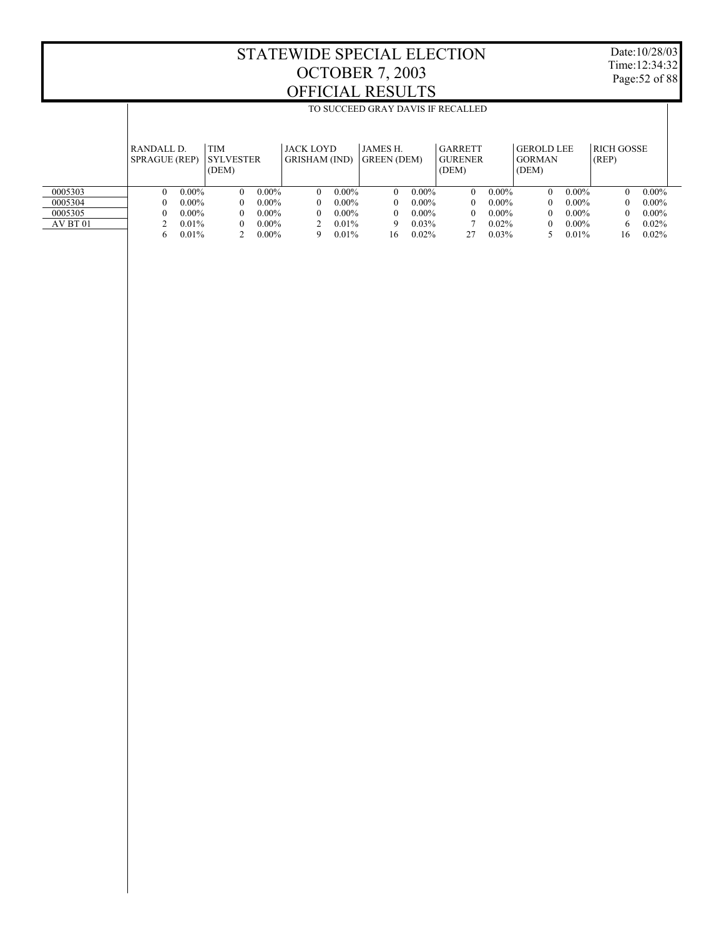Date:10/28/03 Time:12:34:32 Page:52 of 88

|          |                                    | TO SUCCEED GRAY DAVIS IF RECALLED |                                         |          |                                          |          |                                       |          |                                           |          |                                             |          |                            |          |
|----------|------------------------------------|-----------------------------------|-----------------------------------------|----------|------------------------------------------|----------|---------------------------------------|----------|-------------------------------------------|----------|---------------------------------------------|----------|----------------------------|----------|
|          |                                    |                                   |                                         |          |                                          |          |                                       |          |                                           |          |                                             |          |                            |          |
|          | RANDALL D.<br><b>SPRAGUE (REP)</b> |                                   | <b>TIM</b><br><b>SYLVESTER</b><br>(DEM) |          | <b>JACK LOYD</b><br><b>GRISHAM</b> (IND) |          | <b>JAMES H.</b><br><b>GREEN</b> (DEM) |          | <b>GARRETT</b><br><b>GURENER</b><br>(DEM) |          | <b>GEROLD LEE</b><br><b>GORMAN</b><br>(DEM) |          | <b>RICH GOSSE</b><br>(REP) |          |
| 0005303  | $\Omega$                           | $0.00\%$                          | $\theta$                                | $0.00\%$ | $\theta$                                 | $0.00\%$ | $\theta$                              | $0.00\%$ | $\theta$                                  | $0.00\%$ | $\Omega$                                    | $0.00\%$ | $\Omega$                   | $0.00\%$ |
| 0005304  | 0                                  | $0.00\%$                          | $\theta$                                | $0.00\%$ | $\theta$                                 | $0.00\%$ | 0                                     | $0.00\%$ | 0                                         | $0.00\%$ | $^{\circ}$                                  | $0.00\%$ |                            | $0.00\%$ |
| 0005305  | 0                                  | $0.00\%$                          | $\theta$                                | $0.00\%$ | $\theta$                                 | $0.00\%$ | 0                                     | $0.00\%$ | 0                                         | $0.00\%$ | $^{\circ}$                                  | $0.00\%$ |                            | $0.00\%$ |
| AV BT 01 |                                    | $0.01\%$                          | $\theta$                                | $0.00\%$ |                                          | $0.01\%$ | 9                                     | $0.03\%$ |                                           | $0.02\%$ | 0                                           | $0.00\%$ | 6                          | $0.02\%$ |
|          | 6                                  | $0.01\%$                          |                                         | $0.00\%$ | 9                                        | 0.01%    | 16                                    | 0.02%    | 27                                        | 0.03%    |                                             | $0.01\%$ | 16                         | $0.02\%$ |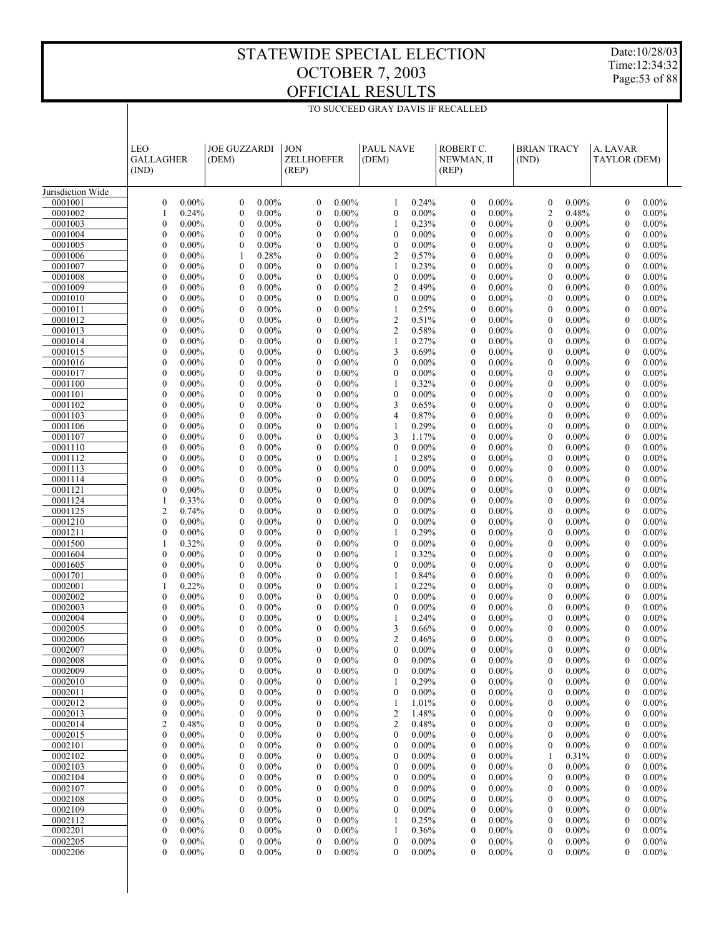Date:10/28/03 Time:12:34:32 Page:53 of 88

| TO SUCCEED GRAY DAVIS IF RECALLED |  |
|-----------------------------------|--|

|                    | LEO<br><b>GALLAGHER</b><br>(IND)                             | <b>JOE GUZZARDI</b><br>(DEM)                                 | <b>JON</b><br>ZELLHOEFER<br>(REP)                            | <b>PAUL NAVE</b><br>(DEM)                                    | ROBERT C.<br>NEWMAN, II<br>(REP)                             | <b>BRIAN TRACY</b><br>(IND)                                  | A. LAVAR<br>TAYLOR (DEM)                                     |  |
|--------------------|--------------------------------------------------------------|--------------------------------------------------------------|--------------------------------------------------------------|--------------------------------------------------------------|--------------------------------------------------------------|--------------------------------------------------------------|--------------------------------------------------------------|--|
| Jurisdiction Wide  |                                                              |                                                              |                                                              |                                                              |                                                              |                                                              |                                                              |  |
| 0001001            | $\boldsymbol{0}$<br>$0.00\%$                                 | $\mathbf{0}$<br>$0.00\%$                                     | $\boldsymbol{0}$<br>$0.00\%$                                 | 0.24%<br>1                                                   | $\boldsymbol{0}$<br>$0.00\%$                                 | $\mathbf{0}$<br>$0.00\%$                                     | $\boldsymbol{0}$<br>$0.00\%$                                 |  |
| 0001002            | 0.24%<br>1                                                   | $\boldsymbol{0}$<br>$0.00\%$                                 | $\boldsymbol{0}$<br>$0.00\%$                                 | $0.00\%$<br>$\boldsymbol{0}$                                 | $\boldsymbol{0}$<br>$0.00\%$                                 | $\overline{2}$<br>0.48%                                      | $\boldsymbol{0}$<br>$0.00\%$                                 |  |
| 0001003<br>0001004 | $\boldsymbol{0}$<br>0.00%<br>$\boldsymbol{0}$<br>0.00%       | $\mathbf{0}$<br>$0.00\%$<br>$\boldsymbol{0}$<br>$0.00\%$     | $\mathbf{0}$<br>$0.00\%$<br>$\boldsymbol{0}$<br>$0.00\%$     | 0.23%<br>1<br>$\overline{0}$<br>$0.00\%$                     | $\mathbf{0}$<br>$0.00\%$<br>$\mathbf{0}$<br>$0.00\%$         | $\mathbf{0}$<br>$0.00\%$<br>$\boldsymbol{0}$<br>$0.00\%$     | $\mathbf{0}$<br>$0.00\%$<br>$\boldsymbol{0}$<br>$0.00\%$     |  |
| 0001005            | $\boldsymbol{0}$<br>0.00%                                    | $\mathbf{0}$<br>$0.00\%$                                     | $\mathbf{0}$<br>$0.00\%$                                     | $\boldsymbol{0}$<br>$0.00\%$                                 | $\mathbf{0}$<br>$0.00\%$                                     | $\mathbf{0}$<br>$0.00\%$                                     | $\boldsymbol{0}$<br>$0.00\%$                                 |  |
| 0001006            | $\boldsymbol{0}$<br>0.00%                                    | 0.28%<br>1                                                   | $\boldsymbol{0}$<br>$0.00\%$                                 | $\overline{c}$<br>0.57%                                      | $\mathbf{0}$<br>$0.00\%$                                     | $\boldsymbol{0}$<br>$0.00\%$                                 | $\boldsymbol{0}$<br>$0.00\%$                                 |  |
| 0001007            | $\boldsymbol{0}$<br>0.00%                                    | $\mathbf{0}$<br>$0.00\%$                                     | $\mathbf{0}$<br>$0.00\%$                                     | 0.23%<br>1                                                   | $\mathbf{0}$<br>$0.00\%$                                     | $\mathbf{0}$<br>$0.00\%$                                     | $\mathbf{0}$<br>$0.00\%$                                     |  |
| 0001008            | $\boldsymbol{0}$<br>0.00%                                    | $\boldsymbol{0}$<br>$0.00\%$                                 | $\boldsymbol{0}$<br>$0.00\%$                                 | $\mathbf{0}$<br>$0.00\%$                                     | $\mathbf{0}$<br>$0.00\%$                                     | $\boldsymbol{0}$<br>$0.00\%$                                 | $\boldsymbol{0}$<br>$0.00\%$                                 |  |
| 0001009            | $\boldsymbol{0}$<br>0.00%                                    | $\mathbf{0}$<br>$0.00\%$                                     | $\mathbf{0}$<br>$0.00\%$                                     | $\overline{c}$<br>0.49%                                      | $\mathbf{0}$<br>$0.00\%$                                     | $\boldsymbol{0}$<br>$0.00\%$                                 | $\boldsymbol{0}$<br>$0.00\%$                                 |  |
| 0001010            | $\boldsymbol{0}$<br>0.00%                                    | $\boldsymbol{0}$<br>$0.00\%$                                 | $\boldsymbol{0}$<br>$0.00\%$                                 | $\mathbf{0}$<br>$0.00\%$                                     | $\mathbf{0}$<br>$0.00\%$                                     | $\boldsymbol{0}$<br>$0.00\%$                                 | $\boldsymbol{0}$<br>$0.00\%$                                 |  |
| 0001011            | $\boldsymbol{0}$<br>$0.00\%$                                 | $\mathbf{0}$<br>$0.00\%$                                     | $\mathbf{0}$<br>$0.00\%$                                     | 0.25%<br>1                                                   | $\mathbf{0}$<br>$0.00\%$                                     | $\mathbf{0}$<br>$0.00\%$                                     | $\mathbf{0}$<br>$0.00\%$                                     |  |
| 0001012<br>0001013 | $\boldsymbol{0}$<br>0.00%<br>$\boldsymbol{0}$<br>$0.00\%$    | $\boldsymbol{0}$<br>$0.00\%$<br>$\mathbf{0}$<br>$0.00\%$     | $\boldsymbol{0}$<br>$0.00\%$<br>$\mathbf{0}$<br>$0.00\%$     | $\overline{c}$<br>0.51%<br>$\overline{c}$<br>0.58%           | $\mathbf{0}$<br>$0.00\%$<br>$\mathbf{0}$<br>$0.00\%$         | $\boldsymbol{0}$<br>$0.00\%$<br>$\mathbf{0}$<br>$0.00\%$     | $\boldsymbol{0}$<br>$0.00\%$<br>$\boldsymbol{0}$<br>$0.00\%$ |  |
| 0001014            | $\boldsymbol{0}$<br>0.00%                                    | $\boldsymbol{0}$<br>$0.00\%$                                 | $\boldsymbol{0}$<br>$0.00\%$                                 | 0.27%<br>1                                                   | $\mathbf{0}$<br>$0.00\%$                                     | $\boldsymbol{0}$<br>$0.00\%$                                 | $\boldsymbol{0}$<br>$0.00\%$                                 |  |
| 0001015            | $\boldsymbol{0}$<br>$0.00\%$                                 | $\mathbf{0}$<br>$0.00\%$                                     | $\mathbf{0}$<br>$0.00\%$                                     | 3<br>0.69%                                                   | $\mathbf{0}$<br>$0.00\%$                                     | $\mathbf{0}$<br>$0.00\%$                                     | $\mathbf{0}$<br>$0.00\%$                                     |  |
| 0001016            | $\boldsymbol{0}$<br>0.00%                                    | $\boldsymbol{0}$<br>$0.00\%$                                 | $\boldsymbol{0}$<br>$0.00\%$                                 | $\overline{0}$<br>$0.00\%$                                   | $\mathbf{0}$<br>$0.00\%$                                     | $\boldsymbol{0}$<br>$0.00\%$                                 | $\boldsymbol{0}$<br>$0.00\%$                                 |  |
| 0001017            | $\boldsymbol{0}$<br>0.00%                                    | $\mathbf{0}$<br>$0.00\%$                                     | $\mathbf{0}$<br>$0.00\%$                                     | $\overline{0}$<br>$0.00\%$                                   | $\mathbf{0}$<br>$0.00\%$                                     | $\mathbf{0}$<br>$0.00\%$                                     | $\mathbf{0}$<br>$0.00\%$                                     |  |
| 0001100            | $\boldsymbol{0}$<br>0.00%                                    | $\boldsymbol{0}$<br>$0.00\%$                                 | $\boldsymbol{0}$<br>$0.00\%$                                 | 0.32%<br>1                                                   | $\mathbf{0}$<br>$0.00\%$                                     | $\boldsymbol{0}$<br>$0.00\%$                                 | $\boldsymbol{0}$<br>$0.00\%$                                 |  |
| 0001101            | $\boldsymbol{0}$<br>0.00%                                    | $\mathbf{0}$<br>$0.00\%$                                     | $\mathbf{0}$<br>$0.00\%$                                     | $\overline{0}$<br>$0.00\%$                                   | $\mathbf{0}$<br>$0.00\%$                                     | $\overline{0}$<br>$0.00\%$                                   | $\mathbf{0}$<br>$0.00\%$                                     |  |
| 0001102            | $\boldsymbol{0}$<br>0.00%                                    | $\boldsymbol{0}$<br>$0.00\%$                                 | $\boldsymbol{0}$<br>$0.00\%$                                 | 3<br>0.65%                                                   | $\mathbf{0}$<br>$0.00\%$                                     | $\boldsymbol{0}$<br>$0.00\%$                                 | $\boldsymbol{0}$<br>$0.00\%$                                 |  |
| 0001103<br>0001106 | $\boldsymbol{0}$<br>0.00%<br>$\boldsymbol{0}$<br>0.00%       | $\mathbf{0}$<br>$0.00\%$<br>$\boldsymbol{0}$<br>$0.00\%$     | $\mathbf{0}$<br>$0.00\%$<br>$\boldsymbol{0}$<br>$0.00\%$     | $\overline{4}$<br>0.87%<br>0.29%<br>1                        | $\mathbf{0}$<br>$0.00\%$<br>$\mathbf{0}$<br>$0.00\%$         | $\mathbf{0}$<br>$0.00\%$<br>$\boldsymbol{0}$<br>$0.00\%$     | $\mathbf{0}$<br>$0.00\%$<br>$\boldsymbol{0}$<br>$0.00\%$     |  |
| 0001107            | $\boldsymbol{0}$<br>0.00%                                    | $\mathbf{0}$<br>$0.00\%$                                     | $\mathbf{0}$<br>$0.00\%$                                     | 3<br>1.17%                                                   | $\mathbf{0}$<br>$0.00\%$                                     | $\boldsymbol{0}$<br>$0.00\%$                                 | $\mathbf{0}$<br>$0.00\%$                                     |  |
| 0001110            | $\boldsymbol{0}$<br>0.00%                                    | $\boldsymbol{0}$<br>$0.00\%$                                 | $\boldsymbol{0}$<br>$0.00\%$                                 | $\mathbf{0}$<br>$0.00\%$                                     | $\mathbf{0}$<br>$0.00\%$                                     | $\boldsymbol{0}$<br>$0.00\%$                                 | $\boldsymbol{0}$<br>$0.00\%$                                 |  |
| 0001112            | $\boldsymbol{0}$<br>0.00%                                    | $\mathbf{0}$<br>$0.00\%$                                     | $\mathbf{0}$<br>$0.00\%$                                     | 0.28%<br>1                                                   | $\mathbf{0}$<br>$0.00\%$                                     | $\boldsymbol{0}$<br>$0.00\%$                                 | $\boldsymbol{0}$<br>$0.00\%$                                 |  |
| 0001113            | $\boldsymbol{0}$<br>0.00%                                    | $\boldsymbol{0}$<br>$0.00\%$                                 | $\boldsymbol{0}$<br>$0.00\%$                                 | $\overline{0}$<br>$0.00\%$                                   | $\mathbf{0}$<br>$0.00\%$                                     | $\boldsymbol{0}$<br>$0.00\%$                                 | $\boldsymbol{0}$<br>$0.00\%$                                 |  |
| 0001114            | $\boldsymbol{0}$<br>0.00%                                    | $\mathbf{0}$<br>$0.00\%$                                     | $\mathbf{0}$<br>$0.00\%$                                     | $\overline{0}$<br>$0.00\%$                                   | $\mathbf{0}$<br>$0.00\%$                                     | $\boldsymbol{0}$<br>$0.00\%$                                 | $\mathbf{0}$<br>$0.00\%$                                     |  |
| 0001121            | $\boldsymbol{0}$<br>0.00%                                    | $\boldsymbol{0}$<br>$0.00\%$                                 | $\boldsymbol{0}$<br>$0.00\%$                                 | $\overline{0}$<br>$0.00\%$                                   | $\mathbf{0}$<br>$0.00\%$                                     | $\boldsymbol{0}$<br>$0.00\%$                                 | $\boldsymbol{0}$<br>$0.00\%$                                 |  |
| 0001124            | 0.33%<br>1                                                   | $\mathbf{0}$<br>$0.00\%$                                     | $\mathbf{0}$<br>$0.00\%$                                     | $\overline{0}$<br>$0.00\%$                                   | $\mathbf{0}$<br>$0.00\%$                                     | $\mathbf{0}$<br>$0.00\%$                                     | $\boldsymbol{0}$<br>$0.00\%$                                 |  |
| 0001125<br>0001210 | $\overline{c}$<br>0.74%<br>$\mathbf{0}$<br>0.00%             | $\boldsymbol{0}$<br>$0.00\%$<br>$\mathbf{0}$<br>$0.00\%$     | $\boldsymbol{0}$<br>$0.00\%$<br>$\mathbf{0}$<br>$0.00\%$     | $\overline{0}$<br>$0.00\%$<br>$\overline{0}$<br>$0.00\%$     | $\mathbf{0}$<br>$0.00\%$<br>$\mathbf{0}$<br>$0.00\%$         | $\boldsymbol{0}$<br>$0.00\%$<br>$\mathbf{0}$<br>$0.00\%$     | $\boldsymbol{0}$<br>$0.00\%$<br>$\mathbf{0}$<br>$0.00\%$     |  |
| 0001211            | $\boldsymbol{0}$<br>0.00%                                    | $\boldsymbol{0}$<br>$0.00\%$                                 | $\boldsymbol{0}$<br>$0.00\%$                                 | 0.29%<br>1                                                   | $\mathbf{0}$<br>$0.00\%$                                     | $\boldsymbol{0}$<br>$0.00\%$                                 | $\boldsymbol{0}$<br>$0.00\%$                                 |  |
| 0001500            | 0.32%<br>1                                                   | $\mathbf{0}$<br>$0.00\%$                                     | $\mathbf{0}$<br>$0.00\%$                                     | $\overline{0}$<br>$0.00\%$                                   | $\mathbf{0}$<br>$0.00\%$                                     | $\mathbf{0}$<br>$0.00\%$                                     | $\mathbf{0}$<br>$0.00\%$                                     |  |
| 0001604            | $\boldsymbol{0}$<br>0.00%                                    | $\boldsymbol{0}$<br>$0.00\%$                                 | $\boldsymbol{0}$<br>$0.00\%$                                 | 0.32%<br>1                                                   | $\mathbf{0}$<br>$0.00\%$                                     | $\boldsymbol{0}$<br>$0.00\%$                                 | $\boldsymbol{0}$<br>$0.00\%$                                 |  |
| 0001605            | $\boldsymbol{0}$<br>0.00%                                    | $\mathbf{0}$<br>$0.00\%$                                     | $\mathbf{0}$<br>$0.00\%$                                     | $\overline{0}$<br>$0.00\%$                                   | $\mathbf{0}$<br>$0.00\%$                                     | $\mathbf{0}$<br>$0.00\%$                                     | $\mathbf{0}$<br>$0.00\%$                                     |  |
| 0001701            | $\boldsymbol{0}$<br>0.00%                                    | $\boldsymbol{0}$<br>$0.00\%$                                 | $\boldsymbol{0}$<br>$0.00\%$                                 | 0.84%<br>1                                                   | $\mathbf{0}$<br>$0.00\%$                                     | $\boldsymbol{0}$<br>$0.00\%$                                 | $\boldsymbol{0}$<br>$0.00\%$                                 |  |
| 0002001            | 0.22%<br>1                                                   | $\mathbf{0}$<br>$0.00\%$                                     | $\mathbf{0}$<br>$0.00\%$                                     | 0.22%<br>1                                                   | $\mathbf{0}$<br>$0.00\%$                                     | $\mathbf{0}$<br>$0.00\%$                                     | $\mathbf{0}$<br>$0.00\%$                                     |  |
| 0002002            | $\boldsymbol{0}$<br>0.00%                                    | $\boldsymbol{0}$<br>$0.00\%$<br>$\mathbf{0}$                 | $\boldsymbol{0}$<br>$0.00\%$<br>$\mathbf{0}$                 | $\overline{0}$<br>$0.00\%$<br>$\mathbf{0}$                   | $\mathbf{0}$<br>$0.00\%$                                     | $\boldsymbol{0}$<br>$0.00\%$                                 | $\boldsymbol{0}$<br>$0.00\%$<br>$\mathbf{0}$                 |  |
| 0002003<br>0002004 | $\boldsymbol{0}$<br>0.00%<br>$\boldsymbol{0}$<br>0.00%       | $0.00\%$<br>$\boldsymbol{0}$<br>$0.00\%$                     | $0.00\%$<br>$\boldsymbol{0}$<br>$0.00\%$                     | $0.00\%$<br>0.24%<br>1                                       | $\boldsymbol{0}$<br>$0.00\%$<br>$\mathbf{0}$<br>$0.00\%$     | $\boldsymbol{0}$<br>$0.00\%$<br>$\boldsymbol{0}$<br>$0.00\%$ | $0.00\%$<br>$\boldsymbol{0}$<br>$0.00\%$                     |  |
| 0002005            | $\mathbf{0}$<br>$0.00\%$                                     | $\mathbf{0}$<br>$0.00\%$                                     | $\mathbf{0}$<br>$0.00\%$                                     | 3<br>0.66%                                                   | $\mathbf{0}$<br>$0.00\%$                                     | $\boldsymbol{0}$<br>$0.00\%$                                 | $0.00\%$<br>$\mathbf{0}$                                     |  |
| 0002006            | $\mathbf{0}$<br>$0.00\%$                                     | $\mathbf{0}$<br>$0.00\%$                                     | $\mathbf{0}$<br>$0.00\%$                                     | $\overline{c}$<br>0.46%                                      | $\mathbf{0}$<br>$0.00\%$                                     | $\mathbf{0}$<br>$0.00\%$                                     | $\mathbf{0}$<br>$0.00\%$                                     |  |
| 0002007            | $\mathbf{0}$<br>$0.00\%$                                     | $\mathbf{0}$<br>$0.00\%$                                     | $\mathbf{0}$<br>$0.00\%$                                     | $\theta$<br>$0.00\%$                                         | $\mathbf{0}$<br>$0.00\%$                                     | $\mathbf{0}$<br>$0.00\%$                                     | $\mathbf{0}$<br>$0.00\%$                                     |  |
| 0002008            | $\boldsymbol{0}$<br>0.00%                                    | $\boldsymbol{0}$<br>$0.00\%$                                 | $\mathbf{0}$<br>$0.00\%$                                     | $\boldsymbol{0}$<br>$0.00\%$                                 | $\mathbf{0}$<br>$0.00\%$                                     | $\boldsymbol{0}$<br>$0.00\%$                                 | $\boldsymbol{0}$<br>$0.00\%$                                 |  |
| 0002009            | $\boldsymbol{0}$<br>$0.00\%$                                 | $0.00\%$<br>0                                                | $0.00\%$<br>$\boldsymbol{0}$                                 | $0.00\%$<br>0                                                | $\boldsymbol{0}$<br>$0.00\%$                                 | $0.00\%$<br>$\boldsymbol{0}$                                 | $\boldsymbol{0}$<br>$0.00\%$                                 |  |
| 0002010            | $\boldsymbol{0}$<br>$0.00\%$                                 | $0.00\%$<br>$\boldsymbol{0}$                                 | $0.00\%$<br>$\boldsymbol{0}$                                 | 0.29%<br>1                                                   | $0.00\%$<br>$\boldsymbol{0}$                                 | $0.00\%$<br>$\boldsymbol{0}$                                 | $0.00\%$<br>$\boldsymbol{0}$                                 |  |
| 0002011<br>0002012 | $\boldsymbol{0}$<br>$0.00\%$<br>$\boldsymbol{0}$<br>$0.00\%$ | $\boldsymbol{0}$<br>$0.00\%$<br>$\boldsymbol{0}$<br>$0.00\%$ | $\boldsymbol{0}$<br>$0.00\%$<br>$\boldsymbol{0}$<br>$0.00\%$ | $0.00\%$<br>0<br>1.01%<br>1                                  | $\boldsymbol{0}$<br>$0.00\%$<br>$\boldsymbol{0}$<br>$0.00\%$ | $\boldsymbol{0}$<br>$0.00\%$<br>$\boldsymbol{0}$<br>$0.00\%$ | $\boldsymbol{0}$<br>$0.00\%$<br>$\boldsymbol{0}$<br>$0.00\%$ |  |
| 0002013            | $\boldsymbol{0}$<br>$0.00\%$                                 | $\boldsymbol{0}$<br>$0.00\%$                                 | $\boldsymbol{0}$<br>$0.00\%$                                 | 2<br>1.48%                                                   | $\boldsymbol{0}$<br>$0.00\%$                                 | $0.00\%$<br>$\boldsymbol{0}$                                 | $\boldsymbol{0}$<br>$0.00\%$                                 |  |
| 0002014            | $\overline{c}$<br>0.48%                                      | $\boldsymbol{0}$<br>$0.00\%$                                 | $0.00\%$<br>$\boldsymbol{0}$                                 | $\overline{c}$<br>0.48%                                      | $0.00\%$<br>$\boldsymbol{0}$                                 | $\boldsymbol{0}$<br>$0.00\%$                                 | $\boldsymbol{0}$<br>$0.00\%$                                 |  |
| 0002015            | $\boldsymbol{0}$<br>$0.00\%$                                 | $\boldsymbol{0}$<br>$0.00\%$                                 | $\boldsymbol{0}$<br>$0.00\%$                                 | $\boldsymbol{0}$<br>$0.00\%$                                 | $\boldsymbol{0}$<br>$0.00\%$                                 | $0.00\%$<br>$\boldsymbol{0}$                                 | $\boldsymbol{0}$<br>$0.00\%$                                 |  |
| 0002101            | $\boldsymbol{0}$<br>$0.00\%$                                 | $\boldsymbol{0}$<br>$0.00\%$                                 | $0.00\%$<br>$\boldsymbol{0}$                                 | $\boldsymbol{0}$<br>$0.00\%$                                 | $\boldsymbol{0}$<br>$0.00\%$                                 | $0.00\%$<br>$\boldsymbol{0}$                                 | $\boldsymbol{0}$<br>$0.00\%$                                 |  |
| 0002102            | $\boldsymbol{0}$<br>$0.00\%$                                 | $\boldsymbol{0}$<br>$0.00\%$                                 | $\boldsymbol{0}$<br>$0.00\%$                                 | $\boldsymbol{0}$<br>$0.00\%$                                 | $\boldsymbol{0}$<br>$0.00\%$                                 | 0.31%<br>-1                                                  | $\boldsymbol{0}$<br>$0.00\%$                                 |  |
| 0002103            | $\boldsymbol{0}$<br>$0.00\%$                                 | $\boldsymbol{0}$<br>$0.00\%$                                 | $0.00\%$<br>$\boldsymbol{0}$                                 | $\boldsymbol{0}$<br>$0.00\%$                                 | $\boldsymbol{0}$<br>$0.00\%$                                 | $\boldsymbol{0}$<br>$0.00\%$                                 | $\boldsymbol{0}$<br>$0.00\%$                                 |  |
| 0002104            | $\boldsymbol{0}$<br>$0.00\%$                                 | $\boldsymbol{0}$<br>$0.00\%$                                 | $\boldsymbol{0}$<br>$0.00\%$                                 | $\boldsymbol{0}$<br>$0.00\%$                                 | $\boldsymbol{0}$<br>$0.00\%$                                 | $\boldsymbol{0}$<br>$0.00\%$                                 | $\boldsymbol{0}$<br>$0.00\%$                                 |  |
| 0002107            | $\boldsymbol{0}$<br>$0.00\%$                                 | $\boldsymbol{0}$<br>$0.00\%$                                 | $0.00\%$<br>$\boldsymbol{0}$                                 | $\boldsymbol{0}$<br>$0.00\%$                                 | $\boldsymbol{0}$<br>$0.00\%$<br>$0.00\%$                     | $0.00\%$<br>$\boldsymbol{0}$                                 | $\boldsymbol{0}$<br>$0.00\%$                                 |  |
| 0002108<br>0002109 | $\boldsymbol{0}$<br>$0.00\%$<br>$\boldsymbol{0}$<br>$0.00\%$ | $\boldsymbol{0}$<br>$0.00\%$<br>$\boldsymbol{0}$<br>$0.00\%$ | $\boldsymbol{0}$<br>$0.00\%$<br>$\boldsymbol{0}$<br>$0.00\%$ | $\boldsymbol{0}$<br>$0.00\%$<br>$\boldsymbol{0}$<br>$0.00\%$ | $\boldsymbol{0}$<br>$\boldsymbol{0}$<br>$0.00\%$             | $0.00\%$<br>$\boldsymbol{0}$<br>$\boldsymbol{0}$<br>$0.00\%$ | $\boldsymbol{0}$<br>$0.00\%$<br>$\boldsymbol{0}$<br>$0.00\%$ |  |
| 0002112            | $\boldsymbol{0}$<br>$0.00\%$                                 | $\boldsymbol{0}$<br>$0.00\%$                                 | $\boldsymbol{0}$<br>$0.00\%$                                 | 0.25%<br>1                                                   | $\boldsymbol{0}$<br>$0.00\%$                                 | $0.00\%$<br>$\boldsymbol{0}$                                 | $\boldsymbol{0}$<br>$0.00\%$                                 |  |
| 0002201            | $\boldsymbol{0}$<br>$0.00\%$                                 | $\boldsymbol{0}$<br>$0.00\%$                                 | $\boldsymbol{0}$<br>$0.00\%$                                 | 0.36%<br>1                                                   | $\boldsymbol{0}$<br>$0.00\%$                                 | $\boldsymbol{0}$<br>$0.00\%$                                 | $\boldsymbol{0}$<br>$0.00\%$                                 |  |
| 0002205            | $\boldsymbol{0}$<br>$0.00\%$                                 | $\boldsymbol{0}$<br>$0.00\%$                                 | $\boldsymbol{0}$<br>$0.00\%$                                 | $\boldsymbol{0}$<br>$0.00\%$                                 | $\boldsymbol{0}$<br>$0.00\%$                                 | $\boldsymbol{0}$<br>$0.00\%$                                 | $\boldsymbol{0}$<br>$0.00\%$                                 |  |
| 0002206            | $\mathbf{0}$<br>$0.00\%$                                     | 0<br>$0.00\%$                                                | $\boldsymbol{0}$<br>$0.00\%$                                 | $\boldsymbol{0}$<br>$0.00\%$                                 | $\boldsymbol{0}$<br>$0.00\%$                                 | $\boldsymbol{0}$<br>$0.00\%$                                 | $\bf{0}$<br>$0.00\%$                                         |  |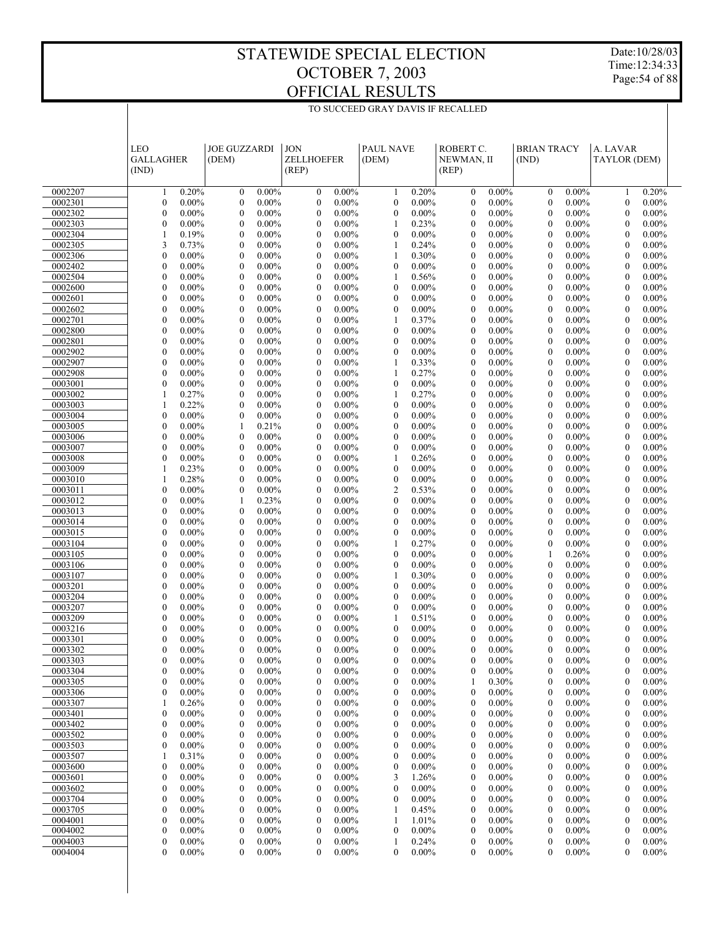Date:10/28/03 Time:12:34:33 Page:54 of 88

|                    | <b>LEO</b><br><b>GALLAGHER</b><br>(IND)                | <b>JOE GUZZARDI</b><br>(DEM)                         | <b>JON</b><br><b>ZELLHOEFER</b><br>(REP)                     | <b>PAUL NAVE</b><br>(DEM)                                    | ROBERT C.<br>NEWMAN, II<br>(REP)                     | <b>BRIAN TRACY</b><br>(IND)                          | A. LAVAR<br>TAYLOR (DEM)                                     |
|--------------------|--------------------------------------------------------|------------------------------------------------------|--------------------------------------------------------------|--------------------------------------------------------------|------------------------------------------------------|------------------------------------------------------|--------------------------------------------------------------|
| 0002207            | 0.20%                                                  | $0.00\%$                                             | $0.00\%$                                                     | 0.20%                                                        | $0.00\%$                                             | $0.00\%$                                             | 0.20%                                                        |
|                    | 1                                                      | $\boldsymbol{0}$                                     | $\boldsymbol{0}$                                             | 1                                                            | $\mathbf{0}$                                         | $\boldsymbol{0}$                                     | 1                                                            |
| 0002301            | $\mathbf{0}$                                           | $\mathbf{0}$                                         | $\mathbf{0}$                                                 | $\boldsymbol{0}$                                             | $\mathbf{0}$                                         | $\mathbf{0}$                                         | $\boldsymbol{0}$                                             |
|                    | $0.00\%$                                               | $0.00\%$                                             | $0.00\%$                                                     | $0.00\%$                                                     | $0.00\%$                                             | $0.00\%$                                             | $0.00\%$                                                     |
| 0002302            | $\mathbf{0}$                                           | $\mathbf{0}$                                         | $\mathbf{0}$                                                 | $\mathbf{0}$                                                 | $\mathbf{0}$                                         | $\mathbf{0}$                                         | $\mathbf{0}$                                                 |
|                    | $0.00\%$                                               | $0.00\%$                                             | $0.00\%$                                                     | $0.00\%$                                                     | $0.00\%$                                             | $0.00\%$                                             | $0.00\%$                                                     |
| 0002303            | $\mathbf{0}$                                           | $\mathbf{0}$                                         | $\boldsymbol{0}$                                             | 1                                                            | $\mathbf{0}$                                         | $\mathbf{0}$                                         | $\boldsymbol{0}$                                             |
|                    | $0.00\%$                                               | $0.00\%$                                             | $0.00\%$                                                     | 0.23%                                                        | $0.00\%$                                             | $0.00\%$                                             | $0.00\%$                                                     |
| 0002304            | 0.19%                                                  | $\mathbf{0}$                                         | $\mathbf{0}$                                                 | $\mathbf{0}$                                                 | $\mathbf{0}$                                         | $\mathbf{0}$                                         | $\mathbf{0}$                                                 |
|                    | 1                                                      | $0.00\%$                                             | $0.00\%$                                                     | $0.00\%$                                                     | $0.00\%$                                             | $0.00\%$                                             | $0.00\%$                                                     |
| 0002305            | 3                                                      | $\mathbf{0}$                                         | $\boldsymbol{0}$                                             | 1                                                            | $\mathbf{0}$                                         | $\mathbf{0}$                                         | $\boldsymbol{0}$                                             |
|                    | 0.73%                                                  | $0.00\%$                                             | $0.00\%$                                                     | 0.24%                                                        | $0.00\%$                                             | $0.00\%$                                             | $0.00\%$                                                     |
| 0002306            | $\mathbf{0}$<br>$0.00\%$<br>$\mathbf{0}$               | $\mathbf{0}$<br>$0.00\%$<br>$\mathbf{0}$             | $\boldsymbol{0}$<br>$0.00\%$<br>$\boldsymbol{0}$<br>$0.00\%$ | 1<br>0.30%<br>$\mathbf{0}$                                   | $\mathbf{0}$<br>$0.00\%$<br>$\mathbf{0}$             | $\mathbf{0}$<br>$0.00\%$<br>$\mathbf{0}$             | $\mathbf{0}$<br>$0.00\%$<br>$\boldsymbol{0}$                 |
| 0002402<br>0002504 | $0.00\%$<br>$\overline{0}$<br>$0.00\%$                 | $0.00\%$<br>$\mathbf{0}$<br>$0.00\%$                 | $\boldsymbol{0}$<br>$0.00\%$                                 | $0.00\%$<br>1<br>0.56%                                       | $0.00\%$<br>$\mathbf{0}$<br>$0.00\%$                 | $0.00\%$<br>$\mathbf{0}$<br>$0.00\%$                 | $0.00\%$<br>$\mathbf{0}$<br>$0.00\%$                         |
| 0002600            | $\mathbf{0}$                                           | $\mathbf{0}$                                         | $\boldsymbol{0}$                                             | $\mathbf{0}$                                                 | $\mathbf{0}$                                         | $\mathbf{0}$                                         | $\boldsymbol{0}$                                             |
|                    | $0.00\%$                                               | $0.00\%$                                             | $0.00\%$                                                     | $0.00\%$                                                     | $0.00\%$                                             | $0.00\%$                                             | $0.00\%$                                                     |
| 0002601            | $\overline{0}$                                         | $\mathbf{0}$                                         | $\mathbf{0}$                                                 | $\mathbf{0}$                                                 | $\mathbf{0}$                                         | $\mathbf{0}$                                         | $\mathbf{0}$                                                 |
|                    | $0.00\%$                                               | $0.00\%$                                             | $0.00\%$                                                     | $0.00\%$                                                     | $0.00\%$                                             | $0.00\%$                                             | $0.00\%$                                                     |
| 0002602            | $\mathbf{0}$                                           | $\mathbf{0}$                                         | $\boldsymbol{0}$                                             | $\mathbf{0}$                                                 | $\mathbf{0}$                                         | $\mathbf{0}$                                         | $\boldsymbol{0}$                                             |
|                    | $0.00\%$                                               | $0.00\%$                                             | $0.00\%$                                                     | $0.00\%$                                                     | $0.00\%$                                             | $0.00\%$                                             | $0.00\%$                                                     |
| 0002701            | $\overline{0}$                                         | $\mathbf{0}$                                         | $\boldsymbol{0}$                                             | 1                                                            | $\mathbf{0}$                                         | $\mathbf{0}$                                         | $\mathbf{0}$                                                 |
|                    | $0.00\%$                                               | $0.00\%$                                             | $0.00\%$                                                     | 0.37%                                                        | $0.00\%$                                             | $0.00\%$                                             | $0.00\%$                                                     |
| 0002800            | $\mathbf{0}$                                           | $\mathbf{0}$                                         | $\boldsymbol{0}$                                             | $\mathbf{0}$                                                 | $\mathbf{0}$                                         | $\mathbf{0}$                                         | $\boldsymbol{0}$                                             |
|                    | $0.00\%$                                               | $0.00\%$                                             | $0.00\%$                                                     | $0.00\%$                                                     | $0.00\%$                                             | $0.00\%$                                             | $0.00\%$                                                     |
| 0002801            | $\overline{0}$                                         | $\mathbf{0}$                                         | $\mathbf{0}$                                                 | $\mathbf{0}$                                                 | $\mathbf{0}$                                         | $\mathbf{0}$                                         | $\mathbf{0}$                                                 |
|                    | $0.00\%$                                               | $0.00\%$                                             | $0.00\%$                                                     | $0.00\%$                                                     | $0.00\%$                                             | $0.00\%$                                             | $0.00\%$                                                     |
| 0002902            | $\mathbf{0}$                                           | $\mathbf{0}$                                         | $\boldsymbol{0}$                                             | $\mathbf{0}$                                                 | $\mathbf{0}$                                         | $\mathbf{0}$                                         | $\boldsymbol{0}$                                             |
|                    | $0.00\%$                                               | $0.00\%$                                             | $0.00\%$                                                     | $0.00\%$                                                     | $0.00\%$                                             | $0.00\%$                                             | $0.00\%$                                                     |
| 0002907<br>0002908 | $\overline{0}$<br>$0.00\%$<br>$\mathbf{0}$<br>$0.00\%$ | $\mathbf{0}$<br>$0.00\%$<br>$\mathbf{0}$<br>$0.00\%$ | $\boldsymbol{0}$<br>$0.00\%$<br>$\boldsymbol{0}$<br>$0.00\%$ | 1<br>0.33%<br>1<br>0.27%                                     | $\mathbf{0}$<br>$0.00\%$<br>$\mathbf{0}$<br>$0.00\%$ | $\mathbf{0}$<br>$0.00\%$<br>$\mathbf{0}$<br>$0.00\%$ | $\mathbf{0}$<br>$0.00\%$<br>$\boldsymbol{0}$<br>$0.00\%$     |
| 0003001            | $\overline{0}$                                         | $\mathbf{0}$                                         | $\mathbf{0}$                                                 | $\mathbf{0}$                                                 | $\mathbf{0}$                                         | $\mathbf{0}$                                         | $\mathbf{0}$                                                 |
|                    | $0.00\%$                                               | $0.00\%$                                             | $0.00\%$                                                     | $0.00\%$                                                     | $0.00\%$                                             | $0.00\%$                                             | $0.00\%$                                                     |
| 0003002            | 1                                                      | $\mathbf{0}$                                         | $\boldsymbol{0}$                                             | 1                                                            | $\mathbf{0}$                                         | $\mathbf{0}$                                         | $\boldsymbol{0}$                                             |
|                    | 0.27%                                                  | $0.00\%$                                             | $0.00\%$                                                     | 0.27%                                                        | $0.00\%$                                             | $0.00\%$                                             | $0.00\%$                                                     |
| 0003003            | 1                                                      | $\mathbf{0}$                                         | $\boldsymbol{0}$                                             | $\mathbf{0}$                                                 | $\mathbf{0}$                                         | $\mathbf{0}$                                         | $\mathbf{0}$                                                 |
|                    | 0.22%                                                  | $0.00\%$                                             | $0.00\%$                                                     | $0.00\%$                                                     | $0.00\%$                                             | $0.00\%$                                             | $0.00\%$                                                     |
| 0003004            | $\mathbf{0}$                                           | $\mathbf{0}$                                         | $\boldsymbol{0}$                                             | $\mathbf{0}$                                                 | $\mathbf{0}$                                         | $\mathbf{0}$                                         | $\boldsymbol{0}$                                             |
|                    | $0.00\%$                                               | $0.00\%$                                             | $0.00\%$                                                     | $0.00\%$                                                     | $0.00\%$                                             | $0.00\%$                                             | $0.00\%$                                                     |
| 0003005            | $\overline{0}$                                         | 1                                                    | $\mathbf{0}$                                                 | $\mathbf{0}$                                                 | $\mathbf{0}$                                         | $\mathbf{0}$                                         | $\mathbf{0}$                                                 |
|                    | $0.00\%$                                               | 0.21%                                                | $0.00\%$                                                     | $0.00\%$                                                     | $0.00\%$                                             | $0.00\%$                                             | $0.00\%$                                                     |
| 0003006            | $\mathbf{0}$                                           | $\mathbf{0}$                                         | $\boldsymbol{0}$                                             | $\mathbf{0}$                                                 | $\mathbf{0}$                                         | $\mathbf{0}$                                         | $\boldsymbol{0}$                                             |
|                    | $0.00\%$                                               | $0.00\%$                                             | $0.00\%$                                                     | $0.00\%$                                                     | $0.00\%$                                             | $0.00\%$                                             | $0.00\%$                                                     |
| 0003007            | $\overline{0}$                                         | $\mathbf{0}$                                         | $\boldsymbol{0}$                                             | $\mathbf{0}$                                                 | $\mathbf{0}$                                         | $\mathbf{0}$                                         | $\mathbf{0}$                                                 |
|                    | $0.00\%$                                               | $0.00\%$                                             | $0.00\%$                                                     | $0.00\%$                                                     | $0.00\%$                                             | $0.00\%$                                             | $0.00\%$                                                     |
| 0003008            | $\mathbf{0}$                                           | $\mathbf{0}$                                         | $\boldsymbol{0}$                                             | 1                                                            | $\mathbf{0}$                                         | $\mathbf{0}$                                         | $\boldsymbol{0}$                                             |
|                    | $0.00\%$                                               | $0.00\%$                                             | $0.00\%$                                                     | 0.26%                                                        | $0.00\%$                                             | $0.00\%$                                             | $0.00\%$                                                     |
|                    | 1                                                      | $\mathbf{0}$                                         | $\mathbf{0}$                                                 | $\mathbf{0}$                                                 | $\mathbf{0}$                                         | $\mathbf{0}$                                         | $\mathbf{0}$                                                 |
| 0003009<br>0003010 | 0.23%<br>1<br>0.28%                                    | $0.00\%$<br>$\mathbf{0}$<br>$0.00\%$                 | $0.00\%$<br>$\boldsymbol{0}$<br>$0.00\%$                     | $0.00\%$<br>$\boldsymbol{0}$<br>$0.00\%$                     | $0.00\%$<br>$\mathbf{0}$<br>$0.00\%$                 | $0.00\%$<br>$\mathbf{0}$<br>$0.00\%$                 | $0.00\%$<br>$\boldsymbol{0}$<br>$0.00\%$                     |
| 0003011            | $\mathbf{0}$                                           | $\mathbf{0}$                                         | $\boldsymbol{0}$                                             | $\overline{2}$                                               | $\mathbf{0}$                                         | $\mathbf{0}$                                         | $\mathbf{0}$                                                 |
|                    | $0.00\%$                                               | $0.00\%$                                             | $0.00\%$                                                     | 0.53%                                                        | $0.00\%$                                             | $0.00\%$                                             | $0.00\%$                                                     |
| 0003012            | $\mathbf{0}$                                           | 1                                                    | $\boldsymbol{0}$                                             | $\mathbf{0}$                                                 | $\mathbf{0}$                                         | $\mathbf{0}$                                         | $\boldsymbol{0}$                                             |
|                    | $0.00\%$                                               | 0.23%                                                | $0.00\%$                                                     | $0.00\%$                                                     | $0.00\%$                                             | $0.00\%$                                             | $0.00\%$                                                     |
| 0003013            | $\overline{0}$                                         | $\mathbf{0}$                                         | $\mathbf{0}$                                                 | $\mathbf{0}$                                                 | $\mathbf{0}$                                         | $\mathbf{0}$                                         | $\mathbf{0}$                                                 |
|                    | $0.00\%$                                               | $0.00\%$                                             | $0.00\%$                                                     | $0.00\%$                                                     | $0.00\%$                                             | $0.00\%$                                             | $0.00\%$                                                     |
| 0003014            | $\mathbf{0}$                                           | $\mathbf{0}$                                         | $\boldsymbol{0}$                                             | $\mathbf{0}$                                                 | $\mathbf{0}$                                         | $\mathbf{0}$                                         | $\boldsymbol{0}$                                             |
|                    | $0.00\%$                                               | $0.00\%$                                             | $0.00\%$                                                     | $0.00\%$                                                     | $0.00\%$                                             | $0.00\%$                                             | $0.00\%$                                                     |
| 0003015            | $\overline{0}$                                         | $\mathbf{0}$                                         | $\boldsymbol{0}$                                             | $\mathbf{0}$                                                 | $\mathbf{0}$                                         | $\mathbf{0}$                                         | $\mathbf{0}$                                                 |
|                    | $0.00\%$                                               | $0.00\%$                                             | $0.00\%$                                                     | $0.00\%$                                                     | $0.00\%$                                             | $0.00\%$                                             | $0.00\%$                                                     |
| 0003104            | $\mathbf{0}$                                           | $\mathbf{0}$                                         | $\boldsymbol{0}$                                             | 1                                                            | $\mathbf{0}$                                         | $\mathbf{0}$                                         | $\boldsymbol{0}$                                             |
|                    | $0.00\%$                                               | $0.00\%$                                             | $0.00\%$                                                     | 0.27%                                                        | $0.00\%$                                             | $0.00\%$                                             | $0.00\%$                                                     |
| 0003105            | $\mathbf{0}$                                           | $\mathbf{0}$                                         | $\boldsymbol{0}$                                             | $\mathbf{0}$                                                 | $\mathbf{0}$                                         | 1                                                    | $\mathbf{0}$                                                 |
|                    | $0.00\%$                                               | $0.00\%$                                             | $0.00\%$                                                     | $0.00\%$                                                     | $0.00\%$                                             | 0.26%                                                | $0.00\%$                                                     |
| 0003106<br>0003107 | $\mathbf{0}$<br>$0.00\%$<br>$\mathbf{0}$<br>$0.00\%$   | $\mathbf{0}$<br>$0.00\%$<br>$\mathbf{0}$<br>$0.00\%$ | $\boldsymbol{0}$<br>$0.00\%$<br>$\boldsymbol{0}$<br>$0.00\%$ | $\mathbf{0}$<br>$0.00\%$<br>1<br>0.30%                       | $\mathbf{0}$<br>$0.00\%$<br>$\mathbf{0}$<br>$0.00\%$ | $\mathbf{0}$<br>$0.00\%$<br>$\mathbf{0}$<br>$0.00\%$ | $\boldsymbol{0}$<br>$0.00\%$<br>$\mathbf{0}$<br>$0.00\%$     |
| 0003201            | $\mathbf{0}$                                           | $\mathbf{0}$                                         | $\boldsymbol{0}$                                             | $\mathbf{0}$                                                 | $\mathbf{0}$                                         | $\mathbf{0}$                                         | $\boldsymbol{0}$                                             |
|                    | $0.00\%$                                               | $0.00\%$                                             | $0.00\%$                                                     | $0.00\%$                                                     | $0.00\%$                                             | $0.00\%$                                             | $0.00\%$                                                     |
| 0003204            | $\mathbf{0}$                                           | $\mathbf{0}$                                         | $\mathbf{0}$                                                 | $\mathbf{0}$                                                 | $\mathbf{0}$                                         | $\mathbf{0}$                                         | $\mathbf{0}$                                                 |
|                    | $0.00\%$                                               | $0.00\%$                                             | $0.00\%$                                                     | $0.00\%$                                                     | $0.00\%$                                             | $0.00\%$                                             | $0.00\%$                                                     |
| 0003207            | $\mathbf{0}$                                           | $\mathbf{0}$                                         | $\boldsymbol{0}$                                             | $\mathbf{0}$                                                 | $\mathbf{0}$                                         | $\mathbf{0}$                                         | $\boldsymbol{0}$                                             |
|                    | $0.00\%$                                               | $0.00\%$                                             | $0.00\%$                                                     | $0.00\%$                                                     | $0.00\%$                                             | $0.00\%$                                             | $0.00\%$                                                     |
| 0003209            | $\mathbf{0}$                                           | $\mathbf{0}$                                         | $\boldsymbol{0}$                                             | 1                                                            | $\mathbf{0}$                                         | $\mathbf{0}$                                         | $\mathbf{0}$                                                 |
|                    | $0.00\%$                                               | $0.00\%$                                             | $0.00\%$                                                     | 0.51%                                                        | $0.00\%$                                             | $0.00\%$                                             | $0.00\%$                                                     |
| 0003216            | $\mathbf{0}$                                           | $\mathbf{0}$                                         | $\boldsymbol{0}$                                             | $\mathbf{0}$                                                 | $\mathbf{0}$                                         | $\mathbf{0}$                                         | $\mathbf{0}$                                                 |
|                    | $0.00\%$                                               | $0.00\%$                                             | $0.00\%$                                                     | $0.00\%$                                                     | $0.00\%$                                             | $0.00\%$                                             | $0.00\%$                                                     |
| 0003301            | $\mathbf{0}$                                           | $\theta$                                             | $\mathbf{0}$                                                 | $\mathbf{0}$                                                 | $\overline{0}$                                       | $\theta$                                             | $\overline{0}$                                               |
|                    | $0.00\%$                                               | $0.00\%$                                             | $0.00\%$                                                     | $0.00\%$                                                     | $0.00\%$                                             | $0.00\%$                                             | $0.00\%$                                                     |
| 0003302            | $\mathbf{0}$                                           | $\mathbf{0}$                                         | $\boldsymbol{0}$                                             | $\mathbf{0}$                                                 | $\mathbf{0}$                                         | $\mathbf{0}$                                         | $\boldsymbol{0}$                                             |
|                    | $0.00\%$                                               | $0.00\%$                                             | $0.00\%$                                                     | $0.00\%$                                                     | $0.00\%$                                             | $0.00\%$                                             | $0.00\%$                                                     |
| 0003303            | $\boldsymbol{0}$<br>$0.00\%$<br>$\boldsymbol{0}$       | $\boldsymbol{0}$<br>$0.00\%$                         | $\mathbf{0}$<br>$0.00\%$<br>$\boldsymbol{0}$                 | $\boldsymbol{0}$<br>$0.00\%$                                 | $\boldsymbol{0}$<br>$0.00\%$<br>$\boldsymbol{0}$     | $\boldsymbol{0}$<br>$0.00\%$                         | $\mathbf{0}$<br>$0.00\%$<br>$\boldsymbol{0}$                 |
| 0003304<br>0003305 | $0.00\%$<br>0<br>$0.00\%$                              | $0.00\%$<br>$\boldsymbol{0}$<br>0<br>$0.00\%$        | $0.00\%$<br>$\boldsymbol{0}$<br>$0.00\%$                     | $0.00\%$<br>$\boldsymbol{0}$<br>$\boldsymbol{0}$<br>$0.00\%$ | $0.00\%$<br>0.30%<br>1                               | $0.00\%$<br>$\boldsymbol{0}$<br>0<br>$0.00\%$        | $0.00\%$<br>$\boldsymbol{0}$<br>$0.00\%$                     |
| 0003306            | $\overline{0}$                                         | $0.00\%$                                             | $\boldsymbol{0}$                                             | $\boldsymbol{0}$                                             | $\boldsymbol{0}$                                     | $0.00\%$                                             | $\boldsymbol{0}$                                             |
|                    | $0.00\%$                                               | $\boldsymbol{0}$                                     | $0.00\%$                                                     | $0.00\%$                                                     | $0.00\%$                                             | $\boldsymbol{0}$                                     | $0.00\%$                                                     |
| 0003307            | 0.26%                                                  | 0                                                    | $\boldsymbol{0}$                                             | $\boldsymbol{0}$                                             | 0                                                    | 0                                                    | $\boldsymbol{0}$                                             |
|                    | 1                                                      | $0.00\%$                                             | $0.00\%$                                                     | $0.00\%$                                                     | $0.00\%$                                             | $0.00\%$                                             | $0.00\%$                                                     |
| 0003401            | 0                                                      | $0.00\%$                                             | $\boldsymbol{0}$                                             | $0.00\%$                                                     | $\boldsymbol{0}$                                     | $0.00\%$                                             | $\boldsymbol{0}$                                             |
|                    | $0.00\%$                                               | $\boldsymbol{0}$                                     | $0.00\%$                                                     | $\boldsymbol{0}$                                             | $0.00\%$                                             | $\boldsymbol{0}$                                     | $0.00\%$                                                     |
| 0003402            | 0                                                      | 0                                                    | $\boldsymbol{0}$                                             | $\boldsymbol{0}$                                             | 0                                                    | 0                                                    | $\boldsymbol{0}$                                             |
|                    | $0.00\%$                                               | $0.00\%$                                             | $0.00\%$                                                     | $0.00\%$                                                     | $0.00\%$                                             | $0.00\%$                                             | $0.00\%$                                                     |
| 0003502            | $\overline{0}$                                         | $0.00\%$                                             | $\boldsymbol{0}$                                             | $\boldsymbol{0}$                                             | $\boldsymbol{0}$                                     | $0.00\%$                                             | $\boldsymbol{0}$                                             |
|                    | $0.00\%$                                               | $\boldsymbol{0}$                                     | $0.00\%$                                                     | $0.00\%$                                                     | $0.00\%$                                             | $\boldsymbol{0}$                                     | $0.00\%$                                                     |
| 0003503            | 0                                                      | 0                                                    | $\boldsymbol{0}$                                             | $\boldsymbol{0}$                                             | 0                                                    | 0                                                    | $\boldsymbol{0}$                                             |
|                    | $0.00\%$                                               | $0.00\%$                                             | $0.00\%$                                                     | $0.00\%$                                                     | $0.00\%$                                             | $0.00\%$                                             | $0.00\%$                                                     |
| 0003507            | 0.31%                                                  | $0.00\%$                                             | $\boldsymbol{0}$                                             | $\boldsymbol{0}$                                             | $\boldsymbol{0}$                                     | $0.00\%$                                             | $\boldsymbol{0}$                                             |
|                    | 1                                                      | $\boldsymbol{0}$                                     | $0.00\%$                                                     | $0.00\%$                                                     | $0.00\%$                                             | $\boldsymbol{0}$                                     | $0.00\%$                                                     |
| 0003600<br>0003601 | 0<br>$0.00\%$<br>$\overline{0}$<br>$0.00\%$            | 0<br>$0.00\%$<br>$0.00\%$<br>$\boldsymbol{0}$        | $\boldsymbol{0}$<br>$0.00\%$<br>$\boldsymbol{0}$<br>$0.00\%$ | $\boldsymbol{0}$<br>$0.00\%$<br>1.26%                        | 0<br>$0.00\%$<br>$\boldsymbol{0}$<br>$0.00\%$        | 0<br>$0.00\%$<br>$0.00\%$<br>$\boldsymbol{0}$        | $\boldsymbol{0}$<br>$0.00\%$<br>$\boldsymbol{0}$<br>$0.00\%$ |
| 0003602            | 0<br>$0.00\%$                                          | 0<br>$0.00\%$                                        | $\boldsymbol{0}$<br>$0.00\%$                                 | 3<br>$\boldsymbol{0}$<br>$0.00\%$                            | 0<br>$0.00\%$                                        | 0<br>$0.00\%$                                        | $\boldsymbol{0}$<br>$0.00\%$                                 |
| 0003704            | 0                                                      | $0.00\%$                                             | $\boldsymbol{0}$                                             | $\boldsymbol{0}$                                             | $\boldsymbol{0}$                                     | $0.00\%$                                             | $\boldsymbol{0}$                                             |
|                    | $0.00\%$                                               | $\boldsymbol{0}$                                     | $0.00\%$                                                     | $0.00\%$                                                     | $0.00\%$                                             | $\boldsymbol{0}$                                     | $0.00\%$                                                     |
| 0003705            | 0                                                      | 0                                                    | $\boldsymbol{0}$                                             | 0.45%                                                        | 0                                                    | 0                                                    | $\boldsymbol{0}$                                             |
|                    | $0.00\%$                                               | $0.00\%$                                             | $0.00\%$                                                     | 1                                                            | $0.00\%$                                             | $0.00\%$                                             | $0.00\%$                                                     |
| 0004001            | $\overline{0}$                                         | $0.00\%$                                             | $\boldsymbol{0}$                                             | 1.01%                                                        | $\boldsymbol{0}$                                     | $0.00\%$                                             | $\boldsymbol{0}$                                             |
|                    | $0.00\%$                                               | $\boldsymbol{0}$                                     | $0.00\%$                                                     | 1                                                            | $0.00\%$                                             | $\boldsymbol{0}$                                     | $0.00\%$                                                     |
| 0004002            | 0                                                      | 0                                                    | $\boldsymbol{0}$                                             | $\boldsymbol{0}$                                             | $\boldsymbol{0}$                                     | 0                                                    | $\boldsymbol{0}$                                             |
|                    | $0.00\%$                                               | $0.00\%$                                             | $0.00\%$                                                     | $0.00\%$                                                     | $0.00\%$                                             | $0.00\%$                                             | $0.00\%$                                                     |
| 0004003            | $\boldsymbol{0}$                                       | $\boldsymbol{0}$                                     | $\boldsymbol{0}$                                             | 0.24%                                                        | $\boldsymbol{0}$                                     | $\boldsymbol{0}$                                     | $\boldsymbol{0}$                                             |
|                    | $0.00\%$                                               | $0.00\%$                                             | $0.00\%$                                                     | 1                                                            | $0.00\%$                                             | $0.00\%$                                             | $0.00\%$                                                     |
| 0004004            | $\overline{0}$                                         | 0                                                    | $\mathbf{0}$                                                 | $\mathbf{0}$                                                 | 0                                                    | 0                                                    | $\mathbf{0}$                                                 |
|                    | $0.00\%$                                               | $0.00\%$                                             | $0.00\%$                                                     | $0.00\%$                                                     | $0.00\%$                                             | $0.00\%$                                             | $0.00\%$                                                     |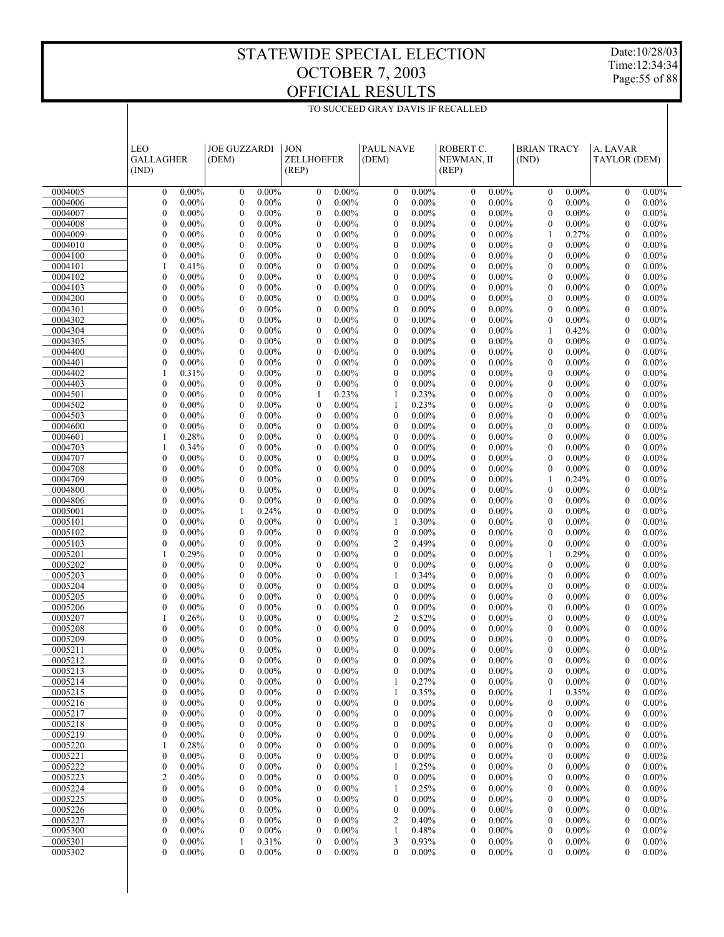Date:10/28/03 Time:12:34:34 Page:55 of 88

|                    | LEO<br><b>GALLAGHER</b><br>(IND)                             | <b>JOE GUZZARDI</b><br>(DEM)                         | <b>JON</b><br><b>ZELLHOEFER</b><br>(REP)                     | <b>PAUL NAVE</b><br>(DEM)                            | ROBERT C.<br>NEWMAN, II<br>(REP)                             | <b>BRIAN TRACY</b><br>(IND)                            | A. LAVAR<br>TAYLOR (DEM)                                     |
|--------------------|--------------------------------------------------------------|------------------------------------------------------|--------------------------------------------------------------|------------------------------------------------------|--------------------------------------------------------------|--------------------------------------------------------|--------------------------------------------------------------|
| 0004005            | $0.00\%$                                                     | $0.00\%$                                             | $0.00\%$                                                     | $0.00\%$                                             | $0.00\%$                                                     | $0.00\%$                                               | $0.00\%$                                                     |
|                    | $\boldsymbol{0}$                                             | $\boldsymbol{0}$                                     | $\boldsymbol{0}$                                             | $\boldsymbol{0}$                                     | $\mathbf{0}$                                                 | $\boldsymbol{0}$                                       | $\mathbf{0}$                                                 |
| 0004006            | $\boldsymbol{0}$                                             | $\mathbf{0}$                                         | $\overline{0}$                                               | $\boldsymbol{0}$                                     | $\mathbf{0}$                                                 | $\mathbf{0}$                                           | $\mathbf{0}$                                                 |
|                    | $0.00\%$                                                     | $0.00\%$                                             | $0.00\%$                                                     | $0.00\%$                                             | $0.00\%$                                                     | $0.00\%$                                               | $0.00\%$                                                     |
| 0004007            | $\mathbf{0}$                                                 | $\mathbf{0}$                                         | $\mathbf{0}$                                                 | $\mathbf{0}$                                         | $\mathbf{0}$                                                 | $\mathbf{0}$                                           | $\mathbf{0}$                                                 |
|                    | $0.00\%$                                                     | $0.00\%$                                             | $0.00\%$                                                     | $0.00\%$                                             | $0.00\%$                                                     | $0.00\%$                                               | $0.00\%$                                                     |
| 0004008            | $\boldsymbol{0}$                                             | $\mathbf{0}$                                         | $\boldsymbol{0}$                                             | $\mathbf{0}$                                         | $\mathbf{0}$                                                 | $\mathbf{0}$                                           | $\mathbf{0}$                                                 |
|                    | $0.00\%$                                                     | $0.00\%$                                             | $0.00\%$                                                     | $0.00\%$                                             | $0.00\%$                                                     | $0.00\%$                                               | $0.00\%$                                                     |
| 0004009            | $\mathbf{0}$                                                 | $\mathbf{0}$                                         | $\mathbf{0}$                                                 | $\mathbf{0}$                                         | $\mathbf{0}$                                                 | $\mathbf{1}$                                           | $\overline{0}$                                               |
|                    | $0.00\%$                                                     | $0.00\%$                                             | $0.00\%$                                                     | $0.00\%$                                             | $0.00\%$                                                     | 0.27%                                                  | $0.00\%$                                                     |
| 0004010            | $\boldsymbol{0}$                                             | $\mathbf{0}$                                         | $\boldsymbol{0}$                                             | $\mathbf{0}$                                         | $\boldsymbol{0}$                                             | $\mathbf{0}$                                           | $\mathbf{0}$                                                 |
|                    | $0.00\%$                                                     | $0.00\%$                                             | $0.00\%$                                                     | $0.00\%$                                             | $0.00\%$                                                     | $0.00\%$                                               | $0.00\%$                                                     |
| 0004100            | $\boldsymbol{0}$                                             | $\overline{0}$                                       | $\mathbf{0}$                                                 | $\mathbf{0}$                                         | $\mathbf{0}$                                                 | $\overline{0}$                                         | $\overline{0}$                                               |
|                    | $0.00\%$                                                     | $0.00\%$                                             | $0.00\%$                                                     | $0.00\%$                                             | $0.00\%$                                                     | $0.00\%$                                               | $0.00\%$                                                     |
| 0004101            | $\mathbf{1}$                                                 | $\mathbf{0}$                                         | $\boldsymbol{0}$                                             | $\mathbf{0}$                                         | $\boldsymbol{0}$                                             | $\mathbf{0}$                                           | $\mathbf{0}$                                                 |
|                    | 0.41%                                                        | $0.00\%$                                             | $0.00\%$                                                     | $0.00\%$                                             | $0.00\%$                                                     | $0.00\%$                                               | $0.00\%$                                                     |
| 0004102<br>0004103 | $\mathbf{0}$<br>$0.00\%$<br>$\boldsymbol{0}$<br>$0.00\%$     | $\mathbf{0}$<br>$0.00\%$<br>$\mathbf{0}$<br>$0.00\%$ | $\boldsymbol{0}$<br>$0.00\%$<br>$\boldsymbol{0}$<br>$0.00\%$ | $\mathbf{0}$<br>$0.00\%$<br>$\mathbf{0}$<br>$0.00\%$ | $\mathbf{0}$<br>$0.00\%$<br>$\boldsymbol{0}$<br>$0.00\%$     | $\mathbf{0}$<br>$0.00\%$<br>$\mathbf{0}$<br>$0.00\%$   | $\overline{0}$<br>$0.00\%$<br>$\mathbf{0}$<br>$0.00\%$       |
| 0004200            | $\mathbf{0}$                                                 | $\overline{0}$                                       | $\mathbf{0}$                                                 | $\mathbf{0}$                                         | $\mathbf{0}$                                                 | $\overline{0}$                                         | $\overline{0}$                                               |
|                    | $0.00\%$                                                     | $0.00\%$                                             | $0.00\%$                                                     | $0.00\%$                                             | $0.00\%$                                                     | $0.00\%$                                               | $0.00\%$                                                     |
| 0004301            | $\boldsymbol{0}$                                             | $\mathbf{0}$                                         | $\boldsymbol{0}$                                             | $\mathbf{0}$                                         | $\mathbf{0}$                                                 | $\mathbf{0}$                                           | $\mathbf{0}$                                                 |
|                    | $0.00\%$                                                     | $0.00\%$                                             | $0.00\%$                                                     | $0.00\%$                                             | $0.00\%$                                                     | $0.00\%$                                               | $0.00\%$                                                     |
| 0004302            | $\mathbf{0}$                                                 | $\mathbf{0}$                                         | $\mathbf{0}$                                                 | $\mathbf{0}$                                         | $\mathbf{0}$                                                 | $\mathbf{0}$                                           | $\overline{0}$                                               |
|                    | $0.00\%$                                                     | $0.00\%$                                             | $0.00\%$                                                     | $0.00\%$                                             | $0.00\%$                                                     | $0.00\%$                                               | $0.00\%$                                                     |
| 0004304            | $\boldsymbol{0}$                                             | $\mathbf{0}$                                         | $\boldsymbol{0}$                                             | $\mathbf{0}$                                         | $\boldsymbol{0}$                                             | $\mathbf{1}$                                           | $\mathbf{0}$                                                 |
|                    | $0.00\%$                                                     | $0.00\%$                                             | $0.00\%$                                                     | $0.00\%$                                             | $0.00\%$                                                     | 0.42%                                                  | $0.00\%$                                                     |
| 0004305            | $\mathbf{0}$                                                 | $\overline{0}$                                       | $\mathbf{0}$                                                 | $\mathbf{0}$                                         | $\mathbf{0}$                                                 | $\overline{0}$                                         | $\overline{0}$                                               |
|                    | $0.00\%$                                                     | $0.00\%$                                             | $0.00\%$                                                     | $0.00\%$                                             | $0.00\%$                                                     | $0.00\%$                                               | $0.00\%$                                                     |
| 0004400            | $\boldsymbol{0}$                                             | $\mathbf{0}$                                         | $\boldsymbol{0}$                                             | $\mathbf{0}$                                         | $\boldsymbol{0}$                                             | $\mathbf{0}$                                           | $\mathbf{0}$                                                 |
|                    | $0.00\%$                                                     | $0.00\%$                                             | $0.00\%$                                                     | $0.00\%$                                             | $0.00\%$                                                     | $0.00\%$                                               | $0.00\%$                                                     |
| 0004401            | $\boldsymbol{0}$                                             | $\mathbf{0}$                                         | $\boldsymbol{0}$                                             | $\mathbf{0}$                                         | $\mathbf{0}$                                                 | $\mathbf{0}$                                           | $\mathbf{0}$                                                 |
|                    | $0.00\%$                                                     | $0.00\%$                                             | $0.00\%$                                                     | $0.00\%$                                             | $0.00\%$                                                     | $0.00\%$                                               | $0.00\%$                                                     |
| 0004402            | $\mathbf{1}$                                                 | $\mathbf{0}$                                         | $\boldsymbol{0}$                                             | $\mathbf{0}$                                         | $\boldsymbol{0}$                                             | $\mathbf{0}$                                           | $\mathbf{0}$                                                 |
|                    | 0.31%                                                        | $0.00\%$                                             | $0.00\%$                                                     | $0.00\%$                                             | $0.00\%$                                                     | $0.00\%$                                               | $0.00\%$                                                     |
| 0004403<br>0004501 | $\mathbf{0}$<br>$0.00\%$<br>$\boldsymbol{0}$<br>$0.00\%$     | $\mathbf{0}$<br>$0.00\%$<br>$\mathbf{0}$<br>$0.00\%$ | $\boldsymbol{0}$<br>$0.00\%$<br>1<br>0.23%                   | $\mathbf{0}$<br>$0.00\%$<br>1<br>0.23%               | $\mathbf{0}$<br>$0.00\%$<br>$\mathbf{0}$<br>$0.00\%$         | $\overline{0}$<br>$0.00\%$<br>$\mathbf{0}$<br>$0.00\%$ | $\overline{0}$<br>$0.00\%$<br>$\mathbf{0}$<br>$0.00\%$       |
| 0004502            | $\mathbf{0}$                                                 | $\mathbf{0}$                                         | $\mathbf{0}$                                                 | 1                                                    | $\mathbf{0}$                                                 | $\overline{0}$                                         | $\overline{0}$                                               |
|                    | $0.00\%$                                                     | $0.00\%$                                             | $0.00\%$                                                     | 0.23%                                                | $0.00\%$                                                     | $0.00\%$                                               | $0.00\%$                                                     |
| 0004503            | $\boldsymbol{0}$                                             | $\mathbf{0}$                                         | $\boldsymbol{0}$                                             | $\mathbf{0}$                                         | $\boldsymbol{0}$                                             | $\mathbf{0}$                                           | $\mathbf{0}$                                                 |
|                    | $0.00\%$                                                     | $0.00\%$                                             | $0.00\%$                                                     | $0.00\%$                                             | $0.00\%$                                                     | $0.00\%$                                               | $0.00\%$                                                     |
| 0004600            | $\boldsymbol{0}$                                             | $\overline{0}$                                       | $\mathbf{0}$                                                 | $\mathbf{0}$                                         | $\mathbf{0}$                                                 | $\overline{0}$                                         | $\overline{0}$                                               |
|                    | $0.00\%$                                                     | $0.00\%$                                             | $0.00\%$                                                     | $0.00\%$                                             | $0.00\%$                                                     | $0.00\%$                                               | $0.00\%$                                                     |
| 0004601            | $\mathbf{1}$                                                 | $\mathbf{0}$                                         | $\boldsymbol{0}$                                             | $\mathbf{0}$                                         | $\boldsymbol{0}$                                             | $\mathbf{0}$                                           | $\mathbf{0}$                                                 |
|                    | 0.28%                                                        | $0.00\%$                                             | $0.00\%$                                                     | $0.00\%$                                             | $0.00\%$                                                     | $0.00\%$                                               | $0.00\%$                                                     |
| 0004703            | 0.34%                                                        | $\mathbf{0}$                                         | $\boldsymbol{0}$                                             | $\mathbf{0}$                                         | $\mathbf{0}$                                                 | $\mathbf{0}$                                           | $\mathbf{0}$                                                 |
|                    | 1                                                            | $0.00\%$                                             | $0.00\%$                                                     | $0.00\%$                                             | $0.00\%$                                                     | $0.00\%$                                               | $0.00\%$                                                     |
| 0004707            | $\boldsymbol{0}$                                             | $\mathbf{0}$                                         | $\boldsymbol{0}$                                             | $\mathbf{0}$                                         | $\boldsymbol{0}$                                             | $\mathbf{0}$                                           | $\mathbf{0}$                                                 |
|                    | $0.00\%$                                                     | $0.00\%$                                             | $0.00\%$                                                     | $0.00\%$                                             | $0.00\%$                                                     | $0.00\%$                                               | $0.00\%$                                                     |
| 0004708            | $\overline{0}$                                               | $\mathbf{0}$                                         | $\mathbf{0}$                                                 | $\mathbf{0}$                                         | $\mathbf{0}$                                                 | $\overline{0}$                                         | $\overline{0}$                                               |
|                    | $0.00\%$                                                     | $0.00\%$                                             | $0.00\%$                                                     | $0.00\%$                                             | $0.00\%$                                                     | $0.00\%$                                               | $0.00\%$                                                     |
| 0004709            | $\boldsymbol{0}$<br>$0.00\%$                                 | $\mathbf{0}$<br>$0.00\%$                             | $\boldsymbol{0}$<br>$0.00\%$                                 | $\mathbf{0}$<br>$0.00\%$                             | $\boldsymbol{0}$<br>$0.00\%$<br>$\mathbf{0}$                 | $\mathbf{1}$<br>0.24%<br>$\overline{0}$                | $\mathbf{0}$<br>$0.00\%$<br>$\overline{0}$                   |
| 0004800<br>0004806 | $\mathbf{0}$<br>$0.00\%$<br>$\boldsymbol{0}$<br>$0.00\%$     | $\mathbf{0}$<br>$0.00\%$<br>$\mathbf{0}$<br>$0.00\%$ | $\mathbf{0}$<br>$0.00\%$<br>$\boldsymbol{0}$<br>$0.00\%$     | $\mathbf{0}$<br>$0.00\%$<br>$\mathbf{0}$<br>$0.00\%$ | $0.00\%$<br>$\mathbf{0}$<br>$0.00\%$                         | $0.00\%$<br>$\mathbf{0}$<br>$0.00\%$                   | $0.00\%$<br>$\mathbf{0}$<br>$0.00\%$                         |
| 0005001            | $\mathbf{0}$                                                 | 1                                                    | $\mathbf{0}$                                                 | $\mathbf{0}$                                         | $\mathbf{0}$                                                 | $\overline{0}$                                         | $\overline{0}$                                               |
|                    | $0.00\%$                                                     | 0.24%                                                | $0.00\%$                                                     | $0.00\%$                                             | $0.00\%$                                                     | $0.00\%$                                               | $0.00\%$                                                     |
| 0005101            | $\boldsymbol{0}$                                             | $\mathbf{0}$                                         | $\boldsymbol{0}$                                             | 1                                                    | $\boldsymbol{0}$                                             | $\mathbf{0}$                                           | $\mathbf{0}$                                                 |
|                    | $0.00\%$                                                     | $0.00\%$                                             | $0.00\%$                                                     | 0.30%                                                | $0.00\%$                                                     | $0.00\%$                                               | $0.00\%$                                                     |
| 0005102            | $\mathbf{0}$                                                 | $\mathbf{0}$                                         | $\boldsymbol{0}$                                             | $\boldsymbol{0}$                                     | $\mathbf{0}$                                                 | $\mathbf{0}$                                           | $\mathbf{0}$                                                 |
|                    | $0.00\%$                                                     | $0.00\%$                                             | $0.00\%$                                                     | $0.00\%$                                             | $0.00\%$                                                     | $0.00\%$                                               | $0.00\%$                                                     |
| 0005103            | $\boldsymbol{0}$                                             | $\mathbf{0}$                                         | $\boldsymbol{0}$                                             | $\overline{2}$                                       | $\boldsymbol{0}$                                             | $\mathbf{0}$                                           | $\mathbf{0}$                                                 |
|                    | $0.00\%$                                                     | $0.00\%$                                             | $0.00\%$                                                     | 0.49%                                                | $0.00\%$                                                     | $0.00\%$                                               | $0.00\%$                                                     |
| 0005201            | 1                                                            | $\mathbf{0}$                                         | $\mathbf{0}$                                                 | $\mathbf{0}$                                         | $\mathbf{0}$                                                 | $\mathbf{1}$                                           | $\overline{0}$                                               |
|                    | 0.29%                                                        | $0.00\%$                                             | $0.00\%$                                                     | $0.00\%$                                             | $0.00\%$                                                     | 0.29%                                                  | $0.00\%$                                                     |
| 0005202            | $\boldsymbol{0}$                                             | $\mathbf{0}$                                         | $\boldsymbol{0}$                                             | $\mathbf{0}$                                         | $\boldsymbol{0}$                                             | $\mathbf{0}$                                           | $\mathbf{0}$                                                 |
|                    | $0.00\%$                                                     | $0.00\%$                                             | $0.00\%$                                                     | $0.00\%$                                             | $0.00\%$                                                     | $0.00\%$                                               | $0.00\%$                                                     |
| 0005203            | $\mathbf{0}$                                                 | $\mathbf{0}$                                         | $\mathbf{0}$                                                 | 1                                                    | $\mathbf{0}$                                                 | $\overline{0}$                                         | $\overline{0}$                                               |
|                    | $0.00\%$                                                     | $0.00\%$                                             | $0.00\%$                                                     | 0.34%                                                | $0.00\%$                                                     | $0.00\%$                                               | $0.00\%$                                                     |
| 0005204<br>0005205 | $\boldsymbol{0}$<br>$0.00\%$<br>$\mathbf{0}$<br>$0.00\%$     | $\mathbf{0}$<br>$0.00\%$<br>$\mathbf{0}$<br>$0.00\%$ | $\boldsymbol{0}$<br>$0.00\%$<br>$\mathbf{0}$<br>$0.00\%$     | $\mathbf{0}$<br>$0.00\%$<br>$\mathbf{0}$<br>$0.00\%$ | $\mathbf{0}$<br>$0.00\%$<br>$\mathbf{0}$<br>$0.00\%$         | $\mathbf{0}$<br>$0.00\%$<br>$\overline{0}$<br>$0.00\%$ | $\mathbf{0}$<br>$0.00\%$<br>$\overline{0}$<br>$0.00\%$       |
| 0005206            | $\boldsymbol{0}$                                             | $\mathbf{0}$                                         | $\boldsymbol{0}$                                             | $\boldsymbol{0}$                                     | $\boldsymbol{0}$                                             | $\mathbf{0}$                                           | $\mathbf{0}$                                                 |
|                    | $0.00\%$                                                     | $0.00\%$                                             | $0.00\%$                                                     | $0.00\%$                                             | $0.00\%$                                                     | $0.00\%$                                               | $0.00\%$                                                     |
| 0005207            | 1                                                            | $\mathbf{0}$                                         | $\mathbf{0}$                                                 | $\overline{2}$                                       | $\mathbf{0}$                                                 | $\mathbf{0}$                                           | $\mathbf{0}$                                                 |
|                    | 0.26%                                                        | $0.00\%$                                             | $0.00\%$                                                     | 0.52%                                                | $0.00\%$                                                     | $0.00\%$                                               | $0.00\%$                                                     |
| 0005208            | $\mathbf{0}$                                                 | $\mathbf{0}$                                         | $\mathbf{0}$                                                 | $\mathbf{0}$                                         | $\mathbf{0}$                                                 | $\mathbf{0}$                                           | $\mathbf{0}$                                                 |
|                    | $0.00\%$                                                     | $0.00\%$                                             | $0.00\%$                                                     | $0.00\%$                                             | $0.00\%$                                                     | $0.00\%$                                               | $0.00\%$                                                     |
| 0005209            | $\theta$                                                     | $\overline{0}$                                       | $\mathbf{0}$                                                 | $\overline{0}$                                       | $\theta$                                                     | $\theta$                                               | $\theta$                                                     |
|                    | $0.00\%$                                                     | $0.00\%$                                             | $0.00\%$                                                     | $0.00\%$                                             | $0.00\%$                                                     | $0.00\%$                                               | $0.00\%$                                                     |
| 0005211            | $\mathbf{0}$                                                 | $\mathbf{0}$                                         | $\boldsymbol{0}$                                             | $\mathbf{0}$                                         | $\mathbf{0}$                                                 | $\mathbf{0}$                                           | $\mathbf{0}$                                                 |
|                    | $0.00\%$                                                     | $0.00\%$                                             | $0.00\%$                                                     | $0.00\%$                                             | $0.00\%$                                                     | $0.00\%$                                               | $0.00\%$                                                     |
| 0005212            | $\boldsymbol{0}$                                             | $\boldsymbol{0}$                                     | $\overline{0}$                                               | $\boldsymbol{0}$                                     | $\boldsymbol{0}$                                             | $\boldsymbol{0}$                                       | $\boldsymbol{0}$                                             |
|                    | $0.00\%$                                                     | $0.00\%$                                             | $0.00\%$                                                     | $0.00\%$                                             | $0.00\%$                                                     | 0.00%                                                  | $0.00\%$                                                     |
| 0005213            | $\boldsymbol{0}$                                             | $0.00\%$                                             | $\boldsymbol{0}$                                             | $\boldsymbol{0}$                                     | $\boldsymbol{0}$                                             | $\boldsymbol{0}$                                       | $\boldsymbol{0}$                                             |
|                    | $0.00\%$                                                     | 0                                                    | $0.00\%$                                                     | $0.00\%$                                             | $0.00\%$                                                     | $0.00\%$                                               | $0.00\%$                                                     |
| 0005214<br>0005215 | $\boldsymbol{0}$<br>$0.00\%$<br>$\boldsymbol{0}$<br>$0.00\%$ | $\boldsymbol{0}$<br>$0.00\%$<br>$0.00\%$<br>0        | $\boldsymbol{0}$<br>$0.00\%$<br>$\boldsymbol{0}$<br>$0.00\%$ | 0.27%<br>1<br>0.35%<br>1                             | $\boldsymbol{0}$<br>$0.00\%$<br>$\boldsymbol{0}$<br>$0.00\%$ | $\boldsymbol{0}$<br>$0.00\%$<br>0.35%                  | $\boldsymbol{0}$<br>$0.00\%$<br>$\boldsymbol{0}$<br>$0.00\%$ |
| 0005216            | $\overline{0}$                                               | $\boldsymbol{0}$                                     | $\boldsymbol{0}$                                             | $\boldsymbol{0}$                                     | $\boldsymbol{0}$                                             | $\boldsymbol{0}$                                       | $\boldsymbol{0}$                                             |
|                    | $0.00\%$                                                     | $0.00\%$                                             | $0.00\%$                                                     | $0.00\%$                                             | $0.00\%$                                                     | $0.00\%$                                               | $0.00\%$                                                     |
| 0005217            | $\boldsymbol{0}$                                             | $0.00\%$                                             | $\boldsymbol{0}$                                             | $0.00\%$                                             | $\boldsymbol{0}$                                             | $0.00\%$                                               | $\boldsymbol{0}$                                             |
|                    | $0.00\%$                                                     | 0                                                    | $0.00\%$                                                     | $\boldsymbol{0}$                                     | $0.00\%$                                                     | 0                                                      | $0.00\%$                                                     |
| 0005218            | $\boldsymbol{0}$                                             | $\boldsymbol{0}$                                     | $\boldsymbol{0}$                                             | $\boldsymbol{0}$                                     | $\boldsymbol{0}$                                             | $\boldsymbol{0}$                                       | $\boldsymbol{0}$                                             |
|                    | $0.00\%$                                                     | $0.00\%$                                             | $0.00\%$                                                     | $0.00\%$                                             | $0.00\%$                                                     | $0.00\%$                                               | $0.00\%$                                                     |
| 0005219            | $\boldsymbol{0}$                                             | $\boldsymbol{0}$                                     | $\boldsymbol{0}$                                             | $0.00\%$                                             | $\boldsymbol{0}$                                             | $0.00\%$                                               | $\boldsymbol{0}$                                             |
|                    | $0.00\%$                                                     | $0.00\%$                                             | $0.00\%$                                                     | $\boldsymbol{0}$                                     | $0.00\%$                                                     | 0                                                      | $0.00\%$                                                     |
| 0005220            | 0.28%                                                        | $\boldsymbol{0}$                                     | $\boldsymbol{0}$                                             | $\boldsymbol{0}$                                     | $\boldsymbol{0}$                                             | $\boldsymbol{0}$                                       | $\boldsymbol{0}$                                             |
|                    | 1                                                            | $0.00\%$                                             | $0.00\%$                                                     | $0.00\%$                                             | $0.00\%$                                                     | $0.00\%$                                               | $0.00\%$                                                     |
| 0005221            | $\boldsymbol{0}$                                             | $0.00\%$                                             | $\boldsymbol{0}$                                             | $0.00\%$                                             | $\boldsymbol{0}$                                             | $0.00\%$                                               | $\boldsymbol{0}$                                             |
|                    | $0.00\%$                                                     | 0                                                    | $0.00\%$                                                     | $\boldsymbol{0}$                                     | $0.00\%$                                                     | 0                                                      | $0.00\%$                                                     |
| 0005222            | $\boldsymbol{0}$                                             | $\boldsymbol{0}$                                     | $\boldsymbol{0}$                                             | 0.25%                                                | $\boldsymbol{0}$                                             | $\boldsymbol{0}$                                       | $\boldsymbol{0}$                                             |
|                    | $0.00\%$                                                     | $0.00\%$                                             | $0.00\%$                                                     | 1                                                    | $0.00\%$                                                     | $0.00\%$                                               | $0.00\%$                                                     |
| 0005223            | $\overline{2}$                                               | $\boldsymbol{0}$                                     | $\boldsymbol{0}$                                             | $\boldsymbol{0}$                                     | $\boldsymbol{0}$                                             | $0.00\%$                                               | $\boldsymbol{0}$                                             |
|                    | 0.40%                                                        | $0.00\%$                                             | $0.00\%$                                                     | $0.00\%$                                             | $0.00\%$                                                     | 0                                                      | $0.00\%$                                                     |
| 0005224<br>0005225 | $\boldsymbol{0}$<br>$0.00\%$<br>$\boldsymbol{0}$<br>$0.00\%$ | $\boldsymbol{0}$<br>$0.00\%$<br>$0.00\%$<br>0        | $\boldsymbol{0}$<br>$0.00\%$<br>$\boldsymbol{0}$<br>$0.00\%$ | 0.25%<br>1<br>$\boldsymbol{0}$<br>$0.00\%$           | $\boldsymbol{0}$<br>$0.00\%$<br>$\boldsymbol{0}$<br>$0.00\%$ | $\boldsymbol{0}$<br>$0.00\%$<br>$0.00\%$<br>0          | $\boldsymbol{0}$<br>$0.00\%$<br>$\boldsymbol{0}$<br>$0.00\%$ |
| 0005226            | $\boldsymbol{0}$                                             | $\boldsymbol{0}$                                     | $\boldsymbol{0}$                                             | $\boldsymbol{0}$                                     | $\boldsymbol{0}$                                             | $\boldsymbol{0}$                                       | $\boldsymbol{0}$                                             |
|                    | $0.00\%$                                                     | $0.00\%$                                             | $0.00\%$                                                     | $0.00\%$                                             | $0.00\%$                                                     | $0.00\%$                                               | $0.00\%$                                                     |
| 0005227            | $\boldsymbol{0}$                                             | $\boldsymbol{0}$                                     | $\boldsymbol{0}$                                             | 2                                                    | $\boldsymbol{0}$                                             | $0.00\%$                                               | $\boldsymbol{0}$                                             |
|                    | $0.00\%$                                                     | $0.00\%$                                             | $0.00\%$                                                     | 0.40%                                                | $0.00\%$                                                     | 0                                                      | $0.00\%$                                                     |
| 0005300            | $\boldsymbol{0}$                                             | $\boldsymbol{0}$                                     | $\boldsymbol{0}$                                             | 0.48%                                                | $\boldsymbol{0}$                                             | $\boldsymbol{0}$                                       | $\boldsymbol{0}$                                             |
|                    | $0.00\%$                                                     | $0.00\%$                                             | $0.00\%$                                                     | 1                                                    | $0.00\%$                                                     | $0.00\%$                                               | $0.00\%$                                                     |
| 0005301            | $\boldsymbol{0}$                                             | 0.31%                                                | $\boldsymbol{0}$                                             | 3                                                    | $\boldsymbol{0}$                                             | $\boldsymbol{0}$                                       | $\boldsymbol{0}$                                             |
|                    | $0.00\%$                                                     | 1                                                    | $0.00\%$                                                     | 0.93%                                                | $0.00\%$                                                     | $0.00\%$                                               | $0.00\%$                                                     |
| 0005302            | $\overline{0}$                                               | $\mathbf{0}$                                         | $\mathbf{0}$                                                 | $\mathbf{0}$                                         | $\mathbf{0}$                                                 | $\mathbf{0}$                                           | $\mathbf{0}$                                                 |
|                    | $0.00\%$                                                     | $0.00\%$                                             | $0.00\%$                                                     | $0.00\%$                                             | $0.00\%$                                                     | $0.00\%$                                               | $0.00\%$                                                     |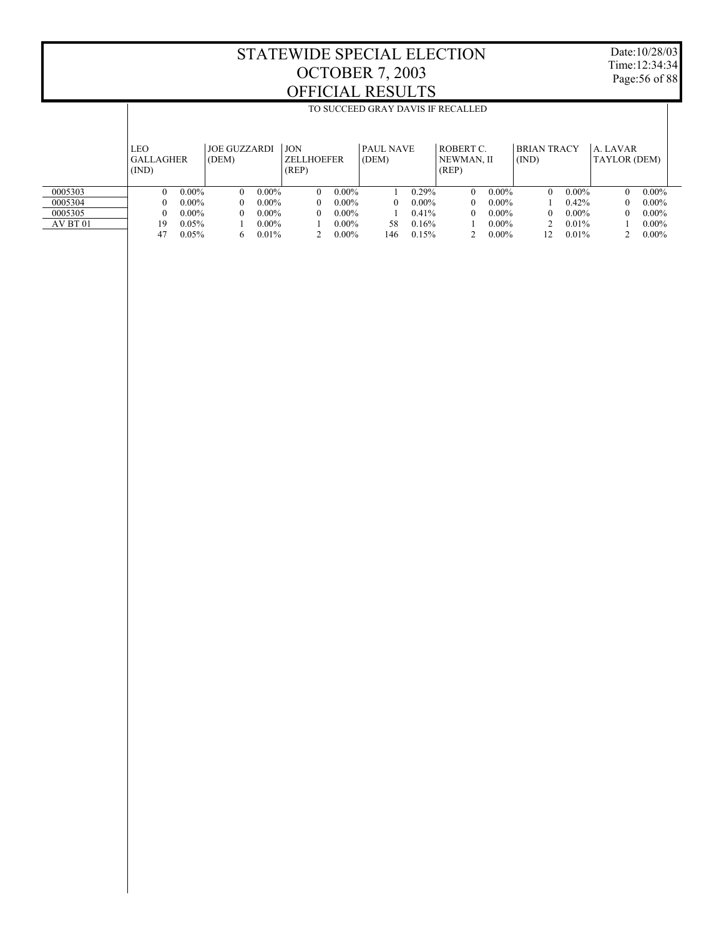T

Date:10/28/03 Time:12:34:34 Page:56 of 88

T

|          |                  | TO SUCCEED GRAY DAVIS IF RECALLED |                     |          |                   |          |                  |          |            |          |                    |          |              |          |
|----------|------------------|-----------------------------------|---------------------|----------|-------------------|----------|------------------|----------|------------|----------|--------------------|----------|--------------|----------|
|          |                  |                                   |                     |          |                   |          |                  |          |            |          |                    |          |              |          |
|          |                  |                                   |                     |          |                   |          |                  |          |            |          |                    |          |              |          |
|          | LEO              |                                   | <b>JOE GUZZARDI</b> |          | <b>JON</b>        |          | <b>PAUL NAVE</b> |          | ROBERT C   |          | <b>BRIAN TRACY</b> |          | A. LAVAR     |          |
|          | <b>GALLAGHER</b> |                                   | (DEM)               |          | <b>ZELLHOEFER</b> |          | (DEM)            |          | NEWMAN, II |          | (IND)              |          | TAYLOR (DEM) |          |
|          | (IND)            |                                   |                     |          | (REP)             |          |                  |          | (REP)      |          |                    |          |              |          |
|          |                  |                                   |                     |          |                   |          |                  |          |            |          |                    |          |              |          |
| 0005303  | 0                | $0.00\%$                          | $\Omega$            | $0.00\%$ | $\Omega$          | $0.00\%$ |                  | $0.29\%$ | 0          | $0.00\%$ | $\Omega$           | $0.00\%$ | $\theta$     | $0.00\%$ |
| 0005304  | 0                | $0.00\%$                          | 0                   | $0.00\%$ | 0                 | $0.00\%$ |                  | $0.00\%$ | 0          | $0.00\%$ |                    | 0.42%    | $\mathbf{0}$ | $0.00\%$ |
| 0005305  | 0                | $0.00\%$                          | 0                   | $0.00\%$ | $\theta$          | $0.00\%$ |                  | 0.41%    | 0          | $0.00\%$ | $\Omega$           | $0.00\%$ | $\theta$     | $0.00\%$ |
| AV BT 01 | 19               | 0.05%                             |                     | $0.00\%$ |                   | $0.00\%$ | 58               | 0.16%    |            | $0.00\%$ |                    | $0.01\%$ |              | $0.00\%$ |
|          | 47               | 0.05%                             | 6                   | 0.01%    |                   | $0.00\%$ | 146              | 0.15%    |            | $0.00\%$ | 12                 | 0.01%    |              | $0.00\%$ |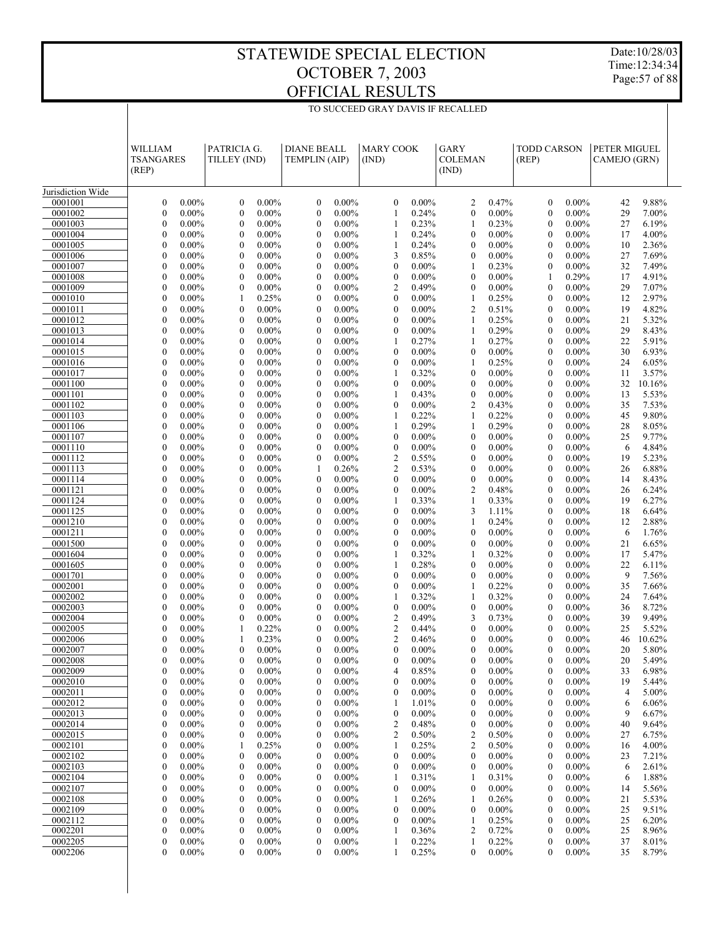TO SUCCEED GRAY DAVIS IF RECALLED

Date:10/28/03 Time:12:34:34 Page:57 of 88

|                    | <b>WILLIAM</b><br><b>TSANGARES</b><br>(REP)                  | PATRICIA G.<br>TILLEY (IND)                                  | <b>DIANE BEALL</b><br>TEMPLIN (AIP)                          | <b>MARY COOK</b><br>(IND)                                    | GARY<br><b>COLEMAN</b><br>(IND)                       | <b>TODD CARSON</b><br>(REP)                              | PETER MIGUEL<br>CAMEJO (GRN) |
|--------------------|--------------------------------------------------------------|--------------------------------------------------------------|--------------------------------------------------------------|--------------------------------------------------------------|-------------------------------------------------------|----------------------------------------------------------|------------------------------|
| Jurisdiction Wide  |                                                              |                                                              |                                                              |                                                              |                                                       |                                                          |                              |
| 0001001            | $0.00\%$                                                     | $0.00\%$                                                     | $\boldsymbol{0}$                                             | $0.00\%$                                                     | $\overline{c}$                                        | $\mathbf{0}$                                             | 9.88%                        |
|                    | $\boldsymbol{0}$                                             | $\boldsymbol{0}$                                             | $0.00\%$                                                     | $\boldsymbol{0}$                                             | 0.47%                                                 | $0.00\%$                                                 | 42                           |
| 0001002            | $\boldsymbol{0}$                                             | $\boldsymbol{0}$                                             | $\boldsymbol{0}$                                             | $\mathbf{1}$                                                 | $0.00\%$                                              | $\boldsymbol{0}$                                         | 29                           |
|                    | $0.00\%$                                                     | $0.00\%$                                                     | $0.00\%$                                                     | 0.24%                                                        | $\boldsymbol{0}$                                      | $0.00\%$                                                 | 7.00%                        |
| 0001003            | $\boldsymbol{0}$                                             | $\mathbf{0}$                                                 | $\boldsymbol{0}$                                             | 0.23%                                                        | 0.23%                                                 | $\mathbf{0}$                                             | 27                           |
|                    | $0.00\%$                                                     | $0.00\%$                                                     | $0.00\%$                                                     | 1                                                            | 1                                                     | $0.00\%$                                                 | 6.19%                        |
| 0001004            | $\boldsymbol{0}$                                             | $\boldsymbol{0}$                                             | $\boldsymbol{0}$                                             | 0.24%                                                        | $\boldsymbol{0}$                                      | $0.00\%$                                                 | 4.00%                        |
|                    | $0.00\%$                                                     | $0.00\%$                                                     | $0.00\%$                                                     | 1                                                            | $0.00\%$                                              | $\mathbf{0}$                                             | 17                           |
| 0001005            | $\boldsymbol{0}$                                             | $\mathbf{0}$                                                 | $\boldsymbol{0}$                                             | $\mathbf{1}$                                                 | $\mathbf{0}$                                          | $\mathbf{0}$                                             | 2.36%                        |
|                    | $0.00\%$                                                     | $0.00\%$                                                     | $0.00\%$                                                     | 0.24%                                                        | $0.00\%$                                              | $0.00\%$                                                 | 10                           |
| 0001006<br>0001007 | $\boldsymbol{0}$<br>$0.00\%$<br>$\boldsymbol{0}$<br>$0.00\%$ | $\boldsymbol{0}$<br>$0.00\%$<br>$\mathbf{0}$<br>$0.00\%$     | $\boldsymbol{0}$<br>$0.00\%$<br>$\boldsymbol{0}$<br>$0.00\%$ | 3<br>0.85%<br>$\boldsymbol{0}$<br>$0.00\%$                   | $\boldsymbol{0}$<br>$0.00\%$<br>$\mathbf{1}$<br>0.23% | $0.00\%$<br>$\mathbf{0}$<br>$\boldsymbol{0}$<br>$0.00\%$ | 27<br>7.69%<br>32<br>7.49%   |
| 0001008            | $\boldsymbol{0}$                                             | $\boldsymbol{0}$                                             | $\boldsymbol{0}$                                             | $\boldsymbol{0}$                                             | $\boldsymbol{0}$                                      | 0.29%                                                    | 17                           |
|                    | $0.00\%$                                                     | $0.00\%$                                                     | $0.00\%$                                                     | $0.00\%$                                                     | $0.00\%$                                              | $\mathbf{1}$                                             | 4.91%                        |
| 0001009            | $\boldsymbol{0}$                                             | $\mathbf{0}$                                                 | $\boldsymbol{0}$                                             | $\overline{c}$                                               | $\boldsymbol{0}$                                      | $\mathbf{0}$                                             | 29                           |
|                    | $0.00\%$                                                     | $0.00\%$                                                     | $0.00\%$                                                     | 0.49%                                                        | $0.00\%$                                              | $0.00\%$                                                 | 7.07%                        |
| 0001010            | $\boldsymbol{0}$                                             | 0.25%                                                        | $\boldsymbol{0}$                                             | $\boldsymbol{0}$                                             | $\mathbf{1}$                                          | $0.00\%$                                                 | 2.97%                        |
|                    | $0.00\%$                                                     | 1                                                            | $0.00\%$                                                     | $0.00\%$                                                     | 0.25%                                                 | $\boldsymbol{0}$                                         | 12                           |
| 0001011            | $\boldsymbol{0}$                                             | $\mathbf{0}$                                                 | $\boldsymbol{0}$                                             | $\boldsymbol{0}$                                             | $\overline{2}$                                        | $\mathbf{0}$                                             | 19                           |
|                    | $0.00\%$                                                     | $0.00\%$                                                     | $0.00\%$                                                     | $0.00\%$                                                     | 0.51%                                                 | $0.00\%$                                                 | 4.82%                        |
| 0001012            | $\boldsymbol{0}$                                             | $\boldsymbol{0}$                                             | $\boldsymbol{0}$                                             | $\boldsymbol{0}$                                             | $\mathbf{1}$                                          | $\boldsymbol{0}$                                         | 21                           |
|                    | $0.00\%$                                                     | $0.00\%$                                                     | $0.00\%$                                                     | $0.00\%$                                                     | 0.25%                                                 | $0.00\%$                                                 | 5.32%                        |
| 0001013            | $\boldsymbol{0}$                                             | $\mathbf{0}$                                                 | $\boldsymbol{0}$                                             | $\boldsymbol{0}$                                             | 0.29%                                                 | $\mathbf{0}$                                             | 29                           |
|                    | $0.00\%$                                                     | $0.00\%$                                                     | $0.00\%$                                                     | $0.00\%$                                                     | $\mathbf{1}$                                          | $0.00\%$                                                 | 8.43%                        |
|                    | $\boldsymbol{0}$                                             | $\boldsymbol{0}$                                             | $\boldsymbol{0}$                                             | $\mathbf{1}$                                                 | $\mathbf{1}$                                          | $0.00\%$                                                 | 5.91%                        |
|                    | $0.00\%$                                                     | $0.00\%$                                                     | $0.00\%$                                                     | 0.27%                                                        | 0.27%                                                 | $\boldsymbol{0}$                                         | 22                           |
| 0001014            | $\boldsymbol{0}$                                             | $\mathbf{0}$                                                 | $\boldsymbol{0}$                                             | $\boldsymbol{0}$                                             | $\boldsymbol{0}$                                      | $\mathbf{0}$                                             | 30                           |
| 0001015            | $0.00\%$                                                     | $0.00\%$                                                     | $0.00\%$                                                     | $0.00\%$                                                     | $0.00\%$                                              | $0.00\%$                                                 | 6.93%                        |
| 0001016            | $\boldsymbol{0}$                                             | $\boldsymbol{0}$                                             | $\boldsymbol{0}$                                             | $\boldsymbol{0}$                                             | 0.25%                                                 | $\boldsymbol{0}$                                         | 24                           |
|                    | $0.00\%$                                                     | $0.00\%$                                                     | $0.00\%$                                                     | $0.00\%$                                                     | 1                                                     | $0.00\%$                                                 | 6.05%                        |
| 0001017            | $\boldsymbol{0}$                                             | $\mathbf{0}$                                                 | $\boldsymbol{0}$                                             | $\mathbf{1}$                                                 | $\boldsymbol{0}$                                      | $\mathbf{0}$                                             | 11                           |
|                    | $0.00\%$                                                     | $0.00\%$                                                     | $0.00\%$                                                     | 0.32%                                                        | $0.00\%$                                              | $0.00\%$                                                 | 3.57%                        |
| 0001100            | $\boldsymbol{0}$                                             | $\boldsymbol{0}$                                             | $\boldsymbol{0}$                                             | $\boldsymbol{0}$                                             | $\boldsymbol{0}$                                      | $\boldsymbol{0}$                                         | 32                           |
|                    | $0.00\%$                                                     | $0.00\%$                                                     | $0.00\%$                                                     | $0.00\%$                                                     | $0.00\%$                                              | $0.00\%$                                                 | 10.16%                       |
| 0001101            | $\boldsymbol{0}$                                             | $\mathbf{0}$                                                 | $\boldsymbol{0}$                                             | $\mathbf{1}$                                                 | $\boldsymbol{0}$                                      | $\mathbf{0}$                                             | 13                           |
|                    | $0.00\%$                                                     | $0.00\%$                                                     | $0.00\%$                                                     | 0.43%                                                        | $0.00\%$                                              | $0.00\%$                                                 | 5.53%                        |
| 0001102            | $\boldsymbol{0}$                                             | $\boldsymbol{0}$                                             | $\boldsymbol{0}$                                             | $\boldsymbol{0}$                                             | $\overline{2}$                                        | $\boldsymbol{0}$                                         | 35                           |
|                    | $0.00\%$                                                     | $0.00\%$                                                     | $0.00\%$                                                     | $0.00\%$                                                     | 0.43%                                                 | $0.00\%$                                                 | 7.53%                        |
| 0001103<br>0001106 | $\boldsymbol{0}$<br>$0.00\%$<br>$\boldsymbol{0}$<br>$0.00\%$ | $\mathbf{0}$<br>$0.00\%$<br>$\boldsymbol{0}$<br>$0.00\%$     | $\boldsymbol{0}$<br>$0.00\%$<br>$\boldsymbol{0}$<br>$0.00\%$ | $\mathbf{1}$<br>0.22%<br>$\mathbf{1}$<br>0.29%               | $\mathbf{1}$<br>0.22%<br>$\mathbf{1}$<br>0.29%        | $\mathbf{0}$<br>$0.00\%$<br>$\boldsymbol{0}$<br>$0.00\%$ | 45<br>9.80%<br>28<br>8.05%   |
| 0001107            | $\boldsymbol{0}$                                             | $\mathbf{0}$                                                 | $\boldsymbol{0}$                                             | $\boldsymbol{0}$                                             | $\boldsymbol{0}$                                      | $\mathbf{0}$                                             | 25                           |
|                    | $0.00\%$                                                     | $0.00\%$                                                     | $0.00\%$                                                     | $0.00\%$                                                     | $0.00\%$                                              | $0.00\%$                                                 | 9.77%                        |
| 0001110            | $\boldsymbol{0}$                                             | $\boldsymbol{0}$                                             | $\boldsymbol{0}$                                             | $\boldsymbol{0}$                                             | $\boldsymbol{0}$                                      | $\boldsymbol{0}$                                         | 6                            |
|                    | $0.00\%$                                                     | $0.00\%$                                                     | $0.00\%$                                                     | $0.00\%$                                                     | $0.00\%$                                              | $0.00\%$                                                 | 4.84%                        |
| 0001112            | $\boldsymbol{0}$                                             | $\mathbf{0}$                                                 | $\boldsymbol{0}$                                             | $\overline{c}$                                               | $\boldsymbol{0}$                                      | $\mathbf{0}$                                             | 19                           |
|                    | $0.00\%$                                                     | $0.00\%$                                                     | $0.00\%$                                                     | 0.55%                                                        | $0.00\%$                                              | $0.00\%$                                                 | 5.23%                        |
| 0001113            | $\boldsymbol{0}$                                             | $\boldsymbol{0}$                                             | 0.26%                                                        | $\overline{c}$                                               | $\boldsymbol{0}$                                      | $\boldsymbol{0}$                                         | 26                           |
|                    | $0.00\%$                                                     | $0.00\%$                                                     | 1                                                            | 0.53%                                                        | $0.00\%$                                              | $0.00\%$                                                 | 6.88%                        |
| 0001114            | $\boldsymbol{0}$                                             | $\mathbf{0}$                                                 | $\boldsymbol{0}$                                             | $\boldsymbol{0}$                                             | $\boldsymbol{0}$                                      | $\mathbf{0}$                                             | 8.43%                        |
|                    | $0.00\%$                                                     | $0.00\%$                                                     | $0.00\%$                                                     | $0.00\%$                                                     | $0.00\%$                                              | $0.00\%$                                                 | 14                           |
| 0001121            | $\boldsymbol{0}$<br>$0.00\%$                                 | $\boldsymbol{0}$<br>$0.00\%$<br>$\mathbf{0}$                 | $\boldsymbol{0}$<br>$0.00\%$                                 | $\boldsymbol{0}$<br>$0.00\%$<br>$\mathbf{1}$                 | $\overline{2}$<br>0.48%                               | $\boldsymbol{0}$<br>$0.00\%$<br>$\mathbf{0}$             | 26<br>6.24%                  |
| 0001124<br>0001125 | $\boldsymbol{0}$<br>$0.00\%$<br>$\boldsymbol{0}$<br>$0.00\%$ | $0.00\%$<br>$\boldsymbol{0}$<br>$0.00\%$                     | $\boldsymbol{0}$<br>$0.00\%$<br>$\boldsymbol{0}$<br>$0.00\%$ | 0.33%<br>$\boldsymbol{0}$<br>$0.00\%$                        | $\mathbf{1}$<br>0.33%<br>3<br>1.11%                   | $0.00\%$<br>$0.00\%$<br>$\boldsymbol{0}$                 | 19<br>6.27%<br>18<br>6.64%   |
| 0001210            | $\boldsymbol{0}$                                             | $\mathbf{0}$                                                 | $\boldsymbol{0}$                                             | $\boldsymbol{0}$                                             | $\mathbf{1}$                                          | $\mathbf{0}$                                             | 12                           |
|                    | $0.00\%$                                                     | $0.00\%$                                                     | $0.00\%$                                                     | $0.00\%$                                                     | 0.24%                                                 | $0.00\%$                                                 | 2.88%                        |
| 0001211            | $\boldsymbol{0}$                                             | $\boldsymbol{0}$                                             | $\boldsymbol{0}$                                             | $\boldsymbol{0}$                                             | $\boldsymbol{0}$                                      | $\boldsymbol{0}$                                         | 6                            |
|                    | $0.00\%$                                                     | $0.00\%$                                                     | $0.00\%$                                                     | $0.00\%$                                                     | $0.00\%$                                              | $0.00\%$                                                 | 1.76%                        |
| 0001500            | $\boldsymbol{0}$                                             | $\mathbf{0}$                                                 | $\boldsymbol{0}$                                             | $\boldsymbol{0}$                                             | $\boldsymbol{0}$                                      | $\mathbf{0}$                                             | 21                           |
|                    | $0.00\%$                                                     | $0.00\%$                                                     | $0.00\%$                                                     | $0.00\%$                                                     | $0.00\%$                                              | $0.00\%$                                                 | 6.65%                        |
| 0001604            | $\boldsymbol{0}$                                             | $\boldsymbol{0}$                                             | $\boldsymbol{0}$                                             | $\mathbf{1}$                                                 | 0.32%                                                 | $0.00\%$                                                 | 17                           |
|                    | $0.00\%$                                                     | $0.00\%$                                                     | $0.00\%$                                                     | 0.32%                                                        | 1                                                     | $\boldsymbol{0}$                                         | 5.47%                        |
| 0001605            | $\boldsymbol{0}$                                             | $\mathbf{0}$                                                 | $\boldsymbol{0}$                                             | $\mathbf{1}$                                                 | $\boldsymbol{0}$                                      | $\mathbf{0}$                                             | 22                           |
|                    | $0.00\%$                                                     | $0.00\%$                                                     | $0.00\%$                                                     | 0.28%                                                        | $0.00\%$                                              | $0.00\%$                                                 | 6.11%                        |
| 0001701<br>0002001 | $\boldsymbol{0}$<br>$0.00\%$<br>$\boldsymbol{0}$<br>$0.00\%$ | $\boldsymbol{0}$<br>$0.00\%$<br>$\mathbf{0}$<br>$0.00\%$     | $\boldsymbol{0}$<br>$0.00\%$<br>$\boldsymbol{0}$<br>$0.00\%$ | $\boldsymbol{0}$<br>$0.00\%$<br>$\boldsymbol{0}$<br>$0.00\%$ | $\boldsymbol{0}$<br>$0.00\%$<br>$\mathbf{1}$<br>0.22% | $\boldsymbol{0}$<br>$0.00\%$<br>$\mathbf{0}$<br>$0.00\%$ | 9<br>7.56%<br>35<br>7.66%    |
| 0002002            | $\boldsymbol{0}$                                             | $\boldsymbol{0}$                                             | $\boldsymbol{0}$                                             | 0.32%                                                        | 0.32%                                                 | $0.00\%$                                                 | 7.64%                        |
|                    | $0.00\%$                                                     | $0.00\%$                                                     | $0.00\%$                                                     | 1                                                            | 1                                                     | $\mathbf{0}$                                             | 24                           |
| 0002003            | $\boldsymbol{0}$                                             | $\mathbf{0}$                                                 | $\boldsymbol{0}$                                             | $\boldsymbol{0}$                                             | $\boldsymbol{0}$                                      | $\mathbf{0}$                                             | 8.72%                        |
|                    | $0.00\%$                                                     | $0.00\%$                                                     | $0.00\%$                                                     | $0.00\%$                                                     | $0.00\%$                                              | $0.00\%$                                                 | 36                           |
| 0002004            | $\boldsymbol{0}$                                             | $\boldsymbol{0}$                                             | $\boldsymbol{0}$                                             | $\sqrt{2}$                                                   | 3                                                     | $0.00\%$                                                 | 39                           |
|                    | $0.00\%$                                                     | $0.00\%$                                                     | $0.00\%$                                                     | 0.49%                                                        | 0.73%                                                 | $\mathbf{0}$                                             | 9.49%                        |
| 0002005            | $\overline{0}$                                               | 0.22%                                                        | $\mathbf{0}$                                                 | $\mathfrak{2}$                                               | $\mathbf{0}$                                          | $\mathbf{0}$                                             | 5.52%                        |
|                    | $0.00\%$                                                     | 1                                                            | $0.00\%$                                                     | 0.44%                                                        | $0.00\%$                                              | $0.00\%$                                                 | 25                           |
| 0002006            | $\boldsymbol{0}$<br>$0.00\%$                                 | $\mathbf{1}$<br>0.23%                                        | $\boldsymbol{0}$<br>$0.00\%$                                 | $\mathfrak{2}$<br>0.46%                                      | $\boldsymbol{0}$<br>$0.00\%$                          | $\mathbf{0}$<br>$0.00\%$                                 | 46 10.62%                    |
| 0002007            | $\boldsymbol{0}$<br>$0.00\%$<br>$0.00\%$                     | $\overline{0}$<br>$0.00\%$                                   | $0.00\%$<br>0<br>$0.00\%$                                    | $\boldsymbol{0}$<br>$0.00\%$                                 | $0.00\%$<br>$\bf{0}$                                  | $0.00\%$<br>$\mathbf{0}$<br>$\mathbf{0}$                 | 20<br>5.80%<br>5.49%         |
| 0002008<br>0002009 | $\boldsymbol{0}$<br>$\boldsymbol{0}$<br>$0.00\%$             | $\boldsymbol{0}$<br>$0.00\%$<br>$\boldsymbol{0}$<br>$0.00\%$ | $\boldsymbol{0}$<br>$\boldsymbol{0}$<br>$0.00\%$             | $\boldsymbol{0}$<br>$0.00\%$<br>0.85%<br>4                   | $\mathbf{0}$<br>$0.00\%$<br>$\mathbf{0}$<br>$0.00\%$  | $0.00\%$<br>$0.00\%$<br>$\mathbf{0}$                     | 20<br>33<br>6.98%            |
| 0002010            | $\boldsymbol{0}$                                             | $0.00\%$                                                     | $\boldsymbol{0}$                                             | $0.00\%$                                                     | $\mathbf{0}$                                          | $0.00\%$                                                 | 19                           |
|                    | $0.00\%$                                                     | $\boldsymbol{0}$                                             | $0.00\%$                                                     | 0                                                            | $0.00\%$                                              | $\mathbf{0}$                                             | 5.44%                        |
| 0002011            | $\boldsymbol{0}$                                             | $\boldsymbol{0}$                                             | $\boldsymbol{0}$                                             | $\boldsymbol{0}$                                             | $\mathbf{0}$                                          | $0.00\%$                                                 | 4                            |
|                    | $0.00\%$                                                     | $0.00\%$                                                     | $0.00\%$                                                     | $0.00\%$                                                     | $0.00\%$                                              | $\mathbf{0}$                                             | 5.00%                        |
| 0002012            | $\boldsymbol{0}$                                             | $\boldsymbol{0}$                                             | $\boldsymbol{0}$                                             | 1.01%                                                        | $\boldsymbol{0}$                                      | $0.00\%$                                                 | 6.06%                        |
|                    | $0.00\%$                                                     | $0.00\%$                                                     | $0.00\%$                                                     | 1                                                            | $0.00\%$                                              | $\mathbf{0}$                                             | 6                            |
| 0002013            | $\boldsymbol{0}$                                             | $\boldsymbol{0}$                                             | $\boldsymbol{0}$                                             | 0                                                            | $\mathbf{0}$                                          | $0.00\%$                                                 | 9                            |
|                    | $0.00\%$                                                     | $0.00\%$                                                     | $0.00\%$                                                     | $0.00\%$                                                     | $0.00\%$                                              | $\mathbf{0}$                                             | 6.67%                        |
| 0002014            | $\boldsymbol{0}$                                             | $\boldsymbol{0}$                                             | $\boldsymbol{0}$                                             | 0.48%                                                        | $\boldsymbol{0}$                                      | $0.00\%$                                                 | 40                           |
|                    | $0.00\%$                                                     | $0.00\%$                                                     | $0.00\%$                                                     | 2                                                            | $0.00\%$                                              | $\mathbf{0}$                                             | 9.64%                        |
| 0002015            | $\boldsymbol{0}$                                             | $\boldsymbol{0}$                                             | $\boldsymbol{0}$                                             | $\overline{\mathbf{c}}$                                      | $\overline{2}$                                        | $0.00\%$                                                 | 6.75%                        |
|                    | $0.00\%$                                                     | $0.00\%$                                                     | $0.00\%$                                                     | 0.50%                                                        | 0.50%                                                 | $\mathbf{0}$                                             | 27                           |
| 0002101<br>0002102 | $\boldsymbol{0}$<br>$0.00\%$<br>$\boldsymbol{0}$<br>$0.00\%$ | 0.25%<br>1<br>$\boldsymbol{0}$<br>$0.00\%$                   | $\boldsymbol{0}$<br>$0.00\%$<br>$\boldsymbol{0}$<br>$0.00\%$ | 0.25%<br>1<br>$0.00\%$<br>$\boldsymbol{0}$                   | $\overline{2}$<br>0.50%<br>$\mathbf{0}$<br>$0.00\%$   | $0.00\%$<br>$\mathbf{0}$<br>$0.00\%$<br>$\boldsymbol{0}$ | 4.00%<br>16<br>23<br>7.21%   |
| 0002103            | $\boldsymbol{0}$                                             | $\boldsymbol{0}$                                             | $\boldsymbol{0}$                                             | $0.00\%$                                                     | $\boldsymbol{0}$                                      | $0.00\%$                                                 | 2.61%                        |
|                    | $0.00\%$                                                     | $0.00\%$                                                     | $0.00\%$                                                     | $\boldsymbol{0}$                                             | $0.00\%$                                              | $\mathbf{0}$                                             | 6                            |
| 0002104            | $\boldsymbol{0}$                                             | $\boldsymbol{0}$                                             | $\boldsymbol{0}$                                             | 0.31%                                                        | 1                                                     | $0.00\%$                                                 | 1.88%                        |
|                    | $0.00\%$                                                     | $0.00\%$                                                     | $0.00\%$                                                     | 1                                                            | 0.31%                                                 | $\mathbf{0}$                                             | 6                            |
| 0002107            | $\boldsymbol{0}$                                             | $\boldsymbol{0}$                                             | $\boldsymbol{0}$                                             | $0.00\%$                                                     | $\boldsymbol{0}$                                      | $0.00\%$                                                 | 5.56%                        |
|                    | $0.00\%$                                                     | $0.00\%$                                                     | $0.00\%$                                                     | 0                                                            | $0.00\%$                                              | $\mathbf{0}$                                             | 14                           |
| 0002108            | $\boldsymbol{0}$                                             | $\boldsymbol{0}$                                             | $\boldsymbol{0}$                                             | 0.26%                                                        | 1                                                     | $0.00\%$                                                 | 21                           |
|                    | $0.00\%$                                                     | $0.00\%$                                                     | $0.00\%$                                                     | 1                                                            | 0.26%                                                 | $\boldsymbol{0}$                                         | 5.53%                        |
| 0002109            | $\boldsymbol{0}$                                             | $\boldsymbol{0}$                                             | $\boldsymbol{0}$                                             | $\boldsymbol{0}$                                             | $\boldsymbol{0}$                                      | $0.00\%$                                                 | 25                           |
|                    | $0.00\%$                                                     | $0.00\%$                                                     | $0.00\%$                                                     | $0.00\%$                                                     | $0.00\%$                                              | $\mathbf{0}$                                             | 9.51%                        |
| 0002112<br>0002201 | $\boldsymbol{0}$<br>$0.00\%$<br>$\boldsymbol{0}$<br>$0.00\%$ | $\boldsymbol{0}$<br>$0.00\%$<br>$\boldsymbol{0}$<br>$0.00\%$ | $\boldsymbol{0}$<br>$0.00\%$<br>$\boldsymbol{0}$<br>$0.00\%$ | $\boldsymbol{0}$<br>$0.00\%$<br>0.36%<br>1                   | 0.25%<br>$\mathbf{1}$<br>$\overline{2}$<br>0.72%      | $0.00\%$<br>$\mathbf{0}$<br>$0.00\%$<br>$\mathbf{0}$     | 25<br>6.20%<br>8.96%<br>25   |
| 0002205            | $\boldsymbol{0}$                                             | $\boldsymbol{0}$                                             | $\boldsymbol{0}$                                             | 0.22%                                                        | 0.22%                                                 | $0.00\%$                                                 | 37                           |
|                    | $0.00\%$                                                     | $0.00\%$                                                     | $0.00\%$                                                     | 1                                                            | 1                                                     | $\mathbf{0}$                                             | 8.01%                        |
| 0002206            | $\boldsymbol{0}$                                             | $0.00\%$                                                     | $0.00\%$                                                     | 0.25%                                                        | $0.00\%$                                              | $0.00\%$                                                 | 8.79%                        |
|                    | $0.00\%$                                                     | $\mathbf{0}$                                                 | $\boldsymbol{0}$                                             | 1                                                            | $\bf{0}$                                              | 0                                                        | 35                           |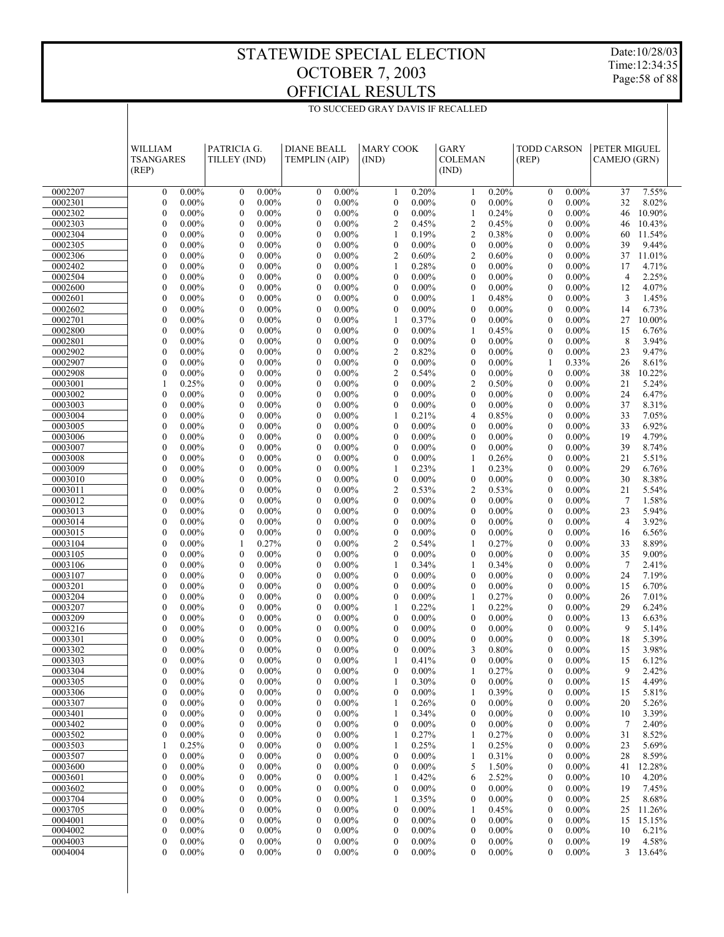TO SUCCEED GRAY DAVIS IF RECALLED

Date:10/28/03 Time:12:34:35 Page:58 of 88

|                    | WILLIAM                                                    | PATRICIA G.                                                  | <b>DIANE BEALL</b>                                           | <b>MARY COOK</b>                                             | GARY                                                         | <b>TODD CARSON</b>                                           | PETER MIGUEL                           |
|--------------------|------------------------------------------------------------|--------------------------------------------------------------|--------------------------------------------------------------|--------------------------------------------------------------|--------------------------------------------------------------|--------------------------------------------------------------|----------------------------------------|
|                    | <b>TSANGARES</b>                                           | TILLEY (IND)                                                 | <b>TEMPLIN (AIP)</b>                                         | (IND)                                                        | <b>COLEMAN</b>                                               | (REP)                                                        | CAMEJO (GRN)                           |
|                    | (REP)                                                      |                                                              |                                                              |                                                              | (IND)                                                        |                                                              |                                        |
| 0002207            | $\boldsymbol{0}$                                           | $0.00\%$                                                     | $\mathbf{0}$                                                 | $\mathbf{1}$                                                 | 0.20%                                                        | $0.00\%$                                                     | 7.55%                                  |
|                    | $0.00\%$                                                   | $\mathbf{0}$                                                 | $0.00\%$                                                     | 0.20%                                                        | 1                                                            | $\mathbf{0}$                                                 | 37                                     |
| 0002301            | $0.00\%$                                                   | $0.00\%$                                                     | $0.00\%$                                                     | $0.00\%$                                                     | $0.00\%$                                                     | $\boldsymbol{0}$                                             | 8.02%                                  |
|                    | $\boldsymbol{0}$                                           | $\boldsymbol{0}$                                             | $\boldsymbol{0}$                                             | $\boldsymbol{0}$                                             | $\boldsymbol{0}$                                             | $0.00\%$                                                     | 32                                     |
| 0002302            | $\overline{0}$                                             | $\mathbf{0}$                                                 | $\boldsymbol{0}$                                             | $\boldsymbol{0}$                                             | 0.24%                                                        | $\boldsymbol{0}$                                             | 10.90%                                 |
|                    | $0.00\%$                                                   | $0.00\%$                                                     | $0.00\%$                                                     | $0.00\%$                                                     | 1                                                            | $0.00\%$                                                     | 46                                     |
| 0002303            | $\boldsymbol{0}$                                           | $\boldsymbol{0}$                                             | $\boldsymbol{0}$                                             | $\overline{c}$                                               | $\overline{c}$                                               | $\boldsymbol{0}$                                             | 10.43%                                 |
|                    | $0.00\%$                                                   | $0.00\%$                                                     | $0.00\%$                                                     | 0.45%                                                        | 0.45%                                                        | $0.00\%$                                                     | 46                                     |
| 0002304            | $\overline{0}$<br>$0.00\%$                                 | $\mathbf{0}$<br>$0.00\%$                                     | $\mathbf{0}$<br>$0.00\%$                                     | 0.19%<br>1<br>$\boldsymbol{0}$                               | $\overline{c}$<br>0.38%<br>$\mathbf{0}$                      | $\mathbf{0}$<br>$0.00\%$                                     | 11.54%<br>60                           |
| 0002305<br>0002306 | $\boldsymbol{0}$<br>$0.00\%$<br>$\overline{0}$<br>$0.00\%$ | $\boldsymbol{0}$<br>$0.00\%$<br>$\mathbf{0}$<br>$0.00\%$     | $\boldsymbol{0}$<br>$0.00\%$<br>$\boldsymbol{0}$<br>$0.00\%$ | $0.00\%$<br>$\overline{c}$<br>0.60%                          | $0.00\%$<br>$\overline{2}$<br>0.60%                          | $\boldsymbol{0}$<br>$0.00\%$<br>$\boldsymbol{0}$<br>$0.00\%$ | 39<br>9.44%<br>11.01%<br>37            |
| 0002402            | $\boldsymbol{0}$                                           | $\boldsymbol{0}$                                             | $\boldsymbol{0}$                                             | $\mathbf{1}$                                                 | $\mathbf{0}$                                                 | $\boldsymbol{0}$                                             | 4.71%                                  |
|                    | $0.00\%$                                                   | $0.00\%$                                                     | $0.00\%$                                                     | 0.28%                                                        | $0.00\%$                                                     | $0.00\%$                                                     | 17                                     |
| 0002504            | $\overline{0}$                                             | $\mathbf{0}$                                                 | $\boldsymbol{0}$                                             | $\mathbf{0}$                                                 | $\mathbf{0}$                                                 | $\boldsymbol{0}$                                             | 2.25%                                  |
|                    | $0.00\%$                                                   | $0.00\%$                                                     | $0.00\%$                                                     | $0.00\%$                                                     | $0.00\%$                                                     | $0.00\%$                                                     | 4                                      |
| 0002600            | $\boldsymbol{0}$                                           | $\boldsymbol{0}$                                             | $\boldsymbol{0}$                                             | $\boldsymbol{0}$                                             | $\boldsymbol{0}$                                             | $\boldsymbol{0}$                                             | 4.07%                                  |
|                    | $0.00\%$                                                   | $0.00\%$                                                     | $0.00\%$                                                     | $0.00\%$                                                     | $0.00\%$                                                     | $0.00\%$                                                     | 12                                     |
| 0002601            | $\overline{0}$                                             | $\mathbf{0}$                                                 | $\boldsymbol{0}$                                             | $\mathbf{0}$                                                 | 0.48%                                                        | $\boldsymbol{0}$                                             | 3                                      |
|                    | $0.00\%$                                                   | $0.00\%$                                                     | $0.00\%$                                                     | $0.00\%$                                                     | $\mathbf{1}$                                                 | $0.00\%$                                                     | 1.45%                                  |
| 0002602            | $\boldsymbol{0}$                                           | $\boldsymbol{0}$                                             | $\boldsymbol{0}$                                             | $\boldsymbol{0}$                                             | $\mathbf{0}$                                                 | $\boldsymbol{0}$                                             | 6.73%                                  |
|                    | $0.00\%$                                                   | $0.00\%$                                                     | $0.00\%$                                                     | $0.00\%$                                                     | $0.00\%$                                                     | $0.00\%$                                                     | 14                                     |
| 0002701<br>0002800 | $\overline{0}$<br>$0.00\%$<br>$\boldsymbol{0}$<br>$0.00\%$ | $\mathbf{0}$<br>$0.00\%$<br>$\boldsymbol{0}$<br>$0.00\%$     | $\mathbf{0}$<br>$0.00\%$<br>$\boldsymbol{0}$<br>$0.00\%$     | 0.37%<br>$\mathbf{1}$<br>$\boldsymbol{0}$<br>$0.00\%$        | $\mathbf{0}$<br>$0.00\%$<br>$\mathbf{1}$<br>0.45%            | $\boldsymbol{0}$<br>$0.00\%$<br>$\boldsymbol{0}$<br>$0.00\%$ | 10.00%<br>27<br>6.76%<br>15            |
| 0002801            | $\overline{0}$                                             | $\mathbf{0}$                                                 | $\boldsymbol{0}$                                             | $\boldsymbol{0}$                                             | $\mathbf{0}$                                                 | $\boldsymbol{0}$                                             | 8                                      |
|                    | 0.00%                                                      | $0.00\%$                                                     | $0.00\%$                                                     | $0.00\%$                                                     | $0.00\%$                                                     | $0.00\%$                                                     | 3.94%                                  |
| 0002902            | $\boldsymbol{0}$                                           | $\boldsymbol{0}$                                             | $\boldsymbol{0}$                                             | $\overline{2}$                                               | $\mathbf{0}$                                                 | $\boldsymbol{0}$                                             | 23                                     |
|                    | $0.00\%$                                                   | $0.00\%$                                                     | $0.00\%$                                                     | 0.82%                                                        | $0.00\%$                                                     | $0.00\%$                                                     | 9.47%                                  |
| 0002907            | $\overline{0}$                                             | $\mathbf{0}$                                                 | $\mathbf{0}$                                                 | $\boldsymbol{0}$                                             | $\mathbf{0}$                                                 | 1                                                            | 8.61%                                  |
|                    | $0.00\%$                                                   | $0.00\%$                                                     | $0.00\%$                                                     | $0.00\%$                                                     | $0.00\%$                                                     | 0.33%                                                        | 26                                     |
| 0002908            | $\boldsymbol{0}$                                           | $\boldsymbol{0}$                                             | $\boldsymbol{0}$                                             | $\overline{2}$                                               | $\mathbf{0}$                                                 | $\boldsymbol{0}$                                             | 38                                     |
|                    | $0.00\%$                                                   | $0.00\%$                                                     | $0.00\%$                                                     | 0.54%                                                        | $0.00\%$                                                     | $0.00\%$                                                     | 10.22%                                 |
| 0003001            | 0.25%                                                      | $\mathbf{0}$                                                 | $\boldsymbol{0}$                                             | $\mathbf{0}$                                                 | $\overline{c}$                                               | $\mathbf{0}$                                                 | 21                                     |
|                    | 1                                                          | $0.00\%$                                                     | $0.00\%$                                                     | $0.00\%$                                                     | 0.50%                                                        | $0.00\%$                                                     | 5.24%                                  |
| 0003002            | $\boldsymbol{0}$                                           | $\boldsymbol{0}$                                             | $\boldsymbol{0}$                                             | $\boldsymbol{0}$                                             | $\mathbf{0}$                                                 | $\boldsymbol{0}$                                             | 24                                     |
|                    | $0.00\%$                                                   | $0.00\%$                                                     | $0.00\%$                                                     | $0.00\%$                                                     | $0.00\%$                                                     | $0.00\%$                                                     | 6.47%                                  |
| 0003003<br>0003004 | $\overline{0}$<br>$0.00\%$<br>$\boldsymbol{0}$<br>$0.00\%$ | $\mathbf{0}$<br>$0.00\%$<br>$\boldsymbol{0}$<br>$0.00\%$     | $\boldsymbol{0}$<br>$0.00\%$<br>$\boldsymbol{0}$<br>$0.00\%$ | $\mathbf{0}$<br>$0.00\%$<br>0.21%<br>1                       | $\mathbf{0}$<br>$0.00\%$<br>$\overline{4}$<br>0.85%          | $\boldsymbol{0}$<br>$0.00\%$<br>$\boldsymbol{0}$<br>$0.00\%$ | 8.31%<br>37<br>33<br>7.05%             |
| 0003005            | $\overline{0}$                                             | $\mathbf{0}$                                                 | $\boldsymbol{0}$                                             | $\mathbf{0}$                                                 | $\mathbf{0}$                                                 | $\boldsymbol{0}$                                             | 6.92%                                  |
|                    | $0.00\%$                                                   | $0.00\%$                                                     | $0.00\%$                                                     | $0.00\%$                                                     | $0.00\%$                                                     | $0.00\%$                                                     | 33                                     |
| 0003006            | $\boldsymbol{0}$                                           | $\boldsymbol{0}$                                             | $\boldsymbol{0}$                                             | $\boldsymbol{0}$                                             | $\mathbf{0}$                                                 | $\boldsymbol{0}$                                             | 19                                     |
|                    | $0.00\%$                                                   | $0.00\%$                                                     | $0.00\%$                                                     | $0.00\%$                                                     | $0.00\%$                                                     | $0.00\%$                                                     | 4.79%                                  |
| 0003007            | $\overline{0}$                                             | $\mathbf{0}$                                                 | $\mathbf{0}$                                                 | $\mathbf{0}$                                                 | $\mathbf{0}$                                                 | $\mathbf{0}$                                                 | 39                                     |
|                    | $0.00\%$                                                   | $0.00\%$                                                     | $0.00\%$                                                     | $0.00\%$                                                     | $0.00\%$                                                     | $0.00\%$                                                     | 8.74%                                  |
| 0003008            | $\boldsymbol{0}$                                           | $\boldsymbol{0}$                                             | $\boldsymbol{0}$                                             | $\boldsymbol{0}$                                             | 0.26%                                                        | $\boldsymbol{0}$                                             | 21                                     |
|                    | $0.00\%$                                                   | $0.00\%$                                                     | $0.00\%$                                                     | $0.00\%$                                                     | $\mathbf{1}$                                                 | $0.00\%$                                                     | 5.51%                                  |
| 0003009            | $\overline{0}$                                             | $\mathbf{0}$                                                 | $\boldsymbol{0}$                                             | 0.23%                                                        | 0.23%                                                        | $\boldsymbol{0}$                                             | 29                                     |
|                    | 0.00%                                                      | $0.00\%$                                                     | $0.00\%$                                                     | 1                                                            | 1                                                            | $0.00\%$                                                     | 6.76%                                  |
| 0003010            | $\boldsymbol{0}$                                           | $\boldsymbol{0}$                                             | $\boldsymbol{0}$                                             | $\boldsymbol{0}$                                             | $\mathbf{0}$                                                 | $\boldsymbol{0}$                                             | 30                                     |
|                    | $0.00\%$                                                   | $0.00\%$                                                     | $0.00\%$                                                     | $0.00\%$                                                     | $0.00\%$                                                     | $0.00\%$                                                     | 8.38%                                  |
| 0003011<br>0003012 | $\overline{0}$<br>$0.00\%$<br>$\boldsymbol{0}$<br>$0.00\%$ | $\mathbf{0}$<br>$0.00\%$<br>$\boldsymbol{0}$<br>$0.00\%$     | $\mathbf{0}$<br>$0.00\%$<br>$\boldsymbol{0}$<br>$0.00\%$     | $\overline{c}$<br>0.53%<br>$\boldsymbol{0}$<br>$0.00\%$      | 2<br>0.53%<br>$\mathbf{0}$<br>$0.00\%$                       | $\mathbf{0}$<br>$0.00\%$<br>$\boldsymbol{0}$<br>$0.00\%$     | 21<br>5.54%<br>$\overline{7}$<br>1.58% |
| 0003013            | $\overline{0}$                                             | $\mathbf{0}$                                                 | $\boldsymbol{0}$                                             | $\mathbf{0}$                                                 | $\mathbf{0}$                                                 | $\boldsymbol{0}$                                             | 23                                     |
|                    | $0.00\%$                                                   | $0.00\%$                                                     | $0.00\%$                                                     | $0.00\%$                                                     | $0.00\%$                                                     | $0.00\%$                                                     | 5.94%                                  |
| 0003014            | $\boldsymbol{0}$                                           | $\boldsymbol{0}$                                             | $\boldsymbol{0}$                                             | $\boldsymbol{0}$                                             | $\mathbf{0}$                                                 | $\boldsymbol{0}$                                             | $\overline{4}$                         |
|                    | $0.00\%$                                                   | $0.00\%$                                                     | $0.00\%$                                                     | $0.00\%$                                                     | $0.00\%$                                                     | $0.00\%$                                                     | 3.92%                                  |
| 0003015            | $\overline{0}$                                             | $\mathbf{0}$                                                 | $\mathbf{0}$                                                 | $\boldsymbol{0}$                                             | $\mathbf{0}$                                                 | $\boldsymbol{0}$                                             | 6.56%                                  |
|                    | $0.00\%$                                                   | $0.00\%$                                                     | $0.00\%$                                                     | $0.00\%$                                                     | $0.00\%$                                                     | $0.00\%$                                                     | 16                                     |
| 0003104            | $\boldsymbol{0}$                                           | 1                                                            | $\boldsymbol{0}$                                             | $\overline{c}$                                               | 0.27%                                                        | $\boldsymbol{0}$                                             | 33                                     |
|                    | $0.00\%$                                                   | 0.27%                                                        | $0.00\%$                                                     | 0.54%                                                        | 1                                                            | $0.00\%$                                                     | 8.89%                                  |
| 0003105            | $\overline{0}$                                             | $\mathbf{0}$                                                 | $\boldsymbol{0}$                                             | $\mathbf{0}$                                                 | $\mathbf{0}$                                                 | $\boldsymbol{0}$                                             | 9.00%                                  |
|                    | $0.00\%$                                                   | $0.00\%$                                                     | $0.00\%$                                                     | $0.00\%$                                                     | $0.00\%$                                                     | $0.00\%$                                                     | 35                                     |
| 0003106            | $\boldsymbol{0}$                                           | $\boldsymbol{0}$                                             | $\boldsymbol{0}$                                             | $\mathbf{1}$                                                 | 0.34%                                                        | $\boldsymbol{0}$                                             | 7                                      |
|                    | $0.00\%$                                                   | $0.00\%$                                                     | $0.00\%$                                                     | 0.34%                                                        | $\mathbf{1}$                                                 | $0.00\%$                                                     | 2.41%                                  |
| 0003107<br>0003201 | $\overline{0}$<br>$0.00\%$<br>$\boldsymbol{0}$<br>$0.00\%$ | $\mathbf{0}$<br>$0.00\%$<br>$\boldsymbol{0}$<br>$0.00\%$     | $\mathbf{0}$<br>$0.00\%$<br>$\boldsymbol{0}$<br>$0.00\%$     | $\mathbf{0}$<br>$0.00\%$<br>$\boldsymbol{0}$<br>$0.00\%$     | $\mathbf{0}$<br>$0.00\%$<br>$\boldsymbol{0}$<br>$0.00\%$     | $\mathbf{0}$<br>$0.00\%$<br>$\boldsymbol{0}$<br>$0.00\%$     | 7.19%<br>24<br>6.70%<br>15             |
| 0003204            | $\overline{0}$                                             | $\mathbf{0}$                                                 | $\boldsymbol{0}$                                             | $\mathbf{0}$                                                 | 0.27%                                                        | $\boldsymbol{0}$                                             | 7.01%                                  |
|                    | $0.00\%$                                                   | $0.00\%$                                                     | $0.00\%$                                                     | $0.00\%$                                                     | 1                                                            | $0.00\%$                                                     | 26                                     |
| 0003207            | $\boldsymbol{0}$                                           | $\boldsymbol{0}$                                             | $\boldsymbol{0}$                                             | 0.22%                                                        | $\mathbf{1}$                                                 | $\boldsymbol{0}$                                             | 29                                     |
|                    | $0.00\%$                                                   | $0.00\%$                                                     | $0.00\%$                                                     | 1                                                            | 0.22%                                                        | $0.00\%$                                                     | 6.24%                                  |
| 0003209            | $\overline{0}$                                             | $\mathbf{0}$                                                 | $\boldsymbol{0}$                                             | $\mathbf{0}$                                                 | $\mathbf{0}$                                                 | $\boldsymbol{0}$                                             | 6.63%                                  |
|                    | $0.00\%$                                                   | $0.00\%$                                                     | $0.00\%$                                                     | $0.00\%$                                                     | $0.00\%$                                                     | $0.00\%$                                                     | 13                                     |
| 0003216            | $\overline{0}$                                             | $\boldsymbol{0}$                                             | $\boldsymbol{0}$                                             | $\boldsymbol{0}$                                             | $\mathbf{0}$                                                 | $\boldsymbol{0}$                                             | 9                                      |
|                    | $0.00\%$                                                   | $0.00\%$                                                     | $0.00\%$                                                     | $0.00\%$                                                     | $0.00\%$                                                     | $0.00\%$                                                     | 5.14%                                  |
| 0003301            | $\overline{0}$                                             | $\theta$                                                     | $\overline{0}$                                               | $\mathbf{0}$                                                 | $\mathbf{0}$                                                 | $\mathbf{0}$                                                 | 18                                     |
|                    | $0.00\%$                                                   | $0.00\%$                                                     | $0.00\%$                                                     | $0.00\%$                                                     | $0.00\%$                                                     | $0.00\%$                                                     | 5.39%                                  |
| 0003302            | $\overline{0}$                                             | $\mathbf{0}$                                                 | $\mathbf{0}$                                                 | $\mathbf{0}$                                                 | 3                                                            | $\mathbf{0}$                                                 | 3.98%                                  |
|                    | $0.00\%$                                                   | $0.00\%$                                                     | $0.00\%$                                                     | $0.00\%$                                                     | 0.80%                                                        | $0.00\%$                                                     | 15                                     |
| 0003303<br>0003304 | $0.00\%$<br>0<br>$0.00\%$<br>0                             | $0.00\%$<br>$\boldsymbol{0}$<br>$0.00\%$<br>$\boldsymbol{0}$ | $0.00\%$<br>0<br>$0.00\%$<br>$\boldsymbol{0}$                | 0.41%<br>$0.00\%$<br>$\boldsymbol{0}$                        | $0.00\%$<br>0<br>0.27%<br>1                                  | 0.00%<br>0<br>$0.00\%$<br>$\boldsymbol{0}$                   | 6.12%<br>15<br>2.42%<br>9              |
| 0003305            | 0                                                          | $\boldsymbol{0}$                                             | $\boldsymbol{0}$                                             | 0.30%                                                        | $0.00\%$                                                     | $0.00\%$                                                     | 4.49%                                  |
|                    | $0.00\%$                                                   | $0.00\%$                                                     | $0.00\%$                                                     | -1                                                           | $\boldsymbol{0}$                                             | 0                                                            | 15                                     |
| 0003306            | 0                                                          | $\boldsymbol{0}$                                             | $0.00\%$                                                     | $\boldsymbol{0}$                                             | 0.39%                                                        | $\boldsymbol{0}$                                             | 5.81%                                  |
|                    | $0.00\%$                                                   | $0.00\%$                                                     | $\boldsymbol{0}$                                             | $0.00\%$                                                     | 1                                                            | $0.00\%$                                                     | 15                                     |
| 0003307            | 0                                                          | $\boldsymbol{0}$                                             | $\boldsymbol{0}$                                             | 0.26%                                                        | $\boldsymbol{0}$                                             | $0.00\%$                                                     | 5.26%                                  |
|                    | $0.00\%$                                                   | $0.00\%$                                                     | $0.00\%$                                                     | -1                                                           | $0.00\%$                                                     | 0                                                            | 20                                     |
| 0003401            | 0                                                          | $\boldsymbol{0}$                                             | $0.00\%$                                                     | 0.34%                                                        | $0.00\%$                                                     | $\boldsymbol{0}$                                             | 3.39%                                  |
|                    | $0.00\%$                                                   | $0.00\%$                                                     | $\boldsymbol{0}$                                             | 1                                                            | $\boldsymbol{0}$                                             | $0.00\%$                                                     | 10                                     |
| 0003402            | 0                                                          | $\boldsymbol{0}$                                             | $\boldsymbol{0}$                                             | $\boldsymbol{0}$                                             | $0.00\%$                                                     | $0.00\%$                                                     | 2.40%                                  |
|                    | $0.00\%$                                                   | $0.00\%$                                                     | $0.00\%$                                                     | $0.00\%$                                                     | 0                                                            | 0                                                            | 7                                      |
| 0003502            | 0                                                          | $\boldsymbol{0}$                                             | $0.00\%$                                                     | 0.27%                                                        | 0.27%                                                        | $\boldsymbol{0}$                                             | 8.52%                                  |
|                    | $0.00\%$                                                   | $0.00\%$                                                     | $\boldsymbol{0}$                                             | -1                                                           | 1                                                            | $0.00\%$                                                     | 31                                     |
| 0003503<br>0003507 | 0.25%<br>1<br>0<br>$0.00\%$                                | $\boldsymbol{0}$<br>$0.00\%$<br>$\boldsymbol{0}$<br>$0.00\%$ | $\boldsymbol{0}$<br>$0.00\%$<br>$\boldsymbol{0}$<br>$0.00\%$ | 0.25%<br>-1<br>$\boldsymbol{0}$<br>$0.00\%$                  | 0.25%<br>1<br>0.31%<br>1                                     | $0.00\%$<br>0<br>$\boldsymbol{0}$<br>$0.00\%$                | 5.69%<br>23<br>8.59%<br>28             |
| 0003600            | 0                                                          | $\boldsymbol{0}$                                             | $\boldsymbol{0}$                                             | $0.00\%$                                                     | 1.50%                                                        | $0.00\%$                                                     | 12.28%                                 |
|                    | $0.00\%$                                                   | $0.00\%$                                                     | $0.00\%$                                                     | $\boldsymbol{0}$                                             | 5                                                            | 0                                                            | 41                                     |
| 0003601            | 0                                                          | $\boldsymbol{0}$                                             | $0.00\%$                                                     | 0.42%                                                        | 2.52%                                                        | $\boldsymbol{0}$                                             | 4.20%                                  |
|                    | $0.00\%$                                                   | $0.00\%$                                                     | $\boldsymbol{0}$                                             | 1                                                            | 6                                                            | $0.00\%$                                                     | 10                                     |
| 0003602            | 0                                                          | $\boldsymbol{0}$                                             | $\boldsymbol{0}$                                             | $\boldsymbol{0}$                                             | $0.00\%$                                                     | $0.00\%$                                                     | 19                                     |
|                    | $0.00\%$                                                   | $0.00\%$                                                     | $0.00\%$                                                     | $0.00\%$                                                     | 0                                                            | 0                                                            | 7.45%                                  |
| 0003704            | 0                                                          | $\boldsymbol{0}$                                             | $\boldsymbol{0}$                                             | 0.35%                                                        | $0.00\%$                                                     | $\boldsymbol{0}$                                             | 8.68%                                  |
|                    | $0.00\%$                                                   | $0.00\%$                                                     | $0.00\%$                                                     | -1                                                           | $\boldsymbol{0}$                                             | $0.00\%$                                                     | 25                                     |
| 0003705            | 0                                                          | $\boldsymbol{0}$                                             | $\boldsymbol{0}$                                             | $\boldsymbol{0}$                                             | 0.45%                                                        | $0.00\%$                                                     | 11.26%                                 |
|                    | $0.00\%$                                                   | $0.00\%$                                                     | $0.00\%$                                                     | $0.00\%$                                                     | 1                                                            | 0                                                            | 25                                     |
| 0004001            | 0                                                          | $\boldsymbol{0}$                                             | $\boldsymbol{0}$                                             | $\boldsymbol{0}$                                             | $0.00\%$                                                     | $\boldsymbol{0}$                                             | 15.15%                                 |
|                    | $0.00\%$                                                   | $0.00\%$                                                     | $0.00\%$                                                     | $0.00\%$                                                     | $\boldsymbol{0}$                                             | $0.00\%$                                                     | 15                                     |
| 0004002<br>0004003 | 0<br>$0.00\%$<br>0<br>$0.00\%$                             | $\boldsymbol{0}$<br>$0.00\%$<br>$\boldsymbol{0}$<br>$0.00\%$ | $\boldsymbol{0}$<br>$0.00\%$<br>$\boldsymbol{0}$<br>$0.00\%$ | $\boldsymbol{0}$<br>$0.00\%$<br>$\boldsymbol{0}$<br>$0.00\%$ | $\boldsymbol{0}$<br>$0.00\%$<br>$\boldsymbol{0}$<br>$0.00\%$ | $0.00\%$<br>0<br>$\boldsymbol{0}$<br>$0.00\%$                | 6.21%<br>10<br>4.58%<br>19             |
| 0004004            | $\overline{0}$                                             | $\boldsymbol{0}$                                             | $\boldsymbol{0}$                                             | $\boldsymbol{0}$                                             | $\boldsymbol{0}$                                             | $\boldsymbol{0}$                                             | 3                                      |
|                    | $0.00\%$                                                   | $0.00\%$                                                     | $0.00\%$                                                     | $0.00\%$                                                     | $0.00\%$                                                     | $0.00\%$                                                     | 13.64%                                 |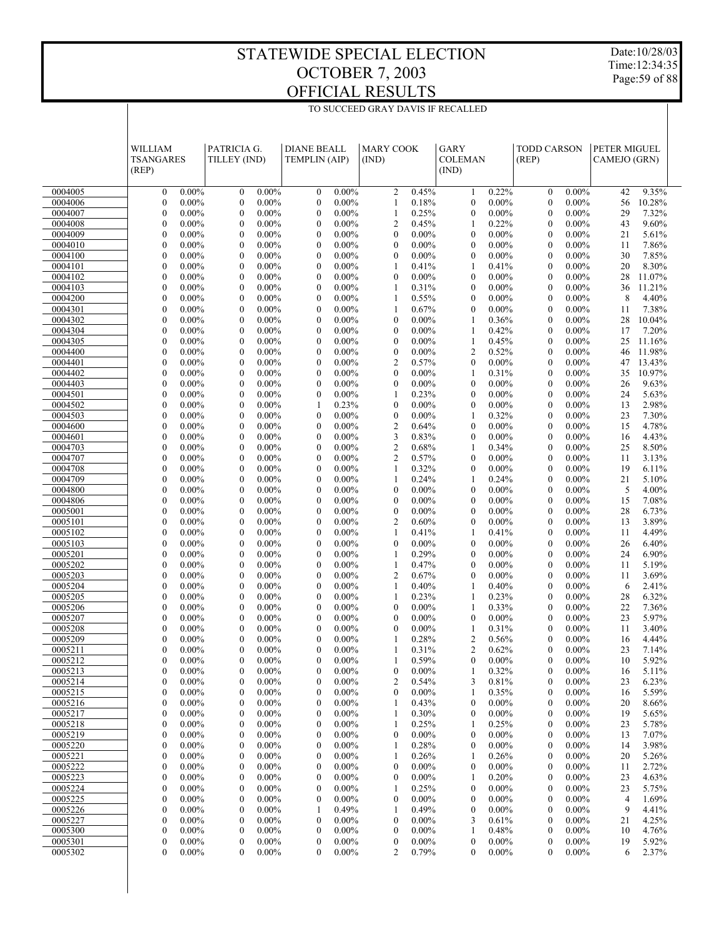TO SUCCEED GRAY DAVIS IF RECALLED

Date:10/28/03 Time:12:34:35 Page:59 of 88

|                    | WILLIAM<br>TSANGARES<br>(REP)                        | PATRICIA G.<br>TILLEY (IND)                                  | <b>DIANE BEALL</b><br><b>TEMPLIN (AIP)</b>                   | <b>MARY COOK</b><br>(IND)                                    | <b>GARY</b><br><b>COLEMAN</b><br>(IND)                       | <b>TODD CARSON</b><br>(REP)                                  | PETER MIGUEL<br>CAMEJO (GRN) |
|--------------------|------------------------------------------------------|--------------------------------------------------------------|--------------------------------------------------------------|--------------------------------------------------------------|--------------------------------------------------------------|--------------------------------------------------------------|------------------------------|
| 0004005            | $\mathbf{0}$                                         | $0.00\%$                                                     | $\boldsymbol{0}$                                             | $\overline{c}$                                               | 0.22%                                                        | $0.00\%$                                                     | 9.35%                        |
|                    | $0.00\%$                                             | $\mathbf{0}$                                                 | $0.00\%$                                                     | 0.45%                                                        | 1                                                            | $\boldsymbol{0}$                                             | 42                           |
| 0004006            | $0.00\%$                                             | $0.00\%$                                                     | $\mathbf{0}$                                                 | $\mathbf{1}$                                                 | $0.00\%$                                                     | $\boldsymbol{0}$                                             | 56                           |
|                    | $\mathbf{0}$                                         | $\boldsymbol{0}$                                             | $0.00\%$                                                     | 0.18%                                                        | $\mathbf{0}$                                                 | $0.00\%$                                                     | 10.28%                       |
| 0004007            | $\mathbf{0}$                                         | $0.00\%$                                                     | $\boldsymbol{0}$                                             | $\mathbf{1}$                                                 | $0.00\%$                                                     | $0.00\%$                                                     | 29                           |
|                    | $0.00\%$                                             | $\boldsymbol{0}$                                             | $0.00\%$                                                     | 0.25%                                                        | $\mathbf{0}$                                                 | $\boldsymbol{0}$                                             | 7.32%                        |
| 0004008            | $\mathbf{0}$                                         | $\mathbf{0}$                                                 | $\mathbf{0}$                                                 | $\overline{c}$                                               | 0.22%                                                        | $\boldsymbol{0}$                                             | 43                           |
|                    | $0.00\%$                                             | $0.00\%$                                                     | $0.00\%$                                                     | 0.45%                                                        | 1                                                            | $0.00\%$                                                     | 9.60%                        |
| 0004009            | $\mathbf{0}$                                         | $\boldsymbol{0}$                                             | $\boldsymbol{0}$                                             | $\boldsymbol{0}$                                             | $\mathbf{0}$                                                 | $\boldsymbol{0}$                                             | 21                           |
|                    | $0.00\%$                                             | $0.00\%$                                                     | $0.00\%$                                                     | $0.00\%$                                                     | $0.00\%$                                                     | $0.00\%$                                                     | 5.61%                        |
| 0004010<br>0004100 | $\mathbf{0}$<br>$0.00\%$<br>$\mathbf{0}$<br>$0.00\%$ | $\boldsymbol{0}$<br>$0.00\%$<br>$\boldsymbol{0}$<br>$0.00\%$ | $\boldsymbol{0}$<br>$0.00\%$<br>$\boldsymbol{0}$<br>$0.00\%$ | $\boldsymbol{0}$<br>$0.00\%$<br>$\boldsymbol{0}$<br>$0.00\%$ | $\mathbf{0}$<br>$0.00\%$<br>$0.00\%$<br>$\mathbf{0}$         | $\boldsymbol{0}$<br>$0.00\%$<br>$\boldsymbol{0}$             | 7.86%<br>11<br>30<br>7.85%   |
| 0004101            | $\mathbf{0}$<br>$0.00\%$                             | $\mathbf{0}$<br>$0.00\%$                                     | $\mathbf{0}$<br>$0.00\%$                                     | $\mathbf{1}$<br>0.41%                                        | 1<br>0.41%                                                   | $0.00\%$<br>$\boldsymbol{0}$<br>$0.00\%$                     | 20<br>8.30%                  |
| 0004102            | $0.00\%$                                             | $\boldsymbol{0}$                                             | $\boldsymbol{0}$                                             | $\mathbf{0}$                                                 | $\mathbf{0}$                                                 | $\boldsymbol{0}$                                             | 28                           |
|                    | $\mathbf{0}$                                         | $0.00\%$                                                     | $0.00\%$                                                     | $0.00\%$                                                     | $0.00\%$                                                     | $0.00\%$                                                     | 11.07%                       |
| 0004103            | $\mathbf{0}$                                         | $\boldsymbol{0}$                                             | $\boldsymbol{0}$                                             | 0.31%                                                        | $\mathbf{0}$                                                 | $\boldsymbol{0}$                                             | 36                           |
|                    | $0.00\%$                                             | $0.00\%$                                                     | $0.00\%$                                                     | 1                                                            | $0.00\%$                                                     | $0.00\%$                                                     | 11.21%                       |
| 0004200            | $\mathbf{0}$                                         | $\boldsymbol{0}$                                             | $\boldsymbol{0}$                                             | 1                                                            | $\boldsymbol{0}$                                             | $\boldsymbol{0}$                                             | 8                            |
|                    | $0.00\%$                                             | $0.00\%$                                                     | $0.00\%$                                                     | 0.55%                                                        | $0.00\%$                                                     | $0.00\%$                                                     | 4.40%                        |
| 0004301            | $\mathbf{0}$                                         | $\boldsymbol{0}$                                             | $\boldsymbol{0}$                                             | 1                                                            | $\mathbf{0}$                                                 | $\boldsymbol{0}$                                             | 7.38%                        |
|                    | $0.00\%$                                             | $0.00\%$                                                     | $0.00\%$                                                     | 0.67%                                                        | $0.00\%$                                                     | $0.00\%$                                                     | 11                           |
| 0004302            | $0.00\%$                                             | $\boldsymbol{0}$                                             | $\boldsymbol{0}$                                             | $\boldsymbol{0}$                                             | 1                                                            | $\boldsymbol{0}$                                             | 28                           |
|                    | $\mathbf{0}$                                         | $0.00\%$                                                     | $0.00\%$                                                     | $0.00\%$                                                     | 0.36%                                                        | $0.00\%$                                                     | 10.04%                       |
| 0004304            | $\mathbf{0}$                                         | $\mathbf{0}$                                                 | $\boldsymbol{0}$                                             | $\boldsymbol{0}$                                             | 0.42%                                                        | $\boldsymbol{0}$                                             | 17                           |
|                    | $0.00\%$                                             | $0.00\%$                                                     | $0.00\%$                                                     | $0.00\%$                                                     | 1                                                            | $0.00\%$                                                     | 7.20%                        |
| 0004305<br>0004400 | $\mathbf{0}$<br>$0.00\%$<br>$\mathbf{0}$<br>$0.00\%$ | $\boldsymbol{0}$<br>$0.00\%$<br>$\mathbf{0}$<br>$0.00\%$     | $\boldsymbol{0}$<br>$0.00\%$<br>$\boldsymbol{0}$<br>$0.00\%$ | $\boldsymbol{0}$<br>$0.00\%$<br>$\boldsymbol{0}$<br>$0.00\%$ | 0.45%<br>1<br>2<br>0.52%                                     | $\boldsymbol{0}$<br>$0.00\%$<br>$\boldsymbol{0}$<br>$0.00\%$ | 25<br>11.16%<br>11.98%<br>46 |
| 0004401            | $\mathbf{0}$                                         | $\boldsymbol{0}$                                             | $\boldsymbol{0}$                                             | $\boldsymbol{2}$                                             | $0.00\%$                                                     | $\boldsymbol{0}$                                             | 13.43%                       |
|                    | $0.00\%$                                             | $0.00\%$                                                     | $0.00\%$                                                     | 0.57%                                                        | $\mathbf{0}$                                                 | $0.00\%$                                                     | 47                           |
| 0004402            | $\mathbf{0}$                                         | $\boldsymbol{0}$                                             | $\boldsymbol{0}$                                             | $\boldsymbol{0}$                                             | 1                                                            | $\boldsymbol{0}$                                             | 10.97%                       |
|                    | $0.00\%$                                             | $0.00\%$                                                     | $0.00\%$                                                     | $0.00\%$                                                     | 0.31%                                                        | $0.00\%$                                                     | 35                           |
| 0004403            | $\mathbf{0}$                                         | $\boldsymbol{0}$                                             | $\boldsymbol{0}$                                             | $\boldsymbol{0}$                                             | $0.00\%$                                                     | $\boldsymbol{0}$                                             | 26                           |
|                    | $0.00\%$                                             | $0.00\%$                                                     | $0.00\%$                                                     | $0.00\%$                                                     | $\mathbf{0}$                                                 | $0.00\%$                                                     | 9.63%                        |
| 0004501            | $\mathbf{0}$                                         | $\mathbf{0}$                                                 | $\boldsymbol{0}$                                             | $\mathbf{1}$                                                 | $\mathbf{0}$                                                 | $\boldsymbol{0}$                                             | 5.63%                        |
|                    | $0.00\%$                                             | $0.00\%$                                                     | $0.00\%$                                                     | 0.23%                                                        | $0.00\%$                                                     | $0.00\%$                                                     | 24                           |
| 0004502            | $0.00\%$                                             | $\boldsymbol{0}$                                             | 1                                                            | $\boldsymbol{0}$                                             | $0.00\%$                                                     | $0.00\%$                                                     | 2.98%                        |
|                    | $\mathbf{0}$                                         | $0.00\%$                                                     | 0.23%                                                        | $0.00\%$                                                     | $\mathbf{0}$                                                 | $\boldsymbol{0}$                                             | 13                           |
| 0004503            | $\mathbf{0}$<br>$0.00\%$                             | $\mathbf{0}$<br>$0.00\%$                                     | $\boldsymbol{0}$<br>$0.00\%$                                 | $\boldsymbol{0}$<br>$0.00\%$                                 | 0.32%<br>1<br>$\mathbf{0}$                                   | $\boldsymbol{0}$<br>$0.00\%$                                 | 7.30%<br>23                  |
| 0004600<br>0004601 | $\mathbf{0}$<br>$0.00\%$<br>$\mathbf{0}$<br>$0.00\%$ | $\boldsymbol{0}$<br>$0.00\%$<br>$\boldsymbol{0}$<br>$0.00\%$ | $\boldsymbol{0}$<br>$0.00\%$<br>$\boldsymbol{0}$<br>$0.00\%$ | $\boldsymbol{2}$<br>0.64%<br>$\mathfrak z$<br>0.83%          | $0.00\%$<br>$\mathbf{0}$<br>$0.00\%$                         | $\boldsymbol{0}$<br>$0.00\%$<br>$\boldsymbol{0}$<br>$0.00\%$ | 4.78%<br>15<br>4.43%<br>16   |
| 0004703            | $\mathbf{0}$                                         | $\boldsymbol{0}$                                             | $\boldsymbol{0}$                                             | $\sqrt{2}$                                                   | 0.34%                                                        | $\boldsymbol{0}$                                             | 8.50%                        |
|                    | $0.00\%$                                             | $0.00\%$                                                     | $0.00\%$                                                     | 0.68%                                                        | 1                                                            | $0.00\%$                                                     | 25                           |
| 0004707            | $\mathbf{0}$                                         | $\mathbf{0}$                                                 | $\boldsymbol{0}$                                             | $\sqrt{2}$                                                   | $\mathbf{0}$                                                 | $\boldsymbol{0}$                                             | 11                           |
|                    | $0.00\%$                                             | $0.00\%$                                                     | $0.00\%$                                                     | 0.57%                                                        | $0.00\%$                                                     | $0.00\%$                                                     | 3.13%                        |
| 0004708            | $\mathbf{0}$                                         | $\boldsymbol{0}$                                             | $\boldsymbol{0}$                                             | $\mathbf{1}$                                                 | $0.00\%$                                                     | $\boldsymbol{0}$                                             | 19                           |
|                    | $0.00\%$                                             | $0.00\%$                                                     | $0.00\%$                                                     | 0.32%                                                        | $\mathbf{0}$                                                 | $0.00\%$                                                     | 6.11%                        |
| 0004709            | $\mathbf{0}$                                         | $\mathbf{0}$                                                 | $\mathbf{0}$                                                 | $\mathbf{1}$                                                 | 1                                                            | $\boldsymbol{0}$                                             | 21                           |
|                    | $0.00\%$                                             | $0.00\%$                                                     | $0.00\%$                                                     | 0.24%                                                        | 0.24%                                                        | $0.00\%$                                                     | 5.10%                        |
| 0004800            | $\mathbf{0}$                                         | $\boldsymbol{0}$                                             | $\boldsymbol{0}$                                             | $\boldsymbol{0}$                                             | $\mathbf{0}$                                                 | $\boldsymbol{0}$                                             | 5                            |
|                    | $0.00\%$                                             | $0.00\%$                                                     | $0.00\%$                                                     | $0.00\%$                                                     | $0.00\%$                                                     | $0.00\%$                                                     | 4.00%                        |
| 0004806<br>0005001 | $\mathbf{0}$<br>$0.00\%$<br>$\mathbf{0}$<br>$0.00\%$ | $\boldsymbol{0}$<br>$0.00\%$<br>$\boldsymbol{0}$<br>$0.00\%$ | $\boldsymbol{0}$<br>$0.00\%$<br>$\boldsymbol{0}$<br>$0.00\%$ | $\boldsymbol{0}$<br>$0.00\%$<br>$\boldsymbol{0}$<br>$0.00\%$ | $0.00\%$<br>$\mathbf{0}$<br>$\mathbf{0}$<br>$0.00\%$         | $\boldsymbol{0}$<br>$0.00\%$<br>$\boldsymbol{0}$<br>$0.00\%$ | 15<br>7.08%<br>28<br>6.73%   |
| 0005101            | $\mathbf{0}$                                         | $\mathbf{0}$                                                 | $\boldsymbol{0}$                                             | $\overline{c}$                                               | $\mathbf{0}$                                                 | $\boldsymbol{0}$                                             | 3.89%                        |
|                    | $0.00\%$                                             | $0.00\%$                                                     | $0.00\%$                                                     | 0.60%                                                        | $0.00\%$                                                     | $0.00\%$                                                     | 13                           |
| 0005102            | $\mathbf{0}$                                         | $\boldsymbol{0}$                                             | $\boldsymbol{0}$                                             | 0.41%                                                        | 1                                                            | $\boldsymbol{0}$                                             | 11                           |
|                    | $0.00\%$                                             | $0.00\%$                                                     | $0.00\%$                                                     | 1                                                            | 0.41%                                                        | $0.00\%$                                                     | 4.49%                        |
| 0005103            | $\mathbf{0}$                                         | $\mathbf{0}$                                                 | $\boldsymbol{0}$                                             | $\boldsymbol{0}$                                             | $\mathbf{0}$                                                 | $\boldsymbol{0}$                                             | 26                           |
|                    | $0.00\%$                                             | $0.00\%$                                                     | $0.00\%$                                                     | $0.00\%$                                                     | $0.00\%$                                                     | $0.00\%$                                                     | 6.40%                        |
| 0005201            | $\mathbf{0}$                                         | $\boldsymbol{0}$                                             | $\boldsymbol{0}$                                             | 0.29%                                                        | $0.00\%$                                                     | $\boldsymbol{0}$                                             | 24                           |
|                    | $0.00\%$                                             | $0.00\%$                                                     | $0.00\%$                                                     | 1                                                            | $\mathbf{0}$                                                 | $0.00\%$                                                     | 6.90%                        |
| 0005202            | $\mathbf{0}$                                         | $\mathbf{0}$                                                 | $\boldsymbol{0}$                                             | $\mathbf{1}$                                                 | $\mathbf{0}$                                                 | $\boldsymbol{0}$                                             | 11                           |
|                    | $0.00\%$                                             | $0.00\%$                                                     | $0.00\%$                                                     | 0.47%                                                        | $0.00\%$                                                     | $0.00\%$                                                     | 5.19%                        |
| 0005203<br>0005204 | $\mathbf{0}$<br>$0.00\%$<br>$\mathbf{0}$<br>$0.00\%$ | $\boldsymbol{0}$<br>$0.00\%$<br>$\boldsymbol{0}$<br>$0.00\%$ | $\boldsymbol{0}$<br>$0.00\%$<br>$\boldsymbol{0}$<br>$0.00\%$ | $\boldsymbol{2}$<br>0.67%<br>$\mathbf{1}$<br>0.40%           | $0.00\%$<br>$\mathbf{0}$<br>0.40%<br>1                       | $\boldsymbol{0}$<br>$0.00\%$<br>$\boldsymbol{0}$<br>$0.00\%$ | 11<br>3.69%<br>6<br>2.41%    |
| 0005205            | $\mathbf{0}$                                         | $\boldsymbol{0}$                                             | $\boldsymbol{0}$                                             | 0.23%                                                        | 1                                                            | $\boldsymbol{0}$                                             | 28                           |
|                    | $0.00\%$                                             | $0.00\%$                                                     | $0.00\%$                                                     | 1                                                            | 0.23%                                                        | $0.00\%$                                                     | 6.32%                        |
| 0005206            | $\mathbf{0}$                                         | $\mathbf{0}$                                                 | $\boldsymbol{0}$                                             | $\boldsymbol{0}$                                             | $\mathbf{1}$                                                 | $\boldsymbol{0}$                                             | 22                           |
|                    | $0.00\%$                                             | $0.00\%$                                                     | $0.00\%$                                                     | $0.00\%$                                                     | 0.33%                                                        | $0.00\%$                                                     | 7.36%                        |
| 0005207            | $\mathbf{0}$                                         | $\boldsymbol{0}$                                             | $\boldsymbol{0}$                                             | $\boldsymbol{0}$                                             | $\mathbf{0}$                                                 | $\boldsymbol{0}$                                             | 5.97%                        |
|                    | $0.00\%$                                             | $0.00\%$                                                     | $0.00\%$                                                     | $0.00\%$                                                     | $0.00\%$                                                     | $0.00\%$                                                     | 23                           |
| 0005208            | 0                                                    | $\mathbf{0}$                                                 | $\mathbf{0}$                                                 | $\boldsymbol{0}$                                             | 1                                                            | $\boldsymbol{0}$                                             | 3.40%                        |
|                    | $0.00\%$                                             | $0.00\%$                                                     | $0.00\%$                                                     | $0.00\%$                                                     | 0.31%                                                        | $0.00\%$                                                     | 11                           |
| 0005209            | 0                                                    | $\mathbf{0}$                                                 | $\mathbf{0}$                                                 | 1                                                            | $\overline{c}$                                               | $\boldsymbol{0}$                                             | 16                           |
|                    | $0.00\%$                                             | $0.00\%$                                                     | $0.00\%$                                                     | 0.28%                                                        | 0.56%                                                        | $0.00\%$                                                     | 4.44%                        |
| 0005211            | 0                                                    | $\mathbf{0}$                                                 | $\mathbf{0}$                                                 | 1                                                            | $\overline{c}$                                               | $\boldsymbol{0}$                                             | 23                           |
|                    | $0.00\%$                                             | $0.00\%$                                                     | $0.00\%$                                                     | 0.31%                                                        | 0.62%                                                        | $0.00\%$                                                     | 7.14%                        |
| 0005212<br>0005213 | $\mathbf{0}$<br>$0.00\%$<br>$0.00\%$<br>$\mathbf{0}$ | $\boldsymbol{0}$<br>$0.00\%$<br>$0.00\%$<br>$\bf{0}$         | $\boldsymbol{0}$<br>$0.00\%$<br>$\boldsymbol{0}$<br>$0.00\%$ | 0.59%<br>$\boldsymbol{0}$<br>$0.00\%$                        | 0<br>$0.00\%$<br>0.32%<br>1                                  | 0<br>$0.00\%$<br>$0.00\%$<br>0                               | 10<br>5.92%<br>5.11%<br>16   |
| 0005214            | $\mathbf{0}$                                         | $0.00\%$                                                     | $\boldsymbol{0}$                                             | $\overline{c}$                                               | 3                                                            | $0.00\%$                                                     | 23                           |
|                    | $0.00\%$                                             | $\boldsymbol{0}$                                             | $0.00\%$                                                     | 0.54%                                                        | 0.81%                                                        | 0                                                            | 6.23%                        |
| 0005215            | 0                                                    | $0.00\%$                                                     | $\boldsymbol{0}$                                             | $\boldsymbol{0}$                                             | 0.35%                                                        | $\boldsymbol{0}$                                             | 5.59%                        |
|                    | $0.00\%$                                             | $\boldsymbol{0}$                                             | $0.00\%$                                                     | $0.00\%$                                                     | 1                                                            | $0.00\%$                                                     | 16                           |
| 0005216            | $\mathbf{0}$                                         | $0.00\%$                                                     | $\boldsymbol{0}$                                             | 0.43%                                                        | $0.00\%$                                                     | $0.00\%$                                                     | 8.66%                        |
|                    | $0.00\%$                                             | $\boldsymbol{0}$                                             | $0.00\%$                                                     | $\mathbf{1}$                                                 | 0                                                            | $\boldsymbol{0}$                                             | 20                           |
| 0005217            | $\mathbf{0}$                                         | $0.00\%$                                                     | $\boldsymbol{0}$                                             | 0.30%                                                        | $\boldsymbol{0}$                                             | $\boldsymbol{0}$                                             | 19                           |
|                    | $0.00\%$                                             | $\boldsymbol{0}$                                             | $0.00\%$                                                     | 1                                                            | $0.00\%$                                                     | $0.00\%$                                                     | 5.65%                        |
| 0005218            | $\mathbf{0}$                                         | $0.00\%$                                                     | $\boldsymbol{0}$                                             | 0.25%                                                        | 0.25%                                                        | $0.00\%$                                                     | 23                           |
|                    | $0.00\%$                                             | $\boldsymbol{0}$                                             | $0.00\%$                                                     | 1                                                            | 1                                                            | $\boldsymbol{0}$                                             | 5.78%                        |
| 0005219<br>0005220 | $\mathbf{0}$<br>$0.00\%$<br>$\mathbf{0}$<br>$0.00\%$ | $\boldsymbol{0}$<br>$0.00\%$<br>$0.00\%$<br>$\boldsymbol{0}$ | $\boldsymbol{0}$<br>$0.00\%$<br>$\boldsymbol{0}$<br>$0.00\%$ | $\boldsymbol{0}$<br>$0.00\%$<br>0.28%<br>$\mathbf{1}$        | $\boldsymbol{0}$<br>$0.00\%$<br>$0.00\%$<br>$\boldsymbol{0}$ | $\boldsymbol{0}$<br>$0.00\%$<br>$0.00\%$<br>$\boldsymbol{0}$ | 13<br>7.07%<br>3.98%         |
| 0005221            | $\mathbf{0}$<br>$0.00\%$                             | $\boldsymbol{0}$<br>$0.00\%$                                 | $\boldsymbol{0}$<br>$0.00\%$                                 | 0.26%<br>1                                                   | 0.26%<br>1                                                   | $\boldsymbol{0}$<br>$0.00\%$                                 | 14<br>20<br>5.26%            |
| 0005222            | $\boldsymbol{0}$                                     | $0.00\%$                                                     | $\boldsymbol{0}$                                             | $\boldsymbol{0}$                                             | $\boldsymbol{0}$                                             | $0.00\%$                                                     | 2.72%                        |
|                    | $0.00\%$                                             | $\boldsymbol{0}$                                             | $0.00\%$                                                     | $0.00\%$                                                     | $0.00\%$                                                     | $\boldsymbol{0}$                                             | 11                           |
| 0005223            | $\mathbf{0}$                                         | $0.00\%$                                                     | $\boldsymbol{0}$                                             | $\boldsymbol{0}$                                             | 0.20%                                                        | $\boldsymbol{0}$                                             | 23                           |
|                    | $0.00\%$                                             | $\boldsymbol{0}$                                             | $0.00\%$                                                     | $0.00\%$                                                     | 1                                                            | $0.00\%$                                                     | 4.63%                        |
| 0005224            | $\mathbf{0}$                                         | $0.00\%$                                                     | $\boldsymbol{0}$                                             | 0.25%                                                        | $\boldsymbol{0}$                                             | $0.00\%$                                                     | 23                           |
|                    | $0.00\%$                                             | $\boldsymbol{0}$                                             | $0.00\%$                                                     | 1                                                            | $0.00\%$                                                     | $\boldsymbol{0}$                                             | 5.75%                        |
| 0005225            | 0                                                    | $\boldsymbol{0}$                                             | $\boldsymbol{0}$                                             | $\boldsymbol{0}$                                             | $\boldsymbol{0}$                                             | $\boldsymbol{0}$                                             | $\overline{4}$               |
|                    | $0.00\%$                                             | $0.00\%$                                                     | $0.00\%$                                                     | $0.00\%$                                                     | $0.00\%$                                                     | $0.00\%$                                                     | 1.69%                        |
| 0005226<br>0005227 | $\mathbf{0}$<br>$0.00\%$<br>$\mathbf{0}$<br>$0.00\%$ | $0.00\%$<br>$\boldsymbol{0}$<br>$\boldsymbol{0}$<br>$0.00\%$ | 0.49%<br>1<br>$\boldsymbol{0}$<br>$0.00\%$                   | 0.49%<br>1<br>$\boldsymbol{0}$<br>$0.00\%$                   | $0.00\%$<br>$\boldsymbol{0}$<br>3<br>0.61%                   | $0.00\%$<br>$\boldsymbol{0}$<br>$\boldsymbol{0}$<br>$0.00\%$ | 9<br>4.41%<br>4.25%<br>21    |
| 0005300            | $\boldsymbol{0}$                                     | $0.00\%$                                                     | $\boldsymbol{0}$                                             | $\boldsymbol{0}$                                             | 0.48%                                                        | $0.00\%$                                                     | 4.76%                        |
|                    | $0.00\%$                                             | $\boldsymbol{0}$                                             | $0.00\%$                                                     | $0.00\%$                                                     | 1                                                            | $\boldsymbol{0}$                                             | 10                           |
| 0005301            | 0                                                    | $\boldsymbol{0}$                                             | $\boldsymbol{0}$                                             | $\boldsymbol{0}$                                             | $\boldsymbol{0}$                                             | $\boldsymbol{0}$                                             | 19                           |
|                    | $0.00\%$                                             | $0.00\%$                                                     | $0.00\%$                                                     | $0.00\%$                                                     | $0.00\%$                                                     | $0.00\%$                                                     | 5.92%                        |
| 0005302            | 0                                                    | $\mathbf{0}$                                                 | $\mathbf{0}$                                                 | 2                                                            | $\mathbf{0}$                                                 | $\mathbf{0}$                                                 | 6                            |
|                    | $0.00\%$                                             | $0.00\%$                                                     | $0.00\%$                                                     | 0.79%                                                        | $0.00\%$                                                     | $0.00\%$                                                     | 2.37%                        |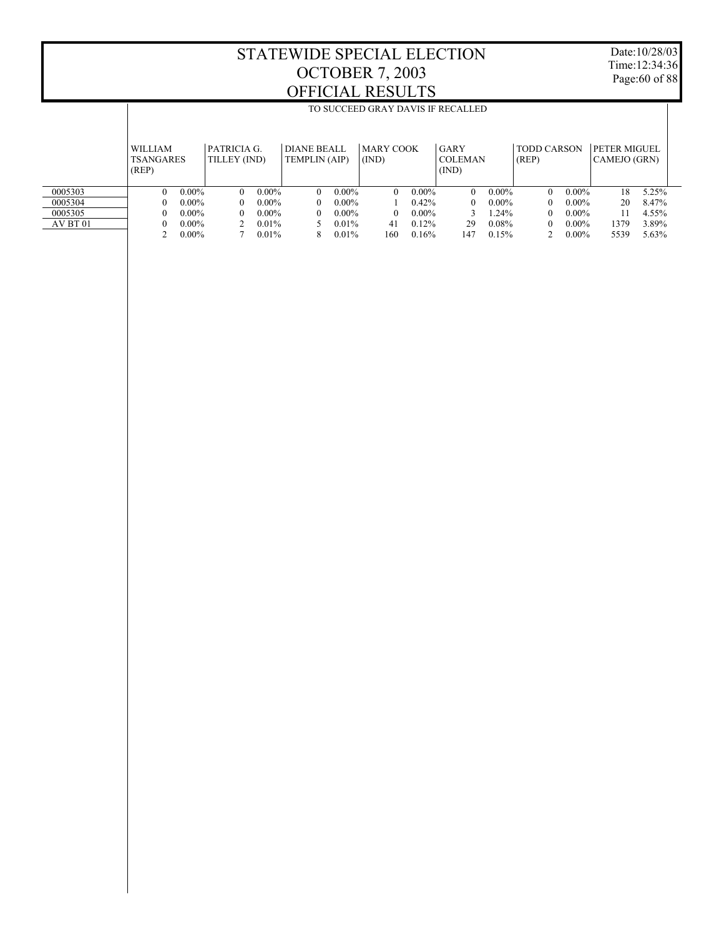Date:10/28/03 Time:12:34:36 Page:60 of 88

|          |                                             | TO SUCCEED GRAY DAVIS IF RECALLED |                             |          |                                            |          |                           |          |                                 |          |                             |          |                              |       |
|----------|---------------------------------------------|-----------------------------------|-----------------------------|----------|--------------------------------------------|----------|---------------------------|----------|---------------------------------|----------|-----------------------------|----------|------------------------------|-------|
|          |                                             |                                   |                             |          |                                            |          |                           |          |                                 |          |                             |          |                              |       |
|          | <b>WILLIAM</b><br><b>TSANGARES</b><br>(REP) |                                   | PATRICIA G.<br>TILLEY (IND) |          | <b>DIANE BEALL</b><br><b>TEMPLIN (AIP)</b> |          | <b>MARY COOK</b><br>(IND) |          | GARY<br><b>COLEMAN</b><br>(IND) |          | <b>TODD CARSON</b><br>(REP) |          | PETER MIGUEL<br>CAMEJO (GRN) |       |
| 0005303  | $\Omega$                                    | $0.00\%$                          | $\Omega$                    | $0.00\%$ | $\theta$                                   | $0.00\%$ | $\Omega$                  | $0.00\%$ | $\Omega$                        | $0.00\%$ | $\Omega$                    | $0.00\%$ | 18                           | 5.25% |
| 0005304  | $^{0}$                                      | $0.00\%$                          | $\Omega$                    | $0.00\%$ | $\theta$                                   | $0.00\%$ |                           | $0.42\%$ | $\theta$                        | $0.00\%$ | $\Omega$                    | $0.00\%$ | 20                           | 8.47% |
| 0005305  | $\mathbf{0}$                                | $0.00\%$                          | $\Omega$                    | $0.00\%$ | $\Omega$                                   | $0.00\%$ | $\Omega$                  | $0.00\%$ |                                 | 1.24%    | $\Omega$                    | $0.00\%$ | 11                           | 4.55% |
| AV BT 01 | 0                                           | $0.00\%$                          |                             | $0.01\%$ |                                            | $0.01\%$ | 41                        | 0.12%    | 29                              | 0.08%    | $\Omega$                    | $0.00\%$ | 1379                         | 3.89% |
|          |                                             | $0.00\%$                          |                             | 0.01%    | 8                                          | 0.01%    | 160                       | 0.16%    | 147                             | 0.15%    |                             | $0.00\%$ | 5539                         | 5.63% |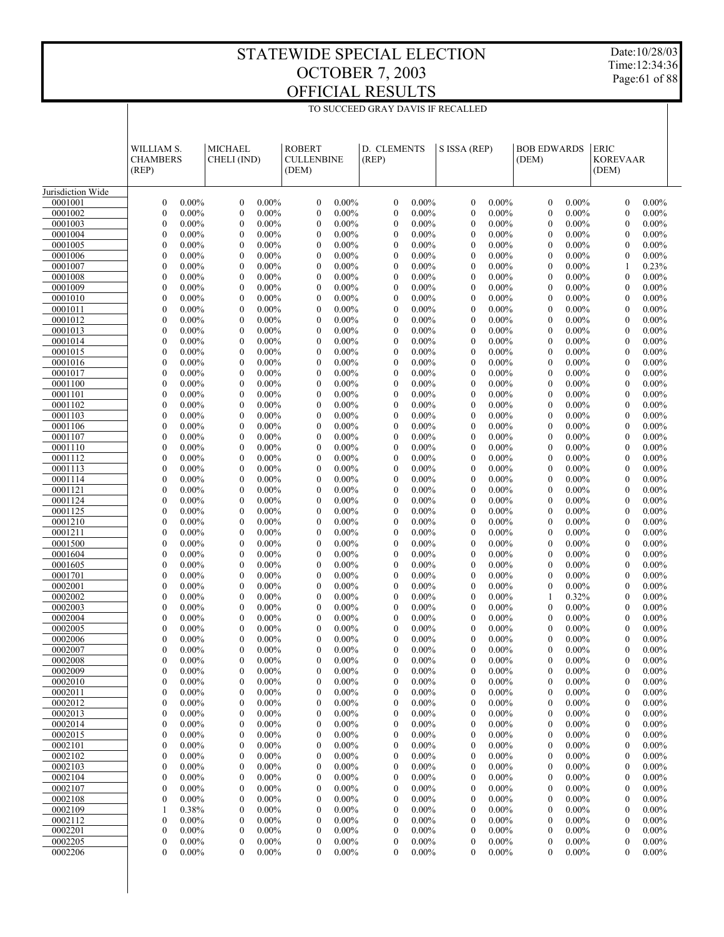Date:10/28/03 Time:12:34:36 Page:61 of 88

|                    | WILLIAM S.<br><b>CHAMBERS</b><br>(REP)                       | <b>MICHAEL</b><br>CHELI (IND)                                | <b>ROBERT</b><br><b>CULLENBINE</b><br>(DEM)                  | D. CLEMENTS<br>(REP)                                         | S ISSA (REP)                                                 | <b>BOB EDWARDS</b><br>(DEM)                          | <b>ERIC</b><br><b>KOREVAAR</b><br>(DEM)                      |
|--------------------|--------------------------------------------------------------|--------------------------------------------------------------|--------------------------------------------------------------|--------------------------------------------------------------|--------------------------------------------------------------|------------------------------------------------------|--------------------------------------------------------------|
| Jurisdiction Wide  |                                                              |                                                              |                                                              |                                                              |                                                              |                                                      |                                                              |
| 0001001            | $\mathbf{0}$                                                 | $\boldsymbol{0}$                                             | $\boldsymbol{0}$                                             | $\mathbf{0}$                                                 | $\mathbf{0}$                                                 | $\mathbf{0}$                                         | $0.00\%$                                                     |
|                    | $0.00\%$                                                     | $0.00\%$                                                     | $0.00\%$                                                     | $0.00\%$                                                     | $0.00\%$                                                     | $0.00\%$                                             | $\mathbf{0}$                                                 |
| 0001002            | $\mathbf{0}$                                                 | $0.00\%$                                                     | $\boldsymbol{0}$                                             | $\mathbf{0}$                                                 | $\mathbf{0}$                                                 | $\mathbf{0}$                                         | $\mathbf{0}$                                                 |
|                    | $0.00\%$                                                     | $\mathbf{0}$                                                 | $0.00\%$                                                     | $0.00\%$                                                     | $0.00\%$                                                     | $0.00\%$                                             | $0.00\%$                                                     |
| 0001003            | $\mathbf{0}$                                                 | $\mathbf{0}$                                                 | $\boldsymbol{0}$                                             | $0.00\%$                                                     | $\mathbf{0}$                                                 | $0.00\%$                                             | $0.00\%$                                                     |
|                    | $0.00\%$                                                     | $0.00\%$                                                     | $0.00\%$                                                     | $\mathbf{0}$                                                 | 0.00%                                                        | $\mathbf{0}$                                         | $\theta$                                                     |
|                    | $\mathbf{0}$                                                 | $\mathbf{0}$                                                 | $\boldsymbol{0}$                                             | $\mathbf{0}$                                                 | $\mathbf{0}$                                                 | $\mathbf{0}$                                         | $\theta$                                                     |
|                    | $0.00\%$                                                     | $0.00\%$                                                     | $0.00\%$                                                     | $0.00\%$                                                     | 0.00%                                                        | $0.00\%$                                             | $0.00\%$                                                     |
| 0001004            | $\mathbf{0}$                                                 | $\mathbf{0}$                                                 | $\boldsymbol{0}$                                             | $0.00\%$                                                     | 0.00%                                                        | $0.00\%$                                             | $0.00\%$                                                     |
| 0001005            | $0.00\%$                                                     | $0.00\%$                                                     | $0.00\%$                                                     | $\mathbf{0}$                                                 | $\mathbf{0}$                                                 | $\mathbf{0}$                                         | $\theta$                                                     |
| 0001006            | $\mathbf{0}$                                                 | $\mathbf{0}$                                                 | $\boldsymbol{0}$                                             | $\mathbf{0}$                                                 | $\mathbf{0}$                                                 | $\mathbf{0}$                                         | $\mathbf{0}$                                                 |
|                    | $0.00\%$                                                     | $0.00\%$                                                     | $0.00\%$                                                     | $0.00\%$                                                     | 0.00%                                                        | $0.00\%$                                             | $0.00\%$                                                     |
| 0001007            | $\mathbf{0}$                                                 | $\mathbf{0}$                                                 | $\boldsymbol{0}$                                             | $\mathbf{0}$                                                 | $\mathbf{0}$                                                 | $\mathbf{0}$                                         | 0.23%                                                        |
|                    | $0.00\%$                                                     | $0.00\%$                                                     | $0.00\%$                                                     | $0.00\%$                                                     | 0.00%                                                        | $0.00\%$                                             | 1                                                            |
| 0001008            | $\mathbf{0}$                                                 | $\mathbf{0}$                                                 | $\boldsymbol{0}$                                             | $\mathbf{0}$                                                 | $\mathbf{0}$                                                 | $\mathbf{0}$                                         | $\mathbf{0}$                                                 |
|                    | $0.00\%$                                                     | $0.00\%$                                                     | $0.00\%$                                                     | $0.00\%$                                                     | 0.00%                                                        | $0.00\%$                                             | $0.00\%$                                                     |
| 0001009            | $\mathbf{0}$                                                 | $\mathbf{0}$                                                 | $\boldsymbol{0}$                                             | $0.00\%$                                                     | 0.00%                                                        | $0.00\%$                                             | $0.00\%$                                                     |
|                    | $0.00\%$                                                     | $0.00\%$                                                     | $0.00\%$                                                     | $\mathbf{0}$                                                 | $\mathbf{0}$                                                 | $\mathbf{0}$                                         | $\theta$                                                     |
| 0001010            | $\mathbf{0}$                                                 | $\mathbf{0}$                                                 | $\boldsymbol{0}$                                             | $\mathbf{0}$                                                 | $\mathbf{0}$                                                 | $\mathbf{0}$                                         | $\mathbf{0}$                                                 |
|                    | $0.00\%$                                                     | $0.00\%$                                                     | $0.00\%$                                                     | $0.00\%$                                                     | 0.00%                                                        | $0.00\%$                                             | $0.00\%$                                                     |
| 0001011<br>0001012 | $\mathbf{0}$<br>$0.00\%$<br>$\mathbf{0}$<br>$0.00\%$         | $\mathbf{0}$<br>$0.00\%$<br>$\mathbf{0}$<br>$0.00\%$         | $\boldsymbol{0}$<br>$0.00\%$<br>$\boldsymbol{0}$<br>$0.00\%$ | $\mathbf{0}$<br>$0.00\%$<br>$\mathbf{0}$<br>$0.00\%$         | $\mathbf{0}$<br>0.00%<br>$\mathbf{0}$<br>0.00%               | $0.00\%$<br>$\mathbf{0}$<br>$\mathbf{0}$<br>$0.00\%$ | $0.00\%$<br>$\theta$<br>$\mathbf{0}$<br>$0.00\%$             |
| 0001013            | $\mathbf{0}$                                                 | $\mathbf{0}$                                                 | $\boldsymbol{0}$                                             | $0.00\%$                                                     | 0.00%                                                        | $0.00\%$                                             | $0.00\%$                                                     |
|                    | $0.00\%$                                                     | $0.00\%$                                                     | $0.00\%$                                                     | $\mathbf{0}$                                                 | $\mathbf{0}$                                                 | $\mathbf{0}$                                         | $\theta$                                                     |
| 0001014            | $\mathbf{0}$                                                 | $\mathbf{0}$                                                 | $\boldsymbol{0}$                                             | $\mathbf{0}$                                                 | $\mathbf{0}$                                                 | $\mathbf{0}$                                         | $\mathbf{0}$                                                 |
|                    | $0.00\%$                                                     | $0.00\%$                                                     | $0.00\%$                                                     | $0.00\%$                                                     | 0.00%                                                        | $0.00\%$                                             | $0.00\%$                                                     |
| 0001015            | $\mathbf{0}$                                                 | $\mathbf{0}$                                                 | $\boldsymbol{0}$                                             | $\mathbf{0}$                                                 | $\mathbf{0}$                                                 | $0.00\%$                                             | $0.00\%$                                                     |
|                    | $0.00\%$                                                     | $0.00\%$                                                     | $0.00\%$                                                     | $0.00\%$                                                     | 0.00%                                                        | $\mathbf{0}$                                         | $\theta$                                                     |
| 0001016            | $\overline{0}$                                               | $\mathbf{0}$                                                 | $\boldsymbol{0}$                                             | $\mathbf{0}$                                                 | $\mathbf{0}$                                                 | $\mathbf{0}$                                         | $\mathbf{0}$                                                 |
|                    | $0.00\%$                                                     | $0.00\%$                                                     | $0.00\%$                                                     | $0.00\%$                                                     | 0.00%                                                        | $0.00\%$                                             | $0.00\%$                                                     |
| 0001017            | $\mathbf{0}$                                                 | $\mathbf{0}$                                                 | $\boldsymbol{0}$                                             | $0.00\%$                                                     | 0.00%                                                        | $0.00\%$                                             | $0.00\%$                                                     |
|                    | $0.00\%$                                                     | $0.00\%$                                                     | $0.00\%$                                                     | $\mathbf{0}$                                                 | $\mathbf{0}$                                                 | $\mathbf{0}$                                         | $\theta$                                                     |
| 0001100<br>0001101 | $\mathbf{0}$<br>$0.00\%$<br>$\mathbf{0}$<br>$0.00\%$         | $\mathbf{0}$<br>$0.00\%$<br>$\mathbf{0}$<br>$0.00\%$         | $\boldsymbol{0}$<br>$0.00\%$<br>$\boldsymbol{0}$<br>$0.00\%$ | $\mathbf{0}$<br>$0.00\%$<br>$\mathbf{0}$<br>$0.00\%$         | $\mathbf{0}$<br>0.00%<br>$\mathbf{0}$<br>0.00%               | $\mathbf{0}$<br>$0.00\%$<br>$0.00\%$<br>$\mathbf{0}$ | $\mathbf{0}$<br>$0.00\%$<br>$0.00\%$<br>$\theta$             |
| 0001102            | $\overline{0}$                                               | $\mathbf{0}$                                                 | $\boldsymbol{0}$                                             | $\mathbf{0}$                                                 | $\mathbf{0}$                                                 | $\mathbf{0}$                                         | $\mathbf{0}$                                                 |
|                    | $0.00\%$                                                     | $0.00\%$                                                     | $0.00\%$                                                     | $0.00\%$                                                     | 0.00%                                                        | $0.00\%$                                             | $0.00\%$                                                     |
| 0001103            | $\mathbf{0}$                                                 | $\mathbf{0}$                                                 | $\boldsymbol{0}$                                             | $0.00\%$                                                     | 0.00%                                                        | $0.00\%$                                             | $0.00\%$                                                     |
|                    | $0.00\%$                                                     | $0.00\%$                                                     | $0.00\%$                                                     | $\mathbf{0}$                                                 | $\mathbf{0}$                                                 | $\mathbf{0}$                                         | $\theta$                                                     |
| 0001106            | $\mathbf{0}$                                                 | $\mathbf{0}$                                                 | $\boldsymbol{0}$                                             | $\mathbf{0}$                                                 | $\mathbf{0}$                                                 | $\mathbf{0}$                                         | $\mathbf{0}$                                                 |
|                    | $0.00\%$                                                     | $0.00\%$                                                     | $0.00\%$                                                     | $0.00\%$                                                     | 0.00%                                                        | $0.00\%$                                             | $0.00\%$                                                     |
| 0001107            | $\mathbf{0}$                                                 | $\mathbf{0}$                                                 | $\boldsymbol{0}$                                             | $\mathbf{0}$                                                 | $\mathbf{0}$                                                 | $0.00\%$                                             | $0.00\%$                                                     |
|                    | $0.00\%$                                                     | $0.00\%$                                                     | $0.00\%$                                                     | $0.00\%$                                                     | 0.00%                                                        | $\mathbf{0}$                                         | $\theta$                                                     |
| 0001110            | $\overline{0}$                                               | $\mathbf{0}$                                                 | $\boldsymbol{0}$                                             | $\mathbf{0}$                                                 | $\mathbf{0}$                                                 | $\mathbf{0}$                                         | $\mathbf{0}$                                                 |
|                    | $0.00\%$                                                     | $0.00\%$                                                     | $0.00\%$                                                     | $0.00\%$                                                     | 0.00%                                                        | $0.00\%$                                             | $0.00\%$                                                     |
| 0001112            | $\mathbf{0}$                                                 | $\mathbf{0}$                                                 | $\boldsymbol{0}$                                             | $0.00\%$                                                     | 0.00%                                                        | $0.00\%$                                             | $0.00\%$                                                     |
|                    | $0.00\%$                                                     | $0.00\%$                                                     | $0.00\%$                                                     | $\mathbf{0}$                                                 | $\mathbf{0}$                                                 | $\mathbf{0}$                                         | $\theta$                                                     |
| 0001113<br>0001114 | $\mathbf{0}$<br>$0.00\%$<br>$\mathbf{0}$<br>$0.00\%$         | $\mathbf{0}$<br>$0.00\%$<br>$\mathbf{0}$<br>$0.00\%$         | $\boldsymbol{0}$<br>$0.00\%$<br>$\boldsymbol{0}$<br>$0.00\%$ | $\mathbf{0}$<br>$0.00\%$<br>$\mathbf{0}$<br>$0.00\%$         | $\mathbf{0}$<br>0.00%<br>$\mathbf{0}$<br>0.00%               | $\mathbf{0}$<br>$0.00\%$<br>$0.00\%$<br>$\mathbf{0}$ | $\mathbf{0}$<br>$0.00\%$<br>$0.00\%$<br>$\theta$             |
| 0001121            | $\overline{0}$                                               | $\mathbf{0}$                                                 | $\boldsymbol{0}$                                             | $\mathbf{0}$                                                 | $\mathbf{0}$                                                 | $\mathbf{0}$                                         | $\theta$                                                     |
|                    | $0.00\%$                                                     | $0.00\%$                                                     | $0.00\%$                                                     | $0.00\%$                                                     | 0.00%                                                        | $0.00\%$                                             | $0.00\%$                                                     |
| 0001124            | $\mathbf{0}$                                                 | $\mathbf{0}$                                                 | $\boldsymbol{0}$                                             | $0.00\%$                                                     | 0.00%                                                        | $0.00\%$                                             | $0.00\%$                                                     |
|                    | $0.00\%$                                                     | $0.00\%$                                                     | $0.00\%$                                                     | $\mathbf{0}$                                                 | $\mathbf{0}$                                                 | $\mathbf{0}$                                         | $\theta$                                                     |
| 0001125            | $\mathbf{0}$                                                 | $\mathbf{0}$                                                 | $\boldsymbol{0}$                                             | $\mathbf{0}$                                                 | $\mathbf{0}$                                                 | $\mathbf{0}$                                         | $\mathbf{0}$                                                 |
|                    | $0.00\%$                                                     | $0.00\%$                                                     | $0.00\%$                                                     | $0.00\%$                                                     | 0.00%                                                        | $0.00\%$                                             | $0.00\%$                                                     |
| 0001210            | $\mathbf{0}$                                                 | $\mathbf{0}$                                                 | $\boldsymbol{0}$                                             | $\mathbf{0}$                                                 | $\mathbf{0}$                                                 | $0.00\%$                                             | $0.00\%$                                                     |
|                    | $0.00\%$                                                     | $0.00\%$                                                     | $0.00\%$                                                     | $0.00\%$                                                     | 0.00%                                                        | $\mathbf{0}$                                         | $\theta$                                                     |
| 0001211            | $\overline{0}$                                               | $\mathbf{0}$                                                 | $\boldsymbol{0}$                                             | $\mathbf{0}$                                                 | $\mathbf{0}$                                                 | $\mathbf{0}$                                         | $\mathbf{0}$                                                 |
|                    | $0.00\%$                                                     | $0.00\%$                                                     | $0.00\%$                                                     | $0.00\%$                                                     | 0.00%                                                        | $0.00\%$                                             | $0.00\%$                                                     |
| 0001500            | $\mathbf{0}$                                                 | $\mathbf{0}$                                                 | $\boldsymbol{0}$                                             | $\mathbf{0}$                                                 | 0.00%                                                        | $0.00\%$                                             | $0.00\%$                                                     |
|                    | $0.00\%$                                                     | $0.00\%$                                                     | $0.00\%$                                                     | $0.00\%$                                                     | $\mathbf{0}$                                                 | $\mathbf{0}$                                         | $\theta$                                                     |
| 0001604<br>0001605 | $\mathbf{0}$<br>$0.00\%$<br>$\mathbf{0}$<br>$0.00\%$         | $\mathbf{0}$<br>$0.00\%$<br>$\mathbf{0}$<br>$0.00\%$         | $\boldsymbol{0}$<br>$0.00\%$<br>$\boldsymbol{0}$<br>$0.00\%$ | $\mathbf{0}$<br>$0.00\%$<br>$\mathbf{0}$<br>$0.00\%$         | $\mathbf{0}$<br>0.00%<br>$\mathbf{0}$<br>0.00%               | $\mathbf{0}$<br>$0.00\%$<br>$0.00\%$<br>$\mathbf{0}$ | $\mathbf{0}$<br>$0.00\%$<br>$0.00\%$<br>$\theta$             |
| 0001701            | $\overline{0}$                                               | $\mathbf{0}$                                                 | $\boldsymbol{0}$                                             | $\mathbf{0}$                                                 | $\mathbf{0}$                                                 | $\mathbf{0}$                                         | $\mathbf{0}$                                                 |
|                    | $0.00\%$                                                     | $0.00\%$                                                     | $0.00\%$                                                     | $0.00\%$                                                     | 0.00%                                                        | $0.00\%$                                             | $0.00\%$                                                     |
| 0002001            | $\mathbf{0}$                                                 | $\mathbf{0}$                                                 | $\boldsymbol{0}$                                             | $0.00\%$                                                     | 0.00%                                                        | $0.00\%$                                             | $0.00\%$                                                     |
|                    | $0.00\%$                                                     | $0.00\%$                                                     | $0.00\%$                                                     | $\mathbf{0}$                                                 | $\mathbf{0}$                                                 | $\mathbf{0}$                                         | $\theta$                                                     |
| 0002002            | $\mathbf{0}$                                                 | $\mathbf{0}$                                                 | $\boldsymbol{0}$                                             | $\mathbf{0}$                                                 | $\mathbf{0}$                                                 | 0.32%                                                | $\mathbf{0}$                                                 |
|                    | $0.00\%$                                                     | $0.00\%$                                                     | $0.00\%$                                                     | $0.00\%$                                                     | 0.00%                                                        | 1                                                    | $0.00\%$                                                     |
| 0002003            | $\mathbf{0}$                                                 | $\mathbf{0}$                                                 | $\boldsymbol{0}$                                             | $0.00\%$                                                     | $\mathbf{0}$                                                 | $\mathbf{0}$                                         | $0.00\%$                                                     |
|                    | $0.00\%$                                                     | $0.00\%$                                                     | $0.00\%$                                                     | $\mathbf{0}$                                                 | 0.00%                                                        | $0.00\%$                                             | $\theta$                                                     |
| 0002004            | $\mathbf{0}$                                                 | $\mathbf{0}$                                                 | $\boldsymbol{0}$                                             | $\mathbf{0}$                                                 | $\mathbf{0}$                                                 | $\mathbf{0}$                                         | $\mathbf{0}$                                                 |
|                    | $0.00\%$                                                     | $0.00\%$                                                     | $0.00\%$                                                     | $0.00\%$                                                     | 0.00%                                                        | $0.00\%$                                             | $0.00\%$                                                     |
| 0002005            | $\mathbf{0}$                                                 | $\mathbf{0}$                                                 | $\boldsymbol{0}$                                             | $\mathbf{0}$                                                 | $\mathbf{0}$                                                 | $\mathbf{0}$                                         | $0.00\%$                                                     |
|                    | $0.00\%$                                                     | $0.00\%$                                                     | $0.00\%$                                                     | $0.00\%$                                                     | $0.00\%$                                                     | $0.00\%$                                             | $\theta$                                                     |
| 0002006<br>0002007 | $\theta$<br>$0.00\%$<br>$\theta$<br>$0.00\%$                 | $\mathbf{0}$<br>$0.00\%$<br>$\mathbf{0}$<br>$0.00\%$         | $\mathbf{0}$<br>$0.00\%$<br>$\mathbf{0}$<br>$0.00\%$         | $\mathbf{0}$<br>$0.00\%$<br>$\theta$<br>$0.00\%$             | $\overline{0}$<br>$0.00\%$<br>$\theta$<br>$0.00\%$           | $\mathbf{0}$<br>$0.00\%$<br>$\theta$<br>$0.00\%$     | $\theta$<br>$0.00\%$<br>$0.00\%$<br>$\Omega$                 |
| 0002008            | $\boldsymbol{0}$                                             | $\boldsymbol{0}$                                             | $\mathbf{0}$                                                 | $\boldsymbol{0}$                                             | $\mathbf{0}$                                                 | $\boldsymbol{0}$                                     | $\overline{0}$                                               |
|                    | $0.00\%$                                                     | $0.00\%$                                                     | 0.00%                                                        | 0.00%                                                        | 0.00%                                                        | 0.00%                                                | 0.00%                                                        |
| 0002009            | $0.00\%$                                                     | $0.00\%$                                                     | $0.00\%$                                                     | $0.00\%$                                                     | $0.00\%$                                                     | $0.00\%$                                             | $0.00\%$                                                     |
|                    | 0                                                            | $\boldsymbol{0}$                                             | $\boldsymbol{0}$                                             | $\boldsymbol{0}$                                             | 0                                                            | 0                                                    | 0                                                            |
| 0002010            | $\boldsymbol{0}$                                             | $0.00\%$                                                     | $0.00\%$                                                     | $0.00\%$                                                     | $\boldsymbol{0}$                                             | $0.00\%$                                             | $0.00\%$                                                     |
|                    | $0.00\%$                                                     | $\boldsymbol{0}$                                             | $\boldsymbol{0}$                                             | $\boldsymbol{0}$                                             | $0.00\%$                                                     | 0                                                    | $\boldsymbol{0}$                                             |
| 0002011            | $\boldsymbol{0}$                                             | $\boldsymbol{0}$                                             | $\boldsymbol{0}$                                             | $0.00\%$                                                     | $0.00\%$                                                     | $0.00\%$                                             | $0.00\%$                                                     |
|                    | $0.00\%$                                                     | $0.00\%$                                                     | $0.00\%$                                                     | $\boldsymbol{0}$                                             | $\boldsymbol{0}$                                             | 0                                                    | 0                                                            |
| 0002012            | $\boldsymbol{0}$                                             | $\boldsymbol{0}$                                             | $\boldsymbol{0}$                                             | $0.00\%$                                                     | $\boldsymbol{0}$                                             | $0.00\%$                                             | $\boldsymbol{0}$                                             |
|                    | $0.00\%$                                                     | $0.00\%$                                                     | $0.00\%$                                                     | $\boldsymbol{0}$                                             | $0.00\%$                                                     | 0                                                    | $0.00\%$                                                     |
| 0002013            | $\boldsymbol{0}$                                             | $0.00\%$                                                     | $\boldsymbol{0}$                                             | $0.00\%$                                                     | $\boldsymbol{0}$                                             | $0.00\%$                                             | $0.00\%$                                                     |
|                    | $0.00\%$                                                     | $\boldsymbol{0}$                                             | $0.00\%$                                                     | $\boldsymbol{0}$                                             | $0.00\%$                                                     | 0                                                    | $\mathbf{0}$                                                 |
| 0002014<br>0002015 | $\boldsymbol{0}$<br>$0.00\%$<br>$\boldsymbol{0}$<br>$0.00\%$ | $\boldsymbol{0}$<br>$0.00\%$<br>$\boldsymbol{0}$<br>$0.00\%$ | $0.00\%$<br>$\boldsymbol{0}$<br>$\boldsymbol{0}$<br>$0.00\%$ | $0.00\%$<br>$\boldsymbol{0}$<br>$0.00\%$<br>$\boldsymbol{0}$ | $\boldsymbol{0}$<br>$0.00\%$<br>$\boldsymbol{0}$<br>$0.00\%$ | $0.00\%$<br>0<br>$0.00\%$<br>0                       | $\boldsymbol{0}$<br>$0.00\%$<br>$0.00\%$<br>$\boldsymbol{0}$ |
| 0002101            | $\boldsymbol{0}$                                             | $\boldsymbol{0}$                                             | $0.00\%$                                                     | $\boldsymbol{0}$                                             | $\boldsymbol{0}$                                             | $\boldsymbol{0}$                                     | $\boldsymbol{0}$                                             |
|                    | $0.00\%$                                                     | $0.00\%$                                                     | $\boldsymbol{0}$                                             | $0.00\%$                                                     | $0.00\%$                                                     | $0.00\%$                                             | $0.00\%$                                                     |
| 0002102            | $\boldsymbol{0}$                                             | $\boldsymbol{0}$                                             | $\boldsymbol{0}$                                             | $0.00\%$                                                     | $\boldsymbol{0}$                                             | $0.00\%$                                             | $0.00\%$                                                     |
|                    | $0.00\%$                                                     | $0.00\%$                                                     | $0.00\%$                                                     | $\boldsymbol{0}$                                             | $0.00\%$                                                     | 0                                                    | $\mathbf{0}$                                                 |
| 0002103            | $\boldsymbol{0}$                                             | $\boldsymbol{0}$                                             | $0.00\%$                                                     | $0.00\%$                                                     | $\mathbf{0}$                                                 | $0.00\%$                                             | $\boldsymbol{0}$                                             |
|                    | $0.00\%$                                                     | $0.00\%$                                                     | $\boldsymbol{0}$                                             | $\boldsymbol{0}$                                             | $0.00\%$                                                     | 0                                                    | $0.00\%$                                                     |
| 0002104            | $\boldsymbol{0}$                                             | $\boldsymbol{0}$                                             | $\boldsymbol{0}$                                             | $0.00\%$                                                     | $\boldsymbol{0}$                                             | $0.00\%$                                             | $0.00\%$                                                     |
|                    | $0.00\%$                                                     | $0.00\%$                                                     | $0.00\%$                                                     | $\boldsymbol{0}$                                             | $0.00\%$                                                     | 0                                                    | $\boldsymbol{0}$                                             |
| 0002107            | $\boldsymbol{0}$                                             | $0.00\%$                                                     | $0.00\%$                                                     | $\boldsymbol{0}$                                             | $\boldsymbol{0}$                                             | $\boldsymbol{0}$                                     | $0.00\%$                                                     |
|                    | $0.00\%$                                                     | $\boldsymbol{0}$                                             | $\boldsymbol{0}$                                             | $0.00\%$                                                     | $0.00\%$                                                     | $0.00\%$                                             | $\boldsymbol{0}$                                             |
| 0002108            | $\boldsymbol{0}$                                             | $\boldsymbol{0}$                                             | $\boldsymbol{0}$                                             | $0.00\%$                                                     | $\boldsymbol{0}$                                             | $0.00\%$                                             | $0.00\%$                                                     |
|                    | $0.00\%$                                                     | $0.00\%$                                                     | $0.00\%$                                                     | $\boldsymbol{0}$                                             | $0.00\%$                                                     | 0                                                    | $\mathbf{0}$                                                 |
| 0002109<br>0002112 | 1<br>0.38%<br>$\boldsymbol{0}$<br>$0.00\%$                   | $\boldsymbol{0}$<br>$0.00\%$<br>$\boldsymbol{0}$<br>$0.00\%$ | $0.00\%$<br>$\boldsymbol{0}$<br>$\boldsymbol{0}$<br>$0.00\%$ | $0.00\%$<br>$\boldsymbol{0}$<br>$0.00\%$<br>$\boldsymbol{0}$ | $\boldsymbol{0}$<br>$0.00\%$<br>$\boldsymbol{0}$<br>$0.00\%$ | $0.00\%$<br>0<br>$0.00\%$<br>0                       | $\boldsymbol{0}$<br>$0.00\%$<br>$0.00\%$<br>$\mathbf{0}$     |
| 0002201            | $\boldsymbol{0}$                                             | $\boldsymbol{0}$                                             | $\boldsymbol{0}$                                             | $\boldsymbol{0}$                                             | $\boldsymbol{0}$                                             | $\boldsymbol{0}$                                     | $\boldsymbol{0}$                                             |
|                    | $0.00\%$                                                     | $0.00\%$                                                     | $0.00\%$                                                     | $0.00\%$                                                     | $0.00\%$                                                     | $0.00\%$                                             | $0.00\%$                                                     |
| 0002205            | $\boldsymbol{0}$                                             | $\boldsymbol{0}$                                             | $\boldsymbol{0}$                                             | $0.00\%$                                                     | $\boldsymbol{0}$                                             | $0.00\%$                                             | $0.00\%$                                                     |
|                    | $0.00\%$                                                     | $0.00\%$                                                     | $0.00\%$                                                     | $\boldsymbol{0}$                                             | $0.00\%$                                                     | 0                                                    | 0                                                            |
| 0002206            | $\boldsymbol{0}$                                             | $\boldsymbol{0}$                                             | $\boldsymbol{0}$                                             | $0.00\%$                                                     | 0                                                            | $\boldsymbol{0}$                                     | $0.00\%$                                                     |
|                    | $0.00\%$                                                     | $0.00\%$                                                     | $0.00\%$                                                     | $\mathbf{0}$                                                 | $0.00\%$                                                     | $0.00\%$                                             | $\overline{0}$                                               |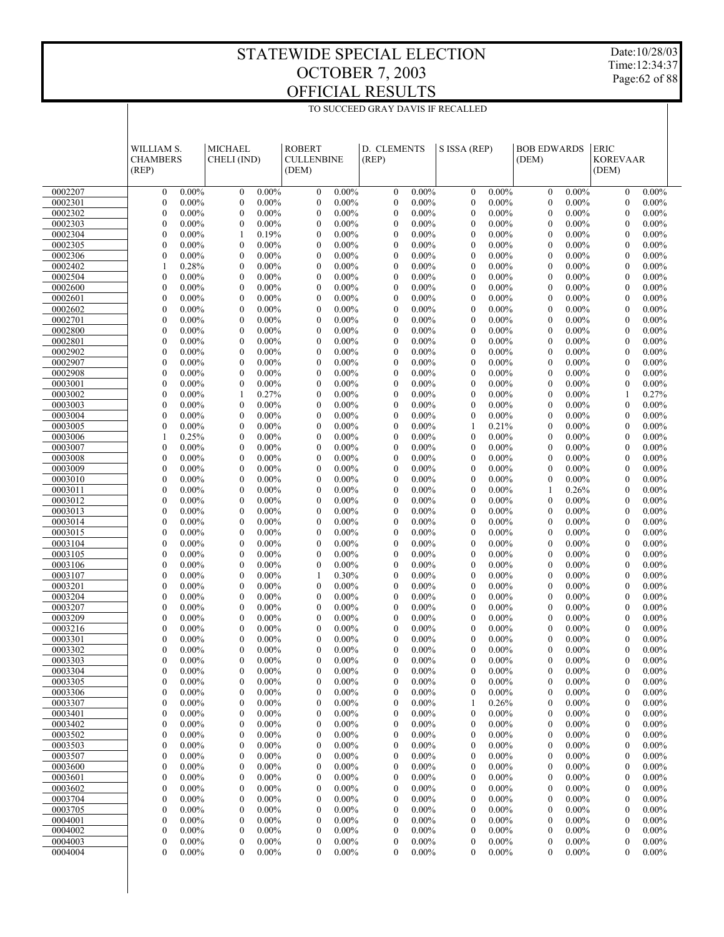Date:10/28/03 Time:12:34:37 Page:62 of 88

|                    | WILLIAM S.<br><b>CHAMBERS</b><br>(REP)           | <b>MICHAEL</b><br>CHELI (IND)                            | <b>ROBERT</b><br><b>CULLENBINE</b><br>(DEM)                  | D. CLEMENTS<br>(REP)                                         | S ISSA (REP)                                      | <b>BOB EDWARDS</b><br>(DEM)                                  | <b>ERIC</b><br><b>KOREVAAR</b><br>(DEM)                  |  |
|--------------------|--------------------------------------------------|----------------------------------------------------------|--------------------------------------------------------------|--------------------------------------------------------------|---------------------------------------------------|--------------------------------------------------------------|----------------------------------------------------------|--|
| 0002207            | $0.00\%$<br>$\mathbf{0}$                         | $0.00\%$<br>$\mathbf{0}$                                 | $0.00\%$<br>$\mathbf{0}$                                     | $0.00\%$<br>$\mathbf{0}$                                     | 0.00%<br>$\mathbf{0}$                             | $\mathbf{0}$<br>$0.00\%$                                     | $\mathbf{0}$<br>$0.00\%$                                 |  |
| 0002301            | $\boldsymbol{0}$<br>$0.00\%$                     | $\boldsymbol{0}$<br>$0.00\%$                             | $\boldsymbol{0}$<br>$0.00\%$                                 | $\boldsymbol{0}$<br>$0.00\%$                                 | $\mathbf{0}$<br>$0.00\%$                          | $\boldsymbol{0}$<br>$0.00\%$                                 | $\boldsymbol{0}$<br>$0.00\%$                             |  |
| 0002302            | $\boldsymbol{0}$<br>$0.00\%$                     | $\mathbf{0}$<br>$0.00\%$                                 | $\mathbf{0}$<br>$0.00\%$                                     | $\mathbf{0}$<br>$0.00\%$                                     | $\mathbf{0}$<br>$0.00\%$                          | $\theta$<br>$0.00\%$                                         | $\mathbf{0}$<br>$0.00\%$                                 |  |
| 0002303            | $\boldsymbol{0}$<br>$0.00\%$                     | $\boldsymbol{0}$<br>$0.00\%$                             | $\boldsymbol{0}$<br>$0.00\%$                                 | $\boldsymbol{0}$<br>$0.00\%$                                 | $\mathbf{0}$<br>0.00%                             | $0.00\%$<br>$\boldsymbol{0}$                                 | $0.00\%$<br>$\boldsymbol{0}$                             |  |
| 0002304            | $\boldsymbol{0}$<br>$0.00\%$                     | 0.19%<br>1                                               | $\boldsymbol{0}$<br>$0.00\%$                                 | $\boldsymbol{0}$<br>$0.00\%$                                 | $\mathbf{0}$<br>0.00%                             | $\boldsymbol{0}$<br>$0.00\%$                                 | $\mathbf{0}$<br>$0.00\%$                                 |  |
| 0002305            | $\boldsymbol{0}$<br>$0.00\%$                     | $\boldsymbol{0}$<br>$0.00\%$                             | $\boldsymbol{0}$<br>$0.00\%$                                 | $\boldsymbol{0}$<br>$0.00\%$                                 | $\mathbf{0}$<br>0.00%                             | $\boldsymbol{0}$<br>$0.00\%$                                 | $\boldsymbol{0}$<br>$0.00\%$                             |  |
| 0002306            | $\boldsymbol{0}$<br>$0.00\%$                     | $\mathbf{0}$<br>$0.00\%$                                 | $\boldsymbol{0}$<br>$0.00\%$                                 | $\mathbf{0}$<br>$0.00\%$                                     | $\mathbf{0}$<br>$0.00\%$                          | $\theta$<br>$0.00\%$                                         | $\mathbf{0}$<br>$0.00\%$                                 |  |
| 0002402            | 0.28%<br>$\mathbf{1}$                            | $\boldsymbol{0}$<br>$0.00\%$                             | $\boldsymbol{0}$<br>$0.00\%$                                 | $\boldsymbol{0}$<br>$0.00\%$                                 | $\mathbf{0}$<br>0.00%                             | $\boldsymbol{0}$<br>$0.00\%$                                 | $\boldsymbol{0}$<br>$0.00\%$                             |  |
| 0002504            | $\boldsymbol{0}$<br>$0.00\%$                     | $\mathbf{0}$<br>$0.00\%$                                 | $\boldsymbol{0}$<br>$0.00\%$                                 | $\boldsymbol{0}$<br>$0.00\%$                                 | $\mathbf{0}$<br>0.00%                             | $\boldsymbol{0}$<br>$0.00\%$                                 | $\mathbf{0}$<br>$0.00\%$                                 |  |
| 0002600            | $\boldsymbol{0}$<br>$0.00\%$                     | $\boldsymbol{0}$<br>$0.00\%$                             | $\boldsymbol{0}$<br>$0.00\%$                                 | $\boldsymbol{0}$<br>$0.00\%$                                 | $\mathbf{0}$<br>0.00%                             | $\boldsymbol{0}$<br>$0.00\%$                                 | $\boldsymbol{0}$<br>$0.00\%$                             |  |
| 0002601            | $\boldsymbol{0}$<br>$0.00\%$                     | $\mathbf{0}$<br>$0.00\%$                                 | $\boldsymbol{0}$<br>$0.00\%$                                 | $\mathbf{0}$<br>$0.00\%$                                     | $\mathbf{0}$<br>$0.00\%$                          | $\theta$<br>$0.00\%$                                         | $\mathbf{0}$<br>$0.00\%$                                 |  |
| 0002602            | $\boldsymbol{0}$<br>$0.00\%$                     | $\boldsymbol{0}$<br>$0.00\%$                             | $\boldsymbol{0}$<br>$0.00\%$                                 | $\boldsymbol{0}$<br>$0.00\%$                                 | $\mathbf{0}$<br>0.00%                             | $\boldsymbol{0}$<br>$0.00\%$                                 | $\boldsymbol{0}$<br>$0.00\%$                             |  |
| 0002701            | $\boldsymbol{0}$<br>$0.00\%$                     | $\mathbf{0}$<br>$0.00\%$                                 | $\boldsymbol{0}$<br>$0.00\%$                                 | $\boldsymbol{0}$<br>$0.00\%$                                 | $\mathbf{0}$<br>$0.00\%$                          | $\boldsymbol{0}$<br>$0.00\%$                                 | $\mathbf{0}$<br>$0.00\%$                                 |  |
| 0002800            | $\boldsymbol{0}$<br>$0.00\%$                     | $\boldsymbol{0}$<br>$0.00\%$                             | $\boldsymbol{0}$<br>$0.00\%$                                 | $\boldsymbol{0}$<br>$0.00\%$                                 | $\mathbf{0}$<br>0.00%                             | $\boldsymbol{0}$<br>$0.00\%$                                 | $\boldsymbol{0}$<br>$0.00\%$                             |  |
| 0002801            | $\boldsymbol{0}$<br>$0.00\%$                     | $\mathbf{0}$<br>$0.00\%$                                 | $\boldsymbol{0}$<br>$0.00\%$                                 | $\mathbf{0}$<br>$0.00\%$                                     | $\mathbf{0}$<br>$0.00\%$                          | $\theta$<br>$0.00\%$                                         | $\mathbf{0}$<br>$0.00\%$                                 |  |
| 0002902            | $\boldsymbol{0}$<br>$0.00\%$                     | $\boldsymbol{0}$<br>$0.00\%$                             | $\boldsymbol{0}$<br>$0.00\%$                                 | $\boldsymbol{0}$<br>$0.00\%$                                 | $\mathbf{0}$<br>0.00%                             | $\boldsymbol{0}$<br>$0.00\%$                                 | $\boldsymbol{0}$<br>$0.00\%$                             |  |
| 0002907            | $\boldsymbol{0}$<br>$0.00\%$                     | $\mathbf{0}$<br>$0.00\%$                                 | $\boldsymbol{0}$<br>$0.00\%$                                 | $\boldsymbol{0}$<br>$0.00\%$                                 | $\mathbf{0}$<br>0.00%                             | $\boldsymbol{0}$<br>$0.00\%$                                 | $\mathbf{0}$<br>$0.00\%$                                 |  |
| 0002908            | $\boldsymbol{0}$<br>$0.00\%$                     | $\boldsymbol{0}$<br>$0.00\%$                             | $\boldsymbol{0}$<br>$0.00\%$                                 | $\boldsymbol{0}$<br>$0.00\%$                                 | $\mathbf{0}$<br>0.00%                             | $\boldsymbol{0}$<br>$0.00\%$                                 | $\boldsymbol{0}$<br>$0.00\%$                             |  |
| 0003001            | $\boldsymbol{0}$<br>$0.00\%$                     | $\boldsymbol{0}$<br>$0.00\%$                             | $\boldsymbol{0}$<br>$0.00\%$                                 | $\mathbf{0}$<br>$0.00\%$                                     | $\mathbf{0}$<br>$0.00\%$                          | $\theta$<br>$0.00\%$                                         | $\boldsymbol{0}$<br>$0.00\%$                             |  |
| 0003002<br>0003003 | $\boldsymbol{0}$<br>$0.00\%$<br>$0.00\%$         | 0.27%<br>1                                               | $\boldsymbol{0}$<br>$0.00\%$                                 | $\boldsymbol{0}$<br>$0.00\%$                                 | $\mathbf{0}$<br>0.00%                             | $\boldsymbol{0}$<br>$0.00\%$                                 | 0.27%<br>1                                               |  |
| 0003004            | $\boldsymbol{0}$<br>$\boldsymbol{0}$<br>$0.00\%$ | $\mathbf{0}$<br>$0.00\%$<br>$\boldsymbol{0}$<br>$0.00\%$ | $\boldsymbol{0}$<br>$0.00\%$<br>$\boldsymbol{0}$<br>$0.00\%$ | $\boldsymbol{0}$<br>$0.00\%$<br>$\boldsymbol{0}$<br>$0.00\%$ | $\mathbf{0}$<br>$0.00\%$<br>$\mathbf{0}$<br>0.00% | $\boldsymbol{0}$<br>$0.00\%$<br>$\boldsymbol{0}$<br>$0.00\%$ | $\mathbf{0}$<br>$0.00\%$<br>$\boldsymbol{0}$<br>$0.00\%$ |  |
| 0003005            | $\boldsymbol{0}$<br>$0.00\%$                     | $\mathbf{0}$<br>$0.00\%$                                 | $\boldsymbol{0}$<br>$0.00\%$                                 | $\mathbf{0}$<br>$0.00\%$                                     | 0.21%<br>1                                        | $\theta$<br>$0.00\%$                                         | $\mathbf{0}$<br>$0.00\%$                                 |  |
| 0003006            | 0.25%<br>$\mathbf{1}$                            | $\boldsymbol{0}$<br>$0.00\%$                             | $\boldsymbol{0}$<br>$0.00\%$                                 | $\boldsymbol{0}$<br>$0.00\%$                                 | $\mathbf{0}$<br>0.00%                             | $\boldsymbol{0}$<br>$0.00\%$                                 | $\boldsymbol{0}$<br>$0.00\%$                             |  |
| 0003007            | $\boldsymbol{0}$<br>$0.00\%$                     | $\mathbf{0}$<br>$0.00\%$                                 | $\boldsymbol{0}$<br>$0.00\%$                                 | $\boldsymbol{0}$<br>$0.00\%$                                 | $\mathbf{0}$<br>0.00%                             | $\boldsymbol{0}$<br>$0.00\%$                                 | $\mathbf{0}$<br>$0.00\%$                                 |  |
| 0003008            | $\boldsymbol{0}$<br>$0.00\%$                     | $\boldsymbol{0}$<br>$0.00\%$                             | $\boldsymbol{0}$<br>$0.00\%$                                 | $\boldsymbol{0}$<br>$0.00\%$                                 | $\mathbf{0}$<br>0.00%                             | $\boldsymbol{0}$<br>$0.00\%$                                 | $\boldsymbol{0}$<br>$0.00\%$                             |  |
| 0003009            | $\boldsymbol{0}$<br>$0.00\%$                     | $\mathbf{0}$<br>$0.00\%$                                 | $\boldsymbol{0}$<br>$0.00\%$                                 | $\mathbf{0}$<br>$0.00\%$                                     | $\mathbf{0}$<br>$0.00\%$                          | $\theta$<br>$0.00\%$                                         | $\mathbf{0}$<br>$0.00\%$                                 |  |
| 0003010            | $\boldsymbol{0}$<br>$0.00\%$                     | $\boldsymbol{0}$<br>$0.00\%$                             | $\boldsymbol{0}$<br>$0.00\%$                                 | $\boldsymbol{0}$<br>$0.00\%$                                 | $\mathbf{0}$<br>0.00%                             | $\boldsymbol{0}$<br>$0.00\%$                                 | $\boldsymbol{0}$<br>$0.00\%$                             |  |
| 0003011            | $\boldsymbol{0}$<br>$0.00\%$                     | $\mathbf{0}$<br>$0.00\%$                                 | $\boldsymbol{0}$<br>$0.00\%$                                 | $\boldsymbol{0}$<br>$0.00\%$                                 | $\mathbf{0}$<br>$0.00\%$                          | 0.26%<br>1                                                   | $\mathbf{0}$<br>$0.00\%$                                 |  |
| 0003012            | $\boldsymbol{0}$<br>$0.00\%$                     | $\boldsymbol{0}$<br>$0.00\%$                             | $\boldsymbol{0}$<br>$0.00\%$                                 | $\boldsymbol{0}$<br>$0.00\%$                                 | $\mathbf{0}$<br>0.00%                             | $\boldsymbol{0}$<br>$0.00\%$                                 | $\boldsymbol{0}$<br>$0.00\%$                             |  |
| 0003013            | $\boldsymbol{0}$<br>$0.00\%$                     | $\mathbf{0}$<br>$0.00\%$                                 | $\mathbf{0}$<br>$0.00\%$                                     | $\mathbf{0}$<br>$0.00\%$                                     | $\mathbf{0}$<br>$0.00\%$                          | $\theta$<br>$0.00\%$                                         | $\mathbf{0}$<br>$0.00\%$                                 |  |
| 0003014            | $\boldsymbol{0}$<br>$0.00\%$                     | $\boldsymbol{0}$<br>$0.00\%$                             | $\boldsymbol{0}$<br>$0.00\%$                                 | $\boldsymbol{0}$<br>$0.00\%$                                 | $\mathbf{0}$<br>0.00%                             | $\boldsymbol{0}$<br>$0.00\%$                                 | $\boldsymbol{0}$<br>$0.00\%$                             |  |
| 0003015            | $\boldsymbol{0}$<br>$0.00\%$                     | $\mathbf{0}$<br>$0.00\%$                                 | $\boldsymbol{0}$<br>$0.00\%$                                 | $\boldsymbol{0}$<br>$0.00\%$                                 | $\mathbf{0}$<br>$0.00\%$                          | $\boldsymbol{0}$<br>$0.00\%$                                 | $\mathbf{0}$<br>$0.00\%$                                 |  |
| 0003104            | $\boldsymbol{0}$<br>$0.00\%$                     | $\boldsymbol{0}$<br>$0.00\%$                             | $\boldsymbol{0}$<br>$0.00\%$                                 | $\boldsymbol{0}$<br>$0.00\%$                                 | $\mathbf{0}$<br>0.00%                             | $\boldsymbol{0}$<br>$0.00\%$                                 | $\boldsymbol{0}$<br>$0.00\%$                             |  |
| 0003105            | $\boldsymbol{0}$<br>$0.00\%$                     | $\mathbf{0}$<br>$0.00\%$                                 | $\mathbf{0}$<br>$0.00\%$                                     | $\mathbf{0}$<br>$0.00\%$                                     | $\mathbf{0}$<br>$0.00\%$                          | $\theta$<br>$0.00\%$                                         | $\mathbf{0}$<br>$0.00\%$                                 |  |
| 0003106            | $\boldsymbol{0}$<br>$0.00\%$                     | $\boldsymbol{0}$<br>$0.00\%$                             | $\boldsymbol{0}$<br>$0.00\%$                                 | $\boldsymbol{0}$<br>$0.00\%$                                 | $\mathbf{0}$<br>0.00%                             | $\boldsymbol{0}$<br>$0.00\%$                                 | $\boldsymbol{0}$<br>$0.00\%$                             |  |
| 0003107            | $\boldsymbol{0}$<br>$0.00\%$                     | $\mathbf{0}$<br>$0.00\%$                                 | 0.30%<br>1                                                   | $\boldsymbol{0}$<br>$0.00\%$                                 | $\mathbf{0}$<br>$0.00\%$                          | $\boldsymbol{0}$<br>$0.00\%$                                 | $\mathbf{0}$<br>$0.00\%$                                 |  |
| 0003201            | $\boldsymbol{0}$<br>$0.00\%$                     | $\boldsymbol{0}$<br>$0.00\%$                             | $\boldsymbol{0}$<br>$0.00\%$                                 | $\boldsymbol{0}$<br>$0.00\%$                                 | $\mathbf{0}$<br>$0.00\%$                          | $\boldsymbol{0}$<br>$0.00\%$                                 | $\boldsymbol{0}$<br>$0.00\%$                             |  |
| 0003204            | $\boldsymbol{0}$<br>$0.00\%$                     | $\mathbf{0}$<br>$0.00\%$                                 | $\mathbf{0}$<br>$0.00\%$                                     | $\mathbf{0}$<br>$0.00\%$                                     | $\mathbf{0}$<br>$0.00\%$                          | $\theta$<br>$0.00\%$                                         | $\mathbf{0}$<br>$0.00\%$                                 |  |
| 0003207            | $\boldsymbol{0}$<br>$0.00\%$                     | $\boldsymbol{0}$<br>$0.00\%$                             | $\boldsymbol{0}$<br>$0.00\%$                                 | $\boldsymbol{0}$<br>$0.00\%$                                 | $\mathbf{0}$<br>$0.00\%$                          | $\boldsymbol{0}$<br>$0.00\%$                                 | $\boldsymbol{0}$<br>$0.00\%$                             |  |
| 0003209            | $\boldsymbol{0}$<br>$0.00\%$                     | $\mathbf{0}$<br>$0.00\%$                                 | $\boldsymbol{0}$<br>$0.00\%$                                 | $\boldsymbol{0}$<br>$0.00\%$                                 | $\mathbf{0}$<br>$0.00\%$                          | $\theta$<br>$0.00\%$                                         | $\mathbf{0}$<br>$0.00\%$                                 |  |
| 0003216            | $\boldsymbol{0}$<br>$0.00\%$                     | $\mathbf{0}$<br>$0.00\%$                                 | $\boldsymbol{0}$<br>$0.00\%$                                 | $\boldsymbol{0}$<br>$0.00\%$                                 | $\mathbf{0}$<br>$0.00\%$                          | $\theta$<br>$0.00\%$                                         | $0.00\%$<br>$\mathbf{0}$                                 |  |
| 0003301            | $\mathbf{0}$<br>$0.00\%$                         | $\mathbf{0}$<br>$0.00\%$                                 | $\mathbf{0}$<br>$0.00\%$                                     | $\mathbf{0}$<br>$0.00\%$                                     | $\mathbf{0}$<br>$0.00\%$                          | $\theta$<br>$0.00\%$                                         | $\theta$<br>$0.00\%$                                     |  |
| 0003302<br>0003303 | $\mathbf{0}$<br>$0.00\%$<br>$\Omega$             | $\mathbf{0}$<br>$0.00\%$<br>$\Omega$                     | $\boldsymbol{0}$<br>$0.00\%$<br>$\theta$                     | $\mathbf{0}$<br>$0.00\%$<br>$\Omega$                         | $\mathbf{0}$<br>$0.00\%$<br>$\Omega$              | $\mathbf{0}$<br>$0.00\%$<br>$\Omega$                         | $\mathbf{0}$<br>$0.00\%$<br>$\Omega$                     |  |
| 0003304            | $0.00\%$<br>$0.00\%$<br>$\boldsymbol{0}$         | $0.00\%$<br>$\boldsymbol{0}$<br>$0.00\%$                 | $0.00\%$<br>$\boldsymbol{0}$<br>$0.00\%$                     | $0.00\%$<br>$\boldsymbol{0}$<br>$0.00\%$                     | $0.00\%$<br>$\boldsymbol{0}$<br>$0.00\%$          | $0.00\%$<br>$\boldsymbol{0}$<br>$0.00\%$                     | $0.00\%$<br>$0.00\%$<br>$\boldsymbol{0}$                 |  |
| 0003305            | $\boldsymbol{0}$<br>$0.00\%$                     | $\boldsymbol{0}$<br>$0.00\%$                             | $\boldsymbol{0}$<br>$0.00\%$                                 | $\boldsymbol{0}$<br>$0.00\%$                                 | $\boldsymbol{0}$<br>$0.00\%$                      | $\boldsymbol{0}$<br>$0.00\%$                                 | $\boldsymbol{0}$<br>$0.00\%$                             |  |
| 0003306            | $\boldsymbol{0}$<br>$0.00\%$                     | $\boldsymbol{0}$<br>$0.00\%$                             | $\boldsymbol{0}$<br>$0.00\%$                                 | $\boldsymbol{0}$<br>$0.00\%$                                 | $\boldsymbol{0}$<br>$0.00\%$                      | $0.00\%$<br>$\boldsymbol{0}$                                 | $\boldsymbol{0}$<br>$0.00\%$                             |  |
| 0003307            | $\boldsymbol{0}$<br>$0.00\%$                     | $\boldsymbol{0}$<br>$0.00\%$                             | $\boldsymbol{0}$<br>$0.00\%$                                 | $\boldsymbol{0}$<br>$0.00\%$                                 | 1<br>0.26%                                        | $\boldsymbol{0}$<br>$0.00\%$                                 | $\boldsymbol{0}$<br>$0.00\%$                             |  |
| 0003401            | $\boldsymbol{0}$<br>$0.00\%$                     | $0.00\%$<br>0                                            | $\boldsymbol{0}$<br>$0.00\%$                                 | $0.00\%$<br>$\boldsymbol{0}$                                 | $\boldsymbol{0}$<br>$0.00\%$                      | $0.00\%$<br>$\boldsymbol{0}$                                 | $\boldsymbol{0}$<br>$0.00\%$                             |  |
| 0003402            | $\boldsymbol{0}$<br>$0.00\%$                     | $\boldsymbol{0}$<br>$0.00\%$                             | $\boldsymbol{0}$<br>$0.00\%$                                 | $\boldsymbol{0}$<br>$0.00\%$                                 | $0.00\%$<br>$\boldsymbol{0}$                      | $0.00\%$<br>$\boldsymbol{0}$                                 | $\boldsymbol{0}$<br>$0.00\%$                             |  |
| 0003502            | $\boldsymbol{0}$<br>$0.00\%$                     | $\boldsymbol{0}$<br>$0.00\%$                             | $\boldsymbol{0}$<br>$0.00\%$                                 | $\boldsymbol{0}$<br>$0.00\%$                                 | $\boldsymbol{0}$<br>$0.00\%$                      | $0.00\%$<br>$\boldsymbol{0}$                                 | $\boldsymbol{0}$<br>$0.00\%$                             |  |
| 0003503            | $\boldsymbol{0}$<br>$0.00\%$                     | $\boldsymbol{0}$<br>$0.00\%$                             | $\boldsymbol{0}$<br>$0.00\%$                                 | $\boldsymbol{0}$<br>$0.00\%$                                 | $\boldsymbol{0}$<br>$0.00\%$                      | $\boldsymbol{0}$<br>$0.00\%$                                 | $\boldsymbol{0}$<br>$0.00\%$                             |  |
| 0003507            | $\boldsymbol{0}$<br>$0.00\%$                     | $\boldsymbol{0}$<br>$0.00\%$                             | $\boldsymbol{0}$<br>$0.00\%$                                 | $\boldsymbol{0}$<br>$0.00\%$                                 | $\boldsymbol{0}$<br>$0.00\%$                      | $0.00\%$<br>$\boldsymbol{0}$                                 | $\boldsymbol{0}$<br>$0.00\%$                             |  |
| 0003600            | $\boldsymbol{0}$<br>$0.00\%$                     | $\boldsymbol{0}$<br>$0.00\%$                             | $\boldsymbol{0}$<br>$0.00\%$                                 | $\boldsymbol{0}$<br>$0.00\%$                                 | $\boldsymbol{0}$<br>$0.00\%$                      | $0.00\%$<br>$\boldsymbol{0}$                                 | $\boldsymbol{0}$<br>$0.00\%$                             |  |
| 0003601            | $\boldsymbol{0}$<br>$0.00\%$                     | $\boldsymbol{0}$<br>$0.00\%$                             | $\boldsymbol{0}$<br>$0.00\%$                                 | $\boldsymbol{0}$<br>$0.00\%$                                 | $\boldsymbol{0}$<br>$0.00\%$                      | $0.00\%$<br>$\boldsymbol{0}$                                 | $\boldsymbol{0}$<br>$0.00\%$                             |  |
| 0003602            | $\boldsymbol{0}$<br>$0.00\%$                     | $\boldsymbol{0}$<br>$0.00\%$                             | $\boldsymbol{0}$<br>$0.00\%$                                 | $\boldsymbol{0}$<br>$0.00\%$                                 | $\boldsymbol{0}$<br>$0.00\%$                      | $\boldsymbol{0}$<br>$0.00\%$                                 | $\boldsymbol{0}$<br>$0.00\%$                             |  |
| 0003704            | $\boldsymbol{0}$<br>$0.00\%$                     | $0.00\%$<br>$\boldsymbol{0}$                             | $\boldsymbol{0}$<br>$0.00\%$                                 | $\boldsymbol{0}$<br>$0.00\%$                                 | $\boldsymbol{0}$<br>$0.00\%$                      | $0.00\%$<br>$\boldsymbol{0}$                                 | $\boldsymbol{0}$<br>$0.00\%$                             |  |
| 0003705            | $\boldsymbol{0}$<br>$0.00\%$                     | $\boldsymbol{0}$<br>$0.00\%$                             | $\boldsymbol{0}$<br>$0.00\%$                                 | $\boldsymbol{0}$<br>$0.00\%$                                 | $\boldsymbol{0}$<br>$0.00\%$                      | $0.00\%$<br>$\boldsymbol{0}$                                 | $\boldsymbol{0}$<br>$0.00\%$                             |  |
| 0004001            | $\boldsymbol{0}$<br>$0.00\%$                     | $0.00\%$<br>0                                            | $\boldsymbol{0}$<br>$0.00\%$                                 | $0.00\%$<br>$\boldsymbol{0}$                                 | $\boldsymbol{0}$<br>$0.00\%$                      | $0.00\%$<br>$\boldsymbol{0}$                                 | $\boldsymbol{0}$<br>$0.00\%$                             |  |
| 0004002            | $\boldsymbol{0}$<br>$0.00\%$                     | $\boldsymbol{0}$<br>$0.00\%$                             | $\boldsymbol{0}$<br>$0.00\%$                                 | $\boldsymbol{0}$<br>$0.00\%$                                 | $\boldsymbol{0}$<br>$0.00\%$                      | $0.00\%$<br>$\boldsymbol{0}$                                 | $\boldsymbol{0}$<br>$0.00\%$                             |  |
| 0004003            | $\boldsymbol{0}$<br>$0.00\%$                     | $\boldsymbol{0}$<br>$0.00\%$                             | $\boldsymbol{0}$<br>$0.00\%$                                 | $\boldsymbol{0}$<br>$0.00\%$                                 | $\boldsymbol{0}$<br>$0.00\%$                      | $\boldsymbol{0}$<br>$0.00\%$                                 | $\boldsymbol{0}$<br>$0.00\%$                             |  |
| 0004004            | $\boldsymbol{0}$<br>$0.00\%$                     | $\boldsymbol{0}$<br>$0.00\%$                             | $\boldsymbol{0}$<br>$0.00\%$                                 | $\boldsymbol{0}$<br>$0.00\%$                                 | $\boldsymbol{0}$<br>$0.00\%$                      | $\boldsymbol{0}$<br>$0.00\%$                                 | $\bf{0}$<br>$0.00\%$                                     |  |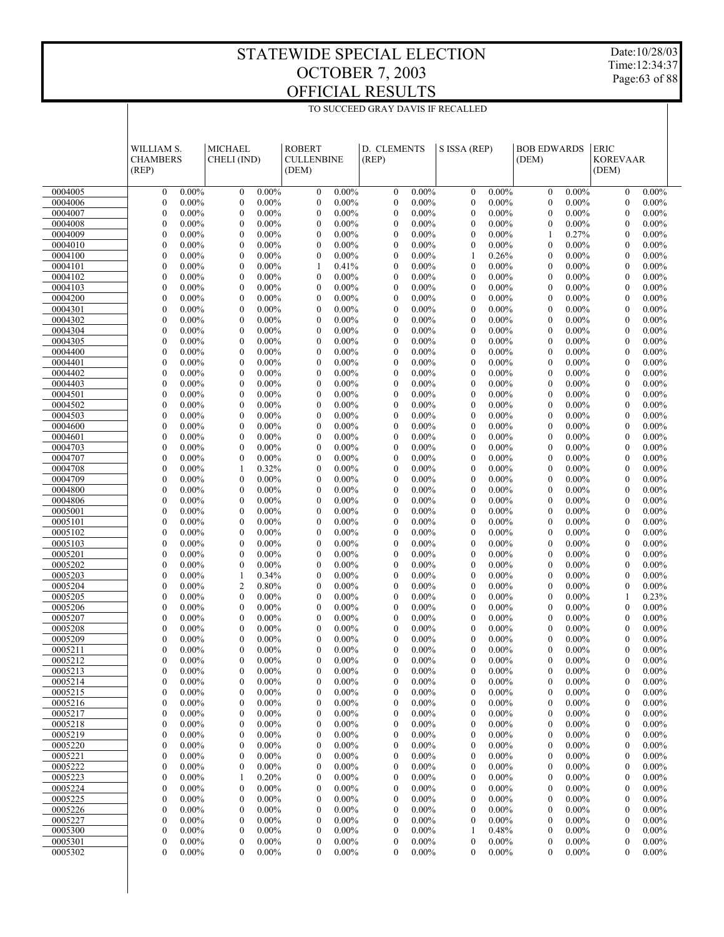Date:10/28/03 Time:12:34:37 Page:63 of 88

|                    | WILLIAM S.<br><b>CHAMBERS</b><br>(REP)           | <b>MICHAEL</b><br>CHELI (IND)                | <b>ROBERT</b><br><b>CULLENBINE</b><br>(DEM)      | D. CLEMENTS<br>(REP)                                         | S ISSA (REP)                             | <b>BOB EDWARDS</b><br>(DEM)                                  | <b>ERIC</b><br><b>KOREVAAR</b><br>(DEM)      |  |
|--------------------|--------------------------------------------------|----------------------------------------------|--------------------------------------------------|--------------------------------------------------------------|------------------------------------------|--------------------------------------------------------------|----------------------------------------------|--|
| 0004005            | $0.00\%$<br>$\mathbf{0}$                         | $0.00\%$<br>$\mathbf{0}$                     | $0.00\%$<br>$\mathbf{0}$                         | $0.00\%$<br>$\mathbf{0}$                                     | 0.00%<br>$\mathbf{0}$                    | $\mathbf{0}$<br>$0.00\%$                                     | $\mathbf{0}$<br>$0.00\%$                     |  |
| 0004006            | $\boldsymbol{0}$<br>$0.00\%$                     | $\boldsymbol{0}$<br>$0.00\%$                 | $\boldsymbol{0}$<br>$0.00\%$                     | $\boldsymbol{0}$<br>$0.00\%$                                 | $\mathbf{0}$<br>$0.00\%$                 | $\boldsymbol{0}$<br>$0.00\%$                                 | $\boldsymbol{0}$<br>$0.00\%$                 |  |
| 0004007            | $\boldsymbol{0}$<br>$0.00\%$                     | $\mathbf{0}$<br>$0.00\%$                     | $\mathbf{0}$<br>$0.00\%$                         | $\mathbf{0}$<br>$0.00\%$                                     | $\mathbf{0}$<br>$0.00\%$                 | $\theta$<br>$0.00\%$                                         | $0.00\%$<br>$\mathbf{0}$                     |  |
| 0004008            | $\boldsymbol{0}$<br>$0.00\%$                     | $\boldsymbol{0}$<br>$0.00\%$                 | $\boldsymbol{0}$<br>$0.00\%$                     | $\boldsymbol{0}$<br>$0.00\%$                                 | $\mathbf{0}$<br>0.00%                    | $0.00\%$<br>$\boldsymbol{0}$                                 | $0.00\%$<br>$\boldsymbol{0}$                 |  |
| 0004009            | $\boldsymbol{0}$<br>$0.00\%$                     | $\mathbf{0}$<br>$0.00\%$                     | $\boldsymbol{0}$<br>$0.00\%$                     | $\boldsymbol{0}$<br>$0.00\%$                                 | $\mathbf{0}$<br>0.00%                    | 0.27%<br>1                                                   | $\mathbf{0}$<br>$0.00\%$                     |  |
| 0004010            | $\boldsymbol{0}$<br>$0.00\%$                     | $\boldsymbol{0}$<br>$0.00\%$                 | $\boldsymbol{0}$<br>$0.00\%$                     | $\boldsymbol{0}$<br>$0.00\%$                                 | $\mathbf{0}$<br>0.00%                    | $\boldsymbol{0}$<br>$0.00\%$                                 | $\boldsymbol{0}$<br>$0.00\%$                 |  |
| 0004100            | $\boldsymbol{0}$<br>$0.00\%$                     | $\mathbf{0}$<br>$0.00\%$                     | $\boldsymbol{0}$<br>$0.00\%$                     | $\mathbf{0}$<br>$0.00\%$                                     | 0.26%<br>1                               | $\theta$<br>$0.00\%$                                         | $\mathbf{0}$<br>$0.00\%$                     |  |
| 0004101            | $\boldsymbol{0}$<br>$0.00\%$                     | $\boldsymbol{0}$<br>$0.00\%$                 | 0.41%<br>1                                       | $\boldsymbol{0}$<br>$0.00\%$                                 | $\mathbf{0}$<br>0.00%                    | $\boldsymbol{0}$<br>$0.00\%$                                 | $\boldsymbol{0}$<br>$0.00\%$                 |  |
| 0004102            | $\boldsymbol{0}$<br>$0.00\%$                     | $\mathbf{0}$<br>$0.00\%$                     | $\boldsymbol{0}$<br>$0.00\%$                     | $\boldsymbol{0}$<br>$0.00\%$                                 | $\mathbf{0}$<br>0.00%                    | $\boldsymbol{0}$<br>$0.00\%$                                 | $\mathbf{0}$<br>$0.00\%$                     |  |
| 0004103            | $\boldsymbol{0}$<br>$0.00\%$                     | $\boldsymbol{0}$<br>$0.00\%$                 | $\boldsymbol{0}$<br>$0.00\%$                     | $\boldsymbol{0}$<br>$0.00\%$                                 | $\mathbf{0}$<br>0.00%                    | $\boldsymbol{0}$<br>$0.00\%$                                 | $\boldsymbol{0}$<br>$0.00\%$                 |  |
| 0004200            | $\boldsymbol{0}$<br>$0.00\%$                     | $\mathbf{0}$<br>$0.00\%$                     | $\mathbf{0}$<br>$0.00\%$                         | $\mathbf{0}$<br>$0.00\%$                                     | $\mathbf{0}$<br>$0.00\%$                 | $\theta$<br>$0.00\%$                                         | $\mathbf{0}$<br>$0.00\%$                     |  |
| 0004301            | $\boldsymbol{0}$<br>$0.00\%$                     | $\boldsymbol{0}$<br>$0.00\%$                 | $\boldsymbol{0}$<br>$0.00\%$                     | $\boldsymbol{0}$<br>$0.00\%$                                 | $\mathbf{0}$<br>0.00%                    | $\boldsymbol{0}$<br>$0.00\%$                                 | $\boldsymbol{0}$<br>$0.00\%$                 |  |
| 0004302            | $\boldsymbol{0}$<br>$0.00\%$                     | $\mathbf{0}$<br>$0.00\%$                     | $\boldsymbol{0}$<br>$0.00\%$                     | $\boldsymbol{0}$<br>$0.00\%$                                 | $\mathbf{0}$<br>$0.00\%$                 | $\boldsymbol{0}$<br>$0.00\%$                                 | $\mathbf{0}$<br>$0.00\%$                     |  |
| 0004304            | $\boldsymbol{0}$<br>$0.00\%$                     | $\boldsymbol{0}$<br>$0.00\%$                 | $\boldsymbol{0}$<br>$0.00\%$                     | $\boldsymbol{0}$<br>$0.00\%$                                 | $\mathbf{0}$<br>0.00%                    | $\boldsymbol{0}$<br>$0.00\%$                                 | $\boldsymbol{0}$<br>$0.00\%$                 |  |
| 0004305            | $\boldsymbol{0}$<br>$0.00\%$                     | $\mathbf{0}$<br>$0.00\%$                     | $\boldsymbol{0}$<br>$0.00\%$                     | $\boldsymbol{0}$<br>$0.00\%$                                 | $\mathbf{0}$<br>$0.00\%$                 | $\theta$<br>$0.00\%$                                         | $\mathbf{0}$<br>$0.00\%$                     |  |
| 0004400            | $\boldsymbol{0}$<br>$0.00\%$                     | $\boldsymbol{0}$<br>$0.00\%$                 | $\boldsymbol{0}$<br>$0.00\%$                     | $\boldsymbol{0}$<br>$0.00\%$                                 | $\mathbf{0}$<br>0.00%                    | $\boldsymbol{0}$<br>$0.00\%$                                 | $\boldsymbol{0}$<br>$0.00\%$                 |  |
| 0004401            | $\boldsymbol{0}$<br>$0.00\%$                     | $\mathbf{0}$<br>$0.00\%$                     | $\boldsymbol{0}$<br>$0.00\%$                     | $\boldsymbol{0}$<br>$0.00\%$                                 | $\mathbf{0}$<br>0.00%                    | $\boldsymbol{0}$<br>$0.00\%$                                 | $\mathbf{0}$<br>$0.00\%$                     |  |
| 0004402            | $\boldsymbol{0}$<br>$0.00\%$                     | $\boldsymbol{0}$<br>$0.00\%$                 | $\boldsymbol{0}$<br>$0.00\%$                     | $\boldsymbol{0}$<br>$0.00\%$                                 | $\mathbf{0}$<br>0.00%                    | $\boldsymbol{0}$<br>$0.00\%$                                 | $\boldsymbol{0}$<br>$0.00\%$                 |  |
| 0004403            | $\boldsymbol{0}$<br>$0.00\%$                     | $\mathbf{0}$<br>$0.00\%$                     | $\boldsymbol{0}$<br>$0.00\%$                     | $\mathbf{0}$<br>$0.00\%$                                     | $\mathbf{0}$<br>$0.00\%$                 | $\theta$<br>$0.00\%$                                         | $\mathbf{0}$<br>$0.00\%$                     |  |
| 0004501            | $\boldsymbol{0}$<br>$0.00\%$<br>$0.00\%$         | $\boldsymbol{0}$<br>$0.00\%$<br>$\mathbf{0}$ | $\boldsymbol{0}$<br>$0.00\%$<br>$0.00\%$         | $\boldsymbol{0}$<br>$0.00\%$                                 | $\mathbf{0}$<br>0.00%<br>$0.00\%$        | $\boldsymbol{0}$<br>$0.00\%$                                 | $\boldsymbol{0}$<br>$0.00\%$<br>$\mathbf{0}$ |  |
| 0004502<br>0004503 | $\boldsymbol{0}$<br>$\boldsymbol{0}$<br>$0.00\%$ | $0.00\%$<br>$\boldsymbol{0}$<br>$0.00\%$     | $\boldsymbol{0}$<br>$\boldsymbol{0}$<br>$0.00\%$ | $\boldsymbol{0}$<br>$0.00\%$<br>$\boldsymbol{0}$<br>$0.00\%$ | $\mathbf{0}$<br>$\mathbf{0}$<br>0.00%    | $\boldsymbol{0}$<br>$0.00\%$<br>$\boldsymbol{0}$<br>$0.00\%$ | $0.00\%$<br>$\boldsymbol{0}$<br>$0.00\%$     |  |
| 0004600            | $\boldsymbol{0}$<br>$0.00\%$                     | $\mathbf{0}$<br>$0.00\%$                     | $\boldsymbol{0}$<br>$0.00\%$                     | $\mathbf{0}$<br>$0.00\%$                                     | $\mathbf{0}$<br>$0.00\%$                 | $\theta$<br>$0.00\%$                                         | $\mathbf{0}$<br>$0.00\%$                     |  |
| 0004601            | $\boldsymbol{0}$<br>$0.00\%$                     | $\boldsymbol{0}$<br>$0.00\%$                 | $\boldsymbol{0}$<br>$0.00\%$                     | $\boldsymbol{0}$<br>$0.00\%$                                 | $\mathbf{0}$<br>0.00%                    | $\boldsymbol{0}$<br>$0.00\%$                                 | $\boldsymbol{0}$<br>$0.00\%$                 |  |
| 0004703            | $\boldsymbol{0}$<br>$0.00\%$                     | $\mathbf{0}$<br>$0.00\%$                     | $\boldsymbol{0}$<br>$0.00\%$                     | $\boldsymbol{0}$<br>$0.00\%$                                 | $\mathbf{0}$<br>$0.00\%$                 | $\boldsymbol{0}$<br>$0.00\%$                                 | $\mathbf{0}$<br>$0.00\%$                     |  |
| 0004707            | $\boldsymbol{0}$<br>$0.00\%$                     | $\boldsymbol{0}$<br>$0.00\%$                 | $\boldsymbol{0}$<br>$0.00\%$                     | $\boldsymbol{0}$<br>$0.00\%$                                 | $\mathbf{0}$<br>0.00%                    | $\boldsymbol{0}$<br>$0.00\%$                                 | $\boldsymbol{0}$<br>$0.00\%$                 |  |
| 0004708            | $\boldsymbol{0}$<br>$0.00\%$                     | 0.32%<br>1                                   | $\boldsymbol{0}$<br>$0.00\%$                     | $\mathbf{0}$<br>$0.00\%$                                     | $\mathbf{0}$<br>$0.00\%$                 | $\theta$<br>$0.00\%$                                         | $\mathbf{0}$<br>$0.00\%$                     |  |
| 0004709            | $\boldsymbol{0}$<br>$0.00\%$                     | $\boldsymbol{0}$<br>$0.00\%$                 | $\boldsymbol{0}$<br>$0.00\%$                     | $\boldsymbol{0}$<br>$0.00\%$                                 | $\mathbf{0}$<br>0.00%                    | $\boldsymbol{0}$<br>$0.00\%$                                 | $\boldsymbol{0}$<br>$0.00\%$                 |  |
| 0004800            | $\boldsymbol{0}$<br>$0.00\%$                     | $\mathbf{0}$<br>$0.00\%$                     | $\boldsymbol{0}$<br>$0.00\%$                     | $\boldsymbol{0}$<br>$0.00\%$                                 | $\mathbf{0}$<br>$0.00\%$                 | $\boldsymbol{0}$<br>$0.00\%$                                 | $\mathbf{0}$<br>$0.00\%$                     |  |
| 0004806            | $\boldsymbol{0}$<br>$0.00\%$                     | $\boldsymbol{0}$<br>$0.00\%$                 | $\boldsymbol{0}$<br>$0.00\%$                     | $\boldsymbol{0}$<br>$0.00\%$                                 | $\mathbf{0}$<br>0.00%                    | $\boldsymbol{0}$<br>$0.00\%$                                 | $\boldsymbol{0}$<br>$0.00\%$                 |  |
| 0005001            | $\boldsymbol{0}$<br>$0.00\%$                     | $\mathbf{0}$<br>$0.00\%$                     | $\boldsymbol{0}$<br>$0.00\%$                     | $\mathbf{0}$<br>$0.00\%$                                     | $\mathbf{0}$<br>$0.00\%$                 | $\theta$<br>$0.00\%$                                         | $\mathbf{0}$<br>$0.00\%$                     |  |
| 0005101            | $\boldsymbol{0}$<br>$0.00\%$                     | $\boldsymbol{0}$<br>$0.00\%$                 | $\boldsymbol{0}$<br>$0.00\%$                     | $\boldsymbol{0}$<br>$0.00\%$                                 | $\mathbf{0}$<br>0.00%                    | $\boldsymbol{0}$<br>$0.00\%$                                 | $\boldsymbol{0}$<br>$0.00\%$                 |  |
| 0005102            | $\boldsymbol{0}$<br>$0.00\%$                     | $\mathbf{0}$<br>$0.00\%$                     | $\boldsymbol{0}$<br>$0.00\%$                     | $\boldsymbol{0}$<br>$0.00\%$                                 | $\mathbf{0}$<br>$0.00\%$                 | $\boldsymbol{0}$<br>$0.00\%$                                 | $\mathbf{0}$<br>$0.00\%$                     |  |
| 0005103            | $\boldsymbol{0}$<br>$0.00\%$                     | $\boldsymbol{0}$<br>$0.00\%$                 | $\boldsymbol{0}$<br>$0.00\%$                     | $\boldsymbol{0}$<br>$0.00\%$                                 | $\mathbf{0}$<br>0.00%                    | $\boldsymbol{0}$<br>$0.00\%$                                 | $\boldsymbol{0}$<br>$0.00\%$                 |  |
| 0005201            | $\boldsymbol{0}$<br>$0.00\%$                     | $\mathbf{0}$<br>$0.00\%$                     | $\boldsymbol{0}$<br>$0.00\%$                     | $\mathbf{0}$<br>$0.00\%$                                     | $\mathbf{0}$<br>$0.00\%$                 | $\theta$<br>$0.00\%$                                         | $\mathbf{0}$<br>$0.00\%$                     |  |
| 0005202            | $\boldsymbol{0}$<br>$0.00\%$                     | $\boldsymbol{0}$<br>$0.00\%$                 | $\boldsymbol{0}$<br>$0.00\%$                     | $\boldsymbol{0}$<br>$0.00\%$                                 | $\mathbf{0}$<br>0.00%                    | $\boldsymbol{0}$<br>$0.00\%$                                 | $\boldsymbol{0}$<br>$0.00\%$                 |  |
| 0005203            | $\boldsymbol{0}$<br>$0.00\%$                     | 0.34%<br>1                                   | $\boldsymbol{0}$<br>$0.00\%$                     | $\boldsymbol{0}$<br>$0.00\%$                                 | $\mathbf{0}$<br>$0.00\%$                 | $\boldsymbol{0}$<br>$0.00\%$                                 | $\mathbf{0}$<br>$0.00\%$                     |  |
| 0005204            | $\boldsymbol{0}$<br>$0.00\%$                     | $\overline{c}$<br>0.80%                      | $\boldsymbol{0}$<br>$0.00\%$                     | $\boldsymbol{0}$<br>$0.00\%$                                 | $\mathbf{0}$<br>0.00%                    | $\boldsymbol{0}$<br>$0.00\%$                                 | $\boldsymbol{0}$<br>$0.00\%$                 |  |
| 0005205            | $\boldsymbol{0}$<br>$0.00\%$                     | $\mathbf{0}$<br>$0.00\%$                     | $\mathbf{0}$<br>$0.00\%$                         | $\mathbf{0}$<br>$0.00\%$                                     | $\mathbf{0}$<br>$0.00\%$                 | $\theta$<br>$0.00\%$                                         | 0.23%<br>1                                   |  |
| 0005206            | $\boldsymbol{0}$<br>$0.00\%$                     | $\boldsymbol{0}$<br>$0.00\%$                 | $\boldsymbol{0}$<br>$0.00\%$                     | $\boldsymbol{0}$<br>$0.00\%$                                 | $\mathbf{0}$<br>0.00%                    | $\boldsymbol{0}$<br>$0.00\%$                                 | $\boldsymbol{0}$<br>$0.00\%$                 |  |
| 0005207            | $\boldsymbol{0}$<br>$0.00\%$                     | $\mathbf{0}$<br>$0.00\%$                     | $\boldsymbol{0}$<br>$0.00\%$                     | $\boldsymbol{0}$<br>$0.00\%$                                 | $\mathbf{0}$<br>$0.00\%$                 | $\theta$<br>$0.00\%$                                         | $\mathbf{0}$<br>$0.00\%$                     |  |
| 0005208            | $\boldsymbol{0}$<br>$0.00\%$                     | $\mathbf{0}$<br>$0.00\%$                     | $\boldsymbol{0}$<br>$0.00\%$                     | $\boldsymbol{0}$<br>$0.00\%$                                 | $\mathbf{0}$<br>0.00%                    | $\theta$<br>$0.00\%$                                         | $0.00\%$<br>$\mathbf{0}$                     |  |
| 0005209            | $\mathbf{0}$<br>$0.00\%$                         | $\mathbf{0}$<br>$0.00\%$                     | $\mathbf{0}$<br>$0.00\%$                         | $\mathbf{0}$<br>$0.00\%$                                     | $\mathbf{0}$<br>0.00%                    | $\theta$<br>$0.00\%$                                         | $\theta$<br>$0.00\%$                         |  |
| 0005211<br>0005212 | $\mathbf{0}$<br>$0.00\%$<br>$\Omega$             | $\mathbf{0}$<br>$0.00\%$<br>$\Omega$         | $\boldsymbol{0}$<br>$0.00\%$<br>$\theta$         | $\mathbf{0}$<br>$0.00\%$<br>$\Omega$                         | $\boldsymbol{0}$<br>0.00%<br>$\Omega$    | $\mathbf{0}$<br>$0.00\%$<br>$\Omega$                         | $\mathbf{0}$<br>$0.00\%$<br>$\Omega$         |  |
| 0005213            | $0.00\%$<br>$\boldsymbol{0}$<br>$0.00\%$         | $0.00\%$<br>$\boldsymbol{0}$<br>$0.00\%$     | $0.00\%$<br>$\boldsymbol{0}$<br>$0.00\%$         | $0.00\%$<br>$\boldsymbol{0}$<br>$0.00\%$                     | $0.00\%$<br>$\boldsymbol{0}$<br>$0.00\%$ | $0.00\%$<br>$\boldsymbol{0}$<br>$0.00\%$                     | $0.00\%$<br>$\boldsymbol{0}$<br>$0.00\%$     |  |
| 0005214            | $\boldsymbol{0}$<br>$0.00\%$                     | $\boldsymbol{0}$<br>$0.00\%$                 | $\boldsymbol{0}$<br>$0.00\%$                     | $\boldsymbol{0}$<br>$0.00\%$                                 | $\boldsymbol{0}$<br>$0.00\%$             | $\boldsymbol{0}$<br>$0.00\%$                                 | $\boldsymbol{0}$<br>$0.00\%$                 |  |
| 0005215            | $\boldsymbol{0}$<br>$0.00\%$                     | $\boldsymbol{0}$<br>$0.00\%$                 | $\boldsymbol{0}$<br>$0.00\%$                     | $\boldsymbol{0}$<br>$0.00\%$                                 | $\boldsymbol{0}$<br>$0.00\%$             | $0.00\%$<br>$\boldsymbol{0}$                                 | $\boldsymbol{0}$<br>$0.00\%$                 |  |
| 0005216            | $\boldsymbol{0}$<br>$0.00\%$                     | $\boldsymbol{0}$<br>$0.00\%$                 | $\boldsymbol{0}$<br>$0.00\%$                     | $\boldsymbol{0}$<br>$0.00\%$                                 | $\boldsymbol{0}$<br>$0.00\%$             | $\boldsymbol{0}$<br>$0.00\%$                                 | $\boldsymbol{0}$<br>$0.00\%$                 |  |
| 0005217            | $\boldsymbol{0}$<br>$0.00\%$                     | $0.00\%$<br>0                                | $\boldsymbol{0}$<br>$0.00\%$                     | $0.00\%$<br>$\boldsymbol{0}$                                 | $\boldsymbol{0}$<br>$0.00\%$             | $0.00\%$<br>$\boldsymbol{0}$                                 | $\boldsymbol{0}$<br>$0.00\%$                 |  |
| 0005218            | $\boldsymbol{0}$<br>$0.00\%$                     | $\boldsymbol{0}$<br>$0.00\%$                 | $\boldsymbol{0}$<br>$0.00\%$                     | $\boldsymbol{0}$<br>$0.00\%$                                 | $\boldsymbol{0}$<br>$0.00\%$             | $0.00\%$<br>$\boldsymbol{0}$                                 | $\boldsymbol{0}$<br>$0.00\%$                 |  |
| 0005219            | $\boldsymbol{0}$<br>$0.00\%$                     | $\boldsymbol{0}$<br>$0.00\%$                 | $\boldsymbol{0}$<br>$0.00\%$                     | $\boldsymbol{0}$<br>$0.00\%$                                 | $\boldsymbol{0}$<br>$0.00\%$             | $\boldsymbol{0}$<br>$0.00\%$                                 | $\boldsymbol{0}$<br>$0.00\%$                 |  |
| 0005220            | $\boldsymbol{0}$<br>$0.00\%$                     | $\boldsymbol{0}$<br>$0.00\%$                 | $\boldsymbol{0}$<br>$0.00\%$                     | $\boldsymbol{0}$<br>$0.00\%$                                 | $\boldsymbol{0}$<br>$0.00\%$             | $\boldsymbol{0}$<br>$0.00\%$                                 | $\boldsymbol{0}$<br>$0.00\%$                 |  |
| 0005221            | $\boldsymbol{0}$<br>$0.00\%$                     | $\boldsymbol{0}$<br>$0.00\%$                 | $\boldsymbol{0}$<br>$0.00\%$                     | $\boldsymbol{0}$<br>$0.00\%$                                 | $\boldsymbol{0}$<br>$0.00\%$             | $0.00\%$<br>$\boldsymbol{0}$                                 | $\boldsymbol{0}$<br>$0.00\%$                 |  |
| 0005222            | $\boldsymbol{0}$<br>$0.00\%$                     | $0.00\%$<br>0                                | $\boldsymbol{0}$<br>$0.00\%$                     | $\boldsymbol{0}$<br>$0.00\%$                                 | $\boldsymbol{0}$<br>$0.00\%$             | $\boldsymbol{0}$<br>$0.00\%$                                 | $\boldsymbol{0}$<br>$0.00\%$                 |  |
| 0005223            | $\boldsymbol{0}$<br>$0.00\%$                     | 0.20%<br>1                                   | $\boldsymbol{0}$<br>$0.00\%$                     | $\boldsymbol{0}$<br>$0.00\%$                                 | $\boldsymbol{0}$<br>$0.00\%$             | $0.00\%$<br>$\boldsymbol{0}$                                 | $\boldsymbol{0}$<br>$0.00\%$                 |  |
| 0005224            | $\boldsymbol{0}$<br>$0.00\%$                     | $0.00\%$<br>0                                | $\boldsymbol{0}$<br>$0.00\%$                     | $\boldsymbol{0}$<br>$0.00\%$                                 | $\boldsymbol{0}$<br>$0.00\%$             | $\boldsymbol{0}$<br>$0.00\%$                                 | $\boldsymbol{0}$<br>$0.00\%$                 |  |
| 0005225            | $\boldsymbol{0}$<br>$0.00\%$                     | $0.00\%$<br>$\boldsymbol{0}$                 | $\boldsymbol{0}$<br>$0.00\%$                     | $\boldsymbol{0}$<br>$0.00\%$                                 | $\boldsymbol{0}$<br>$0.00\%$             | $0.00\%$<br>$\boldsymbol{0}$                                 | $\boldsymbol{0}$<br>$0.00\%$                 |  |
| 0005226            | $\boldsymbol{0}$<br>$0.00\%$                     | $\boldsymbol{0}$<br>$0.00\%$                 | $\boldsymbol{0}$<br>$0.00\%$                     | $\boldsymbol{0}$<br>$0.00\%$                                 | $\boldsymbol{0}$<br>$0.00\%$             | $0.00\%$<br>$\boldsymbol{0}$                                 | $\boldsymbol{0}$<br>$0.00\%$                 |  |
| 0005227            | $\boldsymbol{0}$<br>$0.00\%$                     | $0.00\%$<br>0                                | $\boldsymbol{0}$<br>$0.00\%$                     | $0.00\%$<br>$\boldsymbol{0}$                                 | $\boldsymbol{0}$<br>$0.00\%$             | $0.00\%$<br>$\boldsymbol{0}$                                 | $\boldsymbol{0}$<br>$0.00\%$                 |  |
| 0005300            | $\boldsymbol{0}$<br>$0.00\%$                     | $\boldsymbol{0}$<br>$0.00\%$                 | $\boldsymbol{0}$<br>$0.00\%$                     | $\boldsymbol{0}$<br>$0.00\%$                                 | 1<br>0.48%                               | $0.00\%$<br>$\boldsymbol{0}$                                 | $\boldsymbol{0}$<br>$0.00\%$                 |  |
| 0005301            | $\boldsymbol{0}$<br>$0.00\%$                     | $\boldsymbol{0}$<br>$0.00\%$                 | $\boldsymbol{0}$<br>$0.00\%$                     | $\boldsymbol{0}$<br>$0.00\%$                                 | $\boldsymbol{0}$<br>$0.00\%$             | $\boldsymbol{0}$<br>$0.00\%$                                 | $\boldsymbol{0}$<br>$0.00\%$                 |  |
| 0005302            | $\boldsymbol{0}$<br>$0.00\%$                     | $\boldsymbol{0}$<br>$0.00\%$                 | $\boldsymbol{0}$<br>$0.00\%$                     | $\boldsymbol{0}$<br>$0.00\%$                                 | $\boldsymbol{0}$<br>$0.00\%$             | $\boldsymbol{0}$<br>$0.00\%$                                 | $\bf{0}$<br>$0.00\%$                         |  |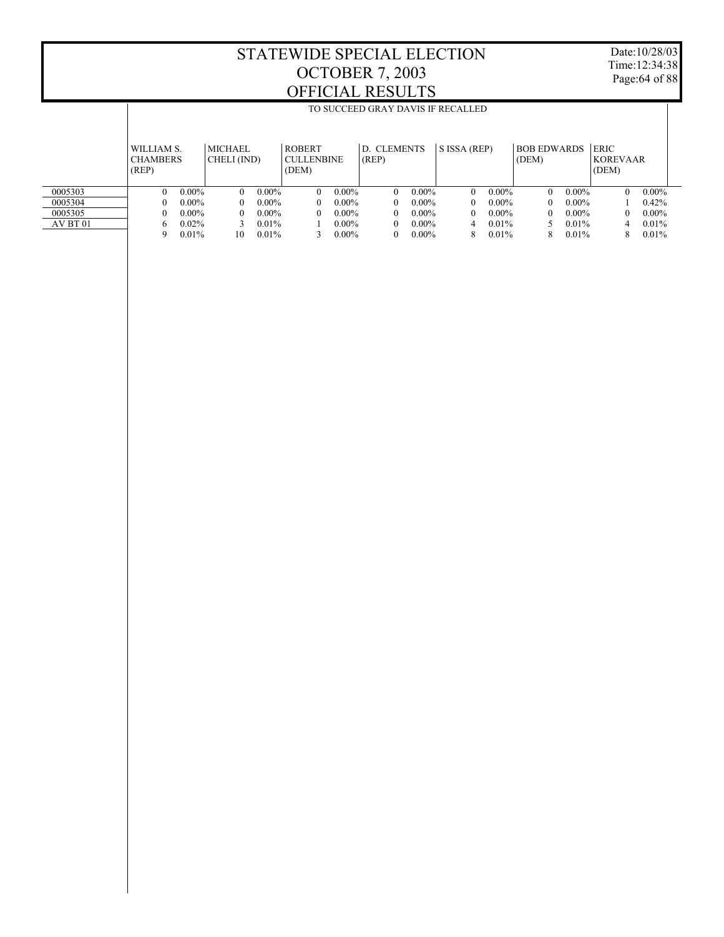$\overline{\phantom{a}}$ 

TO SUCCEED GRAY DAVIS IF RECALLED

Date:10/28/03 Time:12:34:38 Page:64 of 88

 $\overline{1}$ 

|          | WILLIAM S.<br><b>CHAMBERS</b><br>(REP) |          | <b>MICHAEL</b><br>CHELI (IND) |          | <b>ROBERT</b><br><b>CULLENBINE</b><br>(DEM) |          | D. CLEMENTS<br>(REP) |          | S ISSA (REP) |          | <b>BOB EDWARDS</b><br>(DEM) |          | <b>ERIC</b><br><b>KOREVAAR</b><br>(DEM) |          |
|----------|----------------------------------------|----------|-------------------------------|----------|---------------------------------------------|----------|----------------------|----------|--------------|----------|-----------------------------|----------|-----------------------------------------|----------|
| 0005303  |                                        | $0.00\%$ | $\Omega$                      | $0.00\%$ | $\theta$                                    | $0.00\%$ | 0                    | $0.00\%$ | 0            | $0.00\%$ | 0                           | $0.00\%$ | 0                                       | $0.00\%$ |
| 0005304  |                                        | $0.00\%$ | 0                             | $0.00\%$ | $\Omega$                                    | $0.00\%$ | 0                    | $0.00\%$ | 0            | $0.00\%$ | 0                           | $0.00\%$ |                                         | 0.42%    |
| 0005305  |                                        | $0.00\%$ | $\Omega$                      | $0.00\%$ | $\Omega$                                    | $0.00\%$ | 0                    | $0.00\%$ | 0            | $0.00\%$ | 0                           | $0.00\%$ | 0                                       | $0.00\%$ |
| AV BT 01 | h                                      | $0.02\%$ |                               | $0.01\%$ |                                             | $0.00\%$ | 0                    | $0.00\%$ | 4            | 0.01%    |                             | 0.01%    |                                         | 0.01%    |
|          | q                                      | 0.01%    | 10                            | 0.01%    |                                             | $0.00\%$ | 0                    | $0.00\%$ | 8            | 0.01%    | 8                           | 0.01%    | 8                                       | 0.01%    |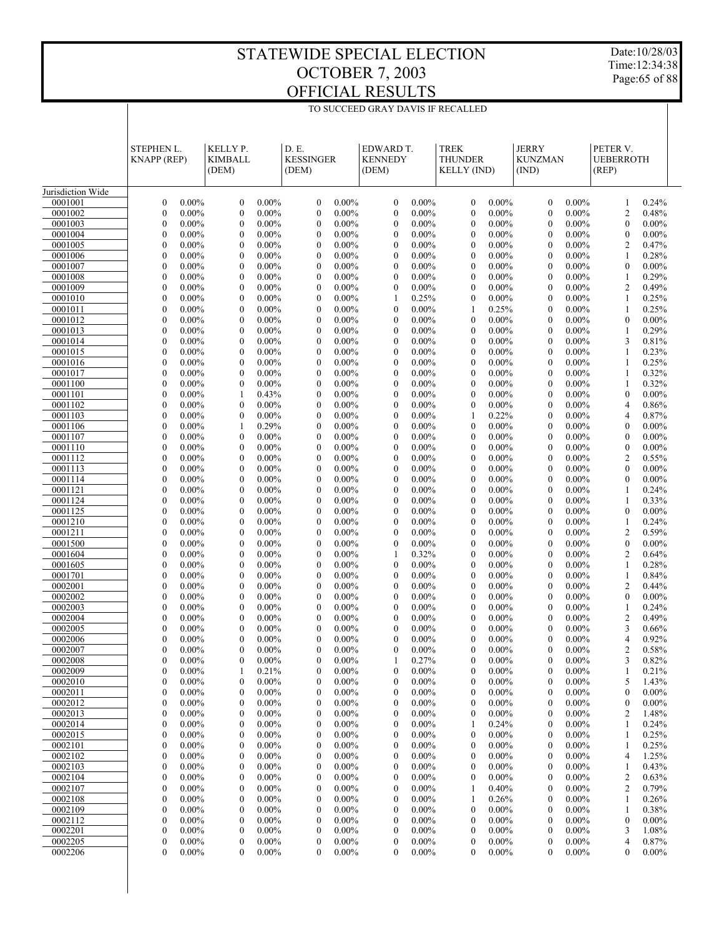Date:10/28/03 Time:12:34:38 Page:65 of 88

|                    | TO SUCCEED GRAY DAVIS IF RECALLED    |                      |                                      |                      |                                      |                      |                                      |                      |                                                     |                      |                                         |                      |                                       |                   |
|--------------------|--------------------------------------|----------------------|--------------------------------------|----------------------|--------------------------------------|----------------------|--------------------------------------|----------------------|-----------------------------------------------------|----------------------|-----------------------------------------|----------------------|---------------------------------------|-------------------|
|                    | STEPHEN L.<br><b>KNAPP</b> (REP)     |                      | KELLY P.<br><b>KIMBALL</b><br>(DEM)  |                      | D.E.<br><b>KESSINGER</b><br>(DEM)    |                      | EDWARD T.<br><b>KENNEDY</b><br>(DEM) |                      | <b>TREK</b><br><b>THUNDER</b><br><b>KELLY (IND)</b> |                      | <b>JERRY</b><br><b>KUNZMAN</b><br>(IND) |                      | PETER V.<br><b>UEBERROTH</b><br>(REP) |                   |
| Jurisdiction Wide  |                                      |                      |                                      |                      |                                      |                      |                                      |                      |                                                     |                      |                                         |                      |                                       |                   |
| 0001001            | $\boldsymbol{0}$                     | $0.00\%$             | $\boldsymbol{0}$                     | $0.00\%$             | $\boldsymbol{0}$                     | $0.00\%$             | $\boldsymbol{0}$                     | $0.00\%$             | $\boldsymbol{0}$                                    | $0.00\%$             | $\boldsymbol{0}$                        | $0.00\%$             | 1                                     | 0.24%             |
| 0001002            | $\boldsymbol{0}$                     | $0.00\%$             | $\mathbf{0}$                         | $0.00\%$             | $\mathbf{0}$                         | $0.00\%$             | $\boldsymbol{0}$                     | $0.00\%$             | $\boldsymbol{0}$                                    | $0.00\%$             | $\boldsymbol{0}$                        | $0.00\%$             | $\overline{2}$                        | 0.48%             |
| 0001003            | $\boldsymbol{0}$                     | $0.00\%$             | $\boldsymbol{0}$<br>$\mathbf{0}$     | $0.00\%$             | $\boldsymbol{0}$<br>$\overline{0}$   | $0.00\%$             | $\boldsymbol{0}$<br>$\mathbf{0}$     | $0.00\%$             | $\boldsymbol{0}$                                    | $0.00\%$             | $\boldsymbol{0}$                        | $0.00\%$             | $\mathbf{0}$                          | $0.00\%$          |
| 0001004<br>0001005 | $\boldsymbol{0}$<br>$\boldsymbol{0}$ | $0.00\%$<br>$0.00\%$ | $\boldsymbol{0}$                     | $0.00\%$<br>$0.00\%$ | $\boldsymbol{0}$                     | $0.00\%$<br>$0.00\%$ | $\boldsymbol{0}$                     | $0.00\%$<br>$0.00\%$ | $\boldsymbol{0}$<br>$\boldsymbol{0}$                | $0.00\%$<br>$0.00\%$ | $\boldsymbol{0}$<br>$\boldsymbol{0}$    | $0.00\%$<br>$0.00\%$ | $\mathbf{0}$<br>$\overline{2}$        | $0.00\%$<br>0.47% |
| 0001006            | $\boldsymbol{0}$                     | $0.00\%$             | $\mathbf{0}$                         | $0.00\%$             | $\boldsymbol{0}$                     | $0.00\%$             | $\mathbf{0}$                         | $0.00\%$             | $\boldsymbol{0}$                                    | $0.00\%$             | $\theta$                                | $0.00\%$             | 1                                     | 0.28%             |
| 0001007            | $\boldsymbol{0}$                     | $0.00\%$             | $\boldsymbol{0}$                     | $0.00\%$             | $\boldsymbol{0}$                     | $0.00\%$             | $\boldsymbol{0}$                     | $0.00\%$             | $\boldsymbol{0}$                                    | $0.00\%$             | $\boldsymbol{0}$                        | $0.00\%$             | $\mathbf{0}$                          | $0.00\%$          |
| 0001008            | $\boldsymbol{0}$                     | $0.00\%$             | $\mathbf{0}$                         | $0.00\%$             | $\boldsymbol{0}$                     | $0.00\%$             | $\mathbf{0}$                         | $0.00\%$             | $\boldsymbol{0}$                                    | $0.00\%$             | $\boldsymbol{0}$                        | $0.00\%$             | $\mathbf{1}$                          | 0.29%             |
| 0001009            | $\boldsymbol{0}$                     | $0.00\%$             | $\boldsymbol{0}$                     | $0.00\%$             | $\boldsymbol{0}$                     | $0.00\%$             | $\boldsymbol{0}$                     | $0.00\%$             | $\boldsymbol{0}$                                    | $0.00\%$             | $\boldsymbol{0}$                        | $0.00\%$             | $\overline{c}$                        | 0.49%             |
| 0001010            | $\boldsymbol{0}$                     | $0.00\%$             | $\mathbf{0}$                         | $0.00\%$             | $\boldsymbol{0}$                     | $0.00\%$             | 1                                    | 0.25%                | $\boldsymbol{0}$                                    | $0.00\%$             | $\theta$                                | $0.00\%$             | 1                                     | 0.25%             |
| 0001011<br>0001012 | $\boldsymbol{0}$<br>$\boldsymbol{0}$ | $0.00\%$<br>$0.00\%$ | $\boldsymbol{0}$<br>$\mathbf{0}$     | $0.00\%$<br>$0.00\%$ | $\boldsymbol{0}$<br>$\boldsymbol{0}$ | $0.00\%$<br>$0.00\%$ | $\boldsymbol{0}$<br>$\mathbf{0}$     | $0.00\%$<br>$0.00\%$ | 1<br>$\boldsymbol{0}$                               | 0.25%<br>$0.00\%$    | $\boldsymbol{0}$<br>$\boldsymbol{0}$    | $0.00\%$<br>$0.00\%$ | $\mathbf{1}$<br>$\mathbf{0}$          | 0.25%<br>$0.00\%$ |
| 0001013            | $\boldsymbol{0}$                     | $0.00\%$             | $\boldsymbol{0}$                     | $0.00\%$             | $\boldsymbol{0}$                     | $0.00\%$             | $\boldsymbol{0}$                     | $0.00\%$             | $\boldsymbol{0}$                                    | $0.00\%$             | $\boldsymbol{0}$                        | $0.00\%$             | $\mathbf{1}$                          | 0.29%             |
| 0001014            | $\boldsymbol{0}$                     | $0.00\%$             | $\mathbf{0}$                         | $0.00\%$             | $\boldsymbol{0}$                     | $0.00\%$             | $\mathbf{0}$                         | $0.00\%$             | $\boldsymbol{0}$                                    | $0.00\%$             | $\theta$                                | $0.00\%$             | 3                                     | 0.81%             |
| 0001015            | $\boldsymbol{0}$                     | $0.00\%$             | $\boldsymbol{0}$                     | $0.00\%$             | $\boldsymbol{0}$                     | $0.00\%$             | $\boldsymbol{0}$                     | $0.00\%$             | $\boldsymbol{0}$                                    | $0.00\%$             | $\boldsymbol{0}$                        | $0.00\%$             | $\mathbf{1}$                          | 0.23%             |
| 0001016            | $\boldsymbol{0}$                     | $0.00\%$             | $\mathbf{0}$                         | $0.00\%$             | $\boldsymbol{0}$                     | $0.00\%$             | $\mathbf{0}$                         | $0.00\%$             | $\boldsymbol{0}$                                    | $0.00\%$             | $\boldsymbol{0}$                        | $0.00\%$             | 1                                     | 0.25%             |
| 0001017            | $\boldsymbol{0}$                     | $0.00\%$             | $\boldsymbol{0}$                     | $0.00\%$             | $\boldsymbol{0}$                     | $0.00\%$             | $\boldsymbol{0}$                     | $0.00\%$             | $\boldsymbol{0}$                                    | $0.00\%$             | $\boldsymbol{0}$                        | $0.00\%$             | $\mathbf{1}$                          | 0.32%             |
| 0001100            | $\boldsymbol{0}$                     | $0.00\%$             | $\mathbf{0}$                         | $0.00\%$             | $\boldsymbol{0}$                     | $0.00\%$             | $\mathbf{0}$                         | $0.00\%$             | $\boldsymbol{0}$                                    | $0.00\%$             | $\theta$                                | $0.00\%$             | 1                                     | 0.32%             |
| 0001101<br>0001102 | $\boldsymbol{0}$<br>$\boldsymbol{0}$ | $0.00\%$<br>$0.00\%$ | 1<br>$\mathbf{0}$                    | 0.43%<br>$0.00\%$    | $\boldsymbol{0}$<br>$\boldsymbol{0}$ | $0.00\%$<br>$0.00\%$ | $\boldsymbol{0}$<br>$\mathbf{0}$     | $0.00\%$<br>$0.00\%$ | $\boldsymbol{0}$<br>$\boldsymbol{0}$                | $0.00\%$<br>$0.00\%$ | $\boldsymbol{0}$<br>$\boldsymbol{0}$    | $0.00\%$<br>$0.00\%$ | $\mathbf{0}$<br>4                     | $0.00\%$<br>0.86% |
| 0001103            | $\boldsymbol{0}$                     | $0.00\%$             | $\boldsymbol{0}$                     | $0.00\%$             | $\boldsymbol{0}$                     | $0.00\%$             | $\boldsymbol{0}$                     | $0.00\%$             | 1                                                   | 0.22%                | $\boldsymbol{0}$                        | $0.00\%$             | 4                                     | 0.87%             |
| 0001106            | $\boldsymbol{0}$                     | $0.00\%$             | 1                                    | 0.29%                | $\boldsymbol{0}$                     | $0.00\%$             | $\mathbf{0}$                         | $0.00\%$             | $\boldsymbol{0}$                                    | $0.00\%$             | $\theta$                                | $0.00\%$             | $\mathbf{0}$                          | $0.00\%$          |
| 0001107            | $\boldsymbol{0}$                     | $0.00\%$             | $\boldsymbol{0}$                     | $0.00\%$             | $\boldsymbol{0}$                     | $0.00\%$             | $\boldsymbol{0}$                     | $0.00\%$             | $\boldsymbol{0}$                                    | $0.00\%$             | $\boldsymbol{0}$                        | $0.00\%$             | $\mathbf{0}$                          | $0.00\%$          |
| 0001110            | $\boldsymbol{0}$                     | $0.00\%$             | $\mathbf{0}$                         | $0.00\%$             | $\boldsymbol{0}$                     | $0.00\%$             | $\mathbf{0}$                         | $0.00\%$             | $\boldsymbol{0}$                                    | $0.00\%$             | $\boldsymbol{0}$                        | $0.00\%$             | $\boldsymbol{0}$                      | $0.00\%$          |
| 0001112            | $\boldsymbol{0}$                     | $0.00\%$             | $\boldsymbol{0}$                     | $0.00\%$             | $\boldsymbol{0}$                     | $0.00\%$             | $\boldsymbol{0}$                     | $0.00\%$             | $\boldsymbol{0}$                                    | $0.00\%$             | $\boldsymbol{0}$                        | $0.00\%$             | $\overline{c}$                        | 0.55%             |
| 0001113            | $\boldsymbol{0}$                     | $0.00\%$             | $\mathbf{0}$                         | $0.00\%$             | $\boldsymbol{0}$                     | $0.00\%$             | $\mathbf{0}$                         | $0.00\%$             | $\boldsymbol{0}$                                    | $0.00\%$             | $\theta$                                | $0.00\%$             | $\mathbf{0}$                          | $0.00\%$          |
| 0001114<br>0001121 | $\boldsymbol{0}$<br>$\boldsymbol{0}$ | $0.00\%$<br>$0.00\%$ | $\boldsymbol{0}$<br>$\mathbf{0}$     | $0.00\%$<br>$0.00\%$ | $\boldsymbol{0}$<br>$\boldsymbol{0}$ | $0.00\%$<br>$0.00\%$ | $\boldsymbol{0}$<br>$\mathbf{0}$     | $0.00\%$<br>$0.00\%$ | $\boldsymbol{0}$<br>$\boldsymbol{0}$                | $0.00\%$<br>$0.00\%$ | $\boldsymbol{0}$<br>$\boldsymbol{0}$    | $0.00\%$<br>$0.00\%$ | $\mathbf{0}$<br>1                     | $0.00\%$<br>0.24% |
| 0001124            | $\boldsymbol{0}$                     | $0.00\%$             | $\boldsymbol{0}$                     | $0.00\%$             | $\boldsymbol{0}$                     | $0.00\%$             | $\boldsymbol{0}$                     | $0.00\%$             | $\boldsymbol{0}$                                    | $0.00\%$             | $\boldsymbol{0}$                        | $0.00\%$             | $\mathbf{1}$                          | 0.33%             |
| 0001125            | $\boldsymbol{0}$                     | $0.00\%$             | $\mathbf{0}$                         | $0.00\%$             | $\boldsymbol{0}$                     | $0.00\%$             | $\mathbf{0}$                         | $0.00\%$             | $\boldsymbol{0}$                                    | $0.00\%$             | $\theta$                                | $0.00\%$             | $\mathbf{0}$                          | $0.00\%$          |
| 0001210            | $\boldsymbol{0}$                     | $0.00\%$             | $\boldsymbol{0}$                     | $0.00\%$             | $\boldsymbol{0}$                     | $0.00\%$             | $\boldsymbol{0}$                     | $0.00\%$             | $\boldsymbol{0}$                                    | $0.00\%$             | $\boldsymbol{0}$                        | $0.00\%$             | $\mathbf{1}$                          | 0.24%             |
| 0001211            | $\boldsymbol{0}$                     | $0.00\%$             | $\mathbf{0}$                         | $0.00\%$             | $\boldsymbol{0}$                     | $0.00\%$             | $\mathbf{0}$                         | $0.00\%$             | $\boldsymbol{0}$                                    | $0.00\%$             | $\boldsymbol{0}$                        | $0.00\%$             | $\overline{c}$                        | 0.59%             |
| 0001500            | $\boldsymbol{0}$                     | $0.00\%$             | $\boldsymbol{0}$                     | $0.00\%$             | $\boldsymbol{0}$                     | $0.00\%$             | $\boldsymbol{0}$                     | $0.00\%$             | $\boldsymbol{0}$                                    | $0.00\%$             | $\boldsymbol{0}$                        | $0.00\%$             | $\boldsymbol{0}$                      | $0.00\%$          |
| 0001604<br>0001605 | $\boldsymbol{0}$<br>$\boldsymbol{0}$ | $0.00\%$<br>$0.00\%$ | $\mathbf{0}$<br>$\boldsymbol{0}$     | $0.00\%$<br>$0.00\%$ | $\boldsymbol{0}$<br>$\boldsymbol{0}$ | $0.00\%$<br>$0.00\%$ | 1<br>$\boldsymbol{0}$                | 0.32%<br>$0.00\%$    | $\boldsymbol{0}$<br>$\boldsymbol{0}$                | $0.00\%$<br>$0.00\%$ | $\theta$<br>$\boldsymbol{0}$            | $0.00\%$<br>$0.00\%$ | $\boldsymbol{2}$<br>$\mathbf{1}$      | 0.64%<br>0.28%    |
| 0001701            | $\boldsymbol{0}$                     | $0.00\%$             | $\mathbf{0}$                         | $0.00\%$             | $\boldsymbol{0}$                     | $0.00\%$             | $\mathbf{0}$                         | $0.00\%$             | $\boldsymbol{0}$                                    | $0.00\%$             | $\boldsymbol{0}$                        | $0.00\%$             | 1                                     | 0.84%             |
| 0002001            | $\boldsymbol{0}$                     | $0.00\%$             | $\boldsymbol{0}$                     | $0.00\%$             | $\boldsymbol{0}$                     | $0.00\%$             | $\boldsymbol{0}$                     | $0.00\%$             | $\boldsymbol{0}$                                    | $0.00\%$             | $\boldsymbol{0}$                        | $0.00\%$             | $\overline{c}$                        | 0.44%             |
| 0002002            | $\boldsymbol{0}$                     | $0.00\%$             | $\mathbf{0}$                         | $0.00\%$             | $\mathbf{0}$                         | $0.00\%$             | $\mathbf{0}$                         | $0.00\%$             | $\boldsymbol{0}$                                    | $0.00\%$             | $\theta$                                | $0.00\%$             | $\theta$                              | $0.00\%$          |
| 0002003            | $\boldsymbol{0}$                     | $0.00\%$             | $\boldsymbol{0}$                     | $0.00\%$             | $\boldsymbol{0}$                     | $0.00\%$             | $\boldsymbol{0}$                     | $0.00\%$             | $\boldsymbol{0}$                                    | $0.00\%$             | $\boldsymbol{0}$                        | $0.00\%$             | $\mathbf{1}$                          | 0.24%             |
| 0002004            | $\mathbf{0}$                         | $0.00\%$             | $\mathbf{0}$                         | $0.00\%$             | $\overline{0}$                       | $0.00\%$             | $\mathbf{0}$                         | $0.00\%$             | $\mathbf{0}$                                        | $0.00\%$             | $\theta$                                | $0.00\%$             | $\overline{2}$                        | 0.49%             |
| 0002005            | $\mathbf{0}$                         | $0.00\%$             | $\mathbf{0}$                         | $0.00\%$             | $\overline{0}$                       | $0.00\%$             | $\mathbf{0}$                         | $0.00\%$             | $\mathbf{0}$                                        | $0.00\%$             | $\mathbf{0}$                            | $0.00\%$             | 3                                     | 0.66%             |
| 0002006<br>0002007 | 0<br>$\boldsymbol{0}$                | $0.00\%$<br>$0.00\%$ | $\boldsymbol{0}$<br>$\boldsymbol{0}$ | $0.00\%$<br>$0.00\%$ | $\boldsymbol{0}$<br>0                | $0.00\%$<br>$0.00\%$ | $\boldsymbol{0}$<br>$\boldsymbol{0}$ | $0.00\%$<br>$0.00\%$ | 0<br>$\boldsymbol{0}$                               | $0.00\%$<br>$0.00\%$ | $\boldsymbol{0}$<br>$\boldsymbol{0}$    | $0.00\%$<br>$0.00\%$ | 4<br>$\overline{c}$                   | 0.92%<br>0.58%    |
| 0002008            | $\boldsymbol{0}$                     | $0.00\%$             | $\boldsymbol{0}$                     | $0.00\%$             | 0                                    | $0.00\%$             | 1                                    | 0.27%                | $\boldsymbol{0}$                                    | $0.00\%$             | $\boldsymbol{0}$                        | $0.00\%$             | 3                                     | 0.82%             |
| 0002009            | $\boldsymbol{0}$                     | $0.00\%$             | 1                                    | 0.21%                | $\boldsymbol{0}$                     | $0.00\%$             | $\boldsymbol{0}$                     | $0.00\%$             | $\boldsymbol{0}$                                    | $0.00\%$             | $\boldsymbol{0}$                        | $0.00\%$             | 1                                     | 0.21%             |
| 0002010            | $\boldsymbol{0}$                     | $0.00\%$             | $\boldsymbol{0}$                     | $0.00\%$             | $\boldsymbol{0}$                     | $0.00\%$             | $\boldsymbol{0}$                     | $0.00\%$             | $\boldsymbol{0}$                                    | $0.00\%$             | $\boldsymbol{0}$                        | $0.00\%$             | 5                                     | 1.43%             |
| 0002011            | $\boldsymbol{0}$                     | $0.00\%$             | $\boldsymbol{0}$                     | $0.00\%$             | $\boldsymbol{0}$                     | $0.00\%$             | $\boldsymbol{0}$                     | $0.00\%$             | $\boldsymbol{0}$                                    | $0.00\%$             | $\boldsymbol{0}$                        | $0.00\%$             | $\boldsymbol{0}$                      | $0.00\%$          |
| 0002012            | $\boldsymbol{0}$                     | $0.00\%$             | $\boldsymbol{0}$                     | $0.00\%$             | $\boldsymbol{0}$                     | $0.00\%$             | $\boldsymbol{0}$                     | $0.00\%$             | $\boldsymbol{0}$                                    | $0.00\%$             | $\boldsymbol{0}$                        | $0.00\%$             | $\boldsymbol{0}$                      | $0.00\%$          |
| 0002013            | $\boldsymbol{0}$                     | $0.00\%$             | $\boldsymbol{0}$                     | $0.00\%$             | $\boldsymbol{0}$                     | $0.00\%$             | $\boldsymbol{0}$                     | $0.00\%$             | $\boldsymbol{0}$                                    | $0.00\%$             | $\boldsymbol{0}$                        | $0.00\%$             | $\overline{c}$                        | 1.48%             |
| 0002014<br>0002015 | $\boldsymbol{0}$<br>$\boldsymbol{0}$ | $0.00\%$<br>$0.00\%$ | $\boldsymbol{0}$<br>$\boldsymbol{0}$ | $0.00\%$<br>$0.00\%$ | $\boldsymbol{0}$<br>$\boldsymbol{0}$ | $0.00\%$<br>$0.00\%$ | $\boldsymbol{0}$<br>$\boldsymbol{0}$ | $0.00\%$<br>$0.00\%$ | 1<br>$\boldsymbol{0}$                               | 0.24%<br>$0.00\%$    | $\boldsymbol{0}$<br>$\boldsymbol{0}$    | $0.00\%$<br>$0.00\%$ | 1<br>$\mathbf{1}$                     | 0.24%<br>0.25%    |
| 0002101            | $\boldsymbol{0}$                     | $0.00\%$             | $\boldsymbol{0}$                     | $0.00\%$             | $\boldsymbol{0}$                     | $0.00\%$             | $\boldsymbol{0}$                     | $0.00\%$             | $\boldsymbol{0}$                                    | $0.00\%$             | $\boldsymbol{0}$                        | $0.00\%$             | 1                                     | 0.25%             |
| 0002102            | $\boldsymbol{0}$                     | $0.00\%$             | $\boldsymbol{0}$                     | $0.00\%$             | $\boldsymbol{0}$                     | $0.00\%$             | $\boldsymbol{0}$                     | $0.00\%$             | $\boldsymbol{0}$                                    | $0.00\%$             | $\boldsymbol{0}$                        | $0.00\%$             | $\overline{4}$                        | 1.25%             |
| 0002103            | $\boldsymbol{0}$                     | $0.00\%$             | $\boldsymbol{0}$                     | $0.00\%$             | $\boldsymbol{0}$                     | $0.00\%$             | $\boldsymbol{0}$                     | $0.00\%$             | $\boldsymbol{0}$                                    | $0.00\%$             | $\boldsymbol{0}$                        | $0.00\%$             | -1                                    | 0.43%             |
| 0002104            | $\boldsymbol{0}$                     | $0.00\%$             | $\boldsymbol{0}$                     | $0.00\%$             | $\boldsymbol{0}$                     | $0.00\%$             | $\boldsymbol{0}$                     | $0.00\%$             | $\boldsymbol{0}$                                    | $0.00\%$             | $\boldsymbol{0}$                        | $0.00\%$             | $\overline{c}$                        | 0.63%             |
| 0002107            | $\boldsymbol{0}$                     | $0.00\%$             | $\boldsymbol{0}$                     | $0.00\%$             | $\boldsymbol{0}$                     | $0.00\%$             | $\boldsymbol{0}$                     | $0.00\%$             | 1                                                   | 0.40%                | $\boldsymbol{0}$                        | $0.00\%$             | $\overline{c}$                        | 0.79%             |
| 0002108            | $\boldsymbol{0}$                     | $0.00\%$             | $\boldsymbol{0}$                     | $0.00\%$             | $\boldsymbol{0}$                     | $0.00\%$             | $\boldsymbol{0}$                     | $0.00\%$             | 1                                                   | 0.26%                | $\boldsymbol{0}$                        | $0.00\%$             | 1                                     | 0.26%             |
| 0002109<br>0002112 | $\boldsymbol{0}$<br>$\boldsymbol{0}$ | $0.00\%$<br>$0.00\%$ | $\boldsymbol{0}$<br>$\boldsymbol{0}$ | $0.00\%$<br>$0.00\%$ | $\boldsymbol{0}$<br>$\boldsymbol{0}$ | $0.00\%$<br>$0.00\%$ | $\boldsymbol{0}$<br>$\boldsymbol{0}$ | $0.00\%$<br>$0.00\%$ | $\boldsymbol{0}$<br>$\boldsymbol{0}$                | $0.00\%$<br>$0.00\%$ | $\boldsymbol{0}$<br>$\boldsymbol{0}$    | $0.00\%$<br>$0.00\%$ | 1<br>$\boldsymbol{0}$                 | 0.38%<br>$0.00\%$ |
| 0002201            | $\boldsymbol{0}$                     | $0.00\%$             | $\boldsymbol{0}$                     | $0.00\%$             | $\boldsymbol{0}$                     | $0.00\%$             | $\boldsymbol{0}$                     | $0.00\%$             | $\boldsymbol{0}$                                    | $0.00\%$             | $\boldsymbol{0}$                        | $0.00\%$             | 3                                     | 1.08%             |
| 0002205            | $\boldsymbol{0}$                     | $0.00\%$             | $\boldsymbol{0}$                     | $0.00\%$             | $\boldsymbol{0}$                     | $0.00\%$             | $\boldsymbol{0}$                     | $0.00\%$             | $\boldsymbol{0}$                                    | $0.00\%$             | $\boldsymbol{0}$                        | $0.00\%$             | 4                                     | 0.87%             |
| 0002206            | $\boldsymbol{0}$                     | $0.00\%$             | $\mathbf{0}$                         | $0.00\%$             | 0                                    | $0.00\%$             | $\overline{0}$                       | $0.00\%$             | $\boldsymbol{0}$                                    | $0.00\%$             | $\mathbf{0}$                            | $0.00\%$             | $\boldsymbol{0}$                      | $0.00\%$          |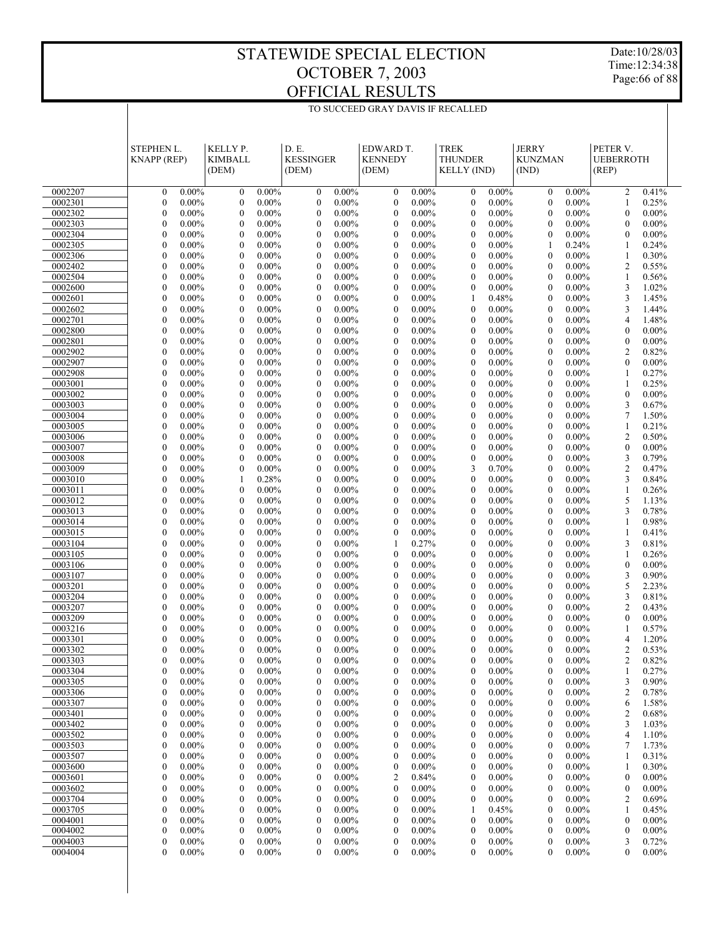Date:10/28/03 Time:12:34:38 Page:66 of 88

|                    | <b>STEPHEN L.</b><br><b>KNAPP</b> (REP)                      | KELLY P.<br><b>KIMBALL</b><br>(DEM)                          | D.E.<br><b>KESSINGER</b><br>(DEM)                            | EDWARD T.<br><b>KENNEDY</b><br>(DEM)                         | <b>TREK</b><br><b>THUNDER</b><br><b>KELLY (IND)</b>          | <b>JERRY</b><br><b>KUNZMAN</b><br>(IND)                      | PETER V.<br><b>UEBERROTH</b><br>(REP)                   |  |
|--------------------|--------------------------------------------------------------|--------------------------------------------------------------|--------------------------------------------------------------|--------------------------------------------------------------|--------------------------------------------------------------|--------------------------------------------------------------|---------------------------------------------------------|--|
| 0002207            | $\boldsymbol{0}$<br>$0.00\%$                                 | $\boldsymbol{0}$<br>$0.00\%$                                 | $\boldsymbol{0}$<br>$0.00\%$                                 | $\boldsymbol{0}$<br>$0.00\%$                                 | 0.00%<br>$\mathbf{0}$                                        | $\mathbf{0}$<br>$0.00\%$                                     | 0.41%<br>$\overline{2}$                                 |  |
| 0002301            | $\boldsymbol{0}$<br>$0.00\%$                                 | $\boldsymbol{0}$<br>$0.00\%$                                 | $\boldsymbol{0}$<br>$0.00\%$                                 | $\boldsymbol{0}$<br>$0.00\%$                                 | $\boldsymbol{0}$<br>$0.00\%$                                 | $\boldsymbol{0}$<br>$0.00\%$                                 | 0.25%<br>1                                              |  |
| 0002302            | $\boldsymbol{0}$<br>$0.00\%$                                 | $\boldsymbol{0}$<br>$0.00\%$                                 | $0.00\%$<br>$\boldsymbol{0}$                                 | $\boldsymbol{0}$<br>$0.00\%$                                 | $\mathbf{0}$<br>0.00%                                        | $\boldsymbol{0}$<br>$0.00\%$                                 | $0.00\%$<br>$\boldsymbol{0}$                            |  |
| 0002303            | $\boldsymbol{0}$<br>$0.00\%$                                 | $\mathbf{0}$<br>$0.00\%$                                     | $\boldsymbol{0}$<br>$0.00\%$                                 | $\mathbf{0}$<br>$0.00\%$                                     | $\mathbf{0}$<br>$0.00\%$                                     | $\mathbf{0}$<br>$0.00\%$                                     | $0.00\%$<br>$\mathbf{0}$                                |  |
| 0002304            | $\mathbf{0}$<br>$0.00\%$                                     | $\boldsymbol{0}$<br>$0.00\%$                                 | $\boldsymbol{0}$<br>$0.00\%$                                 | $\boldsymbol{0}$<br>$0.00\%$                                 | $\mathbf{0}$<br>$0.00\%$                                     | $0.00\%$<br>$\mathbf{0}$                                     | $0.00\%$<br>$\boldsymbol{0}$                            |  |
| 0002305            | $\boldsymbol{0}$<br>$0.00\%$                                 | $\boldsymbol{0}$<br>$0.00\%$                                 | $\boldsymbol{0}$<br>$0.00\%$                                 | $\boldsymbol{0}$<br>$0.00\%$                                 | $\boldsymbol{0}$<br>$0.00\%$                                 | 1<br>0.24%                                                   | 1<br>0.24%                                              |  |
| 0002306            | $\boldsymbol{0}$<br>$0.00\%$                                 | $\boldsymbol{0}$<br>$0.00\%$                                 | $\boldsymbol{0}$<br>$0.00\%$                                 | $\boldsymbol{0}$<br>$0.00\%$                                 | $\mathbf{0}$<br>$0.00\%$                                     | $\boldsymbol{0}$<br>$0.00\%$                                 | 0.30%<br>1                                              |  |
| 0002402            | $\boldsymbol{0}$<br>$0.00\%$                                 | $\mathbf{0}$<br>$0.00\%$                                     | $\boldsymbol{0}$<br>$0.00\%$                                 | $\mathbf{0}$<br>$0.00\%$                                     | $\mathbf{0}$<br>$0.00\%$                                     | $\mathbf{0}$<br>$0.00\%$                                     | 2<br>0.55%                                              |  |
| 0002504            | $\mathbf{0}$<br>$0.00\%$                                     | $\boldsymbol{0}$<br>$0.00\%$                                 | $\boldsymbol{0}$<br>$0.00\%$                                 | $\boldsymbol{0}$<br>$0.00\%$                                 | $\mathbf{0}$<br>0.00%                                        | $\theta$<br>$0.00\%$                                         | 0.56%<br>1                                              |  |
| 0002600            | $\boldsymbol{0}$<br>$0.00\%$<br>$\mathbf{0}$                 | $\mathbf{0}$<br>$0.00\%$<br>$\boldsymbol{0}$                 | $\boldsymbol{0}$<br>$0.00\%$<br>$\boldsymbol{0}$<br>$0.00\%$ | $\boldsymbol{0}$<br>$0.00\%$<br>$\boldsymbol{0}$             | $\mathbf{0}$<br>$0.00\%$<br>0.48%                            | $\mathbf{0}$<br>$0.00\%$<br>$\theta$<br>$0.00\%$             | 3<br>1.02%<br>3<br>1.45%                                |  |
| 0002601<br>0002602 | $0.00\%$<br>$\boldsymbol{0}$<br>$0.00\%$                     | $0.00\%$<br>$\mathbf{0}$<br>$0.00\%$                         | $\boldsymbol{0}$<br>$0.00\%$                                 | $0.00\%$<br>$\mathbf{0}$<br>$0.00\%$                         | 1<br>$\mathbf{0}$<br>0.00%                                   | $\mathbf{0}$<br>$0.00\%$                                     | 3<br>1.44%                                              |  |
| 0002701            | $\mathbf{0}$<br>$0.00\%$                                     | $\boldsymbol{0}$<br>$0.00\%$                                 | $\boldsymbol{0}$<br>$0.00\%$                                 | $\boldsymbol{0}$<br>$0.00\%$                                 | $\mathbf{0}$<br>$0.00\%$                                     | $\theta$<br>$0.00\%$                                         | $\overline{4}$<br>1.48%                                 |  |
| 0002800            | $\boldsymbol{0}$<br>$0.00\%$                                 | $\boldsymbol{0}$<br>$0.00\%$                                 | $\boldsymbol{0}$<br>$0.00\%$                                 | $\boldsymbol{0}$<br>$0.00\%$                                 | $\mathbf{0}$<br>$0.00\%$                                     | $\mathbf{0}$<br>$0.00\%$                                     | $0.00\%$<br>$\boldsymbol{0}$                            |  |
| 0002801            | $\boldsymbol{0}$<br>$0.00\%$                                 | $\boldsymbol{0}$<br>$0.00\%$                                 | $\boldsymbol{0}$<br>$0.00\%$                                 | $\boldsymbol{0}$<br>$0.00\%$                                 | $\mathbf{0}$<br>$0.00\%$                                     | $\theta$<br>$0.00\%$                                         | $\boldsymbol{0}$<br>$0.00\%$                            |  |
| 0002902            | $\boldsymbol{0}$<br>$0.00\%$                                 | $\mathbf{0}$<br>$0.00\%$                                     | $\boldsymbol{0}$<br>$0.00\%$                                 | $\mathbf{0}$<br>$0.00\%$                                     | $\boldsymbol{0}$<br>$0.00\%$                                 | $\mathbf{0}$<br>$0.00\%$                                     | $\overline{2}$<br>0.82%                                 |  |
| 0002907            | $\mathbf{0}$<br>$0.00\%$                                     | $\boldsymbol{0}$<br>$0.00\%$                                 | $\boldsymbol{0}$<br>$0.00\%$                                 | $\boldsymbol{0}$<br>$0.00\%$                                 | $\mathbf{0}$<br>$0.00\%$                                     | $\theta$<br>$0.00\%$                                         | $0.00\%$<br>$\boldsymbol{0}$                            |  |
| 0002908            | $\boldsymbol{0}$<br>$0.00\%$                                 | $\mathbf{0}$<br>$0.00\%$                                     | $\boldsymbol{0}$<br>$0.00\%$                                 | $\mathbf{0}$<br>$0.00\%$                                     | $\mathbf{0}$<br>$0.00\%$                                     | $\mathbf{0}$<br>$0.00\%$                                     | 1<br>0.27%                                              |  |
| 0003001            | $\mathbf{0}$<br>$0.00\%$                                     | $\boldsymbol{0}$<br>$0.00\%$                                 | $\boldsymbol{0}$<br>$0.00\%$                                 | $\boldsymbol{0}$<br>$0.00\%$                                 | $\mathbf{0}$<br>$0.00\%$                                     | $\theta$<br>$0.00\%$                                         | 0.25%<br>1                                              |  |
| 0003002            | $\boldsymbol{0}$<br>$0.00\%$<br>$\mathbf{0}$                 | $\mathbf{0}$<br>$0.00\%$                                     | $\boldsymbol{0}$<br>$0.00\%$                                 | $\mathbf{0}$<br>$0.00\%$                                     | $\mathbf{0}$<br>$0.00\%$                                     | $\mathbf{0}$<br>$0.00\%$<br>$\theta$                         | $\boldsymbol{0}$<br>$0.00\%$                            |  |
| 0003003<br>0003004 | $0.00\%$<br>$\boldsymbol{0}$<br>$0.00\%$                     | $\boldsymbol{0}$<br>$0.00\%$<br>$\boldsymbol{0}$<br>$0.00\%$ | $\boldsymbol{0}$<br>$0.00\%$<br>$\boldsymbol{0}$<br>$0.00\%$ | $\boldsymbol{0}$<br>$0.00\%$<br>$\boldsymbol{0}$<br>$0.00\%$ | $\mathbf{0}$<br>$0.00\%$<br>$\mathbf{0}$<br>$0.00\%$         | $0.00\%$<br>$\mathbf{0}$<br>$0.00\%$                         | 3<br>0.67%<br>$\tau$<br>1.50%                           |  |
| 0003005            | $\boldsymbol{0}$<br>$0.00\%$                                 | $\boldsymbol{0}$<br>$0.00\%$                                 | $\boldsymbol{0}$<br>$0.00\%$                                 | $\boldsymbol{0}$<br>$0.00\%$                                 | $\mathbf{0}$<br>$0.00\%$                                     | $\theta$<br>$0.00\%$                                         | 0.21%<br>1                                              |  |
| 0003006            | $\boldsymbol{0}$<br>$0.00\%$                                 | $\mathbf{0}$<br>$0.00\%$                                     | $\boldsymbol{0}$<br>$0.00\%$                                 | $\mathbf{0}$<br>$0.00\%$                                     | $\mathbf{0}$<br>$0.00\%$                                     | $\mathbf{0}$<br>$0.00\%$                                     | $\overline{2}$<br>0.50%                                 |  |
| 0003007            | $\mathbf{0}$<br>$0.00\%$                                     | $\boldsymbol{0}$<br>$0.00\%$                                 | $\boldsymbol{0}$<br>$0.00\%$                                 | $\boldsymbol{0}$<br>$0.00\%$                                 | $\mathbf{0}$<br>$0.00\%$                                     | $\boldsymbol{0}$<br>$0.00\%$                                 | $0.00\%$<br>$\boldsymbol{0}$                            |  |
| 0003008            | $\boldsymbol{0}$<br>$0.00\%$                                 | $\boldsymbol{0}$<br>$0.00\%$                                 | $\boldsymbol{0}$<br>$0.00\%$                                 | $\boldsymbol{0}$<br>$0.00\%$                                 | $\mathbf{0}$<br>$0.00\%$                                     | $\mathbf{0}$<br>$0.00\%$                                     | 3<br>0.79%                                              |  |
| 0003009            | $\boldsymbol{0}$<br>$0.00\%$                                 | $\boldsymbol{0}$<br>$0.00\%$                                 | $\boldsymbol{0}$<br>$0.00\%$                                 | $\boldsymbol{0}$<br>$0.00\%$                                 | 3<br>0.70%                                                   | $\theta$<br>$0.00\%$                                         | $\sqrt{2}$<br>0.47%                                     |  |
| 0003010            | $\mathbf{0}$<br>$0.00\%$                                     | 1<br>0.28%                                                   | $\boldsymbol{0}$<br>$0.00\%$                                 | $\mathbf{0}$<br>$0.00\%$                                     | $\mathbf{0}$<br>$0.00\%$                                     | $\mathbf{0}$<br>$0.00\%$                                     | 3<br>0.84%                                              |  |
| 0003011            | $\mathbf{0}$<br>$0.00\%$                                     | $\boldsymbol{0}$<br>$0.00\%$                                 | $\boldsymbol{0}$<br>$0.00\%$                                 | $\boldsymbol{0}$<br>$0.00\%$                                 | $\mathbf{0}$<br>$0.00\%$                                     | $\theta$<br>$0.00\%$                                         | 1<br>0.26%                                              |  |
| 0003012            | $\boldsymbol{0}$<br>$0.00\%$<br>$\mathbf{0}$                 | $\mathbf{0}$<br>$0.00\%$                                     | $\boldsymbol{0}$<br>$0.00\%$                                 | $\mathbf{0}$<br>$0.00\%$                                     | $\mathbf{0}$<br>$0.00\%$                                     | $\mathbf{0}$<br>$0.00\%$<br>$\theta$                         | 5<br>1.13%                                              |  |
| 0003013<br>0003014 | $0.00\%$<br>$\boldsymbol{0}$<br>$0.00\%$                     | $\boldsymbol{0}$<br>$0.00\%$<br>$\mathbf{0}$<br>$0.00\%$     | $\boldsymbol{0}$<br>$0.00\%$<br>$\boldsymbol{0}$<br>$0.00\%$ | $\boldsymbol{0}$<br>$0.00\%$<br>$\mathbf{0}$<br>$0.00\%$     | $\mathbf{0}$<br>$0.00\%$<br>$\mathbf{0}$<br>$0.00\%$         | $0.00\%$<br>$\mathbf{0}$<br>$0.00\%$                         | 3<br>0.78%<br>0.98%<br>1                                |  |
| 0003015            | $\mathbf{0}$<br>$0.00\%$                                     | $\boldsymbol{0}$<br>$0.00\%$                                 | $\boldsymbol{0}$<br>$0.00\%$                                 | $\boldsymbol{0}$<br>$0.00\%$                                 | $\mathbf{0}$<br>$0.00\%$                                     | $\boldsymbol{0}$<br>$0.00\%$                                 | 1<br>0.41%                                              |  |
| 0003104            | $\boldsymbol{0}$<br>$0.00\%$                                 | $\boldsymbol{0}$<br>$0.00\%$                                 | $\boldsymbol{0}$<br>$0.00\%$                                 | 1<br>0.27%                                                   | $\boldsymbol{0}$<br>$0.00\%$                                 | $\mathbf{0}$<br>$0.00\%$                                     | 3<br>0.81%                                              |  |
| 0003105            | $\boldsymbol{0}$<br>$0.00\%$                                 | $\boldsymbol{0}$<br>$0.00\%$                                 | $\boldsymbol{0}$<br>$0.00\%$                                 | $\boldsymbol{0}$<br>$0.00\%$                                 | $\mathbf{0}$<br>$0.00\%$                                     | $\theta$<br>$0.00\%$                                         | 1<br>0.26%                                              |  |
| 0003106            | $\boldsymbol{0}$<br>$0.00\%$                                 | $\mathbf{0}$<br>$0.00\%$                                     | $\boldsymbol{0}$<br>$0.00\%$                                 | $\mathbf{0}$<br>$0.00\%$                                     | $\boldsymbol{0}$<br>$0.00\%$                                 | $\mathbf{0}$<br>$0.00\%$                                     | $\boldsymbol{0}$<br>$0.00\%$                            |  |
| 0003107            | $\mathbf{0}$<br>$0.00\%$                                     | $\boldsymbol{0}$<br>$0.00\%$                                 | $\boldsymbol{0}$<br>$0.00\%$                                 | $\boldsymbol{0}$<br>$0.00\%$                                 | $\mathbf{0}$<br>$0.00\%$                                     | $\theta$<br>$0.00\%$                                         | 3<br>0.90%                                              |  |
| 0003201            | $\boldsymbol{0}$<br>$0.00\%$                                 | $\mathbf{0}$<br>$0.00\%$                                     | $\boldsymbol{0}$<br>$0.00\%$                                 | $\mathbf{0}$<br>$0.00\%$                                     | $\boldsymbol{0}$<br>$0.00\%$                                 | $\mathbf{0}$<br>$0.00\%$                                     | 5<br>2.23%                                              |  |
| 0003204            | $\boldsymbol{0}$<br>$0.00\%$                                 | $\boldsymbol{0}$<br>$0.00\%$<br>$\mathbf{0}$                 | $\boldsymbol{0}$<br>$0.00\%$                                 | $\boldsymbol{0}$<br>$0.00\%$<br>$\mathbf{0}$                 | $\mathbf{0}$<br>$0.00\%$                                     | $\theta$<br>$0.00\%$<br>$\mathbf{0}$                         | 3<br>0.81%                                              |  |
| 0003207<br>0003209 | $\boldsymbol{0}$<br>$0.00\%$<br>$\mathbf{0}$<br>$0.00\%$     | $0.00\%$<br>$\boldsymbol{0}$<br>$0.00\%$                     | $\boldsymbol{0}$<br>$0.00\%$<br>$\boldsymbol{0}$<br>$0.00\%$ | $0.00\%$<br>$\boldsymbol{0}$<br>$0.00\%$                     | $\boldsymbol{0}$<br>$0.00\%$<br>$\mathbf{0}$<br>$0.00\%$     | $0.00\%$<br>$\boldsymbol{0}$<br>$0.00\%$                     | $\overline{2}$<br>0.43%<br>$0.00\%$<br>$\boldsymbol{0}$ |  |
| 0003216            | $\mathbf{0}$<br>$0.00\%$                                     | $\mathbf{0}$<br>$0.00\%$                                     | $\mathbf{0}$<br>$0.00\%$                                     | $\mathbf{0}$<br>$0.00\%$                                     | $\mathbf{0}$<br>$0.00\%$                                     | $\mathbf{0}$<br>$0.00\%$                                     | 1<br>0.57%                                              |  |
| 0003301            | $\mathbf{0}$<br>$0.00\%$                                     | $\mathbf{0}$<br>$0.00\%$                                     | $\mathbf{0}$<br>$0.00\%$                                     | $\mathbf{0}$<br>$0.00\%$                                     | $\mathbf{0}$<br>$0.00\%$                                     | $\theta$<br>$0.00\%$                                         | $\overline{4}$<br>1.20%                                 |  |
| 0003302            | $\mathbf{0}$<br>$0.00\%$                                     | $\mathbf{0}$<br>$0.00\%$                                     | $\mathbf{0}$<br>$0.00\%$                                     | $\mathbf{0}$<br>$0.00\%$                                     | $\mathbf{0}$<br>$0.00\%$                                     | $\mathbf{0}$<br>$0.00\%$                                     | $\overline{c}$<br>0.53%                                 |  |
| 0003303            | $\boldsymbol{0}$<br>$0.00\%$                                 | $\boldsymbol{0}$<br>$0.00\%$                                 | $\boldsymbol{0}$<br>$0.00\%$                                 | $\boldsymbol{0}$<br>$0.00\%$                                 | $\boldsymbol{0}$<br>$0.00\%$                                 | $\mathbf{0}$<br>$0.00\%$                                     | 2<br>0.82%                                              |  |
| 0003304            | $0.00\%$<br>0                                                | $0.00\%$<br>0                                                | $0.00\%$<br>$\boldsymbol{0}$                                 | $0.00\%$<br>$\boldsymbol{0}$                                 | $0.00\%$<br>$\boldsymbol{0}$                                 | $0.00\%$<br>$\bf{0}$                                         | 0.27%<br>1                                              |  |
| 0003305            | $\boldsymbol{0}$<br>$0.00\%$                                 | $\boldsymbol{0}$<br>$0.00\%$                                 | $\boldsymbol{0}$<br>$0.00\%$                                 | $\boldsymbol{0}$<br>$0.00\%$                                 | $\boldsymbol{0}$<br>$0.00\%$                                 | $\boldsymbol{0}$<br>$0.00\%$                                 | 3<br>0.90%                                              |  |
| 0003306            | $\boldsymbol{0}$<br>$0.00\%$                                 | $0.00\%$<br>0                                                | $\boldsymbol{0}$<br>$0.00\%$                                 | $0.00\%$<br>$\boldsymbol{0}$                                 | $\boldsymbol{0}$<br>$0.00\%$                                 | $0.00\%$<br>$\boldsymbol{0}$                                 | 2<br>0.78%                                              |  |
| 0003307            | $\boldsymbol{0}$<br>$0.00\%$                                 | $\boldsymbol{0}$<br>$0.00\%$                                 | $\boldsymbol{0}$<br>$0.00\%$                                 | $\boldsymbol{0}$<br>$0.00\%$                                 | $\boldsymbol{0}$<br>$0.00\%$                                 | $0.00\%$<br>$\boldsymbol{0}$                                 | 1.58%<br>6                                              |  |
| 0003401<br>0003402 | $\boldsymbol{0}$<br>$0.00\%$<br>$\boldsymbol{0}$<br>$0.00\%$ | $0.00\%$<br>0<br>$\boldsymbol{0}$<br>$0.00\%$                | $\boldsymbol{0}$<br>$0.00\%$<br>$\boldsymbol{0}$<br>$0.00\%$ | $0.00\%$<br>$\boldsymbol{0}$<br>$\boldsymbol{0}$<br>$0.00\%$ | $\boldsymbol{0}$<br>$0.00\%$<br>$\boldsymbol{0}$<br>$0.00\%$ | $0.00\%$<br>$\boldsymbol{0}$<br>$0.00\%$<br>$\boldsymbol{0}$ | 2<br>0.68%<br>3<br>1.03%                                |  |
| 0003502            | $\boldsymbol{0}$<br>$0.00\%$                                 | $0.00\%$<br>0                                                | $\boldsymbol{0}$<br>$0.00\%$                                 | $0.00\%$<br>$\boldsymbol{0}$                                 | $\boldsymbol{0}$<br>$0.00\%$                                 | $0.00\%$<br>$\boldsymbol{0}$                                 | 4<br>1.10%                                              |  |
| 0003503            | $\boldsymbol{0}$<br>$0.00\%$                                 | $\boldsymbol{0}$<br>$0.00\%$                                 | $\boldsymbol{0}$<br>$0.00\%$                                 | $\boldsymbol{0}$<br>$0.00\%$                                 | $\boldsymbol{0}$<br>$0.00\%$                                 | $0.00\%$<br>$\boldsymbol{0}$                                 | 7<br>1.73%                                              |  |
| 0003507            | $\boldsymbol{0}$<br>$0.00\%$                                 | $0.00\%$<br>0                                                | $\boldsymbol{0}$<br>$0.00\%$                                 | $0.00\%$<br>$\boldsymbol{0}$                                 | $\boldsymbol{0}$<br>$0.00\%$                                 | $0.00\%$<br>$\boldsymbol{0}$                                 | 0.31%<br>$\mathbf{1}$                                   |  |
| 0003600            | $\boldsymbol{0}$<br>$0.00\%$                                 | $\boldsymbol{0}$<br>$0.00\%$                                 | $\boldsymbol{0}$<br>$0.00\%$                                 | $\boldsymbol{0}$<br>$0.00\%$                                 | $\boldsymbol{0}$<br>$0.00\%$                                 | $0.00\%$<br>$\boldsymbol{0}$                                 | 0.30%<br>$\mathbf{1}$                                   |  |
| 0003601            | $\boldsymbol{0}$<br>$0.00\%$                                 | $0.00\%$<br>0                                                | $\boldsymbol{0}$<br>$0.00\%$                                 | $\overline{\mathbf{c}}$<br>0.84%                             | $\boldsymbol{0}$<br>$0.00\%$                                 | $0.00\%$<br>$\boldsymbol{0}$                                 | $\boldsymbol{0}$<br>$0.00\%$                            |  |
| 0003602            | $\boldsymbol{0}$<br>$0.00\%$                                 | $\boldsymbol{0}$<br>$0.00\%$                                 | $\boldsymbol{0}$<br>$0.00\%$                                 | $\boldsymbol{0}$<br>$0.00\%$                                 | $\boldsymbol{0}$<br>$0.00\%$                                 | $0.00\%$<br>$\boldsymbol{0}$                                 | $\boldsymbol{0}$<br>$0.00\%$                            |  |
| 0003704            | $\boldsymbol{0}$<br>$0.00\%$                                 | $0.00\%$<br>0                                                | $\boldsymbol{0}$<br>$0.00\%$                                 | $0.00\%$<br>$\boldsymbol{0}$                                 | $\boldsymbol{0}$<br>$0.00\%$                                 | $0.00\%$<br>$\boldsymbol{0}$                                 | 2<br>0.69%                                              |  |
| 0003705            | $\boldsymbol{0}$<br>$0.00\%$                                 | $\boldsymbol{0}$<br>$0.00\%$                                 | $\boldsymbol{0}$<br>$0.00\%$                                 | $\boldsymbol{0}$<br>$0.00\%$                                 | 1<br>0.45%                                                   | $0.00\%$<br>$\boldsymbol{0}$                                 | 0.45%<br>-1                                             |  |
| 0004001            | $\boldsymbol{0}$<br>$0.00\%$<br>$0.00\%$                     | $\boldsymbol{0}$<br>$0.00\%$                                 | $\boldsymbol{0}$<br>$0.00\%$<br>$0.00\%$                     | $0.00\%$<br>$\boldsymbol{0}$<br>$\boldsymbol{0}$             | $\boldsymbol{0}$<br>$0.00\%$<br>$0.00\%$                     | $0.00\%$<br>$\boldsymbol{0}$                                 | $\boldsymbol{0}$<br>$0.00\%$                            |  |
| 0004002<br>0004003 | $\boldsymbol{0}$<br>$\boldsymbol{0}$<br>$0.00\%$             | $\boldsymbol{0}$<br>$0.00\%$<br>$\boldsymbol{0}$<br>$0.00\%$ | $\boldsymbol{0}$<br>$\boldsymbol{0}$<br>$0.00\%$             | $0.00\%$<br>$\boldsymbol{0}$<br>$0.00\%$                     | $\boldsymbol{0}$<br>$\boldsymbol{0}$<br>$0.00\%$             | $0.00\%$<br>$\boldsymbol{0}$<br>$0.00\%$<br>$\boldsymbol{0}$ | $\boldsymbol{0}$<br>$0.00\%$<br>3<br>0.72%              |  |
| 0004004            | $\boldsymbol{0}$<br>$0.00\%$                                 | $\boldsymbol{0}$<br>$0.00\%$                                 | $\boldsymbol{0}$<br>$0.00\%$                                 | $\boldsymbol{0}$<br>$0.00\%$                                 | $\boldsymbol{0}$<br>$0.00\%$                                 | $0.00\%$<br>$\boldsymbol{0}$                                 | $\boldsymbol{0}$<br>$0.00\%$                            |  |
|                    |                                                              |                                                              |                                                              |                                                              |                                                              |                                                              |                                                         |  |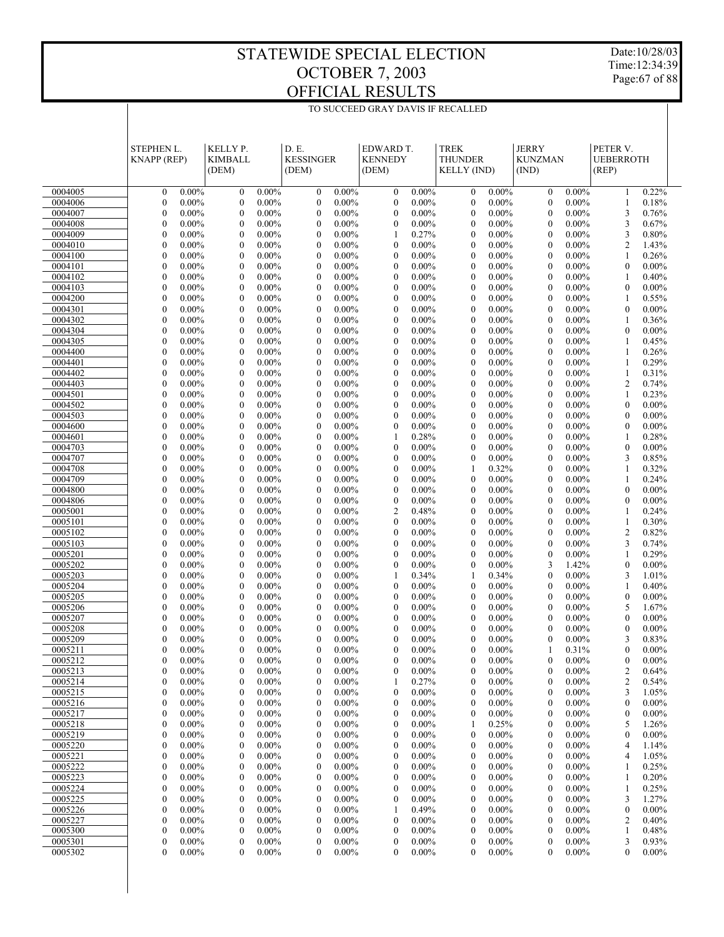Date:10/28/03 Time:12:34:39 Page:67 of 88

|                    | <b>STEPHEN L.</b><br><b>KNAPP</b> (REP)                      | KELLY P.<br><b>KIMBALL</b><br>(DEM)                          | D.E.<br><b>KESSINGER</b><br>(DEM)                            | EDWARD T.<br><b>KENNEDY</b><br>(DEM)                         | <b>TREK</b><br><b>THUNDER</b><br><b>KELLY</b> (IND)          | <b>JERRY</b><br><b>KUNZMAN</b><br>(IND)                      | PETER V.<br><b>UEBERROTH</b><br>(REP)                        |  |
|--------------------|--------------------------------------------------------------|--------------------------------------------------------------|--------------------------------------------------------------|--------------------------------------------------------------|--------------------------------------------------------------|--------------------------------------------------------------|--------------------------------------------------------------|--|
|                    |                                                              |                                                              |                                                              |                                                              |                                                              |                                                              |                                                              |  |
| 0004005            | $\mathbf{0}$<br>$0.00\%$                                     | $\boldsymbol{0}$<br>$0.00\%$                                 | $\boldsymbol{0}$<br>$0.00\%$                                 | $\boldsymbol{0}$<br>$0.00\%$                                 | $\mathbf{0}$<br>$0.00\%$                                     | $\boldsymbol{0}$<br>$0.00\%$                                 | 0.22%<br>1                                                   |  |
| 0004006            | $\boldsymbol{0}$<br>$0.00\%$                                 | $\mathbf{0}$<br>$0.00\%$                                     | $\boldsymbol{0}$<br>$0.00\%$                                 | $\boldsymbol{0}$<br>$0.00\%$                                 | $\boldsymbol{0}$<br>$0.00\%$                                 | $\mathbf{0}$<br>$0.00\%$                                     | 0.18%<br>1                                                   |  |
| 0004007            | $\boldsymbol{0}$<br>$0.00\%$                                 | $\mathbf{0}$<br>$0.00\%$                                     | $\boldsymbol{0}$<br>$0.00\%$                                 | $\boldsymbol{0}$<br>$0.00\%$                                 | $\boldsymbol{0}$<br>$0.00\%$                                 | $\mathbf{0}$<br>$0.00\%$                                     | 3<br>0.76%                                                   |  |
| 0004008            | $\boldsymbol{0}$<br>$0.00\%$                                 | $\mathbf{0}$<br>$0.00\%$                                     | $\mathbf{0}$<br>$0.00\%$                                     | $\boldsymbol{0}$<br>$0.00\%$                                 | $\boldsymbol{0}$<br>$0.00\%$                                 | $\mathbf{0}$<br>$0.00\%$                                     | 3<br>0.67%                                                   |  |
| 0004009            | $\boldsymbol{0}$<br>$0.00\%$                                 | $\mathbf{0}$<br>$0.00\%$                                     | $\boldsymbol{0}$<br>$0.00\%$                                 | 1<br>0.27%                                                   | $\boldsymbol{0}$<br>$0.00\%$                                 | $\mathbf{0}$<br>$0.00\%$                                     | 3<br>0.80%                                                   |  |
| 0004010<br>0004100 | $\boldsymbol{0}$<br>$0.00\%$<br>$\boldsymbol{0}$<br>$0.00\%$ | $\mathbf{0}$<br>$0.00\%$<br>$\mathbf{0}$<br>$0.00\%$         | $\boldsymbol{0}$<br>$0.00\%$<br>$\boldsymbol{0}$<br>$0.00\%$ | $\overline{0}$<br>$0.00\%$<br>$\boldsymbol{0}$<br>$0.00\%$   | $\boldsymbol{0}$<br>$0.00\%$<br>$\boldsymbol{0}$<br>$0.00\%$ | $\mathbf{0}$<br>$0.00\%$<br>$\mathbf{0}$<br>$0.00\%$         | $\overline{c}$<br>1.43%<br>0.26%<br>1                        |  |
| 0004101            | $\mathbf{0}$<br>$0.00\%$                                     | $\mathbf{0}$<br>$0.00\%$                                     | $\mathbf{0}$<br>$0.00\%$                                     | $\overline{0}$<br>$0.00\%$                                   | $\boldsymbol{0}$<br>$0.00\%$                                 | $\mathbf{0}$<br>$0.00\%$                                     | $\boldsymbol{0}$<br>$0.00\%$                                 |  |
| 0004102            | $\mathbf{0}$<br>$0.00\%$                                     | $\mathbf{0}$<br>$0.00\%$                                     | $\boldsymbol{0}$<br>$0.00\%$                                 | $\boldsymbol{0}$<br>$0.00\%$                                 | $\boldsymbol{0}$<br>$0.00\%$                                 | $\mathbf{0}$<br>$0.00\%$                                     | 0.40%<br>1                                                   |  |
| 0004103            | $\boldsymbol{0}$<br>$0.00\%$                                 | $\mathbf{0}$<br>$0.00\%$                                     | $\boldsymbol{0}$<br>$0.00\%$                                 | $\overline{0}$<br>$0.00\%$                                   | $\boldsymbol{0}$<br>$0.00\%$                                 | $\mathbf{0}$<br>$0.00\%$                                     | $\boldsymbol{0}$<br>$0.00\%$                                 |  |
| 0004200            | $\boldsymbol{0}$<br>$0.00\%$                                 | $\mathbf{0}$<br>$0.00\%$                                     | $\boldsymbol{0}$<br>$0.00\%$                                 | $\boldsymbol{0}$<br>$0.00\%$                                 | $\boldsymbol{0}$<br>$0.00\%$                                 | $\mathbf{0}$<br>$0.00\%$                                     | 0.55%<br>1                                                   |  |
| 0004301            | $\boldsymbol{0}$<br>$0.00\%$                                 | $\mathbf{0}$<br>$0.00\%$                                     | $\mathbf{0}$<br>$0.00\%$                                     | $\overline{0}$<br>$0.00\%$                                   | $\boldsymbol{0}$<br>$0.00\%$                                 | $\mathbf{0}$<br>$0.00\%$                                     | $\boldsymbol{0}$<br>$0.00\%$                                 |  |
| 0004302            | $\mathbf{0}$<br>$0.00\%$                                     | $\mathbf{0}$<br>$0.00\%$                                     | $\boldsymbol{0}$<br>$0.00\%$                                 | $\boldsymbol{0}$<br>$0.00\%$                                 | $\boldsymbol{0}$<br>$0.00\%$                                 | $\mathbf{0}$<br>$0.00\%$                                     | 0.36%<br>1                                                   |  |
| 0004304            | $\boldsymbol{0}$<br>$0.00\%$                                 | $\mathbf{0}$<br>$0.00\%$                                     | $\boldsymbol{0}$<br>$0.00\%$                                 | $\boldsymbol{0}$<br>$0.00\%$                                 | $\boldsymbol{0}$<br>$0.00\%$                                 | $\mathbf{0}$<br>$0.00\%$                                     | $\boldsymbol{0}$<br>$0.00\%$                                 |  |
| 0004305            | $\boldsymbol{0}$<br>$0.00\%$                                 | $\mathbf{0}$<br>$0.00\%$                                     | $\boldsymbol{0}$<br>$0.00\%$                                 | $\boldsymbol{0}$<br>$0.00\%$                                 | $\boldsymbol{0}$<br>$0.00\%$                                 | $\mathbf{0}$<br>$0.00\%$                                     | 0.45%<br>1                                                   |  |
| 0004400            | $\boldsymbol{0}$<br>$0.00\%$                                 | $\mathbf{0}$<br>$0.00\%$                                     | $\mathbf{0}$<br>$0.00\%$                                     | $\overline{0}$<br>$0.00\%$                                   | $\boldsymbol{0}$<br>$0.00\%$                                 | $\mathbf{0}$<br>$0.00\%$                                     | 0.26%<br>1                                                   |  |
| 0004401            | $\mathbf{0}$<br>$0.00\%$<br>$\boldsymbol{0}$                 | $\mathbf{0}$<br>$0.00\%$<br>$\mathbf{0}$                     | $\boldsymbol{0}$<br>$0.00\%$<br>$\boldsymbol{0}$             | $\boldsymbol{0}$<br>$0.00\%$<br>$\overline{0}$               | $\boldsymbol{0}$<br>$0.00\%$<br>$\boldsymbol{0}$<br>$0.00\%$ | $\mathbf{0}$<br>$0.00\%$<br>$\mathbf{0}$                     | 0.29%<br>1<br>0.31%                                          |  |
| 0004402<br>0004403 | $0.00\%$<br>$\boldsymbol{0}$<br>$0.00\%$                     | $0.00\%$<br>$\mathbf{0}$<br>$0.00\%$                         | $0.00\%$<br>$\boldsymbol{0}$<br>$0.00\%$                     | $0.00\%$<br>$\boldsymbol{0}$<br>$0.00\%$                     | $\boldsymbol{0}$<br>$0.00\%$                                 | $0.00\%$<br>$\mathbf{0}$<br>$0.00\%$                         | 1<br>$\overline{2}$<br>0.74%                                 |  |
| 0004501            | $\mathbf{0}$<br>$0.00\%$                                     | $\mathbf{0}$<br>$0.00\%$                                     | $\mathbf{0}$<br>$0.00\%$                                     | $\overline{0}$<br>$0.00\%$                                   | $\boldsymbol{0}$<br>$0.00\%$                                 | $\mathbf{0}$<br>$0.00\%$                                     | 0.23%<br>1                                                   |  |
| 0004502            | $\mathbf{0}$<br>$0.00\%$                                     | $\mathbf{0}$<br>$0.00\%$                                     | $\boldsymbol{0}$<br>$0.00\%$                                 | $\boldsymbol{0}$<br>$0.00\%$                                 | $\boldsymbol{0}$<br>$0.00\%$                                 | $\mathbf{0}$<br>$0.00\%$                                     | $\boldsymbol{0}$<br>$0.00\%$                                 |  |
| 0004503            | $\boldsymbol{0}$<br>$0.00\%$                                 | $\mathbf{0}$<br>$0.00\%$                                     | $\boldsymbol{0}$<br>$0.00\%$                                 | $\overline{0}$<br>$0.00\%$                                   | $\boldsymbol{0}$<br>$0.00\%$                                 | $\mathbf{0}$<br>$0.00\%$                                     | $\boldsymbol{0}$<br>$0.00\%$                                 |  |
| 0004600            | $\boldsymbol{0}$<br>$0.00\%$                                 | $\mathbf{0}$<br>$0.00\%$                                     | $\boldsymbol{0}$<br>$0.00\%$                                 | $\boldsymbol{0}$<br>$0.00\%$                                 | $\boldsymbol{0}$<br>$0.00\%$                                 | $\mathbf{0}$<br>$0.00\%$                                     | $\boldsymbol{0}$<br>$0.00\%$                                 |  |
| 0004601            | $\boldsymbol{0}$<br>$0.00\%$                                 | $\mathbf{0}$<br>$0.00\%$                                     | $\mathbf{0}$<br>$0.00\%$                                     | 0.28%<br>1                                                   | $\boldsymbol{0}$<br>$0.00\%$                                 | $\mathbf{0}$<br>$0.00\%$                                     | 0.28%<br>1                                                   |  |
| 0004703            | $\mathbf{0}$<br>$0.00\%$                                     | $\mathbf{0}$<br>$0.00\%$                                     | $\boldsymbol{0}$<br>$0.00\%$                                 | $\boldsymbol{0}$<br>$0.00\%$                                 | $\boldsymbol{0}$<br>$0.00\%$                                 | $\mathbf{0}$<br>$0.00\%$                                     | $\boldsymbol{0}$<br>$0.00\%$                                 |  |
| 0004707            | $\boldsymbol{0}$<br>$0.00\%$                                 | $\mathbf{0}$<br>$0.00\%$                                     | $\boldsymbol{0}$<br>$0.00\%$                                 | $\mathbf{0}$<br>$0.00\%$                                     | $\boldsymbol{0}$<br>$0.00\%$                                 | $\mathbf{0}$<br>$0.00\%$                                     | 3<br>0.85%                                                   |  |
| 0004708            | $\boldsymbol{0}$<br>$0.00\%$                                 | $\mathbf{0}$<br>$0.00\%$                                     | $\boldsymbol{0}$<br>$0.00\%$                                 | $\boldsymbol{0}$<br>$0.00\%$                                 | 1<br>0.32%                                                   | $\mathbf{0}$<br>$0.00\%$                                     | 0.32%<br>1                                                   |  |
| 0004709            | $\mathbf{0}$<br>$0.00\%$                                     | $\mathbf{0}$<br>$0.00\%$                                     | $\mathbf{0}$<br>$0.00\%$                                     | $\overline{0}$<br>$0.00\%$                                   | $\boldsymbol{0}$<br>$0.00\%$                                 | $\mathbf{0}$<br>$0.00\%$                                     | 0.24%<br>1                                                   |  |
| 0004800<br>0004806 | $\mathbf{0}$<br>$0.00\%$<br>$\boldsymbol{0}$<br>$0.00\%$     | $\mathbf{0}$<br>$0.00\%$<br>$\mathbf{0}$<br>$0.00\%$         | $\boldsymbol{0}$<br>$0.00\%$<br>$\mathbf{0}$<br>$0.00\%$     | $\boldsymbol{0}$<br>$0.00\%$<br>$\mathbf{0}$<br>$0.00\%$     | $\boldsymbol{0}$<br>$0.00\%$<br>$\boldsymbol{0}$<br>$0.00\%$ | $\mathbf{0}$<br>$0.00\%$<br>$\mathbf{0}$<br>$0.00\%$         | $\boldsymbol{0}$<br>$0.00\%$<br>$\boldsymbol{0}$<br>$0.00\%$ |  |
| 0005001            | $\boldsymbol{0}$<br>$0.00\%$                                 | $\mathbf{0}$<br>$0.00\%$                                     | $\boldsymbol{0}$<br>$0.00\%$                                 | $\overline{c}$<br>0.48%                                      | $\boldsymbol{0}$<br>$0.00\%$                                 | $\mathbf{0}$<br>$0.00\%$                                     | 0.24%<br>1                                                   |  |
| 0005101            | $\boldsymbol{0}$<br>$0.00\%$                                 | $\mathbf{0}$<br>$0.00\%$                                     | $\mathbf{0}$<br>$0.00\%$                                     | $\overline{0}$<br>$0.00\%$                                   | $\boldsymbol{0}$<br>$0.00\%$                                 | $\mathbf{0}$<br>$0.00\%$                                     | 0.30%<br>1                                                   |  |
| 0005102            | $\mathbf{0}$<br>$0.00\%$                                     | $\mathbf{0}$<br>$0.00\%$                                     | $\boldsymbol{0}$<br>$0.00\%$                                 | $\boldsymbol{0}$<br>$0.00\%$                                 | $\boldsymbol{0}$<br>$0.00\%$                                 | $\mathbf{0}$<br>$0.00\%$                                     | $\overline{c}$<br>0.82%                                      |  |
| 0005103            | $\boldsymbol{0}$<br>$0.00\%$                                 | $\mathbf{0}$<br>$0.00\%$                                     | $\boldsymbol{0}$<br>$0.00\%$                                 | $\overline{0}$<br>$0.00\%$                                   | $\boldsymbol{0}$<br>$0.00\%$                                 | $\mathbf{0}$<br>$0.00\%$                                     | 3<br>0.74%                                                   |  |
| 0005201            | $\boldsymbol{0}$<br>$0.00\%$                                 | $\mathbf{0}$<br>$0.00\%$                                     | $\boldsymbol{0}$<br>$0.00\%$                                 | $\boldsymbol{0}$<br>$0.00\%$                                 | $\boldsymbol{0}$<br>$0.00\%$                                 | $\mathbf{0}$<br>$0.00\%$                                     | 0.29%<br>1                                                   |  |
| 0005202            | $\mathbf{0}$<br>$0.00\%$                                     | $\mathbf{0}$<br>$0.00\%$                                     | $\mathbf{0}$<br>$0.00\%$                                     | $\boldsymbol{0}$<br>$0.00\%$                                 | $\boldsymbol{0}$<br>$0.00\%$                                 | 3<br>1.42%                                                   | $\boldsymbol{0}$<br>$0.00\%$                                 |  |
| 0005203            | $\mathbf{0}$<br>$0.00\%$                                     | $\mathbf{0}$<br>$0.00\%$                                     | $\boldsymbol{0}$<br>$0.00\%$                                 | 1<br>0.34%                                                   | 1<br>0.34%                                                   | $\boldsymbol{0}$<br>$0.00\%$                                 | 3<br>1.01%                                                   |  |
| 0005204            | $\boldsymbol{0}$<br>$0.00\%$                                 | $\mathbf{0}$<br>$0.00\%$                                     | $\mathbf{0}$<br>$0.00\%$                                     | $\overline{0}$<br>$0.00\%$                                   | $\boldsymbol{0}$<br>$0.00\%$                                 | $\mathbf{0}$<br>$0.00\%$                                     | 0.40%<br>1                                                   |  |
| 0005205<br>0005206 | $\boldsymbol{0}$<br>$0.00\%$<br>$\boldsymbol{0}$<br>$0.00\%$ | $\mathbf{0}$<br>$0.00\%$<br>$\mathbf{0}$<br>$0.00\%$         | $\boldsymbol{0}$<br>$0.00\%$<br>$\mathbf{0}$<br>$0.00\%$     | $\boldsymbol{0}$<br>$0.00\%$<br>$\overline{0}$<br>$0.00\%$   | $\boldsymbol{0}$<br>$0.00\%$<br>$\boldsymbol{0}$<br>$0.00\%$ | $\mathbf{0}$<br>$0.00\%$<br>$\mathbf{0}$<br>$0.00\%$         | $\boldsymbol{0}$<br>$0.00\%$<br>5<br>1.67%                   |  |
| 0005207            | $\boldsymbol{0}$<br>$0.00\%$                                 | $\mathbf{0}$<br>$0.00\%$                                     | $\boldsymbol{0}$<br>$0.00\%$                                 | $\boldsymbol{0}$<br>$0.00\%$                                 | $\boldsymbol{0}$<br>$0.00\%$                                 | $\mathbf{0}$<br>$0.00\%$                                     | $\boldsymbol{0}$<br>$0.00\%$                                 |  |
| 0005208            | $\mathbf{0}$<br>$0.00\%$                                     | $\mathbf{0}$<br>$0.00\%$                                     | $\mathbf{0}$<br>$0.00\%$                                     | $\overline{0}$<br>$0.00\%$                                   | $\mathbf{0}$<br>$0.00\%$                                     | $\mathbf{0}$<br>$0.00\%$                                     | $\boldsymbol{0}$<br>$0.00\%$                                 |  |
| 0005209            | $\mathbf{0}$<br>$0.00\%$                                     | $\mathbf{0}$<br>$0.00\%$                                     | $\mathbf{0}$<br>$0.00\%$                                     | $\overline{0}$<br>$0.00\%$                                   | $\mathbf{0}$<br>$0.00\%$                                     | $\mathbf{0}$<br>$0.00\%$                                     | 3<br>0.83%                                                   |  |
| 0005211            | $\mathbf{0}$<br>$0.00\%$                                     | $\mathbf{0}$<br>$0.00\%$                                     | $\mathbf{0}$<br>$0.00\%$                                     | $\mathbf{0}$<br>$0.00\%$                                     | $\mathbf{0}$<br>$0.00\%$                                     | $\mathbf{1}$<br>0.31%                                        | $\mathbf{0}$<br>$0.00\%$                                     |  |
| 0005212            | $\boldsymbol{0}$<br>$0.00\%$                                 | $\boldsymbol{0}$<br>$0.00\%$                                 | $\boldsymbol{0}$<br>$0.00\%$                                 | $\boldsymbol{0}$<br>$0.00\%$                                 | $\boldsymbol{0}$<br>$0.00\%$                                 | $\boldsymbol{0}$<br>$0.00\%$                                 | $\boldsymbol{0}$<br>$0.00\%$                                 |  |
| 0005213            | $\boldsymbol{0}$<br>$0.00\%$                                 | $0.00\%$<br>$\boldsymbol{0}$                                 | $\boldsymbol{0}$<br>$0.00\%$                                 | 0<br>$0.00\%$                                                | $0.00\%$<br>0                                                | $\boldsymbol{0}$<br>$0.00\%$                                 | 2<br>0.64%                                                   |  |
| 0005214            | $0.00\%$<br>$\boldsymbol{0}$                                 | $\boldsymbol{0}$<br>$0.00\%$                                 | $0.00\%$<br>$\boldsymbol{0}$                                 | 0.27%<br>1                                                   | $\boldsymbol{0}$<br>$0.00\%$                                 | $\boldsymbol{0}$<br>$0.00\%$                                 | $\overline{c}$<br>0.54%                                      |  |
| 0005215            | $\boldsymbol{0}$<br>$0.00\%$                                 | $\boldsymbol{0}$<br>$0.00\%$                                 | $\boldsymbol{0}$<br>$0.00\%$                                 | $\boldsymbol{0}$<br>$0.00\%$                                 | $\boldsymbol{0}$<br>$0.00\%$                                 | $\boldsymbol{0}$<br>$0.00\%$                                 | 3<br>1.05%                                                   |  |
| 0005216            | $\boldsymbol{0}$<br>$0.00\%$                                 | $\boldsymbol{0}$<br>$0.00\%$                                 | $\boldsymbol{0}$<br>$0.00\%$                                 | $\boldsymbol{0}$<br>$0.00\%$                                 | $\boldsymbol{0}$<br>$0.00\%$                                 | $\boldsymbol{0}$<br>$0.00\%$                                 | $\boldsymbol{0}$<br>$0.00\%$                                 |  |
| 0005217            | $\boldsymbol{0}$<br>$0.00\%$                                 | $\boldsymbol{0}$<br>$0.00\%$                                 | $\boldsymbol{0}$<br>$0.00\%$                                 | $\boldsymbol{0}$<br>$0.00\%$                                 | $\boldsymbol{0}$<br>$0.00\%$                                 | $\boldsymbol{0}$<br>$0.00\%$                                 | $\boldsymbol{0}$<br>$0.00\%$                                 |  |
| 0005218<br>0005219 | $\boldsymbol{0}$<br>$0.00\%$<br>$\boldsymbol{0}$<br>$0.00\%$ | $\boldsymbol{0}$<br>$0.00\%$<br>$\boldsymbol{0}$<br>$0.00\%$ | $\boldsymbol{0}$<br>$0.00\%$<br>$\boldsymbol{0}$<br>$0.00\%$ | $\boldsymbol{0}$<br>$0.00\%$<br>$\boldsymbol{0}$<br>$0.00\%$ | 0.25%<br>1<br>$\boldsymbol{0}$<br>$0.00\%$                   | $\boldsymbol{0}$<br>$0.00\%$<br>$\boldsymbol{0}$<br>$0.00\%$ | 5<br>1.26%<br>$\boldsymbol{0}$<br>$0.00\%$                   |  |
| 0005220            | $\boldsymbol{0}$<br>$0.00\%$                                 | $\boldsymbol{0}$<br>$0.00\%$                                 | $\boldsymbol{0}$<br>$0.00\%$                                 | $\boldsymbol{0}$<br>$0.00\%$                                 | $\boldsymbol{0}$<br>$0.00\%$                                 | $\boldsymbol{0}$<br>$0.00\%$                                 | 4<br>1.14%                                                   |  |
| 0005221            | $\boldsymbol{0}$<br>$0.00\%$                                 | $\boldsymbol{0}$<br>$0.00\%$                                 | $\boldsymbol{0}$<br>$0.00\%$                                 | $\boldsymbol{0}$<br>$0.00\%$                                 | $\boldsymbol{0}$<br>$0.00\%$                                 | $\boldsymbol{0}$<br>$0.00\%$                                 | $\overline{4}$<br>1.05%                                      |  |
| 0005222            | $\boldsymbol{0}$<br>$0.00\%$                                 | $\boldsymbol{0}$<br>$0.00\%$                                 | $\boldsymbol{0}$<br>$0.00\%$                                 | $\boldsymbol{0}$<br>$0.00\%$                                 | $\boldsymbol{0}$<br>$0.00\%$                                 | $\boldsymbol{0}$<br>$0.00\%$                                 | 0.25%<br>1                                                   |  |
| 0005223            | $\boldsymbol{0}$<br>$0.00\%$                                 | $\boldsymbol{0}$<br>$0.00\%$                                 | $\boldsymbol{0}$<br>$0.00\%$                                 | $\boldsymbol{0}$<br>$0.00\%$                                 | $\boldsymbol{0}$<br>$0.00\%$                                 | $\boldsymbol{0}$<br>$0.00\%$                                 | 0.20%<br>1                                                   |  |
| 0005224            | $\boldsymbol{0}$<br>$0.00\%$                                 | $\boldsymbol{0}$<br>$0.00\%$                                 | $\boldsymbol{0}$<br>$0.00\%$                                 | $\boldsymbol{0}$<br>$0.00\%$                                 | $\boldsymbol{0}$<br>$0.00\%$                                 | $\boldsymbol{0}$<br>$0.00\%$                                 | 0.25%<br>1                                                   |  |
| 0005225            | $\boldsymbol{0}$<br>$0.00\%$                                 | $\boldsymbol{0}$<br>$0.00\%$                                 | $\boldsymbol{0}$<br>$0.00\%$                                 | $\boldsymbol{0}$<br>$0.00\%$                                 | $\boldsymbol{0}$<br>$0.00\%$                                 | $\boldsymbol{0}$<br>$0.00\%$                                 | 3<br>1.27%                                                   |  |
| 0005226            | $\boldsymbol{0}$<br>$0.00\%$                                 | $\boldsymbol{0}$<br>$0.00\%$                                 | $\boldsymbol{0}$<br>$0.00\%$                                 | 0.49%<br>1                                                   | $\boldsymbol{0}$<br>$0.00\%$                                 | $\boldsymbol{0}$<br>$0.00\%$                                 | $\boldsymbol{0}$<br>$0.00\%$                                 |  |
| 0005227            | $\boldsymbol{0}$<br>$0.00\%$                                 | $\boldsymbol{0}$<br>$0.00\%$                                 | $\boldsymbol{0}$<br>$0.00\%$                                 | $\boldsymbol{0}$<br>$0.00\%$                                 | $\boldsymbol{0}$<br>$0.00\%$                                 | $\boldsymbol{0}$<br>$0.00\%$                                 | 2<br>0.40%                                                   |  |
| 0005300            | $\boldsymbol{0}$<br>$0.00\%$                                 | $\boldsymbol{0}$<br>$0.00\%$                                 | $\boldsymbol{0}$<br>$0.00\%$                                 | $\boldsymbol{0}$<br>$0.00\%$                                 | $\boldsymbol{0}$<br>$0.00\%$                                 | $\boldsymbol{0}$<br>$0.00\%$                                 | 0.48%<br>1                                                   |  |
| 0005301            | $\boldsymbol{0}$<br>$0.00\%$                                 | $\boldsymbol{0}$<br>$0.00\%$                                 | $\boldsymbol{0}$<br>$0.00\%$                                 | $\boldsymbol{0}$<br>$0.00\%$                                 | $\boldsymbol{0}$<br>$0.00\%$                                 | $\boldsymbol{0}$<br>$0.00\%$                                 | 3<br>0.93%                                                   |  |
| 0005302            | 0<br>$0.00\%$                                                | 0<br>$0.00\%$                                                | 0<br>$0.00\%$                                                | $\boldsymbol{0}$<br>$0.00\%$                                 | $\boldsymbol{0}$<br>$0.00\%$                                 | $\boldsymbol{0}$<br>$0.00\%$                                 | $\boldsymbol{0}$<br>$0.00\%$                                 |  |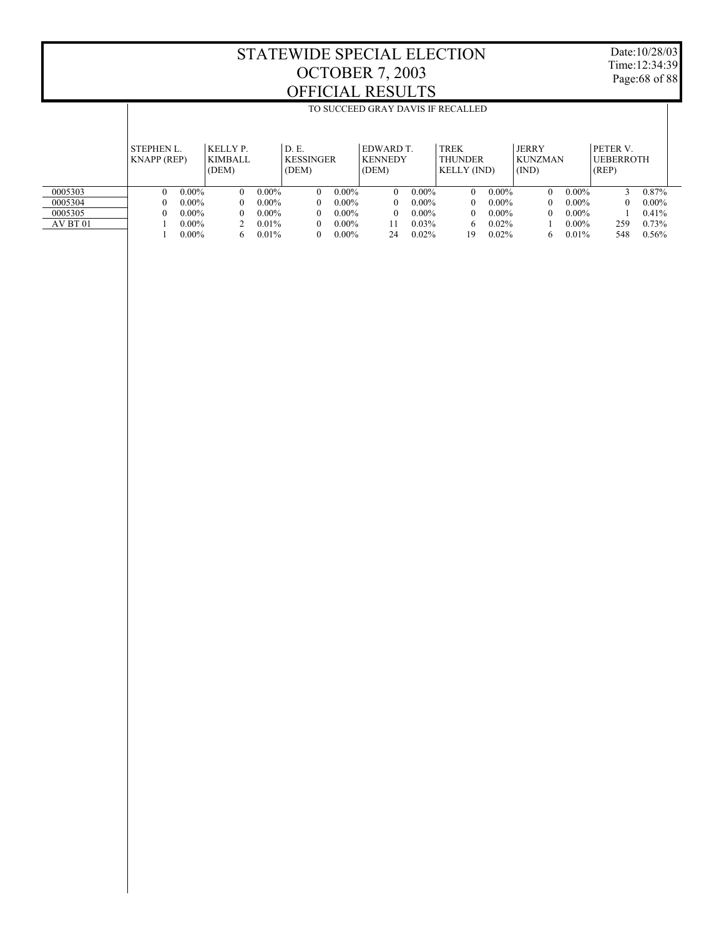Date:10/28/03 Time:12:34:39 Page:68 of 88

|          |                    | TO SUCCEED GRAY DAVIS IF RECALLED |                      |                      |                        |                        |                      |  |  |
|----------|--------------------|-----------------------------------|----------------------|----------------------|------------------------|------------------------|----------------------|--|--|
|          |                    |                                   |                      |                      |                        |                        |                      |  |  |
|          |                    |                                   |                      |                      |                        |                        |                      |  |  |
|          | <b>STEPHEN L.</b>  | KELLY P.                          | D. E.                | EDWARD T.            | <b>TREK</b>            | <b>JERRY</b>           | PETER V.             |  |  |
|          | <b>KNAPP</b> (REP) | KIMBALL                           | KESSINGER            | <b>KENNEDY</b>       | <b>THUNDER</b>         | <b>KUNZMAN</b>         | <b>UEBERROTH</b>     |  |  |
|          |                    | (DEM)                             | (DEM)                | (DEM)                | <b>KELLY (IND)</b>     | (IND)                  | (REP)                |  |  |
|          |                    |                                   |                      |                      |                        |                        |                      |  |  |
| 0005303  | $0.00\%$<br>0      | $0.00\%$<br>$\Omega$              | $0.00\%$<br>$\Omega$ | $0.00\%$<br>$\Omega$ | $0.00\%$<br>$\Omega$   | $0.00\%$<br>$\Omega$   | 0.87%                |  |  |
| 0005304  | $0.00\%$           | $0.00\%$<br>$^{\circ}$            | $0.00\%$<br>$\theta$ | $0.00\%$<br>$\Omega$ | $0.00\%$<br>$^{\circ}$ | $0.00\%$<br>$^{\circ}$ | $0.00\%$<br>$\Omega$ |  |  |
| 0005305  | $0.00\%$           | $0.00\%$<br>$^{\circ}$            | $0.00\%$<br>$\Omega$ | $0.00\%$<br>$\Omega$ | $0.00\%$<br>$^{\circ}$ | $0.00\%$<br>$^{\circ}$ | 0.41%                |  |  |
| AV BT 01 | $0.00\%$           | $0.01\%$                          | $0.00\%$<br>$\Omega$ | $0.03\%$<br>11       | $0.02\%$<br>6          | $0.00\%$               | $0.73\%$<br>259      |  |  |
|          | $0.00\%$           | $0.01\%$<br>6.                    | $0.00\%$<br>$\theta$ | 0.02%<br>24          | 0.02%<br>19            | 0.01%<br>6             | 548<br>0.56%         |  |  |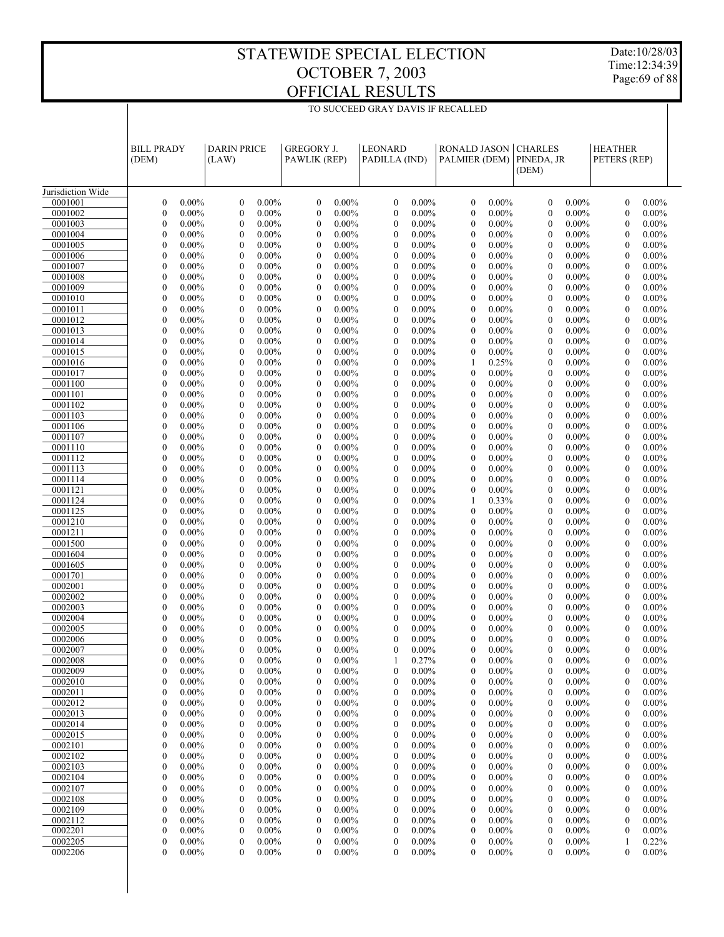TO SUCCEED GRAY DAVIS IF RECALLED

Date:10/28/03 Time:12:34:39 Page:69 of 88

|                    | <b>BILL PRADY</b>                                        | <b>DARIN PRICE</b>                                           | <b>GREGORY J.</b>                                            | <b>LEONARD</b>                                               | <b>RONALD JASON   CHARLES</b>                                | PINEDA, JR                                               | <b>HEATHER</b>                                               |
|--------------------|----------------------------------------------------------|--------------------------------------------------------------|--------------------------------------------------------------|--------------------------------------------------------------|--------------------------------------------------------------|----------------------------------------------------------|--------------------------------------------------------------|
|                    | (DEM)                                                    | (LAW)                                                        | PAWLIK (REP)                                                 | PADILLA (IND)                                                | PALMIER (DEM)                                                | (DEM)                                                    | PETERS (REP)                                                 |
| Jurisdiction Wide  |                                                          |                                                              |                                                              |                                                              |                                                              |                                                          |                                                              |
| 0001001            | $0.00\%$                                                 | $0.00\%$                                                     | $\boldsymbol{0}$                                             | $\boldsymbol{0}$                                             | $0.00\%$                                                     | $0.00\%$                                                 | $\boldsymbol{0}$                                             |
|                    | $\boldsymbol{0}$                                         | $\boldsymbol{0}$                                             | $0.00\%$                                                     | $0.00\%$                                                     | $\mathbf{0}$                                                 | $\mathbf{0}$                                             | $0.00\%$                                                     |
| 0001002            | $\boldsymbol{0}$                                         | $\boldsymbol{0}$                                             | $\boldsymbol{0}$                                             | $\boldsymbol{0}$                                             | $\boldsymbol{0}$                                             | $\boldsymbol{0}$                                         | $\boldsymbol{0}$                                             |
|                    | $0.00\%$                                                 | $0.00\%$                                                     | $0.00\%$                                                     | $0.00\%$                                                     | $0.00\%$                                                     | $0.00\%$                                                 | $0.00\%$                                                     |
| 0001003            | $\mathbf{0}$                                             | $\boldsymbol{0}$                                             | $\boldsymbol{0}$                                             | $\boldsymbol{0}$                                             | $\mathbf{0}$                                                 | $0.00\%$                                                 | $\boldsymbol{0}$                                             |
|                    | $0.00\%$                                                 | $0.00\%$                                                     | $0.00\%$                                                     | $0.00\%$                                                     | $0.00\%$                                                     | $\mathbf{0}$                                             | $0.00\%$                                                     |
| 0001004            | $0.00\%$                                                 | $0.00\%$                                                     | $\boldsymbol{0}$                                             | $\boldsymbol{0}$                                             | $\boldsymbol{0}$                                             | $0.00\%$                                                 | $\boldsymbol{0}$                                             |
|                    | $\boldsymbol{0}$                                         | $\mathbf{0}$                                                 | $0.00\%$                                                     | $0.00\%$                                                     | $0.00\%$                                                     | $\boldsymbol{0}$                                         | $0.00\%$                                                     |
| 0001005<br>0001006 | $\mathbf{0}$<br>$0.00\%$<br>$\boldsymbol{0}$<br>$0.00\%$ | $\mathbf{0}$<br>$0.00\%$<br>$0.00\%$<br>$\mathbf{0}$         | $\boldsymbol{0}$<br>$0.00\%$<br>$\boldsymbol{0}$<br>$0.00\%$ | $\boldsymbol{0}$<br>$0.00\%$<br>$\boldsymbol{0}$<br>$0.00\%$ | $\mathbf{0}$<br>$0.00\%$<br>$\mathbf{0}$<br>$0.00\%$         | $\mathbf{0}$<br>$0.00\%$<br>$0.00\%$<br>$\mathbf{0}$     | $\boldsymbol{0}$<br>$0.00\%$<br>$\boldsymbol{0}$<br>$0.00\%$ |
| 0001007            | $\mathbf{0}$                                             | $\mathbf{0}$                                                 | $\boldsymbol{0}$                                             | $\boldsymbol{0}$                                             | $\mathbf{0}$                                                 | $0.00\%$                                                 | $\boldsymbol{0}$                                             |
|                    | $0.00\%$                                                 | $0.00\%$                                                     | $0.00\%$                                                     | $0.00\%$                                                     | $0.00\%$                                                     | $\mathbf{0}$                                             | $0.00\%$                                                     |
| 0001008            | $0.00\%$                                                 | $0.00\%$                                                     | $\boldsymbol{0}$                                             | $\boldsymbol{0}$                                             | $\boldsymbol{0}$                                             | $0.00\%$                                                 | $\boldsymbol{0}$                                             |
|                    | $\boldsymbol{0}$                                         | $\mathbf{0}$                                                 | $0.00\%$                                                     | $0.00\%$                                                     | $0.00\%$                                                     | $\boldsymbol{0}$                                         | $0.00\%$                                                     |
| 0001009            | $\mathbf{0}$                                             | $\mathbf{0}$                                                 | $\boldsymbol{0}$                                             | $\boldsymbol{0}$                                             | $\mathbf{0}$                                                 | $0.00\%$                                                 | $\boldsymbol{0}$                                             |
|                    | $0.00\%$                                                 | $0.00\%$                                                     | $0.00\%$                                                     | $0.00\%$                                                     | $0.00\%$                                                     | $\mathbf{0}$                                             | $0.00\%$                                                     |
| 0001010            | $\boldsymbol{0}$                                         | $\mathbf{0}$                                                 | $\boldsymbol{0}$                                             | $\boldsymbol{0}$                                             | $\mathbf{0}$                                                 | $0.00\%$                                                 | $\boldsymbol{0}$                                             |
|                    | $0.00\%$                                                 | $0.00\%$                                                     | $0.00\%$                                                     | $0.00\%$                                                     | $0.00\%$                                                     | $\mathbf{0}$                                             | $0.00\%$                                                     |
| 0001011            | $\mathbf{0}$                                             | $\mathbf{0}$                                                 | $\boldsymbol{0}$                                             | $\boldsymbol{0}$                                             | $\mathbf{0}$                                                 | $0.00\%$                                                 | $\boldsymbol{0}$                                             |
|                    | $0.00\%$                                                 | $0.00\%$                                                     | $0.00\%$                                                     | $0.00\%$                                                     | $0.00\%$                                                     | $\mathbf{0}$                                             | $0.00\%$                                                     |
| 0001012<br>0001013 | $0.00\%$<br>$\boldsymbol{0}$<br>$\mathbf{0}$<br>$0.00\%$ | $\mathbf{0}$<br>$0.00\%$<br>$\mathbf{0}$<br>$0.00\%$         | $\boldsymbol{0}$<br>$0.00\%$<br>$\boldsymbol{0}$<br>$0.00\%$ | $\boldsymbol{0}$<br>$0.00\%$<br>$\boldsymbol{0}$<br>$0.00\%$ | $\boldsymbol{0}$<br>$0.00\%$<br>$\mathbf{0}$<br>$0.00\%$     | $0.00\%$<br>$\boldsymbol{0}$<br>$0.00\%$<br>$\mathbf{0}$ | $\boldsymbol{0}$<br>$0.00\%$<br>$\boldsymbol{0}$<br>$0.00\%$ |
| 0001014            | $\boldsymbol{0}$                                         | $\mathbf{0}$                                                 | $\boldsymbol{0}$                                             | $\boldsymbol{0}$                                             | $\boldsymbol{0}$                                             | $0.00\%$                                                 | $\boldsymbol{0}$                                             |
|                    | $0.00\%$                                                 | $0.00\%$                                                     | $0.00\%$                                                     | $0.00\%$                                                     | $0.00\%$                                                     | $\mathbf{0}$                                             | $0.00\%$                                                     |
| 0001015            | $\mathbf{0}$                                             | $\boldsymbol{0}$                                             | $\boldsymbol{0}$                                             | $\boldsymbol{0}$                                             | $\boldsymbol{0}$                                             | $0.00\%$                                                 | $\boldsymbol{0}$                                             |
|                    | $0.00\%$                                                 | $0.00\%$                                                     | $0.00\%$                                                     | $0.00\%$                                                     | $0.00\%$                                                     | $\mathbf{0}$                                             | $0.00\%$                                                     |
| 0001016            | $0.00\%$                                                 | $0.00\%$                                                     | $\boldsymbol{0}$                                             | $\boldsymbol{0}$                                             | 0.25%                                                        | $0.00\%$                                                 | $\boldsymbol{0}$                                             |
|                    | $\boldsymbol{0}$                                         | $\mathbf{0}$                                                 | $0.00\%$                                                     | $0.00\%$                                                     | 1                                                            | $\boldsymbol{0}$                                         | $0.00\%$                                                     |
| 0001017            | $\mathbf{0}$                                             | $\mathbf{0}$                                                 | $\boldsymbol{0}$                                             | $\boldsymbol{0}$                                             | $\mathbf{0}$                                                 | $0.00\%$                                                 | $\boldsymbol{0}$                                             |
|                    | $0.00\%$                                                 | $0.00\%$                                                     | $0.00\%$                                                     | $0.00\%$                                                     | $0.00\%$                                                     | $\mathbf{0}$                                             | $0.00\%$                                                     |
| 0001100            | $\boldsymbol{0}$                                         | $0.00\%$                                                     | $\boldsymbol{0}$                                             | $\boldsymbol{0}$                                             | $\mathbf{0}$                                                 | $0.00\%$                                                 | $\boldsymbol{0}$                                             |
|                    | $0.00\%$                                                 | $\mathbf{0}$                                                 | $0.00\%$                                                     | $0.00\%$                                                     | $0.00\%$                                                     | $\mathbf{0}$                                             | $0.00\%$                                                     |
| 0001101<br>0001102 | $\mathbf{0}$<br>$0.00\%$<br>$\boldsymbol{0}$<br>$0.00\%$ | $\mathbf{0}$<br>$0.00\%$<br>$0.00\%$<br>$\mathbf{0}$         | $\boldsymbol{0}$<br>$0.00\%$<br>$\boldsymbol{0}$<br>$0.00\%$ | $\boldsymbol{0}$<br>$0.00\%$<br>$\boldsymbol{0}$<br>$0.00\%$ | $\mathbf{0}$<br>$0.00\%$<br>$\mathbf{0}$<br>$0.00\%$         | $0.00\%$<br>$\mathbf{0}$<br>$0.00\%$<br>$\boldsymbol{0}$ | $\boldsymbol{0}$<br>$0.00\%$<br>$\boldsymbol{0}$<br>$0.00\%$ |
| 0001103            | $\mathbf{0}$                                             | $\mathbf{0}$                                                 | $\boldsymbol{0}$                                             | $\boldsymbol{0}$                                             | $\mathbf{0}$                                                 | $0.00\%$                                                 | $\boldsymbol{0}$                                             |
|                    | $0.00\%$                                                 | $0.00\%$                                                     | $0.00\%$                                                     | $0.00\%$                                                     | $0.00\%$                                                     | $\mathbf{0}$                                             | $0.00\%$                                                     |
| 0001106            | $\boldsymbol{0}$                                         | $0.00\%$                                                     | $\boldsymbol{0}$                                             | $\boldsymbol{0}$                                             | $\mathbf{0}$                                                 | $0.00\%$                                                 | $\boldsymbol{0}$                                             |
|                    | $0.00\%$                                                 | $\mathbf{0}$                                                 | $0.00\%$                                                     | $0.00\%$                                                     | $0.00\%$                                                     | $\mathbf{0}$                                             | $0.00\%$                                                     |
| 0001107            | $\mathbf{0}$                                             | $\mathbf{0}$                                                 | $\boldsymbol{0}$                                             | $\boldsymbol{0}$                                             | $\mathbf{0}$                                                 | $0.00\%$                                                 | $\boldsymbol{0}$                                             |
|                    | $0.00\%$                                                 | $0.00\%$                                                     | $0.00\%$                                                     | $0.00\%$                                                     | $0.00\%$                                                     | $\mathbf{0}$                                             | $0.00\%$                                                     |
| 0001110            | $0.00\%$                                                 | $0.00\%$                                                     | $\boldsymbol{0}$                                             | $\boldsymbol{0}$                                             | $\boldsymbol{0}$                                             | $0.00\%$                                                 | $\boldsymbol{0}$                                             |
|                    | $\boldsymbol{0}$                                         | $\mathbf{0}$                                                 | $0.00\%$                                                     | $0.00\%$                                                     | $0.00\%$                                                     | $\mathbf{0}$                                             | $0.00\%$                                                     |
| 0001112            | $\mathbf{0}$                                             | $\mathbf{0}$                                                 | $\boldsymbol{0}$                                             | $\boldsymbol{0}$                                             | $\mathbf{0}$                                                 | $0.00\%$                                                 | $\boldsymbol{0}$                                             |
|                    | $0.00\%$                                                 | $0.00\%$                                                     | $0.00\%$                                                     | $0.00\%$                                                     | $0.00\%$                                                     | $\mathbf{0}$                                             | $0.00\%$                                                     |
| 0001113            | $\boldsymbol{0}$<br>$0.00\%$<br>$\mathbf{0}$             | $\mathbf{0}$<br>$0.00\%$<br>$\mathbf{0}$                     | $\boldsymbol{0}$<br>$0.00\%$                                 | $\boldsymbol{0}$<br>$0.00\%$                                 | $\boldsymbol{0}$<br>$0.00\%$<br>$\mathbf{0}$                 | $0.00\%$<br>$\mathbf{0}$                                 | $\boldsymbol{0}$<br>$0.00\%$                                 |
| 0001114<br>0001121 | $0.00\%$<br>$0.00\%$<br>$\boldsymbol{0}$                 | $0.00\%$<br>$\mathbf{0}$<br>$0.00\%$                         | $\boldsymbol{0}$<br>$0.00\%$<br>$\boldsymbol{0}$<br>$0.00\%$ | $\boldsymbol{0}$<br>$0.00\%$<br>$\boldsymbol{0}$<br>$0.00\%$ | $0.00\%$<br>$\boldsymbol{0}$<br>$0.00\%$                     | $0.00\%$<br>$\mathbf{0}$<br>$0.00\%$<br>$\boldsymbol{0}$ | $\boldsymbol{0}$<br>$0.00\%$<br>$\boldsymbol{0}$<br>$0.00\%$ |
| 0001124            | $\mathbf{0}$                                             | $\mathbf{0}$                                                 | $\boldsymbol{0}$                                             | $\boldsymbol{0}$                                             | $\mathbf{1}$                                                 | $\mathbf{0}$                                             | $\boldsymbol{0}$                                             |
|                    | $0.00\%$                                                 | $0.00\%$                                                     | $0.00\%$                                                     | $0.00\%$                                                     | 0.33%                                                        | $0.00\%$                                                 | $0.00\%$                                                     |
| 0001125            | $\boldsymbol{0}$                                         | $\mathbf{0}$                                                 | $\boldsymbol{0}$                                             | $\boldsymbol{0}$                                             | $\boldsymbol{0}$                                             | $0.00\%$                                                 | $\boldsymbol{0}$                                             |
|                    | $0.00\%$                                                 | $0.00\%$                                                     | $0.00\%$                                                     | $0.00\%$                                                     | $0.00\%$                                                     | $\boldsymbol{0}$                                         | $0.00\%$                                                     |
| 0001210            | $\mathbf{0}$                                             | $\mathbf{0}$                                                 | $\boldsymbol{0}$                                             | $\boldsymbol{0}$                                             | $\mathbf{0}$                                                 | $0.00\%$                                                 | $\boldsymbol{0}$                                             |
|                    | $0.00\%$                                                 | $0.00\%$                                                     | $0.00\%$                                                     | $0.00\%$                                                     | $0.00\%$                                                     | $\mathbf{0}$                                             | $0.00\%$                                                     |
| 0001211            | $0.00\%$                                                 | $0.00\%$                                                     | $\boldsymbol{0}$                                             | $\boldsymbol{0}$                                             | $\boldsymbol{0}$                                             | $0.00\%$                                                 | $\boldsymbol{0}$                                             |
|                    | $\boldsymbol{0}$                                         | $\mathbf{0}$                                                 | $0.00\%$                                                     | $0.00\%$                                                     | $0.00\%$                                                     | $\boldsymbol{0}$                                         | $0.00\%$                                                     |
| 0001500            | $\mathbf{0}$                                             | $\mathbf{0}$                                                 | $\boldsymbol{0}$                                             | $\boldsymbol{0}$                                             | $\mathbf{0}$                                                 | $0.00\%$                                                 | $\boldsymbol{0}$                                             |
|                    | $0.00\%$                                                 | $0.00\%$                                                     | $0.00\%$                                                     | $0.00\%$                                                     | $0.00\%$                                                     | $\mathbf{0}$                                             | $0.00\%$                                                     |
| 0001604<br>0001605 | $\boldsymbol{0}$<br>$0.00\%$<br>$\mathbf{0}$<br>$0.00\%$ | $0.00\%$<br>$\mathbf{0}$<br>$\mathbf{0}$<br>$0.00\%$         | $\boldsymbol{0}$<br>$0.00\%$<br>$\boldsymbol{0}$<br>$0.00\%$ | $\boldsymbol{0}$<br>$0.00\%$<br>$\boldsymbol{0}$<br>$0.00\%$ | $\mathbf{0}$<br>$0.00\%$<br>$\mathbf{0}$<br>$0.00\%$         | $0.00\%$<br>$\mathbf{0}$<br>$0.00\%$<br>$\mathbf{0}$     | $\boldsymbol{0}$<br>$0.00\%$<br>$\boldsymbol{0}$<br>$0.00\%$ |
| 0001701            | $0.00\%$                                                 | $0.00\%$                                                     | $\boldsymbol{0}$                                             | $\boldsymbol{0}$                                             | $\boldsymbol{0}$                                             | $0.00\%$                                                 | $\boldsymbol{0}$                                             |
|                    | $\boldsymbol{0}$                                         | $\mathbf{0}$                                                 | $0.00\%$                                                     | $0.00\%$                                                     | $0.00\%$                                                     | $\mathbf{0}$                                             | $0.00\%$                                                     |
| 0002001            | $\mathbf{0}$                                             | $\mathbf{0}$                                                 | $\boldsymbol{0}$                                             | $\boldsymbol{0}$                                             | $\mathbf{0}$                                                 | $0.00\%$                                                 | $\boldsymbol{0}$                                             |
|                    | $0.00\%$                                                 | $0.00\%$                                                     | $0.00\%$                                                     | $0.00\%$                                                     | $0.00\%$                                                     | $\mathbf{0}$                                             | $0.00\%$                                                     |
| 0002002            | $0.00\%$                                                 | $\mathbf{0}$                                                 | $\boldsymbol{0}$                                             | $\boldsymbol{0}$                                             | $\boldsymbol{0}$                                             | $0.00\%$                                                 | $\boldsymbol{0}$                                             |
|                    | $\boldsymbol{0}$                                         | $0.00\%$                                                     | $0.00\%$                                                     | $0.00\%$                                                     | $0.00\%$                                                     | $\mathbf{0}$                                             | $0.00\%$                                                     |
| 0002003            | $0.00\%$                                                 | $\boldsymbol{0}$                                             | $\boldsymbol{0}$                                             | $\boldsymbol{0}$                                             | $\mathbf{0}$                                                 | $\mathbf{0}$                                             | $\boldsymbol{0}$                                             |
|                    | $\mathbf{0}$                                             | $0.00\%$                                                     | $0.00\%$                                                     | $0.00\%$                                                     | $0.00\%$                                                     | $0.00\%$                                                 | $0.00\%$                                                     |
| 0002004            | $\mathbf{0}$                                             | $\boldsymbol{0}$                                             | $\boldsymbol{0}$                                             | $\boldsymbol{0}$                                             | $\mathbf{0}$                                                 | $0.00\%$                                                 | $\boldsymbol{0}$                                             |
|                    | $0.00\%$                                                 | $0.00\%$                                                     | $0.00\%$                                                     | $0.00\%$                                                     | $0.00\%$                                                     | $\mathbf{0}$                                             | $0.00\%$                                                     |
| 0002005<br>0002006 | $\Omega$<br>$0.00\%$<br>$\mathbf{0}$<br>$0.00\%$         | $\mathbf{0}$<br>$0.00\%$<br>$\boldsymbol{0}$<br>$0.00\%$     | $\mathbf{0}$<br>$0.00\%$<br>$\boldsymbol{0}$<br>$0.00\%$     | $\mathbf{0}$<br>$0.00\%$<br>$\boldsymbol{0}$<br>$0.00\%$     | $\theta$<br>$0.00\%$<br>$\mathbf{0}$<br>$0.00\%$             | $\theta$<br>$0.00\%$<br>$\mathbf{0}$<br>$0.00\%$         | $\mathbf{0}$<br>$0.00\%$<br>$\boldsymbol{0}$<br>$0.00\%$     |
| 0002007            | $\mathbf{0}$                                             | $\boldsymbol{0}$                                             | 0                                                            | $\boldsymbol{0}$                                             | $0.00\%$                                                     | $0.00\%$                                                 | $\overline{0}$                                               |
|                    | $0.00\%$                                                 | $0.00\%$                                                     | $0.00\%$                                                     | $0.00\%$                                                     | $\overline{0}$                                               | $\overline{0}$                                           | $0.00\%$                                                     |
| 0002008            | $0.00\%$                                                 | $\boldsymbol{0}$                                             | $\boldsymbol{0}$                                             | 0.27%                                                        | $\boldsymbol{0}$                                             | $0.00\%$                                                 | $\boldsymbol{0}$                                             |
|                    | 0                                                        | $0.00\%$                                                     | $0.00\%$                                                     | 1                                                            | $0.00\%$                                                     | 0                                                        | $0.00\%$                                                     |
| 0002009            | $\mathbf{0}$                                             | $\boldsymbol{0}$                                             | $\boldsymbol{0}$                                             | $\boldsymbol{0}$                                             | $\boldsymbol{0}$                                             | $0.00\%$                                                 | $\boldsymbol{0}$                                             |
|                    | $0.00\%$                                                 | $0.00\%$                                                     | $0.00\%$                                                     | $0.00\%$                                                     | $0.00\%$                                                     | 0                                                        | $0.00\%$                                                     |
| 0002010            | $0.00\%$                                                 | $0.00\%$                                                     | $\boldsymbol{0}$                                             | $0.00\%$                                                     | $0.00\%$                                                     | $0.00\%$                                                 | $0.00\%$                                                     |
|                    | 0                                                        | $\boldsymbol{0}$                                             | $0.00\%$                                                     | $\boldsymbol{0}$                                             | $\boldsymbol{0}$                                             | $\mathbf{0}$                                             | $\boldsymbol{0}$                                             |
| 0002011            | $0.00\%$                                                 | $0.00\%$                                                     | $\boldsymbol{0}$                                             | $\boldsymbol{0}$                                             | $\boldsymbol{0}$                                             | $0.00\%$                                                 | $\boldsymbol{0}$                                             |
|                    | 0                                                        | $\boldsymbol{0}$                                             | $0.00\%$                                                     | $0.00\%$                                                     | $0.00\%$                                                     | $\mathbf{0}$                                             | $0.00\%$                                                     |
| 0002012            | $\boldsymbol{0}$                                         | $0.00\%$                                                     | $\boldsymbol{0}$                                             | $0.00\%$                                                     | $0.00\%$                                                     | $0.00\%$                                                 | $\boldsymbol{0}$                                             |
|                    | $0.00\%$                                                 | $\boldsymbol{0}$                                             | $0.00\%$                                                     | $\boldsymbol{0}$                                             | $\boldsymbol{0}$                                             | 0                                                        | $0.00\%$                                                     |
| 0002013<br>0002014 | $\mathbf{0}$<br>$0.00\%$<br>$0.00\%$<br>0                | $0.00\%$<br>$\boldsymbol{0}$<br>$0.00\%$<br>$\boldsymbol{0}$ | $\boldsymbol{0}$<br>$0.00\%$<br>$\boldsymbol{0}$<br>$0.00\%$ | $\boldsymbol{0}$<br>$0.00\%$<br>$\boldsymbol{0}$<br>$0.00\%$ | $\boldsymbol{0}$<br>$0.00\%$<br>$0.00\%$<br>$\boldsymbol{0}$ | $0.00\%$<br>$\mathbf{0}$<br>$0.00\%$<br>0                | $\boldsymbol{0}$<br>$0.00\%$<br>$\boldsymbol{0}$<br>$0.00\%$ |
| 0002015            | $\mathbf{0}$                                             | $\boldsymbol{0}$                                             | $\boldsymbol{0}$                                             | $\boldsymbol{0}$                                             | $\boldsymbol{0}$                                             | $0.00\%$                                                 | $\boldsymbol{0}$                                             |
|                    | $0.00\%$                                                 | $0.00\%$                                                     | $0.00\%$                                                     | $0.00\%$                                                     | $0.00\%$                                                     | $\mathbf{0}$                                             | $0.00\%$                                                     |
| 0002101            | $\boldsymbol{0}$                                         | $0.00\%$                                                     | $\boldsymbol{0}$                                             | $0.00\%$                                                     | $\boldsymbol{0}$                                             | $0.00\%$                                                 | $\boldsymbol{0}$                                             |
|                    | $0.00\%$                                                 | $\boldsymbol{0}$                                             | $0.00\%$                                                     | $\boldsymbol{0}$                                             | $0.00\%$                                                     | $\theta$                                                 | $0.00\%$                                                     |
| 0002102            | $\mathbf{0}$                                             | $0.00\%$                                                     | $\boldsymbol{0}$                                             | $\boldsymbol{0}$                                             | $\boldsymbol{0}$                                             | $0.00\%$                                                 | $\boldsymbol{0}$                                             |
|                    | $0.00\%$                                                 | $\boldsymbol{0}$                                             | $0.00\%$                                                     | $0.00\%$                                                     | $0.00\%$                                                     | $\mathbf{0}$                                             | $0.00\%$                                                     |
| 0002103            | $0.00\%$                                                 | $0.00\%$                                                     | $\boldsymbol{0}$                                             | $\boldsymbol{0}$                                             | $\boldsymbol{0}$                                             | $0.00\%$                                                 | $\boldsymbol{0}$                                             |
|                    | 0                                                        | $\bf{0}$                                                     | $0.00\%$                                                     | $0.00\%$                                                     | $0.00\%$                                                     | $\mathbf{0}$                                             | $0.00\%$                                                     |
| 0002104            | $\mathbf{0}$                                             | $\boldsymbol{0}$                                             | $\boldsymbol{0}$                                             | $\boldsymbol{0}$                                             | $\boldsymbol{0}$                                             | $0.00\%$                                                 | $\boldsymbol{0}$                                             |
|                    | $0.00\%$                                                 | $0.00\%$                                                     | $0.00\%$                                                     | $0.00\%$                                                     | $0.00\%$                                                     | $\mathbf{0}$                                             | $0.00\%$                                                     |
| 0002107<br>0002108 | $\boldsymbol{0}$<br>$0.00\%$<br>$\mathbf{0}$             | $0.00\%$<br>$\bf{0}$                                         | $\boldsymbol{0}$<br>$0.00\%$                                 | $0.00\%$<br>$\boldsymbol{0}$                                 | $\boldsymbol{0}$<br>$0.00\%$                                 | $0.00\%$<br>0                                            | $\boldsymbol{0}$<br>$0.00\%$                                 |
| 0002109            | $0.00\%$<br>$0.00\%$<br>0                                | $0.00\%$<br>$\boldsymbol{0}$<br>$0.00\%$<br>$\bf{0}$         | $\boldsymbol{0}$<br>$0.00\%$<br>$\boldsymbol{0}$<br>$0.00\%$ | $\boldsymbol{0}$<br>$0.00\%$<br>$\boldsymbol{0}$<br>$0.00\%$ | $\boldsymbol{0}$<br>$0.00\%$<br>$0.00\%$<br>$\boldsymbol{0}$ | $0.00\%$<br>$\mathbf{0}$<br>$0.00\%$<br>0                | $\boldsymbol{0}$<br>$0.00\%$<br>$\boldsymbol{0}$<br>$0.00\%$ |
| 0002112            | $\mathbf{0}$                                             | $\boldsymbol{0}$                                             | $\boldsymbol{0}$                                             | $\boldsymbol{0}$                                             | $\boldsymbol{0}$                                             | $0.00\%$                                                 | $\boldsymbol{0}$                                             |
|                    | $0.00\%$                                                 | $0.00\%$                                                     | $0.00\%$                                                     | $0.00\%$                                                     | $0.00\%$                                                     | 0                                                        | $0.00\%$                                                     |
| 0002201            | $\boldsymbol{0}$                                         | $0.00\%$                                                     | $\boldsymbol{0}$                                             | $0.00\%$                                                     | $\boldsymbol{0}$                                             | $0.00\%$                                                 | $\boldsymbol{0}$                                             |
|                    | $0.00\%$                                                 | $\boldsymbol{0}$                                             | $0.00\%$                                                     | $\boldsymbol{0}$                                             | $0.00\%$                                                     | 0                                                        | $0.00\%$                                                     |
| 0002205            | $\boldsymbol{0}$                                         | $\boldsymbol{0}$                                             | $\boldsymbol{0}$                                             | $\boldsymbol{0}$                                             | $\boldsymbol{0}$                                             | $0.00\%$                                                 | 0.22%                                                        |
|                    | $0.00\%$                                                 | $0.00\%$                                                     | $0.00\%$                                                     | $0.00\%$                                                     | $0.00\%$                                                     | 0                                                        | 1                                                            |
| 0002206            | $\mathbf{0}$                                             | $0.00\%$                                                     | $\boldsymbol{0}$                                             | $\mathbf{0}$                                                 | $\boldsymbol{0}$                                             | $0.00\%$                                                 | $\boldsymbol{0}$                                             |
|                    | $0.00\%$                                                 | $\mathbf{0}$                                                 | $0.00\%$                                                     | $0.00\%$                                                     | $0.00\%$                                                     | 0                                                        | $0.00\%$                                                     |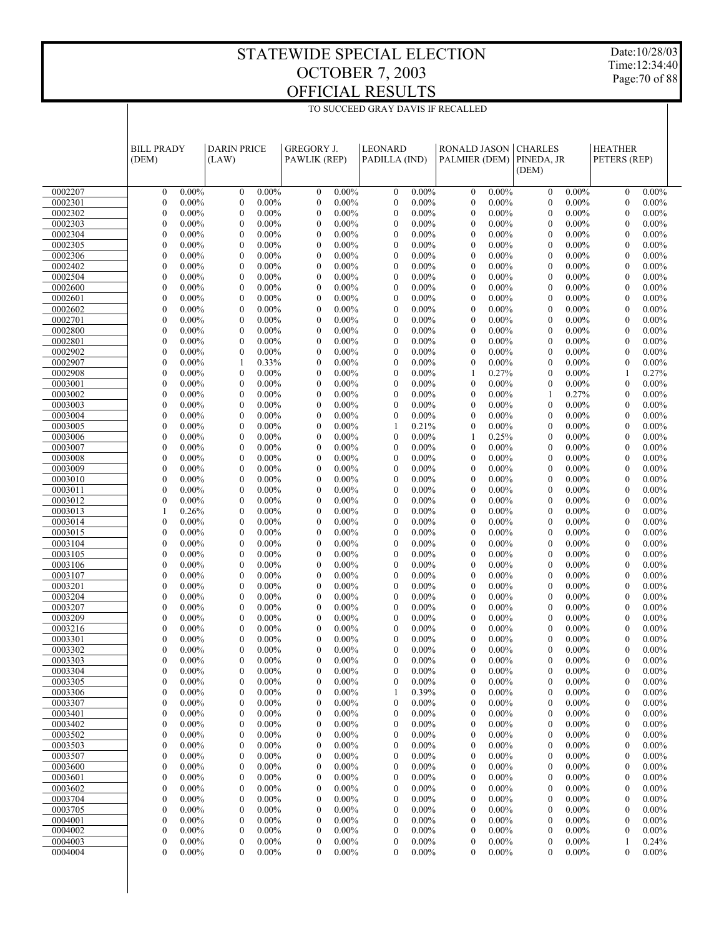Date:10/28/03 Time:12:34:40 Page:70 of 88

|                    | <b>BILL PRADY</b><br>(DEM)                                   | <b>DARIN PRICE</b><br>(LAW)                                  | <b>GREGORY J.</b><br>PAWLIK (REP)                            | <b>LEONARD</b><br>PADILLA (IND)                            | <b>RONALD JASON</b><br>PALMIER (DEM)                         | <b>CHARLES</b><br>PINEDA, JR<br>(DEM)                        | <b>HEATHER</b><br>PETERS (REP)                               |  |
|--------------------|--------------------------------------------------------------|--------------------------------------------------------------|--------------------------------------------------------------|------------------------------------------------------------|--------------------------------------------------------------|--------------------------------------------------------------|--------------------------------------------------------------|--|
| 0002207            | $0.00\%$<br>$\mathbf{0}$                                     | $0.00\%$<br>$\boldsymbol{0}$                                 | $0.00\%$<br>$\boldsymbol{0}$                                 | $0.00\%$<br>$\boldsymbol{0}$                               | $0.00\%$<br>$\boldsymbol{0}$                                 | $0.00\%$<br>$\boldsymbol{0}$                                 | $0.00\%$<br>$\boldsymbol{0}$                                 |  |
| 0002301            | $\mathbf{0}$<br>$0.00\%$                                     | $\boldsymbol{0}$<br>$0.00\%$                                 | $\boldsymbol{0}$<br>$0.00\%$                                 | $\boldsymbol{0}$<br>$0.00\%$                               | $\boldsymbol{0}$<br>$0.00\%$                                 | $0.00\%$<br>$\mathbf{0}$                                     | $\boldsymbol{0}$<br>$0.00\%$                                 |  |
| 0002302            | $\overline{0}$<br>$0.00\%$                                   | $\overline{0}$<br>$0.00\%$                                   | $\mathbf{0}$<br>$0.00\%$                                     | $\mathbf{0}$<br>$0.00\%$                                   | $\boldsymbol{0}$<br>$0.00\%$                                 | $\mathbf{0}$<br>$0.00\%$                                     | $\mathbf{0}$<br>$0.00\%$                                     |  |
| 0002303            | $\overline{0}$<br>$0.00\%$                                   | $\mathbf{0}$<br>$0.00\%$                                     | $\boldsymbol{0}$<br>$0.00\%$                                 | $\boldsymbol{0}$<br>$0.00\%$                               | $\mathbf{0}$<br>$0.00\%$                                     | $\mathbf{0}$<br>$0.00\%$                                     | $\boldsymbol{0}$<br>$0.00\%$                                 |  |
| 0002304            | $\overline{0}$<br>$0.00\%$                                   | $\overline{0}$<br>$0.00\%$                                   | $\mathbf{0}$<br>$0.00\%$                                     | $\overline{0}$<br>$0.00\%$                                 | $\boldsymbol{0}$<br>$0.00\%$                                 | $\mathbf{0}$<br>$0.00\%$                                     | $\boldsymbol{0}$<br>$0.00\%$                                 |  |
| 0002305            | $\boldsymbol{0}$<br>$0.00\%$                                 | $\mathbf{0}$<br>$0.00\%$                                     | $\boldsymbol{0}$<br>$0.00\%$                                 | $\boldsymbol{0}$<br>$0.00\%$                               | $\mathbf{0}$<br>$0.00\%$                                     | $\mathbf{0}$<br>$0.00\%$                                     | $\boldsymbol{0}$<br>$0.00\%$                                 |  |
| 0002306            | $\overline{0}$<br>$0.00\%$                                   | $\overline{0}$<br>$0.00\%$                                   | $\overline{0}$<br>$0.00\%$                                   | $\overline{0}$<br>$0.00\%$                                 | $\boldsymbol{0}$<br>$0.00\%$                                 | $\mathbf{0}$<br>$0.00\%$                                     | $\mathbf{0}$<br>$0.00\%$                                     |  |
| 0002402<br>0002504 | $\mathbf{0}$<br>$0.00\%$<br>$\overline{0}$                   | $\boldsymbol{0}$<br>$0.00\%$<br>$\overline{0}$               | $\boldsymbol{0}$<br>$0.00\%$<br>$\mathbf{0}$                 | $\boldsymbol{0}$<br>$0.00\%$<br>$\overline{0}$             | $\mathbf{0}$<br>$0.00\%$<br>$0.00\%$                         | $\mathbf{0}$<br>$0.00\%$                                     | $\boldsymbol{0}$<br>$0.00\%$<br>$0.00\%$                     |  |
| 0002600            | $0.00\%$<br>$\boldsymbol{0}$<br>$0.00\%$                     | $0.00\%$<br>$\boldsymbol{0}$<br>$0.00\%$                     | $0.00\%$<br>$\boldsymbol{0}$<br>$0.00\%$                     | $0.00\%$<br>$\boldsymbol{0}$<br>$0.00\%$                   | $\boldsymbol{0}$<br>$\mathbf{0}$<br>$0.00\%$                 | $\mathbf{0}$<br>$0.00\%$<br>$\mathbf{0}$<br>$0.00\%$         | $\boldsymbol{0}$<br>$\boldsymbol{0}$<br>$0.00\%$             |  |
| 0002601            | $\overline{0}$<br>$0.00\%$                                   | $\overline{0}$<br>$0.00\%$                                   | $\overline{0}$<br>$0.00\%$                                   | $\overline{0}$<br>$0.00\%$                                 | $\boldsymbol{0}$<br>$0.00\%$                                 | $\mathbf{0}$<br>$0.00\%$                                     | $\mathbf{0}$<br>$0.00\%$                                     |  |
| 0002602            | $\mathbf{0}$<br>$0.00\%$                                     | $\mathbf{0}$<br>$0.00\%$                                     | $\boldsymbol{0}$<br>$0.00\%$                                 | $\boldsymbol{0}$<br>$0.00\%$                               | $\mathbf{0}$<br>$0.00\%$                                     | $\mathbf{0}$<br>$0.00\%$                                     | $\boldsymbol{0}$<br>$0.00\%$                                 |  |
| 0002701            | $\overline{0}$<br>$0.00\%$                                   | $\overline{0}$<br>$0.00\%$                                   | $\mathbf{0}$<br>$0.00\%$                                     | $\overline{0}$<br>$0.00\%$                                 | $\boldsymbol{0}$<br>$0.00\%$                                 | $\mathbf{0}$<br>$0.00\%$                                     | $\boldsymbol{0}$<br>$0.00\%$                                 |  |
| 0002800            | $\mathbf{0}$<br>$0.00\%$                                     | $\mathbf{0}$<br>$0.00\%$                                     | $\boldsymbol{0}$<br>$0.00\%$                                 | $\boldsymbol{0}$<br>$0.00\%$                               | $\mathbf{0}$<br>$0.00\%$                                     | $\mathbf{0}$<br>$0.00\%$                                     | $\boldsymbol{0}$<br>$0.00\%$                                 |  |
| 0002801            | $\mathbf{0}$<br>$0.00\%$                                     | $\mathbf{0}$<br>$0.00\%$                                     | $\mathbf{0}$<br>$0.00\%$                                     | $\overline{0}$<br>$0.00\%$                                 | $\boldsymbol{0}$<br>$0.00\%$                                 | $\mathbf{0}$<br>$0.00\%$                                     | $\mathbf{0}$<br>$0.00\%$                                     |  |
| 0002902            | $\mathbf{0}$<br>$0.00\%$                                     | $\mathbf{0}$<br>$0.00\%$                                     | $\boldsymbol{0}$<br>$0.00\%$                                 | $\boldsymbol{0}$<br>$0.00\%$                               | $\mathbf{0}$<br>$0.00\%$                                     | $\mathbf{0}$<br>$0.00\%$                                     | $\boldsymbol{0}$<br>$0.00\%$                                 |  |
| 0002907            | $\mathbf{0}$<br>$0.00\%$                                     | $\mathbf{1}$<br>0.33%                                        | $\mathbf{0}$<br>$0.00\%$                                     | $\overline{0}$<br>$0.00\%$                                 | $\boldsymbol{0}$<br>$0.00\%$                                 | $\mathbf{0}$<br>$0.00\%$                                     | $\boldsymbol{0}$<br>$0.00\%$                                 |  |
| 0002908            | $\boldsymbol{0}$<br>$0.00\%$<br>$\mathbf{0}$                 | $\boldsymbol{0}$<br>$0.00\%$<br>$\mathbf{0}$                 | $\boldsymbol{0}$<br>$0.00\%$<br>$\mathbf{0}$                 | $\boldsymbol{0}$<br>$0.00\%$<br>$\overline{0}$             | 0.27%<br>1                                                   | $\mathbf{0}$<br>$0.00\%$                                     | 0.27%<br>1                                                   |  |
| 0003001<br>0003002 | $0.00\%$<br>$\mathbf{0}$<br>$0.00\%$                         | $0.00\%$<br>$\mathbf{0}$<br>$0.00\%$                         | $0.00\%$<br>$\boldsymbol{0}$<br>$0.00\%$                     | $0.00\%$<br>$\boldsymbol{0}$<br>$0.00\%$                   | $\boldsymbol{0}$<br>$0.00\%$<br>$\mathbf{0}$<br>$0.00\%$     | $\mathbf{0}$<br>$0.00\%$<br>0.27%<br>$\mathbf{1}$            | $\boldsymbol{0}$<br>$0.00\%$<br>$\boldsymbol{0}$<br>$0.00\%$ |  |
| 0003003            | $\mathbf{0}$<br>$0.00\%$                                     | $\mathbf{0}$<br>$0.00\%$                                     | $\mathbf{0}$<br>$0.00\%$                                     | $\mathbf{0}$<br>$0.00\%$                                   | $\boldsymbol{0}$<br>$0.00\%$                                 | $\mathbf{0}$<br>$0.00\%$                                     | $\boldsymbol{0}$<br>$0.00\%$                                 |  |
| 0003004            | $\mathbf{0}$<br>$0.00\%$                                     | $\mathbf{0}$<br>$0.00\%$                                     | $\boldsymbol{0}$<br>$0.00\%$                                 | $\mathbf{0}$<br>$0.00\%$                                   | $\mathbf{0}$<br>$0.00\%$                                     | $\mathbf{0}$<br>$0.00\%$                                     | $\boldsymbol{0}$<br>$0.00\%$                                 |  |
| 0003005            | $\mathbf{0}$<br>$0.00\%$                                     | $\mathbf{0}$<br>$0.00\%$                                     | $\mathbf{0}$<br>$0.00\%$                                     | 0.21%<br>1                                                 | $\boldsymbol{0}$<br>$0.00\%$                                 | $\mathbf{0}$<br>$0.00\%$                                     | $\mathbf{0}$<br>$0.00\%$                                     |  |
| 0003006            | $\mathbf{0}$<br>$0.00\%$                                     | $\boldsymbol{0}$<br>$0.00\%$                                 | $\boldsymbol{0}$<br>$0.00\%$                                 | $\boldsymbol{0}$<br>$0.00\%$                               | 0.25%<br>1                                                   | $\mathbf{0}$<br>$0.00\%$                                     | $\boldsymbol{0}$<br>$0.00\%$                                 |  |
| 0003007            | $\mathbf{0}$<br>$0.00\%$                                     | $\mathbf{0}$<br>$0.00\%$                                     | $\mathbf{0}$<br>$0.00\%$                                     | $\mathbf{0}$<br>$0.00\%$                                   | $\boldsymbol{0}$<br>$0.00\%$                                 | $\mathbf{0}$<br>$0.00\%$                                     | $\boldsymbol{0}$<br>$0.00\%$                                 |  |
| 0003008            | $\boldsymbol{0}$<br>$0.00\%$                                 | $\boldsymbol{0}$<br>$0.00\%$                                 | $\boldsymbol{0}$<br>$0.00\%$                                 | $\boldsymbol{0}$<br>$0.00\%$                               | $\mathbf{0}$<br>$0.00\%$                                     | $\mathbf{0}$<br>$0.00\%$                                     | $\boldsymbol{0}$<br>$0.00\%$                                 |  |
| 0003009            | $\mathbf{0}$<br>$0.00\%$                                     | $\mathbf{0}$<br>$0.00\%$                                     | $\mathbf{0}$<br>$0.00\%$                                     | $\overline{0}$<br>$0.00\%$                                 | $\boldsymbol{0}$<br>$0.00\%$                                 | $\mathbf{0}$<br>$0.00\%$                                     | $\mathbf{0}$<br>$0.00\%$                                     |  |
| 0003010            | $\mathbf{0}$<br>$0.00\%$                                     | $\boldsymbol{0}$<br>$0.00\%$                                 | $\boldsymbol{0}$<br>$0.00\%$                                 | $\boldsymbol{0}$<br>$0.00\%$                               | $\mathbf{0}$<br>$0.00\%$                                     | $\mathbf{0}$<br>$0.00\%$                                     | $\boldsymbol{0}$<br>$0.00\%$                                 |  |
| 0003011            | $\mathbf{0}$<br>$0.00\%$<br>$\mathbf{0}$                     | $\mathbf{0}$<br>$0.00\%$                                     | $\mathbf{0}$<br>$0.00\%$                                     | $\overline{0}$<br>$0.00\%$                                 | $\boldsymbol{0}$<br>$0.00\%$                                 | $\mathbf{0}$<br>$0.00\%$                                     | $\boldsymbol{0}$<br>$0.00\%$                                 |  |
| 0003012<br>0003013 | $0.00\%$<br>$\mathbf{1}$<br>0.26%                            | $\mathbf{0}$<br>$0.00\%$<br>$\mathbf{0}$<br>$0.00\%$         | $\boldsymbol{0}$<br>$0.00\%$<br>$\mathbf{0}$<br>$0.00\%$     | $\boldsymbol{0}$<br>$0.00\%$<br>$\overline{0}$<br>$0.00\%$ | $\mathbf{0}$<br>$0.00\%$<br>$\boldsymbol{0}$<br>$0.00\%$     | $\mathbf{0}$<br>$0.00\%$<br>$\mathbf{0}$<br>$0.00\%$         | $\boldsymbol{0}$<br>$0.00\%$<br>$\mathbf{0}$<br>$0.00\%$     |  |
| 0003014            | $\mathbf{0}$<br>$0.00\%$                                     | $\boldsymbol{0}$<br>$0.00\%$                                 | $\boldsymbol{0}$<br>$0.00\%$                                 | $\boldsymbol{0}$<br>$0.00\%$                               | $\mathbf{0}$<br>$0.00\%$                                     | $\mathbf{0}$<br>$0.00\%$                                     | $\boldsymbol{0}$<br>$0.00\%$                                 |  |
| 0003015            | $\mathbf{0}$<br>$0.00\%$                                     | $\mathbf{0}$<br>$0.00\%$                                     | $\mathbf{0}$<br>$0.00\%$                                     | $\overline{0}$<br>$0.00\%$                                 | $\boldsymbol{0}$<br>$0.00\%$                                 | $\mathbf{0}$<br>$0.00\%$                                     | $\boldsymbol{0}$<br>$0.00\%$                                 |  |
| 0003104            | $\boldsymbol{0}$<br>$0.00\%$                                 | $\boldsymbol{0}$<br>$0.00\%$                                 | $\boldsymbol{0}$<br>$0.00\%$                                 | $\boldsymbol{0}$<br>$0.00\%$                               | $\mathbf{0}$<br>$0.00\%$                                     | $\mathbf{0}$<br>$0.00\%$                                     | $\boldsymbol{0}$<br>$0.00\%$                                 |  |
| 0003105            | $\mathbf{0}$<br>$0.00\%$                                     | $\mathbf{0}$<br>$0.00\%$                                     | $\mathbf{0}$<br>$0.00\%$                                     | $\overline{0}$<br>$0.00\%$                                 | $\boldsymbol{0}$<br>$0.00\%$                                 | $\mathbf{0}$<br>$0.00\%$                                     | $\boldsymbol{0}$<br>$0.00\%$                                 |  |
| 0003106            | $\mathbf{0}$<br>$0.00\%$                                     | $\boldsymbol{0}$<br>$0.00\%$                                 | $\boldsymbol{0}$<br>$0.00\%$                                 | $\boldsymbol{0}$<br>$0.00\%$                               | $\mathbf{0}$<br>$0.00\%$                                     | $\mathbf{0}$<br>$0.00\%$                                     | $\boldsymbol{0}$<br>$0.00\%$                                 |  |
| 0003107            | $\overline{0}$<br>$0.00\%$                                   | $\overline{0}$<br>$0.00\%$                                   | $\mathbf{0}$<br>$0.00\%$                                     | $\overline{0}$<br>$0.00\%$                                 | $\boldsymbol{0}$<br>$0.00\%$                                 | $\mathbf{0}$<br>$0.00\%$                                     | $\boldsymbol{0}$<br>$0.00\%$                                 |  |
| 0003201            | $\mathbf{0}$<br>$0.00\%$                                     | $\mathbf{0}$<br>$0.00\%$                                     | $\boldsymbol{0}$<br>$0.00\%$                                 | $\boldsymbol{0}$<br>$0.00\%$                               | $\mathbf{0}$<br>$0.00\%$                                     | $\mathbf{0}$<br>$0.00\%$                                     | $\boldsymbol{0}$<br>$0.00\%$                                 |  |
| 0003204<br>0003207 | $\overline{0}$<br>$0.00\%$<br>$\boldsymbol{0}$<br>$0.00\%$   | $\overline{0}$<br>$0.00\%$<br>$\boldsymbol{0}$               | $\overline{0}$<br>$0.00\%$<br>$\boldsymbol{0}$<br>$0.00\%$   | $\overline{0}$<br>$0.00\%$<br>$\boldsymbol{0}$<br>$0.00\%$ | $\boldsymbol{0}$<br>$0.00\%$<br>$\mathbf{0}$<br>$0.00\%$     | $\mathbf{0}$<br>$0.00\%$<br>$\mathbf{0}$<br>$0.00\%$         | $\mathbf{0}$<br>$0.00\%$<br>$\boldsymbol{0}$<br>$0.00\%$     |  |
| 0003209            | $\mathbf{0}$<br>$0.00\%$                                     | $0.00\%$<br>$\overline{0}$<br>$0.00\%$                       | $\mathbf{0}$<br>$0.00\%$                                     | $\overline{0}$<br>$0.00\%$                                 | $\boldsymbol{0}$<br>$0.00\%$                                 | $\mathbf{0}$<br>$0.00\%$                                     | $\boldsymbol{0}$<br>$0.00\%$                                 |  |
| 0003216            | $\mathbf{0}$<br>$0.00\%$                                     | $\mathbf{0}$<br>$0.00\%$                                     | $\mathbf{0}$<br>$0.00\%$                                     | $\overline{0}$<br>$0.00\%$                                 | $\mathbf{0}$<br>$0.00\%$                                     | $\mathbf{0}$<br>$0.00\%$                                     | $\boldsymbol{0}$<br>$0.00\%$                                 |  |
| 0003301            | $\theta$<br>$0.00\%$                                         | $\theta$<br>$0.00\%$                                         | $\theta$<br>$0.00\%$                                         | $\theta$<br>$0.00\%$                                       | $\mathbf{0}$<br>$0.00\%$                                     | $\mathbf{0}$<br>$0.00\%$                                     | $\mathbf{0}$<br>$0.00\%$                                     |  |
| 0003302            | $\mathbf{0}$<br>$0.00\%$                                     | $\overline{0}$<br>$0.00\%$                                   | $\mathbf{0}$<br>$0.00\%$                                     | $\mathbf{0}$<br>$0.00\%$                                   | $\boldsymbol{0}$<br>$0.00\%$                                 | $\boldsymbol{0}$<br>$0.00\%$                                 | $\boldsymbol{0}$<br>$0.00\%$                                 |  |
| 0003303            | $\mathbf{0}$<br>$0.00\%$                                     | $\boldsymbol{0}$<br>$0.00\%$                                 | $\overline{0}$<br>$0.00\%$                                   | $\boldsymbol{0}$<br>$0.00\%$                               | $\boldsymbol{0}$<br>$0.00\%$                                 | $\boldsymbol{0}$<br>$0.00\%$                                 | $\mathbf{0}$<br>$0.00\%$                                     |  |
| 0003304            | $\boldsymbol{0}$<br>$0.00\%$                                 | $\boldsymbol{0}$<br>$0.00\%$                                 | $\boldsymbol{0}$<br>$0.00\%$                                 | $\boldsymbol{0}$<br>$0.00\%$                               | $\boldsymbol{0}$<br>$0.00\%$                                 | $\boldsymbol{0}$<br>$0.00\%$                                 | $0.00\%$<br>$\boldsymbol{0}$                                 |  |
| 0003305            | $\mathbf{0}$<br>$0.00\%$                                     | $\boldsymbol{0}$<br>$0.00\%$                                 | $\boldsymbol{0}$<br>$0.00\%$                                 | $\boldsymbol{0}$<br>$0.00\%$                               | $\boldsymbol{0}$<br>$0.00\%$                                 | $\boldsymbol{0}$<br>$0.00\%$                                 | $\boldsymbol{0}$<br>$0.00\%$                                 |  |
| 0003306            | $\boldsymbol{0}$<br>$0.00\%$                                 | $\boldsymbol{0}$<br>$0.00\%$                                 | $\boldsymbol{0}$<br>$0.00\%$                                 | 0.39%<br>-1                                                | $\boldsymbol{0}$<br>$0.00\%$                                 | $\boldsymbol{0}$<br>$0.00\%$                                 | $\boldsymbol{0}$<br>$0.00\%$                                 |  |
| 0003307            | $\boldsymbol{0}$<br>$0.00\%$<br>$\boldsymbol{0}$             | $\boldsymbol{0}$<br>$0.00\%$                                 | $\boldsymbol{0}$<br>$0.00\%$                                 | $\boldsymbol{0}$<br>$0.00\%$                               | $\boldsymbol{0}$<br>$0.00\%$                                 | $\boldsymbol{0}$<br>$0.00\%$                                 | $\boldsymbol{0}$<br>$0.00\%$<br>$0.00\%$                     |  |
| 0003401<br>0003402 | $0.00\%$<br>$\boldsymbol{0}$<br>$0.00\%$                     | $0.00\%$<br>0<br>$\boldsymbol{0}$<br>$0.00\%$                | $\boldsymbol{0}$<br>$0.00\%$<br>$\boldsymbol{0}$<br>$0.00\%$ | $0.00\%$<br>0<br>$\boldsymbol{0}$<br>$0.00\%$              | $\boldsymbol{0}$<br>$0.00\%$<br>$\boldsymbol{0}$<br>$0.00\%$ | $0.00\%$<br>$\boldsymbol{0}$<br>$\boldsymbol{0}$<br>$0.00\%$ | $\boldsymbol{0}$<br>$\boldsymbol{0}$<br>$0.00\%$             |  |
| 0003502            | $\boldsymbol{0}$<br>$0.00\%$                                 | $\boldsymbol{0}$<br>$0.00\%$                                 | $\boldsymbol{0}$<br>$0.00\%$                                 | $0.00\%$<br>0                                              | $\boldsymbol{0}$<br>$0.00\%$                                 | $0.00\%$<br>$\boldsymbol{0}$                                 | $0.00\%$<br>$\boldsymbol{0}$                                 |  |
| 0003503            | $\boldsymbol{0}$<br>$0.00\%$                                 | $\boldsymbol{0}$<br>$0.00\%$                                 | $\boldsymbol{0}$<br>$0.00\%$                                 | $\boldsymbol{0}$<br>$0.00\%$                               | $\boldsymbol{0}$<br>$0.00\%$                                 | $\boldsymbol{0}$<br>$0.00\%$                                 | $\boldsymbol{0}$<br>$0.00\%$                                 |  |
| 0003507            | $\boldsymbol{0}$<br>$0.00\%$                                 | $\boldsymbol{0}$<br>$0.00\%$                                 | $\boldsymbol{0}$<br>$0.00\%$                                 | $0.00\%$<br>0                                              | $\boldsymbol{0}$<br>$0.00\%$                                 | $0.00\%$<br>$\boldsymbol{0}$                                 | $\boldsymbol{0}$<br>$0.00\%$                                 |  |
| 0003600            | $\boldsymbol{0}$<br>$0.00\%$                                 | $\boldsymbol{0}$<br>$0.00\%$                                 | $\boldsymbol{0}$<br>$0.00\%$                                 | $\boldsymbol{0}$<br>$0.00\%$                               | $\boldsymbol{0}$<br>$0.00\%$                                 | $\boldsymbol{0}$<br>$0.00\%$                                 | $\boldsymbol{0}$<br>$0.00\%$                                 |  |
| 0003601            | $\boldsymbol{0}$<br>$0.00\%$                                 | $\boldsymbol{0}$<br>$0.00\%$                                 | $\boldsymbol{0}$<br>$0.00\%$                                 | $\boldsymbol{0}$<br>$0.00\%$                               | $\boldsymbol{0}$<br>$0.00\%$                                 | $\boldsymbol{0}$<br>$0.00\%$                                 | $0.00\%$<br>$\boldsymbol{0}$                                 |  |
| 0003602            | $\boldsymbol{0}$<br>$0.00\%$                                 | $\boldsymbol{0}$<br>$0.00\%$                                 | $\boldsymbol{0}$<br>$0.00\%$                                 | $\boldsymbol{0}$<br>$0.00\%$                               | $\boldsymbol{0}$<br>$0.00\%$                                 | $\boldsymbol{0}$<br>$0.00\%$                                 | $\boldsymbol{0}$<br>$0.00\%$                                 |  |
| 0003704            | $\boldsymbol{0}$<br>$0.00\%$                                 | $0.00\%$<br>0                                                | $\boldsymbol{0}$<br>$0.00\%$                                 | $0.00\%$<br>0                                              | $\boldsymbol{0}$<br>$0.00\%$                                 | $0.00\%$<br>$\boldsymbol{0}$                                 | $\boldsymbol{0}$<br>$0.00\%$                                 |  |
| 0003705            | $\boldsymbol{0}$<br>$0.00\%$                                 | $\boldsymbol{0}$<br>$0.00\%$                                 | $\boldsymbol{0}$<br>$0.00\%$                                 | $\boldsymbol{0}$<br>$0.00\%$                               | $\boldsymbol{0}$<br>$0.00\%$                                 | $\boldsymbol{0}$<br>$0.00\%$                                 | $\boldsymbol{0}$<br>$0.00\%$                                 |  |
| 0004001<br>0004002 | $\boldsymbol{0}$<br>$0.00\%$<br>$\boldsymbol{0}$<br>$0.00\%$ | $\boldsymbol{0}$<br>$0.00\%$<br>$\boldsymbol{0}$<br>$0.00\%$ | $\boldsymbol{0}$<br>$0.00\%$<br>$\boldsymbol{0}$<br>$0.00\%$ | $0.00\%$<br>0<br>$\boldsymbol{0}$<br>$0.00\%$              | $\boldsymbol{0}$<br>$0.00\%$<br>$\boldsymbol{0}$<br>$0.00\%$ | $0.00\%$<br>$\boldsymbol{0}$<br>$\boldsymbol{0}$<br>$0.00\%$ | $\boldsymbol{0}$<br>$0.00\%$<br>$\boldsymbol{0}$<br>$0.00\%$ |  |
| 0004003            | $\boldsymbol{0}$<br>$0.00\%$                                 | $\boldsymbol{0}$<br>$0.00\%$                                 | $\boldsymbol{0}$<br>$0.00\%$                                 | $\boldsymbol{0}$<br>$0.00\%$                               | $\boldsymbol{0}$<br>$0.00\%$                                 | $\boldsymbol{0}$<br>$0.00\%$                                 | 0.24%<br>1                                                   |  |
| 0004004            | $\mathbf{0}$<br>$0.00\%$                                     | $\mathbf{0}$<br>$0.00\%$                                     | $\overline{0}$<br>$0.00\%$                                   | $\mathbf{0}$<br>$0.00\%$                                   | $\mathbf{0}$<br>$0.00\%$                                     | $\mathbf{0}$<br>$0.00\%$                                     | $\boldsymbol{0}$<br>$0.00\%$                                 |  |
|                    |                                                              |                                                              |                                                              |                                                            |                                                              |                                                              |                                                              |  |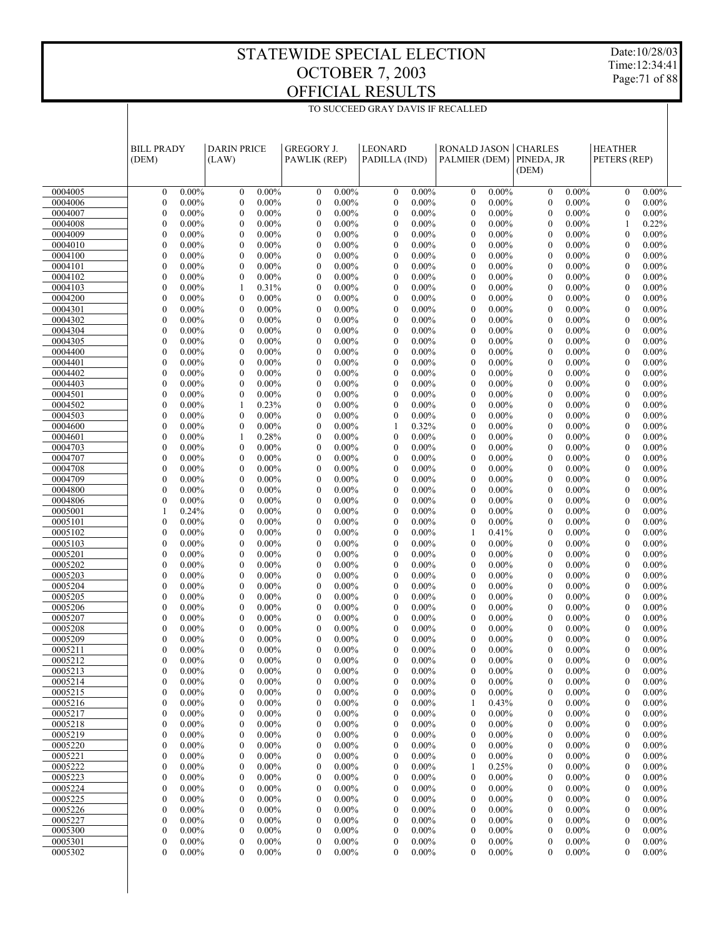Date:10/28/03 Time:12:34:41 Page:71 of 88

|                    | <b>BILL PRADY</b><br>(DEM)                               | <b>DARIN PRICE</b><br>(LAW)                                  | <b>GREGORY J.</b><br>PAWLIK (REP)                            | <b>LEONARD</b><br>PADILLA (IND)                              | <b>RONALD JASON</b><br>PALMIER (DEM)                       | <b>CHARLES</b><br>PINEDA, JR<br>(DEM)                    | <b>HEATHER</b><br>PETERS (REP)                           |  |
|--------------------|----------------------------------------------------------|--------------------------------------------------------------|--------------------------------------------------------------|--------------------------------------------------------------|------------------------------------------------------------|----------------------------------------------------------|----------------------------------------------------------|--|
| 0004005            | $0.00\%$<br>$\mathbf{0}$                                 | $0.00\%$<br>$\boldsymbol{0}$                                 | $0.00\%$<br>$\boldsymbol{0}$                                 | $0.00\%$<br>$\boldsymbol{0}$                                 | $\mathbf{0}$<br>$0.00\%$                                   | $\mathbf{0}$<br>$0.00\%$                                 | $\mathbf{0}$<br>$0.00\%$                                 |  |
| 0004006            | $\boldsymbol{0}$<br>$0.00\%$                             | $\boldsymbol{0}$<br>$0.00\%$                                 | $\boldsymbol{0}$<br>$0.00\%$                                 | $0.00\%$<br>$\boldsymbol{0}$                                 | $\mathbf{0}$<br>$0.00\%$                                   | $\theta$<br>$0.00\%$                                     | $\mathbf{0}$<br>$0.00\%$                                 |  |
| 0004007            | $\mathbf{0}$<br>$0.00\%$                                 | $\mathbf{0}$<br>$0.00\%$                                     | $\boldsymbol{0}$<br>$0.00\%$                                 | $\mathbf{0}$<br>$0.00\%$                                     | $\mathbf{0}$<br>$0.00\%$                                   | $\theta$<br>$0.00\%$                                     | $\mathbf{0}$<br>$0.00\%$                                 |  |
| 0004008            | $\mathbf{0}$<br>$0.00\%$                                 | $\boldsymbol{0}$<br>$0.00\%$                                 | $\boldsymbol{0}$<br>$0.00\%$                                 | $\boldsymbol{0}$<br>$0.00\%$                                 | $\mathbf{0}$<br>$0.00\%$                                   | $\theta$<br>$0.00\%$                                     | 0.22%<br>$\mathbf{1}$                                    |  |
| 0004009            | $\overline{0}$<br>$0.00\%$                               | $\mathbf{0}$<br>$0.00\%$                                     | $\boldsymbol{0}$<br>$0.00\%$                                 | $\boldsymbol{0}$<br>$0.00\%$                                 | $\boldsymbol{0}$<br>$0.00\%$                               | $\theta$<br>$0.00\%$                                     | $\mathbf{0}$<br>$0.00\%$                                 |  |
| 0004010            | $\boldsymbol{0}$<br>$0.00\%$                             | $\boldsymbol{0}$<br>$0.00\%$                                 | $\boldsymbol{0}$<br>$0.00\%$                                 | $\boldsymbol{0}$<br>$0.00\%$                                 | $\mathbf{0}$<br>$0.00\%$                                   | $\theta$<br>$0.00\%$                                     | $\boldsymbol{0}$<br>$0.00\%$                             |  |
| 0004100            | $\overline{0}$<br>$0.00\%$                               | $\mathbf{0}$<br>$0.00\%$                                     | $\boldsymbol{0}$<br>$0.00\%$                                 | $\mathbf{0}$<br>$0.00\%$                                     | $\mathbf{0}$<br>$0.00\%$                                   | $\theta$<br>$0.00\%$                                     | $\mathbf{0}$<br>$0.00\%$                                 |  |
| 0004101            | $\mathbf{0}$<br>$0.00\%$<br>$\mathbf{0}$<br>$0.00\%$     | $\boldsymbol{0}$<br>$0.00\%$                                 | $\boldsymbol{0}$<br>$0.00\%$<br>$0.00\%$                     | $\boldsymbol{0}$<br>$0.00\%$                                 | $\mathbf{0}$<br>$0.00\%$<br>$0.00\%$                       | $\theta$<br>$0.00\%$<br>$\theta$                         | $\boldsymbol{0}$<br>$0.00\%$<br>$\mathbf{0}$             |  |
| 0004102<br>0004103 | $\boldsymbol{0}$<br>$0.00\%$                             | $\boldsymbol{0}$<br>$0.00\%$<br>0.31%<br>1                   | $\boldsymbol{0}$<br>$\boldsymbol{0}$<br>$0.00\%$             | $\boldsymbol{0}$<br>$0.00\%$<br>$\boldsymbol{0}$<br>$0.00\%$ | $\boldsymbol{0}$<br>$\mathbf{0}$<br>0.00%                  | $0.00\%$<br>$\boldsymbol{0}$<br>$0.00\%$                 | $0.00\%$<br>$\boldsymbol{0}$<br>$0.00\%$                 |  |
| 0004200            | $\mathbf{0}$<br>$0.00\%$                                 | $\overline{0}$<br>$0.00\%$                                   | $\boldsymbol{0}$<br>$0.00\%$                                 | $\mathbf{0}$<br>$0.00\%$                                     | $\mathbf{0}$<br>0.00%                                      | $\theta$<br>$0.00\%$                                     | $\mathbf{0}$<br>$0.00\%$                                 |  |
| 0004301            | $\mathbf{0}$<br>$0.00\%$                                 | $\boldsymbol{0}$<br>$0.00\%$                                 | $\boldsymbol{0}$<br>$0.00\%$                                 | $\boldsymbol{0}$<br>$0.00\%$                                 | $\mathbf{0}$<br>0.00%                                      | $\boldsymbol{0}$<br>$0.00\%$                             | $\boldsymbol{0}$<br>$0.00\%$                             |  |
| 0004302            | $\mathbf{0}$<br>$0.00\%$                                 | $\mathbf{0}$<br>$0.00\%$                                     | $\boldsymbol{0}$<br>$0.00\%$                                 | $\boldsymbol{0}$<br>$0.00\%$                                 | $\boldsymbol{0}$<br>$0.00\%$                               | $\theta$<br>$0.00\%$                                     | $\mathbf{0}$<br>$0.00\%$                                 |  |
| 0004304            | $\boldsymbol{0}$<br>$0.00\%$                             | $\boldsymbol{0}$<br>$0.00\%$                                 | $\boldsymbol{0}$<br>$0.00\%$                                 | $\boldsymbol{0}$<br>$0.00\%$                                 | $\mathbf{0}$<br>0.00%                                      | $\boldsymbol{0}$<br>$0.00\%$                             | $\boldsymbol{0}$<br>$0.00\%$                             |  |
| 0004305            | $\overline{0}$<br>$0.00\%$                               | $\mathbf{0}$<br>$0.00\%$                                     | $\boldsymbol{0}$<br>$0.00\%$                                 | $\mathbf{0}$<br>$0.00\%$                                     | $\boldsymbol{0}$<br>$0.00\%$                               | $\theta$<br>$0.00\%$                                     | $\mathbf{0}$<br>$0.00\%$                                 |  |
| 0004400            | $\mathbf{0}$<br>$0.00\%$                                 | $\boldsymbol{0}$<br>$0.00\%$                                 | $\boldsymbol{0}$<br>$0.00\%$                                 | $\boldsymbol{0}$<br>$0.00\%$                                 | $\mathbf{0}$<br>$0.00\%$                                   | $\theta$<br>$0.00\%$                                     | $\boldsymbol{0}$<br>$0.00\%$                             |  |
| 0004401            | $\mathbf{0}$<br>$0.00\%$                                 | $\mathbf{0}$<br>$0.00\%$                                     | $\boldsymbol{0}$<br>$0.00\%$                                 | $\boldsymbol{0}$<br>$0.00\%$                                 | $\boldsymbol{0}$<br>$0.00\%$                               | $\theta$<br>$0.00\%$                                     | $\mathbf{0}$<br>$0.00\%$                                 |  |
| 0004402            | $\boldsymbol{0}$<br>$0.00\%$                             | $\boldsymbol{0}$<br>$0.00\%$                                 | $\boldsymbol{0}$<br>$0.00\%$                                 | $\boldsymbol{0}$<br>$0.00\%$                                 | $\mathbf{0}$<br>$0.00\%$                                   | $\boldsymbol{0}$<br>$0.00\%$                             | $\boldsymbol{0}$<br>$0.00\%$                             |  |
| 0004403<br>0004501 | $\mathbf{0}$<br>$0.00\%$<br>$\mathbf{0}$<br>$0.00\%$     | $\mathbf{0}$<br>$0.00\%$<br>$\boldsymbol{0}$                 | $\boldsymbol{0}$<br>$0.00\%$<br>$\boldsymbol{0}$<br>$0.00\%$ | $\mathbf{0}$<br>$0.00\%$<br>$\boldsymbol{0}$<br>$0.00\%$     | $\mathbf{0}$<br>$0.00\%$<br>$\mathbf{0}$<br>$0.00\%$       | $\theta$<br>$0.00\%$<br>$\boldsymbol{0}$                 | $\mathbf{0}$<br>$0.00\%$<br>$\boldsymbol{0}$<br>$0.00\%$ |  |
| 0004502            | $\mathbf{0}$<br>$0.00\%$                                 | $0.00\%$<br>1<br>0.23%                                       | $\boldsymbol{0}$<br>$0.00\%$                                 | $\boldsymbol{0}$<br>$0.00\%$                                 | $\mathbf{0}$<br>$0.00\%$                                   | $0.00\%$<br>$\theta$<br>$0.00\%$                         | $\mathbf{0}$<br>$0.00\%$                                 |  |
| 0004503            | $\boldsymbol{0}$<br>$0.00\%$                             | $\boldsymbol{0}$<br>$0.00\%$                                 | $\boldsymbol{0}$<br>$0.00\%$                                 | $\boldsymbol{0}$<br>$0.00\%$                                 | $\mathbf{0}$<br>$0.00\%$                                   | $\boldsymbol{0}$<br>$0.00\%$                             | $\boldsymbol{0}$<br>$0.00\%$                             |  |
| 0004600            | $\mathbf{0}$<br>$0.00\%$                                 | $\boldsymbol{0}$<br>$0.00\%$                                 | $\boldsymbol{0}$<br>$0.00\%$                                 | 0.32%<br>1                                                   | $\mathbf{0}$<br>$0.00\%$                                   | $\theta$<br>$0.00\%$                                     | $\mathbf{0}$<br>$0.00\%$                                 |  |
| 0004601            | $\mathbf{0}$<br>$0.00\%$                                 | 0.28%<br>1                                                   | $\boldsymbol{0}$<br>$0.00\%$                                 | $\boldsymbol{0}$<br>$0.00\%$                                 | $\mathbf{0}$<br>$0.00\%$                                   | $\boldsymbol{0}$<br>$0.00\%$                             | $\boldsymbol{0}$<br>$0.00\%$                             |  |
| 0004703            | $\overline{0}$<br>$0.00\%$                               | $\mathbf{0}$<br>$0.00\%$                                     | $\boldsymbol{0}$<br>$0.00\%$                                 | $\boldsymbol{0}$<br>$0.00\%$                                 | $\boldsymbol{0}$<br>$0.00\%$                               | $\theta$<br>$0.00\%$                                     | $\mathbf{0}$<br>$0.00\%$                                 |  |
| 0004707            | $\boldsymbol{0}$<br>$0.00\%$                             | $\boldsymbol{0}$<br>$0.00\%$                                 | $\boldsymbol{0}$<br>$0.00\%$                                 | $\boldsymbol{0}$<br>$0.00\%$                                 | $\mathbf{0}$<br>$0.00\%$                                   | $\theta$<br>$0.00\%$                                     | $\mathbf{0}$<br>$0.00\%$                                 |  |
| 0004708            | $\overline{0}$<br>$0.00\%$                               | $\mathbf{0}$<br>$0.00\%$                                     | $\boldsymbol{0}$<br>$0.00\%$                                 | $\mathbf{0}$<br>$0.00\%$                                     | $\mathbf{0}$<br>$0.00\%$                                   | $\theta$<br>$0.00\%$                                     | $\mathbf{0}$<br>$0.00\%$                                 |  |
| 0004709            | $\mathbf{0}$<br>$0.00\%$                                 | $\boldsymbol{0}$<br>$0.00\%$                                 | $\boldsymbol{0}$<br>$0.00\%$                                 | $\boldsymbol{0}$<br>$0.00\%$                                 | $\mathbf{0}$<br>$0.00\%$                                   | $\theta$<br>$0.00\%$                                     | $\boldsymbol{0}$<br>$0.00\%$                             |  |
| 0004800            | $\overline{0}$<br>$0.00\%$                               | $\mathbf{0}$<br>$0.00\%$                                     | $\boldsymbol{0}$<br>$0.00\%$                                 | $\boldsymbol{0}$<br>$0.00\%$                                 | $\boldsymbol{0}$<br>$0.00\%$                               | $\theta$<br>$0.00\%$                                     | $\mathbf{0}$<br>$0.00\%$                                 |  |
| 0004806            | $\mathbf{0}$<br>$0.00\%$<br>$\mathbf{1}$                 | $\boldsymbol{0}$<br>$0.00\%$<br>$\mathbf{0}$                 | $\boldsymbol{0}$<br>$0.00\%$<br>$0.00\%$                     | $\boldsymbol{0}$<br>$0.00\%$<br>$\mathbf{0}$                 | $\mathbf{0}$<br>$0.00\%$<br>$\mathbf{0}$<br>$0.00\%$       | $\boldsymbol{0}$<br>$0.00\%$<br>$\theta$                 | $\boldsymbol{0}$<br>$0.00\%$<br>$\mathbf{0}$             |  |
| 0005001<br>0005101 | 0.24%<br>$\mathbf{0}$<br>$0.00\%$                        | $0.00\%$<br>$\boldsymbol{0}$<br>$0.00\%$                     | $\boldsymbol{0}$<br>$\boldsymbol{0}$<br>$0.00\%$             | $0.00\%$<br>$\boldsymbol{0}$<br>$0.00\%$                     | $\mathbf{0}$<br>0.00%                                      | $0.00\%$<br>$\boldsymbol{0}$<br>$0.00\%$                 | $0.00\%$<br>$\boldsymbol{0}$<br>$0.00\%$                 |  |
| 0005102            | $\mathbf{0}$<br>$0.00\%$                                 | $\boldsymbol{0}$<br>$0.00\%$                                 | $\boldsymbol{0}$<br>$0.00\%$                                 | $\boldsymbol{0}$<br>$0.00\%$                                 | $\mathbf{1}$<br>0.41%                                      | $\theta$<br>$0.00\%$                                     | $\mathbf{0}$<br>$0.00\%$                                 |  |
| 0005103            | $\boldsymbol{0}$<br>$0.00\%$                             | $\boldsymbol{0}$<br>$0.00\%$                                 | $\boldsymbol{0}$<br>$0.00\%$                                 | $\boldsymbol{0}$<br>$0.00\%$                                 | $\mathbf{0}$<br>0.00%                                      | $\theta$<br>$0.00\%$                                     | $\boldsymbol{0}$<br>$0.00\%$                             |  |
| 0005201            | $\overline{0}$<br>$0.00\%$                               | $\mathbf{0}$<br>$0.00\%$                                     | $\boldsymbol{0}$<br>$0.00\%$                                 | $\mathbf{0}$<br>$0.00\%$                                     | $\mathbf{0}$<br>$0.00\%$                                   | $\theta$<br>$0.00\%$                                     | $\mathbf{0}$<br>$0.00\%$                                 |  |
| 0005202            | $\mathbf{0}$<br>$0.00\%$                                 | $\boldsymbol{0}$<br>$0.00\%$                                 | $\boldsymbol{0}$<br>$0.00\%$                                 | $\boldsymbol{0}$<br>$0.00\%$                                 | $\mathbf{0}$<br>0.00%                                      | $\theta$<br>$0.00\%$                                     | $\boldsymbol{0}$<br>$0.00\%$                             |  |
| 0005203            | $\overline{0}$<br>$0.00\%$                               | $\mathbf{0}$<br>$0.00\%$                                     | $\boldsymbol{0}$<br>$0.00\%$                                 | $\boldsymbol{0}$<br>$0.00\%$                                 | $\boldsymbol{0}$<br>$0.00\%$                               | $\theta$<br>$0.00\%$                                     | $\mathbf{0}$<br>$0.00\%$                                 |  |
| 0005204            | $\boldsymbol{0}$<br>$0.00\%$                             | $\boldsymbol{0}$<br>$0.00\%$                                 | $\boldsymbol{0}$<br>$0.00\%$                                 | $\boldsymbol{0}$<br>$0.00\%$                                 | $\mathbf{0}$<br>$0.00\%$                                   | $\theta$<br>$0.00\%$                                     | $\boldsymbol{0}$<br>$0.00\%$                             |  |
| 0005205            | $\overline{0}$<br>$0.00\%$                               | $\mathbf{0}$<br>$0.00\%$                                     | $\boldsymbol{0}$<br>$0.00\%$                                 | $\mathbf{0}$<br>$0.00\%$                                     | $\mathbf{0}$<br>$0.00\%$                                   | $\theta$<br>$0.00\%$                                     | $\mathbf{0}$<br>$0.00\%$                                 |  |
| 0005206            | $\boldsymbol{0}$<br>$0.00\%$                             | $\boldsymbol{0}$<br>$0.00\%$                                 | $\boldsymbol{0}$<br>$0.00\%$                                 | $\boldsymbol{0}$<br>$0.00\%$                                 | $\mathbf{0}$<br>$0.00\%$                                   | $\boldsymbol{0}$<br>$0.00\%$                             | $\boldsymbol{0}$<br>$0.00\%$                             |  |
| 0005207<br>0005208 | $\mathbf{0}$<br>$0.00\%$<br>$\mathbf{0}$<br>$0.00\%$     | $\boldsymbol{0}$<br>$0.00\%$<br>$\boldsymbol{0}$<br>$0.00\%$ | $\boldsymbol{0}$<br>$0.00\%$<br>$\boldsymbol{0}$<br>$0.00\%$ | $\boldsymbol{0}$<br>$0.00\%$<br>$\boldsymbol{0}$<br>$0.00\%$ | $\mathbf{0}$<br>$0.00\%$<br>$\mathbf{0}$<br>$0.00\%$       | $\theta$<br>$0.00\%$<br>$\theta$<br>$0.00\%$             | $\mathbf{0}$<br>$0.00\%$<br>$\mathbf{0}$<br>$0.00\%$     |  |
| 0005209            | $\theta$<br>$0.00\%$                                     | $\mathbf{0}$<br>$0.00\%$                                     | $\mathbf{0}$<br>$0.00\%$                                     | $\mathbf{0}$<br>$0.00\%$                                     | $\mathbf{0}$<br>$0.00\%$                                   | $\theta$<br>$0.00\%$                                     | $\theta$<br>$0.00\%$                                     |  |
| 0005211            | $\mathbf{0}$<br>$0.00\%$                                 | $\mathbf{0}$<br>$0.00\%$                                     | $\boldsymbol{0}$<br>$0.00\%$                                 | $\mathbf{0}$<br>$0.00\%$                                     | $\boldsymbol{0}$<br>$0.00\%$                               | $\mathbf{0}$<br>$0.00\%$                                 | $\mathbf{0}$<br>$0.00\%$                                 |  |
| 0005212            | $\mathbf{0}$<br>$0.00\%$                                 | $\boldsymbol{0}$<br>$0.00\%$                                 | $0.00\%$<br>$\boldsymbol{0}$                                 | $\boldsymbol{0}$<br>$0.00\%$                                 | $\mathbf{0}$<br>$0.00\%$                                   | $\boldsymbol{0}$<br>$0.00\%$                             | $0.00\%$<br>$\mathbf{0}$                                 |  |
| 0005213            | $\boldsymbol{0}$<br>$0.00\%$                             | $0.00\%$<br>0                                                | $\boldsymbol{0}$<br>$0.00\%$                                 | $\boldsymbol{0}$<br>$0.00\%$                                 | $\boldsymbol{0}$<br>$0.00\%$                               | $0.00\%$<br>$\mathbf{0}$                                 | $0.00\%$<br>$\boldsymbol{0}$                             |  |
| 0005214            | $\mathbf{0}$<br>$0.00\%$                                 | $\boldsymbol{0}$<br>$0.00\%$                                 | $\boldsymbol{0}$<br>$0.00\%$                                 | $\boldsymbol{0}$<br>$0.00\%$                                 | $\boldsymbol{0}$<br>$0.00\%$                               | $\boldsymbol{0}$<br>$0.00\%$                             | $\boldsymbol{0}$<br>$0.00\%$                             |  |
| 0005215            | $\boldsymbol{0}$<br>$0.00\%$                             | $0.00\%$<br>0                                                | $\boldsymbol{0}$<br>$0.00\%$                                 | $\boldsymbol{0}$<br>$0.00\%$                                 | $\boldsymbol{0}$<br>$0.00\%$                               | $0.00\%$<br>$\mathbf{0}$                                 | $\boldsymbol{0}$<br>$0.00\%$                             |  |
| 0005216            | $\boldsymbol{0}$<br>$0.00\%$                             | $\boldsymbol{0}$<br>$0.00\%$                                 | $\boldsymbol{0}$<br>$0.00\%$                                 | $\boldsymbol{0}$<br>$0.00\%$                                 | 0.43%<br>1                                                 | $\boldsymbol{0}$<br>$0.00\%$                             | $\boldsymbol{0}$<br>$0.00\%$                             |  |
| 0005217            | $\boldsymbol{0}$<br>$0.00\%$                             | $0.00\%$<br>0                                                | $\boldsymbol{0}$<br>$0.00\%$                                 | $0.00\%$<br>$\boldsymbol{0}$                                 | $\mathbf{0}$<br>$0.00\%$                                   | $0.00\%$<br>$\mathbf{0}$                                 | $\boldsymbol{0}$<br>$0.00\%$                             |  |
| 0005218            | $\boldsymbol{0}$<br>$0.00\%$<br>$\boldsymbol{0}$         | $\boldsymbol{0}$<br>$0.00\%$<br>$\boldsymbol{0}$             | $\boldsymbol{0}$<br>$0.00\%$<br>$\boldsymbol{0}$             | $\boldsymbol{0}$<br>$0.00\%$                                 | $\mathbf{0}$<br>$0.00\%$<br>$\boldsymbol{0}$               | $\boldsymbol{0}$<br>$0.00\%$                             | $\boldsymbol{0}$<br>$0.00\%$<br>$\boldsymbol{0}$         |  |
| 0005219<br>0005220 | $0.00\%$<br>$\boldsymbol{0}$<br>$0.00\%$                 | $0.00\%$<br>$\boldsymbol{0}$<br>$0.00\%$                     | $0.00\%$<br>$\boldsymbol{0}$<br>$0.00\%$                     | $0.00\%$<br>$\boldsymbol{0}$<br>$\boldsymbol{0}$<br>$0.00\%$ | $0.00\%$<br>$\boldsymbol{0}$<br>$0.00\%$                   | $0.00\%$<br>$\mathbf{0}$<br>$\boldsymbol{0}$<br>$0.00\%$ | $0.00\%$<br>$\boldsymbol{0}$<br>$0.00\%$                 |  |
| 0005221            | $\boldsymbol{0}$<br>$0.00\%$                             | $0.00\%$<br>0                                                | $\boldsymbol{0}$<br>$0.00\%$                                 | $0.00\%$<br>$\boldsymbol{0}$                                 | $\boldsymbol{0}$<br>$0.00\%$                               | $0.00\%$<br>$\mathbf{0}$                                 | $\boldsymbol{0}$<br>$0.00\%$                             |  |
| 0005222            | $\boldsymbol{0}$<br>$0.00\%$                             | $\boldsymbol{0}$<br>$0.00\%$                                 | $\boldsymbol{0}$<br>$0.00\%$                                 | $\boldsymbol{0}$<br>$0.00\%$                                 | 1<br>0.25%                                                 | $\boldsymbol{0}$<br>$0.00\%$                             | $\boldsymbol{0}$<br>$0.00\%$                             |  |
| 0005223            | $\boldsymbol{0}$<br>$0.00\%$                             | $\boldsymbol{0}$<br>$0.00\%$                                 | $\boldsymbol{0}$<br>$0.00\%$                                 | $\boldsymbol{0}$<br>$0.00\%$                                 | $\boldsymbol{0}$<br>$0.00\%$                               | $0.00\%$<br>$\mathbf{0}$                                 | $\boldsymbol{0}$<br>$0.00\%$                             |  |
| 0005224            | $\boldsymbol{0}$<br>$0.00\%$                             | $\boldsymbol{0}$<br>$0.00\%$                                 | $\boldsymbol{0}$<br>$0.00\%$                                 | $\boldsymbol{0}$<br>$0.00\%$                                 | $\mathbf{0}$<br>$0.00\%$                                   | $\boldsymbol{0}$<br>$0.00\%$                             | $\boldsymbol{0}$<br>$0.00\%$                             |  |
| 0005225            | $\boldsymbol{0}$<br>$0.00\%$                             | $0.00\%$<br>0                                                | $\boldsymbol{0}$<br>$0.00\%$                                 | $0.00\%$<br>$\boldsymbol{0}$                                 | $\boldsymbol{0}$<br>$0.00\%$                               | $0.00\%$<br>$\mathbf{0}$                                 | $\boldsymbol{0}$<br>$0.00\%$                             |  |
| 0005226            | $\boldsymbol{0}$<br>$0.00\%$                             | $\boldsymbol{0}$<br>$0.00\%$                                 | $\boldsymbol{0}$<br>$0.00\%$                                 | $\boldsymbol{0}$<br>$0.00\%$                                 | $\mathbf{0}$<br>$0.00\%$                                   | $\boldsymbol{0}$<br>$0.00\%$                             | $\boldsymbol{0}$<br>$0.00\%$                             |  |
| 0005227            | $\boldsymbol{0}$<br>$0.00\%$                             | $0.00\%$<br>0                                                | $\boldsymbol{0}$<br>$0.00\%$                                 | $0.00\%$<br>$\boldsymbol{0}$                                 | $\boldsymbol{0}$<br>$0.00\%$                               | $0.00\%$<br>$\mathbf{0}$                                 | $\boldsymbol{0}$<br>$0.00\%$                             |  |
| 0005300            | $\boldsymbol{0}$<br>$0.00\%$                             | $\boldsymbol{0}$<br>$0.00\%$                                 | $\boldsymbol{0}$<br>$0.00\%$                                 | $\boldsymbol{0}$<br>$0.00\%$                                 | $\boldsymbol{0}$<br>$0.00\%$                               | $\boldsymbol{0}$<br>$0.00\%$                             | $\boldsymbol{0}$<br>$0.00\%$                             |  |
| 0005301<br>0005302 | $\boldsymbol{0}$<br>$0.00\%$<br>$\mathbf{0}$<br>$0.00\%$ | $\boldsymbol{0}$<br>$0.00\%$<br>$\mathbf{0}$<br>$0.00\%$     | $\boldsymbol{0}$<br>$0.00\%$<br>$\mathbf{0}$<br>$0.00\%$     | $\boldsymbol{0}$<br>$0.00\%$<br>$\mathbf{0}$<br>$0.00\%$     | $\boldsymbol{0}$<br>$0.00\%$<br>$\overline{0}$<br>$0.00\%$ | $\boldsymbol{0}$<br>$0.00\%$<br>$\mathbf{0}$<br>$0.00\%$ | $\boldsymbol{0}$<br>$0.00\%$<br>$\mathbf{0}$<br>$0.00\%$ |  |
|                    |                                                          |                                                              |                                                              |                                                              |                                                            |                                                          |                                                          |  |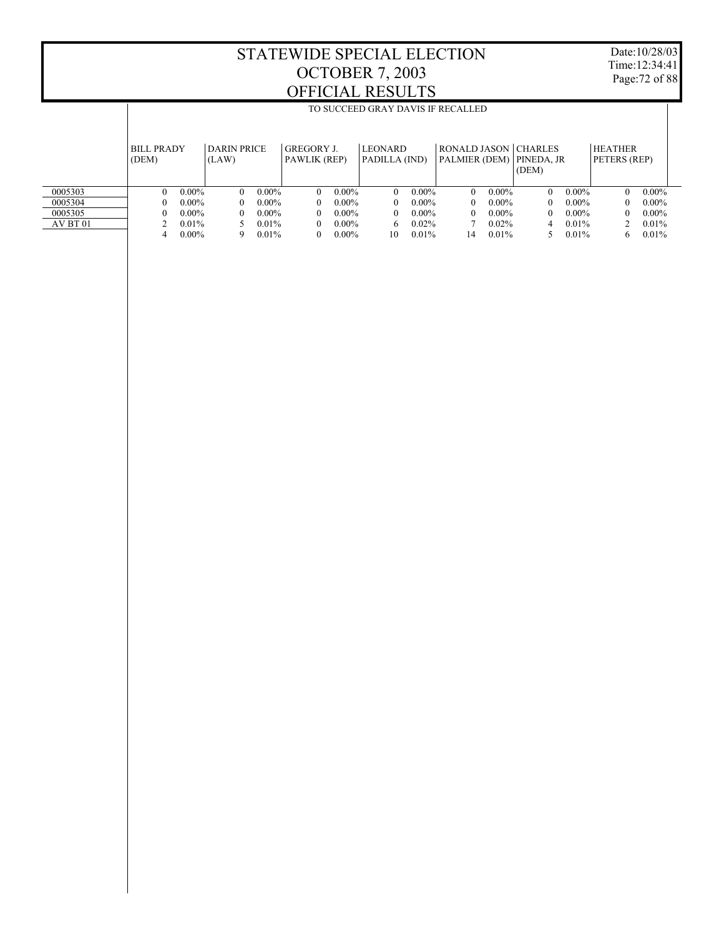T

Date:10/28/03 Time:12:34:41 Page:72 of 88

|          | TO SUCCEED GRAY DAVIS IF RECALLED |                        |                                   |                                 |                                                             |                        |                                |
|----------|-----------------------------------|------------------------|-----------------------------------|---------------------------------|-------------------------------------------------------------|------------------------|--------------------------------|
|          | <b>BILL PRADY</b><br>(DEM)        | DARIN PRICE<br>(LAW)   | <b>GREGORY J.</b><br>PAWLIK (REP) | <b>LEONARD</b><br>PADILLA (IND) | <b>RONALD JASON   CHARLES</b><br>PALMIER (DEM)   PINEDA, JR | (DEM)                  | <b>HEATHER</b><br>PETERS (REP) |
| 0005303  | $0.00\%$<br>$\Omega$              | $0.00\%$<br>$\Omega$   | $0.00\%$<br>$\Omega$              | $0.00\%$<br>$\Omega$            | $0.00\%$<br>$\Omega$                                        | $0.00\%$<br>$\Omega$   | $0.00\%$<br>$\Omega$           |
| 0005304  | $0.00\%$                          | $0.00\%$<br>$^{\circ}$ | $0.00\%$<br>$\theta$              | $0.00\%$<br>$\Omega$            | $0.00\%$<br>$^{\circ}$                                      | $0.00\%$<br>$^{\circ}$ | $0.00\%$<br>$\Omega$           |
| 0005305  | $0.00\%$                          | $0.00\%$<br>$^{\circ}$ | $0.00\%$<br>$\theta$              | $0.00\%$<br>$\Omega$            | $0.00\%$<br>$^{\circ}$                                      | $0.00\%$<br>$^{\circ}$ | $0.00\%$<br>$\Omega$           |
| AV BT 01 | $0.01\%$                          | $0.01\%$               | $0.00\%$<br>$\theta$              | $0.02\%$<br>6                   | $0.02\%$                                                    | $0.01\%$<br>4          | 0.01%                          |
|          | $0.00\%$<br>4                     | 0.01%<br>9             | $0.00\%$<br>$\theta$              | 0.01%<br>10                     | 0.01%<br>14                                                 | $0.01\%$               | 0.01%<br>6                     |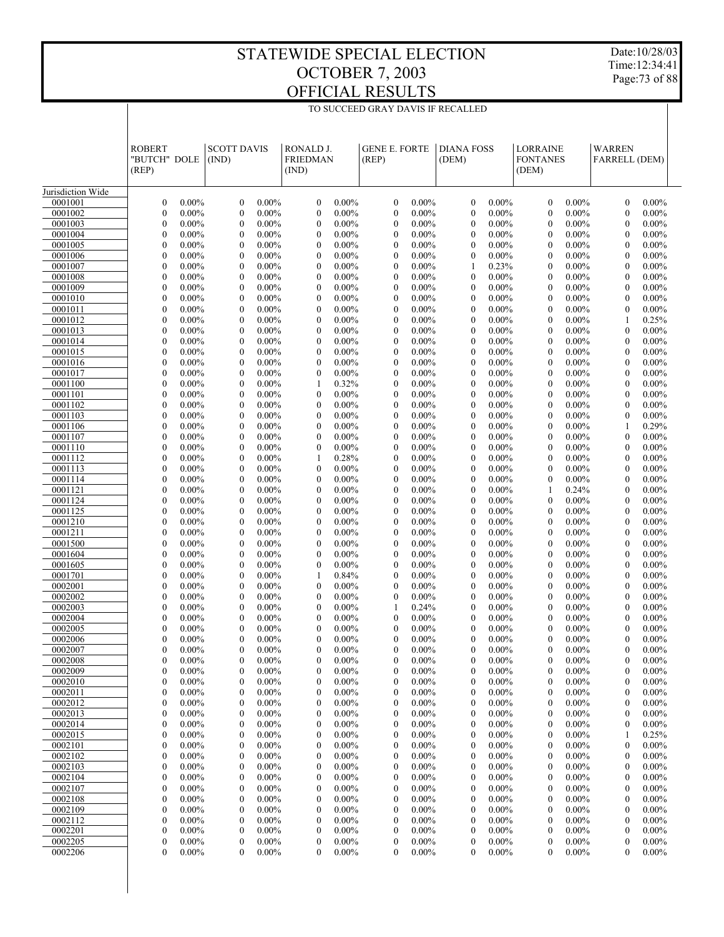Date:10/28/03 Time:12:34:41 Page:73 of 88

| Jurisdiction Wide<br>$\boldsymbol{0}$<br>0.00%<br>$\mathbf{0}$<br>$0.00\%$<br>$0.00\%$<br>$\mathbf{0}$<br>$0.00\%$<br>$\mathbf{0}$<br>$0.00\%$<br>$0.00\%$<br>$0.00\%$<br>0001001<br>$\mathbf{0}$<br>$\mathbf{0}$<br>$\overline{0}$<br>0001002<br>$\mathbf{0}$<br>0.00%<br>$\mathbf{0}$<br>$0.00\%$<br>$\mathbf{0}$<br>$0.00\%$<br>$\mathbf{0}$<br>$0.00\%$<br>$\mathbf{0}$<br>$0.00\%$<br>$\mathbf{0}$<br>$0.00\%$<br>$\overline{0}$<br>$0.00\%$<br>0001003<br>$\mathbf{0}$<br>$0.00\%$<br>$0.00\%$<br>$0.00\%$<br>$0.00\%$<br>$\mathbf{0}$<br>$0.00\%$<br>$0.00\%$<br>$0.00\%$<br>$\mathbf{0}$<br>$\theta$<br>$\mathbf{0}$<br>$\mathbf{0}$<br>$\Omega$<br>0001004<br>$\mathbf{0}$<br>$0.00\%$<br>$\mathbf{0}$<br>$0.00\%$<br>$0.00\%$<br>$0.00\%$<br>$\mathbf{0}$<br>$0.00\%$<br>$0.00\%$<br>$\overline{0}$<br>$0.00\%$<br>$\theta$<br>$\theta$<br>$\mathbf{0}$<br>0001005<br>$\mathbf{0}$<br>$0.00\%$<br>$0.00\%$<br>$0.00\%$<br>$0.00\%$<br>$0.00\%$<br>$0.00\%$<br>$0.00\%$<br>$\mathbf{0}$<br>$\theta$<br>$\mathbf{0}$<br>$\mathbf{0}$<br>$\mathbf{0}$<br>$\theta$<br>0001006<br>$\mathbf{0}$<br>$0.00\%$<br>$\mathbf{0}$<br>$0.00\%$<br>$0.00\%$<br>$0.00\%$<br>$\mathbf{0}$<br>$0.00\%$<br>$\mathbf{0}$<br>$0.00\%$<br>$\mathbf{0}$<br>$0.00\%$<br>$\theta$<br>$\theta$<br>0001007<br>$\mathbf{0}$<br>$0.00\%$<br>$0.00\%$<br>$0.00\%$<br>$0.00\%$<br>0.23%<br>$0.00\%$<br>$0.00\%$<br>$\mathbf{0}$<br>$\theta$<br>$\theta$<br>1<br>$\theta$<br>$\Omega$<br>$\mathbf{0}$<br>0001008<br>$0.00\%$<br>$\mathbf{0}$<br>$0.00\%$<br>$0.00\%$<br>$0.00\%$<br>$\mathbf{0}$<br>$0.00\%$<br>$\mathbf{0}$<br>$0.00\%$<br>$\mathbf{0}$<br>$0.00\%$<br>$\theta$<br>$\theta$<br>0001009<br>$\mathbf{0}$<br>$0.00\%$<br>$0.00\%$<br>$0.00\%$<br>$0.00\%$<br>0.00%<br>$0.00\%$<br>$0.00\%$<br>$\mathbf{0}$<br>$\theta$<br>$\theta$<br>$\mathbf{0}$<br>$\mathbf{0}$<br>$\theta$<br>0001010<br>$\mathbf{0}$<br>$0.00\%$<br>$\mathbf{0}$<br>$0.00\%$<br>$0.00\%$<br>$0.00\%$<br>$\mathbf{0}$<br>$0.00\%$<br>$\mathbf{0}$<br>$0.00\%$<br>$\overline{0}$<br>$0.00\%$<br>$\theta$<br>$\theta$<br>$\mathbf{0}$<br>$0.00\%$<br>$0.00\%$<br>$\mathbf{0}$<br>$0.00\%$<br>$0.00\%$<br>$0.00\%$<br>0001011<br>$\mathbf{0}$<br>$0.00\%$<br>$\theta$<br>$\theta$<br>$0.00\%$<br>$\theta$<br>$\Omega$<br>$\mathbf{0}$<br>0001012<br>$0.00\%$<br>$\mathbf{0}$<br>$0.00\%$<br>$0.00\%$<br>$0.00\%$<br>$\mathbf{0}$<br>$0.00\%$<br>$0.00\%$<br>$\theta$<br>$\theta$<br>$\mathbf{0}$<br>0.25%<br>1<br>$\mathbf{0}$<br>$0.00\%$<br>$0.00\%$<br>0.00%<br>$0.00\%$<br>$0.00\%$<br>0001013<br>$\mathbf{0}$<br>$0.00\%$<br>$\theta$<br>$\mathbf{0}$<br>$0.00\%$<br>$\mathbf{0}$<br>$\mathbf{0}$<br>$\Omega$<br>0001014<br>$\mathbf{0}$<br>$0.00\%$<br>$\mathbf{0}$<br>$0.00\%$<br>$0.00\%$<br>$\mathbf{0}$<br>$0.00\%$<br>$\mathbf{0}$<br>$0.00\%$<br>$\mathbf{0}$<br>$0.00\%$<br>$\theta$<br>$\theta$<br>$0.00\%$<br>$\mathbf{0}$<br>$0.00\%$<br>$0.00\%$<br>$\mathbf{0}$<br>$0.00\%$<br>$0.00\%$<br>$0.00\%$<br>0001015<br>$\mathbf{0}$<br>$0.00\%$<br>$\theta$<br>$\theta$<br>$0.00\%$<br>$\theta$<br>$\Omega$<br>$\mathbf{0}$<br>0001016<br>$0.00\%$<br>$\mathbf{0}$<br>$0.00\%$<br>$0.00\%$<br>$0.00\%$<br>$\mathbf{0}$<br>$0.00\%$<br>$0.00\%$<br>$\mathbf{0}$<br>$0.00\%$<br>$\theta$<br>$\theta$<br>$\mathbf{0}$<br>$\mathbf{0}$<br>$0.00\%$<br>$0.00\%$<br>0.00%<br>$0.00\%$<br>$0.00\%$<br>0001017<br>$\mathbf{0}$<br>$0.00\%$<br>$\theta$<br>$\mathbf{0}$<br>$0.00\%$<br>$\mathbf{0}$<br>$\mathbf{0}$<br>$\theta$<br>$\mathbf{0}$<br>$0.00\%$<br>$\mathbf{0}$<br>$0.00\%$<br>0.32%<br>$0.00\%$<br>$\mathbf{0}$<br>$0.00\%$<br>$\mathbf{0}$<br>$0.00\%$<br>$\mathbf{0}$<br>$0.00\%$<br>0001100<br>1<br>$\theta$<br>$\mathbf{0}$<br>$0.00\%$<br>$0.00\%$<br>$0.00\%$<br>$\mathbf{0}$<br>$0.00\%$<br>$0.00\%$<br>$0.00\%$<br>0001101<br>$\mathbf{0}$<br>$0.00\%$<br>$\theta$<br>$\theta$<br>$\theta$<br>$\Omega$<br>$\mathbf{0}$<br>0001102<br>$0.00\%$<br>$\mathbf{0}$<br>$0.00\%$<br>$0.00\%$<br>$0.00\%$<br>$\mathbf{0}$<br>$0.00\%$<br>$\mathbf{0}$<br>$0.00\%$<br>$\overline{0}$<br>$0.00\%$<br>$\mathbf{0}$<br>$\mathbf{0}$<br>$\mathbf{0}$<br>$0.00\%$<br>$0.00\%$<br>$0.00\%$<br>$0.00\%$<br>$0.00\%$<br>$0.00\%$<br>$0.00\%$<br>0001103<br>$\mathbf{0}$<br>$\mathbf{0}$<br>$\mathbf{0}$<br>$\mathbf{0}$<br>$\mathbf{0}$<br>$\theta$<br>$\mathbf{0}$<br>0001106<br>$0.00\%$<br>$\mathbf{0}$<br>$0.00\%$<br>$0.00\%$<br>$0.00\%$<br>$\mathbf{0}$<br>$0.00\%$<br>$\mathbf{0}$<br>$0.00\%$<br>0.29%<br>$\mathbf{0}$<br>$\mathbf{0}$<br>1<br>$\mathbf{0}$<br>$0.00\%$<br>$0.00\%$<br>$0.00\%$<br>$0.00\%$<br>$\mathbf{0}$<br>$0.00\%$<br>$0.00\%$<br>$0.00\%$<br>0001107<br>$\mathbf{0}$<br>$\mathbf{0}$<br>$\mathbf{0}$<br>$\theta$<br>$\Omega$<br>$\mathbf{0}$<br>0001110<br>$0.00\%$<br>$\mathbf{0}$<br>$0.00\%$<br>$0.00\%$<br>$0.00\%$<br>$\mathbf{0}$<br>$0.00\%$<br>$\mathbf{0}$<br>$0.00\%$<br>$\mathbf{0}$<br>$0.00\%$<br>$\mathbf{0}$<br>$\mathbf{0}$<br>$\mathbf{0}$<br>$0.00\%$<br>0.28%<br>$0.00\%$<br>$0.00\%$<br>$0.00\%$<br>$0.00\%$<br>0001112<br>$\mathbf{0}$<br>$0.00\%$<br>1<br>$\mathbf{0}$<br>$\mathbf{0}$<br>$\mathbf{0}$<br>$\theta$<br>0001113<br>$\mathbf{0}$<br>$0.00\%$<br>$\mathbf{0}$<br>$0.00\%$<br>$\mathbf{0}$<br>$0.00\%$<br>$0.00\%$<br>$\mathbf{0}$<br>$0.00\%$<br>$\mathbf{0}$<br>$0.00\%$<br>$\mathbf{0}$<br>$0.00\%$<br>$\mathbf{0}$<br>$\mathbf{0}$<br>$0.00\%$<br>$0.00\%$<br>$0.00\%$<br>$\mathbf{0}$<br>$0.00\%$<br>$0.00\%$<br>$0.00\%$<br>0001114<br>$\mathbf{0}$<br>$0.00\%$<br>$\mathbf{0}$<br>$\mathbf{0}$<br>$\mathbf{0}$<br>$\Omega$<br>$\mathbf{0}$<br>0001121<br>$0.00\%$<br>$\mathbf{0}$<br>$0.00\%$<br>$0.00\%$<br>$0.00\%$<br>$\mathbf{0}$<br>$0.00\%$<br>$\mathbf{0}$<br>$0.00\%$<br>$\mathbf{0}$<br>$\mathbf{0}$<br>0.24%<br>$\mathbf{0}$<br>$0.00\%$<br>$0.00\%$<br>0.00%<br>$0.00\%$<br>$0.00\%$<br>0001124<br>$\mathbf{0}$<br>$0.00\%$<br>$\mathbf{0}$<br>$\mathbf{0}$<br>$0.00\%$<br>$\mathbf{0}$<br>$\mathbf{0}$<br>$\theta$<br>0001125<br>$\mathbf{0}$<br>$0.00\%$<br>$\mathbf{0}$<br>$0.00\%$<br>$0.00\%$<br>$\mathbf{0}$<br>$0.00\%$<br>$0.00\%$<br>$\mathbf{0}$<br>$0.00\%$<br>$\mathbf{0}$<br>$\mathbf{0}$<br>$0.00\%$<br>$\mathbf{0}$<br>$\mathbf{0}$<br>$0.00\%$<br>$0.00\%$<br>$\mathbf{0}$<br>$0.00\%$<br>$0.00\%$<br>$0.00\%$<br>0001210<br>$\mathbf{0}$<br>$0.00\%$<br>$\mathbf{0}$<br>$\mathbf{0}$<br>$0.00\%$<br>$\theta$<br>$\Omega$<br>$\mathbf{0}$<br>0001211<br>$0.00\%$<br>$\mathbf{0}$<br>$0.00\%$<br>$0.00\%$<br>$\mathbf{0}$<br>$0.00\%$<br>$0.00\%$<br>$\mathbf{0}$<br>$0.00\%$<br>$\mathbf{0}$<br>$\mathbf{0}$<br>$0.00\%$<br>$\mathbf{0}$<br>0001500<br>$\mathbf{0}$<br>$0.00\%$<br>$0.00\%$<br>0.00%<br>$0.00\%$<br>$0.00\%$<br>$\mathbf{0}$<br>$0.00\%$<br>$\mathbf{0}$<br>$\mathbf{0}$<br>$0.00\%$<br>$\mathbf{0}$<br>$\mathbf{0}$<br>$\theta$<br>$\mathbf{0}$<br>$0.00\%$<br>$\mathbf{0}$<br>$0.00\%$<br>$\mathbf{0}$<br>$0.00\%$<br>$0.00\%$<br>$\mathbf{0}$<br>$0.00\%$<br>$\mathbf{0}$<br>$0.00\%$<br>$\mathbf{0}$<br>$0.00\%$<br>0001604<br>$\mathbf{0}$<br>$\mathbf{0}$<br>$0.00\%$<br>$0.00\%$<br>$\mathbf{0}$<br>$0.00\%$<br>$0.00\%$<br>$0.00\%$<br>0001605<br>$\mathbf{0}$<br>$0.00\%$<br>$\mathbf{0}$<br>$\mathbf{0}$<br>$0.00\%$<br>$\theta$<br>$\Omega$<br>$\mathbf{0}$<br>0001701<br>$0.00\%$<br>$\mathbf{0}$<br>$0.00\%$<br>0.84%<br>$0.00\%$<br>$\mathbf{0}$<br>$0.00\%$<br>$\mathbf{0}$<br>$0.00\%$<br>$\mathbf{0}$<br>$0.00\%$<br>1<br>$\mathbf{0}$<br>$\mathbf{0}$<br>$0.00\%$<br>$0.00\%$<br>$0.00\%$<br>$0.00\%$<br>$0.00\%$<br>$0.00\%$<br>0002001<br>$\mathbf{0}$<br>$0.00\%$<br>$\mathbf{0}$<br>$\mathbf{0}$<br>$\mathbf{0}$<br>$\theta$<br>$\theta$<br>0002002<br>$\mathbf{0}$<br>$0.00\%$<br>$\mathbf{0}$<br>$0.00\%$<br>$0.00\%$<br>$0.00\%$<br>$\mathbf{0}$<br>$0.00\%$<br>$\mathbf{0}$<br>$0.00\%$<br>$\mathbf{0}$<br>$0.00\%$<br>$\mathbf{0}$<br>$\mathbf{0}$<br>$\mathbf{0}$<br>$0.00\%$<br>$0.00\%$<br>$0.00\%$<br>$0.00\%$<br>$0.00\%$<br>0002003<br>$\mathbf{0}$<br>$0.00\%$<br>$\mathbf{0}$<br>0.24%<br>$\mathbf{0}$<br>$\theta$<br>$\Omega$<br>1<br>0002004<br>$\mathbf{0}$<br>$0.00\%$<br>$\mathbf{0}$<br>$0.00\%$<br>$0.00\%$<br>$\mathbf{0}$<br>$0.00\%$<br>$\mathbf{0}$<br>$0.00\%$<br>$0.00\%$<br>$\overline{0}$<br>$0.00\%$<br>$\mathbf{0}$<br>$\mathbf{0}$<br>0002005<br>$\boldsymbol{0}$<br>$0.00\%$<br>$0.00\%$<br>$0.00\%$<br>$\mathbf{0}$<br>$0.00\%$<br>$\mathbf{0}$<br>$\mathbf{0}$<br>$0.00\%$<br>$\mathbf{0}$<br>$0.00\%$<br>$\theta$<br>$0.00\%$<br>$\theta$<br>0002006<br>$\boldsymbol{0}$<br>$0.00\%$<br>$\theta$<br>$\theta$<br>$0.00\%$<br>$\mathbf{0}$<br>$\mathbf{0}$<br>$\theta$<br>$\theta$<br>$0.00\%$<br>$0.00\%$<br>$0.00\%$<br>$0.00\%$<br>$0.00\%$<br>$\mathbf{0}$<br>$0.00\%$<br>$\theta$<br>$0.00\%$<br>0002007<br>$0.00\%$<br>$\Omega$<br>$0.00\%$<br>$\theta$<br>$0.00\%$<br>$\Omega$<br>$0.00\%$<br>$\Omega$<br>$0.00\%$<br>$\Omega$<br>0002008<br>$\boldsymbol{0}$<br>0.00%<br>$\boldsymbol{0}$<br>$0.00\%$<br>$\mathbf{0}$<br>0.00%<br>$\boldsymbol{0}$<br>0.00%<br>$\overline{0}$<br>0.00%<br>$\boldsymbol{0}$<br>0.00%<br>$\overline{0}$<br>0.00%<br>$0.00\%$<br>0002009<br>$0.00\%$<br>$0.00\%$<br>$0.00\%$<br>$0.00\%$<br>$0.00\%$<br>$0.00\%$<br>$\boldsymbol{0}$<br>$\boldsymbol{0}$<br>$\boldsymbol{0}$<br>$\boldsymbol{0}$<br>0<br>0<br>0<br>$0.00\%$<br>$0.00\%$<br>$0.00\%$<br>$0.00\%$<br>$0.00\%$<br>$0.00\%$<br>$0.00\%$<br>0002010<br>$\boldsymbol{0}$<br>$\boldsymbol{0}$<br>$\boldsymbol{0}$<br>$\boldsymbol{0}$<br>$\boldsymbol{0}$<br>$\boldsymbol{0}$<br>0<br>0002011<br>$\boldsymbol{0}$<br>$0.00\%$<br>$0.00\%$<br>$0.00\%$<br>$0.00\%$<br>$0.00\%$<br>$0.00\%$<br>$0.00\%$<br>$\boldsymbol{0}$<br>$\boldsymbol{0}$<br>$\boldsymbol{0}$<br>0<br>0<br>0<br>$0.00\%$<br>0002012<br>$\boldsymbol{0}$<br>$0.00\%$<br>$0.00\%$<br>$0.00\%$<br>$\boldsymbol{0}$<br>$0.00\%$<br>$0.00\%$<br>0<br>$0.00\%$<br>$\boldsymbol{0}$<br>$\boldsymbol{0}$<br>$\boldsymbol{0}$<br>0<br>0002013<br>$\boldsymbol{0}$<br>$0.00\%$<br>$0.00\%$<br>$0.00\%$<br>$0.00\%$<br>$0.00\%$<br>$0.00\%$<br>$0.00\%$<br>$\boldsymbol{0}$<br>$\boldsymbol{0}$<br>$\boldsymbol{0}$<br>0<br>$\mathbf{0}$<br>0<br>$\boldsymbol{0}$<br>$0.00\%$<br>$0.00\%$<br>0002014<br>$0.00\%$<br>$0.00\%$<br>$0.00\%$<br>$\boldsymbol{0}$<br>$0.00\%$<br>$0.00\%$<br>0<br>$\boldsymbol{0}$<br>$\boldsymbol{0}$<br>$\boldsymbol{0}$<br>0<br>0002015<br>$\boldsymbol{0}$<br>$0.00\%$<br>$0.00\%$<br>$0.00\%$<br>$0.00\%$<br>$0.00\%$<br>$0.00\%$<br>0.25%<br>$\boldsymbol{0}$<br>$\boldsymbol{0}$<br>$\boldsymbol{0}$<br>0<br>$\mathbf{0}$<br>1<br>$\boldsymbol{0}$<br>$0.00\%$<br>$0.00\%$<br>$0.00\%$<br>0002101<br>$0.00\%$<br>$0.00\%$<br>$0.00\%$<br>$\boldsymbol{0}$<br>$0.00\%$<br>0<br>$\boldsymbol{0}$<br>$\boldsymbol{0}$<br>$\boldsymbol{0}$<br>0<br>0002102<br>$\boldsymbol{0}$<br>$0.00\%$<br>$0.00\%$<br>$0.00\%$<br>$0.00\%$<br>$0.00\%$<br>$0.00\%$<br>$0.00\%$<br>$\boldsymbol{0}$<br>$\boldsymbol{0}$<br>$\boldsymbol{0}$<br>0<br>$\mathbf{0}$<br>0<br>$\boldsymbol{0}$<br>$0.00\%$<br>$0.00\%$<br>$0.00\%$<br>0002103<br>$0.00\%$<br>$\boldsymbol{0}$<br>$0.00\%$<br>$0.00\%$<br>$\boldsymbol{0}$<br>$0.00\%$<br>0<br>$\boldsymbol{0}$<br>$\boldsymbol{0}$<br>0<br>0002104<br>$\boldsymbol{0}$<br>$0.00\%$<br>$0.00\%$<br>$0.00\%$<br>$0.00\%$<br>$0.00\%$<br>$0.00\%$<br>$0.00\%$<br>$\boldsymbol{0}$<br>$\boldsymbol{0}$<br>$\boldsymbol{0}$<br>0<br>$\mathbf{0}$<br>0<br>$\boldsymbol{0}$<br>$0.00\%$<br>$0.00\%$<br>$0.00\%$<br>0002107<br>$0.00\%$<br>$0.00\%$<br>$0.00\%$<br>$\boldsymbol{0}$<br>$0.00\%$<br>0<br>$\boldsymbol{0}$<br>$\boldsymbol{0}$<br>$\boldsymbol{0}$<br>0<br>0002108<br>$\boldsymbol{0}$<br>$0.00\%$<br>$0.00\%$<br>$0.00\%$<br>$0.00\%$<br>$0.00\%$<br>$0.00\%$<br>$0.00\%$<br>$\boldsymbol{0}$<br>$\boldsymbol{0}$<br>$\boldsymbol{0}$<br>0<br>$\mathbf{0}$<br>0<br>$\boldsymbol{0}$<br>$0.00\%$<br>$0.00\%$<br>0002109<br>$0.00\%$<br>$0.00\%$<br>$0.00\%$<br>$\boldsymbol{0}$<br>$0.00\%$<br>0<br>$0.00\%$<br>$\boldsymbol{0}$<br>$\boldsymbol{0}$<br>$\boldsymbol{0}$<br>0<br>0002112<br>$\boldsymbol{0}$<br>$0.00\%$<br>$0.00\%$<br>$0.00\%$<br>$0.00\%$<br>$0.00\%$<br>$0.00\%$<br>$0.00\%$<br>$\boldsymbol{0}$<br>$\boldsymbol{0}$<br>$\boldsymbol{0}$<br>0<br>$\boldsymbol{0}$<br>0<br>$\boldsymbol{0}$<br>$0.00\%$<br>0002201<br>$0.00\%$<br>$0.00\%$<br>$0.00\%$<br>$0.00\%$<br>$\boldsymbol{0}$<br>$0.00\%$<br>0<br>$0.00\%$<br>$\boldsymbol{0}$<br>$\boldsymbol{0}$<br>$\boldsymbol{0}$<br>0<br>0002205<br>$\boldsymbol{0}$<br>$0.00\%$<br>$0.00\%$<br>$0.00\%$<br>$0.00\%$<br>$0.00\%$<br>$0.00\%$<br>$0.00\%$<br>$\boldsymbol{0}$<br>$\mathbf{0}$<br>$\boldsymbol{0}$<br>0<br>0<br>0<br>$0.00\%$<br>0002206<br>$\boldsymbol{0}$<br>$0.00\%$<br>$0.00\%$<br>$0.00\%$<br>$0.00\%$<br>$\boldsymbol{0}$<br>$0.00\%$<br>$0.00\%$<br>$\overline{0}$<br>$\boldsymbol{0}$<br>0<br>0<br>0 | <b>ROBERT</b><br>"BUTCH" DOLE<br>(REP) | <b>SCOTT DAVIS</b><br>(IND) | RONALD J.<br><b>FRIEDMAN</b><br>(IND) | <b>GENE E. FORTE</b><br>(REP) | <b>DIANA FOSS</b><br>(DEM) | <b>LORRAINE</b><br><b>FONTANES</b><br>(DEM) | <b>WARREN</b><br>FARRELL (DEM) |  |
|-------------------------------------------------------------------------------------------------------------------------------------------------------------------------------------------------------------------------------------------------------------------------------------------------------------------------------------------------------------------------------------------------------------------------------------------------------------------------------------------------------------------------------------------------------------------------------------------------------------------------------------------------------------------------------------------------------------------------------------------------------------------------------------------------------------------------------------------------------------------------------------------------------------------------------------------------------------------------------------------------------------------------------------------------------------------------------------------------------------------------------------------------------------------------------------------------------------------------------------------------------------------------------------------------------------------------------------------------------------------------------------------------------------------------------------------------------------------------------------------------------------------------------------------------------------------------------------------------------------------------------------------------------------------------------------------------------------------------------------------------------------------------------------------------------------------------------------------------------------------------------------------------------------------------------------------------------------------------------------------------------------------------------------------------------------------------------------------------------------------------------------------------------------------------------------------------------------------------------------------------------------------------------------------------------------------------------------------------------------------------------------------------------------------------------------------------------------------------------------------------------------------------------------------------------------------------------------------------------------------------------------------------------------------------------------------------------------------------------------------------------------------------------------------------------------------------------------------------------------------------------------------------------------------------------------------------------------------------------------------------------------------------------------------------------------------------------------------------------------------------------------------------------------------------------------------------------------------------------------------------------------------------------------------------------------------------------------------------------------------------------------------------------------------------------------------------------------------------------------------------------------------------------------------------------------------------------------------------------------------------------------------------------------------------------------------------------------------------------------------------------------------------------------------------------------------------------------------------------------------------------------------------------------------------------------------------------------------------------------------------------------------------------------------------------------------------------------------------------------------------------------------------------------------------------------------------------------------------------------------------------------------------------------------------------------------------------------------------------------------------------------------------------------------------------------------------------------------------------------------------------------------------------------------------------------------------------------------------------------------------------------------------------------------------------------------------------------------------------------------------------------------------------------------------------------------------------------------------------------------------------------------------------------------------------------------------------------------------------------------------------------------------------------------------------------------------------------------------------------------------------------------------------------------------------------------------------------------------------------------------------------------------------------------------------------------------------------------------------------------------------------------------------------------------------------------------------------------------------------------------------------------------------------------------------------------------------------------------------------------------------------------------------------------------------------------------------------------------------------------------------------------------------------------------------------------------------------------------------------------------------------------------------------------------------------------------------------------------------------------------------------------------------------------------------------------------------------------------------------------------------------------------------------------------------------------------------------------------------------------------------------------------------------------------------------------------------------------------------------------------------------------------------------------------------------------------------------------------------------------------------------------------------------------------------------------------------------------------------------------------------------------------------------------------------------------------------------------------------------------------------------------------------------------------------------------------------------------------------------------------------------------------------------------------------------------------------------------------------------------------------------------------------------------------------------------------------------------------------------------------------------------------------------------------------------------------------------------------------------------------------------------------------------------------------------------------------------------------------------------------------------------------------------------------------------------------------------------------------------------------------------------------------------------------------------------------------------------------------------------------------------------------------------------------------------------------------------------------------------------------------------------------------------------------------------------------------------------------------------------------------------------------------------------------------------------------------------------------------------------------------------------------------------------------------------------------------------------------------------------------------------------------------------------------------------------------------------------------------------------------------------------------------------------------------------------------------------------------------------------------------------------------------------------------------------------------------------------------------------------------------------------------------------------------------------------------------------------------------------------------------------------------------------------------------------------------------------------------------------------------------------------------------------------------------------------------------------------------------------------------------------------------------------------------------------------------------------------------------------------------------------------------------------------------------------------------------------------------------------------------------------------------------------------------------------------------------------------------------------------------------------------------------------------------------------------------------------------------------------------------------------------------------------------------------------------------------------------------------------------------------------------------------------------------------------------------------------------------------------------------------------------------------------------------------------------------------------------------------------------------------------------------------------------------------------------------------------------------------------------------------------------------------------------------------------------------------------------------------------------------------------------------------------------------------------------------------------------------------------------------------------------------------------------------------------------------------------------------------------------------------------------------------------------------------------------------------------------------------------------------------------------------------------------------------------------------------------------------------------------------------------------------------------------------------------------------------------------------------------------------------------------------------------------------------------------------------------------------------------------------------------------------------------------------------------------------------------------------------------------------------------------------------------------------------------------------------------------------------------------------------------------------------------------------------------------------------------------------------------------------------------------------------------------------------------------------------------------------------------------------------------------------------------------------------------------------------------------------------------------------------------------------------------------------------------------------------------------------------------------------------------------------------------------------------------------------------------------------------------------------------------------------------------------------------------------------------------------------------------------------------------------------------------------------------------------------------------------------------------------------------------------------------------------------------------------------------------------------------------------------------------------------------------------------------------------------------------------------------------------------------------------------------------------------------------------------------------------------------------------------------------------------------------------------------------------------------------------------------------------------------------------------------------------------------------------------------------------------------------------------------------------------------------------------------------------------------------------------------------------------------------------------------------------------------------------------------------------------------------------------------------------------------------------------------------------------------------------------------------------|----------------------------------------|-----------------------------|---------------------------------------|-------------------------------|----------------------------|---------------------------------------------|--------------------------------|--|
|                                                                                                                                                                                                                                                                                                                                                                                                                                                                                                                                                                                                                                                                                                                                                                                                                                                                                                                                                                                                                                                                                                                                                                                                                                                                                                                                                                                                                                                                                                                                                                                                                                                                                                                                                                                                                                                                                                                                                                                                                                                                                                                                                                                                                                                                                                                                                                                                                                                                                                                                                                                                                                                                                                                                                                                                                                                                                                                                                                                                                                                                                                                                                                                                                                                                                                                                                                                                                                                                                                                                                                                                                                                                                                                                                                                                                                                                                                                                                                                                                                                                                                                                                                                                                                                                                                                                                                                                                                                                                                                                                                                                                                                                                                                                                                                                                                                                                                                                                                                                                                                                                                                                                                                                                                                                                                                                                                                                                                                                                                                                                                                                                                                                                                                                                                                                                                                                                                                                                                                                                                                                                                                                                                                                                                                                                                                                                                                                                                                                                                                                                                                                                                                                                                                                                                                                                                                                                                                                                                                                                                                                                                                                                                                                                                                                                                                                                                                                                                                                                                                                                                                                                                                                                                                                                                                                                                                                                                                                                                                                                                                                                                                                                                                                                                                                                                                                                                                                                                                                                                                                                                                                                                                                                                                                                                                                                                                                                                                                                                                                                                                                                                                                                                                                                                                                                                                                                                                                                                                                                                                                                                                                                                                                                                                                                                                                                                                                                                                                                                                                                                                                                                                                                                                                                                                                                                                                                                                                                                                                                                                                                                                                                                                                                                                                                                                                                                                                                                                                                                                                                                                                                                                                                                                                                                                                                                                                                                                                                                                                                                                                                                                                                                                                                                                                                                                                                                                                                                                                                                                                                                                                                                                                                                                                                                                                                                                                                                                                                                                                                                                                                                                                                                                                                                                                                                                                                                                                   |                                        |                             |                                       |                               |                            |                                             |                                |  |
|                                                                                                                                                                                                                                                                                                                                                                                                                                                                                                                                                                                                                                                                                                                                                                                                                                                                                                                                                                                                                                                                                                                                                                                                                                                                                                                                                                                                                                                                                                                                                                                                                                                                                                                                                                                                                                                                                                                                                                                                                                                                                                                                                                                                                                                                                                                                                                                                                                                                                                                                                                                                                                                                                                                                                                                                                                                                                                                                                                                                                                                                                                                                                                                                                                                                                                                                                                                                                                                                                                                                                                                                                                                                                                                                                                                                                                                                                                                                                                                                                                                                                                                                                                                                                                                                                                                                                                                                                                                                                                                                                                                                                                                                                                                                                                                                                                                                                                                                                                                                                                                                                                                                                                                                                                                                                                                                                                                                                                                                                                                                                                                                                                                                                                                                                                                                                                                                                                                                                                                                                                                                                                                                                                                                                                                                                                                                                                                                                                                                                                                                                                                                                                                                                                                                                                                                                                                                                                                                                                                                                                                                                                                                                                                                                                                                                                                                                                                                                                                                                                                                                                                                                                                                                                                                                                                                                                                                                                                                                                                                                                                                                                                                                                                                                                                                                                                                                                                                                                                                                                                                                                                                                                                                                                                                                                                                                                                                                                                                                                                                                                                                                                                                                                                                                                                                                                                                                                                                                                                                                                                                                                                                                                                                                                                                                                                                                                                                                                                                                                                                                                                                                                                                                                                                                                                                                                                                                                                                                                                                                                                                                                                                                                                                                                                                                                                                                                                                                                                                                                                                                                                                                                                                                                                                                                                                                                                                                                                                                                                                                                                                                                                                                                                                                                                                                                                                                                                                                                                                                                                                                                                                                                                                                                                                                                                                                                                                                                                                                                                                                                                                                                                                                                                                                                                                                                                                                                                                   |                                        |                             |                                       |                               |                            |                                             |                                |  |
|                                                                                                                                                                                                                                                                                                                                                                                                                                                                                                                                                                                                                                                                                                                                                                                                                                                                                                                                                                                                                                                                                                                                                                                                                                                                                                                                                                                                                                                                                                                                                                                                                                                                                                                                                                                                                                                                                                                                                                                                                                                                                                                                                                                                                                                                                                                                                                                                                                                                                                                                                                                                                                                                                                                                                                                                                                                                                                                                                                                                                                                                                                                                                                                                                                                                                                                                                                                                                                                                                                                                                                                                                                                                                                                                                                                                                                                                                                                                                                                                                                                                                                                                                                                                                                                                                                                                                                                                                                                                                                                                                                                                                                                                                                                                                                                                                                                                                                                                                                                                                                                                                                                                                                                                                                                                                                                                                                                                                                                                                                                                                                                                                                                                                                                                                                                                                                                                                                                                                                                                                                                                                                                                                                                                                                                                                                                                                                                                                                                                                                                                                                                                                                                                                                                                                                                                                                                                                                                                                                                                                                                                                                                                                                                                                                                                                                                                                                                                                                                                                                                                                                                                                                                                                                                                                                                                                                                                                                                                                                                                                                                                                                                                                                                                                                                                                                                                                                                                                                                                                                                                                                                                                                                                                                                                                                                                                                                                                                                                                                                                                                                                                                                                                                                                                                                                                                                                                                                                                                                                                                                                                                                                                                                                                                                                                                                                                                                                                                                                                                                                                                                                                                                                                                                                                                                                                                                                                                                                                                                                                                                                                                                                                                                                                                                                                                                                                                                                                                                                                                                                                                                                                                                                                                                                                                                                                                                                                                                                                                                                                                                                                                                                                                                                                                                                                                                                                                                                                                                                                                                                                                                                                                                                                                                                                                                                                                                                                                                                                                                                                                                                                                                                                                                                                                                                                                                                                                                                   |                                        |                             |                                       |                               |                            |                                             |                                |  |
|                                                                                                                                                                                                                                                                                                                                                                                                                                                                                                                                                                                                                                                                                                                                                                                                                                                                                                                                                                                                                                                                                                                                                                                                                                                                                                                                                                                                                                                                                                                                                                                                                                                                                                                                                                                                                                                                                                                                                                                                                                                                                                                                                                                                                                                                                                                                                                                                                                                                                                                                                                                                                                                                                                                                                                                                                                                                                                                                                                                                                                                                                                                                                                                                                                                                                                                                                                                                                                                                                                                                                                                                                                                                                                                                                                                                                                                                                                                                                                                                                                                                                                                                                                                                                                                                                                                                                                                                                                                                                                                                                                                                                                                                                                                                                                                                                                                                                                                                                                                                                                                                                                                                                                                                                                                                                                                                                                                                                                                                                                                                                                                                                                                                                                                                                                                                                                                                                                                                                                                                                                                                                                                                                                                                                                                                                                                                                                                                                                                                                                                                                                                                                                                                                                                                                                                                                                                                                                                                                                                                                                                                                                                                                                                                                                                                                                                                                                                                                                                                                                                                                                                                                                                                                                                                                                                                                                                                                                                                                                                                                                                                                                                                                                                                                                                                                                                                                                                                                                                                                                                                                                                                                                                                                                                                                                                                                                                                                                                                                                                                                                                                                                                                                                                                                                                                                                                                                                                                                                                                                                                                                                                                                                                                                                                                                                                                                                                                                                                                                                                                                                                                                                                                                                                                                                                                                                                                                                                                                                                                                                                                                                                                                                                                                                                                                                                                                                                                                                                                                                                                                                                                                                                                                                                                                                                                                                                                                                                                                                                                                                                                                                                                                                                                                                                                                                                                                                                                                                                                                                                                                                                                                                                                                                                                                                                                                                                                                                                                                                                                                                                                                                                                                                                                                                                                                                                                                                                                   |                                        |                             |                                       |                               |                            |                                             |                                |  |
|                                                                                                                                                                                                                                                                                                                                                                                                                                                                                                                                                                                                                                                                                                                                                                                                                                                                                                                                                                                                                                                                                                                                                                                                                                                                                                                                                                                                                                                                                                                                                                                                                                                                                                                                                                                                                                                                                                                                                                                                                                                                                                                                                                                                                                                                                                                                                                                                                                                                                                                                                                                                                                                                                                                                                                                                                                                                                                                                                                                                                                                                                                                                                                                                                                                                                                                                                                                                                                                                                                                                                                                                                                                                                                                                                                                                                                                                                                                                                                                                                                                                                                                                                                                                                                                                                                                                                                                                                                                                                                                                                                                                                                                                                                                                                                                                                                                                                                                                                                                                                                                                                                                                                                                                                                                                                                                                                                                                                                                                                                                                                                                                                                                                                                                                                                                                                                                                                                                                                                                                                                                                                                                                                                                                                                                                                                                                                                                                                                                                                                                                                                                                                                                                                                                                                                                                                                                                                                                                                                                                                                                                                                                                                                                                                                                                                                                                                                                                                                                                                                                                                                                                                                                                                                                                                                                                                                                                                                                                                                                                                                                                                                                                                                                                                                                                                                                                                                                                                                                                                                                                                                                                                                                                                                                                                                                                                                                                                                                                                                                                                                                                                                                                                                                                                                                                                                                                                                                                                                                                                                                                                                                                                                                                                                                                                                                                                                                                                                                                                                                                                                                                                                                                                                                                                                                                                                                                                                                                                                                                                                                                                                                                                                                                                                                                                                                                                                                                                                                                                                                                                                                                                                                                                                                                                                                                                                                                                                                                                                                                                                                                                                                                                                                                                                                                                                                                                                                                                                                                                                                                                                                                                                                                                                                                                                                                                                                                                                                                                                                                                                                                                                                                                                                                                                                                                                                                                                                                   |                                        |                             |                                       |                               |                            |                                             |                                |  |
|                                                                                                                                                                                                                                                                                                                                                                                                                                                                                                                                                                                                                                                                                                                                                                                                                                                                                                                                                                                                                                                                                                                                                                                                                                                                                                                                                                                                                                                                                                                                                                                                                                                                                                                                                                                                                                                                                                                                                                                                                                                                                                                                                                                                                                                                                                                                                                                                                                                                                                                                                                                                                                                                                                                                                                                                                                                                                                                                                                                                                                                                                                                                                                                                                                                                                                                                                                                                                                                                                                                                                                                                                                                                                                                                                                                                                                                                                                                                                                                                                                                                                                                                                                                                                                                                                                                                                                                                                                                                                                                                                                                                                                                                                                                                                                                                                                                                                                                                                                                                                                                                                                                                                                                                                                                                                                                                                                                                                                                                                                                                                                                                                                                                                                                                                                                                                                                                                                                                                                                                                                                                                                                                                                                                                                                                                                                                                                                                                                                                                                                                                                                                                                                                                                                                                                                                                                                                                                                                                                                                                                                                                                                                                                                                                                                                                                                                                                                                                                                                                                                                                                                                                                                                                                                                                                                                                                                                                                                                                                                                                                                                                                                                                                                                                                                                                                                                                                                                                                                                                                                                                                                                                                                                                                                                                                                                                                                                                                                                                                                                                                                                                                                                                                                                                                                                                                                                                                                                                                                                                                                                                                                                                                                                                                                                                                                                                                                                                                                                                                                                                                                                                                                                                                                                                                                                                                                                                                                                                                                                                                                                                                                                                                                                                                                                                                                                                                                                                                                                                                                                                                                                                                                                                                                                                                                                                                                                                                                                                                                                                                                                                                                                                                                                                                                                                                                                                                                                                                                                                                                                                                                                                                                                                                                                                                                                                                                                                                                                                                                                                                                                                                                                                                                                                                                                                                                                                                                                   |                                        |                             |                                       |                               |                            |                                             |                                |  |
|                                                                                                                                                                                                                                                                                                                                                                                                                                                                                                                                                                                                                                                                                                                                                                                                                                                                                                                                                                                                                                                                                                                                                                                                                                                                                                                                                                                                                                                                                                                                                                                                                                                                                                                                                                                                                                                                                                                                                                                                                                                                                                                                                                                                                                                                                                                                                                                                                                                                                                                                                                                                                                                                                                                                                                                                                                                                                                                                                                                                                                                                                                                                                                                                                                                                                                                                                                                                                                                                                                                                                                                                                                                                                                                                                                                                                                                                                                                                                                                                                                                                                                                                                                                                                                                                                                                                                                                                                                                                                                                                                                                                                                                                                                                                                                                                                                                                                                                                                                                                                                                                                                                                                                                                                                                                                                                                                                                                                                                                                                                                                                                                                                                                                                                                                                                                                                                                                                                                                                                                                                                                                                                                                                                                                                                                                                                                                                                                                                                                                                                                                                                                                                                                                                                                                                                                                                                                                                                                                                                                                                                                                                                                                                                                                                                                                                                                                                                                                                                                                                                                                                                                                                                                                                                                                                                                                                                                                                                                                                                                                                                                                                                                                                                                                                                                                                                                                                                                                                                                                                                                                                                                                                                                                                                                                                                                                                                                                                                                                                                                                                                                                                                                                                                                                                                                                                                                                                                                                                                                                                                                                                                                                                                                                                                                                                                                                                                                                                                                                                                                                                                                                                                                                                                                                                                                                                                                                                                                                                                                                                                                                                                                                                                                                                                                                                                                                                                                                                                                                                                                                                                                                                                                                                                                                                                                                                                                                                                                                                                                                                                                                                                                                                                                                                                                                                                                                                                                                                                                                                                                                                                                                                                                                                                                                                                                                                                                                                                                                                                                                                                                                                                                                                                                                                                                                                                                                                                                   |                                        |                             |                                       |                               |                            |                                             |                                |  |
|                                                                                                                                                                                                                                                                                                                                                                                                                                                                                                                                                                                                                                                                                                                                                                                                                                                                                                                                                                                                                                                                                                                                                                                                                                                                                                                                                                                                                                                                                                                                                                                                                                                                                                                                                                                                                                                                                                                                                                                                                                                                                                                                                                                                                                                                                                                                                                                                                                                                                                                                                                                                                                                                                                                                                                                                                                                                                                                                                                                                                                                                                                                                                                                                                                                                                                                                                                                                                                                                                                                                                                                                                                                                                                                                                                                                                                                                                                                                                                                                                                                                                                                                                                                                                                                                                                                                                                                                                                                                                                                                                                                                                                                                                                                                                                                                                                                                                                                                                                                                                                                                                                                                                                                                                                                                                                                                                                                                                                                                                                                                                                                                                                                                                                                                                                                                                                                                                                                                                                                                                                                                                                                                                                                                                                                                                                                                                                                                                                                                                                                                                                                                                                                                                                                                                                                                                                                                                                                                                                                                                                                                                                                                                                                                                                                                                                                                                                                                                                                                                                                                                                                                                                                                                                                                                                                                                                                                                                                                                                                                                                                                                                                                                                                                                                                                                                                                                                                                                                                                                                                                                                                                                                                                                                                                                                                                                                                                                                                                                                                                                                                                                                                                                                                                                                                                                                                                                                                                                                                                                                                                                                                                                                                                                                                                                                                                                                                                                                                                                                                                                                                                                                                                                                                                                                                                                                                                                                                                                                                                                                                                                                                                                                                                                                                                                                                                                                                                                                                                                                                                                                                                                                                                                                                                                                                                                                                                                                                                                                                                                                                                                                                                                                                                                                                                                                                                                                                                                                                                                                                                                                                                                                                                                                                                                                                                                                                                                                                                                                                                                                                                                                                                                                                                                                                                                                                                                                                                   |                                        |                             |                                       |                               |                            |                                             |                                |  |
|                                                                                                                                                                                                                                                                                                                                                                                                                                                                                                                                                                                                                                                                                                                                                                                                                                                                                                                                                                                                                                                                                                                                                                                                                                                                                                                                                                                                                                                                                                                                                                                                                                                                                                                                                                                                                                                                                                                                                                                                                                                                                                                                                                                                                                                                                                                                                                                                                                                                                                                                                                                                                                                                                                                                                                                                                                                                                                                                                                                                                                                                                                                                                                                                                                                                                                                                                                                                                                                                                                                                                                                                                                                                                                                                                                                                                                                                                                                                                                                                                                                                                                                                                                                                                                                                                                                                                                                                                                                                                                                                                                                                                                                                                                                                                                                                                                                                                                                                                                                                                                                                                                                                                                                                                                                                                                                                                                                                                                                                                                                                                                                                                                                                                                                                                                                                                                                                                                                                                                                                                                                                                                                                                                                                                                                                                                                                                                                                                                                                                                                                                                                                                                                                                                                                                                                                                                                                                                                                                                                                                                                                                                                                                                                                                                                                                                                                                                                                                                                                                                                                                                                                                                                                                                                                                                                                                                                                                                                                                                                                                                                                                                                                                                                                                                                                                                                                                                                                                                                                                                                                                                                                                                                                                                                                                                                                                                                                                                                                                                                                                                                                                                                                                                                                                                                                                                                                                                                                                                                                                                                                                                                                                                                                                                                                                                                                                                                                                                                                                                                                                                                                                                                                                                                                                                                                                                                                                                                                                                                                                                                                                                                                                                                                                                                                                                                                                                                                                                                                                                                                                                                                                                                                                                                                                                                                                                                                                                                                                                                                                                                                                                                                                                                                                                                                                                                                                                                                                                                                                                                                                                                                                                                                                                                                                                                                                                                                                                                                                                                                                                                                                                                                                                                                                                                                                                                                                                                                   |                                        |                             |                                       |                               |                            |                                             |                                |  |
|                                                                                                                                                                                                                                                                                                                                                                                                                                                                                                                                                                                                                                                                                                                                                                                                                                                                                                                                                                                                                                                                                                                                                                                                                                                                                                                                                                                                                                                                                                                                                                                                                                                                                                                                                                                                                                                                                                                                                                                                                                                                                                                                                                                                                                                                                                                                                                                                                                                                                                                                                                                                                                                                                                                                                                                                                                                                                                                                                                                                                                                                                                                                                                                                                                                                                                                                                                                                                                                                                                                                                                                                                                                                                                                                                                                                                                                                                                                                                                                                                                                                                                                                                                                                                                                                                                                                                                                                                                                                                                                                                                                                                                                                                                                                                                                                                                                                                                                                                                                                                                                                                                                                                                                                                                                                                                                                                                                                                                                                                                                                                                                                                                                                                                                                                                                                                                                                                                                                                                                                                                                                                                                                                                                                                                                                                                                                                                                                                                                                                                                                                                                                                                                                                                                                                                                                                                                                                                                                                                                                                                                                                                                                                                                                                                                                                                                                                                                                                                                                                                                                                                                                                                                                                                                                                                                                                                                                                                                                                                                                                                                                                                                                                                                                                                                                                                                                                                                                                                                                                                                                                                                                                                                                                                                                                                                                                                                                                                                                                                                                                                                                                                                                                                                                                                                                                                                                                                                                                                                                                                                                                                                                                                                                                                                                                                                                                                                                                                                                                                                                                                                                                                                                                                                                                                                                                                                                                                                                                                                                                                                                                                                                                                                                                                                                                                                                                                                                                                                                                                                                                                                                                                                                                                                                                                                                                                                                                                                                                                                                                                                                                                                                                                                                                                                                                                                                                                                                                                                                                                                                                                                                                                                                                                                                                                                                                                                                                                                                                                                                                                                                                                                                                                                                                                                                                                                                                                                                   |                                        |                             |                                       |                               |                            |                                             |                                |  |
|                                                                                                                                                                                                                                                                                                                                                                                                                                                                                                                                                                                                                                                                                                                                                                                                                                                                                                                                                                                                                                                                                                                                                                                                                                                                                                                                                                                                                                                                                                                                                                                                                                                                                                                                                                                                                                                                                                                                                                                                                                                                                                                                                                                                                                                                                                                                                                                                                                                                                                                                                                                                                                                                                                                                                                                                                                                                                                                                                                                                                                                                                                                                                                                                                                                                                                                                                                                                                                                                                                                                                                                                                                                                                                                                                                                                                                                                                                                                                                                                                                                                                                                                                                                                                                                                                                                                                                                                                                                                                                                                                                                                                                                                                                                                                                                                                                                                                                                                                                                                                                                                                                                                                                                                                                                                                                                                                                                                                                                                                                                                                                                                                                                                                                                                                                                                                                                                                                                                                                                                                                                                                                                                                                                                                                                                                                                                                                                                                                                                                                                                                                                                                                                                                                                                                                                                                                                                                                                                                                                                                                                                                                                                                                                                                                                                                                                                                                                                                                                                                                                                                                                                                                                                                                                                                                                                                                                                                                                                                                                                                                                                                                                                                                                                                                                                                                                                                                                                                                                                                                                                                                                                                                                                                                                                                                                                                                                                                                                                                                                                                                                                                                                                                                                                                                                                                                                                                                                                                                                                                                                                                                                                                                                                                                                                                                                                                                                                                                                                                                                                                                                                                                                                                                                                                                                                                                                                                                                                                                                                                                                                                                                                                                                                                                                                                                                                                                                                                                                                                                                                                                                                                                                                                                                                                                                                                                                                                                                                                                                                                                                                                                                                                                                                                                                                                                                                                                                                                                                                                                                                                                                                                                                                                                                                                                                                                                                                                                                                                                                                                                                                                                                                                                                                                                                                                                                                                                                                   |                                        |                             |                                       |                               |                            |                                             |                                |  |
|                                                                                                                                                                                                                                                                                                                                                                                                                                                                                                                                                                                                                                                                                                                                                                                                                                                                                                                                                                                                                                                                                                                                                                                                                                                                                                                                                                                                                                                                                                                                                                                                                                                                                                                                                                                                                                                                                                                                                                                                                                                                                                                                                                                                                                                                                                                                                                                                                                                                                                                                                                                                                                                                                                                                                                                                                                                                                                                                                                                                                                                                                                                                                                                                                                                                                                                                                                                                                                                                                                                                                                                                                                                                                                                                                                                                                                                                                                                                                                                                                                                                                                                                                                                                                                                                                                                                                                                                                                                                                                                                                                                                                                                                                                                                                                                                                                                                                                                                                                                                                                                                                                                                                                                                                                                                                                                                                                                                                                                                                                                                                                                                                                                                                                                                                                                                                                                                                                                                                                                                                                                                                                                                                                                                                                                                                                                                                                                                                                                                                                                                                                                                                                                                                                                                                                                                                                                                                                                                                                                                                                                                                                                                                                                                                                                                                                                                                                                                                                                                                                                                                                                                                                                                                                                                                                                                                                                                                                                                                                                                                                                                                                                                                                                                                                                                                                                                                                                                                                                                                                                                                                                                                                                                                                                                                                                                                                                                                                                                                                                                                                                                                                                                                                                                                                                                                                                                                                                                                                                                                                                                                                                                                                                                                                                                                                                                                                                                                                                                                                                                                                                                                                                                                                                                                                                                                                                                                                                                                                                                                                                                                                                                                                                                                                                                                                                                                                                                                                                                                                                                                                                                                                                                                                                                                                                                                                                                                                                                                                                                                                                                                                                                                                                                                                                                                                                                                                                                                                                                                                                                                                                                                                                                                                                                                                                                                                                                                                                                                                                                                                                                                                                                                                                                                                                                                                                                                                                                   |                                        |                             |                                       |                               |                            |                                             |                                |  |
|                                                                                                                                                                                                                                                                                                                                                                                                                                                                                                                                                                                                                                                                                                                                                                                                                                                                                                                                                                                                                                                                                                                                                                                                                                                                                                                                                                                                                                                                                                                                                                                                                                                                                                                                                                                                                                                                                                                                                                                                                                                                                                                                                                                                                                                                                                                                                                                                                                                                                                                                                                                                                                                                                                                                                                                                                                                                                                                                                                                                                                                                                                                                                                                                                                                                                                                                                                                                                                                                                                                                                                                                                                                                                                                                                                                                                                                                                                                                                                                                                                                                                                                                                                                                                                                                                                                                                                                                                                                                                                                                                                                                                                                                                                                                                                                                                                                                                                                                                                                                                                                                                                                                                                                                                                                                                                                                                                                                                                                                                                                                                                                                                                                                                                                                                                                                                                                                                                                                                                                                                                                                                                                                                                                                                                                                                                                                                                                                                                                                                                                                                                                                                                                                                                                                                                                                                                                                                                                                                                                                                                                                                                                                                                                                                                                                                                                                                                                                                                                                                                                                                                                                                                                                                                                                                                                                                                                                                                                                                                                                                                                                                                                                                                                                                                                                                                                                                                                                                                                                                                                                                                                                                                                                                                                                                                                                                                                                                                                                                                                                                                                                                                                                                                                                                                                                                                                                                                                                                                                                                                                                                                                                                                                                                                                                                                                                                                                                                                                                                                                                                                                                                                                                                                                                                                                                                                                                                                                                                                                                                                                                                                                                                                                                                                                                                                                                                                                                                                                                                                                                                                                                                                                                                                                                                                                                                                                                                                                                                                                                                                                                                                                                                                                                                                                                                                                                                                                                                                                                                                                                                                                                                                                                                                                                                                                                                                                                                                                                                                                                                                                                                                                                                                                                                                                                                                                                                                                                   |                                        |                             |                                       |                               |                            |                                             |                                |  |
|                                                                                                                                                                                                                                                                                                                                                                                                                                                                                                                                                                                                                                                                                                                                                                                                                                                                                                                                                                                                                                                                                                                                                                                                                                                                                                                                                                                                                                                                                                                                                                                                                                                                                                                                                                                                                                                                                                                                                                                                                                                                                                                                                                                                                                                                                                                                                                                                                                                                                                                                                                                                                                                                                                                                                                                                                                                                                                                                                                                                                                                                                                                                                                                                                                                                                                                                                                                                                                                                                                                                                                                                                                                                                                                                                                                                                                                                                                                                                                                                                                                                                                                                                                                                                                                                                                                                                                                                                                                                                                                                                                                                                                                                                                                                                                                                                                                                                                                                                                                                                                                                                                                                                                                                                                                                                                                                                                                                                                                                                                                                                                                                                                                                                                                                                                                                                                                                                                                                                                                                                                                                                                                                                                                                                                                                                                                                                                                                                                                                                                                                                                                                                                                                                                                                                                                                                                                                                                                                                                                                                                                                                                                                                                                                                                                                                                                                                                                                                                                                                                                                                                                                                                                                                                                                                                                                                                                                                                                                                                                                                                                                                                                                                                                                                                                                                                                                                                                                                                                                                                                                                                                                                                                                                                                                                                                                                                                                                                                                                                                                                                                                                                                                                                                                                                                                                                                                                                                                                                                                                                                                                                                                                                                                                                                                                                                                                                                                                                                                                                                                                                                                                                                                                                                                                                                                                                                                                                                                                                                                                                                                                                                                                                                                                                                                                                                                                                                                                                                                                                                                                                                                                                                                                                                                                                                                                                                                                                                                                                                                                                                                                                                                                                                                                                                                                                                                                                                                                                                                                                                                                                                                                                                                                                                                                                                                                                                                                                                                                                                                                                                                                                                                                                                                                                                                                                                                                                                                   |                                        |                             |                                       |                               |                            |                                             |                                |  |
|                                                                                                                                                                                                                                                                                                                                                                                                                                                                                                                                                                                                                                                                                                                                                                                                                                                                                                                                                                                                                                                                                                                                                                                                                                                                                                                                                                                                                                                                                                                                                                                                                                                                                                                                                                                                                                                                                                                                                                                                                                                                                                                                                                                                                                                                                                                                                                                                                                                                                                                                                                                                                                                                                                                                                                                                                                                                                                                                                                                                                                                                                                                                                                                                                                                                                                                                                                                                                                                                                                                                                                                                                                                                                                                                                                                                                                                                                                                                                                                                                                                                                                                                                                                                                                                                                                                                                                                                                                                                                                                                                                                                                                                                                                                                                                                                                                                                                                                                                                                                                                                                                                                                                                                                                                                                                                                                                                                                                                                                                                                                                                                                                                                                                                                                                                                                                                                                                                                                                                                                                                                                                                                                                                                                                                                                                                                                                                                                                                                                                                                                                                                                                                                                                                                                                                                                                                                                                                                                                                                                                                                                                                                                                                                                                                                                                                                                                                                                                                                                                                                                                                                                                                                                                                                                                                                                                                                                                                                                                                                                                                                                                                                                                                                                                                                                                                                                                                                                                                                                                                                                                                                                                                                                                                                                                                                                                                                                                                                                                                                                                                                                                                                                                                                                                                                                                                                                                                                                                                                                                                                                                                                                                                                                                                                                                                                                                                                                                                                                                                                                                                                                                                                                                                                                                                                                                                                                                                                                                                                                                                                                                                                                                                                                                                                                                                                                                                                                                                                                                                                                                                                                                                                                                                                                                                                                                                                                                                                                                                                                                                                                                                                                                                                                                                                                                                                                                                                                                                                                                                                                                                                                                                                                                                                                                                                                                                                                                                                                                                                                                                                                                                                                                                                                                                                                                                                                                                                                   |                                        |                             |                                       |                               |                            |                                             |                                |  |
|                                                                                                                                                                                                                                                                                                                                                                                                                                                                                                                                                                                                                                                                                                                                                                                                                                                                                                                                                                                                                                                                                                                                                                                                                                                                                                                                                                                                                                                                                                                                                                                                                                                                                                                                                                                                                                                                                                                                                                                                                                                                                                                                                                                                                                                                                                                                                                                                                                                                                                                                                                                                                                                                                                                                                                                                                                                                                                                                                                                                                                                                                                                                                                                                                                                                                                                                                                                                                                                                                                                                                                                                                                                                                                                                                                                                                                                                                                                                                                                                                                                                                                                                                                                                                                                                                                                                                                                                                                                                                                                                                                                                                                                                                                                                                                                                                                                                                                                                                                                                                                                                                                                                                                                                                                                                                                                                                                                                                                                                                                                                                                                                                                                                                                                                                                                                                                                                                                                                                                                                                                                                                                                                                                                                                                                                                                                                                                                                                                                                                                                                                                                                                                                                                                                                                                                                                                                                                                                                                                                                                                                                                                                                                                                                                                                                                                                                                                                                                                                                                                                                                                                                                                                                                                                                                                                                                                                                                                                                                                                                                                                                                                                                                                                                                                                                                                                                                                                                                                                                                                                                                                                                                                                                                                                                                                                                                                                                                                                                                                                                                                                                                                                                                                                                                                                                                                                                                                                                                                                                                                                                                                                                                                                                                                                                                                                                                                                                                                                                                                                                                                                                                                                                                                                                                                                                                                                                                                                                                                                                                                                                                                                                                                                                                                                                                                                                                                                                                                                                                                                                                                                                                                                                                                                                                                                                                                                                                                                                                                                                                                                                                                                                                                                                                                                                                                                                                                                                                                                                                                                                                                                                                                                                                                                                                                                                                                                                                                                                                                                                                                                                                                                                                                                                                                                                                                                                                                                                   |                                        |                             |                                       |                               |                            |                                             |                                |  |
|                                                                                                                                                                                                                                                                                                                                                                                                                                                                                                                                                                                                                                                                                                                                                                                                                                                                                                                                                                                                                                                                                                                                                                                                                                                                                                                                                                                                                                                                                                                                                                                                                                                                                                                                                                                                                                                                                                                                                                                                                                                                                                                                                                                                                                                                                                                                                                                                                                                                                                                                                                                                                                                                                                                                                                                                                                                                                                                                                                                                                                                                                                                                                                                                                                                                                                                                                                                                                                                                                                                                                                                                                                                                                                                                                                                                                                                                                                                                                                                                                                                                                                                                                                                                                                                                                                                                                                                                                                                                                                                                                                                                                                                                                                                                                                                                                                                                                                                                                                                                                                                                                                                                                                                                                                                                                                                                                                                                                                                                                                                                                                                                                                                                                                                                                                                                                                                                                                                                                                                                                                                                                                                                                                                                                                                                                                                                                                                                                                                                                                                                                                                                                                                                                                                                                                                                                                                                                                                                                                                                                                                                                                                                                                                                                                                                                                                                                                                                                                                                                                                                                                                                                                                                                                                                                                                                                                                                                                                                                                                                                                                                                                                                                                                                                                                                                                                                                                                                                                                                                                                                                                                                                                                                                                                                                                                                                                                                                                                                                                                                                                                                                                                                                                                                                                                                                                                                                                                                                                                                                                                                                                                                                                                                                                                                                                                                                                                                                                                                                                                                                                                                                                                                                                                                                                                                                                                                                                                                                                                                                                                                                                                                                                                                                                                                                                                                                                                                                                                                                                                                                                                                                                                                                                                                                                                                                                                                                                                                                                                                                                                                                                                                                                                                                                                                                                                                                                                                                                                                                                                                                                                                                                                                                                                                                                                                                                                                                                                                                                                                                                                                                                                                                                                                                                                                                                                                                                                                   |                                        |                             |                                       |                               |                            |                                             |                                |  |
|                                                                                                                                                                                                                                                                                                                                                                                                                                                                                                                                                                                                                                                                                                                                                                                                                                                                                                                                                                                                                                                                                                                                                                                                                                                                                                                                                                                                                                                                                                                                                                                                                                                                                                                                                                                                                                                                                                                                                                                                                                                                                                                                                                                                                                                                                                                                                                                                                                                                                                                                                                                                                                                                                                                                                                                                                                                                                                                                                                                                                                                                                                                                                                                                                                                                                                                                                                                                                                                                                                                                                                                                                                                                                                                                                                                                                                                                                                                                                                                                                                                                                                                                                                                                                                                                                                                                                                                                                                                                                                                                                                                                                                                                                                                                                                                                                                                                                                                                                                                                                                                                                                                                                                                                                                                                                                                                                                                                                                                                                                                                                                                                                                                                                                                                                                                                                                                                                                                                                                                                                                                                                                                                                                                                                                                                                                                                                                                                                                                                                                                                                                                                                                                                                                                                                                                                                                                                                                                                                                                                                                                                                                                                                                                                                                                                                                                                                                                                                                                                                                                                                                                                                                                                                                                                                                                                                                                                                                                                                                                                                                                                                                                                                                                                                                                                                                                                                                                                                                                                                                                                                                                                                                                                                                                                                                                                                                                                                                                                                                                                                                                                                                                                                                                                                                                                                                                                                                                                                                                                                                                                                                                                                                                                                                                                                                                                                                                                                                                                                                                                                                                                                                                                                                                                                                                                                                                                                                                                                                                                                                                                                                                                                                                                                                                                                                                                                                                                                                                                                                                                                                                                                                                                                                                                                                                                                                                                                                                                                                                                                                                                                                                                                                                                                                                                                                                                                                                                                                                                                                                                                                                                                                                                                                                                                                                                                                                                                                                                                                                                                                                                                                                                                                                                                                                                                                                                                                                                   |                                        |                             |                                       |                               |                            |                                             |                                |  |
|                                                                                                                                                                                                                                                                                                                                                                                                                                                                                                                                                                                                                                                                                                                                                                                                                                                                                                                                                                                                                                                                                                                                                                                                                                                                                                                                                                                                                                                                                                                                                                                                                                                                                                                                                                                                                                                                                                                                                                                                                                                                                                                                                                                                                                                                                                                                                                                                                                                                                                                                                                                                                                                                                                                                                                                                                                                                                                                                                                                                                                                                                                                                                                                                                                                                                                                                                                                                                                                                                                                                                                                                                                                                                                                                                                                                                                                                                                                                                                                                                                                                                                                                                                                                                                                                                                                                                                                                                                                                                                                                                                                                                                                                                                                                                                                                                                                                                                                                                                                                                                                                                                                                                                                                                                                                                                                                                                                                                                                                                                                                                                                                                                                                                                                                                                                                                                                                                                                                                                                                                                                                                                                                                                                                                                                                                                                                                                                                                                                                                                                                                                                                                                                                                                                                                                                                                                                                                                                                                                                                                                                                                                                                                                                                                                                                                                                                                                                                                                                                                                                                                                                                                                                                                                                                                                                                                                                                                                                                                                                                                                                                                                                                                                                                                                                                                                                                                                                                                                                                                                                                                                                                                                                                                                                                                                                                                                                                                                                                                                                                                                                                                                                                                                                                                                                                                                                                                                                                                                                                                                                                                                                                                                                                                                                                                                                                                                                                                                                                                                                                                                                                                                                                                                                                                                                                                                                                                                                                                                                                                                                                                                                                                                                                                                                                                                                                                                                                                                                                                                                                                                                                                                                                                                                                                                                                                                                                                                                                                                                                                                                                                                                                                                                                                                                                                                                                                                                                                                                                                                                                                                                                                                                                                                                                                                                                                                                                                                                                                                                                                                                                                                                                                                                                                                                                                                                                                                                                   |                                        |                             |                                       |                               |                            |                                             |                                |  |
|                                                                                                                                                                                                                                                                                                                                                                                                                                                                                                                                                                                                                                                                                                                                                                                                                                                                                                                                                                                                                                                                                                                                                                                                                                                                                                                                                                                                                                                                                                                                                                                                                                                                                                                                                                                                                                                                                                                                                                                                                                                                                                                                                                                                                                                                                                                                                                                                                                                                                                                                                                                                                                                                                                                                                                                                                                                                                                                                                                                                                                                                                                                                                                                                                                                                                                                                                                                                                                                                                                                                                                                                                                                                                                                                                                                                                                                                                                                                                                                                                                                                                                                                                                                                                                                                                                                                                                                                                                                                                                                                                                                                                                                                                                                                                                                                                                                                                                                                                                                                                                                                                                                                                                                                                                                                                                                                                                                                                                                                                                                                                                                                                                                                                                                                                                                                                                                                                                                                                                                                                                                                                                                                                                                                                                                                                                                                                                                                                                                                                                                                                                                                                                                                                                                                                                                                                                                                                                                                                                                                                                                                                                                                                                                                                                                                                                                                                                                                                                                                                                                                                                                                                                                                                                                                                                                                                                                                                                                                                                                                                                                                                                                                                                                                                                                                                                                                                                                                                                                                                                                                                                                                                                                                                                                                                                                                                                                                                                                                                                                                                                                                                                                                                                                                                                                                                                                                                                                                                                                                                                                                                                                                                                                                                                                                                                                                                                                                                                                                                                                                                                                                                                                                                                                                                                                                                                                                                                                                                                                                                                                                                                                                                                                                                                                                                                                                                                                                                                                                                                                                                                                                                                                                                                                                                                                                                                                                                                                                                                                                                                                                                                                                                                                                                                                                                                                                                                                                                                                                                                                                                                                                                                                                                                                                                                                                                                                                                                                                                                                                                                                                                                                                                                                                                                                                                                                                                                                                   |                                        |                             |                                       |                               |                            |                                             |                                |  |
|                                                                                                                                                                                                                                                                                                                                                                                                                                                                                                                                                                                                                                                                                                                                                                                                                                                                                                                                                                                                                                                                                                                                                                                                                                                                                                                                                                                                                                                                                                                                                                                                                                                                                                                                                                                                                                                                                                                                                                                                                                                                                                                                                                                                                                                                                                                                                                                                                                                                                                                                                                                                                                                                                                                                                                                                                                                                                                                                                                                                                                                                                                                                                                                                                                                                                                                                                                                                                                                                                                                                                                                                                                                                                                                                                                                                                                                                                                                                                                                                                                                                                                                                                                                                                                                                                                                                                                                                                                                                                                                                                                                                                                                                                                                                                                                                                                                                                                                                                                                                                                                                                                                                                                                                                                                                                                                                                                                                                                                                                                                                                                                                                                                                                                                                                                                                                                                                                                                                                                                                                                                                                                                                                                                                                                                                                                                                                                                                                                                                                                                                                                                                                                                                                                                                                                                                                                                                                                                                                                                                                                                                                                                                                                                                                                                                                                                                                                                                                                                                                                                                                                                                                                                                                                                                                                                                                                                                                                                                                                                                                                                                                                                                                                                                                                                                                                                                                                                                                                                                                                                                                                                                                                                                                                                                                                                                                                                                                                                                                                                                                                                                                                                                                                                                                                                                                                                                                                                                                                                                                                                                                                                                                                                                                                                                                                                                                                                                                                                                                                                                                                                                                                                                                                                                                                                                                                                                                                                                                                                                                                                                                                                                                                                                                                                                                                                                                                                                                                                                                                                                                                                                                                                                                                                                                                                                                                                                                                                                                                                                                                                                                                                                                                                                                                                                                                                                                                                                                                                                                                                                                                                                                                                                                                                                                                                                                                                                                                                                                                                                                                                                                                                                                                                                                                                                                                                                                                                                   |                                        |                             |                                       |                               |                            |                                             |                                |  |
|                                                                                                                                                                                                                                                                                                                                                                                                                                                                                                                                                                                                                                                                                                                                                                                                                                                                                                                                                                                                                                                                                                                                                                                                                                                                                                                                                                                                                                                                                                                                                                                                                                                                                                                                                                                                                                                                                                                                                                                                                                                                                                                                                                                                                                                                                                                                                                                                                                                                                                                                                                                                                                                                                                                                                                                                                                                                                                                                                                                                                                                                                                                                                                                                                                                                                                                                                                                                                                                                                                                                                                                                                                                                                                                                                                                                                                                                                                                                                                                                                                                                                                                                                                                                                                                                                                                                                                                                                                                                                                                                                                                                                                                                                                                                                                                                                                                                                                                                                                                                                                                                                                                                                                                                                                                                                                                                                                                                                                                                                                                                                                                                                                                                                                                                                                                                                                                                                                                                                                                                                                                                                                                                                                                                                                                                                                                                                                                                                                                                                                                                                                                                                                                                                                                                                                                                                                                                                                                                                                                                                                                                                                                                                                                                                                                                                                                                                                                                                                                                                                                                                                                                                                                                                                                                                                                                                                                                                                                                                                                                                                                                                                                                                                                                                                                                                                                                                                                                                                                                                                                                                                                                                                                                                                                                                                                                                                                                                                                                                                                                                                                                                                                                                                                                                                                                                                                                                                                                                                                                                                                                                                                                                                                                                                                                                                                                                                                                                                                                                                                                                                                                                                                                                                                                                                                                                                                                                                                                                                                                                                                                                                                                                                                                                                                                                                                                                                                                                                                                                                                                                                                                                                                                                                                                                                                                                                                                                                                                                                                                                                                                                                                                                                                                                                                                                                                                                                                                                                                                                                                                                                                                                                                                                                                                                                                                                                                                                                                                                                                                                                                                                                                                                                                                                                                                                                                                                                                                   |                                        |                             |                                       |                               |                            |                                             |                                |  |
|                                                                                                                                                                                                                                                                                                                                                                                                                                                                                                                                                                                                                                                                                                                                                                                                                                                                                                                                                                                                                                                                                                                                                                                                                                                                                                                                                                                                                                                                                                                                                                                                                                                                                                                                                                                                                                                                                                                                                                                                                                                                                                                                                                                                                                                                                                                                                                                                                                                                                                                                                                                                                                                                                                                                                                                                                                                                                                                                                                                                                                                                                                                                                                                                                                                                                                                                                                                                                                                                                                                                                                                                                                                                                                                                                                                                                                                                                                                                                                                                                                                                                                                                                                                                                                                                                                                                                                                                                                                                                                                                                                                                                                                                                                                                                                                                                                                                                                                                                                                                                                                                                                                                                                                                                                                                                                                                                                                                                                                                                                                                                                                                                                                                                                                                                                                                                                                                                                                                                                                                                                                                                                                                                                                                                                                                                                                                                                                                                                                                                                                                                                                                                                                                                                                                                                                                                                                                                                                                                                                                                                                                                                                                                                                                                                                                                                                                                                                                                                                                                                                                                                                                                                                                                                                                                                                                                                                                                                                                                                                                                                                                                                                                                                                                                                                                                                                                                                                                                                                                                                                                                                                                                                                                                                                                                                                                                                                                                                                                                                                                                                                                                                                                                                                                                                                                                                                                                                                                                                                                                                                                                                                                                                                                                                                                                                                                                                                                                                                                                                                                                                                                                                                                                                                                                                                                                                                                                                                                                                                                                                                                                                                                                                                                                                                                                                                                                                                                                                                                                                                                                                                                                                                                                                                                                                                                                                                                                                                                                                                                                                                                                                                                                                                                                                                                                                                                                                                                                                                                                                                                                                                                                                                                                                                                                                                                                                                                                                                                                                                                                                                                                                                                                                                                                                                                                                                                                                                                   |                                        |                             |                                       |                               |                            |                                             |                                |  |
|                                                                                                                                                                                                                                                                                                                                                                                                                                                                                                                                                                                                                                                                                                                                                                                                                                                                                                                                                                                                                                                                                                                                                                                                                                                                                                                                                                                                                                                                                                                                                                                                                                                                                                                                                                                                                                                                                                                                                                                                                                                                                                                                                                                                                                                                                                                                                                                                                                                                                                                                                                                                                                                                                                                                                                                                                                                                                                                                                                                                                                                                                                                                                                                                                                                                                                                                                                                                                                                                                                                                                                                                                                                                                                                                                                                                                                                                                                                                                                                                                                                                                                                                                                                                                                                                                                                                                                                                                                                                                                                                                                                                                                                                                                                                                                                                                                                                                                                                                                                                                                                                                                                                                                                                                                                                                                                                                                                                                                                                                                                                                                                                                                                                                                                                                                                                                                                                                                                                                                                                                                                                                                                                                                                                                                                                                                                                                                                                                                                                                                                                                                                                                                                                                                                                                                                                                                                                                                                                                                                                                                                                                                                                                                                                                                                                                                                                                                                                                                                                                                                                                                                                                                                                                                                                                                                                                                                                                                                                                                                                                                                                                                                                                                                                                                                                                                                                                                                                                                                                                                                                                                                                                                                                                                                                                                                                                                                                                                                                                                                                                                                                                                                                                                                                                                                                                                                                                                                                                                                                                                                                                                                                                                                                                                                                                                                                                                                                                                                                                                                                                                                                                                                                                                                                                                                                                                                                                                                                                                                                                                                                                                                                                                                                                                                                                                                                                                                                                                                                                                                                                                                                                                                                                                                                                                                                                                                                                                                                                                                                                                                                                                                                                                                                                                                                                                                                                                                                                                                                                                                                                                                                                                                                                                                                                                                                                                                                                                                                                                                                                                                                                                                                                                                                                                                                                                                                                                                                   |                                        |                             |                                       |                               |                            |                                             |                                |  |
|                                                                                                                                                                                                                                                                                                                                                                                                                                                                                                                                                                                                                                                                                                                                                                                                                                                                                                                                                                                                                                                                                                                                                                                                                                                                                                                                                                                                                                                                                                                                                                                                                                                                                                                                                                                                                                                                                                                                                                                                                                                                                                                                                                                                                                                                                                                                                                                                                                                                                                                                                                                                                                                                                                                                                                                                                                                                                                                                                                                                                                                                                                                                                                                                                                                                                                                                                                                                                                                                                                                                                                                                                                                                                                                                                                                                                                                                                                                                                                                                                                                                                                                                                                                                                                                                                                                                                                                                                                                                                                                                                                                                                                                                                                                                                                                                                                                                                                                                                                                                                                                                                                                                                                                                                                                                                                                                                                                                                                                                                                                                                                                                                                                                                                                                                                                                                                                                                                                                                                                                                                                                                                                                                                                                                                                                                                                                                                                                                                                                                                                                                                                                                                                                                                                                                                                                                                                                                                                                                                                                                                                                                                                                                                                                                                                                                                                                                                                                                                                                                                                                                                                                                                                                                                                                                                                                                                                                                                                                                                                                                                                                                                                                                                                                                                                                                                                                                                                                                                                                                                                                                                                                                                                                                                                                                                                                                                                                                                                                                                                                                                                                                                                                                                                                                                                                                                                                                                                                                                                                                                                                                                                                                                                                                                                                                                                                                                                                                                                                                                                                                                                                                                                                                                                                                                                                                                                                                                                                                                                                                                                                                                                                                                                                                                                                                                                                                                                                                                                                                                                                                                                                                                                                                                                                                                                                                                                                                                                                                                                                                                                                                                                                                                                                                                                                                                                                                                                                                                                                                                                                                                                                                                                                                                                                                                                                                                                                                                                                                                                                                                                                                                                                                                                                                                                                                                                                                                                                   |                                        |                             |                                       |                               |                            |                                             |                                |  |
|                                                                                                                                                                                                                                                                                                                                                                                                                                                                                                                                                                                                                                                                                                                                                                                                                                                                                                                                                                                                                                                                                                                                                                                                                                                                                                                                                                                                                                                                                                                                                                                                                                                                                                                                                                                                                                                                                                                                                                                                                                                                                                                                                                                                                                                                                                                                                                                                                                                                                                                                                                                                                                                                                                                                                                                                                                                                                                                                                                                                                                                                                                                                                                                                                                                                                                                                                                                                                                                                                                                                                                                                                                                                                                                                                                                                                                                                                                                                                                                                                                                                                                                                                                                                                                                                                                                                                                                                                                                                                                                                                                                                                                                                                                                                                                                                                                                                                                                                                                                                                                                                                                                                                                                                                                                                                                                                                                                                                                                                                                                                                                                                                                                                                                                                                                                                                                                                                                                                                                                                                                                                                                                                                                                                                                                                                                                                                                                                                                                                                                                                                                                                                                                                                                                                                                                                                                                                                                                                                                                                                                                                                                                                                                                                                                                                                                                                                                                                                                                                                                                                                                                                                                                                                                                                                                                                                                                                                                                                                                                                                                                                                                                                                                                                                                                                                                                                                                                                                                                                                                                                                                                                                                                                                                                                                                                                                                                                                                                                                                                                                                                                                                                                                                                                                                                                                                                                                                                                                                                                                                                                                                                                                                                                                                                                                                                                                                                                                                                                                                                                                                                                                                                                                                                                                                                                                                                                                                                                                                                                                                                                                                                                                                                                                                                                                                                                                                                                                                                                                                                                                                                                                                                                                                                                                                                                                                                                                                                                                                                                                                                                                                                                                                                                                                                                                                                                                                                                                                                                                                                                                                                                                                                                                                                                                                                                                                                                                                                                                                                                                                                                                                                                                                                                                                                                                                                                                                                                   |                                        |                             |                                       |                               |                            |                                             |                                |  |
|                                                                                                                                                                                                                                                                                                                                                                                                                                                                                                                                                                                                                                                                                                                                                                                                                                                                                                                                                                                                                                                                                                                                                                                                                                                                                                                                                                                                                                                                                                                                                                                                                                                                                                                                                                                                                                                                                                                                                                                                                                                                                                                                                                                                                                                                                                                                                                                                                                                                                                                                                                                                                                                                                                                                                                                                                                                                                                                                                                                                                                                                                                                                                                                                                                                                                                                                                                                                                                                                                                                                                                                                                                                                                                                                                                                                                                                                                                                                                                                                                                                                                                                                                                                                                                                                                                                                                                                                                                                                                                                                                                                                                                                                                                                                                                                                                                                                                                                                                                                                                                                                                                                                                                                                                                                                                                                                                                                                                                                                                                                                                                                                                                                                                                                                                                                                                                                                                                                                                                                                                                                                                                                                                                                                                                                                                                                                                                                                                                                                                                                                                                                                                                                                                                                                                                                                                                                                                                                                                                                                                                                                                                                                                                                                                                                                                                                                                                                                                                                                                                                                                                                                                                                                                                                                                                                                                                                                                                                                                                                                                                                                                                                                                                                                                                                                                                                                                                                                                                                                                                                                                                                                                                                                                                                                                                                                                                                                                                                                                                                                                                                                                                                                                                                                                                                                                                                                                                                                                                                                                                                                                                                                                                                                                                                                                                                                                                                                                                                                                                                                                                                                                                                                                                                                                                                                                                                                                                                                                                                                                                                                                                                                                                                                                                                                                                                                                                                                                                                                                                                                                                                                                                                                                                                                                                                                                                                                                                                                                                                                                                                                                                                                                                                                                                                                                                                                                                                                                                                                                                                                                                                                                                                                                                                                                                                                                                                                                                                                                                                                                                                                                                                                                                                                                                                                                                                                                                                                   |                                        |                             |                                       |                               |                            |                                             |                                |  |
|                                                                                                                                                                                                                                                                                                                                                                                                                                                                                                                                                                                                                                                                                                                                                                                                                                                                                                                                                                                                                                                                                                                                                                                                                                                                                                                                                                                                                                                                                                                                                                                                                                                                                                                                                                                                                                                                                                                                                                                                                                                                                                                                                                                                                                                                                                                                                                                                                                                                                                                                                                                                                                                                                                                                                                                                                                                                                                                                                                                                                                                                                                                                                                                                                                                                                                                                                                                                                                                                                                                                                                                                                                                                                                                                                                                                                                                                                                                                                                                                                                                                                                                                                                                                                                                                                                                                                                                                                                                                                                                                                                                                                                                                                                                                                                                                                                                                                                                                                                                                                                                                                                                                                                                                                                                                                                                                                                                                                                                                                                                                                                                                                                                                                                                                                                                                                                                                                                                                                                                                                                                                                                                                                                                                                                                                                                                                                                                                                                                                                                                                                                                                                                                                                                                                                                                                                                                                                                                                                                                                                                                                                                                                                                                                                                                                                                                                                                                                                                                                                                                                                                                                                                                                                                                                                                                                                                                                                                                                                                                                                                                                                                                                                                                                                                                                                                                                                                                                                                                                                                                                                                                                                                                                                                                                                                                                                                                                                                                                                                                                                                                                                                                                                                                                                                                                                                                                                                                                                                                                                                                                                                                                                                                                                                                                                                                                                                                                                                                                                                                                                                                                                                                                                                                                                                                                                                                                                                                                                                                                                                                                                                                                                                                                                                                                                                                                                                                                                                                                                                                                                                                                                                                                                                                                                                                                                                                                                                                                                                                                                                                                                                                                                                                                                                                                                                                                                                                                                                                                                                                                                                                                                                                                                                                                                                                                                                                                                                                                                                                                                                                                                                                                                                                                                                                                                                                                                                                                   |                                        |                             |                                       |                               |                            |                                             |                                |  |
|                                                                                                                                                                                                                                                                                                                                                                                                                                                                                                                                                                                                                                                                                                                                                                                                                                                                                                                                                                                                                                                                                                                                                                                                                                                                                                                                                                                                                                                                                                                                                                                                                                                                                                                                                                                                                                                                                                                                                                                                                                                                                                                                                                                                                                                                                                                                                                                                                                                                                                                                                                                                                                                                                                                                                                                                                                                                                                                                                                                                                                                                                                                                                                                                                                                                                                                                                                                                                                                                                                                                                                                                                                                                                                                                                                                                                                                                                                                                                                                                                                                                                                                                                                                                                                                                                                                                                                                                                                                                                                                                                                                                                                                                                                                                                                                                                                                                                                                                                                                                                                                                                                                                                                                                                                                                                                                                                                                                                                                                                                                                                                                                                                                                                                                                                                                                                                                                                                                                                                                                                                                                                                                                                                                                                                                                                                                                                                                                                                                                                                                                                                                                                                                                                                                                                                                                                                                                                                                                                                                                                                                                                                                                                                                                                                                                                                                                                                                                                                                                                                                                                                                                                                                                                                                                                                                                                                                                                                                                                                                                                                                                                                                                                                                                                                                                                                                                                                                                                                                                                                                                                                                                                                                                                                                                                                                                                                                                                                                                                                                                                                                                                                                                                                                                                                                                                                                                                                                                                                                                                                                                                                                                                                                                                                                                                                                                                                                                                                                                                                                                                                                                                                                                                                                                                                                                                                                                                                                                                                                                                                                                                                                                                                                                                                                                                                                                                                                                                                                                                                                                                                                                                                                                                                                                                                                                                                                                                                                                                                                                                                                                                                                                                                                                                                                                                                                                                                                                                                                                                                                                                                                                                                                                                                                                                                                                                                                                                                                                                                                                                                                                                                                                                                                                                                                                                                                                                                                                   |                                        |                             |                                       |                               |                            |                                             |                                |  |
|                                                                                                                                                                                                                                                                                                                                                                                                                                                                                                                                                                                                                                                                                                                                                                                                                                                                                                                                                                                                                                                                                                                                                                                                                                                                                                                                                                                                                                                                                                                                                                                                                                                                                                                                                                                                                                                                                                                                                                                                                                                                                                                                                                                                                                                                                                                                                                                                                                                                                                                                                                                                                                                                                                                                                                                                                                                                                                                                                                                                                                                                                                                                                                                                                                                                                                                                                                                                                                                                                                                                                                                                                                                                                                                                                                                                                                                                                                                                                                                                                                                                                                                                                                                                                                                                                                                                                                                                                                                                                                                                                                                                                                                                                                                                                                                                                                                                                                                                                                                                                                                                                                                                                                                                                                                                                                                                                                                                                                                                                                                                                                                                                                                                                                                                                                                                                                                                                                                                                                                                                                                                                                                                                                                                                                                                                                                                                                                                                                                                                                                                                                                                                                                                                                                                                                                                                                                                                                                                                                                                                                                                                                                                                                                                                                                                                                                                                                                                                                                                                                                                                                                                                                                                                                                                                                                                                                                                                                                                                                                                                                                                                                                                                                                                                                                                                                                                                                                                                                                                                                                                                                                                                                                                                                                                                                                                                                                                                                                                                                                                                                                                                                                                                                                                                                                                                                                                                                                                                                                                                                                                                                                                                                                                                                                                                                                                                                                                                                                                                                                                                                                                                                                                                                                                                                                                                                                                                                                                                                                                                                                                                                                                                                                                                                                                                                                                                                                                                                                                                                                                                                                                                                                                                                                                                                                                                                                                                                                                                                                                                                                                                                                                                                                                                                                                                                                                                                                                                                                                                                                                                                                                                                                                                                                                                                                                                                                                                                                                                                                                                                                                                                                                                                                                                                                                                                                                                                                                   |                                        |                             |                                       |                               |                            |                                             |                                |  |
|                                                                                                                                                                                                                                                                                                                                                                                                                                                                                                                                                                                                                                                                                                                                                                                                                                                                                                                                                                                                                                                                                                                                                                                                                                                                                                                                                                                                                                                                                                                                                                                                                                                                                                                                                                                                                                                                                                                                                                                                                                                                                                                                                                                                                                                                                                                                                                                                                                                                                                                                                                                                                                                                                                                                                                                                                                                                                                                                                                                                                                                                                                                                                                                                                                                                                                                                                                                                                                                                                                                                                                                                                                                                                                                                                                                                                                                                                                                                                                                                                                                                                                                                                                                                                                                                                                                                                                                                                                                                                                                                                                                                                                                                                                                                                                                                                                                                                                                                                                                                                                                                                                                                                                                                                                                                                                                                                                                                                                                                                                                                                                                                                                                                                                                                                                                                                                                                                                                                                                                                                                                                                                                                                                                                                                                                                                                                                                                                                                                                                                                                                                                                                                                                                                                                                                                                                                                                                                                                                                                                                                                                                                                                                                                                                                                                                                                                                                                                                                                                                                                                                                                                                                                                                                                                                                                                                                                                                                                                                                                                                                                                                                                                                                                                                                                                                                                                                                                                                                                                                                                                                                                                                                                                                                                                                                                                                                                                                                                                                                                                                                                                                                                                                                                                                                                                                                                                                                                                                                                                                                                                                                                                                                                                                                                                                                                                                                                                                                                                                                                                                                                                                                                                                                                                                                                                                                                                                                                                                                                                                                                                                                                                                                                                                                                                                                                                                                                                                                                                                                                                                                                                                                                                                                                                                                                                                                                                                                                                                                                                                                                                                                                                                                                                                                                                                                                                                                                                                                                                                                                                                                                                                                                                                                                                                                                                                                                                                                                                                                                                                                                                                                                                                                                                                                                                                                                                                                                                   |                                        |                             |                                       |                               |                            |                                             |                                |  |
|                                                                                                                                                                                                                                                                                                                                                                                                                                                                                                                                                                                                                                                                                                                                                                                                                                                                                                                                                                                                                                                                                                                                                                                                                                                                                                                                                                                                                                                                                                                                                                                                                                                                                                                                                                                                                                                                                                                                                                                                                                                                                                                                                                                                                                                                                                                                                                                                                                                                                                                                                                                                                                                                                                                                                                                                                                                                                                                                                                                                                                                                                                                                                                                                                                                                                                                                                                                                                                                                                                                                                                                                                                                                                                                                                                                                                                                                                                                                                                                                                                                                                                                                                                                                                                                                                                                                                                                                                                                                                                                                                                                                                                                                                                                                                                                                                                                                                                                                                                                                                                                                                                                                                                                                                                                                                                                                                                                                                                                                                                                                                                                                                                                                                                                                                                                                                                                                                                                                                                                                                                                                                                                                                                                                                                                                                                                                                                                                                                                                                                                                                                                                                                                                                                                                                                                                                                                                                                                                                                                                                                                                                                                                                                                                                                                                                                                                                                                                                                                                                                                                                                                                                                                                                                                                                                                                                                                                                                                                                                                                                                                                                                                                                                                                                                                                                                                                                                                                                                                                                                                                                                                                                                                                                                                                                                                                                                                                                                                                                                                                                                                                                                                                                                                                                                                                                                                                                                                                                                                                                                                                                                                                                                                                                                                                                                                                                                                                                                                                                                                                                                                                                                                                                                                                                                                                                                                                                                                                                                                                                                                                                                                                                                                                                                                                                                                                                                                                                                                                                                                                                                                                                                                                                                                                                                                                                                                                                                                                                                                                                                                                                                                                                                                                                                                                                                                                                                                                                                                                                                                                                                                                                                                                                                                                                                                                                                                                                                                                                                                                                                                                                                                                                                                                                                                                                                                                                                                                   |                                        |                             |                                       |                               |                            |                                             |                                |  |
|                                                                                                                                                                                                                                                                                                                                                                                                                                                                                                                                                                                                                                                                                                                                                                                                                                                                                                                                                                                                                                                                                                                                                                                                                                                                                                                                                                                                                                                                                                                                                                                                                                                                                                                                                                                                                                                                                                                                                                                                                                                                                                                                                                                                                                                                                                                                                                                                                                                                                                                                                                                                                                                                                                                                                                                                                                                                                                                                                                                                                                                                                                                                                                                                                                                                                                                                                                                                                                                                                                                                                                                                                                                                                                                                                                                                                                                                                                                                                                                                                                                                                                                                                                                                                                                                                                                                                                                                                                                                                                                                                                                                                                                                                                                                                                                                                                                                                                                                                                                                                                                                                                                                                                                                                                                                                                                                                                                                                                                                                                                                                                                                                                                                                                                                                                                                                                                                                                                                                                                                                                                                                                                                                                                                                                                                                                                                                                                                                                                                                                                                                                                                                                                                                                                                                                                                                                                                                                                                                                                                                                                                                                                                                                                                                                                                                                                                                                                                                                                                                                                                                                                                                                                                                                                                                                                                                                                                                                                                                                                                                                                                                                                                                                                                                                                                                                                                                                                                                                                                                                                                                                                                                                                                                                                                                                                                                                                                                                                                                                                                                                                                                                                                                                                                                                                                                                                                                                                                                                                                                                                                                                                                                                                                                                                                                                                                                                                                                                                                                                                                                                                                                                                                                                                                                                                                                                                                                                                                                                                                                                                                                                                                                                                                                                                                                                                                                                                                                                                                                                                                                                                                                                                                                                                                                                                                                                                                                                                                                                                                                                                                                                                                                                                                                                                                                                                                                                                                                                                                                                                                                                                                                                                                                                                                                                                                                                                                                                                                                                                                                                                                                                                                                                                                                                                                                                                                                                                                   |                                        |                             |                                       |                               |                            |                                             |                                |  |
|                                                                                                                                                                                                                                                                                                                                                                                                                                                                                                                                                                                                                                                                                                                                                                                                                                                                                                                                                                                                                                                                                                                                                                                                                                                                                                                                                                                                                                                                                                                                                                                                                                                                                                                                                                                                                                                                                                                                                                                                                                                                                                                                                                                                                                                                                                                                                                                                                                                                                                                                                                                                                                                                                                                                                                                                                                                                                                                                                                                                                                                                                                                                                                                                                                                                                                                                                                                                                                                                                                                                                                                                                                                                                                                                                                                                                                                                                                                                                                                                                                                                                                                                                                                                                                                                                                                                                                                                                                                                                                                                                                                                                                                                                                                                                                                                                                                                                                                                                                                                                                                                                                                                                                                                                                                                                                                                                                                                                                                                                                                                                                                                                                                                                                                                                                                                                                                                                                                                                                                                                                                                                                                                                                                                                                                                                                                                                                                                                                                                                                                                                                                                                                                                                                                                                                                                                                                                                                                                                                                                                                                                                                                                                                                                                                                                                                                                                                                                                                                                                                                                                                                                                                                                                                                                                                                                                                                                                                                                                                                                                                                                                                                                                                                                                                                                                                                                                                                                                                                                                                                                                                                                                                                                                                                                                                                                                                                                                                                                                                                                                                                                                                                                                                                                                                                                                                                                                                                                                                                                                                                                                                                                                                                                                                                                                                                                                                                                                                                                                                                                                                                                                                                                                                                                                                                                                                                                                                                                                                                                                                                                                                                                                                                                                                                                                                                                                                                                                                                                                                                                                                                                                                                                                                                                                                                                                                                                                                                                                                                                                                                                                                                                                                                                                                                                                                                                                                                                                                                                                                                                                                                                                                                                                                                                                                                                                                                                                                                                                                                                                                                                                                                                                                                                                                                                                                                                                                                                   |                                        |                             |                                       |                               |                            |                                             |                                |  |
|                                                                                                                                                                                                                                                                                                                                                                                                                                                                                                                                                                                                                                                                                                                                                                                                                                                                                                                                                                                                                                                                                                                                                                                                                                                                                                                                                                                                                                                                                                                                                                                                                                                                                                                                                                                                                                                                                                                                                                                                                                                                                                                                                                                                                                                                                                                                                                                                                                                                                                                                                                                                                                                                                                                                                                                                                                                                                                                                                                                                                                                                                                                                                                                                                                                                                                                                                                                                                                                                                                                                                                                                                                                                                                                                                                                                                                                                                                                                                                                                                                                                                                                                                                                                                                                                                                                                                                                                                                                                                                                                                                                                                                                                                                                                                                                                                                                                                                                                                                                                                                                                                                                                                                                                                                                                                                                                                                                                                                                                                                                                                                                                                                                                                                                                                                                                                                                                                                                                                                                                                                                                                                                                                                                                                                                                                                                                                                                                                                                                                                                                                                                                                                                                                                                                                                                                                                                                                                                                                                                                                                                                                                                                                                                                                                                                                                                                                                                                                                                                                                                                                                                                                                                                                                                                                                                                                                                                                                                                                                                                                                                                                                                                                                                                                                                                                                                                                                                                                                                                                                                                                                                                                                                                                                                                                                                                                                                                                                                                                                                                                                                                                                                                                                                                                                                                                                                                                                                                                                                                                                                                                                                                                                                                                                                                                                                                                                                                                                                                                                                                                                                                                                                                                                                                                                                                                                                                                                                                                                                                                                                                                                                                                                                                                                                                                                                                                                                                                                                                                                                                                                                                                                                                                                                                                                                                                                                                                                                                                                                                                                                                                                                                                                                                                                                                                                                                                                                                                                                                                                                                                                                                                                                                                                                                                                                                                                                                                                                                                                                                                                                                                                                                                                                                                                                                                                                                                                                                   |                                        |                             |                                       |                               |                            |                                             |                                |  |
|                                                                                                                                                                                                                                                                                                                                                                                                                                                                                                                                                                                                                                                                                                                                                                                                                                                                                                                                                                                                                                                                                                                                                                                                                                                                                                                                                                                                                                                                                                                                                                                                                                                                                                                                                                                                                                                                                                                                                                                                                                                                                                                                                                                                                                                                                                                                                                                                                                                                                                                                                                                                                                                                                                                                                                                                                                                                                                                                                                                                                                                                                                                                                                                                                                                                                                                                                                                                                                                                                                                                                                                                                                                                                                                                                                                                                                                                                                                                                                                                                                                                                                                                                                                                                                                                                                                                                                                                                                                                                                                                                                                                                                                                                                                                                                                                                                                                                                                                                                                                                                                                                                                                                                                                                                                                                                                                                                                                                                                                                                                                                                                                                                                                                                                                                                                                                                                                                                                                                                                                                                                                                                                                                                                                                                                                                                                                                                                                                                                                                                                                                                                                                                                                                                                                                                                                                                                                                                                                                                                                                                                                                                                                                                                                                                                                                                                                                                                                                                                                                                                                                                                                                                                                                                                                                                                                                                                                                                                                                                                                                                                                                                                                                                                                                                                                                                                                                                                                                                                                                                                                                                                                                                                                                                                                                                                                                                                                                                                                                                                                                                                                                                                                                                                                                                                                                                                                                                                                                                                                                                                                                                                                                                                                                                                                                                                                                                                                                                                                                                                                                                                                                                                                                                                                                                                                                                                                                                                                                                                                                                                                                                                                                                                                                                                                                                                                                                                                                                                                                                                                                                                                                                                                                                                                                                                                                                                                                                                                                                                                                                                                                                                                                                                                                                                                                                                                                                                                                                                                                                                                                                                                                                                                                                                                                                                                                                                                                                                                                                                                                                                                                                                                                                                                                                                                                                                                                                                                   |                                        |                             |                                       |                               |                            |                                             |                                |  |
|                                                                                                                                                                                                                                                                                                                                                                                                                                                                                                                                                                                                                                                                                                                                                                                                                                                                                                                                                                                                                                                                                                                                                                                                                                                                                                                                                                                                                                                                                                                                                                                                                                                                                                                                                                                                                                                                                                                                                                                                                                                                                                                                                                                                                                                                                                                                                                                                                                                                                                                                                                                                                                                                                                                                                                                                                                                                                                                                                                                                                                                                                                                                                                                                                                                                                                                                                                                                                                                                                                                                                                                                                                                                                                                                                                                                                                                                                                                                                                                                                                                                                                                                                                                                                                                                                                                                                                                                                                                                                                                                                                                                                                                                                                                                                                                                                                                                                                                                                                                                                                                                                                                                                                                                                                                                                                                                                                                                                                                                                                                                                                                                                                                                                                                                                                                                                                                                                                                                                                                                                                                                                                                                                                                                                                                                                                                                                                                                                                                                                                                                                                                                                                                                                                                                                                                                                                                                                                                                                                                                                                                                                                                                                                                                                                                                                                                                                                                                                                                                                                                                                                                                                                                                                                                                                                                                                                                                                                                                                                                                                                                                                                                                                                                                                                                                                                                                                                                                                                                                                                                                                                                                                                                                                                                                                                                                                                                                                                                                                                                                                                                                                                                                                                                                                                                                                                                                                                                                                                                                                                                                                                                                                                                                                                                                                                                                                                                                                                                                                                                                                                                                                                                                                                                                                                                                                                                                                                                                                                                                                                                                                                                                                                                                                                                                                                                                                                                                                                                                                                                                                                                                                                                                                                                                                                                                                                                                                                                                                                                                                                                                                                                                                                                                                                                                                                                                                                                                                                                                                                                                                                                                                                                                                                                                                                                                                                                                                                                                                                                                                                                                                                                                                                                                                                                                                                                                                                                                   |                                        |                             |                                       |                               |                            |                                             |                                |  |
|                                                                                                                                                                                                                                                                                                                                                                                                                                                                                                                                                                                                                                                                                                                                                                                                                                                                                                                                                                                                                                                                                                                                                                                                                                                                                                                                                                                                                                                                                                                                                                                                                                                                                                                                                                                                                                                                                                                                                                                                                                                                                                                                                                                                                                                                                                                                                                                                                                                                                                                                                                                                                                                                                                                                                                                                                                                                                                                                                                                                                                                                                                                                                                                                                                                                                                                                                                                                                                                                                                                                                                                                                                                                                                                                                                                                                                                                                                                                                                                                                                                                                                                                                                                                                                                                                                                                                                                                                                                                                                                                                                                                                                                                                                                                                                                                                                                                                                                                                                                                                                                                                                                                                                                                                                                                                                                                                                                                                                                                                                                                                                                                                                                                                                                                                                                                                                                                                                                                                                                                                                                                                                                                                                                                                                                                                                                                                                                                                                                                                                                                                                                                                                                                                                                                                                                                                                                                                                                                                                                                                                                                                                                                                                                                                                                                                                                                                                                                                                                                                                                                                                                                                                                                                                                                                                                                                                                                                                                                                                                                                                                                                                                                                                                                                                                                                                                                                                                                                                                                                                                                                                                                                                                                                                                                                                                                                                                                                                                                                                                                                                                                                                                                                                                                                                                                                                                                                                                                                                                                                                                                                                                                                                                                                                                                                                                                                                                                                                                                                                                                                                                                                                                                                                                                                                                                                                                                                                                                                                                                                                                                                                                                                                                                                                                                                                                                                                                                                                                                                                                                                                                                                                                                                                                                                                                                                                                                                                                                                                                                                                                                                                                                                                                                                                                                                                                                                                                                                                                                                                                                                                                                                                                                                                                                                                                                                                                                                                                                                                                                                                                                                                                                                                                                                                                                                                                                                                                                   |                                        |                             |                                       |                               |                            |                                             |                                |  |
|                                                                                                                                                                                                                                                                                                                                                                                                                                                                                                                                                                                                                                                                                                                                                                                                                                                                                                                                                                                                                                                                                                                                                                                                                                                                                                                                                                                                                                                                                                                                                                                                                                                                                                                                                                                                                                                                                                                                                                                                                                                                                                                                                                                                                                                                                                                                                                                                                                                                                                                                                                                                                                                                                                                                                                                                                                                                                                                                                                                                                                                                                                                                                                                                                                                                                                                                                                                                                                                                                                                                                                                                                                                                                                                                                                                                                                                                                                                                                                                                                                                                                                                                                                                                                                                                                                                                                                                                                                                                                                                                                                                                                                                                                                                                                                                                                                                                                                                                                                                                                                                                                                                                                                                                                                                                                                                                                                                                                                                                                                                                                                                                                                                                                                                                                                                                                                                                                                                                                                                                                                                                                                                                                                                                                                                                                                                                                                                                                                                                                                                                                                                                                                                                                                                                                                                                                                                                                                                                                                                                                                                                                                                                                                                                                                                                                                                                                                                                                                                                                                                                                                                                                                                                                                                                                                                                                                                                                                                                                                                                                                                                                                                                                                                                                                                                                                                                                                                                                                                                                                                                                                                                                                                                                                                                                                                                                                                                                                                                                                                                                                                                                                                                                                                                                                                                                                                                                                                                                                                                                                                                                                                                                                                                                                                                                                                                                                                                                                                                                                                                                                                                                                                                                                                                                                                                                                                                                                                                                                                                                                                                                                                                                                                                                                                                                                                                                                                                                                                                                                                                                                                                                                                                                                                                                                                                                                                                                                                                                                                                                                                                                                                                                                                                                                                                                                                                                                                                                                                                                                                                                                                                                                                                                                                                                                                                                                                                                                                                                                                                                                                                                                                                                                                                                                                                                                                                                                                                   |                                        |                             |                                       |                               |                            |                                             |                                |  |
|                                                                                                                                                                                                                                                                                                                                                                                                                                                                                                                                                                                                                                                                                                                                                                                                                                                                                                                                                                                                                                                                                                                                                                                                                                                                                                                                                                                                                                                                                                                                                                                                                                                                                                                                                                                                                                                                                                                                                                                                                                                                                                                                                                                                                                                                                                                                                                                                                                                                                                                                                                                                                                                                                                                                                                                                                                                                                                                                                                                                                                                                                                                                                                                                                                                                                                                                                                                                                                                                                                                                                                                                                                                                                                                                                                                                                                                                                                                                                                                                                                                                                                                                                                                                                                                                                                                                                                                                                                                                                                                                                                                                                                                                                                                                                                                                                                                                                                                                                                                                                                                                                                                                                                                                                                                                                                                                                                                                                                                                                                                                                                                                                                                                                                                                                                                                                                                                                                                                                                                                                                                                                                                                                                                                                                                                                                                                                                                                                                                                                                                                                                                                                                                                                                                                                                                                                                                                                                                                                                                                                                                                                                                                                                                                                                                                                                                                                                                                                                                                                                                                                                                                                                                                                                                                                                                                                                                                                                                                                                                                                                                                                                                                                                                                                                                                                                                                                                                                                                                                                                                                                                                                                                                                                                                                                                                                                                                                                                                                                                                                                                                                                                                                                                                                                                                                                                                                                                                                                                                                                                                                                                                                                                                                                                                                                                                                                                                                                                                                                                                                                                                                                                                                                                                                                                                                                                                                                                                                                                                                                                                                                                                                                                                                                                                                                                                                                                                                                                                                                                                                                                                                                                                                                                                                                                                                                                                                                                                                                                                                                                                                                                                                                                                                                                                                                                                                                                                                                                                                                                                                                                                                                                                                                                                                                                                                                                                                                                                                                                                                                                                                                                                                                                                                                                                                                                                                                                                                   |                                        |                             |                                       |                               |                            |                                             |                                |  |
|                                                                                                                                                                                                                                                                                                                                                                                                                                                                                                                                                                                                                                                                                                                                                                                                                                                                                                                                                                                                                                                                                                                                                                                                                                                                                                                                                                                                                                                                                                                                                                                                                                                                                                                                                                                                                                                                                                                                                                                                                                                                                                                                                                                                                                                                                                                                                                                                                                                                                                                                                                                                                                                                                                                                                                                                                                                                                                                                                                                                                                                                                                                                                                                                                                                                                                                                                                                                                                                                                                                                                                                                                                                                                                                                                                                                                                                                                                                                                                                                                                                                                                                                                                                                                                                                                                                                                                                                                                                                                                                                                                                                                                                                                                                                                                                                                                                                                                                                                                                                                                                                                                                                                                                                                                                                                                                                                                                                                                                                                                                                                                                                                                                                                                                                                                                                                                                                                                                                                                                                                                                                                                                                                                                                                                                                                                                                                                                                                                                                                                                                                                                                                                                                                                                                                                                                                                                                                                                                                                                                                                                                                                                                                                                                                                                                                                                                                                                                                                                                                                                                                                                                                                                                                                                                                                                                                                                                                                                                                                                                                                                                                                                                                                                                                                                                                                                                                                                                                                                                                                                                                                                                                                                                                                                                                                                                                                                                                                                                                                                                                                                                                                                                                                                                                                                                                                                                                                                                                                                                                                                                                                                                                                                                                                                                                                                                                                                                                                                                                                                                                                                                                                                                                                                                                                                                                                                                                                                                                                                                                                                                                                                                                                                                                                                                                                                                                                                                                                                                                                                                                                                                                                                                                                                                                                                                                                                                                                                                                                                                                                                                                                                                                                                                                                                                                                                                                                                                                                                                                                                                                                                                                                                                                                                                                                                                                                                                                                                                                                                                                                                                                                                                                                                                                                                                                                                                                                                                   |                                        |                             |                                       |                               |                            |                                             |                                |  |
|                                                                                                                                                                                                                                                                                                                                                                                                                                                                                                                                                                                                                                                                                                                                                                                                                                                                                                                                                                                                                                                                                                                                                                                                                                                                                                                                                                                                                                                                                                                                                                                                                                                                                                                                                                                                                                                                                                                                                                                                                                                                                                                                                                                                                                                                                                                                                                                                                                                                                                                                                                                                                                                                                                                                                                                                                                                                                                                                                                                                                                                                                                                                                                                                                                                                                                                                                                                                                                                                                                                                                                                                                                                                                                                                                                                                                                                                                                                                                                                                                                                                                                                                                                                                                                                                                                                                                                                                                                                                                                                                                                                                                                                                                                                                                                                                                                                                                                                                                                                                                                                                                                                                                                                                                                                                                                                                                                                                                                                                                                                                                                                                                                                                                                                                                                                                                                                                                                                                                                                                                                                                                                                                                                                                                                                                                                                                                                                                                                                                                                                                                                                                                                                                                                                                                                                                                                                                                                                                                                                                                                                                                                                                                                                                                                                                                                                                                                                                                                                                                                                                                                                                                                                                                                                                                                                                                                                                                                                                                                                                                                                                                                                                                                                                                                                                                                                                                                                                                                                                                                                                                                                                                                                                                                                                                                                                                                                                                                                                                                                                                                                                                                                                                                                                                                                                                                                                                                                                                                                                                                                                                                                                                                                                                                                                                                                                                                                                                                                                                                                                                                                                                                                                                                                                                                                                                                                                                                                                                                                                                                                                                                                                                                                                                                                                                                                                                                                                                                                                                                                                                                                                                                                                                                                                                                                                                                                                                                                                                                                                                                                                                                                                                                                                                                                                                                                                                                                                                                                                                                                                                                                                                                                                                                                                                                                                                                                                                                                                                                                                                                                                                                                                                                                                                                                                                                                                                                                                   |                                        |                             |                                       |                               |                            |                                             |                                |  |
|                                                                                                                                                                                                                                                                                                                                                                                                                                                                                                                                                                                                                                                                                                                                                                                                                                                                                                                                                                                                                                                                                                                                                                                                                                                                                                                                                                                                                                                                                                                                                                                                                                                                                                                                                                                                                                                                                                                                                                                                                                                                                                                                                                                                                                                                                                                                                                                                                                                                                                                                                                                                                                                                                                                                                                                                                                                                                                                                                                                                                                                                                                                                                                                                                                                                                                                                                                                                                                                                                                                                                                                                                                                                                                                                                                                                                                                                                                                                                                                                                                                                                                                                                                                                                                                                                                                                                                                                                                                                                                                                                                                                                                                                                                                                                                                                                                                                                                                                                                                                                                                                                                                                                                                                                                                                                                                                                                                                                                                                                                                                                                                                                                                                                                                                                                                                                                                                                                                                                                                                                                                                                                                                                                                                                                                                                                                                                                                                                                                                                                                                                                                                                                                                                                                                                                                                                                                                                                                                                                                                                                                                                                                                                                                                                                                                                                                                                                                                                                                                                                                                                                                                                                                                                                                                                                                                                                                                                                                                                                                                                                                                                                                                                                                                                                                                                                                                                                                                                                                                                                                                                                                                                                                                                                                                                                                                                                                                                                                                                                                                                                                                                                                                                                                                                                                                                                                                                                                                                                                                                                                                                                                                                                                                                                                                                                                                                                                                                                                                                                                                                                                                                                                                                                                                                                                                                                                                                                                                                                                                                                                                                                                                                                                                                                                                                                                                                                                                                                                                                                                                                                                                                                                                                                                                                                                                                                                                                                                                                                                                                                                                                                                                                                                                                                                                                                                                                                                                                                                                                                                                                                                                                                                                                                                                                                                                                                                                                                                                                                                                                                                                                                                                                                                                                                                                                                                                                                                                   |                                        |                             |                                       |                               |                            |                                             |                                |  |
|                                                                                                                                                                                                                                                                                                                                                                                                                                                                                                                                                                                                                                                                                                                                                                                                                                                                                                                                                                                                                                                                                                                                                                                                                                                                                                                                                                                                                                                                                                                                                                                                                                                                                                                                                                                                                                                                                                                                                                                                                                                                                                                                                                                                                                                                                                                                                                                                                                                                                                                                                                                                                                                                                                                                                                                                                                                                                                                                                                                                                                                                                                                                                                                                                                                                                                                                                                                                                                                                                                                                                                                                                                                                                                                                                                                                                                                                                                                                                                                                                                                                                                                                                                                                                                                                                                                                                                                                                                                                                                                                                                                                                                                                                                                                                                                                                                                                                                                                                                                                                                                                                                                                                                                                                                                                                                                                                                                                                                                                                                                                                                                                                                                                                                                                                                                                                                                                                                                                                                                                                                                                                                                                                                                                                                                                                                                                                                                                                                                                                                                                                                                                                                                                                                                                                                                                                                                                                                                                                                                                                                                                                                                                                                                                                                                                                                                                                                                                                                                                                                                                                                                                                                                                                                                                                                                                                                                                                                                                                                                                                                                                                                                                                                                                                                                                                                                                                                                                                                                                                                                                                                                                                                                                                                                                                                                                                                                                                                                                                                                                                                                                                                                                                                                                                                                                                                                                                                                                                                                                                                                                                                                                                                                                                                                                                                                                                                                                                                                                                                                                                                                                                                                                                                                                                                                                                                                                                                                                                                                                                                                                                                                                                                                                                                                                                                                                                                                                                                                                                                                                                                                                                                                                                                                                                                                                                                                                                                                                                                                                                                                                                                                                                                                                                                                                                                                                                                                                                                                                                                                                                                                                                                                                                                                                                                                                                                                                                                                                                                                                                                                                                                                                                                                                                                                                                                                                                                                                   |                                        |                             |                                       |                               |                            |                                             |                                |  |
|                                                                                                                                                                                                                                                                                                                                                                                                                                                                                                                                                                                                                                                                                                                                                                                                                                                                                                                                                                                                                                                                                                                                                                                                                                                                                                                                                                                                                                                                                                                                                                                                                                                                                                                                                                                                                                                                                                                                                                                                                                                                                                                                                                                                                                                                                                                                                                                                                                                                                                                                                                                                                                                                                                                                                                                                                                                                                                                                                                                                                                                                                                                                                                                                                                                                                                                                                                                                                                                                                                                                                                                                                                                                                                                                                                                                                                                                                                                                                                                                                                                                                                                                                                                                                                                                                                                                                                                                                                                                                                                                                                                                                                                                                                                                                                                                                                                                                                                                                                                                                                                                                                                                                                                                                                                                                                                                                                                                                                                                                                                                                                                                                                                                                                                                                                                                                                                                                                                                                                                                                                                                                                                                                                                                                                                                                                                                                                                                                                                                                                                                                                                                                                                                                                                                                                                                                                                                                                                                                                                                                                                                                                                                                                                                                                                                                                                                                                                                                                                                                                                                                                                                                                                                                                                                                                                                                                                                                                                                                                                                                                                                                                                                                                                                                                                                                                                                                                                                                                                                                                                                                                                                                                                                                                                                                                                                                                                                                                                                                                                                                                                                                                                                                                                                                                                                                                                                                                                                                                                                                                                                                                                                                                                                                                                                                                                                                                                                                                                                                                                                                                                                                                                                                                                                                                                                                                                                                                                                                                                                                                                                                                                                                                                                                                                                                                                                                                                                                                                                                                                                                                                                                                                                                                                                                                                                                                                                                                                                                                                                                                                                                                                                                                                                                                                                                                                                                                                                                                                                                                                                                                                                                                                                                                                                                                                                                                                                                                                                                                                                                                                                                                                                                                                                                                                                                                                                                                                                   |                                        |                             |                                       |                               |                            |                                             |                                |  |
|                                                                                                                                                                                                                                                                                                                                                                                                                                                                                                                                                                                                                                                                                                                                                                                                                                                                                                                                                                                                                                                                                                                                                                                                                                                                                                                                                                                                                                                                                                                                                                                                                                                                                                                                                                                                                                                                                                                                                                                                                                                                                                                                                                                                                                                                                                                                                                                                                                                                                                                                                                                                                                                                                                                                                                                                                                                                                                                                                                                                                                                                                                                                                                                                                                                                                                                                                                                                                                                                                                                                                                                                                                                                                                                                                                                                                                                                                                                                                                                                                                                                                                                                                                                                                                                                                                                                                                                                                                                                                                                                                                                                                                                                                                                                                                                                                                                                                                                                                                                                                                                                                                                                                                                                                                                                                                                                                                                                                                                                                                                                                                                                                                                                                                                                                                                                                                                                                                                                                                                                                                                                                                                                                                                                                                                                                                                                                                                                                                                                                                                                                                                                                                                                                                                                                                                                                                                                                                                                                                                                                                                                                                                                                                                                                                                                                                                                                                                                                                                                                                                                                                                                                                                                                                                                                                                                                                                                                                                                                                                                                                                                                                                                                                                                                                                                                                                                                                                                                                                                                                                                                                                                                                                                                                                                                                                                                                                                                                                                                                                                                                                                                                                                                                                                                                                                                                                                                                                                                                                                                                                                                                                                                                                                                                                                                                                                                                                                                                                                                                                                                                                                                                                                                                                                                                                                                                                                                                                                                                                                                                                                                                                                                                                                                                                                                                                                                                                                                                                                                                                                                                                                                                                                                                                                                                                                                                                                                                                                                                                                                                                                                                                                                                                                                                                                                                                                                                                                                                                                                                                                                                                                                                                                                                                                                                                                                                                                                                                                                                                                                                                                                                                                                                                                                                                                                                                                                                                                   |                                        |                             |                                       |                               |                            |                                             |                                |  |
|                                                                                                                                                                                                                                                                                                                                                                                                                                                                                                                                                                                                                                                                                                                                                                                                                                                                                                                                                                                                                                                                                                                                                                                                                                                                                                                                                                                                                                                                                                                                                                                                                                                                                                                                                                                                                                                                                                                                                                                                                                                                                                                                                                                                                                                                                                                                                                                                                                                                                                                                                                                                                                                                                                                                                                                                                                                                                                                                                                                                                                                                                                                                                                                                                                                                                                                                                                                                                                                                                                                                                                                                                                                                                                                                                                                                                                                                                                                                                                                                                                                                                                                                                                                                                                                                                                                                                                                                                                                                                                                                                                                                                                                                                                                                                                                                                                                                                                                                                                                                                                                                                                                                                                                                                                                                                                                                                                                                                                                                                                                                                                                                                                                                                                                                                                                                                                                                                                                                                                                                                                                                                                                                                                                                                                                                                                                                                                                                                                                                                                                                                                                                                                                                                                                                                                                                                                                                                                                                                                                                                                                                                                                                                                                                                                                                                                                                                                                                                                                                                                                                                                                                                                                                                                                                                                                                                                                                                                                                                                                                                                                                                                                                                                                                                                                                                                                                                                                                                                                                                                                                                                                                                                                                                                                                                                                                                                                                                                                                                                                                                                                                                                                                                                                                                                                                                                                                                                                                                                                                                                                                                                                                                                                                                                                                                                                                                                                                                                                                                                                                                                                                                                                                                                                                                                                                                                                                                                                                                                                                                                                                                                                                                                                                                                                                                                                                                                                                                                                                                                                                                                                                                                                                                                                                                                                                                                                                                                                                                                                                                                                                                                                                                                                                                                                                                                                                                                                                                                                                                                                                                                                                                                                                                                                                                                                                                                                                                                                                                                                                                                                                                                                                                                                                                                                                                                                                                                                                   |                                        |                             |                                       |                               |                            |                                             |                                |  |
|                                                                                                                                                                                                                                                                                                                                                                                                                                                                                                                                                                                                                                                                                                                                                                                                                                                                                                                                                                                                                                                                                                                                                                                                                                                                                                                                                                                                                                                                                                                                                                                                                                                                                                                                                                                                                                                                                                                                                                                                                                                                                                                                                                                                                                                                                                                                                                                                                                                                                                                                                                                                                                                                                                                                                                                                                                                                                                                                                                                                                                                                                                                                                                                                                                                                                                                                                                                                                                                                                                                                                                                                                                                                                                                                                                                                                                                                                                                                                                                                                                                                                                                                                                                                                                                                                                                                                                                                                                                                                                                                                                                                                                                                                                                                                                                                                                                                                                                                                                                                                                                                                                                                                                                                                                                                                                                                                                                                                                                                                                                                                                                                                                                                                                                                                                                                                                                                                                                                                                                                                                                                                                                                                                                                                                                                                                                                                                                                                                                                                                                                                                                                                                                                                                                                                                                                                                                                                                                                                                                                                                                                                                                                                                                                                                                                                                                                                                                                                                                                                                                                                                                                                                                                                                                                                                                                                                                                                                                                                                                                                                                                                                                                                                                                                                                                                                                                                                                                                                                                                                                                                                                                                                                                                                                                                                                                                                                                                                                                                                                                                                                                                                                                                                                                                                                                                                                                                                                                                                                                                                                                                                                                                                                                                                                                                                                                                                                                                                                                                                                                                                                                                                                                                                                                                                                                                                                                                                                                                                                                                                                                                                                                                                                                                                                                                                                                                                                                                                                                                                                                                                                                                                                                                                                                                                                                                                                                                                                                                                                                                                                                                                                                                                                                                                                                                                                                                                                                                                                                                                                                                                                                                                                                                                                                                                                                                                                                                                                                                                                                                                                                                                                                                                                                                                                                                                                                                                                                   |                                        |                             |                                       |                               |                            |                                             |                                |  |
|                                                                                                                                                                                                                                                                                                                                                                                                                                                                                                                                                                                                                                                                                                                                                                                                                                                                                                                                                                                                                                                                                                                                                                                                                                                                                                                                                                                                                                                                                                                                                                                                                                                                                                                                                                                                                                                                                                                                                                                                                                                                                                                                                                                                                                                                                                                                                                                                                                                                                                                                                                                                                                                                                                                                                                                                                                                                                                                                                                                                                                                                                                                                                                                                                                                                                                                                                                                                                                                                                                                                                                                                                                                                                                                                                                                                                                                                                                                                                                                                                                                                                                                                                                                                                                                                                                                                                                                                                                                                                                                                                                                                                                                                                                                                                                                                                                                                                                                                                                                                                                                                                                                                                                                                                                                                                                                                                                                                                                                                                                                                                                                                                                                                                                                                                                                                                                                                                                                                                                                                                                                                                                                                                                                                                                                                                                                                                                                                                                                                                                                                                                                                                                                                                                                                                                                                                                                                                                                                                                                                                                                                                                                                                                                                                                                                                                                                                                                                                                                                                                                                                                                                                                                                                                                                                                                                                                                                                                                                                                                                                                                                                                                                                                                                                                                                                                                                                                                                                                                                                                                                                                                                                                                                                                                                                                                                                                                                                                                                                                                                                                                                                                                                                                                                                                                                                                                                                                                                                                                                                                                                                                                                                                                                                                                                                                                                                                                                                                                                                                                                                                                                                                                                                                                                                                                                                                                                                                                                                                                                                                                                                                                                                                                                                                                                                                                                                                                                                                                                                                                                                                                                                                                                                                                                                                                                                                                                                                                                                                                                                                                                                                                                                                                                                                                                                                                                                                                                                                                                                                                                                                                                                                                                                                                                                                                                                                                                                                                                                                                                                                                                                                                                                                                                                                                                                                                                                                                                   |                                        |                             |                                       |                               |                            |                                             |                                |  |
|                                                                                                                                                                                                                                                                                                                                                                                                                                                                                                                                                                                                                                                                                                                                                                                                                                                                                                                                                                                                                                                                                                                                                                                                                                                                                                                                                                                                                                                                                                                                                                                                                                                                                                                                                                                                                                                                                                                                                                                                                                                                                                                                                                                                                                                                                                                                                                                                                                                                                                                                                                                                                                                                                                                                                                                                                                                                                                                                                                                                                                                                                                                                                                                                                                                                                                                                                                                                                                                                                                                                                                                                                                                                                                                                                                                                                                                                                                                                                                                                                                                                                                                                                                                                                                                                                                                                                                                                                                                                                                                                                                                                                                                                                                                                                                                                                                                                                                                                                                                                                                                                                                                                                                                                                                                                                                                                                                                                                                                                                                                                                                                                                                                                                                                                                                                                                                                                                                                                                                                                                                                                                                                                                                                                                                                                                                                                                                                                                                                                                                                                                                                                                                                                                                                                                                                                                                                                                                                                                                                                                                                                                                                                                                                                                                                                                                                                                                                                                                                                                                                                                                                                                                                                                                                                                                                                                                                                                                                                                                                                                                                                                                                                                                                                                                                                                                                                                                                                                                                                                                                                                                                                                                                                                                                                                                                                                                                                                                                                                                                                                                                                                                                                                                                                                                                                                                                                                                                                                                                                                                                                                                                                                                                                                                                                                                                                                                                                                                                                                                                                                                                                                                                                                                                                                                                                                                                                                                                                                                                                                                                                                                                                                                                                                                                                                                                                                                                                                                                                                                                                                                                                                                                                                                                                                                                                                                                                                                                                                                                                                                                                                                                                                                                                                                                                                                                                                                                                                                                                                                                                                                                                                                                                                                                                                                                                                                                                                                                                                                                                                                                                                                                                                                                                                                                                                                                                                                                                   |                                        |                             |                                       |                               |                            |                                             |                                |  |
|                                                                                                                                                                                                                                                                                                                                                                                                                                                                                                                                                                                                                                                                                                                                                                                                                                                                                                                                                                                                                                                                                                                                                                                                                                                                                                                                                                                                                                                                                                                                                                                                                                                                                                                                                                                                                                                                                                                                                                                                                                                                                                                                                                                                                                                                                                                                                                                                                                                                                                                                                                                                                                                                                                                                                                                                                                                                                                                                                                                                                                                                                                                                                                                                                                                                                                                                                                                                                                                                                                                                                                                                                                                                                                                                                                                                                                                                                                                                                                                                                                                                                                                                                                                                                                                                                                                                                                                                                                                                                                                                                                                                                                                                                                                                                                                                                                                                                                                                                                                                                                                                                                                                                                                                                                                                                                                                                                                                                                                                                                                                                                                                                                                                                                                                                                                                                                                                                                                                                                                                                                                                                                                                                                                                                                                                                                                                                                                                                                                                                                                                                                                                                                                                                                                                                                                                                                                                                                                                                                                                                                                                                                                                                                                                                                                                                                                                                                                                                                                                                                                                                                                                                                                                                                                                                                                                                                                                                                                                                                                                                                                                                                                                                                                                                                                                                                                                                                                                                                                                                                                                                                                                                                                                                                                                                                                                                                                                                                                                                                                                                                                                                                                                                                                                                                                                                                                                                                                                                                                                                                                                                                                                                                                                                                                                                                                                                                                                                                                                                                                                                                                                                                                                                                                                                                                                                                                                                                                                                                                                                                                                                                                                                                                                                                                                                                                                                                                                                                                                                                                                                                                                                                                                                                                                                                                                                                                                                                                                                                                                                                                                                                                                                                                                                                                                                                                                                                                                                                                                                                                                                                                                                                                                                                                                                                                                                                                                                                                                                                                                                                                                                                                                                                                                                                                                                                                                                                                                   |                                        |                             |                                       |                               |                            |                                             |                                |  |
|                                                                                                                                                                                                                                                                                                                                                                                                                                                                                                                                                                                                                                                                                                                                                                                                                                                                                                                                                                                                                                                                                                                                                                                                                                                                                                                                                                                                                                                                                                                                                                                                                                                                                                                                                                                                                                                                                                                                                                                                                                                                                                                                                                                                                                                                                                                                                                                                                                                                                                                                                                                                                                                                                                                                                                                                                                                                                                                                                                                                                                                                                                                                                                                                                                                                                                                                                                                                                                                                                                                                                                                                                                                                                                                                                                                                                                                                                                                                                                                                                                                                                                                                                                                                                                                                                                                                                                                                                                                                                                                                                                                                                                                                                                                                                                                                                                                                                                                                                                                                                                                                                                                                                                                                                                                                                                                                                                                                                                                                                                                                                                                                                                                                                                                                                                                                                                                                                                                                                                                                                                                                                                                                                                                                                                                                                                                                                                                                                                                                                                                                                                                                                                                                                                                                                                                                                                                                                                                                                                                                                                                                                                                                                                                                                                                                                                                                                                                                                                                                                                                                                                                                                                                                                                                                                                                                                                                                                                                                                                                                                                                                                                                                                                                                                                                                                                                                                                                                                                                                                                                                                                                                                                                                                                                                                                                                                                                                                                                                                                                                                                                                                                                                                                                                                                                                                                                                                                                                                                                                                                                                                                                                                                                                                                                                                                                                                                                                                                                                                                                                                                                                                                                                                                                                                                                                                                                                                                                                                                                                                                                                                                                                                                                                                                                                                                                                                                                                                                                                                                                                                                                                                                                                                                                                                                                                                                                                                                                                                                                                                                                                                                                                                                                                                                                                                                                                                                                                                                                                                                                                                                                                                                                                                                                                                                                                                                                                                                                                                                                                                                                                                                                                                                                                                                                                                                                                                                                                   |                                        |                             |                                       |                               |                            |                                             |                                |  |
|                                                                                                                                                                                                                                                                                                                                                                                                                                                                                                                                                                                                                                                                                                                                                                                                                                                                                                                                                                                                                                                                                                                                                                                                                                                                                                                                                                                                                                                                                                                                                                                                                                                                                                                                                                                                                                                                                                                                                                                                                                                                                                                                                                                                                                                                                                                                                                                                                                                                                                                                                                                                                                                                                                                                                                                                                                                                                                                                                                                                                                                                                                                                                                                                                                                                                                                                                                                                                                                                                                                                                                                                                                                                                                                                                                                                                                                                                                                                                                                                                                                                                                                                                                                                                                                                                                                                                                                                                                                                                                                                                                                                                                                                                                                                                                                                                                                                                                                                                                                                                                                                                                                                                                                                                                                                                                                                                                                                                                                                                                                                                                                                                                                                                                                                                                                                                                                                                                                                                                                                                                                                                                                                                                                                                                                                                                                                                                                                                                                                                                                                                                                                                                                                                                                                                                                                                                                                                                                                                                                                                                                                                                                                                                                                                                                                                                                                                                                                                                                                                                                                                                                                                                                                                                                                                                                                                                                                                                                                                                                                                                                                                                                                                                                                                                                                                                                                                                                                                                                                                                                                                                                                                                                                                                                                                                                                                                                                                                                                                                                                                                                                                                                                                                                                                                                                                                                                                                                                                                                                                                                                                                                                                                                                                                                                                                                                                                                                                                                                                                                                                                                                                                                                                                                                                                                                                                                                                                                                                                                                                                                                                                                                                                                                                                                                                                                                                                                                                                                                                                                                                                                                                                                                                                                                                                                                                                                                                                                                                                                                                                                                                                                                                                                                                                                                                                                                                                                                                                                                                                                                                                                                                                                                                                                                                                                                                                                                                                                                                                                                                                                                                                                                                                                                                                                                                                                                                                                                   |                                        |                             |                                       |                               |                            |                                             |                                |  |
|                                                                                                                                                                                                                                                                                                                                                                                                                                                                                                                                                                                                                                                                                                                                                                                                                                                                                                                                                                                                                                                                                                                                                                                                                                                                                                                                                                                                                                                                                                                                                                                                                                                                                                                                                                                                                                                                                                                                                                                                                                                                                                                                                                                                                                                                                                                                                                                                                                                                                                                                                                                                                                                                                                                                                                                                                                                                                                                                                                                                                                                                                                                                                                                                                                                                                                                                                                                                                                                                                                                                                                                                                                                                                                                                                                                                                                                                                                                                                                                                                                                                                                                                                                                                                                                                                                                                                                                                                                                                                                                                                                                                                                                                                                                                                                                                                                                                                                                                                                                                                                                                                                                                                                                                                                                                                                                                                                                                                                                                                                                                                                                                                                                                                                                                                                                                                                                                                                                                                                                                                                                                                                                                                                                                                                                                                                                                                                                                                                                                                                                                                                                                                                                                                                                                                                                                                                                                                                                                                                                                                                                                                                                                                                                                                                                                                                                                                                                                                                                                                                                                                                                                                                                                                                                                                                                                                                                                                                                                                                                                                                                                                                                                                                                                                                                                                                                                                                                                                                                                                                                                                                                                                                                                                                                                                                                                                                                                                                                                                                                                                                                                                                                                                                                                                                                                                                                                                                                                                                                                                                                                                                                                                                                                                                                                                                                                                                                                                                                                                                                                                                                                                                                                                                                                                                                                                                                                                                                                                                                                                                                                                                                                                                                                                                                                                                                                                                                                                                                                                                                                                                                                                                                                                                                                                                                                                                                                                                                                                                                                                                                                                                                                                                                                                                                                                                                                                                                                                                                                                                                                                                                                                                                                                                                                                                                                                                                                                                                                                                                                                                                                                                                                                                                                                                                                                                                                                                                                   |                                        |                             |                                       |                               |                            |                                             |                                |  |
|                                                                                                                                                                                                                                                                                                                                                                                                                                                                                                                                                                                                                                                                                                                                                                                                                                                                                                                                                                                                                                                                                                                                                                                                                                                                                                                                                                                                                                                                                                                                                                                                                                                                                                                                                                                                                                                                                                                                                                                                                                                                                                                                                                                                                                                                                                                                                                                                                                                                                                                                                                                                                                                                                                                                                                                                                                                                                                                                                                                                                                                                                                                                                                                                                                                                                                                                                                                                                                                                                                                                                                                                                                                                                                                                                                                                                                                                                                                                                                                                                                                                                                                                                                                                                                                                                                                                                                                                                                                                                                                                                                                                                                                                                                                                                                                                                                                                                                                                                                                                                                                                                                                                                                                                                                                                                                                                                                                                                                                                                                                                                                                                                                                                                                                                                                                                                                                                                                                                                                                                                                                                                                                                                                                                                                                                                                                                                                                                                                                                                                                                                                                                                                                                                                                                                                                                                                                                                                                                                                                                                                                                                                                                                                                                                                                                                                                                                                                                                                                                                                                                                                                                                                                                                                                                                                                                                                                                                                                                                                                                                                                                                                                                                                                                                                                                                                                                                                                                                                                                                                                                                                                                                                                                                                                                                                                                                                                                                                                                                                                                                                                                                                                                                                                                                                                                                                                                                                                                                                                                                                                                                                                                                                                                                                                                                                                                                                                                                                                                                                                                                                                                                                                                                                                                                                                                                                                                                                                                                                                                                                                                                                                                                                                                                                                                                                                                                                                                                                                                                                                                                                                                                                                                                                                                                                                                                                                                                                                                                                                                                                                                                                                                                                                                                                                                                                                                                                                                                                                                                                                                                                                                                                                                                                                                                                                                                                                                                                                                                                                                                                                                                                                                                                                                                                                                                                                                                                                                   |                                        |                             |                                       |                               |                            |                                             |                                |  |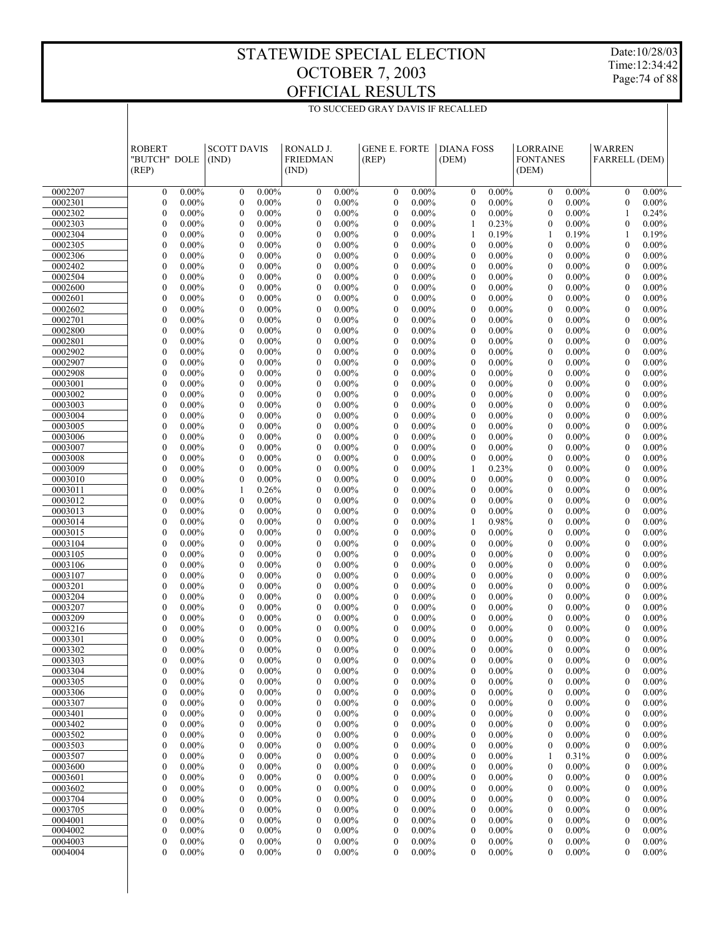Date:10/28/03 Time:12:34:42 Page:74 of 88

|                    | <b>ROBERT</b><br>"BUTCH" DOLE<br>(REP) |                      | <b>SCOTT DAVIS</b><br>(IND)                                  | RONALD J.<br><b>FRIEDMAN</b><br>(IND) |                      | <b>GENE E. FORTE</b><br>(REP)        |                      | <b>DIANA FOSS</b><br>(DEM)           |                      | <b>LORRAINE</b><br><b>FONTANES</b><br>(DEM) |                      | <b>WARREN</b><br><b>FARRELL (DEM)</b> |                      |  |
|--------------------|----------------------------------------|----------------------|--------------------------------------------------------------|---------------------------------------|----------------------|--------------------------------------|----------------------|--------------------------------------|----------------------|---------------------------------------------|----------------------|---------------------------------------|----------------------|--|
| 0002207            | $\mathbf{0}$                           | $0.00\%$             | $0.00\%$<br>$\mathbf{0}$                                     | $\boldsymbol{0}$                      | $0.00\%$             | $\mathbf{0}$                         | $0.00\%$             | $\mathbf{0}$                         | $0.00\%$             | $\mathbf{0}$                                | $0.00\%$             | $\mathbf{0}$                          | $0.00\%$             |  |
| 0002301            | $\mathbf{0}$                           | 0.00%                | $\mathbf{0}$<br>$0.00\%$                                     | $\mathbf{0}$                          | $0.00\%$             | $\mathbf{0}$                         | $0.00\%$             | $\mathbf{0}$                         | $0.00\%$             | $\mathbf{0}$                                | $0.00\%$             | $\mathbf{0}$                          | $0.00\%$             |  |
| 0002302            | 0                                      | $0.00\%$             | $\mathbf{0}$<br>$0.00\%$                                     | $\mathbf{0}$                          | $0.00\%$             | $\mathbf{0}$                         | $0.00\%$             | $\mathbf{0}$                         | $0.00\%$             | $\mathbf{0}$                                | $0.00\%$             | 1                                     | 0.24%                |  |
| 0002303            | $\overline{0}$                         | 0.00%                | $\mathbf{0}$<br>$0.00\%$                                     | $\mathbf{0}$                          | $0.00\%$             | $\mathbf{0}$                         | $0.00\%$             | $\mathbf{1}$                         | 0.23%                | $\theta$                                    | $0.00\%$             | $\mathbf{0}$                          | $0.00\%$             |  |
| 0002304            | $\overline{0}$                         | $0.00\%$             | $\mathbf{0}$<br>$0.00\%$                                     | $\mathbf{0}$                          | $0.00\%$             | $\mathbf{0}$                         | $0.00\%$             | $\mathbf{1}$                         | 0.19%                | $\mathbf{1}$                                | 0.19%                | $\mathbf{1}$                          | 0.19%                |  |
| 0002305            | $\overline{0}$                         | 0.00%                | $\mathbf{0}$<br>$0.00\%$                                     | $\mathbf{0}$                          | $0.00\%$             | $\mathbf{0}$                         | $0.00\%$             | $\mathbf{0}$                         | $0.00\%$             | $\mathbf{0}$                                | $0.00\%$             | $\mathbf{0}$                          | $0.00\%$             |  |
| 0002306<br>0002402 | $\overline{0}$<br>$\overline{0}$       | $0.00\%$<br>0.00%    | $\mathbf{0}$<br>$0.00\%$<br>$\mathbf{0}$<br>$0.00\%$         | $\mathbf{0}$<br>$\overline{0}$        | $0.00\%$<br>$0.00\%$ | $\mathbf{0}$<br>$\mathbf{0}$         | $0.00\%$<br>$0.00\%$ | $\mathbf{0}$<br>$\mathbf{0}$         | $0.00\%$<br>$0.00\%$ | $\mathbf{0}$<br>$\mathbf{0}$                | $0.00\%$<br>$0.00\%$ | $\mathbf{0}$<br>$\mathbf{0}$          | $0.00\%$<br>$0.00\%$ |  |
| 0002504            | $\overline{0}$                         | $0.00\%$             | $\mathbf{0}$<br>$0.00\%$                                     | $\mathbf{0}$                          | $0.00\%$             | $\mathbf{0}$                         | $0.00\%$             | $\mathbf{0}$                         | $0.00\%$             | $\mathbf{0}$                                | $0.00\%$             | $\mathbf{0}$                          | $0.00\%$             |  |
| 0002600            | $\overline{0}$                         | 0.00%                | $\mathbf{0}$<br>$0.00\%$                                     | $\overline{0}$                        | $0.00\%$             | $\mathbf{0}$                         | $0.00\%$             | $\mathbf{0}$                         | $0.00\%$             | $\mathbf{0}$                                | $0.00\%$             | $\mathbf{0}$                          | $0.00\%$             |  |
| 0002601            | $\overline{0}$                         | $0.00\%$             | $\mathbf{0}$<br>$0.00\%$                                     | $\mathbf{0}$                          | $0.00\%$             | $\mathbf{0}$                         | $0.00\%$             | $\mathbf{0}$                         | $0.00\%$             | $\mathbf{0}$                                | $0.00\%$             | $\mathbf{0}$                          | $0.00\%$             |  |
| 0002602            | $\overline{0}$                         | 0.00%                | $\mathbf{0}$<br>$0.00\%$                                     | $\overline{0}$                        | $0.00\%$             | $\mathbf{0}$                         | $0.00\%$             | $\mathbf{0}$                         | $0.00\%$             | $\mathbf{0}$                                | $0.00\%$             | $\mathbf{0}$                          | $0.00\%$             |  |
| 0002701            | $\overline{0}$                         | $0.00\%$             | $\mathbf{0}$<br>$0.00\%$                                     | $\mathbf{0}$                          | $0.00\%$             | $\mathbf{0}$                         | $0.00\%$             | $\mathbf{0}$                         | $0.00\%$             | $\mathbf{0}$                                | $0.00\%$             | $\mathbf{0}$                          | $0.00\%$             |  |
| 0002800            | $\overline{0}$                         | $0.00\%$             | $\mathbf{0}$<br>$0.00\%$                                     | $\mathbf{0}$                          | $0.00\%$             | $\mathbf{0}$                         | $0.00\%$             | $\mathbf{0}$                         | $0.00\%$             | $\mathbf{0}$                                | $0.00\%$             | $\mathbf{0}$                          | $0.00\%$             |  |
| 0002801            | $\overline{0}$                         | $0.00\%$             | $\mathbf{0}$<br>$0.00\%$                                     | $\mathbf{0}$                          | $0.00\%$             | $\mathbf{0}$                         | $0.00\%$             | $\mathbf{0}$                         | $0.00\%$             | $\mathbf{0}$                                | $0.00\%$             | $\mathbf{0}$                          | $0.00\%$             |  |
| 0002902            | $\overline{0}$                         | $0.00\%$             | $\mathbf{0}$<br>$0.00\%$                                     | $\overline{0}$                        | $0.00\%$<br>$0.00\%$ | $\mathbf{0}$                         | $0.00\%$             | $\mathbf{0}$                         | $0.00\%$             | $\mathbf{0}$                                | $0.00\%$             | $\mathbf{0}$                          | $0.00\%$             |  |
| 0002907<br>0002908 | $\overline{0}$<br>$\overline{0}$       | $0.00\%$<br>$0.00\%$ | $\mathbf{0}$<br>$0.00\%$<br>$\mathbf{0}$<br>$0.00\%$         | $\mathbf{0}$<br>$\overline{0}$        | $0.00\%$             | $\mathbf{0}$<br>$\mathbf{0}$         | $0.00\%$<br>$0.00\%$ | $\mathbf{0}$<br>$\mathbf{0}$         | $0.00\%$<br>$0.00\%$ | $\mathbf{0}$<br>$\mathbf{0}$                | $0.00\%$<br>$0.00\%$ | $\mathbf{0}$<br>$\mathbf{0}$          | $0.00\%$<br>$0.00\%$ |  |
| 0003001            | $\overline{0}$                         | $0.00\%$             | $\mathbf{0}$<br>$0.00\%$                                     | $\mathbf{0}$                          | $0.00\%$             | $\mathbf{0}$                         | $0.00\%$             | $\mathbf{0}$                         | $0.00\%$             | $\mathbf{0}$                                | $0.00\%$             | $\mathbf{0}$                          | $0.00\%$             |  |
| 0003002            | $\overline{0}$                         | $0.00\%$             | $\mathbf{0}$<br>$0.00\%$                                     | $\overline{0}$                        | $0.00\%$             | $\mathbf{0}$                         | $0.00\%$             | $\mathbf{0}$                         | $0.00\%$             | $\mathbf{0}$                                | $0.00\%$             | $\mathbf{0}$                          | $0.00\%$             |  |
| 0003003            | $\overline{0}$                         | $0.00\%$             | $\mathbf{0}$<br>$0.00\%$                                     | $\mathbf{0}$                          | $0.00\%$             | $\mathbf{0}$                         | $0.00\%$             | $\mathbf{0}$                         | $0.00\%$             | $\mathbf{0}$                                | $0.00\%$             | $\mathbf{0}$                          | $0.00\%$             |  |
| 0003004            | $\overline{0}$                         | $0.00\%$             | $\mathbf{0}$<br>$0.00\%$                                     | $\overline{0}$                        | $0.00\%$             | $\mathbf{0}$                         | $0.00\%$             | $\mathbf{0}$                         | $0.00\%$             | $\mathbf{0}$                                | $0.00\%$             | $\mathbf{0}$                          | $0.00\%$             |  |
| 0003005            | $\overline{0}$                         | $0.00\%$             | $\mathbf{0}$<br>$0.00\%$                                     | $\mathbf{0}$                          | $0.00\%$             | $\mathbf{0}$                         | $0.00\%$             | $\mathbf{0}$                         | $0.00\%$             | $\mathbf{0}$                                | $0.00\%$             | $\mathbf{0}$                          | $0.00\%$             |  |
| 0003006            | $\overline{0}$                         | $0.00\%$             | $\mathbf{0}$<br>$0.00\%$                                     | $\overline{0}$                        | $0.00\%$             | $\mathbf{0}$                         | $0.00\%$             | $\mathbf{0}$                         | $0.00\%$             | $\mathbf{0}$                                | $0.00\%$             | $\mathbf{0}$                          | $0.00\%$             |  |
| 0003007            | $\overline{0}$                         | $0.00\%$             | $\mathbf{0}$<br>$0.00\%$                                     | $\mathbf{0}$                          | $0.00\%$             | $\mathbf{0}$                         | $0.00\%$             | $\mathbf{0}$                         | $0.00\%$             | $\mathbf{0}$                                | $0.00\%$             | $\mathbf{0}$                          | $0.00\%$             |  |
| 0003008            | $\overline{0}$                         | $0.00\%$             | $\mathbf{0}$<br>$0.00\%$                                     | $\mathbf{0}$                          | $0.00\%$             | $\mathbf{0}$                         | $0.00\%$             | $\mathbf{0}$                         | $0.00\%$             | $\mathbf{0}$                                | $0.00\%$             | $\mathbf{0}$                          | $0.00\%$             |  |
| 0003009<br>0003010 | $\mathbf{0}$<br>$\mathbf{0}$           | $0.00\%$<br>$0.00\%$ | $\mathbf{0}$<br>$0.00\%$<br>$\mathbf{0}$<br>$0.00\%$         | $\mathbf{0}$<br>$\overline{0}$        | $0.00\%$<br>$0.00\%$ | $\mathbf{0}$<br>$\mathbf{0}$         | $0.00\%$<br>$0.00\%$ | $\mathbf{1}$<br>$\mathbf{0}$         | 0.23%<br>$0.00\%$    | $\mathbf{0}$<br>$\mathbf{0}$                | $0.00\%$             | $\mathbf{0}$<br>$\mathbf{0}$          | $0.00\%$<br>$0.00\%$ |  |
| 0003011            | $\mathbf{0}$                           | $0.00\%$             | 1<br>0.26%                                                   | $\mathbf{0}$                          | $0.00\%$             | $\mathbf{0}$                         | $0.00\%$             | $\mathbf{0}$                         | $0.00\%$             | $\mathbf{0}$                                | $0.00\%$<br>$0.00\%$ | $\mathbf{0}$                          | $0.00\%$             |  |
| 0003012            | $\mathbf{0}$                           | $0.00\%$             | $\mathbf{0}$<br>$0.00\%$                                     | $\overline{0}$                        | $0.00\%$             | $\mathbf{0}$                         | $0.00\%$             | $\mathbf{0}$                         | $0.00\%$             | $\mathbf{0}$                                | $0.00\%$             | $\mathbf{0}$                          | $0.00\%$             |  |
| 0003013            | $\mathbf{0}$                           | $0.00\%$             | $\mathbf{0}$<br>$0.00\%$                                     | $\mathbf{0}$                          | $0.00\%$             | $\mathbf{0}$                         | $0.00\%$             | $\mathbf{0}$                         | $0.00\%$             | $\mathbf{0}$                                | $0.00\%$             | $\mathbf{0}$                          | $0.00\%$             |  |
| 0003014            | $\mathbf{0}$                           | $0.00\%$             | $\mathbf{0}$<br>$0.00\%$                                     | $\overline{0}$                        | $0.00\%$             | $\mathbf{0}$                         | $0.00\%$             | $\mathbf{1}$                         | 0.98%                | $\mathbf{0}$                                | $0.00\%$             | $\mathbf{0}$                          | $0.00\%$             |  |
| 0003015            | $\mathbf{0}$                           | $0.00\%$             | $\mathbf{0}$<br>$0.00\%$                                     | $\mathbf{0}$                          | $0.00\%$             | $\mathbf{0}$                         | $0.00\%$             | $\mathbf{0}$                         | $0.00\%$             | $\mathbf{0}$                                | $0.00\%$             | $\mathbf{0}$                          | $0.00\%$             |  |
| 0003104            | $\mathbf{0}$                           | $0.00\%$             | $\mathbf{0}$<br>$0.00\%$                                     | $\overline{0}$                        | $0.00\%$             | $\mathbf{0}$                         | $0.00\%$             | $\mathbf{0}$                         | $0.00\%$             | $\mathbf{0}$                                | $0.00\%$             | $\mathbf{0}$                          | $0.00\%$             |  |
| 0003105            | $\overline{0}$                         | $0.00\%$             | $\mathbf{0}$<br>$0.00\%$                                     | $\mathbf{0}$                          | $0.00\%$             | $\mathbf{0}$                         | $0.00\%$             | $\mathbf{0}$                         | $0.00\%$             | $\mathbf{0}$                                | $0.00\%$             | $\mathbf{0}$                          | $0.00\%$             |  |
| 0003106            | $\overline{0}$<br>$\overline{0}$       | $0.00\%$<br>$0.00\%$ | $\mathbf{0}$<br>$0.00\%$<br>$\mathbf{0}$                     | $\overline{0}$<br>$\mathbf{0}$        | $0.00\%$<br>$0.00\%$ | $\mathbf{0}$<br>$\mathbf{0}$         | $0.00\%$             | $\mathbf{0}$<br>$\mathbf{0}$         | $0.00\%$<br>$0.00\%$ | $\mathbf{0}$<br>$\mathbf{0}$                | $0.00\%$             | $\mathbf{0}$<br>$\mathbf{0}$          | $0.00\%$<br>$0.00\%$ |  |
| 0003107<br>0003201 | $\overline{0}$                         | $0.00\%$             | $0.00\%$<br>$\mathbf{0}$<br>$0.00\%$                         | $\mathbf{0}$                          | $0.00\%$             | $\mathbf{0}$                         | $0.00\%$<br>$0.00\%$ | $\mathbf{0}$                         | $0.00\%$             | $\mathbf{0}$                                | $0.00\%$<br>$0.00\%$ | $\mathbf{0}$                          | $0.00\%$             |  |
| 0003204            | $\overline{0}$                         | $0.00\%$             | $\mathbf{0}$<br>$0.00\%$                                     | $\mathbf{0}$                          | $0.00\%$             | $\mathbf{0}$                         | $0.00\%$             | $\mathbf{0}$                         | $0.00\%$             | $\mathbf{0}$                                | $0.00\%$             | $\mathbf{0}$                          | $0.00\%$             |  |
| 0003207            | $\overline{0}$                         | $0.00\%$             | $\mathbf{0}$<br>$0.00\%$                                     | $\mathbf{0}$                          | $0.00\%$             | $\mathbf{0}$                         | $0.00\%$             | $\mathbf{0}$                         | $0.00\%$             | $\theta$                                    | $0.00\%$             | $\mathbf{0}$                          | $0.00\%$             |  |
| 0003209            | $\overline{0}$                         | $0.00\%$             | $\mathbf{0}$<br>$0.00\%$                                     | $\mathbf{0}$                          | $0.00\%$             | $\mathbf{0}$                         | $0.00\%$             | $\mathbf{0}$                         | $0.00\%$             | $\mathbf{0}$                                | $0.00\%$             | $\mathbf{0}$                          | $0.00\%$             |  |
| 0003216            | 0                                      | $0.00\%$             | $\mathbf{0}$<br>$0.00\%$                                     | $\mathbf{0}$                          | $0.00\%$             | $\mathbf{0}$                         | $0.00\%$             | $\mathbf{0}$                         | $0.00\%$             | $\theta$                                    | $0.00\%$             | $\mathbf{0}$                          | $0.00\%$             |  |
| 0003301            | $\overline{0}$                         | $0.00\%$             | $\mathbf{0}$<br>$0.00\%$                                     | $\theta$                              | $0.00\%$             | $\theta$                             | $0.00\%$             | $\theta$                             | $0.00\%$             | $\mathbf{0}$                                | $0.00\%$             | $\theta$                              | $0.00\%$             |  |
| 0003302            | $\overline{0}$                         | $0.00\%$             | $\mathbf{0}$<br>$0.00\%$                                     | $\mathbf{0}$                          | $0.00\%$             | $\mathbf{0}$                         | $0.00\%$             | $\mathbf{0}$                         | $0.00\%$             | $\mathbf{0}$                                | $0.00\%$             | $\mathbf{0}$                          | $0.00\%$             |  |
| 0003303            | $\boldsymbol{0}$                       | $0.00\%$             | $\boldsymbol{0}$<br>$0.00\%$                                 | $\overline{0}$                        | $0.00\%$             | $\boldsymbol{0}$                     | $0.00\%$             | $\boldsymbol{0}$                     | 0.00%                | $\boldsymbol{0}$                            | 0.00%                | $\boldsymbol{0}$                      | $0.00\%$             |  |
| 0003304<br>0003305 | 0<br>0                                 | $0.00\%$<br>0.00%    | $\boldsymbol{0}$<br>$0.00\%$<br>$0.00\%$<br>$\boldsymbol{0}$ | $\boldsymbol{0}$<br>$\boldsymbol{0}$  | $0.00\%$<br>$0.00\%$ | $\boldsymbol{0}$<br>$\boldsymbol{0}$ | $0.00\%$<br>$0.00\%$ | $\boldsymbol{0}$<br>$\boldsymbol{0}$ | $0.00\%$<br>$0.00\%$ | $\boldsymbol{0}$<br>$\boldsymbol{0}$        | $0.00\%$<br>$0.00\%$ | $\boldsymbol{0}$<br>$\boldsymbol{0}$  | $0.00\%$<br>$0.00\%$ |  |
| 0003306            | 0                                      | $0.00\%$             | $0.00\%$<br>$\boldsymbol{0}$                                 | $\boldsymbol{0}$                      | $0.00\%$             | $\boldsymbol{0}$                     | $0.00\%$             | $\boldsymbol{0}$                     | $0.00\%$             | $\boldsymbol{0}$                            | $0.00\%$             | $\boldsymbol{0}$                      | $0.00\%$             |  |
| 0003307            | 0                                      | $0.00\%$             | $\boldsymbol{0}$<br>$0.00\%$                                 | $\boldsymbol{0}$                      | $0.00\%$             | $\boldsymbol{0}$                     | $0.00\%$             | $\boldsymbol{0}$                     | $0.00\%$             | $\boldsymbol{0}$                            | $0.00\%$             | $\boldsymbol{0}$                      | $0.00\%$             |  |
| 0003401            | 0                                      | $0.00\%$             | $\boldsymbol{0}$<br>$0.00\%$                                 | $\boldsymbol{0}$                      | $0.00\%$             | $\boldsymbol{0}$                     | $0.00\%$             | $\boldsymbol{0}$                     | $0.00\%$             | $\boldsymbol{0}$                            | $0.00\%$             | $\boldsymbol{0}$                      | $0.00\%$             |  |
| 0003402            | 0                                      | 0.00%                | $\boldsymbol{0}$<br>$0.00\%$                                 | $\boldsymbol{0}$                      | $0.00\%$             | $\boldsymbol{0}$                     | $0.00\%$             | $\boldsymbol{0}$                     | $0.00\%$             | $\boldsymbol{0}$                            | $0.00\%$             | $\boldsymbol{0}$                      | $0.00\%$             |  |
| 0003502            | 0                                      | $0.00\%$             | $\boldsymbol{0}$<br>$0.00\%$                                 | $\boldsymbol{0}$                      | $0.00\%$             | $\boldsymbol{0}$                     | $0.00\%$             | $\boldsymbol{0}$                     | $0.00\%$             | $\boldsymbol{0}$                            | $0.00\%$             | $\boldsymbol{0}$                      | $0.00\%$             |  |
| 0003503            | 0                                      | 0.00%                | $\boldsymbol{0}$<br>$0.00\%$                                 | $\boldsymbol{0}$                      | $0.00\%$             | $\boldsymbol{0}$                     | $0.00\%$             | $\boldsymbol{0}$                     | $0.00\%$             | $\boldsymbol{0}$                            | $0.00\%$             | $\boldsymbol{0}$                      | $0.00\%$             |  |
| 0003507            | 0                                      | $0.00\%$             | $\boldsymbol{0}$<br>$0.00\%$                                 | $\boldsymbol{0}$                      | $0.00\%$             | $\boldsymbol{0}$                     | $0.00\%$             | $\boldsymbol{0}$                     | $0.00\%$             | -1                                          | 0.31%                | $\boldsymbol{0}$                      | $0.00\%$             |  |
| 0003600            | 0                                      | 0.00%                | $\boldsymbol{0}$<br>$0.00\%$                                 | $\boldsymbol{0}$                      | $0.00\%$             | $\boldsymbol{0}$                     | $0.00\%$             | $\boldsymbol{0}$                     | $0.00\%$             | $\boldsymbol{0}$                            | $0.00\%$             | $\boldsymbol{0}$                      | $0.00\%$             |  |
| 0003601            | 0                                      | $0.00\%$             | $\boldsymbol{0}$<br>$0.00\%$                                 | $\boldsymbol{0}$                      | $0.00\%$             | $\boldsymbol{0}$                     | $0.00\%$             | $\boldsymbol{0}$                     | $0.00\%$             | $\boldsymbol{0}$                            | $0.00\%$             | $\boldsymbol{0}$                      | $0.00\%$             |  |
| 0003602<br>0003704 | 0<br>$\boldsymbol{0}$                  | 0.00%<br>$0.00\%$    | $\boldsymbol{0}$<br>$0.00\%$<br>$\boldsymbol{0}$<br>$0.00\%$ | $\boldsymbol{0}$<br>$\boldsymbol{0}$  | $0.00\%$<br>$0.00\%$ | $\boldsymbol{0}$<br>$\boldsymbol{0}$ | $0.00\%$<br>$0.00\%$ | $\boldsymbol{0}$<br>$\boldsymbol{0}$ | $0.00\%$<br>$0.00\%$ | $\boldsymbol{0}$<br>$\boldsymbol{0}$        | $0.00\%$<br>$0.00\%$ | $\boldsymbol{0}$<br>$\boldsymbol{0}$  | $0.00\%$<br>$0.00\%$ |  |
| 0003705            | 0                                      | 0.00%                | $\boldsymbol{0}$<br>$0.00\%$                                 | $\boldsymbol{0}$                      | $0.00\%$             | $\boldsymbol{0}$                     | $0.00\%$             | $\boldsymbol{0}$                     | $0.00\%$             | $\boldsymbol{0}$                            | $0.00\%$             | $\boldsymbol{0}$                      | $0.00\%$             |  |
| 0004001            | 0                                      | $0.00\%$             | $\boldsymbol{0}$<br>$0.00\%$                                 | $\boldsymbol{0}$                      | $0.00\%$             | $\boldsymbol{0}$                     | $0.00\%$             | $\boldsymbol{0}$                     | $0.00\%$             | $\boldsymbol{0}$                            | $0.00\%$             | $\boldsymbol{0}$                      | $0.00\%$             |  |
| 0004002            | 0                                      | $0.00\%$             | $\boldsymbol{0}$<br>$0.00\%$                                 | $\boldsymbol{0}$                      | $0.00\%$             | $\boldsymbol{0}$                     | $0.00\%$             | $\boldsymbol{0}$                     | $0.00\%$             | $\boldsymbol{0}$                            | $0.00\%$             | $\boldsymbol{0}$                      | $0.00\%$             |  |
| 0004003            | 0                                      | $0.00\%$             | $\boldsymbol{0}$<br>$0.00\%$                                 | $\boldsymbol{0}$                      | $0.00\%$             | $\boldsymbol{0}$                     | $0.00\%$             | $\boldsymbol{0}$                     | $0.00\%$             | $\boldsymbol{0}$                            | $0.00\%$             | $\boldsymbol{0}$                      | $0.00\%$             |  |
| 0004004            | 0                                      | $0.00\%$             | $\mathbf{0}$<br>$0.00\%$                                     | $\mathbf{0}$                          | $0.00\%$             | $\mathbf{0}$                         | $0.00\%$             | $\mathbf{0}$                         | $0.00\%$             | $\mathbf{0}$                                | $0.00\%$             | $\mathbf{0}$                          | $0.00\%$             |  |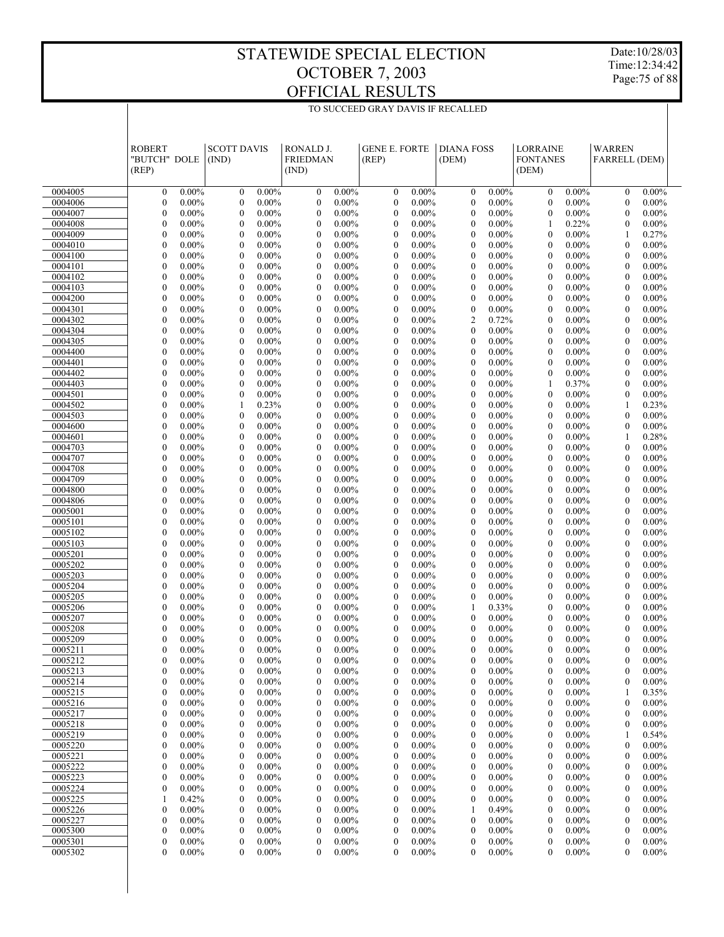Date:10/28/03 Time:12:34:42 Page:75 of 88

|                    | <b>ROBERT</b><br>"BUTCH" DOLE<br>(REP) |                      | <b>SCOTT DAVIS</b><br>(IND)                              | RONALD J.<br><b>FRIEDMAN</b><br>(IND) |                      | <b>GENE E. FORTE</b><br>(REP)        |                      | <b>DIANA FOSS</b><br>(DEM)       |                      | <b>LORRAINE</b><br><b>FONTANES</b><br>(DEM) |                      | <b>WARREN</b><br><b>FARRELL (DEM)</b> |                      |  |
|--------------------|----------------------------------------|----------------------|----------------------------------------------------------|---------------------------------------|----------------------|--------------------------------------|----------------------|----------------------------------|----------------------|---------------------------------------------|----------------------|---------------------------------------|----------------------|--|
| 0004005            | $\mathbf{0}$                           | $0.00\%$             | $0.00\%$<br>$\boldsymbol{0}$                             | $\boldsymbol{0}$                      | $0.00\%$             | $\boldsymbol{0}$                     | $0.00\%$             | $\mathbf{0}$                     | $0.00\%$             | $\mathbf{0}$                                | $0.00\%$             | $\mathbf{0}$                          | $0.00\%$             |  |
| 0004006            | $\boldsymbol{0}$                       | $0.00\%$             | $\boldsymbol{0}$<br>$0.00\%$                             | $\boldsymbol{0}$                      | $0.00\%$             | $\boldsymbol{0}$                     | $0.00\%$             | $\mathbf{0}$                     | 0.00%                | $\theta$                                    | $0.00\%$             | $\mathbf{0}$                          | $0.00\%$             |  |
| 0004007            | $\mathbf{0}$                           | $0.00\%$             | $\mathbf{0}$<br>$0.00\%$                                 | $\boldsymbol{0}$                      | $0.00\%$             | $\mathbf{0}$                         | $0.00\%$             | $\mathbf{0}$                     | $0.00\%$             | $\theta$                                    | $0.00\%$             | $\mathbf{0}$                          | $0.00\%$             |  |
| 0004008            | $\boldsymbol{0}$                       | $0.00\%$             | $\boldsymbol{0}$<br>$0.00\%$                             | $\boldsymbol{0}$                      | $0.00\%$             | $\boldsymbol{0}$                     | $0.00\%$             | $\mathbf{0}$                     | 0.00%                | 1                                           | 0.22%                | $\boldsymbol{0}$                      | $0.00\%$             |  |
| 0004009            | $\overline{0}$                         | $0.00\%$             | $\mathbf{0}$<br>$0.00\%$                                 | $\boldsymbol{0}$                      | $0.00\%$             | $\mathbf{0}$                         | $0.00\%$             | $\boldsymbol{0}$                 | $0.00\%$             | $\theta$                                    | $0.00\%$             | 1                                     | 0.27%                |  |
| 0004010            | $\boldsymbol{0}$                       | $0.00\%$             | $\boldsymbol{0}$<br>$0.00\%$                             | $\boldsymbol{0}$                      | $0.00\%$             | $\boldsymbol{0}$                     | $0.00\%$             | $\mathbf{0}$                     | 0.00%                | $\theta$                                    | $0.00\%$             | $\mathbf{0}$                          | $0.00\%$             |  |
| 0004100            | $\overline{0}$                         | $0.00\%$             | $\mathbf{0}$<br>$0.00\%$                                 | $\boldsymbol{0}$                      | $0.00\%$             | $\mathbf{0}$                         | $0.00\%$             | $\mathbf{0}$                     | $0.00\%$             | $\theta$                                    | $0.00\%$             | $\mathbf{0}$                          | $0.00\%$             |  |
| 0004101            | $\mathbf{0}$                           | $0.00\%$             | $\boldsymbol{0}$<br>$0.00\%$                             | $\boldsymbol{0}$                      | $0.00\%$             | $\boldsymbol{0}$                     | $0.00\%$             | $\mathbf{0}$                     | $0.00\%$             | $\theta$                                    | $0.00\%$             | $\boldsymbol{0}$                      | $0.00\%$             |  |
| 0004102            | $\mathbf{0}$                           | $0.00\%$             | $\mathbf{0}$<br>$0.00\%$                                 | $\boldsymbol{0}$                      | $0.00\%$             | $\boldsymbol{0}$                     | $0.00\%$             | $\mathbf{0}$                     | $0.00\%$             | $\theta$                                    | $0.00\%$             | $\mathbf{0}$                          | $0.00\%$             |  |
| 0004103            | $\mathbf{0}$                           | $0.00\%$             | $\boldsymbol{0}$<br>$0.00\%$                             | $\boldsymbol{0}$                      | $0.00\%$             | $\boldsymbol{0}$                     | $0.00\%$             | $\mathbf{0}$                     | $0.00\%$             | $\theta$                                    | $0.00\%$             | $\boldsymbol{0}$                      | $0.00\%$             |  |
| 0004200            | $\mathbf{0}$                           | $0.00\%$             | $\mathbf{0}$<br>$0.00\%$                                 | $\boldsymbol{0}$                      | $0.00\%$             | $\mathbf{0}$                         | $0.00\%$             | $\mathbf{0}$                     | $0.00\%$             | $\theta$                                    | $0.00\%$             | $\mathbf{0}$                          | $0.00\%$             |  |
| 0004301<br>0004302 | $\mathbf{0}$<br>$\mathbf{0}$           | $0.00\%$<br>$0.00\%$ | $\boldsymbol{0}$<br>$0.00\%$<br>$\mathbf{0}$<br>$0.00\%$ | $\boldsymbol{0}$<br>$\boldsymbol{0}$  | $0.00\%$<br>$0.00\%$ | $\boldsymbol{0}$<br>$\boldsymbol{0}$ | $0.00\%$<br>$0.00\%$ | $\mathbf{0}$<br>$\overline{2}$   | $0.00\%$<br>0.72%    | $\theta$<br>$\theta$                        | $0.00\%$<br>$0.00\%$ | $\boldsymbol{0}$<br>$\mathbf{0}$      | $0.00\%$<br>$0.00\%$ |  |
| 0004304            | $\boldsymbol{0}$                       | $0.00\%$             | $\boldsymbol{0}$<br>$0.00\%$                             | $\boldsymbol{0}$                      | $0.00\%$             | $\boldsymbol{0}$                     | $0.00\%$             | $\mathbf{0}$                     | $0.00\%$             | $\theta$                                    | $0.00\%$             | $\boldsymbol{0}$                      | $0.00\%$             |  |
| 0004305            | $\overline{0}$                         | $0.00\%$             | $\mathbf{0}$<br>$0.00\%$                                 | $\boldsymbol{0}$                      | $0.00\%$             | $\mathbf{0}$                         | $0.00\%$             | $\boldsymbol{0}$                 | $0.00\%$             | $\theta$                                    | $0.00\%$             | $\mathbf{0}$                          | $0.00\%$             |  |
| 0004400            | $\mathbf{0}$                           | $0.00\%$             | $\boldsymbol{0}$<br>$0.00\%$                             | $\boldsymbol{0}$                      | $0.00\%$             | $\boldsymbol{0}$                     | $0.00\%$             | $\mathbf{0}$                     | $0.00\%$             | $\theta$                                    | $0.00\%$             | $\boldsymbol{0}$                      | $0.00\%$             |  |
| 0004401            | $\overline{0}$                         | $0.00\%$             | $\mathbf{0}$<br>$0.00\%$                                 | $\boldsymbol{0}$                      | $0.00\%$             | $\mathbf{0}$                         | $0.00\%$             | $\boldsymbol{0}$                 | $0.00\%$             | $\theta$                                    | $0.00\%$             | $\mathbf{0}$                          | $0.00\%$             |  |
| 0004402            | $\mathbf{0}$                           | $0.00\%$             | $\boldsymbol{0}$<br>$0.00\%$                             | $\boldsymbol{0}$                      | $0.00\%$             | $\boldsymbol{0}$                     | $0.00\%$             | $\mathbf{0}$                     | 0.00%                | $\theta$                                    | $0.00\%$             | $\mathbf{0}$                          | $0.00\%$             |  |
| 0004403            | $\overline{0}$                         | $0.00\%$             | $\mathbf{0}$<br>$0.00\%$                                 | $\boldsymbol{0}$                      | $0.00\%$             | $\mathbf{0}$                         | $0.00\%$             | $\mathbf{0}$                     | $0.00\%$             | 1                                           | 0.37%                | $\mathbf{0}$                          | $0.00\%$             |  |
| 0004501            | $\mathbf{0}$                           | $0.00\%$             | $\boldsymbol{0}$<br>$0.00\%$                             | $\boldsymbol{0}$                      | $0.00\%$             | $\boldsymbol{0}$                     | $0.00\%$             | $\mathbf{0}$                     | 0.00%                | $\boldsymbol{0}$                            | $0.00\%$             | $\boldsymbol{0}$                      | $0.00\%$             |  |
| 0004502            | $\mathbf{0}$                           | $0.00\%$             | 1<br>0.23%                                               | $\boldsymbol{0}$                      | $0.00\%$             | $\boldsymbol{0}$                     | $0.00\%$             | $\mathbf{0}$                     | $0.00\%$             | $\theta$                                    | $0.00\%$             | 1                                     | 0.23%                |  |
| 0004503            | $\boldsymbol{0}$                       | $0.00\%$             | $\boldsymbol{0}$<br>$0.00\%$                             | $\boldsymbol{0}$                      | $0.00\%$             | $\boldsymbol{0}$                     | $0.00\%$             | $\mathbf{0}$                     | 0.00%                | $\boldsymbol{0}$                            | $0.00\%$             | $\mathbf{0}$                          | $0.00\%$             |  |
| 0004600            | $\overline{0}$                         | $0.00\%$             | $\mathbf{0}$<br>$0.00\%$                                 | $\boldsymbol{0}$                      | $0.00\%$             | $\mathbf{0}$                         | $0.00\%$             | $\mathbf{0}$                     | $0.00\%$             | $\theta$                                    | $0.00\%$             | $\mathbf{0}$                          | $0.00\%$             |  |
| 0004601            | $\mathbf{0}$                           | $0.00\%$             | $\boldsymbol{0}$<br>$0.00\%$                             | $\boldsymbol{0}$                      | $0.00\%$             | $\boldsymbol{0}$                     | $0.00\%$             | $\mathbf{0}$                     | $0.00\%$             | $\theta$                                    | $0.00\%$             | 1                                     | 0.28%                |  |
| 0004703            | $\overline{0}$                         | $0.00\%$             | $\mathbf{0}$<br>$0.00\%$                                 | $\boldsymbol{0}$                      | $0.00\%$             | $\boldsymbol{0}$                     | $0.00\%$             | $\boldsymbol{0}$                 | $0.00\%$             | $\theta$                                    | $0.00\%$             | $\mathbf{0}$                          | $0.00\%$             |  |
| 0004707            | $\boldsymbol{0}$                       | $0.00\%$             | $\boldsymbol{0}$<br>$0.00\%$                             | $\boldsymbol{0}$                      | $0.00\%$             | $\boldsymbol{0}$                     | $0.00\%$             | $\mathbf{0}$                     | $0.00\%$             | $\theta$                                    | $0.00\%$             | $\boldsymbol{0}$                      | $0.00\%$             |  |
| 0004708            | $\overline{0}$                         | $0.00\%$             | $\mathbf{0}$<br>$0.00\%$                                 | $\boldsymbol{0}$                      | $0.00\%$             | $\mathbf{0}$                         | $0.00\%$             | $\mathbf{0}$                     | $0.00\%$             | $\theta$                                    | $0.00\%$             | $\mathbf{0}$                          | $0.00\%$             |  |
| 0004709            | $\mathbf{0}$                           | $0.00\%$             | $\boldsymbol{0}$<br>$0.00\%$                             | $\boldsymbol{0}$                      | $0.00\%$             | $\boldsymbol{0}$                     | $0.00\%$             | $\mathbf{0}$                     | $0.00\%$             | $\theta$                                    | $0.00\%$             | $\boldsymbol{0}$                      | $0.00\%$             |  |
| 0004800            | $\mathbf{0}$                           | $0.00\%$             | $\mathbf{0}$<br>$0.00\%$                                 | $\boldsymbol{0}$                      | $0.00\%$             | $\boldsymbol{0}$                     | $0.00\%$             | $\mathbf{0}$                     | $0.00\%$             | $\theta$                                    | $0.00\%$             | $\mathbf{0}$                          | $0.00\%$             |  |
| 0004806            | $\mathbf{0}$                           | $0.00\%$             | $\boldsymbol{0}$<br>$0.00\%$                             | $\boldsymbol{0}$                      | $0.00\%$             | $\boldsymbol{0}$                     | $0.00\%$             | $\mathbf{0}$                     | $0.00\%$             | $\theta$                                    | $0.00\%$             | $\boldsymbol{0}$                      | $0.00\%$             |  |
| 0005001            | $\mathbf{0}$                           | $0.00\%$             | $\mathbf{0}$<br>$0.00\%$                                 | $\boldsymbol{0}$                      | $0.00\%$             | $\mathbf{0}$                         | $0.00\%$             | $\mathbf{0}$                     | $0.00\%$             | $\theta$                                    | $0.00\%$             | $\mathbf{0}$                          | $0.00\%$             |  |
| 0005101            | $\mathbf{0}$<br>$\mathbf{0}$           | $0.00\%$<br>$0.00\%$ | $\boldsymbol{0}$<br>$0.00\%$<br>$\mathbf{0}$             | $\boldsymbol{0}$                      | $0.00\%$             | $\boldsymbol{0}$                     | $0.00\%$             | $\mathbf{0}$                     | $0.00\%$<br>$0.00\%$ | $\theta$<br>$\theta$                        | $0.00\%$             | $\boldsymbol{0}$<br>$\mathbf{0}$      | $0.00\%$             |  |
| 0005102<br>0005103 | $\boldsymbol{0}$                       | $0.00\%$             | $0.00\%$<br>$\boldsymbol{0}$<br>$0.00\%$                 | $\boldsymbol{0}$<br>$\boldsymbol{0}$  | $0.00\%$<br>$0.00\%$ | $\boldsymbol{0}$<br>$\boldsymbol{0}$ | $0.00\%$<br>$0.00\%$ | $\boldsymbol{0}$<br>$\mathbf{0}$ | $0.00\%$             | $\theta$                                    | $0.00\%$<br>$0.00\%$ | $\boldsymbol{0}$                      | $0.00\%$<br>$0.00\%$ |  |
| 0005201            | $\overline{0}$                         | $0.00\%$             | $\mathbf{0}$<br>$0.00\%$                                 | $\boldsymbol{0}$                      | $0.00\%$             | $\mathbf{0}$                         | $0.00\%$             | $\mathbf{0}$                     | $0.00\%$             | $\theta$                                    | $0.00\%$             | $\mathbf{0}$                          | $0.00\%$             |  |
| 0005202            | $\mathbf{0}$                           | $0.00\%$             | $\boldsymbol{0}$<br>$0.00\%$                             | $\boldsymbol{0}$                      | $0.00\%$             | $\boldsymbol{0}$                     | $0.00\%$             | $\mathbf{0}$                     | $0.00\%$             | $\theta$                                    | $0.00\%$             | $\boldsymbol{0}$                      | $0.00\%$             |  |
| 0005203            | $\overline{0}$                         | $0.00\%$             | $\mathbf{0}$<br>$0.00\%$                                 | $\boldsymbol{0}$                      | $0.00\%$             | $\mathbf{0}$                         | $0.00\%$             | $\mathbf{0}$                     | $0.00\%$             | $\theta$                                    | $0.00\%$             | $\mathbf{0}$                          | $0.00\%$             |  |
| 0005204            | $\boldsymbol{0}$                       | $0.00\%$             | $\boldsymbol{0}$<br>$0.00\%$                             | $\boldsymbol{0}$                      | $0.00\%$             | $\boldsymbol{0}$                     | $0.00\%$             | $\mathbf{0}$                     | $0.00\%$             | $\theta$                                    | $0.00\%$             | $\boldsymbol{0}$                      | $0.00\%$             |  |
| 0005205            | $\overline{0}$                         | $0.00\%$             | $\mathbf{0}$<br>$0.00\%$                                 | $\boldsymbol{0}$                      | $0.00\%$             | $\mathbf{0}$                         | $0.00\%$             | $\mathbf{0}$                     | $0.00\%$             | $\theta$                                    | $0.00\%$             | $\mathbf{0}$                          | $0.00\%$             |  |
| 0005206            | $\mathbf{0}$                           | $0.00\%$             | $\boldsymbol{0}$<br>$0.00\%$                             | $\boldsymbol{0}$                      | $0.00\%$             | $\boldsymbol{0}$                     | $0.00\%$             | 1                                | 0.33%                | $\boldsymbol{0}$                            | $0.00\%$             | $\boldsymbol{0}$                      | $0.00\%$             |  |
| 0005207            | $\mathbf{0}$                           | $0.00\%$             | $\mathbf{0}$<br>$0.00\%$                                 | $\boldsymbol{0}$                      | $0.00\%$             | $\boldsymbol{0}$                     | $0.00\%$             | $\mathbf{0}$                     | $0.00\%$             | $\theta$                                    | $0.00\%$             | $\mathbf{0}$                          | $0.00\%$             |  |
| 0005208            | $\mathbf{0}$                           | $0.00\%$             | $\boldsymbol{0}$<br>$0.00\%$                             | $\boldsymbol{0}$                      | $0.00\%$             | $\boldsymbol{0}$                     | $0.00\%$             | $\mathbf{0}$                     | $0.00\%$             | $\theta$                                    | $0.00\%$             | $\mathbf{0}$                          | $0.00\%$             |  |
| 0005209            | $\theta$                               | $0.00\%$             | $\mathbf{0}$<br>$0.00\%$                                 | $\theta$                              | $0.00\%$             | $\mathbf{0}$                         | $0.00\%$             | $\mathbf{0}$                     | $0.00\%$             | $\theta$                                    | $0.00\%$             | $\theta$                              | $0.00\%$             |  |
| 0005211            | $\mathbf{0}$                           | $0.00\%$             | $\mathbf{0}$<br>$0.00\%$                                 | $\boldsymbol{0}$                      | $0.00\%$             | $\mathbf{0}$                         | $0.00\%$             | $\boldsymbol{0}$                 | $0.00\%$             | $\mathbf{0}$                                | $0.00\%$             | $\mathbf{0}$                          | $0.00\%$             |  |
| 0005212            | $\mathbf{0}$                           | $0.00\%$             | $\boldsymbol{0}$<br>$0.00\%$                             | $\boldsymbol{0}$                      | $0.00\%$             | $\boldsymbol{0}$                     | $0.00\%$             | $\mathbf{0}$                     | $0.00\%$             | $\boldsymbol{0}$                            | $0.00\%$             | $\mathbf{0}$                          | $0.00\%$             |  |
| 0005213            | $\boldsymbol{0}$                       | $0.00\%$             | $0.00\%$<br>0                                            | $\boldsymbol{0}$                      | $0.00\%$             | $\boldsymbol{0}$                     | $0.00\%$             | $\boldsymbol{0}$                 | $0.00\%$             | $\mathbf{0}$                                | $0.00\%$             | $\boldsymbol{0}$                      | $0.00\%$             |  |
| 0005214            | $\mathbf{0}$                           | $0.00\%$             | $\boldsymbol{0}$<br>$0.00\%$                             | $\boldsymbol{0}$                      | $0.00\%$             | $\boldsymbol{0}$                     | $0.00\%$             | $\boldsymbol{0}$                 | $0.00\%$             | $\boldsymbol{0}$                            | $0.00\%$             | $\boldsymbol{0}$                      | $0.00\%$             |  |
| 0005215            | $\boldsymbol{0}$                       | $0.00\%$             | $0.00\%$<br>0                                            | $\boldsymbol{0}$                      | $0.00\%$             | $\boldsymbol{0}$                     | $0.00\%$             | $\boldsymbol{0}$                 | $0.00\%$             | $\mathbf{0}$                                | $0.00\%$             | 1                                     | 0.35%                |  |
| 0005216            | $\boldsymbol{0}$                       | $0.00\%$             | $\boldsymbol{0}$<br>$0.00\%$                             | $\boldsymbol{0}$                      | $0.00\%$             | $\boldsymbol{0}$                     | $0.00\%$             | $\boldsymbol{0}$                 | $0.00\%$             | $\boldsymbol{0}$                            | $0.00\%$             | $\boldsymbol{0}$                      | $0.00\%$             |  |
| 0005217            | $\boldsymbol{0}$                       | $0.00\%$             | $0.00\%$<br>0                                            | $\boldsymbol{0}$                      | $0.00\%$             | $\boldsymbol{0}$                     | $0.00\%$             | $\boldsymbol{0}$                 | $0.00\%$             | $\mathbf{0}$                                | $0.00\%$             | $\boldsymbol{0}$                      | $0.00\%$             |  |
| 0005218<br>0005219 | $\boldsymbol{0}$<br>$\boldsymbol{0}$   | $0.00\%$<br>$0.00\%$ | $\boldsymbol{0}$<br>$0.00\%$<br>$0.00\%$<br>0            | $\boldsymbol{0}$<br>$\boldsymbol{0}$  | $0.00\%$<br>$0.00\%$ | $\boldsymbol{0}$<br>$\boldsymbol{0}$ | $0.00\%$<br>$0.00\%$ | $\mathbf{0}$<br>$\boldsymbol{0}$ | $0.00\%$<br>$0.00\%$ | $\boldsymbol{0}$<br>$\mathbf{0}$            | $0.00\%$<br>$0.00\%$ | $\boldsymbol{0}$<br>1                 | $0.00\%$<br>0.54%    |  |
| 0005220            | $\boldsymbol{0}$                       | $0.00\%$             | $\boldsymbol{0}$<br>$0.00\%$                             | $\boldsymbol{0}$                      | $0.00\%$             | $\boldsymbol{0}$                     | $0.00\%$             | $\mathbf{0}$                     | $0.00\%$             | $\boldsymbol{0}$                            | $0.00\%$             | $\boldsymbol{0}$                      | $0.00\%$             |  |
| 0005221            | $\boldsymbol{0}$                       | $0.00\%$             | $0.00\%$<br>0                                            | $\boldsymbol{0}$                      | $0.00\%$             | $\boldsymbol{0}$                     | $0.00\%$             | $\boldsymbol{0}$                 | $0.00\%$             | $\mathbf{0}$                                | $0.00\%$             | $\boldsymbol{0}$                      | $0.00\%$             |  |
| 0005222            | $\boldsymbol{0}$                       | $0.00\%$             | $\boldsymbol{0}$<br>$0.00\%$                             | $\boldsymbol{0}$                      | $0.00\%$             | $\boldsymbol{0}$                     | $0.00\%$             | $\mathbf{0}$                     | $0.00\%$             | $\boldsymbol{0}$                            | $0.00\%$             | $\boldsymbol{0}$                      | $0.00\%$             |  |
| 0005223            | $\boldsymbol{0}$                       | $0.00\%$             | $\boldsymbol{0}$<br>$0.00\%$                             | $\boldsymbol{0}$                      | $0.00\%$             | $\boldsymbol{0}$                     | $0.00\%$             | $\boldsymbol{0}$                 | $0.00\%$             | $\mathbf{0}$                                | $0.00\%$             | $\boldsymbol{0}$                      | $0.00\%$             |  |
| 0005224            | $\boldsymbol{0}$                       | $0.00\%$             | $\boldsymbol{0}$<br>$0.00\%$                             | $\boldsymbol{0}$                      | $0.00\%$             | $\boldsymbol{0}$                     | $0.00\%$             | $\mathbf{0}$                     | $0.00\%$             | $\boldsymbol{0}$                            | $0.00\%$             | $\boldsymbol{0}$                      | $0.00\%$             |  |
| 0005225            | 1                                      | 0.42%                | $0.00\%$<br>0                                            | $\boldsymbol{0}$                      | $0.00\%$             | $\boldsymbol{0}$                     | $0.00\%$             | $\mathbf{0}$                     | $0.00\%$             | $\mathbf{0}$                                | $0.00\%$             | $\boldsymbol{0}$                      | $0.00\%$             |  |
| 0005226            | $\boldsymbol{0}$                       | $0.00\%$             | $\boldsymbol{0}$<br>$0.00\%$                             | $\boldsymbol{0}$                      | $0.00\%$             | $\boldsymbol{0}$                     | $0.00\%$             | 1                                | 0.49%                | $\boldsymbol{0}$                            | $0.00\%$             | $\boldsymbol{0}$                      | $0.00\%$             |  |
| 0005227            | $\boldsymbol{0}$                       | $0.00\%$             | $0.00\%$<br>0                                            | $\boldsymbol{0}$                      | $0.00\%$             | $\boldsymbol{0}$                     | $0.00\%$             | $\boldsymbol{0}$                 | $0.00\%$             | $\mathbf{0}$                                | $0.00\%$             | $\boldsymbol{0}$                      | $0.00\%$             |  |
| 0005300            | $\boldsymbol{0}$                       | $0.00\%$             | $\boldsymbol{0}$<br>$0.00\%$                             | $\boldsymbol{0}$                      | $0.00\%$             | $\boldsymbol{0}$                     | $0.00\%$             | $\boldsymbol{0}$                 | $0.00\%$             | $\boldsymbol{0}$                            | $0.00\%$             | $\boldsymbol{0}$                      | $0.00\%$             |  |
| 0005301            | $\boldsymbol{0}$                       | $0.00\%$             | $\boldsymbol{0}$<br>$0.00\%$                             | $\boldsymbol{0}$                      | $0.00\%$             | $\boldsymbol{0}$                     | $0.00\%$             | $\boldsymbol{0}$                 | $0.00\%$             | $\boldsymbol{0}$                            | $0.00\%$             | $\boldsymbol{0}$                      | $0.00\%$             |  |
| 0005302            | $\mathbf{0}$                           | $0.00\%$             | $\mathbf{0}$<br>$0.00\%$                                 | $\mathbf{0}$                          | $0.00\%$             | $\mathbf{0}$                         | $0.00\%$             | $\overline{0}$                   | $0.00\%$             | $\mathbf{0}$                                | $0.00\%$             | $\mathbf{0}$                          | $0.00\%$             |  |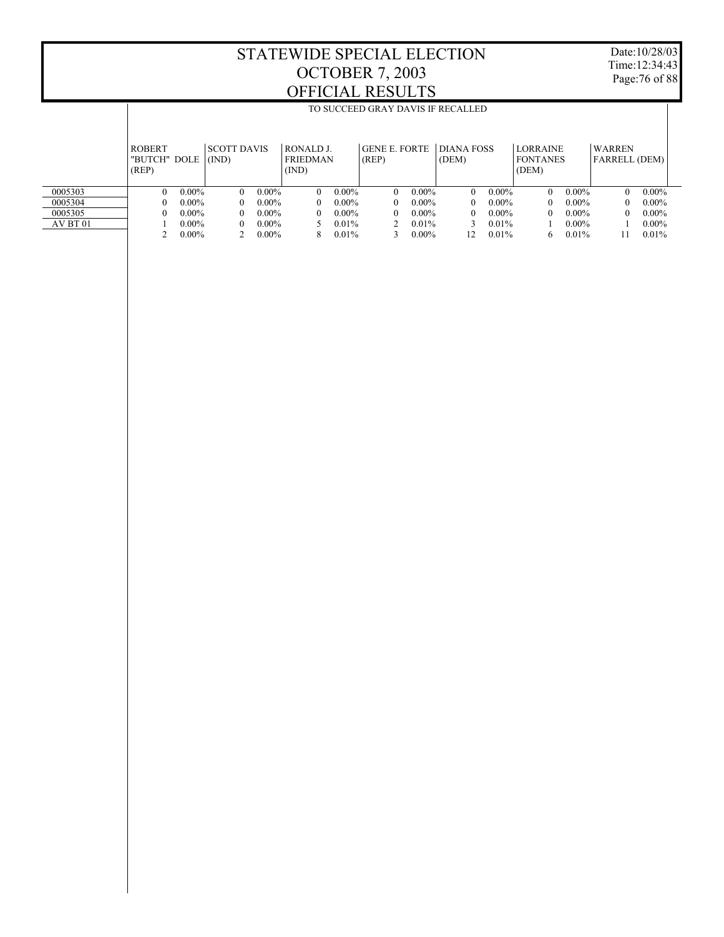Date:10/28/03 Time:12:34:43 Page:76 of 88

|          |                                        |          |                             |          |                                       |          | TO SUCCEED GRAY DAVIS IF RECALLED |          |                     |          |                                             |          |                                |          |
|----------|----------------------------------------|----------|-----------------------------|----------|---------------------------------------|----------|-----------------------------------|----------|---------------------|----------|---------------------------------------------|----------|--------------------------------|----------|
|          | <b>ROBERT</b><br>"BUTCH" DOLE<br>(REP) |          | <b>SCOTT DAVIS</b><br>(IND) |          | RONALD J.<br><b>FRIEDMAN</b><br>(IND) |          | <b>GENE E. FORTE</b><br>(REP)     |          | DIANA FOSS<br>(DEM) |          | <b>LORRAINE</b><br><b>FONTANES</b><br>(DEM) |          | WARREN<br><b>FARRELL (DEM)</b> |          |
|          |                                        |          |                             |          |                                       |          |                                   |          |                     |          |                                             |          |                                |          |
| 0005303  | 0                                      | $0.00\%$ | $\Omega$                    | $0.00\%$ | $\Omega$                              | $0.00\%$ | $\Omega$                          | $0.00\%$ | $\Omega$            | $0.00\%$ | 0                                           | $0.00\%$ | 0                              | $0.00\%$ |
| 0005304  | $_{0}$                                 | $0.00\%$ | 0                           | $0.00\%$ | 0                                     | $0.00\%$ | $\Omega$                          | $0.00\%$ | $^{\circ}$          | $0.00\%$ |                                             | $0.00\%$ |                                | $0.00\%$ |
| 0005305  | 0                                      | $0.00\%$ | $\Omega$                    | $0.00\%$ | $\theta$                              | $0.00\%$ | $\Omega$                          | $0.00\%$ | $^{\circ}$          | $0.00\%$ |                                             | $0.00\%$ |                                | $0.00\%$ |
| AV BT 01 |                                        | $0.00\%$ | 0                           | $0.00\%$ |                                       | $0.01\%$ |                                   | $0.01\%$ |                     | $0.01\%$ |                                             | $0.00\%$ |                                | $0.00\%$ |
|          |                                        | $0.00\%$ |                             | $0.00\%$ | 8                                     | 0.01%    |                                   | $0.00\%$ | 12                  | $0.01\%$ | <sub>6</sub>                                | $0.01\%$ |                                | 0.01%    |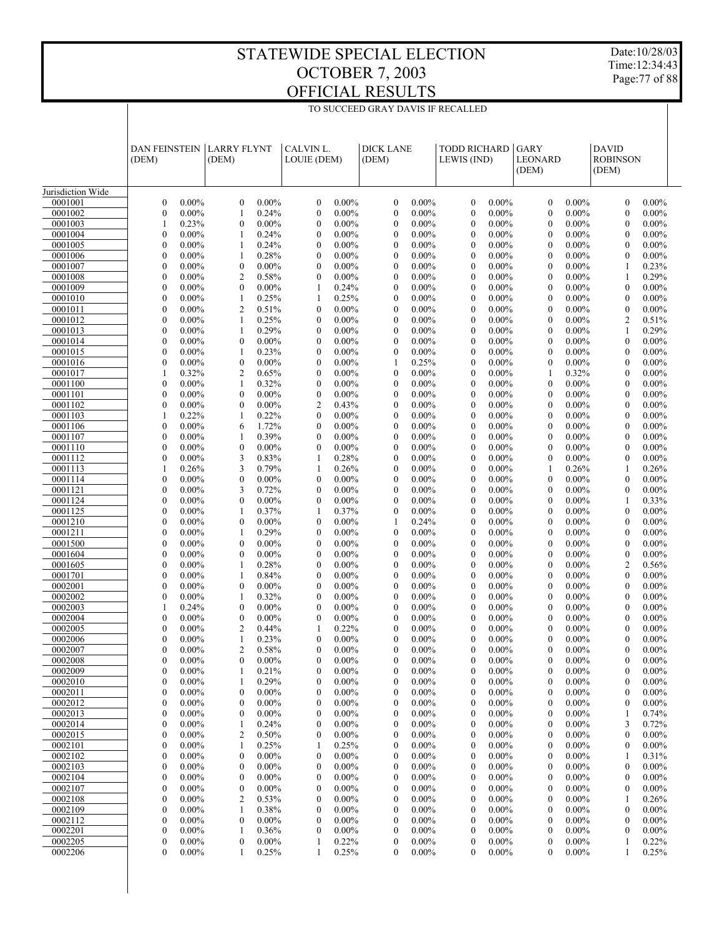Date:10/28/03 Time:12:34:43 Page:77 of 88

|                    | <b>DAN FEINSTEIN</b><br>(DEM)        |                      | <b>LARRY FLYNT</b><br>(DEM)      |                      | CALVIN L.<br>LOUIE (DEM)             |                      | <b>DICK LANE</b><br>(DEM)            |                      | <b>TODD RICHARD</b><br>LEWIS (IND) |                      | GARY<br>LEONARD<br>(DEM)         |                      | <b>DAVID</b><br><b>ROBINSON</b><br>(DEM) |                      |  |
|--------------------|--------------------------------------|----------------------|----------------------------------|----------------------|--------------------------------------|----------------------|--------------------------------------|----------------------|------------------------------------|----------------------|----------------------------------|----------------------|------------------------------------------|----------------------|--|
| Jurisdiction Wide  |                                      |                      |                                  |                      |                                      |                      |                                      |                      |                                    |                      |                                  |                      |                                          |                      |  |
| 0001001            | $\boldsymbol{0}$                     | $0.00\%$             | $\mathbf{0}$                     | $0.00\%$             | $\boldsymbol{0}$                     | $0.00\%$             | $\boldsymbol{0}$                     | $0.00\%$             | $\mathbf{0}$                       | $0.00\%$             | $\mathbf{0}$                     | $0.00\%$             | $\boldsymbol{0}$                         | $0.00\%$             |  |
| 0001002            | $\mathbf{0}$                         | $0.00\%$             | $\mathbf{1}$                     | 0.24%                | $\mathbf{0}$                         | $0.00\%$             | $\boldsymbol{0}$                     | $0.00\%$             | $\mathbf{0}$                       | $0.00\%$             | $\mathbf{0}$                     | $0.00\%$             | $\mathbf{0}$                             | $0.00\%$             |  |
| 0001003            | $\mathbf{1}$                         | 0.23%                | $\boldsymbol{0}$                 | $0.00\%$             | $\boldsymbol{0}$                     | $0.00\%$             | $\boldsymbol{0}$                     | $0.00\%$             | $\boldsymbol{0}$                   | 0.00%                | $\mathbf{0}$                     | $0.00\%$             | $\mathbf{0}$                             | $0.00\%$             |  |
| 0001004            | $\overline{0}$                       | $0.00\%$             | 1                                | 0.24%                | $\mathbf{0}$                         | $0.00\%$             | $\mathbf{0}$                         | $0.00\%$             | $\mathbf{0}$                       | $0.00\%$             | $\mathbf{0}$                     | $0.00\%$             | $\mathbf{0}$                             | $0.00\%$             |  |
| 0001005            | $\boldsymbol{0}$<br>$\overline{0}$   | $0.00\%$<br>$0.00\%$ | 1<br>$\mathbf{1}$                | 0.24%                | $\boldsymbol{0}$<br>$\mathbf{0}$     | $0.00\%$<br>$0.00\%$ | $\boldsymbol{0}$<br>$\mathbf{0}$     | $0.00\%$             | $\boldsymbol{0}$<br>$\mathbf{0}$   | 0.00%<br>$0.00\%$    | $\mathbf{0}$                     | $0.00\%$             | $\mathbf{0}$                             | $0.00\%$             |  |
| 0001006<br>0001007 | $\boldsymbol{0}$                     | $0.00\%$             | $\boldsymbol{0}$                 | 0.28%<br>$0.00\%$    | $\boldsymbol{0}$                     | $0.00\%$             | $\boldsymbol{0}$                     | $0.00\%$<br>$0.00\%$ | $\boldsymbol{0}$                   | 0.00%                | $\mathbf{0}$<br>$\mathbf{0}$     | $0.00\%$<br>$0.00\%$ | $\mathbf{0}$<br>1                        | $0.00\%$<br>0.23%    |  |
| 0001008            | $\overline{0}$                       | $0.00\%$             | $\overline{2}$                   | 0.58%                | $\mathbf{0}$                         | $0.00\%$             | $\mathbf{0}$                         | $0.00\%$             | $\mathbf{0}$                       | 0.00%                | $\mathbf{0}$                     | $0.00\%$             | 1                                        | 0.29%                |  |
| 0001009            | $\boldsymbol{0}$                     | $0.00\%$             | $\boldsymbol{0}$                 | $0.00\%$             | 1                                    | 0.24%                | $\boldsymbol{0}$                     | $0.00\%$             | $\boldsymbol{0}$                   | 0.00%                | $\mathbf{0}$                     | $0.00\%$             | $\mathbf{0}$                             | $0.00\%$             |  |
| 0001010            | $\overline{0}$                       | $0.00\%$             | $\mathbf{1}$                     | 0.25%                | 1                                    | 0.25%                | $\mathbf{0}$                         | $0.00\%$             | $\mathbf{0}$                       | $0.00\%$             | $\theta$                         | $0.00\%$             | $\mathbf{0}$                             | $0.00\%$             |  |
| 0001011            | $\boldsymbol{0}$                     | $0.00\%$             | $\overline{2}$                   | 0.51%                | $\boldsymbol{0}$                     | $0.00\%$             | $\boldsymbol{0}$                     | $0.00\%$             | $\boldsymbol{0}$                   | 0.00%                | $\mathbf{0}$                     | $0.00\%$             | $\mathbf{0}$                             | $0.00\%$             |  |
| 0001012            | $\overline{0}$                       | $0.00\%$             | 1                                | 0.25%                | $\mathbf{0}$                         | $0.00\%$             | $\mathbf{0}$                         | $0.00\%$             | $\mathbf{0}$                       | 0.00%                | $\mathbf{0}$                     | $0.00\%$             | $\overline{2}$                           | 0.51%                |  |
| 0001013            | $\boldsymbol{0}$                     | $0.00\%$             | 1                                | 0.29%                | $\boldsymbol{0}$                     | $0.00\%$             | $\boldsymbol{0}$                     | $0.00\%$             | $\boldsymbol{0}$                   | 0.00%                | $\mathbf{0}$                     | $0.00\%$             | 1                                        | 0.29%                |  |
| 0001014            | $\overline{0}$                       | $0.00\%$             | $\boldsymbol{0}$                 | $0.00\%$             | $\mathbf{0}$                         | $0.00\%$             | $\mathbf{0}$                         | $0.00\%$             | $\mathbf{0}$                       | $0.00\%$             | $\mathbf{0}$                     | $0.00\%$             | $\mathbf{0}$                             | $0.00\%$             |  |
| 0001015<br>0001016 | $\boldsymbol{0}$<br>$\overline{0}$   | $0.00\%$<br>$0.00\%$ | 1<br>$\boldsymbol{0}$            | 0.23%<br>$0.00\%$    | $\boldsymbol{0}$<br>$\mathbf{0}$     | $0.00\%$<br>$0.00\%$ | $\boldsymbol{0}$<br>1                | $0.00\%$<br>0.25%    | $\boldsymbol{0}$<br>$\mathbf{0}$   | 0.00%<br>0.00%       | $\mathbf{0}$<br>$\mathbf{0}$     | $0.00\%$<br>$0.00\%$ | $\mathbf{0}$<br>$\mathbf{0}$             | $0.00\%$<br>$0.00\%$ |  |
| 0001017            | $\mathbf{1}$                         | 0.32%                | $\overline{c}$                   | 0.65%                | $\boldsymbol{0}$                     | $0.00\%$             | $\boldsymbol{0}$                     | $0.00\%$             | $\boldsymbol{0}$                   | 0.00%                | $\mathbf{1}$                     | 0.32%                | $\mathbf{0}$                             | $0.00\%$             |  |
| 0001100            | $\overline{0}$                       | $0.00\%$             | $\mathbf{1}$                     | 0.32%                | $\mathbf{0}$                         | $0.00\%$             | $\mathbf{0}$                         | $0.00\%$             | $\mathbf{0}$                       | $0.00\%$             | $\theta$                         | $0.00\%$             | $\mathbf{0}$                             | $0.00\%$             |  |
| 0001101            | $\boldsymbol{0}$                     | $0.00\%$             | $\boldsymbol{0}$                 | $0.00\%$             | $\boldsymbol{0}$                     | $0.00\%$             | $\boldsymbol{0}$                     | $0.00\%$             | $\boldsymbol{0}$                   | 0.00%                | $\mathbf{0}$                     | $0.00\%$             | $\mathbf{0}$                             | $0.00\%$             |  |
| 0001102            | $\overline{0}$                       | $0.00\%$             | $\boldsymbol{0}$                 | $0.00\%$             | $\overline{2}$                       | 0.43%                | $\mathbf{0}$                         | $0.00\%$             | $\mathbf{0}$                       | 0.00%                | $\mathbf{0}$                     | $0.00\%$             | $\mathbf{0}$                             | $0.00\%$             |  |
| 0001103            | $\mathbf{1}$                         | 0.22%                | 1                                | 0.22%                | $\boldsymbol{0}$                     | $0.00\%$             | $\boldsymbol{0}$                     | $0.00\%$             | $\boldsymbol{0}$                   | 0.00%                | $\mathbf{0}$                     | $0.00\%$             | $\mathbf{0}$                             | $0.00\%$             |  |
| 0001106            | $\overline{0}$                       | $0.00\%$             | 6                                | 1.72%                | $\mathbf{0}$                         | $0.00\%$             | $\mathbf{0}$                         | $0.00\%$             | $\mathbf{0}$                       | $0.00\%$             | $\theta$                         | $0.00\%$             | $\mathbf{0}$                             | $0.00\%$             |  |
| 0001107            | $\boldsymbol{0}$                     | $0.00\%$             | 1                                | 0.39%                | $\boldsymbol{0}$                     | $0.00\%$             | $\boldsymbol{0}$                     | $0.00\%$             | $\boldsymbol{0}$                   | 0.00%                | $\mathbf{0}$                     | $0.00\%$             | $\mathbf{0}$                             | $0.00\%$             |  |
| 0001110            | $\overline{0}$                       | $0.00\%$             | $\boldsymbol{0}$                 | $0.00\%$             | $\mathbf{0}$                         | $0.00\%$             | $\mathbf{0}$                         | $0.00\%$             | $\mathbf{0}$                       | $0.00\%$             | $\mathbf{0}$                     | $0.00\%$             | $\mathbf{0}$                             | $0.00\%$             |  |
| 0001112<br>0001113 | $\boldsymbol{0}$<br>1                | $0.00\%$<br>0.26%    | 3<br>3                           | 0.83%<br>0.79%       | 1<br>1                               | 0.28%<br>0.26%       | $\boldsymbol{0}$<br>$\mathbf{0}$     | $0.00\%$<br>$0.00\%$ | $\boldsymbol{0}$<br>$\mathbf{0}$   | 0.00%<br>$0.00\%$    | $\mathbf{0}$<br>1                | $0.00\%$<br>0.26%    | $\mathbf{0}$<br>1                        | $0.00\%$<br>0.26%    |  |
| 0001114            | $\boldsymbol{0}$                     | $0.00\%$             | $\boldsymbol{0}$                 | $0.00\%$             | $\boldsymbol{0}$                     | $0.00\%$             | $\boldsymbol{0}$                     | $0.00\%$             | $\boldsymbol{0}$                   | 0.00%                | $\theta$                         | $0.00\%$             | $\mathbf{0}$                             | $0.00\%$             |  |
| 0001121            | $\overline{0}$                       | $0.00\%$             | 3                                | 0.72%                | $\mathbf{0}$                         | $0.00\%$             | $\mathbf{0}$                         | $0.00\%$             | $\mathbf{0}$                       | $0.00\%$             | $\mathbf{0}$                     | $0.00\%$             | $\mathbf{0}$                             | $0.00\%$             |  |
| 0001124            | $\boldsymbol{0}$                     | $0.00\%$             | $\boldsymbol{0}$                 | $0.00\%$             | $\boldsymbol{0}$                     | $0.00\%$             | $\boldsymbol{0}$                     | $0.00\%$             | $\boldsymbol{0}$                   | 0.00%                | $\mathbf{0}$                     | $0.00\%$             | 1                                        | 0.33%                |  |
| 0001125            | $\overline{0}$                       | $0.00\%$             | 1                                | 0.37%                | 1                                    | 0.37%                | $\boldsymbol{0}$                     | $0.00\%$             | $\mathbf{0}$                       | $0.00\%$             | $\theta$                         | $0.00\%$             | $\mathbf{0}$                             | $0.00\%$             |  |
| 0001210            | $\boldsymbol{0}$                     | $0.00\%$             | $\boldsymbol{0}$                 | $0.00\%$             | $\boldsymbol{0}$                     | $0.00\%$             | $\mathbf{1}$                         | 0.24%                | $\boldsymbol{0}$                   | $0.00\%$             | $\mathbf{0}$                     | $0.00\%$             | $\mathbf{0}$                             | $0.00\%$             |  |
| 0001211            | $\overline{0}$                       | $0.00\%$             | 1                                | 0.29%                | $\mathbf{0}$                         | $0.00\%$             | $\mathbf{0}$                         | $0.00\%$             | $\mathbf{0}$                       | $0.00\%$             | $\mathbf{0}$                     | $0.00\%$             | $\mathbf{0}$                             | $0.00\%$             |  |
| 0001500            | $\boldsymbol{0}$<br>$\overline{0}$   | $0.00\%$<br>$0.00\%$ | $\boldsymbol{0}$<br>$\mathbf{0}$ | $0.00\%$<br>$0.00\%$ | $\boldsymbol{0}$<br>$\mathbf{0}$     | $0.00\%$<br>$0.00\%$ | $\boldsymbol{0}$<br>$\mathbf{0}$     | $0.00\%$<br>$0.00\%$ | $\boldsymbol{0}$<br>$\mathbf{0}$   | $0.00\%$<br>$0.00\%$ | $\mathbf{0}$<br>$\theta$         | $0.00\%$<br>$0.00\%$ | $\mathbf{0}$<br>$\mathbf{0}$             | $0.00\%$<br>$0.00\%$ |  |
| 0001604<br>0001605 | $\boldsymbol{0}$                     | $0.00\%$             | 1                                | 0.28%                | $\boldsymbol{0}$                     | $0.00\%$             | $\boldsymbol{0}$                     | $0.00\%$             | $\boldsymbol{0}$                   | $0.00\%$             | $\mathbf{0}$                     | $0.00\%$             | $\overline{2}$                           | 0.56%                |  |
| 0001701            | $\overline{0}$                       | $0.00\%$             | 1                                | 0.84%                | $\mathbf{0}$                         | $0.00\%$             | $\mathbf{0}$                         | $0.00\%$             | $\mathbf{0}$                       | $0.00\%$             | $\mathbf{0}$                     | $0.00\%$             | $\mathbf{0}$                             | $0.00\%$             |  |
| 0002001            | $\boldsymbol{0}$                     | $0.00\%$             | $\boldsymbol{0}$                 | $0.00\%$             | $\boldsymbol{0}$                     | $0.00\%$             | $\boldsymbol{0}$                     | $0.00\%$             | $\boldsymbol{0}$                   | $0.00\%$             | $\mathbf{0}$                     | $0.00\%$             | $\mathbf{0}$                             | $0.00\%$             |  |
| 0002002            | $\boldsymbol{0}$                     | $0.00\%$             | 1                                | 0.32%                | $\mathbf{0}$                         | $0.00\%$             | $\mathbf{0}$                         | $0.00\%$             | $\mathbf{0}$                       | $0.00\%$             | $\mathbf{0}$                     | $0.00\%$             | $\mathbf{0}$                             | $0.00\%$             |  |
| 0002003            | $\mathbf{1}$                         | 0.24%                | $\boldsymbol{0}$                 | $0.00\%$             | $\boldsymbol{0}$                     | $0.00\%$             | $\boldsymbol{0}$                     | $0.00\%$             | $\boldsymbol{0}$                   | $0.00\%$             | $\mathbf{0}$                     | $0.00\%$             | $\mathbf{0}$                             | $0.00\%$             |  |
| 0002004            | $\overline{0}$                       | $0.00\%$             | $\boldsymbol{0}$                 | $0.00\%$             | $\boldsymbol{0}$                     | $0.00\%$             | $\mathbf{0}$                         | $0.00\%$             | $\mathbf{0}$                       | $0.00\%$             | $\mathbf{0}$                     | $0.00\%$             | $\mathbf{0}$                             | $0.00\%$             |  |
| 0002005            | $\boldsymbol{0}$                     | $0.00\%$             | $\overline{c}$                   | 0.44%                | 1<br>$\theta$                        | 0.22%                | $\boldsymbol{0}$                     | $0.00\%$             | $\mathbf{0}$<br>$\theta$           | $0.00\%$             | $\mathbf{0}$                     | $0.00\%$             | $\mathbf{0}$                             | $0.00\%$             |  |
| 0002006<br>0002007 | $\overline{0}$<br>$\mathbf{0}$       | $0.00\%$<br>$0.00\%$ | 1<br>$\overline{2}$              | 0.23%<br>0.58%       | $\mathbf{0}$                         | $0.00\%$<br>$0.00\%$ | $\mathbf{0}$<br>$\mathbf{0}$         | $0.00\%$<br>$0.00\%$ | $\mathbf{0}$                       | $0.00\%$<br>$0.00\%$ | $\theta$<br>$\mathbf{0}$         | $0.00\%$<br>$0.00\%$ | $\theta$<br>$\overline{0}$               | $0.00\%$<br>$0.00\%$ |  |
| 0002008            | $\boldsymbol{0}$                     | $0.00\%$             | $\mathbf{0}$                     | $0.00\%$             | $\overline{0}$                       | $0.00\%$             | $\boldsymbol{0}$                     | $0.00\%$             | $\boldsymbol{0}$                   | $0.00\%$             | $\boldsymbol{0}$                 | $0.00\%$             | $\overline{0}$                           | $0.00\%$             |  |
| 0002009            | $\boldsymbol{0}$                     | $0.00\%$             | 1                                | 0.21%                | $\boldsymbol{0}$                     | $0.00\%$             | $\boldsymbol{0}$                     | $0.00\%$             | $\mathbf{0}$                       | $0.00\%$             | $\boldsymbol{0}$                 | $0.00\%$             | $\mathbf{0}$                             | $0.00\%$             |  |
| 0002010            | 0                                    | $0.00\%$             | 1                                | 0.29%                | $\boldsymbol{0}$                     | $0.00\%$             | $\boldsymbol{0}$                     | $0.00\%$             | $\mathbf{0}$                       | $0.00\%$             | 0                                | $0.00\%$             | $\boldsymbol{0}$                         | $0.00\%$             |  |
| 0002011            | $\boldsymbol{0}$                     | $0.00\%$             | $\boldsymbol{0}$                 | $0.00\%$             | $\boldsymbol{0}$                     | $0.00\%$             | $\boldsymbol{0}$                     | $0.00\%$             | $\mathbf{0}$                       | $0.00\%$             | $\boldsymbol{0}$                 | $0.00\%$             | $\boldsymbol{0}$                         | $0.00\%$             |  |
| 0002012            | 0                                    | $0.00\%$             | $\boldsymbol{0}$                 | $0.00\%$             | $\boldsymbol{0}$                     | $0.00\%$             | $\boldsymbol{0}$                     | $0.00\%$             | $\mathbf{0}$                       | $0.00\%$             | $\mathbf{0}$                     | $0.00\%$             | $\boldsymbol{0}$                         | $0.00\%$             |  |
| 0002013            | $\boldsymbol{0}$                     | $0.00\%$             | $\boldsymbol{0}$                 | $0.00\%$             | $\boldsymbol{0}$                     | $0.00\%$             | $\boldsymbol{0}$                     | $0.00\%$             | $\boldsymbol{0}$                   | $0.00\%$             | $\boldsymbol{0}$                 | $0.00\%$             | 1                                        | 0.74%                |  |
| 0002014<br>0002015 | $\boldsymbol{0}$<br>$\boldsymbol{0}$ | $0.00\%$             | 1                                | 0.24%                | $\boldsymbol{0}$                     | $0.00\%$             | $\boldsymbol{0}$<br>$\boldsymbol{0}$ | $0.00\%$             | $\mathbf{0}$                       | $0.00\%$             | $\mathbf{0}$                     | $0.00\%$             | 3                                        | 0.72%                |  |
| 0002101            | $\boldsymbol{0}$                     | $0.00\%$<br>$0.00\%$ | 2<br>1                           | 0.50%<br>0.25%       | $\boldsymbol{0}$<br>1                | $0.00\%$<br>0.25%    | $\boldsymbol{0}$                     | $0.00\%$<br>$0.00\%$ | $\boldsymbol{0}$<br>$\mathbf{0}$   | $0.00\%$<br>$0.00\%$ | $\boldsymbol{0}$<br>$\mathbf{0}$ | $0.00\%$<br>$0.00\%$ | $\boldsymbol{0}$<br>$\boldsymbol{0}$     | $0.00\%$<br>$0.00\%$ |  |
| 0002102            | $\boldsymbol{0}$                     | $0.00\%$             | $\boldsymbol{0}$                 | $0.00\%$             | $\boldsymbol{0}$                     | $0.00\%$             | $\boldsymbol{0}$                     | $0.00\%$             | $\boldsymbol{0}$                   | $0.00\%$             | $\boldsymbol{0}$                 | $0.00\%$             | 1                                        | 0.31%                |  |
| 0002103            | $\boldsymbol{0}$                     | $0.00\%$             | $\boldsymbol{0}$                 | $0.00\%$             | $\boldsymbol{0}$                     | $0.00\%$             | $\boldsymbol{0}$                     | $0.00\%$             | $\mathbf{0}$                       | $0.00\%$             | $\boldsymbol{0}$                 | $0.00\%$             | $\boldsymbol{0}$                         | $0.00\%$             |  |
| 0002104            | $\boldsymbol{0}$                     | $0.00\%$             | $\boldsymbol{0}$                 | $0.00\%$             | $\boldsymbol{0}$                     | $0.00\%$             | $\boldsymbol{0}$                     | $0.00\%$             | $\boldsymbol{0}$                   | $0.00\%$             | $\boldsymbol{0}$                 | $0.00\%$             | $\boldsymbol{0}$                         | $0.00\%$             |  |
| 0002107            | $\boldsymbol{0}$                     | $0.00\%$             | $\boldsymbol{0}$                 | $0.00\%$             | $\boldsymbol{0}$                     | $0.00\%$             | $\boldsymbol{0}$                     | $0.00\%$             | $\mathbf{0}$                       | $0.00\%$             | $\mathbf{0}$                     | $0.00\%$             | $\boldsymbol{0}$                         | $0.00\%$             |  |
| 0002108            | $\boldsymbol{0}$                     | $0.00\%$             | $\overline{c}$                   | 0.53%                | $\boldsymbol{0}$                     | $0.00\%$             | $\boldsymbol{0}$                     | $0.00\%$             | $\boldsymbol{0}$                   | $0.00\%$             | $\mathbf{0}$                     | $0.00\%$             | 1                                        | 0.26%                |  |
| 0002109            | 0                                    | $0.00\%$             | 1                                | 0.38%                | $\boldsymbol{0}$                     | $0.00\%$             | $\boldsymbol{0}$                     | $0.00\%$             | $\mathbf{0}$                       | $0.00\%$             | $\mathbf{0}$                     | $0.00\%$             | $\boldsymbol{0}$                         | $0.00\%$             |  |
| 0002112<br>0002201 | $\boldsymbol{0}$<br>0                | $0.00\%$<br>$0.00\%$ | $\boldsymbol{0}$<br>1            | $0.00\%$             | $\boldsymbol{0}$<br>$\boldsymbol{0}$ | $0.00\%$             | $\boldsymbol{0}$<br>$\boldsymbol{0}$ | $0.00\%$<br>$0.00\%$ | $\boldsymbol{0}$<br>$\mathbf{0}$   | $0.00\%$             | $\mathbf{0}$<br>$\mathbf{0}$     | $0.00\%$             | $\boldsymbol{0}$<br>$\boldsymbol{0}$     | $0.00\%$             |  |
| 0002205            | $\boldsymbol{0}$                     | $0.00\%$             | $\boldsymbol{0}$                 | 0.36%<br>$0.00\%$    | 1                                    | $0.00\%$<br>0.22%    | $\boldsymbol{0}$                     | $0.00\%$             | $\mathbf{0}$                       | $0.00\%$<br>$0.00\%$ | $\mathbf{0}$                     | $0.00\%$<br>$0.00\%$ | 1                                        | $0.00\%$<br>0.22%    |  |
| 0002206            | $\overline{0}$                       | $0.00\%$             | 1                                | 0.25%                | 1                                    | 0.25%                | $\mathbf{0}$                         | $0.00\%$             | $\mathbf{0}$                       | $0.00\%$             | 0                                | $0.00\%$             | 1                                        | 0.25%                |  |
|                    |                                      |                      |                                  |                      |                                      |                      |                                      |                      |                                    |                      |                                  |                      |                                          |                      |  |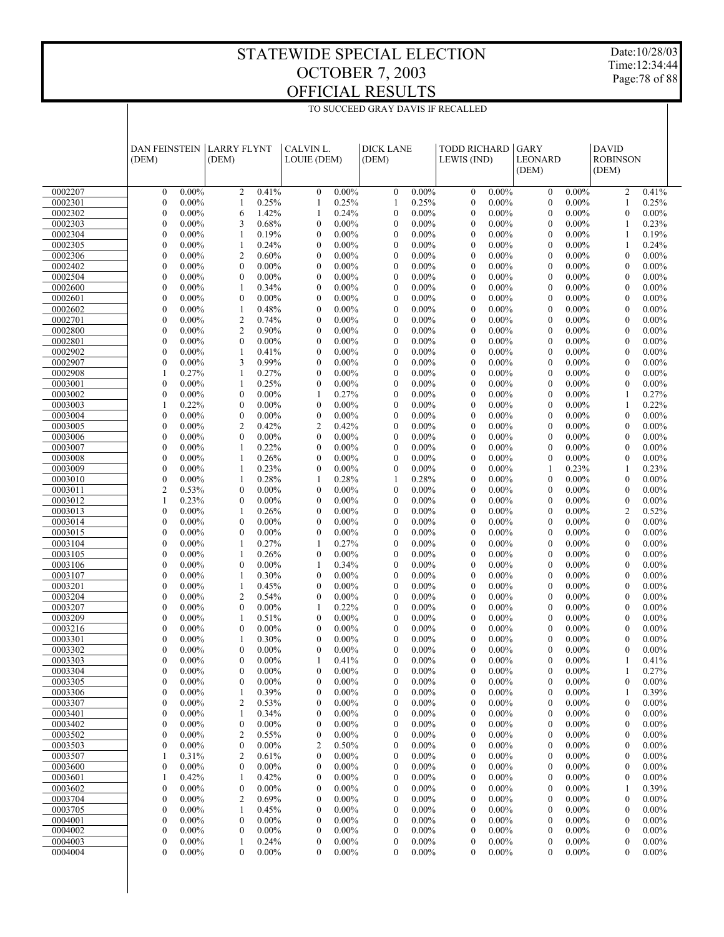Date:10/28/03 Time:12:34:44 Page:78 of 88

| $0.00\%$<br>0.41%<br>$0.00\%$<br>$0.00\%$<br>0002207<br>$\mathbf{0}$<br>$\overline{c}$<br>$\mathbf{0}$<br>$\mathbf{0}$<br>$\mathbf{0}$<br>0.00%<br>$\mathbf{0}$<br>$0.00\%$<br>$\overline{2}$<br>0.41%<br>0.25%<br>0.25%<br>$0.00\%$<br>$0.00\%$<br>0002301<br>$\mathbf{0}$<br>$0.00\%$<br>0.25%<br>$\mathbf{0}$<br>$\mathbf{0}$<br>0.25%<br>1<br>1<br>1<br>$\mathbf{1}$<br>$\mathbf{0}$<br>6<br>1.42%<br>0.24%<br>$\mathbf{0}$<br>$0.00\%$<br>$\mathbf{0}$<br>0.00%<br>$\theta$<br>$0.00\%$<br>$\mathbf{0}$<br>$0.00\%$<br>0002302<br>$0.00\%$<br>1<br>$\overline{0}$<br>0002303<br>$0.00\%$<br>3<br>0.68%<br>$\mathbf{0}$<br>$0.00\%$<br>$\mathbf{0}$<br>$0.00\%$<br>$\mathbf{0}$<br>$0.00\%$<br>$\mathbf{0}$<br>$0.00\%$<br>0.23%<br>1<br>$\mathbf{0}$<br>$0.00\%$<br>0.19%<br>$\mathbf{0}$<br>$0.00\%$<br>$\mathbf{0}$<br>$0.00\%$<br>$\mathbf{0}$<br>0.00%<br>$\theta$<br>$0.00\%$<br>0.19%<br>0002304<br>1<br>-1<br>0002305<br>$\mathbf{0}$<br>$0.00\%$<br>0.24%<br>$\mathbf{0}$<br>$0.00\%$<br>$\mathbf{0}$<br>$0.00\%$<br>$\mathbf{0}$<br>$0.00\%$<br>$\mathbf{0}$<br>$0.00\%$<br>0.24%<br>1<br>1<br>$\mathbf{0}$<br>$0.00\%$<br>$\overline{2}$<br>0.60%<br>$\mathbf{0}$<br>$0.00\%$<br>$\mathbf{0}$<br>$0.00\%$<br>$\mathbf{0}$<br>0.00%<br>$\theta$<br>$0.00\%$<br>$\mathbf{0}$<br>$0.00\%$<br>0002306<br>$\overline{0}$<br>$0.00\%$<br>$\mathbf{0}$<br>$0.00\%$<br>$\boldsymbol{0}$<br>$0.00\%$<br>$\mathbf{0}$<br>$0.00\%$<br>$\mathbf{0}$<br>0.00%<br>$\mathbf{0}$<br>$0.00\%$<br>$\mathbf{0}$<br>$0.00\%$<br>0002402<br>$\mathbf{0}$<br>$0.00\%$<br>$\mathbf{0}$<br>$0.00\%$<br>$\mathbf{0}$<br>$0.00\%$<br>$\mathbf{0}$<br>$0.00\%$<br>$\mathbf{0}$<br>0.00%<br>$\theta$<br>$0.00\%$<br>$0.00\%$<br>0002504<br>$\mathbf{0}$<br>$\mathbf{0}$<br>$0.00\%$<br>$\boldsymbol{0}$<br>$0.00\%$<br>$\boldsymbol{0}$<br>$0.00\%$<br>$\mathbf{0}$<br>$0.00\%$<br>$\mathbf{0}$<br>$0.00\%$<br>$\mathbf{0}$<br>$0.00\%$<br>0002600<br>$\mathbf{1}$<br>0.34%<br>$\mathbf{0}$<br>$0.00\%$<br>$\mathbf{0}$<br>$0.00\%$<br>$\mathbf{0}$<br>$0.00\%$<br>$\mathbf{0}$<br>$0.00\%$<br>$\mathbf{0}$<br>0.00%<br>$\theta$<br>$0.00\%$<br>$\mathbf{0}$<br>$0.00\%$<br>0002601<br>$\overline{0}$<br>0002602<br>$0.00\%$<br>0.48%<br>$\boldsymbol{0}$<br>$0.00\%$<br>$\mathbf{0}$<br>$0.00\%$<br>$\mathbf{0}$<br>0.00%<br>$\mathbf{0}$<br>$0.00\%$<br>$\mathbf{0}$<br>$0.00\%$<br>1<br>$\mathbf{0}$<br>$0.00\%$<br>$\overline{2}$<br>$\mathbf{0}$<br>$0.00\%$<br>$\mathbf{0}$<br>$0.00\%$<br>$\mathbf{0}$<br>0.00%<br>$\theta$<br>$0.00\%$<br>$0.00\%$<br>0002701<br>0.74%<br>$\mathbf{0}$<br>$\overline{c}$<br>0002800<br>$\mathbf{0}$<br>$0.00\%$<br>0.90%<br>$\mathbf{0}$<br>$0.00\%$<br>$\mathbf{0}$<br>$0.00\%$<br>$\mathbf{0}$<br>$0.00\%$<br>$\mathbf{0}$<br>$0.00\%$<br>$\mathbf{0}$<br>$0.00\%$<br>$\mathbf{0}$<br>$0.00\%$<br>$\mathbf{0}$<br>$\mathbf{0}$<br>$0.00\%$<br>$\mathbf{0}$<br>$0.00\%$<br>$\mathbf{0}$<br>0.00%<br>$\theta$<br>$0.00\%$<br>$\mathbf{0}$<br>$0.00\%$<br>0002801<br>$0.00\%$<br>$\overline{0}$<br>0002902<br>$0.00\%$<br>0.41%<br>$\boldsymbol{0}$<br>$0.00\%$<br>$\mathbf{0}$<br>$0.00\%$<br>$\mathbf{0}$<br>0.00%<br>$\mathbf{0}$<br>$0.00\%$<br>$\mathbf{0}$<br>$0.00\%$<br>1<br>$\mathbf{0}$<br>$0.00\%$<br>3<br>0.99%<br>$\mathbf{0}$<br>$0.00\%$<br>$\mathbf{0}$<br>$0.00\%$<br>$\mathbf{0}$<br>0.00%<br>$\theta$<br>$0.00\%$<br>$0.00\%$<br>0002907<br>$\mathbf{0}$<br>0002908<br>0.27%<br>0.27%<br>$\boldsymbol{0}$<br>$0.00\%$<br>$\boldsymbol{0}$<br>$0.00\%$<br>$\mathbf{0}$<br>$0.00\%$<br>$\mathbf{0}$<br>$0.00\%$<br>$\mathbf{0}$<br>$0.00\%$<br>$\mathbf{1}$<br>1<br>$\mathbf{0}$<br>$0.00\%$<br>$\mathbf{0}$<br>$0.00\%$<br>$\mathbf{0}$<br>$0.00\%$<br>$\mathbf{0}$<br>0.00%<br>$\theta$<br>$0.00\%$<br>$\mathbf{0}$<br>$0.00\%$<br>0003001<br>0.25%<br>1<br>$\overline{0}$<br>0003002<br>$0.00\%$<br>$\boldsymbol{0}$<br>$0.00\%$<br>0.27%<br>$\boldsymbol{0}$<br>$0.00\%$<br>$\mathbf{0}$<br>0.00%<br>$\mathbf{0}$<br>$0.00\%$<br>0.27%<br>1<br>1<br>0.22%<br>$\mathbf{0}$<br>$0.00\%$<br>$\mathbf{0}$<br>$0.00\%$<br>$\mathbf{0}$<br>$0.00\%$<br>$\mathbf{0}$<br>0.00%<br>$\theta$<br>$0.00\%$<br>0.22%<br>0003003<br>1<br>-1<br>0003004<br>$\mathbf{0}$<br>$0.00\%$<br>$\boldsymbol{0}$<br>$0.00\%$<br>$\boldsymbol{0}$<br>$0.00\%$<br>$\mathbf{0}$<br>$0.00\%$<br>$\mathbf{0}$<br>$0.00\%$<br>$\mathbf{0}$<br>$0.00\%$<br>$\mathbf{0}$<br>$0.00\%$<br>$\mathbf{0}$<br>$0.00\%$<br>$\overline{2}$<br>$\overline{2}$<br>0.42%<br>$\mathbf{0}$<br>$0.00\%$<br>$\mathbf{0}$<br>0.00%<br>$\theta$<br>$0.00\%$<br>$\mathbf{0}$<br>$0.00\%$<br>0003005<br>0.42%<br>$\overline{0}$<br>0003006<br>$0.00\%$<br>$\boldsymbol{0}$<br>$0.00\%$<br>$\boldsymbol{0}$<br>$0.00\%$<br>$\mathbf{0}$<br>$0.00\%$<br>$\mathbf{0}$<br>0.00%<br>$\mathbf{0}$<br>$0.00\%$<br>$\mathbf{0}$<br>$0.00\%$<br>$\mathbf{0}$<br>$0.00\%$<br>0.22%<br>$\mathbf{0}$<br>$0.00\%$<br>$\mathbf{0}$<br>$0.00\%$<br>$\mathbf{0}$<br>0.00%<br>$\theta$<br>$0.00\%$<br>$0.00\%$<br>0003007<br>$\mathbf{0}$<br>1<br>0003008<br>$\mathbf{0}$<br>$0.00\%$<br>0.26%<br>$\mathbf{0}$<br>$0.00\%$<br>$\mathbf{0}$<br>$0.00\%$<br>$\mathbf{0}$<br>$0.00\%$<br>$\theta$<br>$0.00\%$<br>$\mathbf{0}$<br>$0.00\%$<br>$\mathbf{1}$<br>$\mathbf{0}$<br>$0.00\%$<br>0.23%<br>$\mathbf{0}$<br>$0.00\%$<br>$\mathbf{0}$<br>$0.00\%$<br>$\mathbf{0}$<br>0.00%<br>0.23%<br>0003009<br>0.23%<br>1<br>$\mathbf{1}$<br>-1<br>$\mathbf{0}$<br>0003010<br>$0.00\%$<br>0.28%<br>0.28%<br>0.28%<br>$\mathbf{0}$<br>0.00%<br>$\mathbf{0}$<br>$0.00\%$<br>$\mathbf{0}$<br>$0.00\%$<br>$\mathbf{1}$<br>1<br>$\mathbf{1}$<br>$\overline{c}$<br>$\mathbf{0}$<br>$0.00\%$<br>$\mathbf{0}$<br>$0.00\%$<br>$\mathbf{0}$<br>$0.00\%$<br>$\mathbf{0}$<br>0.00%<br>$\theta$<br>$0.00\%$<br>$0.00\%$<br>0003011<br>0.53%<br>$\mathbf{0}$<br>0003012<br>0.23%<br>$\boldsymbol{0}$<br>$0.00\%$<br>$\boldsymbol{0}$<br>$0.00\%$<br>$\boldsymbol{0}$<br>$0.00\%$<br>$\mathbf{0}$<br>$0.00\%$<br>$\mathbf{0}$<br>$0.00\%$<br>$\boldsymbol{0}$<br>$0.00\%$<br>1<br>$\mathbf{0}$<br>$0.00\%$<br>$\mathbf{0}$<br>$0.00\%$<br>$\mathbf{0}$<br>$0.00\%$<br>$\mathbf{0}$<br>0.00%<br>$\theta$<br>$0.00\%$<br>$\overline{2}$<br>0003013<br>0.26%<br>0.52%<br>1<br>$\overline{0}$<br>0003014<br>$0.00\%$<br>$\mathbf{0}$<br>$0.00\%$<br>$\boldsymbol{0}$<br>$0.00\%$<br>$\boldsymbol{0}$<br>$0.00\%$<br>$\mathbf{0}$<br>$0.00\%$<br>$\mathbf{0}$<br>$0.00\%$<br>$\mathbf{0}$<br>$0.00\%$<br>$\mathbf{0}$<br>$0.00\%$<br>$\mathbf{0}$<br>$\mathbf{0}$<br>$0.00\%$<br>$\mathbf{0}$<br>$0.00\%$<br>$\mathbf{0}$<br>0.00%<br>$\theta$<br>$0.00\%$<br>$0.00\%$<br>0003015<br>$0.00\%$<br>$\mathbf{0}$<br>0003104<br>$\mathbf{0}$<br>$0.00\%$<br>0.27%<br>0.27%<br>$\mathbf{0}$<br>$0.00\%$<br>$\mathbf{0}$<br>$0.00\%$<br>$\mathbf{0}$<br>$0.00\%$<br>$\mathbf{0}$<br>$0.00\%$<br>1<br>1<br>$\mathbf{0}$<br>$0.00\%$<br>0.26%<br>$\mathbf{0}$<br>$0.00\%$<br>$\mathbf{0}$<br>$0.00\%$<br>$\mathbf{0}$<br>0.00%<br>$\theta$<br>$0.00\%$<br>$\mathbf{0}$<br>$0.00\%$<br>0003105<br>$\mathbf{1}$<br>$\overline{0}$<br>0003106<br>$0.00\%$<br>$\boldsymbol{0}$<br>$0.00\%$<br>0.34%<br>$\boldsymbol{0}$<br>$0.00\%$<br>$\mathbf{0}$<br>0.00%<br>$\mathbf{0}$<br>$0.00\%$<br>$\mathbf{0}$<br>$0.00\%$<br>1<br>$\mathbf{0}$<br>$0.00\%$<br>0.30%<br>$0.00\%$<br>$\mathbf{0}$<br>$0.00\%$<br>$\mathbf{0}$<br>0.00%<br>$\theta$<br>$0.00\%$<br>$0.00\%$<br>0003107<br>$\mathbf{0}$<br>$\mathbf{0}$<br>1<br>0003201<br>$\mathbf{0}$<br>$0.00\%$<br>0.45%<br>$\mathbf{0}$<br>$0.00\%$<br>$\mathbf{0}$<br>$0.00\%$<br>$\mathbf{0}$<br>$0.00\%$<br>$\mathbf{0}$<br>$0.00\%$<br>$\mathbf{0}$<br>$0.00\%$<br>1<br>$\mathbf{0}$<br>$0.00\%$<br>$\overline{2}$<br>0.54%<br>$\mathbf{0}$<br>$0.00\%$<br>$\mathbf{0}$<br>$0.00\%$<br>$\mathbf{0}$<br>0.00%<br>$\mathbf{0}$<br>$0.00\%$<br>$0.00\%$<br>0003204<br>$\mathbf{0}$<br>0003207<br>$\mathbf{0}$<br>$0.00\%$<br>$\boldsymbol{0}$<br>$0.00\%$<br>0.22%<br>$\boldsymbol{0}$<br>$0.00\%$<br>$\mathbf{0}$<br>$0.00\%$<br>$\mathbf{0}$<br>$0.00\%$<br>$\mathbf{0}$<br>$0.00\%$<br>1<br>0003209<br>$\mathbf{0}$<br>$\mathbf{0}$<br>$0.00\%$<br>$\mathbf{0}$<br>$0.00\%$<br>0.00%<br>$\theta$<br>$0.00\%$<br>$0.00\%$<br>0.51%<br>$\mathbf{0}$<br>$\mathbf{0}$<br>$0.00\%$<br>1<br>$\mathbf{0}$<br>$0.00\%$<br>$\mathbf{0}$<br>$0.00\%$<br>$\mathbf{0}$<br>$0.00\%$<br>$\mathbf{0}$<br>$0.00\%$<br>$\mathbf{0}$<br>0.00%<br>$\mathbf{0}$<br>$0.00\%$<br>$0.00\%$<br>0003216<br>$\mathbf{0}$<br>$\theta$<br>$0.00\%$<br>$\theta$<br>$\theta$<br>$0.00\%$<br>$\theta$<br>0003301<br>$0.00\%$<br>0.30%<br>$\theta$<br>$0.00\%$<br>$0.00\%$<br>$\theta$<br>$0.00\%$<br>1<br>$\theta$<br>$0.00\%$<br>$\mathbf{0}$<br>$0.00\%$<br>$\mathbf{0}$<br>$0.00\%$<br>$\mathbf{0}$<br>$0.00\%$<br>$\mathbf{0}$<br>$0.00\%$<br>$\mathbf{0}$<br>$0.00\%$<br>$\mathbf{0}$<br>$0.00\%$<br>0003302<br>0003303<br>$\Omega$<br>$0.00\%$<br>$\Omega$<br>$0.00\%$<br>0.41%<br>$\Omega$<br>$0.00\%$<br>$\Omega$<br>$0.00\%$<br>$\Omega$<br>$0.00\%$<br>0.41%<br>0003304<br>$0.00\%$<br>$0.00\%$<br>$0.00\%$<br>$0.00\%$<br>0.27%<br>$\mathbf{0}$<br>$\boldsymbol{0}$<br>$0.00\%$<br>$\boldsymbol{0}$<br>$\boldsymbol{0}$<br>$\boldsymbol{0}$<br>$\boldsymbol{0}$<br>$0.00\%$<br>1<br>$\mathbf{0}$<br>$0.00\%$<br>$0.00\%$<br>$0.00\%$<br>$\boldsymbol{0}$<br>$0.00\%$<br>$0.00\%$<br>$0.00\%$<br>$0.00\%$<br>0003305<br>$\boldsymbol{0}$<br>$\boldsymbol{0}$<br>$\boldsymbol{0}$<br>$\boldsymbol{0}$<br>$\boldsymbol{0}$<br>$\boldsymbol{0}$<br>$0.00\%$<br>0.39%<br>$0.00\%$<br>$0.00\%$<br>$0.00\%$<br>$0.00\%$<br>0.39%<br>0003306<br>$\boldsymbol{0}$<br>$\boldsymbol{0}$<br>$\boldsymbol{0}$<br>$\boldsymbol{0}$<br>1<br>1<br>0003307<br>$\boldsymbol{0}$<br>$0.00\%$<br>2<br>0.53%<br>$\boldsymbol{0}$<br>$0.00\%$<br>$\boldsymbol{0}$<br>$0.00\%$<br>$\boldsymbol{0}$<br>$0.00\%$<br>$\boldsymbol{0}$<br>$0.00\%$<br>$\boldsymbol{0}$<br>$0.00\%$<br>$\boldsymbol{0}$<br>$0.00\%$<br>$0.00\%$<br>$0.00\%$<br>$0.00\%$<br>0003401<br>0.34%<br>$\boldsymbol{0}$<br>$\boldsymbol{0}$<br>$0.00\%$<br>$\boldsymbol{0}$<br>$\boldsymbol{0}$<br>$0.00\%$<br>$\boldsymbol{0}$<br>1<br>$0.00\%$<br>0003402<br>$\boldsymbol{0}$<br>$0.00\%$<br>$\boldsymbol{0}$<br>$0.00\%$<br>$\boldsymbol{0}$<br>$0.00\%$<br>$\boldsymbol{0}$<br>$0.00\%$<br>$\boldsymbol{0}$<br>$0.00\%$<br>$\boldsymbol{0}$<br>$0.00\%$<br>$\mathbf{0}$<br>$\boldsymbol{0}$<br>$0.00\%$<br>$\overline{c}$<br>$0.00\%$<br>$0.00\%$<br>$0.00\%$<br>0003502<br>0.55%<br>$\boldsymbol{0}$<br>$\boldsymbol{0}$<br>$0.00\%$<br>$\boldsymbol{0}$<br>$\boldsymbol{0}$<br>$0.00\%$<br>$\boldsymbol{0}$<br>$\boldsymbol{0}$<br>$\boldsymbol{0}$<br>0003503<br>$0.00\%$<br>$0.00\%$<br>$\overline{\mathbf{c}}$<br>0.50%<br>$\boldsymbol{0}$<br>$0.00\%$<br>$\boldsymbol{0}$<br>$0.00\%$<br>$\boldsymbol{0}$<br>$0.00\%$<br>$\boldsymbol{0}$<br>$0.00\%$<br>0.31%<br>$\overline{c}$<br>$\boldsymbol{0}$<br>$0.00\%$<br>$\mathbf{0}$<br>$0.00\%$<br>$0.00\%$<br>0003507<br>0.61%<br>$\boldsymbol{0}$<br>$0.00\%$<br>$\boldsymbol{0}$<br>$0.00\%$<br>$\boldsymbol{0}$<br>1<br>$0.00\%$<br>$0.00\%$<br>0003600<br>$\boldsymbol{0}$<br>$\boldsymbol{0}$<br>$0.00\%$<br>$\boldsymbol{0}$<br>$0.00\%$<br>$\boldsymbol{0}$<br>$0.00\%$<br>$\boldsymbol{0}$<br>$\boldsymbol{0}$<br>$0.00\%$<br>$\boldsymbol{0}$<br>$0.00\%$<br>0.42%<br>$0.00\%$<br>$0.00\%$<br>$0.00\%$<br>0003601<br>0.42%<br>$\boldsymbol{0}$<br>$\boldsymbol{0}$<br>$0.00\%$<br>$\boldsymbol{0}$<br>$\boldsymbol{0}$<br>$0.00\%$<br>$\boldsymbol{0}$<br>1<br>1<br>0003602<br>$\boldsymbol{0}$<br>$0.00\%$<br>$\boldsymbol{0}$<br>$0.00\%$<br>$\boldsymbol{0}$<br>$0.00\%$<br>$\boldsymbol{0}$<br>$0.00\%$<br>$\boldsymbol{0}$<br>$0.00\%$<br>$\boldsymbol{0}$<br>$0.00\%$<br>0.39%<br>1<br>$\boldsymbol{0}$<br>$0.00\%$<br>$0.00\%$<br>$\mathbf{0}$<br>$0.00\%$<br>$0.00\%$<br>0003704<br>2<br>0.69%<br>$\boldsymbol{0}$<br>$\boldsymbol{0}$<br>$0.00\%$<br>$\boldsymbol{0}$<br>$0.00\%$<br>$\boldsymbol{0}$<br>0003705<br>$\boldsymbol{0}$<br>$0.00\%$<br>0.45%<br>$\boldsymbol{0}$<br>$0.00\%$<br>$\boldsymbol{0}$<br>$0.00\%$<br>$\boldsymbol{0}$<br>$0.00\%$<br>$0.00\%$<br>$\boldsymbol{0}$<br>$0.00\%$<br>$\mathbf{0}$<br>1<br>$\boldsymbol{0}$<br>0004001<br>$0.00\%$<br>$\boldsymbol{0}$<br>$0.00\%$<br>$\boldsymbol{0}$<br>$0.00\%$<br>$\boldsymbol{0}$<br>$0.00\%$<br>$\boldsymbol{0}$<br>$0.00\%$<br>$\boldsymbol{0}$<br>$0.00\%$<br>$\boldsymbol{0}$<br>$0.00\%$<br>0004002<br>$\boldsymbol{0}$<br>$0.00\%$<br>$\boldsymbol{0}$<br>$0.00\%$<br>$\boldsymbol{0}$<br>$0.00\%$<br>$\boldsymbol{0}$<br>$0.00\%$<br>$\boldsymbol{0}$<br>$0.00\%$<br>$\boldsymbol{0}$<br>$0.00\%$<br>$\boldsymbol{0}$<br>$0.00\%$<br>$\boldsymbol{0}$<br>$\boldsymbol{0}$<br>$\boldsymbol{0}$<br>$\boldsymbol{0}$<br>$\boldsymbol{0}$<br>$0.00\%$<br>0004003<br>$0.00\%$<br>0.24%<br>$0.00\%$<br>$0.00\%$<br>$0.00\%$<br>$\boldsymbol{0}$<br>$0.00\%$<br>1<br>0004004<br>$\mathbf{0}$<br>$\boldsymbol{0}$<br>$\boldsymbol{0}$<br>$\boldsymbol{0}$<br>$0.00\%$<br>$0.00\%$<br>$0.00\%$<br>$\boldsymbol{0}$<br>$0.00\%$<br>$0.00\%$<br>$\mathbf{0}$<br>$0.00\%$<br>$\mathbf{0}$<br>$0.00\%$ | <b>DAN FEINSTEIN</b><br>(DEM) | <b>LARRY FLYNT</b><br>(DEM) | CALVIN L.<br>LOUIE (DEM) | <b>DICK LANE</b><br>(DEM) | <b>TODD RICHARD</b><br>LEWIS (IND) | <b>GARY</b><br><b>LEONARD</b><br>(DEM) | <b>DAVID</b><br><b>ROBINSON</b><br>(DEM) |
|-------------------------------------------------------------------------------------------------------------------------------------------------------------------------------------------------------------------------------------------------------------------------------------------------------------------------------------------------------------------------------------------------------------------------------------------------------------------------------------------------------------------------------------------------------------------------------------------------------------------------------------------------------------------------------------------------------------------------------------------------------------------------------------------------------------------------------------------------------------------------------------------------------------------------------------------------------------------------------------------------------------------------------------------------------------------------------------------------------------------------------------------------------------------------------------------------------------------------------------------------------------------------------------------------------------------------------------------------------------------------------------------------------------------------------------------------------------------------------------------------------------------------------------------------------------------------------------------------------------------------------------------------------------------------------------------------------------------------------------------------------------------------------------------------------------------------------------------------------------------------------------------------------------------------------------------------------------------------------------------------------------------------------------------------------------------------------------------------------------------------------------------------------------------------------------------------------------------------------------------------------------------------------------------------------------------------------------------------------------------------------------------------------------------------------------------------------------------------------------------------------------------------------------------------------------------------------------------------------------------------------------------------------------------------------------------------------------------------------------------------------------------------------------------------------------------------------------------------------------------------------------------------------------------------------------------------------------------------------------------------------------------------------------------------------------------------------------------------------------------------------------------------------------------------------------------------------------------------------------------------------------------------------------------------------------------------------------------------------------------------------------------------------------------------------------------------------------------------------------------------------------------------------------------------------------------------------------------------------------------------------------------------------------------------------------------------------------------------------------------------------------------------------------------------------------------------------------------------------------------------------------------------------------------------------------------------------------------------------------------------------------------------------------------------------------------------------------------------------------------------------------------------------------------------------------------------------------------------------------------------------------------------------------------------------------------------------------------------------------------------------------------------------------------------------------------------------------------------------------------------------------------------------------------------------------------------------------------------------------------------------------------------------------------------------------------------------------------------------------------------------------------------------------------------------------------------------------------------------------------------------------------------------------------------------------------------------------------------------------------------------------------------------------------------------------------------------------------------------------------------------------------------------------------------------------------------------------------------------------------------------------------------------------------------------------------------------------------------------------------------------------------------------------------------------------------------------------------------------------------------------------------------------------------------------------------------------------------------------------------------------------------------------------------------------------------------------------------------------------------------------------------------------------------------------------------------------------------------------------------------------------------------------------------------------------------------------------------------------------------------------------------------------------------------------------------------------------------------------------------------------------------------------------------------------------------------------------------------------------------------------------------------------------------------------------------------------------------------------------------------------------------------------------------------------------------------------------------------------------------------------------------------------------------------------------------------------------------------------------------------------------------------------------------------------------------------------------------------------------------------------------------------------------------------------------------------------------------------------------------------------------------------------------------------------------------------------------------------------------------------------------------------------------------------------------------------------------------------------------------------------------------------------------------------------------------------------------------------------------------------------------------------------------------------------------------------------------------------------------------------------------------------------------------------------------------------------------------------------------------------------------------------------------------------------------------------------------------------------------------------------------------------------------------------------------------------------------------------------------------------------------------------------------------------------------------------------------------------------------------------------------------------------------------------------------------------------------------------------------------------------------------------------------------------------------------------------------------------------------------------------------------------------------------------------------------------------------------------------------------------------------------------------------------------------------------------------------------------------------------------------------------------------------------------------------------------------------------------------------------------------------------------------------------------------------------------------------------------------------------------------------------------------------------------------------------------------------------------------------------------------------------------------------------------------------------------------------------------------------------------------------------------------------------------------------------------------------------------------------------------------------------------------------------------------------------------------------------------------------------------------------------------------------------------------------------------------------------------------------------------------------------------------------------------------------------------------------------------------------------------------------------------------------------------------------------------------------------------------------------------------------------------------------------------------------------------------------------------------------------------------------------------------------------------------------------------------------------------------------------------------------------------------------------------------------------------------------------------------------------------------------------------------------------------------------------------------------------------------------------------------------------------------------------------------------------------------------------------------------------------------------------------------------------------------------------------------------------------------------------------------------------------------------------------------------------------------------------------------------------------------------------------------------------------------------------------------------------------------------------------------------------------------------------------------------------------------------------------------------------------------------------------------------------------------------------------------------------------------------------------------------------------------------------------------------------------------------------------------------------------------------------------------------------------------------------------------------------------------------------------------------------------------------------------------------------------------------------------------------------------------------------------------------------------------------------------------------------------------------------------------------------------------------------------------------------------------------------------------------------------------------------------------------------------------------------------------------------------------------------------------------------------------------------------------------------------------------------------------------------------------------------------------------------------------------------------------------------------------------------------------------------------------------------------------------------------------------------------------------------------------------------------------------------------------------------------------------------------------------------------------------------------------------------------------------------------------------------------------------------------------------------------------------------------------------------------------------------------------------------------------------------------------------------------------------------------------------------------------------------------------------------------------------------------------------------------------------------------------------------------------------------------------------------------------------------------------------------------------------------------------------------------------------------------------------------------------------------------------------------------------------------------------------------------------------------------------------------------------------------------------------------------------------------------------------------------------------------------------------------------------------------------------------------------------------------------------------------------------------------------------------------------------------|-------------------------------|-----------------------------|--------------------------|---------------------------|------------------------------------|----------------------------------------|------------------------------------------|
|                                                                                                                                                                                                                                                                                                                                                                                                                                                                                                                                                                                                                                                                                                                                                                                                                                                                                                                                                                                                                                                                                                                                                                                                                                                                                                                                                                                                                                                                                                                                                                                                                                                                                                                                                                                                                                                                                                                                                                                                                                                                                                                                                                                                                                                                                                                                                                                                                                                                                                                                                                                                                                                                                                                                                                                                                                                                                                                                                                                                                                                                                                                                                                                                                                                                                                                                                                                                                                                                                                                                                                                                                                                                                                                                                                                                                                                                                                                                                                                                                                                                                                                                                                                                                                                                                                                                                                                                                                                                                                                                                                                                                                                                                                                                                                                                                                                                                                                                                                                                                                                                                                                                                                                                                                                                                                                                                                                                                                                                                                                                                                                                                                                                                                                                                                                                                                                                                                                                                                                                                                                                                                                                                                                                                                                                                                                                                                                                                                                                                                                                                                                                                                                                                                                                                                                                                                                                                                                                                                                                                                                                                                                                                                                                                                                                                                                                                                                                                                                                                                                                                                                                                                                                                                                                                                                                                                                                                                                                                                                                                                                                                                                                                                                                                                                                                                                                                                                                                                                                                                                                                                                                                                                                                                                                                                                                                                                                                                                                                                                                                                                                                                                                                                                                                                                                                                                                                                                                                                                                                                                                                                                                                                                                                                                                                                                                                                                                                                                                                                                                                                                                                                                                                                                                                                                                                                                                                                                                                                                                                                                                                                                                                                                                                                                                                                                                                                                                                                                                                                                                                                                                                                                                                                                                                                                                                                                                                                                                                                                                                                                                                                                                                                                                                                                                                                                                                                                                                                                                                                                                                                                                                                                                                                                                                                                                                                                                                                                                                                                                                                                                                                                                                                                                                                                                                                                                                                                                                                                                                                                                                                                                                                                                                             |                               |                             |                          |                           |                                    |                                        |                                          |
|                                                                                                                                                                                                                                                                                                                                                                                                                                                                                                                                                                                                                                                                                                                                                                                                                                                                                                                                                                                                                                                                                                                                                                                                                                                                                                                                                                                                                                                                                                                                                                                                                                                                                                                                                                                                                                                                                                                                                                                                                                                                                                                                                                                                                                                                                                                                                                                                                                                                                                                                                                                                                                                                                                                                                                                                                                                                                                                                                                                                                                                                                                                                                                                                                                                                                                                                                                                                                                                                                                                                                                                                                                                                                                                                                                                                                                                                                                                                                                                                                                                                                                                                                                                                                                                                                                                                                                                                                                                                                                                                                                                                                                                                                                                                                                                                                                                                                                                                                                                                                                                                                                                                                                                                                                                                                                                                                                                                                                                                                                                                                                                                                                                                                                                                                                                                                                                                                                                                                                                                                                                                                                                                                                                                                                                                                                                                                                                                                                                                                                                                                                                                                                                                                                                                                                                                                                                                                                                                                                                                                                                                                                                                                                                                                                                                                                                                                                                                                                                                                                                                                                                                                                                                                                                                                                                                                                                                                                                                                                                                                                                                                                                                                                                                                                                                                                                                                                                                                                                                                                                                                                                                                                                                                                                                                                                                                                                                                                                                                                                                                                                                                                                                                                                                                                                                                                                                                                                                                                                                                                                                                                                                                                                                                                                                                                                                                                                                                                                                                                                                                                                                                                                                                                                                                                                                                                                                                                                                                                                                                                                                                                                                                                                                                                                                                                                                                                                                                                                                                                                                                                                                                                                                                                                                                                                                                                                                                                                                                                                                                                                                                                                                                                                                                                                                                                                                                                                                                                                                                                                                                                                                                                                                                                                                                                                                                                                                                                                                                                                                                                                                                                                                                                                                                                                                                                                                                                                                                                                                                                                                                                                                                                                                                             |                               |                             |                          |                           |                                    |                                        |                                          |
|                                                                                                                                                                                                                                                                                                                                                                                                                                                                                                                                                                                                                                                                                                                                                                                                                                                                                                                                                                                                                                                                                                                                                                                                                                                                                                                                                                                                                                                                                                                                                                                                                                                                                                                                                                                                                                                                                                                                                                                                                                                                                                                                                                                                                                                                                                                                                                                                                                                                                                                                                                                                                                                                                                                                                                                                                                                                                                                                                                                                                                                                                                                                                                                                                                                                                                                                                                                                                                                                                                                                                                                                                                                                                                                                                                                                                                                                                                                                                                                                                                                                                                                                                                                                                                                                                                                                                                                                                                                                                                                                                                                                                                                                                                                                                                                                                                                                                                                                                                                                                                                                                                                                                                                                                                                                                                                                                                                                                                                                                                                                                                                                                                                                                                                                                                                                                                                                                                                                                                                                                                                                                                                                                                                                                                                                                                                                                                                                                                                                                                                                                                                                                                                                                                                                                                                                                                                                                                                                                                                                                                                                                                                                                                                                                                                                                                                                                                                                                                                                                                                                                                                                                                                                                                                                                                                                                                                                                                                                                                                                                                                                                                                                                                                                                                                                                                                                                                                                                                                                                                                                                                                                                                                                                                                                                                                                                                                                                                                                                                                                                                                                                                                                                                                                                                                                                                                                                                                                                                                                                                                                                                                                                                                                                                                                                                                                                                                                                                                                                                                                                                                                                                                                                                                                                                                                                                                                                                                                                                                                                                                                                                                                                                                                                                                                                                                                                                                                                                                                                                                                                                                                                                                                                                                                                                                                                                                                                                                                                                                                                                                                                                                                                                                                                                                                                                                                                                                                                                                                                                                                                                                                                                                                                                                                                                                                                                                                                                                                                                                                                                                                                                                                                                                                                                                                                                                                                                                                                                                                                                                                                                                                                                                                                             |                               |                             |                          |                           |                                    |                                        |                                          |
|                                                                                                                                                                                                                                                                                                                                                                                                                                                                                                                                                                                                                                                                                                                                                                                                                                                                                                                                                                                                                                                                                                                                                                                                                                                                                                                                                                                                                                                                                                                                                                                                                                                                                                                                                                                                                                                                                                                                                                                                                                                                                                                                                                                                                                                                                                                                                                                                                                                                                                                                                                                                                                                                                                                                                                                                                                                                                                                                                                                                                                                                                                                                                                                                                                                                                                                                                                                                                                                                                                                                                                                                                                                                                                                                                                                                                                                                                                                                                                                                                                                                                                                                                                                                                                                                                                                                                                                                                                                                                                                                                                                                                                                                                                                                                                                                                                                                                                                                                                                                                                                                                                                                                                                                                                                                                                                                                                                                                                                                                                                                                                                                                                                                                                                                                                                                                                                                                                                                                                                                                                                                                                                                                                                                                                                                                                                                                                                                                                                                                                                                                                                                                                                                                                                                                                                                                                                                                                                                                                                                                                                                                                                                                                                                                                                                                                                                                                                                                                                                                                                                                                                                                                                                                                                                                                                                                                                                                                                                                                                                                                                                                                                                                                                                                                                                                                                                                                                                                                                                                                                                                                                                                                                                                                                                                                                                                                                                                                                                                                                                                                                                                                                                                                                                                                                                                                                                                                                                                                                                                                                                                                                                                                                                                                                                                                                                                                                                                                                                                                                                                                                                                                                                                                                                                                                                                                                                                                                                                                                                                                                                                                                                                                                                                                                                                                                                                                                                                                                                                                                                                                                                                                                                                                                                                                                                                                                                                                                                                                                                                                                                                                                                                                                                                                                                                                                                                                                                                                                                                                                                                                                                                                                                                                                                                                                                                                                                                                                                                                                                                                                                                                                                                                                                                                                                                                                                                                                                                                                                                                                                                                                                                                                                                             |                               |                             |                          |                           |                                    |                                        |                                          |
|                                                                                                                                                                                                                                                                                                                                                                                                                                                                                                                                                                                                                                                                                                                                                                                                                                                                                                                                                                                                                                                                                                                                                                                                                                                                                                                                                                                                                                                                                                                                                                                                                                                                                                                                                                                                                                                                                                                                                                                                                                                                                                                                                                                                                                                                                                                                                                                                                                                                                                                                                                                                                                                                                                                                                                                                                                                                                                                                                                                                                                                                                                                                                                                                                                                                                                                                                                                                                                                                                                                                                                                                                                                                                                                                                                                                                                                                                                                                                                                                                                                                                                                                                                                                                                                                                                                                                                                                                                                                                                                                                                                                                                                                                                                                                                                                                                                                                                                                                                                                                                                                                                                                                                                                                                                                                                                                                                                                                                                                                                                                                                                                                                                                                                                                                                                                                                                                                                                                                                                                                                                                                                                                                                                                                                                                                                                                                                                                                                                                                                                                                                                                                                                                                                                                                                                                                                                                                                                                                                                                                                                                                                                                                                                                                                                                                                                                                                                                                                                                                                                                                                                                                                                                                                                                                                                                                                                                                                                                                                                                                                                                                                                                                                                                                                                                                                                                                                                                                                                                                                                                                                                                                                                                                                                                                                                                                                                                                                                                                                                                                                                                                                                                                                                                                                                                                                                                                                                                                                                                                                                                                                                                                                                                                                                                                                                                                                                                                                                                                                                                                                                                                                                                                                                                                                                                                                                                                                                                                                                                                                                                                                                                                                                                                                                                                                                                                                                                                                                                                                                                                                                                                                                                                                                                                                                                                                                                                                                                                                                                                                                                                                                                                                                                                                                                                                                                                                                                                                                                                                                                                                                                                                                                                                                                                                                                                                                                                                                                                                                                                                                                                                                                                                                                                                                                                                                                                                                                                                                                                                                                                                                                                                                                                             |                               |                             |                          |                           |                                    |                                        |                                          |
|                                                                                                                                                                                                                                                                                                                                                                                                                                                                                                                                                                                                                                                                                                                                                                                                                                                                                                                                                                                                                                                                                                                                                                                                                                                                                                                                                                                                                                                                                                                                                                                                                                                                                                                                                                                                                                                                                                                                                                                                                                                                                                                                                                                                                                                                                                                                                                                                                                                                                                                                                                                                                                                                                                                                                                                                                                                                                                                                                                                                                                                                                                                                                                                                                                                                                                                                                                                                                                                                                                                                                                                                                                                                                                                                                                                                                                                                                                                                                                                                                                                                                                                                                                                                                                                                                                                                                                                                                                                                                                                                                                                                                                                                                                                                                                                                                                                                                                                                                                                                                                                                                                                                                                                                                                                                                                                                                                                                                                                                                                                                                                                                                                                                                                                                                                                                                                                                                                                                                                                                                                                                                                                                                                                                                                                                                                                                                                                                                                                                                                                                                                                                                                                                                                                                                                                                                                                                                                                                                                                                                                                                                                                                                                                                                                                                                                                                                                                                                                                                                                                                                                                                                                                                                                                                                                                                                                                                                                                                                                                                                                                                                                                                                                                                                                                                                                                                                                                                                                                                                                                                                                                                                                                                                                                                                                                                                                                                                                                                                                                                                                                                                                                                                                                                                                                                                                                                                                                                                                                                                                                                                                                                                                                                                                                                                                                                                                                                                                                                                                                                                                                                                                                                                                                                                                                                                                                                                                                                                                                                                                                                                                                                                                                                                                                                                                                                                                                                                                                                                                                                                                                                                                                                                                                                                                                                                                                                                                                                                                                                                                                                                                                                                                                                                                                                                                                                                                                                                                                                                                                                                                                                                                                                                                                                                                                                                                                                                                                                                                                                                                                                                                                                                                                                                                                                                                                                                                                                                                                                                                                                                                                                                                                                                             |                               |                             |                          |                           |                                    |                                        |                                          |
|                                                                                                                                                                                                                                                                                                                                                                                                                                                                                                                                                                                                                                                                                                                                                                                                                                                                                                                                                                                                                                                                                                                                                                                                                                                                                                                                                                                                                                                                                                                                                                                                                                                                                                                                                                                                                                                                                                                                                                                                                                                                                                                                                                                                                                                                                                                                                                                                                                                                                                                                                                                                                                                                                                                                                                                                                                                                                                                                                                                                                                                                                                                                                                                                                                                                                                                                                                                                                                                                                                                                                                                                                                                                                                                                                                                                                                                                                                                                                                                                                                                                                                                                                                                                                                                                                                                                                                                                                                                                                                                                                                                                                                                                                                                                                                                                                                                                                                                                                                                                                                                                                                                                                                                                                                                                                                                                                                                                                                                                                                                                                                                                                                                                                                                                                                                                                                                                                                                                                                                                                                                                                                                                                                                                                                                                                                                                                                                                                                                                                                                                                                                                                                                                                                                                                                                                                                                                                                                                                                                                                                                                                                                                                                                                                                                                                                                                                                                                                                                                                                                                                                                                                                                                                                                                                                                                                                                                                                                                                                                                                                                                                                                                                                                                                                                                                                                                                                                                                                                                                                                                                                                                                                                                                                                                                                                                                                                                                                                                                                                                                                                                                                                                                                                                                                                                                                                                                                                                                                                                                                                                                                                                                                                                                                                                                                                                                                                                                                                                                                                                                                                                                                                                                                                                                                                                                                                                                                                                                                                                                                                                                                                                                                                                                                                                                                                                                                                                                                                                                                                                                                                                                                                                                                                                                                                                                                                                                                                                                                                                                                                                                                                                                                                                                                                                                                                                                                                                                                                                                                                                                                                                                                                                                                                                                                                                                                                                                                                                                                                                                                                                                                                                                                                                                                                                                                                                                                                                                                                                                                                                                                                                                                                                                             |                               |                             |                          |                           |                                    |                                        |                                          |
|                                                                                                                                                                                                                                                                                                                                                                                                                                                                                                                                                                                                                                                                                                                                                                                                                                                                                                                                                                                                                                                                                                                                                                                                                                                                                                                                                                                                                                                                                                                                                                                                                                                                                                                                                                                                                                                                                                                                                                                                                                                                                                                                                                                                                                                                                                                                                                                                                                                                                                                                                                                                                                                                                                                                                                                                                                                                                                                                                                                                                                                                                                                                                                                                                                                                                                                                                                                                                                                                                                                                                                                                                                                                                                                                                                                                                                                                                                                                                                                                                                                                                                                                                                                                                                                                                                                                                                                                                                                                                                                                                                                                                                                                                                                                                                                                                                                                                                                                                                                                                                                                                                                                                                                                                                                                                                                                                                                                                                                                                                                                                                                                                                                                                                                                                                                                                                                                                                                                                                                                                                                                                                                                                                                                                                                                                                                                                                                                                                                                                                                                                                                                                                                                                                                                                                                                                                                                                                                                                                                                                                                                                                                                                                                                                                                                                                                                                                                                                                                                                                                                                                                                                                                                                                                                                                                                                                                                                                                                                                                                                                                                                                                                                                                                                                                                                                                                                                                                                                                                                                                                                                                                                                                                                                                                                                                                                                                                                                                                                                                                                                                                                                                                                                                                                                                                                                                                                                                                                                                                                                                                                                                                                                                                                                                                                                                                                                                                                                                                                                                                                                                                                                                                                                                                                                                                                                                                                                                                                                                                                                                                                                                                                                                                                                                                                                                                                                                                                                                                                                                                                                                                                                                                                                                                                                                                                                                                                                                                                                                                                                                                                                                                                                                                                                                                                                                                                                                                                                                                                                                                                                                                                                                                                                                                                                                                                                                                                                                                                                                                                                                                                                                                                                                                                                                                                                                                                                                                                                                                                                                                                                                                                                                                                             |                               |                             |                          |                           |                                    |                                        |                                          |
|                                                                                                                                                                                                                                                                                                                                                                                                                                                                                                                                                                                                                                                                                                                                                                                                                                                                                                                                                                                                                                                                                                                                                                                                                                                                                                                                                                                                                                                                                                                                                                                                                                                                                                                                                                                                                                                                                                                                                                                                                                                                                                                                                                                                                                                                                                                                                                                                                                                                                                                                                                                                                                                                                                                                                                                                                                                                                                                                                                                                                                                                                                                                                                                                                                                                                                                                                                                                                                                                                                                                                                                                                                                                                                                                                                                                                                                                                                                                                                                                                                                                                                                                                                                                                                                                                                                                                                                                                                                                                                                                                                                                                                                                                                                                                                                                                                                                                                                                                                                                                                                                                                                                                                                                                                                                                                                                                                                                                                                                                                                                                                                                                                                                                                                                                                                                                                                                                                                                                                                                                                                                                                                                                                                                                                                                                                                                                                                                                                                                                                                                                                                                                                                                                                                                                                                                                                                                                                                                                                                                                                                                                                                                                                                                                                                                                                                                                                                                                                                                                                                                                                                                                                                                                                                                                                                                                                                                                                                                                                                                                                                                                                                                                                                                                                                                                                                                                                                                                                                                                                                                                                                                                                                                                                                                                                                                                                                                                                                                                                                                                                                                                                                                                                                                                                                                                                                                                                                                                                                                                                                                                                                                                                                                                                                                                                                                                                                                                                                                                                                                                                                                                                                                                                                                                                                                                                                                                                                                                                                                                                                                                                                                                                                                                                                                                                                                                                                                                                                                                                                                                                                                                                                                                                                                                                                                                                                                                                                                                                                                                                                                                                                                                                                                                                                                                                                                                                                                                                                                                                                                                                                                                                                                                                                                                                                                                                                                                                                                                                                                                                                                                                                                                                                                                                                                                                                                                                                                                                                                                                                                                                                                                                                                                             |                               |                             |                          |                           |                                    |                                        |                                          |
|                                                                                                                                                                                                                                                                                                                                                                                                                                                                                                                                                                                                                                                                                                                                                                                                                                                                                                                                                                                                                                                                                                                                                                                                                                                                                                                                                                                                                                                                                                                                                                                                                                                                                                                                                                                                                                                                                                                                                                                                                                                                                                                                                                                                                                                                                                                                                                                                                                                                                                                                                                                                                                                                                                                                                                                                                                                                                                                                                                                                                                                                                                                                                                                                                                                                                                                                                                                                                                                                                                                                                                                                                                                                                                                                                                                                                                                                                                                                                                                                                                                                                                                                                                                                                                                                                                                                                                                                                                                                                                                                                                                                                                                                                                                                                                                                                                                                                                                                                                                                                                                                                                                                                                                                                                                                                                                                                                                                                                                                                                                                                                                                                                                                                                                                                                                                                                                                                                                                                                                                                                                                                                                                                                                                                                                                                                                                                                                                                                                                                                                                                                                                                                                                                                                                                                                                                                                                                                                                                                                                                                                                                                                                                                                                                                                                                                                                                                                                                                                                                                                                                                                                                                                                                                                                                                                                                                                                                                                                                                                                                                                                                                                                                                                                                                                                                                                                                                                                                                                                                                                                                                                                                                                                                                                                                                                                                                                                                                                                                                                                                                                                                                                                                                                                                                                                                                                                                                                                                                                                                                                                                                                                                                                                                                                                                                                                                                                                                                                                                                                                                                                                                                                                                                                                                                                                                                                                                                                                                                                                                                                                                                                                                                                                                                                                                                                                                                                                                                                                                                                                                                                                                                                                                                                                                                                                                                                                                                                                                                                                                                                                                                                                                                                                                                                                                                                                                                                                                                                                                                                                                                                                                                                                                                                                                                                                                                                                                                                                                                                                                                                                                                                                                                                                                                                                                                                                                                                                                                                                                                                                                                                                                                                                                             |                               |                             |                          |                           |                                    |                                        |                                          |
|                                                                                                                                                                                                                                                                                                                                                                                                                                                                                                                                                                                                                                                                                                                                                                                                                                                                                                                                                                                                                                                                                                                                                                                                                                                                                                                                                                                                                                                                                                                                                                                                                                                                                                                                                                                                                                                                                                                                                                                                                                                                                                                                                                                                                                                                                                                                                                                                                                                                                                                                                                                                                                                                                                                                                                                                                                                                                                                                                                                                                                                                                                                                                                                                                                                                                                                                                                                                                                                                                                                                                                                                                                                                                                                                                                                                                                                                                                                                                                                                                                                                                                                                                                                                                                                                                                                                                                                                                                                                                                                                                                                                                                                                                                                                                                                                                                                                                                                                                                                                                                                                                                                                                                                                                                                                                                                                                                                                                                                                                                                                                                                                                                                                                                                                                                                                                                                                                                                                                                                                                                                                                                                                                                                                                                                                                                                                                                                                                                                                                                                                                                                                                                                                                                                                                                                                                                                                                                                                                                                                                                                                                                                                                                                                                                                                                                                                                                                                                                                                                                                                                                                                                                                                                                                                                                                                                                                                                                                                                                                                                                                                                                                                                                                                                                                                                                                                                                                                                                                                                                                                                                                                                                                                                                                                                                                                                                                                                                                                                                                                                                                                                                                                                                                                                                                                                                                                                                                                                                                                                                                                                                                                                                                                                                                                                                                                                                                                                                                                                                                                                                                                                                                                                                                                                                                                                                                                                                                                                                                                                                                                                                                                                                                                                                                                                                                                                                                                                                                                                                                                                                                                                                                                                                                                                                                                                                                                                                                                                                                                                                                                                                                                                                                                                                                                                                                                                                                                                                                                                                                                                                                                                                                                                                                                                                                                                                                                                                                                                                                                                                                                                                                                                                                                                                                                                                                                                                                                                                                                                                                                                                                                                                                                                             |                               |                             |                          |                           |                                    |                                        |                                          |
|                                                                                                                                                                                                                                                                                                                                                                                                                                                                                                                                                                                                                                                                                                                                                                                                                                                                                                                                                                                                                                                                                                                                                                                                                                                                                                                                                                                                                                                                                                                                                                                                                                                                                                                                                                                                                                                                                                                                                                                                                                                                                                                                                                                                                                                                                                                                                                                                                                                                                                                                                                                                                                                                                                                                                                                                                                                                                                                                                                                                                                                                                                                                                                                                                                                                                                                                                                                                                                                                                                                                                                                                                                                                                                                                                                                                                                                                                                                                                                                                                                                                                                                                                                                                                                                                                                                                                                                                                                                                                                                                                                                                                                                                                                                                                                                                                                                                                                                                                                                                                                                                                                                                                                                                                                                                                                                                                                                                                                                                                                                                                                                                                                                                                                                                                                                                                                                                                                                                                                                                                                                                                                                                                                                                                                                                                                                                                                                                                                                                                                                                                                                                                                                                                                                                                                                                                                                                                                                                                                                                                                                                                                                                                                                                                                                                                                                                                                                                                                                                                                                                                                                                                                                                                                                                                                                                                                                                                                                                                                                                                                                                                                                                                                                                                                                                                                                                                                                                                                                                                                                                                                                                                                                                                                                                                                                                                                                                                                                                                                                                                                                                                                                                                                                                                                                                                                                                                                                                                                                                                                                                                                                                                                                                                                                                                                                                                                                                                                                                                                                                                                                                                                                                                                                                                                                                                                                                                                                                                                                                                                                                                                                                                                                                                                                                                                                                                                                                                                                                                                                                                                                                                                                                                                                                                                                                                                                                                                                                                                                                                                                                                                                                                                                                                                                                                                                                                                                                                                                                                                                                                                                                                                                                                                                                                                                                                                                                                                                                                                                                                                                                                                                                                                                                                                                                                                                                                                                                                                                                                                                                                                                                                                                                                             |                               |                             |                          |                           |                                    |                                        |                                          |
|                                                                                                                                                                                                                                                                                                                                                                                                                                                                                                                                                                                                                                                                                                                                                                                                                                                                                                                                                                                                                                                                                                                                                                                                                                                                                                                                                                                                                                                                                                                                                                                                                                                                                                                                                                                                                                                                                                                                                                                                                                                                                                                                                                                                                                                                                                                                                                                                                                                                                                                                                                                                                                                                                                                                                                                                                                                                                                                                                                                                                                                                                                                                                                                                                                                                                                                                                                                                                                                                                                                                                                                                                                                                                                                                                                                                                                                                                                                                                                                                                                                                                                                                                                                                                                                                                                                                                                                                                                                                                                                                                                                                                                                                                                                                                                                                                                                                                                                                                                                                                                                                                                                                                                                                                                                                                                                                                                                                                                                                                                                                                                                                                                                                                                                                                                                                                                                                                                                                                                                                                                                                                                                                                                                                                                                                                                                                                                                                                                                                                                                                                                                                                                                                                                                                                                                                                                                                                                                                                                                                                                                                                                                                                                                                                                                                                                                                                                                                                                                                                                                                                                                                                                                                                                                                                                                                                                                                                                                                                                                                                                                                                                                                                                                                                                                                                                                                                                                                                                                                                                                                                                                                                                                                                                                                                                                                                                                                                                                                                                                                                                                                                                                                                                                                                                                                                                                                                                                                                                                                                                                                                                                                                                                                                                                                                                                                                                                                                                                                                                                                                                                                                                                                                                                                                                                                                                                                                                                                                                                                                                                                                                                                                                                                                                                                                                                                                                                                                                                                                                                                                                                                                                                                                                                                                                                                                                                                                                                                                                                                                                                                                                                                                                                                                                                                                                                                                                                                                                                                                                                                                                                                                                                                                                                                                                                                                                                                                                                                                                                                                                                                                                                                                                                                                                                                                                                                                                                                                                                                                                                                                                                                                                                                                             |                               |                             |                          |                           |                                    |                                        |                                          |
|                                                                                                                                                                                                                                                                                                                                                                                                                                                                                                                                                                                                                                                                                                                                                                                                                                                                                                                                                                                                                                                                                                                                                                                                                                                                                                                                                                                                                                                                                                                                                                                                                                                                                                                                                                                                                                                                                                                                                                                                                                                                                                                                                                                                                                                                                                                                                                                                                                                                                                                                                                                                                                                                                                                                                                                                                                                                                                                                                                                                                                                                                                                                                                                                                                                                                                                                                                                                                                                                                                                                                                                                                                                                                                                                                                                                                                                                                                                                                                                                                                                                                                                                                                                                                                                                                                                                                                                                                                                                                                                                                                                                                                                                                                                                                                                                                                                                                                                                                                                                                                                                                                                                                                                                                                                                                                                                                                                                                                                                                                                                                                                                                                                                                                                                                                                                                                                                                                                                                                                                                                                                                                                                                                                                                                                                                                                                                                                                                                                                                                                                                                                                                                                                                                                                                                                                                                                                                                                                                                                                                                                                                                                                                                                                                                                                                                                                                                                                                                                                                                                                                                                                                                                                                                                                                                                                                                                                                                                                                                                                                                                                                                                                                                                                                                                                                                                                                                                                                                                                                                                                                                                                                                                                                                                                                                                                                                                                                                                                                                                                                                                                                                                                                                                                                                                                                                                                                                                                                                                                                                                                                                                                                                                                                                                                                                                                                                                                                                                                                                                                                                                                                                                                                                                                                                                                                                                                                                                                                                                                                                                                                                                                                                                                                                                                                                                                                                                                                                                                                                                                                                                                                                                                                                                                                                                                                                                                                                                                                                                                                                                                                                                                                                                                                                                                                                                                                                                                                                                                                                                                                                                                                                                                                                                                                                                                                                                                                                                                                                                                                                                                                                                                                                                                                                                                                                                                                                                                                                                                                                                                                                                                                                                                                             |                               |                             |                          |                           |                                    |                                        |                                          |
|                                                                                                                                                                                                                                                                                                                                                                                                                                                                                                                                                                                                                                                                                                                                                                                                                                                                                                                                                                                                                                                                                                                                                                                                                                                                                                                                                                                                                                                                                                                                                                                                                                                                                                                                                                                                                                                                                                                                                                                                                                                                                                                                                                                                                                                                                                                                                                                                                                                                                                                                                                                                                                                                                                                                                                                                                                                                                                                                                                                                                                                                                                                                                                                                                                                                                                                                                                                                                                                                                                                                                                                                                                                                                                                                                                                                                                                                                                                                                                                                                                                                                                                                                                                                                                                                                                                                                                                                                                                                                                                                                                                                                                                                                                                                                                                                                                                                                                                                                                                                                                                                                                                                                                                                                                                                                                                                                                                                                                                                                                                                                                                                                                                                                                                                                                                                                                                                                                                                                                                                                                                                                                                                                                                                                                                                                                                                                                                                                                                                                                                                                                                                                                                                                                                                                                                                                                                                                                                                                                                                                                                                                                                                                                                                                                                                                                                                                                                                                                                                                                                                                                                                                                                                                                                                                                                                                                                                                                                                                                                                                                                                                                                                                                                                                                                                                                                                                                                                                                                                                                                                                                                                                                                                                                                                                                                                                                                                                                                                                                                                                                                                                                                                                                                                                                                                                                                                                                                                                                                                                                                                                                                                                                                                                                                                                                                                                                                                                                                                                                                                                                                                                                                                                                                                                                                                                                                                                                                                                                                                                                                                                                                                                                                                                                                                                                                                                                                                                                                                                                                                                                                                                                                                                                                                                                                                                                                                                                                                                                                                                                                                                                                                                                                                                                                                                                                                                                                                                                                                                                                                                                                                                                                                                                                                                                                                                                                                                                                                                                                                                                                                                                                                                                                                                                                                                                                                                                                                                                                                                                                                                                                                                                                                                             |                               |                             |                          |                           |                                    |                                        |                                          |
|                                                                                                                                                                                                                                                                                                                                                                                                                                                                                                                                                                                                                                                                                                                                                                                                                                                                                                                                                                                                                                                                                                                                                                                                                                                                                                                                                                                                                                                                                                                                                                                                                                                                                                                                                                                                                                                                                                                                                                                                                                                                                                                                                                                                                                                                                                                                                                                                                                                                                                                                                                                                                                                                                                                                                                                                                                                                                                                                                                                                                                                                                                                                                                                                                                                                                                                                                                                                                                                                                                                                                                                                                                                                                                                                                                                                                                                                                                                                                                                                                                                                                                                                                                                                                                                                                                                                                                                                                                                                                                                                                                                                                                                                                                                                                                                                                                                                                                                                                                                                                                                                                                                                                                                                                                                                                                                                                                                                                                                                                                                                                                                                                                                                                                                                                                                                                                                                                                                                                                                                                                                                                                                                                                                                                                                                                                                                                                                                                                                                                                                                                                                                                                                                                                                                                                                                                                                                                                                                                                                                                                                                                                                                                                                                                                                                                                                                                                                                                                                                                                                                                                                                                                                                                                                                                                                                                                                                                                                                                                                                                                                                                                                                                                                                                                                                                                                                                                                                                                                                                                                                                                                                                                                                                                                                                                                                                                                                                                                                                                                                                                                                                                                                                                                                                                                                                                                                                                                                                                                                                                                                                                                                                                                                                                                                                                                                                                                                                                                                                                                                                                                                                                                                                                                                                                                                                                                                                                                                                                                                                                                                                                                                                                                                                                                                                                                                                                                                                                                                                                                                                                                                                                                                                                                                                                                                                                                                                                                                                                                                                                                                                                                                                                                                                                                                                                                                                                                                                                                                                                                                                                                                                                                                                                                                                                                                                                                                                                                                                                                                                                                                                                                                                                                                                                                                                                                                                                                                                                                                                                                                                                                                                                                                                             |                               |                             |                          |                           |                                    |                                        |                                          |
|                                                                                                                                                                                                                                                                                                                                                                                                                                                                                                                                                                                                                                                                                                                                                                                                                                                                                                                                                                                                                                                                                                                                                                                                                                                                                                                                                                                                                                                                                                                                                                                                                                                                                                                                                                                                                                                                                                                                                                                                                                                                                                                                                                                                                                                                                                                                                                                                                                                                                                                                                                                                                                                                                                                                                                                                                                                                                                                                                                                                                                                                                                                                                                                                                                                                                                                                                                                                                                                                                                                                                                                                                                                                                                                                                                                                                                                                                                                                                                                                                                                                                                                                                                                                                                                                                                                                                                                                                                                                                                                                                                                                                                                                                                                                                                                                                                                                                                                                                                                                                                                                                                                                                                                                                                                                                                                                                                                                                                                                                                                                                                                                                                                                                                                                                                                                                                                                                                                                                                                                                                                                                                                                                                                                                                                                                                                                                                                                                                                                                                                                                                                                                                                                                                                                                                                                                                                                                                                                                                                                                                                                                                                                                                                                                                                                                                                                                                                                                                                                                                                                                                                                                                                                                                                                                                                                                                                                                                                                                                                                                                                                                                                                                                                                                                                                                                                                                                                                                                                                                                                                                                                                                                                                                                                                                                                                                                                                                                                                                                                                                                                                                                                                                                                                                                                                                                                                                                                                                                                                                                                                                                                                                                                                                                                                                                                                                                                                                                                                                                                                                                                                                                                                                                                                                                                                                                                                                                                                                                                                                                                                                                                                                                                                                                                                                                                                                                                                                                                                                                                                                                                                                                                                                                                                                                                                                                                                                                                                                                                                                                                                                                                                                                                                                                                                                                                                                                                                                                                                                                                                                                                                                                                                                                                                                                                                                                                                                                                                                                                                                                                                                                                                                                                                                                                                                                                                                                                                                                                                                                                                                                                                                                                                                             |                               |                             |                          |                           |                                    |                                        |                                          |
|                                                                                                                                                                                                                                                                                                                                                                                                                                                                                                                                                                                                                                                                                                                                                                                                                                                                                                                                                                                                                                                                                                                                                                                                                                                                                                                                                                                                                                                                                                                                                                                                                                                                                                                                                                                                                                                                                                                                                                                                                                                                                                                                                                                                                                                                                                                                                                                                                                                                                                                                                                                                                                                                                                                                                                                                                                                                                                                                                                                                                                                                                                                                                                                                                                                                                                                                                                                                                                                                                                                                                                                                                                                                                                                                                                                                                                                                                                                                                                                                                                                                                                                                                                                                                                                                                                                                                                                                                                                                                                                                                                                                                                                                                                                                                                                                                                                                                                                                                                                                                                                                                                                                                                                                                                                                                                                                                                                                                                                                                                                                                                                                                                                                                                                                                                                                                                                                                                                                                                                                                                                                                                                                                                                                                                                                                                                                                                                                                                                                                                                                                                                                                                                                                                                                                                                                                                                                                                                                                                                                                                                                                                                                                                                                                                                                                                                                                                                                                                                                                                                                                                                                                                                                                                                                                                                                                                                                                                                                                                                                                                                                                                                                                                                                                                                                                                                                                                                                                                                                                                                                                                                                                                                                                                                                                                                                                                                                                                                                                                                                                                                                                                                                                                                                                                                                                                                                                                                                                                                                                                                                                                                                                                                                                                                                                                                                                                                                                                                                                                                                                                                                                                                                                                                                                                                                                                                                                                                                                                                                                                                                                                                                                                                                                                                                                                                                                                                                                                                                                                                                                                                                                                                                                                                                                                                                                                                                                                                                                                                                                                                                                                                                                                                                                                                                                                                                                                                                                                                                                                                                                                                                                                                                                                                                                                                                                                                                                                                                                                                                                                                                                                                                                                                                                                                                                                                                                                                                                                                                                                                                                                                                                                                                                             |                               |                             |                          |                           |                                    |                                        |                                          |
|                                                                                                                                                                                                                                                                                                                                                                                                                                                                                                                                                                                                                                                                                                                                                                                                                                                                                                                                                                                                                                                                                                                                                                                                                                                                                                                                                                                                                                                                                                                                                                                                                                                                                                                                                                                                                                                                                                                                                                                                                                                                                                                                                                                                                                                                                                                                                                                                                                                                                                                                                                                                                                                                                                                                                                                                                                                                                                                                                                                                                                                                                                                                                                                                                                                                                                                                                                                                                                                                                                                                                                                                                                                                                                                                                                                                                                                                                                                                                                                                                                                                                                                                                                                                                                                                                                                                                                                                                                                                                                                                                                                                                                                                                                                                                                                                                                                                                                                                                                                                                                                                                                                                                                                                                                                                                                                                                                                                                                                                                                                                                                                                                                                                                                                                                                                                                                                                                                                                                                                                                                                                                                                                                                                                                                                                                                                                                                                                                                                                                                                                                                                                                                                                                                                                                                                                                                                                                                                                                                                                                                                                                                                                                                                                                                                                                                                                                                                                                                                                                                                                                                                                                                                                                                                                                                                                                                                                                                                                                                                                                                                                                                                                                                                                                                                                                                                                                                                                                                                                                                                                                                                                                                                                                                                                                                                                                                                                                                                                                                                                                                                                                                                                                                                                                                                                                                                                                                                                                                                                                                                                                                                                                                                                                                                                                                                                                                                                                                                                                                                                                                                                                                                                                                                                                                                                                                                                                                                                                                                                                                                                                                                                                                                                                                                                                                                                                                                                                                                                                                                                                                                                                                                                                                                                                                                                                                                                                                                                                                                                                                                                                                                                                                                                                                                                                                                                                                                                                                                                                                                                                                                                                                                                                                                                                                                                                                                                                                                                                                                                                                                                                                                                                                                                                                                                                                                                                                                                                                                                                                                                                                                                                                                                                             |                               |                             |                          |                           |                                    |                                        |                                          |
|                                                                                                                                                                                                                                                                                                                                                                                                                                                                                                                                                                                                                                                                                                                                                                                                                                                                                                                                                                                                                                                                                                                                                                                                                                                                                                                                                                                                                                                                                                                                                                                                                                                                                                                                                                                                                                                                                                                                                                                                                                                                                                                                                                                                                                                                                                                                                                                                                                                                                                                                                                                                                                                                                                                                                                                                                                                                                                                                                                                                                                                                                                                                                                                                                                                                                                                                                                                                                                                                                                                                                                                                                                                                                                                                                                                                                                                                                                                                                                                                                                                                                                                                                                                                                                                                                                                                                                                                                                                                                                                                                                                                                                                                                                                                                                                                                                                                                                                                                                                                                                                                                                                                                                                                                                                                                                                                                                                                                                                                                                                                                                                                                                                                                                                                                                                                                                                                                                                                                                                                                                                                                                                                                                                                                                                                                                                                                                                                                                                                                                                                                                                                                                                                                                                                                                                                                                                                                                                                                                                                                                                                                                                                                                                                                                                                                                                                                                                                                                                                                                                                                                                                                                                                                                                                                                                                                                                                                                                                                                                                                                                                                                                                                                                                                                                                                                                                                                                                                                                                                                                                                                                                                                                                                                                                                                                                                                                                                                                                                                                                                                                                                                                                                                                                                                                                                                                                                                                                                                                                                                                                                                                                                                                                                                                                                                                                                                                                                                                                                                                                                                                                                                                                                                                                                                                                                                                                                                                                                                                                                                                                                                                                                                                                                                                                                                                                                                                                                                                                                                                                                                                                                                                                                                                                                                                                                                                                                                                                                                                                                                                                                                                                                                                                                                                                                                                                                                                                                                                                                                                                                                                                                                                                                                                                                                                                                                                                                                                                                                                                                                                                                                                                                                                                                                                                                                                                                                                                                                                                                                                                                                                                                                                                                             |                               |                             |                          |                           |                                    |                                        |                                          |
|                                                                                                                                                                                                                                                                                                                                                                                                                                                                                                                                                                                                                                                                                                                                                                                                                                                                                                                                                                                                                                                                                                                                                                                                                                                                                                                                                                                                                                                                                                                                                                                                                                                                                                                                                                                                                                                                                                                                                                                                                                                                                                                                                                                                                                                                                                                                                                                                                                                                                                                                                                                                                                                                                                                                                                                                                                                                                                                                                                                                                                                                                                                                                                                                                                                                                                                                                                                                                                                                                                                                                                                                                                                                                                                                                                                                                                                                                                                                                                                                                                                                                                                                                                                                                                                                                                                                                                                                                                                                                                                                                                                                                                                                                                                                                                                                                                                                                                                                                                                                                                                                                                                                                                                                                                                                                                                                                                                                                                                                                                                                                                                                                                                                                                                                                                                                                                                                                                                                                                                                                                                                                                                                                                                                                                                                                                                                                                                                                                                                                                                                                                                                                                                                                                                                                                                                                                                                                                                                                                                                                                                                                                                                                                                                                                                                                                                                                                                                                                                                                                                                                                                                                                                                                                                                                                                                                                                                                                                                                                                                                                                                                                                                                                                                                                                                                                                                                                                                                                                                                                                                                                                                                                                                                                                                                                                                                                                                                                                                                                                                                                                                                                                                                                                                                                                                                                                                                                                                                                                                                                                                                                                                                                                                                                                                                                                                                                                                                                                                                                                                                                                                                                                                                                                                                                                                                                                                                                                                                                                                                                                                                                                                                                                                                                                                                                                                                                                                                                                                                                                                                                                                                                                                                                                                                                                                                                                                                                                                                                                                                                                                                                                                                                                                                                                                                                                                                                                                                                                                                                                                                                                                                                                                                                                                                                                                                                                                                                                                                                                                                                                                                                                                                                                                                                                                                                                                                                                                                                                                                                                                                                                                                                                                                             |                               |                             |                          |                           |                                    |                                        |                                          |
|                                                                                                                                                                                                                                                                                                                                                                                                                                                                                                                                                                                                                                                                                                                                                                                                                                                                                                                                                                                                                                                                                                                                                                                                                                                                                                                                                                                                                                                                                                                                                                                                                                                                                                                                                                                                                                                                                                                                                                                                                                                                                                                                                                                                                                                                                                                                                                                                                                                                                                                                                                                                                                                                                                                                                                                                                                                                                                                                                                                                                                                                                                                                                                                                                                                                                                                                                                                                                                                                                                                                                                                                                                                                                                                                                                                                                                                                                                                                                                                                                                                                                                                                                                                                                                                                                                                                                                                                                                                                                                                                                                                                                                                                                                                                                                                                                                                                                                                                                                                                                                                                                                                                                                                                                                                                                                                                                                                                                                                                                                                                                                                                                                                                                                                                                                                                                                                                                                                                                                                                                                                                                                                                                                                                                                                                                                                                                                                                                                                                                                                                                                                                                                                                                                                                                                                                                                                                                                                                                                                                                                                                                                                                                                                                                                                                                                                                                                                                                                                                                                                                                                                                                                                                                                                                                                                                                                                                                                                                                                                                                                                                                                                                                                                                                                                                                                                                                                                                                                                                                                                                                                                                                                                                                                                                                                                                                                                                                                                                                                                                                                                                                                                                                                                                                                                                                                                                                                                                                                                                                                                                                                                                                                                                                                                                                                                                                                                                                                                                                                                                                                                                                                                                                                                                                                                                                                                                                                                                                                                                                                                                                                                                                                                                                                                                                                                                                                                                                                                                                                                                                                                                                                                                                                                                                                                                                                                                                                                                                                                                                                                                                                                                                                                                                                                                                                                                                                                                                                                                                                                                                                                                                                                                                                                                                                                                                                                                                                                                                                                                                                                                                                                                                                                                                                                                                                                                                                                                                                                                                                                                                                                                                                                                                             |                               |                             |                          |                           |                                    |                                        |                                          |
|                                                                                                                                                                                                                                                                                                                                                                                                                                                                                                                                                                                                                                                                                                                                                                                                                                                                                                                                                                                                                                                                                                                                                                                                                                                                                                                                                                                                                                                                                                                                                                                                                                                                                                                                                                                                                                                                                                                                                                                                                                                                                                                                                                                                                                                                                                                                                                                                                                                                                                                                                                                                                                                                                                                                                                                                                                                                                                                                                                                                                                                                                                                                                                                                                                                                                                                                                                                                                                                                                                                                                                                                                                                                                                                                                                                                                                                                                                                                                                                                                                                                                                                                                                                                                                                                                                                                                                                                                                                                                                                                                                                                                                                                                                                                                                                                                                                                                                                                                                                                                                                                                                                                                                                                                                                                                                                                                                                                                                                                                                                                                                                                                                                                                                                                                                                                                                                                                                                                                                                                                                                                                                                                                                                                                                                                                                                                                                                                                                                                                                                                                                                                                                                                                                                                                                                                                                                                                                                                                                                                                                                                                                                                                                                                                                                                                                                                                                                                                                                                                                                                                                                                                                                                                                                                                                                                                                                                                                                                                                                                                                                                                                                                                                                                                                                                                                                                                                                                                                                                                                                                                                                                                                                                                                                                                                                                                                                                                                                                                                                                                                                                                                                                                                                                                                                                                                                                                                                                                                                                                                                                                                                                                                                                                                                                                                                                                                                                                                                                                                                                                                                                                                                                                                                                                                                                                                                                                                                                                                                                                                                                                                                                                                                                                                                                                                                                                                                                                                                                                                                                                                                                                                                                                                                                                                                                                                                                                                                                                                                                                                                                                                                                                                                                                                                                                                                                                                                                                                                                                                                                                                                                                                                                                                                                                                                                                                                                                                                                                                                                                                                                                                                                                                                                                                                                                                                                                                                                                                                                                                                                                                                                                                                                                             |                               |                             |                          |                           |                                    |                                        |                                          |
|                                                                                                                                                                                                                                                                                                                                                                                                                                                                                                                                                                                                                                                                                                                                                                                                                                                                                                                                                                                                                                                                                                                                                                                                                                                                                                                                                                                                                                                                                                                                                                                                                                                                                                                                                                                                                                                                                                                                                                                                                                                                                                                                                                                                                                                                                                                                                                                                                                                                                                                                                                                                                                                                                                                                                                                                                                                                                                                                                                                                                                                                                                                                                                                                                                                                                                                                                                                                                                                                                                                                                                                                                                                                                                                                                                                                                                                                                                                                                                                                                                                                                                                                                                                                                                                                                                                                                                                                                                                                                                                                                                                                                                                                                                                                                                                                                                                                                                                                                                                                                                                                                                                                                                                                                                                                                                                                                                                                                                                                                                                                                                                                                                                                                                                                                                                                                                                                                                                                                                                                                                                                                                                                                                                                                                                                                                                                                                                                                                                                                                                                                                                                                                                                                                                                                                                                                                                                                                                                                                                                                                                                                                                                                                                                                                                                                                                                                                                                                                                                                                                                                                                                                                                                                                                                                                                                                                                                                                                                                                                                                                                                                                                                                                                                                                                                                                                                                                                                                                                                                                                                                                                                                                                                                                                                                                                                                                                                                                                                                                                                                                                                                                                                                                                                                                                                                                                                                                                                                                                                                                                                                                                                                                                                                                                                                                                                                                                                                                                                                                                                                                                                                                                                                                                                                                                                                                                                                                                                                                                                                                                                                                                                                                                                                                                                                                                                                                                                                                                                                                                                                                                                                                                                                                                                                                                                                                                                                                                                                                                                                                                                                                                                                                                                                                                                                                                                                                                                                                                                                                                                                                                                                                                                                                                                                                                                                                                                                                                                                                                                                                                                                                                                                                                                                                                                                                                                                                                                                                                                                                                                                                                                                                                                                             |                               |                             |                          |                           |                                    |                                        |                                          |
|                                                                                                                                                                                                                                                                                                                                                                                                                                                                                                                                                                                                                                                                                                                                                                                                                                                                                                                                                                                                                                                                                                                                                                                                                                                                                                                                                                                                                                                                                                                                                                                                                                                                                                                                                                                                                                                                                                                                                                                                                                                                                                                                                                                                                                                                                                                                                                                                                                                                                                                                                                                                                                                                                                                                                                                                                                                                                                                                                                                                                                                                                                                                                                                                                                                                                                                                                                                                                                                                                                                                                                                                                                                                                                                                                                                                                                                                                                                                                                                                                                                                                                                                                                                                                                                                                                                                                                                                                                                                                                                                                                                                                                                                                                                                                                                                                                                                                                                                                                                                                                                                                                                                                                                                                                                                                                                                                                                                                                                                                                                                                                                                                                                                                                                                                                                                                                                                                                                                                                                                                                                                                                                                                                                                                                                                                                                                                                                                                                                                                                                                                                                                                                                                                                                                                                                                                                                                                                                                                                                                                                                                                                                                                                                                                                                                                                                                                                                                                                                                                                                                                                                                                                                                                                                                                                                                                                                                                                                                                                                                                                                                                                                                                                                                                                                                                                                                                                                                                                                                                                                                                                                                                                                                                                                                                                                                                                                                                                                                                                                                                                                                                                                                                                                                                                                                                                                                                                                                                                                                                                                                                                                                                                                                                                                                                                                                                                                                                                                                                                                                                                                                                                                                                                                                                                                                                                                                                                                                                                                                                                                                                                                                                                                                                                                                                                                                                                                                                                                                                                                                                                                                                                                                                                                                                                                                                                                                                                                                                                                                                                                                                                                                                                                                                                                                                                                                                                                                                                                                                                                                                                                                                                                                                                                                                                                                                                                                                                                                                                                                                                                                                                                                                                                                                                                                                                                                                                                                                                                                                                                                                                                                                                                                                             |                               |                             |                          |                           |                                    |                                        |                                          |
|                                                                                                                                                                                                                                                                                                                                                                                                                                                                                                                                                                                                                                                                                                                                                                                                                                                                                                                                                                                                                                                                                                                                                                                                                                                                                                                                                                                                                                                                                                                                                                                                                                                                                                                                                                                                                                                                                                                                                                                                                                                                                                                                                                                                                                                                                                                                                                                                                                                                                                                                                                                                                                                                                                                                                                                                                                                                                                                                                                                                                                                                                                                                                                                                                                                                                                                                                                                                                                                                                                                                                                                                                                                                                                                                                                                                                                                                                                                                                                                                                                                                                                                                                                                                                                                                                                                                                                                                                                                                                                                                                                                                                                                                                                                                                                                                                                                                                                                                                                                                                                                                                                                                                                                                                                                                                                                                                                                                                                                                                                                                                                                                                                                                                                                                                                                                                                                                                                                                                                                                                                                                                                                                                                                                                                                                                                                                                                                                                                                                                                                                                                                                                                                                                                                                                                                                                                                                                                                                                                                                                                                                                                                                                                                                                                                                                                                                                                                                                                                                                                                                                                                                                                                                                                                                                                                                                                                                                                                                                                                                                                                                                                                                                                                                                                                                                                                                                                                                                                                                                                                                                                                                                                                                                                                                                                                                                                                                                                                                                                                                                                                                                                                                                                                                                                                                                                                                                                                                                                                                                                                                                                                                                                                                                                                                                                                                                                                                                                                                                                                                                                                                                                                                                                                                                                                                                                                                                                                                                                                                                                                                                                                                                                                                                                                                                                                                                                                                                                                                                                                                                                                                                                                                                                                                                                                                                                                                                                                                                                                                                                                                                                                                                                                                                                                                                                                                                                                                                                                                                                                                                                                                                                                                                                                                                                                                                                                                                                                                                                                                                                                                                                                                                                                                                                                                                                                                                                                                                                                                                                                                                                                                                                                                                             |                               |                             |                          |                           |                                    |                                        |                                          |
|                                                                                                                                                                                                                                                                                                                                                                                                                                                                                                                                                                                                                                                                                                                                                                                                                                                                                                                                                                                                                                                                                                                                                                                                                                                                                                                                                                                                                                                                                                                                                                                                                                                                                                                                                                                                                                                                                                                                                                                                                                                                                                                                                                                                                                                                                                                                                                                                                                                                                                                                                                                                                                                                                                                                                                                                                                                                                                                                                                                                                                                                                                                                                                                                                                                                                                                                                                                                                                                                                                                                                                                                                                                                                                                                                                                                                                                                                                                                                                                                                                                                                                                                                                                                                                                                                                                                                                                                                                                                                                                                                                                                                                                                                                                                                                                                                                                                                                                                                                                                                                                                                                                                                                                                                                                                                                                                                                                                                                                                                                                                                                                                                                                                                                                                                                                                                                                                                                                                                                                                                                                                                                                                                                                                                                                                                                                                                                                                                                                                                                                                                                                                                                                                                                                                                                                                                                                                                                                                                                                                                                                                                                                                                                                                                                                                                                                                                                                                                                                                                                                                                                                                                                                                                                                                                                                                                                                                                                                                                                                                                                                                                                                                                                                                                                                                                                                                                                                                                                                                                                                                                                                                                                                                                                                                                                                                                                                                                                                                                                                                                                                                                                                                                                                                                                                                                                                                                                                                                                                                                                                                                                                                                                                                                                                                                                                                                                                                                                                                                                                                                                                                                                                                                                                                                                                                                                                                                                                                                                                                                                                                                                                                                                                                                                                                                                                                                                                                                                                                                                                                                                                                                                                                                                                                                                                                                                                                                                                                                                                                                                                                                                                                                                                                                                                                                                                                                                                                                                                                                                                                                                                                                                                                                                                                                                                                                                                                                                                                                                                                                                                                                                                                                                                                                                                                                                                                                                                                                                                                                                                                                                                                                                                                                             |                               |                             |                          |                           |                                    |                                        |                                          |
|                                                                                                                                                                                                                                                                                                                                                                                                                                                                                                                                                                                                                                                                                                                                                                                                                                                                                                                                                                                                                                                                                                                                                                                                                                                                                                                                                                                                                                                                                                                                                                                                                                                                                                                                                                                                                                                                                                                                                                                                                                                                                                                                                                                                                                                                                                                                                                                                                                                                                                                                                                                                                                                                                                                                                                                                                                                                                                                                                                                                                                                                                                                                                                                                                                                                                                                                                                                                                                                                                                                                                                                                                                                                                                                                                                                                                                                                                                                                                                                                                                                                                                                                                                                                                                                                                                                                                                                                                                                                                                                                                                                                                                                                                                                                                                                                                                                                                                                                                                                                                                                                                                                                                                                                                                                                                                                                                                                                                                                                                                                                                                                                                                                                                                                                                                                                                                                                                                                                                                                                                                                                                                                                                                                                                                                                                                                                                                                                                                                                                                                                                                                                                                                                                                                                                                                                                                                                                                                                                                                                                                                                                                                                                                                                                                                                                                                                                                                                                                                                                                                                                                                                                                                                                                                                                                                                                                                                                                                                                                                                                                                                                                                                                                                                                                                                                                                                                                                                                                                                                                                                                                                                                                                                                                                                                                                                                                                                                                                                                                                                                                                                                                                                                                                                                                                                                                                                                                                                                                                                                                                                                                                                                                                                                                                                                                                                                                                                                                                                                                                                                                                                                                                                                                                                                                                                                                                                                                                                                                                                                                                                                                                                                                                                                                                                                                                                                                                                                                                                                                                                                                                                                                                                                                                                                                                                                                                                                                                                                                                                                                                                                                                                                                                                                                                                                                                                                                                                                                                                                                                                                                                                                                                                                                                                                                                                                                                                                                                                                                                                                                                                                                                                                                                                                                                                                                                                                                                                                                                                                                                                                                                                                                                                                             |                               |                             |                          |                           |                                    |                                        |                                          |
|                                                                                                                                                                                                                                                                                                                                                                                                                                                                                                                                                                                                                                                                                                                                                                                                                                                                                                                                                                                                                                                                                                                                                                                                                                                                                                                                                                                                                                                                                                                                                                                                                                                                                                                                                                                                                                                                                                                                                                                                                                                                                                                                                                                                                                                                                                                                                                                                                                                                                                                                                                                                                                                                                                                                                                                                                                                                                                                                                                                                                                                                                                                                                                                                                                                                                                                                                                                                                                                                                                                                                                                                                                                                                                                                                                                                                                                                                                                                                                                                                                                                                                                                                                                                                                                                                                                                                                                                                                                                                                                                                                                                                                                                                                                                                                                                                                                                                                                                                                                                                                                                                                                                                                                                                                                                                                                                                                                                                                                                                                                                                                                                                                                                                                                                                                                                                                                                                                                                                                                                                                                                                                                                                                                                                                                                                                                                                                                                                                                                                                                                                                                                                                                                                                                                                                                                                                                                                                                                                                                                                                                                                                                                                                                                                                                                                                                                                                                                                                                                                                                                                                                                                                                                                                                                                                                                                                                                                                                                                                                                                                                                                                                                                                                                                                                                                                                                                                                                                                                                                                                                                                                                                                                                                                                                                                                                                                                                                                                                                                                                                                                                                                                                                                                                                                                                                                                                                                                                                                                                                                                                                                                                                                                                                                                                                                                                                                                                                                                                                                                                                                                                                                                                                                                                                                                                                                                                                                                                                                                                                                                                                                                                                                                                                                                                                                                                                                                                                                                                                                                                                                                                                                                                                                                                                                                                                                                                                                                                                                                                                                                                                                                                                                                                                                                                                                                                                                                                                                                                                                                                                                                                                                                                                                                                                                                                                                                                                                                                                                                                                                                                                                                                                                                                                                                                                                                                                                                                                                                                                                                                                                                                                                                                                             |                               |                             |                          |                           |                                    |                                        |                                          |
|                                                                                                                                                                                                                                                                                                                                                                                                                                                                                                                                                                                                                                                                                                                                                                                                                                                                                                                                                                                                                                                                                                                                                                                                                                                                                                                                                                                                                                                                                                                                                                                                                                                                                                                                                                                                                                                                                                                                                                                                                                                                                                                                                                                                                                                                                                                                                                                                                                                                                                                                                                                                                                                                                                                                                                                                                                                                                                                                                                                                                                                                                                                                                                                                                                                                                                                                                                                                                                                                                                                                                                                                                                                                                                                                                                                                                                                                                                                                                                                                                                                                                                                                                                                                                                                                                                                                                                                                                                                                                                                                                                                                                                                                                                                                                                                                                                                                                                                                                                                                                                                                                                                                                                                                                                                                                                                                                                                                                                                                                                                                                                                                                                                                                                                                                                                                                                                                                                                                                                                                                                                                                                                                                                                                                                                                                                                                                                                                                                                                                                                                                                                                                                                                                                                                                                                                                                                                                                                                                                                                                                                                                                                                                                                                                                                                                                                                                                                                                                                                                                                                                                                                                                                                                                                                                                                                                                                                                                                                                                                                                                                                                                                                                                                                                                                                                                                                                                                                                                                                                                                                                                                                                                                                                                                                                                                                                                                                                                                                                                                                                                                                                                                                                                                                                                                                                                                                                                                                                                                                                                                                                                                                                                                                                                                                                                                                                                                                                                                                                                                                                                                                                                                                                                                                                                                                                                                                                                                                                                                                                                                                                                                                                                                                                                                                                                                                                                                                                                                                                                                                                                                                                                                                                                                                                                                                                                                                                                                                                                                                                                                                                                                                                                                                                                                                                                                                                                                                                                                                                                                                                                                                                                                                                                                                                                                                                                                                                                                                                                                                                                                                                                                                                                                                                                                                                                                                                                                                                                                                                                                                                                                                                                                                                             |                               |                             |                          |                           |                                    |                                        |                                          |
|                                                                                                                                                                                                                                                                                                                                                                                                                                                                                                                                                                                                                                                                                                                                                                                                                                                                                                                                                                                                                                                                                                                                                                                                                                                                                                                                                                                                                                                                                                                                                                                                                                                                                                                                                                                                                                                                                                                                                                                                                                                                                                                                                                                                                                                                                                                                                                                                                                                                                                                                                                                                                                                                                                                                                                                                                                                                                                                                                                                                                                                                                                                                                                                                                                                                                                                                                                                                                                                                                                                                                                                                                                                                                                                                                                                                                                                                                                                                                                                                                                                                                                                                                                                                                                                                                                                                                                                                                                                                                                                                                                                                                                                                                                                                                                                                                                                                                                                                                                                                                                                                                                                                                                                                                                                                                                                                                                                                                                                                                                                                                                                                                                                                                                                                                                                                                                                                                                                                                                                                                                                                                                                                                                                                                                                                                                                                                                                                                                                                                                                                                                                                                                                                                                                                                                                                                                                                                                                                                                                                                                                                                                                                                                                                                                                                                                                                                                                                                                                                                                                                                                                                                                                                                                                                                                                                                                                                                                                                                                                                                                                                                                                                                                                                                                                                                                                                                                                                                                                                                                                                                                                                                                                                                                                                                                                                                                                                                                                                                                                                                                                                                                                                                                                                                                                                                                                                                                                                                                                                                                                                                                                                                                                                                                                                                                                                                                                                                                                                                                                                                                                                                                                                                                                                                                                                                                                                                                                                                                                                                                                                                                                                                                                                                                                                                                                                                                                                                                                                                                                                                                                                                                                                                                                                                                                                                                                                                                                                                                                                                                                                                                                                                                                                                                                                                                                                                                                                                                                                                                                                                                                                                                                                                                                                                                                                                                                                                                                                                                                                                                                                                                                                                                                                                                                                                                                                                                                                                                                                                                                                                                                                                                                                                             |                               |                             |                          |                           |                                    |                                        |                                          |
|                                                                                                                                                                                                                                                                                                                                                                                                                                                                                                                                                                                                                                                                                                                                                                                                                                                                                                                                                                                                                                                                                                                                                                                                                                                                                                                                                                                                                                                                                                                                                                                                                                                                                                                                                                                                                                                                                                                                                                                                                                                                                                                                                                                                                                                                                                                                                                                                                                                                                                                                                                                                                                                                                                                                                                                                                                                                                                                                                                                                                                                                                                                                                                                                                                                                                                                                                                                                                                                                                                                                                                                                                                                                                                                                                                                                                                                                                                                                                                                                                                                                                                                                                                                                                                                                                                                                                                                                                                                                                                                                                                                                                                                                                                                                                                                                                                                                                                                                                                                                                                                                                                                                                                                                                                                                                                                                                                                                                                                                                                                                                                                                                                                                                                                                                                                                                                                                                                                                                                                                                                                                                                                                                                                                                                                                                                                                                                                                                                                                                                                                                                                                                                                                                                                                                                                                                                                                                                                                                                                                                                                                                                                                                                                                                                                                                                                                                                                                                                                                                                                                                                                                                                                                                                                                                                                                                                                                                                                                                                                                                                                                                                                                                                                                                                                                                                                                                                                                                                                                                                                                                                                                                                                                                                                                                                                                                                                                                                                                                                                                                                                                                                                                                                                                                                                                                                                                                                                                                                                                                                                                                                                                                                                                                                                                                                                                                                                                                                                                                                                                                                                                                                                                                                                                                                                                                                                                                                                                                                                                                                                                                                                                                                                                                                                                                                                                                                                                                                                                                                                                                                                                                                                                                                                                                                                                                                                                                                                                                                                                                                                                                                                                                                                                                                                                                                                                                                                                                                                                                                                                                                                                                                                                                                                                                                                                                                                                                                                                                                                                                                                                                                                                                                                                                                                                                                                                                                                                                                                                                                                                                                                                                                                                                             |                               |                             |                          |                           |                                    |                                        |                                          |
|                                                                                                                                                                                                                                                                                                                                                                                                                                                                                                                                                                                                                                                                                                                                                                                                                                                                                                                                                                                                                                                                                                                                                                                                                                                                                                                                                                                                                                                                                                                                                                                                                                                                                                                                                                                                                                                                                                                                                                                                                                                                                                                                                                                                                                                                                                                                                                                                                                                                                                                                                                                                                                                                                                                                                                                                                                                                                                                                                                                                                                                                                                                                                                                                                                                                                                                                                                                                                                                                                                                                                                                                                                                                                                                                                                                                                                                                                                                                                                                                                                                                                                                                                                                                                                                                                                                                                                                                                                                                                                                                                                                                                                                                                                                                                                                                                                                                                                                                                                                                                                                                                                                                                                                                                                                                                                                                                                                                                                                                                                                                                                                                                                                                                                                                                                                                                                                                                                                                                                                                                                                                                                                                                                                                                                                                                                                                                                                                                                                                                                                                                                                                                                                                                                                                                                                                                                                                                                                                                                                                                                                                                                                                                                                                                                                                                                                                                                                                                                                                                                                                                                                                                                                                                                                                                                                                                                                                                                                                                                                                                                                                                                                                                                                                                                                                                                                                                                                                                                                                                                                                                                                                                                                                                                                                                                                                                                                                                                                                                                                                                                                                                                                                                                                                                                                                                                                                                                                                                                                                                                                                                                                                                                                                                                                                                                                                                                                                                                                                                                                                                                                                                                                                                                                                                                                                                                                                                                                                                                                                                                                                                                                                                                                                                                                                                                                                                                                                                                                                                                                                                                                                                                                                                                                                                                                                                                                                                                                                                                                                                                                                                                                                                                                                                                                                                                                                                                                                                                                                                                                                                                                                                                                                                                                                                                                                                                                                                                                                                                                                                                                                                                                                                                                                                                                                                                                                                                                                                                                                                                                                                                                                                                                                                             |                               |                             |                          |                           |                                    |                                        |                                          |
|                                                                                                                                                                                                                                                                                                                                                                                                                                                                                                                                                                                                                                                                                                                                                                                                                                                                                                                                                                                                                                                                                                                                                                                                                                                                                                                                                                                                                                                                                                                                                                                                                                                                                                                                                                                                                                                                                                                                                                                                                                                                                                                                                                                                                                                                                                                                                                                                                                                                                                                                                                                                                                                                                                                                                                                                                                                                                                                                                                                                                                                                                                                                                                                                                                                                                                                                                                                                                                                                                                                                                                                                                                                                                                                                                                                                                                                                                                                                                                                                                                                                                                                                                                                                                                                                                                                                                                                                                                                                                                                                                                                                                                                                                                                                                                                                                                                                                                                                                                                                                                                                                                                                                                                                                                                                                                                                                                                                                                                                                                                                                                                                                                                                                                                                                                                                                                                                                                                                                                                                                                                                                                                                                                                                                                                                                                                                                                                                                                                                                                                                                                                                                                                                                                                                                                                                                                                                                                                                                                                                                                                                                                                                                                                                                                                                                                                                                                                                                                                                                                                                                                                                                                                                                                                                                                                                                                                                                                                                                                                                                                                                                                                                                                                                                                                                                                                                                                                                                                                                                                                                                                                                                                                                                                                                                                                                                                                                                                                                                                                                                                                                                                                                                                                                                                                                                                                                                                                                                                                                                                                                                                                                                                                                                                                                                                                                                                                                                                                                                                                                                                                                                                                                                                                                                                                                                                                                                                                                                                                                                                                                                                                                                                                                                                                                                                                                                                                                                                                                                                                                                                                                                                                                                                                                                                                                                                                                                                                                                                                                                                                                                                                                                                                                                                                                                                                                                                                                                                                                                                                                                                                                                                                                                                                                                                                                                                                                                                                                                                                                                                                                                                                                                                                                                                                                                                                                                                                                                                                                                                                                                                                                                                                                                             |                               |                             |                          |                           |                                    |                                        |                                          |
|                                                                                                                                                                                                                                                                                                                                                                                                                                                                                                                                                                                                                                                                                                                                                                                                                                                                                                                                                                                                                                                                                                                                                                                                                                                                                                                                                                                                                                                                                                                                                                                                                                                                                                                                                                                                                                                                                                                                                                                                                                                                                                                                                                                                                                                                                                                                                                                                                                                                                                                                                                                                                                                                                                                                                                                                                                                                                                                                                                                                                                                                                                                                                                                                                                                                                                                                                                                                                                                                                                                                                                                                                                                                                                                                                                                                                                                                                                                                                                                                                                                                                                                                                                                                                                                                                                                                                                                                                                                                                                                                                                                                                                                                                                                                                                                                                                                                                                                                                                                                                                                                                                                                                                                                                                                                                                                                                                                                                                                                                                                                                                                                                                                                                                                                                                                                                                                                                                                                                                                                                                                                                                                                                                                                                                                                                                                                                                                                                                                                                                                                                                                                                                                                                                                                                                                                                                                                                                                                                                                                                                                                                                                                                                                                                                                                                                                                                                                                                                                                                                                                                                                                                                                                                                                                                                                                                                                                                                                                                                                                                                                                                                                                                                                                                                                                                                                                                                                                                                                                                                                                                                                                                                                                                                                                                                                                                                                                                                                                                                                                                                                                                                                                                                                                                                                                                                                                                                                                                                                                                                                                                                                                                                                                                                                                                                                                                                                                                                                                                                                                                                                                                                                                                                                                                                                                                                                                                                                                                                                                                                                                                                                                                                                                                                                                                                                                                                                                                                                                                                                                                                                                                                                                                                                                                                                                                                                                                                                                                                                                                                                                                                                                                                                                                                                                                                                                                                                                                                                                                                                                                                                                                                                                                                                                                                                                                                                                                                                                                                                                                                                                                                                                                                                                                                                                                                                                                                                                                                                                                                                                                                                                                                                                                             |                               |                             |                          |                           |                                    |                                        |                                          |
|                                                                                                                                                                                                                                                                                                                                                                                                                                                                                                                                                                                                                                                                                                                                                                                                                                                                                                                                                                                                                                                                                                                                                                                                                                                                                                                                                                                                                                                                                                                                                                                                                                                                                                                                                                                                                                                                                                                                                                                                                                                                                                                                                                                                                                                                                                                                                                                                                                                                                                                                                                                                                                                                                                                                                                                                                                                                                                                                                                                                                                                                                                                                                                                                                                                                                                                                                                                                                                                                                                                                                                                                                                                                                                                                                                                                                                                                                                                                                                                                                                                                                                                                                                                                                                                                                                                                                                                                                                                                                                                                                                                                                                                                                                                                                                                                                                                                                                                                                                                                                                                                                                                                                                                                                                                                                                                                                                                                                                                                                                                                                                                                                                                                                                                                                                                                                                                                                                                                                                                                                                                                                                                                                                                                                                                                                                                                                                                                                                                                                                                                                                                                                                                                                                                                                                                                                                                                                                                                                                                                                                                                                                                                                                                                                                                                                                                                                                                                                                                                                                                                                                                                                                                                                                                                                                                                                                                                                                                                                                                                                                                                                                                                                                                                                                                                                                                                                                                                                                                                                                                                                                                                                                                                                                                                                                                                                                                                                                                                                                                                                                                                                                                                                                                                                                                                                                                                                                                                                                                                                                                                                                                                                                                                                                                                                                                                                                                                                                                                                                                                                                                                                                                                                                                                                                                                                                                                                                                                                                                                                                                                                                                                                                                                                                                                                                                                                                                                                                                                                                                                                                                                                                                                                                                                                                                                                                                                                                                                                                                                                                                                                                                                                                                                                                                                                                                                                                                                                                                                                                                                                                                                                                                                                                                                                                                                                                                                                                                                                                                                                                                                                                                                                                                                                                                                                                                                                                                                                                                                                                                                                                                                                                                                                             |                               |                             |                          |                           |                                    |                                        |                                          |
|                                                                                                                                                                                                                                                                                                                                                                                                                                                                                                                                                                                                                                                                                                                                                                                                                                                                                                                                                                                                                                                                                                                                                                                                                                                                                                                                                                                                                                                                                                                                                                                                                                                                                                                                                                                                                                                                                                                                                                                                                                                                                                                                                                                                                                                                                                                                                                                                                                                                                                                                                                                                                                                                                                                                                                                                                                                                                                                                                                                                                                                                                                                                                                                                                                                                                                                                                                                                                                                                                                                                                                                                                                                                                                                                                                                                                                                                                                                                                                                                                                                                                                                                                                                                                                                                                                                                                                                                                                                                                                                                                                                                                                                                                                                                                                                                                                                                                                                                                                                                                                                                                                                                                                                                                                                                                                                                                                                                                                                                                                                                                                                                                                                                                                                                                                                                                                                                                                                                                                                                                                                                                                                                                                                                                                                                                                                                                                                                                                                                                                                                                                                                                                                                                                                                                                                                                                                                                                                                                                                                                                                                                                                                                                                                                                                                                                                                                                                                                                                                                                                                                                                                                                                                                                                                                                                                                                                                                                                                                                                                                                                                                                                                                                                                                                                                                                                                                                                                                                                                                                                                                                                                                                                                                                                                                                                                                                                                                                                                                                                                                                                                                                                                                                                                                                                                                                                                                                                                                                                                                                                                                                                                                                                                                                                                                                                                                                                                                                                                                                                                                                                                                                                                                                                                                                                                                                                                                                                                                                                                                                                                                                                                                                                                                                                                                                                                                                                                                                                                                                                                                                                                                                                                                                                                                                                                                                                                                                                                                                                                                                                                                                                                                                                                                                                                                                                                                                                                                                                                                                                                                                                                                                                                                                                                                                                                                                                                                                                                                                                                                                                                                                                                                                                                                                                                                                                                                                                                                                                                                                                                                                                                                                                                                             |                               |                             |                          |                           |                                    |                                        |                                          |
|                                                                                                                                                                                                                                                                                                                                                                                                                                                                                                                                                                                                                                                                                                                                                                                                                                                                                                                                                                                                                                                                                                                                                                                                                                                                                                                                                                                                                                                                                                                                                                                                                                                                                                                                                                                                                                                                                                                                                                                                                                                                                                                                                                                                                                                                                                                                                                                                                                                                                                                                                                                                                                                                                                                                                                                                                                                                                                                                                                                                                                                                                                                                                                                                                                                                                                                                                                                                                                                                                                                                                                                                                                                                                                                                                                                                                                                                                                                                                                                                                                                                                                                                                                                                                                                                                                                                                                                                                                                                                                                                                                                                                                                                                                                                                                                                                                                                                                                                                                                                                                                                                                                                                                                                                                                                                                                                                                                                                                                                                                                                                                                                                                                                                                                                                                                                                                                                                                                                                                                                                                                                                                                                                                                                                                                                                                                                                                                                                                                                                                                                                                                                                                                                                                                                                                                                                                                                                                                                                                                                                                                                                                                                                                                                                                                                                                                                                                                                                                                                                                                                                                                                                                                                                                                                                                                                                                                                                                                                                                                                                                                                                                                                                                                                                                                                                                                                                                                                                                                                                                                                                                                                                                                                                                                                                                                                                                                                                                                                                                                                                                                                                                                                                                                                                                                                                                                                                                                                                                                                                                                                                                                                                                                                                                                                                                                                                                                                                                                                                                                                                                                                                                                                                                                                                                                                                                                                                                                                                                                                                                                                                                                                                                                                                                                                                                                                                                                                                                                                                                                                                                                                                                                                                                                                                                                                                                                                                                                                                                                                                                                                                                                                                                                                                                                                                                                                                                                                                                                                                                                                                                                                                                                                                                                                                                                                                                                                                                                                                                                                                                                                                                                                                                                                                                                                                                                                                                                                                                                                                                                                                                                                                                                                                             |                               |                             |                          |                           |                                    |                                        |                                          |
|                                                                                                                                                                                                                                                                                                                                                                                                                                                                                                                                                                                                                                                                                                                                                                                                                                                                                                                                                                                                                                                                                                                                                                                                                                                                                                                                                                                                                                                                                                                                                                                                                                                                                                                                                                                                                                                                                                                                                                                                                                                                                                                                                                                                                                                                                                                                                                                                                                                                                                                                                                                                                                                                                                                                                                                                                                                                                                                                                                                                                                                                                                                                                                                                                                                                                                                                                                                                                                                                                                                                                                                                                                                                                                                                                                                                                                                                                                                                                                                                                                                                                                                                                                                                                                                                                                                                                                                                                                                                                                                                                                                                                                                                                                                                                                                                                                                                                                                                                                                                                                                                                                                                                                                                                                                                                                                                                                                                                                                                                                                                                                                                                                                                                                                                                                                                                                                                                                                                                                                                                                                                                                                                                                                                                                                                                                                                                                                                                                                                                                                                                                                                                                                                                                                                                                                                                                                                                                                                                                                                                                                                                                                                                                                                                                                                                                                                                                                                                                                                                                                                                                                                                                                                                                                                                                                                                                                                                                                                                                                                                                                                                                                                                                                                                                                                                                                                                                                                                                                                                                                                                                                                                                                                                                                                                                                                                                                                                                                                                                                                                                                                                                                                                                                                                                                                                                                                                                                                                                                                                                                                                                                                                                                                                                                                                                                                                                                                                                                                                                                                                                                                                                                                                                                                                                                                                                                                                                                                                                                                                                                                                                                                                                                                                                                                                                                                                                                                                                                                                                                                                                                                                                                                                                                                                                                                                                                                                                                                                                                                                                                                                                                                                                                                                                                                                                                                                                                                                                                                                                                                                                                                                                                                                                                                                                                                                                                                                                                                                                                                                                                                                                                                                                                                                                                                                                                                                                                                                                                                                                                                                                                                                                                                                             |                               |                             |                          |                           |                                    |                                        |                                          |
|                                                                                                                                                                                                                                                                                                                                                                                                                                                                                                                                                                                                                                                                                                                                                                                                                                                                                                                                                                                                                                                                                                                                                                                                                                                                                                                                                                                                                                                                                                                                                                                                                                                                                                                                                                                                                                                                                                                                                                                                                                                                                                                                                                                                                                                                                                                                                                                                                                                                                                                                                                                                                                                                                                                                                                                                                                                                                                                                                                                                                                                                                                                                                                                                                                                                                                                                                                                                                                                                                                                                                                                                                                                                                                                                                                                                                                                                                                                                                                                                                                                                                                                                                                                                                                                                                                                                                                                                                                                                                                                                                                                                                                                                                                                                                                                                                                                                                                                                                                                                                                                                                                                                                                                                                                                                                                                                                                                                                                                                                                                                                                                                                                                                                                                                                                                                                                                                                                                                                                                                                                                                                                                                                                                                                                                                                                                                                                                                                                                                                                                                                                                                                                                                                                                                                                                                                                                                                                                                                                                                                                                                                                                                                                                                                                                                                                                                                                                                                                                                                                                                                                                                                                                                                                                                                                                                                                                                                                                                                                                                                                                                                                                                                                                                                                                                                                                                                                                                                                                                                                                                                                                                                                                                                                                                                                                                                                                                                                                                                                                                                                                                                                                                                                                                                                                                                                                                                                                                                                                                                                                                                                                                                                                                                                                                                                                                                                                                                                                                                                                                                                                                                                                                                                                                                                                                                                                                                                                                                                                                                                                                                                                                                                                                                                                                                                                                                                                                                                                                                                                                                                                                                                                                                                                                                                                                                                                                                                                                                                                                                                                                                                                                                                                                                                                                                                                                                                                                                                                                                                                                                                                                                                                                                                                                                                                                                                                                                                                                                                                                                                                                                                                                                                                                                                                                                                                                                                                                                                                                                                                                                                                                                                                                                             |                               |                             |                          |                           |                                    |                                        |                                          |
|                                                                                                                                                                                                                                                                                                                                                                                                                                                                                                                                                                                                                                                                                                                                                                                                                                                                                                                                                                                                                                                                                                                                                                                                                                                                                                                                                                                                                                                                                                                                                                                                                                                                                                                                                                                                                                                                                                                                                                                                                                                                                                                                                                                                                                                                                                                                                                                                                                                                                                                                                                                                                                                                                                                                                                                                                                                                                                                                                                                                                                                                                                                                                                                                                                                                                                                                                                                                                                                                                                                                                                                                                                                                                                                                                                                                                                                                                                                                                                                                                                                                                                                                                                                                                                                                                                                                                                                                                                                                                                                                                                                                                                                                                                                                                                                                                                                                                                                                                                                                                                                                                                                                                                                                                                                                                                                                                                                                                                                                                                                                                                                                                                                                                                                                                                                                                                                                                                                                                                                                                                                                                                                                                                                                                                                                                                                                                                                                                                                                                                                                                                                                                                                                                                                                                                                                                                                                                                                                                                                                                                                                                                                                                                                                                                                                                                                                                                                                                                                                                                                                                                                                                                                                                                                                                                                                                                                                                                                                                                                                                                                                                                                                                                                                                                                                                                                                                                                                                                                                                                                                                                                                                                                                                                                                                                                                                                                                                                                                                                                                                                                                                                                                                                                                                                                                                                                                                                                                                                                                                                                                                                                                                                                                                                                                                                                                                                                                                                                                                                                                                                                                                                                                                                                                                                                                                                                                                                                                                                                                                                                                                                                                                                                                                                                                                                                                                                                                                                                                                                                                                                                                                                                                                                                                                                                                                                                                                                                                                                                                                                                                                                                                                                                                                                                                                                                                                                                                                                                                                                                                                                                                                                                                                                                                                                                                                                                                                                                                                                                                                                                                                                                                                                                                                                                                                                                                                                                                                                                                                                                                                                                                                                                                                             |                               |                             |                          |                           |                                    |                                        |                                          |
|                                                                                                                                                                                                                                                                                                                                                                                                                                                                                                                                                                                                                                                                                                                                                                                                                                                                                                                                                                                                                                                                                                                                                                                                                                                                                                                                                                                                                                                                                                                                                                                                                                                                                                                                                                                                                                                                                                                                                                                                                                                                                                                                                                                                                                                                                                                                                                                                                                                                                                                                                                                                                                                                                                                                                                                                                                                                                                                                                                                                                                                                                                                                                                                                                                                                                                                                                                                                                                                                                                                                                                                                                                                                                                                                                                                                                                                                                                                                                                                                                                                                                                                                                                                                                                                                                                                                                                                                                                                                                                                                                                                                                                                                                                                                                                                                                                                                                                                                                                                                                                                                                                                                                                                                                                                                                                                                                                                                                                                                                                                                                                                                                                                                                                                                                                                                                                                                                                                                                                                                                                                                                                                                                                                                                                                                                                                                                                                                                                                                                                                                                                                                                                                                                                                                                                                                                                                                                                                                                                                                                                                                                                                                                                                                                                                                                                                                                                                                                                                                                                                                                                                                                                                                                                                                                                                                                                                                                                                                                                                                                                                                                                                                                                                                                                                                                                                                                                                                                                                                                                                                                                                                                                                                                                                                                                                                                                                                                                                                                                                                                                                                                                                                                                                                                                                                                                                                                                                                                                                                                                                                                                                                                                                                                                                                                                                                                                                                                                                                                                                                                                                                                                                                                                                                                                                                                                                                                                                                                                                                                                                                                                                                                                                                                                                                                                                                                                                                                                                                                                                                                                                                                                                                                                                                                                                                                                                                                                                                                                                                                                                                                                                                                                                                                                                                                                                                                                                                                                                                                                                                                                                                                                                                                                                                                                                                                                                                                                                                                                                                                                                                                                                                                                                                                                                                                                                                                                                                                                                                                                                                                                                                                                                                                             |                               |                             |                          |                           |                                    |                                        |                                          |
|                                                                                                                                                                                                                                                                                                                                                                                                                                                                                                                                                                                                                                                                                                                                                                                                                                                                                                                                                                                                                                                                                                                                                                                                                                                                                                                                                                                                                                                                                                                                                                                                                                                                                                                                                                                                                                                                                                                                                                                                                                                                                                                                                                                                                                                                                                                                                                                                                                                                                                                                                                                                                                                                                                                                                                                                                                                                                                                                                                                                                                                                                                                                                                                                                                                                                                                                                                                                                                                                                                                                                                                                                                                                                                                                                                                                                                                                                                                                                                                                                                                                                                                                                                                                                                                                                                                                                                                                                                                                                                                                                                                                                                                                                                                                                                                                                                                                                                                                                                                                                                                                                                                                                                                                                                                                                                                                                                                                                                                                                                                                                                                                                                                                                                                                                                                                                                                                                                                                                                                                                                                                                                                                                                                                                                                                                                                                                                                                                                                                                                                                                                                                                                                                                                                                                                                                                                                                                                                                                                                                                                                                                                                                                                                                                                                                                                                                                                                                                                                                                                                                                                                                                                                                                                                                                                                                                                                                                                                                                                                                                                                                                                                                                                                                                                                                                                                                                                                                                                                                                                                                                                                                                                                                                                                                                                                                                                                                                                                                                                                                                                                                                                                                                                                                                                                                                                                                                                                                                                                                                                                                                                                                                                                                                                                                                                                                                                                                                                                                                                                                                                                                                                                                                                                                                                                                                                                                                                                                                                                                                                                                                                                                                                                                                                                                                                                                                                                                                                                                                                                                                                                                                                                                                                                                                                                                                                                                                                                                                                                                                                                                                                                                                                                                                                                                                                                                                                                                                                                                                                                                                                                                                                                                                                                                                                                                                                                                                                                                                                                                                                                                                                                                                                                                                                                                                                                                                                                                                                                                                                                                                                                                                                                                                             |                               |                             |                          |                           |                                    |                                        |                                          |
|                                                                                                                                                                                                                                                                                                                                                                                                                                                                                                                                                                                                                                                                                                                                                                                                                                                                                                                                                                                                                                                                                                                                                                                                                                                                                                                                                                                                                                                                                                                                                                                                                                                                                                                                                                                                                                                                                                                                                                                                                                                                                                                                                                                                                                                                                                                                                                                                                                                                                                                                                                                                                                                                                                                                                                                                                                                                                                                                                                                                                                                                                                                                                                                                                                                                                                                                                                                                                                                                                                                                                                                                                                                                                                                                                                                                                                                                                                                                                                                                                                                                                                                                                                                                                                                                                                                                                                                                                                                                                                                                                                                                                                                                                                                                                                                                                                                                                                                                                                                                                                                                                                                                                                                                                                                                                                                                                                                                                                                                                                                                                                                                                                                                                                                                                                                                                                                                                                                                                                                                                                                                                                                                                                                                                                                                                                                                                                                                                                                                                                                                                                                                                                                                                                                                                                                                                                                                                                                                                                                                                                                                                                                                                                                                                                                                                                                                                                                                                                                                                                                                                                                                                                                                                                                                                                                                                                                                                                                                                                                                                                                                                                                                                                                                                                                                                                                                                                                                                                                                                                                                                                                                                                                                                                                                                                                                                                                                                                                                                                                                                                                                                                                                                                                                                                                                                                                                                                                                                                                                                                                                                                                                                                                                                                                                                                                                                                                                                                                                                                                                                                                                                                                                                                                                                                                                                                                                                                                                                                                                                                                                                                                                                                                                                                                                                                                                                                                                                                                                                                                                                                                                                                                                                                                                                                                                                                                                                                                                                                                                                                                                                                                                                                                                                                                                                                                                                                                                                                                                                                                                                                                                                                                                                                                                                                                                                                                                                                                                                                                                                                                                                                                                                                                                                                                                                                                                                                                                                                                                                                                                                                                                                                                                                             |                               |                             |                          |                           |                                    |                                        |                                          |
|                                                                                                                                                                                                                                                                                                                                                                                                                                                                                                                                                                                                                                                                                                                                                                                                                                                                                                                                                                                                                                                                                                                                                                                                                                                                                                                                                                                                                                                                                                                                                                                                                                                                                                                                                                                                                                                                                                                                                                                                                                                                                                                                                                                                                                                                                                                                                                                                                                                                                                                                                                                                                                                                                                                                                                                                                                                                                                                                                                                                                                                                                                                                                                                                                                                                                                                                                                                                                                                                                                                                                                                                                                                                                                                                                                                                                                                                                                                                                                                                                                                                                                                                                                                                                                                                                                                                                                                                                                                                                                                                                                                                                                                                                                                                                                                                                                                                                                                                                                                                                                                                                                                                                                                                                                                                                                                                                                                                                                                                                                                                                                                                                                                                                                                                                                                                                                                                                                                                                                                                                                                                                                                                                                                                                                                                                                                                                                                                                                                                                                                                                                                                                                                                                                                                                                                                                                                                                                                                                                                                                                                                                                                                                                                                                                                                                                                                                                                                                                                                                                                                                                                                                                                                                                                                                                                                                                                                                                                                                                                                                                                                                                                                                                                                                                                                                                                                                                                                                                                                                                                                                                                                                                                                                                                                                                                                                                                                                                                                                                                                                                                                                                                                                                                                                                                                                                                                                                                                                                                                                                                                                                                                                                                                                                                                                                                                                                                                                                                                                                                                                                                                                                                                                                                                                                                                                                                                                                                                                                                                                                                                                                                                                                                                                                                                                                                                                                                                                                                                                                                                                                                                                                                                                                                                                                                                                                                                                                                                                                                                                                                                                                                                                                                                                                                                                                                                                                                                                                                                                                                                                                                                                                                                                                                                                                                                                                                                                                                                                                                                                                                                                                                                                                                                                                                                                                                                                                                                                                                                                                                                                                                                                                                                                             |                               |                             |                          |                           |                                    |                                        |                                          |
|                                                                                                                                                                                                                                                                                                                                                                                                                                                                                                                                                                                                                                                                                                                                                                                                                                                                                                                                                                                                                                                                                                                                                                                                                                                                                                                                                                                                                                                                                                                                                                                                                                                                                                                                                                                                                                                                                                                                                                                                                                                                                                                                                                                                                                                                                                                                                                                                                                                                                                                                                                                                                                                                                                                                                                                                                                                                                                                                                                                                                                                                                                                                                                                                                                                                                                                                                                                                                                                                                                                                                                                                                                                                                                                                                                                                                                                                                                                                                                                                                                                                                                                                                                                                                                                                                                                                                                                                                                                                                                                                                                                                                                                                                                                                                                                                                                                                                                                                                                                                                                                                                                                                                                                                                                                                                                                                                                                                                                                                                                                                                                                                                                                                                                                                                                                                                                                                                                                                                                                                                                                                                                                                                                                                                                                                                                                                                                                                                                                                                                                                                                                                                                                                                                                                                                                                                                                                                                                                                                                                                                                                                                                                                                                                                                                                                                                                                                                                                                                                                                                                                                                                                                                                                                                                                                                                                                                                                                                                                                                                                                                                                                                                                                                                                                                                                                                                                                                                                                                                                                                                                                                                                                                                                                                                                                                                                                                                                                                                                                                                                                                                                                                                                                                                                                                                                                                                                                                                                                                                                                                                                                                                                                                                                                                                                                                                                                                                                                                                                                                                                                                                                                                                                                                                                                                                                                                                                                                                                                                                                                                                                                                                                                                                                                                                                                                                                                                                                                                                                                                                                                                                                                                                                                                                                                                                                                                                                                                                                                                                                                                                                                                                                                                                                                                                                                                                                                                                                                                                                                                                                                                                                                                                                                                                                                                                                                                                                                                                                                                                                                                                                                                                                                                                                                                                                                                                                                                                                                                                                                                                                                                                                                                                                             |                               |                             |                          |                           |                                    |                                        |                                          |
|                                                                                                                                                                                                                                                                                                                                                                                                                                                                                                                                                                                                                                                                                                                                                                                                                                                                                                                                                                                                                                                                                                                                                                                                                                                                                                                                                                                                                                                                                                                                                                                                                                                                                                                                                                                                                                                                                                                                                                                                                                                                                                                                                                                                                                                                                                                                                                                                                                                                                                                                                                                                                                                                                                                                                                                                                                                                                                                                                                                                                                                                                                                                                                                                                                                                                                                                                                                                                                                                                                                                                                                                                                                                                                                                                                                                                                                                                                                                                                                                                                                                                                                                                                                                                                                                                                                                                                                                                                                                                                                                                                                                                                                                                                                                                                                                                                                                                                                                                                                                                                                                                                                                                                                                                                                                                                                                                                                                                                                                                                                                                                                                                                                                                                                                                                                                                                                                                                                                                                                                                                                                                                                                                                                                                                                                                                                                                                                                                                                                                                                                                                                                                                                                                                                                                                                                                                                                                                                                                                                                                                                                                                                                                                                                                                                                                                                                                                                                                                                                                                                                                                                                                                                                                                                                                                                                                                                                                                                                                                                                                                                                                                                                                                                                                                                                                                                                                                                                                                                                                                                                                                                                                                                                                                                                                                                                                                                                                                                                                                                                                                                                                                                                                                                                                                                                                                                                                                                                                                                                                                                                                                                                                                                                                                                                                                                                                                                                                                                                                                                                                                                                                                                                                                                                                                                                                                                                                                                                                                                                                                                                                                                                                                                                                                                                                                                                                                                                                                                                                                                                                                                                                                                                                                                                                                                                                                                                                                                                                                                                                                                                                                                                                                                                                                                                                                                                                                                                                                                                                                                                                                                                                                                                                                                                                                                                                                                                                                                                                                                                                                                                                                                                                                                                                                                                                                                                                                                                                                                                                                                                                                                                                                                                                             |                               |                             |                          |                           |                                    |                                        |                                          |
|                                                                                                                                                                                                                                                                                                                                                                                                                                                                                                                                                                                                                                                                                                                                                                                                                                                                                                                                                                                                                                                                                                                                                                                                                                                                                                                                                                                                                                                                                                                                                                                                                                                                                                                                                                                                                                                                                                                                                                                                                                                                                                                                                                                                                                                                                                                                                                                                                                                                                                                                                                                                                                                                                                                                                                                                                                                                                                                                                                                                                                                                                                                                                                                                                                                                                                                                                                                                                                                                                                                                                                                                                                                                                                                                                                                                                                                                                                                                                                                                                                                                                                                                                                                                                                                                                                                                                                                                                                                                                                                                                                                                                                                                                                                                                                                                                                                                                                                                                                                                                                                                                                                                                                                                                                                                                                                                                                                                                                                                                                                                                                                                                                                                                                                                                                                                                                                                                                                                                                                                                                                                                                                                                                                                                                                                                                                                                                                                                                                                                                                                                                                                                                                                                                                                                                                                                                                                                                                                                                                                                                                                                                                                                                                                                                                                                                                                                                                                                                                                                                                                                                                                                                                                                                                                                                                                                                                                                                                                                                                                                                                                                                                                                                                                                                                                                                                                                                                                                                                                                                                                                                                                                                                                                                                                                                                                                                                                                                                                                                                                                                                                                                                                                                                                                                                                                                                                                                                                                                                                                                                                                                                                                                                                                                                                                                                                                                                                                                                                                                                                                                                                                                                                                                                                                                                                                                                                                                                                                                                                                                                                                                                                                                                                                                                                                                                                                                                                                                                                                                                                                                                                                                                                                                                                                                                                                                                                                                                                                                                                                                                                                                                                                                                                                                                                                                                                                                                                                                                                                                                                                                                                                                                                                                                                                                                                                                                                                                                                                                                                                                                                                                                                                                                                                                                                                                                                                                                                                                                                                                                                                                                                                                                                                             |                               |                             |                          |                           |                                    |                                        |                                          |
|                                                                                                                                                                                                                                                                                                                                                                                                                                                                                                                                                                                                                                                                                                                                                                                                                                                                                                                                                                                                                                                                                                                                                                                                                                                                                                                                                                                                                                                                                                                                                                                                                                                                                                                                                                                                                                                                                                                                                                                                                                                                                                                                                                                                                                                                                                                                                                                                                                                                                                                                                                                                                                                                                                                                                                                                                                                                                                                                                                                                                                                                                                                                                                                                                                                                                                                                                                                                                                                                                                                                                                                                                                                                                                                                                                                                                                                                                                                                                                                                                                                                                                                                                                                                                                                                                                                                                                                                                                                                                                                                                                                                                                                                                                                                                                                                                                                                                                                                                                                                                                                                                                                                                                                                                                                                                                                                                                                                                                                                                                                                                                                                                                                                                                                                                                                                                                                                                                                                                                                                                                                                                                                                                                                                                                                                                                                                                                                                                                                                                                                                                                                                                                                                                                                                                                                                                                                                                                                                                                                                                                                                                                                                                                                                                                                                                                                                                                                                                                                                                                                                                                                                                                                                                                                                                                                                                                                                                                                                                                                                                                                                                                                                                                                                                                                                                                                                                                                                                                                                                                                                                                                                                                                                                                                                                                                                                                                                                                                                                                                                                                                                                                                                                                                                                                                                                                                                                                                                                                                                                                                                                                                                                                                                                                                                                                                                                                                                                                                                                                                                                                                                                                                                                                                                                                                                                                                                                                                                                                                                                                                                                                                                                                                                                                                                                                                                                                                                                                                                                                                                                                                                                                                                                                                                                                                                                                                                                                                                                                                                                                                                                                                                                                                                                                                                                                                                                                                                                                                                                                                                                                                                                                                                                                                                                                                                                                                                                                                                                                                                                                                                                                                                                                                                                                                                                                                                                                                                                                                                                                                                                                                                                                                                                             |                               |                             |                          |                           |                                    |                                        |                                          |
|                                                                                                                                                                                                                                                                                                                                                                                                                                                                                                                                                                                                                                                                                                                                                                                                                                                                                                                                                                                                                                                                                                                                                                                                                                                                                                                                                                                                                                                                                                                                                                                                                                                                                                                                                                                                                                                                                                                                                                                                                                                                                                                                                                                                                                                                                                                                                                                                                                                                                                                                                                                                                                                                                                                                                                                                                                                                                                                                                                                                                                                                                                                                                                                                                                                                                                                                                                                                                                                                                                                                                                                                                                                                                                                                                                                                                                                                                                                                                                                                                                                                                                                                                                                                                                                                                                                                                                                                                                                                                                                                                                                                                                                                                                                                                                                                                                                                                                                                                                                                                                                                                                                                                                                                                                                                                                                                                                                                                                                                                                                                                                                                                                                                                                                                                                                                                                                                                                                                                                                                                                                                                                                                                                                                                                                                                                                                                                                                                                                                                                                                                                                                                                                                                                                                                                                                                                                                                                                                                                                                                                                                                                                                                                                                                                                                                                                                                                                                                                                                                                                                                                                                                                                                                                                                                                                                                                                                                                                                                                                                                                                                                                                                                                                                                                                                                                                                                                                                                                                                                                                                                                                                                                                                                                                                                                                                                                                                                                                                                                                                                                                                                                                                                                                                                                                                                                                                                                                                                                                                                                                                                                                                                                                                                                                                                                                                                                                                                                                                                                                                                                                                                                                                                                                                                                                                                                                                                                                                                                                                                                                                                                                                                                                                                                                                                                                                                                                                                                                                                                                                                                                                                                                                                                                                                                                                                                                                                                                                                                                                                                                                                                                                                                                                                                                                                                                                                                                                                                                                                                                                                                                                                                                                                                                                                                                                                                                                                                                                                                                                                                                                                                                                                                                                                                                                                                                                                                                                                                                                                                                                                                                                                                                                                             |                               |                             |                          |                           |                                    |                                        |                                          |
|                                                                                                                                                                                                                                                                                                                                                                                                                                                                                                                                                                                                                                                                                                                                                                                                                                                                                                                                                                                                                                                                                                                                                                                                                                                                                                                                                                                                                                                                                                                                                                                                                                                                                                                                                                                                                                                                                                                                                                                                                                                                                                                                                                                                                                                                                                                                                                                                                                                                                                                                                                                                                                                                                                                                                                                                                                                                                                                                                                                                                                                                                                                                                                                                                                                                                                                                                                                                                                                                                                                                                                                                                                                                                                                                                                                                                                                                                                                                                                                                                                                                                                                                                                                                                                                                                                                                                                                                                                                                                                                                                                                                                                                                                                                                                                                                                                                                                                                                                                                                                                                                                                                                                                                                                                                                                                                                                                                                                                                                                                                                                                                                                                                                                                                                                                                                                                                                                                                                                                                                                                                                                                                                                                                                                                                                                                                                                                                                                                                                                                                                                                                                                                                                                                                                                                                                                                                                                                                                                                                                                                                                                                                                                                                                                                                                                                                                                                                                                                                                                                                                                                                                                                                                                                                                                                                                                                                                                                                                                                                                                                                                                                                                                                                                                                                                                                                                                                                                                                                                                                                                                                                                                                                                                                                                                                                                                                                                                                                                                                                                                                                                                                                                                                                                                                                                                                                                                                                                                                                                                                                                                                                                                                                                                                                                                                                                                                                                                                                                                                                                                                                                                                                                                                                                                                                                                                                                                                                                                                                                                                                                                                                                                                                                                                                                                                                                                                                                                                                                                                                                                                                                                                                                                                                                                                                                                                                                                                                                                                                                                                                                                                                                                                                                                                                                                                                                                                                                                                                                                                                                                                                                                                                                                                                                                                                                                                                                                                                                                                                                                                                                                                                                                                                                                                                                                                                                                                                                                                                                                                                                                                                                                                                                                             |                               |                             |                          |                           |                                    |                                        |                                          |
|                                                                                                                                                                                                                                                                                                                                                                                                                                                                                                                                                                                                                                                                                                                                                                                                                                                                                                                                                                                                                                                                                                                                                                                                                                                                                                                                                                                                                                                                                                                                                                                                                                                                                                                                                                                                                                                                                                                                                                                                                                                                                                                                                                                                                                                                                                                                                                                                                                                                                                                                                                                                                                                                                                                                                                                                                                                                                                                                                                                                                                                                                                                                                                                                                                                                                                                                                                                                                                                                                                                                                                                                                                                                                                                                                                                                                                                                                                                                                                                                                                                                                                                                                                                                                                                                                                                                                                                                                                                                                                                                                                                                                                                                                                                                                                                                                                                                                                                                                                                                                                                                                                                                                                                                                                                                                                                                                                                                                                                                                                                                                                                                                                                                                                                                                                                                                                                                                                                                                                                                                                                                                                                                                                                                                                                                                                                                                                                                                                                                                                                                                                                                                                                                                                                                                                                                                                                                                                                                                                                                                                                                                                                                                                                                                                                                                                                                                                                                                                                                                                                                                                                                                                                                                                                                                                                                                                                                                                                                                                                                                                                                                                                                                                                                                                                                                                                                                                                                                                                                                                                                                                                                                                                                                                                                                                                                                                                                                                                                                                                                                                                                                                                                                                                                                                                                                                                                                                                                                                                                                                                                                                                                                                                                                                                                                                                                                                                                                                                                                                                                                                                                                                                                                                                                                                                                                                                                                                                                                                                                                                                                                                                                                                                                                                                                                                                                                                                                                                                                                                                                                                                                                                                                                                                                                                                                                                                                                                                                                                                                                                                                                                                                                                                                                                                                                                                                                                                                                                                                                                                                                                                                                                                                                                                                                                                                                                                                                                                                                                                                                                                                                                                                                                                                                                                                                                                                                                                                                                                                                                                                                                                                                                                                                             |                               |                             |                          |                           |                                    |                                        |                                          |
|                                                                                                                                                                                                                                                                                                                                                                                                                                                                                                                                                                                                                                                                                                                                                                                                                                                                                                                                                                                                                                                                                                                                                                                                                                                                                                                                                                                                                                                                                                                                                                                                                                                                                                                                                                                                                                                                                                                                                                                                                                                                                                                                                                                                                                                                                                                                                                                                                                                                                                                                                                                                                                                                                                                                                                                                                                                                                                                                                                                                                                                                                                                                                                                                                                                                                                                                                                                                                                                                                                                                                                                                                                                                                                                                                                                                                                                                                                                                                                                                                                                                                                                                                                                                                                                                                                                                                                                                                                                                                                                                                                                                                                                                                                                                                                                                                                                                                                                                                                                                                                                                                                                                                                                                                                                                                                                                                                                                                                                                                                                                                                                                                                                                                                                                                                                                                                                                                                                                                                                                                                                                                                                                                                                                                                                                                                                                                                                                                                                                                                                                                                                                                                                                                                                                                                                                                                                                                                                                                                                                                                                                                                                                                                                                                                                                                                                                                                                                                                                                                                                                                                                                                                                                                                                                                                                                                                                                                                                                                                                                                                                                                                                                                                                                                                                                                                                                                                                                                                                                                                                                                                                                                                                                                                                                                                                                                                                                                                                                                                                                                                                                                                                                                                                                                                                                                                                                                                                                                                                                                                                                                                                                                                                                                                                                                                                                                                                                                                                                                                                                                                                                                                                                                                                                                                                                                                                                                                                                                                                                                                                                                                                                                                                                                                                                                                                                                                                                                                                                                                                                                                                                                                                                                                                                                                                                                                                                                                                                                                                                                                                                                                                                                                                                                                                                                                                                                                                                                                                                                                                                                                                                                                                                                                                                                                                                                                                                                                                                                                                                                                                                                                                                                                                                                                                                                                                                                                                                                                                                                                                                                                                                                                                                                             |                               |                             |                          |                           |                                    |                                        |                                          |
|                                                                                                                                                                                                                                                                                                                                                                                                                                                                                                                                                                                                                                                                                                                                                                                                                                                                                                                                                                                                                                                                                                                                                                                                                                                                                                                                                                                                                                                                                                                                                                                                                                                                                                                                                                                                                                                                                                                                                                                                                                                                                                                                                                                                                                                                                                                                                                                                                                                                                                                                                                                                                                                                                                                                                                                                                                                                                                                                                                                                                                                                                                                                                                                                                                                                                                                                                                                                                                                                                                                                                                                                                                                                                                                                                                                                                                                                                                                                                                                                                                                                                                                                                                                                                                                                                                                                                                                                                                                                                                                                                                                                                                                                                                                                                                                                                                                                                                                                                                                                                                                                                                                                                                                                                                                                                                                                                                                                                                                                                                                                                                                                                                                                                                                                                                                                                                                                                                                                                                                                                                                                                                                                                                                                                                                                                                                                                                                                                                                                                                                                                                                                                                                                                                                                                                                                                                                                                                                                                                                                                                                                                                                                                                                                                                                                                                                                                                                                                                                                                                                                                                                                                                                                                                                                                                                                                                                                                                                                                                                                                                                                                                                                                                                                                                                                                                                                                                                                                                                                                                                                                                                                                                                                                                                                                                                                                                                                                                                                                                                                                                                                                                                                                                                                                                                                                                                                                                                                                                                                                                                                                                                                                                                                                                                                                                                                                                                                                                                                                                                                                                                                                                                                                                                                                                                                                                                                                                                                                                                                                                                                                                                                                                                                                                                                                                                                                                                                                                                                                                                                                                                                                                                                                                                                                                                                                                                                                                                                                                                                                                                                                                                                                                                                                                                                                                                                                                                                                                                                                                                                                                                                                                                                                                                                                                                                                                                                                                                                                                                                                                                                                                                                                                                                                                                                                                                                                                                                                                                                                                                                                                                                                                                                                             |                               |                             |                          |                           |                                    |                                        |                                          |
|                                                                                                                                                                                                                                                                                                                                                                                                                                                                                                                                                                                                                                                                                                                                                                                                                                                                                                                                                                                                                                                                                                                                                                                                                                                                                                                                                                                                                                                                                                                                                                                                                                                                                                                                                                                                                                                                                                                                                                                                                                                                                                                                                                                                                                                                                                                                                                                                                                                                                                                                                                                                                                                                                                                                                                                                                                                                                                                                                                                                                                                                                                                                                                                                                                                                                                                                                                                                                                                                                                                                                                                                                                                                                                                                                                                                                                                                                                                                                                                                                                                                                                                                                                                                                                                                                                                                                                                                                                                                                                                                                                                                                                                                                                                                                                                                                                                                                                                                                                                                                                                                                                                                                                                                                                                                                                                                                                                                                                                                                                                                                                                                                                                                                                                                                                                                                                                                                                                                                                                                                                                                                                                                                                                                                                                                                                                                                                                                                                                                                                                                                                                                                                                                                                                                                                                                                                                                                                                                                                                                                                                                                                                                                                                                                                                                                                                                                                                                                                                                                                                                                                                                                                                                                                                                                                                                                                                                                                                                                                                                                                                                                                                                                                                                                                                                                                                                                                                                                                                                                                                                                                                                                                                                                                                                                                                                                                                                                                                                                                                                                                                                                                                                                                                                                                                                                                                                                                                                                                                                                                                                                                                                                                                                                                                                                                                                                                                                                                                                                                                                                                                                                                                                                                                                                                                                                                                                                                                                                                                                                                                                                                                                                                                                                                                                                                                                                                                                                                                                                                                                                                                                                                                                                                                                                                                                                                                                                                                                                                                                                                                                                                                                                                                                                                                                                                                                                                                                                                                                                                                                                                                                                                                                                                                                                                                                                                                                                                                                                                                                                                                                                                                                                                                                                                                                                                                                                                                                                                                                                                                                                                                                                                                                                             |                               |                             |                          |                           |                                    |                                        |                                          |
|                                                                                                                                                                                                                                                                                                                                                                                                                                                                                                                                                                                                                                                                                                                                                                                                                                                                                                                                                                                                                                                                                                                                                                                                                                                                                                                                                                                                                                                                                                                                                                                                                                                                                                                                                                                                                                                                                                                                                                                                                                                                                                                                                                                                                                                                                                                                                                                                                                                                                                                                                                                                                                                                                                                                                                                                                                                                                                                                                                                                                                                                                                                                                                                                                                                                                                                                                                                                                                                                                                                                                                                                                                                                                                                                                                                                                                                                                                                                                                                                                                                                                                                                                                                                                                                                                                                                                                                                                                                                                                                                                                                                                                                                                                                                                                                                                                                                                                                                                                                                                                                                                                                                                                                                                                                                                                                                                                                                                                                                                                                                                                                                                                                                                                                                                                                                                                                                                                                                                                                                                                                                                                                                                                                                                                                                                                                                                                                                                                                                                                                                                                                                                                                                                                                                                                                                                                                                                                                                                                                                                                                                                                                                                                                                                                                                                                                                                                                                                                                                                                                                                                                                                                                                                                                                                                                                                                                                                                                                                                                                                                                                                                                                                                                                                                                                                                                                                                                                                                                                                                                                                                                                                                                                                                                                                                                                                                                                                                                                                                                                                                                                                                                                                                                                                                                                                                                                                                                                                                                                                                                                                                                                                                                                                                                                                                                                                                                                                                                                                                                                                                                                                                                                                                                                                                                                                                                                                                                                                                                                                                                                                                                                                                                                                                                                                                                                                                                                                                                                                                                                                                                                                                                                                                                                                                                                                                                                                                                                                                                                                                                                                                                                                                                                                                                                                                                                                                                                                                                                                                                                                                                                                                                                                                                                                                                                                                                                                                                                                                                                                                                                                                                                                                                                                                                                                                                                                                                                                                                                                                                                                                                                                                                                                             |                               |                             |                          |                           |                                    |                                        |                                          |
|                                                                                                                                                                                                                                                                                                                                                                                                                                                                                                                                                                                                                                                                                                                                                                                                                                                                                                                                                                                                                                                                                                                                                                                                                                                                                                                                                                                                                                                                                                                                                                                                                                                                                                                                                                                                                                                                                                                                                                                                                                                                                                                                                                                                                                                                                                                                                                                                                                                                                                                                                                                                                                                                                                                                                                                                                                                                                                                                                                                                                                                                                                                                                                                                                                                                                                                                                                                                                                                                                                                                                                                                                                                                                                                                                                                                                                                                                                                                                                                                                                                                                                                                                                                                                                                                                                                                                                                                                                                                                                                                                                                                                                                                                                                                                                                                                                                                                                                                                                                                                                                                                                                                                                                                                                                                                                                                                                                                                                                                                                                                                                                                                                                                                                                                                                                                                                                                                                                                                                                                                                                                                                                                                                                                                                                                                                                                                                                                                                                                                                                                                                                                                                                                                                                                                                                                                                                                                                                                                                                                                                                                                                                                                                                                                                                                                                                                                                                                                                                                                                                                                                                                                                                                                                                                                                                                                                                                                                                                                                                                                                                                                                                                                                                                                                                                                                                                                                                                                                                                                                                                                                                                                                                                                                                                                                                                                                                                                                                                                                                                                                                                                                                                                                                                                                                                                                                                                                                                                                                                                                                                                                                                                                                                                                                                                                                                                                                                                                                                                                                                                                                                                                                                                                                                                                                                                                                                                                                                                                                                                                                                                                                                                                                                                                                                                                                                                                                                                                                                                                                                                                                                                                                                                                                                                                                                                                                                                                                                                                                                                                                                                                                                                                                                                                                                                                                                                                                                                                                                                                                                                                                                                                                                                                                                                                                                                                                                                                                                                                                                                                                                                                                                                                                                                                                                                                                                                                                                                                                                                                                                                                                                                                                                                             |                               |                             |                          |                           |                                    |                                        |                                          |
|                                                                                                                                                                                                                                                                                                                                                                                                                                                                                                                                                                                                                                                                                                                                                                                                                                                                                                                                                                                                                                                                                                                                                                                                                                                                                                                                                                                                                                                                                                                                                                                                                                                                                                                                                                                                                                                                                                                                                                                                                                                                                                                                                                                                                                                                                                                                                                                                                                                                                                                                                                                                                                                                                                                                                                                                                                                                                                                                                                                                                                                                                                                                                                                                                                                                                                                                                                                                                                                                                                                                                                                                                                                                                                                                                                                                                                                                                                                                                                                                                                                                                                                                                                                                                                                                                                                                                                                                                                                                                                                                                                                                                                                                                                                                                                                                                                                                                                                                                                                                                                                                                                                                                                                                                                                                                                                                                                                                                                                                                                                                                                                                                                                                                                                                                                                                                                                                                                                                                                                                                                                                                                                                                                                                                                                                                                                                                                                                                                                                                                                                                                                                                                                                                                                                                                                                                                                                                                                                                                                                                                                                                                                                                                                                                                                                                                                                                                                                                                                                                                                                                                                                                                                                                                                                                                                                                                                                                                                                                                                                                                                                                                                                                                                                                                                                                                                                                                                                                                                                                                                                                                                                                                                                                                                                                                                                                                                                                                                                                                                                                                                                                                                                                                                                                                                                                                                                                                                                                                                                                                                                                                                                                                                                                                                                                                                                                                                                                                                                                                                                                                                                                                                                                                                                                                                                                                                                                                                                                                                                                                                                                                                                                                                                                                                                                                                                                                                                                                                                                                                                                                                                                                                                                                                                                                                                                                                                                                                                                                                                                                                                                                                                                                                                                                                                                                                                                                                                                                                                                                                                                                                                                                                                                                                                                                                                                                                                                                                                                                                                                                                                                                                                                                                                                                                                                                                                                                                                                                                                                                                                                                                                                                                                                             |                               |                             |                          |                           |                                    |                                        |                                          |
|                                                                                                                                                                                                                                                                                                                                                                                                                                                                                                                                                                                                                                                                                                                                                                                                                                                                                                                                                                                                                                                                                                                                                                                                                                                                                                                                                                                                                                                                                                                                                                                                                                                                                                                                                                                                                                                                                                                                                                                                                                                                                                                                                                                                                                                                                                                                                                                                                                                                                                                                                                                                                                                                                                                                                                                                                                                                                                                                                                                                                                                                                                                                                                                                                                                                                                                                                                                                                                                                                                                                                                                                                                                                                                                                                                                                                                                                                                                                                                                                                                                                                                                                                                                                                                                                                                                                                                                                                                                                                                                                                                                                                                                                                                                                                                                                                                                                                                                                                                                                                                                                                                                                                                                                                                                                                                                                                                                                                                                                                                                                                                                                                                                                                                                                                                                                                                                                                                                                                                                                                                                                                                                                                                                                                                                                                                                                                                                                                                                                                                                                                                                                                                                                                                                                                                                                                                                                                                                                                                                                                                                                                                                                                                                                                                                                                                                                                                                                                                                                                                                                                                                                                                                                                                                                                                                                                                                                                                                                                                                                                                                                                                                                                                                                                                                                                                                                                                                                                                                                                                                                                                                                                                                                                                                                                                                                                                                                                                                                                                                                                                                                                                                                                                                                                                                                                                                                                                                                                                                                                                                                                                                                                                                                                                                                                                                                                                                                                                                                                                                                                                                                                                                                                                                                                                                                                                                                                                                                                                                                                                                                                                                                                                                                                                                                                                                                                                                                                                                                                                                                                                                                                                                                                                                                                                                                                                                                                                                                                                                                                                                                                                                                                                                                                                                                                                                                                                                                                                                                                                                                                                                                                                                                                                                                                                                                                                                                                                                                                                                                                                                                                                                                                                                                                                                                                                                                                                                                                                                                                                                                                                                                                                                                                             |                               |                             |                          |                           |                                    |                                        |                                          |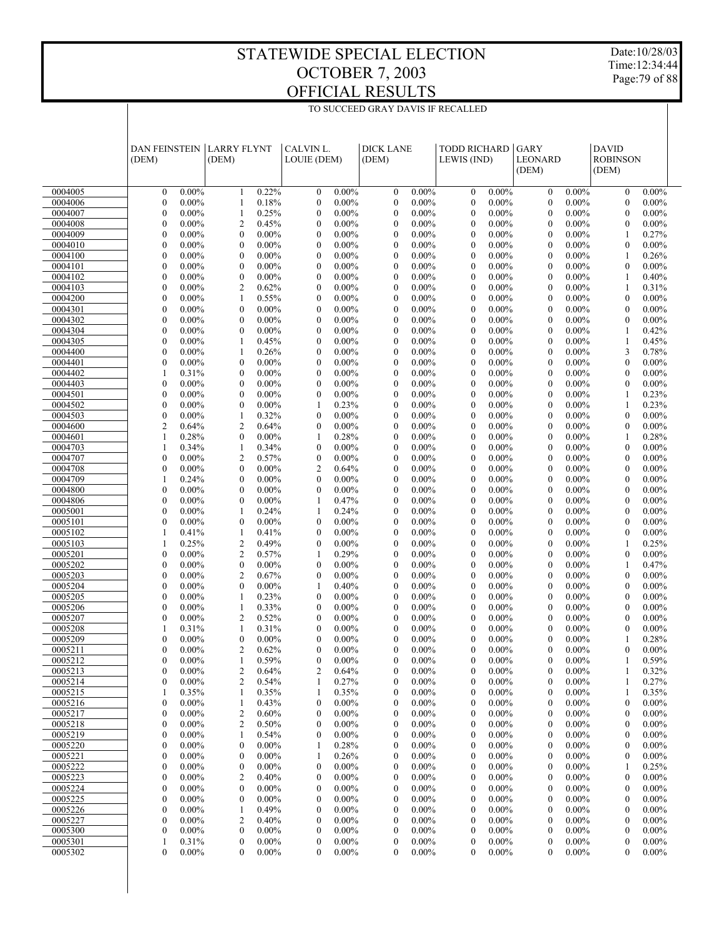Date:10/28/03 Time:12:34:44 Page:79 of 88

|                    | <b>DAN FEINSTEIN</b><br>(DEM)                                | <b>LARRY FLYNT</b><br>(DEM)                      | CALVIN L.<br>LOUIE (DEM)                         | <b>DICK LANE</b><br>(DEM)                                    | <b>TODD RICHARD</b><br>LEWIS (IND)               | <b>GARY</b><br><b>LEONARD</b><br>(DEM)                       | <b>DAVID</b><br><b>ROBINSON</b><br>(DEM)                     |
|--------------------|--------------------------------------------------------------|--------------------------------------------------|--------------------------------------------------|--------------------------------------------------------------|--------------------------------------------------|--------------------------------------------------------------|--------------------------------------------------------------|
| 0004005            | $\mathbf{0}$                                                 | 0.22%                                            | $\mathbf{0}$                                     | $\mathbf{0}$                                                 | $\mathbf{0}$                                     | $\mathbf{0}$                                                 | $\mathbf{0}$                                                 |
|                    | $0.00\%$                                                     | $\mathbf{1}$                                     | $0.00\%$                                         | $0.00\%$                                                     | 0.00%                                            | $0.00\%$                                                     | $0.00\%$                                                     |
| 0004006            | $\mathbf{0}$                                                 | $\mathbf{1}$                                     | $\mathbf{0}$                                     | $\mathbf{0}$                                                 | $\mathbf{0}$                                     | $\mathbf{0}$                                                 | $\mathbf{0}$                                                 |
|                    | $0.00\%$                                                     | 0.18%                                            | $0.00\%$                                         | $0.00\%$                                                     | $0.00\%$                                         | $0.00\%$                                                     | $0.00\%$                                                     |
| 0004007            | $\mathbf{0}$                                                 | 0.25%                                            | $\mathbf{0}$                                     | $\mathbf{0}$                                                 | $\mathbf{0}$                                     | $\theta$                                                     | $\theta$                                                     |
|                    | $0.00\%$                                                     | $\mathbf{1}$                                     | $0.00\%$                                         | $0.00\%$                                                     | $0.00\%$                                         | $0.00\%$                                                     | $0.00\%$                                                     |
| 0004008            | $\mathbf{0}$                                                 | $\overline{2}$                                   | $\mathbf{0}$                                     | $\mathbf{0}$                                                 | $\mathbf{0}$                                     | $\theta$                                                     | $\mathbf{0}$                                                 |
|                    | $0.00\%$                                                     | 0.45%                                            | $0.00\%$                                         | $0.00\%$                                                     | $0.00\%$                                         | $0.00\%$                                                     | $0.00\%$                                                     |
| 0004009            | $\mathbf{0}$                                                 | $\mathbf{0}$                                     | $\mathbf{0}$                                     | $\mathbf{0}$                                                 | $\mathbf{0}$                                     | $\theta$                                                     | 0.27%                                                        |
|                    | $0.00\%$                                                     | $0.00\%$                                         | $0.00\%$                                         | $0.00\%$                                                     | 0.00%                                            | $0.00\%$                                                     | 1                                                            |
| 0004010            | $\mathbf{0}$                                                 | $\mathbf{0}$                                     | $\mathbf{0}$                                     | $\mathbf{0}$                                                 | $\mathbf{0}$                                     | $\theta$                                                     | $\mathbf{0}$                                                 |
|                    | $0.00\%$                                                     | $0.00\%$                                         | $0.00\%$                                         | $0.00\%$                                                     | $0.00\%$                                         | $0.00\%$                                                     | $0.00\%$                                                     |
| 0004100            | $\mathbf{0}$                                                 | $\mathbf{0}$                                     | $\mathbf{0}$                                     | $\overline{0}$                                               | $\mathbf{0}$                                     | $\theta$                                                     | 0.26%                                                        |
|                    | $0.00\%$                                                     | $0.00\%$                                         | $0.00\%$                                         | $0.00\%$                                                     | 0.00%                                            | $0.00\%$                                                     | 1                                                            |
| 0004101            | $\mathbf{0}$                                                 | $\mathbf{0}$                                     | $\mathbf{0}$                                     | $\mathbf{0}$                                                 | $\mathbf{0}$                                     | $\theta$                                                     | $\mathbf{0}$                                                 |
|                    | $0.00\%$                                                     | $0.00\%$                                         | $0.00\%$                                         | $0.00\%$                                                     | $0.00\%$                                         | $0.00\%$                                                     | $0.00\%$                                                     |
| 0004102            | $\mathbf{0}$                                                 | $\mathbf{0}$                                     | $\mathbf{0}$                                     | $\overline{0}$                                               | $\mathbf{0}$                                     | $\theta$                                                     | 0.40%                                                        |
|                    | $0.00\%$                                                     | $0.00\%$                                         | $0.00\%$                                         | $0.00\%$                                                     | 0.00%                                            | $0.00\%$                                                     | 1                                                            |
| 0004103            | $\mathbf{0}$                                                 | $\overline{c}$                                   | $\mathbf{0}$                                     | $\mathbf{0}$                                                 | $\mathbf{0}$                                     | $\theta$                                                     | $\mathbf{1}$                                                 |
|                    | $0.00\%$                                                     | 0.62%                                            | $0.00\%$                                         | $0.00\%$                                                     | $0.00\%$                                         | $0.00\%$                                                     | 0.31%                                                        |
| 0004200            | $\mathbf{0}$                                                 | 0.55%                                            | $\mathbf{0}$                                     | $\mathbf{0}$                                                 | $\mathbf{0}$                                     | $\theta$                                                     | $\mathbf{0}$                                                 |
|                    | $0.00\%$                                                     | $\mathbf{1}$                                     | $0.00\%$                                         | $0.00\%$                                                     | 0.00%                                            | $0.00\%$                                                     | $0.00\%$                                                     |
| 0004301            | $\mathbf{0}$                                                 | $\mathbf{0}$                                     | $\mathbf{0}$                                     | $\mathbf{0}$                                                 | $\mathbf{0}$                                     | $\theta$                                                     | $\mathbf{0}$                                                 |
|                    | $0.00\%$                                                     | $0.00\%$                                         | $0.00\%$                                         | $0.00\%$                                                     | $0.00\%$                                         | $0.00\%$                                                     | $0.00\%$                                                     |
| 0004302            | $\mathbf{0}$                                                 | $\mathbf{0}$                                     | $\mathbf{0}$                                     | $\mathbf{0}$                                                 | $\mathbf{0}$                                     | $\theta$                                                     | $0.00\%$                                                     |
|                    | $0.00\%$                                                     | $0.00\%$                                         | $0.00\%$                                         | $0.00\%$                                                     | 0.00%                                            | $0.00\%$                                                     | $\mathbf{0}$                                                 |
| 0004304            | $\mathbf{0}$                                                 | $\mathbf{0}$                                     | $\mathbf{0}$                                     | $\mathbf{0}$                                                 | $\mathbf{0}$                                     | $\theta$                                                     | $\mathbf{1}$                                                 |
|                    | $0.00\%$                                                     | $0.00\%$                                         | $0.00\%$                                         | $0.00\%$                                                     | $0.00\%$                                         | $0.00\%$                                                     | 0.42%                                                        |
| 0004305            | $\mathbf{0}$                                                 | 0.45%                                            | $\mathbf{0}$                                     | $\mathbf{0}$                                                 | $\mathbf{0}$                                     | $\theta$                                                     | $\mathbf{1}$                                                 |
|                    | $0.00\%$                                                     | $\mathbf{1}$                                     | $0.00\%$                                         | $0.00\%$                                                     | 0.00%                                            | $0.00\%$                                                     | 0.45%                                                        |
| 0004400            | $\mathbf{0}$                                                 | $\mathbf{1}$                                     | $\mathbf{0}$                                     | $\mathbf{0}$                                                 | $\mathbf{0}$                                     | $\theta$                                                     | 3                                                            |
|                    | $0.00\%$                                                     | 0.26%                                            | $0.00\%$                                         | $0.00\%$                                                     | $0.00\%$                                         | $0.00\%$                                                     | 0.78%                                                        |
| 0004401            | $\mathbf{0}$                                                 | $\mathbf{0}$                                     | $\mathbf{0}$                                     | $\overline{0}$                                               | $\mathbf{0}$                                     | $\theta$                                                     | $\mathbf{0}$                                                 |
|                    | $0.00\%$                                                     | $0.00\%$                                         | $0.00\%$                                         | $0.00\%$                                                     | 0.00%                                            | $0.00\%$                                                     | $0.00\%$                                                     |
| 0004402            | $\mathbf{1}$                                                 | $\mathbf{0}$                                     | $\mathbf{0}$                                     | $\mathbf{0}$                                                 | $\mathbf{0}$                                     | $\theta$                                                     | $\mathbf{0}$                                                 |
|                    | 0.31%                                                        | $0.00\%$                                         | $0.00\%$                                         | $0.00\%$                                                     | $0.00\%$                                         | $0.00\%$                                                     | $0.00\%$                                                     |
| 0004403            | $\mathbf{0}$                                                 | $\mathbf{0}$                                     | $\mathbf{0}$                                     | $\overline{0}$                                               | $\mathbf{0}$                                     | $\theta$                                                     | $\mathbf{0}$                                                 |
|                    | $0.00\%$                                                     | $0.00\%$                                         | $0.00\%$                                         | $0.00\%$                                                     | 0.00%                                            | $0.00\%$                                                     | $0.00\%$                                                     |
| 0004501            | $\mathbf{0}$                                                 | $\mathbf{0}$                                     | $\mathbf{0}$                                     | $\mathbf{0}$                                                 | $\mathbf{0}$                                     | $\theta$                                                     | $\mathbf{1}$                                                 |
|                    | $0.00\%$                                                     | $0.00\%$                                         | $0.00\%$                                         | $0.00\%$                                                     | $0.00\%$                                         | $0.00\%$                                                     | 0.23%                                                        |
| 0004502            | $\mathbf{0}$                                                 | $\mathbf{0}$                                     | 0.23%                                            | $\mathbf{0}$                                                 | $\mathbf{0}$                                     | $\theta$                                                     | 0.23%                                                        |
|                    | $0.00\%$                                                     | $0.00\%$                                         | $\mathbf{1}$                                     | $0.00\%$                                                     | 0.00%                                            | $0.00\%$                                                     | 1                                                            |
| 0004503            | $\mathbf{0}$                                                 | $\mathbf{1}$                                     | $\mathbf{0}$                                     | $\mathbf{0}$                                                 | $\mathbf{0}$                                     | $\theta$                                                     | $\mathbf{0}$                                                 |
|                    | $0.00\%$                                                     | 0.32%                                            | $0.00\%$                                         | $0.00\%$                                                     | $0.00\%$                                         | $0.00\%$                                                     | $0.00\%$                                                     |
| 0004600            | $\overline{2}$                                               | $\overline{2}$                                   | $\mathbf{0}$                                     | $\mathbf{0}$                                                 | $\mathbf{0}$                                     | $\theta$                                                     | $\mathbf{0}$                                                 |
|                    | 0.64%                                                        | 0.64%                                            | $0.00\%$                                         | $0.00\%$                                                     | 0.00%                                            | $0.00\%$                                                     | $0.00\%$                                                     |
| 0004601            | $\mathbf{1}$                                                 | $\mathbf{0}$                                     | $\mathbf{1}$                                     | $\mathbf{0}$                                                 | $\mathbf{0}$                                     | $\theta$                                                     | $\mathbf{1}$                                                 |
|                    | 0.28%                                                        | $0.00\%$                                         | 0.28%                                            | $0.00\%$                                                     | $0.00\%$                                         | $0.00\%$                                                     | 0.28%                                                        |
| 0004703            | 0.34%                                                        | 0.34%                                            | $\mathbf{0}$                                     | $\mathbf{0}$                                                 | $\mathbf{0}$                                     | $\theta$                                                     | $\mathbf{0}$                                                 |
|                    | $\mathbf{1}$                                                 | $\mathbf{1}$                                     | $0.00\%$                                         | $0.00\%$                                                     | 0.00%                                            | $0.00\%$                                                     | $0.00\%$                                                     |
| 0004707            | $\mathbf{0}$                                                 | $\overline{c}$                                   | $\mathbf{0}$                                     | $\mathbf{0}$                                                 | $\mathbf{0}$                                     | $\theta$                                                     | $\mathbf{0}$                                                 |
|                    | $0.00\%$                                                     | 0.57%                                            | $0.00\%$                                         | $0.00\%$                                                     | $0.00\%$                                         | $0.00\%$                                                     | $0.00\%$                                                     |
| 0004708            | $\mathbf{0}$                                                 | $\mathbf{0}$                                     | $\overline{2}$                                   | $\overline{0}$                                               | $\mathbf{0}$                                     | $\theta$                                                     | $\mathbf{0}$                                                 |
|                    | $0.00\%$                                                     | $0.00\%$                                         | 0.64%                                            | $0.00\%$                                                     | 0.00%                                            | $0.00\%$                                                     | $0.00\%$                                                     |
| 0004709            | $\mathbf{1}$                                                 | $\mathbf{0}$                                     | $\mathbf{0}$                                     | $\mathbf{0}$                                                 | $\mathbf{0}$                                     | $\theta$                                                     | $\mathbf{0}$                                                 |
|                    | 0.24%                                                        | $0.00\%$                                         | $0.00\%$                                         | $0.00\%$                                                     | $0.00\%$                                         | $0.00\%$                                                     | $0.00\%$                                                     |
| 0004800            | $\mathbf{0}$                                                 | $\mathbf{0}$                                     | $\mathbf{0}$                                     | $\overline{0}$                                               | $\mathbf{0}$                                     | $\theta$                                                     | $\mathbf{0}$                                                 |
|                    | $0.00\%$                                                     | $0.00\%$                                         | $0.00\%$                                         | $0.00\%$                                                     | 0.00%                                            | $0.00\%$                                                     | $0.00\%$                                                     |
| 0004806            | $\mathbf{0}$                                                 | $\mathbf{0}$                                     | $\mathbf{1}$                                     | $\mathbf{0}$                                                 | $\mathbf{0}$                                     | $\theta$                                                     | $\mathbf{0}$                                                 |
|                    | $0.00\%$                                                     | $0.00\%$                                         | 0.47%                                            | $0.00\%$                                                     | $0.00\%$                                         | $0.00\%$                                                     | $0.00\%$                                                     |
| 0005001            | $\mathbf{0}$                                                 | 0.24%                                            | 0.24%                                            | $\overline{0}$                                               | $\mathbf{0}$                                     | $\theta$                                                     | $\mathbf{0}$                                                 |
|                    | $0.00\%$                                                     | $\mathbf{1}$                                     | 1                                                | $0.00\%$                                                     | 0.00%                                            | $0.00\%$                                                     | $0.00\%$                                                     |
| 0005101            | $\mathbf{0}$                                                 | $\mathbf{0}$                                     | $\mathbf{0}$                                     | $\mathbf{0}$                                                 | $\mathbf{0}$                                     | $\theta$                                                     | $\mathbf{0}$                                                 |
|                    | $0.00\%$                                                     | $0.00\%$                                         | $0.00\%$                                         | $0.00\%$                                                     | $0.00\%$                                         | $0.00\%$                                                     | $0.00\%$                                                     |
| 0005102            | 0.41%                                                        | 0.41%                                            | $\mathbf{0}$                                     | $\mathbf{0}$                                                 | $\mathbf{0}$                                     | $\theta$                                                     | $\mathbf{0}$                                                 |
|                    | $\mathbf{1}$                                                 | $\mathbf{1}$                                     | $0.00\%$                                         | $0.00\%$                                                     | 0.00%                                            | $0.00\%$                                                     | $0.00\%$                                                     |
| 0005103            | $\mathbf{1}$                                                 | $\overline{2}$                                   | $\mathbf{0}$                                     | $\mathbf{0}$                                                 | $\mathbf{0}$                                     | $\theta$                                                     | $\mathbf{1}$                                                 |
|                    | 0.25%                                                        | 0.49%                                            | $0.00\%$                                         | $0.00\%$                                                     | $0.00\%$                                         | $0.00\%$                                                     | 0.25%                                                        |
| 0005201            | $\mathbf{0}$                                                 | $\overline{c}$                                   | 0.29%                                            | $\mathbf{0}$                                                 | $\mathbf{0}$                                     | $\theta$                                                     | $\mathbf{0}$                                                 |
|                    | $0.00\%$                                                     | 0.57%                                            | $\mathbf{1}$                                     | $0.00\%$                                                     | 0.00%                                            | $0.00\%$                                                     | $0.00\%$                                                     |
| 0005202            | $\mathbf{0}$                                                 | $\overline{0}$                                   | $\mathbf{0}$                                     | $\mathbf{0}$                                                 | $\mathbf{0}$                                     | $\theta$                                                     | $\mathbf{1}$                                                 |
|                    | $0.00\%$                                                     | $0.00\%$                                         | $0.00\%$                                         | $0.00\%$                                                     | $0.00\%$                                         | $0.00\%$                                                     | 0.47%                                                        |
| 0005203            | $\mathbf{0}$                                                 | $\overline{2}$                                   | $\mathbf{0}$                                     | $\mathbf{0}$                                                 | $\mathbf{0}$                                     | $\theta$                                                     | $\mathbf{0}$                                                 |
|                    | $0.00\%$                                                     | 0.67%                                            | $0.00\%$                                         | $0.00\%$                                                     | 0.00%                                            | $0.00\%$                                                     | $0.00\%$                                                     |
| 0005204            | $\mathbf{0}$                                                 | $\overline{0}$                                   | $\mathbf{1}$                                     | $\mathbf{0}$                                                 | $\mathbf{0}$                                     | $\theta$                                                     | $\mathbf{0}$                                                 |
|                    | $0.00\%$                                                     | $0.00\%$                                         | 0.40%                                            | $0.00\%$                                                     | $0.00\%$                                         | $0.00\%$                                                     | $0.00\%$                                                     |
| 0005205            | $\mathbf{0}$                                                 | 0.23%                                            | $\mathbf{0}$                                     | $\overline{0}$                                               | $\mathbf{0}$                                     | $\theta$                                                     | $\mathbf{0}$                                                 |
|                    | $0.00\%$                                                     | $\mathbf{1}$                                     | $0.00\%$                                         | $0.00\%$                                                     | 0.00%                                            | $0.00\%$                                                     | $0.00\%$                                                     |
| 0005206            | $\mathbf{0}$                                                 | $\mathbf{1}$                                     | $\mathbf{0}$                                     | $\mathbf{0}$                                                 | $\mathbf{0}$                                     | $\theta$                                                     | $\mathbf{0}$                                                 |
|                    | $0.00\%$                                                     | 0.33%                                            | $0.00\%$                                         | $0.00\%$                                                     | $0.00\%$                                         | $0.00\%$                                                     | $0.00\%$                                                     |
| 0005207            | $\mathbf{0}$                                                 | $\overline{2}$                                   | $0.00\%$                                         | $\mathbf{0}$                                                 | $\mathbf{0}$                                     | $\theta$                                                     | $0.00\%$                                                     |
|                    | $0.00\%$                                                     | 0.52%                                            | $\mathbf{0}$                                     | $0.00\%$                                                     | 0.00%                                            | $0.00\%$                                                     | $\mathbf{0}$                                                 |
| 0005208            | 0.31%                                                        | $\mathbf{1}$                                     | $\mathbf{0}$                                     | $\mathbf{0}$                                                 | $\mathbf{0}$                                     | $\mathbf{0}$                                                 | $\mathbf{0}$                                                 |
|                    | $\mathbf{1}$                                                 | 0.31%                                            | $0.00\%$                                         | $0.00\%$                                                     | $0.00\%$                                         | $0.00\%$                                                     | $0.00\%$                                                     |
| 0005209            | $\theta$                                                     | $\mathbf{0}$                                     | $\theta$                                         | $\theta$                                                     | $0.00\%$                                         | $\theta$                                                     | 0.28%                                                        |
|                    | $0.00\%$                                                     | $0.00\%$                                         | $0.00\%$                                         | $0.00\%$                                                     | $\theta$                                         | $0.00\%$                                                     | $\mathbf{1}$                                                 |
| 0005211            | $\theta$                                                     | $\overline{2}$                                   | $\theta$                                         | $\mathbf{0}$                                                 | $\mathbf{0}$                                     | $\theta$                                                     | $\theta$                                                     |
|                    | $0.00\%$                                                     | 0.62%                                            | $0.00\%$                                         | $0.00\%$                                                     | $0.00\%$                                         | $0.00\%$                                                     | $0.00\%$                                                     |
| 0005212            | $\Omega$<br>$0.00\%$                                         | 0.59%                                            | $\Omega$<br>$0.00\%$                             | $\Omega$<br>$0.00\%$                                         | $0.00\%$<br>$\Omega$                             | $\theta$<br>$0.00\%$                                         | 0.59%                                                        |
| 0005213            | $0.00\%$                                                     | $\overline{c}$                                   | 0.64%                                            | $0.00\%$                                                     | $0.00\%$                                         | $0.00\%$                                                     | 0.32%                                                        |
|                    | $\mathbf{0}$                                                 | 0.64%                                            | 2                                                | $\boldsymbol{0}$                                             | $\boldsymbol{0}$                                 | $\boldsymbol{0}$                                             | 1                                                            |
| 0005214            | $\mathbf{0}$<br>$0.00\%$<br>$\mathbf{1}$                     | $\overline{c}$<br>0.54%                          | 0.27%<br>$\mathbf{1}$                            | $\boldsymbol{0}$<br>$0.00\%$                                 | $\boldsymbol{0}$<br>$0.00\%$                     | $0.00\%$<br>$\boldsymbol{0}$                                 | 0.27%<br>1                                                   |
| 0005215            | 0.35%                                                        | 0.35%<br>1                                       | 0.35%<br>1                                       | $0.00\%$<br>$\boldsymbol{0}$                                 | $0.00\%$<br>$\boldsymbol{0}$                     | $0.00\%$<br>$\boldsymbol{0}$                                 | 0.35%<br>1                                                   |
| 0005216            | $0.00\%$                                                     | 0.43%                                            | $\boldsymbol{0}$                                 | $\boldsymbol{0}$                                             | $\boldsymbol{0}$                                 | $\boldsymbol{0}$                                             | $0.00\%$                                                     |
|                    | $\boldsymbol{0}$                                             | 1                                                | $0.00\%$                                         | $0.00\%$                                                     | $0.00\%$                                         | $0.00\%$                                                     | $\boldsymbol{0}$                                             |
| 0005217<br>0005218 | $\boldsymbol{0}$<br>$0.00\%$<br>$\boldsymbol{0}$<br>$0.00\%$ | $\overline{\mathbf{c}}$<br>0.60%<br>0.50%        | $\boldsymbol{0}$<br>$0.00\%$<br>$0.00\%$         | $0.00\%$<br>$\boldsymbol{0}$                                 | $0.00\%$<br>$\boldsymbol{0}$<br>$0.00\%$         | $0.00\%$<br>$\boldsymbol{0}$                                 | $0.00\%$<br>$\boldsymbol{0}$<br>$0.00\%$                     |
| 0005219            | $\boldsymbol{0}$<br>$0.00\%$                                 | $\overline{\mathbf{c}}$<br>1                     | $\boldsymbol{0}$<br>$0.00\%$<br>$\boldsymbol{0}$ | $\boldsymbol{0}$<br>$0.00\%$<br>$0.00\%$<br>$\boldsymbol{0}$ | $\boldsymbol{0}$<br>$0.00\%$<br>$\boldsymbol{0}$ | $\boldsymbol{0}$<br>$0.00\%$<br>$0.00\%$<br>$\boldsymbol{0}$ | $\boldsymbol{0}$<br>$0.00\%$<br>$\boldsymbol{0}$             |
|                    | $\boldsymbol{0}$<br>$0.00\%$                                 | 0.54%<br>$0.00\%$                                | 0.28%                                            |                                                              | $0.00\%$                                         |                                                              |                                                              |
| 0005220<br>0005221 | $\boldsymbol{0}$<br>$0.00\%$                                 | $\boldsymbol{0}$<br>$\boldsymbol{0}$<br>$0.00\%$ | 1<br>0.26%<br>1                                  | $\boldsymbol{0}$<br>$0.00\%$<br>$0.00\%$<br>$\boldsymbol{0}$ | $\boldsymbol{0}$<br>$\boldsymbol{0}$<br>$0.00\%$ | $\boldsymbol{0}$<br>$0.00\%$<br>$\boldsymbol{0}$<br>$0.00\%$ | $\boldsymbol{0}$<br>$0.00\%$<br>$0.00\%$<br>$\boldsymbol{0}$ |
| 0005222            | $\boldsymbol{0}$                                             | $\boldsymbol{0}$                                 | $0.00\%$                                         | $\boldsymbol{0}$                                             | $0.00\%$                                         | $\boldsymbol{0}$                                             | 0.25%                                                        |
|                    | $0.00\%$                                                     | $0.00\%$                                         | $\boldsymbol{0}$                                 | $0.00\%$                                                     | $\boldsymbol{0}$                                 | $0.00\%$                                                     | $\mathbf{1}$                                                 |
| 0005223            | $\boldsymbol{0}$                                             | $\overline{c}$                                   | $\boldsymbol{0}$                                 | $0.00\%$                                                     | $\mathbf{0}$                                     | $0.00\%$                                                     | $\boldsymbol{0}$                                             |
|                    | $0.00\%$                                                     | 0.40%                                            | $0.00\%$                                         | $\boldsymbol{0}$                                             | $0.00\%$                                         | $\boldsymbol{0}$                                             | $0.00\%$                                                     |
| 0005224            | $\boldsymbol{0}$                                             | $\boldsymbol{0}$                                 | $0.00\%$                                         | $\boldsymbol{0}$                                             | $0.00\%$                                         | $\boldsymbol{0}$                                             | $0.00\%$                                                     |
|                    | $0.00\%$                                                     | $0.00\%$                                         | $\boldsymbol{0}$                                 | $0.00\%$                                                     | $\boldsymbol{0}$                                 | $0.00\%$                                                     | $\boldsymbol{0}$                                             |
| 0005225            | $\boldsymbol{0}$                                             | $\boldsymbol{0}$                                 | $\boldsymbol{0}$                                 | $0.00\%$                                                     | $\mathbf{0}$                                     | $\boldsymbol{0}$                                             | $0.00\%$                                                     |
|                    | $0.00\%$                                                     | $0.00\%$                                         | $0.00\%$                                         | $\boldsymbol{0}$                                             | $0.00\%$                                         | $0.00\%$                                                     | $\boldsymbol{0}$                                             |
| 0005226            | $\boldsymbol{0}$                                             | 0.49%                                            | $0.00\%$                                         | $\boldsymbol{0}$                                             | $0.00\%$                                         | $\boldsymbol{0}$                                             | $0.00\%$                                                     |
|                    | $0.00\%$                                                     | 1                                                | $\boldsymbol{0}$                                 | $0.00\%$                                                     | $\boldsymbol{0}$                                 | $0.00\%$                                                     | $\boldsymbol{0}$                                             |
| 0005227            | $\boldsymbol{0}$                                             | $\overline{c}$                                   | $\boldsymbol{0}$                                 | $\boldsymbol{0}$                                             | $0.00\%$                                         | $\boldsymbol{0}$                                             | $0.00\%$                                                     |
|                    | $0.00\%$                                                     | 0.40%                                            | $0.00\%$                                         | $0.00\%$                                                     | $\boldsymbol{0}$                                 | $0.00\%$                                                     | $\boldsymbol{0}$                                             |
| 0005300            | $\boldsymbol{0}$                                             | $\boldsymbol{0}$                                 | $0.00\%$                                         | $\boldsymbol{0}$                                             | $\boldsymbol{0}$                                 | $\boldsymbol{0}$                                             | $\boldsymbol{0}$                                             |
|                    | $0.00\%$                                                     | $0.00\%$                                         | $\boldsymbol{0}$                                 | $0.00\%$                                                     | $0.00\%$                                         | $0.00\%$                                                     | $0.00\%$                                                     |
| 0005301            | 1                                                            | $\boldsymbol{0}$                                 | $\boldsymbol{0}$                                 | $\boldsymbol{0}$                                             | $\boldsymbol{0}$                                 | $\boldsymbol{0}$                                             | $\boldsymbol{0}$                                             |
|                    | 0.31%                                                        | $0.00\%$                                         | $0.00\%$                                         | $0.00\%$                                                     | $0.00\%$                                         | $0.00\%$                                                     | $0.00\%$                                                     |
| 0005302            | $\mathbf{0}$                                                 | $\mathbf{0}$                                     | $\boldsymbol{0}$                                 | $\mathbf{0}$                                                 | $\mathbf{0}$                                     | $\mathbf{0}$                                                 | $0.00\%$                                                     |
|                    | $0.00\%$                                                     | $0.00\%$                                         | $0.00\%$                                         | $0.00\%$                                                     | $0.00\%$                                         | $0.00\%$                                                     | $\mathbf{0}$                                                 |
|                    |                                                              |                                                  |                                                  |                                                              |                                                  |                                                              |                                                              |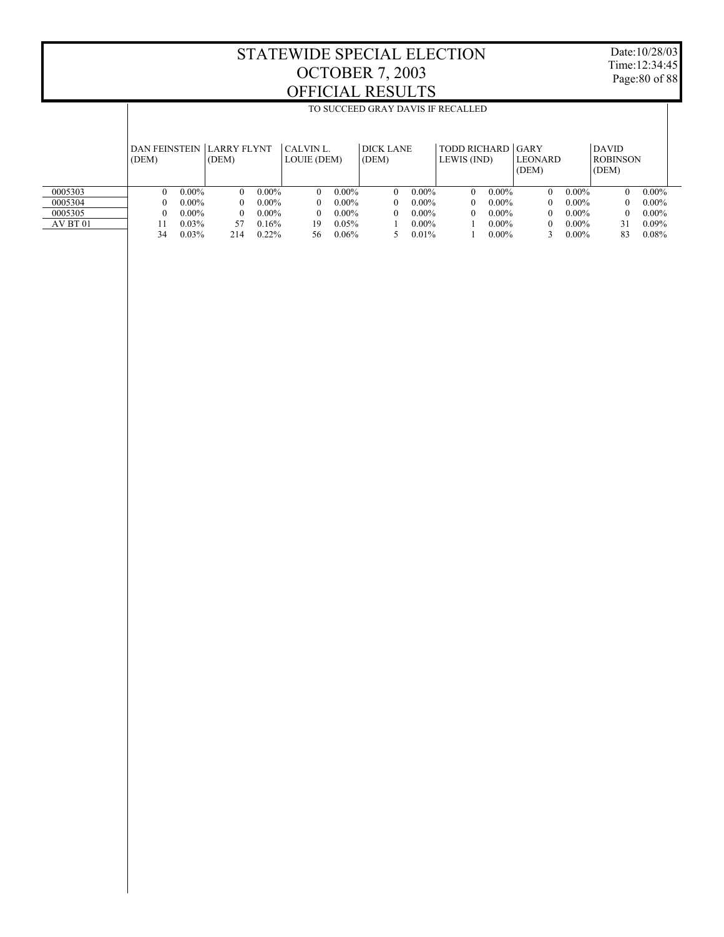T

Date:10/28/03 Time:12:34:45 Page:80 of 88

ī

|          |          |          |                                     |          |                          |          | TO SUCCEED GRAY DAVIS IF RECALLED |          |                                  |          |                  |          |                                          |          |
|----------|----------|----------|-------------------------------------|----------|--------------------------|----------|-----------------------------------|----------|----------------------------------|----------|------------------|----------|------------------------------------------|----------|
|          | (DEM)    |          | DAN FEINSTEIN LLARRY FLYNT<br>(DEM) |          | CALVIN L.<br>LOUIE (DEM) |          | DICK LANE<br>(DEM)                |          | TODD RICHARD GARY<br>LEWIS (IND) |          | LEONARD<br>(DEM) |          | <b>DAVID</b><br><b>ROBINSON</b><br>(DEM) |          |
| 0005303  | $\Omega$ | $0.00\%$ | $\Omega$                            | $0.00\%$ | $\Omega$                 | $0.00\%$ | $\Omega$                          | $0.00\%$ | $\Omega$                         | $0.00\%$ | 0                | $0.00\%$ | 0                                        | $0.00\%$ |
| 0005304  | $\Omega$ | $0.00\%$ | 0                                   | $0.00\%$ | $\theta$                 | $0.00\%$ | 0                                 | $0.00\%$ | 0                                | $0.00\%$ |                  | $0.00\%$ |                                          | $0.00\%$ |
| 0005305  | $\theta$ | $0.00\%$ | 0                                   | $0.00\%$ | $\theta$                 | $0.00\%$ | 0                                 | $0.00\%$ | 0                                | $0.00\%$ |                  | $0.00\%$ |                                          | $0.00\%$ |
| AV BT 01 |          | $0.03\%$ | 57                                  | 0.16%    | 19                       | $0.05\%$ |                                   | $0.00\%$ |                                  | $0.00\%$ |                  | $0.00\%$ | 31                                       | $0.09\%$ |
|          | 34       | 0.03%    | 214                                 | $0.22\%$ | 56                       | 0.06%    |                                   | 0.01%    |                                  | $0.00\%$ |                  | $0.00\%$ | 83                                       | $0.08\%$ |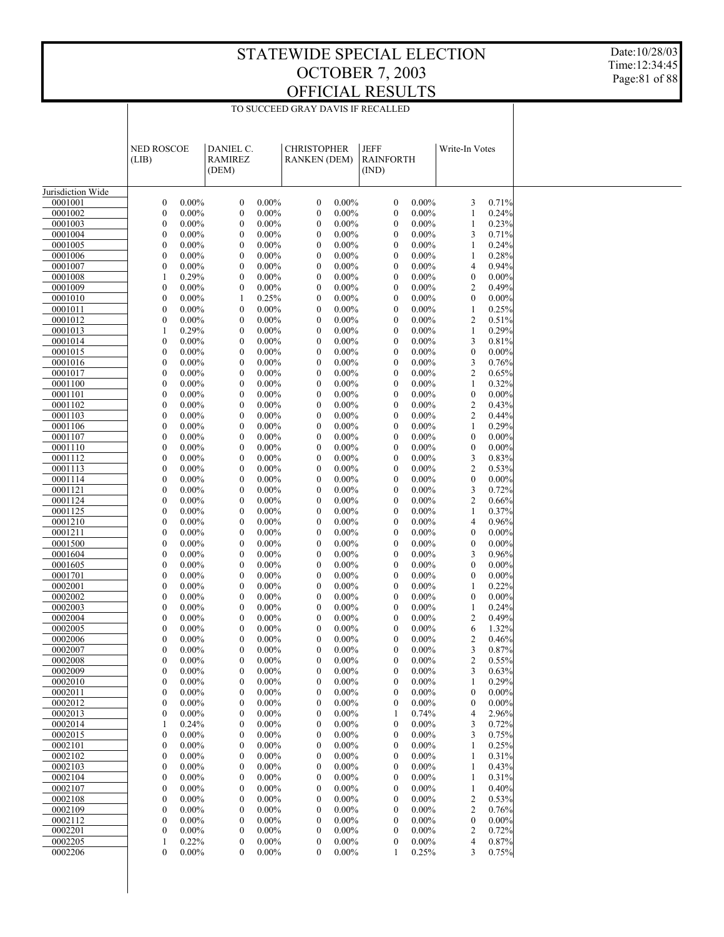Date:10/28/03 Time:12:34:45 Page:81 of 88

|                    | <b>NED ROSCOE</b><br>(LIB)           |                      | DANIEL C.<br>RAMIREZ<br>(DEM)        |                      | <b>CHRISTOPHER</b><br><b>RANKEN (DEM)</b> |                      | <b>JEFF</b><br><b>RAINFORTH</b><br>(IND) |                      | Write-In Votes        |                |  |
|--------------------|--------------------------------------|----------------------|--------------------------------------|----------------------|-------------------------------------------|----------------------|------------------------------------------|----------------------|-----------------------|----------------|--|
|                    |                                      |                      |                                      |                      |                                           |                      |                                          |                      |                       |                |  |
| Jurisdiction Wide  |                                      |                      |                                      |                      |                                           |                      |                                          |                      |                       |                |  |
| 0001001            | $\boldsymbol{0}$                     | $0.00\%$             | $\boldsymbol{0}$                     | $0.00\%$             | $\boldsymbol{0}$                          | $0.00\%$             | $\boldsymbol{0}$                         | $0.00\%$             | 3                     | 0.71%          |  |
| 0001002            | $\boldsymbol{0}$                     | $0.00\%$             | $\boldsymbol{0}$                     | $0.00\%$             | $\boldsymbol{0}$                          | $0.00\%$             | $\boldsymbol{0}$                         | $0.00\%$             | $\mathbf{1}$          | 0.24%          |  |
| 0001003<br>0001004 | $\boldsymbol{0}$                     | $0.00\%$<br>$0.00\%$ | $\boldsymbol{0}$                     | $0.00\%$<br>$0.00\%$ | $\boldsymbol{0}$                          | $0.00\%$<br>$0.00\%$ | $\boldsymbol{0}$                         | $0.00\%$<br>$0.00\%$ | 1<br>3                | 0.23%<br>0.71% |  |
| 0001005            | $\boldsymbol{0}$<br>$\boldsymbol{0}$ | $0.00\%$             | $\boldsymbol{0}$<br>$\boldsymbol{0}$ | $0.00\%$             | $\boldsymbol{0}$<br>$\boldsymbol{0}$      | $0.00\%$             | $\boldsymbol{0}$<br>$\boldsymbol{0}$     | $0.00\%$             | 1                     | 0.24%          |  |
| 0001006            | $\boldsymbol{0}$                     | $0.00\%$             | $\boldsymbol{0}$                     | $0.00\%$             | $\boldsymbol{0}$                          | $0.00\%$             | $\boldsymbol{0}$                         | $0.00\%$             | 1                     | 0.28%          |  |
| 0001007            | $\boldsymbol{0}$                     | $0.00\%$             | $\boldsymbol{0}$                     | $0.00\%$             | $\boldsymbol{0}$                          | $0.00\%$             | $\boldsymbol{0}$                         | $0.00\%$             | 4                     | 0.94%          |  |
| 0001008            | $\mathbf{1}$                         | 0.29%                | $\boldsymbol{0}$                     | $0.00\%$             | $\boldsymbol{0}$                          | $0.00\%$             | $\boldsymbol{0}$                         | $0.00\%$             | $\boldsymbol{0}$      | 0.00%          |  |
| 0001009            | $\boldsymbol{0}$                     | $0.00\%$             | $\boldsymbol{0}$                     | $0.00\%$             | $\boldsymbol{0}$                          | $0.00\%$             | $\boldsymbol{0}$                         | $0.00\%$             | 2                     | 0.49%          |  |
| 0001010            | $\boldsymbol{0}$                     | $0.00\%$             | 1                                    | 0.25%                | $\boldsymbol{0}$                          | $0.00\%$             | $\boldsymbol{0}$                         | $0.00\%$             | $\boldsymbol{0}$      | 0.00%          |  |
| 0001011            | $\boldsymbol{0}$                     | $0.00\%$             | $\boldsymbol{0}$                     | $0.00\%$             | $\boldsymbol{0}$                          | $0.00\%$             | $\boldsymbol{0}$                         | $0.00\%$             | 1                     | 0.25%          |  |
| 0001012            | $\boldsymbol{0}$                     | $0.00\%$             | $\boldsymbol{0}$                     | $0.00\%$             | $\boldsymbol{0}$                          | $0.00\%$             | $\boldsymbol{0}$                         | $0.00\%$             | 2                     | 0.51%          |  |
| 0001013            | 1                                    | 0.29%                | $\boldsymbol{0}$                     | $0.00\%$             | $\boldsymbol{0}$                          | $0.00\%$             | $\boldsymbol{0}$                         | $0.00\%$             | 1                     | 0.29%          |  |
| 0001014            | $\boldsymbol{0}$                     | $0.00\%$             | $\boldsymbol{0}$                     | $0.00\%$             | $\boldsymbol{0}$                          | $0.00\%$             | $\boldsymbol{0}$                         | $0.00\%$             | 3                     | 0.81%          |  |
| 0001015<br>0001016 | $\boldsymbol{0}$                     | $0.00\%$<br>$0.00\%$ | $\boldsymbol{0}$                     | $0.00\%$<br>$0.00\%$ | $\boldsymbol{0}$                          | $0.00\%$<br>$0.00\%$ | $\boldsymbol{0}$                         | $0.00\%$<br>$0.00\%$ | $\boldsymbol{0}$<br>3 | 0.00%<br>0.76% |  |
| 0001017            | $\boldsymbol{0}$<br>$\boldsymbol{0}$ | $0.00\%$             | $\boldsymbol{0}$<br>$\boldsymbol{0}$ | $0.00\%$             | $\boldsymbol{0}$<br>$\boldsymbol{0}$      | $0.00\%$             | $\boldsymbol{0}$<br>$\boldsymbol{0}$     | $0.00\%$             | 2                     | 0.65%          |  |
| 0001100            | $\boldsymbol{0}$                     | $0.00\%$             | $\boldsymbol{0}$                     | $0.00\%$             | $\boldsymbol{0}$                          | $0.00\%$             | $\boldsymbol{0}$                         | $0.00\%$             | 1                     | 0.32%          |  |
| 0001101            | $\boldsymbol{0}$                     | $0.00\%$             | $\boldsymbol{0}$                     | $0.00\%$             | $\boldsymbol{0}$                          | $0.00\%$             | $\boldsymbol{0}$                         | $0.00\%$             | $\boldsymbol{0}$      | 0.00%          |  |
| 0001102            | $\boldsymbol{0}$                     | $0.00\%$             | $\boldsymbol{0}$                     | $0.00\%$             | $\boldsymbol{0}$                          | $0.00\%$             | $\boldsymbol{0}$                         | $0.00\%$             | 2                     | 0.43%          |  |
| 0001103            | $\boldsymbol{0}$                     | $0.00\%$             | $\boldsymbol{0}$                     | $0.00\%$             | $\boldsymbol{0}$                          | $0.00\%$             | $\boldsymbol{0}$                         | $0.00\%$             | 2                     | 0.44%          |  |
| 0001106            | $\boldsymbol{0}$                     | $0.00\%$             | $\boldsymbol{0}$                     | $0.00\%$             | $\boldsymbol{0}$                          | $0.00\%$             | $\boldsymbol{0}$                         | $0.00\%$             | 1                     | 0.29%          |  |
| 0001107            | $\boldsymbol{0}$                     | $0.00\%$             | $\boldsymbol{0}$                     | $0.00\%$             | $\boldsymbol{0}$                          | $0.00\%$             | $\boldsymbol{0}$                         | $0.00\%$             | $\boldsymbol{0}$      | 0.00%          |  |
| 0001110            | $\boldsymbol{0}$                     | $0.00\%$             | $\boldsymbol{0}$                     | $0.00\%$             | $\boldsymbol{0}$                          | $0.00\%$             | $\boldsymbol{0}$                         | $0.00\%$             | $\boldsymbol{0}$      | 0.00%          |  |
| 0001112            | $\boldsymbol{0}$                     | $0.00\%$             | $\boldsymbol{0}$                     | $0.00\%$             | $\boldsymbol{0}$                          | $0.00\%$             | $\boldsymbol{0}$                         | $0.00\%$             | 3                     | 0.83%          |  |
| 0001113            | $\boldsymbol{0}$                     | $0.00\%$             | $\boldsymbol{0}$                     | $0.00\%$             | $\boldsymbol{0}$                          | $0.00\%$             | $\boldsymbol{0}$                         | $0.00\%$             | 2                     | 0.53%          |  |
| 0001114            | $\boldsymbol{0}$                     | $0.00\%$             | $\boldsymbol{0}$                     | $0.00\%$             | $\boldsymbol{0}$                          | $0.00\%$             | $\boldsymbol{0}$                         | $0.00\%$             | $\boldsymbol{0}$      | 0.00%          |  |
| 0001121<br>0001124 | $\boldsymbol{0}$<br>$\boldsymbol{0}$ | $0.00\%$<br>$0.00\%$ | $\boldsymbol{0}$<br>$\boldsymbol{0}$ | $0.00\%$<br>$0.00\%$ | $\boldsymbol{0}$<br>$\boldsymbol{0}$      | $0.00\%$<br>$0.00\%$ | $\boldsymbol{0}$<br>$\boldsymbol{0}$     | $0.00\%$<br>$0.00\%$ | 3<br>2                | 0.72%<br>0.66% |  |
| 0001125            | $\boldsymbol{0}$                     | $0.00\%$             | $\boldsymbol{0}$                     | $0.00\%$             | $\boldsymbol{0}$                          | $0.00\%$             | $\boldsymbol{0}$                         | $0.00\%$             | 1                     | 0.37%          |  |
| 0001210            | $\boldsymbol{0}$                     | $0.00\%$             | $\boldsymbol{0}$                     | $0.00\%$             | $\boldsymbol{0}$                          | $0.00\%$             | $\boldsymbol{0}$                         | $0.00\%$             | $\overline{4}$        | 0.96%          |  |
| 0001211            | $\boldsymbol{0}$                     | $0.00\%$             | $\boldsymbol{0}$                     | $0.00\%$             | $\boldsymbol{0}$                          | $0.00\%$             | $\boldsymbol{0}$                         | $0.00\%$             | $\boldsymbol{0}$      | 0.00%          |  |
| 0001500            | $\boldsymbol{0}$                     | $0.00\%$             | $\boldsymbol{0}$                     | $0.00\%$             | $\boldsymbol{0}$                          | $0.00\%$             | $\boldsymbol{0}$                         | $0.00\%$             | $\boldsymbol{0}$      | 0.00%          |  |
| 0001604            | $\boldsymbol{0}$                     | $0.00\%$             | $\boldsymbol{0}$                     | $0.00\%$             | $\boldsymbol{0}$                          | $0.00\%$             | $\boldsymbol{0}$                         | $0.00\%$             | 3                     | 0.96%          |  |
| 0001605            | $\boldsymbol{0}$                     | $0.00\%$             | $\boldsymbol{0}$                     | $0.00\%$             | $\boldsymbol{0}$                          | $0.00\%$             | $\boldsymbol{0}$                         | $0.00\%$             | $\boldsymbol{0}$      | 0.00%          |  |
| 0001701            | $\boldsymbol{0}$                     | $0.00\%$             | $\boldsymbol{0}$                     | $0.00\%$             | $\boldsymbol{0}$                          | $0.00\%$             | $\boldsymbol{0}$                         | $0.00\%$             | $\boldsymbol{0}$      | 0.00%          |  |
| 0002001            | $\boldsymbol{0}$                     | $0.00\%$             | $\boldsymbol{0}$                     | $0.00\%$             | $\boldsymbol{0}$                          | $0.00\%$             | $\boldsymbol{0}$                         | $0.00\%$             | 1                     | 0.22%          |  |
| 0002002            | $\boldsymbol{0}$                     | $0.00\%$             | $\boldsymbol{0}$                     | $0.00\%$             | $\boldsymbol{0}$                          | $0.00\%$             | $\boldsymbol{0}$                         | $0.00\%$             | $\boldsymbol{0}$      | 0.00%          |  |
| 0002003<br>0002004 | $\boldsymbol{0}$                     | $0.00\%$<br>$0.00\%$ | $\boldsymbol{0}$                     | $0.00\%$<br>$0.00\%$ | $\boldsymbol{0}$                          | $0.00\%$<br>$0.00\%$ | $\boldsymbol{0}$                         | $0.00\%$<br>$0.00\%$ | 1                     | 0.24%<br>0.49% |  |
| 0002005            | $\boldsymbol{0}$<br>$\boldsymbol{0}$ | $0.00\%$             | $\boldsymbol{0}$<br>$\boldsymbol{0}$ | $0.00\%$             | $\boldsymbol{0}$<br>$\boldsymbol{0}$      | $0.00\%$             | $\boldsymbol{0}$<br>$\boldsymbol{0}$     | $0.00\%$             | 2<br>6                | 1.32%          |  |
| 0002006            | 0                                    | $0.00\%$             | $\mathbf{0}$                         | $0.00\%$             | $\mathbf{0}$                              | $0.00\%$             | $\mathbf{0}$                             | $0.00\%$             | $\overline{2}$        | 0.46%          |  |
| 0002007            | $\theta$                             | $0.00\%$             | $\Omega$                             | $0.00\%$             | $\Omega$                                  | $0.00\%$             | $\Omega$                                 | $0.00\%$             | 3                     | 0.87%          |  |
| 0002008            | $\boldsymbol{0}$                     | $0.00\%$             | $\boldsymbol{0}$                     | $0.00\%$             | $\boldsymbol{0}$                          | $0.00\%$             | $\boldsymbol{0}$                         | $0.00\%$             | 2                     | 0.55%          |  |
| 0002009            | $\boldsymbol{0}$                     | $0.00\%$             | $\boldsymbol{0}$                     | $0.00\%$             | $\boldsymbol{0}$                          | $0.00\%$             | $\boldsymbol{0}$                         | $0.00\%$             | 3                     | 0.63%          |  |
| 0002010            | $\boldsymbol{0}$                     | $0.00\%$             | $\boldsymbol{0}$                     | $0.00\%$             | $\boldsymbol{0}$                          | $0.00\%$             | $\boldsymbol{0}$                         | $0.00\%$             | 1                     | 0.29%          |  |
| 0002011            | $\boldsymbol{0}$                     | $0.00\%$             | $\boldsymbol{0}$                     | $0.00\%$             | $\boldsymbol{0}$                          | $0.00\%$             | $\boldsymbol{0}$                         | $0.00\%$             | $\boldsymbol{0}$      | $0.00\%$       |  |
| 0002012            | $\boldsymbol{0}$                     | $0.00\%$             | $\boldsymbol{0}$                     | $0.00\%$             | $\boldsymbol{0}$                          | $0.00\%$             | $\boldsymbol{0}$                         | $0.00\%$             | $\boldsymbol{0}$      | $0.00\%$       |  |
| 0002013            | $\boldsymbol{0}$                     | $0.00\%$             | $\boldsymbol{0}$                     | $0.00\%$             | $\boldsymbol{0}$                          | $0.00\%$             | 1                                        | 0.74%                | 4                     | 2.96%          |  |
| 0002014            | 1                                    | 0.24%                | $\boldsymbol{0}$                     | $0.00\%$             | $\boldsymbol{0}$                          | $0.00\%$             | $\boldsymbol{0}$                         | $0.00\%$             | 3                     | 0.72%          |  |
| 0002015            | $\boldsymbol{0}$                     | $0.00\%$             | $\boldsymbol{0}$                     | $0.00\%$             | $\boldsymbol{0}$                          | $0.00\%$             | $\boldsymbol{0}$                         | $0.00\%$             | 3                     | 0.75%          |  |
| 0002101<br>0002102 | $\boldsymbol{0}$<br>$\boldsymbol{0}$ | $0.00\%$             | $\boldsymbol{0}$<br>$\boldsymbol{0}$ | $0.00\%$             | $\boldsymbol{0}$<br>$\boldsymbol{0}$      | $0.00\%$             | $\boldsymbol{0}$                         | $0.00\%$             | 1<br>1                | 0.25%          |  |
| 0002103            | $\boldsymbol{0}$                     | $0.00\%$<br>$0.00\%$ | $\boldsymbol{0}$                     | $0.00\%$<br>$0.00\%$ | $\boldsymbol{0}$                          | $0.00\%$<br>$0.00\%$ | $\boldsymbol{0}$<br>$\boldsymbol{0}$     | $0.00\%$<br>$0.00\%$ | 1                     | 0.31%<br>0.43% |  |
| 0002104            | $\boldsymbol{0}$                     | $0.00\%$             | $\boldsymbol{0}$                     | $0.00\%$             | $\boldsymbol{0}$                          | $0.00\%$             | $\boldsymbol{0}$                         | $0.00\%$             | 1                     | 0.31%          |  |
| 0002107            | $\boldsymbol{0}$                     | $0.00\%$             | $\boldsymbol{0}$                     | $0.00\%$             | $\boldsymbol{0}$                          | $0.00\%$             | $\boldsymbol{0}$                         | $0.00\%$             | 1                     | 0.40%          |  |
| 0002108            | $\boldsymbol{0}$                     | $0.00\%$             | $\boldsymbol{0}$                     | $0.00\%$             | $\boldsymbol{0}$                          | $0.00\%$             | $\boldsymbol{0}$                         | $0.00\%$             | 2                     | 0.53%          |  |
| 0002109            | $\boldsymbol{0}$                     | $0.00\%$             | $\boldsymbol{0}$                     | $0.00\%$             | $\boldsymbol{0}$                          | $0.00\%$             | $\boldsymbol{0}$                         | $0.00\%$             | 2                     | 0.76%          |  |
| 0002112            | $\boldsymbol{0}$                     | $0.00\%$             | $\boldsymbol{0}$                     | $0.00\%$             | $\boldsymbol{0}$                          | $0.00\%$             | $\boldsymbol{0}$                         | $0.00\%$             | $\boldsymbol{0}$      | $0.00\%$       |  |
| 0002201            | $\boldsymbol{0}$                     | $0.00\%$             | $\boldsymbol{0}$                     | $0.00\%$             | $\boldsymbol{0}$                          | $0.00\%$             | $\boldsymbol{0}$                         | $0.00\%$             | 2                     | 0.72%          |  |
| 0002205            | 1                                    | 0.22%                | $\boldsymbol{0}$                     | $0.00\%$             | $\boldsymbol{0}$                          | $0.00\%$             | $\boldsymbol{0}$                         | $0.00\%$             | 4                     | 0.87%          |  |
| 0002206            | $\boldsymbol{0}$                     | $0.00\%$             | $\mathbf{0}$                         | $0.00\%$             | $\boldsymbol{0}$                          | $0.00\%$             | 1                                        | 0.25%                | 3                     | 0.75%          |  |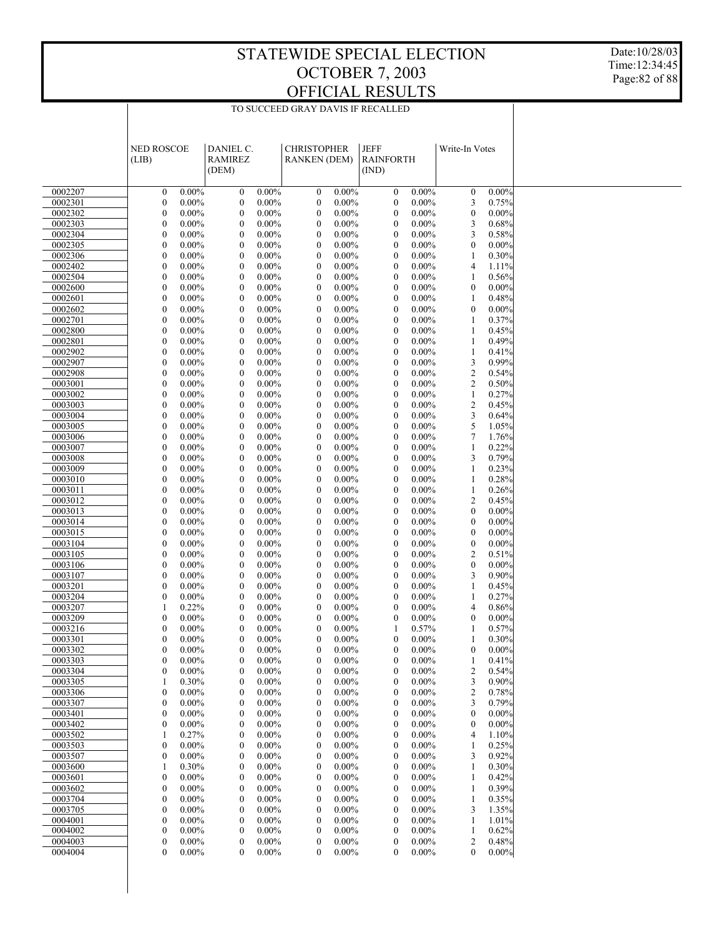Date:10/28/03 Time:12:34:45 Page:82 of 88

|                    | <b>NED ROSCOE</b>                    |                      | DANIEL C.                            |                      | <b>CHRISTOPHER</b>                   |                      | JEFF                             |                      |                   |                |  |
|--------------------|--------------------------------------|----------------------|--------------------------------------|----------------------|--------------------------------------|----------------------|----------------------------------|----------------------|-------------------|----------------|--|
|                    | (LIB)                                |                      | <b>RAMIREZ</b>                       |                      | <b>RANKEN (DEM)</b>                  |                      | <b>RAINFORTH</b>                 |                      | Write-In Votes    |                |  |
|                    |                                      |                      | (DEM)                                |                      |                                      |                      | (IND)                            |                      |                   |                |  |
|                    |                                      |                      |                                      |                      |                                      |                      |                                  |                      |                   |                |  |
| 0002207            | $\boldsymbol{0}$                     | $0.00\%$             | $\boldsymbol{0}$                     | $0.00\%$             | $\boldsymbol{0}$                     | $0.00\%$             | $\boldsymbol{0}$                 | $0.00\%$             | $\boldsymbol{0}$  | 0.00%          |  |
| 0002301            | $\boldsymbol{0}$                     | $0.00\%$             | $\boldsymbol{0}$                     | $0.00\%$             | $\boldsymbol{0}$                     | $0.00\%$             | $\boldsymbol{0}$                 | $0.00\%$             | 3                 | 0.75%          |  |
| 0002302            | $\boldsymbol{0}$                     | $0.00\%$             | $\boldsymbol{0}$                     | $0.00\%$             | $\boldsymbol{0}$                     | $0.00\%$             | $\mathbf{0}$                     | $0.00\%$             | $\boldsymbol{0}$  | 0.00%          |  |
| 0002303            | $\boldsymbol{0}$                     | $0.00\%$             | $\boldsymbol{0}$                     | $0.00\%$             | $\boldsymbol{0}$                     | $0.00\%$             | $\boldsymbol{0}$                 | $0.00\%$             | 3                 | 0.68%          |  |
| 0002304            | $\boldsymbol{0}$                     | $0.00\%$             | $\mathbf{0}$                         | $0.00\%$             | $\boldsymbol{0}$                     | $0.00\%$             | $\mathbf{0}$                     | $0.00\%$             | 3                 | 0.58%          |  |
| 0002305            | $\boldsymbol{0}$                     | $0.00\%$             | $\boldsymbol{0}$                     | $0.00\%$             | $\boldsymbol{0}$                     | $0.00\%$             | $\boldsymbol{0}$                 | $0.00\%$             | $\boldsymbol{0}$  | 0.00%          |  |
| 0002306            | $\boldsymbol{0}$                     | $0.00\%$             | $\boldsymbol{0}$                     | $0.00\%$             | $\boldsymbol{0}$                     | $0.00\%$             | $\mathbf{0}$                     | $0.00\%$             | 1                 | 0.30%          |  |
| 0002402            | $\boldsymbol{0}$                     | $0.00\%$             | $\boldsymbol{0}$                     | $0.00\%$             | $\boldsymbol{0}$                     | $0.00\%$             | $\boldsymbol{0}$                 | $0.00\%$             | 4                 | 1.11%          |  |
| 0002504            | $\boldsymbol{0}$                     | $0.00\%$             | $\mathbf{0}$                         | $0.00\%$             | $\mathbf{0}$                         | $0.00\%$             | $\mathbf{0}$                     | $0.00\%$             | 1                 | 0.56%          |  |
| 0002600            | $\boldsymbol{0}$                     | $0.00\%$             | $\boldsymbol{0}$                     | $0.00\%$             | $\boldsymbol{0}$                     | $0.00\%$             | $\boldsymbol{0}$                 | $0.00\%$             | $\boldsymbol{0}$  | 0.00%          |  |
| 0002601            | $\boldsymbol{0}$                     | $0.00\%$             | $\boldsymbol{0}$                     | $0.00\%$             | $\boldsymbol{0}$                     | $0.00\%$             | $\mathbf{0}$                     | $0.00\%$             | 1                 | 0.48%          |  |
| 0002602            | $\boldsymbol{0}$                     | $0.00\%$             | $\boldsymbol{0}$                     | $0.00\%$             | $\boldsymbol{0}$                     | $0.00\%$             | $\boldsymbol{0}$                 | $0.00\%$             | $\boldsymbol{0}$  | $0.00\%$       |  |
| 0002701            | $\boldsymbol{0}$                     | $0.00\%$             | $\mathbf{0}$                         | $0.00\%$             | $\boldsymbol{0}$                     | $0.00\%$             | $\mathbf{0}$                     | $0.00\%$             | 1                 | 0.37%          |  |
| 0002800            | $\boldsymbol{0}$                     | $0.00\%$             | $\boldsymbol{0}$                     | $0.00\%$             | $\boldsymbol{0}$                     | $0.00\%$             | $\boldsymbol{0}$                 | $0.00\%$             | $\mathbf{1}$      | 0.45%          |  |
| 0002801            | $\boldsymbol{0}$                     | $0.00\%$             | $\boldsymbol{0}$                     | $0.00\%$             | $\boldsymbol{0}$                     | $0.00\%$             | $\mathbf{0}$                     | $0.00\%$             | 1                 | 0.49%          |  |
| 0002902            | $\boldsymbol{0}$                     | $0.00\%$             | $\boldsymbol{0}$                     | $0.00\%$             | $\boldsymbol{0}$                     | $0.00\%$             | $\boldsymbol{0}$                 | $0.00\%$             | 1                 | 0.41%          |  |
| 0002907            | $\boldsymbol{0}$                     | $0.00\%$             | $\mathbf{0}$                         | $0.00\%$             | $\mathbf{0}$                         | $0.00\%$             | $\mathbf{0}$                     | $0.00\%$             | 3                 | 0.99%          |  |
| 0002908            | $\boldsymbol{0}$                     | $0.00\%$             | $\boldsymbol{0}$                     | $0.00\%$             | $\boldsymbol{0}$                     | $0.00\%$             | $\boldsymbol{0}$                 | $0.00\%$             | 2                 | 0.54%          |  |
| 0003001            | $\boldsymbol{0}$                     | $0.00\%$             | $\boldsymbol{0}$                     | $0.00\%$             | $\boldsymbol{0}$                     | $0.00\%$             | $\mathbf{0}$                     | $0.00\%$             | 2                 | 0.50%          |  |
| 0003002            | $\boldsymbol{0}$                     | $0.00\%$             | $\boldsymbol{0}$                     | $0.00\%$             | $\boldsymbol{0}$                     | $0.00\%$             | $\boldsymbol{0}$                 | $0.00\%$             | $\mathbf{1}$      | 0.27%          |  |
| 0003003            | $\boldsymbol{0}$                     | $0.00\%$             | $\mathbf{0}$                         | $0.00\%$             | $\boldsymbol{0}$                     | $0.00\%$             | $\mathbf{0}$                     | $0.00\%$             | $\overline{c}$    | 0.45%          |  |
| 0003004            | $\boldsymbol{0}$                     | $0.00\%$             | $\boldsymbol{0}$                     | $0.00\%$             | $\boldsymbol{0}$                     | $0.00\%$             | $\boldsymbol{0}$                 | $0.00\%$             | 3                 | 0.64%          |  |
| 0003005            | $\boldsymbol{0}$                     | $0.00\%$             | $\boldsymbol{0}$                     | $0.00\%$             | $\boldsymbol{0}$                     | $0.00\%$             | $\mathbf{0}$                     | $0.00\%$             | 5                 | 1.05%          |  |
| 0003006            | $\boldsymbol{0}$                     | $0.00\%$             | $\boldsymbol{0}$<br>$\mathbf{0}$     | $0.00\%$             | $\boldsymbol{0}$                     | $0.00\%$             | $\boldsymbol{0}$<br>$\mathbf{0}$ | $0.00\%$             | 7                 | 1.76%          |  |
| 0003007<br>0003008 | $\boldsymbol{0}$                     | $0.00\%$             |                                      | $0.00\%$             | $\boldsymbol{0}$                     | $0.00\%$             |                                  | $0.00\%$             | 1                 | 0.22%          |  |
|                    | $\boldsymbol{0}$<br>$\boldsymbol{0}$ | $0.00\%$             | $\boldsymbol{0}$                     | $0.00\%$             | $\boldsymbol{0}$                     | $0.00\%$             | $\boldsymbol{0}$<br>$\mathbf{0}$ | $0.00\%$             | 3                 | 0.79%<br>0.23% |  |
| 0003009<br>0003010 | $\boldsymbol{0}$                     | $0.00\%$<br>$0.00\%$ | $\boldsymbol{0}$<br>$\boldsymbol{0}$ | $0.00\%$<br>$0.00\%$ | $\boldsymbol{0}$<br>$\boldsymbol{0}$ | $0.00\%$<br>$0.00\%$ | $\boldsymbol{0}$                 | $0.00\%$<br>$0.00\%$ | 1<br>$\mathbf{1}$ | 0.28%          |  |
| 0003011            | $\boldsymbol{0}$                     | $0.00\%$             | $\mathbf{0}$                         | $0.00\%$             | $\boldsymbol{0}$                     | $0.00\%$             | $\mathbf{0}$                     | $0.00\%$             | 1                 | 0.26%          |  |
| 0003012            | $\boldsymbol{0}$                     | $0.00\%$             | $\boldsymbol{0}$                     | $0.00\%$             | $\boldsymbol{0}$                     | $0.00\%$             | $\boldsymbol{0}$                 | $0.00\%$             | 2                 | 0.45%          |  |
| 0003013            | $\boldsymbol{0}$                     | $0.00\%$             | $\boldsymbol{0}$                     | $0.00\%$             | $\boldsymbol{0}$                     | $0.00\%$             | $\mathbf{0}$                     | $0.00\%$             | $\boldsymbol{0}$  | 0.00%          |  |
| 0003014            | $\boldsymbol{0}$                     | $0.00\%$             | $\boldsymbol{0}$                     | $0.00\%$             | $\boldsymbol{0}$                     | $0.00\%$             | $\boldsymbol{0}$                 | $0.00\%$             | $\boldsymbol{0}$  | 0.00%          |  |
| 0003015            | $\boldsymbol{0}$                     | $0.00\%$             | $\mathbf{0}$                         | $0.00\%$             | $\boldsymbol{0}$                     | $0.00\%$             | $\mathbf{0}$                     | $0.00\%$             | $\mathbf{0}$      | 0.00%          |  |
| 0003104            | $\boldsymbol{0}$                     | $0.00\%$             | $\boldsymbol{0}$                     | $0.00\%$             | $\boldsymbol{0}$                     | $0.00\%$             | $\boldsymbol{0}$                 | $0.00\%$             | $\boldsymbol{0}$  | 0.00%          |  |
| 0003105            | $\boldsymbol{0}$                     | $0.00\%$             | $\boldsymbol{0}$                     | $0.00\%$             | $\boldsymbol{0}$                     | $0.00\%$             | $\mathbf{0}$                     | $0.00\%$             | $\overline{c}$    | 0.51%          |  |
| 0003106            | $\boldsymbol{0}$                     | $0.00\%$             | $\boldsymbol{0}$                     | $0.00\%$             | $\boldsymbol{0}$                     | $0.00\%$             | $\boldsymbol{0}$                 | $0.00\%$             | $\boldsymbol{0}$  | $0.00\%$       |  |
| 0003107            | $\boldsymbol{0}$                     | $0.00\%$             | $\mathbf{0}$                         | $0.00\%$             | $\mathbf{0}$                         | $0.00\%$             | $\mathbf{0}$                     | $0.00\%$             | 3                 | 0.90%          |  |
| 0003201            | $\boldsymbol{0}$                     | $0.00\%$             | $\boldsymbol{0}$                     | $0.00\%$             | $\boldsymbol{0}$                     | $0.00\%$             | $\boldsymbol{0}$                 | $0.00\%$             | 1                 | 0.45%          |  |
| 0003204            | $\boldsymbol{0}$                     | $0.00\%$             | $\boldsymbol{0}$                     | $0.00\%$             | $\boldsymbol{0}$                     | $0.00\%$             | $\mathbf{0}$                     | $0.00\%$             | 1                 | 0.27%          |  |
| 0003207            | 1                                    | 0.22%                | $\boldsymbol{0}$                     | $0.00\%$             | $\boldsymbol{0}$                     | $0.00\%$             | $\boldsymbol{0}$                 | $0.00\%$             | 4                 | 0.86%          |  |
| 0003209            | $\boldsymbol{0}$                     | $0.00\%$             | $\boldsymbol{0}$                     | $0.00\%$             | $\boldsymbol{0}$                     | $0.00\%$             | $\mathbf{0}$                     | $0.00\%$             | $\boldsymbol{0}$  | 0.00%          |  |
| 0003216            | $\boldsymbol{0}$                     | $0.00\%$             | $\boldsymbol{0}$                     | $0.00\%$             | $\boldsymbol{0}$                     | $0.00\%$             | 1                                | 0.57%                | 1                 | 0.57%          |  |
| 0003301            | $\boldsymbol{0}$                     | $0.00\%$             | $\mathbf{0}$                         | $0.00\%$             | $\mathbf{0}$                         | $0.00\%$             | $\mathbf{0}$                     | $0.00\%$             | 1                 | 0.30%          |  |
| 0003302            | $\mathbf{0}$                         | $0.00\%$             | $\mathbf{0}$                         | $0.00\%$             | $\mathbf{0}$                         | $0.00\%$             | $\mathbf{0}$                     | $0.00\%$             | $\mathbf{0}$      | $0.00\%$       |  |
| 0003303            | 0                                    | $0.00\%$             | $\bf{0}$                             | $0.00\%$             | $\boldsymbol{0}$                     | $0.00\%$             | $\mathbf{0}$                     | $0.00\%$             | 1                 | 0.41%          |  |
| 0003304            | $\boldsymbol{0}$                     | $0.00\%$             | $\boldsymbol{0}$                     | $0.00\%$             | $\boldsymbol{0}$                     | $0.00\%$             | $\boldsymbol{0}$                 | $0.00\%$             | 2                 | 0.54%          |  |
| 0003305            | 1                                    | 0.30%                | $\boldsymbol{0}$                     | $0.00\%$             | $\boldsymbol{0}$                     | $0.00\%$             | $\mathbf{0}$                     | $0.00\%$             | 3                 | 0.90%          |  |
| 0003306            | $\boldsymbol{0}$                     | $0.00\%$             | $\boldsymbol{0}$                     | $0.00\%$             | $\boldsymbol{0}$                     | $0.00\%$             | $\boldsymbol{0}$                 | $0.00\%$             | 2                 | 0.78%          |  |
| 0003307            | $\boldsymbol{0}$                     | $0.00\%$             | $\boldsymbol{0}$                     | $0.00\%$             | $\boldsymbol{0}$                     | $0.00\%$             | $\boldsymbol{0}$                 | $0.00\%$             | 3                 | 0.79%          |  |
| 0003401            | $\boldsymbol{0}$                     | $0.00\%$             | $\boldsymbol{0}$                     | $0.00\%$             | $\boldsymbol{0}$                     | $0.00\%$             | $\boldsymbol{0}$                 | $0.00\%$             | $\boldsymbol{0}$  | $0.00\%$       |  |
| 0003402            | $\boldsymbol{0}$                     | $0.00\%$             | $\boldsymbol{0}$                     | $0.00\%$             | $\boldsymbol{0}$                     | $0.00\%$             | $\mathbf{0}$                     | $0.00\%$             | $\boldsymbol{0}$  | $0.00\%$       |  |
| 0003502            | 1                                    | 0.27%                | $\boldsymbol{0}$                     | $0.00\%$             | $\boldsymbol{0}$                     | $0.00\%$             | $\boldsymbol{0}$                 | $0.00\%$             | 4                 | 1.10%          |  |
| 0003503            | $\boldsymbol{0}$                     | $0.00\%$             | $\boldsymbol{0}$                     | $0.00\%$             | $\boldsymbol{0}$                     | $0.00\%$             | $\boldsymbol{0}$                 | $0.00\%$             | 1                 | 0.25%          |  |
| 0003507            | $\boldsymbol{0}$                     | $0.00\%$             | $\boldsymbol{0}$                     | $0.00\%$             | $\boldsymbol{0}$                     | $0.00\%$             | $\boldsymbol{0}$                 | $0.00\%$             | 3                 | 0.92%          |  |
| 0003600            | 1                                    | 0.30%                | $\boldsymbol{0}$                     | $0.00\%$             | $\boldsymbol{0}$                     | $0.00\%$             | $\mathbf{0}$                     | $0.00\%$             | 1                 | 0.30%          |  |
| 0003601            | $\boldsymbol{0}$                     | $0.00\%$             | $\boldsymbol{0}$                     | $0.00\%$             | $\boldsymbol{0}$                     | $0.00\%$             | $\boldsymbol{0}$                 | $0.00\%$             | 1                 | 0.42%          |  |
| 0003602            | $\boldsymbol{0}$                     | $0.00\%$             | $\boldsymbol{0}$                     | $0.00\%$             | $\boldsymbol{0}$                     | $0.00\%$             | $\boldsymbol{0}$                 | $0.00\%$             | 1                 | 0.39%          |  |
| 0003704            | $\boldsymbol{0}$                     | $0.00\%$             | $\boldsymbol{0}$                     | $0.00\%$             | $\boldsymbol{0}$                     | $0.00\%$             | $\boldsymbol{0}$                 | $0.00\%$             | 1                 | 0.35%          |  |
| 0003705            | $\boldsymbol{0}$                     | $0.00\%$             | $\boldsymbol{0}$                     | $0.00\%$             | $\boldsymbol{0}$                     | $0.00\%$             | $\mathbf{0}$                     | $0.00\%$             | 3                 | 1.35%          |  |
| 0004001            | $\boldsymbol{0}$                     | $0.00\%$             | $\boldsymbol{0}$                     | $0.00\%$             | $\boldsymbol{0}$                     | $0.00\%$             | $\boldsymbol{0}$                 | $0.00\%$             | 1                 | 1.01%          |  |
| 0004002            | $\boldsymbol{0}$                     | $0.00\%$             | $\boldsymbol{0}$                     | $0.00\%$             | $\boldsymbol{0}$                     | $0.00\%$             | $\mathbf{0}$                     | $0.00\%$             | 1                 | 0.62%          |  |
| 0004003            | $\boldsymbol{0}$                     | $0.00\%$             | $\boldsymbol{0}$                     | $0.00\%$             | $\boldsymbol{0}$                     | $0.00\%$             | $\boldsymbol{0}$                 | $0.00\%$             | 2                 | 0.48%          |  |
| 0004004            | $\mathbf{0}$                         | $0.00\%$             | $\mathbf{0}$                         | $0.00\%$             | $\boldsymbol{0}$                     | $0.00\%$             | $\mathbf{0}$                     | $0.00\%$             | $\boldsymbol{0}$  | $0.00\%$       |  |
|                    |                                      |                      |                                      |                      |                                      |                      |                                  |                      |                   |                |  |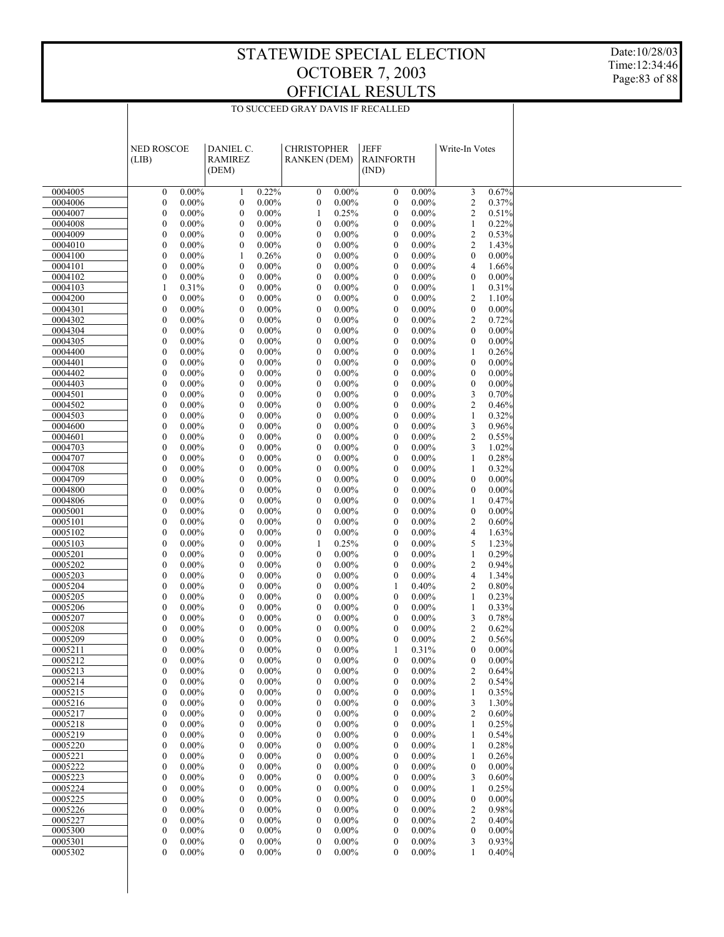Date:10/28/03 Time:12:34:46 Page:83 of 88

|                    | <b>NED ROSCOE</b>                    |                      | DANIEL C.                            |                      | <b>CHRISTOPHER</b>                   |                      | <b>JEFF</b>                          |                      | Write-In Votes                       |                      |  |
|--------------------|--------------------------------------|----------------------|--------------------------------------|----------------------|--------------------------------------|----------------------|--------------------------------------|----------------------|--------------------------------------|----------------------|--|
|                    | (LIB)                                |                      | <b>RAMIREZ</b>                       |                      | <b>RANKEN (DEM)</b>                  |                      | <b>RAINFORTH</b>                     |                      |                                      |                      |  |
|                    |                                      |                      | (DEM)                                |                      |                                      |                      | (IND)                                |                      |                                      |                      |  |
| 0004005            | $\boldsymbol{0}$                     | $0.00\%$             | $\mathbf{1}$                         | 0.22%                | $\boldsymbol{0}$                     | $0.00\%$             | $\boldsymbol{0}$                     | $0.00\%$             | 3                                    | 0.67%                |  |
| 0004006            | $\boldsymbol{0}$                     | $0.00\%$             | $\boldsymbol{0}$                     | $0.00\%$             | $\boldsymbol{0}$                     | 0.00%                | $\boldsymbol{0}$                     | $0.00\%$             | $\overline{c}$                       | 0.37%                |  |
| 0004007            | $\boldsymbol{0}$                     | $0.00\%$             | $\boldsymbol{0}$                     | $0.00\%$             | 1                                    | 0.25%                | $\mathbf{0}$                         | $0.00\%$             | $\overline{c}$                       | 0.51%                |  |
| 0004008            | $\boldsymbol{0}$                     | $0.00\%$             | $\boldsymbol{0}$                     | $0.00\%$             | $\boldsymbol{0}$                     | $0.00\%$             | $\boldsymbol{0}$                     | $0.00\%$             | 1                                    | 0.22%                |  |
| 0004009            | $\boldsymbol{0}$                     | $0.00\%$             | $\boldsymbol{0}$                     | $0.00\%$             | $\boldsymbol{0}$                     | $0.00\%$             | $\mathbf{0}$                         | $0.00\%$             | $\overline{c}$                       | 0.53%                |  |
| 0004010<br>0004100 | $\boldsymbol{0}$<br>$\boldsymbol{0}$ | $0.00\%$<br>$0.00\%$ | $\boldsymbol{0}$<br>1                | $0.00\%$<br>0.26%    | $\boldsymbol{0}$<br>$\boldsymbol{0}$ | $0.00\%$<br>$0.00\%$ | $\boldsymbol{0}$<br>$\boldsymbol{0}$ | $0.00\%$<br>$0.00\%$ | $\overline{c}$<br>$\boldsymbol{0}$   | 1.43%<br>$0.00\%$    |  |
| 0004101            | $\boldsymbol{0}$                     | $0.00\%$             | $\boldsymbol{0}$                     | $0.00\%$             | $\boldsymbol{0}$                     | $0.00\%$             | $\boldsymbol{0}$                     | $0.00\%$             | 4                                    | 1.66%                |  |
| 0004102            | $\boldsymbol{0}$                     | $0.00\%$             | $\boldsymbol{0}$                     | $0.00\%$             | $\boldsymbol{0}$                     | $0.00\%$             | $\mathbf{0}$                         | $0.00\%$             | $\boldsymbol{0}$                     | $0.00\%$             |  |
| 0004103            | 1                                    | 0.31%                | $\boldsymbol{0}$                     | $0.00\%$             | $\boldsymbol{0}$                     | $0.00\%$             | $\boldsymbol{0}$                     | $0.00\%$             | $\mathbf{1}$                         | 0.31%                |  |
| 0004200            | $\boldsymbol{0}$                     | $0.00\%$             | $\boldsymbol{0}$                     | $0.00\%$             | $\boldsymbol{0}$                     | $0.00\%$             | $\mathbf{0}$                         | $0.00\%$             | $\overline{c}$                       | 1.10%                |  |
| 0004301            | $\boldsymbol{0}$                     | $0.00\%$             | $\boldsymbol{0}$                     | $0.00\%$             | $\boldsymbol{0}$                     | $0.00\%$             | $\boldsymbol{0}$                     | $0.00\%$             | $\boldsymbol{0}$                     | $0.00\%$             |  |
| 0004302            | $\boldsymbol{0}$                     | $0.00\%$             | $\mathbf{0}$                         | $0.00\%$             | $\boldsymbol{0}$                     | $0.00\%$             | $\mathbf{0}$                         | $0.00\%$             | $\overline{c}$                       | 0.72%                |  |
| 0004304<br>0004305 | $\boldsymbol{0}$<br>$\boldsymbol{0}$ | $0.00\%$<br>$0.00\%$ | $\boldsymbol{0}$<br>$\boldsymbol{0}$ | $0.00\%$<br>$0.00\%$ | $\boldsymbol{0}$<br>$\boldsymbol{0}$ | $0.00\%$<br>$0.00\%$ | $\boldsymbol{0}$<br>$\mathbf{0}$     | $0.00\%$<br>$0.00\%$ | $\boldsymbol{0}$<br>$\boldsymbol{0}$ | $0.00\%$<br>$0.00\%$ |  |
| 0004400            | $\boldsymbol{0}$                     | $0.00\%$             | $\boldsymbol{0}$                     | $0.00\%$             | $\boldsymbol{0}$                     | $0.00\%$             | $\boldsymbol{0}$                     | $0.00\%$             | 1                                    | 0.26%                |  |
| 0004401            | $\boldsymbol{0}$                     | $0.00\%$             | $\mathbf{0}$                         | $0.00\%$             | $\boldsymbol{0}$                     | $0.00\%$             | $\mathbf{0}$                         | $0.00\%$             | $\boldsymbol{0}$                     | $0.00\%$             |  |
| 0004402            | $\boldsymbol{0}$                     | $0.00\%$             | $\boldsymbol{0}$                     | $0.00\%$             | $\boldsymbol{0}$                     | $0.00\%$             | $\boldsymbol{0}$                     | $0.00\%$             | $\boldsymbol{0}$                     | $0.00\%$             |  |
| 0004403            | $\boldsymbol{0}$                     | $0.00\%$             | $\boldsymbol{0}$                     | $0.00\%$             | $\boldsymbol{0}$                     | $0.00\%$             | $\mathbf{0}$                         | $0.00\%$             | $\mathbf{0}$                         | $0.00\%$             |  |
| 0004501            | $\boldsymbol{0}$                     | $0.00\%$             | $\boldsymbol{0}$                     | $0.00\%$             | $\boldsymbol{0}$                     | $0.00\%$             | $\boldsymbol{0}$                     | $0.00\%$             | 3                                    | 0.70%                |  |
| 0004502<br>0004503 | $\boldsymbol{0}$<br>$\boldsymbol{0}$ | $0.00\%$<br>$0.00\%$ | $\mathbf{0}$<br>$\boldsymbol{0}$     | $0.00\%$<br>$0.00\%$ | $\boldsymbol{0}$<br>$\boldsymbol{0}$ | $0.00\%$<br>$0.00\%$ | $\mathbf{0}$<br>$\boldsymbol{0}$     | $0.00\%$<br>$0.00\%$ | $\overline{c}$<br>1                  | 0.46%<br>0.32%       |  |
| 0004600            | $\boldsymbol{0}$                     | $0.00\%$             | $\boldsymbol{0}$                     | $0.00\%$             | $\boldsymbol{0}$                     | $0.00\%$             | $\mathbf{0}$                         | $0.00\%$             | 3                                    | 0.96%                |  |
| 0004601            | $\boldsymbol{0}$                     | $0.00\%$             | $\boldsymbol{0}$                     | $0.00\%$             | $\boldsymbol{0}$                     | $0.00\%$             | $\boldsymbol{0}$                     | $0.00\%$             | $\overline{c}$                       | 0.55%                |  |
| 0004703            | $\boldsymbol{0}$                     | $0.00\%$             | $\mathbf{0}$                         | $0.00\%$             | $\boldsymbol{0}$                     | $0.00\%$             | $\mathbf{0}$                         | $0.00\%$             | 3                                    | 1.02%                |  |
| 0004707            | $\boldsymbol{0}$                     | $0.00\%$             | $\boldsymbol{0}$                     | $0.00\%$             | $\boldsymbol{0}$                     | $0.00\%$             | $\boldsymbol{0}$                     | $0.00\%$             | 1                                    | 0.28%                |  |
| 0004708            | $\boldsymbol{0}$                     | $0.00\%$             | $\boldsymbol{0}$                     | $0.00\%$             | $\boldsymbol{0}$                     | $0.00\%$             | $\boldsymbol{0}$                     | $0.00\%$             | 1                                    | 0.32%                |  |
| 0004709<br>0004800 | $\boldsymbol{0}$<br>$\boldsymbol{0}$ | $0.00\%$<br>$0.00\%$ | $\boldsymbol{0}$<br>$\mathbf{0}$     | $0.00\%$<br>$0.00\%$ | $\boldsymbol{0}$<br>$\boldsymbol{0}$ | $0.00\%$<br>$0.00\%$ | $\boldsymbol{0}$<br>$\mathbf{0}$     | $0.00\%$<br>$0.00\%$ | $\boldsymbol{0}$<br>$\boldsymbol{0}$ | $0.00\%$<br>$0.00\%$ |  |
| 0004806            | $\boldsymbol{0}$                     | $0.00\%$             | $\boldsymbol{0}$                     | $0.00\%$             | $\boldsymbol{0}$                     | $0.00\%$             | $\boldsymbol{0}$                     | $0.00\%$             | 1                                    | 0.47%                |  |
| 0005001            | $\boldsymbol{0}$                     | $0.00\%$             | $\boldsymbol{0}$                     | $0.00\%$             | $\boldsymbol{0}$                     | $0.00\%$             | $\mathbf{0}$                         | $0.00\%$             | $\boldsymbol{0}$                     | $0.00\%$             |  |
| 0005101            | $\boldsymbol{0}$                     | $0.00\%$             | $\boldsymbol{0}$                     | $0.00\%$             | $\boldsymbol{0}$                     | $0.00\%$             | $\boldsymbol{0}$                     | $0.00\%$             | $\overline{c}$                       | 0.60%                |  |
| 0005102            | $\boldsymbol{0}$                     | $0.00\%$             | $\mathbf{0}$                         | $0.00\%$             | $\boldsymbol{0}$                     | $0.00\%$             | $\mathbf{0}$                         | $0.00\%$             | 4                                    | 1.63%                |  |
| 0005103            | $\boldsymbol{0}$                     | $0.00\%$             | $\boldsymbol{0}$                     | $0.00\%$             | 1                                    | 0.25%                | $\boldsymbol{0}$                     | $0.00\%$             | 5                                    | 1.23%                |  |
| 0005201            | $\boldsymbol{0}$                     | $0.00\%$             | $\boldsymbol{0}$                     | $0.00\%$             | $\boldsymbol{0}$                     | $0.00\%$             | $\boldsymbol{0}$                     | $0.00\%$             | $\mathbf{1}$                         | 0.29%                |  |
| 0005202<br>0005203 | $\boldsymbol{0}$<br>$\boldsymbol{0}$ | $0.00\%$<br>$0.00\%$ | $\boldsymbol{0}$<br>$\mathbf{0}$     | $0.00\%$<br>$0.00\%$ | $\boldsymbol{0}$<br>$\boldsymbol{0}$ | $0.00\%$<br>$0.00\%$ | $\boldsymbol{0}$<br>$\boldsymbol{0}$ | $0.00\%$<br>$0.00\%$ | $\overline{c}$<br>$\overline{4}$     | 0.94%<br>1.34%       |  |
| 0005204            | $\boldsymbol{0}$                     | $0.00\%$             | $\boldsymbol{0}$                     | $0.00\%$             | $\boldsymbol{0}$                     | $0.00\%$             | 1                                    | 0.40%                | $\overline{c}$                       | 0.80%                |  |
| 0005205            | $\boldsymbol{0}$                     | $0.00\%$             | $\boldsymbol{0}$                     | $0.00\%$             | $\boldsymbol{0}$                     | $0.00\%$             | $\boldsymbol{0}$                     | $0.00\%$             | 1                                    | 0.23%                |  |
| 0005206            | $\boldsymbol{0}$                     | $0.00\%$             | $\boldsymbol{0}$                     | $0.00\%$             | $\boldsymbol{0}$                     | $0.00\%$             | $\boldsymbol{0}$                     | $0.00\%$             | 1                                    | 0.33%                |  |
| 0005207            | $\boldsymbol{0}$                     | $0.00\%$             | $\boldsymbol{0}$                     | $0.00\%$             | $\boldsymbol{0}$                     | $0.00\%$             | $\mathbf{0}$                         | $0.00\%$             | 3                                    | 0.78%                |  |
| 0005208            | $\boldsymbol{0}$                     | $0.00\%$             | $\boldsymbol{0}$                     | $0.00\%$             | $\boldsymbol{0}$                     | $0.00\%$             | $\boldsymbol{0}$                     | $0.00\%$             | $\overline{c}$                       | 0.62%                |  |
| 0005209<br>0005211 | $\boldsymbol{0}$<br>$\theta$         | $0.00\%$<br>$0.00\%$ | $\mathbf{0}$<br>$\Omega$             | $0.00\%$<br>$0.00\%$ | $\mathbf{0}$<br>$\mathbf{0}$         | $0.00\%$<br>$0.00\%$ | $\mathbf{0}$<br>1                    | $0.00\%$<br>0.31%    | $\overline{c}$<br>$\mathbf{0}$       | 0.56%<br>0.00%       |  |
| 0005212            | $\boldsymbol{0}$                     | $0.00\%$             | $\boldsymbol{0}$                     | $0.00\%$             | $\boldsymbol{0}$                     | $0.00\%$             | $\boldsymbol{0}$                     | $0.00\%$             | $\boldsymbol{0}$                     | 0.00%                |  |
| 0005213            | $\boldsymbol{0}$                     | $0.00\%$             | $\boldsymbol{0}$                     | $0.00\%$             | $\boldsymbol{0}$                     | $0.00\%$             | $\boldsymbol{0}$                     | $0.00\%$             | $\overline{c}$                       | 0.64%                |  |
| 0005214            | $\boldsymbol{0}$                     | $0.00\%$             | $\boldsymbol{0}$                     | $0.00\%$             | $\boldsymbol{0}$                     | $0.00\%$             | $\mathbf{0}$                         | $0.00\%$             | $\overline{c}$                       | 0.54%                |  |
| 0005215            | $\boldsymbol{0}$                     | $0.00\%$             | $\boldsymbol{0}$                     | $0.00\%$             | $\boldsymbol{0}$                     | $0.00\%$             | $\boldsymbol{0}$                     | $0.00\%$             | 1                                    | 0.35%                |  |
| 0005216            | $\boldsymbol{0}$                     | $0.00\%$             | $\boldsymbol{0}$                     | $0.00\%$             | $\boldsymbol{0}$                     | $0.00\%$             | $\mathbf{0}$                         | $0.00\%$             | 3                                    | 1.30%                |  |
| 0005217            | $\boldsymbol{0}$<br>$\boldsymbol{0}$ | $0.00\%$             | $\boldsymbol{0}$                     | $0.00\%$             | $\boldsymbol{0}$                     | $0.00\%$             | $\boldsymbol{0}$<br>$\mathbf{0}$     | $0.00\%$             | $\overline{c}$                       | 0.60%<br>0.25%       |  |
| 0005218<br>0005219 | $\boldsymbol{0}$                     | $0.00\%$<br>$0.00\%$ | $\boldsymbol{0}$<br>$\boldsymbol{0}$ | $0.00\%$<br>$0.00\%$ | $\boldsymbol{0}$<br>$\boldsymbol{0}$ | $0.00\%$<br>$0.00\%$ | $\boldsymbol{0}$                     | $0.00\%$<br>$0.00\%$ | 1<br>1                               | 0.54%                |  |
| 0005220            | $\boldsymbol{0}$                     | $0.00\%$             | $\boldsymbol{0}$                     | $0.00\%$             | $\boldsymbol{0}$                     | $0.00\%$             | $\boldsymbol{0}$                     | $0.00\%$             | 1                                    | 0.28%                |  |
| 0005221            | $\boldsymbol{0}$                     | $0.00\%$             | $\boldsymbol{0}$                     | $0.00\%$             | $\boldsymbol{0}$                     | $0.00\%$             | $\boldsymbol{0}$                     | $0.00\%$             | 1                                    | 0.26%                |  |
| 0005222            | $\boldsymbol{0}$                     | $0.00\%$             | $\boldsymbol{0}$                     | $0.00\%$             | $\boldsymbol{0}$                     | $0.00\%$             | $\mathbf{0}$                         | $0.00\%$             | $\boldsymbol{0}$                     | $0.00\%$             |  |
| 0005223            | $\boldsymbol{0}$                     | $0.00\%$             | $\boldsymbol{0}$                     | $0.00\%$             | $\boldsymbol{0}$                     | $0.00\%$             | $\boldsymbol{0}$                     | $0.00\%$             | 3                                    | 0.60%                |  |
| 0005224            | $\boldsymbol{0}$                     | $0.00\%$             | $\boldsymbol{0}$                     | $0.00\%$             | $\boldsymbol{0}$                     | $0.00\%$             | $\boldsymbol{0}$                     | $0.00\%$             | 1                                    | 0.25%                |  |
| 0005225<br>0005226 | $\boldsymbol{0}$<br>$\boldsymbol{0}$ | $0.00\%$<br>$0.00\%$ | $\boldsymbol{0}$<br>$\boldsymbol{0}$ | $0.00\%$<br>$0.00\%$ | $\boldsymbol{0}$<br>$\boldsymbol{0}$ | $0.00\%$<br>$0.00\%$ | $\boldsymbol{0}$<br>$\mathbf{0}$     | $0.00\%$<br>$0.00\%$ | $\boldsymbol{0}$<br>$\overline{c}$   | $0.00\%$<br>0.98%    |  |
| 0005227            | $\boldsymbol{0}$                     | $0.00\%$             | $\boldsymbol{0}$                     | $0.00\%$             | $\boldsymbol{0}$                     | $0.00\%$             | $\boldsymbol{0}$                     | $0.00\%$             | $\overline{c}$                       | 0.40%                |  |
| 0005300            | $\boldsymbol{0}$                     | $0.00\%$             | $\boldsymbol{0}$                     | $0.00\%$             | $\boldsymbol{0}$                     | $0.00\%$             | $\mathbf{0}$                         | $0.00\%$             | $\boldsymbol{0}$                     | $0.00\%$             |  |
| 0005301            | $\boldsymbol{0}$                     | $0.00\%$             | $\boldsymbol{0}$                     | $0.00\%$             | $\boldsymbol{0}$                     | $0.00\%$             | $\boldsymbol{0}$                     | $0.00\%$             | 3                                    | 0.93%                |  |
| 0005302            | $\boldsymbol{0}$                     | $0.00\%$             | $\mathbf{0}$                         | $0.00\%$             | $\boldsymbol{0}$                     | $0.00\%$             | $\mathbf{0}$                         | $0.00\%$             | 1                                    | 0.40%                |  |
|                    |                                      |                      |                                      |                      |                                      |                      |                                      |                      |                                      |                      |  |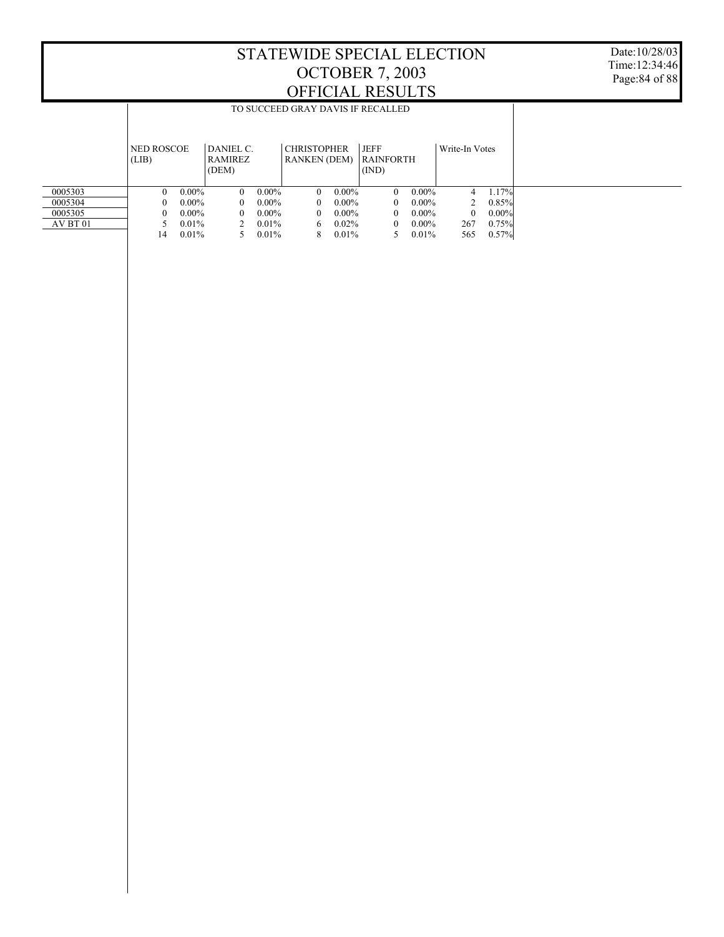|          |                            |          |                                      |          |                                           |          | TO SUCCEED GRAY DAVIS IF RECALLED |          |                |          |  |  |  |
|----------|----------------------------|----------|--------------------------------------|----------|-------------------------------------------|----------|-----------------------------------|----------|----------------|----------|--|--|--|
|          |                            |          |                                      |          |                                           |          |                                   |          |                |          |  |  |  |
|          | <b>NED ROSCOE</b><br>(LIB) |          | DANIEL C.<br><b>RAMIREZ</b><br>(DEM) |          | <b>CHRISTOPHER</b><br><b>RANKEN (DEM)</b> |          | <b>JEFF</b><br>RAINFORTH<br>(IND) |          | Write-In Votes |          |  |  |  |
| 0005303  | 0                          | $0.00\%$ | $\Omega$                             | $0.00\%$ | $\theta$                                  | $0.00\%$ | $\Omega$                          | $0.00\%$ | 4              | 1.17%    |  |  |  |
| 0005304  | 0                          | $0.00\%$ | $\Omega$                             | $0.00\%$ | $\Omega$                                  | $0.00\%$ | $\theta$                          | $0.00\%$ |                | 0.85%    |  |  |  |
| 0005305  | 0                          | $0.00\%$ | $\Omega$                             | $0.00\%$ | $\Omega$                                  | $0.00\%$ | $\Omega$                          | $0.00\%$ | $\Omega$       | $0.00\%$ |  |  |  |
| AV BT 01 |                            | $0.01\%$ |                                      | $0.01\%$ | 6                                         | $0.02\%$ | $\Omega$                          | $0.00\%$ | 267            | 0.75%    |  |  |  |
|          | 14                         | $0.01\%$ |                                      | 0.01%    | 8                                         | $0.01\%$ | 5.                                | 0.01%    | 565            | 0.57%    |  |  |  |
|          |                            |          |                                      |          |                                           |          |                                   |          |                |          |  |  |  |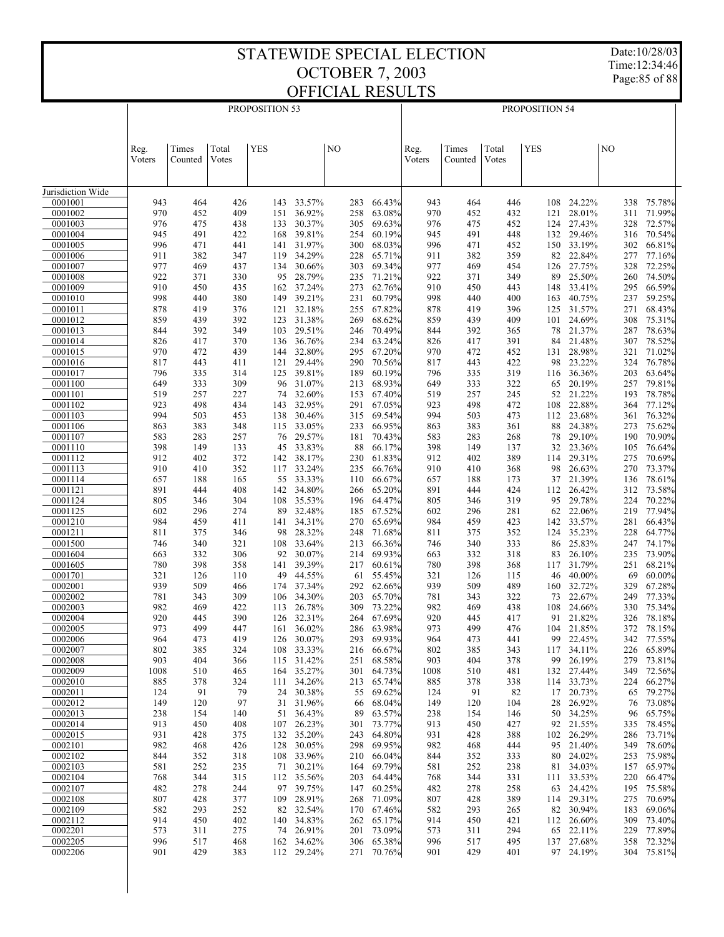Date:10/28/03 Time:12:34:46 Page:85 of 88

| <b>YES</b><br><b>YES</b><br>Times<br>Total<br>NO<br>Times<br>Total<br>NO<br>Reg.<br>Reg.<br>Votes<br>Votes<br>Voters<br>Counted<br>Voters<br>Counted<br>Jurisdiction Wide<br>33.57%<br>66.43%<br>24.22%<br>75.78%<br>0001001<br>943<br>464<br>426<br>283<br>943<br>464<br>446<br>108<br>338<br>143<br>970<br>409<br>36.92%<br>63.08%<br>28.01%<br>71.99%<br>0001002<br>452<br>151<br>258<br>970<br>452<br>432<br>121<br>311<br>30.37%<br>27.43%<br>72.57%<br>0001003<br>976<br>475<br>438<br>133<br>305<br>69.63%<br>976<br>475<br>452<br>124<br>328<br>945<br>39.81%<br>60.19%<br>29.46%<br>70.54%<br>0001004<br>491<br>422<br>168<br>254<br>945<br>491<br>448<br>132<br>316<br>996<br>31.97%<br>68.03%<br>996<br>33.19%<br>66.81%<br>0001005<br>471<br>441<br>141<br>300<br>471<br>452<br>150<br>302<br>911<br>34.29%<br>65.71%<br>82 22.84%<br>77.16%<br>0001006<br>382<br>347<br>119<br>228<br>911<br>382<br>359<br>277<br>0001007<br>977<br>30.66%<br>69.34%<br>977<br>27.75%<br>469<br>437<br>134<br>303<br>469<br>454<br>126<br>328<br>72.25%<br>25.50%<br>922<br>28.79%<br>71.21%<br>349<br>74.50%<br>0001008<br>371<br>330<br>95<br>235<br>922<br>371<br>89<br>260<br>910<br>37.24%<br>62.76%<br>910<br>33.41%<br>66.59%<br>0001009<br>450<br>435<br>162<br>273<br>450<br>443<br>148<br>295<br>40.75%<br>998<br>39.21%<br>60.79%<br>59.25%<br>0001010<br>440<br>380<br>149<br>231<br>998<br>440<br>400<br>163<br>237<br>0001011<br>376<br>32.18%<br>67.82%<br>31.57%<br>68.43%<br>878<br>419<br>121<br>255<br>878<br>419<br>396<br>125<br>271<br>31.38%<br>24.69%<br>392<br>68.62%<br>75.31%<br>0001012<br>859<br>439<br>123<br>269<br>859<br>439<br>409<br>101<br>308<br>349<br>29.51%<br>70.49%<br>21.37%<br>78.63%<br>0001013<br>844<br>392<br>103<br>246<br>844<br>392<br>365<br>78<br>287<br>21.48%<br>36.76%<br>63.24%<br>78.52%<br>0001014<br>826<br>417<br>370<br>136<br>234<br>826<br>417<br>391<br>84<br>307<br>0001015<br>970<br>439<br>32.80%<br>67.20%<br>28.98%<br>71.02%<br>472<br>144<br>295<br>970<br>472<br>452<br>131<br>321<br>23.22%<br>0001016<br>817<br>29.44%<br>70.56%<br>422<br>76.78%<br>443<br>411<br>121<br>290<br>817<br>443<br>98<br>324<br>39.81%<br>60.19%<br>319<br>36.36%<br>63.64%<br>0001017<br>796<br>335<br>314<br>125<br>189<br>796<br>335<br>116<br>203<br>0001100<br>649<br>309<br>31.07%<br>68.93%<br>20.19%<br>79.81%<br>333<br>96<br>213<br>649<br>333<br>322<br>65<br>257<br>21.22%<br>0001101<br>519<br>32.60%<br>67.40%<br>519<br>245<br>78.78%<br>257<br>227<br>153<br>257<br>52<br>193<br>74<br>22.88%<br>0001102<br>32.95%<br>67.05%<br>472<br>77.12%<br>923<br>498<br>434<br>143<br>291<br>923<br>498<br>108<br>364<br>0001103<br>994<br>30.46%<br>69.54%<br>994<br>473<br>23.68%<br>76.32%<br>503<br>453<br>138<br>315<br>503<br>112<br>361<br>0001106<br>33.05%<br>66.95%<br>24.38%<br>75.62%<br>863<br>383<br>348<br>115<br>233<br>863<br>383<br>361<br>88<br>273<br>0001107<br>583<br>29.57%<br>583<br>29.10%<br>70.90%<br>283<br>257<br>76<br>181<br>70.43%<br>283<br>268<br>78<br>190<br>33.83%<br>0001110<br>398<br>66.17%<br>23.36%<br>76.64%<br>149<br>133<br>88<br>398<br>149<br>137<br>32<br>105<br>45<br>0001112<br>912<br>372<br>38.17%<br>912<br>389<br>29.31%<br>70.69%<br>402<br>142<br>230<br>61.83%<br>402<br>114<br>275<br>0001113<br>910<br>352<br>33.24%<br>26.63%<br>73.37%<br>410<br>117<br>235<br>66.76%<br>910<br>410<br>368<br>98<br>270<br>0001114<br>165<br>33.33%<br>66.67%<br>21.39%<br>78.61%<br>657<br>188<br>55<br>110<br>657<br>188<br>173<br>37<br>136<br>0001121<br>891<br>34.80%<br>65.20%<br>26.42%<br>73.58%<br>444<br>408<br>142<br>266<br>891<br>444<br>424<br>112<br>312<br>0001124<br>805<br>304<br>35.53%<br>64.47%<br>319<br>29.78%<br>70.22%<br>108<br>196<br>805<br>95<br>224<br>346<br>346<br>0001125<br>32.48%<br>67.52%<br>22.06%<br>77.94%<br>602<br>296<br>274<br>89<br>185<br>602<br>296<br>281<br>62<br>219<br>33.57%<br>0001210<br>984<br>34.31%<br>65.69%<br>984<br>66.43%<br>459<br>411<br>141<br>270<br>459<br>423<br>142<br>281<br>35.23%<br>0001211<br>811<br>28.32%<br>352<br>64.77%<br>375<br>346<br>98<br>248<br>71.68%<br>811<br>375<br>124<br>228<br>0001500<br>33.64%<br>66.36%<br>333<br>25.83%<br>74.17%<br>746<br>340<br>321<br>108<br>213<br>746<br>340<br>86<br>247<br>0001604<br>30.07%<br>69.93%<br>26.10%<br>73.90%<br>663<br>332<br>306<br>92<br>214<br>663<br>332<br>318<br>83<br>235<br>0001605<br>39.39%<br>31.79%<br>68.21%<br>780<br>398<br>358<br>141<br>217<br>60.61%<br>780<br>398<br>368<br>251<br>117<br>44.55%<br>40.00%<br>60.00%<br>0001701<br>321<br>126<br>110<br>49<br>61<br>55.45%<br>321<br>126<br>115<br>46<br>69<br>939<br>939<br>489<br>32.72%<br>67.28%<br>0002001<br>509<br>466<br>37.34%<br>292<br>62.66%<br>509<br>160<br>329<br>174<br>22.67%<br>0002002<br>34.30%<br>65.70%<br>77.33%<br>781<br>343<br>309<br>106<br>203<br>781<br>343<br>322<br>73<br>249<br>0002003<br>26.78%<br>24.66%<br>75.34%<br>982<br>469<br>422<br>309<br>73.22%<br>982<br>469<br>438<br>108<br>330<br>113<br>920<br>390<br>32.31%<br>67.69%<br>78.18%<br>0002004<br>445<br>126<br>264<br>920<br>445<br>417<br>21.82%<br>326<br>91<br>973<br>0002005<br>499<br>447<br>36.02%<br>286<br>63.98%<br>973<br>499<br>476<br>104 21.85%<br>372<br>78.15%<br>161<br>0002006<br>419<br>126 30.07%<br>69.93%<br>22.45%<br>77.55%<br>964<br>473<br>293<br>964<br>473<br>441<br>99<br>342<br>0002007<br>802<br>385<br>324<br>33.33%<br>66.67%<br>802<br>385<br>343<br>117<br>34.11%<br>226<br>65.89%<br>108<br>216<br>26.19%<br>0002008<br>903<br>404<br>115 31.42%<br>251<br>68.58%<br>903<br>404<br>378<br>279<br>73.81%<br>366<br>99<br>0002009<br>1008<br>164 35.27%<br>301<br>64.73%<br>132 27.44%<br>349<br>72.56%<br>510<br>465<br>1008<br>510<br>481<br>0002010<br>885<br>324<br>34.26%<br>65.74%<br>338<br>33.73%<br>224<br>66.27%<br>378<br>111<br>213<br>885<br>378<br>114<br>0002011<br>124<br>91<br>79<br>24<br>30.38%<br>55<br>69.62%<br>91<br>82<br>17<br>20.73%<br>65<br>79.27%<br>124<br>0002012<br>149<br>97<br>31.96%<br>68.04%<br>120<br>26.92%<br>73.08%<br>120<br>31<br>66<br>149<br>104<br>28<br>76<br>0002013<br>238<br>154<br>140<br>36.43%<br>89<br>63.57%<br>238<br>154<br>146<br>50<br>34.25%<br>96<br>65.75%<br>51<br>0002014<br>913<br>26.23%<br>73.77%<br>427<br>92 21.55%<br>78.45%<br>450<br>408<br>107<br>301<br>913<br>450<br>335<br>0002015<br>931<br>375<br>132<br>35.20%<br>243<br>64.80%<br>931<br>388<br>102 26.29%<br>286<br>73.71%<br>428<br>428<br>0002101<br>982<br>30.05%<br>298<br>69.95%<br>444<br>21.40%<br>349<br>78.60%<br>468<br>426<br>128<br>982<br>468<br>95<br>0002102<br>844<br>352<br>108<br>33.96%<br>210<br>66.04%<br>844<br>333<br>80<br>24.02%<br>253<br>75.98%<br>318<br>352<br>0002103<br>581<br>252<br>30.21%<br>69.79%<br>252<br>238<br>34.03%<br>157<br>65.97%<br>235<br>71<br>164<br>581<br>81<br>0002104<br>768<br>315<br>112 35.56%<br>203<br>64.44%<br>344<br>331<br>33.53%<br>220<br>66.47%<br>344<br>768<br>111<br>0002107<br>482<br>278<br>244<br>39.75%<br>60.25%<br>482<br>278<br>258<br>24.42%<br>195<br>75.58%<br>97<br>147<br>63<br>0002108<br>807<br>428<br>377<br>28.91%<br>268<br>71.09%<br>807<br>428<br>389<br>114 29.31%<br>275<br>70.69%<br>109<br>0002109<br>582<br>293<br>252<br>82 32.54%<br>67.46%<br>293<br>82<br>30.94%<br>183<br>69.06%<br>170<br>582<br>265<br>0002112<br>914<br>402<br>34.83%<br>262<br>65.17%<br>914<br>26.60%<br>309<br>73.40%<br>450<br>140<br>450<br>421<br>112<br>0002201<br>573<br>74 26.91%<br>73.09%<br>294<br>22.11%<br>229<br>77.89%<br>311<br>275<br>201<br>573<br>311<br>65<br>0002205<br>996<br>517<br>162 34.62%<br>306<br>65.38%<br>996<br>495<br>137<br>27.68%<br>358<br>72.32%<br>468<br>517<br>0002206<br>901<br>429<br>383<br>112 29.24%<br>271<br>70.76%<br>901<br>429<br>401<br>97 24.19%<br>304 75.81% |  |  | PROPOSITION 53 |  | PROPOSITION 54 |  |  |  |  |  |  |
|----------------------------------------------------------------------------------------------------------------------------------------------------------------------------------------------------------------------------------------------------------------------------------------------------------------------------------------------------------------------------------------------------------------------------------------------------------------------------------------------------------------------------------------------------------------------------------------------------------------------------------------------------------------------------------------------------------------------------------------------------------------------------------------------------------------------------------------------------------------------------------------------------------------------------------------------------------------------------------------------------------------------------------------------------------------------------------------------------------------------------------------------------------------------------------------------------------------------------------------------------------------------------------------------------------------------------------------------------------------------------------------------------------------------------------------------------------------------------------------------------------------------------------------------------------------------------------------------------------------------------------------------------------------------------------------------------------------------------------------------------------------------------------------------------------------------------------------------------------------------------------------------------------------------------------------------------------------------------------------------------------------------------------------------------------------------------------------------------------------------------------------------------------------------------------------------------------------------------------------------------------------------------------------------------------------------------------------------------------------------------------------------------------------------------------------------------------------------------------------------------------------------------------------------------------------------------------------------------------------------------------------------------------------------------------------------------------------------------------------------------------------------------------------------------------------------------------------------------------------------------------------------------------------------------------------------------------------------------------------------------------------------------------------------------------------------------------------------------------------------------------------------------------------------------------------------------------------------------------------------------------------------------------------------------------------------------------------------------------------------------------------------------------------------------------------------------------------------------------------------------------------------------------------------------------------------------------------------------------------------------------------------------------------------------------------------------------------------------------------------------------------------------------------------------------------------------------------------------------------------------------------------------------------------------------------------------------------------------------------------------------------------------------------------------------------------------------------------------------------------------------------------------------------------------------------------------------------------------------------------------------------------------------------------------------------------------------------------------------------------------------------------------------------------------------------------------------------------------------------------------------------------------------------------------------------------------------------------------------------------------------------------------------------------------------------------------------------------------------------------------------------------------------------------------------------------------------------------------------------------------------------------------------------------------------------------------------------------------------------------------------------------------------------------------------------------------------------------------------------------------------------------------------------------------------------------------------------------------------------------------------------------------------------------------------------------------------------------------------------------------------------------------------------------------------------------------------------------------------------------------------------------------------------------------------------------------------------------------------------------------------------------------------------------------------------------------------------------------------------------------------------------------------------------------------------------------------------------------------------------------------------------------------------------------------------------------------------------------------------------------------------------------------------------------------------------------------------------------------------------------------------------------------------------------------------------------------------------------------------------------------------------------------------------------------------------------------------------------------------------------------------------------------------------------------------------------------------------------------------------------------------------------------------------------------------------------------------------------------------------------------------------------------------------------------------------------------------------------------------------------------------------------------------------------------------------------------------------------------------------------------------------------------------------------------------------------------------------------------------------------------------------------------------------------------------------------------------------------------------------------------------------------------------------------------------------------------------------------------------------------------------------------------------------------------------------------------------------------------------------------------------------------------------------------------------------------------------------------------------------------------------------------------------------------------------------------------------------------------------------------------------------------------------------------------------------------------------------------------------------------------------------------------------------------------------------------------------------------------------------------|--|--|----------------|--|----------------|--|--|--|--|--|--|
|                                                                                                                                                                                                                                                                                                                                                                                                                                                                                                                                                                                                                                                                                                                                                                                                                                                                                                                                                                                                                                                                                                                                                                                                                                                                                                                                                                                                                                                                                                                                                                                                                                                                                                                                                                                                                                                                                                                                                                                                                                                                                                                                                                                                                                                                                                                                                                                                                                                                                                                                                                                                                                                                                                                                                                                                                                                                                                                                                                                                                                                                                                                                                                                                                                                                                                                                                                                                                                                                                                                                                                                                                                                                                                                                                                                                                                                                                                                                                                                                                                                                                                                                                                                                                                                                                                                                                                                                                                                                                                                                                                                                                                                                                                                                                                                                                                                                                                                                                                                                                                                                                                                                                                                                                                                                                                                                                                                                                                                                                                                                                                                                                                                                                                                                                                                                                                                                                                                                                                                                                                                                                                                                                                                                                                                                                                                                                                                                                                                                                                                                                                                                                                                                                                                                                                                                                                                                                                                                                                                                                                                                                                                                                                                                                                                                                                                                                                                                                                                                                                                                                                                                                                                                                                                                                                                                                                                                            |  |  |                |  |                |  |  |  |  |  |  |
|                                                                                                                                                                                                                                                                                                                                                                                                                                                                                                                                                                                                                                                                                                                                                                                                                                                                                                                                                                                                                                                                                                                                                                                                                                                                                                                                                                                                                                                                                                                                                                                                                                                                                                                                                                                                                                                                                                                                                                                                                                                                                                                                                                                                                                                                                                                                                                                                                                                                                                                                                                                                                                                                                                                                                                                                                                                                                                                                                                                                                                                                                                                                                                                                                                                                                                                                                                                                                                                                                                                                                                                                                                                                                                                                                                                                                                                                                                                                                                                                                                                                                                                                                                                                                                                                                                                                                                                                                                                                                                                                                                                                                                                                                                                                                                                                                                                                                                                                                                                                                                                                                                                                                                                                                                                                                                                                                                                                                                                                                                                                                                                                                                                                                                                                                                                                                                                                                                                                                                                                                                                                                                                                                                                                                                                                                                                                                                                                                                                                                                                                                                                                                                                                                                                                                                                                                                                                                                                                                                                                                                                                                                                                                                                                                                                                                                                                                                                                                                                                                                                                                                                                                                                                                                                                                                                                                                                                            |  |  |                |  |                |  |  |  |  |  |  |
|                                                                                                                                                                                                                                                                                                                                                                                                                                                                                                                                                                                                                                                                                                                                                                                                                                                                                                                                                                                                                                                                                                                                                                                                                                                                                                                                                                                                                                                                                                                                                                                                                                                                                                                                                                                                                                                                                                                                                                                                                                                                                                                                                                                                                                                                                                                                                                                                                                                                                                                                                                                                                                                                                                                                                                                                                                                                                                                                                                                                                                                                                                                                                                                                                                                                                                                                                                                                                                                                                                                                                                                                                                                                                                                                                                                                                                                                                                                                                                                                                                                                                                                                                                                                                                                                                                                                                                                                                                                                                                                                                                                                                                                                                                                                                                                                                                                                                                                                                                                                                                                                                                                                                                                                                                                                                                                                                                                                                                                                                                                                                                                                                                                                                                                                                                                                                                                                                                                                                                                                                                                                                                                                                                                                                                                                                                                                                                                                                                                                                                                                                                                                                                                                                                                                                                                                                                                                                                                                                                                                                                                                                                                                                                                                                                                                                                                                                                                                                                                                                                                                                                                                                                                                                                                                                                                                                                                                            |  |  |                |  |                |  |  |  |  |  |  |
|                                                                                                                                                                                                                                                                                                                                                                                                                                                                                                                                                                                                                                                                                                                                                                                                                                                                                                                                                                                                                                                                                                                                                                                                                                                                                                                                                                                                                                                                                                                                                                                                                                                                                                                                                                                                                                                                                                                                                                                                                                                                                                                                                                                                                                                                                                                                                                                                                                                                                                                                                                                                                                                                                                                                                                                                                                                                                                                                                                                                                                                                                                                                                                                                                                                                                                                                                                                                                                                                                                                                                                                                                                                                                                                                                                                                                                                                                                                                                                                                                                                                                                                                                                                                                                                                                                                                                                                                                                                                                                                                                                                                                                                                                                                                                                                                                                                                                                                                                                                                                                                                                                                                                                                                                                                                                                                                                                                                                                                                                                                                                                                                                                                                                                                                                                                                                                                                                                                                                                                                                                                                                                                                                                                                                                                                                                                                                                                                                                                                                                                                                                                                                                                                                                                                                                                                                                                                                                                                                                                                                                                                                                                                                                                                                                                                                                                                                                                                                                                                                                                                                                                                                                                                                                                                                                                                                                                                            |  |  |                |  |                |  |  |  |  |  |  |
|                                                                                                                                                                                                                                                                                                                                                                                                                                                                                                                                                                                                                                                                                                                                                                                                                                                                                                                                                                                                                                                                                                                                                                                                                                                                                                                                                                                                                                                                                                                                                                                                                                                                                                                                                                                                                                                                                                                                                                                                                                                                                                                                                                                                                                                                                                                                                                                                                                                                                                                                                                                                                                                                                                                                                                                                                                                                                                                                                                                                                                                                                                                                                                                                                                                                                                                                                                                                                                                                                                                                                                                                                                                                                                                                                                                                                                                                                                                                                                                                                                                                                                                                                                                                                                                                                                                                                                                                                                                                                                                                                                                                                                                                                                                                                                                                                                                                                                                                                                                                                                                                                                                                                                                                                                                                                                                                                                                                                                                                                                                                                                                                                                                                                                                                                                                                                                                                                                                                                                                                                                                                                                                                                                                                                                                                                                                                                                                                                                                                                                                                                                                                                                                                                                                                                                                                                                                                                                                                                                                                                                                                                                                                                                                                                                                                                                                                                                                                                                                                                                                                                                                                                                                                                                                                                                                                                                                                            |  |  |                |  |                |  |  |  |  |  |  |
|                                                                                                                                                                                                                                                                                                                                                                                                                                                                                                                                                                                                                                                                                                                                                                                                                                                                                                                                                                                                                                                                                                                                                                                                                                                                                                                                                                                                                                                                                                                                                                                                                                                                                                                                                                                                                                                                                                                                                                                                                                                                                                                                                                                                                                                                                                                                                                                                                                                                                                                                                                                                                                                                                                                                                                                                                                                                                                                                                                                                                                                                                                                                                                                                                                                                                                                                                                                                                                                                                                                                                                                                                                                                                                                                                                                                                                                                                                                                                                                                                                                                                                                                                                                                                                                                                                                                                                                                                                                                                                                                                                                                                                                                                                                                                                                                                                                                                                                                                                                                                                                                                                                                                                                                                                                                                                                                                                                                                                                                                                                                                                                                                                                                                                                                                                                                                                                                                                                                                                                                                                                                                                                                                                                                                                                                                                                                                                                                                                                                                                                                                                                                                                                                                                                                                                                                                                                                                                                                                                                                                                                                                                                                                                                                                                                                                                                                                                                                                                                                                                                                                                                                                                                                                                                                                                                                                                                                            |  |  |                |  |                |  |  |  |  |  |  |
|                                                                                                                                                                                                                                                                                                                                                                                                                                                                                                                                                                                                                                                                                                                                                                                                                                                                                                                                                                                                                                                                                                                                                                                                                                                                                                                                                                                                                                                                                                                                                                                                                                                                                                                                                                                                                                                                                                                                                                                                                                                                                                                                                                                                                                                                                                                                                                                                                                                                                                                                                                                                                                                                                                                                                                                                                                                                                                                                                                                                                                                                                                                                                                                                                                                                                                                                                                                                                                                                                                                                                                                                                                                                                                                                                                                                                                                                                                                                                                                                                                                                                                                                                                                                                                                                                                                                                                                                                                                                                                                                                                                                                                                                                                                                                                                                                                                                                                                                                                                                                                                                                                                                                                                                                                                                                                                                                                                                                                                                                                                                                                                                                                                                                                                                                                                                                                                                                                                                                                                                                                                                                                                                                                                                                                                                                                                                                                                                                                                                                                                                                                                                                                                                                                                                                                                                                                                                                                                                                                                                                                                                                                                                                                                                                                                                                                                                                                                                                                                                                                                                                                                                                                                                                                                                                                                                                                                                            |  |  |                |  |                |  |  |  |  |  |  |
|                                                                                                                                                                                                                                                                                                                                                                                                                                                                                                                                                                                                                                                                                                                                                                                                                                                                                                                                                                                                                                                                                                                                                                                                                                                                                                                                                                                                                                                                                                                                                                                                                                                                                                                                                                                                                                                                                                                                                                                                                                                                                                                                                                                                                                                                                                                                                                                                                                                                                                                                                                                                                                                                                                                                                                                                                                                                                                                                                                                                                                                                                                                                                                                                                                                                                                                                                                                                                                                                                                                                                                                                                                                                                                                                                                                                                                                                                                                                                                                                                                                                                                                                                                                                                                                                                                                                                                                                                                                                                                                                                                                                                                                                                                                                                                                                                                                                                                                                                                                                                                                                                                                                                                                                                                                                                                                                                                                                                                                                                                                                                                                                                                                                                                                                                                                                                                                                                                                                                                                                                                                                                                                                                                                                                                                                                                                                                                                                                                                                                                                                                                                                                                                                                                                                                                                                                                                                                                                                                                                                                                                                                                                                                                                                                                                                                                                                                                                                                                                                                                                                                                                                                                                                                                                                                                                                                                                                            |  |  |                |  |                |  |  |  |  |  |  |
|                                                                                                                                                                                                                                                                                                                                                                                                                                                                                                                                                                                                                                                                                                                                                                                                                                                                                                                                                                                                                                                                                                                                                                                                                                                                                                                                                                                                                                                                                                                                                                                                                                                                                                                                                                                                                                                                                                                                                                                                                                                                                                                                                                                                                                                                                                                                                                                                                                                                                                                                                                                                                                                                                                                                                                                                                                                                                                                                                                                                                                                                                                                                                                                                                                                                                                                                                                                                                                                                                                                                                                                                                                                                                                                                                                                                                                                                                                                                                                                                                                                                                                                                                                                                                                                                                                                                                                                                                                                                                                                                                                                                                                                                                                                                                                                                                                                                                                                                                                                                                                                                                                                                                                                                                                                                                                                                                                                                                                                                                                                                                                                                                                                                                                                                                                                                                                                                                                                                                                                                                                                                                                                                                                                                                                                                                                                                                                                                                                                                                                                                                                                                                                                                                                                                                                                                                                                                                                                                                                                                                                                                                                                                                                                                                                                                                                                                                                                                                                                                                                                                                                                                                                                                                                                                                                                                                                                                            |  |  |                |  |                |  |  |  |  |  |  |
|                                                                                                                                                                                                                                                                                                                                                                                                                                                                                                                                                                                                                                                                                                                                                                                                                                                                                                                                                                                                                                                                                                                                                                                                                                                                                                                                                                                                                                                                                                                                                                                                                                                                                                                                                                                                                                                                                                                                                                                                                                                                                                                                                                                                                                                                                                                                                                                                                                                                                                                                                                                                                                                                                                                                                                                                                                                                                                                                                                                                                                                                                                                                                                                                                                                                                                                                                                                                                                                                                                                                                                                                                                                                                                                                                                                                                                                                                                                                                                                                                                                                                                                                                                                                                                                                                                                                                                                                                                                                                                                                                                                                                                                                                                                                                                                                                                                                                                                                                                                                                                                                                                                                                                                                                                                                                                                                                                                                                                                                                                                                                                                                                                                                                                                                                                                                                                                                                                                                                                                                                                                                                                                                                                                                                                                                                                                                                                                                                                                                                                                                                                                                                                                                                                                                                                                                                                                                                                                                                                                                                                                                                                                                                                                                                                                                                                                                                                                                                                                                                                                                                                                                                                                                                                                                                                                                                                                                            |  |  |                |  |                |  |  |  |  |  |  |
|                                                                                                                                                                                                                                                                                                                                                                                                                                                                                                                                                                                                                                                                                                                                                                                                                                                                                                                                                                                                                                                                                                                                                                                                                                                                                                                                                                                                                                                                                                                                                                                                                                                                                                                                                                                                                                                                                                                                                                                                                                                                                                                                                                                                                                                                                                                                                                                                                                                                                                                                                                                                                                                                                                                                                                                                                                                                                                                                                                                                                                                                                                                                                                                                                                                                                                                                                                                                                                                                                                                                                                                                                                                                                                                                                                                                                                                                                                                                                                                                                                                                                                                                                                                                                                                                                                                                                                                                                                                                                                                                                                                                                                                                                                                                                                                                                                                                                                                                                                                                                                                                                                                                                                                                                                                                                                                                                                                                                                                                                                                                                                                                                                                                                                                                                                                                                                                                                                                                                                                                                                                                                                                                                                                                                                                                                                                                                                                                                                                                                                                                                                                                                                                                                                                                                                                                                                                                                                                                                                                                                                                                                                                                                                                                                                                                                                                                                                                                                                                                                                                                                                                                                                                                                                                                                                                                                                                                            |  |  |                |  |                |  |  |  |  |  |  |
|                                                                                                                                                                                                                                                                                                                                                                                                                                                                                                                                                                                                                                                                                                                                                                                                                                                                                                                                                                                                                                                                                                                                                                                                                                                                                                                                                                                                                                                                                                                                                                                                                                                                                                                                                                                                                                                                                                                                                                                                                                                                                                                                                                                                                                                                                                                                                                                                                                                                                                                                                                                                                                                                                                                                                                                                                                                                                                                                                                                                                                                                                                                                                                                                                                                                                                                                                                                                                                                                                                                                                                                                                                                                                                                                                                                                                                                                                                                                                                                                                                                                                                                                                                                                                                                                                                                                                                                                                                                                                                                                                                                                                                                                                                                                                                                                                                                                                                                                                                                                                                                                                                                                                                                                                                                                                                                                                                                                                                                                                                                                                                                                                                                                                                                                                                                                                                                                                                                                                                                                                                                                                                                                                                                                                                                                                                                                                                                                                                                                                                                                                                                                                                                                                                                                                                                                                                                                                                                                                                                                                                                                                                                                                                                                                                                                                                                                                                                                                                                                                                                                                                                                                                                                                                                                                                                                                                                                            |  |  |                |  |                |  |  |  |  |  |  |
|                                                                                                                                                                                                                                                                                                                                                                                                                                                                                                                                                                                                                                                                                                                                                                                                                                                                                                                                                                                                                                                                                                                                                                                                                                                                                                                                                                                                                                                                                                                                                                                                                                                                                                                                                                                                                                                                                                                                                                                                                                                                                                                                                                                                                                                                                                                                                                                                                                                                                                                                                                                                                                                                                                                                                                                                                                                                                                                                                                                                                                                                                                                                                                                                                                                                                                                                                                                                                                                                                                                                                                                                                                                                                                                                                                                                                                                                                                                                                                                                                                                                                                                                                                                                                                                                                                                                                                                                                                                                                                                                                                                                                                                                                                                                                                                                                                                                                                                                                                                                                                                                                                                                                                                                                                                                                                                                                                                                                                                                                                                                                                                                                                                                                                                                                                                                                                                                                                                                                                                                                                                                                                                                                                                                                                                                                                                                                                                                                                                                                                                                                                                                                                                                                                                                                                                                                                                                                                                                                                                                                                                                                                                                                                                                                                                                                                                                                                                                                                                                                                                                                                                                                                                                                                                                                                                                                                                                            |  |  |                |  |                |  |  |  |  |  |  |
|                                                                                                                                                                                                                                                                                                                                                                                                                                                                                                                                                                                                                                                                                                                                                                                                                                                                                                                                                                                                                                                                                                                                                                                                                                                                                                                                                                                                                                                                                                                                                                                                                                                                                                                                                                                                                                                                                                                                                                                                                                                                                                                                                                                                                                                                                                                                                                                                                                                                                                                                                                                                                                                                                                                                                                                                                                                                                                                                                                                                                                                                                                                                                                                                                                                                                                                                                                                                                                                                                                                                                                                                                                                                                                                                                                                                                                                                                                                                                                                                                                                                                                                                                                                                                                                                                                                                                                                                                                                                                                                                                                                                                                                                                                                                                                                                                                                                                                                                                                                                                                                                                                                                                                                                                                                                                                                                                                                                                                                                                                                                                                                                                                                                                                                                                                                                                                                                                                                                                                                                                                                                                                                                                                                                                                                                                                                                                                                                                                                                                                                                                                                                                                                                                                                                                                                                                                                                                                                                                                                                                                                                                                                                                                                                                                                                                                                                                                                                                                                                                                                                                                                                                                                                                                                                                                                                                                                                            |  |  |                |  |                |  |  |  |  |  |  |
|                                                                                                                                                                                                                                                                                                                                                                                                                                                                                                                                                                                                                                                                                                                                                                                                                                                                                                                                                                                                                                                                                                                                                                                                                                                                                                                                                                                                                                                                                                                                                                                                                                                                                                                                                                                                                                                                                                                                                                                                                                                                                                                                                                                                                                                                                                                                                                                                                                                                                                                                                                                                                                                                                                                                                                                                                                                                                                                                                                                                                                                                                                                                                                                                                                                                                                                                                                                                                                                                                                                                                                                                                                                                                                                                                                                                                                                                                                                                                                                                                                                                                                                                                                                                                                                                                                                                                                                                                                                                                                                                                                                                                                                                                                                                                                                                                                                                                                                                                                                                                                                                                                                                                                                                                                                                                                                                                                                                                                                                                                                                                                                                                                                                                                                                                                                                                                                                                                                                                                                                                                                                                                                                                                                                                                                                                                                                                                                                                                                                                                                                                                                                                                                                                                                                                                                                                                                                                                                                                                                                                                                                                                                                                                                                                                                                                                                                                                                                                                                                                                                                                                                                                                                                                                                                                                                                                                                                            |  |  |                |  |                |  |  |  |  |  |  |
|                                                                                                                                                                                                                                                                                                                                                                                                                                                                                                                                                                                                                                                                                                                                                                                                                                                                                                                                                                                                                                                                                                                                                                                                                                                                                                                                                                                                                                                                                                                                                                                                                                                                                                                                                                                                                                                                                                                                                                                                                                                                                                                                                                                                                                                                                                                                                                                                                                                                                                                                                                                                                                                                                                                                                                                                                                                                                                                                                                                                                                                                                                                                                                                                                                                                                                                                                                                                                                                                                                                                                                                                                                                                                                                                                                                                                                                                                                                                                                                                                                                                                                                                                                                                                                                                                                                                                                                                                                                                                                                                                                                                                                                                                                                                                                                                                                                                                                                                                                                                                                                                                                                                                                                                                                                                                                                                                                                                                                                                                                                                                                                                                                                                                                                                                                                                                                                                                                                                                                                                                                                                                                                                                                                                                                                                                                                                                                                                                                                                                                                                                                                                                                                                                                                                                                                                                                                                                                                                                                                                                                                                                                                                                                                                                                                                                                                                                                                                                                                                                                                                                                                                                                                                                                                                                                                                                                                                            |  |  |                |  |                |  |  |  |  |  |  |
|                                                                                                                                                                                                                                                                                                                                                                                                                                                                                                                                                                                                                                                                                                                                                                                                                                                                                                                                                                                                                                                                                                                                                                                                                                                                                                                                                                                                                                                                                                                                                                                                                                                                                                                                                                                                                                                                                                                                                                                                                                                                                                                                                                                                                                                                                                                                                                                                                                                                                                                                                                                                                                                                                                                                                                                                                                                                                                                                                                                                                                                                                                                                                                                                                                                                                                                                                                                                                                                                                                                                                                                                                                                                                                                                                                                                                                                                                                                                                                                                                                                                                                                                                                                                                                                                                                                                                                                                                                                                                                                                                                                                                                                                                                                                                                                                                                                                                                                                                                                                                                                                                                                                                                                                                                                                                                                                                                                                                                                                                                                                                                                                                                                                                                                                                                                                                                                                                                                                                                                                                                                                                                                                                                                                                                                                                                                                                                                                                                                                                                                                                                                                                                                                                                                                                                                                                                                                                                                                                                                                                                                                                                                                                                                                                                                                                                                                                                                                                                                                                                                                                                                                                                                                                                                                                                                                                                                                            |  |  |                |  |                |  |  |  |  |  |  |
|                                                                                                                                                                                                                                                                                                                                                                                                                                                                                                                                                                                                                                                                                                                                                                                                                                                                                                                                                                                                                                                                                                                                                                                                                                                                                                                                                                                                                                                                                                                                                                                                                                                                                                                                                                                                                                                                                                                                                                                                                                                                                                                                                                                                                                                                                                                                                                                                                                                                                                                                                                                                                                                                                                                                                                                                                                                                                                                                                                                                                                                                                                                                                                                                                                                                                                                                                                                                                                                                                                                                                                                                                                                                                                                                                                                                                                                                                                                                                                                                                                                                                                                                                                                                                                                                                                                                                                                                                                                                                                                                                                                                                                                                                                                                                                                                                                                                                                                                                                                                                                                                                                                                                                                                                                                                                                                                                                                                                                                                                                                                                                                                                                                                                                                                                                                                                                                                                                                                                                                                                                                                                                                                                                                                                                                                                                                                                                                                                                                                                                                                                                                                                                                                                                                                                                                                                                                                                                                                                                                                                                                                                                                                                                                                                                                                                                                                                                                                                                                                                                                                                                                                                                                                                                                                                                                                                                                                            |  |  |                |  |                |  |  |  |  |  |  |
|                                                                                                                                                                                                                                                                                                                                                                                                                                                                                                                                                                                                                                                                                                                                                                                                                                                                                                                                                                                                                                                                                                                                                                                                                                                                                                                                                                                                                                                                                                                                                                                                                                                                                                                                                                                                                                                                                                                                                                                                                                                                                                                                                                                                                                                                                                                                                                                                                                                                                                                                                                                                                                                                                                                                                                                                                                                                                                                                                                                                                                                                                                                                                                                                                                                                                                                                                                                                                                                                                                                                                                                                                                                                                                                                                                                                                                                                                                                                                                                                                                                                                                                                                                                                                                                                                                                                                                                                                                                                                                                                                                                                                                                                                                                                                                                                                                                                                                                                                                                                                                                                                                                                                                                                                                                                                                                                                                                                                                                                                                                                                                                                                                                                                                                                                                                                                                                                                                                                                                                                                                                                                                                                                                                                                                                                                                                                                                                                                                                                                                                                                                                                                                                                                                                                                                                                                                                                                                                                                                                                                                                                                                                                                                                                                                                                                                                                                                                                                                                                                                                                                                                                                                                                                                                                                                                                                                                                            |  |  |                |  |                |  |  |  |  |  |  |
|                                                                                                                                                                                                                                                                                                                                                                                                                                                                                                                                                                                                                                                                                                                                                                                                                                                                                                                                                                                                                                                                                                                                                                                                                                                                                                                                                                                                                                                                                                                                                                                                                                                                                                                                                                                                                                                                                                                                                                                                                                                                                                                                                                                                                                                                                                                                                                                                                                                                                                                                                                                                                                                                                                                                                                                                                                                                                                                                                                                                                                                                                                                                                                                                                                                                                                                                                                                                                                                                                                                                                                                                                                                                                                                                                                                                                                                                                                                                                                                                                                                                                                                                                                                                                                                                                                                                                                                                                                                                                                                                                                                                                                                                                                                                                                                                                                                                                                                                                                                                                                                                                                                                                                                                                                                                                                                                                                                                                                                                                                                                                                                                                                                                                                                                                                                                                                                                                                                                                                                                                                                                                                                                                                                                                                                                                                                                                                                                                                                                                                                                                                                                                                                                                                                                                                                                                                                                                                                                                                                                                                                                                                                                                                                                                                                                                                                                                                                                                                                                                                                                                                                                                                                                                                                                                                                                                                                                            |  |  |                |  |                |  |  |  |  |  |  |
|                                                                                                                                                                                                                                                                                                                                                                                                                                                                                                                                                                                                                                                                                                                                                                                                                                                                                                                                                                                                                                                                                                                                                                                                                                                                                                                                                                                                                                                                                                                                                                                                                                                                                                                                                                                                                                                                                                                                                                                                                                                                                                                                                                                                                                                                                                                                                                                                                                                                                                                                                                                                                                                                                                                                                                                                                                                                                                                                                                                                                                                                                                                                                                                                                                                                                                                                                                                                                                                                                                                                                                                                                                                                                                                                                                                                                                                                                                                                                                                                                                                                                                                                                                                                                                                                                                                                                                                                                                                                                                                                                                                                                                                                                                                                                                                                                                                                                                                                                                                                                                                                                                                                                                                                                                                                                                                                                                                                                                                                                                                                                                                                                                                                                                                                                                                                                                                                                                                                                                                                                                                                                                                                                                                                                                                                                                                                                                                                                                                                                                                                                                                                                                                                                                                                                                                                                                                                                                                                                                                                                                                                                                                                                                                                                                                                                                                                                                                                                                                                                                                                                                                                                                                                                                                                                                                                                                                                            |  |  |                |  |                |  |  |  |  |  |  |
|                                                                                                                                                                                                                                                                                                                                                                                                                                                                                                                                                                                                                                                                                                                                                                                                                                                                                                                                                                                                                                                                                                                                                                                                                                                                                                                                                                                                                                                                                                                                                                                                                                                                                                                                                                                                                                                                                                                                                                                                                                                                                                                                                                                                                                                                                                                                                                                                                                                                                                                                                                                                                                                                                                                                                                                                                                                                                                                                                                                                                                                                                                                                                                                                                                                                                                                                                                                                                                                                                                                                                                                                                                                                                                                                                                                                                                                                                                                                                                                                                                                                                                                                                                                                                                                                                                                                                                                                                                                                                                                                                                                                                                                                                                                                                                                                                                                                                                                                                                                                                                                                                                                                                                                                                                                                                                                                                                                                                                                                                                                                                                                                                                                                                                                                                                                                                                                                                                                                                                                                                                                                                                                                                                                                                                                                                                                                                                                                                                                                                                                                                                                                                                                                                                                                                                                                                                                                                                                                                                                                                                                                                                                                                                                                                                                                                                                                                                                                                                                                                                                                                                                                                                                                                                                                                                                                                                                                            |  |  |                |  |                |  |  |  |  |  |  |
|                                                                                                                                                                                                                                                                                                                                                                                                                                                                                                                                                                                                                                                                                                                                                                                                                                                                                                                                                                                                                                                                                                                                                                                                                                                                                                                                                                                                                                                                                                                                                                                                                                                                                                                                                                                                                                                                                                                                                                                                                                                                                                                                                                                                                                                                                                                                                                                                                                                                                                                                                                                                                                                                                                                                                                                                                                                                                                                                                                                                                                                                                                                                                                                                                                                                                                                                                                                                                                                                                                                                                                                                                                                                                                                                                                                                                                                                                                                                                                                                                                                                                                                                                                                                                                                                                                                                                                                                                                                                                                                                                                                                                                                                                                                                                                                                                                                                                                                                                                                                                                                                                                                                                                                                                                                                                                                                                                                                                                                                                                                                                                                                                                                                                                                                                                                                                                                                                                                                                                                                                                                                                                                                                                                                                                                                                                                                                                                                                                                                                                                                                                                                                                                                                                                                                                                                                                                                                                                                                                                                                                                                                                                                                                                                                                                                                                                                                                                                                                                                                                                                                                                                                                                                                                                                                                                                                                                                            |  |  |                |  |                |  |  |  |  |  |  |
|                                                                                                                                                                                                                                                                                                                                                                                                                                                                                                                                                                                                                                                                                                                                                                                                                                                                                                                                                                                                                                                                                                                                                                                                                                                                                                                                                                                                                                                                                                                                                                                                                                                                                                                                                                                                                                                                                                                                                                                                                                                                                                                                                                                                                                                                                                                                                                                                                                                                                                                                                                                                                                                                                                                                                                                                                                                                                                                                                                                                                                                                                                                                                                                                                                                                                                                                                                                                                                                                                                                                                                                                                                                                                                                                                                                                                                                                                                                                                                                                                                                                                                                                                                                                                                                                                                                                                                                                                                                                                                                                                                                                                                                                                                                                                                                                                                                                                                                                                                                                                                                                                                                                                                                                                                                                                                                                                                                                                                                                                                                                                                                                                                                                                                                                                                                                                                                                                                                                                                                                                                                                                                                                                                                                                                                                                                                                                                                                                                                                                                                                                                                                                                                                                                                                                                                                                                                                                                                                                                                                                                                                                                                                                                                                                                                                                                                                                                                                                                                                                                                                                                                                                                                                                                                                                                                                                                                                            |  |  |                |  |                |  |  |  |  |  |  |
|                                                                                                                                                                                                                                                                                                                                                                                                                                                                                                                                                                                                                                                                                                                                                                                                                                                                                                                                                                                                                                                                                                                                                                                                                                                                                                                                                                                                                                                                                                                                                                                                                                                                                                                                                                                                                                                                                                                                                                                                                                                                                                                                                                                                                                                                                                                                                                                                                                                                                                                                                                                                                                                                                                                                                                                                                                                                                                                                                                                                                                                                                                                                                                                                                                                                                                                                                                                                                                                                                                                                                                                                                                                                                                                                                                                                                                                                                                                                                                                                                                                                                                                                                                                                                                                                                                                                                                                                                                                                                                                                                                                                                                                                                                                                                                                                                                                                                                                                                                                                                                                                                                                                                                                                                                                                                                                                                                                                                                                                                                                                                                                                                                                                                                                                                                                                                                                                                                                                                                                                                                                                                                                                                                                                                                                                                                                                                                                                                                                                                                                                                                                                                                                                                                                                                                                                                                                                                                                                                                                                                                                                                                                                                                                                                                                                                                                                                                                                                                                                                                                                                                                                                                                                                                                                                                                                                                                                            |  |  |                |  |                |  |  |  |  |  |  |
|                                                                                                                                                                                                                                                                                                                                                                                                                                                                                                                                                                                                                                                                                                                                                                                                                                                                                                                                                                                                                                                                                                                                                                                                                                                                                                                                                                                                                                                                                                                                                                                                                                                                                                                                                                                                                                                                                                                                                                                                                                                                                                                                                                                                                                                                                                                                                                                                                                                                                                                                                                                                                                                                                                                                                                                                                                                                                                                                                                                                                                                                                                                                                                                                                                                                                                                                                                                                                                                                                                                                                                                                                                                                                                                                                                                                                                                                                                                                                                                                                                                                                                                                                                                                                                                                                                                                                                                                                                                                                                                                                                                                                                                                                                                                                                                                                                                                                                                                                                                                                                                                                                                                                                                                                                                                                                                                                                                                                                                                                                                                                                                                                                                                                                                                                                                                                                                                                                                                                                                                                                                                                                                                                                                                                                                                                                                                                                                                                                                                                                                                                                                                                                                                                                                                                                                                                                                                                                                                                                                                                                                                                                                                                                                                                                                                                                                                                                                                                                                                                                                                                                                                                                                                                                                                                                                                                                                                            |  |  |                |  |                |  |  |  |  |  |  |
|                                                                                                                                                                                                                                                                                                                                                                                                                                                                                                                                                                                                                                                                                                                                                                                                                                                                                                                                                                                                                                                                                                                                                                                                                                                                                                                                                                                                                                                                                                                                                                                                                                                                                                                                                                                                                                                                                                                                                                                                                                                                                                                                                                                                                                                                                                                                                                                                                                                                                                                                                                                                                                                                                                                                                                                                                                                                                                                                                                                                                                                                                                                                                                                                                                                                                                                                                                                                                                                                                                                                                                                                                                                                                                                                                                                                                                                                                                                                                                                                                                                                                                                                                                                                                                                                                                                                                                                                                                                                                                                                                                                                                                                                                                                                                                                                                                                                                                                                                                                                                                                                                                                                                                                                                                                                                                                                                                                                                                                                                                                                                                                                                                                                                                                                                                                                                                                                                                                                                                                                                                                                                                                                                                                                                                                                                                                                                                                                                                                                                                                                                                                                                                                                                                                                                                                                                                                                                                                                                                                                                                                                                                                                                                                                                                                                                                                                                                                                                                                                                                                                                                                                                                                                                                                                                                                                                                                                            |  |  |                |  |                |  |  |  |  |  |  |
|                                                                                                                                                                                                                                                                                                                                                                                                                                                                                                                                                                                                                                                                                                                                                                                                                                                                                                                                                                                                                                                                                                                                                                                                                                                                                                                                                                                                                                                                                                                                                                                                                                                                                                                                                                                                                                                                                                                                                                                                                                                                                                                                                                                                                                                                                                                                                                                                                                                                                                                                                                                                                                                                                                                                                                                                                                                                                                                                                                                                                                                                                                                                                                                                                                                                                                                                                                                                                                                                                                                                                                                                                                                                                                                                                                                                                                                                                                                                                                                                                                                                                                                                                                                                                                                                                                                                                                                                                                                                                                                                                                                                                                                                                                                                                                                                                                                                                                                                                                                                                                                                                                                                                                                                                                                                                                                                                                                                                                                                                                                                                                                                                                                                                                                                                                                                                                                                                                                                                                                                                                                                                                                                                                                                                                                                                                                                                                                                                                                                                                                                                                                                                                                                                                                                                                                                                                                                                                                                                                                                                                                                                                                                                                                                                                                                                                                                                                                                                                                                                                                                                                                                                                                                                                                                                                                                                                                                            |  |  |                |  |                |  |  |  |  |  |  |
|                                                                                                                                                                                                                                                                                                                                                                                                                                                                                                                                                                                                                                                                                                                                                                                                                                                                                                                                                                                                                                                                                                                                                                                                                                                                                                                                                                                                                                                                                                                                                                                                                                                                                                                                                                                                                                                                                                                                                                                                                                                                                                                                                                                                                                                                                                                                                                                                                                                                                                                                                                                                                                                                                                                                                                                                                                                                                                                                                                                                                                                                                                                                                                                                                                                                                                                                                                                                                                                                                                                                                                                                                                                                                                                                                                                                                                                                                                                                                                                                                                                                                                                                                                                                                                                                                                                                                                                                                                                                                                                                                                                                                                                                                                                                                                                                                                                                                                                                                                                                                                                                                                                                                                                                                                                                                                                                                                                                                                                                                                                                                                                                                                                                                                                                                                                                                                                                                                                                                                                                                                                                                                                                                                                                                                                                                                                                                                                                                                                                                                                                                                                                                                                                                                                                                                                                                                                                                                                                                                                                                                                                                                                                                                                                                                                                                                                                                                                                                                                                                                                                                                                                                                                                                                                                                                                                                                                                            |  |  |                |  |                |  |  |  |  |  |  |
|                                                                                                                                                                                                                                                                                                                                                                                                                                                                                                                                                                                                                                                                                                                                                                                                                                                                                                                                                                                                                                                                                                                                                                                                                                                                                                                                                                                                                                                                                                                                                                                                                                                                                                                                                                                                                                                                                                                                                                                                                                                                                                                                                                                                                                                                                                                                                                                                                                                                                                                                                                                                                                                                                                                                                                                                                                                                                                                                                                                                                                                                                                                                                                                                                                                                                                                                                                                                                                                                                                                                                                                                                                                                                                                                                                                                                                                                                                                                                                                                                                                                                                                                                                                                                                                                                                                                                                                                                                                                                                                                                                                                                                                                                                                                                                                                                                                                                                                                                                                                                                                                                                                                                                                                                                                                                                                                                                                                                                                                                                                                                                                                                                                                                                                                                                                                                                                                                                                                                                                                                                                                                                                                                                                                                                                                                                                                                                                                                                                                                                                                                                                                                                                                                                                                                                                                                                                                                                                                                                                                                                                                                                                                                                                                                                                                                                                                                                                                                                                                                                                                                                                                                                                                                                                                                                                                                                                                            |  |  |                |  |                |  |  |  |  |  |  |
|                                                                                                                                                                                                                                                                                                                                                                                                                                                                                                                                                                                                                                                                                                                                                                                                                                                                                                                                                                                                                                                                                                                                                                                                                                                                                                                                                                                                                                                                                                                                                                                                                                                                                                                                                                                                                                                                                                                                                                                                                                                                                                                                                                                                                                                                                                                                                                                                                                                                                                                                                                                                                                                                                                                                                                                                                                                                                                                                                                                                                                                                                                                                                                                                                                                                                                                                                                                                                                                                                                                                                                                                                                                                                                                                                                                                                                                                                                                                                                                                                                                                                                                                                                                                                                                                                                                                                                                                                                                                                                                                                                                                                                                                                                                                                                                                                                                                                                                                                                                                                                                                                                                                                                                                                                                                                                                                                                                                                                                                                                                                                                                                                                                                                                                                                                                                                                                                                                                                                                                                                                                                                                                                                                                                                                                                                                                                                                                                                                                                                                                                                                                                                                                                                                                                                                                                                                                                                                                                                                                                                                                                                                                                                                                                                                                                                                                                                                                                                                                                                                                                                                                                                                                                                                                                                                                                                                                                            |  |  |                |  |                |  |  |  |  |  |  |
|                                                                                                                                                                                                                                                                                                                                                                                                                                                                                                                                                                                                                                                                                                                                                                                                                                                                                                                                                                                                                                                                                                                                                                                                                                                                                                                                                                                                                                                                                                                                                                                                                                                                                                                                                                                                                                                                                                                                                                                                                                                                                                                                                                                                                                                                                                                                                                                                                                                                                                                                                                                                                                                                                                                                                                                                                                                                                                                                                                                                                                                                                                                                                                                                                                                                                                                                                                                                                                                                                                                                                                                                                                                                                                                                                                                                                                                                                                                                                                                                                                                                                                                                                                                                                                                                                                                                                                                                                                                                                                                                                                                                                                                                                                                                                                                                                                                                                                                                                                                                                                                                                                                                                                                                                                                                                                                                                                                                                                                                                                                                                                                                                                                                                                                                                                                                                                                                                                                                                                                                                                                                                                                                                                                                                                                                                                                                                                                                                                                                                                                                                                                                                                                                                                                                                                                                                                                                                                                                                                                                                                                                                                                                                                                                                                                                                                                                                                                                                                                                                                                                                                                                                                                                                                                                                                                                                                                                            |  |  |                |  |                |  |  |  |  |  |  |
|                                                                                                                                                                                                                                                                                                                                                                                                                                                                                                                                                                                                                                                                                                                                                                                                                                                                                                                                                                                                                                                                                                                                                                                                                                                                                                                                                                                                                                                                                                                                                                                                                                                                                                                                                                                                                                                                                                                                                                                                                                                                                                                                                                                                                                                                                                                                                                                                                                                                                                                                                                                                                                                                                                                                                                                                                                                                                                                                                                                                                                                                                                                                                                                                                                                                                                                                                                                                                                                                                                                                                                                                                                                                                                                                                                                                                                                                                                                                                                                                                                                                                                                                                                                                                                                                                                                                                                                                                                                                                                                                                                                                                                                                                                                                                                                                                                                                                                                                                                                                                                                                                                                                                                                                                                                                                                                                                                                                                                                                                                                                                                                                                                                                                                                                                                                                                                                                                                                                                                                                                                                                                                                                                                                                                                                                                                                                                                                                                                                                                                                                                                                                                                                                                                                                                                                                                                                                                                                                                                                                                                                                                                                                                                                                                                                                                                                                                                                                                                                                                                                                                                                                                                                                                                                                                                                                                                                                            |  |  |                |  |                |  |  |  |  |  |  |
|                                                                                                                                                                                                                                                                                                                                                                                                                                                                                                                                                                                                                                                                                                                                                                                                                                                                                                                                                                                                                                                                                                                                                                                                                                                                                                                                                                                                                                                                                                                                                                                                                                                                                                                                                                                                                                                                                                                                                                                                                                                                                                                                                                                                                                                                                                                                                                                                                                                                                                                                                                                                                                                                                                                                                                                                                                                                                                                                                                                                                                                                                                                                                                                                                                                                                                                                                                                                                                                                                                                                                                                                                                                                                                                                                                                                                                                                                                                                                                                                                                                                                                                                                                                                                                                                                                                                                                                                                                                                                                                                                                                                                                                                                                                                                                                                                                                                                                                                                                                                                                                                                                                                                                                                                                                                                                                                                                                                                                                                                                                                                                                                                                                                                                                                                                                                                                                                                                                                                                                                                                                                                                                                                                                                                                                                                                                                                                                                                                                                                                                                                                                                                                                                                                                                                                                                                                                                                                                                                                                                                                                                                                                                                                                                                                                                                                                                                                                                                                                                                                                                                                                                                                                                                                                                                                                                                                                                            |  |  |                |  |                |  |  |  |  |  |  |
|                                                                                                                                                                                                                                                                                                                                                                                                                                                                                                                                                                                                                                                                                                                                                                                                                                                                                                                                                                                                                                                                                                                                                                                                                                                                                                                                                                                                                                                                                                                                                                                                                                                                                                                                                                                                                                                                                                                                                                                                                                                                                                                                                                                                                                                                                                                                                                                                                                                                                                                                                                                                                                                                                                                                                                                                                                                                                                                                                                                                                                                                                                                                                                                                                                                                                                                                                                                                                                                                                                                                                                                                                                                                                                                                                                                                                                                                                                                                                                                                                                                                                                                                                                                                                                                                                                                                                                                                                                                                                                                                                                                                                                                                                                                                                                                                                                                                                                                                                                                                                                                                                                                                                                                                                                                                                                                                                                                                                                                                                                                                                                                                                                                                                                                                                                                                                                                                                                                                                                                                                                                                                                                                                                                                                                                                                                                                                                                                                                                                                                                                                                                                                                                                                                                                                                                                                                                                                                                                                                                                                                                                                                                                                                                                                                                                                                                                                                                                                                                                                                                                                                                                                                                                                                                                                                                                                                                                            |  |  |                |  |                |  |  |  |  |  |  |
|                                                                                                                                                                                                                                                                                                                                                                                                                                                                                                                                                                                                                                                                                                                                                                                                                                                                                                                                                                                                                                                                                                                                                                                                                                                                                                                                                                                                                                                                                                                                                                                                                                                                                                                                                                                                                                                                                                                                                                                                                                                                                                                                                                                                                                                                                                                                                                                                                                                                                                                                                                                                                                                                                                                                                                                                                                                                                                                                                                                                                                                                                                                                                                                                                                                                                                                                                                                                                                                                                                                                                                                                                                                                                                                                                                                                                                                                                                                                                                                                                                                                                                                                                                                                                                                                                                                                                                                                                                                                                                                                                                                                                                                                                                                                                                                                                                                                                                                                                                                                                                                                                                                                                                                                                                                                                                                                                                                                                                                                                                                                                                                                                                                                                                                                                                                                                                                                                                                                                                                                                                                                                                                                                                                                                                                                                                                                                                                                                                                                                                                                                                                                                                                                                                                                                                                                                                                                                                                                                                                                                                                                                                                                                                                                                                                                                                                                                                                                                                                                                                                                                                                                                                                                                                                                                                                                                                                                            |  |  |                |  |                |  |  |  |  |  |  |
|                                                                                                                                                                                                                                                                                                                                                                                                                                                                                                                                                                                                                                                                                                                                                                                                                                                                                                                                                                                                                                                                                                                                                                                                                                                                                                                                                                                                                                                                                                                                                                                                                                                                                                                                                                                                                                                                                                                                                                                                                                                                                                                                                                                                                                                                                                                                                                                                                                                                                                                                                                                                                                                                                                                                                                                                                                                                                                                                                                                                                                                                                                                                                                                                                                                                                                                                                                                                                                                                                                                                                                                                                                                                                                                                                                                                                                                                                                                                                                                                                                                                                                                                                                                                                                                                                                                                                                                                                                                                                                                                                                                                                                                                                                                                                                                                                                                                                                                                                                                                                                                                                                                                                                                                                                                                                                                                                                                                                                                                                                                                                                                                                                                                                                                                                                                                                                                                                                                                                                                                                                                                                                                                                                                                                                                                                                                                                                                                                                                                                                                                                                                                                                                                                                                                                                                                                                                                                                                                                                                                                                                                                                                                                                                                                                                                                                                                                                                                                                                                                                                                                                                                                                                                                                                                                                                                                                                                            |  |  |                |  |                |  |  |  |  |  |  |
|                                                                                                                                                                                                                                                                                                                                                                                                                                                                                                                                                                                                                                                                                                                                                                                                                                                                                                                                                                                                                                                                                                                                                                                                                                                                                                                                                                                                                                                                                                                                                                                                                                                                                                                                                                                                                                                                                                                                                                                                                                                                                                                                                                                                                                                                                                                                                                                                                                                                                                                                                                                                                                                                                                                                                                                                                                                                                                                                                                                                                                                                                                                                                                                                                                                                                                                                                                                                                                                                                                                                                                                                                                                                                                                                                                                                                                                                                                                                                                                                                                                                                                                                                                                                                                                                                                                                                                                                                                                                                                                                                                                                                                                                                                                                                                                                                                                                                                                                                                                                                                                                                                                                                                                                                                                                                                                                                                                                                                                                                                                                                                                                                                                                                                                                                                                                                                                                                                                                                                                                                                                                                                                                                                                                                                                                                                                                                                                                                                                                                                                                                                                                                                                                                                                                                                                                                                                                                                                                                                                                                                                                                                                                                                                                                                                                                                                                                                                                                                                                                                                                                                                                                                                                                                                                                                                                                                                                            |  |  |                |  |                |  |  |  |  |  |  |
|                                                                                                                                                                                                                                                                                                                                                                                                                                                                                                                                                                                                                                                                                                                                                                                                                                                                                                                                                                                                                                                                                                                                                                                                                                                                                                                                                                                                                                                                                                                                                                                                                                                                                                                                                                                                                                                                                                                                                                                                                                                                                                                                                                                                                                                                                                                                                                                                                                                                                                                                                                                                                                                                                                                                                                                                                                                                                                                                                                                                                                                                                                                                                                                                                                                                                                                                                                                                                                                                                                                                                                                                                                                                                                                                                                                                                                                                                                                                                                                                                                                                                                                                                                                                                                                                                                                                                                                                                                                                                                                                                                                                                                                                                                                                                                                                                                                                                                                                                                                                                                                                                                                                                                                                                                                                                                                                                                                                                                                                                                                                                                                                                                                                                                                                                                                                                                                                                                                                                                                                                                                                                                                                                                                                                                                                                                                                                                                                                                                                                                                                                                                                                                                                                                                                                                                                                                                                                                                                                                                                                                                                                                                                                                                                                                                                                                                                                                                                                                                                                                                                                                                                                                                                                                                                                                                                                                                                            |  |  |                |  |                |  |  |  |  |  |  |
|                                                                                                                                                                                                                                                                                                                                                                                                                                                                                                                                                                                                                                                                                                                                                                                                                                                                                                                                                                                                                                                                                                                                                                                                                                                                                                                                                                                                                                                                                                                                                                                                                                                                                                                                                                                                                                                                                                                                                                                                                                                                                                                                                                                                                                                                                                                                                                                                                                                                                                                                                                                                                                                                                                                                                                                                                                                                                                                                                                                                                                                                                                                                                                                                                                                                                                                                                                                                                                                                                                                                                                                                                                                                                                                                                                                                                                                                                                                                                                                                                                                                                                                                                                                                                                                                                                                                                                                                                                                                                                                                                                                                                                                                                                                                                                                                                                                                                                                                                                                                                                                                                                                                                                                                                                                                                                                                                                                                                                                                                                                                                                                                                                                                                                                                                                                                                                                                                                                                                                                                                                                                                                                                                                                                                                                                                                                                                                                                                                                                                                                                                                                                                                                                                                                                                                                                                                                                                                                                                                                                                                                                                                                                                                                                                                                                                                                                                                                                                                                                                                                                                                                                                                                                                                                                                                                                                                                                            |  |  |                |  |                |  |  |  |  |  |  |
|                                                                                                                                                                                                                                                                                                                                                                                                                                                                                                                                                                                                                                                                                                                                                                                                                                                                                                                                                                                                                                                                                                                                                                                                                                                                                                                                                                                                                                                                                                                                                                                                                                                                                                                                                                                                                                                                                                                                                                                                                                                                                                                                                                                                                                                                                                                                                                                                                                                                                                                                                                                                                                                                                                                                                                                                                                                                                                                                                                                                                                                                                                                                                                                                                                                                                                                                                                                                                                                                                                                                                                                                                                                                                                                                                                                                                                                                                                                                                                                                                                                                                                                                                                                                                                                                                                                                                                                                                                                                                                                                                                                                                                                                                                                                                                                                                                                                                                                                                                                                                                                                                                                                                                                                                                                                                                                                                                                                                                                                                                                                                                                                                                                                                                                                                                                                                                                                                                                                                                                                                                                                                                                                                                                                                                                                                                                                                                                                                                                                                                                                                                                                                                                                                                                                                                                                                                                                                                                                                                                                                                                                                                                                                                                                                                                                                                                                                                                                                                                                                                                                                                                                                                                                                                                                                                                                                                                                            |  |  |                |  |                |  |  |  |  |  |  |
|                                                                                                                                                                                                                                                                                                                                                                                                                                                                                                                                                                                                                                                                                                                                                                                                                                                                                                                                                                                                                                                                                                                                                                                                                                                                                                                                                                                                                                                                                                                                                                                                                                                                                                                                                                                                                                                                                                                                                                                                                                                                                                                                                                                                                                                                                                                                                                                                                                                                                                                                                                                                                                                                                                                                                                                                                                                                                                                                                                                                                                                                                                                                                                                                                                                                                                                                                                                                                                                                                                                                                                                                                                                                                                                                                                                                                                                                                                                                                                                                                                                                                                                                                                                                                                                                                                                                                                                                                                                                                                                                                                                                                                                                                                                                                                                                                                                                                                                                                                                                                                                                                                                                                                                                                                                                                                                                                                                                                                                                                                                                                                                                                                                                                                                                                                                                                                                                                                                                                                                                                                                                                                                                                                                                                                                                                                                                                                                                                                                                                                                                                                                                                                                                                                                                                                                                                                                                                                                                                                                                                                                                                                                                                                                                                                                                                                                                                                                                                                                                                                                                                                                                                                                                                                                                                                                                                                                                            |  |  |                |  |                |  |  |  |  |  |  |
|                                                                                                                                                                                                                                                                                                                                                                                                                                                                                                                                                                                                                                                                                                                                                                                                                                                                                                                                                                                                                                                                                                                                                                                                                                                                                                                                                                                                                                                                                                                                                                                                                                                                                                                                                                                                                                                                                                                                                                                                                                                                                                                                                                                                                                                                                                                                                                                                                                                                                                                                                                                                                                                                                                                                                                                                                                                                                                                                                                                                                                                                                                                                                                                                                                                                                                                                                                                                                                                                                                                                                                                                                                                                                                                                                                                                                                                                                                                                                                                                                                                                                                                                                                                                                                                                                                                                                                                                                                                                                                                                                                                                                                                                                                                                                                                                                                                                                                                                                                                                                                                                                                                                                                                                                                                                                                                                                                                                                                                                                                                                                                                                                                                                                                                                                                                                                                                                                                                                                                                                                                                                                                                                                                                                                                                                                                                                                                                                                                                                                                                                                                                                                                                                                                                                                                                                                                                                                                                                                                                                                                                                                                                                                                                                                                                                                                                                                                                                                                                                                                                                                                                                                                                                                                                                                                                                                                                                            |  |  |                |  |                |  |  |  |  |  |  |
|                                                                                                                                                                                                                                                                                                                                                                                                                                                                                                                                                                                                                                                                                                                                                                                                                                                                                                                                                                                                                                                                                                                                                                                                                                                                                                                                                                                                                                                                                                                                                                                                                                                                                                                                                                                                                                                                                                                                                                                                                                                                                                                                                                                                                                                                                                                                                                                                                                                                                                                                                                                                                                                                                                                                                                                                                                                                                                                                                                                                                                                                                                                                                                                                                                                                                                                                                                                                                                                                                                                                                                                                                                                                                                                                                                                                                                                                                                                                                                                                                                                                                                                                                                                                                                                                                                                                                                                                                                                                                                                                                                                                                                                                                                                                                                                                                                                                                                                                                                                                                                                                                                                                                                                                                                                                                                                                                                                                                                                                                                                                                                                                                                                                                                                                                                                                                                                                                                                                                                                                                                                                                                                                                                                                                                                                                                                                                                                                                                                                                                                                                                                                                                                                                                                                                                                                                                                                                                                                                                                                                                                                                                                                                                                                                                                                                                                                                                                                                                                                                                                                                                                                                                                                                                                                                                                                                                                                            |  |  |                |  |                |  |  |  |  |  |  |
|                                                                                                                                                                                                                                                                                                                                                                                                                                                                                                                                                                                                                                                                                                                                                                                                                                                                                                                                                                                                                                                                                                                                                                                                                                                                                                                                                                                                                                                                                                                                                                                                                                                                                                                                                                                                                                                                                                                                                                                                                                                                                                                                                                                                                                                                                                                                                                                                                                                                                                                                                                                                                                                                                                                                                                                                                                                                                                                                                                                                                                                                                                                                                                                                                                                                                                                                                                                                                                                                                                                                                                                                                                                                                                                                                                                                                                                                                                                                                                                                                                                                                                                                                                                                                                                                                                                                                                                                                                                                                                                                                                                                                                                                                                                                                                                                                                                                                                                                                                                                                                                                                                                                                                                                                                                                                                                                                                                                                                                                                                                                                                                                                                                                                                                                                                                                                                                                                                                                                                                                                                                                                                                                                                                                                                                                                                                                                                                                                                                                                                                                                                                                                                                                                                                                                                                                                                                                                                                                                                                                                                                                                                                                                                                                                                                                                                                                                                                                                                                                                                                                                                                                                                                                                                                                                                                                                                                                            |  |  |                |  |                |  |  |  |  |  |  |
|                                                                                                                                                                                                                                                                                                                                                                                                                                                                                                                                                                                                                                                                                                                                                                                                                                                                                                                                                                                                                                                                                                                                                                                                                                                                                                                                                                                                                                                                                                                                                                                                                                                                                                                                                                                                                                                                                                                                                                                                                                                                                                                                                                                                                                                                                                                                                                                                                                                                                                                                                                                                                                                                                                                                                                                                                                                                                                                                                                                                                                                                                                                                                                                                                                                                                                                                                                                                                                                                                                                                                                                                                                                                                                                                                                                                                                                                                                                                                                                                                                                                                                                                                                                                                                                                                                                                                                                                                                                                                                                                                                                                                                                                                                                                                                                                                                                                                                                                                                                                                                                                                                                                                                                                                                                                                                                                                                                                                                                                                                                                                                                                                                                                                                                                                                                                                                                                                                                                                                                                                                                                                                                                                                                                                                                                                                                                                                                                                                                                                                                                                                                                                                                                                                                                                                                                                                                                                                                                                                                                                                                                                                                                                                                                                                                                                                                                                                                                                                                                                                                                                                                                                                                                                                                                                                                                                                                                            |  |  |                |  |                |  |  |  |  |  |  |
|                                                                                                                                                                                                                                                                                                                                                                                                                                                                                                                                                                                                                                                                                                                                                                                                                                                                                                                                                                                                                                                                                                                                                                                                                                                                                                                                                                                                                                                                                                                                                                                                                                                                                                                                                                                                                                                                                                                                                                                                                                                                                                                                                                                                                                                                                                                                                                                                                                                                                                                                                                                                                                                                                                                                                                                                                                                                                                                                                                                                                                                                                                                                                                                                                                                                                                                                                                                                                                                                                                                                                                                                                                                                                                                                                                                                                                                                                                                                                                                                                                                                                                                                                                                                                                                                                                                                                                                                                                                                                                                                                                                                                                                                                                                                                                                                                                                                                                                                                                                                                                                                                                                                                                                                                                                                                                                                                                                                                                                                                                                                                                                                                                                                                                                                                                                                                                                                                                                                                                                                                                                                                                                                                                                                                                                                                                                                                                                                                                                                                                                                                                                                                                                                                                                                                                                                                                                                                                                                                                                                                                                                                                                                                                                                                                                                                                                                                                                                                                                                                                                                                                                                                                                                                                                                                                                                                                                                            |  |  |                |  |                |  |  |  |  |  |  |
|                                                                                                                                                                                                                                                                                                                                                                                                                                                                                                                                                                                                                                                                                                                                                                                                                                                                                                                                                                                                                                                                                                                                                                                                                                                                                                                                                                                                                                                                                                                                                                                                                                                                                                                                                                                                                                                                                                                                                                                                                                                                                                                                                                                                                                                                                                                                                                                                                                                                                                                                                                                                                                                                                                                                                                                                                                                                                                                                                                                                                                                                                                                                                                                                                                                                                                                                                                                                                                                                                                                                                                                                                                                                                                                                                                                                                                                                                                                                                                                                                                                                                                                                                                                                                                                                                                                                                                                                                                                                                                                                                                                                                                                                                                                                                                                                                                                                                                                                                                                                                                                                                                                                                                                                                                                                                                                                                                                                                                                                                                                                                                                                                                                                                                                                                                                                                                                                                                                                                                                                                                                                                                                                                                                                                                                                                                                                                                                                                                                                                                                                                                                                                                                                                                                                                                                                                                                                                                                                                                                                                                                                                                                                                                                                                                                                                                                                                                                                                                                                                                                                                                                                                                                                                                                                                                                                                                                                            |  |  |                |  |                |  |  |  |  |  |  |
|                                                                                                                                                                                                                                                                                                                                                                                                                                                                                                                                                                                                                                                                                                                                                                                                                                                                                                                                                                                                                                                                                                                                                                                                                                                                                                                                                                                                                                                                                                                                                                                                                                                                                                                                                                                                                                                                                                                                                                                                                                                                                                                                                                                                                                                                                                                                                                                                                                                                                                                                                                                                                                                                                                                                                                                                                                                                                                                                                                                                                                                                                                                                                                                                                                                                                                                                                                                                                                                                                                                                                                                                                                                                                                                                                                                                                                                                                                                                                                                                                                                                                                                                                                                                                                                                                                                                                                                                                                                                                                                                                                                                                                                                                                                                                                                                                                                                                                                                                                                                                                                                                                                                                                                                                                                                                                                                                                                                                                                                                                                                                                                                                                                                                                                                                                                                                                                                                                                                                                                                                                                                                                                                                                                                                                                                                                                                                                                                                                                                                                                                                                                                                                                                                                                                                                                                                                                                                                                                                                                                                                                                                                                                                                                                                                                                                                                                                                                                                                                                                                                                                                                                                                                                                                                                                                                                                                                                            |  |  |                |  |                |  |  |  |  |  |  |
|                                                                                                                                                                                                                                                                                                                                                                                                                                                                                                                                                                                                                                                                                                                                                                                                                                                                                                                                                                                                                                                                                                                                                                                                                                                                                                                                                                                                                                                                                                                                                                                                                                                                                                                                                                                                                                                                                                                                                                                                                                                                                                                                                                                                                                                                                                                                                                                                                                                                                                                                                                                                                                                                                                                                                                                                                                                                                                                                                                                                                                                                                                                                                                                                                                                                                                                                                                                                                                                                                                                                                                                                                                                                                                                                                                                                                                                                                                                                                                                                                                                                                                                                                                                                                                                                                                                                                                                                                                                                                                                                                                                                                                                                                                                                                                                                                                                                                                                                                                                                                                                                                                                                                                                                                                                                                                                                                                                                                                                                                                                                                                                                                                                                                                                                                                                                                                                                                                                                                                                                                                                                                                                                                                                                                                                                                                                                                                                                                                                                                                                                                                                                                                                                                                                                                                                                                                                                                                                                                                                                                                                                                                                                                                                                                                                                                                                                                                                                                                                                                                                                                                                                                                                                                                                                                                                                                                                                            |  |  |                |  |                |  |  |  |  |  |  |
|                                                                                                                                                                                                                                                                                                                                                                                                                                                                                                                                                                                                                                                                                                                                                                                                                                                                                                                                                                                                                                                                                                                                                                                                                                                                                                                                                                                                                                                                                                                                                                                                                                                                                                                                                                                                                                                                                                                                                                                                                                                                                                                                                                                                                                                                                                                                                                                                                                                                                                                                                                                                                                                                                                                                                                                                                                                                                                                                                                                                                                                                                                                                                                                                                                                                                                                                                                                                                                                                                                                                                                                                                                                                                                                                                                                                                                                                                                                                                                                                                                                                                                                                                                                                                                                                                                                                                                                                                                                                                                                                                                                                                                                                                                                                                                                                                                                                                                                                                                                                                                                                                                                                                                                                                                                                                                                                                                                                                                                                                                                                                                                                                                                                                                                                                                                                                                                                                                                                                                                                                                                                                                                                                                                                                                                                                                                                                                                                                                                                                                                                                                                                                                                                                                                                                                                                                                                                                                                                                                                                                                                                                                                                                                                                                                                                                                                                                                                                                                                                                                                                                                                                                                                                                                                                                                                                                                                                            |  |  |                |  |                |  |  |  |  |  |  |
|                                                                                                                                                                                                                                                                                                                                                                                                                                                                                                                                                                                                                                                                                                                                                                                                                                                                                                                                                                                                                                                                                                                                                                                                                                                                                                                                                                                                                                                                                                                                                                                                                                                                                                                                                                                                                                                                                                                                                                                                                                                                                                                                                                                                                                                                                                                                                                                                                                                                                                                                                                                                                                                                                                                                                                                                                                                                                                                                                                                                                                                                                                                                                                                                                                                                                                                                                                                                                                                                                                                                                                                                                                                                                                                                                                                                                                                                                                                                                                                                                                                                                                                                                                                                                                                                                                                                                                                                                                                                                                                                                                                                                                                                                                                                                                                                                                                                                                                                                                                                                                                                                                                                                                                                                                                                                                                                                                                                                                                                                                                                                                                                                                                                                                                                                                                                                                                                                                                                                                                                                                                                                                                                                                                                                                                                                                                                                                                                                                                                                                                                                                                                                                                                                                                                                                                                                                                                                                                                                                                                                                                                                                                                                                                                                                                                                                                                                                                                                                                                                                                                                                                                                                                                                                                                                                                                                                                                            |  |  |                |  |                |  |  |  |  |  |  |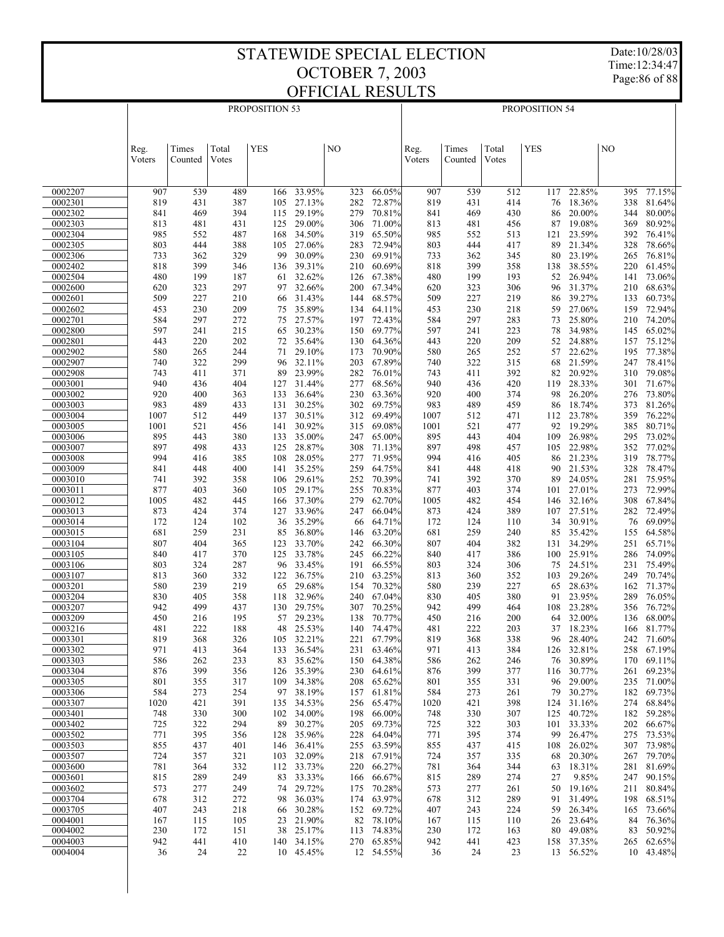Date:10/28/03 Time:12:34:47 Page:86 of 88

|                    |              |            |            | PROPOSITION 53 |                  |            | PROPOSITION 54   |              |            |            |            |                      |            |                  |  |  |
|--------------------|--------------|------------|------------|----------------|------------------|------------|------------------|--------------|------------|------------|------------|----------------------|------------|------------------|--|--|
|                    |              |            |            |                |                  |            |                  |              |            |            |            |                      |            |                  |  |  |
|                    | Reg.         | Times      | Total      | <b>YES</b>     |                  | NO         |                  | Reg.         | Times      | Total      | YES        |                      | NO         |                  |  |  |
|                    | Voters       | Counted    | Votes      |                |                  |            |                  | Voters       | Counted    | Votes      |            |                      |            |                  |  |  |
|                    |              |            |            |                |                  |            |                  |              |            |            |            |                      |            |                  |  |  |
| 0002207            | 907          | 539        | 489        | 166            | 33.95%           | 323        | 66.05%           | 907          | 539        | 512        | 117        | 22.85%               | 395        | 77.15%           |  |  |
| 0002301<br>0002302 | 819<br>841   | 431<br>469 | 387<br>394 | 105            | 27.13%<br>29.19% | 282<br>279 | 72.87%<br>70.81% | 819<br>841   | 431<br>469 | 414<br>430 | 76<br>86   | 18.36%<br>20.00%     | 338<br>344 | 81.64%<br>80.00% |  |  |
| 0002303            | 813          | 481        | 431        | 115<br>125     | 29.00%           | 306        | 71.00%           | 813          | 481        | 456        | 87         | 19.08%               | 369        | 80.92%           |  |  |
| 0002304            | 985          | 552        | 487        | 168            | 34.50%           | 319        | 65.50%           | 985          | 552        | 513        | 121        | 23.59%               | 392        | 76.41%           |  |  |
| 0002305<br>0002306 | 803<br>733   | 444<br>362 | 388<br>329 | 105<br>99      | 27.06%<br>30.09% | 283<br>230 | 72.94%<br>69.91% | 803<br>733   | 444<br>362 | 417<br>345 | 89<br>80   | 21.34%<br>23.19%     | 328<br>265 | 78.66%<br>76.81% |  |  |
| 0002402            | 818          | 399        | 346        | 136            | 39.31%           | 210        | 60.69%           | 818          | 399        | 358        | 138        | 38.55%               | 220        | 61.45%           |  |  |
| 0002504            | 480          | 199        | 187        | 61             | 32.62%           | 126        | 67.38%           | 480          | 199        | 193        | 52         | 26.94%               | 141        | 73.06%           |  |  |
| 0002600<br>0002601 | 620<br>509   | 323<br>227 | 297<br>210 | 97<br>66       | 32.66%<br>31.43% | 200<br>144 | 67.34%<br>68.57% | 620<br>509   | 323<br>227 | 306<br>219 | 96<br>86   | 31.37%<br>39.27%     | 210<br>133 | 68.63%<br>60.73% |  |  |
| 0002602            | 453          | 230        | 209        | 75             | 35.89%           | 134        | 64.11%           | 453          | 230        | 218        | 59         | 27.06%               | 159        | 72.94%           |  |  |
| 0002701            | 584          | 297        | 272        | 75             | 27.57%           | 197        | 72.43%           | 584          | 297        | 283        | 73         | 25.80%               | 210        | 74.20%           |  |  |
| 0002800<br>0002801 | 597<br>443   | 241<br>220 | 215<br>202 | 65<br>72       | 30.23%<br>35.64% | 150<br>130 | 69.77%<br>64.36% | 597<br>443   | 241<br>220 | 223<br>209 | 78<br>52   | 34.98%<br>24.88%     | 145<br>157 | 65.02%<br>75.12% |  |  |
| 0002902            | 580          | 265        | 244        | 71             | 29.10%           | 173        | 70.90%           | 580          | 265        | 252        | 57         | 22.62%               | 195        | 77.38%           |  |  |
| 0002907            | 740          | 322        | 299        | 96             | 32.11%           | 203        | 67.89%           | 740          | 322        | 315        | 68         | 21.59%               | 247        | 78.41%           |  |  |
| 0002908<br>0003001 | 743<br>940   | 411<br>436 | 371<br>404 | 89<br>127      | 23.99%<br>31.44% | 282<br>277 | 76.01%<br>68.56% | 743<br>940   | 411<br>436 | 392<br>420 | 82         | 20.92%<br>119 28.33% | 310<br>301 | 79.08%<br>71.67% |  |  |
| 0003002            | 920          | 400        | 363        | 133            | 36.64%           | 230        | 63.36%           | 920          | 400        | 374        | 98         | 26.20%               | 276        | 73.80%           |  |  |
| 0003003            | 983          | 489        | 433        | 131            | 30.25%           | 302        | 69.75%           | 983          | 489        | 459        | 86         | 18.74%               | 373        | 81.26%           |  |  |
| 0003004<br>0003005 | 1007<br>1001 | 512<br>521 | 449<br>456 | 137<br>141     | 30.51%<br>30.92% | 312<br>315 | 69.49%<br>69.08% | 1007<br>1001 | 512<br>521 | 471<br>477 | 112<br>92  | 23.78%<br>19.29%     | 359<br>385 | 76.22%<br>80.71% |  |  |
| 0003006            | 895          | 443        | 380        | 133            | 35.00%           | 247        | 65.00%           | 895          | 443        | 404        | 109        | 26.98%               | 295        | 73.02%           |  |  |
| 0003007            | 897          | 498        | 433        | 125            | 28.87%           | 308        | 71.13%           | 897          | 498        | 457        |            | 105 22.98%           | 352        | 77.02%           |  |  |
| 0003008<br>0003009 | 994<br>841   | 416<br>448 | 385<br>400 | 108<br>141     | 28.05%<br>35.25% | 277<br>259 | 71.95%<br>64.75% | 994<br>841   | 416<br>448 | 405<br>418 | 86<br>90   | 21.23%<br>21.53%     | 319<br>328 | 78.77%<br>78.47% |  |  |
| 0003010            | 741          | 392        | 358        | 106            | 29.61%           | 252        | 70.39%           | 741          | 392        | 370        | 89         | 24.05%               | 281        | 75.95%           |  |  |
| 0003011<br>0003012 | 877          | 403        | 360        | 105            | 29.17%<br>37.30% | 255        | 70.83%<br>62.70% | 877          | 403        | 374<br>454 | 101        | 27.01%<br>32.16%     | 273<br>308 | 72.99%<br>67.84% |  |  |
| 0003013            | 1005<br>873  | 482<br>424 | 445<br>374 | 166<br>127     | 33.96%           | 279<br>247 | 66.04%           | 1005<br>873  | 482<br>424 | 389        | 146        | 107 27.51%           | 282        | 72.49%           |  |  |
| 0003014            | 172          | 124        | 102        | 36             | 35.29%           | 66         | 64.71%           | 172          | 124        | 110        | 34         | 30.91%               | 76         | 69.09%           |  |  |
| 0003015<br>0003104 | 681<br>807   | 259<br>404 | 231<br>365 | 85<br>123      | 36.80%<br>33.70% | 146<br>242 | 63.20%<br>66.30% | 681<br>807   | 259<br>404 | 240<br>382 | 85<br>131  | 35.42%<br>34.29%     | 155<br>251 | 64.58%<br>65.71% |  |  |
| 0003105            | 840          | 417        | 370        | 125            | 33.78%           | 245        | 66.22%           | 840          | 417        | 386        |            | 100 25.91%           | 286        | 74.09%           |  |  |
| 0003106            | 803          | 324        | 287        | 96             | 33.45%           | 191        | 66.55%           | 803          | 324        | 306        | 75         | 24.51%               | 231        | 75.49%           |  |  |
| 0003107<br>0003201 | 813<br>580   | 360<br>239 | 332<br>219 | 122<br>65      | 36.75%<br>29.68% | 210<br>154 | 63.25%<br>70.32% | 813<br>580   | 360<br>239 | 352<br>227 | 103<br>65  | 29.26%<br>28.63%     | 249<br>162 | 70.74%<br>71.37% |  |  |
| 0003204            | 830          | 405        | 358        | 118            | 32.96%           | 240        | 67.04%           | 830          | 405        | 380        | 91         | 23.95%               | 289        | 76.05%           |  |  |
| 0003207            | 942          | 499        | 437        | 130            | 29.75%           | 307        | 70.25%           | 942          | 499        | 464        | 108        | 23.28%               | 356        | 76.72%           |  |  |
| 0003209<br>0003216 | 450<br>481   | 216<br>222 | 195<br>188 | 57<br>48       | 29.23%<br>25.53% | 138<br>140 | 70.77%<br>74.47% | 450<br>481   | 216<br>222 | 200<br>203 | 64         | 32.00%<br>37 18.23%  | 136<br>166 | 68.00%<br>81.77% |  |  |
| 0003301            | 819          | 368        | 326        | 105            | 32.21%           | 221        | 67.79%           | 819          | 368        | 338        | 96         | 28.40%               | 242        | 71.60%           |  |  |
| 0003302            | 971          | 413        | 364        | 133            | 36.54%           | 231        | 63.46%           | 971          | 413        | 384        |            | 126 32.81%           |            | 258 67.19%       |  |  |
| 0003303<br>0003304 | 586<br>876   | 262<br>399 | 233<br>356 | 83<br>126      | 35.62%<br>35.39% | 150<br>230 | 64.38%<br>64.61% | 586<br>876   | 262<br>399 | 246<br>377 | 76<br>116  | 30.89%<br>30.77%     | 170<br>261 | 69.11%<br>69.23% |  |  |
| 0003305            | 801          | 355        | 317        |                | 109 34.38%       | 208        | 65.62%           | 801          | 355        | 331        | 96         | 29.00%               | 235        | 71.00%           |  |  |
| 0003306            | 584          | 273        | 254        | 97             | 38.19%           | 157        | 61.81%           | 584          | 273        | 261        | 79         | 30.27%               | 182        | 69.73%           |  |  |
| 0003307<br>0003401 | 1020<br>748  | 421<br>330 | 391<br>300 | 135<br>102     | 34.53%<br>34.00% | 256<br>198 | 65.47%<br>66.00% | 1020<br>748  | 421<br>330 | 398<br>307 | 124<br>125 | 31.16%<br>40.72%     | 274<br>182 | 68.84%<br>59.28% |  |  |
| 0003402            | 725          | 322        | 294        | 89             | 30.27%           | 205        | 69.73%           | 725          | 322        | 303        | 101        | 33.33%               | 202        | 66.67%           |  |  |
| 0003502            | 771          | 395        | 356        | 128            | 35.96%           | 228        | 64.04%           | 771          | 395        | 374        | 99         | 26.47%               | 275        | 73.53%           |  |  |
| 0003503<br>0003507 | 855<br>724   | 437<br>357 | 401<br>321 | 146<br>103     | 36.41%<br>32.09% | 255<br>218 | 63.59%<br>67.91% | 855<br>724   | 437<br>357 | 415<br>335 | 108<br>68  | 26.02%<br>20.30%     | 307<br>267 | 73.98%<br>79.70% |  |  |
| 0003600            | 781          | 364        | 332        | 112            | 33.73%           | 220        | 66.27%           | 781          | 364        | 344        | 63         | 18.31%               | 281        | 81.69%           |  |  |
| 0003601            | 815          | 289        | 249        | 83             | 33.33%           | 166        | 66.67%           | 815          | 289        | 274        | 27         | 9.85%                | 247        | 90.15%           |  |  |
| 0003602<br>0003704 | 573<br>678   | 277<br>312 | 249<br>272 | 74<br>98       | 29.72%<br>36.03% | 175<br>174 | 70.28%<br>63.97% | 573<br>678   | 277<br>312 | 261<br>289 | 50<br>91   | 19.16%<br>31.49%     | 211<br>198 | 80.84%<br>68.51% |  |  |
| 0003705            | 407          | 243        | 218        | 66             | 30.28%           | 152        | 69.72%           | 407          | 243        | 224        | 59         | 26.34%               | 165        | 73.66%           |  |  |
| 0004001            | 167          | 115        | 105        | 23             | 21.90%<br>25.17% | 82<br>113  | 78.10%<br>74.83% | 167          | 115        | 110        | 26         | 23.64%<br>49.08%     | 84<br>83   | 76.36%<br>50.92% |  |  |
| 0004002<br>0004003 | 230<br>942   | 172<br>441 | 151<br>410 | 38<br>140      | 34.15%           | 270        | 65.85%           | 230<br>942   | 172<br>441 | 163<br>423 | 80<br>158  | 37.35%               | 265        | 62.65%           |  |  |
| 0004004            | 36           | 24         | 22         |                | 10 45.45%        |            | 12 54.55%        | 36           | 24         | 23         |            | 13 56.52%            |            | 10 43.48%        |  |  |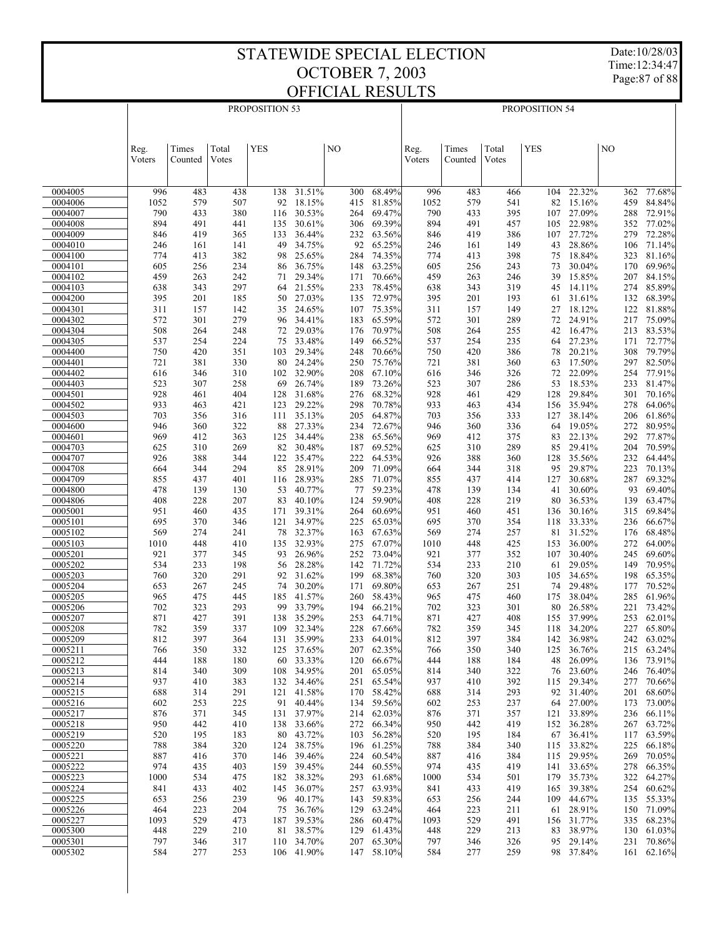Date:10/28/03 Time:12:34:47

Page:87 of 88

|                    |                |                  |                | PROPOSITION 53 |                      |            | PROPOSITION 54   |                |                  |                |            |                      |            |                  |
|--------------------|----------------|------------------|----------------|----------------|----------------------|------------|------------------|----------------|------------------|----------------|------------|----------------------|------------|------------------|
|                    |                |                  |                |                |                      |            |                  |                |                  |                |            |                      |            |                  |
|                    | Reg.<br>Voters | Times<br>Counted | Total<br>Votes | <b>YES</b>     |                      | NO         |                  | Reg.<br>Voters | Times<br>Counted | Total<br>Votes | <b>YES</b> |                      | NO         |                  |
|                    |                |                  |                |                |                      |            |                  |                |                  |                |            |                      |            |                  |
| 0004005            | 996            | 483              | 438            | 138            | 31.51%               | 300        | 68.49%           | 996            | 483              | 466            | 104        | 22.32%               | 362        | 77.68%           |
| 0004006            | 1052           | 579              | 507            | 92             | 18.15%               | 415        | 81.85%           | 1052           | 579              | 541            | 82         | 15.16%               | 459        | 84.84%           |
| 0004007<br>0004008 | 790<br>894     | 433<br>491       | 380<br>441     | 116<br>135     | 30.53%<br>30.61%     | 264<br>306 | 69.47%<br>69.39% | 790<br>894     | 433<br>491       | 395<br>457     | 105        | 107 27.09%<br>22.98% | 288<br>352 | 72.91%<br>77.02% |
| 0004009            | 846            | 419              | 365            | 133            | 36.44%               | 232        | 63.56%           | 846            | 419              | 386            |            | 107 27.72%           | 279        | 72.28%           |
| 0004010            | 246            | 161              | 141            | 49             | 34.75%               | 92         | 65.25%           | 246            | 161              | 149            | 43         | 28.86%               | 106        | 71.14%           |
| 0004100            | 774            | 413              | 382            | 98             | 25.65%               | 284        | 74.35%           | 774            | 413              | 398            | 75         | 18.84%               | 323        | 81.16%           |
| 0004101<br>0004102 | 605<br>459     | 256<br>263       | 234<br>242     | 86<br>71       | 36.75%<br>29.34%     | 148<br>171 | 63.25%<br>70.66% | 605<br>459     | 256<br>263       | 243<br>246     | 73<br>39   | 30.04%<br>15.85%     | 170<br>207 | 69.96%<br>84.15% |
| 0004103            | 638            | 343              | 297            | 64             | 21.55%               | 233        | 78.45%           | 638            | 343              | 319            | 45         | 14.11%               | 274        | 85.89%           |
| 0004200            | 395            | 201              | 185            | 50             | 27.03%               | 135        | 72.97%           | 395            | 201              | 193            | 61         | 31.61%               | 132        | 68.39%           |
| 0004301            | 311            | 157              | 142            | 35             | 24.65%               | 107        | 75.35%           | 311            | 157              | 149            | 27         | 18.12%               | 122        | 81.88%           |
| 0004302<br>0004304 | 572<br>508     | 301<br>264       | 279<br>248     | 96<br>72       | 34.41%<br>29.03%     | 183<br>176 | 65.59%<br>70.97% | 572<br>508     | 301<br>264       | 289<br>255     | 72<br>42   | 24.91%<br>16.47%     | 217<br>213 | 75.09%<br>83.53% |
| 0004305            | 537            | 254              | 224            | 75             | 33.48%               | 149        | 66.52%           | 537            | 254              | 235            | 64         | 27.23%               | 171        | 72.77%           |
| 0004400            | 750            | 420              | 351            | 103            | 29.34%               | 248        | 70.66%           | 750            | 420              | 386            | 78         | 20.21%               | 308        | 79.79%           |
| 0004401            | 721            | 381              | 330            | 80             | 24.24%               | 250        | 75.76%           | 721            | 381              | 360            | 63         | 17.50%               | 297        | 82.50%           |
| 0004402            | 616            | 346              | 310            | 102            | 32.90%               | 208        | 67.10%           | 616            | 346              | 326            | 72         | 22.09%               | 254        | 77.91%           |
| 0004403<br>0004501 | 523<br>928     | 307<br>461       | 258<br>404     | 69<br>128      | 26.74%<br>31.68%     | 189<br>276 | 73.26%<br>68.32% | 523<br>928     | 307<br>461       | 286<br>429     | 53<br>128  | 18.53%<br>29.84%     | 233<br>301 | 81.47%<br>70.16% |
| 0004502            | 933            | 463              | 421            | 123            | 29.22%               | 298        | 70.78%           | 933            | 463              | 434            |            | 156 35.94%           | 278        | 64.06%           |
| 0004503            | 703            | 356              | 316            | 111            | 35.13%               | 205        | 64.87%           | 703            | 356              | 333            | 127        | 38.14%               | 206        | 61.86%           |
| 0004600            | 946            | 360              | 322            | 88             | 27.33%               | 234        | 72.67%           | 946            | 360              | 336            | 64         | 19.05%               | 272        | 80.95%           |
| 0004601<br>0004703 | 969            | 412              | 363<br>269     | 125<br>82      | 34.44%<br>30.48%     | 238        | 65.56%<br>69.52% | 969            | 412              | 375<br>289     | 83         | 22.13%<br>29.41%     | 292        | 77.87%<br>70.59% |
| 0004707            | 625<br>926     | 310<br>388       | 344            | 122            | 35.47%               | 187<br>222 | 64.53%           | 625<br>926     | 310<br>388       | 360            | 85<br>128  | 35.56%               | 204<br>232 | 64.44%           |
| 0004708            | 664            | 344              | 294            | 85             | 28.91%               | 209        | 71.09%           | 664            | 344              | 318            | 95         | 29.87%               | 223        | 70.13%           |
| 0004709            | 855            | 437              | 401            | 116            | 28.93%               | 285        | 71.07%           | 855            | 437              | 414            | 127        | 30.68%               | 287        | 69.32%           |
| 0004800            | 478            | 139              | 130            | 53             | 40.77%               | 77         | 59.23%           | 478            | 139              | 134            | 41         | 30.60%               | 93         | 69.40%           |
| 0004806<br>0005001 | 408<br>951     | 228<br>460       | 207<br>435     | 83<br>171      | 40.10%<br>39.31%     | 124<br>264 | 59.90%<br>60.69% | 408<br>951     | 228<br>460       | 219<br>451     | 80<br>136  | 36.53%<br>30.16%     | 139<br>315 | 63.47%<br>69.84% |
| 0005101            | 695            | 370              | 346            | 121            | 34.97%               | 225        | 65.03%           | 695            | 370              | 354            | 118        | 33.33%               | 236        | 66.67%           |
| 0005102            | 569            | 274              | 241            | 78             | 32.37%               | 163        | 67.63%           | 569            | 274              | 257            | 81         | 31.52%               | 176        | 68.48%           |
| 0005103            | 1010           | 448              | 410            | 135            | 32.93%               | 275        | 67.07%           | 1010           | 448              | 425            | 153        | 36.00%               | 272        | 64.00%           |
| 0005201<br>0005202 | 921<br>534     | 377<br>233       | 345<br>198     | 93<br>56       | 26.96%<br>28.28%     | 252<br>142 | 73.04%<br>71.72% | 921<br>534     | 377<br>233       | 352<br>210     | 107<br>61  | 30.40%<br>29.05%     | 245<br>149 | 69.60%<br>70.95% |
| 0005203            | 760            | 320              | 291            | 92             | 31.62%               | 199        | 68.38%           | 760            | 320              | 303            | 105        | 34.65%               | 198        | 65.35%           |
| 0005204            | 653            | 267              | 245            | 74             | 30.20%               | 171        | 69.80%           | 653            | 267              | 251            | 74         | 29.48%               | 177        | 70.52%           |
| 0005205            | 965            | 475              | 445            | 185            | 41.57%               | 260        | 58.43%           | 965            | 475              | 460            | 175        | 38.04%               | 285        | 61.96%           |
| 0005206<br>0005207 | 702<br>871     | 323<br>427       | 293<br>391     | 99             | 33.79%               | 194        | 66.21%<br>64.71% | 702            | 323              | 301<br>408     | 80         | 26.58%<br>37.99%     | 221<br>253 | 73.42%<br>62.01% |
| 0005208            | 782            | 359              | 337            | 138            | 35.29%<br>109 32.34% | 253<br>228 | 67.66%           | 871<br>782     | 427<br>359       | 345            | 155        | 118 34.20%           | 227        | 65.80%           |
| 0005209            | 812            | 397              | 364            | 131            | 35.99%               | 233        | 64.01%           | 812            | 397              | 384            | 142        | 36.98%               | 242        | 63.02%           |
| 0005211            | 766            | 350              | 332            | 125            | 37.65%               | 207        | 62.35%           | 766            | 350              | 340            | 125        | 36.76%               | 215        | 63.24%           |
| 0005212            | 444            | 188              | 180            | 60             | 33.33%               | 120        | 66.67%           | 444            | 188              | 184            | 48         | 26.09%               | 136        | 73.91%           |
| 0005213<br>0005214 | 814<br>937     | 340<br>410       | 309<br>383     | 108<br>132     | 34.95%<br>34.46%     | 201<br>251 | 65.05%<br>65.54% | 814<br>937     | 340<br>410       | 322<br>392     | 76<br>115  | 23.60%<br>29.34%     | 246<br>277 | 76.40%<br>70.66% |
| 0005215            | 688            | 314              | 291            | 121            | 41.58%               | 170        | 58.42%           | 688            | 314              | 293            | 92         | 31.40%               | 201        | 68.60%           |
| 0005216            | 602            | 253              | 225            | 91             | 40.44%               | 134        | 59.56%           | 602            | 253              | 237            |            | 64 27.00%            | 173        | 73.00%           |
| 0005217            | 876            | 371              | 345            | 131            | 37.97%               | 214        | 62.03%           | 876            | 371              | 357            | 121        | 33.89%               | 236        | 66.11%           |
| 0005218            | 950            | 442              | 410            | 138            | 33.66%               | 272        | 66.34%           | 950            | 442              | 419            | 152        | 36.28%               | 267        | 63.72%           |
| 0005219<br>0005220 | 520<br>788     | 195<br>384       | 183<br>320     | 80<br>124      | 43.72%<br>38.75%     | 103<br>196 | 56.28%<br>61.25% | 520<br>788     | 195<br>384       | 184<br>340     | 67<br>115  | 36.41%<br>33.82%     | 117<br>225 | 63.59%<br>66.18% |
| 0005221            | 887            | 416              | 370            | 146            | 39.46%               | 224        | 60.54%           | 887            | 416              | 384            | 115        | 29.95%               | 269        | 70.05%           |
| 0005222            | 974            | 435              | 403            | 159            | 39.45%               | 244        | 60.55%           | 974            | 435              | 419            | 141        | 33.65%               | 278        | 66.35%           |
| 0005223            | 1000           | 534              | 475            | 182            | 38.32%               | 293        | 61.68%           | 1000           | 534              | 501            | 179        | 35.73%               | 322        | 64.27%           |
| 0005224<br>0005225 | 841<br>653     | 433<br>256       | 402<br>239     | 145<br>96      | 36.07%<br>40.17%     | 257<br>143 | 63.93%<br>59.83% | 841<br>653     | 433<br>256       | 419<br>244     | 165<br>109 | 39.38%<br>44.67%     | 254<br>135 | 60.62%<br>55.33% |
| 0005226            | 464            | 223              | 204            | 75             | 36.76%               | 129        | 63.24%           | 464            | 223              | 211            | 61         | 28.91%               | 150        | 71.09%           |
| 0005227            | 1093           | 529              | 473            | 187            | 39.53%               | 286        | 60.47%           | 1093           | 529              | 491            | 156        | 31.77%               | 335        | 68.23%           |
| 0005300            | 448            | 229              | 210            | 81             | 38.57%               | 129        | 61.43%           | 448            | 229              | 213            | 83         | 38.97%               | 130        | 61.03%           |
| 0005301            | 797            | 346              | 317            | 110            | 34.70%               | 207        | 65.30%           | 797            | 346              | 326            | 95         | 29.14%               | 231        | 70.86%           |
| 0005302            | 584            | 277              | 253            |                | 106 41.90%           | 147        | 58.10%           | 584            | 277              | 259            |            | 98 37.84%            | 161        | 62.16%           |